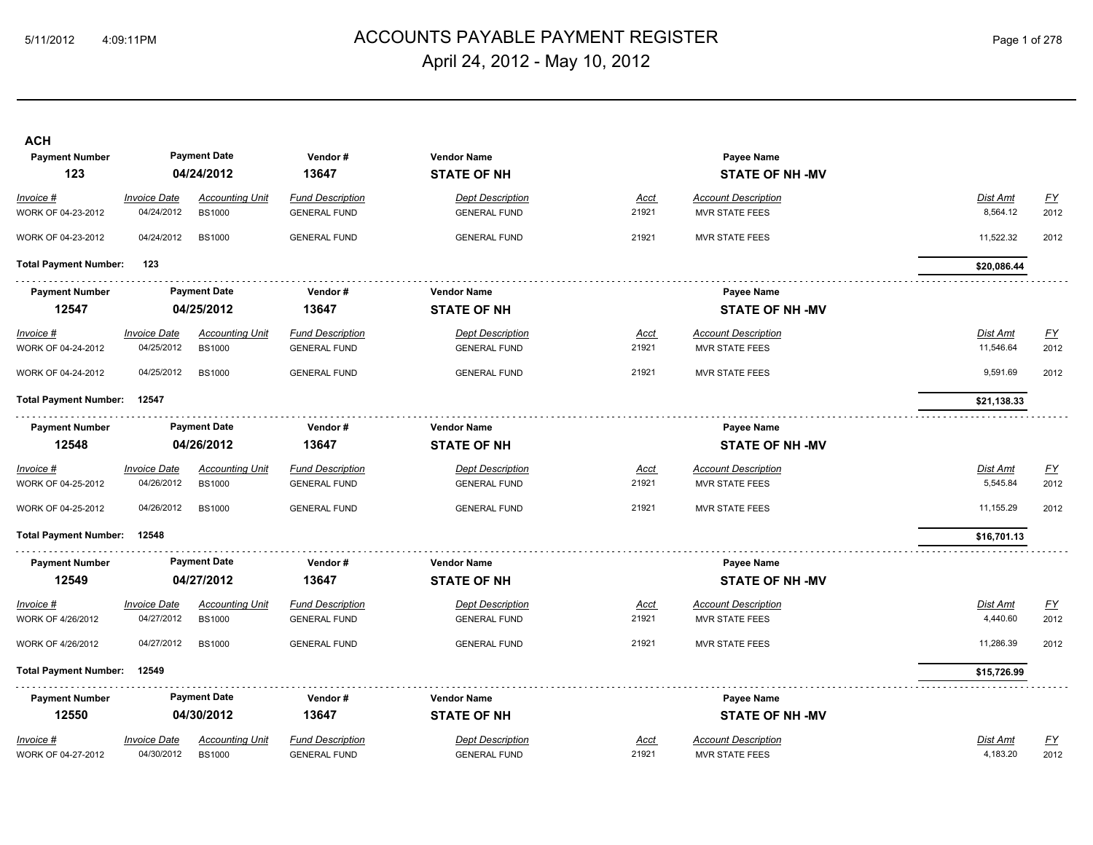## 5/11/2012 4:09:11PM Page 1 of 278 ACCOUNTS PAYABLE PAYMENT REGISTER April 24, 2012 - May 10, 2012

| <b>ACH</b><br><b>Payment Number</b><br>123 |                     | <b>Payment Date</b><br>04/24/2012 | Vendor#<br>13647        | <b>Vendor Name</b><br><b>STATE OF NH</b> |             | Payee Name<br><b>STATE OF NH -MV</b> |                 |                           |
|--------------------------------------------|---------------------|-----------------------------------|-------------------------|------------------------------------------|-------------|--------------------------------------|-----------------|---------------------------|
| Invoice #                                  | <b>Invoice Date</b> | <b>Accounting Unit</b>            | <b>Fund Description</b> | <b>Dept Description</b>                  | Acct        | <b>Account Description</b>           | Dist Amt        | EY                        |
| WORK OF 04-23-2012                         | 04/24/2012          | <b>BS1000</b>                     | <b>GENERAL FUND</b>     | <b>GENERAL FUND</b>                      | 21921       | <b>MVR STATE FEES</b>                | 8,564.12        | 2012                      |
| WORK OF 04-23-2012                         | 04/24/2012          | <b>BS1000</b>                     | <b>GENERAL FUND</b>     | <b>GENERAL FUND</b>                      | 21921       | <b>MVR STATE FEES</b>                | 11,522.32       | 2012                      |
| <b>Total Payment Number:</b>               | 123                 |                                   |                         |                                          |             |                                      | \$20,086.44     |                           |
| <b>Payment Number</b>                      |                     | <b>Payment Date</b>               | Vendor #                | <b>Vendor Name</b>                       |             | Payee Name                           |                 |                           |
| 12547                                      |                     | 04/25/2012                        | 13647                   | <b>STATE OF NH</b>                       |             | <b>STATE OF NH -MV</b>               |                 |                           |
| $Invoice$ #                                | <b>Invoice Date</b> | <b>Accounting Unit</b>            | <b>Fund Description</b> | <b>Dept Description</b>                  | <b>Acct</b> | <b>Account Description</b>           | Dist Amt        | <u>FY</u>                 |
| WORK OF 04-24-2012                         | 04/25/2012          | <b>BS1000</b>                     | <b>GENERAL FUND</b>     | <b>GENERAL FUND</b>                      | 21921       | <b>MVR STATE FEES</b>                | 11,546.64       | 2012                      |
| WORK OF 04-24-2012                         | 04/25/2012          | <b>BS1000</b>                     | <b>GENERAL FUND</b>     | <b>GENERAL FUND</b>                      | 21921       | <b>MVR STATE FEES</b>                | 9,591.69        | 2012                      |
| <b>Total Payment Number:</b>               | 12547               |                                   |                         |                                          |             |                                      | \$21,138.33     |                           |
| <b>Payment Number</b>                      |                     | <b>Payment Date</b>               | Vendor#                 | <b>Vendor Name</b>                       |             | Payee Name                           |                 |                           |
| 12548                                      |                     | 04/26/2012                        | 13647                   | <b>STATE OF NH</b>                       |             | <b>STATE OF NH -MV</b>               |                 |                           |
| Invoice #                                  | <b>Invoice Date</b> | <b>Accounting Unit</b>            | <b>Fund Description</b> | <b>Dept Description</b>                  | <b>Acct</b> | <b>Account Description</b>           | <b>Dist Amt</b> | $\underline{\mathsf{FY}}$ |
| WORK OF 04-25-2012                         | 04/26/2012          | <b>BS1000</b>                     | <b>GENERAL FUND</b>     | <b>GENERAL FUND</b>                      | 21921       | <b>MVR STATE FEES</b>                | 5,545.84        | 2012                      |
| WORK OF 04-25-2012                         | 04/26/2012          | <b>BS1000</b>                     | <b>GENERAL FUND</b>     | <b>GENERAL FUND</b>                      | 21921       | <b>MVR STATE FEES</b>                | 11,155.29       | 2012                      |
| <b>Total Payment Number:</b>               | 12548               |                                   |                         |                                          |             |                                      | \$16,701.13     |                           |
| <b>Payment Number</b>                      |                     | <b>Payment Date</b>               | Vendor#                 | <b>Vendor Name</b>                       |             | <b>Payee Name</b>                    |                 |                           |
| 12549                                      |                     | 04/27/2012                        | 13647                   | <b>STATE OF NH</b>                       |             | <b>STATE OF NH-MV</b>                |                 |                           |
| Invoice #                                  | <b>Invoice Date</b> | <b>Accounting Unit</b>            | <b>Fund Description</b> | <b>Dept Description</b>                  | <u>Acct</u> | <b>Account Description</b>           | Dist Amt        | $\underline{FY}$          |
| WORK OF 4/26/2012                          | 04/27/2012          | <b>BS1000</b>                     | <b>GENERAL FUND</b>     | <b>GENERAL FUND</b>                      | 21921       | <b>MVR STATE FEES</b>                | 4,440.60        | 2012                      |
| WORK OF 4/26/2012                          | 04/27/2012          | <b>BS1000</b>                     | <b>GENERAL FUND</b>     | <b>GENERAL FUND</b>                      | 21921       | <b>MVR STATE FEES</b>                | 11,286.39       | 2012                      |
| <b>Total Payment Number:</b>               | 12549               |                                   |                         |                                          |             |                                      | \$15,726.99     |                           |
| <b>Payment Number</b>                      |                     | <b>Payment Date</b>               | Vendor#                 | <b>Vendor Name</b>                       |             | Payee Name                           |                 |                           |
| 12550                                      |                     | 04/30/2012                        | 13647                   | <b>STATE OF NH</b>                       |             | <b>STATE OF NH-MV</b>                |                 |                           |
| Invoice #                                  | <b>Invoice Date</b> | <b>Accounting Unit</b>            | <b>Fund Description</b> | <b>Dept Description</b>                  | Acct        | <b>Account Description</b>           | Dist Amt        | $\underline{FY}$          |
| WORK OF 04-27-2012                         | 04/30/2012          | <b>BS1000</b>                     | <b>GENERAL FUND</b>     | <b>GENERAL FUND</b>                      | 21921       | MVR STATE FEES                       | 4,183.20        | 2012                      |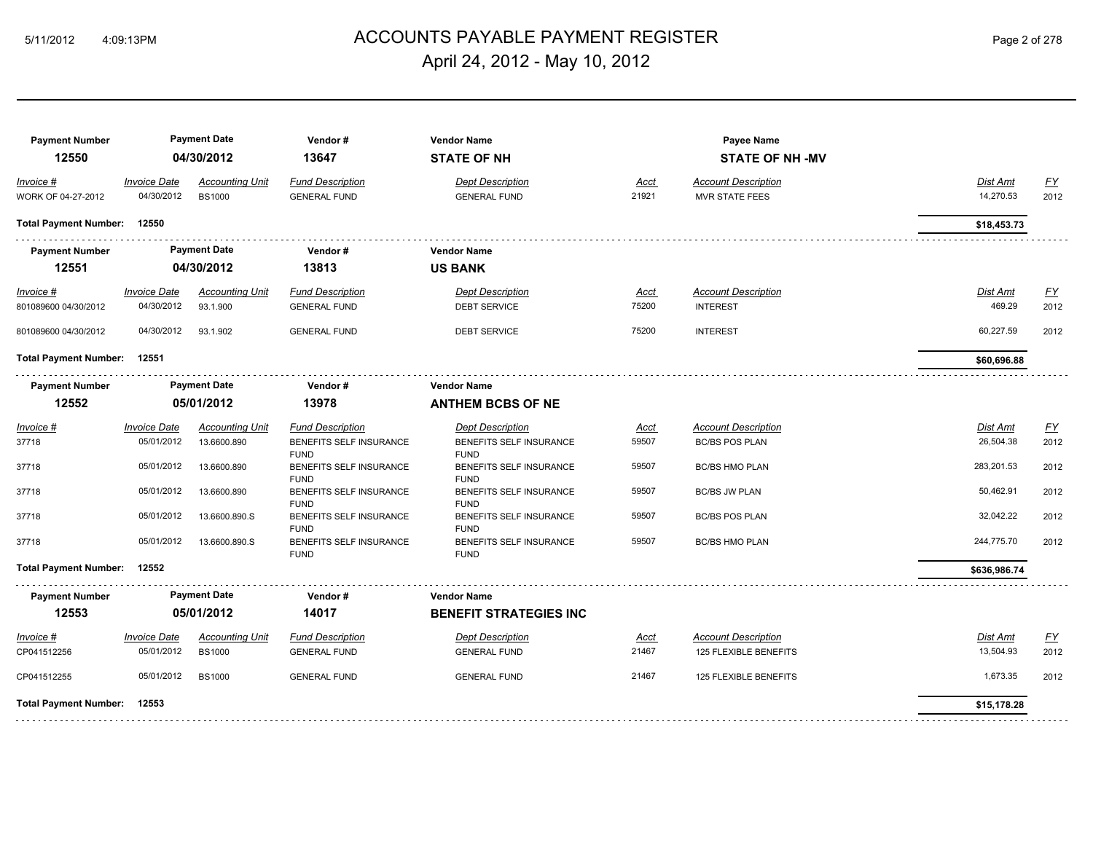## 5/11/2012 4:09:13PM ACCOUNTS PAYABLE PAYMENT REGISTER Page 2 of 278 April 24, 2012 - May 10, 2012

| <b>Payment Number</b><br>12550      |                                    | <b>Payment Date</b><br>04/30/2012       | Vendor#<br>13647                                                  | <b>Vendor Name</b><br><b>STATE OF NH</b>                          |                      | Payee Name<br><b>STATE OF NH-MV</b>                 |                           |                          |
|-------------------------------------|------------------------------------|-----------------------------------------|-------------------------------------------------------------------|-------------------------------------------------------------------|----------------------|-----------------------------------------------------|---------------------------|--------------------------|
| Invoice #<br>WORK OF 04-27-2012     | <b>Invoice Date</b><br>04/30/2012  | <b>Accounting Unit</b><br><b>BS1000</b> | <b>Fund Description</b><br><b>GENERAL FUND</b>                    | <b>Dept Description</b><br><b>GENERAL FUND</b>                    | <u>Acct</u><br>21921 | <b>Account Description</b><br><b>MVR STATE FEES</b> | Dist Amt<br>14,270.53     | <u>FY</u><br>2012        |
| <b>Total Payment Number:</b>        | 12550                              |                                         |                                                                   |                                                                   |                      |                                                     | \$18,453.73               |                          |
| <b>Payment Number</b><br>12551      |                                    | <b>Payment Date</b><br>04/30/2012       | Vendor#<br>13813                                                  | <b>Vendor Name</b><br><b>US BANK</b>                              |                      |                                                     |                           |                          |
| $Invoice$ #<br>801089600 04/30/2012 | <u> Invoice Date</u><br>04/30/2012 | <b>Accounting Unit</b><br>93.1.900      | <b>Fund Description</b><br><b>GENERAL FUND</b>                    | <b>Dept Description</b><br>DEBT SERVICE                           | Acct<br>75200        | <b>Account Description</b><br><b>INTEREST</b>       | <b>Dist Amt</b><br>469.29 | <u>FY</u><br>2012        |
| 801089600 04/30/2012                | 04/30/2012                         | 93.1.902                                | <b>GENERAL FUND</b>                                               | <b>DEBT SERVICE</b>                                               | 75200                | <b>INTEREST</b>                                     | 60,227.59                 | 2012                     |
| <b>Total Payment Number:</b>        | 12551                              |                                         |                                                                   |                                                                   |                      |                                                     | \$60,696.88               |                          |
| <b>Payment Number</b><br>12552      |                                    | <b>Payment Date</b><br>05/01/2012       | Vendor#<br>13978                                                  | <b>Vendor Name</b><br><b>ANTHEM BCBS OF NE</b>                    |                      |                                                     |                           |                          |
| Invoice #<br>37718                  | Invoice Date<br>05/01/2012         | <b>Accounting Unit</b><br>13.6600.890   | <b>Fund Description</b><br>BENEFITS SELF INSURANCE<br><b>FUND</b> | <b>Dept Description</b><br>BENEFITS SELF INSURANCE<br><b>FUND</b> | <u>Acct</u><br>59507 | <b>Account Description</b><br><b>BC/BS POS PLAN</b> | Dist Amt<br>26,504.38     | $\underline{FY}$<br>2012 |
| 37718                               | 05/01/2012                         | 13.6600.890                             | BENEFITS SELF INSURANCE<br><b>FUND</b>                            | BENEFITS SELF INSURANCE<br><b>FUND</b>                            | 59507                | <b>BC/BS HMO PLAN</b>                               | 283,201.53                | 2012                     |
| 37718                               | 05/01/2012                         | 13.6600.890                             | BENEFITS SELF INSURANCE<br><b>FUND</b>                            | BENEFITS SELF INSURANCE<br><b>FUND</b>                            | 59507                | <b>BC/BS JW PLAN</b>                                | 50,462.91                 | 2012                     |
| 37718                               | 05/01/2012                         | 13.6600.890.S                           | BENEFITS SELF INSURANCE<br><b>FUND</b>                            | BENEFITS SELF INSURANCE<br><b>FUND</b>                            | 59507                | <b>BC/BS POS PLAN</b>                               | 32,042.22                 | 2012                     |
| 37718                               | 05/01/2012                         | 13.6600.890.S                           | BENEFITS SELF INSURANCE<br><b>FUND</b>                            | BENEFITS SELF INSURANCE<br><b>FUND</b>                            | 59507                | <b>BC/BS HMO PLAN</b>                               | 244,775.70                | 2012                     |
| <b>Total Payment Number:</b>        | 12552                              |                                         |                                                                   |                                                                   |                      |                                                     | \$636,986.74              |                          |
| <b>Payment Number</b><br>12553      |                                    | <b>Payment Date</b><br>05/01/2012       | Vendor#<br>14017                                                  | <b>Vendor Name</b><br><b>BENEFIT STRATEGIES INC</b>               |                      |                                                     |                           |                          |
| Invoice #                           | <b>Invoice Date</b>                | <b>Accounting Unit</b>                  | <b>Fund Description</b>                                           | <b>Dept Description</b>                                           | <u>Acct</u>          | <b>Account Description</b>                          | Dist Amt                  | EY                       |
| CP041512256                         | 05/01/2012                         | <b>BS1000</b>                           | <b>GENERAL FUND</b>                                               | <b>GENERAL FUND</b>                                               | 21467                | 125 FLEXIBLE BENEFITS                               | 13,504.93                 | 2012                     |
| CP041512255                         | 05/01/2012                         | <b>BS1000</b>                           | <b>GENERAL FUND</b>                                               | <b>GENERAL FUND</b>                                               | 21467                | 125 FLEXIBLE BENEFITS                               | 1,673.35                  | 2012                     |
| <b>Total Payment Number:</b>        | 12553                              |                                         |                                                                   |                                                                   |                      |                                                     | \$15,178.28               |                          |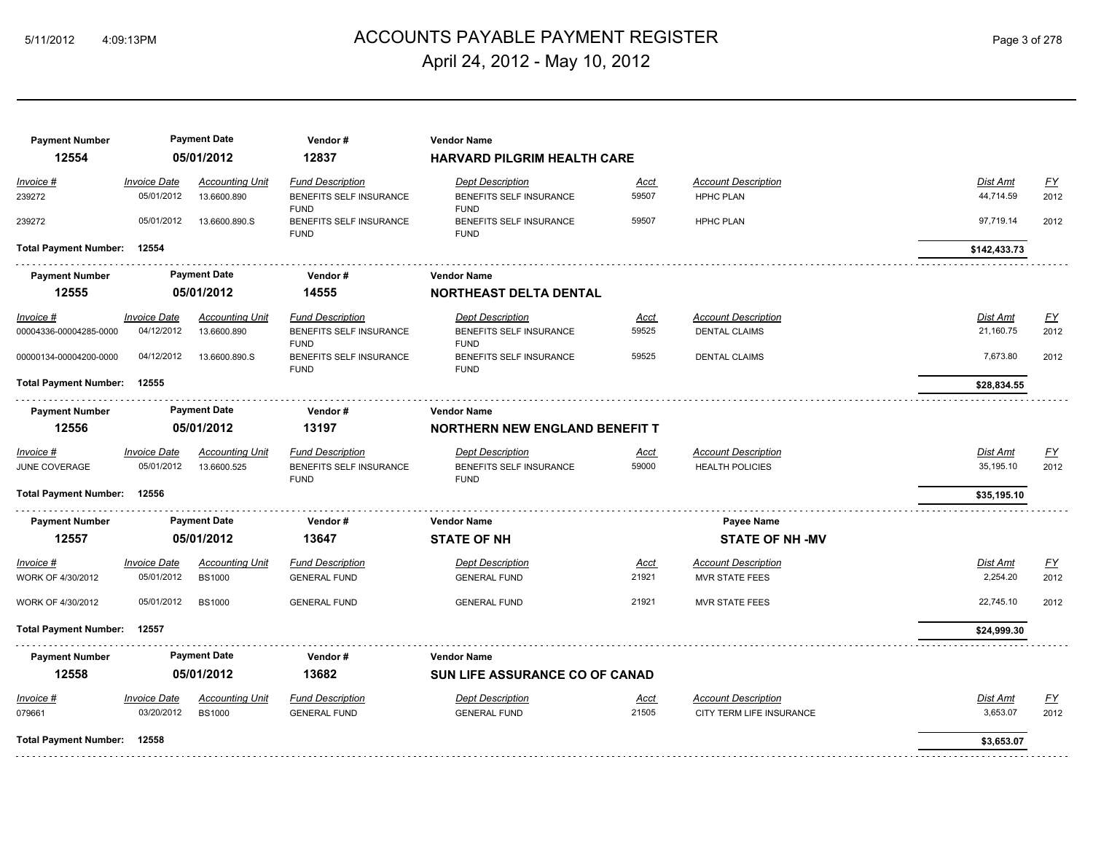## 5/11/2012 4:09:13PM ACCOUNTS PAYABLE PAYMENT REGISTER Page 3 of 278 April 24, 2012 - May 10, 2012

| <b>Payment Number</b>        |                     | <b>Payment Date</b>    | Vendor#                                | <b>Vendor Name</b>                     |             |                            |                 |                  |
|------------------------------|---------------------|------------------------|----------------------------------------|----------------------------------------|-------------|----------------------------|-----------------|------------------|
| 12554                        |                     | 05/01/2012             | 12837                                  | <b>HARVARD PILGRIM HEALTH CARE</b>     |             |                            |                 |                  |
| Invoice #                    | <b>Invoice Date</b> | <b>Accounting Unit</b> | <b>Fund Description</b>                | <b>Dept Description</b>                | Acct        | <b>Account Description</b> | Dist Amt        | $\underline{FY}$ |
| 239272                       | 05/01/2012          | 13.6600.890            | BENEFITS SELF INSURANCE<br><b>FUND</b> | BENEFITS SELF INSURANCE<br><b>FUND</b> | 59507       | <b>HPHC PLAN</b>           | 44,714.59       | 2012             |
| 239272                       | 05/01/2012          | 13.6600.890.S          | BENEFITS SELF INSURANCE<br><b>FUND</b> | BENEFITS SELF INSURANCE<br><b>FUND</b> | 59507       | <b>HPHC PLAN</b>           | 97,719.14       | 2012             |
| <b>Total Payment Number:</b> | 12554               |                        |                                        |                                        |             |                            | \$142,433.73    |                  |
| <b>Payment Number</b>        |                     | <b>Payment Date</b>    | Vendor#                                | <b>Vendor Name</b>                     |             |                            |                 |                  |
| 12555                        |                     | 05/01/2012             | 14555                                  | <b>NORTHEAST DELTA DENTAL</b>          |             |                            |                 |                  |
| $Invoice$ #                  | <b>Invoice Date</b> | <b>Accounting Unit</b> | <b>Fund Description</b>                | <b>Dept Description</b>                | <u>Acct</u> | <b>Account Description</b> | <b>Dist Amt</b> | <u>FY</u>        |
| 00004336-00004285-0000       | 04/12/2012          | 13.6600.890            | BENEFITS SELF INSURANCE<br><b>FUND</b> | BENEFITS SELF INSURANCE<br><b>FUND</b> | 59525       | <b>DENTAL CLAIMS</b>       | 21,160.75       | 2012             |
| 00000134-00004200-0000       | 04/12/2012          | 13.6600.890.S          | BENEFITS SELF INSURANCE<br><b>FUND</b> | BENEFITS SELF INSURANCE<br><b>FUND</b> | 59525       | <b>DENTAL CLAIMS</b>       | 7,673.80        | 2012             |
| <b>Total Payment Number:</b> | 12555               |                        |                                        |                                        |             |                            | \$28,834.55     |                  |
| <b>Payment Number</b>        |                     | <b>Payment Date</b>    | Vendor#                                | <b>Vendor Name</b>                     |             |                            |                 |                  |
| 12556                        |                     | 05/01/2012             | 13197                                  | <b>NORTHERN NEW ENGLAND BENEFIT T</b>  |             |                            |                 |                  |
| Invoice #                    | <b>Invoice Date</b> | <b>Accounting Unit</b> | <b>Fund Description</b>                | <b>Dept Description</b>                | <u>Acct</u> | <b>Account Description</b> | <b>Dist Amt</b> | $\underline{FY}$ |
| JUNE COVERAGE                | 05/01/2012          | 13.6600.525            | BENEFITS SELF INSURANCE<br><b>FUND</b> | BENEFITS SELF INSURANCE<br><b>FUND</b> | 59000       | <b>HEALTH POLICIES</b>     | 35,195.10       | 2012             |
| <b>Total Payment Number:</b> | 12556               |                        |                                        |                                        |             |                            | \$35,195.10     |                  |
| <b>Payment Number</b>        |                     | <b>Payment Date</b>    | Vendor#                                | <b>Vendor Name</b>                     |             | <b>Payee Name</b>          |                 |                  |
| 12557                        |                     | 05/01/2012             | 13647                                  | <b>STATE OF NH</b>                     |             | <b>STATE OF NH-MV</b>      |                 |                  |
| Invoice #                    | <b>Invoice Date</b> | <b>Accounting Unit</b> | <b>Fund Description</b>                | <b>Dept Description</b>                | Acct        | <b>Account Description</b> | Dist Amt        | $\underline{FY}$ |
| WORK OF 4/30/2012            | 05/01/2012          | <b>BS1000</b>          | <b>GENERAL FUND</b>                    | <b>GENERAL FUND</b>                    | 21921       | <b>MVR STATE FEES</b>      | 2,254.20        | 2012             |
| WORK OF 4/30/2012            | 05/01/2012          | <b>BS1000</b>          | <b>GENERAL FUND</b>                    | <b>GENERAL FUND</b>                    | 21921       | <b>MVR STATE FEES</b>      | 22,745.10       | 2012             |
| <b>Total Payment Number:</b> | 12557               |                        |                                        |                                        |             |                            | \$24,999.30     |                  |
| <b>Payment Number</b>        |                     | <b>Payment Date</b>    | Vendor#                                | <b>Vendor Name</b>                     |             |                            |                 |                  |
| 12558                        |                     | 05/01/2012             | 13682                                  | <b>SUN LIFE ASSURANCE CO OF CANAD</b>  |             |                            |                 |                  |
| Invoice #                    | <b>Invoice Date</b> | <b>Accounting Unit</b> | <b>Fund Description</b>                | <b>Dept Description</b>                | Acct        | <b>Account Description</b> | Dist Amt        | <u>FY</u>        |
| 079661                       | 03/20/2012          | <b>BS1000</b>          | <b>GENERAL FUND</b>                    | <b>GENERAL FUND</b>                    | 21505       | CITY TERM LIFE INSURANCE   | 3,653.07        | 2012             |
| <b>Total Payment Number:</b> | 12558               |                        |                                        |                                        |             |                            | \$3,653.07      |                  |
|                              |                     |                        |                                        |                                        |             |                            |                 |                  |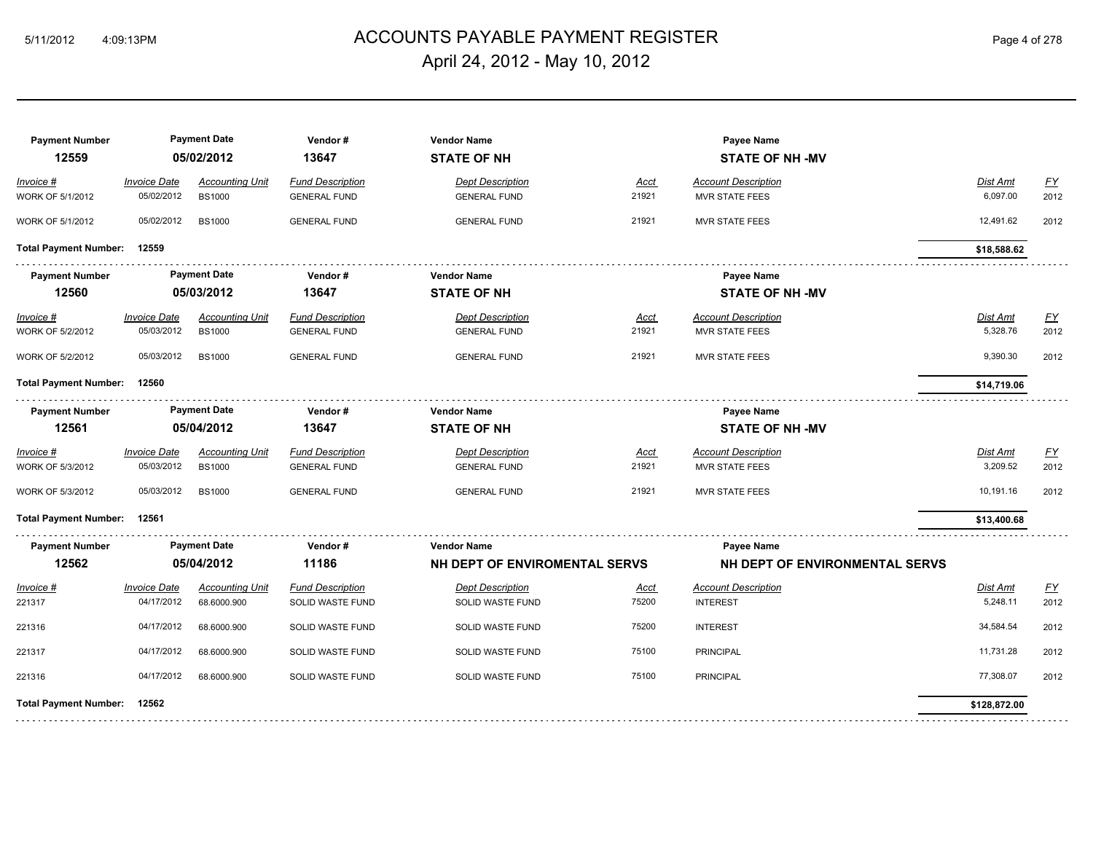## 5/11/2012 4:09:13PM ACCOUNTS PAYABLE PAYMENT REGISTER Page 4 of 278 April 24, 2012 - May 10, 2012

| <b>Payment Number</b>        |                     | <b>Payment Date</b>    | Vendor#                 | <b>Vendor Name</b>            |             | Payee Name                     |              |           |
|------------------------------|---------------------|------------------------|-------------------------|-------------------------------|-------------|--------------------------------|--------------|-----------|
| 12559                        |                     | 05/02/2012             | 13647                   | <b>STATE OF NH</b>            |             | <b>STATE OF NH-MV</b>          |              |           |
| Invoice #                    | <b>Invoice Date</b> | <b>Accounting Unit</b> | <b>Fund Description</b> | <b>Dept Description</b>       | Acct        | <b>Account Description</b>     | Dist Amt     | <u>FY</u> |
| WORK OF 5/1/2012             | 05/02/2012          | <b>BS1000</b>          | <b>GENERAL FUND</b>     | <b>GENERAL FUND</b>           | 21921       | <b>MVR STATE FEES</b>          | 6,097.00     | 2012      |
| WORK OF 5/1/2012             | 05/02/2012          | <b>BS1000</b>          | <b>GENERAL FUND</b>     | <b>GENERAL FUND</b>           | 21921       | <b>MVR STATE FEES</b>          | 12,491.62    | 2012      |
| <b>Total Payment Number:</b> | 12559               |                        |                         |                               |             |                                | \$18,588.62  |           |
| <b>Payment Number</b>        |                     | <b>Payment Date</b>    | Vendor#                 | <b>Vendor Name</b>            |             | <b>Pavee Name</b>              |              |           |
| 12560                        |                     | 05/03/2012             | 13647                   | <b>STATE OF NH</b>            |             | <b>STATE OF NH-MV</b>          |              |           |
| Invoice #                    | <b>Invoice Date</b> | <b>Accounting Unit</b> | <b>Fund Description</b> | <b>Dept Description</b>       | <u>Acct</u> | <b>Account Description</b>     | Dist Amt     | <u>FY</u> |
| WORK OF 5/2/2012             | 05/03/2012          | <b>BS1000</b>          | <b>GENERAL FUND</b>     | <b>GENERAL FUND</b>           | 21921       | <b>MVR STATE FEES</b>          | 5,328.76     | 2012      |
| <b>WORK OF 5/2/2012</b>      | 05/03/2012          | <b>BS1000</b>          | <b>GENERAL FUND</b>     | <b>GENERAL FUND</b>           | 21921       | <b>MVR STATE FEES</b>          | 9,390.30     | 2012      |
| <b>Total Payment Number:</b> | 12560               |                        |                         |                               |             |                                | \$14,719.06  |           |
| <b>Payment Number</b>        |                     | <b>Payment Date</b>    | Vendor#                 | <b>Vendor Name</b>            |             | Payee Name                     |              |           |
| 12561                        |                     | 05/04/2012             | 13647                   | <b>STATE OF NH</b>            |             | <b>STATE OF NH-MV</b>          |              |           |
| Invoice #                    | <b>Invoice Date</b> | <b>Accounting Unit</b> | <b>Fund Description</b> | <b>Dept Description</b>       | Acct        | <b>Account Description</b>     | Dist Amt     | EY        |
| <b>WORK OF 5/3/2012</b>      | 05/03/2012          | <b>BS1000</b>          | <b>GENERAL FUND</b>     | <b>GENERAL FUND</b>           | 21921       | <b>MVR STATE FEES</b>          | 3.209.52     | 2012      |
| WORK OF 5/3/2012             | 05/03/2012          | <b>BS1000</b>          | <b>GENERAL FUND</b>     | <b>GENERAL FUND</b>           | 21921       | <b>MVR STATE FEES</b>          | 10,191.16    | 2012      |
| <b>Total Payment Number:</b> | 12561               |                        |                         |                               |             |                                | \$13,400.68  |           |
| <b>Payment Number</b>        |                     | <b>Payment Date</b>    | Vendor#                 | <b>Vendor Name</b>            |             | Payee Name                     |              |           |
| 12562                        |                     | 05/04/2012             | 11186                   | NH DEPT OF ENVIROMENTAL SERVS |             | NH DEPT OF ENVIRONMENTAL SERVS |              |           |
| Invoice #                    | <b>Invoice Date</b> | <b>Accounting Unit</b> | <b>Fund Description</b> | <b>Dept Description</b>       | <u>Acct</u> | <b>Account Description</b>     | Dist Amt     | <u>FY</u> |
| 221317                       | 04/17/2012          | 68.6000.900            | SOLID WASTE FUND        | SOLID WASTE FUND              | 75200       | <b>INTEREST</b>                | 5,248.11     | 2012      |
| 221316                       | 04/17/2012          | 68.6000.900            | SOLID WASTE FUND        | SOLID WASTE FUND              | 75200       | <b>INTEREST</b>                | 34,584.54    | 2012      |
| 221317                       | 04/17/2012          | 68.6000.900            | SOLID WASTE FUND        | SOLID WASTE FUND              | 75100       | <b>PRINCIPAL</b>               | 11,731.28    | 2012      |
| 221316                       | 04/17/2012          | 68.6000.900            | SOLID WASTE FUND        | SOLID WASTE FUND              | 75100       | <b>PRINCIPAL</b>               | 77,308.07    | 2012      |
| <b>Total Payment Number:</b> | 12562               |                        |                         |                               |             |                                | \$128,872.00 |           |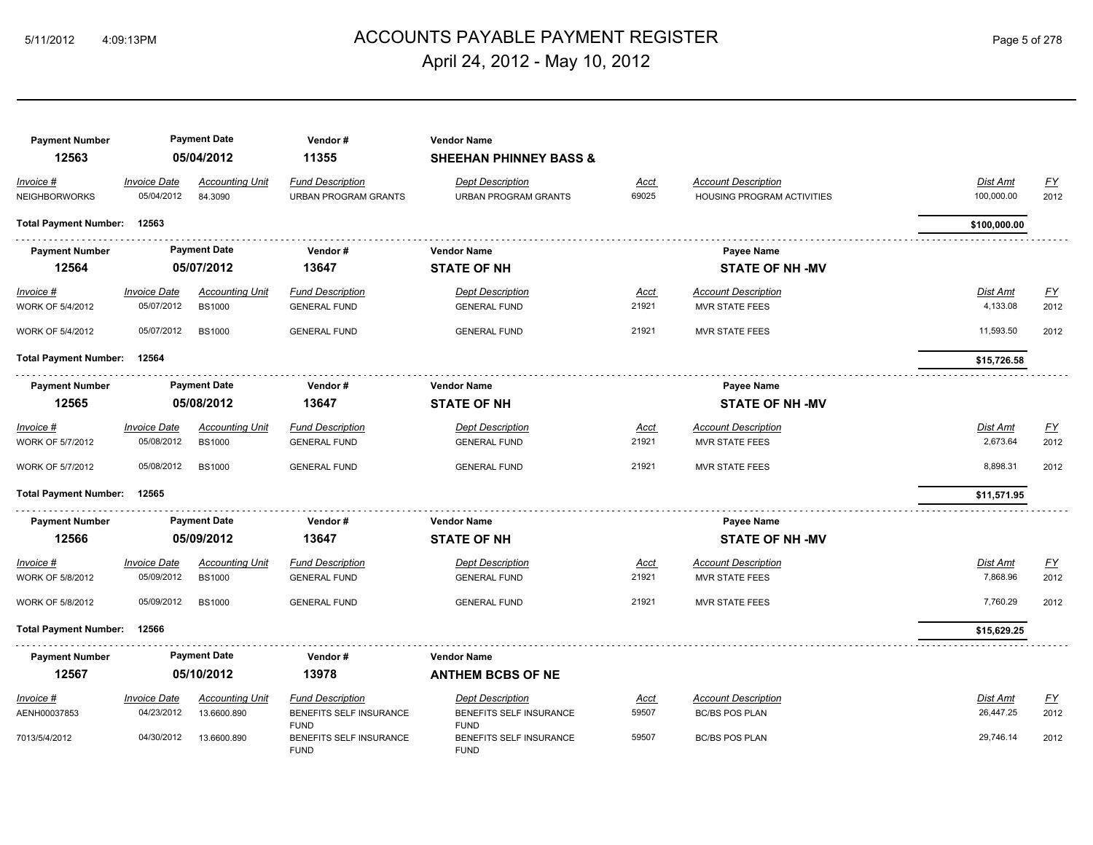## 5/11/2012 4:09:13PM ACCOUNTS PAYABLE PAYMENT REGISTER Page 5 of 278 April 24, 2012 - May 10, 2012

| <b>Payment Number</b><br>12563    |                                   | <b>Payment Date</b><br>05/04/2012 | Vendor#<br>11355                                       | <b>Vendor Name</b><br><b>SHEEHAN PHINNEY BASS &amp;</b> |                      |                                                          |                               |                   |
|-----------------------------------|-----------------------------------|-----------------------------------|--------------------------------------------------------|---------------------------------------------------------|----------------------|----------------------------------------------------------|-------------------------------|-------------------|
| Invoice #<br><b>NEIGHBORWORKS</b> | <b>Invoice Date</b><br>05/04/2012 | <b>Accounting Unit</b><br>84.3090 | <b>Fund Description</b><br><b>URBAN PROGRAM GRANTS</b> | <b>Dept Description</b><br><b>URBAN PROGRAM GRANTS</b>  | <u>Acct</u><br>69025 | <b>Account Description</b><br>HOUSING PROGRAM ACTIVITIES | <b>Dist Amt</b><br>100,000.00 | <u>FY</u><br>2012 |
| <b>Total Payment Number:</b>      | 12563                             |                                   |                                                        |                                                         |                      |                                                          | \$100,000.00                  |                   |
| <b>Payment Number</b>             |                                   | <b>Payment Date</b>               | Vendor#                                                | <b>Vendor Name</b>                                      |                      | <b>Payee Name</b>                                        |                               |                   |
| 12564                             |                                   | 05/07/2012                        | 13647                                                  | <b>STATE OF NH</b>                                      |                      | <b>STATE OF NH -MV</b>                                   |                               |                   |
| Invoice #                         | <b>Invoice Date</b>               | <b>Accounting Unit</b>            | <b>Fund Description</b>                                | <b>Dept Description</b>                                 | <u>Acct</u>          | <b>Account Description</b>                               | <b>Dist Amt</b>               | <u>FY</u>         |
| WORK OF 5/4/2012                  | 05/07/2012                        | <b>BS1000</b>                     | <b>GENERAL FUND</b>                                    | <b>GENERAL FUND</b>                                     | 21921                | <b>MVR STATE FEES</b>                                    | 4,133.08                      | 2012              |
| WORK OF 5/4/2012                  | 05/07/2012                        | <b>BS1000</b>                     | <b>GENERAL FUND</b>                                    | <b>GENERAL FUND</b>                                     | 21921                | <b>MVR STATE FEES</b>                                    | 11,593.50                     | 2012              |
| <b>Total Payment Number:</b>      | 12564                             |                                   |                                                        |                                                         |                      |                                                          | \$15,726.58                   |                   |
| <b>Payment Number</b>             |                                   | <b>Payment Date</b>               | Vendor#                                                | <b>Vendor Name</b>                                      |                      | Payee Name                                               |                               |                   |
| 12565                             |                                   | 05/08/2012                        | 13647                                                  | <b>STATE OF NH</b>                                      |                      | <b>STATE OF NH-MV</b>                                    |                               |                   |
| Invoice #                         | <b>Invoice Date</b>               | <b>Accounting Unit</b>            | <b>Fund Description</b>                                | <b>Dept Description</b>                                 | <b>Acct</b>          | <b>Account Description</b>                               | Dist Amt                      | <u>FY</u>         |
| WORK OF 5/7/2012                  | 05/08/2012                        | <b>BS1000</b>                     | <b>GENERAL FUND</b>                                    | <b>GENERAL FUND</b>                                     | 21921                | <b>MVR STATE FEES</b>                                    | 2,673.64                      | 2012              |
| WORK OF 5/7/2012                  | 05/08/2012                        | <b>BS1000</b>                     | <b>GENERAL FUND</b>                                    | <b>GENERAL FUND</b>                                     | 21921                | <b>MVR STATE FEES</b>                                    | 8,898.31                      | 2012              |
| <b>Total Payment Number:</b>      | 12565                             |                                   |                                                        |                                                         |                      |                                                          | \$11,571.95                   |                   |
| <b>Payment Number</b>             |                                   | <b>Payment Date</b>               | Vendor#                                                | <b>Vendor Name</b>                                      |                      | Payee Name                                               |                               |                   |
| 12566                             |                                   | 05/09/2012                        | 13647                                                  | <b>STATE OF NH</b>                                      |                      | <b>STATE OF NH -MV</b>                                   |                               |                   |
| <i>Invoice</i> #                  | <b>Invoice Date</b>               | <b>Accounting Unit</b>            | <b>Fund Description</b>                                | <b>Dept Description</b>                                 | <u>Acct</u>          | <b>Account Description</b>                               | Dist Amt                      | <u>FY</u>         |
| WORK OF 5/8/2012                  | 05/09/2012                        | <b>BS1000</b>                     | <b>GENERAL FUND</b>                                    | <b>GENERAL FUND</b>                                     | 21921                | MVR STATE FEES                                           | 7,868.96                      | 2012              |
| WORK OF 5/8/2012                  | 05/09/2012                        | <b>BS1000</b>                     | <b>GENERAL FUND</b>                                    | <b>GENERAL FUND</b>                                     | 21921                | <b>MVR STATE FEES</b>                                    | 7,760.29                      | 2012              |
| <b>Total Payment Number:</b>      | 12566                             |                                   |                                                        |                                                         |                      |                                                          | \$15,629.25                   |                   |
| <b>Payment Number</b>             |                                   | <b>Payment Date</b>               | Vendor#                                                | <b>Vendor Name</b>                                      |                      |                                                          |                               |                   |
| 12567                             |                                   | 05/10/2012                        | 13978                                                  | <b>ANTHEM BCBS OF NE</b>                                |                      |                                                          |                               |                   |
| Invoice #                         | <b>Invoice Date</b>               | <b>Accounting Unit</b>            | <b>Fund Description</b>                                | <b>Dept Description</b>                                 | <u>Acct</u>          | <b>Account Description</b>                               | Dist Amt                      | EY                |
| AENH00037853                      | 04/23/2012                        | 13.6600.890                       | BENEFITS SELF INSURANCE<br><b>FUND</b>                 | BENEFITS SELF INSURANCE<br><b>FUND</b>                  | 59507                | <b>BC/BS POS PLAN</b>                                    | 26,447.25                     | 2012              |
| 7013/5/4/2012                     | 04/30/2012                        | 13.6600.890                       | BENEFITS SELF INSURANCE<br><b>FUND</b>                 | BENEFITS SELF INSURANCE<br><b>FUND</b>                  | 59507                | <b>BC/BS POS PLAN</b>                                    | 29,746.14                     | 2012              |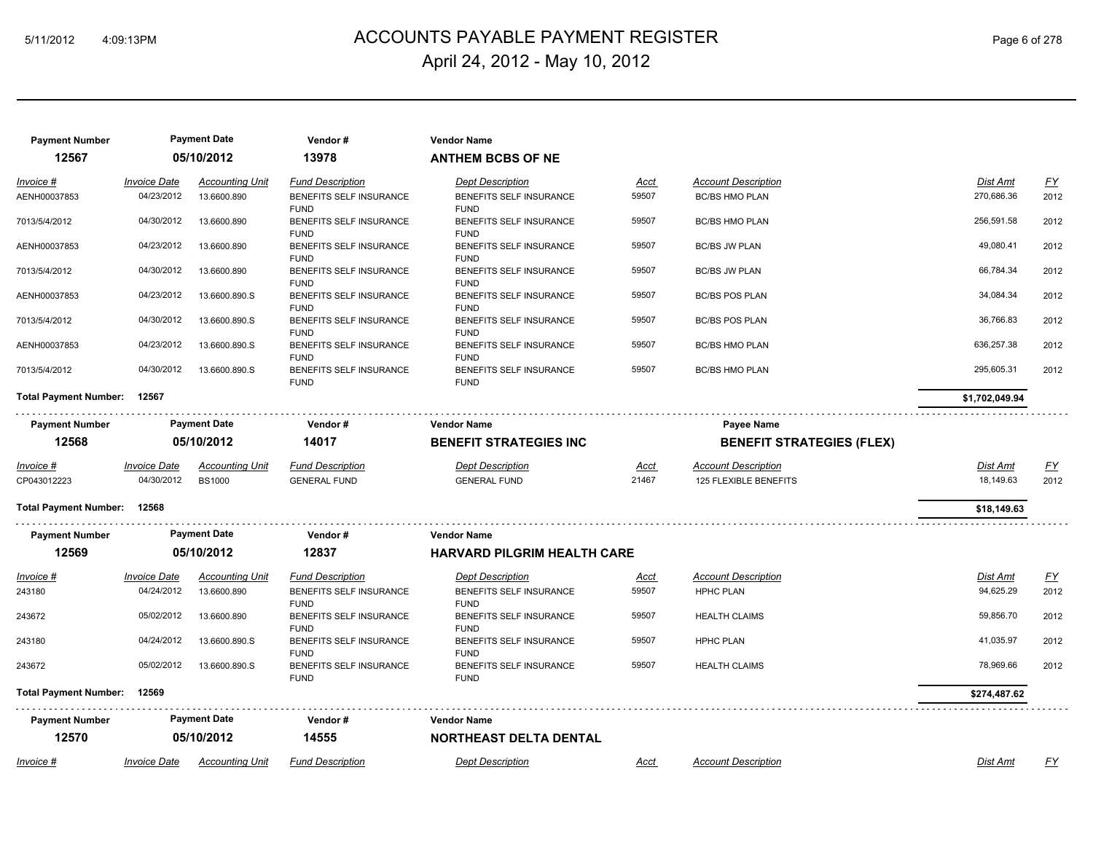## 5/11/2012 4:09:13PM ACCOUNTS PAYABLE PAYMENT REGISTER Page 6 of 278 April 24, 2012 - May 10, 2012

| <b>Payment Number</b><br>12567 |                                   | <b>Payment Date</b><br>05/10/2012     | Vendor#<br>13978                                   | <b>Vendor Name</b><br><b>ANTHEM BCBS OF NE</b>     |               |                                                     |                               |                          |
|--------------------------------|-----------------------------------|---------------------------------------|----------------------------------------------------|----------------------------------------------------|---------------|-----------------------------------------------------|-------------------------------|--------------------------|
|                                |                                   |                                       |                                                    |                                                    |               |                                                     |                               |                          |
| Invoice #<br>AENH00037853      | <b>Invoice Date</b><br>04/23/2012 | <b>Accounting Unit</b><br>13.6600.890 | <b>Fund Description</b><br>BENEFITS SELF INSURANCE | <b>Dept Description</b><br>BENEFITS SELF INSURANCE | Acct<br>59507 | <b>Account Description</b><br><b>BC/BS HMO PLAN</b> | <b>Dist Amt</b><br>270,686.36 | $\underline{FY}$<br>2012 |
|                                |                                   |                                       | <b>FUND</b>                                        | <b>FUND</b>                                        |               |                                                     |                               |                          |
| 7013/5/4/2012                  | 04/30/2012                        | 13.6600.890                           | BENEFITS SELF INSURANCE                            | BENEFITS SELF INSURANCE                            | 59507         | <b>BC/BS HMO PLAN</b>                               | 256,591.58                    | 2012                     |
|                                |                                   |                                       | <b>FUND</b>                                        | <b>FUND</b>                                        |               |                                                     |                               |                          |
| AENH00037853                   | 04/23/2012                        | 13.6600.890                           | <b>BENEFITS SELF INSURANCE</b>                     | BENEFITS SELF INSURANCE                            | 59507         | <b>BC/BS JW PLAN</b>                                | 49,080.41                     | 2012                     |
| 7013/5/4/2012                  | 04/30/2012                        | 13.6600.890                           | <b>FUND</b><br>BENEFITS SELF INSURANCE             | <b>FUND</b><br>BENEFITS SELF INSURANCE             | 59507         | <b>BC/BS JW PLAN</b>                                | 66,784.34                     | 2012                     |
|                                |                                   |                                       | <b>FUND</b>                                        | <b>FUND</b>                                        |               |                                                     |                               |                          |
| AENH00037853                   | 04/23/2012                        | 13.6600.890.S                         | BENEFITS SELF INSURANCE                            | BENEFITS SELF INSURANCE                            | 59507         | <b>BC/BS POS PLAN</b>                               | 34,084.34                     | 2012                     |
|                                |                                   |                                       | <b>FUND</b>                                        | <b>FUND</b>                                        |               |                                                     |                               |                          |
| 7013/5/4/2012                  | 04/30/2012                        | 13.6600.890.S                         | BENEFITS SELF INSURANCE                            | BENEFITS SELF INSURANCE                            | 59507         | <b>BC/BS POS PLAN</b>                               | 36,766.83                     | 2012                     |
| AENH00037853                   | 04/23/2012                        | 13.6600.890.S                         | <b>FUND</b><br>BENEFITS SELF INSURANCE             | <b>FUND</b><br>BENEFITS SELF INSURANCE             | 59507         | <b>BC/BS HMO PLAN</b>                               | 636,257.38                    | 2012                     |
|                                |                                   |                                       | <b>FUND</b>                                        | <b>FUND</b>                                        |               |                                                     |                               |                          |
| 7013/5/4/2012                  | 04/30/2012                        | 13.6600.890.S                         | <b>BENEFITS SELF INSURANCE</b>                     | <b>BENEFITS SELF INSURANCE</b>                     | 59507         | <b>BC/BS HMO PLAN</b>                               | 295,605.31                    | 2012                     |
|                                |                                   |                                       | <b>FUND</b>                                        | <b>FUND</b>                                        |               |                                                     |                               |                          |
| <b>Total Payment Number:</b>   | 12567                             |                                       |                                                    |                                                    |               |                                                     | \$1,702,049.94                |                          |
| <b>Payment Number</b>          |                                   | <b>Payment Date</b>                   | Vendor#                                            | <b>Vendor Name</b>                                 |               | Payee Name                                          |                               |                          |
| 12568                          |                                   |                                       | 14017                                              |                                                    |               |                                                     |                               |                          |
|                                |                                   | 05/10/2012                            |                                                    | <b>BENEFIT STRATEGIES INC</b>                      |               | <b>BENEFIT STRATEGIES (FLEX)</b>                    |                               |                          |
| <u>Invoice #</u>               | <b>Invoice Date</b>               | <b>Accounting Unit</b>                | <b>Fund Description</b>                            | <b>Dept Description</b>                            | <u>Acct</u>   | <b>Account Description</b>                          | <b>Dist Amt</b>               | <u>FY</u>                |
| CP043012223                    | 04/30/2012                        | <b>BS1000</b>                         | <b>GENERAL FUND</b>                                | <b>GENERAL FUND</b>                                | 21467         | 125 FLEXIBLE BENEFITS                               | 18,149.63                     | 2012                     |
| Total Payment Number: 12568    |                                   |                                       |                                                    |                                                    |               |                                                     | \$18,149.63                   |                          |
|                                |                                   | <b>Payment Date</b>                   |                                                    | <b>Vendor Name</b>                                 |               |                                                     |                               |                          |
| <b>Payment Number</b>          |                                   |                                       | Vendor#                                            |                                                    |               |                                                     |                               |                          |
| 12569                          |                                   | 05/10/2012                            | 12837                                              | <b>HARVARD PILGRIM HEALTH CARE</b>                 |               |                                                     |                               |                          |
| Invoice #                      | <b>Invoice Date</b>               | <b>Accounting Unit</b>                | <b>Fund Description</b>                            | <b>Dept Description</b>                            | <u>Acct</u>   | <b>Account Description</b>                          | Dist Amt                      | $\underline{FY}$         |
| 243180                         | 04/24/2012                        | 13.6600.890                           | BENEFITS SELF INSURANCE                            | BENEFITS SELF INSURANCE                            | 59507         | <b>HPHC PLAN</b>                                    | 94,625.29                     | 2012                     |
|                                |                                   |                                       | <b>FUND</b>                                        | <b>FUND</b>                                        |               |                                                     |                               |                          |
| 243672                         | 05/02/2012                        | 13.6600.890                           | BENEFITS SELF INSURANCE                            | BENEFITS SELF INSURANCE                            | 59507         | <b>HEALTH CLAIMS</b>                                | 59,856.70                     | 2012                     |
| 243180                         | 04/24/2012                        | 13.6600.890.S                         | <b>FUND</b><br>BENEFITS SELF INSURANCE             | <b>FUND</b><br>BENEFITS SELF INSURANCE             | 59507         | <b>HPHC PLAN</b>                                    | 41,035.97                     | 2012                     |
|                                |                                   |                                       | <b>FUND</b>                                        | <b>FUND</b>                                        |               |                                                     |                               |                          |
| 243672                         | 05/02/2012                        | 13.6600.890.S                         | BENEFITS SELF INSURANCE                            | BENEFITS SELF INSURANCE                            | 59507         | <b>HEALTH CLAIMS</b>                                | 78,969.66                     | 2012                     |
|                                |                                   |                                       | <b>FUND</b>                                        | <b>FUND</b>                                        |               |                                                     |                               |                          |
| <b>Total Payment Number:</b>   | 12569                             |                                       |                                                    |                                                    |               |                                                     | \$274,487.62                  |                          |
| <b>Payment Number</b>          |                                   | <b>Payment Date</b>                   | Vendor#                                            | <b>Vendor Name</b>                                 |               |                                                     |                               |                          |
| 12570                          |                                   | 05/10/2012                            | 14555                                              | <b>NORTHEAST DELTA DENTAL</b>                      |               |                                                     |                               |                          |
|                                |                                   |                                       |                                                    |                                                    |               |                                                     |                               |                          |
| Invoice #                      | <b>Invoice Date</b>               | <b>Accounting Unit</b>                | <b>Fund Description</b>                            | <b>Dept Description</b>                            | Acct          | <b>Account Description</b>                          | <b>Dist Amt</b>               | <b>FY</b>                |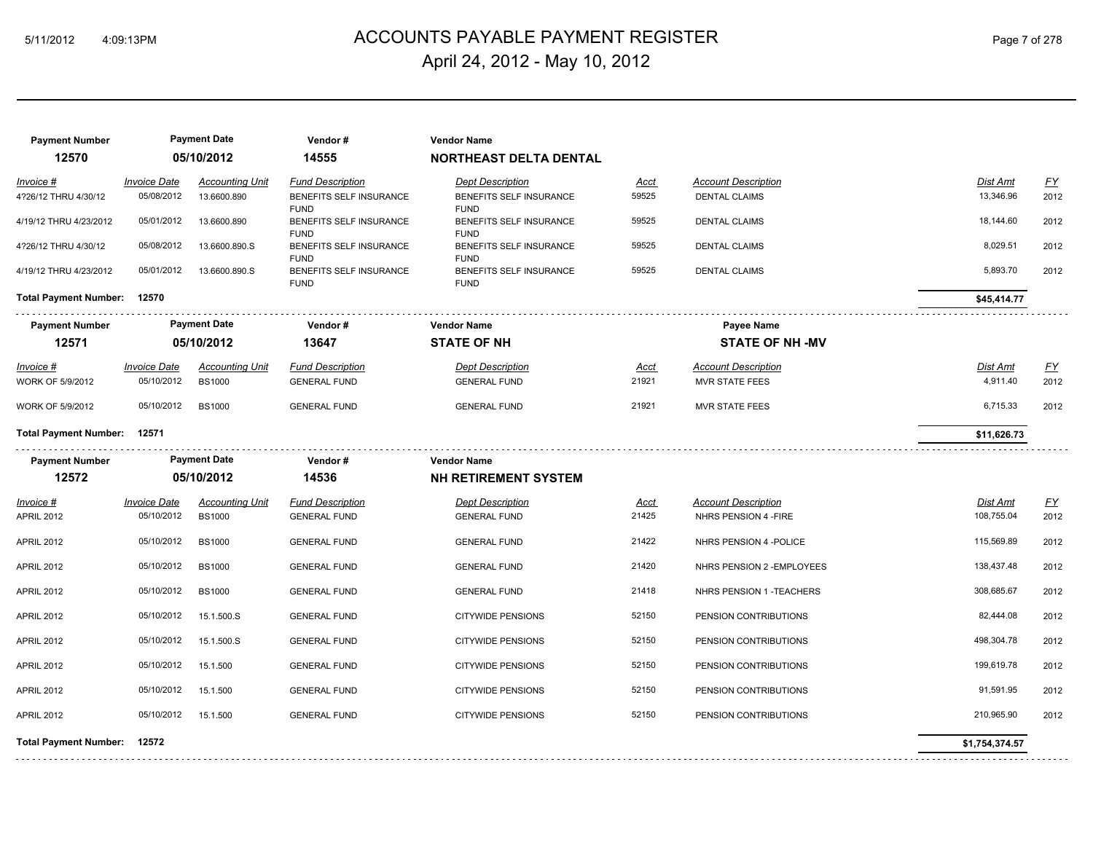## 5/11/2012 4:09:13PM ACCOUNTS PAYABLE PAYMENT REGISTER Page 7 of 278 April 24, 2012 - May 10, 2012

| <b>Payment Number</b><br>12570 |                     | <b>Payment Date</b><br>05/10/2012 | Vendor#<br>14555                       | <b>Vendor Name</b><br><b>NORTHEAST DELTA DENTAL</b> |       |                            |                 |                  |
|--------------------------------|---------------------|-----------------------------------|----------------------------------------|-----------------------------------------------------|-------|----------------------------|-----------------|------------------|
| Invoice #                      | <b>Invoice Date</b> | <b>Accounting Unit</b>            | <b>Fund Description</b>                | <b>Dept Description</b>                             | Acct  | <b>Account Description</b> | Dist Amt        | $\underline{FY}$ |
| 4?26/12 THRU 4/30/12           | 05/08/2012          | 13.6600.890                       | BENEFITS SELF INSURANCE<br><b>FUND</b> | BENEFITS SELF INSURANCE<br><b>FUND</b>              | 59525 | <b>DENTAL CLAIMS</b>       | 13,346.96       | 2012             |
| 4/19/12 THRU 4/23/2012         | 05/01/2012          | 13.6600.890                       | BENEFITS SELF INSURANCE<br><b>FUND</b> | BENEFITS SELF INSURANCE<br><b>FUND</b>              | 59525 | <b>DENTAL CLAIMS</b>       | 18,144.60       | 2012             |
| 4?26/12 THRU 4/30/12           | 05/08/2012          | 13.6600.890.S                     | BENEFITS SELF INSURANCE<br><b>FUND</b> | BENEFITS SELF INSURANCE<br><b>FUND</b>              | 59525 | <b>DENTAL CLAIMS</b>       | 8,029.51        | 2012             |
| 4/19/12 THRU 4/23/2012         | 05/01/2012          | 13.6600.890.S                     | BENEFITS SELF INSURANCE<br><b>FUND</b> | BENEFITS SELF INSURANCE<br><b>FUND</b>              | 59525 | <b>DENTAL CLAIMS</b>       | 5,893.70        | 2012             |
| <b>Total Payment Number:</b>   | 12570               |                                   |                                        |                                                     |       |                            | \$45,414.77     |                  |
| <b>Payment Number</b>          |                     | <b>Payment Date</b>               | Vendor#                                | <b>Vendor Name</b>                                  |       | Payee Name                 |                 |                  |
| 12571                          |                     | 05/10/2012                        | 13647                                  | <b>STATE OF NH</b>                                  |       | <b>STATE OF NH -MV</b>     |                 |                  |
| $Invoice$ #                    | <b>Invoice Date</b> | <b>Accounting Unit</b>            | <b>Fund Description</b>                | <b>Dept Description</b>                             | Acct  | <b>Account Description</b> | <b>Dist Amt</b> | <u>FY</u>        |
| WORK OF 5/9/2012               | 05/10/2012          | <b>BS1000</b>                     | <b>GENERAL FUND</b>                    | <b>GENERAL FUND</b>                                 | 21921 | <b>MVR STATE FEES</b>      | 4,911.40        | 2012             |
| WORK OF 5/9/2012               | 05/10/2012          | <b>BS1000</b>                     | <b>GENERAL FUND</b>                    | <b>GENERAL FUND</b>                                 | 21921 | <b>MVR STATE FEES</b>      | 6,715.33        | 2012             |
| <b>Total Payment Number:</b>   | 12571               |                                   |                                        |                                                     |       |                            | \$11,626.73     |                  |
| <b>Payment Number</b>          |                     | <b>Payment Date</b>               | Vendor#                                | <b>Vendor Name</b>                                  |       |                            |                 |                  |
| 12572                          |                     | 05/10/2012                        | 14536                                  | <b>NH RETIREMENT SYSTEM</b>                         |       |                            |                 |                  |
| Invoice #                      | <b>Invoice Date</b> | <b>Accounting Unit</b>            | <b>Fund Description</b>                | <b>Dept Description</b>                             | Acct  | <b>Account Description</b> | Dist Amt        | EY               |
| <b>APRIL 2012</b>              | 05/10/2012          | <b>BS1000</b>                     | <b>GENERAL FUND</b>                    | <b>GENERAL FUND</b>                                 | 21425 | NHRS PENSION 4 - FIRE      | 108,755.04      | 2012             |
| <b>APRIL 2012</b>              | 05/10/2012          | <b>BS1000</b>                     | <b>GENERAL FUND</b>                    | <b>GENERAL FUND</b>                                 | 21422 | NHRS PENSION 4 - POLICE    | 115,569.89      | 2012             |
| <b>APRIL 2012</b>              | 05/10/2012          | <b>BS1000</b>                     | <b>GENERAL FUND</b>                    | <b>GENERAL FUND</b>                                 | 21420 | NHRS PENSION 2 - EMPLOYEES | 138,437.48      | 2012             |
| <b>APRIL 2012</b>              | 05/10/2012          | <b>BS1000</b>                     | <b>GENERAL FUND</b>                    | <b>GENERAL FUND</b>                                 | 21418 | NHRS PENSION 1 - TEACHERS  | 308,685.67      | 2012             |
| <b>APRIL 2012</b>              | 05/10/2012          | 15.1.500.S                        | <b>GENERAL FUND</b>                    | <b>CITYWIDE PENSIONS</b>                            | 52150 | PENSION CONTRIBUTIONS      | 82,444.08       | 2012             |
| <b>APRIL 2012</b>              | 05/10/2012          | 15.1.500.S                        | <b>GENERAL FUND</b>                    | <b>CITYWIDE PENSIONS</b>                            | 52150 | PENSION CONTRIBUTIONS      | 498,304.78      | 2012             |
| <b>APRIL 2012</b>              | 05/10/2012          | 15.1.500                          | <b>GENERAL FUND</b>                    | CITYWIDE PENSIONS                                   | 52150 | PENSION CONTRIBUTIONS      | 199,619.78      | 2012             |
| <b>APRIL 2012</b>              | 05/10/2012          | 15.1.500                          | <b>GENERAL FUND</b>                    | <b>CITYWIDE PENSIONS</b>                            | 52150 | PENSION CONTRIBUTIONS      | 91,591.95       | 2012             |
| <b>APRIL 2012</b>              | 05/10/2012          | 15.1.500                          | <b>GENERAL FUND</b>                    | <b>CITYWIDE PENSIONS</b>                            | 52150 | PENSION CONTRIBUTIONS      | 210,965.90      | 2012             |
| <b>Total Payment Number:</b>   | 12572               |                                   |                                        |                                                     |       |                            | \$1,754,374.57  |                  |
|                                |                     |                                   |                                        |                                                     |       |                            |                 |                  |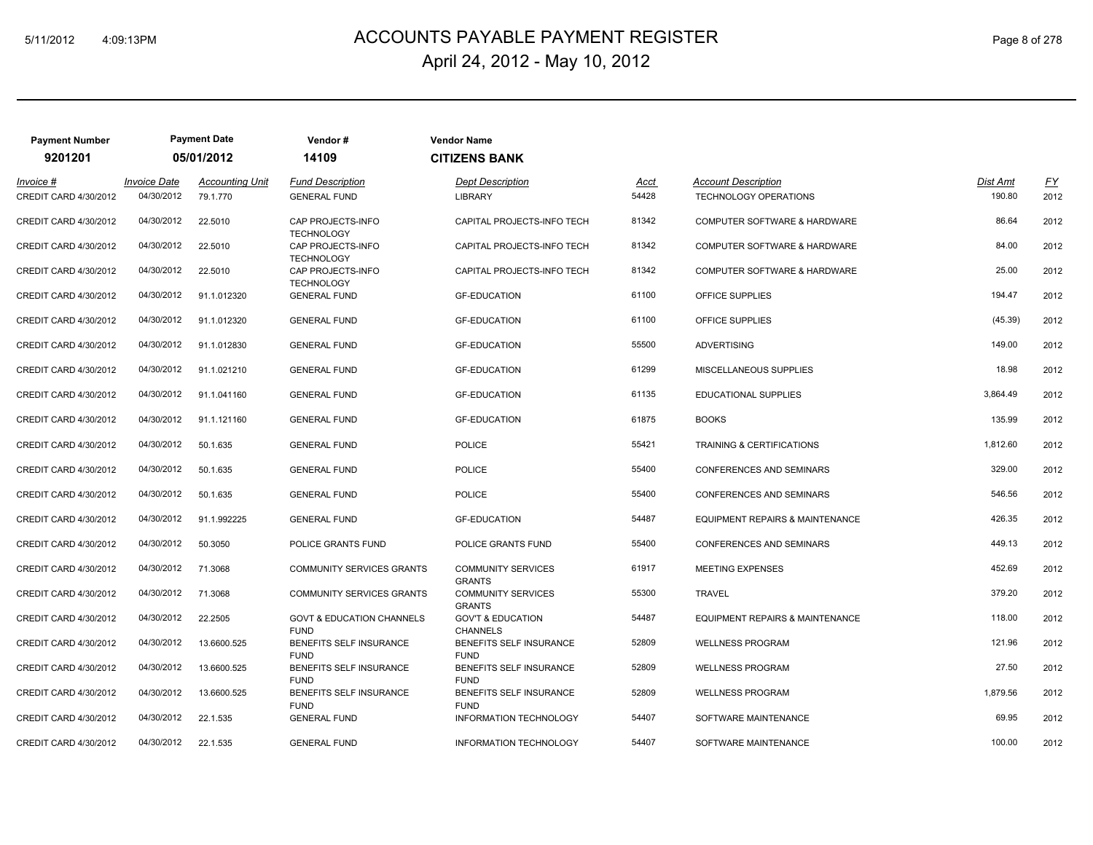## 5/11/2012 4:09:13PM ACCOUNTS PAYABLE PAYMENT REGISTER Page 8 of 278 April 24, 2012 - May 10, 2012

| <b>Payment Number</b>              |                                   | <b>Payment Date</b>                | Vendor#                                                     | <b>Vendor Name</b>                              |                      |                                                     |                    |            |
|------------------------------------|-----------------------------------|------------------------------------|-------------------------------------------------------------|-------------------------------------------------|----------------------|-----------------------------------------------------|--------------------|------------|
| 9201201                            |                                   | 05/01/2012                         | 14109                                                       | <b>CITIZENS BANK</b>                            |                      |                                                     |                    |            |
| Invoice #<br>CREDIT CARD 4/30/2012 | <b>Invoice Date</b><br>04/30/2012 | <b>Accounting Unit</b><br>79.1.770 | <b>Fund Description</b><br><b>GENERAL FUND</b>              | <b>Dept Description</b><br><b>LIBRARY</b>       | <u>Acct</u><br>54428 | <b>Account Description</b><br>TECHNOLOGY OPERATIONS | Dist Amt<br>190.80 | EY<br>2012 |
| CREDIT CARD 4/30/2012              | 04/30/2012                        | 22.5010                            | CAP PROJECTS-INFO                                           | CAPITAL PROJECTS-INFO TECH                      | 81342                | COMPUTER SOFTWARE & HARDWARE                        | 86.64              | 2012       |
| CREDIT CARD 4/30/2012              | 04/30/2012                        | 22.5010                            | <b>TECHNOLOGY</b><br>CAP PROJECTS-INFO<br><b>TECHNOLOGY</b> | CAPITAL PROJECTS-INFO TECH                      | 81342                | COMPUTER SOFTWARE & HARDWARE                        | 84.00              | 2012       |
| CREDIT CARD 4/30/2012              | 04/30/2012                        | 22.5010                            | CAP PROJECTS-INFO<br><b>TECHNOLOGY</b>                      | CAPITAL PROJECTS-INFO TECH                      | 81342                | COMPUTER SOFTWARE & HARDWARE                        | 25.00              | 2012       |
| CREDIT CARD 4/30/2012              | 04/30/2012                        | 91.1.012320                        | <b>GENERAL FUND</b>                                         | <b>GF-EDUCATION</b>                             | 61100                | OFFICE SUPPLIES                                     | 194.47             | 2012       |
| CREDIT CARD 4/30/2012              | 04/30/2012                        | 91.1.012320                        | <b>GENERAL FUND</b>                                         | <b>GF-EDUCATION</b>                             | 61100                | OFFICE SUPPLIES                                     | (45.39)            | 2012       |
| CREDIT CARD 4/30/2012              | 04/30/2012                        | 91.1.012830                        | <b>GENERAL FUND</b>                                         | <b>GF-EDUCATION</b>                             | 55500                | <b>ADVERTISING</b>                                  | 149.00             | 2012       |
| CREDIT CARD 4/30/2012              | 04/30/2012                        | 91.1.021210                        | <b>GENERAL FUND</b>                                         | <b>GF-EDUCATION</b>                             | 61299                | MISCELLANEOUS SUPPLIES                              | 18.98              | 2012       |
| CREDIT CARD 4/30/2012              | 04/30/2012                        | 91.1.041160                        | <b>GENERAL FUND</b>                                         | <b>GF-EDUCATION</b>                             | 61135                | EDUCATIONAL SUPPLIES                                | 3,864.49           | 2012       |
| CREDIT CARD 4/30/2012              | 04/30/2012                        | 91.1.121160                        | <b>GENERAL FUND</b>                                         | <b>GF-EDUCATION</b>                             | 61875                | <b>BOOKS</b>                                        | 135.99             | 2012       |
| CREDIT CARD 4/30/2012              | 04/30/2012                        | 50.1.635                           | <b>GENERAL FUND</b>                                         | <b>POLICE</b>                                   | 55421                | <b>TRAINING &amp; CERTIFICATIONS</b>                | 1,812.60           | 2012       |
| CREDIT CARD 4/30/2012              | 04/30/2012                        | 50.1.635                           | <b>GENERAL FUND</b>                                         | <b>POLICE</b>                                   | 55400                | <b>CONFERENCES AND SEMINARS</b>                     | 329.00             | 2012       |
| CREDIT CARD 4/30/2012              | 04/30/2012                        | 50.1.635                           | <b>GENERAL FUND</b>                                         | <b>POLICE</b>                                   | 55400                | <b>CONFERENCES AND SEMINARS</b>                     | 546.56             | 2012       |
| CREDIT CARD 4/30/2012              | 04/30/2012                        | 91.1.992225                        | <b>GENERAL FUND</b>                                         | <b>GF-EDUCATION</b>                             | 54487                | EQUIPMENT REPAIRS & MAINTENANCE                     | 426.35             | 2012       |
| <b>CREDIT CARD 4/30/2012</b>       | 04/30/2012                        | 50.3050                            | POLICE GRANTS FUND                                          | POLICE GRANTS FUND                              | 55400                | <b>CONFERENCES AND SEMINARS</b>                     | 449.13             | 2012       |
| CREDIT CARD 4/30/2012              | 04/30/2012                        | 71.3068                            | <b>COMMUNITY SERVICES GRANTS</b>                            | <b>COMMUNITY SERVICES</b><br><b>GRANTS</b>      | 61917                | <b>MEETING EXPENSES</b>                             | 452.69             | 2012       |
| CREDIT CARD 4/30/2012              | 04/30/2012                        | 71.3068                            | <b>COMMUNITY SERVICES GRANTS</b>                            | <b>COMMUNITY SERVICES</b><br><b>GRANTS</b>      | 55300                | <b>TRAVEL</b>                                       | 379.20             | 2012       |
| CREDIT CARD 4/30/2012              | 04/30/2012                        | 22.2505                            | <b>GOVT &amp; EDUCATION CHANNELS</b><br><b>FUND</b>         | <b>GOV'T &amp; EDUCATION</b><br><b>CHANNELS</b> | 54487                | EQUIPMENT REPAIRS & MAINTENANCE                     | 118.00             | 2012       |
| CREDIT CARD 4/30/2012              | 04/30/2012                        | 13.6600.525                        | BENEFITS SELF INSURANCE<br><b>FUND</b>                      | BENEFITS SELF INSURANCE<br><b>FUND</b>          | 52809                | <b>WELLNESS PROGRAM</b>                             | 121.96             | 2012       |
| CREDIT CARD 4/30/2012              | 04/30/2012                        | 13.6600.525                        | BENEFITS SELF INSURANCE<br><b>FUND</b>                      | BENEFITS SELF INSURANCE<br><b>FUND</b>          | 52809                | <b>WELLNESS PROGRAM</b>                             | 27.50              | 2012       |
| CREDIT CARD 4/30/2012              | 04/30/2012                        | 13.6600.525                        | BENEFITS SELF INSURANCE<br><b>FUND</b>                      | BENEFITS SELF INSURANCE<br><b>FUND</b>          | 52809                | <b>WELLNESS PROGRAM</b>                             | 1,879.56           | 2012       |
| CREDIT CARD 4/30/2012              | 04/30/2012                        | 22.1.535                           | <b>GENERAL FUND</b>                                         | INFORMATION TECHNOLOGY                          | 54407                | SOFTWARE MAINTENANCE                                | 69.95              | 2012       |
| CREDIT CARD 4/30/2012              | 04/30/2012                        | 22.1.535                           | <b>GENERAL FUND</b>                                         | INFORMATION TECHNOLOGY                          | 54407                | SOFTWARE MAINTENANCE                                | 100.00             | 2012       |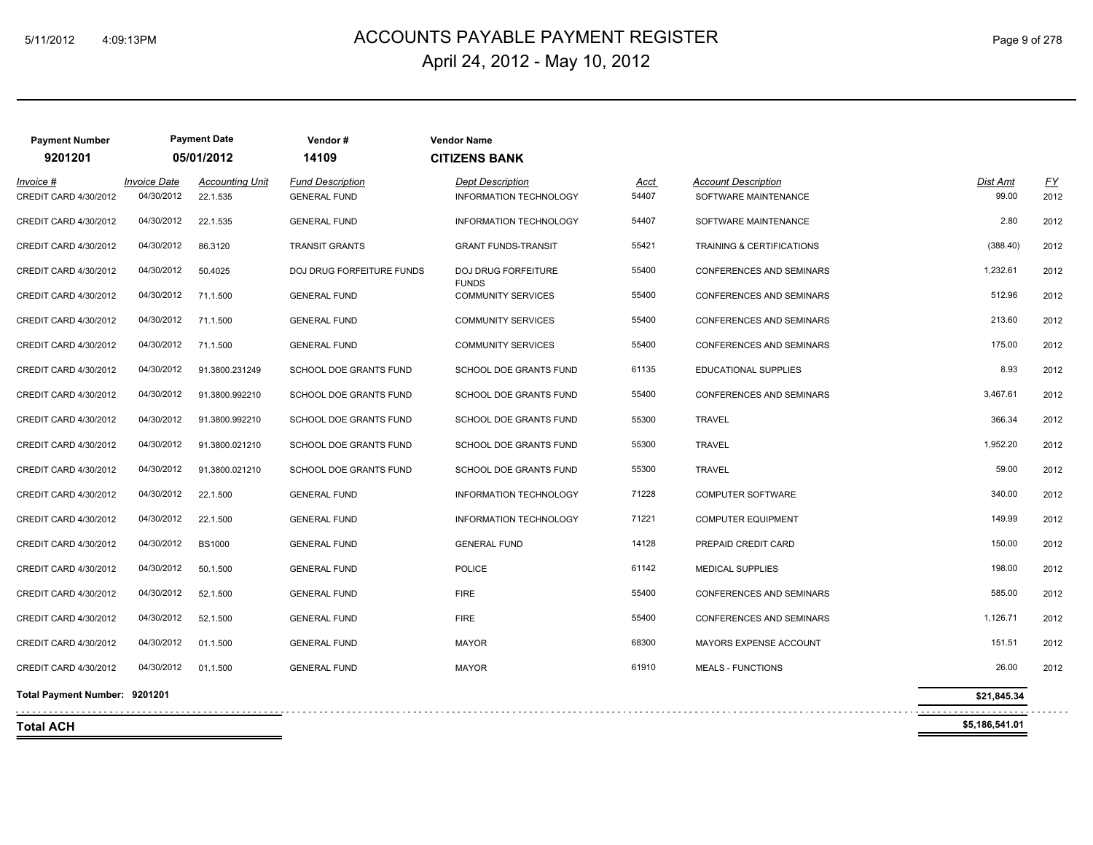## 5/11/2012 4:09:13PM ACCOUNTS PAYABLE PAYMENT REGISTER Page 9 of 278 April 24, 2012 - May 10, 2012

| <b>Payment Number</b><br>9201201   |                                   | <b>Payment Date</b><br>05/01/2012  | Vendor#<br>14109                               | <b>Vendor Name</b><br><b>CITIZENS BANK</b>        |               |                                                    |                   |                   |
|------------------------------------|-----------------------------------|------------------------------------|------------------------------------------------|---------------------------------------------------|---------------|----------------------------------------------------|-------------------|-------------------|
| Invoice #<br>CREDIT CARD 4/30/2012 | <b>Invoice Date</b><br>04/30/2012 | <b>Accounting Unit</b><br>22.1.535 | <b>Fund Description</b><br><b>GENERAL FUND</b> | <b>Dept Description</b><br>INFORMATION TECHNOLOGY | Acct<br>54407 | <b>Account Description</b><br>SOFTWARE MAINTENANCE | Dist Amt<br>99.00 | <u>FY</u><br>2012 |
| CREDIT CARD 4/30/2012              | 04/30/2012                        | 22.1.535                           | <b>GENERAL FUND</b>                            | <b>INFORMATION TECHNOLOGY</b>                     | 54407         | SOFTWARE MAINTENANCE                               | 2.80              | 2012              |
| CREDIT CARD 4/30/2012              | 04/30/2012                        | 86.3120                            | <b>TRANSIT GRANTS</b>                          | <b>GRANT FUNDS-TRANSIT</b>                        | 55421         | TRAINING & CERTIFICATIONS                          | (388.40)          | 2012              |
| CREDIT CARD 4/30/2012              | 04/30/2012                        | 50.4025                            | DOJ DRUG FORFEITURE FUNDS                      | DOJ DRUG FORFEITURE                               | 55400         | CONFERENCES AND SEMINARS                           | 1,232.61          | 2012              |
| CREDIT CARD 4/30/2012              | 04/30/2012                        | 71.1.500                           | <b>GENERAL FUND</b>                            | <b>FUNDS</b><br><b>COMMUNITY SERVICES</b>         | 55400         | CONFERENCES AND SEMINARS                           | 512.96            | 2012              |
| CREDIT CARD 4/30/2012              | 04/30/2012                        | 71.1.500                           | <b>GENERAL FUND</b>                            | <b>COMMUNITY SERVICES</b>                         | 55400         | <b>CONFERENCES AND SEMINARS</b>                    | 213.60            | 2012              |
| CREDIT CARD 4/30/2012              | 04/30/2012                        | 71.1.500                           | <b>GENERAL FUND</b>                            | <b>COMMUNITY SERVICES</b>                         | 55400         | <b>CONFERENCES AND SEMINARS</b>                    | 175.00            | 2012              |
| CREDIT CARD 4/30/2012              | 04/30/2012                        | 91.3800.231249                     | SCHOOL DOE GRANTS FUND                         | SCHOOL DOE GRANTS FUND                            | 61135         | EDUCATIONAL SUPPLIES                               | 8.93              | 2012              |
| CREDIT CARD 4/30/2012              | 04/30/2012                        | 91.3800.992210                     | SCHOOL DOE GRANTS FUND                         | SCHOOL DOE GRANTS FUND                            | 55400         | CONFERENCES AND SEMINARS                           | 3,467.61          | 2012              |
| CREDIT CARD 4/30/2012              | 04/30/2012                        | 91.3800.992210                     | SCHOOL DOE GRANTS FUND                         | SCHOOL DOE GRANTS FUND                            | 55300         | <b>TRAVEL</b>                                      | 366.34            | 2012              |
| CREDIT CARD 4/30/2012              | 04/30/2012                        | 91.3800.021210                     | SCHOOL DOE GRANTS FUND                         | SCHOOL DOE GRANTS FUND                            | 55300         | <b>TRAVEL</b>                                      | 1,952.20          | 2012              |
| CREDIT CARD 4/30/2012              | 04/30/2012                        | 91.3800.021210                     | SCHOOL DOE GRANTS FUND                         | SCHOOL DOE GRANTS FUND                            | 55300         | <b>TRAVEL</b>                                      | 59.00             | 2012              |
| CREDIT CARD 4/30/2012              | 04/30/2012                        | 22.1.500                           | <b>GENERAL FUND</b>                            | INFORMATION TECHNOLOGY                            | 71228         | <b>COMPUTER SOFTWARE</b>                           | 340.00            | 2012              |
| CREDIT CARD 4/30/2012              | 04/30/2012                        | 22.1.500                           | <b>GENERAL FUND</b>                            | <b>INFORMATION TECHNOLOGY</b>                     | 71221         | <b>COMPUTER EQUIPMENT</b>                          | 149.99            | 2012              |
| CREDIT CARD 4/30/2012              | 04/30/2012                        | <b>BS1000</b>                      | <b>GENERAL FUND</b>                            | <b>GENERAL FUND</b>                               | 14128         | PREPAID CREDIT CARD                                | 150.00            | 2012              |
| CREDIT CARD 4/30/2012              | 04/30/2012                        | 50.1.500                           | <b>GENERAL FUND</b>                            | <b>POLICE</b>                                     | 61142         | <b>MEDICAL SUPPLIES</b>                            | 198.00            | 2012              |
| CREDIT CARD 4/30/2012              | 04/30/2012                        | 52.1.500                           | <b>GENERAL FUND</b>                            | <b>FIRE</b>                                       | 55400         | CONFERENCES AND SEMINARS                           | 585.00            | 2012              |
| CREDIT CARD 4/30/2012              | 04/30/2012                        | 52.1.500                           | <b>GENERAL FUND</b>                            | <b>FIRE</b>                                       | 55400         | CONFERENCES AND SEMINARS                           | 1,126.71          | 2012              |
| CREDIT CARD 4/30/2012              | 04/30/2012                        | 01.1.500                           | <b>GENERAL FUND</b>                            | <b>MAYOR</b>                                      | 68300         | MAYORS EXPENSE ACCOUNT                             | 151.51            | 2012              |
| CREDIT CARD 4/30/2012              | 04/30/2012                        | 01.1.500                           | <b>GENERAL FUND</b>                            | <b>MAYOR</b>                                      | 61910         | <b>MEALS - FUNCTIONS</b>                           | 26.00             | 2012              |
| Total Payment Number: 9201201      |                                   |                                    |                                                |                                                   |               |                                                    | \$21,845.34       |                   |
| <b>Total ACH</b>                   |                                   |                                    |                                                |                                                   |               |                                                    | \$5,186,541.01    |                   |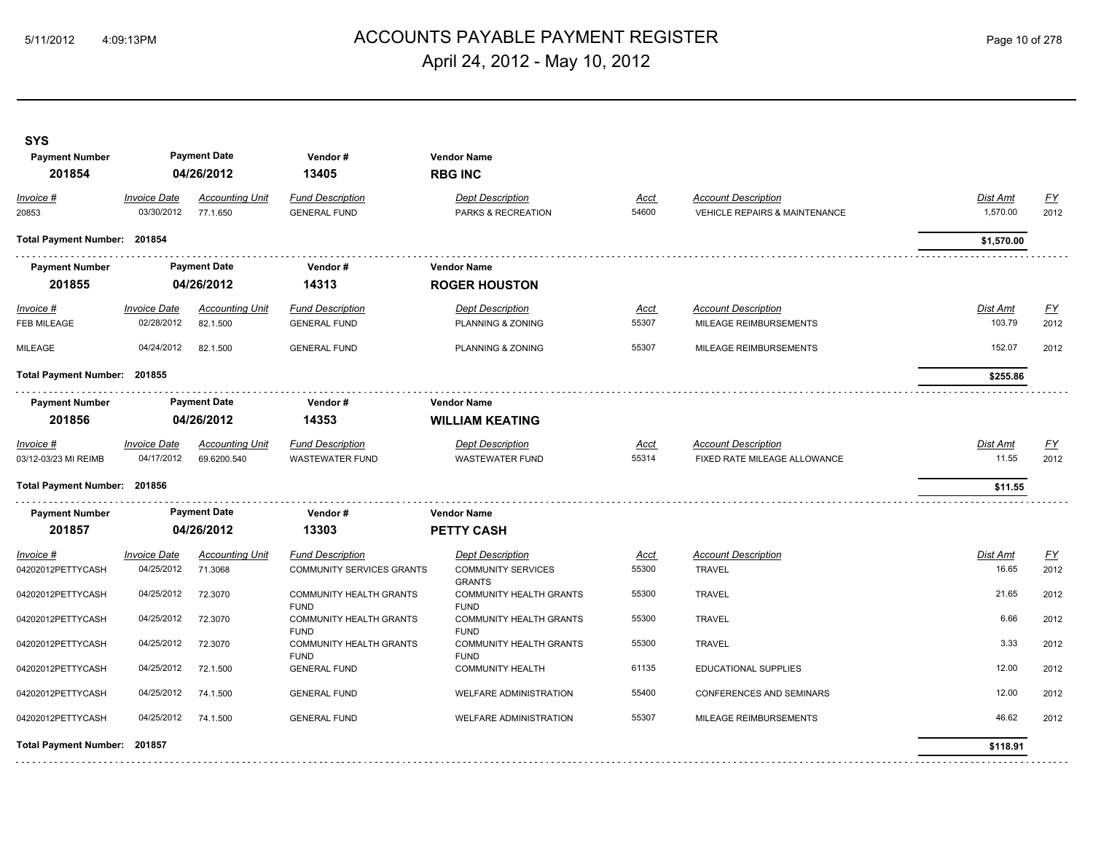## ACCOUNTS PAYABLE PAYMENT REGISTER 5/11/2012 4:09:13PM Page 10 of 278 April 24, 2012 - May 10, 2012

| <b>SYS</b><br><b>Payment Number</b><br>201854 |                                   | <b>Payment Date</b><br>04/26/2012     | Vendor#<br>13405                                            | <b>Vendor Name</b><br><b>RBG INC</b>                                  |                      |                                                                        |                           |                   |
|-----------------------------------------------|-----------------------------------|---------------------------------------|-------------------------------------------------------------|-----------------------------------------------------------------------|----------------------|------------------------------------------------------------------------|---------------------------|-------------------|
| Invoice #<br>20853                            | <b>Invoice Date</b><br>03/30/2012 | <b>Accounting Unit</b><br>77.1.650    | <b>Fund Description</b><br><b>GENERAL FUND</b>              | <b>Dept Description</b><br>PARKS & RECREATION                         | <u>Acct</u><br>54600 | <b>Account Description</b><br><b>VEHICLE REPAIRS &amp; MAINTENANCE</b> | Dist Amt<br>1,570.00      | <u>FY</u><br>2012 |
| Total Payment Number: 201854                  |                                   |                                       |                                                             |                                                                       |                      |                                                                        | \$1,570.00                |                   |
| <b>Payment Number</b>                         |                                   | <b>Payment Date</b>                   | Vendor#                                                     | <b>Vendor Name</b>                                                    |                      |                                                                        |                           |                   |
| 201855                                        |                                   | 04/26/2012                            | 14313                                                       | <b>ROGER HOUSTON</b>                                                  |                      |                                                                        |                           |                   |
| $Invoice$ #<br>FEB MILEAGE                    | <b>Invoice Date</b><br>02/28/2012 | <b>Accounting Unit</b><br>82.1.500    | <b>Fund Description</b><br><b>GENERAL FUND</b>              | <b>Dept Description</b><br>PLANNING & ZONING                          | <u>Acct</u><br>55307 | <b>Account Description</b><br>MILEAGE REIMBURSEMENTS                   | <b>Dist Amt</b><br>103.79 | <u>FY</u><br>2012 |
| MILEAGE                                       | 04/24/2012                        | 82.1.500                              | <b>GENERAL FUND</b>                                         | PLANNING & ZONING                                                     | 55307                | MILEAGE REIMBURSEMENTS                                                 | 152.07                    | 2012              |
| Total Payment Number: 201855                  |                                   |                                       |                                                             |                                                                       |                      |                                                                        | \$255.86                  |                   |
| <b>Payment Number</b><br>201856               |                                   | <b>Payment Date</b><br>04/26/2012     | Vendor#<br>14353                                            | <b>Vendor Name</b><br><b>WILLIAM KEATING</b>                          |                      |                                                                        |                           |                   |
| Invoice #<br>03/12-03/23 MI REIMB             | <b>Invoice Date</b><br>04/17/2012 | <b>Accounting Unit</b><br>69.6200.540 | <b>Fund Description</b><br>WASTEWATER FUND                  | <b>Dept Description</b><br><b>WASTEWATER FUND</b>                     | Acct<br>55314        | <b>Account Description</b><br>FIXED RATE MILEAGE ALLOWANCE             | Dist Amt<br>11.55         | <u>FY</u><br>2012 |
| Total Payment Number: 201856                  |                                   |                                       |                                                             |                                                                       |                      |                                                                        | \$11.55                   |                   |
| <b>Payment Number</b>                         |                                   | <b>Payment Date</b>                   | Vendor#                                                     | <b>Vendor Name</b>                                                    |                      |                                                                        |                           |                   |
| 201857                                        |                                   | 04/26/2012                            | 13303                                                       | <b>PETTY CASH</b>                                                     |                      |                                                                        |                           |                   |
| Invoice #<br>04202012PETTYCASH                | <b>Invoice Date</b><br>04/25/2012 | <b>Accounting Unit</b><br>71.3068     | <b>Fund Description</b><br><b>COMMUNITY SERVICES GRANTS</b> | <b>Dept Description</b><br><b>COMMUNITY SERVICES</b><br><b>GRANTS</b> | <u>Acct</u><br>55300 | <b>Account Description</b><br><b>TRAVEL</b>                            | Dist Amt<br>16.65         | <u>FY</u><br>2012 |
| 04202012PETTYCASH                             | 04/25/2012                        | 72.3070                               | COMMUNITY HEALTH GRANTS                                     | COMMUNITY HEALTH GRANTS                                               | 55300                | <b>TRAVEL</b>                                                          | 21.65                     | 2012              |
| 04202012PETTYCASH                             | 04/25/2012                        | 72.3070                               | <b>FUND</b><br>COMMUNITY HEALTH GRANTS                      | <b>FUND</b><br>COMMUNITY HEALTH GRANTS                                | 55300                | <b>TRAVEL</b>                                                          | 6.66                      | 2012              |
| 04202012PETTYCASH                             | 04/25/2012                        | 72.3070                               | <b>FUND</b><br><b>COMMUNITY HEALTH GRANTS</b>               | <b>FUND</b><br><b>COMMUNITY HEALTH GRANTS</b>                         | 55300                | <b>TRAVEL</b>                                                          | 3.33                      | 2012              |
| 04202012PETTYCASH                             | 04/25/2012                        | 72.1.500                              | <b>FUND</b><br><b>GENERAL FUND</b>                          | <b>FUND</b><br><b>COMMUNITY HEALTH</b>                                | 61135                | EDUCATIONAL SUPPLIES                                                   | 12.00                     | 2012              |
| 04202012PETTYCASH                             | 04/25/2012                        | 74.1.500                              | <b>GENERAL FUND</b>                                         | WELFARE ADMINISTRATION                                                | 55400                | CONFERENCES AND SEMINARS                                               | 12.00                     | 2012              |
| 04202012PETTYCASH                             | 04/25/2012                        | 74.1.500                              | <b>GENERAL FUND</b>                                         | <b>WELFARE ADMINISTRATION</b>                                         | 55307                | MILEAGE REIMBURSEMENTS                                                 | 46.62                     | 2012              |
| Total Payment Number: 201857                  |                                   |                                       |                                                             |                                                                       |                      |                                                                        | \$118.91                  |                   |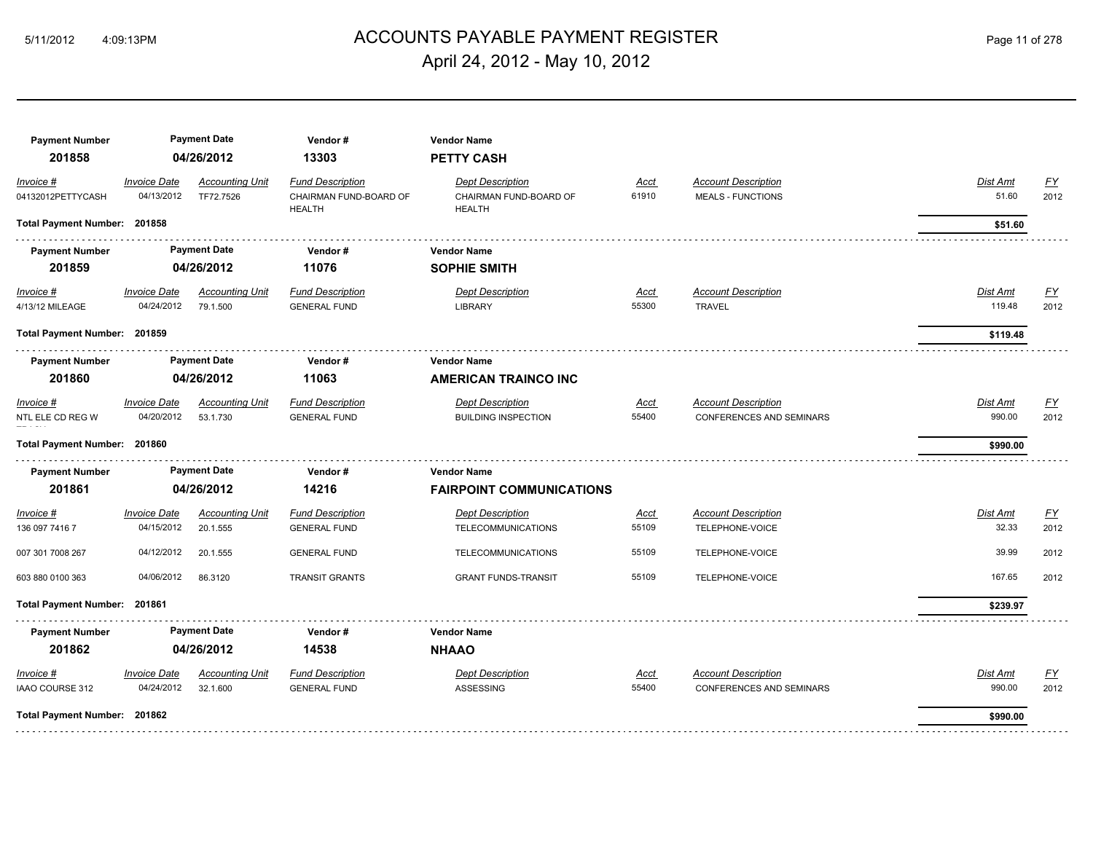# 5/11/2012 4:09:13PM ACCOUNTS PAYABLE PAYMENT REGISTER Page 11 of 278 April 24, 2012 - May 10, 2012

| <b>Invoice Date</b><br><b>Fund Description</b><br><u>FY</u><br><b>Accounting Unit</b><br><b>Dept Description</b><br><b>Account Description</b><br>Dist Amt<br>Invoice #<br>Acct<br>2012<br>04/13/2012<br>TF72.7526<br>CHAIRMAN FUND-BOARD OF<br>CHAIRMAN FUND-BOARD OF<br>61910<br>51.60<br>04132012PETTYCASH<br><b>MEALS - FUNCTIONS</b><br><b>HEALTH</b><br>HEALTH<br>Total Payment Number: 201858<br>\$51.60<br><b>Payment Date</b><br><b>Payment Number</b><br>Vendor#<br><b>Vendor Name</b><br>201859<br>04/26/2012<br>11076<br><b>SOPHIE SMITH</b><br><b>FY</b><br><b>Invoice Date</b><br><b>Fund Description</b><br><b>Dept Description</b><br><b>Account Description</b><br>Dist Amt<br>Invoice #<br><b>Accounting Unit</b><br>Acct<br>55300<br>04/24/2012<br>119.48<br>79.1.500<br>2012<br>4/13/12 MILEAGE<br><b>GENERAL FUND</b><br><b>LIBRARY</b><br><b>TRAVEL</b><br>Total Payment Number: 201859<br>\$119.48<br><b>Payment Date</b><br><b>Payment Number</b><br>Vendor#<br><b>Vendor Name</b><br>201860<br>04/26/2012<br>11063<br><b>AMERICAN TRAINCO INC</b><br><b>Invoice Date</b><br><b>Fund Description</b><br>$\underline{FY}$<br>Invoice #<br><b>Accounting Unit</b><br><b>Dept Description</b><br><b>Account Description</b><br>Dist Amt<br><u>Acct</u><br>NTL ELE CD REG W<br>04/20/2012<br>53.1.730<br><b>BUILDING INSPECTION</b><br>55400<br>CONFERENCES AND SEMINARS<br>990.00<br>2012<br><b>GENERAL FUND</b><br>Total Payment Number: 201860<br>\$990.00<br><b>Payment Date</b><br><b>Payment Number</b><br>Vendor#<br><b>Vendor Name</b><br>201861<br>04/26/2012<br>14216<br><b>FAIRPOINT COMMUNICATIONS</b><br>EY<br><b>Invoice Date</b><br><b>Fund Description</b><br><b>Account Description</b><br>Dist Amt<br><b>Accounting Unit</b><br><b>Dept Description</b><br>Acct<br>Invoice #<br>32.33<br>04/15/2012<br>55109<br>2012<br>20.1.555<br>TELEPHONE-VOICE<br>136 097 7416 7<br><b>GENERAL FUND</b><br><b>TELECOMMUNICATIONS</b><br>39.99<br>04/12/2012<br>55109<br>2012<br>20.1.555<br>007 301 7008 267<br><b>GENERAL FUND</b><br><b>TELECOMMUNICATIONS</b><br>TELEPHONE-VOICE<br>167.65<br>04/06/2012<br>55109<br>2012<br>603 880 0100 363<br>86.3120<br><b>TRANSIT GRANTS</b><br><b>GRANT FUNDS-TRANSIT</b><br>TELEPHONE-VOICE<br>Total Payment Number: 201861<br>\$239.97<br><b>Payment Date</b><br><b>Payment Number</b><br>Vendor#<br><b>Vendor Name</b><br>201862<br>04/26/2012<br>14538<br><b>NHAAO</b><br><b>Fund Description</b><br><b>Dept Description</b><br><b>Invoice Date</b><br><b>Accounting Unit</b><br><b>Account Description</b><br>Dist Amt<br><u>FY</u><br>Invoice #<br>Acct<br>990.00<br>IAAO COURSE 312<br>04/24/2012<br>32.1.600<br>ASSESSING<br>55400<br>CONFERENCES AND SEMINARS<br>2012<br><b>GENERAL FUND</b><br>Total Payment Number: 201862<br>\$990.00 | <b>Payment Number</b><br>201858 | <b>Payment Date</b><br>04/26/2012 |  | Vendor#<br>13303 | <b>Vendor Name</b><br><b>PETTY CASH</b> |  |  |  |  |  |  |  |
|-----------------------------------------------------------------------------------------------------------------------------------------------------------------------------------------------------------------------------------------------------------------------------------------------------------------------------------------------------------------------------------------------------------------------------------------------------------------------------------------------------------------------------------------------------------------------------------------------------------------------------------------------------------------------------------------------------------------------------------------------------------------------------------------------------------------------------------------------------------------------------------------------------------------------------------------------------------------------------------------------------------------------------------------------------------------------------------------------------------------------------------------------------------------------------------------------------------------------------------------------------------------------------------------------------------------------------------------------------------------------------------------------------------------------------------------------------------------------------------------------------------------------------------------------------------------------------------------------------------------------------------------------------------------------------------------------------------------------------------------------------------------------------------------------------------------------------------------------------------------------------------------------------------------------------------------------------------------------------------------------------------------------------------------------------------------------------------------------------------------------------------------------------------------------------------------------------------------------------------------------------------------------------------------------------------------------------------------------------------------------------------------------------------------------------------------------------------------------------------------------------------------------------------------------------------------------------------------------------------------------------------------------------------------------------------------------------------------------------------------------------------------------------------------------------------------------|---------------------------------|-----------------------------------|--|------------------|-----------------------------------------|--|--|--|--|--|--|--|
|                                                                                                                                                                                                                                                                                                                                                                                                                                                                                                                                                                                                                                                                                                                                                                                                                                                                                                                                                                                                                                                                                                                                                                                                                                                                                                                                                                                                                                                                                                                                                                                                                                                                                                                                                                                                                                                                                                                                                                                                                                                                                                                                                                                                                                                                                                                                                                                                                                                                                                                                                                                                                                                                                                                                                                                                                       |                                 |                                   |  |                  |                                         |  |  |  |  |  |  |  |
|                                                                                                                                                                                                                                                                                                                                                                                                                                                                                                                                                                                                                                                                                                                                                                                                                                                                                                                                                                                                                                                                                                                                                                                                                                                                                                                                                                                                                                                                                                                                                                                                                                                                                                                                                                                                                                                                                                                                                                                                                                                                                                                                                                                                                                                                                                                                                                                                                                                                                                                                                                                                                                                                                                                                                                                                                       |                                 |                                   |  |                  |                                         |  |  |  |  |  |  |  |
|                                                                                                                                                                                                                                                                                                                                                                                                                                                                                                                                                                                                                                                                                                                                                                                                                                                                                                                                                                                                                                                                                                                                                                                                                                                                                                                                                                                                                                                                                                                                                                                                                                                                                                                                                                                                                                                                                                                                                                                                                                                                                                                                                                                                                                                                                                                                                                                                                                                                                                                                                                                                                                                                                                                                                                                                                       |                                 |                                   |  |                  |                                         |  |  |  |  |  |  |  |
|                                                                                                                                                                                                                                                                                                                                                                                                                                                                                                                                                                                                                                                                                                                                                                                                                                                                                                                                                                                                                                                                                                                                                                                                                                                                                                                                                                                                                                                                                                                                                                                                                                                                                                                                                                                                                                                                                                                                                                                                                                                                                                                                                                                                                                                                                                                                                                                                                                                                                                                                                                                                                                                                                                                                                                                                                       |                                 |                                   |  |                  |                                         |  |  |  |  |  |  |  |
|                                                                                                                                                                                                                                                                                                                                                                                                                                                                                                                                                                                                                                                                                                                                                                                                                                                                                                                                                                                                                                                                                                                                                                                                                                                                                                                                                                                                                                                                                                                                                                                                                                                                                                                                                                                                                                                                                                                                                                                                                                                                                                                                                                                                                                                                                                                                                                                                                                                                                                                                                                                                                                                                                                                                                                                                                       |                                 |                                   |  |                  |                                         |  |  |  |  |  |  |  |
|                                                                                                                                                                                                                                                                                                                                                                                                                                                                                                                                                                                                                                                                                                                                                                                                                                                                                                                                                                                                                                                                                                                                                                                                                                                                                                                                                                                                                                                                                                                                                                                                                                                                                                                                                                                                                                                                                                                                                                                                                                                                                                                                                                                                                                                                                                                                                                                                                                                                                                                                                                                                                                                                                                                                                                                                                       |                                 |                                   |  |                  |                                         |  |  |  |  |  |  |  |
|                                                                                                                                                                                                                                                                                                                                                                                                                                                                                                                                                                                                                                                                                                                                                                                                                                                                                                                                                                                                                                                                                                                                                                                                                                                                                                                                                                                                                                                                                                                                                                                                                                                                                                                                                                                                                                                                                                                                                                                                                                                                                                                                                                                                                                                                                                                                                                                                                                                                                                                                                                                                                                                                                                                                                                                                                       |                                 |                                   |  |                  |                                         |  |  |  |  |  |  |  |
|                                                                                                                                                                                                                                                                                                                                                                                                                                                                                                                                                                                                                                                                                                                                                                                                                                                                                                                                                                                                                                                                                                                                                                                                                                                                                                                                                                                                                                                                                                                                                                                                                                                                                                                                                                                                                                                                                                                                                                                                                                                                                                                                                                                                                                                                                                                                                                                                                                                                                                                                                                                                                                                                                                                                                                                                                       |                                 |                                   |  |                  |                                         |  |  |  |  |  |  |  |
|                                                                                                                                                                                                                                                                                                                                                                                                                                                                                                                                                                                                                                                                                                                                                                                                                                                                                                                                                                                                                                                                                                                                                                                                                                                                                                                                                                                                                                                                                                                                                                                                                                                                                                                                                                                                                                                                                                                                                                                                                                                                                                                                                                                                                                                                                                                                                                                                                                                                                                                                                                                                                                                                                                                                                                                                                       |                                 |                                   |  |                  |                                         |  |  |  |  |  |  |  |
|                                                                                                                                                                                                                                                                                                                                                                                                                                                                                                                                                                                                                                                                                                                                                                                                                                                                                                                                                                                                                                                                                                                                                                                                                                                                                                                                                                                                                                                                                                                                                                                                                                                                                                                                                                                                                                                                                                                                                                                                                                                                                                                                                                                                                                                                                                                                                                                                                                                                                                                                                                                                                                                                                                                                                                                                                       |                                 |                                   |  |                  |                                         |  |  |  |  |  |  |  |
|                                                                                                                                                                                                                                                                                                                                                                                                                                                                                                                                                                                                                                                                                                                                                                                                                                                                                                                                                                                                                                                                                                                                                                                                                                                                                                                                                                                                                                                                                                                                                                                                                                                                                                                                                                                                                                                                                                                                                                                                                                                                                                                                                                                                                                                                                                                                                                                                                                                                                                                                                                                                                                                                                                                                                                                                                       |                                 |                                   |  |                  |                                         |  |  |  |  |  |  |  |
|                                                                                                                                                                                                                                                                                                                                                                                                                                                                                                                                                                                                                                                                                                                                                                                                                                                                                                                                                                                                                                                                                                                                                                                                                                                                                                                                                                                                                                                                                                                                                                                                                                                                                                                                                                                                                                                                                                                                                                                                                                                                                                                                                                                                                                                                                                                                                                                                                                                                                                                                                                                                                                                                                                                                                                                                                       |                                 |                                   |  |                  |                                         |  |  |  |  |  |  |  |
|                                                                                                                                                                                                                                                                                                                                                                                                                                                                                                                                                                                                                                                                                                                                                                                                                                                                                                                                                                                                                                                                                                                                                                                                                                                                                                                                                                                                                                                                                                                                                                                                                                                                                                                                                                                                                                                                                                                                                                                                                                                                                                                                                                                                                                                                                                                                                                                                                                                                                                                                                                                                                                                                                                                                                                                                                       |                                 |                                   |  |                  |                                         |  |  |  |  |  |  |  |
|                                                                                                                                                                                                                                                                                                                                                                                                                                                                                                                                                                                                                                                                                                                                                                                                                                                                                                                                                                                                                                                                                                                                                                                                                                                                                                                                                                                                                                                                                                                                                                                                                                                                                                                                                                                                                                                                                                                                                                                                                                                                                                                                                                                                                                                                                                                                                                                                                                                                                                                                                                                                                                                                                                                                                                                                                       |                                 |                                   |  |                  |                                         |  |  |  |  |  |  |  |
|                                                                                                                                                                                                                                                                                                                                                                                                                                                                                                                                                                                                                                                                                                                                                                                                                                                                                                                                                                                                                                                                                                                                                                                                                                                                                                                                                                                                                                                                                                                                                                                                                                                                                                                                                                                                                                                                                                                                                                                                                                                                                                                                                                                                                                                                                                                                                                                                                                                                                                                                                                                                                                                                                                                                                                                                                       |                                 |                                   |  |                  |                                         |  |  |  |  |  |  |  |
|                                                                                                                                                                                                                                                                                                                                                                                                                                                                                                                                                                                                                                                                                                                                                                                                                                                                                                                                                                                                                                                                                                                                                                                                                                                                                                                                                                                                                                                                                                                                                                                                                                                                                                                                                                                                                                                                                                                                                                                                                                                                                                                                                                                                                                                                                                                                                                                                                                                                                                                                                                                                                                                                                                                                                                                                                       |                                 |                                   |  |                  |                                         |  |  |  |  |  |  |  |
|                                                                                                                                                                                                                                                                                                                                                                                                                                                                                                                                                                                                                                                                                                                                                                                                                                                                                                                                                                                                                                                                                                                                                                                                                                                                                                                                                                                                                                                                                                                                                                                                                                                                                                                                                                                                                                                                                                                                                                                                                                                                                                                                                                                                                                                                                                                                                                                                                                                                                                                                                                                                                                                                                                                                                                                                                       |                                 |                                   |  |                  |                                         |  |  |  |  |  |  |  |
|                                                                                                                                                                                                                                                                                                                                                                                                                                                                                                                                                                                                                                                                                                                                                                                                                                                                                                                                                                                                                                                                                                                                                                                                                                                                                                                                                                                                                                                                                                                                                                                                                                                                                                                                                                                                                                                                                                                                                                                                                                                                                                                                                                                                                                                                                                                                                                                                                                                                                                                                                                                                                                                                                                                                                                                                                       |                                 |                                   |  |                  |                                         |  |  |  |  |  |  |  |
|                                                                                                                                                                                                                                                                                                                                                                                                                                                                                                                                                                                                                                                                                                                                                                                                                                                                                                                                                                                                                                                                                                                                                                                                                                                                                                                                                                                                                                                                                                                                                                                                                                                                                                                                                                                                                                                                                                                                                                                                                                                                                                                                                                                                                                                                                                                                                                                                                                                                                                                                                                                                                                                                                                                                                                                                                       |                                 |                                   |  |                  |                                         |  |  |  |  |  |  |  |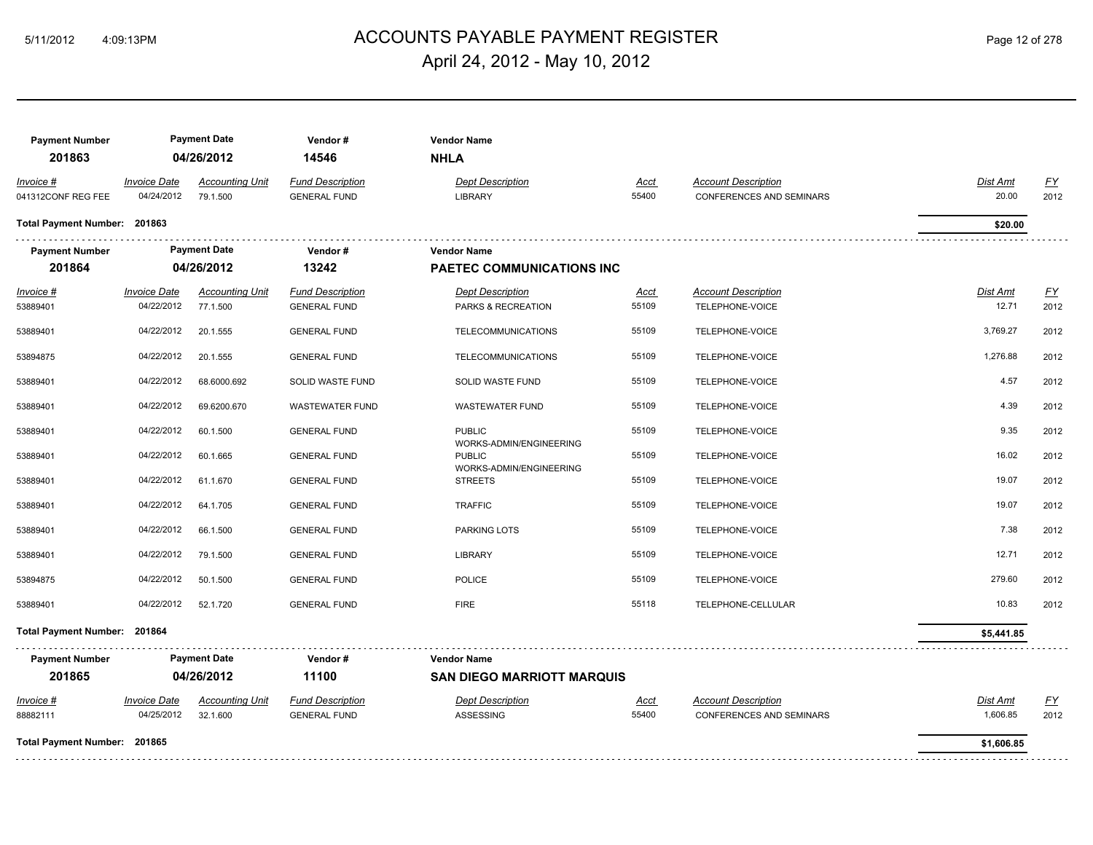## ACCOUNTS PAYABLE PAYMENT REGISTER 5/11/2012 4:09:13PM Page 12 of 278 April 24, 2012 - May 10, 2012

| <b>Payment Number</b><br>201863 |                                   | <b>Payment Date</b><br>04/26/2012  | Vendor#<br>14546                               | <b>Vendor Name</b><br><b>NHLA</b>                      |               |                                                               |                      |                          |
|---------------------------------|-----------------------------------|------------------------------------|------------------------------------------------|--------------------------------------------------------|---------------|---------------------------------------------------------------|----------------------|--------------------------|
| Invoice #<br>041312CONF REG FEE | <b>Invoice Date</b><br>04/24/2012 | <b>Accounting Unit</b><br>79.1.500 | <b>Fund Description</b><br><b>GENERAL FUND</b> | <b>Dept Description</b><br><b>LIBRARY</b>              | Acct<br>55400 | <b>Account Description</b><br><b>CONFERENCES AND SEMINARS</b> | Dist Amt<br>20.00    | EY<br>2012               |
| Total Payment Number: 201863    |                                   |                                    |                                                |                                                        |               |                                                               | \$20.00              |                          |
| <b>Payment Number</b><br>201864 |                                   | <b>Payment Date</b><br>04/26/2012  | Vendor#<br>13242                               | <b>Vendor Name</b><br><b>PAETEC COMMUNICATIONS INC</b> |               |                                                               |                      |                          |
| $Invoice$ #<br>53889401         | <b>Invoice Date</b><br>04/22/2012 | <b>Accounting Unit</b><br>77.1.500 | <b>Fund Description</b><br><b>GENERAL FUND</b> | <b>Dept Description</b><br>PARKS & RECREATION          | Acct<br>55109 | <b>Account Description</b><br>TELEPHONE-VOICE                 | Dist Amt<br>12.71    | <u>FY</u><br>2012        |
| 53889401                        | 04/22/2012                        | 20.1.555                           | <b>GENERAL FUND</b>                            | <b>TELECOMMUNICATIONS</b>                              | 55109         | TELEPHONE-VOICE                                               | 3,769.27             | 2012                     |
| 53894875                        | 04/22/2012                        | 20.1.555                           | <b>GENERAL FUND</b>                            | <b>TELECOMMUNICATIONS</b>                              | 55109         | TELEPHONE-VOICE                                               | 1,276.88             | 2012                     |
| 53889401                        | 04/22/2012                        | 68.6000.692                        | SOLID WASTE FUND                               | SOLID WASTE FUND                                       | 55109         | TELEPHONE-VOICE                                               | 4.57                 | 2012                     |
| 53889401                        | 04/22/2012                        | 69.6200.670                        | <b>WASTEWATER FUND</b>                         | <b>WASTEWATER FUND</b>                                 | 55109         | TELEPHONE-VOICE                                               | 4.39                 | 2012                     |
| 53889401                        | 04/22/2012                        | 60.1.500                           | <b>GENERAL FUND</b>                            | <b>PUBLIC</b>                                          | 55109         | TELEPHONE-VOICE                                               | 9.35                 | 2012                     |
| 53889401                        | 04/22/2012                        | 60.1.665                           | <b>GENERAL FUND</b>                            | WORKS-ADMIN/ENGINEERING<br><b>PUBLIC</b>               | 55109         | TELEPHONE-VOICE                                               | 16.02                | 2012                     |
| 53889401                        | 04/22/2012                        | 61.1.670                           | <b>GENERAL FUND</b>                            | WORKS-ADMIN/ENGINEERING<br><b>STREETS</b>              | 55109         | TELEPHONE-VOICE                                               | 19.07                | 2012                     |
| 53889401                        | 04/22/2012                        | 64.1.705                           | <b>GENERAL FUND</b>                            | <b>TRAFFIC</b>                                         | 55109         | TELEPHONE-VOICE                                               | 19.07                | 2012                     |
| 53889401                        | 04/22/2012                        | 66.1.500                           | <b>GENERAL FUND</b>                            | PARKING LOTS                                           | 55109         | TELEPHONE-VOICE                                               | 7.38                 | 2012                     |
| 53889401                        | 04/22/2012                        | 79.1.500                           | <b>GENERAL FUND</b>                            | <b>LIBRARY</b>                                         | 55109         | TELEPHONE-VOICE                                               | 12.71                | 2012                     |
| 53894875                        | 04/22/2012                        | 50.1.500                           | <b>GENERAL FUND</b>                            | <b>POLICE</b>                                          | 55109         | TELEPHONE-VOICE                                               | 279.60               | 2012                     |
| 53889401                        | 04/22/2012                        | 52.1.720                           | <b>GENERAL FUND</b>                            | <b>FIRE</b>                                            | 55118         | TELEPHONE-CELLULAR                                            | 10.83                | 2012                     |
| Total Payment Number: 201864    |                                   |                                    |                                                |                                                        |               |                                                               | \$5,441.85           |                          |
| <b>Payment Number</b>           |                                   | <b>Payment Date</b>                | Vendor#                                        | <b>Vendor Name</b>                                     |               |                                                               |                      |                          |
| 201865                          |                                   | 04/26/2012                         | 11100                                          | <b>SAN DIEGO MARRIOTT MARQUIS</b>                      |               |                                                               |                      |                          |
| Invoice #<br>88882111           | <b>Invoice Date</b><br>04/25/2012 | <b>Accounting Unit</b><br>32.1.600 | <b>Fund Description</b><br><b>GENERAL FUND</b> | <b>Dept Description</b><br><b>ASSESSING</b>            | Acct<br>55400 | <b>Account Description</b><br><b>CONFERENCES AND SEMINARS</b> | Dist Amt<br>1,606.85 | $\underline{FY}$<br>2012 |
| Total Payment Number: 201865    |                                   |                                    |                                                |                                                        |               |                                                               | \$1,606.85           |                          |
|                                 |                                   |                                    |                                                |                                                        |               |                                                               |                      |                          |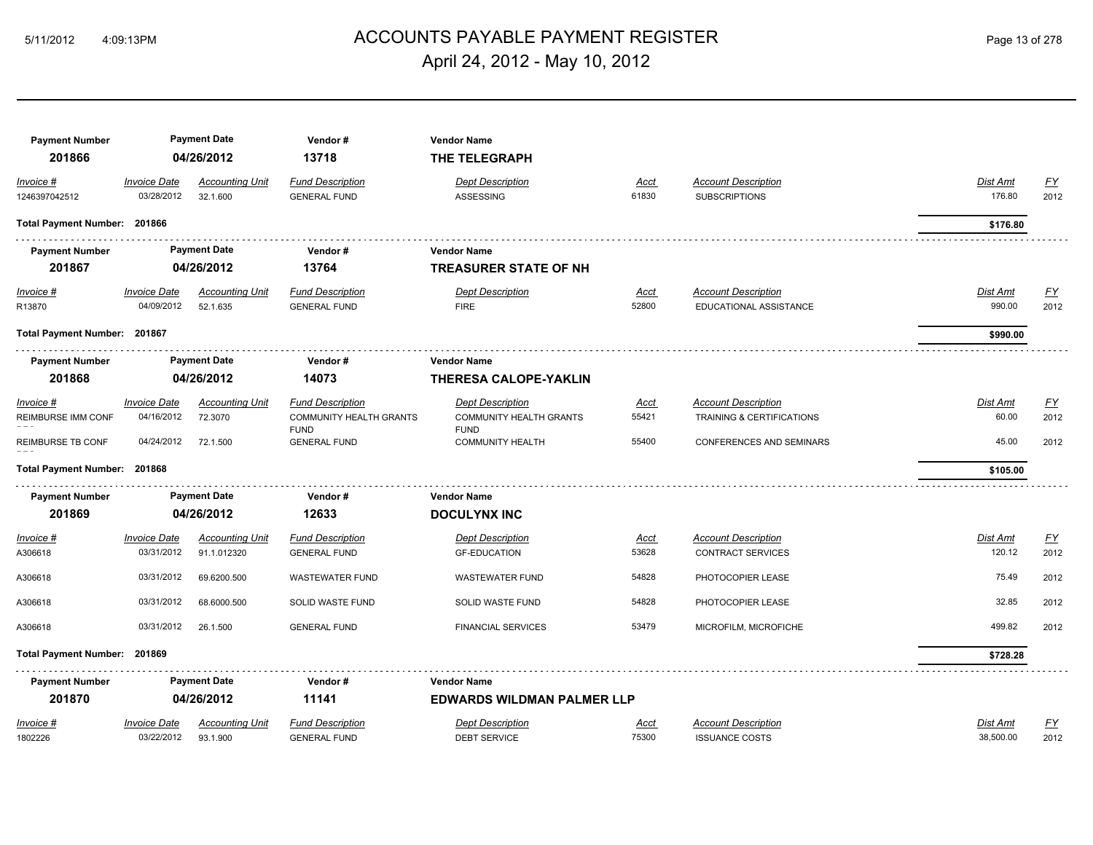## ACCOUNTS PAYABLE PAYMENT REGISTER 5/11/2012 4:09:13PM Page 13 of 278 April 24, 2012 - May 10, 2012

| <b>Payment Number</b>           |                     | <b>Payment Date</b>    | Vendor#                                       | <b>Vendor Name</b>                     |             |                            |                 |                  |
|---------------------------------|---------------------|------------------------|-----------------------------------------------|----------------------------------------|-------------|----------------------------|-----------------|------------------|
| 201866                          |                     | 04/26/2012             | 13718                                         | THE TELEGRAPH                          |             |                            |                 |                  |
| Invoice #                       | <b>Invoice Date</b> | <b>Accounting Unit</b> | <b>Fund Description</b>                       | <b>Dept Description</b>                | Acct        | <b>Account Description</b> | Dist Amt        | $\underline{FY}$ |
| 1246397042512                   | 03/28/2012          | 32.1.600               | <b>GENERAL FUND</b>                           | ASSESSING                              | 61830       | <b>SUBSCRIPTIONS</b>       | 176.80          | 2012             |
| Total Payment Number: 201866    |                     |                        |                                               |                                        |             |                            | \$176.80        |                  |
| <b>Payment Number</b>           |                     | <b>Payment Date</b>    | Vendor#                                       | <b>Vendor Name</b>                     |             |                            |                 |                  |
| 201867                          |                     | 04/26/2012             | 13764                                         | <b>TREASURER STATE OF NH</b>           |             |                            |                 |                  |
| Invoice #                       | <b>Invoice Date</b> | <b>Accounting Unit</b> | <b>Fund Description</b>                       | <b>Dept Description</b>                | Acct        | <b>Account Description</b> | <b>Dist Amt</b> | <u>FY</u>        |
| R13870                          | 04/09/2012          | 52.1.635               | <b>GENERAL FUND</b>                           | <b>FIRE</b>                            | 52800       | EDUCATIONAL ASSISTANCE     | 990.00          | 2012             |
| Total Payment Number: 201867    |                     |                        |                                               |                                        |             |                            | \$990.00        |                  |
| <b>Payment Number</b>           |                     | <b>Payment Date</b>    | Vendor#                                       | <b>Vendor Name</b>                     |             |                            |                 |                  |
| 201868                          |                     | 04/26/2012             | 14073                                         | <b>THERESA CALOPE-YAKLIN</b>           |             |                            |                 |                  |
|                                 |                     |                        |                                               |                                        |             |                            |                 |                  |
| Invoice #                       | <b>Invoice Date</b> | <b>Accounting Unit</b> | <b>Fund Description</b>                       | <b>Dept Description</b>                | <u>Acct</u> | <b>Account Description</b> | Dist Amt        | <u>FY</u>        |
| <b>REIMBURSE IMM CONF</b>       | 04/16/2012          | 72.3070                | <b>COMMUNITY HEALTH GRANTS</b><br><b>FUND</b> | COMMUNITY HEALTH GRANTS<br><b>FUND</b> | 55421       | TRAINING & CERTIFICATIONS  | 60.00           | 2012             |
| <b>REIMBURSE TB CONF</b>        | 04/24/2012          | 72.1.500               | <b>GENERAL FUND</b>                           | <b>COMMUNITY HEALTH</b>                | 55400       | CONFERENCES AND SEMINARS   | 45.00           | 2012             |
| Total Payment Number: 201868    |                     |                        |                                               |                                        |             |                            | \$105.00        |                  |
|                                 |                     | <b>Payment Date</b>    | Vendor#                                       | <b>Vendor Name</b>                     |             |                            |                 |                  |
| <b>Payment Number</b><br>201869 |                     | 04/26/2012             | 12633                                         | <b>DOCULYNX INC</b>                    |             |                            |                 |                  |
|                                 |                     |                        |                                               |                                        |             |                            |                 |                  |
| Invoice #                       | <b>Invoice Date</b> | <b>Accounting Unit</b> | <b>Fund Description</b>                       | <b>Dept Description</b>                | Acct        | <b>Account Description</b> | Dist Amt        | <u>FY</u>        |
| A306618                         | 03/31/2012          | 91.1.012320            | <b>GENERAL FUND</b>                           | <b>GF-EDUCATION</b>                    | 53628       | <b>CONTRACT SERVICES</b>   | 120.12          | 2012             |
| A306618                         | 03/31/2012          | 69.6200.500            | <b>WASTEWATER FUND</b>                        | <b>WASTEWATER FUND</b>                 | 54828       | PHOTOCOPIER LEASE          | 75.49           | 2012             |
| A306618                         | 03/31/2012          | 68.6000.500            | SOLID WASTE FUND                              | SOLID WASTE FUND                       | 54828       | PHOTOCOPIER LEASE          | 32.85           | 2012             |
| A306618                         | 03/31/2012          | 26.1.500               | <b>GENERAL FUND</b>                           | <b>FINANCIAL SERVICES</b>              | 53479       | MICROFILM, MICROFICHE      | 499.82          | 2012             |
| <b>Total Payment Number:</b>    | 201869              |                        |                                               |                                        |             |                            | \$728.28        |                  |
| <b>Payment Number</b>           |                     | <b>Payment Date</b>    | Vendor#                                       | <b>Vendor Name</b>                     |             |                            |                 |                  |
| 201870                          |                     | 04/26/2012             | 11141                                         | <b>EDWARDS WILDMAN PALMER LLP</b>      |             |                            |                 |                  |
| Invoice #                       | <b>Invoice Date</b> | <b>Accounting Unit</b> | <b>Fund Description</b>                       | <b>Dept Description</b>                | Acct        | <b>Account Description</b> | <b>Dist Amt</b> | <u>FY</u>        |
| 1802226                         | 03/22/2012          | 93.1.900               | <b>GENERAL FUND</b>                           | DEBT SERVICE                           | 75300       | <b>ISSUANCE COSTS</b>      | 38,500.00       | 2012             |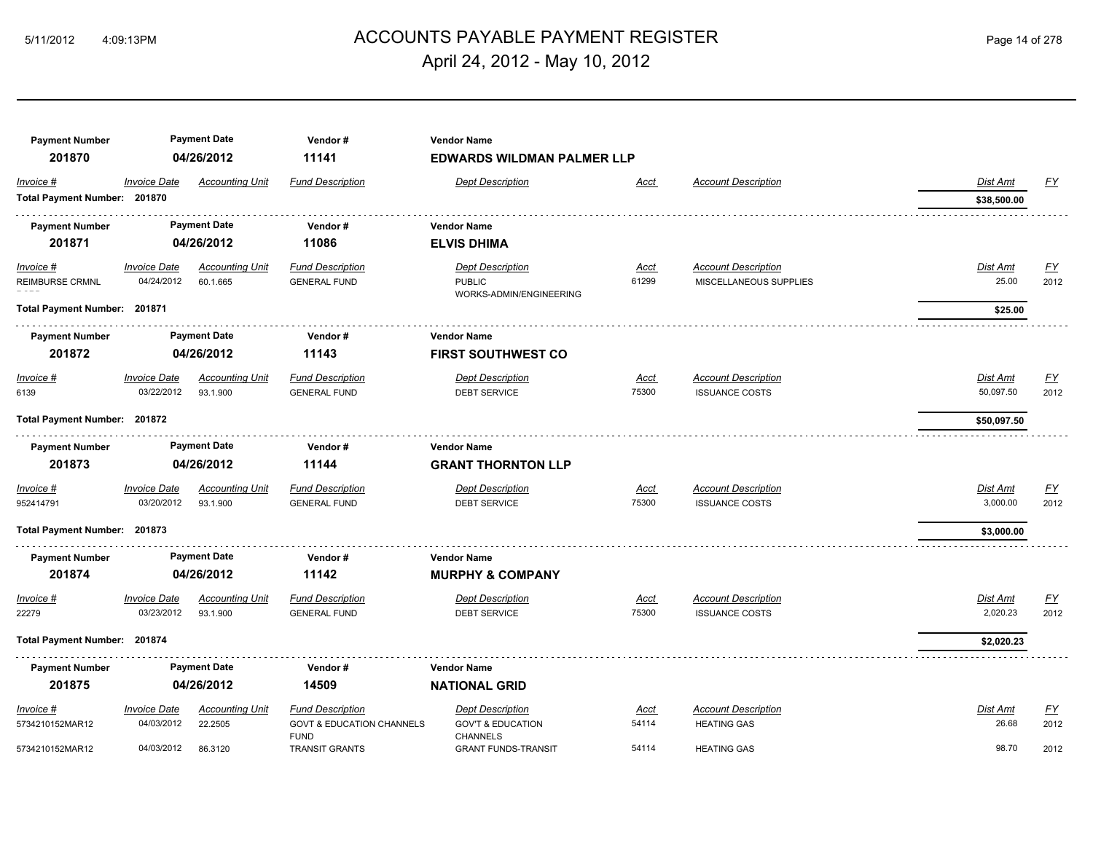## 5/11/2012 4:09:13PM ACCOUNTS PAYABLE PAYMENT REGISTER Page 14 of 278 April 24, 2012 - May 10, 2012

| <b>Payment Number</b><br>201870 |                     | <b>Payment Date</b><br>04/26/2012 | Vendor#<br>11141                     | <b>Vendor Name</b><br><b>EDWARDS WILDMAN PALMER LLP</b> |             |                            |                 |                  |
|---------------------------------|---------------------|-----------------------------------|--------------------------------------|---------------------------------------------------------|-------------|----------------------------|-----------------|------------------|
| Invoice #                       | <b>Invoice Date</b> | <b>Accounting Unit</b>            | <b>Fund Description</b>              | <b>Dept Description</b>                                 | Acct        | <b>Account Description</b> | Dist Amt        | <u>FY</u>        |
| Total Payment Number: 201870    |                     |                                   |                                      |                                                         |             |                            | \$38,500.00     |                  |
| <b>Payment Number</b>           |                     | <b>Payment Date</b>               | Vendor#                              | <b>Vendor Name</b>                                      |             |                            |                 |                  |
| 201871                          |                     | 04/26/2012                        | 11086                                | <b>ELVIS DHIMA</b>                                      |             |                            |                 |                  |
| $Invoice$ #                     | <b>Invoice Date</b> | <b>Accounting Unit</b>            | <b>Fund Description</b>              | <b>Dept Description</b>                                 | <u>Acct</u> | <b>Account Description</b> | <b>Dist Amt</b> | EY               |
| <b>REIMBURSE CRMNL</b>          | 04/24/2012          | 60.1.665                          | <b>GENERAL FUND</b>                  | <b>PUBLIC</b><br>WORKS-ADMIN/ENGINEERING                | 61299       | MISCELLANEOUS SUPPLIES     | 25.00           | 2012             |
| Total Payment Number: 201871    |                     |                                   |                                      |                                                         |             |                            | \$25.00         |                  |
| <b>Payment Number</b>           |                     | <b>Payment Date</b>               | Vendor#                              | <b>Vendor Name</b>                                      |             |                            |                 |                  |
| 201872                          |                     | 04/26/2012                        | 11143                                | <b>FIRST SOUTHWEST CO</b>                               |             |                            |                 |                  |
| Invoice #                       | <b>Invoice Date</b> | <b>Accounting Unit</b>            | <b>Fund Description</b>              | <b>Dept Description</b>                                 | Acct        | <b>Account Description</b> | Dist Amt        | EY               |
| 6139                            | 03/22/2012          | 93.1.900                          | <b>GENERAL FUND</b>                  | <b>DEBT SERVICE</b>                                     | 75300       | <b>ISSUANCE COSTS</b>      | 50,097.50       | 2012             |
| Total Payment Number: 201872    |                     |                                   |                                      |                                                         |             |                            | \$50,097.50     |                  |
| <b>Payment Number</b>           |                     | <b>Payment Date</b>               | Vendor#                              | <b>Vendor Name</b>                                      |             |                            |                 |                  |
| 201873                          |                     | 04/26/2012                        | 11144                                | <b>GRANT THORNTON LLP</b>                               |             |                            |                 |                  |
| Invoice #                       | <b>Invoice Date</b> | <b>Accounting Unit</b>            | <b>Fund Description</b>              | <b>Dept Description</b>                                 | Acct        | <b>Account Description</b> | Dist Amt        | $\underline{FY}$ |
| 952414791                       | 03/20/2012          | 93.1.900                          | <b>GENERAL FUND</b>                  | <b>DEBT SERVICE</b>                                     | 75300       | <b>ISSUANCE COSTS</b>      | 3,000.00        | 2012             |
| Total Payment Number: 201873    |                     |                                   |                                      |                                                         |             |                            | \$3,000.00      |                  |
| <b>Payment Number</b>           |                     | <b>Payment Date</b>               | Vendor#                              | <b>Vendor Name</b>                                      |             |                            |                 |                  |
| 201874                          |                     | 04/26/2012                        | 11142                                | <b>MURPHY &amp; COMPANY</b>                             |             |                            |                 |                  |
| Invoice #                       | <b>Invoice Date</b> | <b>Accounting Unit</b>            | <b>Fund Description</b>              | <b>Dept Description</b>                                 | <u>Acct</u> | <b>Account Description</b> | Dist Amt        | $\underline{FY}$ |
| 22279                           | 03/23/2012          | 93.1.900                          | <b>GENERAL FUND</b>                  | <b>DEBT SERVICE</b>                                     | 75300       | <b>ISSUANCE COSTS</b>      | 2,020.23        | 2012             |
| Total Payment Number: 201874    |                     |                                   |                                      |                                                         |             |                            | \$2,020.23      |                  |
| <b>Payment Number</b>           |                     | <b>Payment Date</b>               | Vendor#                              | <b>Vendor Name</b>                                      |             |                            |                 |                  |
| 201875                          |                     | 04/26/2012                        | 14509                                | <b>NATIONAL GRID</b>                                    |             |                            |                 |                  |
| Invoice #                       | <b>Invoice Date</b> | <b>Accounting Unit</b>            | <b>Fund Description</b>              | <b>Dept Description</b>                                 | Acct        | <b>Account Description</b> | Dist Amt        | $\underline{FY}$ |
| 5734210152MAR12                 | 04/03/2012          | 22.2505                           | <b>GOVT &amp; EDUCATION CHANNELS</b> | <b>GOV'T &amp; EDUCATION</b>                            | 54114       | <b>HEATING GAS</b>         | 26.68           | 2012             |
| 5734210152MAR12                 | 04/03/2012          | 86.3120                           | <b>FUND</b><br><b>TRANSIT GRANTS</b> | <b>CHANNELS</b><br><b>GRANT FUNDS-TRANSIT</b>           | 54114       | <b>HEATING GAS</b>         | 98.70           | 2012             |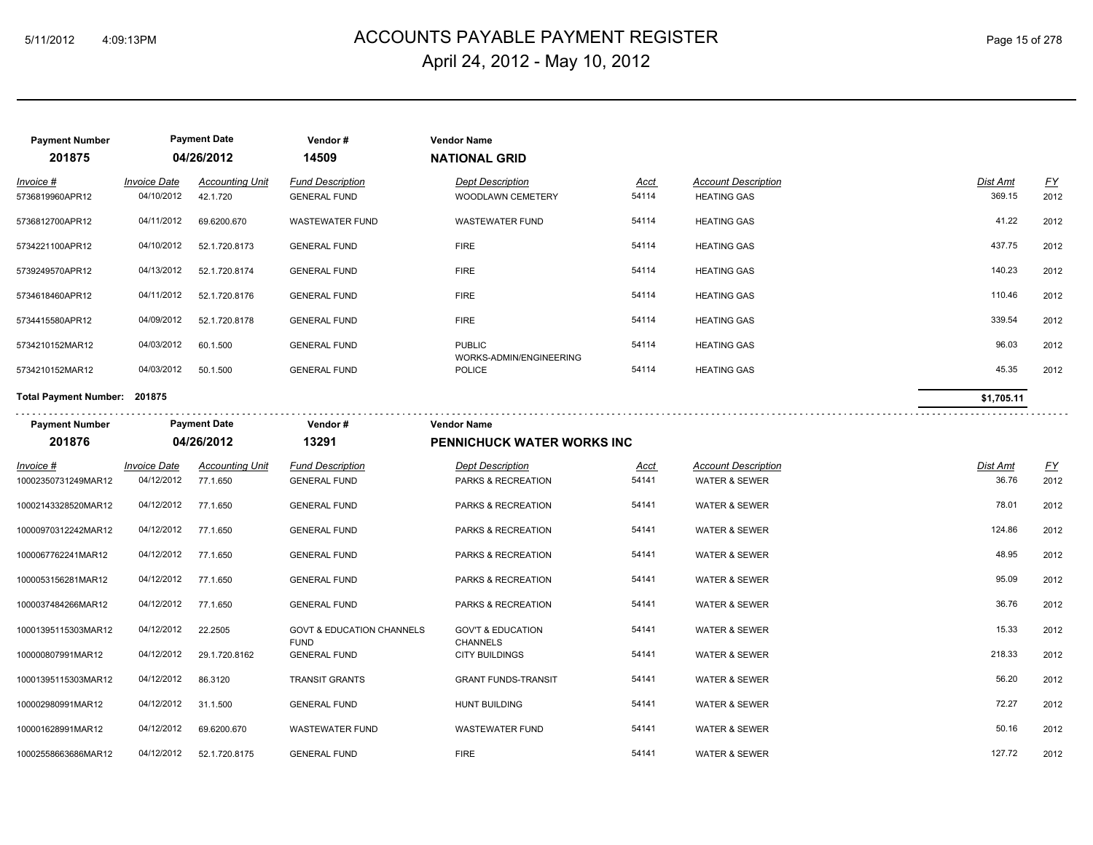## 5/11/2012 4:09:13PM ACCOUNTS PAYABLE PAYMENT REGISTER Page 15 of 278 April 24, 2012 - May 10, 2012

| <b>Payment Number</b>        |                                   | <b>Payment Date</b>                | Vendor#                                             | <b>Vendor Name</b>                              |                      |                                                  |                    |                          |
|------------------------------|-----------------------------------|------------------------------------|-----------------------------------------------------|-------------------------------------------------|----------------------|--------------------------------------------------|--------------------|--------------------------|
| 201875                       |                                   | 04/26/2012                         | 14509                                               | <b>NATIONAL GRID</b>                            |                      |                                                  |                    |                          |
| Invoice #<br>5736819960APR12 | <b>Invoice Date</b><br>04/10/2012 | <b>Accounting Unit</b><br>42.1.720 | <b>Fund Description</b><br><b>GENERAL FUND</b>      | <b>Dept Description</b><br>WOODLAWN CEMETERY    | <b>Acct</b><br>54114 | <b>Account Description</b><br><b>HEATING GAS</b> | Dist Amt<br>369.15 | $\underline{FY}$<br>2012 |
| 5736812700APR12              | 04/11/2012                        | 69.6200.670                        | <b>WASTEWATER FUND</b>                              | <b>WASTEWATER FUND</b>                          | 54114                | <b>HEATING GAS</b>                               | 41.22              | 2012                     |
| 5734221100APR12              | 04/10/2012                        | 52.1.720.8173                      | <b>GENERAL FUND</b>                                 | <b>FIRE</b>                                     | 54114                | <b>HEATING GAS</b>                               | 437.75             | 2012                     |
| 5739249570APR12              | 04/13/2012                        | 52.1.720.8174                      | <b>GENERAL FUND</b>                                 | <b>FIRE</b>                                     | 54114                | <b>HEATING GAS</b>                               | 140.23             | 2012                     |
| 5734618460APR12              | 04/11/2012                        | 52.1.720.8176                      | <b>GENERAL FUND</b>                                 | <b>FIRE</b>                                     | 54114                | <b>HEATING GAS</b>                               | 110.46             | 2012                     |
| 5734415580APR12              | 04/09/2012                        | 52.1.720.8178                      | <b>GENERAL FUND</b>                                 | <b>FIRE</b>                                     | 54114                | <b>HEATING GAS</b>                               | 339.54             | 2012                     |
| 5734210152MAR12              | 04/03/2012                        | 60.1.500                           | <b>GENERAL FUND</b>                                 | <b>PUBLIC</b><br>WORKS-ADMIN/ENGINEERING        | 54114                | <b>HEATING GAS</b>                               | 96.03              | 2012                     |
| 5734210152MAR12              | 04/03/2012                        | 50.1.500                           | <b>GENERAL FUND</b>                                 | <b>POLICE</b>                                   | 54114                | <b>HEATING GAS</b>                               | 45.35              | 2012                     |
| Total Payment Number: 201875 |                                   |                                    |                                                     |                                                 |                      |                                                  | \$1,705.11         |                          |
| <b>Payment Number</b>        |                                   | <b>Payment Date</b>                | Vendor#                                             | <b>Vendor Name</b>                              |                      |                                                  |                    |                          |
| 201876                       |                                   | 04/26/2012                         | 13291                                               | <b>PENNICHUCK WATER WORKS INC</b>               |                      |                                                  |                    |                          |
| $Invoice$ #                  | <b>Invoice Date</b>               | <b>Accounting Unit</b>             | <b>Fund Description</b>                             | <b>Dept Description</b>                         | <u>Acct</u>          | <b>Account Description</b>                       | <b>Dist Amt</b>    | <u>FY</u>                |
| 10002350731249MAR12          | 04/12/2012                        | 77.1.650                           | <b>GENERAL FUND</b>                                 | PARKS & RECREATION                              | 54141                | WATER & SEWER                                    | 36.76              | 2012                     |
| 10002143328520MAR12          | 04/12/2012                        | 77.1.650                           | <b>GENERAL FUND</b>                                 | PARKS & RECREATION                              | 54141                | <b>WATER &amp; SEWER</b>                         | 78.01              | 2012                     |
| 10000970312242MAR12          | 04/12/2012                        | 77.1.650                           | <b>GENERAL FUND</b>                                 | PARKS & RECREATION                              | 54141                | <b>WATER &amp; SEWER</b>                         | 124.86             | 2012                     |
| 1000067762241MAR12           | 04/12/2012                        | 77.1.650                           | <b>GENERAL FUND</b>                                 | PARKS & RECREATION                              | 54141                | <b>WATER &amp; SEWER</b>                         | 48.95              | 2012                     |
| 1000053156281MAR12           | 04/12/2012                        | 77.1.650                           | <b>GENERAL FUND</b>                                 | <b>PARKS &amp; RECREATION</b>                   | 54141                | <b>WATER &amp; SEWER</b>                         | 95.09              | 2012                     |
| 1000037484266MAR12           | 04/12/2012                        | 77.1.650                           | <b>GENERAL FUND</b>                                 | PARKS & RECREATION                              | 54141                | WATER & SEWER                                    | 36.76              | 2012                     |
| 10001395115303MAR12          | 04/12/2012                        | 22.2505                            | <b>GOVT &amp; EDUCATION CHANNELS</b><br><b>FUND</b> | <b>GOV'T &amp; EDUCATION</b><br><b>CHANNELS</b> | 54141                | <b>WATER &amp; SEWER</b>                         | 15.33              | 2012                     |
| 100000807991MAR12            | 04/12/2012                        | 29.1.720.8162                      | <b>GENERAL FUND</b>                                 | <b>CITY BUILDINGS</b>                           | 54141                | <b>WATER &amp; SEWER</b>                         | 218.33             | 2012                     |
| 10001395115303MAR12          | 04/12/2012                        | 86.3120                            | <b>TRANSIT GRANTS</b>                               | <b>GRANT FUNDS-TRANSIT</b>                      | 54141                | <b>WATER &amp; SEWER</b>                         | 56.20              | 2012                     |
| 100002980991MAR12            | 04/12/2012                        | 31.1.500                           | <b>GENERAL FUND</b>                                 | <b>HUNT BUILDING</b>                            | 54141                | <b>WATER &amp; SEWER</b>                         | 72.27              | 2012                     |
| 100001628991MAR12            | 04/12/2012                        | 69.6200.670                        | <b>WASTEWATER FUND</b>                              | <b>WASTEWATER FUND</b>                          | 54141                | <b>WATER &amp; SEWER</b>                         | 50.16              | 2012                     |
| 10002558663686MAR12          | 04/12/2012                        | 52.1.720.8175                      | <b>GENERAL FUND</b>                                 | <b>FIRE</b>                                     | 54141                | <b>WATER &amp; SEWER</b>                         | 127.72             | 2012                     |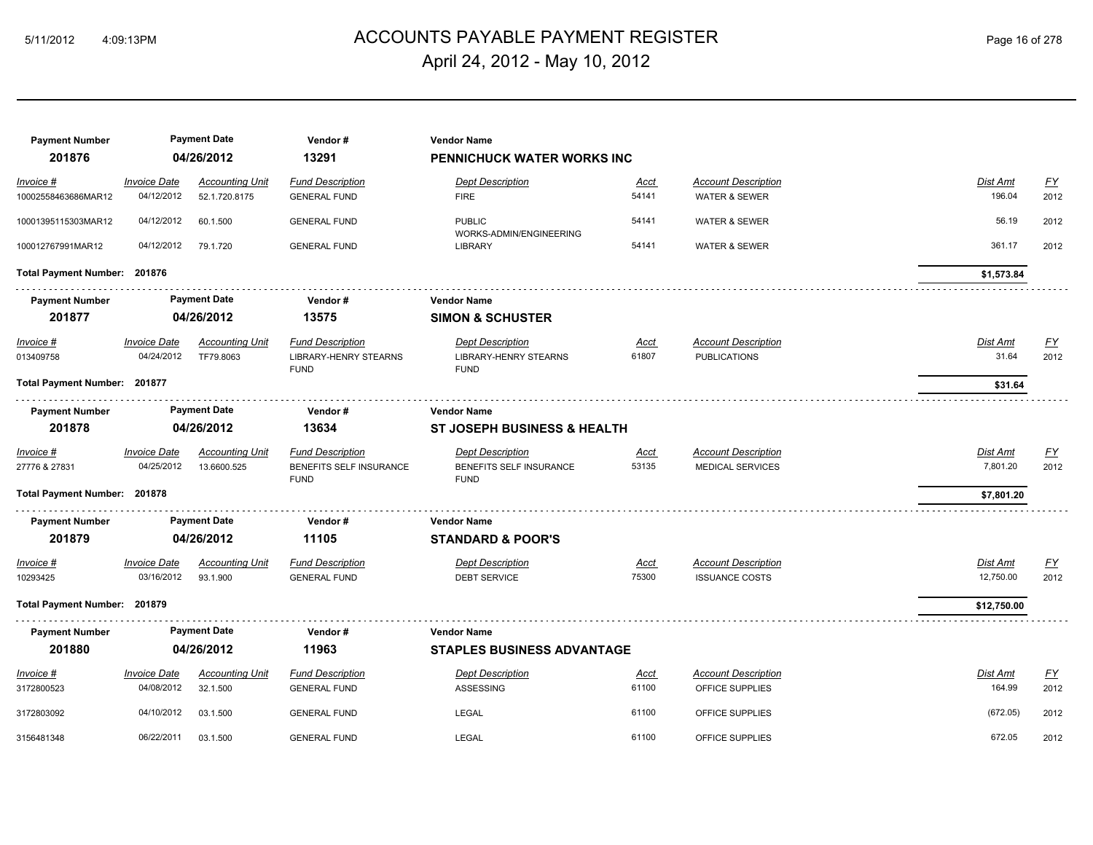## ACCOUNTS PAYABLE PAYMENT REGISTER 5/11/2012 4:09:13PM Page 16 of 278 April 24, 2012 - May 10, 2012

| <b>Payment Number</b><br>201876 |                                   | <b>Payment Date</b><br>04/26/2012     | Vendor#<br>13291                                                       | <b>Vendor Name</b><br>PENNICHUCK WATER WORKS INC                       |                      |                                                       |                              |                          |
|---------------------------------|-----------------------------------|---------------------------------------|------------------------------------------------------------------------|------------------------------------------------------------------------|----------------------|-------------------------------------------------------|------------------------------|--------------------------|
| Invoice #                       | <b>Invoice Date</b>               | <b>Accounting Unit</b>                | <b>Fund Description</b>                                                | <b>Dept Description</b>                                                | Acct                 | <b>Account Description</b>                            | Dist Amt                     | $\underline{FY}$         |
| 10002558463686MAR12             | 04/12/2012                        | 52.1.720.8175                         | <b>GENERAL FUND</b>                                                    | <b>FIRE</b>                                                            | 54141                | <b>WATER &amp; SEWER</b>                              | 196.04                       | 2012                     |
| 10001395115303MAR12             | 04/12/2012                        | 60.1.500                              | <b>GENERAL FUND</b>                                                    | <b>PUBLIC</b><br>WORKS-ADMIN/ENGINEERING                               | 54141                | <b>WATER &amp; SEWER</b>                              | 56.19                        | 2012                     |
| 100012767991MAR12               | 04/12/2012                        | 79.1.720                              | <b>GENERAL FUND</b>                                                    | LIBRARY                                                                | 54141                | <b>WATER &amp; SEWER</b>                              | 361.17                       | 2012                     |
| Total Payment Number: 201876    |                                   |                                       |                                                                        |                                                                        |                      |                                                       | \$1,573.84                   |                          |
| <b>Payment Number</b>           |                                   | <b>Payment Date</b>                   | Vendor#                                                                | <b>Vendor Name</b>                                                     |                      |                                                       |                              |                          |
| 201877                          |                                   | 04/26/2012                            | 13575                                                                  | <b>SIMON &amp; SCHUSTER</b>                                            |                      |                                                       |                              |                          |
| <b>Invoice #</b><br>013409758   | <b>Invoice Date</b><br>04/24/2012 | <b>Accounting Unit</b><br>TF79.8063   | <b>Fund Description</b><br><b>LIBRARY-HENRY STEARNS</b><br><b>FUND</b> | <b>Dept Description</b><br><b>LIBRARY-HENRY STEARNS</b><br><b>FUND</b> | <u>Acct</u><br>61807 | <b>Account Description</b><br><b>PUBLICATIONS</b>     | <u>Dist Amt</u><br>31.64     | EY<br>2012               |
| Total Payment Number: 201877    |                                   |                                       |                                                                        |                                                                        |                      |                                                       | \$31.64                      |                          |
| <b>Payment Number</b>           |                                   | <b>Payment Date</b>                   | Vendor#                                                                | <b>Vendor Name</b>                                                     |                      |                                                       |                              |                          |
| 201878                          |                                   | 04/26/2012                            | 13634                                                                  | ST JOSEPH BUSINESS & HEALTH                                            |                      |                                                       |                              |                          |
| Invoice #<br>27776 & 27831      | <b>Invoice Date</b><br>04/25/2012 | <b>Accounting Unit</b><br>13.6600.525 | <b>Fund Description</b><br>BENEFITS SELF INSURANCE<br><b>FUND</b>      | <b>Dept Description</b><br>BENEFITS SELF INSURANCE<br><b>FUND</b>      | Acct<br>53135        | <b>Account Description</b><br><b>MEDICAL SERVICES</b> | Dist Amt<br>7,801.20         | <u>FY</u><br>2012        |
| Total Payment Number: 201878    |                                   |                                       |                                                                        |                                                                        |                      |                                                       | \$7,801.20                   |                          |
| <b>Payment Number</b>           |                                   | <b>Payment Date</b>                   | Vendor#                                                                | <b>Vendor Name</b>                                                     |                      |                                                       |                              |                          |
| 201879                          |                                   | 04/26/2012                            | 11105                                                                  | <b>STANDARD &amp; POOR'S</b>                                           |                      |                                                       |                              |                          |
| <i>Invoice</i> #<br>10293425    | <b>Invoice Date</b><br>03/16/2012 | <b>Accounting Unit</b><br>93.1.900    | <b>Fund Description</b><br><b>GENERAL FUND</b>                         | <b>Dept Description</b><br><b>DEBT SERVICE</b>                         | <u>Acct</u><br>75300 | <b>Account Description</b><br><b>ISSUANCE COSTS</b>   | <u>Dist Amt</u><br>12,750.00 | <u>FY</u><br>2012        |
| Total Payment Number: 201879    |                                   |                                       |                                                                        |                                                                        |                      |                                                       | \$12,750.00                  |                          |
| <b>Payment Number</b>           |                                   | <b>Payment Date</b>                   | Vendor#                                                                | <b>Vendor Name</b>                                                     |                      |                                                       |                              |                          |
| 201880                          |                                   | 04/26/2012                            | 11963                                                                  | <b>STAPLES BUSINESS ADVANTAGE</b>                                      |                      |                                                       |                              |                          |
| Invoice #<br>3172800523         | <b>Invoice Date</b><br>04/08/2012 | <b>Accounting Unit</b><br>32.1.500    | <b>Fund Description</b><br><b>GENERAL FUND</b>                         | <b>Dept Description</b><br>ASSESSING                                   | Acct<br>61100        | <b>Account Description</b><br>OFFICE SUPPLIES         | Dist Amt<br>164.99           | $\underline{FY}$<br>2012 |
| 3172803092                      | 04/10/2012                        | 03.1.500                              | <b>GENERAL FUND</b>                                                    | LEGAL                                                                  | 61100                | OFFICE SUPPLIES                                       | (672.05)                     | 2012                     |
| 3156481348                      | 06/22/2011                        | 03.1.500                              | <b>GENERAL FUND</b>                                                    | <b>LEGAL</b>                                                           | 61100                | OFFICE SUPPLIES                                       | 672.05                       | 2012                     |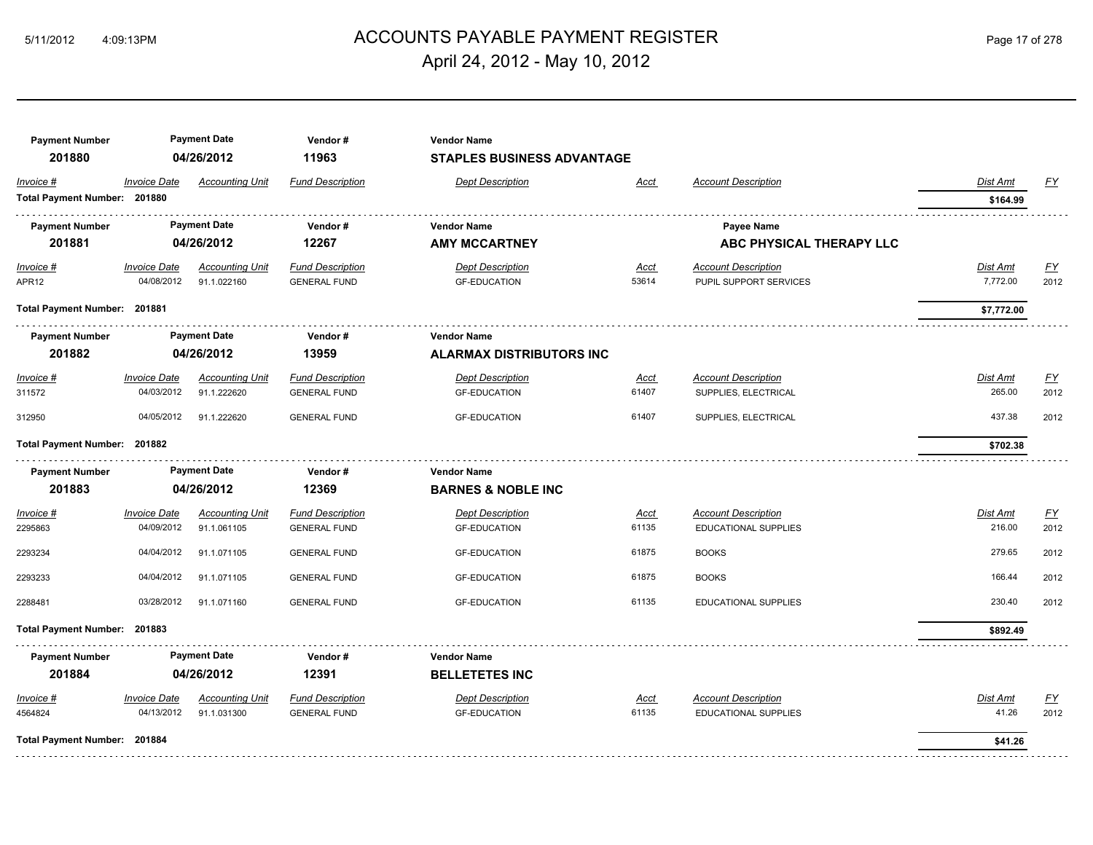## 5/11/2012 4:09:13PM ACCOUNTS PAYABLE PAYMENT REGISTER Page 17 of 278 April 24, 2012 - May 10, 2012

| <b>Payment Number</b><br>201880 |                     | <b>Payment Date</b><br>04/26/2012 | Vendor#<br>11963        | <b>Vendor Name</b><br><b>STAPLES BUSINESS ADVANTAGE</b> |             |                            |                 |           |
|---------------------------------|---------------------|-----------------------------------|-------------------------|---------------------------------------------------------|-------------|----------------------------|-----------------|-----------|
| Invoice #                       | <b>Invoice Date</b> | <b>Accounting Unit</b>            | <b>Fund Description</b> | <b>Dept Description</b>                                 | Acct        | <b>Account Description</b> | Dist Amt        | <u>FY</u> |
| Total Payment Number: 201880    |                     |                                   |                         |                                                         |             |                            | \$164.99        |           |
| <b>Payment Number</b>           |                     | <b>Payment Date</b>               | Vendor#                 | <b>Vendor Name</b>                                      |             | Payee Name                 |                 |           |
| 201881                          |                     | 04/26/2012                        | 12267                   | <b>AMY MCCARTNEY</b>                                    |             | ABC PHYSICAL THERAPY LLC   |                 |           |
| Invoice #                       | <b>Invoice Date</b> | <b>Accounting Unit</b>            | <b>Fund Description</b> | <b>Dept Description</b>                                 | <u>Acct</u> | <b>Account Description</b> | <b>Dist Amt</b> | <u>FY</u> |
| APR12                           | 04/08/2012          | 91.1.022160                       | <b>GENERAL FUND</b>     | <b>GF-EDUCATION</b>                                     | 53614       | PUPIL SUPPORT SERVICES     | 7,772.00        | 2012      |
| Total Payment Number: 201881    |                     |                                   |                         |                                                         |             |                            | \$7,772.00      |           |
| <b>Payment Number</b>           |                     | <b>Payment Date</b>               | Vendor#                 | <b>Vendor Name</b>                                      |             |                            |                 |           |
| 201882                          |                     | 04/26/2012                        | 13959                   | <b>ALARMAX DISTRIBUTORS INC</b>                         |             |                            |                 |           |
| Invoice #                       | <b>Invoice Date</b> | <b>Accounting Unit</b>            | <b>Fund Description</b> | <b>Dept Description</b>                                 | Acct        | <b>Account Description</b> | Dist Amt        | <u>FY</u> |
| 311572                          | 04/03/2012          | 91.1.222620                       | <b>GENERAL FUND</b>     | <b>GF-EDUCATION</b>                                     | 61407       | SUPPLIES, ELECTRICAL       | 265.00          | 2012      |
| 312950                          | 04/05/2012          | 91.1.222620                       | <b>GENERAL FUND</b>     | <b>GF-EDUCATION</b>                                     | 61407       | SUPPLIES, ELECTRICAL       | 437.38          | 2012      |
| Total Payment Number: 201882    |                     |                                   |                         |                                                         |             |                            | \$702.38        |           |
| <b>Payment Number</b>           |                     | <b>Payment Date</b>               | Vendor#                 | <b>Vendor Name</b>                                      |             |                            |                 |           |
| 201883                          |                     | 04/26/2012                        | 12369                   | <b>BARNES &amp; NOBLE INC</b>                           |             |                            |                 |           |
| Invoice #                       | <b>Invoice Date</b> | <b>Accounting Unit</b>            | <b>Fund Description</b> | <b>Dept Description</b>                                 | Acct        | <b>Account Description</b> | Dist Amt        | <u>FY</u> |
| 2295863                         | 04/09/2012          | 91.1.061105                       | <b>GENERAL FUND</b>     | <b>GF-EDUCATION</b>                                     | 61135       | EDUCATIONAL SUPPLIES       | 216.00          | 2012      |
| 2293234                         | 04/04/2012          | 91.1.071105                       | <b>GENERAL FUND</b>     | <b>GF-EDUCATION</b>                                     | 61875       | <b>BOOKS</b>               | 279.65          | 2012      |
| 2293233                         | 04/04/2012          | 91.1.071105                       | <b>GENERAL FUND</b>     | <b>GF-EDUCATION</b>                                     | 61875       | <b>BOOKS</b>               | 166.44          | 2012      |
| 2288481                         | 03/28/2012          | 91.1.071160                       | <b>GENERAL FUND</b>     | <b>GF-EDUCATION</b>                                     | 61135       | EDUCATIONAL SUPPLIES       | 230.40          | 2012      |
| Total Payment Number: 201883    |                     |                                   |                         |                                                         |             |                            | \$892.49        |           |
| <b>Payment Number</b>           |                     | <b>Payment Date</b>               | Vendor#                 | <b>Vendor Name</b>                                      |             |                            |                 |           |
| 201884                          |                     | 04/26/2012                        | 12391                   | <b>BELLETETES INC</b>                                   |             |                            |                 |           |
| Invoice #                       | <b>Invoice Date</b> | <b>Accounting Unit</b>            | <b>Fund Description</b> | <b>Dept Description</b>                                 | Acct        | <b>Account Description</b> | Dist Amt        | EY        |
| 4564824                         | 04/13/2012          | 91.1.031300                       | <b>GENERAL FUND</b>     | <b>GF-EDUCATION</b>                                     | 61135       | EDUCATIONAL SUPPLIES       | 41.26           | 2012      |
| Total Payment Number: 201884    |                     |                                   |                         |                                                         |             |                            | \$41.26         |           |
|                                 |                     |                                   |                         |                                                         |             |                            |                 |           |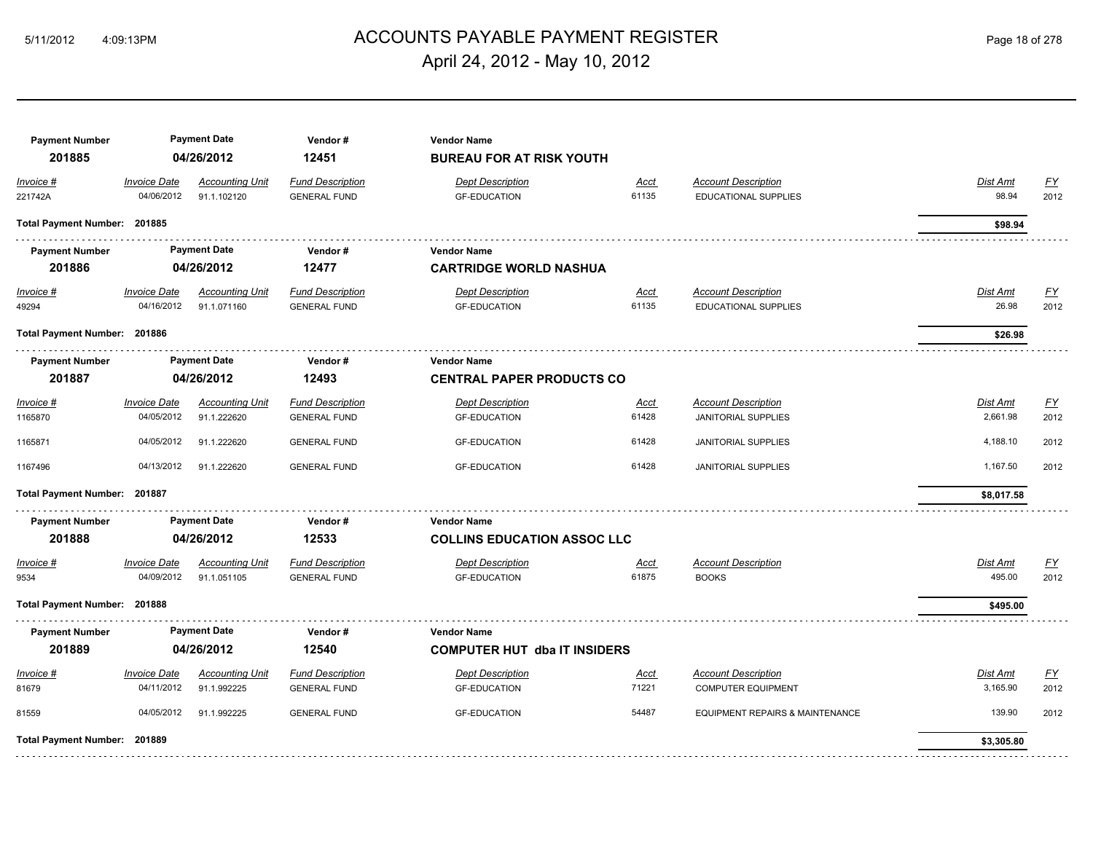## ACCOUNTS PAYABLE PAYMENT REGISTER 5/11/2012 4:09:13PM Page 18 of 278 April 24, 2012 - May 10, 2012

| <b>Payment Number</b><br>201885 |                                   | <b>Payment Date</b><br>04/26/2012     | Vendor#<br>12451                               | <b>Vendor Name</b><br><b>BUREAU FOR AT RISK YOUTH</b> |                      |                                                           |                      |                   |
|---------------------------------|-----------------------------------|---------------------------------------|------------------------------------------------|-------------------------------------------------------|----------------------|-----------------------------------------------------------|----------------------|-------------------|
| Invoice #<br>221742A            | <b>Invoice Date</b><br>04/06/2012 | <b>Accounting Unit</b><br>91.1.102120 | <b>Fund Description</b><br><b>GENERAL FUND</b> | <b>Dept Description</b><br><b>GF-EDUCATION</b>        | Acct<br>61135        | <b>Account Description</b><br>EDUCATIONAL SUPPLIES        | Dist Amt<br>98.94    | EY<br>2012        |
| Total Payment Number: 201885    |                                   |                                       |                                                |                                                       |                      |                                                           | \$98.94              |                   |
| <b>Payment Number</b><br>201886 |                                   | <b>Payment Date</b><br>04/26/2012     | Vendor#<br>12477                               | <b>Vendor Name</b><br><b>CARTRIDGE WORLD NASHUA</b>   |                      |                                                           |                      |                   |
| $Invoice$ #<br>49294            | <b>Invoice Date</b><br>04/16/2012 | <b>Accounting Unit</b><br>91.1.071160 | <b>Fund Description</b><br><b>GENERAL FUND</b> | <b>Dept Description</b><br><b>GF-EDUCATION</b>        | <u>Acct</u><br>61135 | <b>Account Description</b><br><b>EDUCATIONAL SUPPLIES</b> | Dist Amt<br>26.98    | <u>FY</u><br>2012 |
| Total Payment Number: 201886    |                                   |                                       |                                                |                                                       |                      |                                                           | \$26.98              |                   |
| <b>Payment Number</b>           |                                   | <b>Payment Date</b>                   | Vendor#                                        | <b>Vendor Name</b>                                    |                      |                                                           |                      |                   |
| 201887                          |                                   | 04/26/2012                            | 12493                                          | <b>CENTRAL PAPER PRODUCTS CO</b>                      |                      |                                                           |                      |                   |
| <i>Invoice</i> #<br>1165870     | <b>Invoice Date</b><br>04/05/2012 | <b>Accounting Unit</b><br>91.1.222620 | <b>Fund Description</b><br><b>GENERAL FUND</b> | <b>Dept Description</b><br><b>GF-EDUCATION</b>        | <u>Acct</u><br>61428 | <b>Account Description</b><br><b>JANITORIAL SUPPLIES</b>  | Dist Amt<br>2,661.98 | EY<br>2012        |
| 1165871                         | 04/05/2012                        | 91.1.222620                           | <b>GENERAL FUND</b>                            | <b>GF-EDUCATION</b>                                   | 61428                | <b>JANITORIAL SUPPLIES</b>                                | 4,188.10             | 2012              |
| 1167496                         | 04/13/2012                        | 91.1.222620                           | <b>GENERAL FUND</b>                            | <b>GF-EDUCATION</b>                                   | 61428                | <b>JANITORIAL SUPPLIES</b>                                | 1,167.50             | 2012              |
| Total Payment Number: 201887    |                                   |                                       |                                                |                                                       |                      |                                                           | \$8,017.58           |                   |
| <b>Payment Number</b>           |                                   | <b>Payment Date</b>                   | Vendor#                                        | <b>Vendor Name</b>                                    |                      |                                                           |                      |                   |
| 201888                          |                                   | 04/26/2012                            | 12533                                          | <b>COLLINS EDUCATION ASSOC LLC</b>                    |                      |                                                           |                      |                   |
| Invoice #<br>9534               | <b>Invoice Date</b><br>04/09/2012 | <b>Accounting Unit</b><br>91.1.051105 | <b>Fund Description</b><br><b>GENERAL FUND</b> | <b>Dept Description</b><br><b>GF-EDUCATION</b>        | Acct<br>61875        | <b>Account Description</b><br><b>BOOKS</b>                | Dist Amt<br>495.00   | EY<br>2012        |
| Total Payment Number: 201888    |                                   |                                       |                                                |                                                       |                      |                                                           | \$495.00             |                   |
| <b>Payment Number</b>           |                                   | <b>Payment Date</b>                   | Vendor#                                        | <b>Vendor Name</b>                                    |                      |                                                           |                      |                   |
| 201889                          |                                   | 04/26/2012                            | 12540                                          | <b>COMPUTER HUT dba IT INSIDERS</b>                   |                      |                                                           |                      |                   |
| Invoice #<br>81679              | <b>Invoice Date</b><br>04/11/2012 | <b>Accounting Unit</b><br>91.1.992225 | <b>Fund Description</b><br><b>GENERAL FUND</b> | <b>Dept Description</b><br><b>GF-EDUCATION</b>        | Acct<br>71221        | <b>Account Description</b><br><b>COMPUTER EQUIPMENT</b>   | Dist Amt<br>3,165.90 | EY<br>2012        |
| 81559                           | 04/05/2012                        | 91.1.992225                           | <b>GENERAL FUND</b>                            | <b>GF-EDUCATION</b>                                   | 54487                | EQUIPMENT REPAIRS & MAINTENANCE                           | 139.90               | 2012              |
| Total Payment Number: 201889    |                                   |                                       |                                                |                                                       |                      |                                                           | \$3,305.80           |                   |
|                                 |                                   |                                       |                                                |                                                       |                      |                                                           |                      |                   |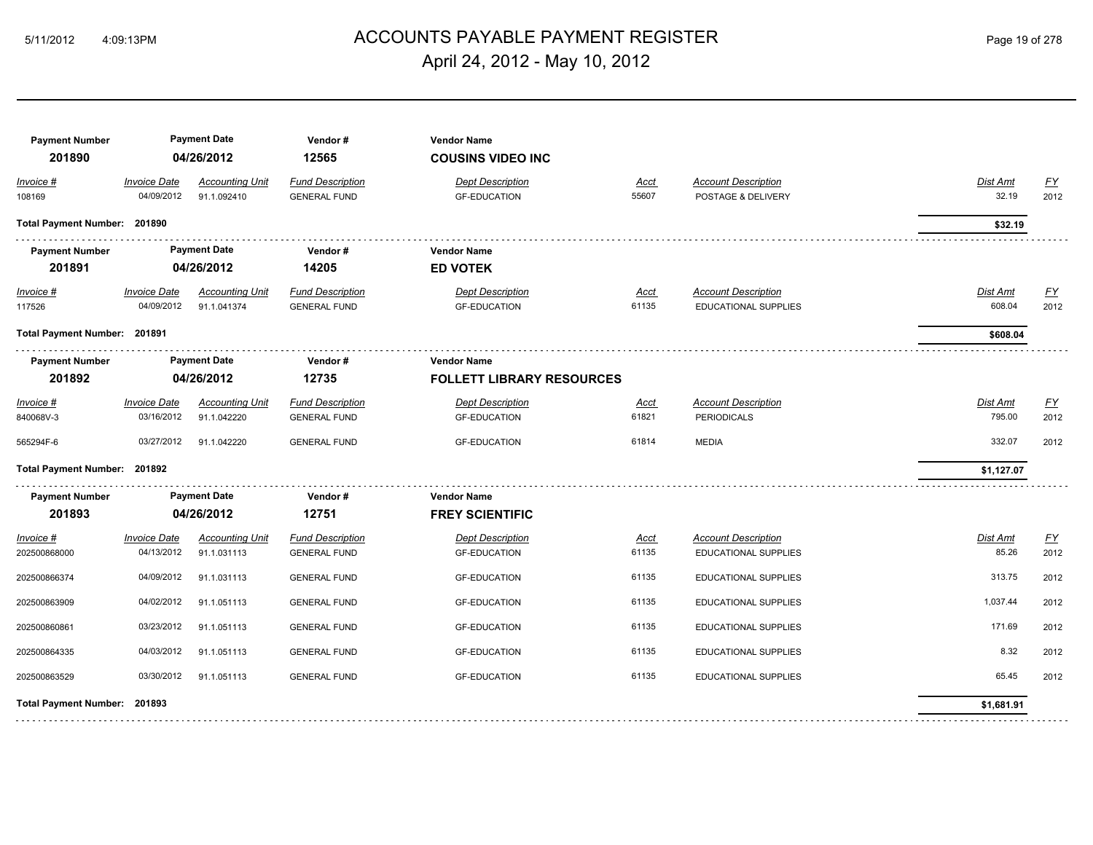## ACCOUNTS PAYABLE PAYMENT REGISTER 5/11/2012 4:09:13PM Page 19 of 278 April 24, 2012 - May 10, 2012

| <b>Payment Number</b><br>201890 |                                   | <b>Payment Date</b><br>04/26/2012     | Vendor#<br>12565                               | <b>Vendor Name</b><br><b>COUSINS VIDEO INC</b> |                      |                                                           |                   |            |
|---------------------------------|-----------------------------------|---------------------------------------|------------------------------------------------|------------------------------------------------|----------------------|-----------------------------------------------------------|-------------------|------------|
| Invoice #                       | <b>Invoice Date</b>               | <b>Accounting Unit</b>                | <b>Fund Description</b>                        | <b>Dept Description</b>                        | <b>Acct</b>          | <b>Account Description</b>                                | Dist Amt          | EY         |
| 108169                          | 04/09/2012                        | 91.1.092410                           | <b>GENERAL FUND</b>                            | <b>GF-EDUCATION</b>                            | 55607                | POSTAGE & DELIVERY                                        | 32.19             | 2012       |
| Total Payment Number: 201890    |                                   |                                       |                                                |                                                |                      |                                                           | \$32.19           |            |
| <b>Payment Number</b>           |                                   | <b>Payment Date</b>                   | Vendor#                                        | <b>Vendor Name</b>                             |                      |                                                           |                   |            |
| 201891                          |                                   | 04/26/2012                            | 14205                                          | <b>ED VOTEK</b>                                |                      |                                                           |                   |            |
| $Invoice$ #                     | <b>Invoice Date</b>               | <b>Accounting Unit</b>                | <b>Fund Description</b>                        | <b>Dept Description</b>                        | <u>Acct</u>          | <b>Account Description</b>                                | Dist Amt          | <u>FY</u>  |
| 117526                          | 04/09/2012                        | 91.1.041374                           | <b>GENERAL FUND</b>                            | <b>GF-EDUCATION</b>                            | 61135                | EDUCATIONAL SUPPLIES                                      | 608.04            | 2012       |
|                                 | Total Payment Number: 201891      |                                       |                                                |                                                |                      |                                                           | \$608.04          |            |
| <b>Payment Number</b>           |                                   | <b>Payment Date</b>                   | Vendor#                                        | <b>Vendor Name</b>                             |                      |                                                           |                   |            |
| 201892                          |                                   | 04/26/2012                            | 12735                                          | <b>FOLLETT LIBRARY RESOURCES</b>               |                      |                                                           |                   |            |
| <i>Invoice</i> #                | <b>Invoice Date</b>               | <b>Accounting Unit</b>                | <b>Fund Description</b>                        | <b>Dept Description</b>                        | <u>Acct</u>          | <b>Account Description</b>                                | Dist Amt          | EY         |
| 840068V-3                       | 03/16/2012                        | 91.1.042220                           | <b>GENERAL FUND</b>                            | <b>GF-EDUCATION</b>                            | 61821                | <b>PERIODICALS</b>                                        | 795.00            | 2012       |
| 565294F-6                       | 03/27/2012                        | 91.1.042220                           | <b>GENERAL FUND</b>                            | <b>GF-EDUCATION</b>                            | 61814                | <b>MEDIA</b>                                              | 332.07            | 2012       |
| Total Payment Number: 201892    |                                   |                                       |                                                |                                                |                      |                                                           | \$1,127.07        |            |
| <b>Payment Number</b>           |                                   | <b>Payment Date</b>                   | Vendor#                                        | <b>Vendor Name</b>                             |                      |                                                           |                   |            |
| 201893                          |                                   | 04/26/2012                            | 12751                                          | <b>FREY SCIENTIFIC</b>                         |                      |                                                           |                   |            |
| Invoice #<br>202500868000       | <b>Invoice Date</b><br>04/13/2012 | <b>Accounting Unit</b><br>91.1.031113 | <b>Fund Description</b><br><b>GENERAL FUND</b> | <b>Dept Description</b><br><b>GF-EDUCATION</b> | <u>Acct</u><br>61135 | <b>Account Description</b><br><b>EDUCATIONAL SUPPLIES</b> | Dist Amt<br>85.26 | EY<br>2012 |
| 202500866374                    | 04/09/2012                        | 91.1.031113                           | <b>GENERAL FUND</b>                            | <b>GF-EDUCATION</b>                            | 61135                | <b>EDUCATIONAL SUPPLIES</b>                               | 313.75            | 2012       |
| 202500863909                    | 04/02/2012                        | 91.1.051113                           | <b>GENERAL FUND</b>                            | <b>GF-EDUCATION</b>                            | 61135                | EDUCATIONAL SUPPLIES                                      | 1,037.44          | 2012       |
| 202500860861                    | 03/23/2012                        | 91.1.051113                           | <b>GENERAL FUND</b>                            | <b>GF-EDUCATION</b>                            | 61135                | <b>EDUCATIONAL SUPPLIES</b>                               | 171.69            | 2012       |
| 202500864335                    | 04/03/2012                        | 91.1.051113                           | <b>GENERAL FUND</b>                            | <b>GF-EDUCATION</b>                            | 61135                | EDUCATIONAL SUPPLIES                                      | 8.32              | 2012       |
| 202500863529                    | 03/30/2012                        | 91.1.051113                           | <b>GENERAL FUND</b>                            | <b>GF-EDUCATION</b>                            | 61135                | <b>EDUCATIONAL SUPPLIES</b>                               | 65.45             | 2012       |
| <b>Total Payment Number:</b>    | 201893                            |                                       |                                                |                                                |                      |                                                           | \$1,681.91        |            |
|                                 |                                   |                                       |                                                |                                                |                      |                                                           |                   |            |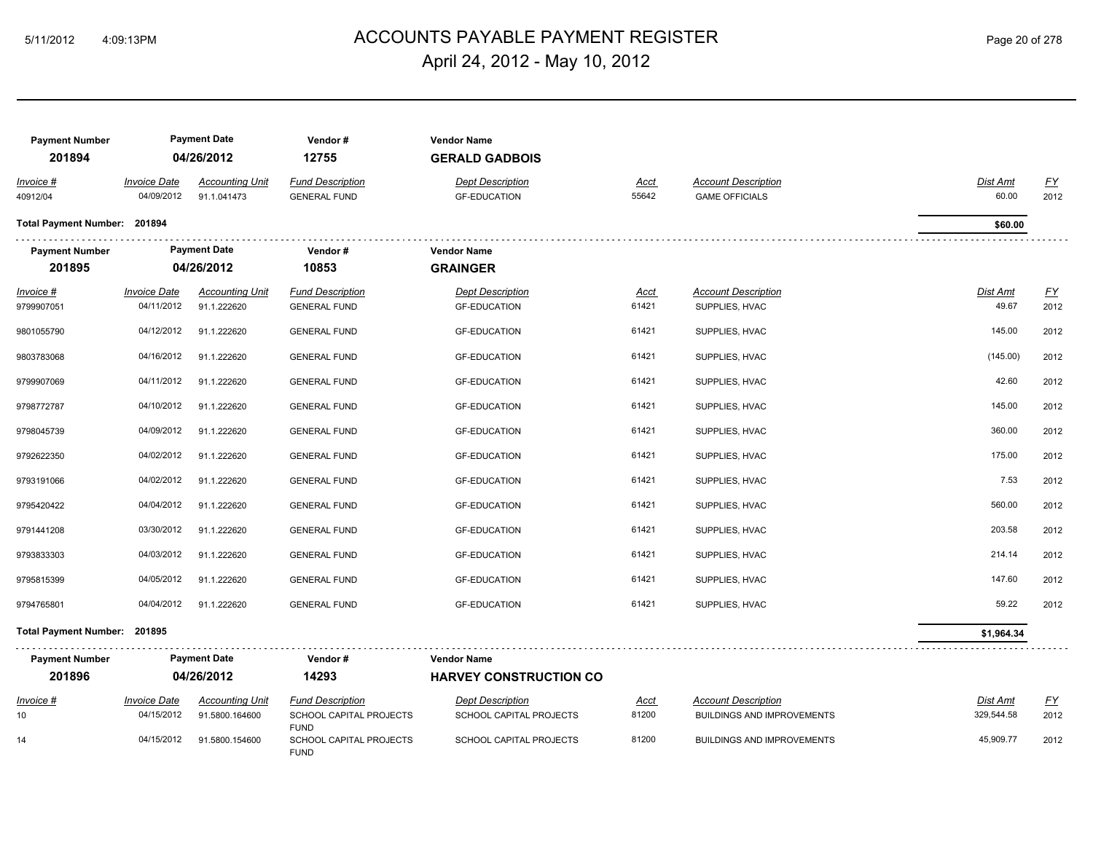## ACCOUNTS PAYABLE PAYMENT REGISTER 5/11/2012 4:09:13PM Page 20 of 278 April 24, 2012 - May 10, 2012

| <b>Payment Number</b><br>201894 |                                   | <b>Payment Date</b><br>04/26/2012        | Vendor#<br>12755                                      | <b>Vendor Name</b><br><b>GERALD GADBOIS</b>        |               |                                                                 |                        |                           |
|---------------------------------|-----------------------------------|------------------------------------------|-------------------------------------------------------|----------------------------------------------------|---------------|-----------------------------------------------------------------|------------------------|---------------------------|
| Invoice #<br>40912/04           | <b>Invoice Date</b><br>04/09/2012 | <b>Accounting Unit</b><br>91.1.041473    | <b>Fund Description</b><br><b>GENERAL FUND</b>        | <b>Dept Description</b><br><b>GF-EDUCATION</b>     | Acct<br>55642 | <b>Account Description</b><br><b>GAME OFFICIALS</b>             | Dist Amt<br>60.00      | <u>FY</u><br>2012         |
| Total Payment Number: 201894    |                                   |                                          |                                                       |                                                    |               |                                                                 | \$60.00                |                           |
| <b>Payment Number</b>           |                                   | <b>Payment Date</b>                      | Vendor#                                               | <b>Vendor Name</b>                                 |               |                                                                 |                        |                           |
| 201895                          |                                   | 04/26/2012                               | 10853                                                 | <b>GRAINGER</b>                                    |               |                                                                 |                        |                           |
| Invoice #                       | <b>Invoice Date</b>               | <b>Accounting Unit</b>                   | <b>Fund Description</b>                               | <b>Dept Description</b>                            | <u>Acct</u>   | <b>Account Description</b>                                      | <b>Dist Amt</b>        | $\underline{\mathsf{FY}}$ |
| 9799907051                      | 04/11/2012                        | 91.1.222620                              | <b>GENERAL FUND</b>                                   | <b>GF-EDUCATION</b>                                | 61421         | SUPPLIES, HVAC                                                  | 49.67                  | 2012                      |
| 9801055790                      | 04/12/2012                        | 91.1.222620                              | <b>GENERAL FUND</b>                                   | <b>GF-EDUCATION</b>                                | 61421         | SUPPLIES, HVAC                                                  | 145.00                 | 2012                      |
| 9803783068                      | 04/16/2012                        | 91.1.222620                              | <b>GENERAL FUND</b>                                   | <b>GF-EDUCATION</b>                                | 61421         | SUPPLIES, HVAC                                                  | (145.00)               | 2012                      |
| 9799907069                      | 04/11/2012                        | 91.1.222620                              | <b>GENERAL FUND</b>                                   | <b>GF-EDUCATION</b>                                | 61421         | SUPPLIES, HVAC                                                  | 42.60                  | 2012                      |
| 9798772787                      | 04/10/2012                        | 91.1.222620                              | <b>GENERAL FUND</b>                                   | <b>GF-EDUCATION</b>                                | 61421         | SUPPLIES, HVAC                                                  | 145.00                 | 2012                      |
| 9798045739                      | 04/09/2012                        | 91.1.222620                              | <b>GENERAL FUND</b>                                   | <b>GF-EDUCATION</b>                                | 61421         | SUPPLIES, HVAC                                                  | 360.00                 | 2012                      |
| 9792622350                      | 04/02/2012                        | 91.1.222620                              | <b>GENERAL FUND</b>                                   | <b>GF-EDUCATION</b>                                | 61421         | SUPPLIES, HVAC                                                  | 175.00                 | 2012                      |
| 9793191066                      | 04/02/2012                        | 91.1.222620                              | <b>GENERAL FUND</b>                                   | <b>GF-EDUCATION</b>                                | 61421         | SUPPLIES, HVAC                                                  | 7.53                   | 2012                      |
| 9795420422                      | 04/04/2012                        | 91.1.222620                              | <b>GENERAL FUND</b>                                   | <b>GF-EDUCATION</b>                                | 61421         | SUPPLIES, HVAC                                                  | 560.00                 | 2012                      |
| 9791441208                      | 03/30/2012                        | 91.1.222620                              | <b>GENERAL FUND</b>                                   | <b>GF-EDUCATION</b>                                | 61421         | SUPPLIES, HVAC                                                  | 203.58                 | 2012                      |
| 9793833303                      | 04/03/2012                        | 91.1.222620                              | <b>GENERAL FUND</b>                                   | <b>GF-EDUCATION</b>                                | 61421         | SUPPLIES, HVAC                                                  | 214.14                 | 2012                      |
| 9795815399                      | 04/05/2012                        | 91.1.222620                              | <b>GENERAL FUND</b>                                   | <b>GF-EDUCATION</b>                                | 61421         | SUPPLIES, HVAC                                                  | 147.60                 | 2012                      |
| 9794765801                      | 04/04/2012                        | 91.1.222620                              | <b>GENERAL FUND</b>                                   | <b>GF-EDUCATION</b>                                | 61421         | SUPPLIES, HVAC                                                  | 59.22                  | 2012                      |
| Total Payment Number: 201895    |                                   |                                          |                                                       |                                                    |               |                                                                 | \$1,964.34             |                           |
| <b>Payment Number</b>           |                                   | <b>Payment Date</b>                      | Vendor#                                               | <b>Vendor Name</b>                                 |               |                                                                 |                        |                           |
| 201896                          |                                   | 04/26/2012                               | 14293                                                 | <b>HARVEY CONSTRUCTION CO</b>                      |               |                                                                 |                        |                           |
| Invoice #<br>10                 | <b>Invoice Date</b><br>04/15/2012 | <b>Accounting Unit</b><br>91.5800.164600 | <b>Fund Description</b><br>SCHOOL CAPITAL PROJECTS    | <b>Dept Description</b><br>SCHOOL CAPITAL PROJECTS | Acct<br>81200 | <b>Account Description</b><br><b>BUILDINGS AND IMPROVEMENTS</b> | Dist Amt<br>329,544.58 | <u>FY</u><br>2012         |
| 14                              | 04/15/2012                        | 91.5800.154600                           | <b>FUND</b><br>SCHOOL CAPITAL PROJECTS<br><b>FUND</b> | SCHOOL CAPITAL PROJECTS                            | 81200         | <b>BUILDINGS AND IMPROVEMENTS</b>                               | 45,909.77              | 2012                      |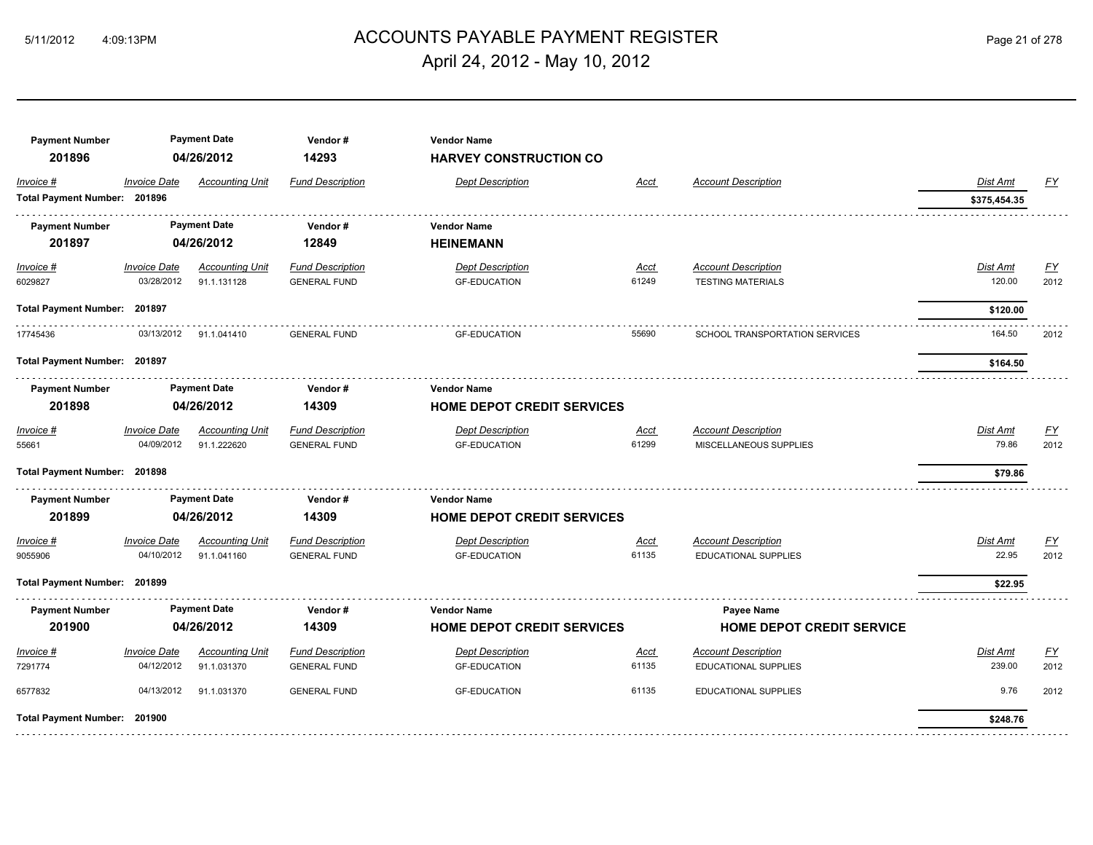## 5/11/2012 4:09:13PM ACCOUNTS PAYABLE PAYMENT REGISTER Page 21 of 278 April 24, 2012 - May 10, 2012

| <b>Payment Number</b><br>201896 |                     | <b>Payment Date</b><br>04/26/2012 | Vendor#<br>14293        | <b>Vendor Name</b><br><b>HARVEY CONSTRUCTION CO</b> |             |                                  |              |           |
|---------------------------------|---------------------|-----------------------------------|-------------------------|-----------------------------------------------------|-------------|----------------------------------|--------------|-----------|
| Invoice #                       | <b>Invoice Date</b> | <b>Accounting Unit</b>            | <b>Fund Description</b> | <b>Dept Description</b>                             | Acct        | <b>Account Description</b>       | Dist Amt     | FY        |
| Total Payment Number: 201896    |                     |                                   |                         |                                                     |             |                                  | \$375,454.35 |           |
| <b>Payment Number</b>           |                     | <b>Payment Date</b>               | Vendor#                 | <b>Vendor Name</b>                                  |             |                                  |              |           |
| 201897                          |                     | 04/26/2012                        | 12849                   | <b>HEINEMANN</b>                                    |             |                                  |              |           |
| $Invoice$ #                     | <b>Invoice Date</b> | <b>Accounting Unit</b>            | <b>Fund Description</b> | <b>Dept Description</b>                             | <u>Acct</u> | <b>Account Description</b>       | Dist Amt     | <u>FY</u> |
| 6029827                         | 03/28/2012          | 91.1.131128                       | <b>GENERAL FUND</b>     | <b>GF-EDUCATION</b>                                 | 61249       | <b>TESTING MATERIALS</b>         | 120.00       | 2012      |
| Total Payment Number: 201897    |                     |                                   |                         |                                                     |             |                                  | \$120.00     |           |
| 17745436                        | 03/13/2012          | 91.1.041410                       | <b>GENERAL FUND</b>     | <b>GF-EDUCATION</b>                                 | 55690       | SCHOOL TRANSPORTATION SERVICES   | 164.50       | 2012      |
| Total Payment Number: 201897    |                     |                                   |                         |                                                     |             |                                  | \$164.50     |           |
| <b>Payment Number</b>           |                     | <b>Payment Date</b>               | Vendor#                 | <b>Vendor Name</b>                                  |             |                                  |              |           |
| 201898                          |                     | 04/26/2012                        | 14309                   | <b>HOME DEPOT CREDIT SERVICES</b>                   |             |                                  |              |           |
| Invoice #                       | <b>Invoice Date</b> | <b>Accounting Unit</b>            | <b>Fund Description</b> | <b>Dept Description</b>                             | Acct        | <b>Account Description</b>       | Dist Amt     | <b>FY</b> |
| 55661                           | 04/09/2012          | 91.1.222620                       | <b>GENERAL FUND</b>     | <b>GF-EDUCATION</b>                                 | 61299       | MISCELLANEOUS SUPPLIES           | 79.86        | 2012      |
| Total Payment Number: 201898    |                     |                                   |                         |                                                     |             |                                  | \$79.86      |           |
| <b>Payment Number</b>           |                     | <b>Payment Date</b>               | Vendor#                 | <b>Vendor Name</b>                                  |             |                                  |              |           |
| 201899                          |                     | 04/26/2012                        | 14309                   | <b>HOME DEPOT CREDIT SERVICES</b>                   |             |                                  |              |           |
| Invoice #                       | <b>Invoice Date</b> | <b>Accounting Unit</b>            | <b>Fund Description</b> | <b>Dept Description</b>                             | Acct        | <b>Account Description</b>       | Dist Amt     | FY        |
| 9055906                         | 04/10/2012          | 91.1.041160                       | <b>GENERAL FUND</b>     | <b>GF-EDUCATION</b>                                 | 61135       | <b>EDUCATIONAL SUPPLIES</b>      | 22.95        | 2012      |
| Total Payment Number: 201899    |                     |                                   |                         |                                                     |             |                                  | \$22.95      |           |
| <b>Payment Number</b>           |                     | <b>Payment Date</b>               | Vendor#                 | <b>Vendor Name</b>                                  |             | Payee Name                       |              |           |
| 201900                          |                     | 04/26/2012                        | 14309                   | <b>HOME DEPOT CREDIT SERVICES</b>                   |             | <b>HOME DEPOT CREDIT SERVICE</b> |              |           |
| Invoice #                       | <b>Invoice Date</b> | <b>Accounting Unit</b>            | <b>Fund Description</b> | <b>Dept Description</b>                             | <b>Acct</b> | <b>Account Description</b>       | Dist Amt     | EY        |
| 7291774                         | 04/12/2012          | 91.1.031370                       | <b>GENERAL FUND</b>     | <b>GF-EDUCATION</b>                                 | 61135       | <b>EDUCATIONAL SUPPLIES</b>      | 239.00       | 2012      |
| 6577832                         | 04/13/2012          | 91.1.031370                       | <b>GENERAL FUND</b>     | <b>GF-EDUCATION</b>                                 | 61135       | <b>EDUCATIONAL SUPPLIES</b>      | 9.76         | 2012      |
| Total Payment Number: 201900    |                     |                                   |                         |                                                     |             |                                  | \$248.76     |           |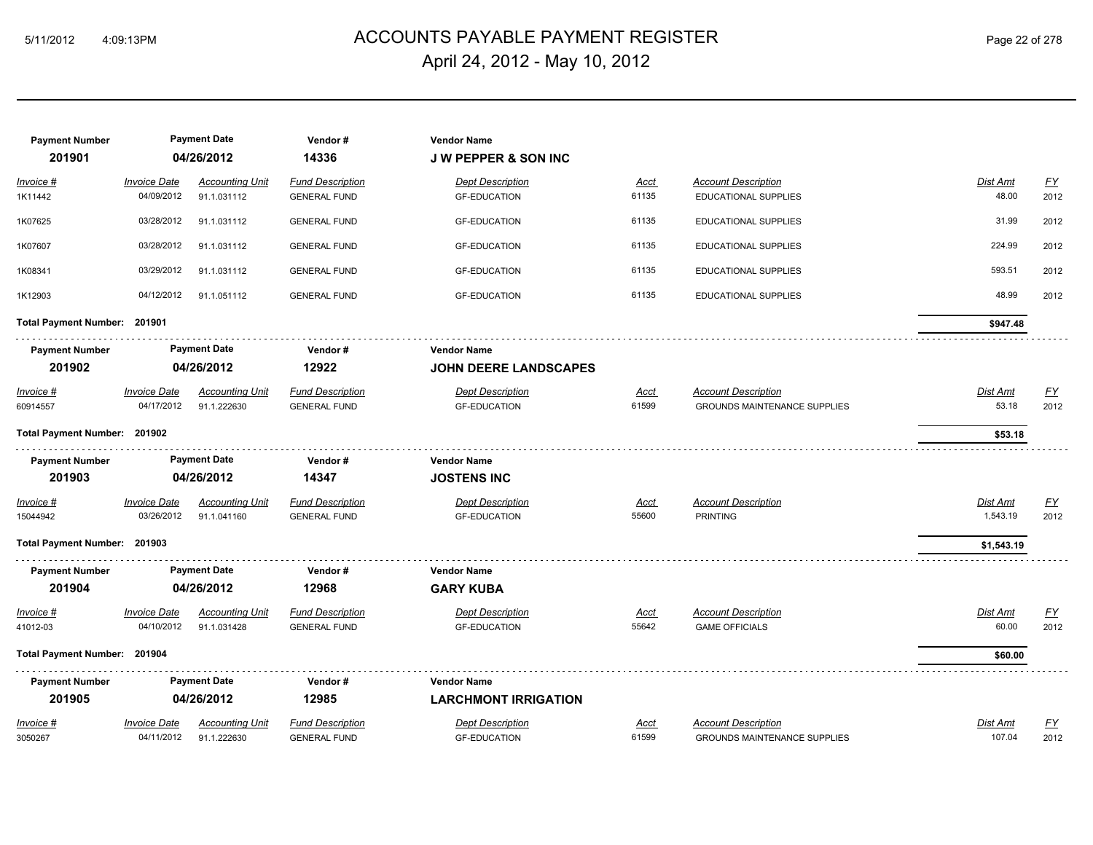## ACCOUNTS PAYABLE PAYMENT REGISTER 5/11/2012 4:09:13PM Page 22 of 278 April 24, 2012 - May 10, 2012

| <b>Payment Number</b><br>201901 |                                   | <b>Payment Date</b><br>04/26/2012     | Vendor#<br>14336                               | <b>Vendor Name</b><br><b>JW PEPPER &amp; SON INC</b> |                      |                                                                   |                          |                  |
|---------------------------------|-----------------------------------|---------------------------------------|------------------------------------------------|------------------------------------------------------|----------------------|-------------------------------------------------------------------|--------------------------|------------------|
| Invoice #                       | <b>Invoice Date</b>               | <b>Accounting Unit</b>                | <b>Fund Description</b>                        | <b>Dept Description</b>                              | <u>Acct</u>          | <b>Account Description</b>                                        | Dist Amt                 | $\underline{FY}$ |
| 1K11442                         | 04/09/2012                        | 91.1.031112                           | <b>GENERAL FUND</b>                            | <b>GF-EDUCATION</b>                                  | 61135                | EDUCATIONAL SUPPLIES                                              | 48.00                    | 2012             |
| 1K07625                         | 03/28/2012                        | 91.1.031112                           | <b>GENERAL FUND</b>                            | <b>GF-EDUCATION</b>                                  | 61135                | EDUCATIONAL SUPPLIES                                              | 31.99                    | 2012             |
| 1K07607                         | 03/28/2012                        | 91.1.031112                           | <b>GENERAL FUND</b>                            | <b>GF-EDUCATION</b>                                  | 61135                | EDUCATIONAL SUPPLIES                                              | 224.99                   | 2012             |
| 1K08341                         | 03/29/2012                        | 91.1.031112                           | <b>GENERAL FUND</b>                            | <b>GF-EDUCATION</b>                                  | 61135                | EDUCATIONAL SUPPLIES                                              | 593.51                   | 2012             |
| 1K12903                         | 04/12/2012                        | 91.1.051112                           | <b>GENERAL FUND</b>                            | <b>GF-EDUCATION</b>                                  | 61135                | <b>EDUCATIONAL SUPPLIES</b>                                       | 48.99                    | 2012             |
| Total Payment Number: 201901    |                                   |                                       |                                                |                                                      |                      |                                                                   | \$947.48                 |                  |
| <b>Payment Number</b>           |                                   | <b>Payment Date</b>                   | Vendor#                                        | <b>Vendor Name</b>                                   |                      |                                                                   |                          |                  |
| 201902                          | 04/26/2012                        |                                       | 12922                                          | <b>JOHN DEERE LANDSCAPES</b>                         |                      |                                                                   |                          |                  |
| Invoice #<br>60914557           | <b>Invoice Date</b><br>04/17/2012 | <b>Accounting Unit</b><br>91.1.222630 | <b>Fund Description</b><br><b>GENERAL FUND</b> | <b>Dept Description</b><br><b>GF-EDUCATION</b>       | <b>Acct</b><br>61599 | <b>Account Description</b><br><b>GROUNDS MAINTENANCE SUPPLIES</b> | <b>Dist Amt</b><br>53.18 | EY<br>2012       |
| Total Payment Number: 201902    |                                   |                                       |                                                |                                                      |                      |                                                                   | \$53.18                  |                  |
| <b>Payment Number</b>           |                                   | <b>Payment Date</b>                   | Vendor#                                        | <b>Vendor Name</b>                                   |                      |                                                                   |                          |                  |
| 201903                          |                                   | 04/26/2012                            | 14347                                          | <b>JOSTENS INC</b>                                   |                      |                                                                   |                          |                  |
| Invoice #                       | <b>Invoice Date</b>               | <b>Accounting Unit</b>                | <b>Fund Description</b>                        | <b>Dept Description</b>                              | <u>Acct</u>          | <b>Account Description</b>                                        | <b>Dist Amt</b>          | $\underline{FY}$ |
| 15044942                        | 03/26/2012                        | 91.1.041160                           | <b>GENERAL FUND</b>                            | <b>GF-EDUCATION</b>                                  | 55600                | <b>PRINTING</b>                                                   | 1,543.19                 | 2012             |
| Total Payment Number: 201903    |                                   |                                       |                                                |                                                      |                      |                                                                   | \$1,543.19               |                  |
| <b>Payment Number</b>           |                                   | <b>Payment Date</b>                   | Vendor#                                        | <b>Vendor Name</b>                                   |                      |                                                                   |                          |                  |
| 201904                          |                                   | 04/26/2012                            | 12968                                          | <b>GARY KUBA</b>                                     |                      |                                                                   |                          |                  |
| Invoice #                       | <b>Invoice Date</b>               | <b>Accounting Unit</b>                | <b>Fund Description</b>                        | <b>Dept Description</b>                              | <u>Acct</u>          | <b>Account Description</b>                                        | Dist Amt                 | $\underline{FY}$ |
| 41012-03                        | 04/10/2012                        | 91.1.031428                           | <b>GENERAL FUND</b>                            | <b>GF-EDUCATION</b>                                  | 55642                | <b>GAME OFFICIALS</b>                                             | 60.00                    | 2012             |
| Total Payment Number: 201904    |                                   |                                       |                                                |                                                      |                      |                                                                   | \$60.00                  |                  |
| <b>Payment Number</b>           |                                   | <b>Payment Date</b>                   | Vendor#                                        | <b>Vendor Name</b>                                   |                      |                                                                   |                          |                  |
| 201905                          |                                   | 04/26/2012                            | 12985                                          | <b>LARCHMONT IRRIGATION</b>                          |                      |                                                                   |                          |                  |
| Invoice #                       | <b>Invoice Date</b>               | <b>Accounting Unit</b>                | <b>Fund Description</b>                        | <b>Dept Description</b>                              | Acct                 | <b>Account Description</b>                                        | Dist Amt                 | <u>FY</u>        |
| 3050267                         | 04/11/2012                        | 91.1.222630                           | <b>GENERAL FUND</b>                            | <b>GF-EDUCATION</b>                                  | 61599                | <b>GROUNDS MAINTENANCE SUPPLIES</b>                               | 107.04                   | 2012             |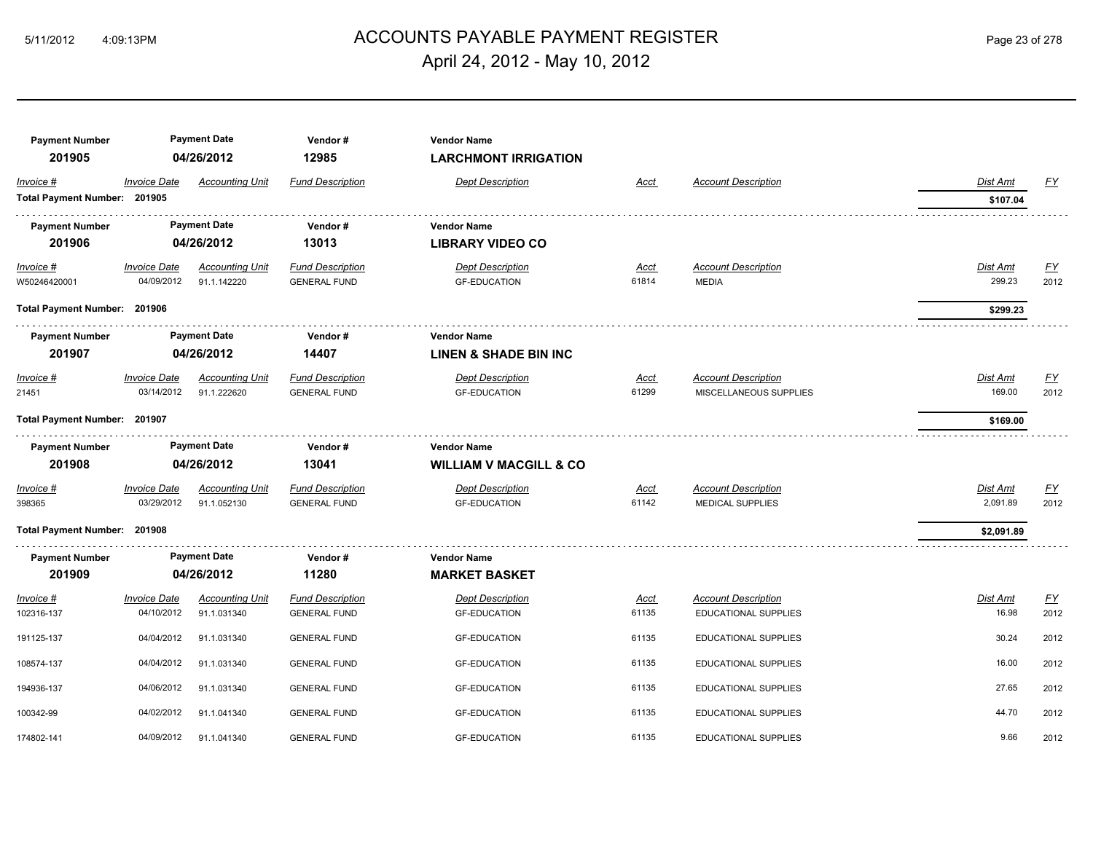## ACCOUNTS PAYABLE PAYMENT REGISTER 5/11/2012 4:09:13PM Page 23 of 278 April 24, 2012 - May 10, 2012

| <b>Payment Number</b>        |                     | <b>Payment Date</b>    | Vendor#                 | <b>Vendor Name</b>                |             |                             |            |           |
|------------------------------|---------------------|------------------------|-------------------------|-----------------------------------|-------------|-----------------------------|------------|-----------|
| 201905                       |                     | 04/26/2012             | 12985                   | <b>LARCHMONT IRRIGATION</b>       |             |                             |            |           |
| Invoice #                    | <b>Invoice Date</b> | <b>Accounting Unit</b> | <b>Fund Description</b> | <b>Dept Description</b>           | Acct        | <b>Account Description</b>  | Dist Amt   | <u>FY</u> |
| Total Payment Number: 201905 |                     |                        |                         |                                   |             |                             | \$107.04   |           |
| <b>Payment Number</b>        |                     | <b>Payment Date</b>    | Vendor#                 | <b>Vendor Name</b>                |             |                             |            |           |
| 201906                       |                     | 04/26/2012             | 13013                   | <b>LIBRARY VIDEO CO</b>           |             |                             |            |           |
| Invoice #                    | <b>Invoice Date</b> | <b>Accounting Unit</b> | <b>Fund Description</b> | <b>Dept Description</b>           | Acct        | <b>Account Description</b>  | Dist Amt   | <u>FY</u> |
| W50246420001                 | 04/09/2012          | 91.1.142220            | <b>GENERAL FUND</b>     | <b>GF-EDUCATION</b>               | 61814       | <b>MEDIA</b>                | 299.23     | 2012      |
| Total Payment Number: 201906 |                     |                        |                         |                                   |             |                             | \$299.23   |           |
| <b>Payment Number</b>        |                     | <b>Payment Date</b>    | Vendor#                 | <b>Vendor Name</b>                |             |                             |            |           |
| 201907                       |                     | 04/26/2012             | 14407                   | <b>LINEN &amp; SHADE BIN INC</b>  |             |                             |            |           |
| Invoice #                    | <b>Invoice Date</b> | <b>Accounting Unit</b> | <b>Fund Description</b> | <b>Dept Description</b>           | Acct        | <b>Account Description</b>  | Dist Amt   | EY        |
| 21451                        | 03/14/2012          | 91.1.222620            | <b>GENERAL FUND</b>     | <b>GF-EDUCATION</b>               | 61299       | MISCELLANEOUS SUPPLIES      | 169.00     | 2012      |
| Total Payment Number: 201907 |                     |                        |                         |                                   |             |                             | \$169.00   |           |
| <b>Payment Number</b>        |                     | <b>Payment Date</b>    | Vendor#                 | <b>Vendor Name</b>                |             |                             |            |           |
| 201908                       |                     | 04/26/2012             | 13041                   | <b>WILLIAM V MACGILL &amp; CO</b> |             |                             |            |           |
| Invoice #                    | <b>Invoice Date</b> | <b>Accounting Unit</b> | <b>Fund Description</b> | <b>Dept Description</b>           | <u>Acct</u> | <b>Account Description</b>  | Dist Amt   | <u>FY</u> |
| 398365                       | 03/29/2012          | 91.1.052130            | <b>GENERAL FUND</b>     | <b>GF-EDUCATION</b>               | 61142       | <b>MEDICAL SUPPLIES</b>     | 2,091.89   | 2012      |
| Total Payment Number: 201908 |                     |                        |                         |                                   |             |                             | \$2,091.89 |           |
| <b>Payment Number</b>        |                     | <b>Payment Date</b>    | Vendor#                 | <b>Vendor Name</b>                |             |                             |            |           |
| 201909                       |                     | 04/26/2012             | 11280                   | <b>MARKET BASKET</b>              |             |                             |            |           |
| Invoice #                    | <b>Invoice Date</b> | <b>Accounting Unit</b> | <b>Fund Description</b> | <b>Dept Description</b>           | Acct        | <b>Account Description</b>  | Dist Amt   | <u>FY</u> |
| 102316-137                   | 04/10/2012          | 91.1.031340            | <b>GENERAL FUND</b>     | <b>GF-EDUCATION</b>               | 61135       | EDUCATIONAL SUPPLIES        | 16.98      | 2012      |
| 191125-137                   | 04/04/2012          | 91.1.031340            | <b>GENERAL FUND</b>     | <b>GF-EDUCATION</b>               | 61135       | EDUCATIONAL SUPPLIES        | 30.24      | 2012      |
| 108574-137                   | 04/04/2012          | 91.1.031340            | <b>GENERAL FUND</b>     | <b>GF-EDUCATION</b>               | 61135       | <b>EDUCATIONAL SUPPLIES</b> | 16.00      | 2012      |
| 194936-137                   | 04/06/2012          | 91.1.031340            | <b>GENERAL FUND</b>     | <b>GF-EDUCATION</b>               | 61135       | <b>EDUCATIONAL SUPPLIES</b> | 27.65      | 2012      |
| 100342-99                    | 04/02/2012          | 91.1.041340            | <b>GENERAL FUND</b>     | <b>GF-EDUCATION</b>               | 61135       | EDUCATIONAL SUPPLIES        | 44.70      | 2012      |
| 174802-141                   | 04/09/2012          | 91.1.041340            | <b>GENERAL FUND</b>     | <b>GF-EDUCATION</b>               | 61135       | <b>EDUCATIONAL SUPPLIES</b> | 9.66       | 2012      |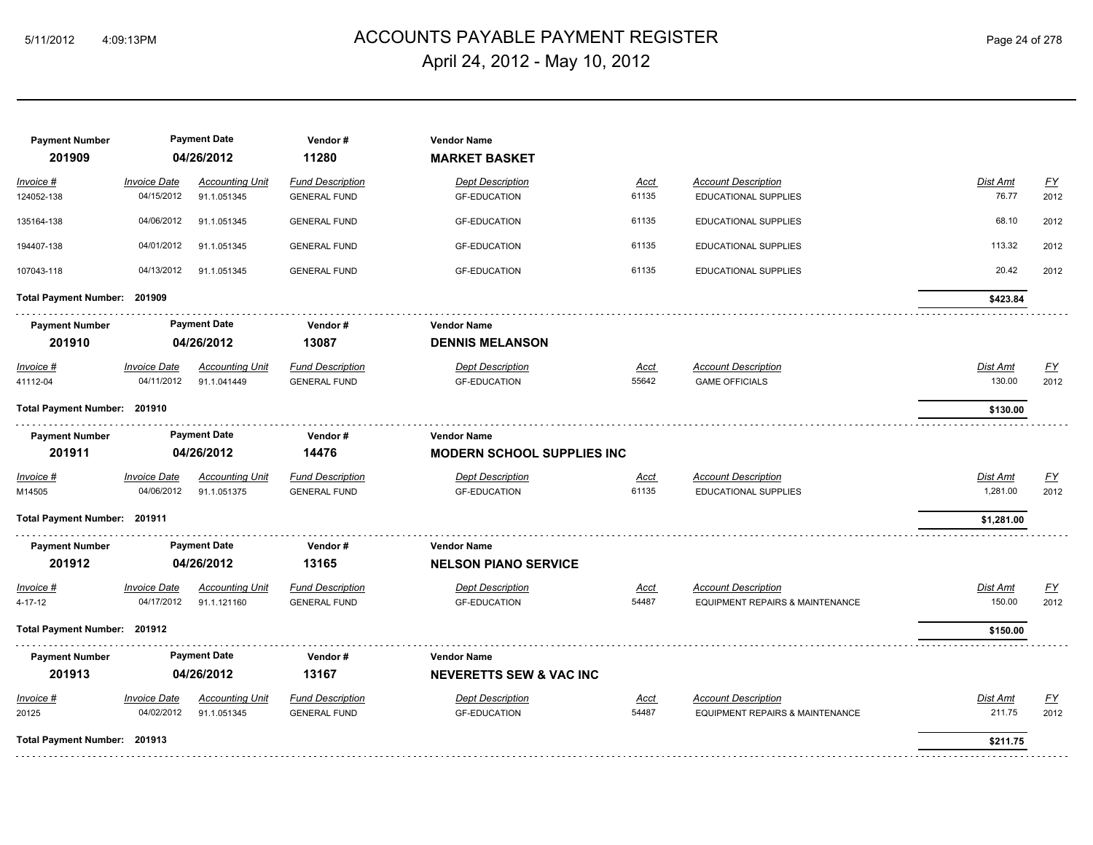## ACCOUNTS PAYABLE PAYMENT REGISTER 5/11/2012 4:09:13PM Page 24 of 278 April 24, 2012 - May 10, 2012

| <b>Payment Number</b><br>201909 |                     | <b>Payment Date</b><br>04/26/2012 | Vendor#<br>11280        | <b>Vendor Name</b><br><b>MARKET BASKET</b> |             |                                            |                 |           |
|---------------------------------|---------------------|-----------------------------------|-------------------------|--------------------------------------------|-------------|--------------------------------------------|-----------------|-----------|
| Invoice #                       | <b>Invoice Date</b> | <b>Accounting Unit</b>            | <b>Fund Description</b> | <b>Dept Description</b>                    | Acct        | <b>Account Description</b>                 | Dist Amt        | <b>FY</b> |
| 124052-138                      | 04/15/2012          | 91.1.051345                       | <b>GENERAL FUND</b>     | <b>GF-EDUCATION</b>                        | 61135       | <b>EDUCATIONAL SUPPLIES</b>                | 76.77           | 2012      |
| 135164-138                      | 04/06/2012          | 91.1.051345                       | <b>GENERAL FUND</b>     | <b>GF-EDUCATION</b>                        | 61135       | EDUCATIONAL SUPPLIES                       | 68.10           | 2012      |
| 194407-138                      | 04/01/2012          | 91.1.051345                       | <b>GENERAL FUND</b>     | <b>GF-EDUCATION</b>                        | 61135       | EDUCATIONAL SUPPLIES                       | 113.32          | 2012      |
| 107043-118                      | 04/13/2012          | 91.1.051345                       | <b>GENERAL FUND</b>     | <b>GF-EDUCATION</b>                        | 61135       | EDUCATIONAL SUPPLIES                       | 20.42           | 2012      |
| Total Payment Number: 201909    |                     |                                   |                         |                                            |             |                                            | \$423.84        |           |
| <b>Payment Number</b>           |                     | <b>Payment Date</b>               | Vendor#                 | <b>Vendor Name</b>                         |             |                                            |                 |           |
| 201910                          |                     | 04/26/2012                        | 13087                   | <b>DENNIS MELANSON</b>                     |             |                                            |                 |           |
| Invoice #                       | <b>Invoice Date</b> | <b>Accounting Unit</b>            | <b>Fund Description</b> | <b>Dept Description</b>                    | <b>Acct</b> | <b>Account Description</b>                 | <b>Dist Amt</b> | EY        |
| 41112-04                        | 04/11/2012          | 91.1.041449                       | <b>GENERAL FUND</b>     | <b>GF-EDUCATION</b>                        | 55642       | <b>GAME OFFICIALS</b>                      | 130.00          | 2012      |
| Total Payment Number: 201910    |                     |                                   |                         |                                            |             |                                            | \$130.00        |           |
| <b>Payment Number</b>           |                     | <b>Payment Date</b>               | Vendor#                 | <b>Vendor Name</b>                         |             |                                            |                 |           |
| 201911                          |                     | 04/26/2012                        | 14476                   | <b>MODERN SCHOOL SUPPLIES INC</b>          |             |                                            |                 |           |
| Invoice #                       | <b>Invoice Date</b> | <b>Accounting Unit</b>            | <b>Fund Description</b> | <b>Dept Description</b>                    | Acct        | <b>Account Description</b>                 | Dist Amt        | <b>FY</b> |
| M14505                          | 04/06/2012          | 91.1.051375                       | <b>GENERAL FUND</b>     | <b>GF-EDUCATION</b>                        | 61135       | EDUCATIONAL SUPPLIES                       | 1,281.00        | 2012      |
| Total Payment Number: 201911    |                     |                                   |                         |                                            |             |                                            | \$1,281.00      |           |
| <b>Payment Number</b>           |                     | <b>Payment Date</b>               | Vendor#                 | <b>Vendor Name</b>                         |             |                                            |                 |           |
| 201912                          |                     | 04/26/2012                        | 13165                   | <b>NELSON PIANO SERVICE</b>                |             |                                            |                 |           |
| Invoice #                       | <b>Invoice Date</b> | <b>Accounting Unit</b>            | <b>Fund Description</b> | <b>Dept Description</b>                    | Acct        | <b>Account Description</b>                 | Dist Amt        | <u>FY</u> |
| 4-17-12                         | 04/17/2012          | 91.1.121160                       | <b>GENERAL FUND</b>     | <b>GF-EDUCATION</b>                        | 54487       | <b>EQUIPMENT REPAIRS &amp; MAINTENANCE</b> | 150.00          | 2012      |
| Total Payment Number: 201912    |                     |                                   |                         |                                            |             |                                            | \$150.00        |           |
| <b>Payment Number</b>           |                     | <b>Payment Date</b>               | Vendor#                 | <b>Vendor Name</b>                         |             |                                            |                 |           |
| 201913                          |                     | 04/26/2012                        | 13167                   | <b>NEVERETTS SEW &amp; VAC INC</b>         |             |                                            |                 |           |
| Invoice #                       | <b>Invoice Date</b> | <b>Accounting Unit</b>            | <b>Fund Description</b> | <b>Dept Description</b>                    | Acct        | <b>Account Description</b>                 | Dist Amt        | EY        |
| 20125                           | 04/02/2012          | 91.1.051345                       | <b>GENERAL FUND</b>     | <b>GF-EDUCATION</b>                        | 54487       | <b>EQUIPMENT REPAIRS &amp; MAINTENANCE</b> | 211.75          | 2012      |
| Total Payment Number: 201913    |                     |                                   |                         |                                            |             |                                            | \$211.75        |           |
|                                 |                     |                                   |                         |                                            |             |                                            |                 |           |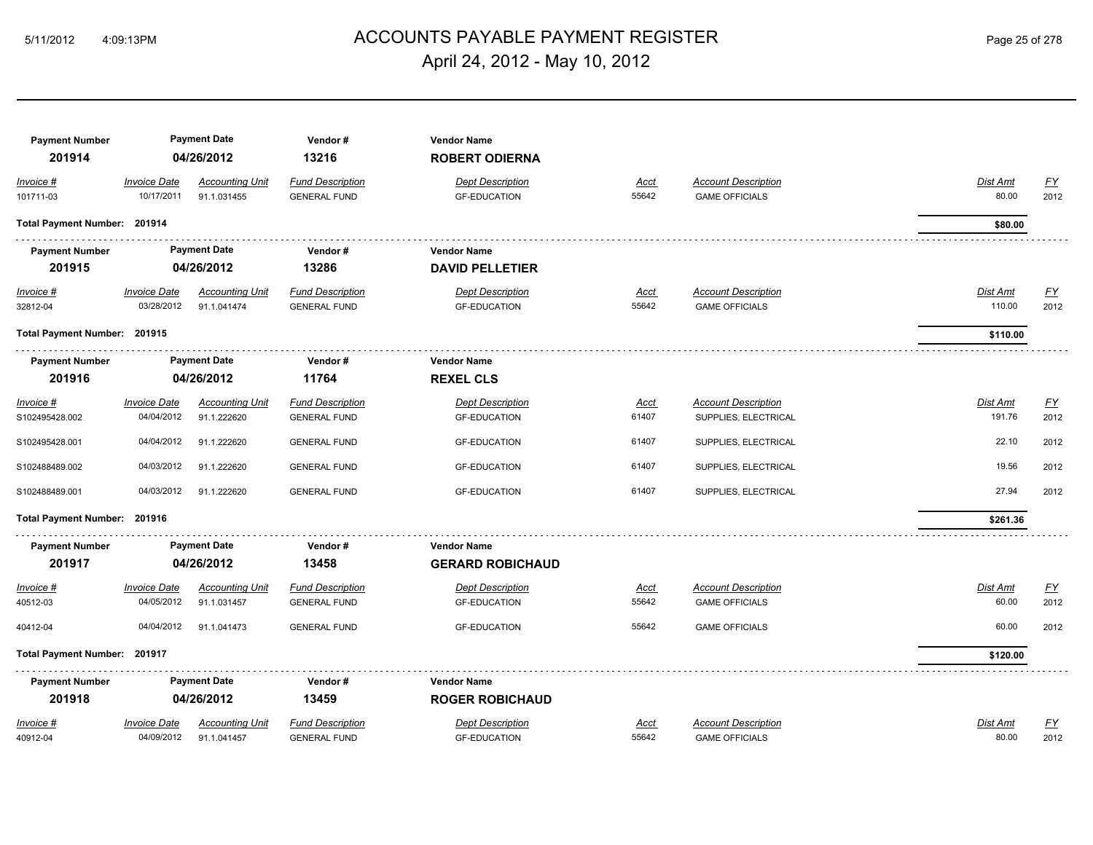## ACCOUNTS PAYABLE PAYMENT REGISTER 5/11/2012 4:09:13PM Page 25 of 278 April 24, 2012 - May 10, 2012

| <b>Payment Number</b><br>201914 |                     | <b>Payment Date</b><br>04/26/2012 | Vendor#<br>13216        | <b>Vendor Name</b><br><b>ROBERT ODIERNA</b> |             |                            |                 |                  |
|---------------------------------|---------------------|-----------------------------------|-------------------------|---------------------------------------------|-------------|----------------------------|-----------------|------------------|
| Invoice #                       | <b>Invoice Date</b> | <b>Accounting Unit</b>            | <b>Fund Description</b> | <b>Dept Description</b>                     | Acct        | <b>Account Description</b> | Dist Amt        | EY               |
| 101711-03                       | 10/17/2011          | 91.1.031455                       | <b>GENERAL FUND</b>     | <b>GF-EDUCATION</b>                         | 55642       | <b>GAME OFFICIALS</b>      | 80.00           | 2012             |
| Total Payment Number: 201914    |                     |                                   |                         |                                             |             |                            | \$80.00         |                  |
| <b>Payment Number</b>           |                     | <b>Payment Date</b>               | Vendor#                 | <b>Vendor Name</b>                          |             |                            |                 |                  |
| 201915                          |                     | 04/26/2012                        | 13286                   | <b>DAVID PELLETIER</b>                      |             |                            |                 |                  |
| $Invoice$ #                     | <b>Invoice Date</b> | <b>Accounting Unit</b>            | <b>Fund Description</b> | <b>Dept Description</b>                     | <u>Acct</u> | <b>Account Description</b> | <b>Dist Amt</b> | EY               |
| 32812-04                        | 03/28/2012          | 91.1.041474                       | <b>GENERAL FUND</b>     | <b>GF-EDUCATION</b>                         | 55642       | <b>GAME OFFICIALS</b>      | 110.00          | 2012             |
| Total Payment Number: 201915    |                     |                                   |                         |                                             |             |                            | \$110.00        |                  |
| <b>Payment Number</b>           |                     | <b>Payment Date</b>               | Vendor#                 | <b>Vendor Name</b>                          |             |                            |                 |                  |
| 201916                          |                     | 04/26/2012                        | 11764                   | <b>REXEL CLS</b>                            |             |                            |                 |                  |
| Invoice #                       | <b>Invoice Date</b> | <b>Accounting Unit</b>            | <b>Fund Description</b> | <b>Dept Description</b>                     | Acct        | <b>Account Description</b> | Dist Amt        | <u>FY</u>        |
| S102495428.002                  | 04/04/2012          | 91.1.222620                       | <b>GENERAL FUND</b>     | <b>GF-EDUCATION</b>                         | 61407       | SUPPLIES, ELECTRICAL       | 191.76          | 2012             |
| S102495428.001                  | 04/04/2012          | 91.1.222620                       | <b>GENERAL FUND</b>     | <b>GF-EDUCATION</b>                         | 61407       | SUPPLIES, ELECTRICAL       | 22.10           | 2012             |
| S102488489.002                  | 04/03/2012          | 91.1.222620                       | <b>GENERAL FUND</b>     | <b>GF-EDUCATION</b>                         | 61407       | SUPPLIES, ELECTRICAL       | 19.56           | 2012             |
| S102488489.001                  | 04/03/2012          | 91.1.222620                       | <b>GENERAL FUND</b>     | <b>GF-EDUCATION</b>                         | 61407       | SUPPLIES, ELECTRICAL       | 27.94           | 2012             |
| Total Payment Number: 201916    |                     |                                   |                         |                                             |             |                            | \$261.36        |                  |
| <b>Payment Number</b>           |                     | <b>Payment Date</b>               | Vendor#                 | <b>Vendor Name</b>                          |             |                            |                 |                  |
| 201917                          |                     | 04/26/2012                        | 13458                   | <b>GERARD ROBICHAUD</b>                     |             |                            |                 |                  |
| Invoice #                       | <b>Invoice Date</b> | <b>Accounting Unit</b>            | <b>Fund Description</b> | <b>Dept Description</b>                     | <u>Acct</u> | <b>Account Description</b> | <b>Dist Amt</b> | $\underline{FY}$ |
| 40512-03                        | 04/05/2012          | 91.1.031457                       | <b>GENERAL FUND</b>     | <b>GF-EDUCATION</b>                         | 55642       | <b>GAME OFFICIALS</b>      | 60.00           | 2012             |
| 40412-04                        | 04/04/2012          | 91.1.041473                       | <b>GENERAL FUND</b>     | <b>GF-EDUCATION</b>                         | 55642       | <b>GAME OFFICIALS</b>      | 60.00           | 2012             |
| Total Payment Number: 201917    |                     |                                   |                         |                                             |             |                            | \$120.00        |                  |
| <b>Payment Number</b>           |                     | <b>Payment Date</b>               | Vendor#                 | <b>Vendor Name</b>                          |             |                            |                 |                  |
| 201918                          |                     | 04/26/2012                        | 13459                   | <b>ROGER ROBICHAUD</b>                      |             |                            |                 |                  |
| Invoice #                       | <b>Invoice Date</b> | <b>Accounting Unit</b>            | <b>Fund Description</b> | <b>Dept Description</b>                     | Acct        | <b>Account Description</b> | Dist Amt        | <u>FY</u>        |
| 40912-04                        | 04/09/2012          | 91.1.041457                       | <b>GENERAL FUND</b>     | <b>GF-EDUCATION</b>                         | 55642       | <b>GAME OFFICIALS</b>      | 80.00           | 2012             |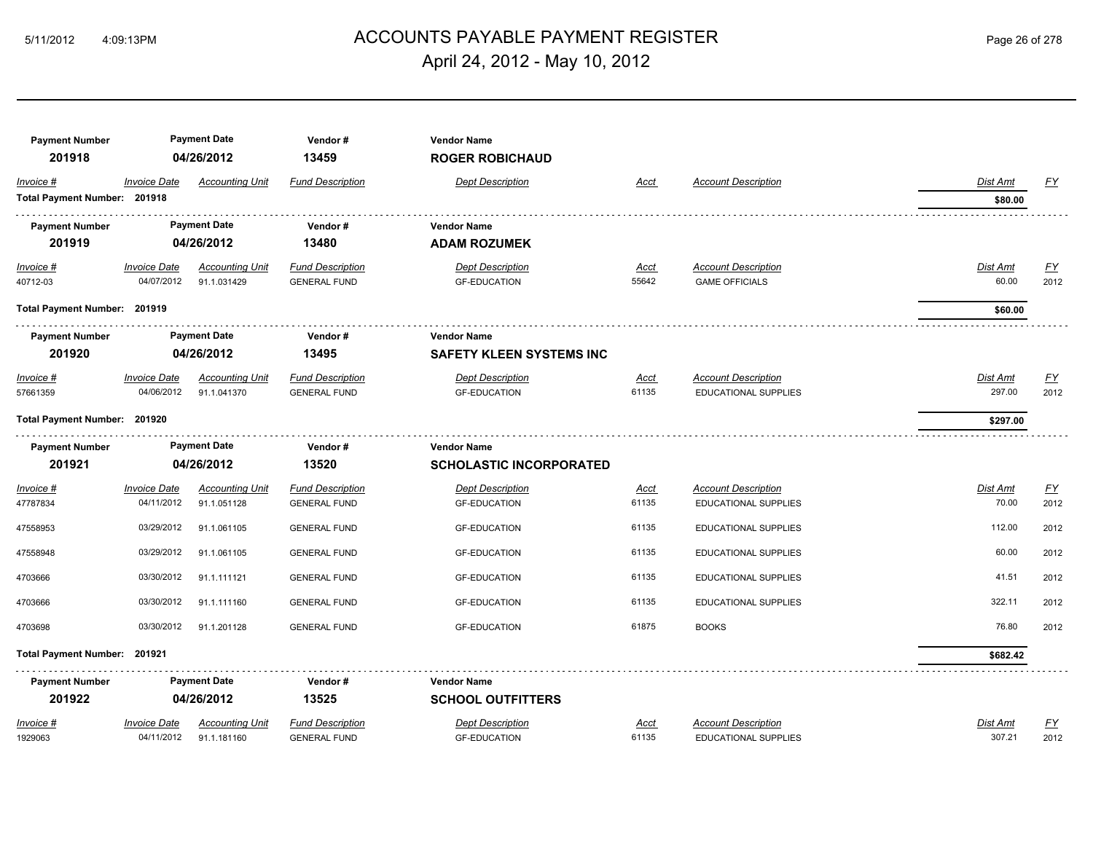## ACCOUNTS PAYABLE PAYMENT REGISTER 5/11/2012 4:09:13PM Page 26 of 278 April 24, 2012 - May 10, 2012

| <b>Payment Number</b><br>201918 |                              | <b>Payment Date</b><br>04/26/2012 | Vendor#<br>13459        | <b>Vendor Name</b><br><b>ROGER ROBICHAUD</b> |             |                            |                 |                  |
|---------------------------------|------------------------------|-----------------------------------|-------------------------|----------------------------------------------|-------------|----------------------------|-----------------|------------------|
| Invoice #                       | <b>Invoice Date</b>          | <b>Accounting Unit</b>            | <b>Fund Description</b> | <b>Dept Description</b>                      | Acct        | <b>Account Description</b> | Dist Amt        | <u>FY</u>        |
| Total Payment Number: 201918    |                              |                                   |                         |                                              |             |                            | \$80.00         |                  |
| <b>Payment Number</b>           |                              | <b>Payment Date</b>               | Vendor#                 | <b>Vendor Name</b>                           |             |                            |                 |                  |
| 201919                          |                              | 04/26/2012                        | 13480                   | <b>ADAM ROZUMEK</b>                          |             |                            |                 |                  |
| Invoice #                       | <b>Invoice Date</b>          | <b>Accounting Unit</b>            | <b>Fund Description</b> | <b>Dept Description</b>                      | <u>Acct</u> | <b>Account Description</b> | <b>Dist Amt</b> | <u>FY</u>        |
| 40712-03                        | 04/07/2012                   | 91.1.031429                       | <b>GENERAL FUND</b>     | <b>GF-EDUCATION</b>                          | 55642       | <b>GAME OFFICIALS</b>      | 60.00           | 2012             |
|                                 | Total Payment Number: 201919 |                                   |                         |                                              |             |                            | \$60.00         |                  |
| <b>Payment Number</b>           |                              | <b>Payment Date</b>               | Vendor#                 | <b>Vendor Name</b>                           |             |                            |                 |                  |
| 201920                          | 04/26/2012                   |                                   | 13495                   | <b>SAFETY KLEEN SYSTEMS INC</b>              |             |                            |                 |                  |
| Invoice #                       | <b>Invoice Date</b>          | <b>Accounting Unit</b>            | <b>Fund Description</b> | <b>Dept Description</b>                      | <u>Acct</u> | <b>Account Description</b> | Dist Amt        | EY               |
| 57661359                        | 04/06/2012                   | 91.1.041370                       | <b>GENERAL FUND</b>     | <b>GF-EDUCATION</b>                          | 61135       | EDUCATIONAL SUPPLIES       | 297.00          | 2012             |
| Total Payment Number: 201920    |                              |                                   |                         |                                              |             |                            | \$297.00        |                  |
| <b>Payment Number</b>           |                              | <b>Payment Date</b>               | Vendor#                 | <b>Vendor Name</b>                           |             |                            |                 |                  |
| 201921                          |                              | 04/26/2012                        | 13520                   | <b>SCHOLASTIC INCORPORATED</b>               |             |                            |                 |                  |
| Invoice #                       | <b>Invoice Date</b>          | <b>Accounting Unit</b>            | <b>Fund Description</b> | <b>Dept Description</b>                      | <u>Acct</u> | <b>Account Description</b> | Dist Amt        | $\underline{FY}$ |
| 47787834                        | 04/11/2012                   | 91.1.051128                       | <b>GENERAL FUND</b>     | <b>GF-EDUCATION</b>                          | 61135       | EDUCATIONAL SUPPLIES       | 70.00           | 2012             |
| 47558953                        | 03/29/2012                   | 91.1.061105                       | <b>GENERAL FUND</b>     | <b>GF-EDUCATION</b>                          | 61135       | EDUCATIONAL SUPPLIES       | 112.00          | 2012             |
| 47558948                        | 03/29/2012                   | 91.1.061105                       | <b>GENERAL FUND</b>     | <b>GF-EDUCATION</b>                          | 61135       | EDUCATIONAL SUPPLIES       | 60.00           | 2012             |
| 4703666                         | 03/30/2012                   | 91.1.111121                       | <b>GENERAL FUND</b>     | <b>GF-EDUCATION</b>                          | 61135       | EDUCATIONAL SUPPLIES       | 41.51           | 2012             |
| 4703666                         | 03/30/2012                   | 91.1.111160                       | <b>GENERAL FUND</b>     | <b>GF-EDUCATION</b>                          | 61135       | EDUCATIONAL SUPPLIES       | 322.11          | 2012             |
| 4703698                         | 03/30/2012                   | 91.1.201128                       | <b>GENERAL FUND</b>     | <b>GF-EDUCATION</b>                          | 61875       | <b>BOOKS</b>               | 76.80           | 2012             |
| Total Payment Number: 201921    |                              |                                   |                         |                                              |             |                            | \$682.42        |                  |
| <b>Payment Number</b>           |                              | <b>Payment Date</b>               | Vendor#                 | <b>Vendor Name</b>                           |             |                            |                 |                  |
| 201922                          |                              | 04/26/2012                        | 13525                   | <b>SCHOOL OUTFITTERS</b>                     |             |                            |                 |                  |
| Invoice #                       | <b>Invoice Date</b>          | <b>Accounting Unit</b>            | <b>Fund Description</b> | <b>Dept Description</b>                      | Acct        | <b>Account Description</b> | Dist Amt        | <u>FY</u>        |
| 1929063                         | 04/11/2012                   | 91.1.181160                       | <b>GENERAL FUND</b>     | <b>GF-EDUCATION</b>                          | 61135       | EDUCATIONAL SUPPLIES       | 307.21          | 2012             |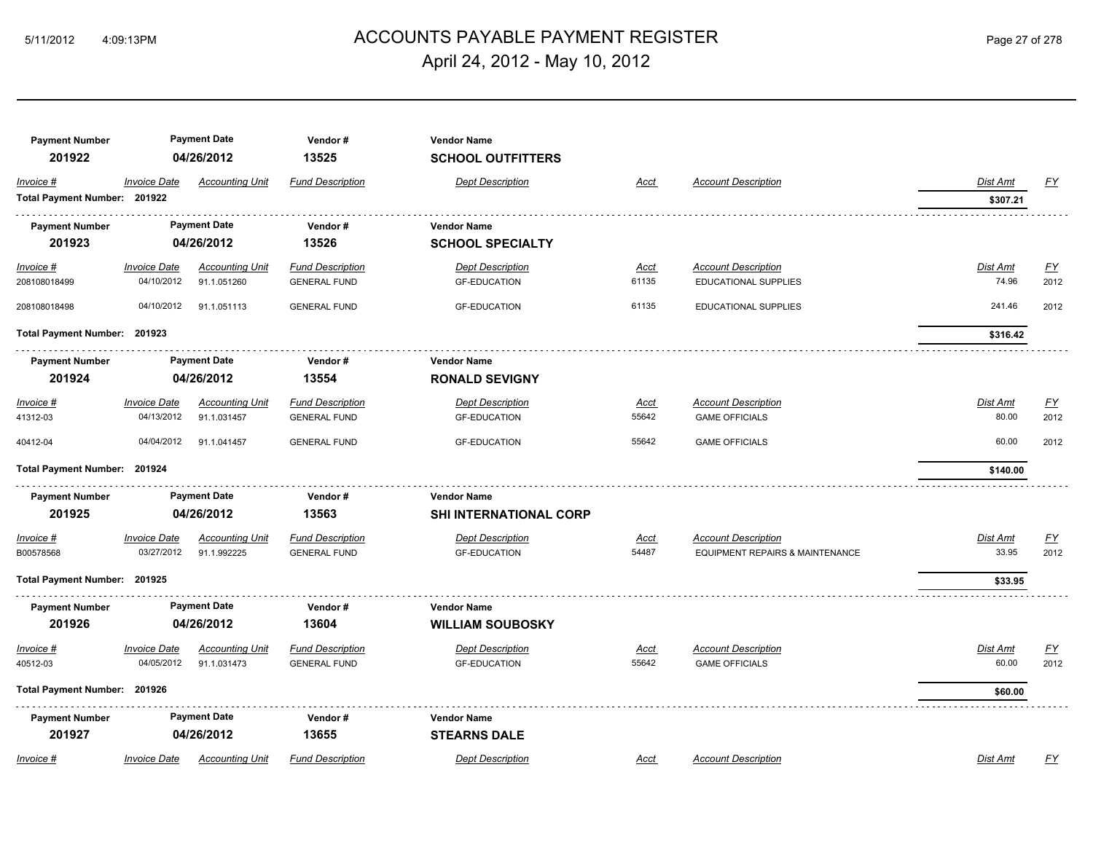## ACCOUNTS PAYABLE PAYMENT REGISTER 5/11/2012 4:09:13PM Page 27 of 278 April 24, 2012 - May 10, 2012

| <b>Payment Number</b><br>201922 |                                   | <b>Payment Date</b><br>04/26/2012     | Vendor#<br>13525                               | <b>Vendor Name</b><br><b>SCHOOL OUTFITTERS</b> |                      |                                                                          |                          |                   |
|---------------------------------|-----------------------------------|---------------------------------------|------------------------------------------------|------------------------------------------------|----------------------|--------------------------------------------------------------------------|--------------------------|-------------------|
| Invoice #                       | <b>Invoice Date</b>               | <b>Accounting Unit</b>                | <b>Fund Description</b>                        | <b>Dept Description</b>                        | Acct                 | <b>Account Description</b>                                               | <b>Dist Amt</b>          | <u>FY</u>         |
| Total Payment Number: 201922    |                                   |                                       |                                                |                                                |                      |                                                                          | \$307.21                 |                   |
| <b>Payment Number</b>           |                                   | <b>Payment Date</b>                   | Vendor#                                        | <b>Vendor Name</b>                             |                      |                                                                          |                          |                   |
| 201923                          |                                   | 04/26/2012                            | 13526                                          | <b>SCHOOL SPECIALTY</b>                        |                      |                                                                          |                          |                   |
| Invoice #<br>208108018499       | <b>Invoice Date</b><br>04/10/2012 | <b>Accounting Unit</b><br>91.1.051260 | <b>Fund Description</b><br><b>GENERAL FUND</b> | <b>Dept Description</b><br><b>GF-EDUCATION</b> | <u>Acct</u><br>61135 | <b>Account Description</b><br>EDUCATIONAL SUPPLIES                       | <b>Dist Amt</b><br>74.96 | EY<br>2012        |
| 208108018498                    | 04/10/2012                        | 91.1.051113                           | <b>GENERAL FUND</b>                            | <b>GF-EDUCATION</b>                            | 61135                | EDUCATIONAL SUPPLIES                                                     | 241.46                   | 2012              |
| Total Payment Number: 201923    |                                   |                                       |                                                |                                                |                      |                                                                          | \$316.42                 |                   |
| <b>Payment Number</b>           |                                   | <b>Payment Date</b>                   | Vendor#                                        | <b>Vendor Name</b>                             |                      |                                                                          |                          |                   |
| 201924                          |                                   | 04/26/2012                            | 13554                                          | <b>RONALD SEVIGNY</b>                          |                      |                                                                          |                          |                   |
| Invoice #                       | <b>Invoice Date</b>               | <b>Accounting Unit</b>                | <b>Fund Description</b>                        | <b>Dept Description</b>                        | Acct                 | <b>Account Description</b>                                               | Dist Amt                 | EY                |
| 41312-03                        | 04/13/2012                        | 91.1.031457                           | <b>GENERAL FUND</b>                            | <b>GF-EDUCATION</b>                            | 55642                | <b>GAME OFFICIALS</b>                                                    | 80.00                    | 2012              |
| 40412-04                        | 04/04/2012                        | 91.1.041457                           | <b>GENERAL FUND</b>                            | <b>GF-EDUCATION</b>                            | 55642                | <b>GAME OFFICIALS</b>                                                    | 60.00                    | 2012              |
| Total Payment Number: 201924    |                                   |                                       |                                                |                                                |                      |                                                                          | \$140.00                 |                   |
| <b>Payment Number</b>           |                                   | <b>Payment Date</b>                   | Vendor#                                        | <b>Vendor Name</b>                             |                      |                                                                          |                          |                   |
| 201925                          |                                   | 04/26/2012                            | 13563                                          | SHI INTERNATIONAL CORP                         |                      |                                                                          |                          |                   |
| Invoice #<br>B00578568          | <b>Invoice Date</b><br>03/27/2012 | <b>Accounting Unit</b><br>91.1.992225 | <b>Fund Description</b><br><b>GENERAL FUND</b> | <b>Dept Description</b><br><b>GF-EDUCATION</b> | Acct<br>54487        | <b>Account Description</b><br><b>EQUIPMENT REPAIRS &amp; MAINTENANCE</b> | Dist Amt<br>33.95        | <u>FY</u><br>2012 |
| Total Payment Number: 201925    |                                   |                                       |                                                |                                                |                      |                                                                          | \$33.95                  |                   |
| <b>Payment Number</b>           |                                   | <b>Payment Date</b>                   | Vendor#                                        | <b>Vendor Name</b>                             |                      |                                                                          |                          |                   |
| 201926                          |                                   | 04/26/2012                            | 13604                                          | <b>WILLIAM SOUBOSKY</b>                        |                      |                                                                          |                          |                   |
| Invoice #                       | <b>Invoice Date</b>               | <b>Accounting Unit</b>                | <b>Fund Description</b>                        | <b>Dept Description</b>                        | Acct                 | <b>Account Description</b>                                               | Dist Amt                 | $\underline{FY}$  |
| 40512-03                        | 04/05/2012                        | 91.1.031473                           | <b>GENERAL FUND</b>                            | <b>GF-EDUCATION</b>                            | 55642                | <b>GAME OFFICIALS</b>                                                    | 60.00                    | 2012              |
| Total Payment Number: 201926    |                                   |                                       |                                                |                                                |                      |                                                                          | \$60.00                  |                   |
| <b>Payment Number</b>           |                                   | <b>Payment Date</b>                   | Vendor#                                        | <b>Vendor Name</b>                             |                      |                                                                          |                          |                   |
| 201927                          |                                   | 04/26/2012                            | 13655                                          | <b>STEARNS DALE</b>                            |                      |                                                                          |                          |                   |
| Invoice #                       | <b>Invoice Date</b>               | <b>Accounting Unit</b>                | <b>Fund Description</b>                        | <b>Dept Description</b>                        | Acct                 | <b>Account Description</b>                                               | Dist Amt                 | FY                |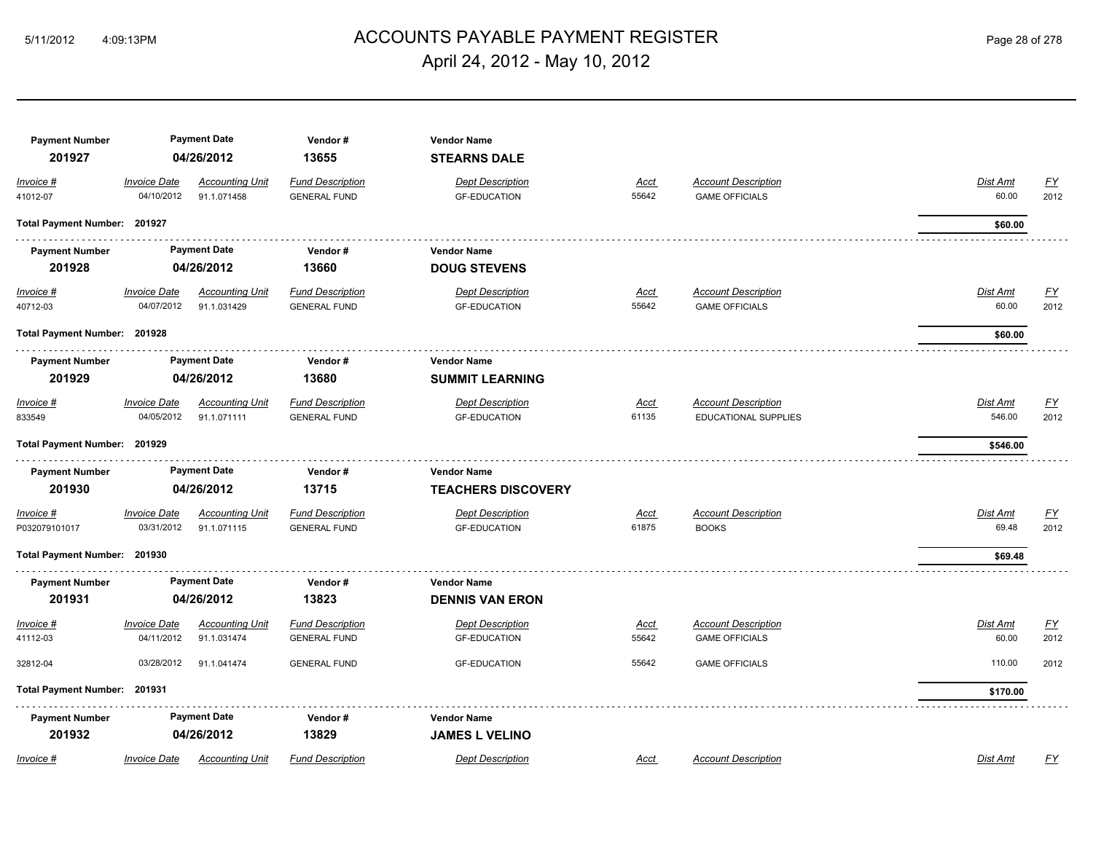### ACCOUNTS PAYABLE PAYMENT REGISTER 5/11/2012 4:09:13PM Page 28 of 278 April 24, 2012 - May 10, 2012

| <b>Payment Number</b><br>201927   |                                   | <b>Payment Date</b><br>04/26/2012     | Vendor#<br>13655                               | <b>Vendor Name</b><br><b>STEARNS DALE</b>       |                      |                                                           |                           |                   |
|-----------------------------------|-----------------------------------|---------------------------------------|------------------------------------------------|-------------------------------------------------|----------------------|-----------------------------------------------------------|---------------------------|-------------------|
| Invoice #<br>41012-07             | <b>Invoice Date</b><br>04/10/2012 | <b>Accounting Unit</b><br>91.1.071458 | <b>Fund Description</b><br><b>GENERAL FUND</b> | <b>Dept Description</b><br><b>GF-EDUCATION</b>  | Acct<br>55642        | <b>Account Description</b><br><b>GAME OFFICIALS</b>       | <b>Dist Amt</b><br>60.00  | <u>FY</u><br>2012 |
| Total Payment Number: 201927      |                                   |                                       |                                                |                                                 |                      |                                                           | \$60.00                   |                   |
| <b>Payment Number</b><br>201928   |                                   | <b>Payment Date</b><br>04/26/2012     | Vendor#<br>13660                               | <b>Vendor Name</b><br><b>DOUG STEVENS</b>       |                      |                                                           |                           |                   |
| Invoice #<br>40712-03             | <b>Invoice Date</b><br>04/07/2012 | <b>Accounting Unit</b><br>91.1.031429 | <b>Fund Description</b><br><b>GENERAL FUND</b> | <b>Dept Description</b><br><b>GF-EDUCATION</b>  | <u>Acct</u><br>55642 | <b>Account Description</b><br><b>GAME OFFICIALS</b>       | <u>Dist Amt</u><br>60.00  | <u>FY</u><br>2012 |
| Total Payment Number: 201928      |                                   |                                       |                                                |                                                 |                      |                                                           | \$60.00                   |                   |
| <b>Payment Number</b><br>201929   |                                   | <b>Payment Date</b><br>04/26/2012     | Vendor#<br>13680                               | <b>Vendor Name</b><br><b>SUMMIT LEARNING</b>    |                      |                                                           |                           |                   |
| Invoice #<br>833549               | <b>Invoice Date</b><br>04/05/2012 | <b>Accounting Unit</b><br>91.1.071111 | <b>Fund Description</b><br><b>GENERAL FUND</b> | <b>Dept Description</b><br><b>GF-EDUCATION</b>  | Acct<br>61135        | <b>Account Description</b><br><b>EDUCATIONAL SUPPLIES</b> | <b>Dist Amt</b><br>546.00 | <u>FY</u><br>2012 |
| Total Payment Number: 201929      |                                   |                                       |                                                |                                                 |                      |                                                           | \$546.00                  |                   |
| <b>Payment Number</b><br>201930   |                                   | <b>Payment Date</b><br>04/26/2012     | Vendor#<br>13715                               | <b>Vendor Name</b><br><b>TEACHERS DISCOVERY</b> |                      |                                                           |                           |                   |
| <u>Invoice #</u><br>P032079101017 | <b>Invoice Date</b><br>03/31/2012 | <b>Accounting Unit</b><br>91.1.071115 | <b>Fund Description</b><br><b>GENERAL FUND</b> | <b>Dept Description</b><br><b>GF-EDUCATION</b>  | <u>Acct</u><br>61875 | <b>Account Description</b><br><b>BOOKS</b>                | Dist Amt<br>69.48         | <u>FY</u><br>2012 |
| Total Payment Number: 201930      |                                   |                                       |                                                |                                                 |                      |                                                           | \$69.48                   |                   |
| <b>Payment Number</b><br>201931   |                                   | <b>Payment Date</b><br>04/26/2012     | Vendor#<br>13823                               | <b>Vendor Name</b><br><b>DENNIS VAN ERON</b>    |                      |                                                           |                           |                   |
| Invoice #<br>41112-03             | <b>Invoice Date</b><br>04/11/2012 | <b>Accounting Unit</b><br>91.1.031474 | <b>Fund Description</b><br><b>GENERAL FUND</b> | <b>Dept Description</b><br><b>GF-EDUCATION</b>  | Acct<br>55642        | <b>Account Description</b><br><b>GAME OFFICIALS</b>       | Dist Amt<br>60.00         | <u>FY</u><br>2012 |
| 32812-04                          | 03/28/2012                        | 91.1.041474                           | <b>GENERAL FUND</b>                            | <b>GF-EDUCATION</b>                             | 55642                | <b>GAME OFFICIALS</b>                                     | 110.00                    | 2012              |
| Total Payment Number: 201931      |                                   |                                       |                                                |                                                 |                      |                                                           | \$170.00                  |                   |
| <b>Payment Number</b><br>201932   |                                   | <b>Payment Date</b><br>04/26/2012     | Vendor#<br>13829                               | <b>Vendor Name</b><br><b>JAMES L VELINO</b>     |                      |                                                           |                           |                   |
| Invoice #                         | <b>Invoice Date</b>               | <b>Accounting Unit</b>                | <b>Fund Description</b>                        | <b>Dept Description</b>                         | Acct                 | <b>Account Description</b>                                | Dist Amt                  | <u>FY</u>         |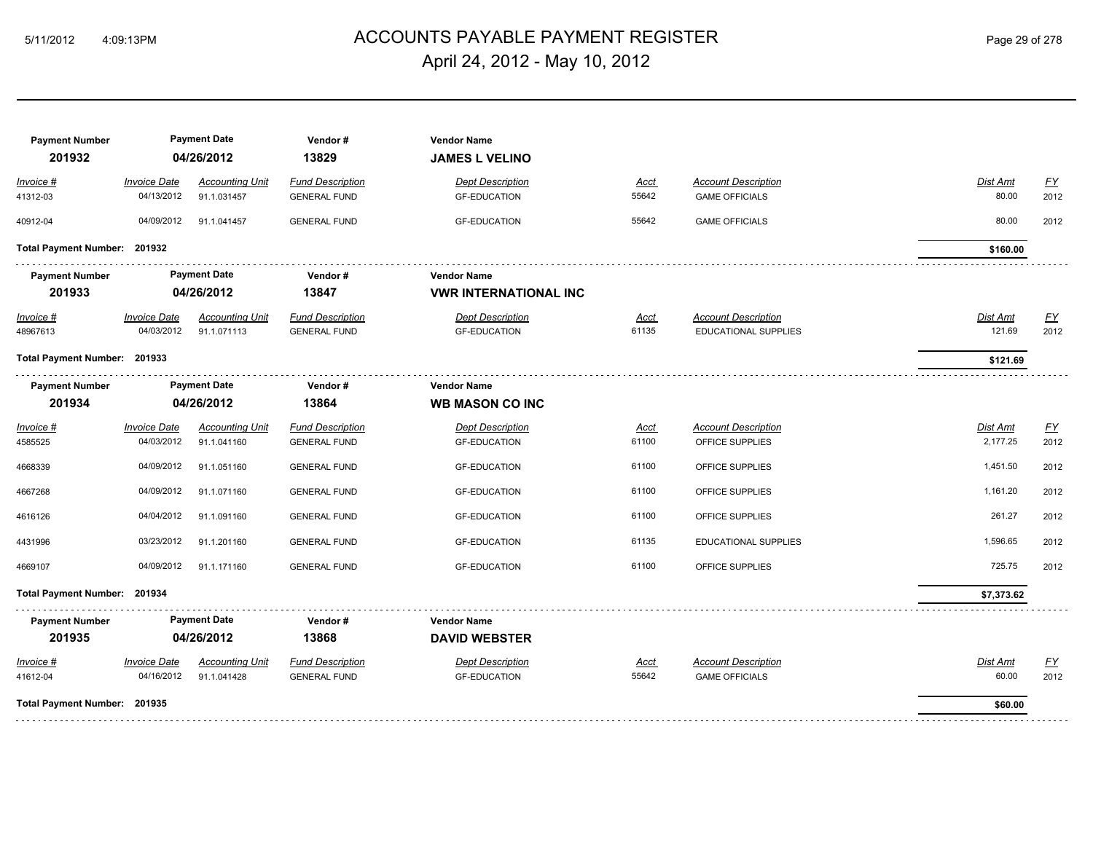## ACCOUNTS PAYABLE PAYMENT REGISTER 5/11/2012 4:09:13PM Page 29 of 278 April 24, 2012 - May 10, 2012

| <b>Payment Number</b><br>201932 |                                   | <b>Payment Date</b><br>04/26/2012     | Vendor#<br>13829                               | <b>Vendor Name</b><br><b>JAMES L VELINO</b>        |                      |                                                           |                      |                          |
|---------------------------------|-----------------------------------|---------------------------------------|------------------------------------------------|----------------------------------------------------|----------------------|-----------------------------------------------------------|----------------------|--------------------------|
| Invoice #<br>41312-03           | <b>Invoice Date</b><br>04/13/2012 | <b>Accounting Unit</b><br>91.1.031457 | <b>Fund Description</b><br><b>GENERAL FUND</b> | <b>Dept Description</b><br><b>GF-EDUCATION</b>     | <u>Acct</u><br>55642 | <b>Account Description</b><br><b>GAME OFFICIALS</b>       | Dist Amt<br>80.00    | EY<br>2012               |
| 40912-04                        | 04/09/2012                        | 91.1.041457                           | <b>GENERAL FUND</b>                            | <b>GF-EDUCATION</b>                                | 55642                | <b>GAME OFFICIALS</b>                                     | 80.00                | 2012                     |
| Total Payment Number: 201932    |                                   |                                       |                                                |                                                    |                      |                                                           | \$160.00             |                          |
| <b>Payment Number</b><br>201933 |                                   | <b>Payment Date</b><br>04/26/2012     | Vendor#<br>13847                               | <b>Vendor Name</b><br><b>VWR INTERNATIONAL INC</b> |                      |                                                           |                      |                          |
| Invoice #<br>48967613           | <b>Invoice Date</b><br>04/03/2012 | <b>Accounting Unit</b><br>91.1.071113 | <b>Fund Description</b><br><b>GENERAL FUND</b> | <b>Dept Description</b><br><b>GF-EDUCATION</b>     | Acct<br>61135        | <b>Account Description</b><br><b>EDUCATIONAL SUPPLIES</b> | Dist Amt<br>121.69   | <u>FY</u><br>2012        |
| Total Payment Number: 201933    |                                   |                                       |                                                |                                                    |                      |                                                           | \$121.69             |                          |
| <b>Payment Number</b>           |                                   | <b>Payment Date</b>                   | Vendor#                                        | <b>Vendor Name</b>                                 |                      |                                                           |                      |                          |
| 201934                          |                                   | 04/26/2012                            | 13864                                          | <b>WB MASON CO INC</b>                             |                      |                                                           |                      |                          |
| Invoice #<br>4585525            | <b>Invoice Date</b><br>04/03/2012 | <b>Accounting Unit</b><br>91.1.041160 | <b>Fund Description</b><br><b>GENERAL FUND</b> | <b>Dept Description</b><br><b>GF-EDUCATION</b>     | Acct<br>61100        | <b>Account Description</b><br>OFFICE SUPPLIES             | Dist Amt<br>2,177.25 | $\underline{FY}$<br>2012 |
| 4668339                         | 04/09/2012                        | 91.1.051160                           | <b>GENERAL FUND</b>                            | <b>GF-EDUCATION</b>                                | 61100                | OFFICE SUPPLIES                                           | 1,451.50             | 2012                     |
| 4667268                         | 04/09/2012                        | 91.1.071160                           | <b>GENERAL FUND</b>                            | <b>GF-EDUCATION</b>                                | 61100                | OFFICE SUPPLIES                                           | 1,161.20             | 2012                     |
| 4616126                         | 04/04/2012                        | 91.1.091160                           | <b>GENERAL FUND</b>                            | <b>GF-EDUCATION</b>                                | 61100                | OFFICE SUPPLIES                                           | 261.27               | 2012                     |
| 4431996                         | 03/23/2012                        | 91.1.201160                           | <b>GENERAL FUND</b>                            | <b>GF-EDUCATION</b>                                | 61135                | <b>EDUCATIONAL SUPPLIES</b>                               | 1,596.65             | 2012                     |
| 4669107                         | 04/09/2012                        | 91.1.171160                           | <b>GENERAL FUND</b>                            | <b>GF-EDUCATION</b>                                | 61100                | OFFICE SUPPLIES                                           | 725.75               | 2012                     |
| Total Payment Number: 201934    |                                   |                                       |                                                |                                                    |                      |                                                           | \$7,373.62           |                          |
| <b>Payment Number</b>           |                                   | <b>Payment Date</b>                   | Vendor#                                        | <b>Vendor Name</b>                                 |                      |                                                           |                      |                          |
| 201935                          |                                   | 04/26/2012                            | 13868                                          | <b>DAVID WEBSTER</b>                               |                      |                                                           |                      |                          |
| Invoice #<br>41612-04           | <b>Invoice Date</b><br>04/16/2012 | <b>Accounting Unit</b><br>91.1.041428 | <b>Fund Description</b><br><b>GENERAL FUND</b> | <b>Dept Description</b><br><b>GF-EDUCATION</b>     | Acct<br>55642        | <b>Account Description</b><br><b>GAME OFFICIALS</b>       | Dist Amt<br>60.00    | $\underline{FY}$<br>2012 |
| Total Payment Number: 201935    |                                   |                                       |                                                |                                                    |                      |                                                           | \$60.00              |                          |
|                                 |                                   |                                       |                                                |                                                    |                      |                                                           |                      |                          |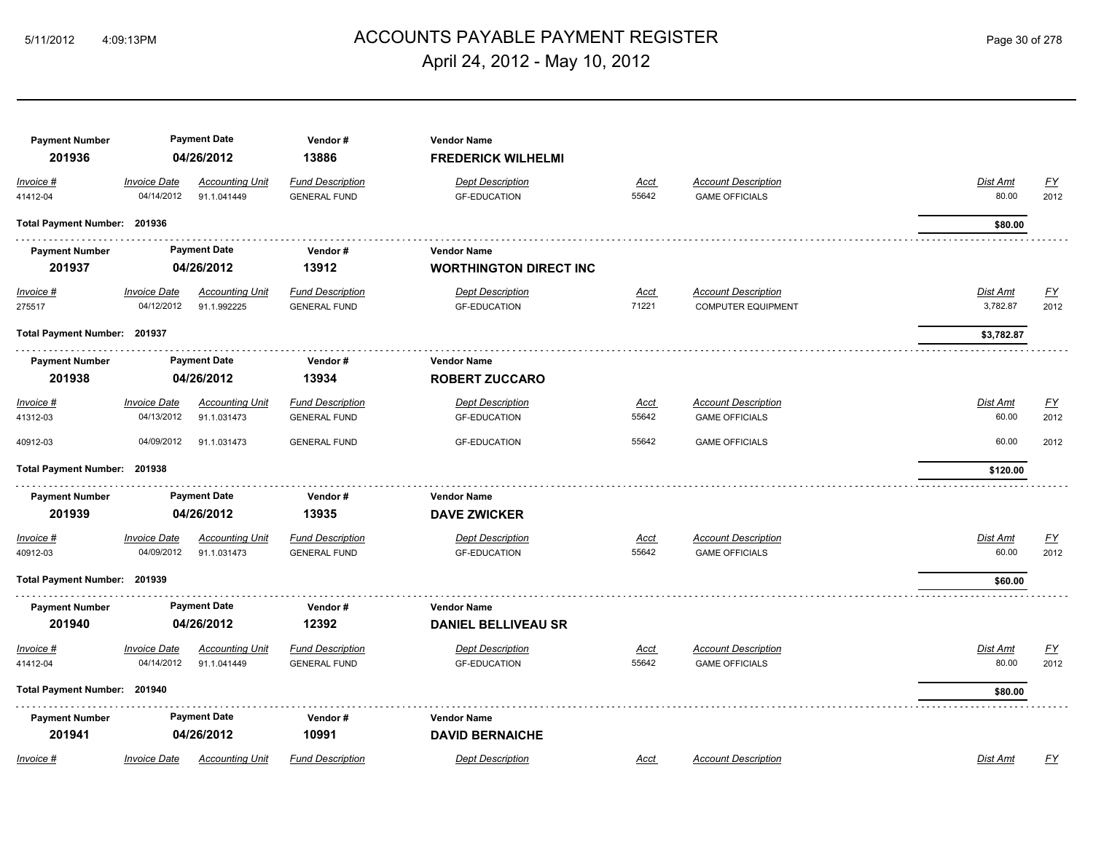### ACCOUNTS PAYABLE PAYMENT REGISTER 5/11/2012 4:09:13PM Page 30 of 278 April 24, 2012 - May 10, 2012

| <b>Payment Number</b><br>201936 |                                   | <b>Payment Date</b><br>04/26/2012     | Vendor#<br>13886                               | <b>Vendor Name</b><br><b>FREDERICK WILHELMI</b>     |                      |                                                         |                      |                   |            |  |
|---------------------------------|-----------------------------------|---------------------------------------|------------------------------------------------|-----------------------------------------------------|----------------------|---------------------------------------------------------|----------------------|-------------------|------------|--|
| Invoice #<br>41412-04           | <b>Invoice Date</b><br>04/14/2012 | <b>Accounting Unit</b><br>91.1.041449 | <b>Fund Description</b><br><b>GENERAL FUND</b> | <b>Dept Description</b><br><b>GF-EDUCATION</b>      | Acct<br>55642        | <b>Account Description</b><br><b>GAME OFFICIALS</b>     | Dist Amt<br>80.00    | <u>FY</u><br>2012 |            |  |
| Total Payment Number: 201936    |                                   |                                       |                                                |                                                     |                      |                                                         | \$80.00              |                   |            |  |
| <b>Payment Number</b><br>201937 |                                   | <b>Payment Date</b><br>04/26/2012     | Vendor#<br>13912                               | <b>Vendor Name</b><br><b>WORTHINGTON DIRECT INC</b> |                      |                                                         |                      |                   |            |  |
| Invoice #<br>275517             | <b>Invoice Date</b><br>04/12/2012 | <b>Accounting Unit</b><br>91.1.992225 | <b>Fund Description</b><br><b>GENERAL FUND</b> | <b>Dept Description</b><br><b>GF-EDUCATION</b>      | <u>Acct</u><br>71221 | <b>Account Description</b><br><b>COMPUTER EQUIPMENT</b> | Dist Amt<br>3,782.87 | <u>FY</u><br>2012 |            |  |
|                                 |                                   |                                       | Total Payment Number: 201937                   |                                                     |                      |                                                         |                      |                   | \$3,782.87 |  |
| <b>Payment Number</b><br>201938 | <b>Payment Date</b><br>04/26/2012 |                                       |                                                |                                                     | Vendor#<br>13934     | <b>Vendor Name</b><br><b>ROBERT ZUCCARO</b>             |                      |                   |            |  |
| Invoice #<br>41312-03           | <b>Invoice Date</b><br>04/13/2012 | <b>Accounting Unit</b><br>91.1.031473 | <b>Fund Description</b><br><b>GENERAL FUND</b> | <b>Dept Description</b><br><b>GF-EDUCATION</b>      | Acct<br>55642        | <b>Account Description</b><br><b>GAME OFFICIALS</b>     | Dist Amt<br>60.00    | EY<br>2012        |            |  |
| 40912-03                        | 04/09/2012                        | 91.1.031473                           | <b>GENERAL FUND</b>                            | <b>GF-EDUCATION</b>                                 | 55642                | <b>GAME OFFICIALS</b>                                   | 60.00                | 2012              |            |  |
| Total Payment Number: 201938    |                                   |                                       |                                                |                                                     |                      |                                                         | \$120.00             |                   |            |  |
| <b>Payment Number</b><br>201939 |                                   | <b>Payment Date</b><br>04/26/2012     | Vendor#<br>13935                               | <b>Vendor Name</b><br><b>DAVE ZWICKER</b>           |                      |                                                         |                      |                   |            |  |
| Invoice #<br>40912-03           | <b>Invoice Date</b><br>04/09/2012 | <b>Accounting Unit</b><br>91.1.031473 | <b>Fund Description</b><br><b>GENERAL FUND</b> | <b>Dept Description</b><br><b>GF-EDUCATION</b>      | Acct<br>55642        | <b>Account Description</b><br><b>GAME OFFICIALS</b>     | Dist Amt<br>60.00    | <u>FY</u><br>2012 |            |  |
| Total Payment Number: 201939    |                                   |                                       |                                                |                                                     |                      |                                                         | \$60.00              |                   |            |  |
| <b>Payment Number</b><br>201940 |                                   | <b>Payment Date</b><br>04/26/2012     | Vendor#<br>12392                               | <b>Vendor Name</b><br><b>DANIEL BELLIVEAU SR</b>    |                      |                                                         |                      |                   |            |  |
| Invoice #<br>41412-04           | <b>Invoice Date</b><br>04/14/2012 | <b>Accounting Unit</b><br>91.1.041449 | <b>Fund Description</b><br><b>GENERAL FUND</b> | <b>Dept Description</b><br><b>GF-EDUCATION</b>      | <u>Acct</u><br>55642 | <b>Account Description</b><br><b>GAME OFFICIALS</b>     | Dist Amt<br>80.00    | <u>FY</u><br>2012 |            |  |
| Total Payment Number: 201940    |                                   |                                       |                                                |                                                     |                      |                                                         | \$80.00              |                   |            |  |
| <b>Payment Number</b><br>201941 |                                   | <b>Payment Date</b><br>04/26/2012     | Vendor#<br>10991                               | <b>Vendor Name</b><br><b>DAVID BERNAICHE</b>        |                      |                                                         |                      |                   |            |  |
| Invoice #                       | <b>Invoice Date</b>               | <b>Accounting Unit</b>                | <b>Fund Description</b>                        | <b>Dept Description</b>                             | Acct                 | <b>Account Description</b>                              | Dist Amt             | FY                |            |  |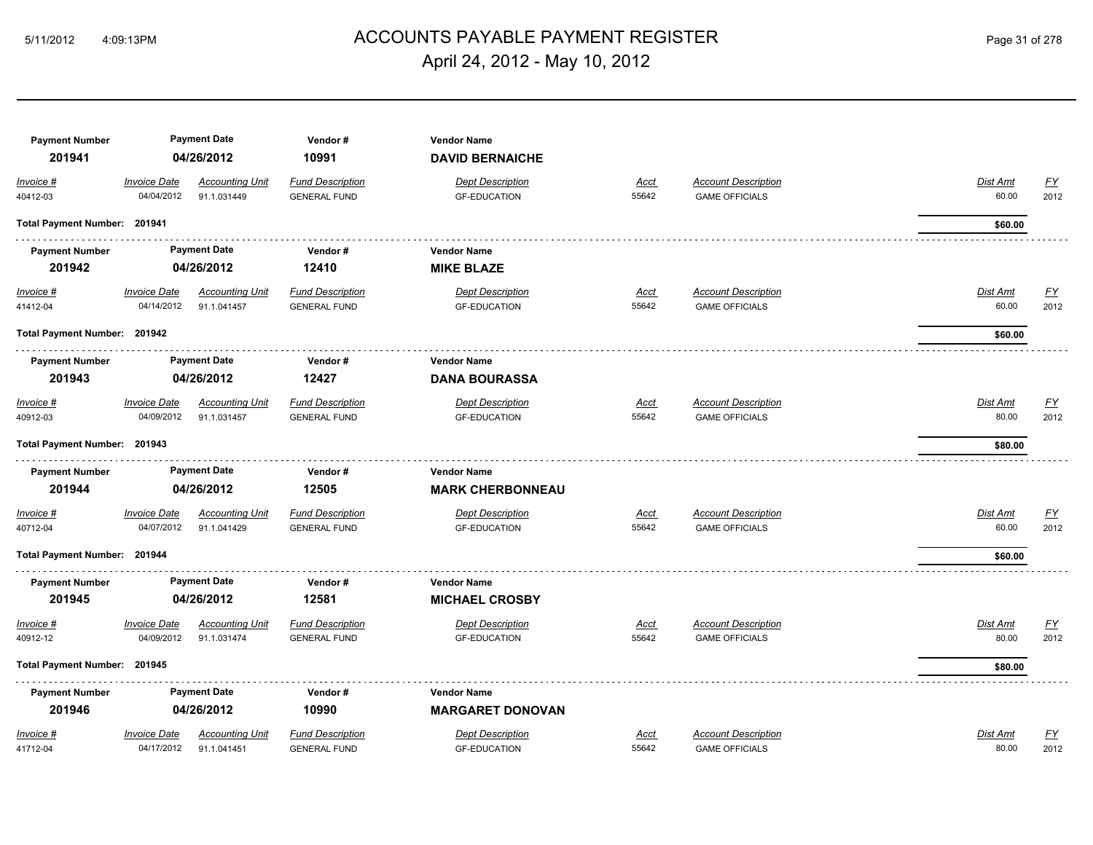## 5/11/2012 4:09:13PM ACCOUNTS PAYABLE PAYMENT REGISTER Page 31 of 278 April 24, 2012 - May 10, 2012

| <b>Payment Number</b><br>201941 |                                   | <b>Payment Date</b><br>04/26/2012     | Vendor#<br>10991                               | <b>Vendor Name</b><br><b>DAVID BERNAICHE</b>   |                      |                                                     |                   |                           |
|---------------------------------|-----------------------------------|---------------------------------------|------------------------------------------------|------------------------------------------------|----------------------|-----------------------------------------------------|-------------------|---------------------------|
| Invoice #<br>40412-03           | <b>Invoice Date</b><br>04/04/2012 | <b>Accounting Unit</b><br>91.1.031449 | <b>Fund Description</b><br><b>GENERAL FUND</b> | <b>Dept Description</b><br><b>GF-EDUCATION</b> | <b>Acct</b><br>55642 | <b>Account Description</b><br><b>GAME OFFICIALS</b> | Dist Amt<br>60.00 | <u>FY</u><br>2012         |
| Total Payment Number: 201941    |                                   |                                       |                                                |                                                |                      |                                                     | \$60.00           |                           |
| <b>Payment Number</b>           |                                   | <b>Payment Date</b>                   | Vendor#                                        | <b>Vendor Name</b>                             |                      |                                                     |                   |                           |
| 201942                          |                                   | 04/26/2012                            | 12410                                          | <b>MIKE BLAZE</b>                              |                      |                                                     |                   |                           |
| $Invoice$ #<br>41412-04         | <b>Invoice Date</b><br>04/14/2012 | <b>Accounting Unit</b><br>91.1.041457 | <b>Fund Description</b><br><b>GENERAL FUND</b> | <b>Dept Description</b><br><b>GF-EDUCATION</b> | <u>Acct</u><br>55642 | <b>Account Description</b><br><b>GAME OFFICIALS</b> | Dist Amt<br>60.00 | <u>FY</u><br>2012         |
| Total Payment Number: 201942    |                                   |                                       |                                                |                                                |                      |                                                     | \$60.00           |                           |
| <b>Payment Number</b>           |                                   | <b>Payment Date</b>                   | Vendor#                                        | <b>Vendor Name</b>                             |                      |                                                     |                   |                           |
| 201943                          |                                   | 04/26/2012                            | 12427                                          | <b>DANA BOURASSA</b>                           |                      |                                                     |                   |                           |
| Invoice #                       | <b>Invoice Date</b>               | <b>Accounting Unit</b>                | <b>Fund Description</b>                        | <b>Dept Description</b>                        | Acct                 | <b>Account Description</b>                          | Dist Amt          | <u>FY</u>                 |
| 40912-03                        | 04/09/2012                        | 91.1.031457                           | <b>GENERAL FUND</b>                            | <b>GF-EDUCATION</b>                            | 55642                | <b>GAME OFFICIALS</b>                               | 80.00             | 2012                      |
| Total Payment Number: 201943    |                                   |                                       |                                                |                                                |                      |                                                     | \$80.00           |                           |
| <b>Payment Number</b>           |                                   | <b>Payment Date</b>                   | Vendor#                                        | <b>Vendor Name</b>                             |                      |                                                     |                   |                           |
| 201944                          |                                   | 04/26/2012                            | 12505                                          | <b>MARK CHERBONNEAU</b>                        |                      |                                                     |                   |                           |
| Invoice #                       | <b>Invoice Date</b>               | <b>Accounting Unit</b>                | <b>Fund Description</b>                        | <b>Dept Description</b>                        | Acct                 | <b>Account Description</b>                          | Dist Amt          | <u>FY</u>                 |
| 40712-04                        | 04/07/2012                        | 91.1.041429                           | <b>GENERAL FUND</b>                            | <b>GF-EDUCATION</b>                            | 55642                | <b>GAME OFFICIALS</b>                               | 60.00             | 2012                      |
| Total Payment Number: 201944    |                                   |                                       |                                                |                                                |                      |                                                     | \$60.00           |                           |
| <b>Payment Number</b>           |                                   | <b>Payment Date</b>                   | Vendor#                                        | <b>Vendor Name</b>                             |                      |                                                     |                   |                           |
| 201945                          |                                   | 04/26/2012                            | 12581                                          | <b>MICHAEL CROSBY</b>                          |                      |                                                     |                   |                           |
| Invoice #                       | <b>Invoice Date</b>               | <b>Accounting Unit</b>                | <b>Fund Description</b>                        | <b>Dept Description</b>                        | <b>Acct</b>          | <b>Account Description</b>                          | Dist Amt          | $\underline{\mathsf{FY}}$ |
| 40912-12                        | 04/09/2012                        | 91.1.031474                           | <b>GENERAL FUND</b>                            | <b>GF-EDUCATION</b>                            | 55642                | <b>GAME OFFICIALS</b>                               | 80.00             | 2012                      |
| Total Payment Number: 201945    |                                   |                                       |                                                |                                                |                      |                                                     | \$80.00           |                           |
| <b>Payment Number</b>           |                                   | <b>Payment Date</b>                   | Vendor#                                        | <b>Vendor Name</b>                             |                      |                                                     |                   |                           |
| 201946                          |                                   | 04/26/2012                            | 10990                                          | <b>MARGARET DONOVAN</b>                        |                      |                                                     |                   |                           |
| Invoice #                       | <b>Invoice Date</b>               | <b>Accounting Unit</b>                | <b>Fund Description</b>                        | <b>Dept Description</b>                        | <b>Acct</b>          | <b>Account Description</b>                          | Dist Amt          | $\underline{\mathsf{FY}}$ |
| 41712-04                        | 04/17/2012                        | 91.1.041451                           | <b>GENERAL FUND</b>                            | <b>GF-EDUCATION</b>                            | 55642                | <b>GAME OFFICIALS</b>                               | 80.00             | 2012                      |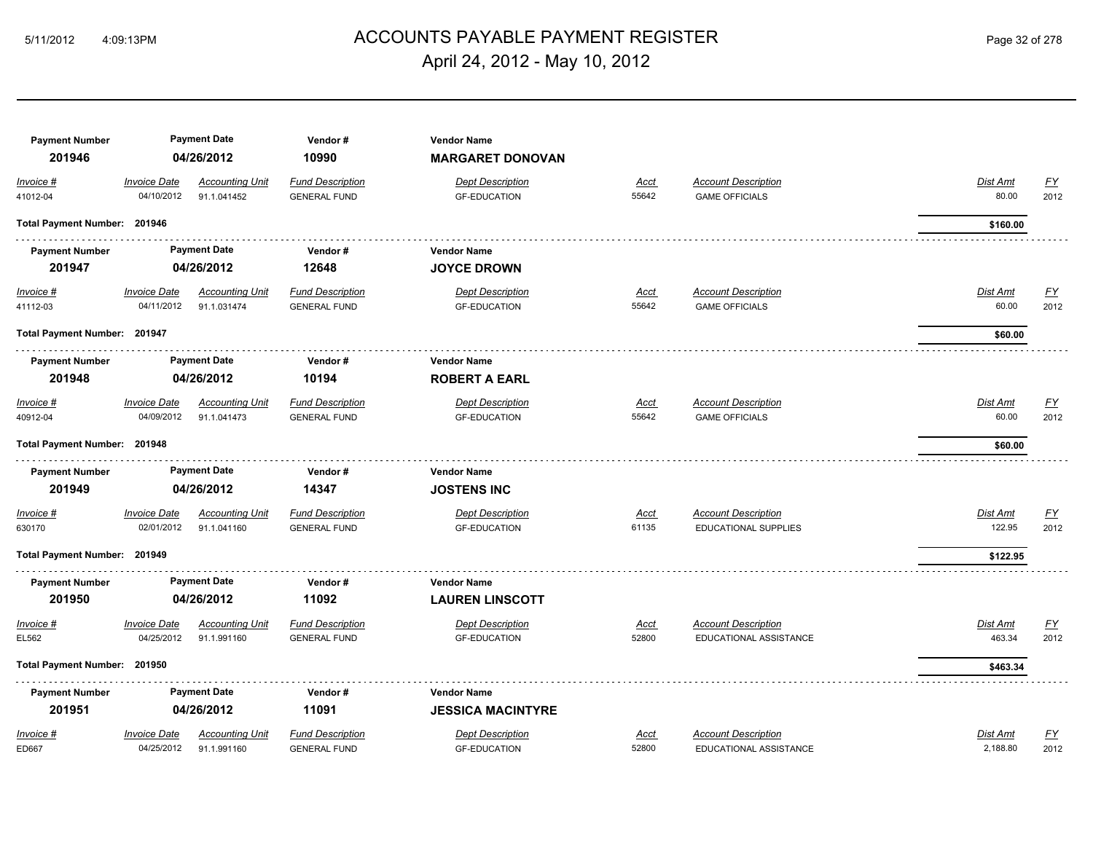## ACCOUNTS PAYABLE PAYMENT REGISTER 5/11/2012 4:09:13PM Page 32 of 278 April 24, 2012 - May 10, 2012

| <b>Payment Number</b><br>201946 |                                   | <b>Payment Date</b><br>04/26/2012     | Vendor#<br>10990                               | <b>Vendor Name</b><br><b>MARGARET DONOVAN</b>  |                      |                                                     |                          |                   |
|---------------------------------|-----------------------------------|---------------------------------------|------------------------------------------------|------------------------------------------------|----------------------|-----------------------------------------------------|--------------------------|-------------------|
| Invoice #<br>41012-04           | <b>Invoice Date</b><br>04/10/2012 | <b>Accounting Unit</b><br>91.1.041452 | <b>Fund Description</b><br><b>GENERAL FUND</b> | <b>Dept Description</b><br><b>GF-EDUCATION</b> | <u>Acct</u><br>55642 | <b>Account Description</b><br><b>GAME OFFICIALS</b> | Dist Amt<br>80.00        | <u>FY</u><br>2012 |
| Total Payment Number: 201946    |                                   |                                       |                                                |                                                |                      |                                                     | \$160.00                 |                   |
| <b>Payment Number</b>           |                                   | <b>Payment Date</b>                   | Vendor#                                        | <b>Vendor Name</b>                             |                      |                                                     |                          |                   |
| 201947                          |                                   | 04/26/2012                            | 12648                                          | <b>JOYCE DROWN</b>                             |                      |                                                     |                          |                   |
| Invoice #<br>41112-03           | <b>Invoice Date</b><br>04/11/2012 | <b>Accounting Unit</b><br>91.1.031474 | <b>Fund Description</b><br><b>GENERAL FUND</b> | <b>Dept Description</b><br><b>GF-EDUCATION</b> | <u>Acct</u><br>55642 | <b>Account Description</b><br><b>GAME OFFICIALS</b> | <b>Dist Amt</b><br>60.00 | <u>FY</u><br>2012 |
| Total Payment Number: 201947    |                                   |                                       |                                                |                                                |                      |                                                     | \$60.00                  |                   |
| <b>Payment Number</b>           |                                   | <b>Payment Date</b>                   | Vendor#                                        | <b>Vendor Name</b>                             |                      |                                                     |                          |                   |
| 201948                          |                                   | 04/26/2012                            | 10194                                          | <b>ROBERT A EARL</b>                           |                      |                                                     |                          |                   |
| Invoice #                       | <b>Invoice Date</b>               | <b>Accounting Unit</b>                | <b>Fund Description</b>                        | <b>Dept Description</b>                        | Acct                 | <b>Account Description</b>                          | Dist Amt                 | <u>FY</u>         |
| 40912-04                        | 04/09/2012                        | 91.1.041473                           | <b>GENERAL FUND</b>                            | <b>GF-EDUCATION</b>                            | 55642                | <b>GAME OFFICIALS</b>                               | 60.00                    | 2012              |
| Total Payment Number: 201948    |                                   |                                       |                                                |                                                |                      |                                                     | \$60.00                  |                   |
| <b>Payment Number</b><br>201949 |                                   | <b>Payment Date</b><br>04/26/2012     | Vendor#<br>14347                               | <b>Vendor Name</b><br><b>JOSTENS INC</b>       |                      |                                                     |                          |                   |
| $Invoice$ #                     | <b>Invoice Date</b>               | <b>Accounting Unit</b>                | <b>Fund Description</b>                        | <b>Dept Description</b>                        | Acct                 | <b>Account Description</b>                          | <b>Dist Amt</b>          | $\underline{FY}$  |
| 630170                          | 02/01/2012                        | 91.1.041160                           | <b>GENERAL FUND</b>                            | <b>GF-EDUCATION</b>                            | 61135                | <b>EDUCATIONAL SUPPLIES</b>                         | 122.95                   | 2012              |
| Total Payment Number: 201949    |                                   |                                       |                                                |                                                |                      |                                                     | \$122.95                 |                   |
| <b>Payment Number</b>           |                                   | <b>Payment Date</b>                   | Vendor#                                        | <b>Vendor Name</b>                             |                      |                                                     |                          |                   |
| 201950                          |                                   | 04/26/2012                            | 11092                                          | <b>LAUREN LINSCOTT</b>                         |                      |                                                     |                          |                   |
| Invoice #                       | <b>Invoice Date</b>               | <b>Accounting Unit</b>                | <b>Fund Description</b>                        | <b>Dept Description</b>                        | Acct                 | <b>Account Description</b>                          | Dist Amt                 | <u>FY</u>         |
| EL562                           | 04/25/2012                        | 91.1.991160                           | <b>GENERAL FUND</b>                            | <b>GF-EDUCATION</b>                            | 52800                | EDUCATIONAL ASSISTANCE                              | 463.34                   | 2012              |
| Total Payment Number: 201950    |                                   |                                       |                                                |                                                |                      |                                                     | \$463.34                 |                   |
| <b>Payment Number</b>           |                                   | <b>Payment Date</b>                   | Vendor#                                        | <b>Vendor Name</b>                             |                      |                                                     |                          |                   |
| 201951                          |                                   | 04/26/2012                            | 11091                                          | <b>JESSICA MACINTYRE</b>                       |                      |                                                     |                          |                   |
| Invoice #                       | <b>Invoice Date</b>               | <b>Accounting Unit</b>                | <b>Fund Description</b>                        | <b>Dept Description</b>                        | Acct                 | <b>Account Description</b>                          | Dist Amt                 | $\underline{FY}$  |
| ED667                           | 04/25/2012                        | 91.1.991160                           | <b>GENERAL FUND</b>                            | <b>GF-EDUCATION</b>                            | 52800                | EDUCATIONAL ASSISTANCE                              | 2,188.80                 | 2012              |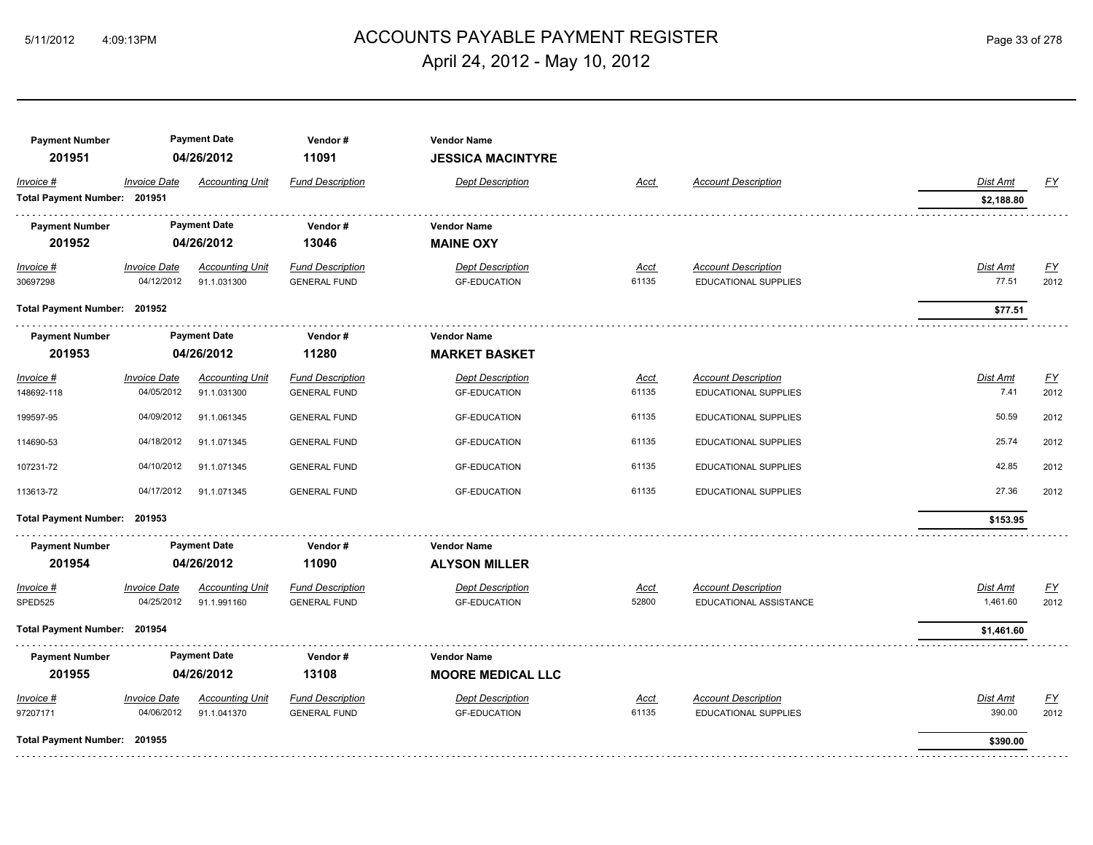## ACCOUNTS PAYABLE PAYMENT REGISTER 5/11/2012 4:09:13PM Page 33 of 278 April 24, 2012 - May 10, 2012

| <b>Payment Number</b><br>201951 |                     | <b>Payment Date</b><br>04/26/2012 | Vendor#<br>11091        | <b>Vendor Name</b><br><b>JESSICA MACINTYRE</b> |             |                            |                 |                  |
|---------------------------------|---------------------|-----------------------------------|-------------------------|------------------------------------------------|-------------|----------------------------|-----------------|------------------|
| Invoice #                       | <b>Invoice Date</b> | <b>Accounting Unit</b>            | <b>Fund Description</b> | <b>Dept Description</b>                        | <b>Acct</b> | <b>Account Description</b> | Dist Amt        | <u>FY</u>        |
| Total Payment Number: 201951    |                     |                                   |                         |                                                |             |                            | \$2,188.80      |                  |
| <b>Payment Number</b>           |                     | <b>Payment Date</b>               | Vendor#                 | <b>Vendor Name</b>                             |             |                            |                 |                  |
| 201952                          |                     | 04/26/2012                        | 13046                   | <b>MAINE OXY</b>                               |             |                            |                 |                  |
| $Invoice$ #                     | <b>Invoice Date</b> | <b>Accounting Unit</b>            | <b>Fund Description</b> | <b>Dept Description</b>                        | <u>Acct</u> | <b>Account Description</b> | <u>Dist Amt</u> | <u>FY</u>        |
| 30697298                        | 04/12/2012          | 91.1.031300                       | <b>GENERAL FUND</b>     | <b>GF-EDUCATION</b>                            | 61135       | EDUCATIONAL SUPPLIES       | 77.51           | 2012             |
| Total Payment Number: 201952    |                     |                                   |                         |                                                |             |                            | \$77.51         |                  |
| <b>Payment Number</b>           | <b>Payment Date</b> |                                   | Vendor#                 | <b>Vendor Name</b>                             |             |                            |                 |                  |
| 201953                          |                     | 04/26/2012                        | 11280                   | <b>MARKET BASKET</b>                           |             |                            |                 |                  |
| Invoice #                       | <b>Invoice Date</b> | <b>Accounting Unit</b>            | <b>Fund Description</b> | <b>Dept Description</b>                        | Acct        | <b>Account Description</b> | Dist Amt        | $\underline{FY}$ |
| 148692-118                      | 04/05/2012          | 91.1.031300                       | <b>GENERAL FUND</b>     | <b>GF-EDUCATION</b>                            | 61135       | EDUCATIONAL SUPPLIES       | 7.41            | 2012             |
| 199597-95                       | 04/09/2012          | 91.1.061345                       | <b>GENERAL FUND</b>     | <b>GF-EDUCATION</b>                            | 61135       | EDUCATIONAL SUPPLIES       | 50.59           | 2012             |
| 114690-53                       | 04/18/2012          | 91.1.071345                       | <b>GENERAL FUND</b>     | <b>GF-EDUCATION</b>                            | 61135       | EDUCATIONAL SUPPLIES       | 25.74           | 2012             |
| 107231-72                       | 04/10/2012          | 91.1.071345                       | <b>GENERAL FUND</b>     | <b>GF-EDUCATION</b>                            | 61135       | EDUCATIONAL SUPPLIES       | 42.85           | 2012             |
| 113613-72                       | 04/17/2012          | 91.1.071345                       | <b>GENERAL FUND</b>     | <b>GF-EDUCATION</b>                            | 61135       | EDUCATIONAL SUPPLIES       | 27.36           | 2012             |
| Total Payment Number: 201953    |                     |                                   |                         |                                                |             |                            | \$153.95        |                  |
| <b>Payment Number</b>           |                     | <b>Payment Date</b>               | Vendor#                 | <b>Vendor Name</b>                             |             |                            |                 |                  |
| 201954                          |                     | 04/26/2012                        | 11090                   | <b>ALYSON MILLER</b>                           |             |                            |                 |                  |
| $Invoice$ #                     | <b>Invoice Date</b> | <b>Accounting Unit</b>            | <b>Fund Description</b> | <b>Dept Description</b>                        | <u>Acct</u> | <b>Account Description</b> | Dist Amt        | <u>FY</u>        |
| SPED525                         | 04/25/2012          | 91.1.991160                       | <b>GENERAL FUND</b>     | <b>GF-EDUCATION</b>                            | 52800       | EDUCATIONAL ASSISTANCE     | 1,461.60        | 2012             |
| Total Payment Number: 201954    |                     |                                   |                         |                                                |             |                            | \$1,461.60      |                  |
| <b>Payment Number</b>           |                     | <b>Payment Date</b>               | Vendor#                 | <b>Vendor Name</b>                             |             |                            |                 |                  |
| 201955                          |                     | 04/26/2012                        | 13108                   | <b>MOORE MEDICAL LLC</b>                       |             |                            |                 |                  |
| Invoice #                       | <b>Invoice Date</b> | <b>Accounting Unit</b>            | <b>Fund Description</b> | <b>Dept Description</b>                        | Acct        | <b>Account Description</b> | Dist Amt        | <u>FY</u>        |
| 97207171                        | 04/06/2012          | 91.1.041370                       | <b>GENERAL FUND</b>     | <b>GF-EDUCATION</b>                            | 61135       | EDUCATIONAL SUPPLIES       | 390.00          | 2012             |
| Total Payment Number: 201955    |                     |                                   |                         |                                                |             |                            | \$390.00        |                  |
|                                 |                     |                                   |                         |                                                |             |                            |                 |                  |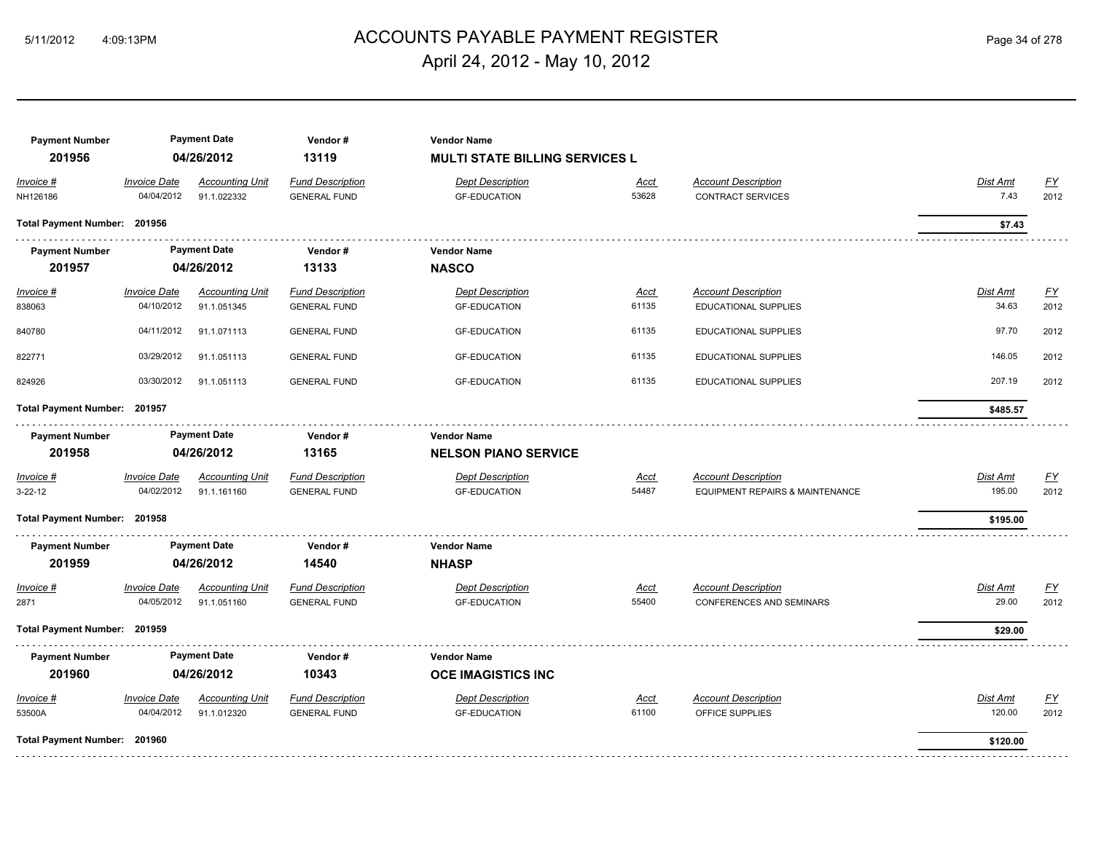## ACCOUNTS PAYABLE PAYMENT REGISTER 5/11/2012 4:09:13PM Page 34 of 278 April 24, 2012 - May 10, 2012

| <b>Payment Number</b><br>201956 |                                   | <b>Payment Date</b><br>04/26/2012     | Vendor#<br>13119                               | <b>Vendor Name</b><br><b>MULTI STATE BILLING SERVICES L</b> |               |                                                        |                  |                          |
|---------------------------------|-----------------------------------|---------------------------------------|------------------------------------------------|-------------------------------------------------------------|---------------|--------------------------------------------------------|------------------|--------------------------|
| Invoice #<br>NH126186           | <b>Invoice Date</b><br>04/04/2012 | <b>Accounting Unit</b><br>91.1.022332 | <b>Fund Description</b><br><b>GENERAL FUND</b> | <b>Dept Description</b><br><b>GF-EDUCATION</b>              | Acct<br>53628 | <b>Account Description</b><br><b>CONTRACT SERVICES</b> | Dist Amt<br>7.43 | $\underline{FY}$<br>2012 |
|                                 |                                   |                                       |                                                |                                                             |               |                                                        |                  |                          |
| Total Payment Number: 201956    |                                   |                                       |                                                |                                                             |               |                                                        | \$7.43           |                          |
| <b>Payment Number</b>           |                                   | <b>Payment Date</b>                   | Vendor#                                        | <b>Vendor Name</b>                                          |               |                                                        |                  |                          |
| 201957                          |                                   | 04/26/2012                            | 13133                                          | <b>NASCO</b>                                                |               |                                                        |                  |                          |
| $Invoice$ #                     | <b>Invoice Date</b>               | <b>Accounting Unit</b>                | <b>Fund Description</b>                        | <b>Dept Description</b>                                     | Acct          | <b>Account Description</b>                             | <b>Dist Amt</b>  | <u>FY</u>                |
| 838063                          | 04/10/2012                        | 91.1.051345                           | <b>GENERAL FUND</b>                            | <b>GF-EDUCATION</b>                                         | 61135         | EDUCATIONAL SUPPLIES                                   | 34.63            | 2012                     |
| 840780                          | 04/11/2012                        | 91.1.071113                           | <b>GENERAL FUND</b>                            | <b>GF-EDUCATION</b>                                         | 61135         | EDUCATIONAL SUPPLIES                                   | 97.70            | 2012                     |
| 822771                          | 03/29/2012                        | 91.1.051113                           | <b>GENERAL FUND</b>                            | <b>GF-EDUCATION</b>                                         | 61135         | EDUCATIONAL SUPPLIES                                   | 146.05           | 2012                     |
| 824926                          | 03/30/2012                        | 91.1.051113                           | <b>GENERAL FUND</b>                            | <b>GF-EDUCATION</b>                                         | 61135         | EDUCATIONAL SUPPLIES                                   | 207.19           | 2012                     |
| Total Payment Number: 201957    |                                   |                                       |                                                |                                                             |               |                                                        | \$485.57         |                          |
| <b>Payment Number</b>           |                                   | <b>Payment Date</b>                   | Vendor#                                        | <b>Vendor Name</b>                                          |               |                                                        |                  |                          |
| 201958                          |                                   | 04/26/2012                            | 13165                                          | <b>NELSON PIANO SERVICE</b>                                 |               |                                                        |                  |                          |
| $Invoice$ #                     | <b>Invoice Date</b>               | <b>Accounting Unit</b>                | <b>Fund Description</b>                        | <b>Dept Description</b>                                     | <u>Acct</u>   | <b>Account Description</b>                             | Dist Amt         | EY                       |
| $3 - 22 - 12$                   | 04/02/2012                        | 91.1.161160                           | <b>GENERAL FUND</b>                            | <b>GF-EDUCATION</b>                                         | 54487         | EQUIPMENT REPAIRS & MAINTENANCE                        | 195.00           | 2012                     |
| Total Payment Number: 201958    |                                   |                                       |                                                |                                                             |               |                                                        | \$195.00         |                          |
| <b>Payment Number</b>           |                                   | <b>Payment Date</b>                   | Vendor#                                        | <b>Vendor Name</b>                                          |               |                                                        |                  |                          |
| 201959                          |                                   | 04/26/2012                            | 14540                                          | <b>NHASP</b>                                                |               |                                                        |                  |                          |
| Invoice #                       | <b>Invoice Date</b>               | <b>Accounting Unit</b>                | <b>Fund Description</b>                        | <b>Dept Description</b>                                     | <u>Acct</u>   | <b>Account Description</b>                             | Dist Amt         | EY                       |
| 2871                            | 04/05/2012                        | 91.1.051160                           | <b>GENERAL FUND</b>                            | <b>GF-EDUCATION</b>                                         | 55400         | CONFERENCES AND SEMINARS                               | 29.00            | 2012                     |
| Total Payment Number: 201959    |                                   |                                       |                                                |                                                             |               |                                                        | \$29.00          |                          |
| <b>Payment Number</b>           |                                   | <b>Payment Date</b>                   | Vendor#                                        | <b>Vendor Name</b>                                          |               |                                                        |                  |                          |
| 201960                          |                                   | 04/26/2012                            | 10343                                          | <b>OCE IMAGISTICS INC</b>                                   |               |                                                        |                  |                          |
| Invoice #                       | <b>Invoice Date</b>               | <b>Accounting Unit</b>                | <b>Fund Description</b>                        | <b>Dept Description</b>                                     | Acct          | <b>Account Description</b>                             | Dist Amt         | EY                       |
| 53500A                          | 04/04/2012                        | 91.1.012320                           | <b>GENERAL FUND</b>                            | <b>GF-EDUCATION</b>                                         | 61100         | OFFICE SUPPLIES                                        | 120.00           | 2012                     |
| Total Payment Number: 201960    |                                   |                                       |                                                |                                                             |               |                                                        | \$120.00         |                          |
|                                 |                                   |                                       |                                                |                                                             |               |                                                        |                  |                          |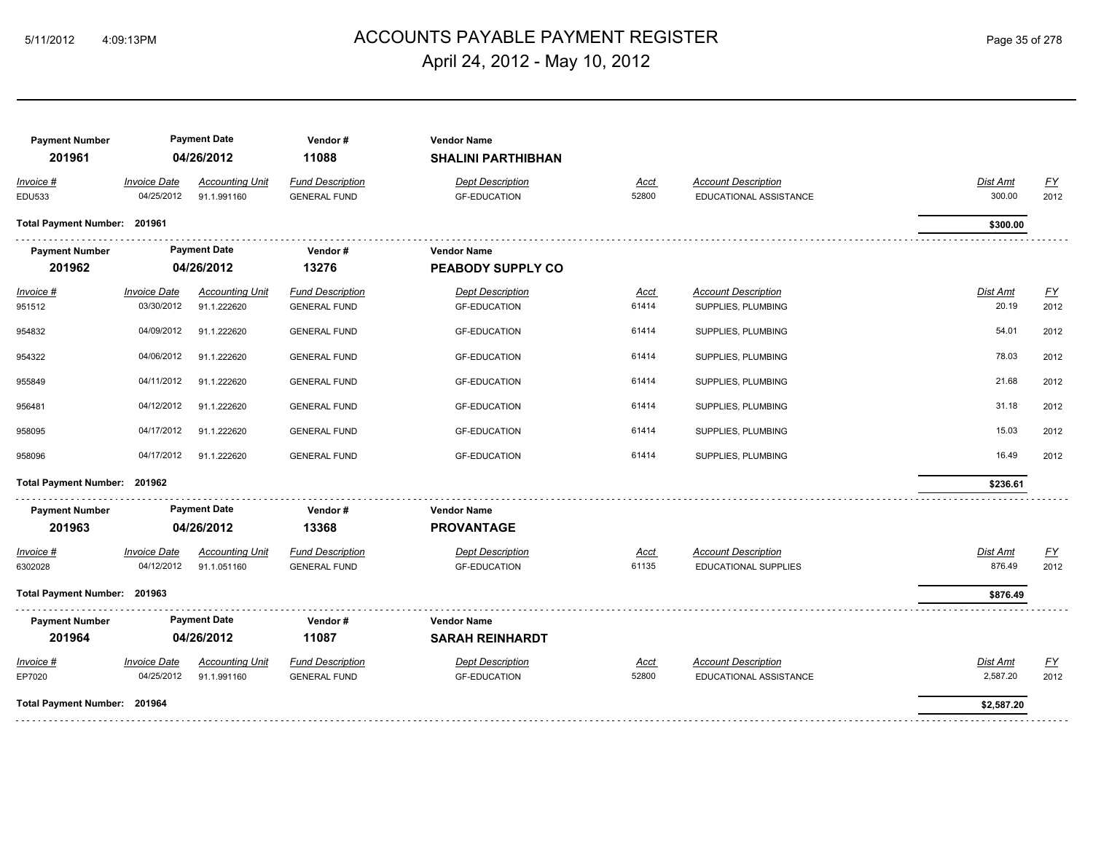## ACCOUNTS PAYABLE PAYMENT REGISTER 5/11/2012 4:09:13PM Page 35 of 278 April 24, 2012 - May 10, 2012

| <b>Payment Number</b><br>201961 |                                   | <b>Payment Date</b><br>04/26/2012     | Vendor#<br>11088                               | <b>Vendor Name</b><br><b>SHALINI PARTHIBHAN</b> |                      |                                                      |                      |                          |
|---------------------------------|-----------------------------------|---------------------------------------|------------------------------------------------|-------------------------------------------------|----------------------|------------------------------------------------------|----------------------|--------------------------|
| Invoice #<br><b>EDU533</b>      | <b>Invoice Date</b><br>04/25/2012 | <b>Accounting Unit</b><br>91.1.991160 | <b>Fund Description</b><br><b>GENERAL FUND</b> | <b>Dept Description</b><br><b>GF-EDUCATION</b>  | Acct<br>52800        | <b>Account Description</b><br>EDUCATIONAL ASSISTANCE | Dist Amt<br>300.00   | $\underline{FY}$<br>2012 |
| Total Payment Number: 201961    |                                   |                                       |                                                |                                                 |                      |                                                      | \$300.00             |                          |
| <b>Payment Number</b>           |                                   | <b>Payment Date</b>                   | Vendor#                                        | <b>Vendor Name</b>                              |                      |                                                      |                      |                          |
| 201962                          |                                   | 04/26/2012                            | 13276                                          | PEABODY SUPPLY CO                               |                      |                                                      |                      |                          |
| $Invoice$ #                     | <b>Invoice Date</b>               | <b>Accounting Unit</b>                | <b>Fund Description</b>                        | <b>Dept Description</b>                         | <b>Acct</b>          | <b>Account Description</b>                           | <b>Dist Amt</b>      | EY                       |
| 951512                          | 03/30/2012                        | 91.1.222620                           | <b>GENERAL FUND</b>                            | <b>GF-EDUCATION</b>                             | 61414                | SUPPLIES, PLUMBING                                   | 20.19                | 2012                     |
| 954832                          | 04/09/2012                        | 91.1.222620                           | <b>GENERAL FUND</b>                            | <b>GF-EDUCATION</b>                             | 61414                | SUPPLIES, PLUMBING                                   | 54.01                | 2012                     |
| 954322                          | 04/06/2012                        | 91.1.222620                           | <b>GENERAL FUND</b>                            | <b>GF-EDUCATION</b>                             | 61414                | SUPPLIES, PLUMBING                                   | 78.03                | 2012                     |
| 955849                          | 04/11/2012                        | 91.1.222620                           | <b>GENERAL FUND</b>                            | <b>GF-EDUCATION</b>                             | 61414                | SUPPLIES, PLUMBING                                   | 21.68                | 2012                     |
| 956481                          | 04/12/2012                        | 91.1.222620                           | <b>GENERAL FUND</b>                            | <b>GF-EDUCATION</b>                             | 61414                | SUPPLIES, PLUMBING                                   | 31.18                | 2012                     |
| 958095                          | 04/17/2012                        | 91.1.222620                           | <b>GENERAL FUND</b>                            | <b>GF-EDUCATION</b>                             | 61414                | SUPPLIES, PLUMBING                                   | 15.03                | 2012                     |
| 958096                          | 04/17/2012                        | 91.1.222620                           | <b>GENERAL FUND</b>                            | <b>GF-EDUCATION</b>                             | 61414                | SUPPLIES, PLUMBING                                   | 16.49                | 2012                     |
| Total Payment Number: 201962    |                                   |                                       |                                                |                                                 |                      |                                                      | \$236.61             |                          |
| <b>Payment Number</b>           |                                   | <b>Payment Date</b>                   | Vendor#                                        | <b>Vendor Name</b>                              |                      |                                                      |                      |                          |
| 201963                          |                                   | 04/26/2012                            | 13368                                          | <b>PROVANTAGE</b>                               |                      |                                                      |                      |                          |
| Invoice #<br>6302028            | <b>Invoice Date</b><br>04/12/2012 | <b>Accounting Unit</b><br>91.1.051160 | <b>Fund Description</b><br><b>GENERAL FUND</b> | <b>Dept Description</b><br><b>GF-EDUCATION</b>  | <b>Acct</b><br>61135 | <b>Account Description</b><br>EDUCATIONAL SUPPLIES   | Dist Amt<br>876.49   | $\underline{FY}$<br>2012 |
| Total Payment Number: 201963    |                                   |                                       |                                                |                                                 |                      |                                                      | \$876.49             |                          |
| <b>Payment Number</b>           |                                   | <b>Payment Date</b>                   | Vendor#                                        | <b>Vendor Name</b>                              |                      |                                                      |                      |                          |
| 201964                          |                                   | 04/26/2012                            | 11087                                          | <b>SARAH REINHARDT</b>                          |                      |                                                      |                      |                          |
| Invoice #<br>EP7020             | <b>Invoice Date</b><br>04/25/2012 | <b>Accounting Unit</b><br>91.1.991160 | <b>Fund Description</b><br><b>GENERAL FUND</b> | <b>Dept Description</b><br><b>GF-EDUCATION</b>  | <u>Acct</u><br>52800 | <b>Account Description</b><br>EDUCATIONAL ASSISTANCE | Dist Amt<br>2,587.20 | $\underline{FY}$<br>2012 |
|                                 | Total Payment Number: 201964      |                                       |                                                |                                                 |                      |                                                      | \$2,587.20           |                          |
|                                 |                                   |                                       |                                                |                                                 |                      |                                                      |                      |                          |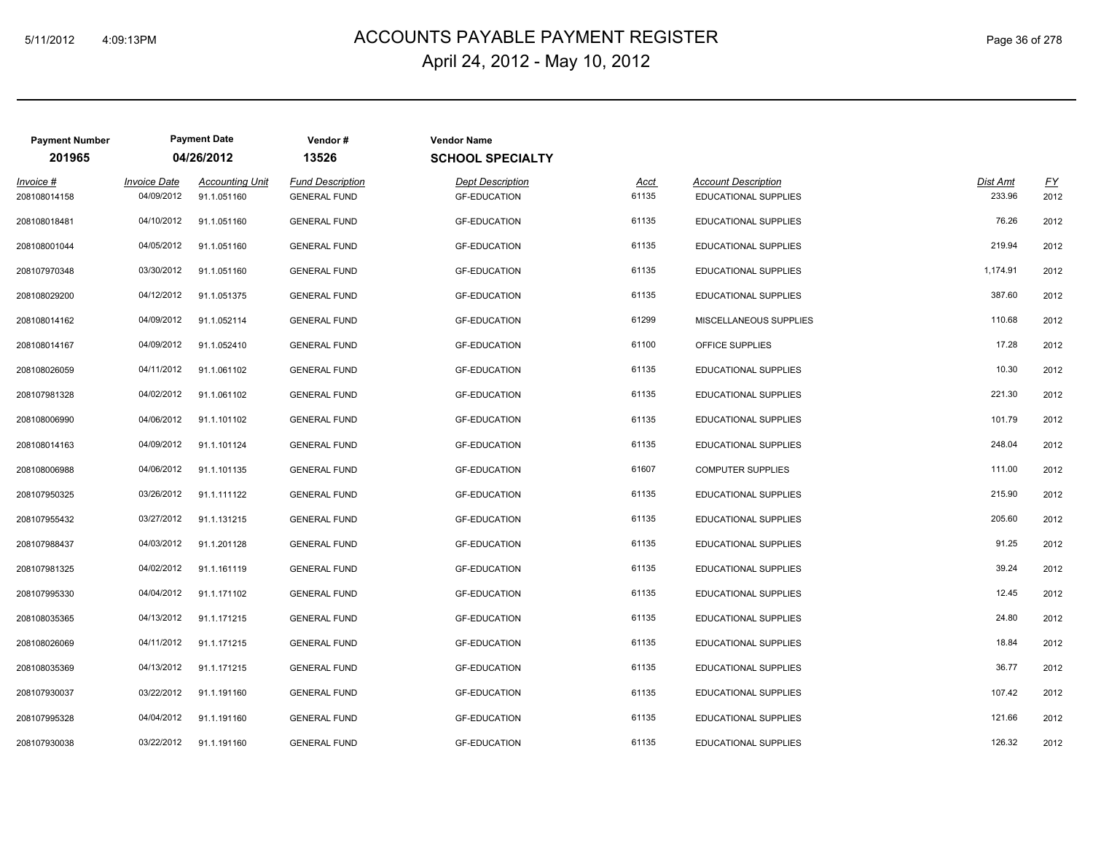## ACCOUNTS PAYABLE PAYMENT REGISTER 5/11/2012 4:09:13PM Page 36 of 278 April 24, 2012 - May 10, 2012

| <b>Payment Number</b>     | <b>Payment Date</b>               |                                       | Vendor#                                        | <b>Vendor Name</b>                             |               |                                                           |                    |            |
|---------------------------|-----------------------------------|---------------------------------------|------------------------------------------------|------------------------------------------------|---------------|-----------------------------------------------------------|--------------------|------------|
| 201965                    |                                   | 04/26/2012                            | 13526                                          | <b>SCHOOL SPECIALTY</b>                        |               |                                                           |                    |            |
| Invoice #<br>208108014158 | <b>Invoice Date</b><br>04/09/2012 | <b>Accounting Unit</b><br>91.1.051160 | <b>Fund Description</b><br><b>GENERAL FUND</b> | <b>Dept Description</b><br><b>GF-EDUCATION</b> | Acct<br>61135 | <b>Account Description</b><br><b>EDUCATIONAL SUPPLIES</b> | Dist Amt<br>233.96 | EY<br>2012 |
| 208108018481              | 04/10/2012                        | 91.1.051160                           | <b>GENERAL FUND</b>                            | <b>GF-EDUCATION</b>                            | 61135         | EDUCATIONAL SUPPLIES                                      | 76.26              | 2012       |
| 208108001044              | 04/05/2012                        | 91.1.051160                           | <b>GENERAL FUND</b>                            | <b>GF-EDUCATION</b>                            | 61135         | EDUCATIONAL SUPPLIES                                      | 219.94             | 2012       |
| 208107970348              | 03/30/2012                        | 91.1.051160                           | <b>GENERAL FUND</b>                            | <b>GF-EDUCATION</b>                            | 61135         | EDUCATIONAL SUPPLIES                                      | 1,174.91           | 2012       |
| 208108029200              | 04/12/2012                        | 91.1.051375                           | <b>GENERAL FUND</b>                            | <b>GF-EDUCATION</b>                            | 61135         | EDUCATIONAL SUPPLIES                                      | 387.60             | 2012       |
| 208108014162              | 04/09/2012                        | 91.1.052114                           | <b>GENERAL FUND</b>                            | <b>GF-EDUCATION</b>                            | 61299         | MISCELLANEOUS SUPPLIES                                    | 110.68             | 2012       |
| 208108014167              | 04/09/2012                        | 91.1.052410                           | <b>GENERAL FUND</b>                            | <b>GF-EDUCATION</b>                            | 61100         | OFFICE SUPPLIES                                           | 17.28              | 2012       |
| 208108026059              | 04/11/2012                        | 91.1.061102                           | <b>GENERAL FUND</b>                            | <b>GF-EDUCATION</b>                            | 61135         | EDUCATIONAL SUPPLIES                                      | 10.30              | 2012       |
| 208107981328              | 04/02/2012                        | 91.1.061102                           | <b>GENERAL FUND</b>                            | <b>GF-EDUCATION</b>                            | 61135         | EDUCATIONAL SUPPLIES                                      | 221.30             | 2012       |
| 208108006990              | 04/06/2012                        | 91.1.101102                           | <b>GENERAL FUND</b>                            | <b>GF-EDUCATION</b>                            | 61135         | EDUCATIONAL SUPPLIES                                      | 101.79             | 2012       |
| 208108014163              | 04/09/2012                        | 91.1.101124                           | <b>GENERAL FUND</b>                            | <b>GF-EDUCATION</b>                            | 61135         | EDUCATIONAL SUPPLIES                                      | 248.04             | 2012       |
| 208108006988              | 04/06/2012                        | 91.1.101135                           | <b>GENERAL FUND</b>                            | <b>GF-EDUCATION</b>                            | 61607         | <b>COMPUTER SUPPLIES</b>                                  | 111.00             | 2012       |
| 208107950325              | 03/26/2012                        | 91.1.111122                           | <b>GENERAL FUND</b>                            | <b>GF-EDUCATION</b>                            | 61135         | EDUCATIONAL SUPPLIES                                      | 215.90             | 2012       |
| 208107955432              | 03/27/2012                        | 91.1.131215                           | <b>GENERAL FUND</b>                            | <b>GF-EDUCATION</b>                            | 61135         | EDUCATIONAL SUPPLIES                                      | 205.60             | 2012       |
| 208107988437              | 04/03/2012                        | 91.1.201128                           | <b>GENERAL FUND</b>                            | <b>GF-EDUCATION</b>                            | 61135         | EDUCATIONAL SUPPLIES                                      | 91.25              | 2012       |
| 208107981325              | 04/02/2012                        | 91.1.161119                           | <b>GENERAL FUND</b>                            | <b>GF-EDUCATION</b>                            | 61135         | EDUCATIONAL SUPPLIES                                      | 39.24              | 2012       |
| 208107995330              | 04/04/2012                        | 91.1.171102                           | <b>GENERAL FUND</b>                            | <b>GF-EDUCATION</b>                            | 61135         | EDUCATIONAL SUPPLIES                                      | 12.45              | 2012       |
| 208108035365              | 04/13/2012                        | 91.1.171215                           | <b>GENERAL FUND</b>                            | <b>GF-EDUCATION</b>                            | 61135         | EDUCATIONAL SUPPLIES                                      | 24.80              | 2012       |
| 208108026069              | 04/11/2012                        | 91.1.171215                           | <b>GENERAL FUND</b>                            | <b>GF-EDUCATION</b>                            | 61135         | EDUCATIONAL SUPPLIES                                      | 18.84              | 2012       |
| 208108035369              | 04/13/2012                        | 91.1.171215                           | <b>GENERAL FUND</b>                            | <b>GF-EDUCATION</b>                            | 61135         | <b>EDUCATIONAL SUPPLIES</b>                               | 36.77              | 2012       |
| 208107930037              | 03/22/2012                        | 91.1.191160                           | <b>GENERAL FUND</b>                            | <b>GF-EDUCATION</b>                            | 61135         | EDUCATIONAL SUPPLIES                                      | 107.42             | 2012       |
| 208107995328              | 04/04/2012                        | 91.1.191160                           | <b>GENERAL FUND</b>                            | <b>GF-EDUCATION</b>                            | 61135         | EDUCATIONAL SUPPLIES                                      | 121.66             | 2012       |
| 208107930038              | 03/22/2012                        | 91.1.191160                           | <b>GENERAL FUND</b>                            | <b>GF-EDUCATION</b>                            | 61135         | EDUCATIONAL SUPPLIES                                      | 126.32             | 2012       |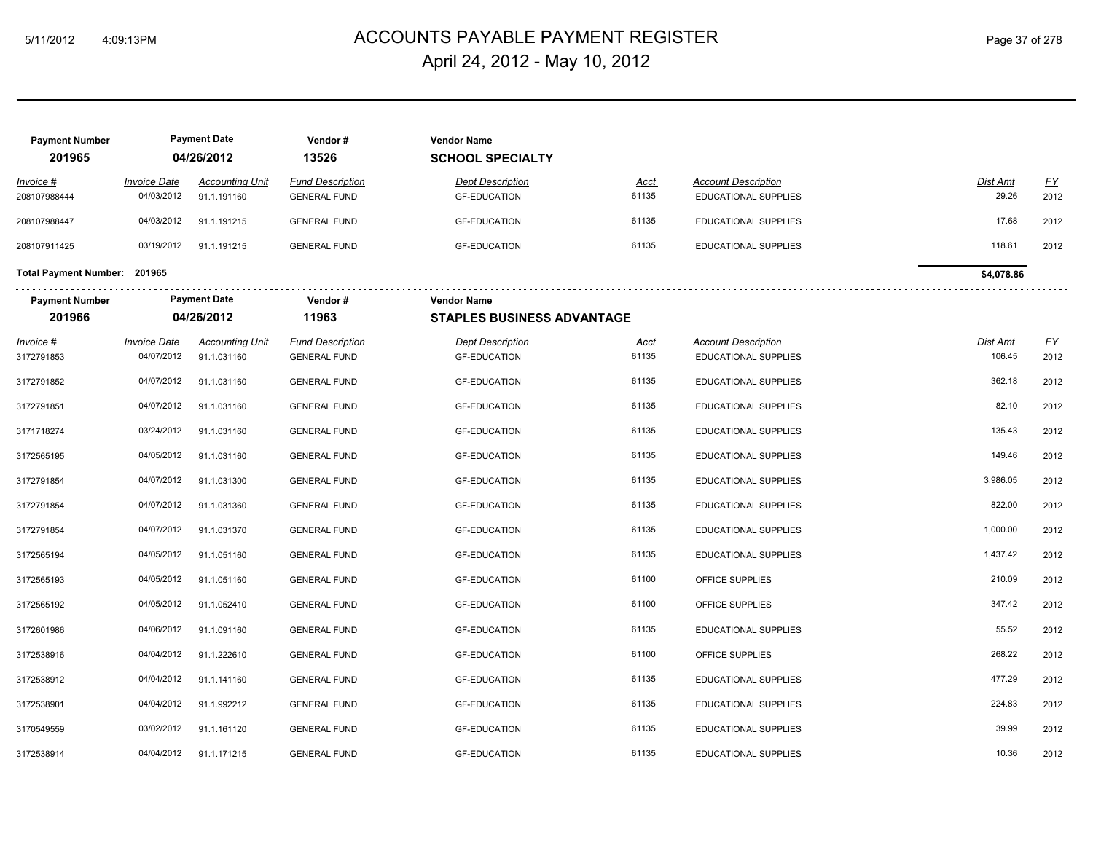# ACCOUNTS PAYABLE PAYMENT REGISTER 5/11/2012 4:09:13PM Page 37 of 278 April 24, 2012 - May 10, 2012

| <b>Payment Number</b><br>201965 |                                   | <b>Payment Date</b><br>04/26/2012 | Vendor#<br>13526                               | <b>Vendor Name</b><br><b>SCHOOL SPECIALTY</b>  |                      |                                                    |                    |                           |
|---------------------------------|-----------------------------------|-----------------------------------|------------------------------------------------|------------------------------------------------|----------------------|----------------------------------------------------|--------------------|---------------------------|
| Invoice #                       | <b>Invoice Date</b>               | <b>Accounting Unit</b>            | <b>Fund Description</b>                        | <b>Dept Description</b>                        | <b>Acct</b>          | <b>Account Description</b>                         | Dist Amt           | $\underline{\mathsf{FY}}$ |
| 208107988444                    | 04/03/2012                        | 91.1.191160                       | <b>GENERAL FUND</b>                            | <b>GF-EDUCATION</b>                            | 61135                | EDUCATIONAL SUPPLIES                               | 29.26              | 2012                      |
| 208107988447                    | 04/03/2012                        | 91.1.191215                       | <b>GENERAL FUND</b>                            | <b>GF-EDUCATION</b>                            | 61135                | EDUCATIONAL SUPPLIES                               | 17.68              | 2012                      |
| 208107911425                    | 03/19/2012                        | 91.1.191215                       | <b>GENERAL FUND</b>                            | <b>GF-EDUCATION</b>                            | 61135                | EDUCATIONAL SUPPLIES                               | 118.61             | 2012                      |
| Total Payment Number: 201965    |                                   |                                   |                                                |                                                |                      |                                                    | \$4,078.86         |                           |
| <b>Payment Number</b>           |                                   | <b>Payment Date</b>               | Vendor#                                        | <b>Vendor Name</b>                             |                      |                                                    |                    |                           |
| 201966                          |                                   | 04/26/2012                        | 11963                                          | <b>STAPLES BUSINESS ADVANTAGE</b>              |                      |                                                    |                    |                           |
| $Invoice$ #<br>3172791853       | <b>Invoice Date</b><br>04/07/2012 | Accounting Unit<br>91.1.031160    | <b>Fund Description</b><br><b>GENERAL FUND</b> | <b>Dept Description</b><br><b>GF-EDUCATION</b> | <u>Acct</u><br>61135 | <b>Account Description</b><br>EDUCATIONAL SUPPLIES | Dist Amt<br>106.45 | <u>FY</u><br>2012         |
| 3172791852                      | 04/07/2012                        | 91.1.031160                       | <b>GENERAL FUND</b>                            | <b>GF-EDUCATION</b>                            | 61135                | EDUCATIONAL SUPPLIES                               | 362.18             | 2012                      |
| 3172791851                      | 04/07/2012                        | 91.1.031160                       | <b>GENERAL FUND</b>                            | <b>GF-EDUCATION</b>                            | 61135                | EDUCATIONAL SUPPLIES                               | 82.10              | 2012                      |
| 3171718274                      | 03/24/2012                        | 91.1.031160                       | <b>GENERAL FUND</b>                            | <b>GF-EDUCATION</b>                            | 61135                | EDUCATIONAL SUPPLIES                               | 135.43             | 2012                      |
| 3172565195                      | 04/05/2012                        | 91.1.031160                       | <b>GENERAL FUND</b>                            | <b>GF-EDUCATION</b>                            | 61135                | EDUCATIONAL SUPPLIES                               | 149.46             | 2012                      |
| 3172791854                      | 04/07/2012                        | 91.1.031300                       | <b>GENERAL FUND</b>                            | <b>GF-EDUCATION</b>                            | 61135                | EDUCATIONAL SUPPLIES                               | 3,986.05           | 2012                      |
| 3172791854                      | 04/07/2012                        | 91.1.031360                       | <b>GENERAL FUND</b>                            | <b>GF-EDUCATION</b>                            | 61135                | EDUCATIONAL SUPPLIES                               | 822.00             | 2012                      |
| 3172791854                      | 04/07/2012                        | 91.1.031370                       | <b>GENERAL FUND</b>                            | <b>GF-EDUCATION</b>                            | 61135                | EDUCATIONAL SUPPLIES                               | 1,000.00           | 2012                      |
| 3172565194                      | 04/05/2012                        | 91.1.051160                       | <b>GENERAL FUND</b>                            | <b>GF-EDUCATION</b>                            | 61135                | EDUCATIONAL SUPPLIES                               | 1,437.42           | 2012                      |
| 3172565193                      | 04/05/2012                        | 91.1.051160                       | <b>GENERAL FUND</b>                            | <b>GF-EDUCATION</b>                            | 61100                | OFFICE SUPPLIES                                    | 210.09             | 2012                      |
| 3172565192                      | 04/05/2012                        | 91.1.052410                       | <b>GENERAL FUND</b>                            | <b>GF-EDUCATION</b>                            | 61100                | OFFICE SUPPLIES                                    | 347.42             | 2012                      |
| 3172601986                      | 04/06/2012                        | 91.1.091160                       | <b>GENERAL FUND</b>                            | <b>GF-EDUCATION</b>                            | 61135                | EDUCATIONAL SUPPLIES                               | 55.52              | 2012                      |
| 3172538916                      | 04/04/2012                        | 91.1.222610                       | <b>GENERAL FUND</b>                            | <b>GF-EDUCATION</b>                            | 61100                | OFFICE SUPPLIES                                    | 268.22             | 2012                      |
| 3172538912                      | 04/04/2012                        | 91.1.141160                       | <b>GENERAL FUND</b>                            | <b>GF-EDUCATION</b>                            | 61135                | EDUCATIONAL SUPPLIES                               | 477.29             | 2012                      |
| 3172538901                      | 04/04/2012                        | 91.1.992212                       | <b>GENERAL FUND</b>                            | <b>GF-EDUCATION</b>                            | 61135                | EDUCATIONAL SUPPLIES                               | 224.83             | 2012                      |
| 3170549559                      | 03/02/2012                        | 91.1.161120                       | <b>GENERAL FUND</b>                            | <b>GF-EDUCATION</b>                            | 61135                | EDUCATIONAL SUPPLIES                               | 39.99              | 2012                      |
| 3172538914                      | 04/04/2012                        | 91.1.171215                       | <b>GENERAL FUND</b>                            | <b>GF-EDUCATION</b>                            | 61135                | EDUCATIONAL SUPPLIES                               | 10.36              | 2012                      |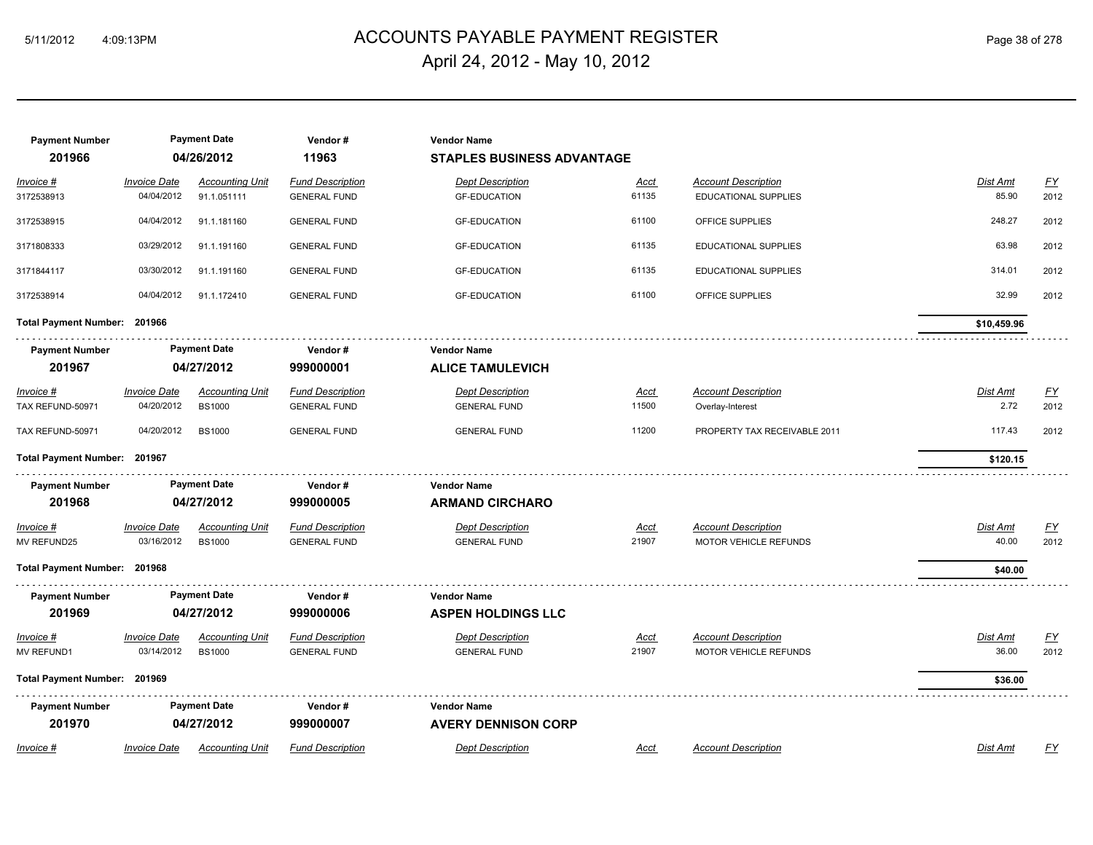# ACCOUNTS PAYABLE PAYMENT REGISTER 5/11/2012 4:09:13PM Page 38 of 278 April 24, 2012 - May 10, 2012

| <b>Payment Number</b><br>201966 |                                   | <b>Payment Date</b><br>04/26/2012       | Vendor#<br>11963                               | <b>Vendor Name</b><br><b>STAPLES BUSINESS ADVANTAGE</b> |                      |                                                            |                         |                          |
|---------------------------------|-----------------------------------|-----------------------------------------|------------------------------------------------|---------------------------------------------------------|----------------------|------------------------------------------------------------|-------------------------|--------------------------|
| Invoice #<br>3172538913         | <b>Invoice Date</b><br>04/04/2012 | <b>Accounting Unit</b><br>91.1.051111   | <b>Fund Description</b><br><b>GENERAL FUND</b> | <b>Dept Description</b><br><b>GF-EDUCATION</b>          | <u>Acct</u><br>61135 | <b>Account Description</b><br>EDUCATIONAL SUPPLIES         | Dist Amt<br>85.90       | $\underline{FY}$<br>2012 |
| 3172538915                      | 04/04/2012                        | 91.1.181160                             | <b>GENERAL FUND</b>                            | <b>GF-EDUCATION</b>                                     | 61100                | OFFICE SUPPLIES                                            | 248.27                  | 2012                     |
| 3171808333                      | 03/29/2012                        | 91.1.191160                             | <b>GENERAL FUND</b>                            | <b>GF-EDUCATION</b>                                     | 61135                | EDUCATIONAL SUPPLIES                                       | 63.98                   | 2012                     |
| 3171844117                      | 03/30/2012                        | 91.1.191160                             | <b>GENERAL FUND</b>                            | <b>GF-EDUCATION</b>                                     | 61135                | EDUCATIONAL SUPPLIES                                       | 314.01                  | 2012                     |
| 3172538914                      | 04/04/2012                        | 91.1.172410                             | <b>GENERAL FUND</b>                            | <b>GF-EDUCATION</b>                                     | 61100                | OFFICE SUPPLIES                                            | 32.99                   | 2012                     |
| Total Payment Number: 201966    |                                   |                                         |                                                |                                                         |                      |                                                            | \$10,459.96             |                          |
| <b>Payment Number</b><br>201967 |                                   | <b>Payment Date</b><br>04/27/2012       | Vendor#<br>999000001                           | <b>Vendor Name</b><br><b>ALICE TAMULEVICH</b>           |                      |                                                            |                         |                          |
| $Invoice$ #<br>TAX REFUND-50971 | <b>Invoice Date</b><br>04/20/2012 | <b>Accounting Unit</b><br><b>BS1000</b> | <b>Fund Description</b><br><b>GENERAL FUND</b> | <b>Dept Description</b><br><b>GENERAL FUND</b>          | <u>Acct</u><br>11500 | <b>Account Description</b><br>Overlay-Interest             | <b>Dist Amt</b><br>2.72 | <u>FY</u><br>2012        |
| TAX REFUND-50971                | 04/20/2012                        | <b>BS1000</b>                           | <b>GENERAL FUND</b>                            | <b>GENERAL FUND</b>                                     | 11200                | PROPERTY TAX RECEIVABLE 2011                               | 117.43                  | 2012                     |
| Total Payment Number: 201967    |                                   |                                         |                                                |                                                         |                      |                                                            | \$120.15                |                          |
| <b>Payment Number</b><br>201968 |                                   | <b>Payment Date</b><br>04/27/2012       | Vendor#<br>999000005                           | <b>Vendor Name</b><br><b>ARMAND CIRCHARO</b>            |                      |                                                            |                         |                          |
| Invoice #<br>MV REFUND25        | <b>Invoice Date</b><br>03/16/2012 | <b>Accounting Unit</b><br><b>BS1000</b> | <b>Fund Description</b><br><b>GENERAL FUND</b> | <b>Dept Description</b><br><b>GENERAL FUND</b>          | Acct<br>21907        | <b>Account Description</b><br>MOTOR VEHICLE REFUNDS        | Dist Amt<br>40.00       | EY<br>2012               |
| Total Payment Number: 201968    |                                   |                                         |                                                |                                                         |                      |                                                            | \$40.00                 |                          |
| <b>Payment Number</b><br>201969 |                                   | <b>Payment Date</b><br>04/27/2012       | Vendor#<br>999000006                           | <b>Vendor Name</b><br><b>ASPEN HOLDINGS LLC</b>         |                      |                                                            |                         |                          |
| Invoice #<br><b>MV REFUND1</b>  | <b>Invoice Date</b><br>03/14/2012 | <b>Accounting Unit</b><br><b>BS1000</b> | <b>Fund Description</b><br><b>GENERAL FUND</b> | <b>Dept Description</b><br><b>GENERAL FUND</b>          | <u>Acct</u><br>21907 | <b>Account Description</b><br><b>MOTOR VEHICLE REFUNDS</b> | Dist Amt<br>36.00       | <u>FY</u><br>2012        |
| Total Payment Number: 201969    |                                   |                                         |                                                |                                                         |                      |                                                            | \$36.00                 |                          |
| <b>Payment Number</b><br>201970 |                                   | <b>Payment Date</b><br>04/27/2012       | Vendor#<br>999000007                           | <b>Vendor Name</b><br><b>AVERY DENNISON CORP</b>        |                      |                                                            |                         |                          |
| Invoice #                       | <b>Invoice Date</b>               | <b>Accounting Unit</b>                  | <b>Fund Description</b>                        | Dept Description                                        | Acct                 | <b>Account Description</b>                                 | Dist Amt                | FY                       |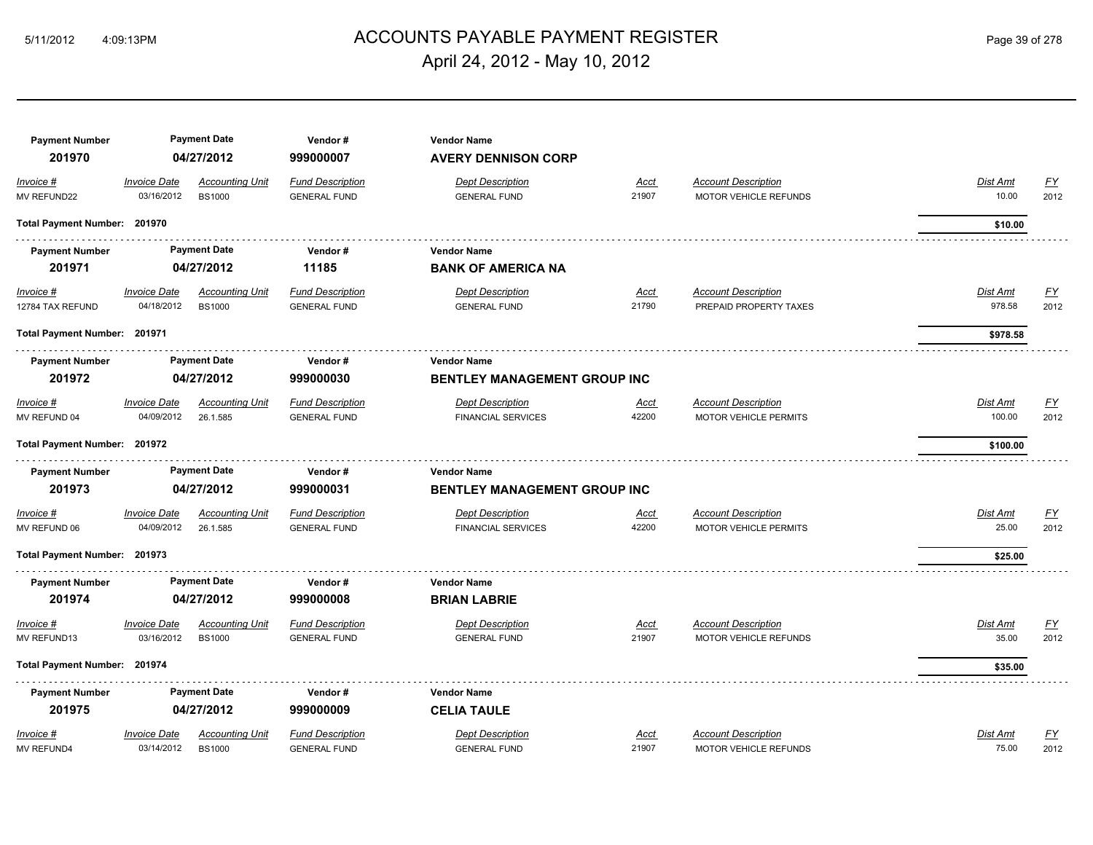# ACCOUNTS PAYABLE PAYMENT REGISTER 5/11/2012 4:09:13PM Page 39 of 278 April 24, 2012 - May 10, 2012

| <b>Payment Number</b><br>201970 |                                   | <b>Payment Date</b><br>04/27/2012       | Vendor#<br>999000007                           | <b>Vendor Name</b><br><b>AVERY DENNISON CORP</b>          |                      |                                                      |                           |                           |
|---------------------------------|-----------------------------------|-----------------------------------------|------------------------------------------------|-----------------------------------------------------------|----------------------|------------------------------------------------------|---------------------------|---------------------------|
| Invoice #<br>MV REFUND22        | <b>Invoice Date</b><br>03/16/2012 | <b>Accounting Unit</b><br><b>BS1000</b> | <b>Fund Description</b><br><b>GENERAL FUND</b> | <b>Dept Description</b><br><b>GENERAL FUND</b>            | Acct<br>21907        | <b>Account Description</b><br>MOTOR VEHICLE REFUNDS  | Dist Amt<br>10.00         | <u>FY</u><br>2012         |
| Total Payment Number: 201970    |                                   |                                         |                                                |                                                           |                      |                                                      | \$10.00                   |                           |
| <b>Payment Number</b>           |                                   | <b>Payment Date</b>                     | Vendor#                                        | <b>Vendor Name</b>                                        |                      |                                                      |                           |                           |
| 201971                          |                                   | 04/27/2012                              | 11185                                          | <b>BANK OF AMERICA NA</b>                                 |                      |                                                      |                           |                           |
| $Invoice$ #<br>12784 TAX REFUND | <b>Invoice Date</b><br>04/18/2012 | <b>Accounting Unit</b><br><b>BS1000</b> | <b>Fund Description</b><br><b>GENERAL FUND</b> | <b>Dept Description</b><br><b>GENERAL FUND</b>            | <u>Acct</u><br>21790 | <b>Account Description</b><br>PREPAID PROPERTY TAXES | <b>Dist Amt</b><br>978.58 | <u>FY</u><br>2012         |
| Total Payment Number: 201971    |                                   |                                         |                                                |                                                           |                      |                                                      | \$978.58                  |                           |
| <b>Payment Number</b>           |                                   | <b>Payment Date</b>                     | Vendor#                                        | <b>Vendor Name</b>                                        |                      |                                                      |                           |                           |
| 201972                          |                                   | 04/27/2012                              | 999000030                                      | BENTLEY MANAGEMENT GROUP INC                              |                      |                                                      |                           |                           |
| Invoice #                       | <b>Invoice Date</b>               | <b>Accounting Unit</b>                  | <b>Fund Description</b>                        | <b>Dept Description</b>                                   | Acct                 | <b>Account Description</b>                           | Dist Amt                  | <u>FY</u>                 |
| MV REFUND 04                    | 04/09/2012                        | 26.1.585                                | <b>GENERAL FUND</b>                            | <b>FINANCIAL SERVICES</b>                                 | 42200                | <b>MOTOR VEHICLE PERMITS</b>                         | 100.00                    | 2012                      |
| Total Payment Number: 201972    |                                   |                                         |                                                |                                                           |                      |                                                      | \$100.00                  |                           |
| <b>Payment Number</b><br>201973 |                                   | <b>Payment Date</b><br>04/27/2012       | Vendor#<br>999000031                           | <b>Vendor Name</b><br><b>BENTLEY MANAGEMENT GROUP INC</b> |                      |                                                      |                           |                           |
| Invoice #                       | <b>Invoice Date</b>               | <b>Accounting Unit</b>                  | <b>Fund Description</b>                        | <b>Dept Description</b>                                   | <u>Acct</u>          | <b>Account Description</b>                           | Dist Amt                  | $\underline{\mathsf{FY}}$ |
| MV REFUND 06                    | 04/09/2012                        | 26.1.585                                | <b>GENERAL FUND</b>                            | <b>FINANCIAL SERVICES</b>                                 | 42200                | <b>MOTOR VEHICLE PERMITS</b>                         | 25.00                     | 2012                      |
| Total Payment Number: 201973    |                                   |                                         |                                                |                                                           |                      |                                                      | \$25.00                   |                           |
| <b>Payment Number</b>           |                                   | <b>Payment Date</b>                     | Vendor #                                       | <b>Vendor Name</b>                                        |                      |                                                      |                           |                           |
| 201974                          |                                   | 04/27/2012                              | 999000008                                      | <b>BRIAN LABRIE</b>                                       |                      |                                                      |                           |                           |
| Invoice #<br>MV REFUND13        | <b>Invoice Date</b><br>03/16/2012 | <b>Accounting Unit</b><br><b>BS1000</b> | <b>Fund Description</b><br><b>GENERAL FUND</b> | <b>Dept Description</b><br><b>GENERAL FUND</b>            | Acct<br>21907        | <b>Account Description</b><br>MOTOR VEHICLE REFUNDS  | Dist Amt<br>35.00         | <u>FY</u><br>2012         |
| Total Payment Number: 201974    |                                   |                                         |                                                |                                                           |                      |                                                      | \$35.00                   |                           |
| <b>Payment Number</b>           |                                   | <b>Payment Date</b>                     | Vendor#                                        | <b>Vendor Name</b>                                        |                      |                                                      |                           |                           |
| 201975                          |                                   | 04/27/2012                              | 999000009                                      | <b>CELIA TAULE</b>                                        |                      |                                                      |                           |                           |
| Invoice #                       | <b>Invoice Date</b>               | <b>Accounting Unit</b>                  | <b>Fund Description</b>                        | <b>Dept Description</b>                                   | <b>Acct</b>          | <b>Account Description</b>                           | Dist Amt                  | EY                        |
| <b>MV REFUND4</b>               | 03/14/2012                        | <b>BS1000</b>                           | <b>GENERAL FUND</b>                            | <b>GENERAL FUND</b>                                       | 21907                | <b>MOTOR VEHICLE REFUNDS</b>                         | 75.00                     | 2012                      |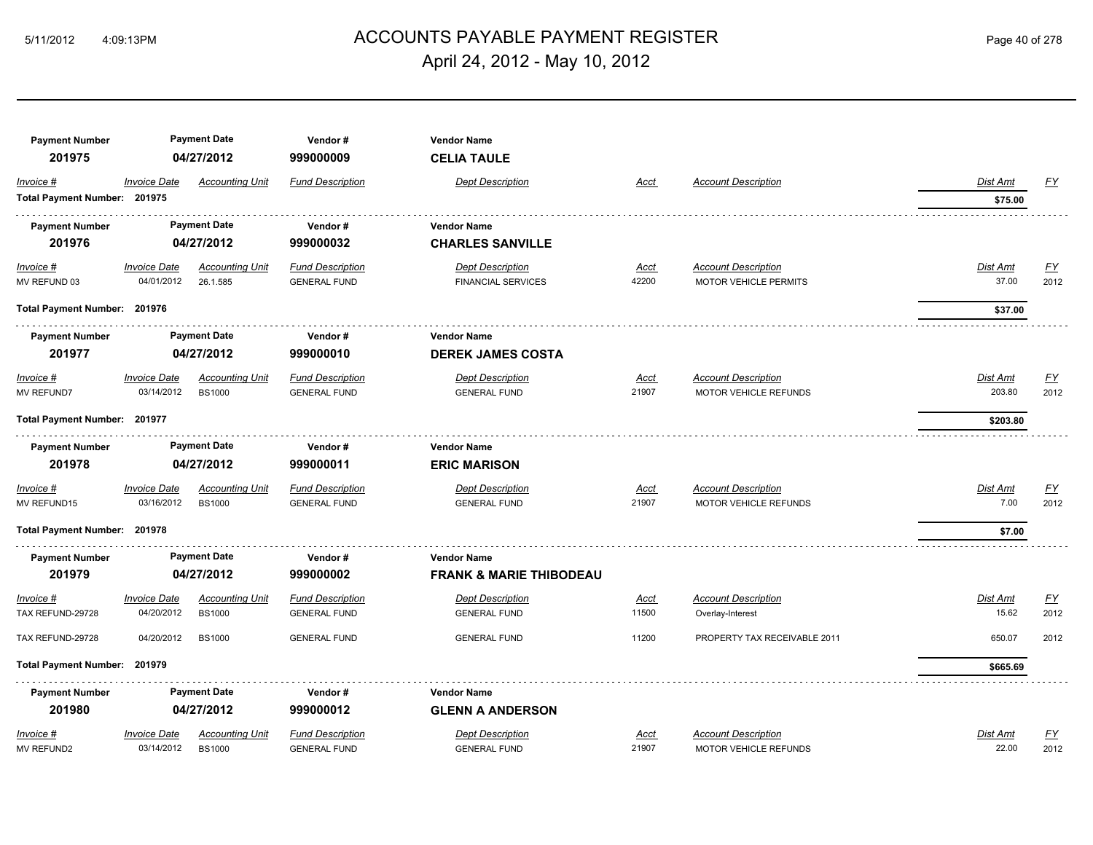# ACCOUNTS PAYABLE PAYMENT REGISTER 5/11/2012 4:09:13PM Page 40 of 278 April 24, 2012 - May 10, 2012

| <b>Payment Number</b>        |                     | <b>Payment Date</b>    | Vendor#                 | <b>Vendor Name</b>                 |             |                              |                 |                  |
|------------------------------|---------------------|------------------------|-------------------------|------------------------------------|-------------|------------------------------|-----------------|------------------|
| 201975                       |                     | 04/27/2012             | 999000009               | <b>CELIA TAULE</b>                 |             |                              |                 |                  |
| Invoice #                    | <b>Invoice Date</b> | <b>Accounting Unit</b> | <b>Fund Description</b> | <b>Dept Description</b>            | <b>Acct</b> | <b>Account Description</b>   | Dist Amt        | <u>FY</u>        |
| Total Payment Number: 201975 |                     |                        |                         |                                    |             |                              | \$75.00         |                  |
| <b>Payment Number</b>        |                     | <b>Payment Date</b>    | Vendor#                 | <b>Vendor Name</b>                 |             |                              |                 |                  |
| 201976                       |                     | 04/27/2012             | 999000032               | <b>CHARLES SANVILLE</b>            |             |                              |                 |                  |
| $Invoice$ #                  | <b>Invoice Date</b> | <b>Accounting Unit</b> | <b>Fund Description</b> | <b>Dept Description</b>            | <u>Acct</u> | <b>Account Description</b>   | <b>Dist Amt</b> | <u>FY</u>        |
| MV REFUND 03                 | 04/01/2012          | 26.1.585               | <b>GENERAL FUND</b>     | <b>FINANCIAL SERVICES</b>          | 42200       | <b>MOTOR VEHICLE PERMITS</b> | 37.00           | 2012             |
| Total Payment Number: 201976 |                     |                        |                         |                                    |             |                              | \$37.00         |                  |
| <b>Payment Number</b>        |                     | <b>Payment Date</b>    | Vendor#                 | <b>Vendor Name</b>                 |             |                              |                 |                  |
| 201977                       |                     | 04/27/2012             | 999000010               | <b>DEREK JAMES COSTA</b>           |             |                              |                 |                  |
| Invoice #                    | <b>Invoice Date</b> | <b>Accounting Unit</b> | <b>Fund Description</b> | <b>Dept Description</b>            | <u>Acct</u> | <b>Account Description</b>   | Dist Amt        | $\underline{FY}$ |
| MV REFUND7                   | 03/14/2012          | <b>BS1000</b>          | <b>GENERAL FUND</b>     | <b>GENERAL FUND</b>                | 21907       | MOTOR VEHICLE REFUNDS        | 203.80          | 2012             |
| Total Payment Number: 201977 |                     |                        |                         |                                    |             |                              | \$203.80        |                  |
| <b>Payment Number</b>        |                     | <b>Payment Date</b>    | Vendor#                 | <b>Vendor Name</b>                 |             |                              |                 |                  |
| 201978                       |                     | 04/27/2012             | 999000011               | <b>ERIC MARISON</b>                |             |                              |                 |                  |
| Invoice #                    | <b>Invoice Date</b> | <b>Accounting Unit</b> | <b>Fund Description</b> | <b>Dept Description</b>            | <u>Acct</u> | <b>Account Description</b>   | <b>Dist Amt</b> | $\underline{FY}$ |
| MV REFUND15                  | 03/16/2012          | <b>BS1000</b>          | <b>GENERAL FUND</b>     | <b>GENERAL FUND</b>                | 21907       | MOTOR VEHICLE REFUNDS        | 7.00            | 2012             |
| Total Payment Number: 201978 |                     |                        |                         |                                    |             |                              | \$7.00          |                  |
| <b>Payment Number</b>        |                     | <b>Payment Date</b>    | Vendor#                 | <b>Vendor Name</b>                 |             |                              |                 |                  |
| 201979                       |                     | 04/27/2012             | 999000002               | <b>FRANK &amp; MARIE THIBODEAU</b> |             |                              |                 |                  |
| Invoice #                    | <b>Invoice Date</b> | <b>Accounting Unit</b> | <b>Fund Description</b> | <b>Dept Description</b>            | <u>Acct</u> | <b>Account Description</b>   | Dist Amt        | $\underline{FY}$ |
| TAX REFUND-29728             | 04/20/2012          | <b>BS1000</b>          | <b>GENERAL FUND</b>     | <b>GENERAL FUND</b>                | 11500       | Overlay-Interest             | 15.62           | 2012             |
| TAX REFUND-29728             | 04/20/2012          | <b>BS1000</b>          | <b>GENERAL FUND</b>     | <b>GENERAL FUND</b>                | 11200       | PROPERTY TAX RECEIVABLE 2011 | 650.07          | 2012             |
| <b>Total Payment Number:</b> | 201979              |                        |                         |                                    |             |                              | \$665.69        |                  |
| <b>Payment Number</b>        |                     | <b>Payment Date</b>    | Vendor#                 | <b>Vendor Name</b>                 |             |                              |                 |                  |
| 201980                       |                     | 04/27/2012             | 999000012               | <b>GLENN A ANDERSON</b>            |             |                              |                 |                  |
| Invoice #                    | <b>Invoice Date</b> | <b>Accounting Unit</b> | <b>Fund Description</b> | <b>Dept Description</b>            | <u>Acct</u> | <b>Account Description</b>   | <b>Dist Amt</b> | $\underline{FY}$ |
| <b>MV REFUND2</b>            | 03/14/2012          | <b>BS1000</b>          | <b>GENERAL FUND</b>     | <b>GENERAL FUND</b>                | 21907       | <b>MOTOR VEHICLE REFUNDS</b> | 22.00           | 2012             |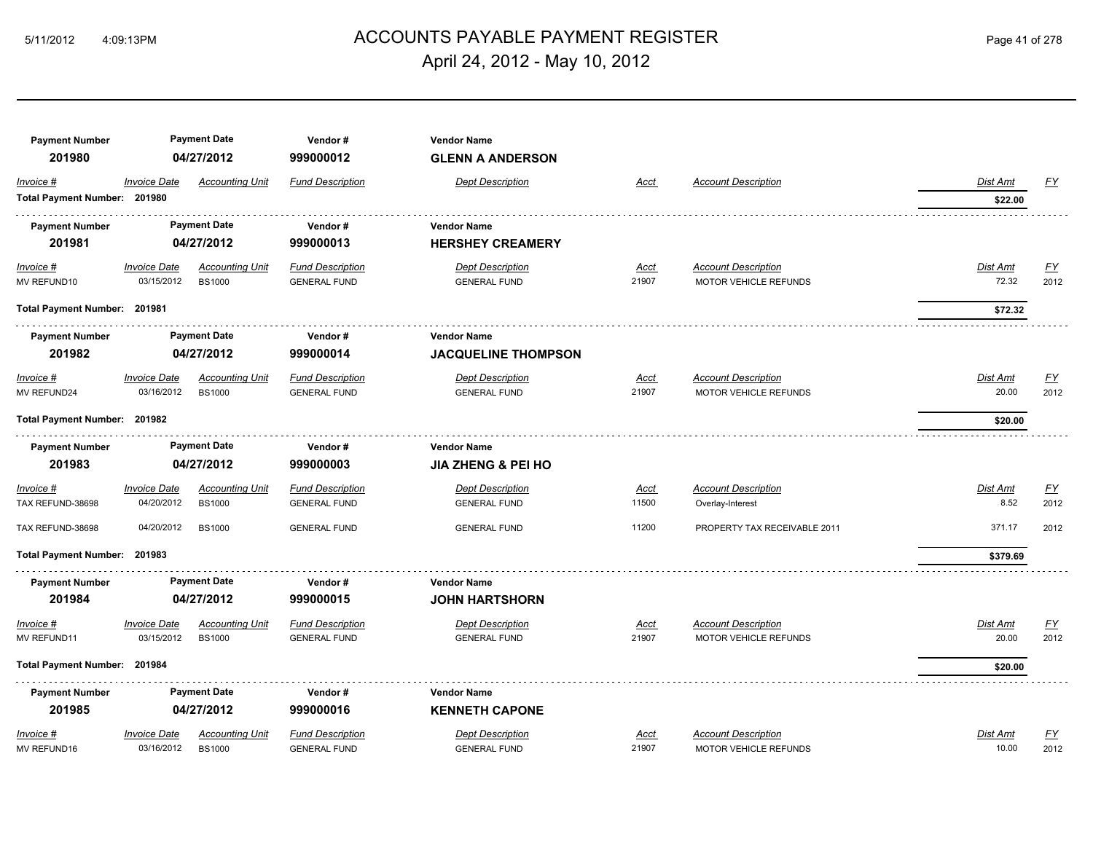# 5/11/2012 4:09:13PM ACCOUNTS PAYABLE PAYMENT REGISTER Page 41 of 278 April 24, 2012 - May 10, 2012

| <b>Payment Number</b>        |                     | <b>Payment Date</b>    | Vendor#                 | <b>Vendor Name</b>            |             |                              |                 |                  |
|------------------------------|---------------------|------------------------|-------------------------|-------------------------------|-------------|------------------------------|-----------------|------------------|
| 201980                       |                     | 04/27/2012             | 999000012               | <b>GLENN A ANDERSON</b>       |             |                              |                 |                  |
| Invoice #                    | <b>Invoice Date</b> | <b>Accounting Unit</b> | <b>Fund Description</b> | <b>Dept Description</b>       | Acct        | <b>Account Description</b>   | <b>Dist Amt</b> | <u>FY</u>        |
| Total Payment Number: 201980 |                     |                        |                         |                               |             |                              | \$22.00         |                  |
| <b>Payment Number</b>        |                     | <b>Payment Date</b>    | Vendor#                 | <b>Vendor Name</b>            |             |                              |                 |                  |
| 201981                       |                     | 04/27/2012             | 999000013               | <b>HERSHEY CREAMERY</b>       |             |                              |                 |                  |
| $Invoice$ #                  | <b>Invoice Date</b> | <b>Accounting Unit</b> | <b>Fund Description</b> | <b>Dept Description</b>       | <u>Acct</u> | <b>Account Description</b>   | <b>Dist Amt</b> | <u>FY</u>        |
| MV REFUND10                  | 03/15/2012          | <b>BS1000</b>          | <b>GENERAL FUND</b>     | <b>GENERAL FUND</b>           | 21907       | MOTOR VEHICLE REFUNDS        | 72.32           | 2012             |
| Total Payment Number: 201981 |                     |                        |                         |                               |             |                              | \$72.32         |                  |
| <b>Payment Number</b>        |                     | <b>Payment Date</b>    | Vendor#                 | <b>Vendor Name</b>            |             |                              |                 |                  |
| 201982                       |                     | 04/27/2012             | 999000014               | <b>JACQUELINE THOMPSON</b>    |             |                              |                 |                  |
| Invoice #                    | <b>Invoice Date</b> | <b>Accounting Unit</b> | <b>Fund Description</b> | <b>Dept Description</b>       | Acct        | <b>Account Description</b>   | <b>Dist Amt</b> | EY               |
| MV REFUND24                  | 03/16/2012          | <b>BS1000</b>          | <b>GENERAL FUND</b>     | <b>GENERAL FUND</b>           | 21907       | MOTOR VEHICLE REFUNDS        | 20.00           | 2012             |
| Total Payment Number: 201982 |                     |                        |                         |                               |             |                              | \$20.00         |                  |
| <b>Payment Number</b>        |                     | <b>Payment Date</b>    | Vendor#                 | <b>Vendor Name</b>            |             |                              |                 |                  |
| 201983                       |                     | 04/27/2012             | 999000003               | <b>JIA ZHENG &amp; PEI HO</b> |             |                              |                 |                  |
| Invoice #                    | <b>Invoice Date</b> | <b>Accounting Unit</b> | <b>Fund Description</b> | <b>Dept Description</b>       | <u>Acct</u> | <b>Account Description</b>   | Dist Amt        | <u>FY</u>        |
| TAX REFUND-38698             | 04/20/2012          | <b>BS1000</b>          | <b>GENERAL FUND</b>     | <b>GENERAL FUND</b>           | 11500       | Overlay-Interest             | 8.52            | 2012             |
| TAX REFUND-38698             | 04/20/2012          | <b>BS1000</b>          | <b>GENERAL FUND</b>     | <b>GENERAL FUND</b>           | 11200       | PROPERTY TAX RECEIVABLE 2011 | 371.17          | 2012             |
| Total Payment Number: 201983 |                     |                        |                         |                               |             |                              | \$379.69        |                  |
| <b>Payment Number</b>        |                     | <b>Payment Date</b>    | Vendor#                 | <b>Vendor Name</b>            |             |                              |                 |                  |
| 201984                       |                     | 04/27/2012             | 999000015               | <b>JOHN HARTSHORN</b>         |             |                              |                 |                  |
| Invoice #                    | <b>Invoice Date</b> | <b>Accounting Unit</b> | <b>Fund Description</b> | <b>Dept Description</b>       | Acct        | <b>Account Description</b>   | <b>Dist Amt</b> | <u>FY</u>        |
| MV REFUND11                  | 03/15/2012          | <b>BS1000</b>          | <b>GENERAL FUND</b>     | <b>GENERAL FUND</b>           | 21907       | MOTOR VEHICLE REFUNDS        | 20.00           | 2012             |
| Total Payment Number: 201984 |                     |                        |                         |                               |             |                              | \$20.00         |                  |
| <b>Payment Number</b>        |                     | <b>Payment Date</b>    | Vendor#                 | <b>Vendor Name</b>            |             |                              |                 |                  |
| 201985                       |                     | 04/27/2012             | 999000016               | <b>KENNETH CAPONE</b>         |             |                              |                 |                  |
| Invoice #                    | <b>Invoice Date</b> | <b>Accounting Unit</b> | <b>Fund Description</b> | <b>Dept Description</b>       | Acct        | <b>Account Description</b>   | <b>Dist Amt</b> | $\underline{FY}$ |
| MV REFUND16                  | 03/16/2012          | <b>BS1000</b>          | <b>GENERAL FUND</b>     | <b>GENERAL FUND</b>           | 21907       | <b>MOTOR VEHICLE REFUNDS</b> | 10.00           | 2012             |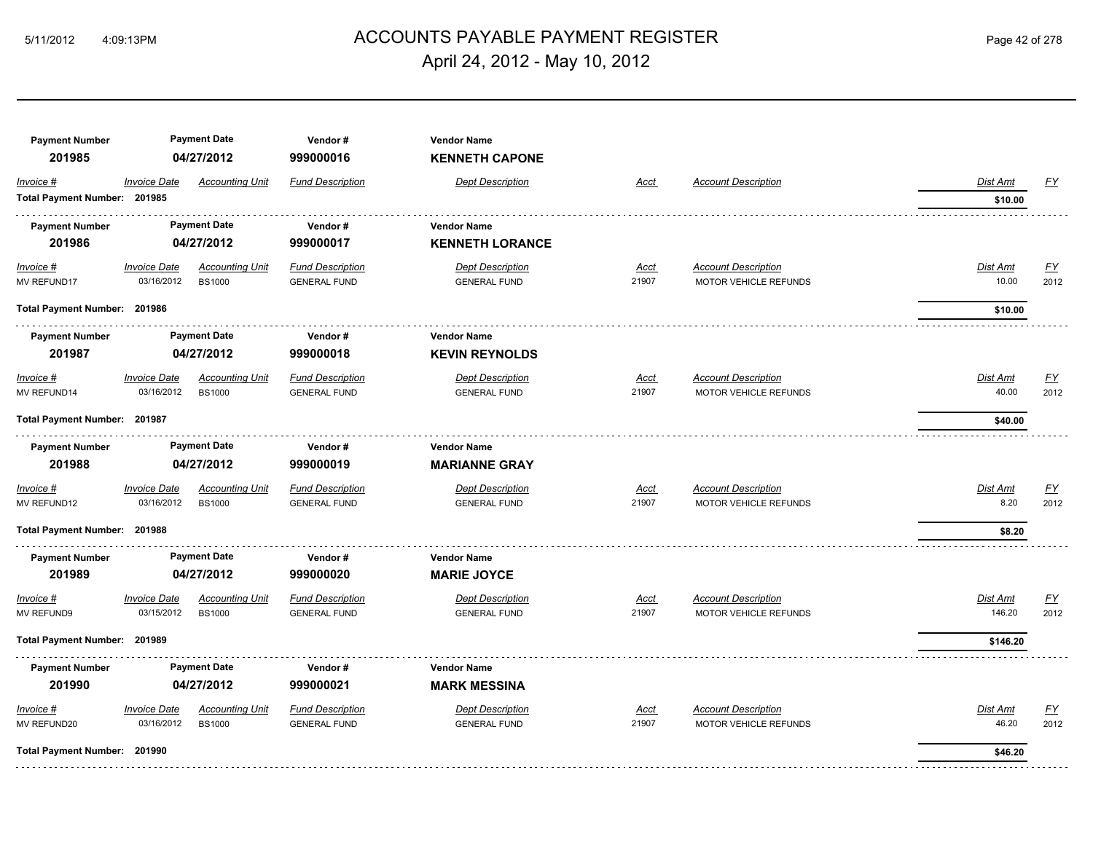# ACCOUNTS PAYABLE PAYMENT REGISTER 5/11/2012 4:09:13PM Page 42 of 278 April 24, 2012 - May 10, 2012

| <b>Payment Number</b><br>201985 | <b>Payment Date</b><br>04/27/2012 |                                         | Vendor#<br><b>Vendor Name</b><br>999000016<br><b>KENNETH CAPONE</b> |                                                |                      |                                                     |                          |                  |  |
|---------------------------------|-----------------------------------|-----------------------------------------|---------------------------------------------------------------------|------------------------------------------------|----------------------|-----------------------------------------------------|--------------------------|------------------|--|
| Invoice #                       | <b>Invoice Date</b>               | <b>Accounting Unit</b>                  | <b>Fund Description</b>                                             | <b>Dept Description</b>                        | Acct                 | <b>Account Description</b>                          | Dist Amt                 | <u>FY</u>        |  |
| Total Payment Number: 201985    |                                   |                                         |                                                                     |                                                |                      |                                                     | \$10.00                  |                  |  |
| <b>Payment Number</b><br>201986 |                                   | <b>Payment Date</b><br>04/27/2012       | Vendor#<br>999000017                                                | <b>Vendor Name</b>                             |                      |                                                     |                          |                  |  |
|                                 |                                   |                                         |                                                                     | <b>KENNETH LORANCE</b>                         |                      |                                                     |                          |                  |  |
| $Invoice$ #<br>MV REFUND17      | <b>Invoice Date</b><br>03/16/2012 | <b>Accounting Unit</b><br><b>BS1000</b> | <b>Fund Description</b><br><b>GENERAL FUND</b>                      | <b>Dept Description</b><br><b>GENERAL FUND</b> | <u>Acct</u><br>21907 | <b>Account Description</b><br>MOTOR VEHICLE REFUNDS | <b>Dist Amt</b><br>10.00 | EY<br>2012       |  |
|                                 | Total Payment Number: 201986      |                                         |                                                                     |                                                |                      |                                                     | \$10.00                  |                  |  |
| <b>Payment Number</b>           |                                   | <b>Payment Date</b>                     | Vendor#                                                             | <b>Vendor Name</b>                             |                      |                                                     |                          |                  |  |
| 201987                          |                                   | 04/27/2012                              | 999000018                                                           | <b>KEVIN REYNOLDS</b>                          |                      |                                                     |                          |                  |  |
| Invoice #                       | <b>Invoice Date</b>               | <b>Accounting Unit</b>                  | <b>Fund Description</b>                                             | <b>Dept Description</b>                        | Acct                 | <b>Account Description</b>                          | <b>Dist Amt</b>          | <u>FY</u>        |  |
| MV REFUND14                     | 03/16/2012                        | <b>BS1000</b>                           | <b>GENERAL FUND</b>                                                 | <b>GENERAL FUND</b>                            | 21907                | MOTOR VEHICLE REFUNDS                               | 40.00                    | 2012             |  |
| Total Payment Number: 201987    |                                   |                                         |                                                                     |                                                |                      |                                                     | \$40.00                  |                  |  |
| <b>Payment Number</b>           |                                   | <b>Payment Date</b>                     | Vendor#                                                             | <b>Vendor Name</b>                             |                      |                                                     |                          |                  |  |
| 201988                          |                                   | 04/27/2012                              | 999000019                                                           | <b>MARIANNE GRAY</b>                           |                      |                                                     |                          |                  |  |
| Invoice #                       | <b>Invoice Date</b>               | <b>Accounting Unit</b>                  | <b>Fund Description</b>                                             | <b>Dept Description</b>                        | Acct                 | <b>Account Description</b>                          | Dist Amt                 | $\underline{FY}$ |  |
| MV REFUND12                     | 03/16/2012                        | <b>BS1000</b>                           | <b>GENERAL FUND</b>                                                 | <b>GENERAL FUND</b>                            | 21907                | MOTOR VEHICLE REFUNDS                               | 8.20                     | 2012             |  |
| Total Payment Number: 201988    |                                   |                                         |                                                                     |                                                |                      |                                                     | \$8.20                   |                  |  |
| <b>Payment Number</b>           |                                   | <b>Payment Date</b>                     | Vendor#                                                             | <b>Vendor Name</b>                             |                      |                                                     |                          |                  |  |
| 201989                          |                                   | 04/27/2012                              | 999000020                                                           | <b>MARIE JOYCE</b>                             |                      |                                                     |                          |                  |  |
| Invoice #                       | <b>Invoice Date</b>               | <b>Accounting Unit</b>                  | <b>Fund Description</b>                                             | <b>Dept Description</b>                        | Acct                 | <b>Account Description</b>                          | <b>Dist Amt</b>          | <u>FY</u>        |  |
| MV REFUND9                      | 03/15/2012                        | <b>BS1000</b>                           | <b>GENERAL FUND</b>                                                 | <b>GENERAL FUND</b>                            | 21907                | MOTOR VEHICLE REFUNDS                               | 146.20                   | 2012             |  |
| Total Payment Number: 201989    |                                   |                                         |                                                                     |                                                |                      |                                                     | \$146.20                 |                  |  |
| <b>Payment Number</b>           |                                   | <b>Payment Date</b>                     | Vendor#                                                             | <b>Vendor Name</b>                             |                      |                                                     |                          |                  |  |
| 201990                          |                                   | 04/27/2012                              | 999000021                                                           | <b>MARK MESSINA</b>                            |                      |                                                     |                          |                  |  |
| Invoice #                       | <b>Invoice Date</b>               | <b>Accounting Unit</b>                  | <b>Fund Description</b>                                             | <b>Dept Description</b>                        | Acct                 | <b>Account Description</b>                          | Dist Amt                 | <u>FY</u>        |  |
| MV REFUND20                     | 03/16/2012                        | <b>BS1000</b>                           | <b>GENERAL FUND</b>                                                 | <b>GENERAL FUND</b>                            | 21907                | MOTOR VEHICLE REFUNDS                               | 46.20                    | 2012             |  |
| Total Payment Number: 201990    |                                   |                                         |                                                                     |                                                |                      |                                                     | \$46.20                  |                  |  |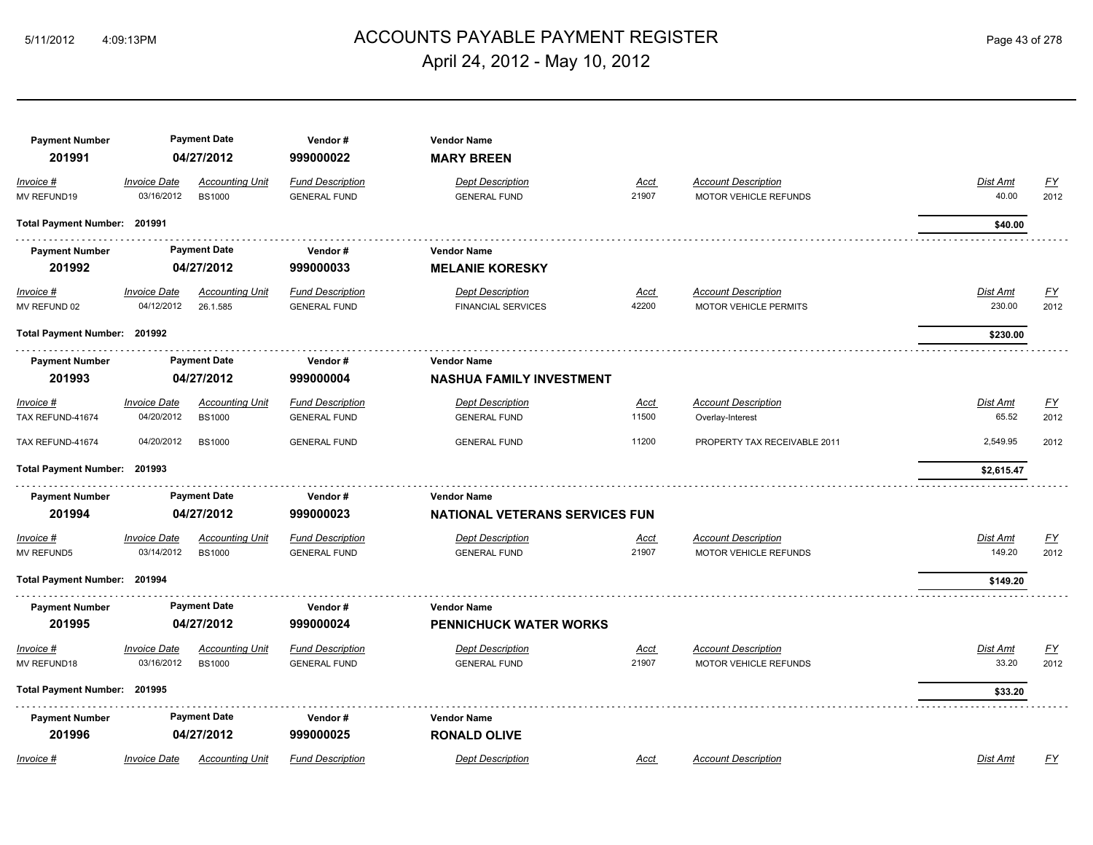# ACCOUNTS PAYABLE PAYMENT REGISTER 5/11/2012 4:09:13PM Page 43 of 278 April 24, 2012 - May 10, 2012

| <b>Payment Number</b>        |                              | <b>Payment Date</b>    | Vendor#                 | <b>Vendor Name</b>                    |             |                              |                 |           |
|------------------------------|------------------------------|------------------------|-------------------------|---------------------------------------|-------------|------------------------------|-----------------|-----------|
| 201991                       |                              | 04/27/2012             | 999000022               | <b>MARY BREEN</b>                     |             |                              |                 |           |
| Invoice #                    | <b>Invoice Date</b>          | <b>Accounting Unit</b> | <b>Fund Description</b> | <b>Dept Description</b>               | <b>Acct</b> | <b>Account Description</b>   | Dist Amt        | <u>FY</u> |
| MV REFUND19                  | 03/16/2012                   | <b>BS1000</b>          | <b>GENERAL FUND</b>     | <b>GENERAL FUND</b>                   | 21907       | MOTOR VEHICLE REFUNDS        | 40.00           | 2012      |
| Total Payment Number: 201991 |                              |                        |                         |                                       |             |                              | \$40.00         |           |
| <b>Payment Number</b>        |                              | <b>Payment Date</b>    | Vendor#                 | <b>Vendor Name</b>                    |             |                              |                 |           |
| 201992                       |                              | 04/27/2012             | 999000033               | <b>MELANIE KORESKY</b>                |             |                              |                 |           |
| Invoice #                    | <b>Invoice Date</b>          | <b>Accounting Unit</b> | <b>Fund Description</b> | <b>Dept Description</b>               | <u>Acct</u> | <b>Account Description</b>   | Dist Amt        | <u>FY</u> |
| MV REFUND 02                 | 04/12/2012                   | 26.1.585               | <b>GENERAL FUND</b>     | <b>FINANCIAL SERVICES</b>             | 42200       | <b>MOTOR VEHICLE PERMITS</b> | 230.00          | 2012      |
| Total Payment Number: 201992 |                              |                        |                         |                                       |             |                              | \$230.00        |           |
| <b>Payment Number</b>        |                              | <b>Payment Date</b>    | Vendor#                 | <b>Vendor Name</b>                    |             |                              |                 |           |
| 201993                       | 04/27/2012                   |                        | 999000004               | <b>NASHUA FAMILY INVESTMENT</b>       |             |                              |                 |           |
| Invoice #                    | <b>Invoice Date</b>          | <b>Accounting Unit</b> | <b>Fund Description</b> | <b>Dept Description</b>               | <u>Acct</u> | <b>Account Description</b>   | Dist Amt        | <u>FY</u> |
| TAX REFUND-41674             | 04/20/2012                   | <b>BS1000</b>          | <b>GENERAL FUND</b>     | <b>GENERAL FUND</b>                   | 11500       | Overlay-Interest             | 65.52           | 2012      |
| TAX REFUND-41674             | 04/20/2012                   | <b>BS1000</b>          | <b>GENERAL FUND</b>     | <b>GENERAL FUND</b>                   | 11200       | PROPERTY TAX RECEIVABLE 2011 | 2,549.95        | 2012      |
| Total Payment Number: 201993 |                              |                        |                         |                                       |             |                              | \$2,615.47      |           |
| <b>Payment Number</b>        |                              | <b>Payment Date</b>    | Vendor#                 | <b>Vendor Name</b>                    |             |                              |                 |           |
| 201994                       |                              | 04/27/2012             | 999000023               | <b>NATIONAL VETERANS SERVICES FUN</b> |             |                              |                 |           |
| Invoice #                    | <b>Invoice Date</b>          | <b>Accounting Unit</b> | <b>Fund Description</b> | <b>Dept Description</b>               | Acct        | <b>Account Description</b>   | Dist Amt        | <u>FY</u> |
| <b>MV REFUND5</b>            | 03/14/2012                   | <b>BS1000</b>          | <b>GENERAL FUND</b>     | <b>GENERAL FUND</b>                   | 21907       | MOTOR VEHICLE REFUNDS        | 149.20          | 2012      |
| Total Payment Number: 201994 |                              |                        |                         |                                       |             |                              | \$149.20        |           |
| <b>Payment Number</b>        |                              | <b>Payment Date</b>    | Vendor#                 | <b>Vendor Name</b>                    |             |                              |                 |           |
| 201995                       |                              | 04/27/2012             | 999000024               | <b>PENNICHUCK WATER WORKS</b>         |             |                              |                 |           |
| Invoice #                    | <b>Invoice Date</b>          | <b>Accounting Unit</b> | <b>Fund Description</b> | <b>Dept Description</b>               | <u>Acct</u> | <b>Account Description</b>   | <b>Dist Amt</b> | <u>FY</u> |
| MV REFUND18                  | 03/16/2012                   | <b>BS1000</b>          | <b>GENERAL FUND</b>     | <b>GENERAL FUND</b>                   | 21907       | MOTOR VEHICLE REFUNDS        | 33.20           | 2012      |
|                              | Total Payment Number: 201995 |                        |                         |                                       |             |                              | \$33.20         |           |
| <b>Payment Number</b>        |                              | <b>Payment Date</b>    | Vendor#                 | <b>Vendor Name</b>                    |             |                              |                 |           |
| 201996                       |                              | 04/27/2012             | 999000025               | <b>RONALD OLIVE</b>                   |             |                              |                 |           |
| Invoice #                    | <b>Invoice Date</b>          | <b>Accounting Unit</b> | <b>Fund Description</b> | <b>Dept Description</b>               | Acct        | <b>Account Description</b>   | Dist Amt        | FY        |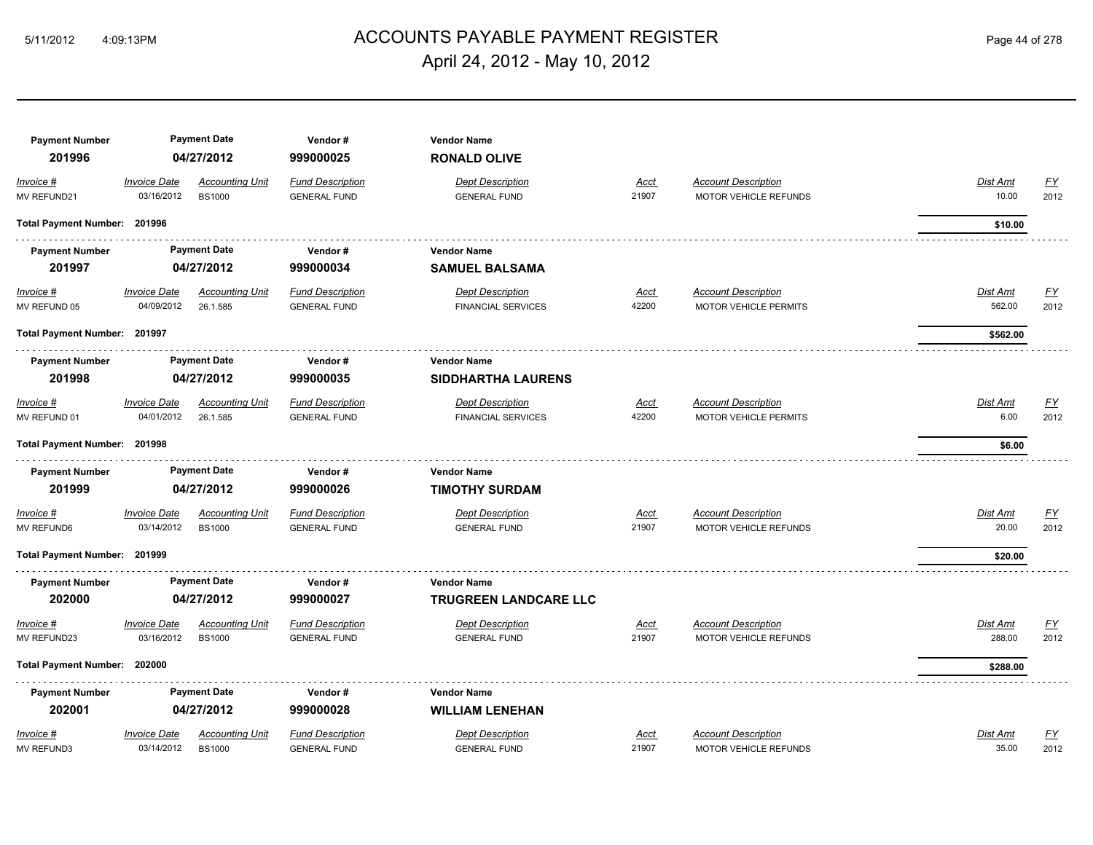# 5/11/2012 4:09:13PM ACCOUNTS PAYABLE PAYMENT REGISTER Page 44 of 278 April 24, 2012 - May 10, 2012

| <b>Payment Number</b>        |                     | <b>Payment Date</b>    | Vendor#                 | <b>Vendor Name</b>        |             |                              |                 |                  |
|------------------------------|---------------------|------------------------|-------------------------|---------------------------|-------------|------------------------------|-----------------|------------------|
| 201996                       |                     | 04/27/2012             | 999000025               | <b>RONALD OLIVE</b>       |             |                              |                 |                  |
| $Invoice$ #                  | <b>Invoice Date</b> | <b>Accounting Unit</b> | <b>Fund Description</b> | <b>Dept Description</b>   | Acct        | <b>Account Description</b>   | Dist Amt        | $\underline{FY}$ |
| MV REFUND21                  | 03/16/2012          | <b>BS1000</b>          | <b>GENERAL FUND</b>     | <b>GENERAL FUND</b>       | 21907       | <b>MOTOR VEHICLE REFUNDS</b> | 10.00           | 2012             |
| <b>Total Payment Number:</b> | 201996              |                        |                         |                           |             |                              | \$10.00         |                  |
| <b>Payment Number</b>        |                     | <b>Payment Date</b>    | Vendor#                 | <b>Vendor Name</b>        |             |                              |                 |                  |
| 201997                       |                     | 04/27/2012             | 999000034               | <b>SAMUEL BALSAMA</b>     |             |                              |                 |                  |
| $Invoice$ #                  | <b>Invoice Date</b> | <b>Accounting Unit</b> | <b>Fund Description</b> | <b>Dept Description</b>   | <b>Acct</b> | <b>Account Description</b>   | <b>Dist Amt</b> | <u>FY</u>        |
| MV REFUND 05                 | 04/09/2012          | 26.1.585               | <b>GENERAL FUND</b>     | <b>FINANCIAL SERVICES</b> | 42200       | <b>MOTOR VEHICLE PERMITS</b> | 562.00          | 2012             |
| Total Payment Number: 201997 |                     |                        |                         |                           |             |                              | \$562.00        |                  |
| <b>Payment Number</b>        |                     | <b>Payment Date</b>    | Vendor#                 | <b>Vendor Name</b>        |             |                              |                 |                  |
| 201998                       |                     | 04/27/2012             | 999000035               | <b>SIDDHARTHA LAURENS</b> |             |                              |                 |                  |
| Invoice #                    | <b>Invoice Date</b> | <b>Accounting Unit</b> | <b>Fund Description</b> | <b>Dept Description</b>   | <b>Acct</b> | <b>Account Description</b>   | Dist Amt        | <u>FY</u>        |
| MV REFUND 01                 | 04/01/2012          | 26.1.585               | <b>GENERAL FUND</b>     | <b>FINANCIAL SERVICES</b> | 42200       | <b>MOTOR VEHICLE PERMITS</b> | 6.00            | 2012             |
| <b>Total Payment Number:</b> | 201998              |                        |                         |                           |             |                              | \$6.00          |                  |
| <b>Payment Number</b>        |                     | <b>Payment Date</b>    | Vendor#                 | <b>Vendor Name</b>        |             |                              |                 |                  |
| 201999                       |                     | 04/27/2012             | 999000026               | <b>TIMOTHY SURDAM</b>     |             |                              |                 |                  |
| Invoice #                    | <b>Invoice Date</b> | <b>Accounting Unit</b> | <b>Fund Description</b> | <b>Dept Description</b>   | <b>Acct</b> | <b>Account Description</b>   | Dist Amt        | <u>FY</u>        |
| <b>MV REFUND6</b>            | 03/14/2012          | <b>BS1000</b>          | <b>GENERAL FUND</b>     | <b>GENERAL FUND</b>       | 21907       | MOTOR VEHICLE REFUNDS        | 20.00           | 2012             |
| Total Payment Number: 201999 |                     |                        |                         |                           |             |                              | \$20.00         |                  |
| <b>Payment Number</b>        |                     | <b>Payment Date</b>    | Vendor#                 | <b>Vendor Name</b>        |             |                              |                 |                  |
| 202000                       |                     | 04/27/2012             | 999000027               | TRUGREEN LANDCARE LLC     |             |                              |                 |                  |
| Invoice #                    | <b>Invoice Date</b> | <b>Accounting Unit</b> | <b>Fund Description</b> | <b>Dept Description</b>   | Acct        | <b>Account Description</b>   | Dist Amt        | <u>FY</u>        |
| MV REFUND23                  | 03/16/2012          | <b>BS1000</b>          | <b>GENERAL FUND</b>     | <b>GENERAL FUND</b>       | 21907       | MOTOR VEHICLE REFUNDS        | 288.00          | 2012             |
| Total Payment Number: 202000 |                     |                        |                         |                           |             |                              | \$288.00        |                  |
| <b>Payment Number</b>        |                     | <b>Payment Date</b>    | Vendor#                 | <b>Vendor Name</b>        |             |                              |                 |                  |
| 202001                       |                     | 04/27/2012             | 999000028               | <b>WILLIAM LENEHAN</b>    |             |                              |                 |                  |
| Invoice #                    | <b>Invoice Date</b> | <b>Accounting Unit</b> | <b>Fund Description</b> | <b>Dept Description</b>   | <b>Acct</b> | <b>Account Description</b>   | Dist Amt        | EY               |
| <b>MV REFUND3</b>            | 03/14/2012          | <b>BS1000</b>          | <b>GENERAL FUND</b>     | <b>GENERAL FUND</b>       | 21907       | MOTOR VEHICLE REFUNDS        | 35.00           | 2012             |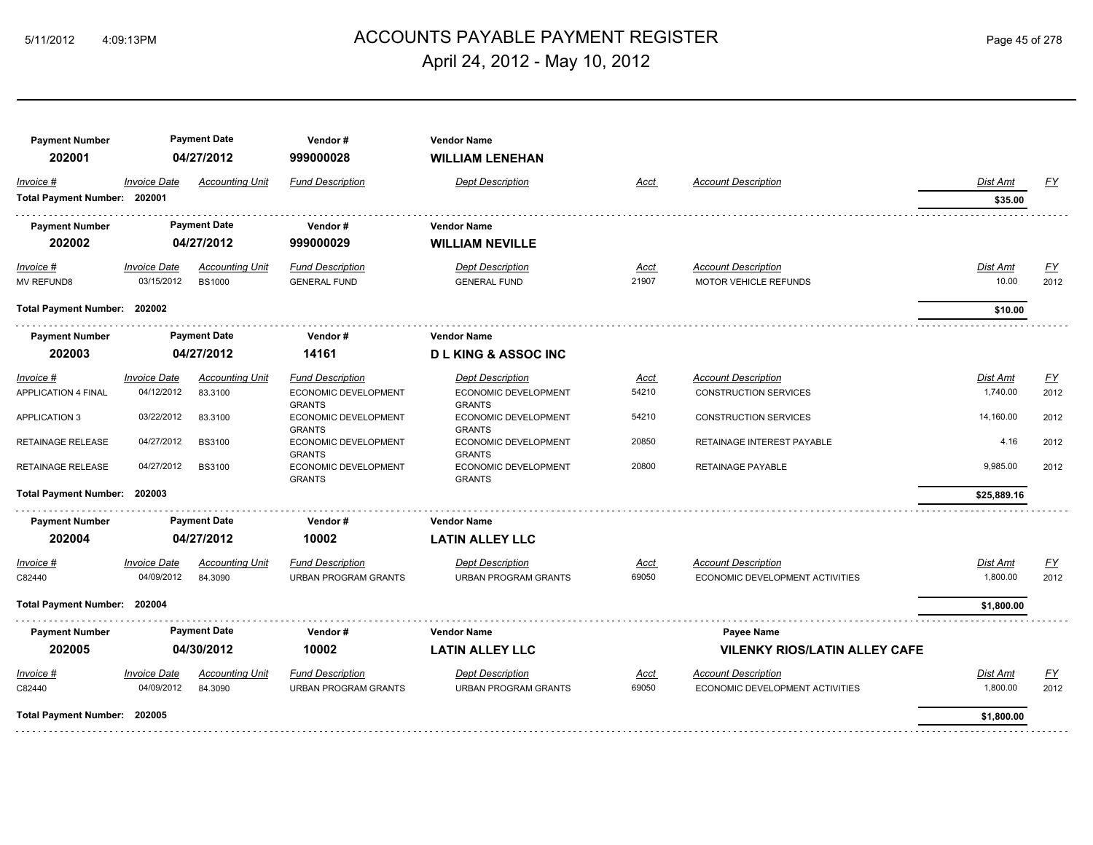# ACCOUNTS PAYABLE PAYMENT REGISTER 5/11/2012 4:09:13PM Page 45 of 278 April 24, 2012 - May 10, 2012

| <b>Payment Number</b>        |                     | <b>Payment Date</b>    | Vendor#                                      | <b>Vendor Name</b>                           |             |                                      |                 |                  |
|------------------------------|---------------------|------------------------|----------------------------------------------|----------------------------------------------|-------------|--------------------------------------|-----------------|------------------|
| 202001                       |                     | 04/27/2012             | 999000028                                    | <b>WILLIAM LENEHAN</b>                       |             |                                      |                 |                  |
| Invoice #                    | <b>Invoice Date</b> | <b>Accounting Unit</b> | <b>Fund Description</b>                      | <b>Dept Description</b>                      | Acct        | <b>Account Description</b>           | Dist Amt        | <u>FY</u>        |
| Total Payment Number: 202001 |                     |                        |                                              |                                              |             |                                      | \$35.00         |                  |
| <b>Payment Number</b>        |                     | <b>Payment Date</b>    | Vendor#                                      | <b>Vendor Name</b>                           |             |                                      |                 |                  |
| 202002                       |                     | 04/27/2012             | 999000029                                    | <b>WILLIAM NEVILLE</b>                       |             |                                      |                 |                  |
| $Invoice$ #                  | <b>Invoice Date</b> | <b>Accounting Unit</b> | <b>Fund Description</b>                      | <b>Dept Description</b>                      | <u>Acct</u> | <b>Account Description</b>           | <u>Dist Amt</u> | <u>FY</u>        |
| <b>MV REFUND8</b>            | 03/15/2012          | <b>BS1000</b>          | <b>GENERAL FUND</b>                          | <b>GENERAL FUND</b>                          | 21907       | <b>MOTOR VEHICLE REFUNDS</b>         | 10.00           | 2012             |
| Total Payment Number: 202002 |                     |                        |                                              |                                              |             |                                      | \$10.00         |                  |
| <b>Payment Number</b>        |                     | <b>Payment Date</b>    | Vendor#                                      | <b>Vendor Name</b>                           |             |                                      |                 |                  |
| 202003                       |                     | 04/27/2012             | 14161                                        | <b>DLKING &amp; ASSOCING</b>                 |             |                                      |                 |                  |
| Invoice #                    | <b>Invoice Date</b> | <b>Accounting Unit</b> | <b>Fund Description</b>                      | <b>Dept Description</b>                      | <u>Acct</u> | <b>Account Description</b>           | Dist Amt        | $\underline{FY}$ |
| <b>APPLICATION 4 FINAL</b>   | 04/12/2012          | 83,3100                | <b>ECONOMIC DEVELOPMENT</b><br><b>GRANTS</b> | <b>ECONOMIC DEVELOPMENT</b><br><b>GRANTS</b> | 54210       | <b>CONSTRUCTION SERVICES</b>         | 1,740.00        | 2012             |
| <b>APPLICATION 3</b>         | 03/22/2012          | 83.3100                | ECONOMIC DEVELOPMENT<br><b>GRANTS</b>        | ECONOMIC DEVELOPMENT<br><b>GRANTS</b>        | 54210       | <b>CONSTRUCTION SERVICES</b>         | 14,160.00       | 2012             |
| RETAINAGE RELEASE            | 04/27/2012          | <b>BS3100</b>          | ECONOMIC DEVELOPMENT<br><b>GRANTS</b>        | ECONOMIC DEVELOPMENT<br><b>GRANTS</b>        | 20850       | RETAINAGE INTEREST PAYABLE           | 4.16            | 2012             |
| <b>RETAINAGE RELEASE</b>     | 04/27/2012          | <b>BS3100</b>          | ECONOMIC DEVELOPMENT<br><b>GRANTS</b>        | ECONOMIC DEVELOPMENT<br><b>GRANTS</b>        | 20800       | RETAINAGE PAYABLE                    | 9,985.00        | 2012             |
| <b>Total Payment Number:</b> | 202003              |                        |                                              |                                              |             |                                      | \$25,889.16     |                  |
| <b>Payment Number</b>        |                     | <b>Payment Date</b>    | Vendor#                                      | <b>Vendor Name</b>                           |             |                                      |                 |                  |
| 202004                       |                     | 04/27/2012             | 10002                                        | <b>LATIN ALLEY LLC</b>                       |             |                                      |                 |                  |
| Invoice #                    | <b>Invoice Date</b> | <b>Accounting Unit</b> | <b>Fund Description</b>                      | Dept Description                             | Acct        | <b>Account Description</b>           | Dist Amt        | <u>FY</u>        |
| C82440                       | 04/09/2012          | 84.3090                | <b>URBAN PROGRAM GRANTS</b>                  | <b>URBAN PROGRAM GRANTS</b>                  | 69050       | ECONOMIC DEVELOPMENT ACTIVITIES      | 1,800.00        | 2012             |
| Total Payment Number: 202004 |                     |                        |                                              |                                              |             |                                      | \$1,800.00      |                  |
| <b>Payment Number</b>        |                     | <b>Payment Date</b>    | Vendor#                                      | <b>Vendor Name</b>                           |             | Payee Name                           |                 |                  |
| 202005                       |                     | 04/30/2012             | 10002                                        | <b>LATIN ALLEY LLC</b>                       |             | <b>VILENKY RIOS/LATIN ALLEY CAFE</b> |                 |                  |
| Invoice #                    | <b>Invoice Date</b> | <b>Accounting Unit</b> | <b>Fund Description</b>                      | <b>Dept Description</b>                      | Acct        | <b>Account Description</b>           | Dist Amt        | EY               |
| C82440                       | 04/09/2012          | 84.3090                | <b>URBAN PROGRAM GRANTS</b>                  | <b>URBAN PROGRAM GRANTS</b>                  | 69050       | ECONOMIC DEVELOPMENT ACTIVITIES      | 1,800.00        | 2012             |
| Total Payment Number: 202005 |                     |                        |                                              |                                              |             |                                      | \$1,800.00      |                  |
|                              |                     |                        |                                              |                                              |             |                                      |                 |                  |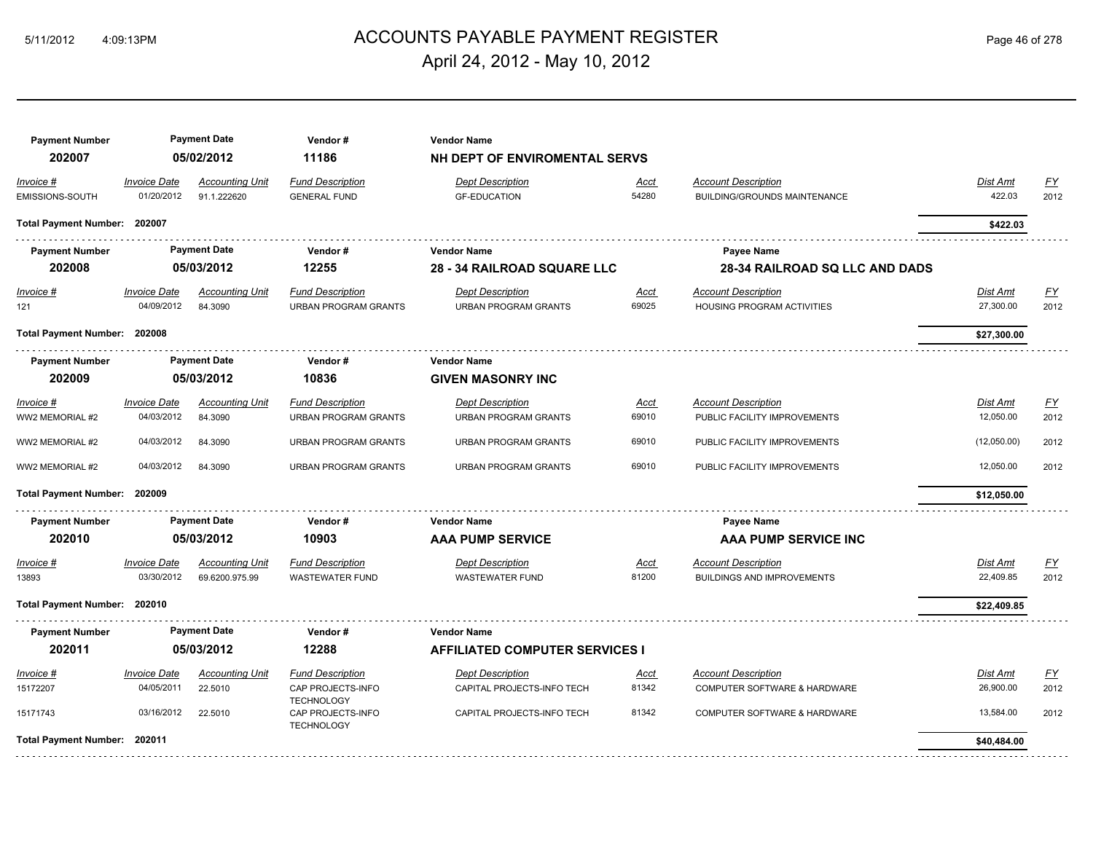## ACCOUNTS PAYABLE PAYMENT REGISTER 5/11/2012 4:09:13PM Page 46 of 278 April 24, 2012 - May 10, 2012

**Payment Number Payment Date Vendor # Vendor Name 202007 05/02/2012 11186 NH DEPT OF ENVIROMENTAL SERVS** *Invoice # Invoice Date Accounting Unit Fund Description Dept Description Acct Account Description Dist Amt FY* EMISSIONS-SOUTH 01/20/2012 91.1.222620 GENERAL FUND GF-EDUCATION 54280 BUILDING/GROUNDS MAINTENANCE 422.03 2012 **Total Payment Number: 202007 \$422.03**  . . . . . . . **Payment Number Payment Date Vendor # Vendor Name Payee Name 202008 05/03/2012 12255 28 - 34 RAILROAD SQUARE LLC 28-34 RAILROAD SQ LLC AND DADS** *Invoice # Invoice Date Accounting Unit Fund Description Dept Description Acct Account Description Dist Amt FY* 121 04/09/2012 84.3090 URBAN PROGRAM GRANTS URBAN PROGRAM GRANTS 69025 HOUSING PROGRAM ACTIVITIES 27,300.00 2012 **Total Payment Number: 202008 \$27,300.00**  \_<del>\_\_\_\_\_\_\_\_\_\_\_\_\_\_\_\_\_\_\_\_</del>\_\_\_\_\_\_\_ **Payment Number Payment Date Vendor # Vendor Name 202009 05/03/2012 10836 GIVEN MASONRY INC** *Invoice # Invoice Date Accounting Unit Fund Description Dept Description Acct Account Description Dist Amt FY* WW2 MEMORIAL #2 04/03/2012 84.3090 URBAN PROGRAM GRANTS URBAN PROGRAM GRANTS 69010 PUBLIC FACILITY IMPROVEMENTS 12,050.00 2012 WW2 MEMORIAL #2 04/03/2012 84.3090 URBAN PROGRAM GRANTS URBAN PROGRAM GRANTS 69010 PUBLIC FACILITY IMPROVEMENTS (12,050.00) 2012 WW2 MEMORIAL #2 04/03/2012 84.3090 URBAN PROGRAM GRANTS URBAN PROGRAM GRANTS 69010 PUBLIC FACILITY IMPROVEMENTS 12,050.00 2012 **Total Payment Number: 202009 \$12,050.00 Payment Number Payment Date Vendor # Vendor Name Payee Name 202010 05/03/2012 10903 AAA PUMP SERVICE AAA PUMP SERVICE INC** *Invoice # Invoice Date Accounting Unit Fund Description Dept Description Acct Account Description Dist Amt FY* 13893 03/30/2012 69.6200.975.99 WASTEWATER FUND WASTEWATER FUND 81200 BUILDINGS AND IMPROVEMENTS 22,409.85 2012 **Total Payment Number: 202010 \$22,409.85 Payment Number Payment Date Vendor # Vendor Name 202011 05/03/2012 12288 AFFILIATED COMPUTER SERVICES I** *Invoice # Invoice Date Accounting Unit Fund Description Dept Description Acct Account Description Dist Amt FY* 15172207 04/05/2011 22.5010 CAP PROJECTS-INFO 26,900.00 2012 CAPITAL PROJECTS-INFO TECH 81342 COMPUTER SOFTWARE & HARDWARE **TECHNOLOGY** 15171743 03/16/2012 22.5010 CAP PROJECTS-INFO 13,584.00 2012 CAPITAL PROJECTS-INFO TECH 81342 COMPUTER SOFTWARE & HARDWARE **TECHNOLOGY Total Payment Number: 202011 \$40,484.00**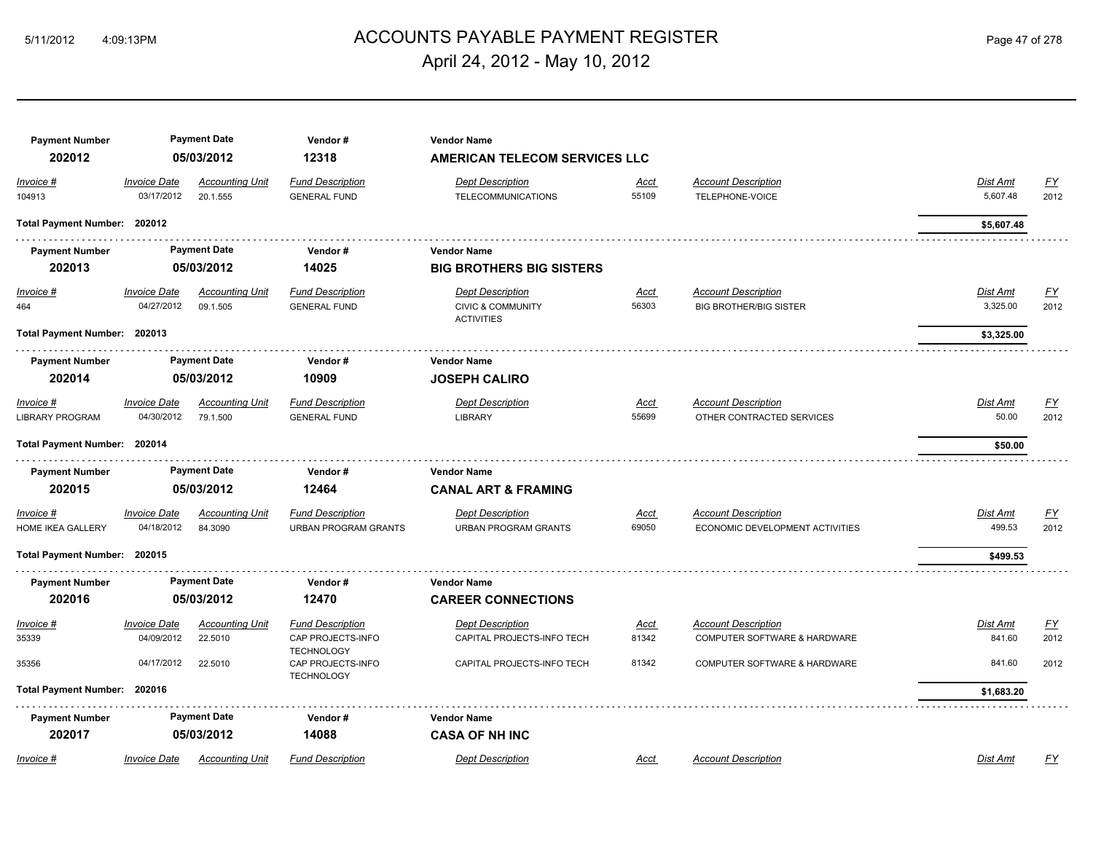# ACCOUNTS PAYABLE PAYMENT REGISTER 5/11/2012 4:09:13PM Page 47 of 278 April 24, 2012 - May 10, 2012

| <b>Payment Number</b><br>202012       |                                   | <b>Payment Date</b><br>05/03/2012  | Vendor#<br>12318                                       | <b>Vendor Name</b><br><b>AMERICAN TELECOM SERVICES LLC</b>                   |                      |                                                               |                             |                          |
|---------------------------------------|-----------------------------------|------------------------------------|--------------------------------------------------------|------------------------------------------------------------------------------|----------------------|---------------------------------------------------------------|-----------------------------|--------------------------|
| Invoice #                             | <b>Invoice Date</b>               | <b>Accounting Unit</b>             | <b>Fund Description</b>                                | <b>Dept Description</b>                                                      | Acct                 | <b>Account Description</b>                                    | Dist Amt                    | EY                       |
| 104913                                | 03/17/2012                        | 20.1.555                           | <b>GENERAL FUND</b>                                    | <b>TELECOMMUNICATIONS</b>                                                    | 55109                | TELEPHONE-VOICE                                               | 5,607.48                    | 2012                     |
| Total Payment Number: 202012          |                                   |                                    |                                                        |                                                                              |                      |                                                               | \$5,607.48                  |                          |
| <b>Payment Number</b>                 |                                   | <b>Payment Date</b>                | Vendor#                                                | <b>Vendor Name</b>                                                           |                      |                                                               |                             |                          |
| 202013                                |                                   | 05/03/2012                         | 14025                                                  | <b>BIG BROTHERS BIG SISTERS</b>                                              |                      |                                                               |                             |                          |
| $Invoice$ #<br>464                    | <b>Invoice Date</b><br>04/27/2012 | <b>Accounting Unit</b><br>09.1.505 | <b>Fund Description</b><br><b>GENERAL FUND</b>         | <b>Dept Description</b><br><b>CIVIC &amp; COMMUNITY</b><br><b>ACTIVITIES</b> | <u>Acct</u><br>56303 | <b>Account Description</b><br><b>BIG BROTHER/BIG SISTER</b>   | <b>Dist Amt</b><br>3,325.00 | <u>FY</u><br>2012        |
|                                       | Total Payment Number: 202013      |                                    |                                                        |                                                                              |                      |                                                               | \$3,325.00                  |                          |
| <b>Payment Number</b>                 | <b>Payment Date</b>               |                                    | Vendor#                                                | <b>Vendor Name</b>                                                           |                      |                                                               |                             |                          |
| 202014                                |                                   | 05/03/2012                         | 10909                                                  | <b>JOSEPH CALIRO</b>                                                         |                      |                                                               |                             |                          |
| Invoice #<br><b>LIBRARY PROGRAM</b>   | <b>Invoice Date</b><br>04/30/2012 | <b>Accounting Unit</b><br>79.1.500 | <b>Fund Description</b><br><b>GENERAL FUND</b>         | <b>Dept Description</b><br><b>LIBRARY</b>                                    | Acct<br>55699        | <b>Account Description</b><br>OTHER CONTRACTED SERVICES       | Dist Amt<br>50.00           | $\underline{FY}$<br>2012 |
| Total Payment Number: 202014          |                                   |                                    |                                                        |                                                                              |                      |                                                               | \$50.00                     |                          |
| <b>Payment Number</b>                 |                                   | <b>Payment Date</b>                | Vendor#                                                | <b>Vendor Name</b>                                                           |                      |                                                               |                             |                          |
| 202015                                |                                   | 05/03/2012                         | 12464                                                  | <b>CANAL ART &amp; FRAMING</b>                                               |                      |                                                               |                             |                          |
| Invoice #<br><b>HOME IKEA GALLERY</b> | <b>Invoice Date</b><br>04/18/2012 | <b>Accounting Unit</b><br>84.3090  | <b>Fund Description</b><br><b>URBAN PROGRAM GRANTS</b> | <b>Dept Description</b><br><b>URBAN PROGRAM GRANTS</b>                       | Acct<br>69050        | <b>Account Description</b><br>ECONOMIC DEVELOPMENT ACTIVITIES | Dist Amt<br>499.53          | <u>FY</u><br>2012        |
| Total Payment Number: 202015          |                                   |                                    |                                                        |                                                                              |                      |                                                               | \$499.53                    |                          |
| <b>Payment Number</b>                 |                                   | <b>Payment Date</b>                | Vendor#                                                | <b>Vendor Name</b>                                                           |                      |                                                               |                             |                          |
| 202016                                |                                   | 05/03/2012                         | 12470                                                  | <b>CAREER CONNECTIONS</b>                                                    |                      |                                                               |                             |                          |
| Invoice #                             | <b>Invoice Date</b>               | <b>Accounting Unit</b>             | <b>Fund Description</b>                                | <b>Dept Description</b>                                                      | Acct                 | <b>Account Description</b>                                    | Dist Amt                    | <u>FY</u>                |
| 35339                                 | 04/09/2012                        | 22.5010                            | CAP PROJECTS-INFO<br><b>TECHNOLOGY</b>                 | CAPITAL PROJECTS-INFO TECH                                                   | 81342                | COMPUTER SOFTWARE & HARDWARE                                  | 841.60                      | 2012                     |
| 35356                                 | 04/17/2012                        | 22.5010                            | CAP PROJECTS-INFO<br><b>TECHNOLOGY</b>                 | CAPITAL PROJECTS-INFO TECH                                                   | 81342                | COMPUTER SOFTWARE & HARDWARE                                  | 841.60                      | 2012                     |
| Total Payment Number: 202016          |                                   |                                    |                                                        |                                                                              |                      |                                                               | \$1,683.20                  |                          |
| <b>Payment Number</b>                 |                                   | <b>Payment Date</b>                | Vendor#                                                | <b>Vendor Name</b>                                                           |                      |                                                               |                             |                          |
| 202017                                |                                   | 05/03/2012                         | 14088                                                  | <b>CASA OF NH INC</b>                                                        |                      |                                                               |                             |                          |
| Invoice #                             | <b>Invoice Date</b>               | <b>Accounting Unit</b>             | <b>Fund Description</b>                                | <b>Dept Description</b>                                                      | Acct                 | <b>Account Description</b>                                    | Dist Amt                    | FY                       |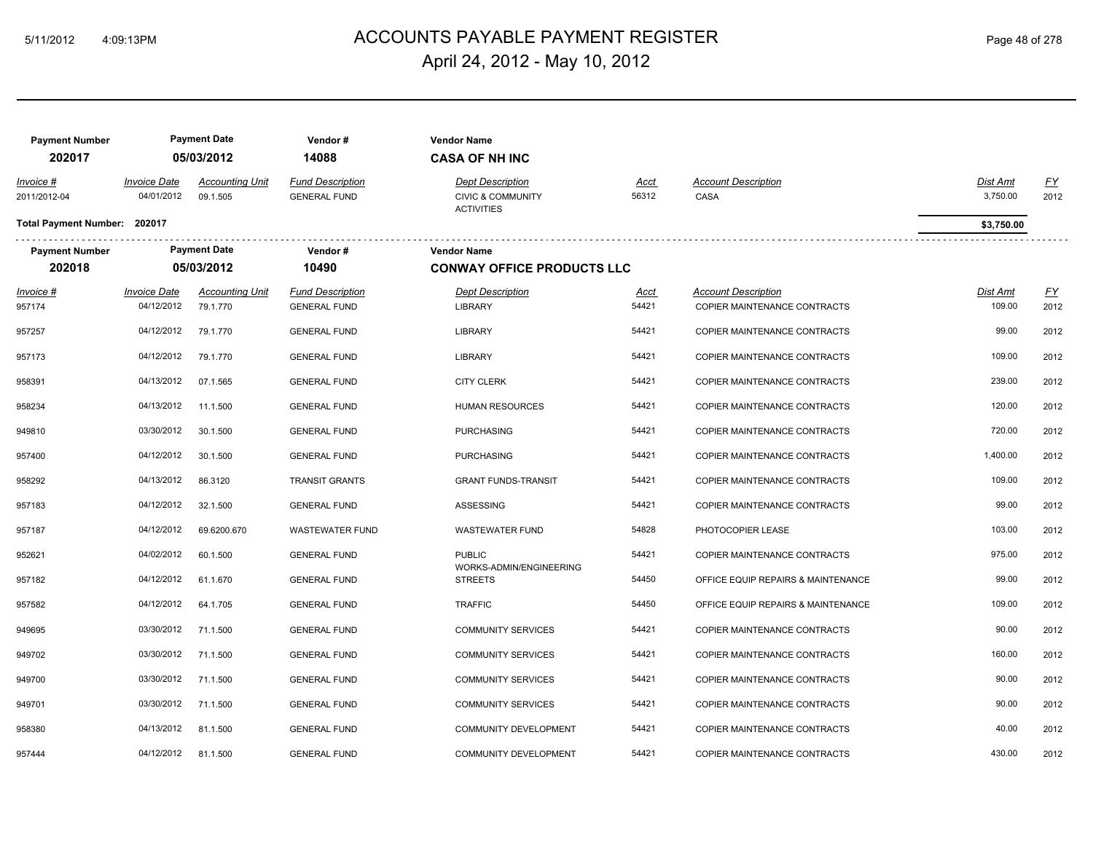# ACCOUNTS PAYABLE PAYMENT REGISTER 5/11/2012 4:09:13PM Page 48 of 278 April 24, 2012 - May 10, 2012

| <b>Payment Number</b><br>202017 |                                   | <b>Payment Date</b><br>05/03/2012  | Vendor#<br>14088                               | <b>Vendor Name</b><br><b>CASA OF NH INC</b>                                  |                      |                                                            |                      |                   |
|---------------------------------|-----------------------------------|------------------------------------|------------------------------------------------|------------------------------------------------------------------------------|----------------------|------------------------------------------------------------|----------------------|-------------------|
| Invoice #<br>2011/2012-04       | <b>Invoice Date</b><br>04/01/2012 | <b>Accounting Unit</b><br>09.1.505 | <b>Fund Description</b><br><b>GENERAL FUND</b> | <b>Dept Description</b><br><b>CIVIC &amp; COMMUNITY</b><br><b>ACTIVITIES</b> | Acct<br>56312        | <b>Account Description</b><br>CASA                         | Dist Amt<br>3,750.00 | EY<br>2012        |
| Total Payment Number: 202017    |                                   |                                    |                                                |                                                                              |                      |                                                            | \$3,750.00           |                   |
| <b>Payment Number</b>           |                                   | <b>Payment Date</b>                | Vendor#                                        | <b>Vendor Name</b>                                                           |                      |                                                            |                      |                   |
| 202018                          |                                   | 05/03/2012                         | 10490                                          | <b>CONWAY OFFICE PRODUCTS LLC</b>                                            |                      |                                                            |                      |                   |
| Invoice #<br>957174             | <b>Invoice Date</b><br>04/12/2012 | <b>Accounting Unit</b><br>79.1.770 | <b>Fund Description</b><br><b>GENERAL FUND</b> | <b>Dept Description</b><br><b>LIBRARY</b>                                    | <u>Acct</u><br>54421 | <b>Account Description</b><br>COPIER MAINTENANCE CONTRACTS | Dist Amt<br>109.00   | <u>FY</u><br>2012 |
| 957257                          | 04/12/2012                        | 79.1.770                           | <b>GENERAL FUND</b>                            | <b>LIBRARY</b>                                                               | 54421                | COPIER MAINTENANCE CONTRACTS                               | 99.00                | 2012              |
| 957173                          | 04/12/2012                        | 79.1.770                           | <b>GENERAL FUND</b>                            | <b>LIBRARY</b>                                                               | 54421                | COPIER MAINTENANCE CONTRACTS                               | 109.00               | 2012              |
| 958391                          | 04/13/2012                        | 07.1.565                           | <b>GENERAL FUND</b>                            | <b>CITY CLERK</b>                                                            | 54421                | COPIER MAINTENANCE CONTRACTS                               | 239.00               | 2012              |
| 958234                          | 04/13/2012                        | 11.1.500                           | <b>GENERAL FUND</b>                            | <b>HUMAN RESOURCES</b>                                                       | 54421                | COPIER MAINTENANCE CONTRACTS                               | 120.00               | 2012              |
| 949810                          | 03/30/2012                        | 30.1.500                           | <b>GENERAL FUND</b>                            | <b>PURCHASING</b>                                                            | 54421                | COPIER MAINTENANCE CONTRACTS                               | 720.00               | 2012              |
| 957400                          | 04/12/2012                        | 30.1.500                           | <b>GENERAL FUND</b>                            | <b>PURCHASING</b>                                                            | 54421                | COPIER MAINTENANCE CONTRACTS                               | 1,400.00             | 2012              |
| 958292                          | 04/13/2012                        | 86.3120                            | <b>TRANSIT GRANTS</b>                          | <b>GRANT FUNDS-TRANSIT</b>                                                   | 54421                | COPIER MAINTENANCE CONTRACTS                               | 109.00               | 2012              |
| 957183                          | 04/12/2012                        | 32.1.500                           | <b>GENERAL FUND</b>                            | ASSESSING                                                                    | 54421                | COPIER MAINTENANCE CONTRACTS                               | 99.00                | 2012              |
| 957187                          | 04/12/2012                        | 69.6200.670                        | <b>WASTEWATER FUND</b>                         | <b>WASTEWATER FUND</b>                                                       | 54828                | PHOTOCOPIER LEASE                                          | 103.00               | 2012              |
| 952621                          | 04/02/2012                        | 60.1.500                           | <b>GENERAL FUND</b>                            | <b>PUBLIC</b>                                                                | 54421                | COPIER MAINTENANCE CONTRACTS                               | 975.00               | 2012              |
| 957182                          | 04/12/2012                        | 61.1.670                           | <b>GENERAL FUND</b>                            | WORKS-ADMIN/ENGINEERING<br><b>STREETS</b>                                    | 54450                | OFFICE EQUIP REPAIRS & MAINTENANCE                         | 99.00                | 2012              |
| 957582                          | 04/12/2012                        | 64.1.705                           | <b>GENERAL FUND</b>                            | <b>TRAFFIC</b>                                                               | 54450                | OFFICE EQUIP REPAIRS & MAINTENANCE                         | 109.00               | 2012              |
| 949695                          | 03/30/2012                        | 71.1.500                           | <b>GENERAL FUND</b>                            | <b>COMMUNITY SERVICES</b>                                                    | 54421                | COPIER MAINTENANCE CONTRACTS                               | 90.00                | 2012              |
| 949702                          | 03/30/2012                        | 71.1.500                           | <b>GENERAL FUND</b>                            | <b>COMMUNITY SERVICES</b>                                                    | 54421                | COPIER MAINTENANCE CONTRACTS                               | 160.00               | 2012              |
| 949700                          | 03/30/2012                        | 71.1.500                           | <b>GENERAL FUND</b>                            | <b>COMMUNITY SERVICES</b>                                                    | 54421                | COPIER MAINTENANCE CONTRACTS                               | 90.00                | 2012              |
| 949701                          | 03/30/2012                        | 71.1.500                           | <b>GENERAL FUND</b>                            | <b>COMMUNITY SERVICES</b>                                                    | 54421                | COPIER MAINTENANCE CONTRACTS                               | 90.00                | 2012              |
| 958380                          | 04/13/2012                        | 81.1.500                           | <b>GENERAL FUND</b>                            | <b>COMMUNITY DEVELOPMENT</b>                                                 | 54421                | COPIER MAINTENANCE CONTRACTS                               | 40.00                | 2012              |
| 957444                          | 04/12/2012                        | 81.1.500                           | <b>GENERAL FUND</b>                            | <b>COMMUNITY DEVELOPMENT</b>                                                 | 54421                | COPIER MAINTENANCE CONTRACTS                               | 430.00               | 2012              |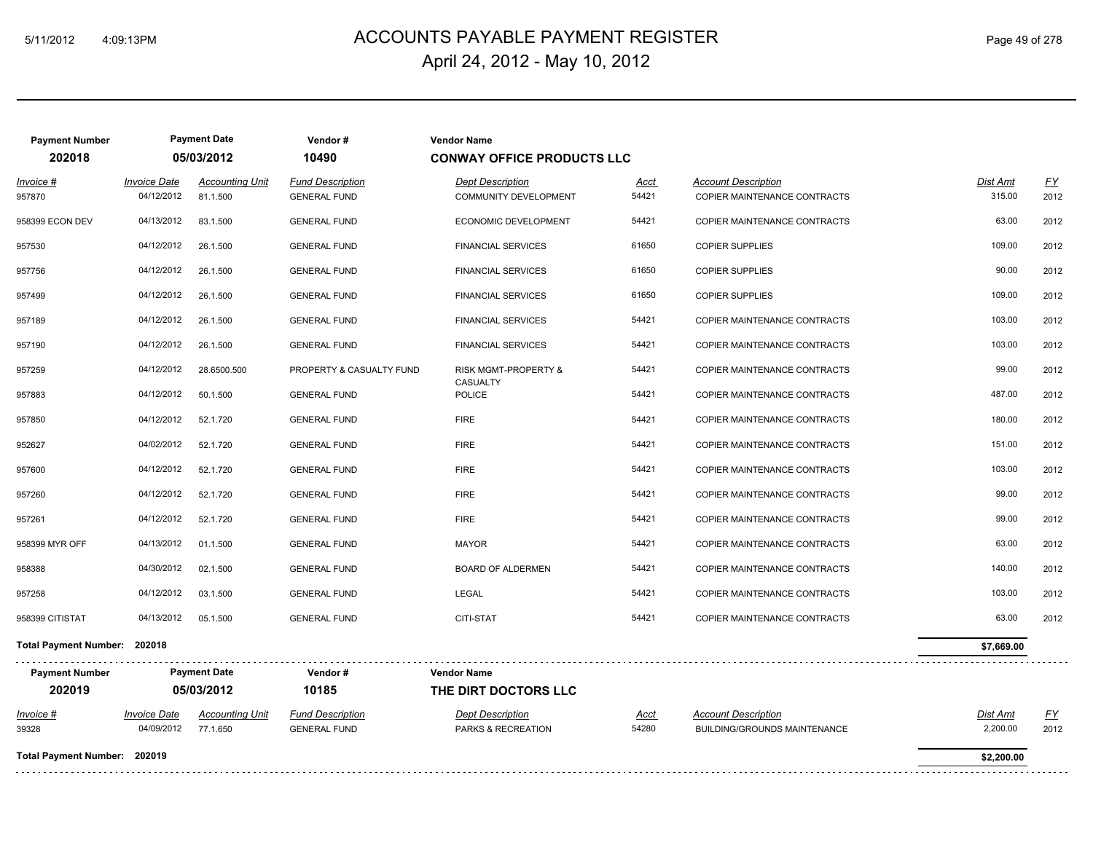# ACCOUNTS PAYABLE PAYMENT REGISTER 5/11/2012 4:09:13PM Page 49 of 278 April 24, 2012 - May 10, 2012

| <b>Payment Number</b><br>202018 |                                   | <b>Payment Date</b><br>05/03/2012  | Vendor#<br>10490                               | <b>Vendor Name</b><br><b>CONWAY OFFICE PRODUCTS LLC</b> |                      |                                                            |                    |            |
|---------------------------------|-----------------------------------|------------------------------------|------------------------------------------------|---------------------------------------------------------|----------------------|------------------------------------------------------------|--------------------|------------|
| <u> Invoice #</u><br>957870     | <b>Invoice Date</b><br>04/12/2012 | <b>Accounting Unit</b><br>81.1.500 | <b>Fund Description</b><br><b>GENERAL FUND</b> | <b>Dept Description</b><br><b>COMMUNITY DEVELOPMENT</b> | <u>Acct</u><br>54421 | <b>Account Description</b><br>COPIER MAINTENANCE CONTRACTS | Dist Amt<br>315.00 | EY<br>2012 |
| 958399 ECON DEV                 | 04/13/2012                        | 83.1.500                           | <b>GENERAL FUND</b>                            | ECONOMIC DEVELOPMENT                                    | 54421                | COPIER MAINTENANCE CONTRACTS                               | 63.00              | 2012       |
| 957530                          | 04/12/2012                        | 26.1.500                           | <b>GENERAL FUND</b>                            | <b>FINANCIAL SERVICES</b>                               | 61650                | <b>COPIER SUPPLIES</b>                                     | 109.00             | 2012       |
| 957756                          | 04/12/2012                        | 26.1.500                           | <b>GENERAL FUND</b>                            | <b>FINANCIAL SERVICES</b>                               | 61650                | <b>COPIER SUPPLIES</b>                                     | 90.00              | 2012       |
| 957499                          | 04/12/2012                        | 26.1.500                           | <b>GENERAL FUND</b>                            | <b>FINANCIAL SERVICES</b>                               | 61650                | <b>COPIER SUPPLIES</b>                                     | 109.00             | 2012       |
| 957189                          | 04/12/2012                        | 26.1.500                           | <b>GENERAL FUND</b>                            | <b>FINANCIAL SERVICES</b>                               | 54421                | COPIER MAINTENANCE CONTRACTS                               | 103.00             | 2012       |
| 957190                          | 04/12/2012                        | 26.1.500                           | <b>GENERAL FUND</b>                            | <b>FINANCIAL SERVICES</b>                               | 54421                | COPIER MAINTENANCE CONTRACTS                               | 103.00             | 2012       |
| 957259                          | 04/12/2012                        | 28.6500.500                        | PROPERTY & CASUALTY FUND                       | <b>RISK MGMT-PROPERTY &amp;</b>                         | 54421                | COPIER MAINTENANCE CONTRACTS                               | 99.00              | 2012       |
| 957883                          | 04/12/2012                        | 50.1.500                           | <b>GENERAL FUND</b>                            | <b>CASUALTY</b><br><b>POLICE</b>                        | 54421                | COPIER MAINTENANCE CONTRACTS                               | 487.00             | 2012       |
| 957850                          | 04/12/2012                        | 52.1.720                           | <b>GENERAL FUND</b>                            | <b>FIRE</b>                                             | 54421                | COPIER MAINTENANCE CONTRACTS                               | 180.00             | 2012       |
| 952627                          | 04/02/2012                        | 52.1.720                           | <b>GENERAL FUND</b>                            | <b>FIRE</b>                                             | 54421                | COPIER MAINTENANCE CONTRACTS                               | 151.00             | 2012       |
| 957600                          | 04/12/2012                        | 52.1.720                           | <b>GENERAL FUND</b>                            | <b>FIRE</b>                                             | 54421                | COPIER MAINTENANCE CONTRACTS                               | 103.00             | 2012       |
| 957260                          | 04/12/2012                        | 52.1.720                           | <b>GENERAL FUND</b>                            | <b>FIRE</b>                                             | 54421                | COPIER MAINTENANCE CONTRACTS                               | 99.00              | 2012       |
| 957261                          | 04/12/2012                        | 52.1.720                           | <b>GENERAL FUND</b>                            | <b>FIRE</b>                                             | 54421                | COPIER MAINTENANCE CONTRACTS                               | 99.00              | 2012       |
| 958399 MYR OFF                  | 04/13/2012                        | 01.1.500                           | <b>GENERAL FUND</b>                            | <b>MAYOR</b>                                            | 54421                | COPIER MAINTENANCE CONTRACTS                               | 63.00              | 2012       |
| 958388                          | 04/30/2012                        | 02.1.500                           | <b>GENERAL FUND</b>                            | <b>BOARD OF ALDERMEN</b>                                | 54421                | COPIER MAINTENANCE CONTRACTS                               | 140.00             | 2012       |
| 957258                          | 04/12/2012                        | 03.1.500                           | <b>GENERAL FUND</b>                            | LEGAL                                                   | 54421                | COPIER MAINTENANCE CONTRACTS                               | 103.00             | 2012       |
| 958399 CITISTAT                 | 04/13/2012                        | 05.1.500                           | <b>GENERAL FUND</b>                            | CITI-STAT                                               | 54421                | COPIER MAINTENANCE CONTRACTS                               | 63.00              | 2012       |
| Total Payment Number: 202018    |                                   |                                    |                                                |                                                         |                      |                                                            | \$7,669.00         |            |
| <b>Payment Number</b>           |                                   | <b>Payment Date</b>                | Vendor#                                        | <b>Vendor Name</b>                                      |                      |                                                            |                    |            |
| 202019                          |                                   | 05/03/2012                         | 10185                                          | THE DIRT DOCTORS LLC                                    |                      |                                                            |                    |            |
| <u> Invoice #</u>               | <b>Invoice Date</b>               | <b>Accounting Unit</b>             | <b>Fund Description</b>                        | <b>Dept Description</b>                                 | Acct                 | <b>Account Description</b>                                 | <b>Dist Amt</b>    | <u>FY</u>  |
| 39328                           | 04/09/2012                        | 77.1.650                           | <b>GENERAL FUND</b>                            | PARKS & RECREATION                                      | 54280                | BUILDING/GROUNDS MAINTENANCE                               | 2,200.00           | 2012       |
| Total Payment Number: 202019    |                                   |                                    |                                                |                                                         |                      |                                                            | \$2,200.00         |            |
|                                 |                                   |                                    |                                                |                                                         |                      |                                                            |                    |            |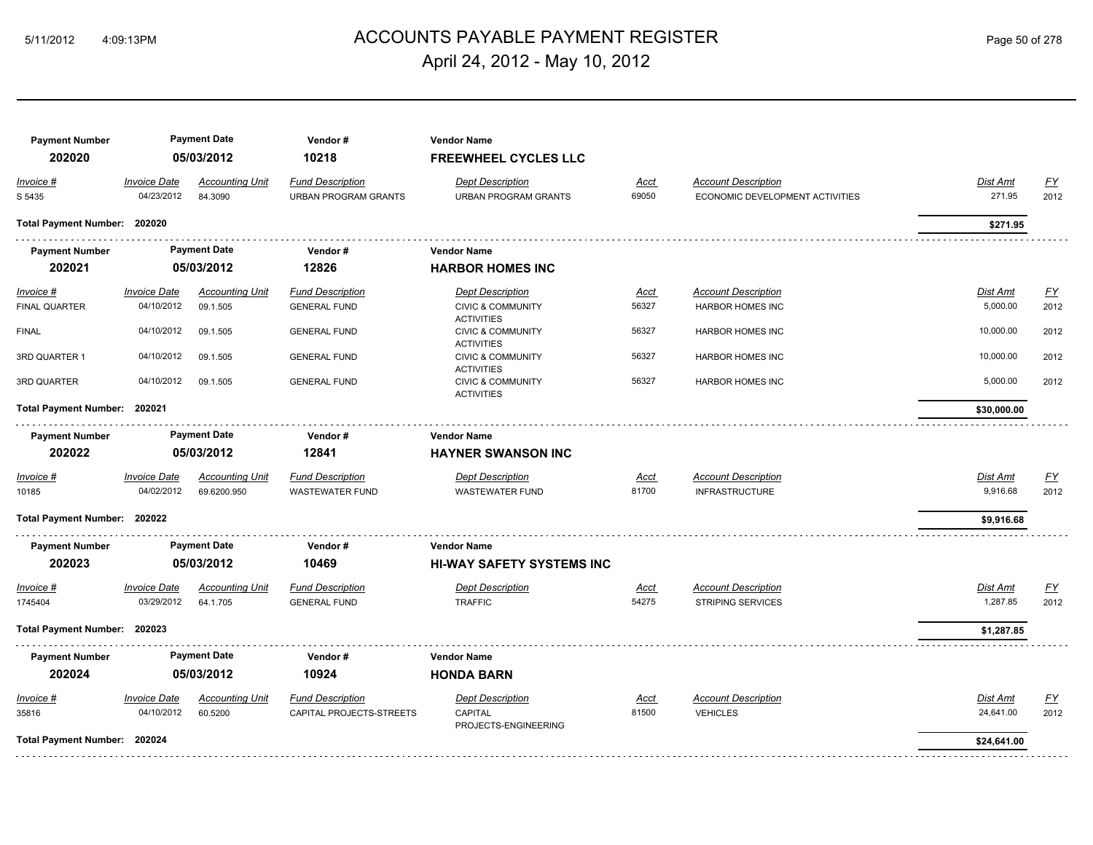# ACCOUNTS PAYABLE PAYMENT REGISTER 5/11/2012 4:09:13PM Page 50 of 278 April 24, 2012 - May 10, 2012

| <b>Payment Number</b><br>202020 |                              | <b>Payment Date</b><br>05/03/2012 | Vendor#<br>10218            | <b>Vendor Name</b><br><b>FREEWHEEL CYCLES LLC</b> |             |                                 |                 |           |
|---------------------------------|------------------------------|-----------------------------------|-----------------------------|---------------------------------------------------|-------------|---------------------------------|-----------------|-----------|
| Invoice #                       | <b>Invoice Date</b>          | <b>Accounting Unit</b>            | Fund Description            | <b>Dept Description</b>                           | Acct        | <b>Account Description</b>      | Dist Amt        | <u>FY</u> |
| S 5435                          | 04/23/2012                   | 84.3090                           | <b>URBAN PROGRAM GRANTS</b> | <b>URBAN PROGRAM GRANTS</b>                       | 69050       | ECONOMIC DEVELOPMENT ACTIVITIES | 271.95          | 2012      |
| Total Payment Number: 202020    |                              |                                   |                             |                                                   |             |                                 | \$271.95        |           |
| <b>Payment Number</b>           |                              | <b>Payment Date</b>               | Vendor#                     | <b>Vendor Name</b>                                |             |                                 |                 |           |
| 202021                          |                              | 05/03/2012                        | 12826                       | <b>HARBOR HOMES INC</b>                           |             |                                 |                 |           |
| Invoice #                       | <b>Invoice Date</b>          | <b>Accounting Unit</b>            | <b>Fund Description</b>     | <b>Dept Description</b>                           | <u>Acct</u> | <b>Account Description</b>      | <b>Dist Amt</b> | EY        |
| FINAL QUARTER                   | 04/10/2012                   | 09.1.505                          | <b>GENERAL FUND</b>         | <b>CIVIC &amp; COMMUNITY</b>                      | 56327       | <b>HARBOR HOMES INC</b>         | 5,000.00        | 2012      |
| <b>FINAL</b>                    | 04/10/2012                   | 09.1.505                          | <b>GENERAL FUND</b>         | <b>ACTIVITIES</b><br><b>CIVIC &amp; COMMUNITY</b> | 56327       | <b>HARBOR HOMES INC</b>         | 10,000.00       | 2012      |
|                                 |                              |                                   |                             | <b>ACTIVITIES</b>                                 |             |                                 |                 |           |
| 3RD QUARTER 1                   | 04/10/2012                   | 09.1.505                          | <b>GENERAL FUND</b>         | <b>CIVIC &amp; COMMUNITY</b><br><b>ACTIVITIES</b> | 56327       | HARBOR HOMES INC                | 10,000.00       | 2012      |
| 3RD QUARTER                     | 04/10/2012                   | 09.1.505                          | <b>GENERAL FUND</b>         | <b>CIVIC &amp; COMMUNITY</b><br><b>ACTIVITIES</b> | 56327       | <b>HARBOR HOMES INC</b>         | 5,000.00        | 2012      |
|                                 | Total Payment Number: 202021 |                                   |                             |                                                   |             |                                 | \$30,000.00     |           |
| <b>Payment Number</b>           |                              | <b>Payment Date</b>               | Vendor#                     | <b>Vendor Name</b>                                |             |                                 |                 |           |
| 202022                          |                              | 05/03/2012                        | 12841                       | <b>HAYNER SWANSON INC</b>                         |             |                                 |                 |           |
| Invoice #                       | <b>Invoice Date</b>          | <b>Accounting Unit</b>            | <b>Fund Description</b>     | <b>Dept Description</b>                           | Acct        | <b>Account Description</b>      | Dist Amt        | <u>FY</u> |
| 10185                           | 04/02/2012                   | 69.6200.950                       | <b>WASTEWATER FUND</b>      | <b>WASTEWATER FUND</b>                            | 81700       | <b>INFRASTRUCTURE</b>           | 9,916.68        | 2012      |
| Total Payment Number: 202022    |                              |                                   |                             |                                                   |             |                                 | \$9,916.68      |           |
| <b>Payment Number</b>           |                              | <b>Payment Date</b>               | Vendor#                     | <b>Vendor Name</b>                                |             |                                 |                 |           |
| 202023                          |                              | 05/03/2012                        | 10469                       | <b>HI-WAY SAFETY SYSTEMS INC</b>                  |             |                                 |                 |           |
| Invoice #                       | <b>Invoice Date</b>          | <b>Accounting Unit</b>            | <b>Fund Description</b>     | <b>Dept Description</b>                           | Acct        | <b>Account Description</b>      | Dist Amt        | <u>FY</u> |
| 1745404                         | 03/29/2012                   | 64.1.705                          | <b>GENERAL FUND</b>         | <b>TRAFFIC</b>                                    | 54275       | <b>STRIPING SERVICES</b>        | 1,287.85        | 2012      |
| Total Payment Number: 202023    |                              |                                   |                             |                                                   |             |                                 | \$1,287.85      |           |
| <b>Payment Number</b>           |                              | <b>Payment Date</b>               | Vendor#                     | <b>Vendor Name</b>                                |             |                                 |                 |           |
| 202024                          |                              | 05/03/2012                        | 10924                       | <b>HONDA BARN</b>                                 |             |                                 |                 |           |
| Invoice #                       | <b>Invoice Date</b>          | <b>Accounting Unit</b>            | <b>Fund Description</b>     | <b>Dept Description</b>                           | Acct        | <b>Account Description</b>      | Dist Amt        | FY        |
| 35816                           | 04/10/2012                   | 60.5200                           | CAPITAL PROJECTS-STREETS    | CAPITAL                                           | 81500       | <b>VEHICLES</b>                 | 24,641.00       | 2012      |
| Total Payment Number: 202024    |                              |                                   |                             | PROJECTS-ENGINEERING                              |             |                                 | \$24,641.00     |           |
|                                 |                              |                                   |                             |                                                   |             |                                 |                 |           |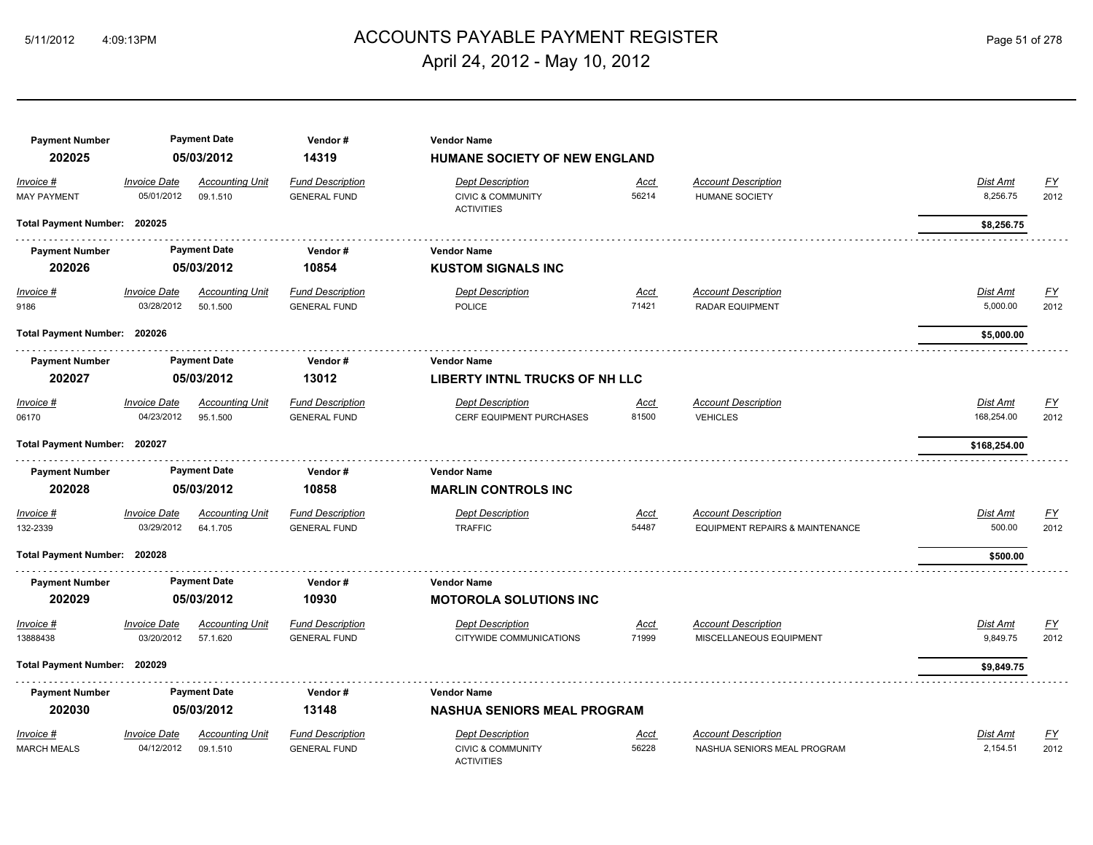# 5/11/2012 4:09:13PM ACCOUNTS PAYABLE PAYMENT REGISTER Page 51 of 278 April 24, 2012 - May 10, 2012

| <b>Payment Number</b><br>202025 |                                   | <b>Payment Date</b><br>05/03/2012  | Vendor#<br>14319                               | <b>Vendor Name</b><br><b>HUMANE SOCIETY OF NEW ENGLAND</b>                   |                      |                                                                          |                        |                   |
|---------------------------------|-----------------------------------|------------------------------------|------------------------------------------------|------------------------------------------------------------------------------|----------------------|--------------------------------------------------------------------------|------------------------|-------------------|
| Invoice #<br><b>MAY PAYMENT</b> | <b>Invoice Date</b><br>05/01/2012 | <b>Accounting Unit</b><br>09.1.510 | <b>Fund Description</b><br><b>GENERAL FUND</b> | <b>Dept Description</b><br><b>CIVIC &amp; COMMUNITY</b><br><b>ACTIVITIES</b> | <u>Acct</u><br>56214 | <b>Account Description</b><br><b>HUMANE SOCIETY</b>                      | Dist Amt<br>8,256.75   | EY<br>2012        |
| Total Payment Number: 202025    |                                   |                                    |                                                |                                                                              |                      |                                                                          | \$8,256.75             |                   |
| <b>Payment Number</b>           |                                   | <b>Payment Date</b>                | Vendor#                                        | <b>Vendor Name</b>                                                           |                      |                                                                          |                        |                   |
| 202026                          |                                   | 05/03/2012                         | 10854                                          | <b>KUSTOM SIGNALS INC</b>                                                    |                      |                                                                          |                        |                   |
| $Invoice$ #<br>9186             | <b>Invoice Date</b><br>03/28/2012 | <b>Accounting Unit</b><br>50.1.500 | <b>Fund Description</b><br><b>GENERAL FUND</b> | <b>Dept Description</b><br><b>POLICE</b>                                     | <u>Acct</u><br>71421 | <b>Account Description</b><br><b>RADAR EQUIPMENT</b>                     | Dist Amt<br>5,000.00   | EY<br>2012        |
| Total Payment Number: 202026    |                                   |                                    |                                                |                                                                              |                      |                                                                          | \$5,000.00             |                   |
| <b>Payment Number</b>           |                                   | <b>Payment Date</b>                | Vendor#                                        | <b>Vendor Name</b>                                                           |                      |                                                                          |                        |                   |
| 202027                          | 05/03/2012                        |                                    | 13012                                          | <b>LIBERTY INTNL TRUCKS OF NH LLC</b>                                        |                      |                                                                          |                        |                   |
| Invoice #<br>06170              | <b>Invoice Date</b><br>04/23/2012 | <b>Accounting Unit</b><br>95.1.500 | <b>Fund Description</b><br><b>GENERAL FUND</b> | <b>Dept Description</b><br>CERF EQUIPMENT PURCHASES                          | <u>Acct</u><br>81500 | <b>Account Description</b><br><b>VEHICLES</b>                            | Dist Amt<br>168,254.00 | <u>FY</u><br>2012 |
| Total Payment Number: 202027    |                                   |                                    |                                                |                                                                              |                      |                                                                          | \$168,254.00           |                   |
| <b>Payment Number</b>           |                                   | <b>Payment Date</b>                | Vendor#                                        | <b>Vendor Name</b>                                                           |                      |                                                                          |                        |                   |
| 202028                          |                                   | 05/03/2012                         | 10858                                          | <b>MARLIN CONTROLS INC</b>                                                   |                      |                                                                          |                        |                   |
| Invoice #<br>132-2339           | <b>Invoice Date</b><br>03/29/2012 | <b>Accounting Unit</b><br>64.1.705 | <b>Fund Description</b><br><b>GENERAL FUND</b> | <b>Dept Description</b><br><b>TRAFFIC</b>                                    | Acct<br>54487        | <b>Account Description</b><br><b>EQUIPMENT REPAIRS &amp; MAINTENANCE</b> | Dist Amt<br>500.00     | FY<br>2012        |
| Total Payment Number: 202028    |                                   |                                    |                                                |                                                                              |                      |                                                                          | \$500.00               |                   |
| <b>Payment Number</b>           |                                   | <b>Payment Date</b>                | Vendor#                                        | <b>Vendor Name</b>                                                           |                      |                                                                          |                        |                   |
| 202029                          |                                   | 05/03/2012                         | 10930                                          | <b>MOTOROLA SOLUTIONS INC</b>                                                |                      |                                                                          |                        |                   |
| Invoice #                       | <b>Invoice Date</b>               | <b>Accounting Unit</b>             | <b>Fund Description</b>                        | <b>Dept Description</b>                                                      | <u>Acct</u>          | <b>Account Description</b>                                               | <b>Dist Amt</b>        | <u>FY</u>         |
| 13888438                        | 03/20/2012                        | 57.1.620                           | <b>GENERAL FUND</b>                            | CITYWIDE COMMUNICATIONS                                                      | 71999                | MISCELLANEOUS EQUIPMENT                                                  | 9,849.75               | 2012              |
| Total Payment Number: 202029    |                                   |                                    |                                                |                                                                              |                      |                                                                          | \$9,849.75             |                   |
| <b>Payment Number</b>           |                                   | <b>Payment Date</b>                | Vendor#                                        | <b>Vendor Name</b>                                                           |                      |                                                                          |                        |                   |
| 202030                          |                                   | 05/03/2012                         | 13148                                          | <b>NASHUA SENIORS MEAL PROGRAM</b>                                           |                      |                                                                          |                        |                   |
| Invoice #                       | <b>Invoice Date</b>               | <b>Accounting Unit</b>             | <b>Fund Description</b>                        | <b>Dept Description</b>                                                      | Acct                 | <b>Account Description</b>                                               | Dist Amt               | FY                |
| <b>MARCH MEALS</b>              | 04/12/2012                        | 09.1.510                           | <b>GENERAL FUND</b>                            | <b>CIVIC &amp; COMMUNITY</b><br><b>ACTIVITIES</b>                            | 56228                | NASHUA SENIORS MEAL PROGRAM                                              | 2,154.51               | 2012              |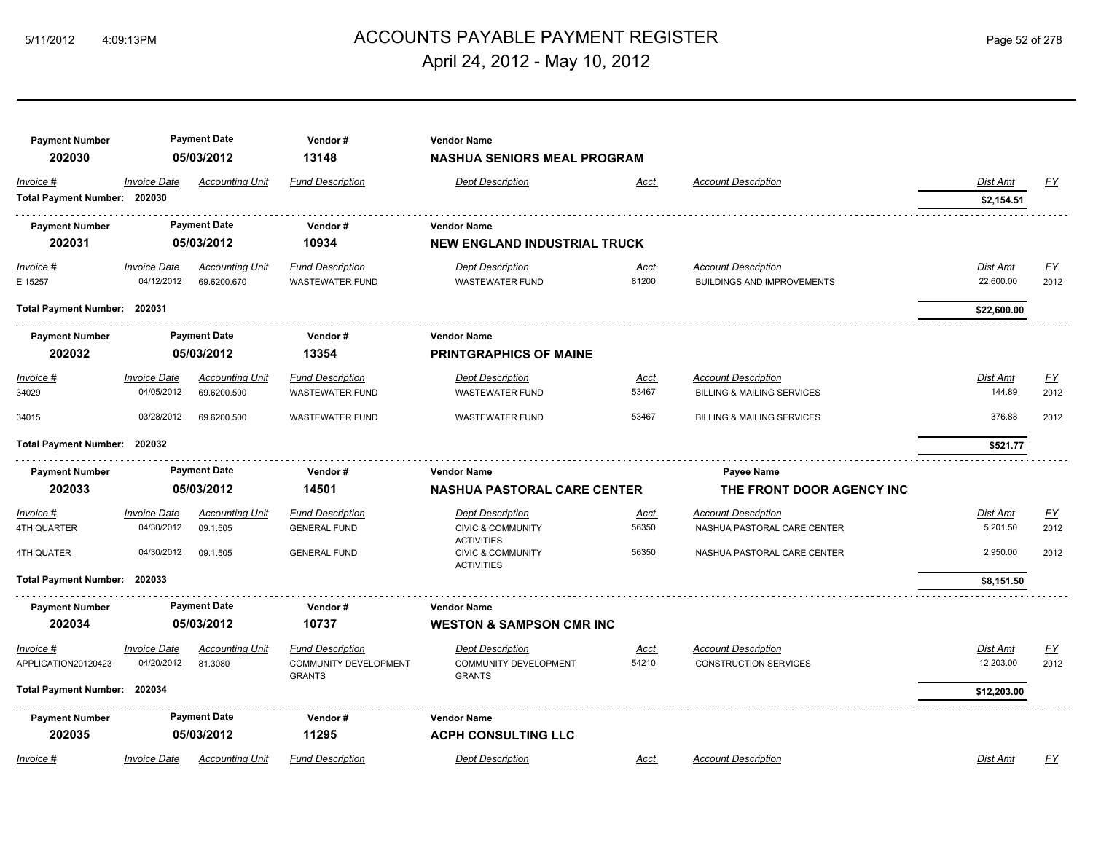# 5/11/2012 4:09:13PM ACCOUNTS PAYABLE PAYMENT REGISTER Page 52 of 278 April 24, 2012 - May 10, 2012

| <b>Payment Number</b>        |                     | <b>Payment Date</b>    | Vendor#                                | <b>Vendor Name</b>                                |             |                                       |                 |                  |
|------------------------------|---------------------|------------------------|----------------------------------------|---------------------------------------------------|-------------|---------------------------------------|-----------------|------------------|
| 202030                       |                     | 05/03/2012             | 13148                                  | <b>NASHUA SENIORS MEAL PROGRAM</b>                |             |                                       |                 |                  |
| Invoice #                    | <b>Invoice Date</b> | Accounting Unit        | <b>Fund Description</b>                | <b>Dept Description</b>                           | Acct        | <b>Account Description</b>            | Dist Amt        | EY               |
| Total Payment Number: 202030 |                     |                        |                                        |                                                   |             |                                       | \$2,154.51      |                  |
| <b>Payment Number</b>        |                     | <b>Payment Date</b>    | Vendor#                                | <b>Vendor Name</b>                                |             |                                       |                 |                  |
| 202031                       |                     | 05/03/2012             | 10934                                  | <b>NEW ENGLAND INDUSTRIAL TRUCK</b>               |             |                                       |                 |                  |
| <b>Invoice #</b>             | <b>Invoice Date</b> | <u>Accounting Unit</u> | <b>Fund Description</b>                | <b>Dept Description</b>                           | <u>Acct</u> | <b>Account Description</b>            | <b>Dist Amt</b> | EY               |
| E 15257                      | 04/12/2012          | 69.6200.670            | <b>WASTEWATER FUND</b>                 | <b>WASTEWATER FUND</b>                            | 81200       | <b>BUILDINGS AND IMPROVEMENTS</b>     | 22,600.00       | 2012             |
| Total Payment Number: 202031 |                     |                        |                                        |                                                   |             |                                       | \$22,600.00     |                  |
| <b>Payment Number</b>        |                     | <b>Payment Date</b>    | Vendor#                                | <b>Vendor Name</b>                                |             |                                       |                 |                  |
| 202032                       |                     | 05/03/2012             | 13354                                  | <b>PRINTGRAPHICS OF MAINE</b>                     |             |                                       |                 |                  |
| Invoice #                    | <b>Invoice Date</b> | <b>Accounting Unit</b> | <b>Fund Description</b>                | <b>Dept Description</b>                           | <u>Acct</u> | <b>Account Description</b>            | Dist Amt        | <u>FY</u>        |
| 34029                        | 04/05/2012          | 69.6200.500            | <b>WASTEWATER FUND</b>                 | <b>WASTEWATER FUND</b>                            | 53467       | <b>BILLING &amp; MAILING SERVICES</b> | 144.89          | 2012             |
| 34015                        | 03/28/2012          | 69.6200.500            | <b>WASTEWATER FUND</b>                 | <b>WASTEWATER FUND</b>                            | 53467       | <b>BILLING &amp; MAILING SERVICES</b> | 376.88          | 2012             |
| Total Payment Number: 202032 |                     |                        |                                        |                                                   |             |                                       | \$521.77        |                  |
| <b>Payment Number</b>        |                     | <b>Payment Date</b>    | Vendor#                                | <b>Vendor Name</b>                                |             | Payee Name                            |                 |                  |
| 202033                       |                     | 05/03/2012             | 14501                                  | <b>NASHUA PASTORAL CARE CENTER</b>                |             | THE FRONT DOOR AGENCY INC             |                 |                  |
| $Invoice$ #                  | <b>Invoice Date</b> | <b>Accounting Unit</b> | <b>Fund Description</b>                | <b>Dept Description</b>                           | <u>Acct</u> | <b>Account Description</b>            | <b>Dist Amt</b> | $\underline{FY}$ |
| 4TH QUARTER                  | 04/30/2012          | 09.1.505               | <b>GENERAL FUND</b>                    | <b>CIVIC &amp; COMMUNITY</b><br><b>ACTIVITIES</b> | 56350       | NASHUA PASTORAL CARE CENTER           | 5,201.50        | 2012             |
| 4TH QUATER                   | 04/30/2012          | 09.1.505               | <b>GENERAL FUND</b>                    | <b>CIVIC &amp; COMMUNITY</b><br><b>ACTIVITIES</b> | 56350       | NASHUA PASTORAL CARE CENTER           | 2,950.00        | 2012             |
| Total Payment Number: 202033 |                     |                        |                                        |                                                   |             |                                       | \$8,151.50      |                  |
| <b>Payment Number</b>        |                     | <b>Payment Date</b>    | Vendor#                                | <b>Vendor Name</b>                                |             |                                       |                 |                  |
| 202034                       |                     | 05/03/2012             | 10737                                  | <b>WESTON &amp; SAMPSON CMR INC</b>               |             |                                       |                 |                  |
| Invoice #                    | <b>Invoice Date</b> | Accounting Unit        | <b>Fund Description</b>                | <b>Dept Description</b>                           | Acct        | <b>Account Description</b>            | Dist Amt        | EY               |
| APPLICATION20120423          | 04/20/2012          | 81.3080                | COMMUNITY DEVELOPMENT<br><b>GRANTS</b> | <b>COMMUNITY DEVELOPMENT</b><br><b>GRANTS</b>     | 54210       | <b>CONSTRUCTION SERVICES</b>          | 12,203.00       | 2012             |
| Total Payment Number: 202034 |                     |                        |                                        |                                                   |             |                                       | \$12,203.00     |                  |
| <b>Payment Number</b>        |                     | <b>Payment Date</b>    | Vendor#                                | <b>Vendor Name</b>                                |             |                                       |                 |                  |
| 202035                       |                     | 05/03/2012             | 11295                                  | <b>ACPH CONSULTING LLC</b>                        |             |                                       |                 |                  |
| Invoice #                    | <b>Invoice Date</b> | <b>Accounting Unit</b> | <b>Fund Description</b>                | <b>Dept Description</b>                           | Acct        | <b>Account Description</b>            | <b>Dist Amt</b> | FY               |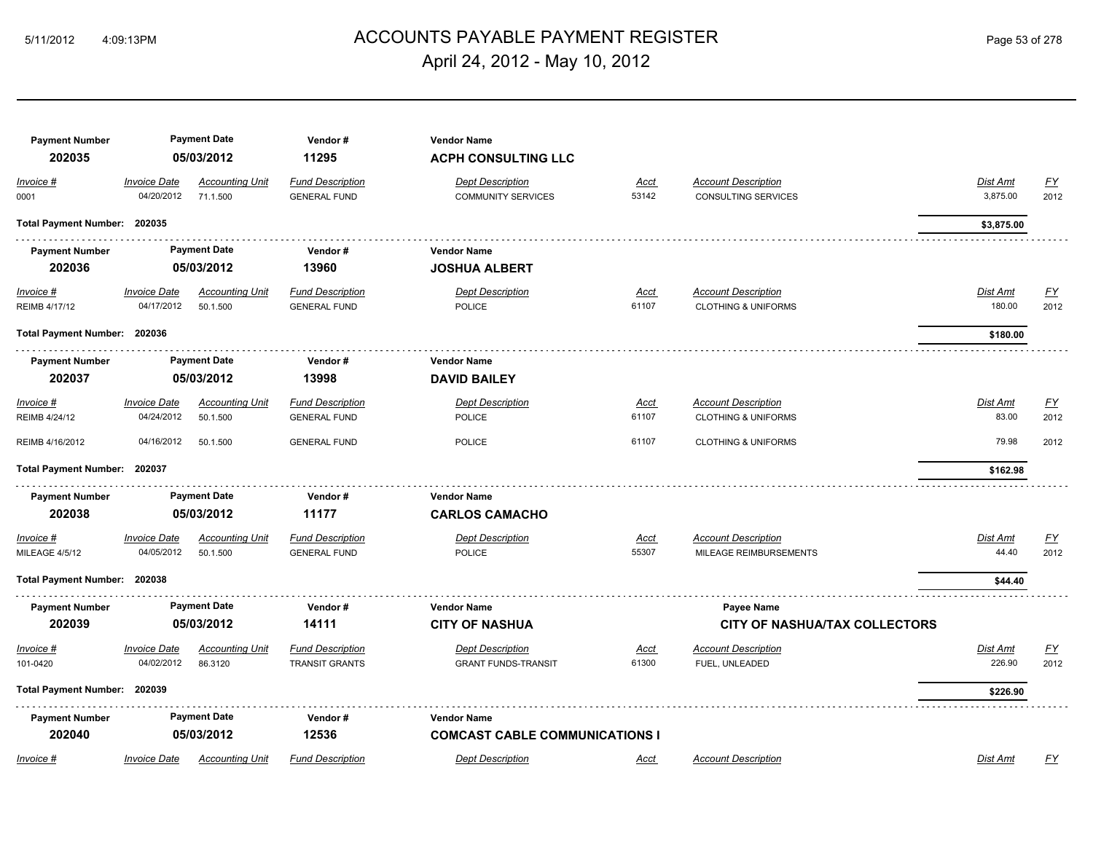# ACCOUNTS PAYABLE PAYMENT REGISTER 5/11/2012 4:09:13PM Page 53 of 278 April 24, 2012 - May 10, 2012

| <b>Payment Number</b><br>202035 |                                   | <b>Payment Date</b><br>05/03/2012  | Vendor#<br>11295                                 | <b>Vendor Name</b><br><b>ACPH CONSULTING LLC</b>            |                      |                                                              |                      |                   |
|---------------------------------|-----------------------------------|------------------------------------|--------------------------------------------------|-------------------------------------------------------------|----------------------|--------------------------------------------------------------|----------------------|-------------------|
| Invoice #<br>0001               | <b>Invoice Date</b><br>04/20/2012 | <b>Accounting Unit</b><br>71.1.500 | <b>Fund Description</b><br><b>GENERAL FUND</b>   | <b>Dept Description</b><br><b>COMMUNITY SERVICES</b>        | Acct<br>53142        | <b>Account Description</b><br><b>CONSULTING SERVICES</b>     | Dist Amt<br>3,875.00 | <u>FY</u><br>2012 |
| Total Payment Number: 202035    |                                   |                                    |                                                  |                                                             |                      |                                                              | \$3,875.00           |                   |
| <b>Payment Number</b><br>202036 |                                   | <b>Payment Date</b><br>05/03/2012  | Vendor#<br>13960                                 | <b>Vendor Name</b><br><b>JOSHUA ALBERT</b>                  |                      |                                                              |                      |                   |
| $Invoice$ #<br>REIMB 4/17/12    | <b>Invoice Date</b><br>04/17/2012 | <b>Accounting Unit</b><br>50.1.500 | <b>Fund Description</b><br><b>GENERAL FUND</b>   | <b>Dept Description</b><br><b>POLICE</b>                    | <u>Acct</u><br>61107 | <b>Account Description</b><br><b>CLOTHING &amp; UNIFORMS</b> | Dist Amt<br>180.00   | <u>FY</u><br>2012 |
| Total Payment Number: 202036    |                                   |                                    |                                                  |                                                             |                      |                                                              | \$180.00             |                   |
| <b>Payment Number</b><br>202037 |                                   | <b>Payment Date</b><br>05/03/2012  | Vendor#<br>13998                                 | <b>Vendor Name</b><br><b>DAVID BAILEY</b>                   |                      |                                                              |                      |                   |
| Invoice #<br>REIMB 4/24/12      | <b>Invoice Date</b><br>04/24/2012 | <b>Accounting Unit</b><br>50.1.500 | <b>Fund Description</b><br><b>GENERAL FUND</b>   | <b>Dept Description</b><br><b>POLICE</b>                    | Acct<br>61107        | <b>Account Description</b><br><b>CLOTHING &amp; UNIFORMS</b> | Dist Amt<br>83.00    | EY<br>2012        |
| REIMB 4/16/2012                 | 04/16/2012                        | 50.1.500                           | <b>GENERAL FUND</b>                              | POLICE                                                      | 61107                | <b>CLOTHING &amp; UNIFORMS</b>                               | 79.98                | 2012              |
| <b>Total Payment Number:</b>    | 202037                            |                                    |                                                  |                                                             |                      |                                                              | \$162.98             |                   |
| <b>Payment Number</b><br>202038 |                                   | <b>Payment Date</b><br>05/03/2012  | Vendor#<br>11177                                 | <b>Vendor Name</b><br><b>CARLOS CAMACHO</b>                 |                      |                                                              |                      |                   |
| Invoice #<br>MILEAGE 4/5/12     | <b>Invoice Date</b><br>04/05/2012 | <b>Accounting Unit</b><br>50.1.500 | <b>Fund Description</b><br><b>GENERAL FUND</b>   | <b>Dept Description</b><br><b>POLICE</b>                    | Acct<br>55307        | <b>Account Description</b><br>MILEAGE REIMBURSEMENTS         | Dist Amt<br>44.40    | EY<br>2012        |
| Total Payment Number: 202038    |                                   |                                    |                                                  |                                                             |                      |                                                              | \$44.40              |                   |
| <b>Payment Number</b><br>202039 |                                   | <b>Payment Date</b><br>05/03/2012  | Vendor#<br>14111                                 | <b>Vendor Name</b><br><b>CITY OF NASHUA</b>                 |                      | <b>Payee Name</b><br><b>CITY OF NASHUA/TAX COLLECTORS</b>    |                      |                   |
| Invoice #<br>101-0420           | <b>Invoice Date</b><br>04/02/2012 | <b>Accounting Unit</b><br>86.3120  | <b>Fund Description</b><br><b>TRANSIT GRANTS</b> | <b>Dept Description</b><br><b>GRANT FUNDS-TRANSIT</b>       | Acct<br>61300        | <b>Account Description</b><br>FUEL, UNLEADED                 | Dist Amt<br>226.90   | <u>FY</u><br>2012 |
| Total Payment Number: 202039    |                                   |                                    |                                                  |                                                             |                      |                                                              | \$226.90             |                   |
| <b>Payment Number</b><br>202040 |                                   | <b>Payment Date</b><br>05/03/2012  | Vendor#<br>12536                                 | <b>Vendor Name</b><br><b>COMCAST CABLE COMMUNICATIONS I</b> |                      |                                                              |                      |                   |
| Invoice #                       | <b>Invoice Date</b>               | <b>Accounting Unit</b>             | <b>Fund Description</b>                          | <b>Dept Description</b>                                     | Acct                 | <b>Account Description</b>                                   | Dist Amt             | FY                |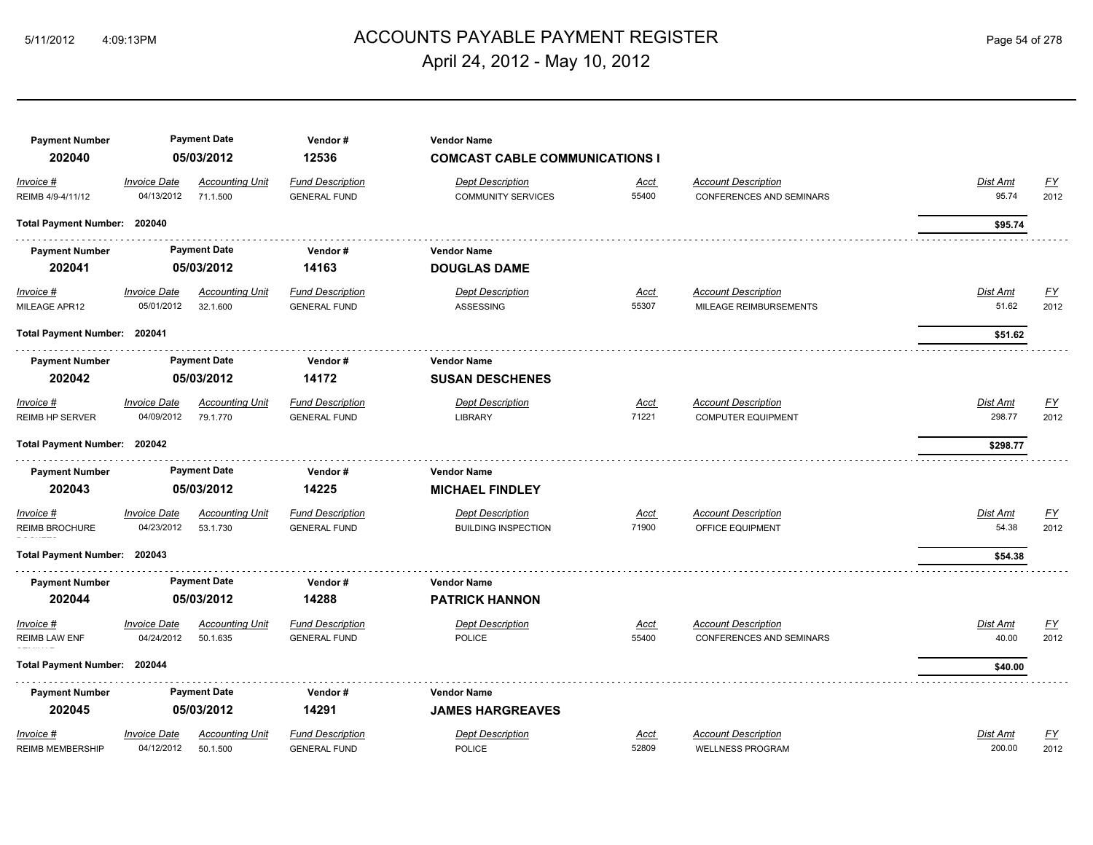# 5/11/2012 4:09:13PM ACCOUNTS PAYABLE PAYMENT REGISTER Page 54 of 278 April 24, 2012 - May 10, 2012

| <b>Payment Number</b>             |                                   | <b>Payment Date</b>                | Vendor#                                        | <b>Vendor Name</b>                                   |                      |                                                               |                          |                   |
|-----------------------------------|-----------------------------------|------------------------------------|------------------------------------------------|------------------------------------------------------|----------------------|---------------------------------------------------------------|--------------------------|-------------------|
| 202040                            |                                   | 05/03/2012                         | 12536                                          | <b>COMCAST CABLE COMMUNICATIONS I</b>                |                      |                                                               |                          |                   |
| Invoice #<br>REIMB 4/9-4/11/12    | <b>Invoice Date</b><br>04/13/2012 | <b>Accounting Unit</b><br>71.1.500 | <b>Fund Description</b><br><b>GENERAL FUND</b> | <b>Dept Description</b><br><b>COMMUNITY SERVICES</b> | <u>Acct</u><br>55400 | <b>Account Description</b><br>CONFERENCES AND SEMINARS        | Dist Amt<br>95.74        | EY<br>2012        |
| Total Payment Number: 202040      |                                   |                                    |                                                |                                                      |                      |                                                               | \$95.74                  |                   |
| <b>Payment Number</b>             |                                   | <b>Payment Date</b>                | Vendor#                                        | <b>Vendor Name</b>                                   |                      |                                                               |                          |                   |
| 202041                            |                                   | 05/03/2012                         | 14163                                          | <b>DOUGLAS DAME</b>                                  |                      |                                                               |                          |                   |
| <b>Invoice #</b><br>MILEAGE APR12 | <b>Invoice Date</b><br>05/01/2012 | <b>Accounting Unit</b><br>32.1.600 | <b>Fund Description</b><br><b>GENERAL FUND</b> | <b>Dept Description</b><br>ASSESSING                 | <u>Acct</u><br>55307 | <b>Account Description</b><br>MILEAGE REIMBURSEMENTS          | <b>Dist Amt</b><br>51.62 | <u>FY</u><br>2012 |
| Total Payment Number: 202041      |                                   |                                    |                                                |                                                      |                      |                                                               | \$51.62                  |                   |
| <b>Payment Number</b>             |                                   | <b>Payment Date</b>                | Vendor#                                        | <b>Vendor Name</b>                                   |                      |                                                               |                          |                   |
| 202042                            |                                   | 05/03/2012                         | 14172                                          | <b>SUSAN DESCHENES</b>                               |                      |                                                               |                          |                   |
| Invoice #                         | <b>Invoice Date</b>               | <b>Accounting Unit</b>             | <b>Fund Description</b>                        | <b>Dept Description</b>                              | <u>Acct</u>          | <b>Account Description</b>                                    | <b>Dist Amt</b>          | EY                |
| <b>REIMB HP SERVER</b>            | 04/09/2012                        | 79.1.770                           | <b>GENERAL FUND</b>                            | <b>LIBRARY</b>                                       | 71221                | <b>COMPUTER EQUIPMENT</b>                                     | 298.77                   | 2012              |
| <b>Total Payment Number:</b>      | 202042                            |                                    |                                                |                                                      |                      |                                                               | \$298.77                 |                   |
| <b>Payment Number</b>             |                                   | <b>Payment Date</b>                | Vendor#                                        | <b>Vendor Name</b>                                   |                      |                                                               |                          |                   |
| 202043                            |                                   | 05/03/2012                         | 14225                                          | <b>MICHAEL FINDLEY</b>                               |                      |                                                               |                          |                   |
| Invoice #                         | <b>Invoice Date</b>               | <b>Accounting Unit</b>             | <b>Fund Description</b>                        | <b>Dept Description</b>                              | Acct                 | <b>Account Description</b>                                    | Dist Amt                 | <u>FY</u>         |
| REIMB BROCHURE                    | 04/23/2012                        | 53.1.730                           | <b>GENERAL FUND</b>                            | <b>BUILDING INSPECTION</b>                           | 71900                | OFFICE EQUIPMENT                                              | 54.38                    | 2012              |
| <b>Total Payment Number:</b>      | 202043                            |                                    |                                                |                                                      |                      |                                                               | \$54.38                  |                   |
| <b>Payment Number</b>             |                                   | <b>Payment Date</b>                | Vendor#                                        | <b>Vendor Name</b>                                   |                      |                                                               |                          |                   |
| 202044                            |                                   | 05/03/2012                         | 14288                                          | <b>PATRICK HANNON</b>                                |                      |                                                               |                          |                   |
| Invoice #<br><b>REIMB LAW ENF</b> | <b>Invoice Date</b><br>04/24/2012 | <b>Accounting Unit</b><br>50.1.635 | <b>Fund Description</b><br><b>GENERAL FUND</b> | <b>Dept Description</b><br><b>POLICE</b>             | Acct<br>55400        | <b>Account Description</b><br><b>CONFERENCES AND SEMINARS</b> | Dist Amt<br>40.00        | <u>FY</u><br>2012 |
| <b>Total Payment Number:</b>      | 202044                            |                                    |                                                |                                                      |                      |                                                               | \$40.00                  |                   |
| <b>Payment Number</b>             |                                   | <b>Payment Date</b>                | Vendor#                                        | <b>Vendor Name</b>                                   |                      |                                                               |                          |                   |
| 202045                            |                                   | 05/03/2012                         | 14291                                          | <b>JAMES HARGREAVES</b>                              |                      |                                                               |                          |                   |
| Invoice #                         | <b>Invoice Date</b>               | <b>Accounting Unit</b>             | <b>Fund Description</b>                        | <b>Dept Description</b>                              | <u>Acct</u>          | <b>Account Description</b>                                    | Dist Amt                 | <u>FY</u>         |
| <b>REIMB MEMBERSHIP</b>           | 04/12/2012                        | 50.1.500                           | <b>GENERAL FUND</b>                            | <b>POLICE</b>                                        | 52809                | <b>WELLNESS PROGRAM</b>                                       | 200.00                   | 2012              |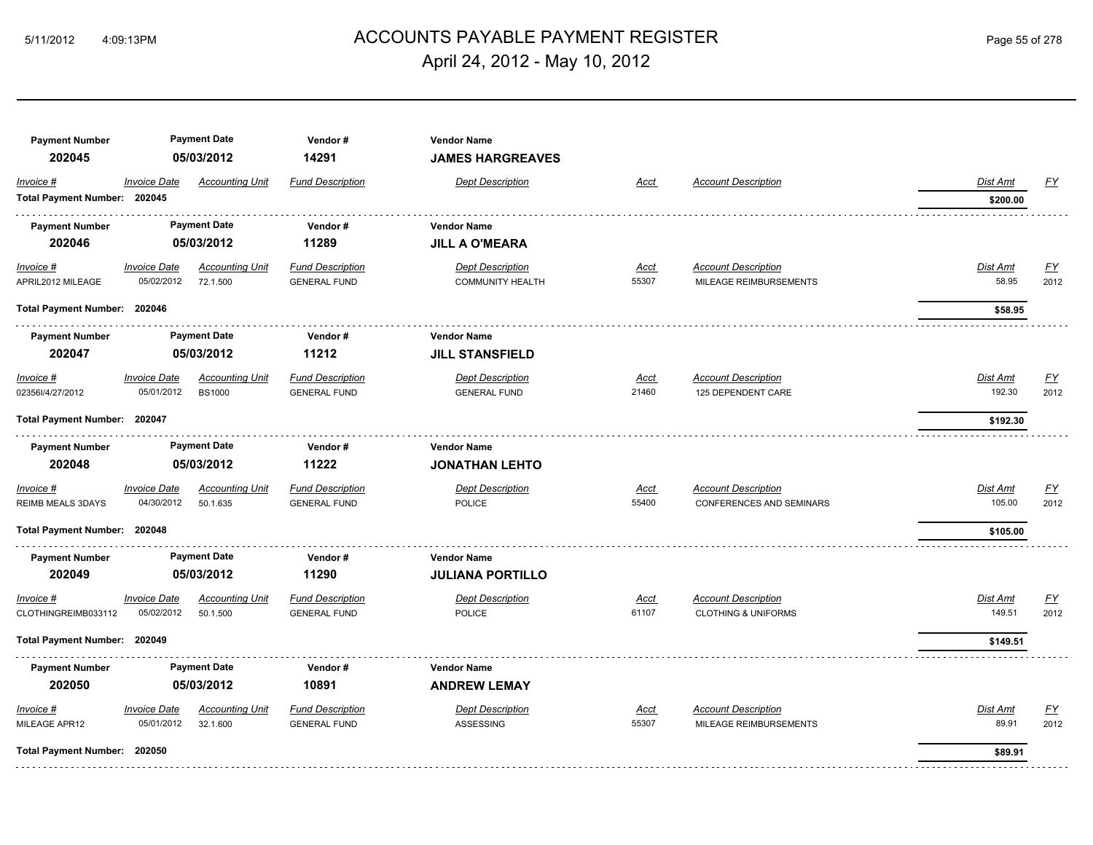# ACCOUNTS PAYABLE PAYMENT REGISTER 5/11/2012 4:09:13PM Page 55 of 278 April 24, 2012 - May 10, 2012

| <b>Payment Number</b><br>202045  |                                   | <b>Payment Date</b><br>05/03/2012  | Vendor#<br>14291                               | <b>Vendor Name</b><br><b>JAMES HARGREAVES</b>      |               |                                                      |                   |                                   |
|----------------------------------|-----------------------------------|------------------------------------|------------------------------------------------|----------------------------------------------------|---------------|------------------------------------------------------|-------------------|-----------------------------------|
| Invoice #                        | <b>Invoice Date</b>               | <b>Accounting Unit</b>             | <b>Fund Description</b>                        | <b>Dept Description</b>                            | Acct          | <b>Account Description</b>                           | Dist Amt          | <u>FY</u>                         |
| Total Payment Number: 202045     |                                   |                                    |                                                |                                                    |               |                                                      | \$200.00          |                                   |
| <b>Payment Number</b>            |                                   | <b>Payment Date</b>                | Vendor#                                        | <b>Vendor Name</b>                                 |               |                                                      |                   |                                   |
| 202046                           |                                   | 05/03/2012                         | 11289                                          | <b>JILL A O'MEARA</b>                              |               |                                                      |                   |                                   |
| $Invoice$ #<br>APRIL2012 MILEAGE | <b>Invoice Date</b><br>05/02/2012 | <b>Accounting Unit</b><br>72.1.500 | <b>Fund Description</b><br><b>GENERAL FUND</b> | <b>Dept Description</b><br><b>COMMUNITY HEALTH</b> | Acct<br>55307 | <b>Account Description</b><br>MILEAGE REIMBURSEMENTS | Dist Amt<br>58.95 | $\underline{\mathsf{FY}}$<br>2012 |
| Total Payment Number: 202046     |                                   |                                    |                                                |                                                    |               |                                                      | \$58.95           |                                   |
| <b>Payment Number</b>            |                                   | <b>Payment Date</b>                | Vendor#                                        | <b>Vendor Name</b>                                 |               |                                                      |                   |                                   |
| 202047                           |                                   | 05/03/2012                         | 11212                                          | <b>JILL STANSFIELD</b>                             |               |                                                      |                   |                                   |
| $Invoice$ #                      | <b>Invoice Date</b>               | <b>Accounting Unit</b>             | <b>Fund Description</b>                        | <b>Dept Description</b>                            | <u>Acct</u>   | <b>Account Description</b>                           | Dist Amt          | <u>FY</u>                         |
| 02356I/4/27/2012                 | 05/01/2012                        | <b>BS1000</b>                      | <b>GENERAL FUND</b>                            | <b>GENERAL FUND</b>                                | 21460         | 125 DEPENDENT CARE                                   | 192.30            | 2012                              |
| Total Payment Number: 202047     |                                   |                                    |                                                |                                                    |               |                                                      | \$192.30          |                                   |
| <b>Payment Number</b>            |                                   | <b>Payment Date</b>                | Vendor#                                        | <b>Vendor Name</b>                                 |               |                                                      |                   |                                   |
| 202048                           |                                   | 05/03/2012                         | 11222                                          | <b>JONATHAN LEHTO</b>                              |               |                                                      |                   |                                   |
| Invoice #                        | <b>Invoice Date</b>               | <b>Accounting Unit</b>             | <b>Fund Description</b>                        | <b>Dept Description</b>                            | Acct          | <b>Account Description</b>                           | Dist Amt          | $\underline{\mathsf{FY}}$         |
| <b>REIMB MEALS 3DAYS</b>         | 04/30/2012                        | 50.1.635                           | <b>GENERAL FUND</b>                            | <b>POLICE</b>                                      | 55400         | <b>CONFERENCES AND SEMINARS</b>                      | 105.00            | 2012                              |
| Total Payment Number: 202048     |                                   |                                    |                                                |                                                    |               |                                                      | \$105.00          |                                   |
| <b>Payment Number</b>            |                                   | <b>Payment Date</b>                | Vendor#                                        | <b>Vendor Name</b>                                 |               |                                                      |                   |                                   |
| 202049                           |                                   | 05/03/2012                         | 11290                                          | <b>JULIANA PORTILLO</b>                            |               |                                                      |                   |                                   |
| Invoice #                        | <b>Invoice Date</b>               | <b>Accounting Unit</b>             | <b>Fund Description</b>                        | <b>Dept Description</b>                            | Acct          | <b>Account Description</b>                           | Dist Amt          | <u>FY</u>                         |
| CLOTHINGREIMB033112              | 05/02/2012                        | 50.1.500                           | <b>GENERAL FUND</b>                            | <b>POLICE</b>                                      | 61107         | <b>CLOTHING &amp; UNIFORMS</b>                       | 149.51            | 2012                              |
| Total Payment Number: 202049     |                                   |                                    |                                                |                                                    |               |                                                      | \$149.51          |                                   |
| <b>Payment Number</b>            |                                   | <b>Payment Date</b>                | Vendor#                                        | <b>Vendor Name</b>                                 |               |                                                      |                   |                                   |
| 202050                           |                                   | 05/03/2012                         | 10891                                          | <b>ANDREW LEMAY</b>                                |               |                                                      |                   |                                   |
| Invoice #                        | <b>Invoice Date</b>               | <b>Accounting Unit</b>             | <b>Fund Description</b>                        | <b>Dept Description</b>                            | Acct          | <b>Account Description</b>                           | Dist Amt          | <u>FY</u>                         |
| MILEAGE APR12                    | 05/01/2012                        | 32.1.600                           | <b>GENERAL FUND</b>                            | ASSESSING                                          | 55307         | MILEAGE REIMBURSEMENTS                               | 89.91             | 2012                              |
| Total Payment Number: 202050     |                                   |                                    |                                                |                                                    |               |                                                      | \$89.91           |                                   |
|                                  |                                   |                                    |                                                |                                                    |               |                                                      |                   |                                   |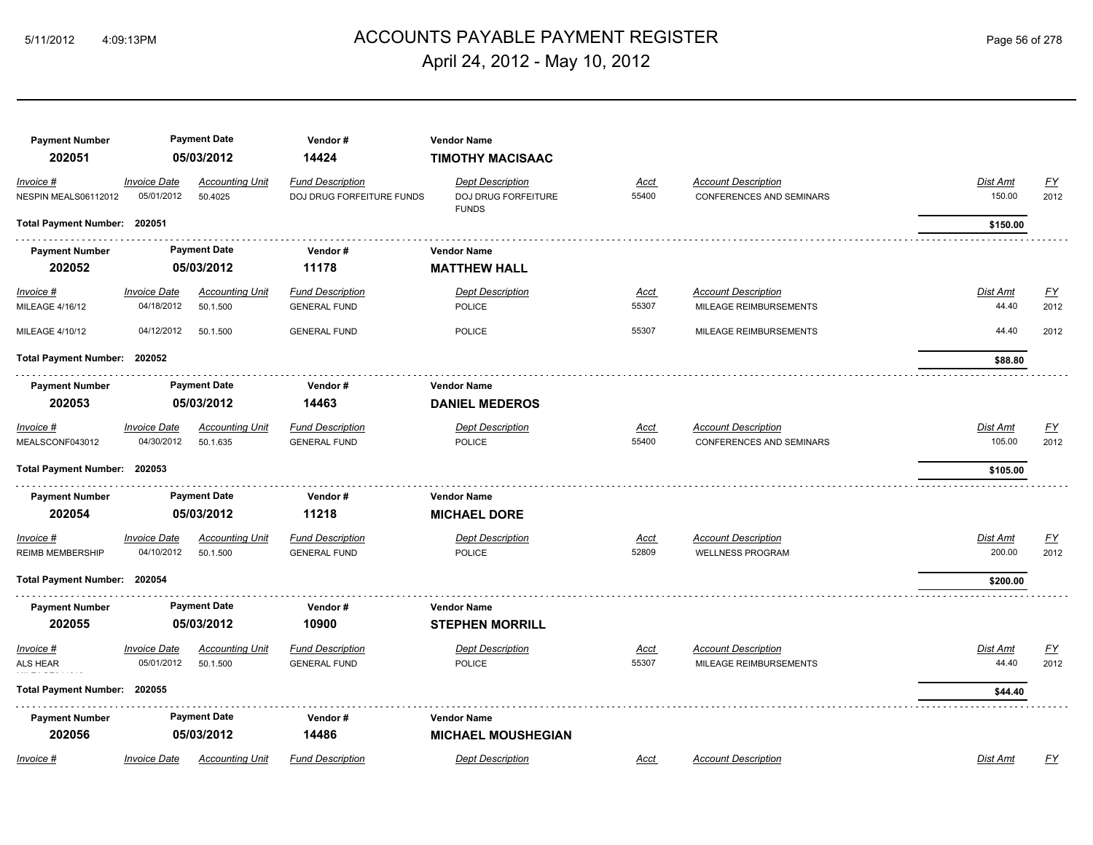# ACCOUNTS PAYABLE PAYMENT REGISTER 5/11/2012 4:09:13PM Page 56 of 278 April 24, 2012 - May 10, 2012

| <b>Payment Number</b>                |                                   | <b>Payment Date</b>                | Vendor#                                                     | <b>Vendor Name</b>                                             |                      |                                                               |                    |                   |
|--------------------------------------|-----------------------------------|------------------------------------|-------------------------------------------------------------|----------------------------------------------------------------|----------------------|---------------------------------------------------------------|--------------------|-------------------|
| 202051                               |                                   | 05/03/2012                         | 14424                                                       | <b>TIMOTHY MACISAAC</b>                                        |                      |                                                               |                    |                   |
| Invoice #<br>NESPIN MEALS06112012    | <b>Invoice Date</b><br>05/01/2012 | <b>Accounting Unit</b><br>50.4025  | <b>Fund Description</b><br><b>DOJ DRUG FORFEITURE FUNDS</b> | <b>Dept Description</b><br>DOJ DRUG FORFEITURE<br><b>FUNDS</b> | Acct<br>55400        | <b>Account Description</b><br><b>CONFERENCES AND SEMINARS</b> | Dist Amt<br>150.00 | <b>FY</b><br>2012 |
| Total Payment Number: 202051         |                                   |                                    |                                                             |                                                                |                      |                                                               | \$150.00           |                   |
| <b>Payment Number</b>                |                                   | <b>Payment Date</b>                | Vendor#                                                     | Vendor Name                                                    |                      |                                                               |                    |                   |
| 202052                               |                                   | 05/03/2012                         | 11178                                                       | <b>MATTHEW HALL</b>                                            |                      |                                                               |                    |                   |
| $Invoice$ #<br>MILEAGE 4/16/12       | <b>Invoice Date</b><br>04/18/2012 | <b>Accounting Unit</b><br>50.1.500 | <b>Fund Description</b><br><b>GENERAL FUND</b>              | <b>Dept Description</b><br>POLICE                              | <u>Acct</u><br>55307 | <b>Account Description</b><br>MILEAGE REIMBURSEMENTS          | Dist Amt<br>44.40  | EY<br>2012        |
| MILEAGE 4/10/12                      | 04/12/2012                        | 50.1.500                           | <b>GENERAL FUND</b>                                         | <b>POLICE</b>                                                  | 55307                | MILEAGE REIMBURSEMENTS                                        | 44.40              | 2012              |
| Total Payment Number: 202052         |                                   |                                    |                                                             |                                                                |                      |                                                               | \$88.80            |                   |
| <b>Payment Number</b>                |                                   | <b>Payment Date</b>                | Vendor#                                                     | <b>Vendor Name</b>                                             |                      |                                                               |                    |                   |
| 202053                               |                                   | 05/03/2012                         | 14463                                                       | <b>DANIEL MEDEROS</b>                                          |                      |                                                               |                    |                   |
| Invoice #<br>MEALSCONF043012         | <b>Invoice Date</b><br>04/30/2012 | <b>Accounting Unit</b><br>50.1.635 | <b>Fund Description</b><br><b>GENERAL FUND</b>              | <b>Dept Description</b><br><b>POLICE</b>                       | Acct<br>55400        | <b>Account Description</b><br><b>CONFERENCES AND SEMINARS</b> | Dist Amt<br>105.00 | EY<br>2012        |
| Total Payment Number: 202053         |                                   |                                    |                                                             |                                                                |                      |                                                               | \$105.00           |                   |
| <b>Payment Number</b>                |                                   | <b>Payment Date</b>                | Vendor#                                                     | <b>Vendor Name</b>                                             |                      |                                                               |                    |                   |
| 202054                               |                                   | 05/03/2012                         | 11218                                                       | <b>MICHAEL DORE</b>                                            |                      |                                                               |                    |                   |
| Invoice #<br><b>REIMB MEMBERSHIP</b> | <b>Invoice Date</b><br>04/10/2012 | <b>Accounting Unit</b><br>50.1.500 | <b>Fund Description</b><br><b>GENERAL FUND</b>              | <b>Dept Description</b><br>POLICE                              | <b>Acct</b><br>52809 | <b>Account Description</b><br><b>WELLNESS PROGRAM</b>         | Dist Amt<br>200.00 | <u>FY</u><br>2012 |
| Total Payment Number: 202054         |                                   |                                    |                                                             |                                                                |                      |                                                               | \$200.00           |                   |
| <b>Payment Number</b>                |                                   | <b>Payment Date</b>                | Vendor#                                                     | <b>Vendor Name</b>                                             |                      |                                                               |                    |                   |
| 202055                               |                                   | 05/03/2012                         | 10900                                                       | <b>STEPHEN MORRILL</b>                                         |                      |                                                               |                    |                   |
| Invoice #<br><b>ALS HEAR</b>         | <b>Invoice Date</b><br>05/01/2012 | <b>Accounting Unit</b><br>50.1.500 | <b>Fund Description</b><br><b>GENERAL FUND</b>              | <b>Dept Description</b><br><b>POLICE</b>                       | Acct<br>55307        | <b>Account Description</b><br>MILEAGE REIMBURSEMENTS          | Dist Amt<br>44.40  | EY<br>2012        |
| Total Payment Number: 202055         |                                   |                                    |                                                             |                                                                |                      |                                                               | \$44.40            |                   |
| <b>Payment Number</b>                |                                   | <b>Payment Date</b>                | Vendor#                                                     | <b>Vendor Name</b>                                             |                      |                                                               |                    |                   |
| 202056                               |                                   | 05/03/2012                         | 14486                                                       | <b>MICHAEL MOUSHEGIAN</b>                                      |                      |                                                               |                    |                   |
| Invoice #                            | <b>Invoice Date</b>               | <b>Accounting Unit</b>             | <b>Fund Description</b>                                     | <b>Dept Description</b>                                        | Acct                 | <b>Account Description</b>                                    | Dist Amt           | FY                |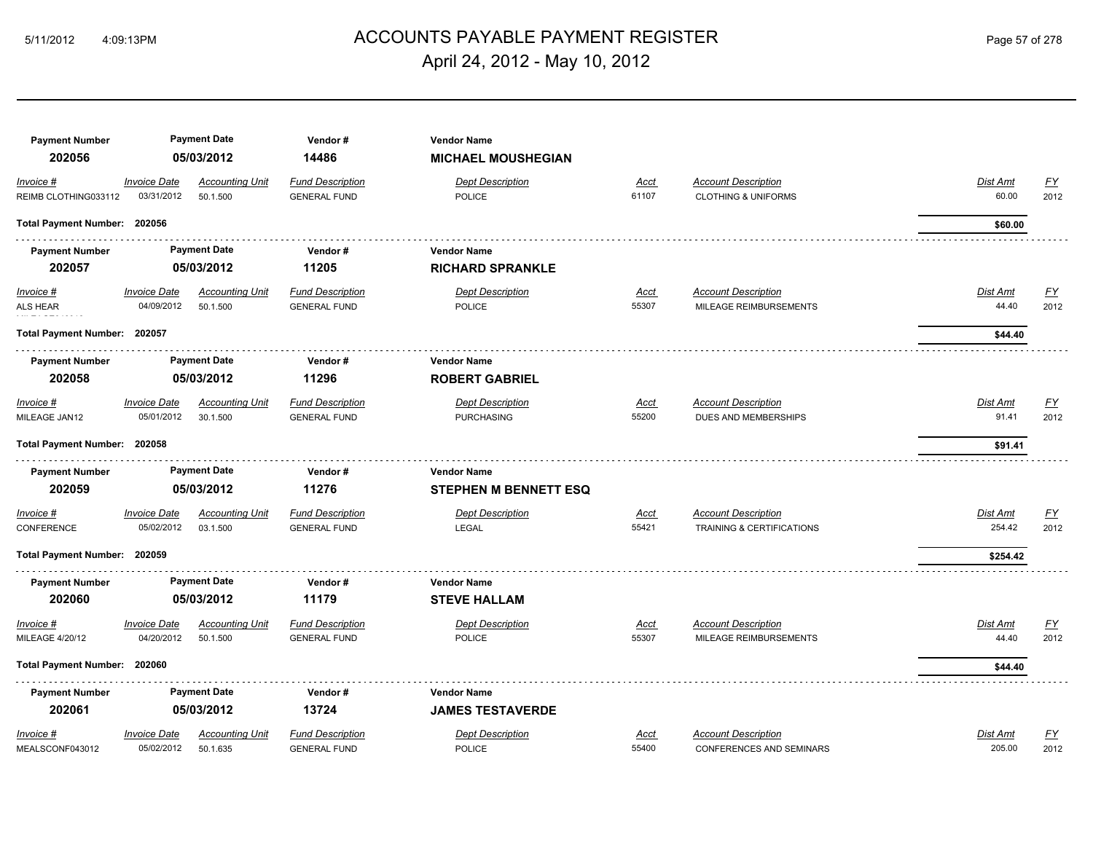# 5/11/2012 4:09:13PM ACCOUNTS PAYABLE PAYMENT REGISTER Page 57 of 278 April 24, 2012 - May 10, 2012

| <b>Payment Number</b><br>202056 |                                   | <b>Payment Date</b><br>05/03/2012  | Vendor#<br>14486                               | <b>Vendor Name</b><br><b>MICHAEL MOUSHEGIAN</b> |               |                                                      |                          |                   |
|---------------------------------|-----------------------------------|------------------------------------|------------------------------------------------|-------------------------------------------------|---------------|------------------------------------------------------|--------------------------|-------------------|
| Invoice #                       | <b>Invoice Date</b>               | <b>Accounting Unit</b>             | <b>Fund Description</b>                        | <b>Dept Description</b>                         | Acct          | <b>Account Description</b>                           | Dist Amt                 | <u>FY</u>         |
| REIMB CLOTHING033112            | 03/31/2012                        | 50.1.500                           | <b>GENERAL FUND</b>                            | <b>POLICE</b>                                   | 61107         | <b>CLOTHING &amp; UNIFORMS</b>                       | 60.00                    | 2012              |
| Total Payment Number: 202056    |                                   |                                    |                                                |                                                 |               |                                                      | \$60.00                  |                   |
| <b>Payment Number</b>           |                                   | <b>Payment Date</b>                | Vendor#                                        | <b>Vendor Name</b>                              |               |                                                      |                          |                   |
| 202057                          |                                   | 05/03/2012                         | 11205                                          | <b>RICHARD SPRANKLE</b>                         |               |                                                      |                          |                   |
| $Invoice$ #<br>ALS HEAR         | <b>Invoice Date</b><br>04/09/2012 | <b>Accounting Unit</b><br>50.1.500 | <b>Fund Description</b><br><b>GENERAL FUND</b> | <b>Dept Description</b><br>POLICE               | Acct<br>55307 | <b>Account Description</b><br>MILEAGE REIMBURSEMENTS | <b>Dist Amt</b><br>44.40 | <u>FY</u><br>2012 |
| Total Payment Number: 202057    |                                   |                                    |                                                |                                                 |               |                                                      | \$44.40                  |                   |
| <b>Payment Number</b>           |                                   | <b>Payment Date</b>                | Vendor#                                        | <b>Vendor Name</b>                              |               |                                                      |                          |                   |
| 202058                          |                                   | 05/03/2012                         | 11296                                          | <b>ROBERT GABRIEL</b>                           |               |                                                      |                          |                   |
| Invoice #                       | <b>Invoice Date</b>               | <b>Accounting Unit</b>             | <b>Fund Description</b>                        | <b>Dept Description</b>                         | Acct          | <b>Account Description</b>                           | Dist Amt                 | <u>FY</u>         |
| MILEAGE JAN12                   | 05/01/2012                        | 30.1.500                           | <b>GENERAL FUND</b>                            | <b>PURCHASING</b>                               | 55200         | DUES AND MEMBERSHIPS                                 | 91.41                    | 2012              |
| <b>Total Payment Number:</b>    | 202058                            |                                    |                                                |                                                 |               |                                                      | \$91.41                  |                   |
| <b>Payment Number</b>           |                                   | <b>Payment Date</b>                | Vendor#                                        | <b>Vendor Name</b>                              |               |                                                      |                          |                   |
| 202059                          |                                   | 05/03/2012                         | 11276                                          | <b>STEPHEN M BENNETT ESQ</b>                    |               |                                                      |                          |                   |
| Invoice #                       | <b>Invoice Date</b>               | <b>Accounting Unit</b>             | <b>Fund Description</b>                        | <b>Dept Description</b>                         | Acct          | <b>Account Description</b>                           | Dist Amt                 | <u>FY</u>         |
| CONFERENCE                      | 05/02/2012                        | 03.1.500                           | <b>GENERAL FUND</b>                            | <b>LEGAL</b>                                    | 55421         | <b>TRAINING &amp; CERTIFICATIONS</b>                 | 254.42                   | 2012              |
| Total Payment Number: 202059    |                                   |                                    |                                                |                                                 |               |                                                      | \$254.42                 |                   |
| <b>Payment Number</b>           |                                   | <b>Payment Date</b>                | Vendor#                                        | <b>Vendor Name</b>                              |               |                                                      |                          |                   |
| 202060                          |                                   | 05/03/2012                         | 11179                                          | <b>STEVE HALLAM</b>                             |               |                                                      |                          |                   |
| Invoice #                       | <b>Invoice Date</b>               | <b>Accounting Unit</b>             | <b>Fund Description</b>                        | <b>Dept Description</b>                         | Acct          | <b>Account Description</b>                           | Dist Amt                 | <u>FY</u>         |
| MILEAGE 4/20/12                 | 04/20/2012                        | 50.1.500                           | <b>GENERAL FUND</b>                            | <b>POLICE</b>                                   | 55307         | MILEAGE REIMBURSEMENTS                               | 44.40                    | 2012              |
| <b>Total Payment Number:</b>    | 202060                            |                                    |                                                |                                                 |               |                                                      | \$44.40                  |                   |
| <b>Payment Number</b>           |                                   | <b>Payment Date</b>                | Vendor#                                        | <b>Vendor Name</b>                              |               |                                                      |                          |                   |
| 202061                          |                                   | 05/03/2012                         | 13724                                          | <b>JAMES TESTAVERDE</b>                         |               |                                                      |                          |                   |
| Invoice #                       | <b>Invoice Date</b>               | <b>Accounting Unit</b>             | <b>Fund Description</b>                        | <b>Dept Description</b>                         | <b>Acct</b>   | <b>Account Description</b>                           | Dist Amt                 | <u>FY</u>         |
| MEALSCONF043012                 | 05/02/2012                        | 50.1.635                           | <b>GENERAL FUND</b>                            | <b>POLICE</b>                                   | 55400         | <b>CONFERENCES AND SEMINARS</b>                      | 205.00                   | 2012              |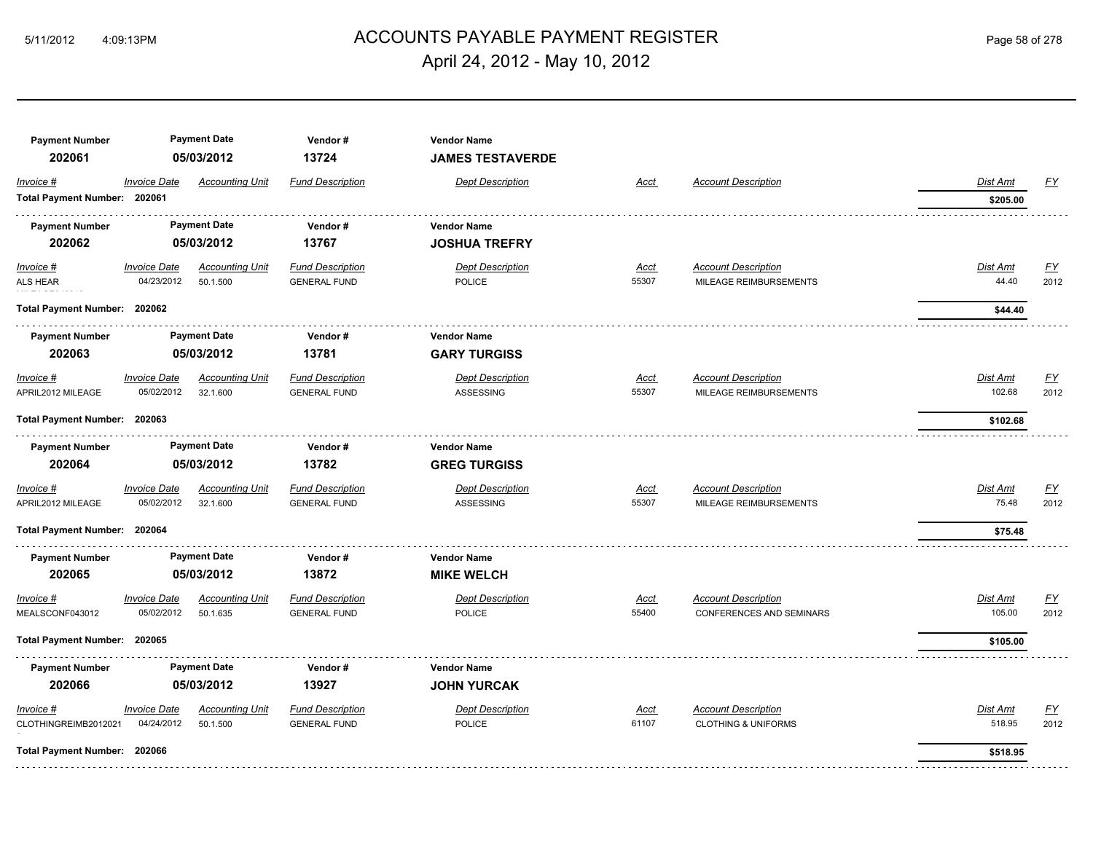# ACCOUNTS PAYABLE PAYMENT REGISTER 5/11/2012 4:09:13PM Page 58 of 278 April 24, 2012 - May 10, 2012

| <b>Payment Number</b><br>202061 |                            | <b>Payment Date</b><br>05/03/2012 | Vendor#<br>13724        | <b>Vendor Name</b><br><b>JAMES TESTAVERDE</b> |             |                                |                 |                           |
|---------------------------------|----------------------------|-----------------------------------|-------------------------|-----------------------------------------------|-------------|--------------------------------|-----------------|---------------------------|
| Invoice #                       | <i><b>Invoice Date</b></i> | <b>Accounting Unit</b>            | <b>Fund Description</b> | <b>Dept Description</b>                       | Acct        | <b>Account Description</b>     | Dist Amt        | EY                        |
| Total Payment Number: 202061    |                            |                                   |                         |                                               |             |                                | \$205.00        |                           |
| <b>Payment Number</b>           |                            | <b>Payment Date</b>               | Vendor#                 | <b>Vendor Name</b>                            |             |                                |                 |                           |
| 202062                          |                            | 05/03/2012                        | 13767                   | <b>JOSHUA TREFRY</b>                          |             |                                |                 |                           |
| $Invoice$ #                     | <b>Invoice Date</b>        | <b>Accounting Unit</b>            | <b>Fund Description</b> | <b>Dept Description</b>                       | Acct        | <b>Account Description</b>     | <u>Dist Amt</u> | <u>FY</u>                 |
| ALS HEAR                        | 04/23/2012                 | 50.1.500                          | <b>GENERAL FUND</b>     | <b>POLICE</b>                                 | 55307       | MILEAGE REIMBURSEMENTS         | 44.40           | 2012                      |
| Total Payment Number: 202062    |                            |                                   |                         |                                               |             |                                | \$44.40         |                           |
| <b>Payment Number</b>           |                            | <b>Payment Date</b>               | Vendor#                 | <b>Vendor Name</b>                            |             |                                |                 |                           |
| 202063                          |                            | 05/03/2012                        | 13781                   | <b>GARY TURGISS</b>                           |             |                                |                 |                           |
| Invoice #                       | <b>Invoice Date</b>        | <b>Accounting Unit</b>            | <b>Fund Description</b> | <b>Dept Description</b>                       | Acct        | <b>Account Description</b>     | Dist Amt        | EY                        |
| APRIL2012 MILEAGE               | 05/02/2012                 | 32.1.600                          | <b>GENERAL FUND</b>     | ASSESSING                                     | 55307       | MILEAGE REIMBURSEMENTS         | 102.68          | 2012                      |
| Total Payment Number: 202063    |                            |                                   |                         |                                               |             |                                | \$102.68        |                           |
| <b>Payment Number</b>           |                            | <b>Payment Date</b>               | Vendor#                 | <b>Vendor Name</b>                            |             |                                |                 |                           |
| 202064                          |                            | 05/03/2012                        | 13782                   | <b>GREG TURGISS</b>                           |             |                                |                 |                           |
| Invoice #                       | <b>Invoice Date</b>        | <b>Accounting Unit</b>            | <b>Fund Description</b> | <b>Dept Description</b>                       | Acct        | <b>Account Description</b>     | Dist Amt        | $\underline{\mathsf{FY}}$ |
| APRIL2012 MILEAGE               | 05/02/2012                 | 32.1.600                          | <b>GENERAL FUND</b>     | <b>ASSESSING</b>                              | 55307       | MILEAGE REIMBURSEMENTS         | 75.48           | 2012                      |
| Total Payment Number: 202064    |                            |                                   |                         |                                               |             |                                | \$75.48         |                           |
| <b>Payment Number</b>           |                            | <b>Payment Date</b>               | Vendor#                 | <b>Vendor Name</b>                            |             |                                |                 |                           |
| 202065                          |                            | 05/03/2012                        | 13872                   | <b>MIKE WELCH</b>                             |             |                                |                 |                           |
| Invoice #                       | <b>Invoice Date</b>        | <b>Accounting Unit</b>            | <b>Fund Description</b> | <b>Dept Description</b>                       | <u>Acct</u> | <b>Account Description</b>     | Dist Amt        | <u>FY</u>                 |
| MEALSCONF043012                 | 05/02/2012                 | 50.1.635                          | <b>GENERAL FUND</b>     | <b>POLICE</b>                                 | 55400       | CONFERENCES AND SEMINARS       | 105.00          | 2012                      |
| <b>Total Payment Number:</b>    | 202065                     |                                   |                         |                                               |             |                                | \$105.00        |                           |
| <b>Payment Number</b>           |                            | <b>Payment Date</b>               | Vendor#                 | <b>Vendor Name</b>                            |             |                                |                 |                           |
| 202066                          |                            | 05/03/2012                        | 13927                   | <b>JOHN YURCAK</b>                            |             |                                |                 |                           |
| Invoice #                       | <b>Invoice Date</b>        | <b>Accounting Unit</b>            | <b>Fund Description</b> | <b>Dept Description</b>                       | Acct        | <b>Account Description</b>     | Dist Amt        | <u>FY</u>                 |
| CLOTHINGREIMB2012021            | 04/24/2012                 | 50.1.500                          | <b>GENERAL FUND</b>     | POLICE                                        | 61107       | <b>CLOTHING &amp; UNIFORMS</b> | 518.95          | 2012                      |
| Total Payment Number: 202066    |                            |                                   |                         |                                               |             |                                | \$518.95        |                           |
|                                 |                            |                                   |                         |                                               |             |                                |                 |                           |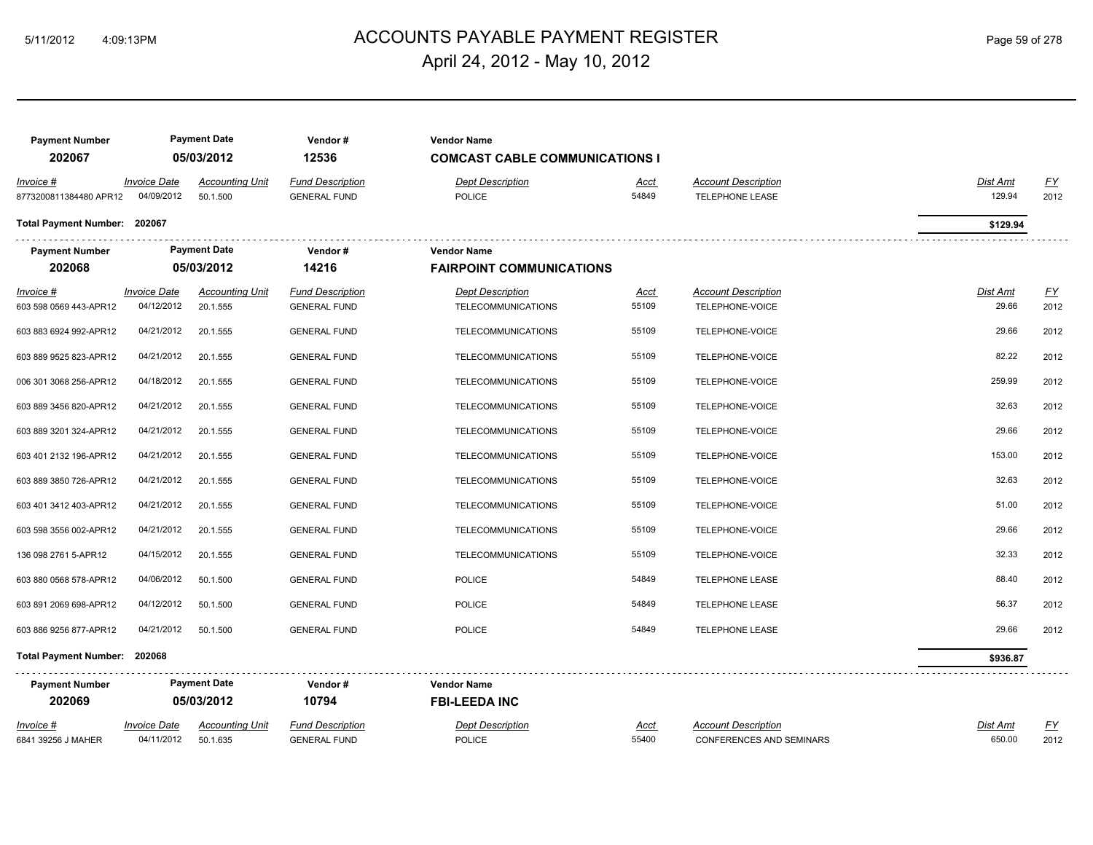# ACCOUNTS PAYABLE PAYMENT REGISTER 5/11/2012 4:09:13PM Page 59 of 278 April 24, 2012 - May 10, 2012

| <b>Payment Number</b><br>202067     |                                   | <b>Payment Date</b><br>05/03/2012  | Vendor#<br>12536                               | <b>Vendor Name</b><br><b>COMCAST CABLE COMMUNICATIONS I</b> |                      |                                                        |                    |                   |
|-------------------------------------|-----------------------------------|------------------------------------|------------------------------------------------|-------------------------------------------------------------|----------------------|--------------------------------------------------------|--------------------|-------------------|
| Invoice #<br>8773200811384480 APR12 | <b>Invoice Date</b><br>04/09/2012 | <b>Accounting Unit</b><br>50.1.500 | <b>Fund Description</b><br><b>GENERAL FUND</b> | <b>Dept Description</b><br><b>POLICE</b>                    | Acct<br>54849        | <b>Account Description</b><br><b>TELEPHONE LEASE</b>   | Dist Amt<br>129.94 | <u>FY</u><br>2012 |
| Total Payment Number: 202067        |                                   |                                    |                                                |                                                             |                      |                                                        | \$129.94           |                   |
| <b>Payment Number</b>               |                                   | <b>Payment Date</b>                | Vendor#                                        | <b>Vendor Name</b>                                          |                      |                                                        |                    |                   |
| 202068                              |                                   | 05/03/2012                         | 14216                                          | <b>FAIRPOINT COMMUNICATIONS</b>                             |                      |                                                        |                    |                   |
| Invoice #<br>603 598 0569 443-APR12 | <b>Invoice Date</b><br>04/12/2012 | <b>Accounting Unit</b><br>20.1.555 | <b>Fund Description</b><br><b>GENERAL FUND</b> | <b>Dept Description</b><br><b>TELECOMMUNICATIONS</b>        | <u>Acct</u><br>55109 | <b>Account Description</b><br>TELEPHONE-VOICE          | Dist Amt<br>29.66  | <u>FY</u><br>2012 |
| 603 883 6924 992-APR12              | 04/21/2012                        | 20.1.555                           | <b>GENERAL FUND</b>                            | TELECOMMUNICATIONS                                          | 55109                | TELEPHONE-VOICE                                        | 29.66              | 2012              |
| 603 889 9525 823-APR12              | 04/21/2012                        | 20.1.555                           | <b>GENERAL FUND</b>                            | <b>TELECOMMUNICATIONS</b>                                   | 55109                | TELEPHONE-VOICE                                        | 82.22              | 2012              |
| 006 301 3068 256-APR12              | 04/18/2012                        | 20.1.555                           | <b>GENERAL FUND</b>                            | TELECOMMUNICATIONS                                          | 55109                | TELEPHONE-VOICE                                        | 259.99             | 2012              |
| 603 889 3456 820-APR12              | 04/21/2012                        | 20.1.555                           | <b>GENERAL FUND</b>                            | <b>TELECOMMUNICATIONS</b>                                   | 55109                | TELEPHONE-VOICE                                        | 32.63              | 2012              |
| 603 889 3201 324-APR12              | 04/21/2012                        | 20.1.555                           | <b>GENERAL FUND</b>                            | TELECOMMUNICATIONS                                          | 55109                | TELEPHONE-VOICE                                        | 29.66              | 2012              |
| 603 401 2132 196-APR12              | 04/21/2012                        | 20.1.555                           | <b>GENERAL FUND</b>                            | <b>TELECOMMUNICATIONS</b>                                   | 55109                | TELEPHONE-VOICE                                        | 153.00             | 2012              |
| 603 889 3850 726-APR12              | 04/21/2012                        | 20.1.555                           | <b>GENERAL FUND</b>                            | <b>TELECOMMUNICATIONS</b>                                   | 55109                | TELEPHONE-VOICE                                        | 32.63              | 2012              |
| 603 401 3412 403-APR12              | 04/21/2012                        | 20.1.555                           | <b>GENERAL FUND</b>                            | <b>TELECOMMUNICATIONS</b>                                   | 55109                | TELEPHONE-VOICE                                        | 51.00              | 2012              |
| 603 598 3556 002-APR12              | 04/21/2012                        | 20.1.555                           | <b>GENERAL FUND</b>                            | <b>TELECOMMUNICATIONS</b>                                   | 55109                | TELEPHONE-VOICE                                        | 29.66              | 2012              |
| 136 098 2761 5-APR12                | 04/15/2012                        | 20.1.555                           | <b>GENERAL FUND</b>                            | <b>TELECOMMUNICATIONS</b>                                   | 55109                | TELEPHONE-VOICE                                        | 32.33              | 2012              |
| 603 880 0568 578-APR12              | 04/06/2012                        | 50.1.500                           | <b>GENERAL FUND</b>                            | <b>POLICE</b>                                               | 54849                | <b>TELEPHONE LEASE</b>                                 | 88.40              | 2012              |
| 603 891 2069 698-APR12              | 04/12/2012                        | 50.1.500                           | <b>GENERAL FUND</b>                            | <b>POLICE</b>                                               | 54849                | <b>TELEPHONE LEASE</b>                                 | 56.37              | 2012              |
| 603 886 9256 877-APR12              | 04/21/2012                        | 50.1.500                           | <b>GENERAL FUND</b>                            | <b>POLICE</b>                                               | 54849                | <b>TELEPHONE LEASE</b>                                 | 29.66              | 2012              |
| Total Payment Number: 202068        |                                   |                                    |                                                |                                                             |                      |                                                        | \$936.87           |                   |
| <b>Payment Number</b>               |                                   | <b>Payment Date</b>                | Vendor#                                        | <b>Vendor Name</b>                                          |                      |                                                        |                    |                   |
| 202069                              |                                   | 05/03/2012                         | 10794                                          | <b>FBI-LEEDA INC</b>                                        |                      |                                                        |                    |                   |
| Invoice #<br>6841 39256 J MAHER     | Invoice Date<br>04/11/2012        | <b>Accounting Unit</b><br>50.1.635 | <b>Fund Description</b><br><b>GENERAL FUND</b> | <b>Dept Description</b><br><b>POLICE</b>                    | <u>Acct</u><br>55400 | <b>Account Description</b><br>CONFERENCES AND SEMINARS | Dist Amt<br>650.00 | <u>FY</u><br>2012 |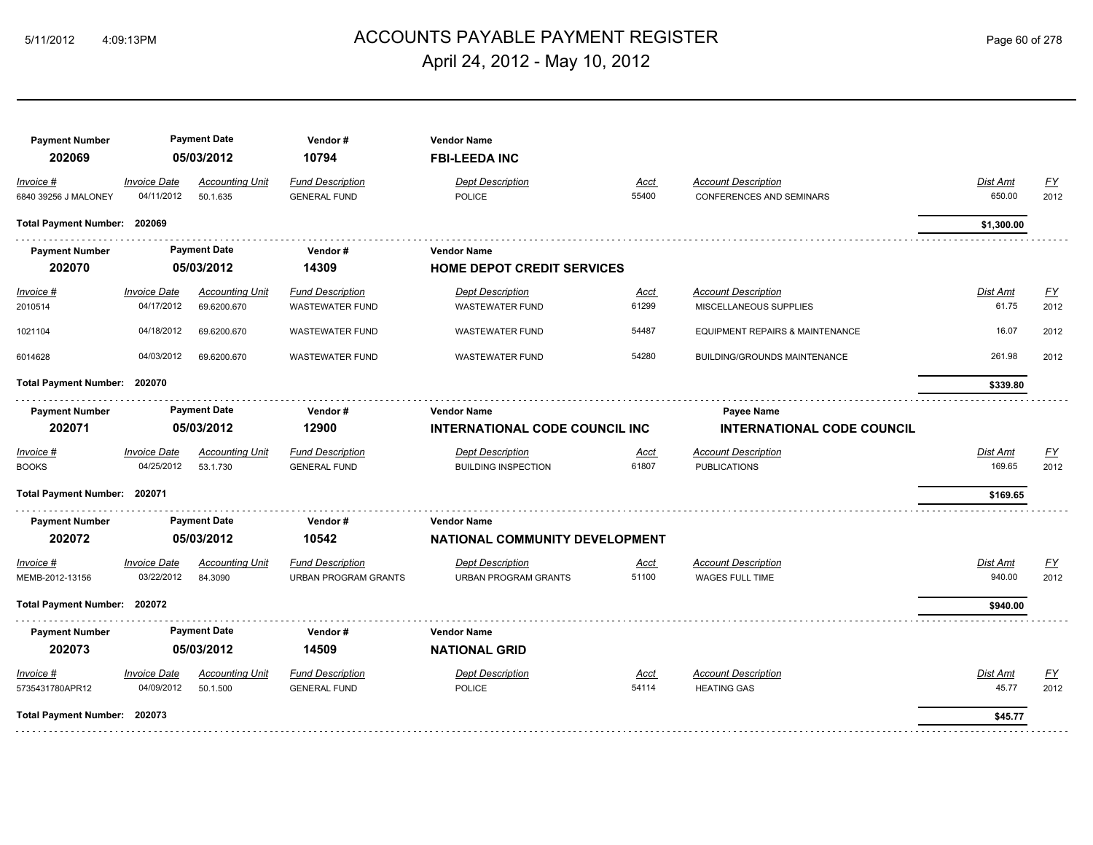# ACCOUNTS PAYABLE PAYMENT REGISTER 5/11/2012 4:09:13PM Page 60 of 278 April 24, 2012 - May 10, 2012

| <b>Payment Number</b><br>202069   |                                   | <b>Payment Date</b><br>05/03/2012     | Vendor#<br>10794                                       | <b>Vendor Name</b><br><b>FBI-LEEDA INC</b>                  |                      |                                                               |                    |                                   |
|-----------------------------------|-----------------------------------|---------------------------------------|--------------------------------------------------------|-------------------------------------------------------------|----------------------|---------------------------------------------------------------|--------------------|-----------------------------------|
| Invoice #<br>6840 39256 J MALONEY | <b>Invoice Date</b><br>04/11/2012 | <b>Accounting Unit</b><br>50.1.635    | <b>Fund Description</b><br><b>GENERAL FUND</b>         | <b>Dept Description</b><br><b>POLICE</b>                    | Acct<br>55400        | <b>Account Description</b><br><b>CONFERENCES AND SEMINARS</b> | Dist Amt<br>650.00 | <u>FY</u><br>2012                 |
| <b>Total Payment Number:</b>      | 202069                            |                                       |                                                        |                                                             |                      |                                                               | \$1,300.00         |                                   |
| <b>Payment Number</b><br>202070   |                                   | <b>Payment Date</b><br>05/03/2012     | Vendor#<br>14309                                       | <b>Vendor Name</b><br><b>HOME DEPOT CREDIT SERVICES</b>     |                      |                                                               |                    |                                   |
| Invoice #<br>2010514              | <b>Invoice Date</b><br>04/17/2012 | <b>Accounting Unit</b><br>69.6200.670 | <b>Fund Description</b><br><b>WASTEWATER FUND</b>      | <b>Dept Description</b><br><b>WASTEWATER FUND</b>           | <b>Acct</b><br>61299 | <b>Account Description</b><br>MISCELLANEOUS SUPPLIES          | Dist Amt<br>61.75  | $\underline{\mathsf{FY}}$<br>2012 |
| 1021104                           | 04/18/2012                        | 69.6200.670                           | <b>WASTEWATER FUND</b>                                 | <b>WASTEWATER FUND</b>                                      | 54487                | EQUIPMENT REPAIRS & MAINTENANCE                               | 16.07              | 2012                              |
| 6014628                           | 04/03/2012                        | 69.6200.670                           | <b>WASTEWATER FUND</b>                                 | <b>WASTEWATER FUND</b>                                      | 54280                | <b>BUILDING/GROUNDS MAINTENANCE</b>                           | 261.98             | 2012                              |
| <b>Total Payment Number:</b>      | 202070                            |                                       |                                                        |                                                             |                      |                                                               | \$339.80           |                                   |
| <b>Payment Number</b><br>202071   |                                   | <b>Payment Date</b><br>05/03/2012     | Vendor#<br>12900                                       | <b>Vendor Name</b><br><b>INTERNATIONAL CODE COUNCIL INC</b> |                      | <b>Payee Name</b><br><b>INTERNATIONAL CODE COUNCIL</b>        |                    |                                   |
| Invoice #<br><b>BOOKS</b>         | <b>Invoice Date</b><br>04/25/2012 | <b>Accounting Unit</b><br>53.1.730    | <b>Fund Description</b><br><b>GENERAL FUND</b>         | <b>Dept Description</b><br><b>BUILDING INSPECTION</b>       | Acct<br>61807        | <b>Account Description</b><br><b>PUBLICATIONS</b>             | Dist Amt<br>169.65 | <u>FY</u><br>2012                 |
| Total Payment Number: 202071      |                                   |                                       |                                                        |                                                             |                      |                                                               | \$169.65           |                                   |
| <b>Payment Number</b>             |                                   | <b>Payment Date</b>                   | Vendor#                                                | <b>Vendor Name</b>                                          |                      |                                                               |                    |                                   |
| 202072                            |                                   | 05/03/2012                            | 10542                                                  | NATIONAL COMMUNITY DEVELOPMENT                              |                      |                                                               |                    |                                   |
| Invoice #<br>MEMB-2012-13156      | <b>Invoice Date</b><br>03/22/2012 | <b>Accounting Unit</b><br>84.3090     | <b>Fund Description</b><br><b>URBAN PROGRAM GRANTS</b> | <b>Dept Description</b><br><b>URBAN PROGRAM GRANTS</b>      | Acct<br>51100        | <b>Account Description</b><br><b>WAGES FULL TIME</b>          | Dist Amt<br>940.00 | <u>FY</u><br>2012                 |
| Total Payment Number: 202072      |                                   |                                       |                                                        |                                                             |                      |                                                               | \$940.00           |                                   |
| <b>Payment Number</b>             |                                   | <b>Payment Date</b>                   | Vendor#                                                | <b>Vendor Name</b>                                          |                      |                                                               |                    |                                   |
| 202073                            |                                   | 05/03/2012                            | 14509                                                  | <b>NATIONAL GRID</b>                                        |                      |                                                               |                    |                                   |
| Invoice #<br>5735431780APR12      | <b>Invoice Date</b><br>04/09/2012 | <b>Accounting Unit</b><br>50.1.500    | <b>Fund Description</b><br><b>GENERAL FUND</b>         | <b>Dept Description</b><br><b>POLICE</b>                    | Acct<br>54114        | <b>Account Description</b><br><b>HEATING GAS</b>              | Dist Amt<br>45.77  | <u>FY</u><br>2012                 |
| Total Payment Number: 202073      |                                   |                                       |                                                        |                                                             |                      |                                                               | \$45.77            |                                   |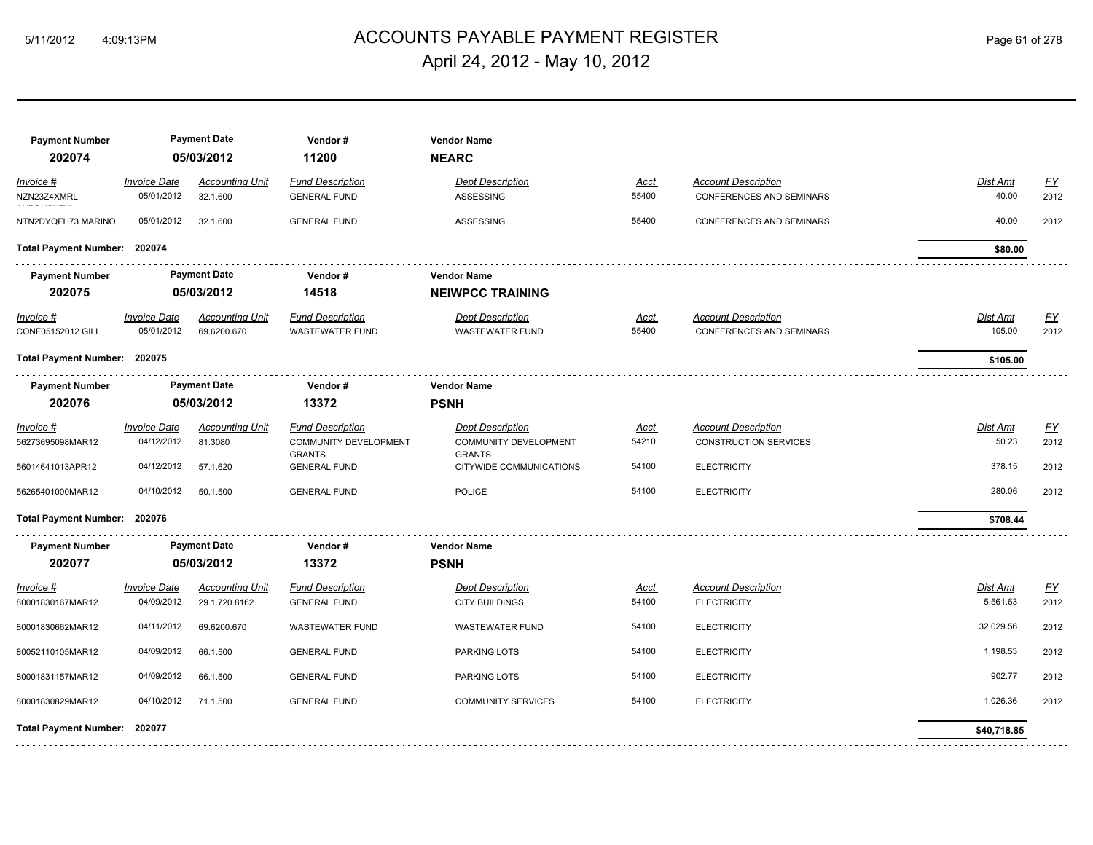# 5/11/2012 4:09:13PM ACCOUNTS PAYABLE PAYMENT REGISTER Page 61 of 278 April 24, 2012 - May 10, 2012

| <b>Payment Number</b><br>202074 |                     | <b>Payment Date</b><br>05/03/2012 | Vendor#<br>11200                              | <b>Vendor Name</b><br><b>NEARC</b>            |             |                                 |                 |           |
|---------------------------------|---------------------|-----------------------------------|-----------------------------------------------|-----------------------------------------------|-------------|---------------------------------|-----------------|-----------|
| Invoice #                       | <b>Invoice Date</b> | <b>Accounting Unit</b>            | <b>Fund Description</b>                       | <b>Dept Description</b>                       | Acct        | <b>Account Description</b>      | Dist Amt        | EY        |
| NZN23Z4XMRL                     | 05/01/2012          | 32.1.600                          | <b>GENERAL FUND</b>                           | <b>ASSESSING</b>                              | 55400       | <b>CONFERENCES AND SEMINARS</b> | 40.00           | 2012      |
| NTN2DYQFH73 MARINO              | 05/01/2012          | 32.1.600                          | <b>GENERAL FUND</b>                           | <b>ASSESSING</b>                              | 55400       | <b>CONFERENCES AND SEMINARS</b> | 40.00           | 2012      |
| Total Payment Number: 202074    |                     |                                   |                                               |                                               |             |                                 | \$80.00         |           |
| <b>Payment Number</b>           |                     | <b>Payment Date</b>               | Vendor#                                       | <b>Vendor Name</b>                            |             |                                 |                 |           |
| 202075                          |                     | 05/03/2012                        | 14518                                         | <b>NEIWPCC TRAINING</b>                       |             |                                 |                 |           |
| Invoice #                       | <b>Invoice Date</b> | <b>Accounting Unit</b>            | <b>Fund Description</b>                       | <b>Dept Description</b>                       | <u>Acct</u> | <b>Account Description</b>      | <b>Dist Amt</b> | EY        |
| CONF05152012 GILL               | 05/01/2012          | 69.6200.670                       | <b>WASTEWATER FUND</b>                        | <b>WASTEWATER FUND</b>                        | 55400       | <b>CONFERENCES AND SEMINARS</b> | 105.00          | 2012      |
| Total Payment Number: 202075    |                     |                                   |                                               |                                               |             |                                 | \$105.00        |           |
| <b>Payment Number</b>           |                     | <b>Payment Date</b>               | Vendor#                                       | <b>Vendor Name</b>                            |             |                                 |                 |           |
| 202076                          |                     | 05/03/2012                        | 13372                                         | <b>PSNH</b>                                   |             |                                 |                 |           |
| Invoice #                       | <b>Invoice Date</b> | <b>Accounting Unit</b>            | <b>Fund Description</b>                       | <b>Dept Description</b>                       | Acct        | <b>Account Description</b>      | Dist Amt        | EY        |
| 56273695098MAR12                | 04/12/2012          | 81.3080                           | <b>COMMUNITY DEVELOPMENT</b><br><b>GRANTS</b> | <b>COMMUNITY DEVELOPMENT</b><br><b>GRANTS</b> | 54210       | <b>CONSTRUCTION SERVICES</b>    | 50.23           | 2012      |
| 56014641013APR12                | 04/12/2012          | 57.1.620                          | <b>GENERAL FUND</b>                           | CITYWIDE COMMUNICATIONS                       | 54100       | <b>ELECTRICITY</b>              | 378.15          | 2012      |
| 56265401000MAR12                | 04/10/2012          | 50.1.500                          | <b>GENERAL FUND</b>                           | POLICE                                        | 54100       | <b>ELECTRICITY</b>              | 280.06          | 2012      |
| Total Payment Number: 202076    |                     |                                   |                                               |                                               |             |                                 | \$708.44        |           |
| <b>Payment Number</b>           |                     | <b>Payment Date</b>               | Vendor#                                       | <b>Vendor Name</b>                            |             |                                 |                 |           |
| 202077                          |                     | 05/03/2012                        | 13372                                         | <b>PSNH</b>                                   |             |                                 |                 |           |
| Invoice #                       | <b>Invoice Date</b> | <b>Accounting Unit</b>            | <b>Fund Description</b>                       | <b>Dept Description</b>                       | <u>Acct</u> | <b>Account Description</b>      | Dist Amt        | <u>FY</u> |
| 80001830167MAR12                | 04/09/2012          | 29.1.720.8162                     | <b>GENERAL FUND</b>                           | <b>CITY BUILDINGS</b>                         | 54100       | <b>ELECTRICITY</b>              | 5,561.63        | 2012      |
| 80001830662MAR12                | 04/11/2012          | 69.6200.670                       | <b>WASTEWATER FUND</b>                        | <b>WASTEWATER FUND</b>                        | 54100       | <b>ELECTRICITY</b>              | 32,029.56       | 2012      |
| 80052110105MAR12                | 04/09/2012          | 66.1.500                          | <b>GENERAL FUND</b>                           | <b>PARKING LOTS</b>                           | 54100       | <b>ELECTRICITY</b>              | 1,198.53        | 2012      |
| 80001831157MAR12                | 04/09/2012          | 66.1.500                          | <b>GENERAL FUND</b>                           | <b>PARKING LOTS</b>                           | 54100       | <b>ELECTRICITY</b>              | 902.77          | 2012      |
| 80001830829MAR12                | 04/10/2012          | 71.1.500                          | <b>GENERAL FUND</b>                           | <b>COMMUNITY SERVICES</b>                     | 54100       | <b>ELECTRICITY</b>              | 1,026.36        | 2012      |
| Total Payment Number: 202077    |                     |                                   |                                               |                                               |             |                                 | \$40,718.85     |           |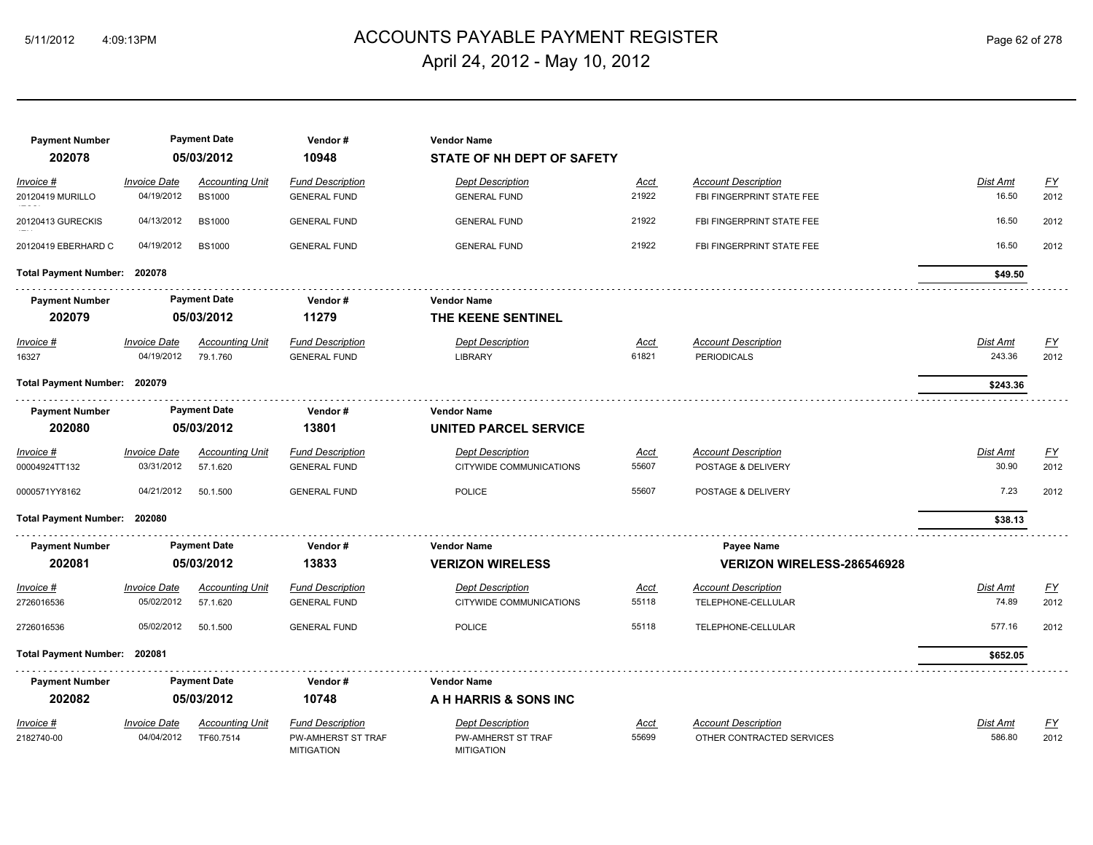# ACCOUNTS PAYABLE PAYMENT REGISTER 5/11/2012 4:09:13PM Page 62 of 278 April 24, 2012 - May 10, 2012

| <b>Payment Number</b><br>202078 |                     | <b>Payment Date</b><br>05/03/2012 | Vendor#<br>10948                        | <b>Vendor Name</b><br>STATE OF NH DEPT OF SAFETY |             |                                   |                 |           |
|---------------------------------|---------------------|-----------------------------------|-----------------------------------------|--------------------------------------------------|-------------|-----------------------------------|-----------------|-----------|
| Invoice #                       | <b>Invoice Date</b> | <b>Accounting Unit</b>            | <b>Fund Description</b>                 | <b>Dept Description</b>                          | Acct        | <b>Account Description</b>        | Dist Amt        | <u>FY</u> |
| 20120419 MURILLO                | 04/19/2012          | <b>BS1000</b>                     | <b>GENERAL FUND</b>                     | <b>GENERAL FUND</b>                              | 21922       | FBI FINGERPRINT STATE FEE         | 16.50           | 2012      |
| 20120413 GURECKIS               | 04/13/2012          | <b>BS1000</b>                     | <b>GENERAL FUND</b>                     | <b>GENERAL FUND</b>                              | 21922       | FBI FINGERPRINT STATE FEE         | 16.50           | 2012      |
| 20120419 EBERHARD C             | 04/19/2012          | <b>BS1000</b>                     | <b>GENERAL FUND</b>                     | <b>GENERAL FUND</b>                              | 21922       | FBI FINGERPRINT STATE FEE         | 16.50           | 2012      |
| Total Payment Number: 202078    |                     |                                   |                                         |                                                  |             |                                   | \$49.50         |           |
| <b>Payment Number</b>           |                     | <b>Payment Date</b>               | Vendor#                                 | <b>Vendor Name</b>                               |             |                                   |                 |           |
| 202079                          |                     | 05/03/2012                        | 11279                                   | THE KEENE SENTINEL                               |             |                                   |                 |           |
| Invoice #                       | <b>Invoice Date</b> | <b>Accounting Unit</b>            | <b>Fund Description</b>                 | <b>Dept Description</b>                          | <b>Acct</b> | <b>Account Description</b>        | <b>Dist Amt</b> | EY        |
| 16327                           | 04/19/2012          | 79.1.760                          | <b>GENERAL FUND</b>                     | <b>LIBRARY</b>                                   | 61821       | <b>PERIODICALS</b>                | 243.36          | 2012      |
| Total Payment Number: 202079    |                     |                                   |                                         |                                                  |             |                                   | \$243.36        |           |
| <b>Payment Number</b>           |                     | <b>Payment Date</b>               | Vendor#                                 | <b>Vendor Name</b>                               |             |                                   |                 |           |
| 202080                          |                     | 05/03/2012                        | 13801                                   | <b>UNITED PARCEL SERVICE</b>                     |             |                                   |                 |           |
| Invoice #                       | <b>Invoice Date</b> | <b>Accounting Unit</b>            | <b>Fund Description</b>                 | <b>Dept Description</b>                          | <u>Acct</u> | <b>Account Description</b>        | Dist Amt        | EY        |
| 00004924TT132                   | 03/31/2012          | 57.1.620                          | <b>GENERAL FUND</b>                     | CITYWIDE COMMUNICATIONS                          | 55607       | POSTAGE & DELIVERY                | 30.90           | 2012      |
| 0000571YY8162                   | 04/21/2012          | 50.1.500                          | <b>GENERAL FUND</b>                     | <b>POLICE</b>                                    | 55607       | POSTAGE & DELIVERY                | 7.23            | 2012      |
| Total Payment Number: 202080    |                     |                                   |                                         |                                                  |             |                                   | \$38.13         |           |
| <b>Payment Number</b>           |                     | <b>Payment Date</b>               | Vendor#                                 | <b>Vendor Name</b>                               |             | Payee Name                        |                 |           |
| 202081                          |                     | 05/03/2012                        | 13833                                   | <b>VERIZON WIRELESS</b>                          |             | <b>VERIZON WIRELESS-286546928</b> |                 |           |
| Invoice #                       | <b>Invoice Date</b> | <b>Accounting Unit</b>            | <b>Fund Description</b>                 | <b>Dept Description</b>                          | Acct        | <b>Account Description</b>        | Dist Amt        | EY        |
| 2726016536                      | 05/02/2012          | 57.1.620                          | <b>GENERAL FUND</b>                     | CITYWIDE COMMUNICATIONS                          | 55118       | TELEPHONE-CELLULAR                | 74.89           | 2012      |
| 2726016536                      | 05/02/2012          | 50.1.500                          | <b>GENERAL FUND</b>                     | <b>POLICE</b>                                    | 55118       | TELEPHONE-CELLULAR                | 577.16          | 2012      |
| Total Payment Number: 202081    |                     |                                   |                                         |                                                  |             |                                   | \$652.05        |           |
| <b>Payment Number</b>           |                     | <b>Payment Date</b>               | Vendor#                                 | <b>Vendor Name</b>                               |             |                                   |                 |           |
| 202082                          |                     | 05/03/2012                        | 10748                                   | A H HARRIS & SONS INC                            |             |                                   |                 |           |
| Invoice #                       | <b>Invoice Date</b> | <b>Accounting Unit</b>            | <b>Fund Description</b>                 | <b>Dept Description</b>                          | <u>Acct</u> | <b>Account Description</b>        | Dist Amt        | <u>FY</u> |
| 2182740-00                      | 04/04/2012          | TF60.7514                         | PW-AMHERST ST TRAF<br><b>MITIGATION</b> | PW-AMHERST ST TRAF<br><b>MITIGATION</b>          | 55699       | OTHER CONTRACTED SERVICES         | 586.80          | 2012      |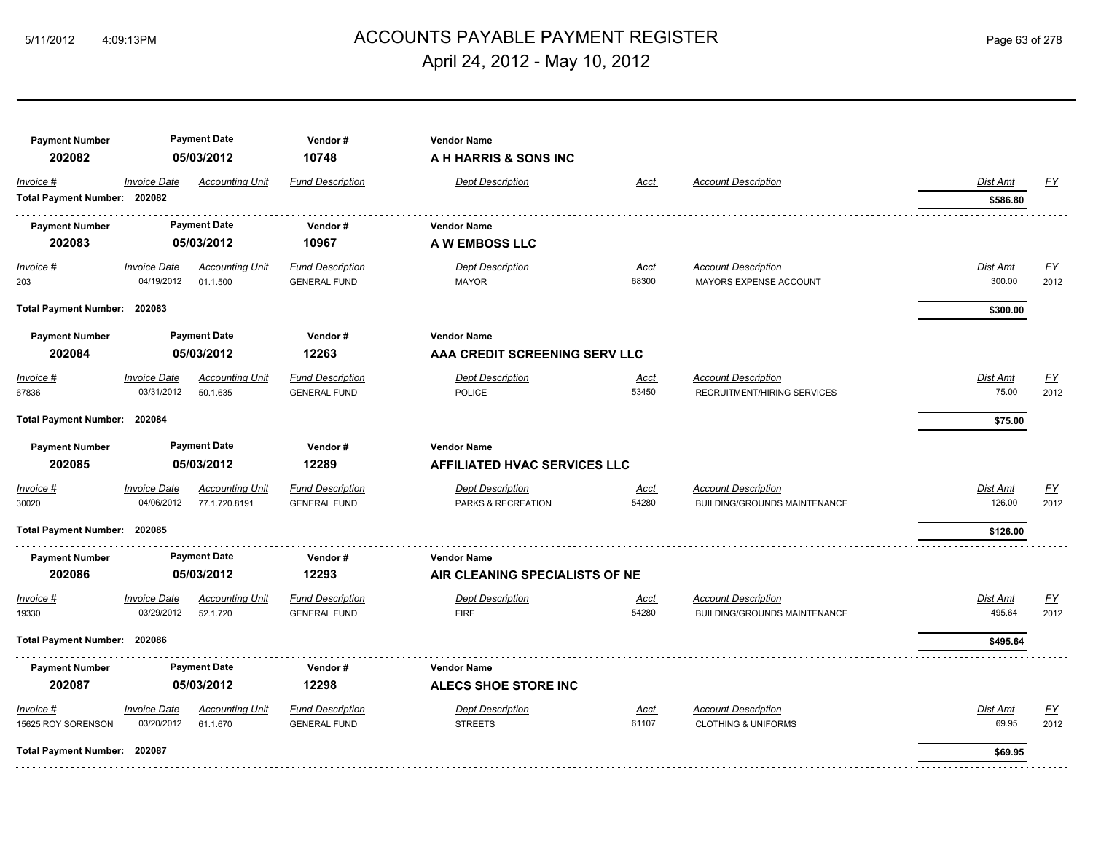# ACCOUNTS PAYABLE PAYMENT REGISTER 5/11/2012 4:09:13PM Page 63 of 278 April 24, 2012 - May 10, 2012

| <b>Payment Number</b><br>202082           |                                   | <b>Payment Date</b><br>05/03/2012       | Vendor#<br>10748                               | <b>Vendor Name</b><br>A H HARRIS & SONS INC               |                      |                                                                   |                           |                          |
|-------------------------------------------|-----------------------------------|-----------------------------------------|------------------------------------------------|-----------------------------------------------------------|----------------------|-------------------------------------------------------------------|---------------------------|--------------------------|
| Invoice #<br>Total Payment Number: 202082 | <b>Invoice Date</b>               | <b>Accounting Unit</b>                  | <b>Fund Description</b>                        | <b>Dept Description</b>                                   | Acct                 | <b>Account Description</b>                                        | Dist Amt<br>\$586.80      | EY                       |
| <b>Payment Number</b><br>202083           |                                   | <b>Payment Date</b><br>05/03/2012       | Vendor#<br>10967                               | <b>Vendor Name</b><br>A W EMBOSS LLC                      |                      |                                                                   |                           |                          |
| $Invoice$ #<br>203                        | <b>Invoice Date</b><br>04/19/2012 | <b>Accounting Unit</b><br>01.1.500      | <b>Fund Description</b><br><b>GENERAL FUND</b> | <b>Dept Description</b><br><b>MAYOR</b>                   | Acct<br>68300        | <b>Account Description</b><br><b>MAYORS EXPENSE ACCOUNT</b>       | <b>Dist Amt</b><br>300.00 | <u>FY</u><br>2012        |
| Total Payment Number: 202083              |                                   |                                         |                                                |                                                           |                      |                                                                   | \$300.00                  |                          |
| <b>Payment Number</b><br>202084           |                                   | <b>Payment Date</b><br>05/03/2012       | Vendor#<br>12263                               | <b>Vendor Name</b><br>AAA CREDIT SCREENING SERV LLC       |                      |                                                                   |                           |                          |
| Invoice #<br>67836                        | <b>Invoice Date</b><br>03/31/2012 | <b>Accounting Unit</b><br>50.1.635      | <b>Fund Description</b><br><b>GENERAL FUND</b> | <b>Dept Description</b><br><b>POLICE</b>                  | Acct<br>53450        | <b>Account Description</b><br>RECRUITMENT/HIRING SERVICES         | Dist Amt<br>75.00         | <u>FY</u><br>2012        |
| Total Payment Number: 202084              |                                   |                                         |                                                |                                                           |                      |                                                                   | \$75.00                   |                          |
| <b>Payment Number</b><br>202085           |                                   | <b>Payment Date</b><br>05/03/2012       | Vendor#<br>12289                               | <b>Vendor Name</b><br><b>AFFILIATED HVAC SERVICES LLC</b> |                      |                                                                   |                           |                          |
| Invoice #<br>30020                        | <b>Invoice Date</b><br>04/06/2012 | <b>Accounting Unit</b><br>77.1.720.8191 | <b>Fund Description</b><br><b>GENERAL FUND</b> | <b>Dept Description</b><br>PARKS & RECREATION             | <b>Acct</b><br>54280 | <b>Account Description</b><br><b>BUILDING/GROUNDS MAINTENANCE</b> | Dist Amt<br>126.00        | $\underline{FY}$<br>2012 |
| Total Payment Number: 202085              |                                   |                                         |                                                |                                                           |                      |                                                                   | \$126.00                  |                          |
| <b>Payment Number</b><br>202086           |                                   | <b>Payment Date</b><br>05/03/2012       | Vendor#<br>12293                               | <b>Vendor Name</b><br>AIR CLEANING SPECIALISTS OF NE      |                      |                                                                   |                           |                          |
| Invoice #<br>19330                        | <b>Invoice Date</b><br>03/29/2012 | <b>Accounting Unit</b><br>52.1.720      | <b>Fund Description</b><br><b>GENERAL FUND</b> | <b>Dept Description</b><br><b>FIRE</b>                    | Acct<br>54280        | <b>Account Description</b><br><b>BUILDING/GROUNDS MAINTENANCE</b> | Dist Amt<br>495.64        | <u>FY</u><br>2012        |
| Total Payment Number: 202086              |                                   |                                         |                                                |                                                           |                      |                                                                   | \$495.64                  |                          |
| <b>Payment Number</b><br>202087           |                                   | <b>Payment Date</b><br>05/03/2012       | Vendor#<br>12298                               | <b>Vendor Name</b><br>ALECS SHOE STORE INC                |                      |                                                                   |                           |                          |
| Invoice #<br>15625 ROY SORENSON           | <b>Invoice Date</b><br>03/20/2012 | <b>Accounting Unit</b><br>61.1.670      | <b>Fund Description</b><br><b>GENERAL FUND</b> | <b>Dept Description</b><br><b>STREETS</b>                 | Acct<br>61107        | <b>Account Description</b><br><b>CLOTHING &amp; UNIFORMS</b>      | Dist Amt<br>69.95         | <u>FY</u><br>2012        |
| Total Payment Number: 202087              |                                   |                                         |                                                |                                                           |                      |                                                                   | \$69.95                   |                          |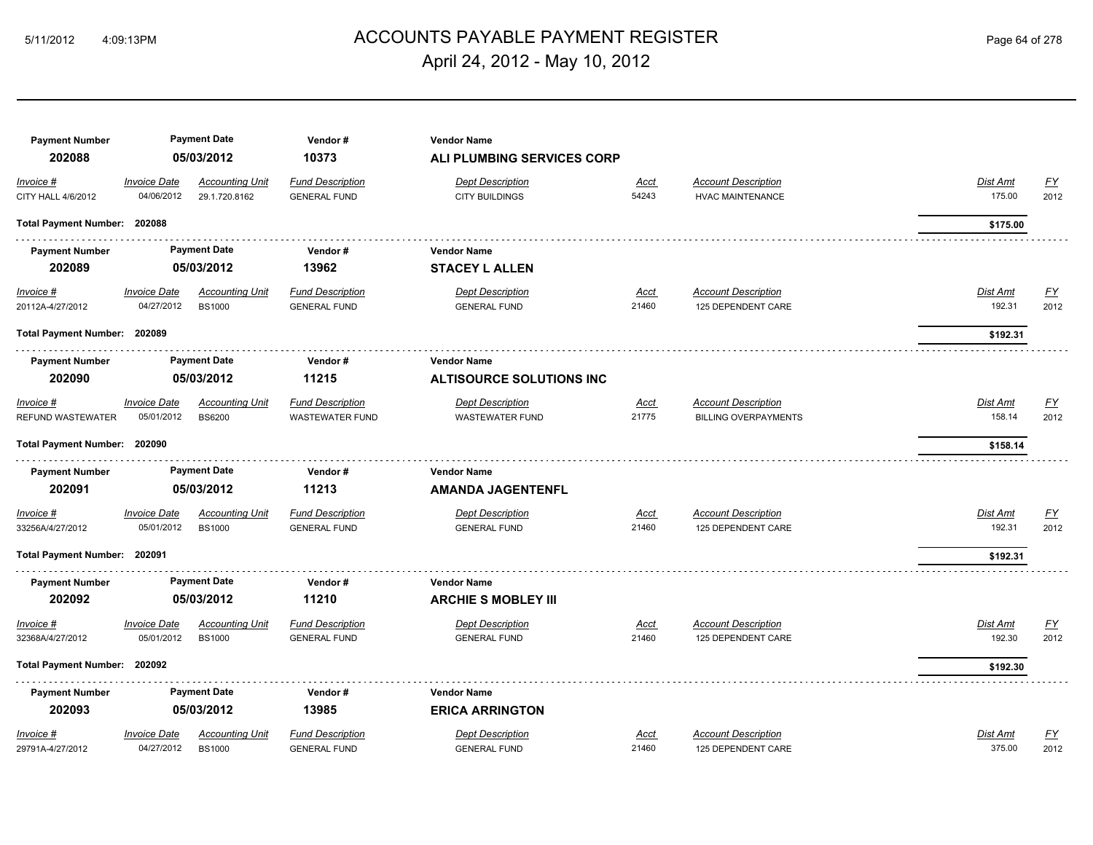# 5/11/2012 4:09:13PM ACCOUNTS PAYABLE PAYMENT REGISTER Page 64 of 278 April 24, 2012 - May 10, 2012

| <b>Payment Number</b><br>202088       |                                   | <b>Payment Date</b><br>05/03/2012       | Vendor#<br>10373                                  | <b>Vendor Name</b><br>ALI PLUMBING SERVICES CORP      |                      |                                                           |                           |                          |
|---------------------------------------|-----------------------------------|-----------------------------------------|---------------------------------------------------|-------------------------------------------------------|----------------------|-----------------------------------------------------------|---------------------------|--------------------------|
| Invoice #<br>CITY HALL 4/6/2012       | <b>Invoice Date</b><br>04/06/2012 | <b>Accounting Unit</b><br>29.1.720.8162 | <b>Fund Description</b><br><b>GENERAL FUND</b>    | <b>Dept Description</b><br><b>CITY BUILDINGS</b>      | Acct<br>54243        | <b>Account Description</b><br><b>HVAC MAINTENANCE</b>     | Dist Amt<br>175.00        | EY<br>2012               |
| Total Payment Number: 202088          |                                   |                                         |                                                   |                                                       |                      |                                                           | \$175.00                  |                          |
| <b>Payment Number</b><br>202089       |                                   | <b>Payment Date</b><br>05/03/2012       | Vendor#<br>13962                                  | <b>Vendor Name</b><br><b>STACEY L ALLEN</b>           |                      |                                                           |                           |                          |
| $Invoice$ #<br>20112A-4/27/2012       | <b>Invoice Date</b><br>04/27/2012 | <b>Accounting Unit</b><br><b>BS1000</b> | <b>Fund Description</b><br><b>GENERAL FUND</b>    | <b>Dept Description</b><br><b>GENERAL FUND</b>        | <u>Acct</u><br>21460 | <b>Account Description</b><br>125 DEPENDENT CARE          | <b>Dist Amt</b><br>192.31 | <u>FY</u><br>2012        |
| Total Payment Number: 202089          |                                   |                                         |                                                   |                                                       |                      |                                                           | \$192.31                  |                          |
| <b>Payment Number</b><br>202090       |                                   | <b>Payment Date</b><br>05/03/2012       | Vendor#<br>11215                                  | <b>Vendor Name</b><br><b>ALTISOURCE SOLUTIONS INC</b> |                      |                                                           |                           |                          |
| Invoice #<br><b>REFUND WASTEWATER</b> | <b>Invoice Date</b><br>05/01/2012 | <b>Accounting Unit</b><br><b>BS6200</b> | <b>Fund Description</b><br><b>WASTEWATER FUND</b> | <b>Dept Description</b><br><b>WASTEWATER FUND</b>     | <u>Acct</u><br>21775 | <b>Account Description</b><br><b>BILLING OVERPAYMENTS</b> | Dist Amt<br>158.14        | EY<br>2012               |
| Total Payment Number: 202090          |                                   |                                         |                                                   |                                                       |                      |                                                           | \$158.14                  |                          |
| <b>Payment Number</b><br>202091       |                                   | <b>Payment Date</b><br>05/03/2012       | Vendor#<br>11213                                  | <b>Vendor Name</b><br><b>AMANDA JAGENTENFL</b>        |                      |                                                           |                           |                          |
| Invoice #<br>33256A/4/27/2012         | <b>Invoice Date</b><br>05/01/2012 | <b>Accounting Unit</b><br><b>BS1000</b> | <b>Fund Description</b><br><b>GENERAL FUND</b>    | <b>Dept Description</b><br><b>GENERAL FUND</b>        | Acct<br>21460        | <b>Account Description</b><br>125 DEPENDENT CARE          | Dist Amt<br>192.31        | $\underline{FY}$<br>2012 |
| Total Payment Number: 202091          |                                   |                                         |                                                   |                                                       |                      |                                                           | \$192.31                  |                          |
| <b>Payment Number</b><br>202092       |                                   | <b>Payment Date</b><br>05/03/2012       | Vendor#<br>11210                                  | <b>Vendor Name</b><br><b>ARCHIE S MOBLEY III</b>      |                      |                                                           |                           |                          |
| Invoice #<br>32368A/4/27/2012         | <b>Invoice Date</b><br>05/01/2012 | <b>Accounting Unit</b><br><b>BS1000</b> | <b>Fund Description</b><br><b>GENERAL FUND</b>    | <b>Dept Description</b><br><b>GENERAL FUND</b>        | Acct<br>21460        | <b>Account Description</b><br>125 DEPENDENT CARE          | Dist Amt<br>192.30        | <u>FY</u><br>2012        |
| Total Payment Number: 202092          |                                   |                                         |                                                   |                                                       |                      |                                                           | \$192.30                  |                          |
| <b>Payment Number</b>                 |                                   | <b>Payment Date</b>                     | Vendor#                                           | <b>Vendor Name</b>                                    |                      |                                                           |                           |                          |
| 202093                                |                                   | 05/03/2012                              | 13985                                             | <b>ERICA ARRINGTON</b>                                |                      |                                                           |                           |                          |
| Invoice #<br>29791A-4/27/2012         | <b>Invoice Date</b><br>04/27/2012 | <b>Accounting Unit</b><br><b>BS1000</b> | <b>Fund Description</b><br><b>GENERAL FUND</b>    | <b>Dept Description</b><br><b>GENERAL FUND</b>        | <u>Acct</u><br>21460 | <b>Account Description</b><br>125 DEPENDENT CARE          | Dist Amt<br>375.00        | EY<br>2012               |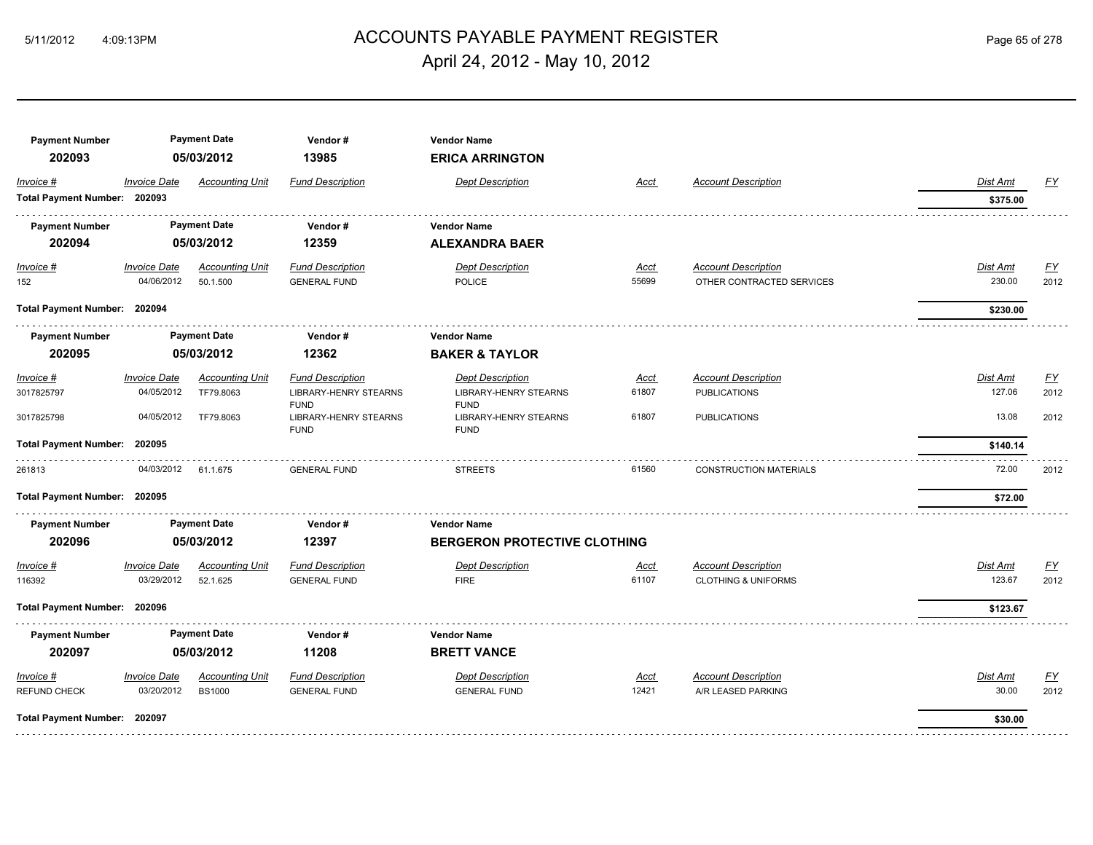# ACCOUNTS PAYABLE PAYMENT REGISTER 5/11/2012 4:09:13PM Page 65 of 278 April 24, 2012 - May 10, 2012

| <b>Payment Number</b>        |                     | <b>Payment Date</b>    | Vendor#                                                    | <b>Vendor Name</b>                                         |             |                                |                 |           |
|------------------------------|---------------------|------------------------|------------------------------------------------------------|------------------------------------------------------------|-------------|--------------------------------|-----------------|-----------|
| 202093                       |                     | 05/03/2012             | 13985                                                      | <b>ERICA ARRINGTON</b>                                     |             |                                |                 |           |
| Invoice #                    | <b>Invoice Date</b> | <b>Accounting Unit</b> | <b>Fund Description</b>                                    | <b>Dept Description</b>                                    | <u>Acct</u> | <b>Account Description</b>     | Dist Amt        | <u>FY</u> |
| Total Payment Number: 202093 |                     |                        |                                                            |                                                            |             |                                | \$375.00        |           |
| <b>Payment Number</b>        |                     | <b>Payment Date</b>    | Vendor#                                                    | <b>Vendor Name</b>                                         |             |                                |                 |           |
| 202094                       |                     | 05/03/2012             | 12359                                                      | <b>ALEXANDRA BAER</b>                                      |             |                                |                 |           |
| $Invoice$ #                  | <b>Invoice Date</b> | <b>Accounting Unit</b> | <b>Fund Description</b>                                    | <b>Dept Description</b>                                    | <u>Acct</u> | <b>Account Description</b>     | <b>Dist Amt</b> | <u>FY</u> |
| 152                          | 04/06/2012          | 50.1.500               | <b>GENERAL FUND</b>                                        | POLICE                                                     | 55699       | OTHER CONTRACTED SERVICES      | 230.00          | 2012      |
| Total Payment Number: 202094 |                     |                        |                                                            |                                                            |             |                                | \$230.00        |           |
| <b>Payment Number</b>        |                     | <b>Payment Date</b>    | Vendor#                                                    | <b>Vendor Name</b>                                         |             |                                |                 |           |
| 202095                       |                     | 05/03/2012             | 12362                                                      | <b>BAKER &amp; TAYLOR</b>                                  |             |                                |                 |           |
| Invoice #                    | <b>Invoice Date</b> | <b>Accounting Unit</b> | <b>Fund Description</b>                                    | <b>Dept Description</b>                                    | <b>Acct</b> | <b>Account Description</b>     | <b>Dist Amt</b> | EY        |
| 3017825797                   | 04/05/2012          | TF79.8063              | <b>LIBRARY-HENRY STEARNS</b>                               | <b>LIBRARY-HENRY STEARNS</b>                               | 61807       | <b>PUBLICATIONS</b>            | 127.06          | 2012      |
| 3017825798                   | 04/05/2012          | TF79.8063              | <b>FUND</b><br><b>LIBRARY-HENRY STEARNS</b><br><b>FUND</b> | <b>FUND</b><br><b>LIBRARY-HENRY STEARNS</b><br><b>FUND</b> | 61807       | <b>PUBLICATIONS</b>            | 13.08           | 2012      |
| <b>Total Payment Number:</b> | 202095              |                        |                                                            |                                                            |             |                                | \$140.14        |           |
| 261813                       | 04/03/2012          | 61.1.675               | <b>GENERAL FUND</b>                                        | <b>STREETS</b>                                             | 61560       | <b>CONSTRUCTION MATERIALS</b>  | 72.00           | 2012      |
| Total Payment Number: 202095 |                     |                        |                                                            |                                                            |             |                                | \$72.00         |           |
| <b>Payment Number</b>        |                     | <b>Payment Date</b>    | Vendor#                                                    | <b>Vendor Name</b>                                         |             |                                |                 |           |
| 202096                       |                     | 05/03/2012             | 12397                                                      | <b>BERGERON PROTECTIVE CLOTHING</b>                        |             |                                |                 |           |
| Invoice #                    | <b>Invoice Date</b> | <b>Accounting Unit</b> | <b>Fund Description</b>                                    | <b>Dept Description</b>                                    | Acct        | <b>Account Description</b>     | Dist Amt        | <u>FY</u> |
| 116392                       | 03/29/2012          | 52.1.625               | <b>GENERAL FUND</b>                                        | <b>FIRE</b>                                                | 61107       | <b>CLOTHING &amp; UNIFORMS</b> | 123.67          | 2012      |
| Total Payment Number: 202096 |                     |                        |                                                            |                                                            |             |                                | \$123.67        |           |
| <b>Payment Number</b>        |                     | <b>Payment Date</b>    | Vendor#                                                    | <b>Vendor Name</b>                                         |             |                                |                 |           |
| 202097                       |                     | 05/03/2012             | 11208                                                      | <b>BRETT VANCE</b>                                         |             |                                |                 |           |
| Invoice #                    | <b>Invoice Date</b> | <b>Accounting Unit</b> | <b>Fund Description</b>                                    | <b>Dept Description</b>                                    | Acct        | <b>Account Description</b>     | <b>Dist Amt</b> | EY        |
| REFUND CHECK                 | 03/20/2012          | <b>BS1000</b>          | <b>GENERAL FUND</b>                                        | <b>GENERAL FUND</b>                                        | 12421       | A/R LEASED PARKING             | 30.00           | 2012      |
| Total Payment Number: 202097 |                     |                        |                                                            |                                                            |             |                                | \$30.00         |           |
|                              |                     |                        |                                                            |                                                            |             |                                |                 |           |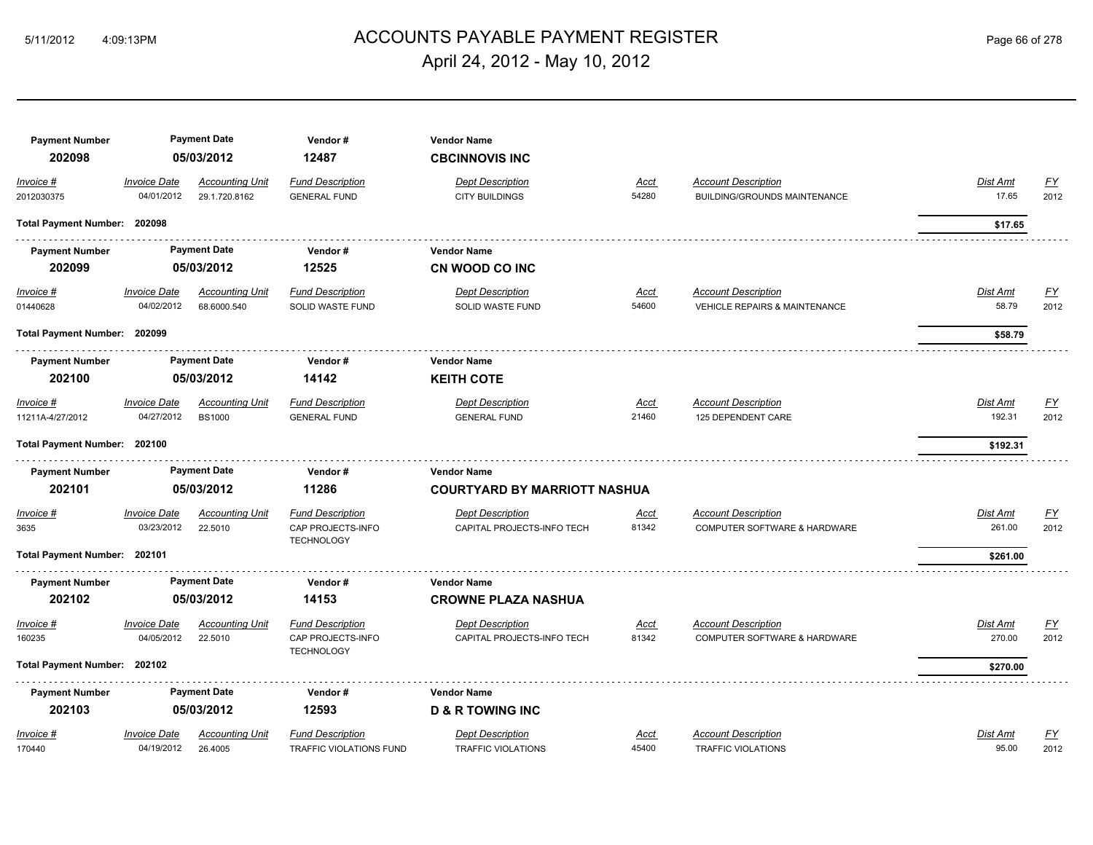# ACCOUNTS PAYABLE PAYMENT REGISTER 5/11/2012 4:09:13PM Page 66 of 278 April 24, 2012 - May 10, 2012

| <b>Payment Number</b><br>202098                   |                                   | <b>Payment Date</b><br>05/03/2012       | Vendor#<br>12487                                                  | <b>Vendor Name</b><br><b>CBCINNOVIS INC</b>               |                      |                                                                        |                                |                   |
|---------------------------------------------------|-----------------------------------|-----------------------------------------|-------------------------------------------------------------------|-----------------------------------------------------------|----------------------|------------------------------------------------------------------------|--------------------------------|-------------------|
| Invoice #<br>2012030375                           | Invoice Date<br>04/01/2012        | <b>Accounting Unit</b><br>29.1.720.8162 | <b>Fund Description</b><br><b>GENERAL FUND</b>                    | <b>Dept Description</b><br>CITY BUILDINGS                 | Acct<br>54280        | <b>Account Description</b><br>BUILDING/GROUNDS MAINTENANCE             | Dist Amt<br>17.65              | <u>FY</u><br>2012 |
| Total Payment Number: 202098                      |                                   |                                         |                                                                   |                                                           |                      |                                                                        | \$17.65                        |                   |
| <b>Payment Number</b><br>202099                   |                                   | <b>Payment Date</b><br>05/03/2012       | Vendor #<br>12525                                                 | <b>Vendor Name</b><br>CN WOOD CO INC                      |                      |                                                                        |                                |                   |
| $Invoice$ #<br>01440628                           | <b>Invoice Date</b><br>04/02/2012 | <b>Accounting Unit</b><br>68.6000.540   | <b>Fund Description</b><br>SOLID WASTE FUND                       | <b>Dept Description</b><br>SOLID WASTE FUND               | <u>Acct</u><br>54600 | <b>Account Description</b><br><b>VEHICLE REPAIRS &amp; MAINTENANCE</b> | <b>Dist Amt</b><br>58.79       | <u>FY</u><br>2012 |
| Total Payment Number: 202099                      |                                   |                                         |                                                                   |                                                           |                      |                                                                        | \$58.79                        |                   |
| <b>Payment Number</b><br>202100                   |                                   | <b>Payment Date</b><br>05/03/2012       | Vendor#<br>14142                                                  | <b>Vendor Name</b><br><b>KEITH COTE</b>                   |                      |                                                                        |                                |                   |
| Invoice #<br>11211A-4/27/2012                     | Invoice Date<br>04/27/2012        | <b>Accounting Unit</b><br><b>BS1000</b> | <b>Fund Description</b><br><b>GENERAL FUND</b>                    | <b>Dept Description</b><br><b>GENERAL FUND</b>            | Acct<br>21460        | <b>Account Description</b><br>125 DEPENDENT CARE                       | Dist Amt<br>192.31             | <u>FY</u><br>2012 |
| Total Payment Number: 202100                      |                                   |                                         |                                                                   |                                                           |                      |                                                                        | \$192.31                       |                   |
| <b>Payment Number</b><br>202101                   |                                   | <b>Payment Date</b><br>05/03/2012       | Vendor#<br>11286                                                  | <b>Vendor Name</b><br><b>COURTYARD BY MARRIOTT NASHUA</b> |                      |                                                                        |                                |                   |
| Invoice #<br>3635<br>Total Payment Number: 202101 | <b>Invoice Date</b><br>03/23/2012 | <b>Accounting Unit</b><br>22.5010       | <b>Fund Description</b><br>CAP PROJECTS-INFO<br><b>TECHNOLOGY</b> | <b>Dept Description</b><br>CAPITAL PROJECTS-INFO TECH     | Acct<br>81342        | <b>Account Description</b><br>COMPUTER SOFTWARE & HARDWARE             | Dist Amt<br>261.00<br>\$261.00 | <u>FY</u><br>2012 |
| <b>Payment Number</b><br>202102                   |                                   | <b>Payment Date</b><br>05/03/2012       | Vendor#<br>14153                                                  | <b>Vendor Name</b><br><b>CROWNE PLAZA NASHUA</b>          |                      |                                                                        |                                |                   |
| Invoice #<br>160235                               | Invoice Date<br>04/05/2012        | <b>Accounting Unit</b><br>22.5010       | <b>Fund Description</b><br>CAP PROJECTS-INFO<br><b>TECHNOLOGY</b> | <b>Dept Description</b><br>CAPITAL PROJECTS-INFO TECH     | Acct<br>81342        | <b>Account Description</b><br>COMPUTER SOFTWARE & HARDWARE             | Dist Amt<br>270.00             | <u>FY</u><br>2012 |
| Total Payment Number: 202102                      |                                   |                                         |                                                                   |                                                           |                      |                                                                        | \$270.00                       |                   |
| <b>Payment Number</b><br>202103                   |                                   | <b>Payment Date</b><br>05/03/2012       | Vendor#<br>12593                                                  | <b>Vendor Name</b><br><b>D &amp; R TOWING INC</b>         |                      |                                                                        |                                |                   |
| Invoice #<br>170440                               | <b>Invoice Date</b><br>04/19/2012 | <b>Accounting Unit</b><br>26.4005       | <b>Fund Description</b><br>TRAFFIC VIOLATIONS FUND                | <b>Dept Description</b><br>TRAFFIC VIOLATIONS             | Acct<br>45400        | <b>Account Description</b><br><b>TRAFFIC VIOLATIONS</b>                | Dist Amt<br>95.00              | <u>FY</u><br>2012 |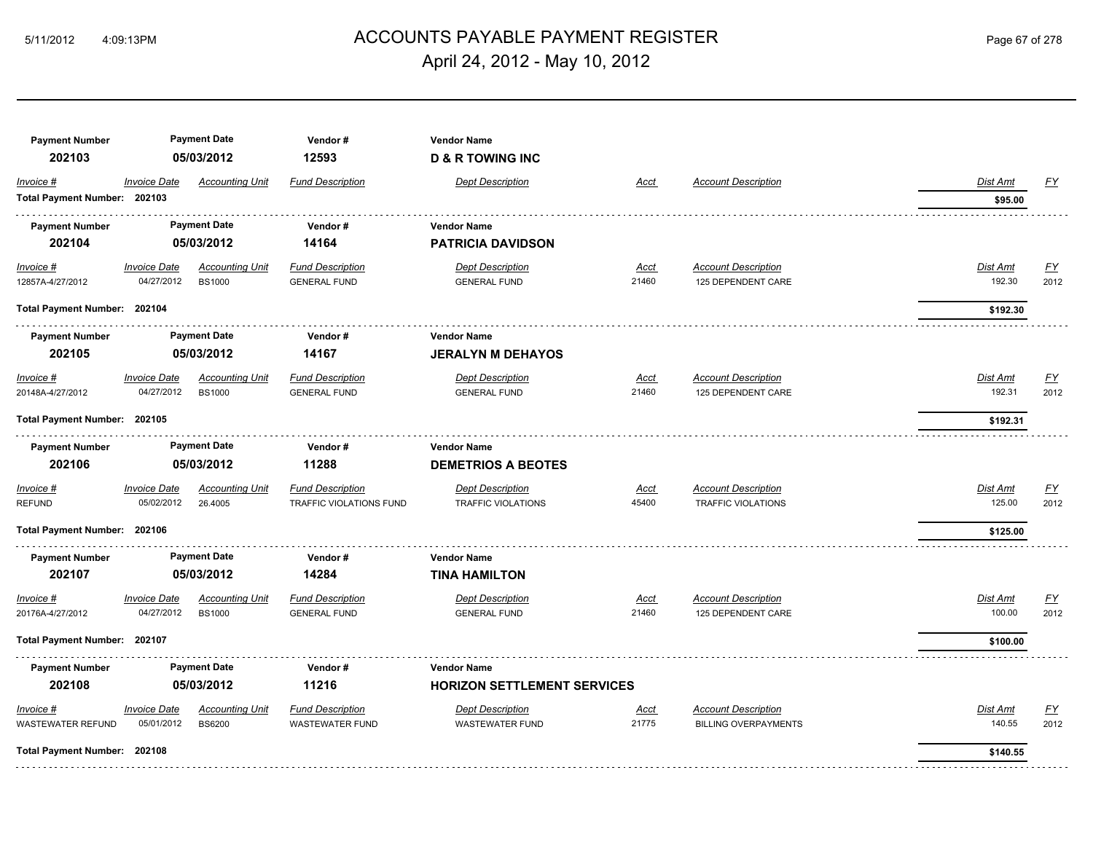# ACCOUNTS PAYABLE PAYMENT REGISTER 5/11/2012 4:09:13PM Page 67 of 278 April 24, 2012 - May 10, 2012

| <b>Payment Number</b><br>202103 |                     | <b>Payment Date</b><br>05/03/2012 | Vendor#<br>12593        | <b>Vendor Name</b><br><b>D &amp; R TOWING INC</b> |             |                             |                 |                  |
|---------------------------------|---------------------|-----------------------------------|-------------------------|---------------------------------------------------|-------------|-----------------------------|-----------------|------------------|
| Invoice #                       | <b>Invoice Date</b> | <b>Accounting Unit</b>            | <b>Fund Description</b> | <b>Dept Description</b>                           | <b>Acct</b> | <b>Account Description</b>  | <b>Dist Amt</b> | <u>FY</u>        |
| Total Payment Number: 202103    |                     |                                   |                         |                                                   |             |                             | \$95.00         |                  |
| <b>Payment Number</b>           |                     | <b>Payment Date</b>               | Vendor#                 | <b>Vendor Name</b>                                |             |                             |                 |                  |
| 202104                          |                     | 05/03/2012                        | 14164                   | <b>PATRICIA DAVIDSON</b>                          |             |                             |                 |                  |
| Invoice #                       | <b>Invoice Date</b> | <b>Accounting Unit</b>            | <b>Fund Description</b> | <b>Dept Description</b>                           | Acct        | <b>Account Description</b>  | <b>Dist Amt</b> | <u>FY</u>        |
| 12857A-4/27/2012                | 04/27/2012          | <b>BS1000</b>                     | <b>GENERAL FUND</b>     | <b>GENERAL FUND</b>                               | 21460       | 125 DEPENDENT CARE          | 192.30          | 2012             |
| Total Payment Number: 202104    |                     |                                   |                         |                                                   |             |                             | \$192.30        |                  |
| <b>Payment Number</b>           |                     | <b>Payment Date</b>               | Vendor#                 | <b>Vendor Name</b>                                |             |                             |                 |                  |
| 202105                          |                     | 05/03/2012                        | 14167                   | <b>JERALYN M DEHAYOS</b>                          |             |                             |                 |                  |
| $Invoice$ #                     | <b>Invoice Date</b> | <b>Accounting Unit</b>            | <b>Fund Description</b> | <b>Dept Description</b>                           | <u>Acct</u> | <b>Account Description</b>  | Dist Amt        | <u>FY</u>        |
| 20148A-4/27/2012                | 04/27/2012          | <b>BS1000</b>                     | <b>GENERAL FUND</b>     | <b>GENERAL FUND</b>                               | 21460       | 125 DEPENDENT CARE          | 192.31          | 2012             |
| Total Payment Number: 202105    |                     |                                   |                         |                                                   |             |                             | \$192.31        |                  |
| <b>Payment Number</b>           |                     | <b>Payment Date</b>               | Vendor#                 | <b>Vendor Name</b>                                |             |                             |                 |                  |
| 202106                          |                     | 05/03/2012                        | 11288                   | <b>DEMETRIOS A BEOTES</b>                         |             |                             |                 |                  |
| <i>Invoice</i> #                | <b>Invoice Date</b> | <b>Accounting Unit</b>            | <b>Fund Description</b> | <b>Dept Description</b>                           | <u>Acct</u> | <b>Account Description</b>  | Dist Amt        | $\underline{FY}$ |
| <b>REFUND</b>                   | 05/02/2012          | 26.4005                           | TRAFFIC VIOLATIONS FUND | <b>TRAFFIC VIOLATIONS</b>                         | 45400       | <b>TRAFFIC VIOLATIONS</b>   | 125.00          | 2012             |
| Total Payment Number: 202106    |                     |                                   |                         |                                                   |             |                             | \$125.00        |                  |
| <b>Payment Number</b>           |                     | <b>Payment Date</b>               | Vendor#                 | <b>Vendor Name</b>                                |             |                             |                 |                  |
| 202107                          |                     | 05/03/2012                        | 14284                   | <b>TINA HAMILTON</b>                              |             |                             |                 |                  |
| Invoice #                       | <b>Invoice Date</b> | <b>Accounting Unit</b>            | <b>Fund Description</b> | <b>Dept Description</b>                           | Acct        | <b>Account Description</b>  | Dist Amt        | EY               |
| 20176A-4/27/2012                | 04/27/2012          | <b>BS1000</b>                     | <b>GENERAL FUND</b>     | <b>GENERAL FUND</b>                               | 21460       | 125 DEPENDENT CARE          | 100.00          | 2012             |
| Total Payment Number: 202107    |                     |                                   |                         |                                                   |             |                             | \$100.00        |                  |
| <b>Payment Number</b>           |                     | <b>Payment Date</b>               | Vendor#                 | <b>Vendor Name</b>                                |             |                             |                 |                  |
| 202108                          |                     | 05/03/2012                        | 11216                   | <b>HORIZON SETTLEMENT SERVICES</b>                |             |                             |                 |                  |
| Invoice #                       | <b>Invoice Date</b> | <b>Accounting Unit</b>            | <b>Fund Description</b> | <b>Dept Description</b>                           | <u>Acct</u> | <b>Account Description</b>  | Dist Amt        | EY               |
| WASTEWATER REFUND               | 05/01/2012          | <b>BS6200</b>                     | <b>WASTEWATER FUND</b>  | <b>WASTEWATER FUND</b>                            | 21775       | <b>BILLING OVERPAYMENTS</b> | 140.55          | 2012             |
| Total Payment Number: 202108    |                     |                                   |                         |                                                   |             |                             | \$140.55        |                  |
|                                 |                     |                                   |                         |                                                   |             |                             |                 |                  |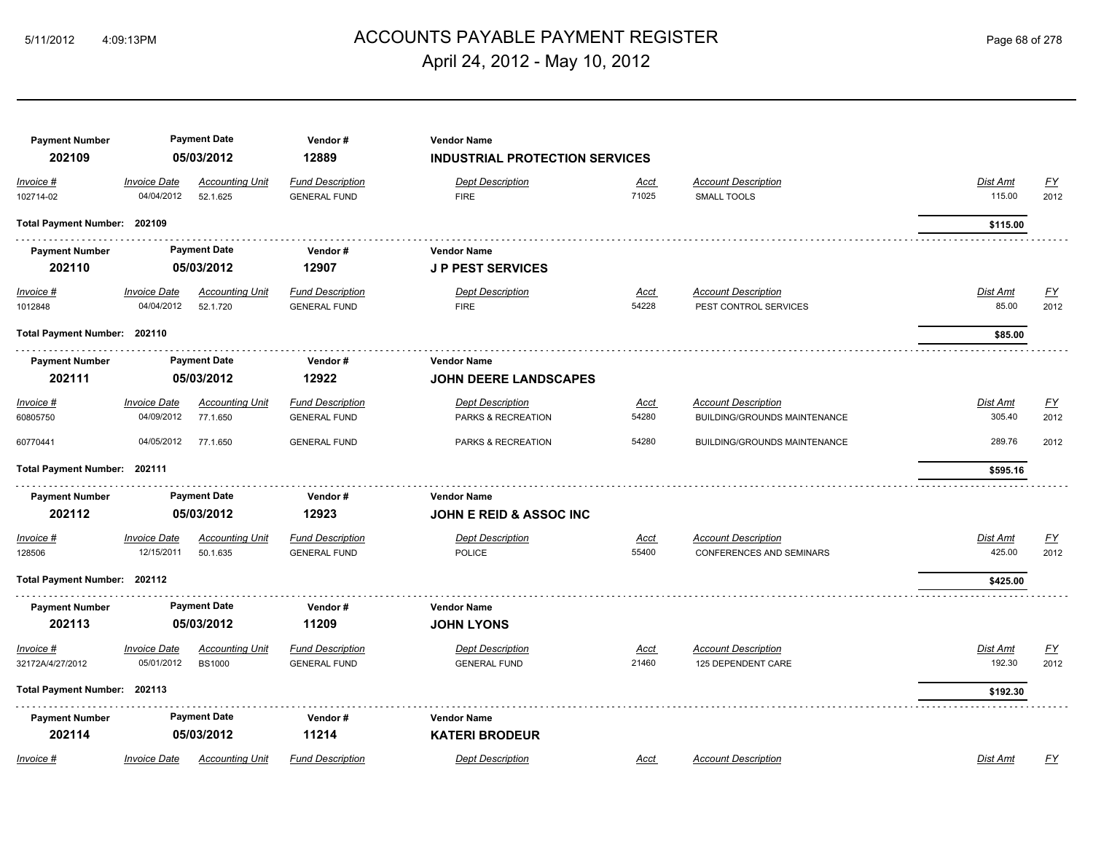# ACCOUNTS PAYABLE PAYMENT REGISTER 5/11/2012 4:09:13PM Page 68 of 278 April 24, 2012 - May 10, 2012

| <b>Payment Number</b><br>202109 |                                   | <b>Payment Date</b><br>05/03/2012       | Vendor#<br>12889                               | <b>Vendor Name</b><br><b>INDUSTRIAL PROTECTION SERVICES</b> |                      |                                                               |                    |                   |
|---------------------------------|-----------------------------------|-----------------------------------------|------------------------------------------------|-------------------------------------------------------------|----------------------|---------------------------------------------------------------|--------------------|-------------------|
| Invoice #<br>102714-02          | <b>Invoice Date</b><br>04/04/2012 | <b>Accounting Unit</b><br>52.1.625      | <b>Fund Description</b><br><b>GENERAL FUND</b> | <b>Dept Description</b><br><b>FIRE</b>                      | <u>Acct</u><br>71025 | <b>Account Description</b><br><b>SMALL TOOLS</b>              | Dist Amt<br>115.00 | <b>FY</b><br>2012 |
| Total Payment Number: 202109    |                                   |                                         |                                                |                                                             |                      |                                                               | \$115.00           |                   |
| <b>Payment Number</b><br>202110 |                                   | <b>Payment Date</b><br>05/03/2012       | Vendor#<br>12907                               | Vendor Name<br><b>JP PEST SERVICES</b>                      |                      |                                                               |                    |                   |
| Invoice #<br>1012848            | <b>Invoice Date</b><br>04/04/2012 | <b>Accounting Unit</b><br>52.1.720      | <b>Fund Description</b><br><b>GENERAL FUND</b> | <b>Dept Description</b><br><b>FIRE</b>                      | Acct<br>54228        | <b>Account Description</b><br>PEST CONTROL SERVICES           | Dist Amt<br>85.00  | FY<br>2012        |
| Total Payment Number: 202110    |                                   |                                         |                                                |                                                             |                      |                                                               | \$85.00            |                   |
| <b>Payment Number</b><br>202111 |                                   | <b>Payment Date</b><br>05/03/2012       | Vendor#<br>12922                               | <b>Vendor Name</b><br><b>JOHN DEERE LANDSCAPES</b>          |                      |                                                               |                    |                   |
| Invoice #<br>60805750           | <b>Invoice Date</b><br>04/09/2012 | <b>Accounting Unit</b><br>77.1.650      | <b>Fund Description</b><br><b>GENERAL FUND</b> | <b>Dept Description</b><br>PARKS & RECREATION               | <u>Acct</u><br>54280 | <b>Account Description</b><br>BUILDING/GROUNDS MAINTENANCE    | Dist Amt<br>305.40 | EY<br>2012        |
| 60770441                        | 04/05/2012                        | 77.1.650                                | <b>GENERAL FUND</b>                            | PARKS & RECREATION                                          | 54280                | <b>BUILDING/GROUNDS MAINTENANCE</b>                           | 289.76             | 2012              |
| Total Payment Number: 202111    |                                   |                                         |                                                |                                                             |                      |                                                               | \$595.16           |                   |
| <b>Payment Number</b><br>202112 |                                   | <b>Payment Date</b><br>05/03/2012       | Vendor#<br>12923                               | <b>Vendor Name</b><br><b>JOHN E REID &amp; ASSOC INC</b>    |                      |                                                               |                    |                   |
| Invoice #<br>128506             | <b>Invoice Date</b><br>12/15/2011 | <b>Accounting Unit</b><br>50.1.635      | <b>Fund Description</b><br><b>GENERAL FUND</b> | <b>Dept Description</b><br><b>POLICE</b>                    | Acct<br>55400        | <b>Account Description</b><br><b>CONFERENCES AND SEMINARS</b> | Dist Amt<br>425.00 | <u>FY</u><br>2012 |
| Total Payment Number: 202112    |                                   |                                         |                                                |                                                             |                      |                                                               | \$425.00           |                   |
| <b>Payment Number</b><br>202113 |                                   | <b>Payment Date</b><br>05/03/2012       | Vendor#<br>11209                               | <b>Vendor Name</b><br><b>JOHN LYONS</b>                     |                      |                                                               |                    |                   |
| Invoice #<br>32172A/4/27/2012   | <b>Invoice Date</b><br>05/01/2012 | <b>Accounting Unit</b><br><b>BS1000</b> | <b>Fund Description</b><br><b>GENERAL FUND</b> | <b>Dept Description</b><br><b>GENERAL FUND</b>              | Acct<br>21460        | <b>Account Description</b><br>125 DEPENDENT CARE              | Dist Amt<br>192.30 | EY<br>2012        |
| Total Payment Number: 202113    |                                   |                                         |                                                |                                                             |                      |                                                               | \$192.30           |                   |
| <b>Payment Number</b><br>202114 |                                   | <b>Payment Date</b><br>05/03/2012       | Vendor#<br>11214                               | <b>Vendor Name</b><br><b>KATERI BRODEUR</b>                 |                      |                                                               |                    |                   |
| Invoice #                       | <b>Invoice Date</b>               | <b>Accounting Unit</b>                  | <b>Fund Description</b>                        | <b>Dept Description</b>                                     | Acct                 | <b>Account Description</b>                                    | Dist Amt           | FY                |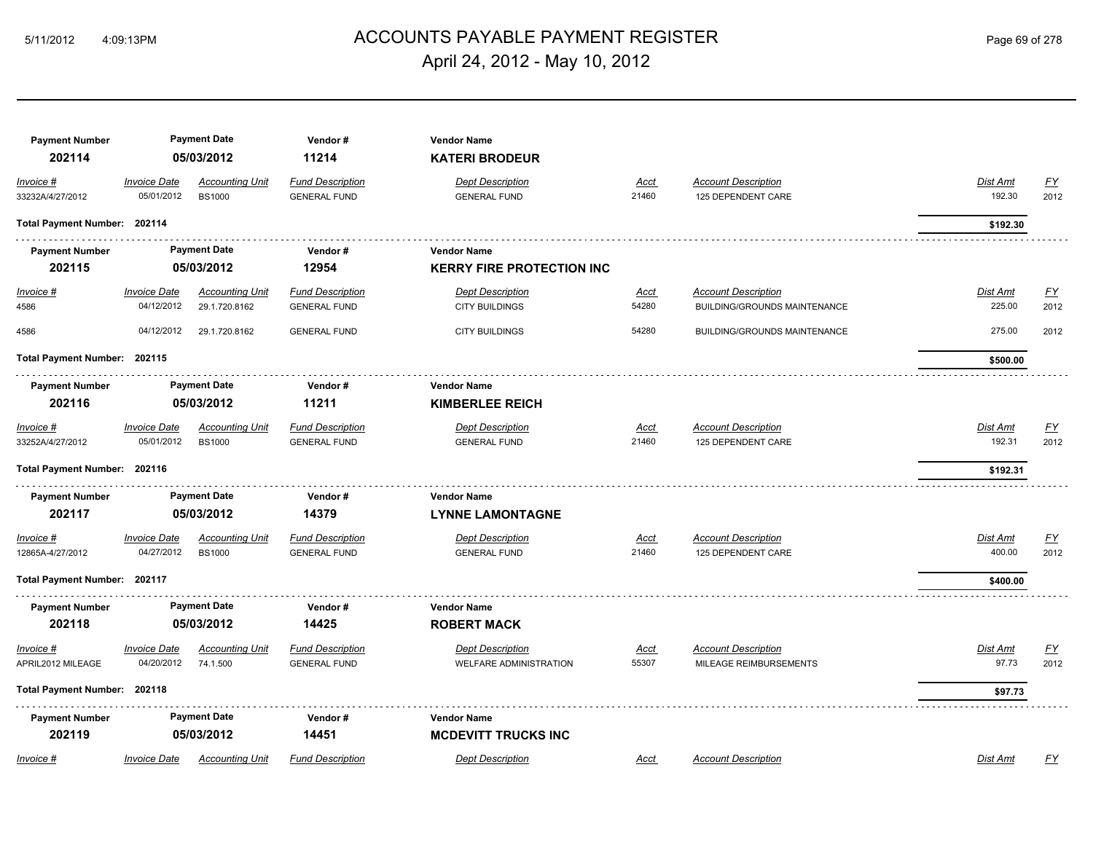# ACCOUNTS PAYABLE PAYMENT REGISTER 5/11/2012 4:09:13PM Page 69 of 278 April 24, 2012 - May 10, 2012

| <b>Payment Number</b><br>202114 |                                   | <b>Payment Date</b><br>05/03/2012       | Vendor#<br>11214                               | <b>Vendor Name</b><br><b>KATERI BRODEUR</b>              |                      |                                                            |                    |                          |
|---------------------------------|-----------------------------------|-----------------------------------------|------------------------------------------------|----------------------------------------------------------|----------------------|------------------------------------------------------------|--------------------|--------------------------|
| Invoice #<br>33232A/4/27/2012   | <b>Invoice Date</b><br>05/01/2012 | <b>Accounting Unit</b><br><b>BS1000</b> | <b>Fund Description</b><br><b>GENERAL FUND</b> | <b>Dept Description</b><br><b>GENERAL FUND</b>           | <u>Acct</u><br>21460 | <b>Account Description</b><br>125 DEPENDENT CARE           | Dist Amt<br>192.30 | EY<br>2012               |
| Total Payment Number: 202114    |                                   |                                         |                                                |                                                          |                      |                                                            | \$192.30           |                          |
| <b>Payment Number</b>           |                                   | <b>Payment Date</b>                     | Vendor#                                        | <b>Vendor Name</b>                                       |                      |                                                            |                    |                          |
| 202115                          |                                   | 05/03/2012                              | 12954                                          | <b>KERRY FIRE PROTECTION INC</b>                         |                      |                                                            |                    |                          |
| $Invoice$ #<br>4586             | <b>Invoice Date</b><br>04/12/2012 | <b>Accounting Unit</b><br>29.1.720.8162 | <b>Fund Description</b><br><b>GENERAL FUND</b> | <b>Dept Description</b><br><b>CITY BUILDINGS</b>         | <u>Acct</u><br>54280 | <b>Account Description</b><br>BUILDING/GROUNDS MAINTENANCE | Dist Amt<br>225.00 | <u>FY</u><br>2012        |
| 4586                            | 04/12/2012                        | 29.1.720.8162                           | <b>GENERAL FUND</b>                            | <b>CITY BUILDINGS</b>                                    | 54280                | <b>BUILDING/GROUNDS MAINTENANCE</b>                        | 275.00             | 2012                     |
| Total Payment Number: 202115    |                                   |                                         |                                                |                                                          |                      |                                                            | \$500.00           |                          |
| <b>Payment Number</b>           |                                   | <b>Payment Date</b>                     | Vendor#                                        | <b>Vendor Name</b>                                       |                      |                                                            |                    |                          |
| 202116                          |                                   | 05/03/2012                              | 11211                                          | <b>KIMBERLEE REICH</b>                                   |                      |                                                            |                    |                          |
| Invoice #<br>33252A/4/27/2012   | <b>Invoice Date</b><br>05/01/2012 | <b>Accounting Unit</b><br><b>BS1000</b> | <b>Fund Description</b><br><b>GENERAL FUND</b> | <b>Dept Description</b><br><b>GENERAL FUND</b>           | <b>Acct</b><br>21460 | <b>Account Description</b><br>125 DEPENDENT CARE           | Dist Amt<br>192.31 | $\underline{FY}$<br>2012 |
| Total Payment Number: 202116    |                                   |                                         |                                                |                                                          |                      |                                                            | \$192.31           |                          |
| <b>Payment Number</b>           |                                   | <b>Payment Date</b>                     | Vendor#                                        | <b>Vendor Name</b>                                       |                      |                                                            |                    |                          |
| 202117                          |                                   | 05/03/2012                              | 14379                                          | <b>LYNNE LAMONTAGNE</b>                                  |                      |                                                            |                    |                          |
| Invoice #<br>12865A-4/27/2012   | <b>Invoice Date</b><br>04/27/2012 | <b>Accounting Unit</b><br><b>BS1000</b> | <b>Fund Description</b><br><b>GENERAL FUND</b> | <b>Dept Description</b><br><b>GENERAL FUND</b>           | Acct<br>21460        | <b>Account Description</b><br>125 DEPENDENT CARE           | Dist Amt<br>400.00 | <u>FY</u><br>2012        |
| Total Payment Number: 202117    |                                   |                                         |                                                |                                                          |                      |                                                            | \$400.00           |                          |
| <b>Payment Number</b>           |                                   | <b>Payment Date</b>                     | Vendor#                                        | <b>Vendor Name</b>                                       |                      |                                                            |                    |                          |
| 202118                          |                                   | 05/03/2012                              | 14425                                          | <b>ROBERT MACK</b>                                       |                      |                                                            |                    |                          |
| Invoice #<br>APRIL2012 MILEAGE  | <b>Invoice Date</b><br>04/20/2012 | <b>Accounting Unit</b><br>74.1.500      | <b>Fund Description</b><br><b>GENERAL FUND</b> | <b>Dept Description</b><br><b>WELFARE ADMINISTRATION</b> | <b>Acct</b><br>55307 | <b>Account Description</b><br>MILEAGE REIMBURSEMENTS       | Dist Amt<br>97.73  | <u>FY</u><br>2012        |
| Total Payment Number: 202118    |                                   |                                         |                                                |                                                          |                      |                                                            | \$97.73            |                          |
| <b>Payment Number</b>           |                                   | <b>Payment Date</b>                     | Vendor#                                        | <b>Vendor Name</b>                                       |                      |                                                            |                    |                          |
| 202119                          |                                   | 05/03/2012                              | 14451                                          | <b>MCDEVITT TRUCKS INC</b>                               |                      |                                                            |                    |                          |
| Invoice #                       | <b>Invoice Date</b>               | <b>Accounting Unit</b>                  | <b>Fund Description</b>                        | <b>Dept Description</b>                                  | Acct                 | <b>Account Description</b>                                 | Dist Amt           | FY                       |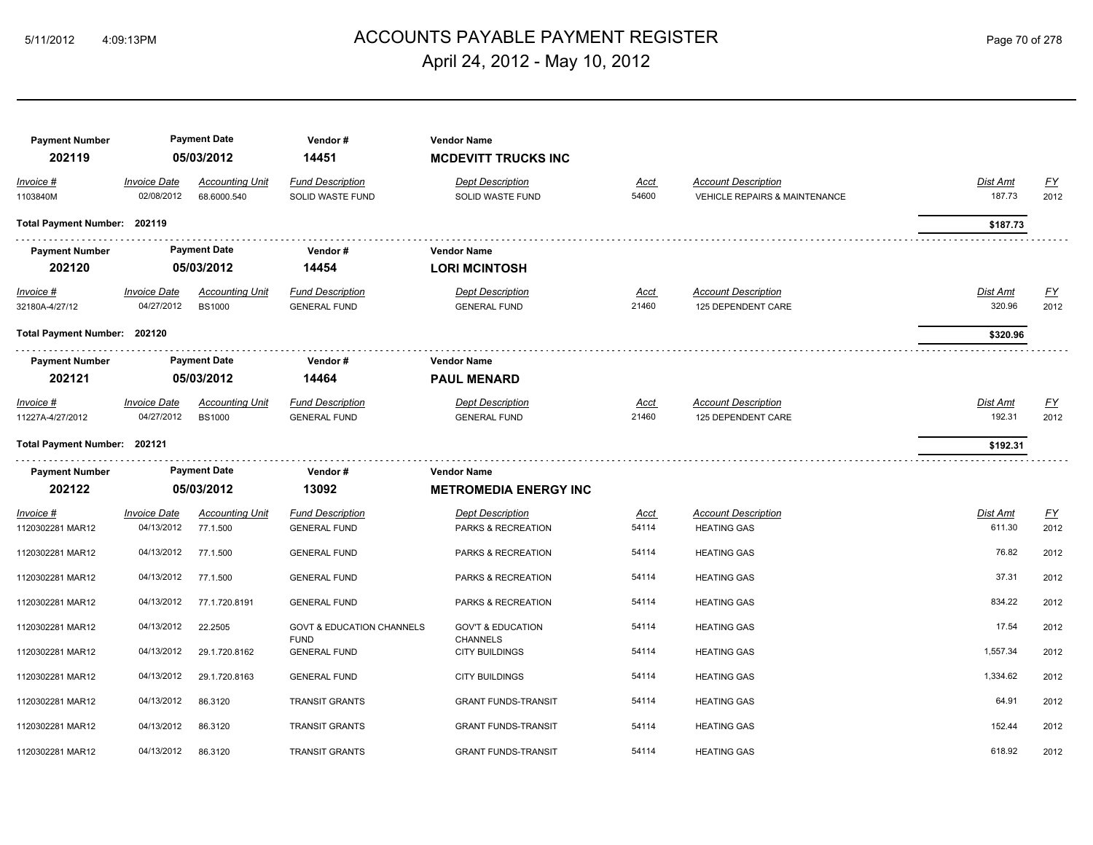# 5/11/2012 4:09:13PM ACCOUNTS PAYABLE PAYMENT REGISTER Page 70 of 278 April 24, 2012 - May 10, 2012

| <b>Payment Number</b><br>202119 |                                   | <b>Payment Date</b><br>05/03/2012       | Vendor#<br>14451                               | <b>Vendor Name</b><br><b>MCDEVITT TRUCKS INC</b>   |                      |                                                             |                           |                   |
|---------------------------------|-----------------------------------|-----------------------------------------|------------------------------------------------|----------------------------------------------------|----------------------|-------------------------------------------------------------|---------------------------|-------------------|
| Invoice #<br>1103840M           | <b>Invoice Date</b><br>02/08/2012 | <b>Accounting Unit</b><br>68.6000.540   | <b>Fund Description</b><br>SOLID WASTE FUND    | <b>Dept Description</b><br>SOLID WASTE FUND        | Acct<br>54600        | <b>Account Description</b><br>VEHICLE REPAIRS & MAINTENANCE | Dist Amt<br>187.73        | <u>FY</u><br>2012 |
| Total Payment Number: 202119    |                                   |                                         |                                                |                                                    |                      |                                                             | \$187.73                  |                   |
| <b>Payment Number</b><br>202120 |                                   | <b>Payment Date</b><br>05/03/2012       | Vendor#<br>14454                               | <b>Vendor Name</b><br><b>LORI MCINTOSH</b>         |                      |                                                             |                           |                   |
| $Invoice$ #<br>32180A-4/27/12   | <b>Invoice Date</b><br>04/27/2012 | <b>Accounting Unit</b><br><b>BS1000</b> | <b>Fund Description</b><br><b>GENERAL FUND</b> | <b>Dept Description</b><br><b>GENERAL FUND</b>     | <u>Acct</u><br>21460 | <b>Account Description</b><br>125 DEPENDENT CARE            | <b>Dist Amt</b><br>320.96 | <u>FY</u><br>2012 |
| Total Payment Number: 202120    |                                   |                                         |                                                |                                                    |                      |                                                             | \$320.96                  |                   |
| <b>Payment Number</b><br>202121 |                                   | <b>Payment Date</b><br>05/03/2012       | Vendor#<br>14464                               | <b>Vendor Name</b><br><b>PAUL MENARD</b>           |                      |                                                             |                           |                   |
| Invoice #<br>11227A-4/27/2012   | <b>Invoice Date</b><br>04/27/2012 | <b>Accounting Unit</b><br><b>BS1000</b> | <b>Fund Description</b><br><b>GENERAL FUND</b> | <b>Dept Description</b><br><b>GENERAL FUND</b>     | Acct<br>21460        | <b>Account Description</b><br>125 DEPENDENT CARE            | Dist Amt<br>192.31        | <u>FY</u><br>2012 |
| Total Payment Number: 202121    |                                   |                                         |                                                |                                                    |                      |                                                             | \$192.31                  |                   |
| <b>Payment Number</b><br>202122 |                                   | <b>Payment Date</b><br>05/03/2012       | Vendor#<br>13092                               | <b>Vendor Name</b><br><b>METROMEDIA ENERGY INC</b> |                      |                                                             |                           |                   |
| Invoice #<br>1120302281 MAR12   | <b>Invoice Date</b><br>04/13/2012 | <b>Accounting Unit</b><br>77.1.500      | <b>Fund Description</b><br><b>GENERAL FUND</b> | <b>Dept Description</b><br>PARKS & RECREATION      | Acct<br>54114        | <b>Account Description</b><br><b>HEATING GAS</b>            | Dist Amt<br>611.30        | <u>FY</u><br>2012 |
| 1120302281 MAR12                | 04/13/2012                        | 77.1.500                                | <b>GENERAL FUND</b>                            | PARKS & RECREATION                                 | 54114                | <b>HEATING GAS</b>                                          | 76.82                     | 2012              |
| 1120302281 MAR12                | 04/13/2012                        | 77.1.500                                | <b>GENERAL FUND</b>                            | PARKS & RECREATION                                 | 54114                | <b>HEATING GAS</b>                                          | 37.31                     | 2012              |
| 1120302281 MAR12                | 04/13/2012                        | 77.1.720.8191                           | <b>GENERAL FUND</b>                            | PARKS & RECREATION                                 | 54114                | <b>HEATING GAS</b>                                          | 834.22                    | 2012              |
| 1120302281 MAR12                | 04/13/2012                        | 22.2505                                 | <b>GOVT &amp; EDUCATION CHANNELS</b>           | <b>GOV'T &amp; EDUCATION</b>                       | 54114                | <b>HEATING GAS</b>                                          | 17.54                     | 2012              |
| 1120302281 MAR12                | 04/13/2012                        | 29.1.720.8162                           | <b>FUND</b><br><b>GENERAL FUND</b>             | <b>CHANNELS</b><br><b>CITY BUILDINGS</b>           | 54114                | <b>HEATING GAS</b>                                          | 1,557.34                  | 2012              |
| 1120302281 MAR12                | 04/13/2012                        | 29.1.720.8163                           | <b>GENERAL FUND</b>                            | <b>CITY BUILDINGS</b>                              | 54114                | <b>HEATING GAS</b>                                          | 1,334.62                  | 2012              |
| 1120302281 MAR12                | 04/13/2012                        | 86.3120                                 | <b>TRANSIT GRANTS</b>                          | <b>GRANT FUNDS-TRANSIT</b>                         | 54114                | <b>HEATING GAS</b>                                          | 64.91                     | 2012              |
| 1120302281 MAR12                | 04/13/2012                        | 86.3120                                 | <b>TRANSIT GRANTS</b>                          | <b>GRANT FUNDS-TRANSIT</b>                         | 54114                | <b>HEATING GAS</b>                                          | 152.44                    | 2012              |
| 1120302281 MAR12                | 04/13/2012                        | 86.3120                                 | <b>TRANSIT GRANTS</b>                          | <b>GRANT FUNDS-TRANSIT</b>                         | 54114                | <b>HEATING GAS</b>                                          | 618.92                    | 2012              |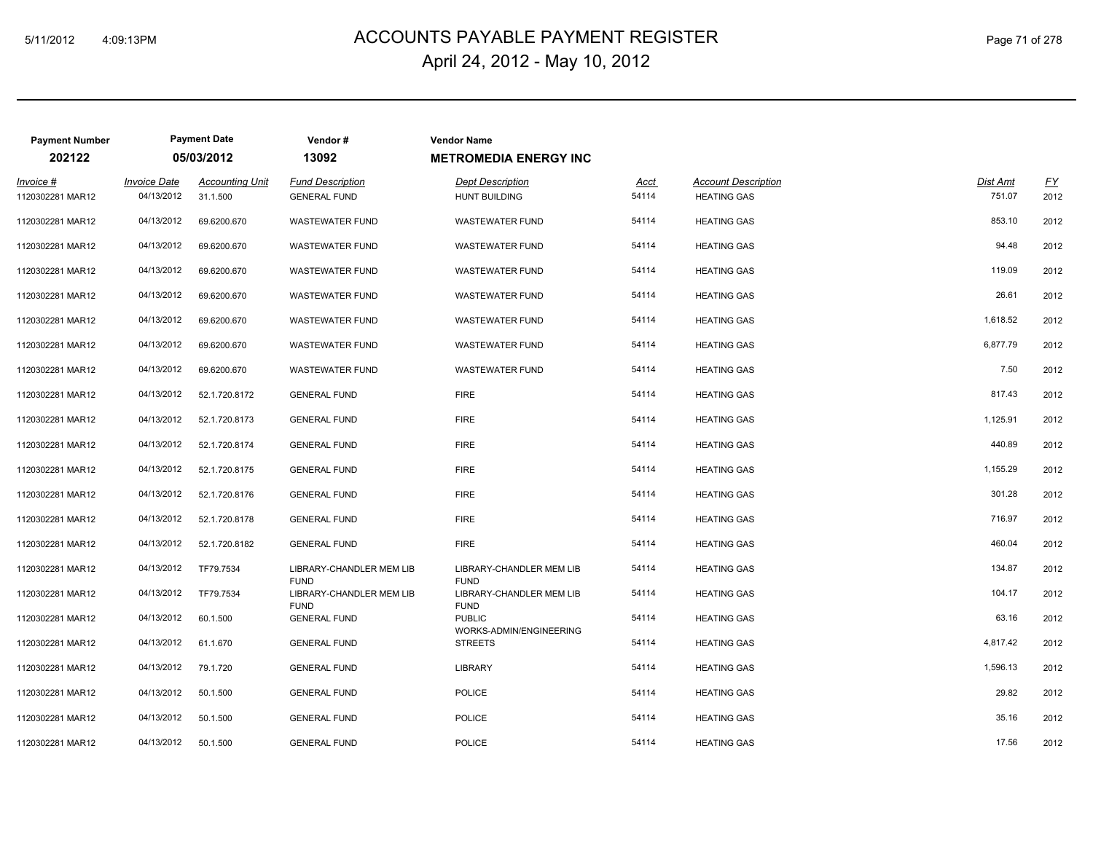# 5/11/2012 4:09:13PM ACCOUNTS PAYABLE PAYMENT REGISTER Page 71 of 278 April 24, 2012 - May 10, 2012

| <b>Payment Number</b>         |                                   | <b>Payment Date</b>                | Vendor#                                        | <b>Vendor Name</b> |                                                 |                      |                                                  |                           |                          |
|-------------------------------|-----------------------------------|------------------------------------|------------------------------------------------|--------------------|-------------------------------------------------|----------------------|--------------------------------------------------|---------------------------|--------------------------|
| 202122                        |                                   | 05/03/2012                         | 13092                                          |                    | <b>METROMEDIA ENERGY INC</b>                    |                      |                                                  |                           |                          |
| Invoice #<br>1120302281 MAR12 | <b>Invoice Date</b><br>04/13/2012 | <b>Accounting Unit</b><br>31.1.500 | <b>Fund Description</b><br><b>GENERAL FUND</b> |                    | <b>Dept Description</b><br><b>HUNT BUILDING</b> | <u>Acct</u><br>54114 | <b>Account Description</b><br><b>HEATING GAS</b> | <b>Dist Amt</b><br>751.07 | $\underline{FY}$<br>2012 |
| 1120302281 MAR12              | 04/13/2012                        | 69.6200.670                        | <b>WASTEWATER FUND</b>                         |                    | <b>WASTEWATER FUND</b>                          | 54114                | <b>HEATING GAS</b>                               | 853.10                    | 2012                     |
| 1120302281 MAR12              | 04/13/2012                        | 69.6200.670                        | <b>WASTEWATER FUND</b>                         |                    | <b>WASTEWATER FUND</b>                          | 54114                | <b>HEATING GAS</b>                               | 94.48                     | 2012                     |
| 1120302281 MAR12              | 04/13/2012                        | 69.6200.670                        | <b>WASTEWATER FUND</b>                         |                    | <b>WASTEWATER FUND</b>                          | 54114                | <b>HEATING GAS</b>                               | 119.09                    | 2012                     |
| 1120302281 MAR12              | 04/13/2012                        | 69.6200.670                        | <b>WASTEWATER FUND</b>                         |                    | <b>WASTEWATER FUND</b>                          | 54114                | <b>HEATING GAS</b>                               | 26.61                     | 2012                     |
| 1120302281 MAR12              | 04/13/2012                        | 69.6200.670                        | <b>WASTEWATER FUND</b>                         |                    | <b>WASTEWATER FUND</b>                          | 54114                | <b>HEATING GAS</b>                               | 1,618.52                  | 2012                     |
| 1120302281 MAR12              | 04/13/2012                        | 69.6200.670                        | <b>WASTEWATER FUND</b>                         |                    | <b>WASTEWATER FUND</b>                          | 54114                | <b>HEATING GAS</b>                               | 6,877.79                  | 2012                     |
| 1120302281 MAR12              | 04/13/2012                        | 69.6200.670                        | <b>WASTEWATER FUND</b>                         |                    | <b>WASTEWATER FUND</b>                          | 54114                | <b>HEATING GAS</b>                               | 7.50                      | 2012                     |
| 1120302281 MAR12              | 04/13/2012                        | 52.1.720.8172                      | <b>GENERAL FUND</b>                            | <b>FIRE</b>        |                                                 | 54114                | <b>HEATING GAS</b>                               | 817.43                    | 2012                     |
| 1120302281 MAR12              | 04/13/2012                        | 52.1.720.8173                      | <b>GENERAL FUND</b>                            | <b>FIRE</b>        |                                                 | 54114                | <b>HEATING GAS</b>                               | 1,125.91                  | 2012                     |
| 1120302281 MAR12              | 04/13/2012                        | 52.1.720.8174                      | <b>GENERAL FUND</b>                            | <b>FIRE</b>        |                                                 | 54114                | <b>HEATING GAS</b>                               | 440.89                    | 2012                     |
| 1120302281 MAR12              | 04/13/2012                        | 52.1.720.8175                      | <b>GENERAL FUND</b>                            | <b>FIRE</b>        |                                                 | 54114                | <b>HEATING GAS</b>                               | 1,155.29                  | 2012                     |
| 1120302281 MAR12              | 04/13/2012                        | 52.1.720.8176                      | <b>GENERAL FUND</b>                            | <b>FIRE</b>        |                                                 | 54114                | <b>HEATING GAS</b>                               | 301.28                    | 2012                     |
| 1120302281 MAR12              | 04/13/2012                        | 52.1.720.8178                      | <b>GENERAL FUND</b>                            | <b>FIRE</b>        |                                                 | 54114                | <b>HEATING GAS</b>                               | 716.97                    | 2012                     |
| 1120302281 MAR12              | 04/13/2012                        | 52.1.720.8182                      | <b>GENERAL FUND</b>                            | <b>FIRE</b>        |                                                 | 54114                | <b>HEATING GAS</b>                               | 460.04                    | 2012                     |
| 1120302281 MAR12              | 04/13/2012                        | TF79.7534                          | LIBRARY-CHANDLER MEM LIB<br><b>FUND</b>        | <b>FUND</b>        | LIBRARY-CHANDLER MEM LIB                        | 54114                | <b>HEATING GAS</b>                               | 134.87                    | 2012                     |
| 1120302281 MAR12              | 04/13/2012                        | TF79.7534                          | LIBRARY-CHANDLER MEM LIB<br><b>FUND</b>        | <b>FUND</b>        | LIBRARY-CHANDLER MEM LIB                        | 54114                | <b>HEATING GAS</b>                               | 104.17                    | 2012                     |
| 1120302281 MAR12              | 04/13/2012                        | 60.1.500                           | <b>GENERAL FUND</b>                            |                    | <b>PUBLIC</b><br>WORKS-ADMIN/ENGINEERING        | 54114                | <b>HEATING GAS</b>                               | 63.16                     | 2012                     |
| 1120302281 MAR12              | 04/13/2012                        | 61.1.670                           | <b>GENERAL FUND</b>                            |                    | <b>STREETS</b>                                  | 54114                | <b>HEATING GAS</b>                               | 4,817.42                  | 2012                     |
| 1120302281 MAR12              | 04/13/2012                        | 79.1.720                           | <b>GENERAL FUND</b>                            |                    | <b>LIBRARY</b>                                  | 54114                | <b>HEATING GAS</b>                               | 1,596.13                  | 2012                     |
| 1120302281 MAR12              | 04/13/2012                        | 50.1.500                           | <b>GENERAL FUND</b>                            |                    | <b>POLICE</b>                                   | 54114                | <b>HEATING GAS</b>                               | 29.82                     | 2012                     |
| 1120302281 MAR12              | 04/13/2012                        | 50.1.500                           | <b>GENERAL FUND</b>                            |                    | <b>POLICE</b>                                   | 54114                | <b>HEATING GAS</b>                               | 35.16                     | 2012                     |
| 1120302281 MAR12              | 04/13/2012                        | 50.1.500                           | <b>GENERAL FUND</b>                            |                    | <b>POLICE</b>                                   | 54114                | <b>HEATING GAS</b>                               | 17.56                     | 2012                     |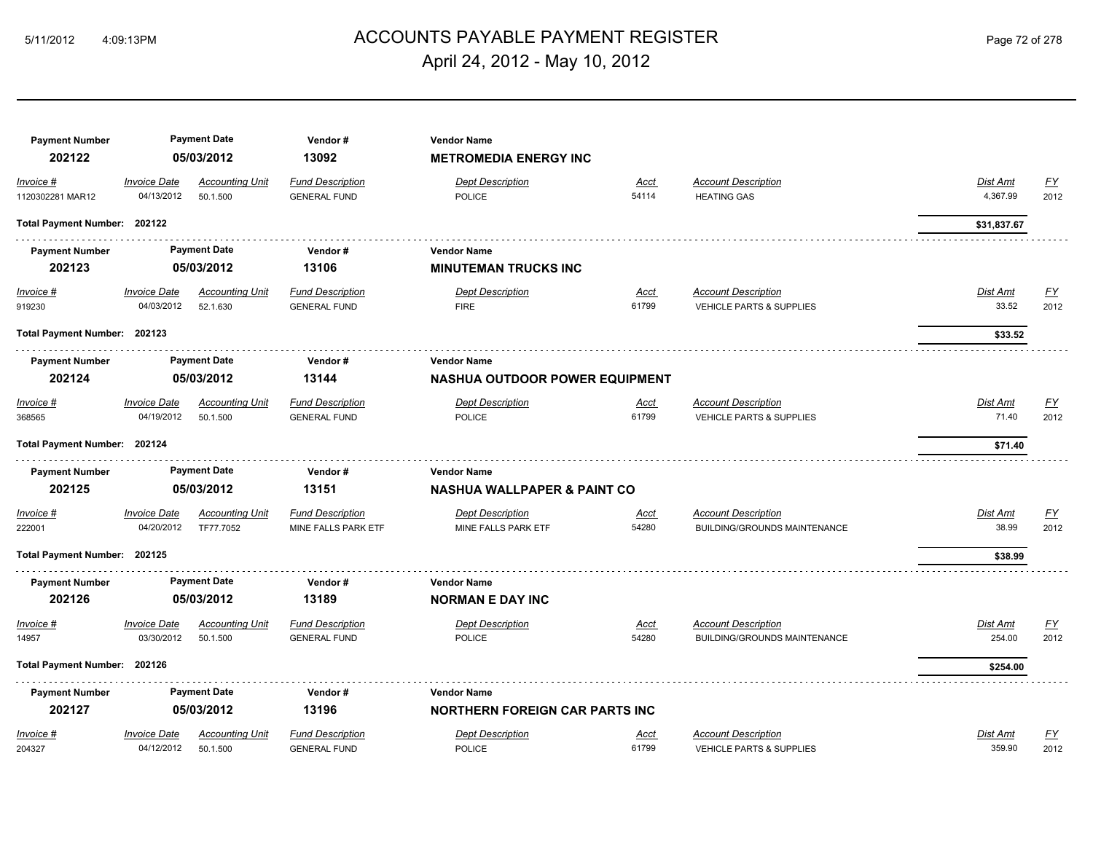# 5/11/2012 4:09:13PM ACCOUNTS PAYABLE PAYMENT REGISTER Page 72 of 278 April 24, 2012 - May 10, 2012

| <b>Payment Number</b>        |                     | <b>Payment Date</b>    | Vendor#                 | <b>Vendor Name</b>                     |             |                                     |                 |                  |
|------------------------------|---------------------|------------------------|-------------------------|----------------------------------------|-------------|-------------------------------------|-----------------|------------------|
| 202122                       |                     | 05/03/2012             | 13092                   | <b>METROMEDIA ENERGY INC</b>           |             |                                     |                 |                  |
| Invoice #                    | <b>Invoice Date</b> | <b>Accounting Unit</b> | <b>Fund Description</b> | <b>Dept Description</b>                | Acct        | <b>Account Description</b>          | Dist Amt        | $\underline{FY}$ |
| 1120302281 MAR12             | 04/13/2012          | 50.1.500               | <b>GENERAL FUND</b>     | <b>POLICE</b>                          | 54114       | <b>HEATING GAS</b>                  | 4,367.99        | 2012             |
| Total Payment Number: 202122 |                     |                        |                         |                                        |             |                                     | \$31,837.67     |                  |
| <b>Payment Number</b>        |                     | <b>Payment Date</b>    | Vendor#                 | <b>Vendor Name</b>                     |             |                                     |                 |                  |
| 202123                       |                     | 05/03/2012             | 13106                   | <b>MINUTEMAN TRUCKS INC</b>            |             |                                     |                 |                  |
| $Invoice$ #                  | <b>Invoice Date</b> | <b>Accounting Unit</b> | <b>Fund Description</b> | <b>Dept Description</b>                | <u>Acct</u> | <b>Account Description</b>          | <u>Dist Amt</u> | <u>FY</u>        |
| 919230                       | 04/03/2012          | 52.1.630               | <b>GENERAL FUND</b>     | <b>FIRE</b>                            | 61799       | VEHICLE PARTS & SUPPLIES            | 33.52           | 2012             |
| Total Payment Number: 202123 |                     |                        |                         |                                        |             |                                     | \$33.52         |                  |
| <b>Payment Number</b>        |                     | <b>Payment Date</b>    | Vendor#                 | <b>Vendor Name</b>                     |             |                                     |                 |                  |
| 202124                       |                     | 05/03/2012             | 13144                   | <b>NASHUA OUTDOOR POWER EQUIPMENT</b>  |             |                                     |                 |                  |
| Invoice #                    | <b>Invoice Date</b> | <b>Accounting Unit</b> | <b>Fund Description</b> | <b>Dept Description</b>                | Acct        | <b>Account Description</b>          | Dist Amt        | <u>FY</u>        |
| 368565                       | 04/19/2012          | 50.1.500               | <b>GENERAL FUND</b>     | <b>POLICE</b>                          | 61799       | VEHICLE PARTS & SUPPLIES            | 71.40           | 2012             |
| Total Payment Number: 202124 |                     |                        |                         |                                        |             |                                     | \$71.40         |                  |
| <b>Payment Number</b>        |                     | <b>Payment Date</b>    | Vendor#                 | <b>Vendor Name</b>                     |             |                                     |                 |                  |
| 202125                       |                     | 05/03/2012             | 13151                   | <b>NASHUA WALLPAPER &amp; PAINT CO</b> |             |                                     |                 |                  |
| Invoice #                    | <b>Invoice Date</b> | <b>Accounting Unit</b> | <b>Fund Description</b> | <b>Dept Description</b>                | Acct        | <b>Account Description</b>          | Dist Amt        | <u>FY</u>        |
| 222001                       | 04/20/2012          | TF77.7052              | MINE FALLS PARK ETF     | MINE FALLS PARK ETF                    | 54280       | BUILDING/GROUNDS MAINTENANCE        | 38.99           | 2012             |
| Total Payment Number: 202125 |                     |                        |                         |                                        |             |                                     | \$38.99         |                  |
| <b>Payment Number</b>        |                     | <b>Payment Date</b>    | Vendor#                 | <b>Vendor Name</b>                     |             |                                     |                 |                  |
| 202126                       |                     | 05/03/2012             | 13189                   | <b>NORMAN E DAY INC</b>                |             |                                     |                 |                  |
| Invoice #                    | <b>Invoice Date</b> | <b>Accounting Unit</b> | <b>Fund Description</b> | <b>Dept Description</b>                | Acct        | <b>Account Description</b>          | Dist Amt        | $\underline{FY}$ |
| 14957                        | 03/30/2012          | 50.1.500               | <b>GENERAL FUND</b>     | <b>POLICE</b>                          | 54280       | <b>BUILDING/GROUNDS MAINTENANCE</b> | 254.00          | 2012             |
| Total Payment Number: 202126 |                     |                        |                         |                                        |             |                                     | \$254.00        |                  |
| <b>Payment Number</b>        |                     | <b>Payment Date</b>    | Vendor#                 | <b>Vendor Name</b>                     |             |                                     |                 |                  |
| 202127                       |                     | 05/03/2012             | 13196                   | <b>NORTHERN FOREIGN CAR PARTS INC</b>  |             |                                     |                 |                  |
| Invoice #                    | <b>Invoice Date</b> | <b>Accounting Unit</b> | <b>Fund Description</b> | <b>Dept Description</b>                | Acct        | <b>Account Description</b>          | Dist Amt        | $\underline{FY}$ |
| 204327                       | 04/12/2012          | 50.1.500               | <b>GENERAL FUND</b>     | <b>POLICE</b>                          | 61799       | VEHICLE PARTS & SUPPLIES            | 359.90          | 2012             |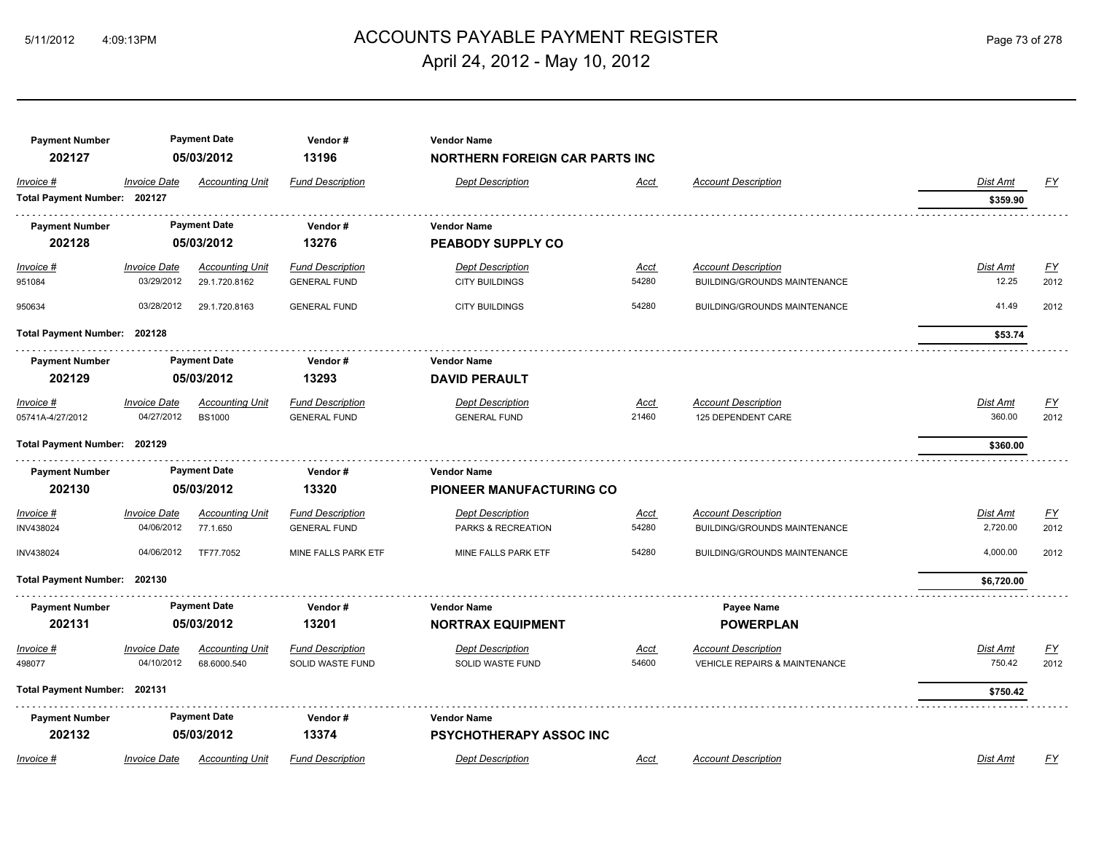# ACCOUNTS PAYABLE PAYMENT REGISTER 5/11/2012 4:09:13PM Page 73 of 278 April 24, 2012 - May 10, 2012

| <b>Payment Number</b><br>202127           |                                   | <b>Payment Date</b><br>05/03/2012       | Vendor#<br>13196                               | <b>Vendor Name</b><br><b>NORTHERN FOREIGN CAR PARTS INC</b> |                      |                                                                        |                             |                          |
|-------------------------------------------|-----------------------------------|-----------------------------------------|------------------------------------------------|-------------------------------------------------------------|----------------------|------------------------------------------------------------------------|-----------------------------|--------------------------|
| Invoice #<br>Total Payment Number: 202127 | <b>Invoice Date</b>               | <b>Accounting Unit</b>                  | <b>Fund Description</b>                        | <b>Dept Description</b>                                     | <b>Acct</b>          | <b>Account Description</b>                                             | <b>Dist Amt</b><br>\$359.90 | <u>FY</u>                |
| <b>Payment Number</b><br>202128           |                                   | <b>Payment Date</b><br>05/03/2012       | Vendor#<br>13276                               | <b>Vendor Name</b><br>PEABODY SUPPLY CO                     |                      |                                                                        |                             |                          |
| Invoice #<br>951084                       | <b>Invoice Date</b><br>03/29/2012 | <b>Accounting Unit</b><br>29.1.720.8162 | <b>Fund Description</b><br><b>GENERAL FUND</b> | <b>Dept Description</b><br><b>CITY BUILDINGS</b>            | <u>Acct</u><br>54280 | <b>Account Description</b><br>BUILDING/GROUNDS MAINTENANCE             | <b>Dist Amt</b><br>12.25    | <u>FY</u><br>2012        |
| 950634                                    | 03/28/2012                        | 29.1.720.8163                           | <b>GENERAL FUND</b>                            | <b>CITY BUILDINGS</b>                                       | 54280                | BUILDING/GROUNDS MAINTENANCE                                           | 41.49                       | 2012                     |
| Total Payment Number: 202128              |                                   |                                         |                                                |                                                             |                      |                                                                        | \$53.74                     |                          |
| <b>Payment Number</b><br>202129           |                                   | <b>Payment Date</b><br>05/03/2012       | Vendor#<br>13293                               | <b>Vendor Name</b><br><b>DAVID PERAULT</b>                  |                      |                                                                        |                             |                          |
| Invoice #<br>05741A-4/27/2012             | <b>Invoice Date</b><br>04/27/2012 | <b>Accounting Unit</b><br><b>BS1000</b> | <b>Fund Description</b><br><b>GENERAL FUND</b> | <b>Dept Description</b><br><b>GENERAL FUND</b>              | <b>Acct</b><br>21460 | <b>Account Description</b><br>125 DEPENDENT CARE                       | Dist Amt<br>360.00          | $\underline{FY}$<br>2012 |
| Total Payment Number: 202129              |                                   |                                         |                                                |                                                             |                      |                                                                        | \$360.00                    |                          |
| <b>Payment Number</b><br>202130           |                                   | <b>Payment Date</b><br>05/03/2012       | Vendor#<br>13320                               | <b>Vendor Name</b><br><b>PIONEER MANUFACTURING CO</b>       |                      |                                                                        |                             |                          |
| Invoice #<br>INV438024                    | <b>Invoice Date</b><br>04/06/2012 | <b>Accounting Unit</b><br>77.1.650      | <b>Fund Description</b><br><b>GENERAL FUND</b> | <b>Dept Description</b><br><b>PARKS &amp; RECREATION</b>    | <u>Acct</u><br>54280 | <b>Account Description</b><br><b>BUILDING/GROUNDS MAINTENANCE</b>      | Dist Amt<br>2,720.00        | EY<br>2012               |
| INV438024                                 | 04/06/2012                        | TF77.7052                               | MINE FALLS PARK ETF                            | MINE FALLS PARK ETF                                         | 54280                | BUILDING/GROUNDS MAINTENANCE                                           | 4,000.00                    | 2012                     |
| Total Payment Number: 202130              |                                   |                                         |                                                |                                                             |                      |                                                                        | \$6,720.00                  |                          |
| <b>Payment Number</b><br>202131           |                                   | <b>Payment Date</b><br>05/03/2012       | Vendor#<br>13201                               | <b>Vendor Name</b><br><b>NORTRAX EQUIPMENT</b>              |                      | Payee Name<br><b>POWERPLAN</b>                                         |                             |                          |
| Invoice #<br>498077                       | <b>Invoice Date</b><br>04/10/2012 | <b>Accounting Unit</b><br>68.6000.540   | <b>Fund Description</b><br>SOLID WASTE FUND    | <b>Dept Description</b><br>SOLID WASTE FUND                 | Acct<br>54600        | <b>Account Description</b><br><b>VEHICLE REPAIRS &amp; MAINTENANCE</b> | Dist Amt<br>750.42          | <u>FY</u><br>2012        |
| Total Payment Number: 202131              |                                   |                                         |                                                |                                                             |                      |                                                                        | \$750.42                    |                          |
| <b>Payment Number</b><br>202132           |                                   | <b>Payment Date</b><br>05/03/2012       | Vendor#<br>13374                               | <b>Vendor Name</b><br><b>PSYCHOTHERAPY ASSOC INC</b>        |                      |                                                                        |                             |                          |
| Invoice #                                 | <b>Invoice Date</b>               | <b>Accounting Unit</b>                  | <b>Fund Description</b>                        | <b>Dept Description</b>                                     | Acct                 | <b>Account Description</b>                                             | <b>Dist Amt</b>             | FY                       |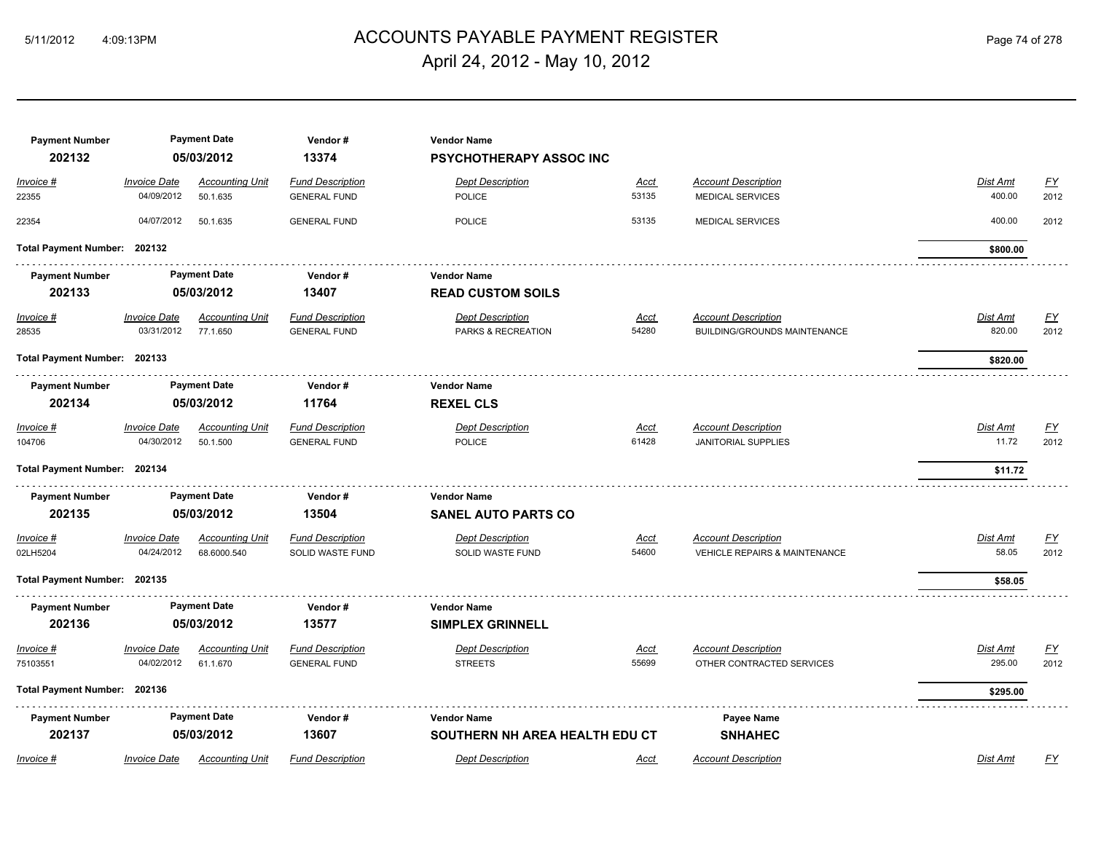# 5/11/2012 4:09:13PM ACCOUNTS PAYABLE PAYMENT REGISTER Page 74 of 278 April 24, 2012 - May 10, 2012

| <b>Payment Number</b><br>202132 |                                   | <b>Payment Date</b><br>05/03/2012     | Vendor#<br>13374                               | <b>Vendor Name</b><br><b>PSYCHOTHERAPY ASSOC INC</b> |                      |                                                                        |                           |                   |
|---------------------------------|-----------------------------------|---------------------------------------|------------------------------------------------|------------------------------------------------------|----------------------|------------------------------------------------------------------------|---------------------------|-------------------|
| Invoice #<br>22355              | <b>Invoice Date</b><br>04/09/2012 | <b>Accounting Unit</b><br>50.1.635    | <b>Fund Description</b><br><b>GENERAL FUND</b> | <b>Dept Description</b><br><b>POLICE</b>             | Acct<br>53135        | <b>Account Description</b><br><b>MEDICAL SERVICES</b>                  | Dist Amt<br>400.00        | <u>FY</u><br>2012 |
| 22354                           | 04/07/2012                        | 50.1.635                              | <b>GENERAL FUND</b>                            | POLICE                                               | 53135                | <b>MEDICAL SERVICES</b>                                                | 400.00                    | 2012              |
| Total Payment Number: 202132    |                                   |                                       |                                                |                                                      |                      |                                                                        | \$800.00                  |                   |
| <b>Payment Number</b><br>202133 |                                   | <b>Payment Date</b><br>05/03/2012     | Vendor#<br>13407                               | <b>Vendor Name</b><br><b>READ CUSTOM SOILS</b>       |                      |                                                                        |                           |                   |
| Invoice #<br>28535              | <b>Invoice Date</b><br>03/31/2012 | <b>Accounting Unit</b><br>77.1.650    | <b>Fund Description</b><br><b>GENERAL FUND</b> | <b>Dept Description</b><br>PARKS & RECREATION        | <u>Acct</u><br>54280 | <b>Account Description</b><br>BUILDING/GROUNDS MAINTENANCE             | <b>Dist Amt</b><br>820.00 | <u>FY</u><br>2012 |
| Total Payment Number: 202133    |                                   |                                       |                                                |                                                      |                      |                                                                        | \$820.00                  |                   |
| <b>Payment Number</b><br>202134 |                                   | <b>Payment Date</b><br>05/03/2012     | Vendor#<br>11764                               | <b>Vendor Name</b><br><b>REXEL CLS</b>               |                      |                                                                        |                           |                   |
| $Invoice$ #<br>104706           | <b>Invoice Date</b><br>04/30/2012 | <b>Accounting Unit</b><br>50.1.500    | <b>Fund Description</b><br><b>GENERAL FUND</b> | <b>Dept Description</b><br><b>POLICE</b>             | <u>Acct</u><br>61428 | <b>Account Description</b><br><b>JANITORIAL SUPPLIES</b>               | Dist Amt<br>11.72         | <u>FY</u><br>2012 |
| Total Payment Number: 202134    |                                   |                                       |                                                |                                                      |                      |                                                                        | \$11.72                   |                   |
| <b>Payment Number</b><br>202135 |                                   | <b>Payment Date</b><br>05/03/2012     | Vendor#<br>13504                               | <b>Vendor Name</b><br><b>SANEL AUTO PARTS CO</b>     |                      |                                                                        |                           |                   |
| Invoice #<br>02LH5204           | <b>Invoice Date</b><br>04/24/2012 | <b>Accounting Unit</b><br>68.6000.540 | <b>Fund Description</b><br>SOLID WASTE FUND    | <b>Dept Description</b><br>SOLID WASTE FUND          | <b>Acct</b><br>54600 | <b>Account Description</b><br><b>VEHICLE REPAIRS &amp; MAINTENANCE</b> | Dist Amt<br>58.05         | <u>FY</u><br>2012 |
| Total Payment Number: 202135    |                                   |                                       |                                                |                                                      |                      |                                                                        | \$58.05                   |                   |
| <b>Payment Number</b><br>202136 |                                   | <b>Payment Date</b><br>05/03/2012     | Vendor#<br>13577                               | <b>Vendor Name</b><br><b>SIMPLEX GRINNELL</b>        |                      |                                                                        |                           |                   |
| Invoice #<br>75103551           | <b>Invoice Date</b><br>04/02/2012 | <b>Accounting Unit</b><br>61.1.670    | <b>Fund Description</b><br><b>GENERAL FUND</b> | <b>Dept Description</b><br><b>STREETS</b>            | <u>Acct</u><br>55699 | <b>Account Description</b><br>OTHER CONTRACTED SERVICES                | Dist Amt<br>295.00        | <u>FY</u><br>2012 |
| Total Payment Number: 202136    |                                   |                                       |                                                |                                                      |                      |                                                                        | \$295.00                  |                   |
| <b>Payment Number</b><br>202137 |                                   | <b>Payment Date</b><br>05/03/2012     | Vendor#<br>13607                               | <b>Vendor Name</b><br>SOUTHERN NH AREA HEALTH EDU CT |                      | <b>Payee Name</b><br><b>SNHAHEC</b>                                    |                           |                   |
| Invoice #                       | <b>Invoice Date</b>               | <b>Accounting Unit</b>                | <b>Fund Description</b>                        | <b>Dept Description</b>                              | Acct                 | <b>Account Description</b>                                             | Dist Amt                  | FY                |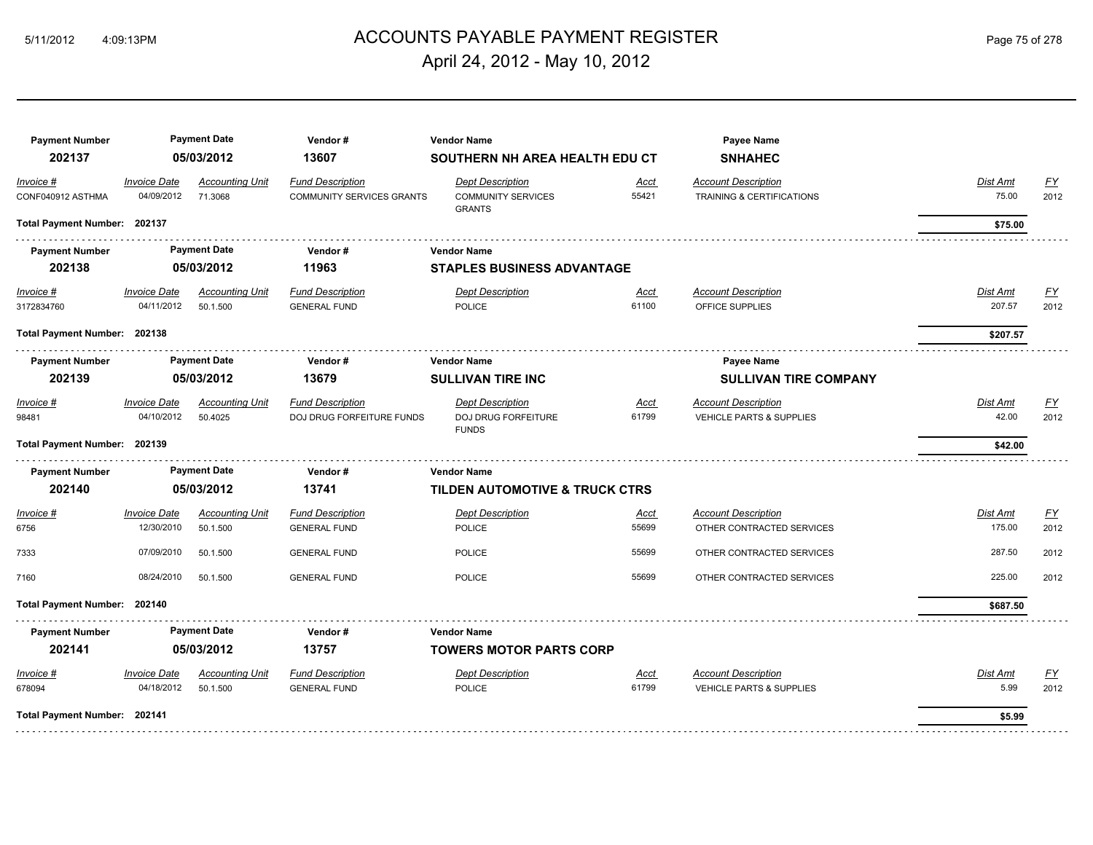#### ACCOUNTS PAYABLE PAYMENT REGISTER 5/11/2012 4:09:13PM Page 75 of 278 April 24, 2012 - May 10, 2012

**Payment Number Payment Date Vendor # Vendor Name Payee Name 202137 05/03/2012 13607 SOUTHERN NH AREA HEALTH EDU CT SNHAHEC** *Invoice # Invoice Date Accounting Unit Fund Description Dept Description Acct Account Description Dist Amt FY* CONF040912 ASTHMA 04/09/2012 71.3068 COMMUNITY SERVICES COMMUNITY SERVICES 55421 TRAINING & CERTIFICATIONS 75.00 2012 TRAINING & CERTIFICATIONS GRANTS **Total Payment Number: 202137 \$75.00 Payment Number Payment Date Vendor # Vendor Name 202138 05/03/2012 11963 STAPLES BUSINESS ADVANTAGE** *Invoice # Invoice Date Accounting Unit Fund Description Dept Description Acct Account Description Dist Amt FY* 3172834760 04/11/2012 50.1.500 GENERAL FUND POLICE 61100 OFFICE SUPPLIES 207.57 2012 **Total Payment Number: 202138 \$207.57**  . . . . . . . . . . . . . . . \_<del>\_\_\_\_\_\_\_\_\_\_\_\_\_\_\_\_\_\_\_\_\_</del>\_\_\_\_\_\_\_ **Payment Number Payment Date Payment Date Vendor # Payee Name Payee Name Payee Name Payee Name 202139 05/03/2012 13679 SULLIVAN TIRE INC SULLIVAN TIRE COMPANY** *Invoice # Invoice Date Accounting Unit Fund Description Dept Description Acct Account Description Dist Amt FY* 98481 04/10/2012 50.4025 DOJ DRUG FORFEITURE FUNDS DOJ DRUG FORFEITURE 61799 VEHICLE PARTS & SUPPLIES 42.00 2012 **VEHICLE PARTS & SUPPLIES** FUNDS **Total Payment Number: 202139 \$42.00 Payment Number Payment Date Vendor # Vendor Name 202140 05/03/2012 13741 TILDEN AUTOMOTIVE & TRUCK CTRS** *Invoice # Invoice Date Accounting Unit Fund Description Dept Description Acct Account Description Dist Amt FY* ers 12/30/2010 50.1.500 GENERAL FUND POLICE SERVICES 55699 OTHER CONTRACTED SERVICES 175.00 2012  $7333$   $07/09/2010$   $50.1.500$   $50.1.500$   $50.120$   $50.1.500$   $2012$   $50.12012$   $50.12012$   $50.12012$   $50.12012$   $50.12012$   $50.12012$   $50.12012$   $50.12012$   $50.12012$   $50.12012$   $50.12012$   $50.12012$   $50.12012$   $50.12012$ 7160 08/24/2010 50.1.500 GENERAL FUND POLICE 55699 OTHER CONTRACTED SERVICES 225.00 2012 **Total Payment Number: 202140 \$687.50**  . . . . . . . . . . . . . . . . . . . . . . . . . . . . . . **Payment Number Payment Date Vendor # Vendor Name 202141 05/03/2012 13757 TOWERS MOTOR PARTS CORP** *Invoice # Invoice Date Accounting Unit Fund Description Dept Description Acct Account Description Dist Amt FY* 678094 04/18/2012 50.1.500 GENERAL FUND POLICE 61799 VEHICLE PARTS & SUPPLIES 5.99 2012 **Total Payment Number: 202141 \$5.99**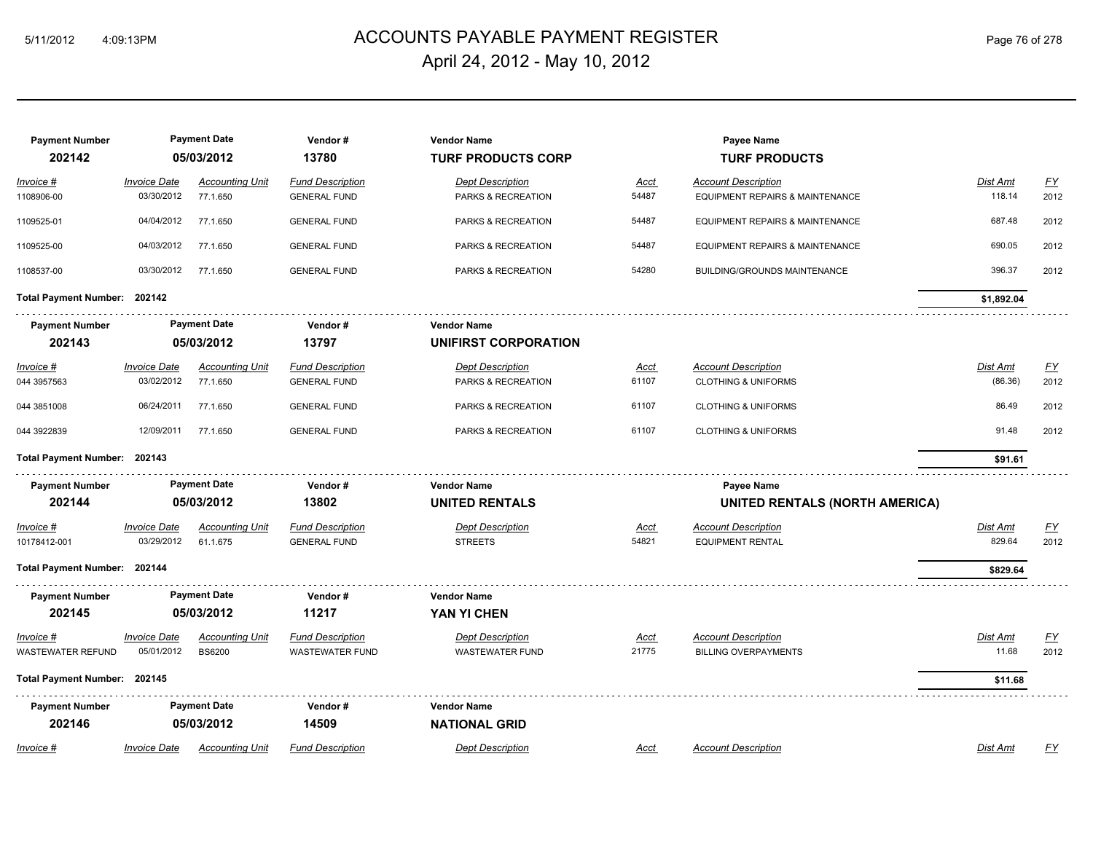# ACCOUNTS PAYABLE PAYMENT REGISTER 5/11/2012 4:09:13PM Page 76 of 278 April 24, 2012 - May 10, 2012

| <b>Payment Number</b><br>202142 |                                   | <b>Payment Date</b><br>05/03/2012       | Vendor#<br>13780                                  | <b>Vendor Name</b><br><b>TURF PRODUCTS CORP</b>   |                      | Payee Name<br><b>TURF PRODUCTS</b>                        |                   |                   |
|---------------------------------|-----------------------------------|-----------------------------------------|---------------------------------------------------|---------------------------------------------------|----------------------|-----------------------------------------------------------|-------------------|-------------------|
| Invoice #                       | <b>Invoice Date</b>               | <b>Accounting Unit</b>                  | <b>Fund Description</b>                           | <b>Dept Description</b>                           | Acct                 | <b>Account Description</b>                                | Dist Amt          | EY                |
| 1108906-00                      | 03/30/2012                        | 77.1.650                                | <b>GENERAL FUND</b>                               | PARKS & RECREATION                                | 54487                | EQUIPMENT REPAIRS & MAINTENANCE                           | 118.14            | 2012              |
| 1109525-01                      | 04/04/2012                        | 77.1.650                                | <b>GENERAL FUND</b>                               | PARKS & RECREATION                                | 54487                | EQUIPMENT REPAIRS & MAINTENANCE                           | 687.48            | 2012              |
| 1109525-00                      | 04/03/2012                        | 77.1.650                                | <b>GENERAL FUND</b>                               | PARKS & RECREATION                                | 54487                | EQUIPMENT REPAIRS & MAINTENANCE                           | 690.05            | 2012              |
| 1108537-00                      | 03/30/2012                        | 77.1.650                                | <b>GENERAL FUND</b>                               | PARKS & RECREATION                                | 54280                | BUILDING/GROUNDS MAINTENANCE                              | 396.37            | 2012              |
| Total Payment Number: 202142    |                                   |                                         |                                                   |                                                   |                      |                                                           | \$1,892.04        |                   |
| <b>Payment Number</b>           |                                   | <b>Payment Date</b>                     | Vendor#                                           | <b>Vendor Name</b>                                |                      |                                                           |                   |                   |
| 202143                          |                                   | 05/03/2012                              | 13797                                             | UNIFIRST CORPORATION                              |                      |                                                           |                   |                   |
| <u> Invoice #</u>               | <b>Invoice Date</b>               | <b>Accounting Unit</b>                  | <b>Fund Description</b>                           | <b>Dept Description</b>                           | <u>Acct</u>          | <b>Account Description</b>                                | Dist Amt          | <u>FY</u>         |
| 044 3957563                     | 03/02/2012                        | 77.1.650                                | <b>GENERAL FUND</b>                               | PARKS & RECREATION                                | 61107                | <b>CLOTHING &amp; UNIFORMS</b>                            | (86.36)           | 2012              |
| 044 3851008                     | 06/24/2011                        | 77.1.650                                | <b>GENERAL FUND</b>                               | PARKS & RECREATION                                | 61107                | <b>CLOTHING &amp; UNIFORMS</b>                            | 86.49             | 2012              |
| 044 3922839                     | 12/09/2011                        | 77.1.650                                | <b>GENERAL FUND</b>                               | PARKS & RECREATION                                | 61107                | <b>CLOTHING &amp; UNIFORMS</b>                            | 91.48             | 2012              |
| Total Payment Number: 202143    |                                   |                                         |                                                   |                                                   |                      |                                                           | \$91.61           |                   |
| <b>Payment Number</b>           |                                   | <b>Payment Date</b>                     | Vendor#                                           | <b>Vendor Name</b>                                |                      | Payee Name                                                |                   |                   |
| 202144                          |                                   | 05/03/2012                              | 13802                                             | <b>UNITED RENTALS</b>                             |                      | <b>UNITED RENTALS (NORTH AMERICA)</b>                     |                   |                   |
| Invoice #                       | <b>Invoice Date</b>               | <b>Accounting Unit</b>                  | <b>Fund Description</b>                           | <b>Dept Description</b>                           | Acct                 | <b>Account Description</b>                                | Dist Amt          | <u>FY</u>         |
| 10178412-001                    | 03/29/2012                        | 61.1.675                                | <b>GENERAL FUND</b>                               | <b>STREETS</b>                                    | 54821                | <b>EQUIPMENT RENTAL</b>                                   | 829.64            | 2012              |
| Total Payment Number: 202144    |                                   |                                         |                                                   |                                                   |                      |                                                           | \$829.64          |                   |
| <b>Payment Number</b>           |                                   | <b>Payment Date</b>                     | Vendor#                                           | <b>Vendor Name</b>                                |                      |                                                           |                   |                   |
| 202145                          |                                   | 05/03/2012                              | 11217                                             | YAN YI CHEN                                       |                      |                                                           |                   |                   |
| Invoice #<br>WASTEWATER REFUND  | <b>Invoice Date</b><br>05/01/2012 | <b>Accounting Unit</b><br><b>BS6200</b> | <b>Fund Description</b><br><b>WASTEWATER FUND</b> | <b>Dept Description</b><br><b>WASTEWATER FUND</b> | <u>Acct</u><br>21775 | <b>Account Description</b><br><b>BILLING OVERPAYMENTS</b> | Dist Amt<br>11.68 | <u>FY</u><br>2012 |
| Total Payment Number: 202145    |                                   |                                         |                                                   |                                                   |                      |                                                           | \$11.68           |                   |
| <b>Payment Number</b>           |                                   | <b>Payment Date</b>                     | Vendor#                                           | <b>Vendor Name</b>                                |                      |                                                           |                   |                   |
| 202146                          |                                   | 05/03/2012                              | 14509                                             | <b>NATIONAL GRID</b>                              |                      |                                                           |                   |                   |
| Invoice #                       | <b>Invoice Date</b>               | <b>Accounting Unit</b>                  | <b>Fund Description</b>                           | <b>Dept Description</b>                           | Acct                 | <b>Account Description</b>                                | <b>Dist Amt</b>   | EY                |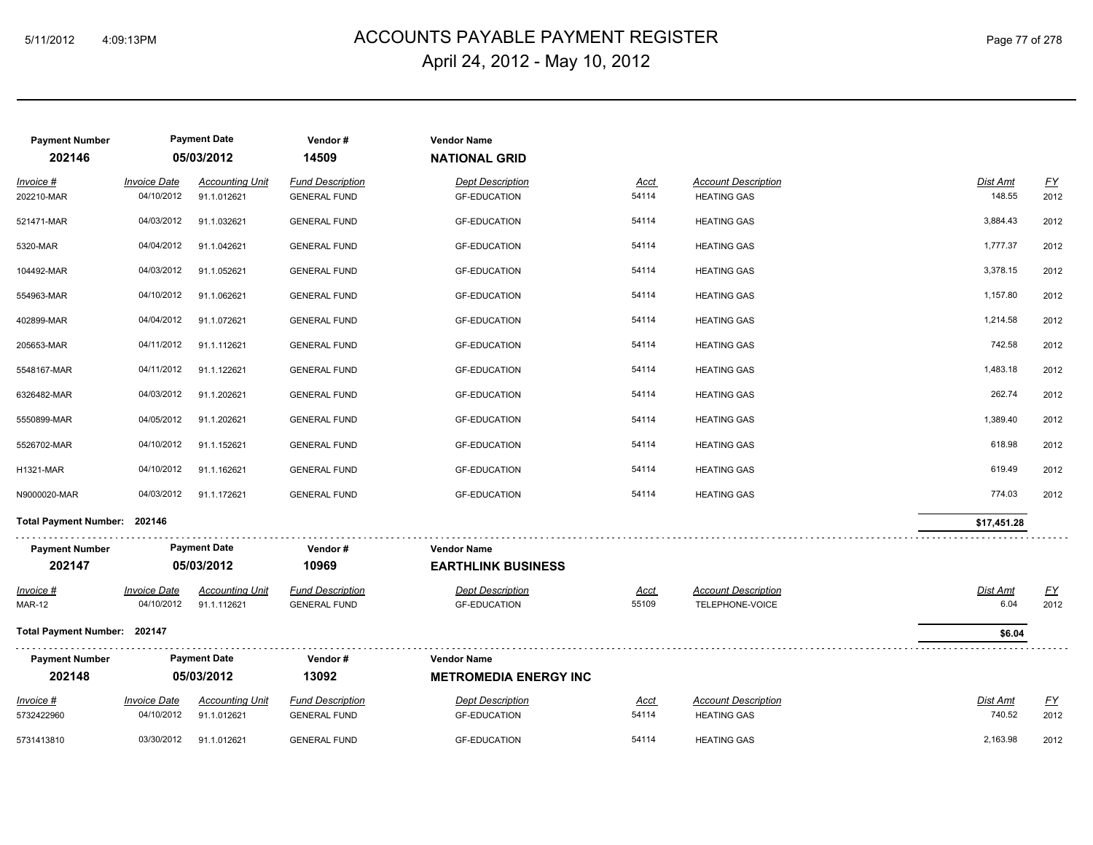# 5/11/2012 4:09:13PM ACCOUNTS PAYABLE PAYMENT REGISTER Page 77 of 278 April 24, 2012 - May 10, 2012

| <b>Payment Number</b><br>202146 |                                   | <b>Payment Date</b><br>05/03/2012     | Vendor#<br>14509                               | <b>Vendor Name</b><br><b>NATIONAL GRID</b>      |                      |                                                  |                    |                   |
|---------------------------------|-----------------------------------|---------------------------------------|------------------------------------------------|-------------------------------------------------|----------------------|--------------------------------------------------|--------------------|-------------------|
| Invoice #<br>202210-MAR         | <b>Invoice Date</b><br>04/10/2012 | <b>Accounting Unit</b><br>91.1.012621 | <b>Fund Description</b><br><b>GENERAL FUND</b> | <b>Dept Description</b><br><b>GF-EDUCATION</b>  | <b>Acct</b><br>54114 | <b>Account Description</b><br><b>HEATING GAS</b> | Dist Amt<br>148.55 | <u>FY</u><br>2012 |
| 521471-MAR                      | 04/03/2012                        | 91.1.032621                           | <b>GENERAL FUND</b>                            | <b>GF-EDUCATION</b>                             | 54114                | <b>HEATING GAS</b>                               | 3,884.43           | 2012              |
| 5320-MAR                        | 04/04/2012                        | 91.1.042621                           | <b>GENERAL FUND</b>                            | <b>GF-EDUCATION</b>                             | 54114                | <b>HEATING GAS</b>                               | 1,777.37           | 2012              |
| 104492-MAR                      | 04/03/2012                        | 91.1.052621                           | <b>GENERAL FUND</b>                            | <b>GF-EDUCATION</b>                             | 54114                | <b>HEATING GAS</b>                               | 3,378.15           | 2012              |
| 554963-MAR                      | 04/10/2012                        | 91.1.062621                           | <b>GENERAL FUND</b>                            | <b>GF-EDUCATION</b>                             | 54114                | <b>HEATING GAS</b>                               | 1,157.80           | 2012              |
| 402899-MAR                      | 04/04/2012                        | 91.1.072621                           | <b>GENERAL FUND</b>                            | <b>GF-EDUCATION</b>                             | 54114                | <b>HEATING GAS</b>                               | 1,214.58           | 2012              |
| 205653-MAR                      | 04/11/2012                        | 91.1.112621                           | <b>GENERAL FUND</b>                            | <b>GF-EDUCATION</b>                             | 54114                | <b>HEATING GAS</b>                               | 742.58             | 2012              |
| 5548167-MAR                     | 04/11/2012                        | 91.1.122621                           | <b>GENERAL FUND</b>                            | <b>GF-EDUCATION</b>                             | 54114                | <b>HEATING GAS</b>                               | 1,483.18           | 2012              |
| 6326482-MAR                     | 04/03/2012                        | 91.1.202621                           | <b>GENERAL FUND</b>                            | <b>GF-EDUCATION</b>                             | 54114                | <b>HEATING GAS</b>                               | 262.74             | 2012              |
| 5550899-MAR                     | 04/05/2012                        | 91.1.202621                           | <b>GENERAL FUND</b>                            | <b>GF-EDUCATION</b>                             | 54114                | <b>HEATING GAS</b>                               | 1,389.40           | 2012              |
| 5526702-MAR                     | 04/10/2012                        | 91.1.152621                           | <b>GENERAL FUND</b>                            | <b>GF-EDUCATION</b>                             | 54114                | <b>HEATING GAS</b>                               | 618.98             | 2012              |
| <b>H1321-MAR</b>                | 04/10/2012                        | 91.1.162621                           | <b>GENERAL FUND</b>                            | <b>GF-EDUCATION</b>                             | 54114                | <b>HEATING GAS</b>                               | 619.49             | 2012              |
| N9000020-MAR                    | 04/03/2012                        | 91.1.172621                           | <b>GENERAL FUND</b>                            | <b>GF-EDUCATION</b>                             | 54114                | <b>HEATING GAS</b>                               | 774.03             | 2012              |
| Total Payment Number: 202146    |                                   |                                       |                                                |                                                 |                      |                                                  | \$17,451.28        |                   |
| <b>Payment Number</b><br>202147 |                                   | <b>Payment Date</b><br>05/03/2012     | Vendor#<br>10969                               | <b>Vendor Name</b><br><b>EARTHLINK BUSINESS</b> |                      |                                                  |                    |                   |
| <u>Invoice #</u>                | <b>Invoice Date</b>               | <b>Accounting Unit</b>                | <b>Fund Description</b>                        | <b>Dept Description</b>                         | <b>Acct</b>          | <b>Account Description</b>                       | <b>Dist Amt</b>    | EY                |
| <b>MAR-12</b>                   | 04/10/2012                        | 91.1.112621                           | <b>GENERAL FUND</b>                            | <b>GF-EDUCATION</b>                             | 55109                | TELEPHONE-VOICE                                  | 6.04               | 2012              |
| Total Payment Number: 202147    |                                   |                                       |                                                |                                                 |                      |                                                  | \$6.04             |                   |
| <b>Payment Number</b>           |                                   | <b>Payment Date</b>                   | Vendor#                                        | <b>Vendor Name</b>                              |                      |                                                  |                    |                   |
| 202148                          |                                   | 05/03/2012                            | 13092                                          | <b>METROMEDIA ENERGY INC</b>                    |                      |                                                  |                    |                   |
| Invoice #<br>5732422960         | <b>Invoice Date</b><br>04/10/2012 | <b>Accounting Unit</b><br>91.1.012621 | <b>Fund Description</b><br><b>GENERAL FUND</b> | <b>Dept Description</b><br><b>GF-EDUCATION</b>  | <u>Acct</u><br>54114 | <b>Account Description</b><br><b>HEATING GAS</b> | Dist Amt<br>740.52 | <u>FY</u><br>2012 |
| 5731413810                      | 03/30/2012                        | 91.1.012621                           | <b>GENERAL FUND</b>                            | <b>GF-EDUCATION</b>                             | 54114                | <b>HEATING GAS</b>                               | 2,163.98           | 2012              |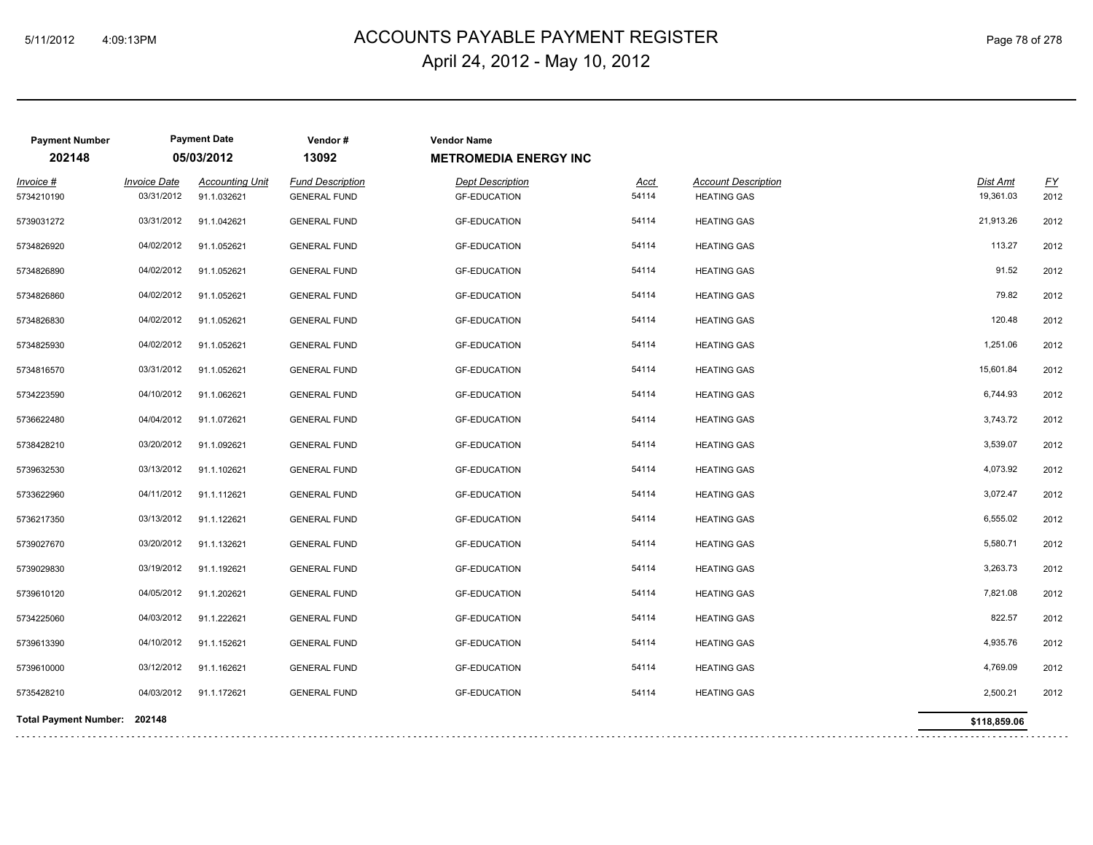# 5/11/2012 4:09:13PM ACCOUNTS PAYABLE PAYMENT REGISTER Page 78 of 278 April 24, 2012 - May 10, 2012

| <b>Payment Number</b><br>202148 |                                   | <b>Payment Date</b><br>05/03/2012     | Vendor#<br>13092                               | <b>Vendor Name</b><br><b>METROMEDIA ENERGY INC</b> |                      |                                                  |                       |                          |
|---------------------------------|-----------------------------------|---------------------------------------|------------------------------------------------|----------------------------------------------------|----------------------|--------------------------------------------------|-----------------------|--------------------------|
| Invoice #<br>5734210190         | <b>Invoice Date</b><br>03/31/2012 | <b>Accounting Unit</b><br>91.1.032621 | <b>Fund Description</b><br><b>GENERAL FUND</b> | <b>Dept Description</b><br><b>GF-EDUCATION</b>     | <b>Acct</b><br>54114 | <b>Account Description</b><br><b>HEATING GAS</b> | Dist Amt<br>19,361.03 | $\underline{FY}$<br>2012 |
| 5739031272                      | 03/31/2012                        | 91.1.042621                           | <b>GENERAL FUND</b>                            | <b>GF-EDUCATION</b>                                | 54114                | <b>HEATING GAS</b>                               | 21,913.26             | 2012                     |
| 5734826920                      | 04/02/2012                        | 91.1.052621                           | <b>GENERAL FUND</b>                            | <b>GF-EDUCATION</b>                                | 54114                | <b>HEATING GAS</b>                               | 113.27                | 2012                     |
| 5734826890                      | 04/02/2012                        | 91.1.052621                           | <b>GENERAL FUND</b>                            | <b>GF-EDUCATION</b>                                | 54114                | <b>HEATING GAS</b>                               | 91.52                 | 2012                     |
| 5734826860                      | 04/02/2012                        | 91.1.052621                           | <b>GENERAL FUND</b>                            | <b>GF-EDUCATION</b>                                | 54114                | <b>HEATING GAS</b>                               | 79.82                 | 2012                     |
| 5734826830                      | 04/02/2012                        | 91.1.052621                           | <b>GENERAL FUND</b>                            | <b>GF-EDUCATION</b>                                | 54114                | <b>HEATING GAS</b>                               | 120.48                | 2012                     |
| 5734825930                      | 04/02/2012                        | 91.1.052621                           | <b>GENERAL FUND</b>                            | <b>GF-EDUCATION</b>                                | 54114                | <b>HEATING GAS</b>                               | 1,251.06              | 2012                     |
| 5734816570                      | 03/31/2012                        | 91.1.052621                           | <b>GENERAL FUND</b>                            | <b>GF-EDUCATION</b>                                | 54114                | <b>HEATING GAS</b>                               | 15,601.84             | 2012                     |
| 5734223590                      | 04/10/2012                        | 91.1.062621                           | <b>GENERAL FUND</b>                            | <b>GF-EDUCATION</b>                                | 54114                | <b>HEATING GAS</b>                               | 6,744.93              | 2012                     |
| 5736622480                      | 04/04/2012                        | 91.1.072621                           | <b>GENERAL FUND</b>                            | <b>GF-EDUCATION</b>                                | 54114                | <b>HEATING GAS</b>                               | 3,743.72              | 2012                     |
| 5738428210                      | 03/20/2012                        | 91.1.092621                           | <b>GENERAL FUND</b>                            | <b>GF-EDUCATION</b>                                | 54114                | <b>HEATING GAS</b>                               | 3,539.07              | 2012                     |
| 5739632530                      | 03/13/2012                        | 91.1.102621                           | <b>GENERAL FUND</b>                            | <b>GF-EDUCATION</b>                                | 54114                | <b>HEATING GAS</b>                               | 4,073.92              | 2012                     |
| 5733622960                      | 04/11/2012                        | 91.1.112621                           | <b>GENERAL FUND</b>                            | <b>GF-EDUCATION</b>                                | 54114                | <b>HEATING GAS</b>                               | 3,072.47              | 2012                     |
| 5736217350                      | 03/13/2012                        | 91.1.122621                           | <b>GENERAL FUND</b>                            | <b>GF-EDUCATION</b>                                | 54114                | <b>HEATING GAS</b>                               | 6,555.02              | 2012                     |
| 5739027670                      | 03/20/2012                        | 91.1.132621                           | <b>GENERAL FUND</b>                            | <b>GF-EDUCATION</b>                                | 54114                | <b>HEATING GAS</b>                               | 5,580.71              | 2012                     |
| 5739029830                      | 03/19/2012                        | 91.1.192621                           | <b>GENERAL FUND</b>                            | <b>GF-EDUCATION</b>                                | 54114                | <b>HEATING GAS</b>                               | 3,263.73              | 2012                     |
| 5739610120                      | 04/05/2012                        | 91.1.202621                           | <b>GENERAL FUND</b>                            | <b>GF-EDUCATION</b>                                | 54114                | <b>HEATING GAS</b>                               | 7,821.08              | 2012                     |
| 5734225060                      | 04/03/2012                        | 91.1.222621                           | <b>GENERAL FUND</b>                            | <b>GF-EDUCATION</b>                                | 54114                | <b>HEATING GAS</b>                               | 822.57                | 2012                     |
| 5739613390                      | 04/10/2012                        | 91.1.152621                           | <b>GENERAL FUND</b>                            | <b>GF-EDUCATION</b>                                | 54114                | <b>HEATING GAS</b>                               | 4,935.76              | 2012                     |
| 5739610000                      | 03/12/2012                        | 91.1.162621                           | <b>GENERAL FUND</b>                            | <b>GF-EDUCATION</b>                                | 54114                | <b>HEATING GAS</b>                               | 4,769.09              | 2012                     |
| 5735428210                      | 04/03/2012                        | 91.1.172621                           | <b>GENERAL FUND</b>                            | <b>GF-EDUCATION</b>                                | 54114                | <b>HEATING GAS</b>                               | 2,500.21              | 2012                     |
| Total Payment Number: 202148    |                                   |                                       |                                                |                                                    |                      |                                                  | \$118,859.06          |                          |
|                                 |                                   |                                       |                                                |                                                    |                      |                                                  |                       |                          |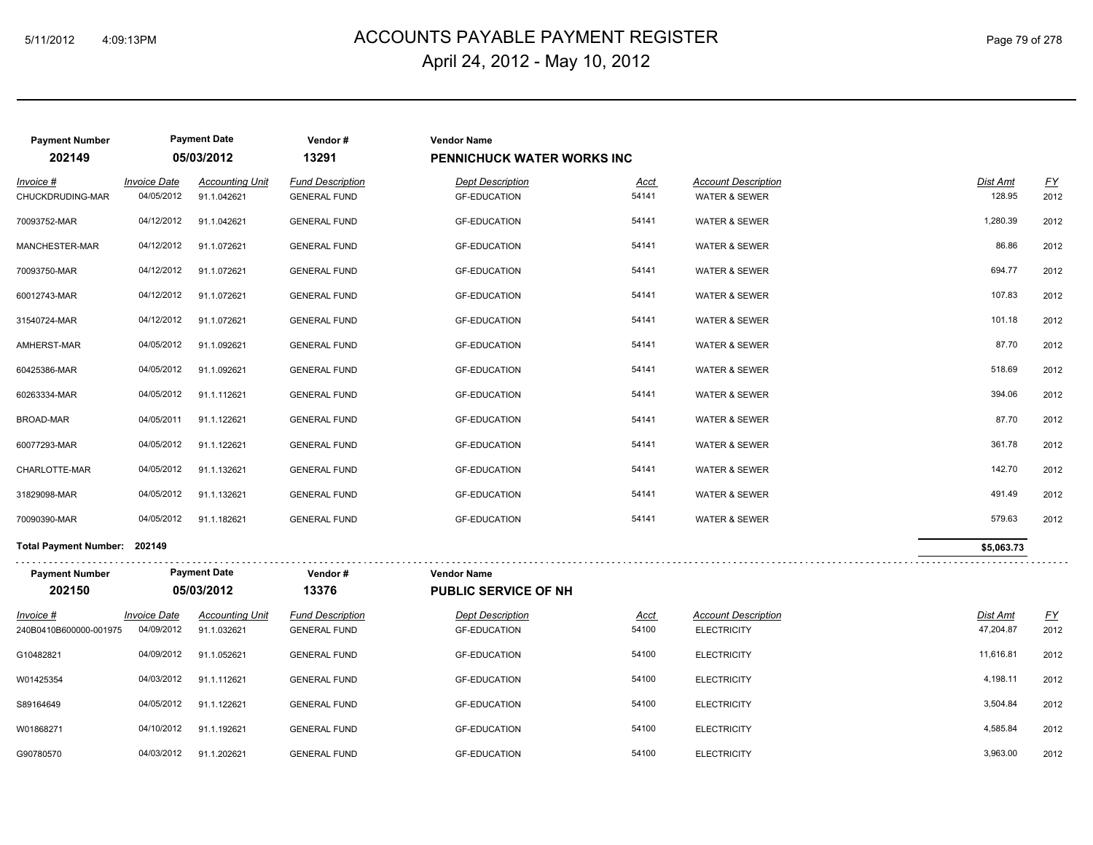# 5/11/2012 4:09:13PM ACCOUNTS PAYABLE PAYMENT REGISTER Page 79 of 278 April 24, 2012 - May 10, 2012

| <b>Payment Number</b>                 |                                   | <b>Payment Date</b>                   | Vendor#                                        | <b>Vendor Name</b>                             |                      |                                                  |                              |                  |
|---------------------------------------|-----------------------------------|---------------------------------------|------------------------------------------------|------------------------------------------------|----------------------|--------------------------------------------------|------------------------------|------------------|
| 202149                                |                                   | 05/03/2012                            | 13291                                          | <b>PENNICHUCK WATER WORKS INC</b>              |                      |                                                  |                              |                  |
| Invoice #                             | <i><b>Invoice Date</b></i>        | <b>Accounting Unit</b>                | <b>Fund Description</b>                        | <b>Dept Description</b>                        | Acct                 | <b>Account Description</b>                       | Dist Amt                     | $\underline{FY}$ |
| CHUCKDRUDING-MAR                      | 04/05/2012                        | 91.1.042621                           | <b>GENERAL FUND</b>                            | <b>GF-EDUCATION</b>                            | 54141                | <b>WATER &amp; SEWER</b>                         | 128.95                       | 2012             |
| 70093752-MAR                          | 04/12/2012                        | 91.1.042621                           | <b>GENERAL FUND</b>                            | <b>GF-EDUCATION</b>                            | 54141                | <b>WATER &amp; SEWER</b>                         | 1,280.39                     | 2012             |
| MANCHESTER-MAR                        | 04/12/2012                        | 91.1.072621                           | <b>GENERAL FUND</b>                            | <b>GF-EDUCATION</b>                            | 54141                | <b>WATER &amp; SEWER</b>                         | 86.86                        | 2012             |
| 70093750-MAR                          | 04/12/2012                        | 91.1.072621                           | <b>GENERAL FUND</b>                            | <b>GF-EDUCATION</b>                            | 54141                | <b>WATER &amp; SEWER</b>                         | 694.77                       | 2012             |
| 60012743-MAR                          | 04/12/2012                        | 91.1.072621                           | <b>GENERAL FUND</b>                            | <b>GF-EDUCATION</b>                            | 54141                | <b>WATER &amp; SEWER</b>                         | 107.83                       | 2012             |
| 31540724-MAR                          | 04/12/2012                        | 91.1.072621                           | <b>GENERAL FUND</b>                            | <b>GF-EDUCATION</b>                            | 54141                | <b>WATER &amp; SEWER</b>                         | 101.18                       | 2012             |
| AMHERST-MAR                           | 04/05/2012                        | 91.1.092621                           | <b>GENERAL FUND</b>                            | <b>GF-EDUCATION</b>                            | 54141                | <b>WATER &amp; SEWER</b>                         | 87.70                        | 2012             |
| 60425386-MAR                          | 04/05/2012                        | 91.1.092621                           | <b>GENERAL FUND</b>                            | <b>GF-EDUCATION</b>                            | 54141                | <b>WATER &amp; SEWER</b>                         | 518.69                       | 2012             |
| 60263334-MAR                          | 04/05/2012                        | 91.1.112621                           | <b>GENERAL FUND</b>                            | <b>GF-EDUCATION</b>                            | 54141                | <b>WATER &amp; SEWER</b>                         | 394.06                       | 2012             |
| <b>BROAD-MAR</b>                      | 04/05/2011                        | 91.1.122621                           | <b>GENERAL FUND</b>                            | <b>GF-EDUCATION</b>                            | 54141                | <b>WATER &amp; SEWER</b>                         | 87.70                        | 2012             |
| 60077293-MAR                          | 04/05/2012                        | 91.1.122621                           | <b>GENERAL FUND</b>                            | <b>GF-EDUCATION</b>                            | 54141                | <b>WATER &amp; SEWER</b>                         | 361.78                       | 2012             |
| CHARLOTTE-MAR                         | 04/05/2012                        | 91.1.132621                           | <b>GENERAL FUND</b>                            | <b>GF-EDUCATION</b>                            | 54141                | <b>WATER &amp; SEWER</b>                         | 142.70                       | 2012             |
| 31829098-MAR                          | 04/05/2012                        | 91.1.132621                           | <b>GENERAL FUND</b>                            | <b>GF-EDUCATION</b>                            | 54141                | <b>WATER &amp; SEWER</b>                         | 491.49                       | 2012             |
| 70090390-MAR                          | 04/05/2012                        | 91.1.182621                           | <b>GENERAL FUND</b>                            | <b>GF-EDUCATION</b>                            | 54141                | <b>WATER &amp; SEWER</b>                         | 579.63                       | 2012             |
| Total Payment Number: 202149          |                                   |                                       |                                                |                                                |                      |                                                  | \$5,063.73                   |                  |
| <b>Payment Number</b>                 |                                   | <b>Payment Date</b>                   | Vendor#                                        | <b>Vendor Name</b>                             |                      |                                                  | .                            |                  |
| 202150                                |                                   | 05/03/2012                            | 13376                                          | <b>PUBLIC SERVICE OF NH</b>                    |                      |                                                  |                              |                  |
| $Invoice$ #<br>240B0410B600000-001975 | <b>Invoice Date</b><br>04/09/2012 | <b>Accounting Unit</b><br>91.1.032621 | <b>Fund Description</b><br><b>GENERAL FUND</b> | <b>Dept Description</b><br><b>GF-EDUCATION</b> | <u>Acct</u><br>54100 | <b>Account Description</b><br><b>ELECTRICITY</b> | <b>Dist Amt</b><br>47,204.87 | EY<br>2012       |
| G10482821                             | 04/09/2012                        | 91.1.052621                           | <b>GENERAL FUND</b>                            | <b>GF-EDUCATION</b>                            | 54100                | <b>ELECTRICITY</b>                               | 11,616.81                    | 2012             |
| W01425354                             | 04/03/2012                        | 91.1.112621                           | <b>GENERAL FUND</b>                            | <b>GF-EDUCATION</b>                            | 54100                | <b>ELECTRICITY</b>                               | 4,198.11                     | 2012             |
| S89164649                             | 04/05/2012                        | 91.1.122621                           | <b>GENERAL FUND</b>                            | <b>GF-EDUCATION</b>                            | 54100                | <b>ELECTRICITY</b>                               | 3,504.84                     | 2012             |
| W01868271                             | 04/10/2012                        | 91.1.192621                           | <b>GENERAL FUND</b>                            | <b>GF-EDUCATION</b>                            | 54100                | <b>ELECTRICITY</b>                               | 4,585.84                     | 2012             |
| G90780570                             | 04/03/2012                        | 91.1.202621                           | <b>GENERAL FUND</b>                            | <b>GF-EDUCATION</b>                            | 54100                | <b>ELECTRICITY</b>                               | 3,963.00                     | 2012             |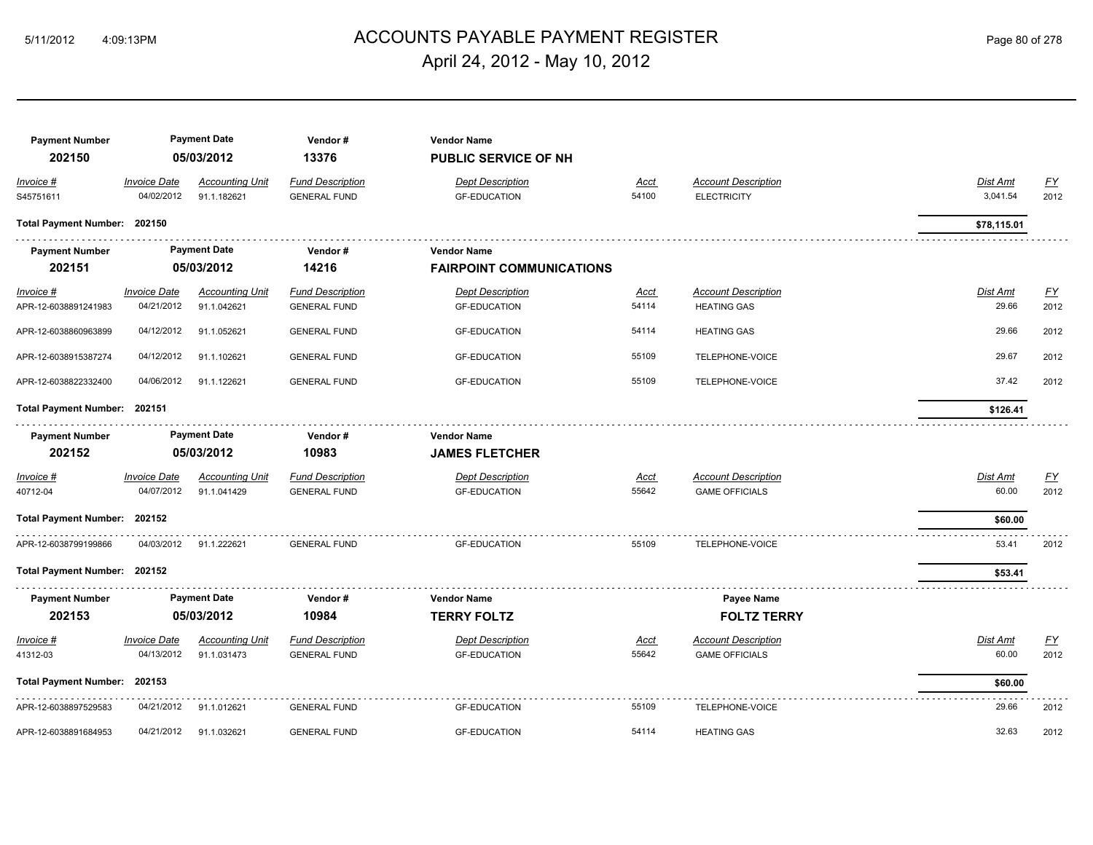# ACCOUNTS PAYABLE PAYMENT REGISTER 5/11/2012 4:09:13PM Page 80 of 278 April 24, 2012 - May 10, 2012

| <b>Payment Number</b><br>202150     |                                          | <b>Payment Date</b><br>05/03/2012     | Vendor#<br>13376                               | <b>Vendor Name</b><br><b>PUBLIC SERVICE OF NH</b>     |                      |                                                     |                      |                          |
|-------------------------------------|------------------------------------------|---------------------------------------|------------------------------------------------|-------------------------------------------------------|----------------------|-----------------------------------------------------|----------------------|--------------------------|
| Invoice #<br>S45751611              | <b>Invoice Date</b><br>04/02/2012        | <b>Accounting Unit</b><br>91.1.182621 | <b>Fund Description</b><br><b>GENERAL FUND</b> | <b>Dept Description</b><br><b>GF-EDUCATION</b>        | Acct<br>54100        | <b>Account Description</b><br><b>ELECTRICITY</b>    | Dist Amt<br>3,041.54 | EY<br>2012               |
| Total Payment Number: 202150        |                                          |                                       |                                                |                                                       |                      |                                                     | \$78,115.01          |                          |
| <b>Payment Number</b><br>202151     |                                          | <b>Payment Date</b><br>05/03/2012     | Vendor#<br>14216                               | <b>Vendor Name</b><br><b>FAIRPOINT COMMUNICATIONS</b> |                      |                                                     |                      |                          |
| $Invoice$ #<br>APR-12-6038891241983 | <b>Invoice Date</b><br>04/21/2012        | <b>Accounting Unit</b><br>91.1.042621 | <b>Fund Description</b><br><b>GENERAL FUND</b> | <b>Dept Description</b><br><b>GF-EDUCATION</b>        | Acct<br>54114        | <b>Account Description</b><br><b>HEATING GAS</b>    | Dist Amt<br>29.66    | <u>FY</u><br>2012        |
| APR-12-6038860963899                | 04/12/2012                               | 91.1.052621                           | <b>GENERAL FUND</b>                            | <b>GF-EDUCATION</b>                                   | 54114                | <b>HEATING GAS</b>                                  | 29.66                | 2012                     |
| APR-12-6038915387274                | 04/12/2012                               | 91.1.102621                           | <b>GENERAL FUND</b>                            | <b>GF-EDUCATION</b>                                   | 55109                | TELEPHONE-VOICE                                     | 29.67                | 2012                     |
| APR-12-6038822332400                | 04/06/2012                               | 91.1.122621                           | <b>GENERAL FUND</b>                            | <b>GF-EDUCATION</b>                                   | 55109                | TELEPHONE-VOICE                                     | 37.42                | 2012                     |
| Total Payment Number: 202151        |                                          |                                       |                                                |                                                       |                      |                                                     | \$126.41             |                          |
| <b>Payment Number</b><br>202152     |                                          | <b>Payment Date</b><br>05/03/2012     | Vendor#<br>10983                               | <b>Vendor Name</b><br><b>JAMES FLETCHER</b>           |                      |                                                     |                      |                          |
| Invoice #<br>40712-04               | <b>Invoice Date</b><br>04/07/2012        | <b>Accounting Unit</b><br>91.1.041429 | <b>Fund Description</b><br><b>GENERAL FUND</b> | <b>Dept Description</b><br><b>GF-EDUCATION</b>        | Acct<br>55642        | <b>Account Description</b><br><b>GAME OFFICIALS</b> | Dist Amt<br>60.00    | EY<br>2012               |
| Total Payment Number: 202152        |                                          |                                       |                                                |                                                       |                      |                                                     | \$60.00              |                          |
| APR-12-6038799199866                | 04/03/2012                               | 91.1.222621                           | <b>GENERAL FUND</b>                            | <b>GF-EDUCATION</b>                                   | 55109                | TELEPHONE-VOICE                                     | 53.41                | 2012                     |
| Total Payment Number: 202152        |                                          |                                       |                                                |                                                       |                      |                                                     | \$53.41              |                          |
| <b>Payment Number</b>               |                                          | <b>Payment Date</b>                   | Vendor#                                        | <b>Vendor Name</b>                                    |                      | Payee Name                                          |                      |                          |
| 202153                              |                                          | 05/03/2012                            | 10984                                          | <b>TERRY FOLTZ</b>                                    |                      | <b>FOLTZ TERRY</b>                                  |                      |                          |
| $Invoice$ #<br>41312-03             | <i><b>Invoice Date</b></i><br>04/13/2012 | <b>Accounting Unit</b><br>91.1.031473 | <b>Fund Description</b><br><b>GENERAL FUND</b> | <b>Dept Description</b><br><b>GF-EDUCATION</b>        | <u>Acct</u><br>55642 | <b>Account Description</b><br><b>GAME OFFICIALS</b> | Dist Amt<br>60.00    | $\underline{FY}$<br>2012 |
| Total Payment Number: 202153        |                                          |                                       |                                                |                                                       |                      |                                                     | \$60.00              |                          |
| APR-12-6038897529583                | 04/21/2012                               | 91.1.012621                           | <b>GENERAL FUND</b>                            | <b>GF-EDUCATION</b>                                   | 55109                | TELEPHONE-VOICE                                     | 29.66                | 2012                     |
| APR-12-6038891684953                | 04/21/2012                               | 91.1.032621                           | <b>GENERAL FUND</b>                            | <b>GF-EDUCATION</b>                                   | 54114                | <b>HEATING GAS</b>                                  | 32.63                | 2012                     |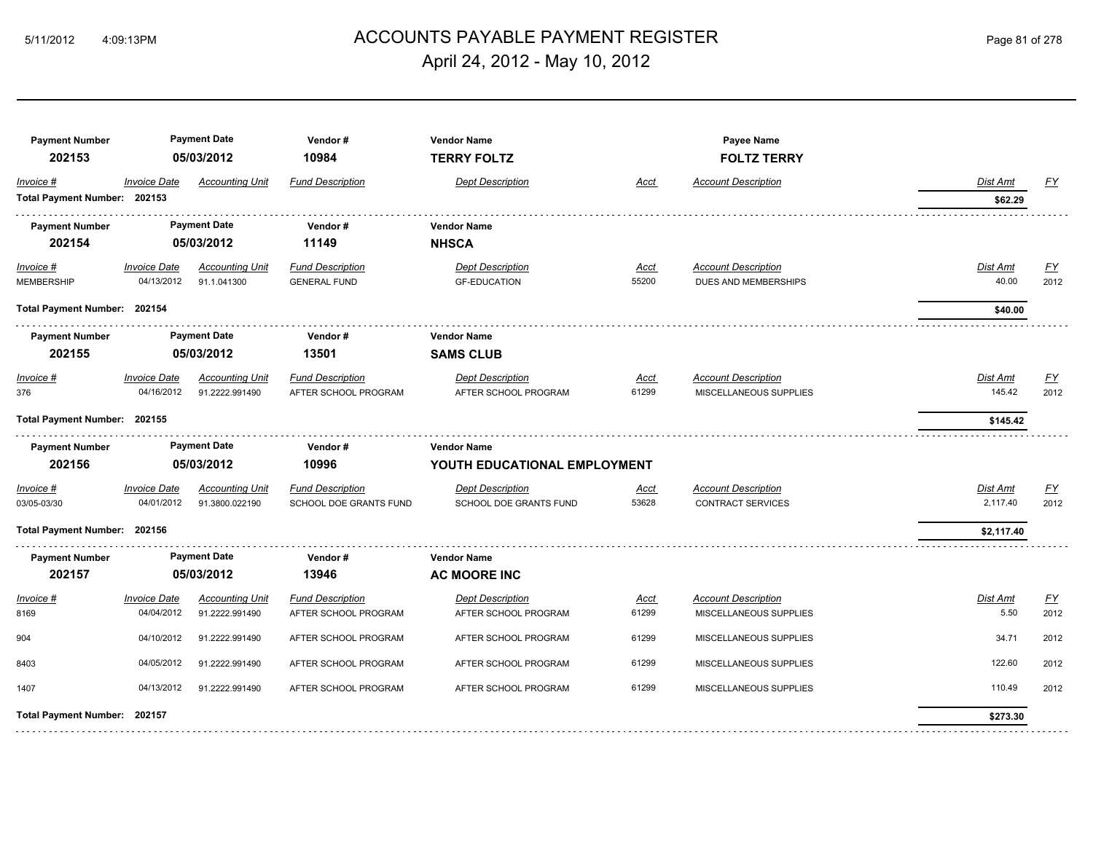# 5/11/2012 4:09:13PM ACCOUNTS PAYABLE PAYMENT REGISTER Page 81 of 278 April 24, 2012 - May 10, 2012

| <b>Payment Number</b><br>202153           |                                   | <b>Payment Date</b><br>05/03/2012        | Vendor#<br>10984                                  | <b>Vendor Name</b><br><b>TERRY FOLTZ</b>           |                      | Payee Name<br><b>FOLTZ TERRY</b>                       |                          |                   |
|-------------------------------------------|-----------------------------------|------------------------------------------|---------------------------------------------------|----------------------------------------------------|----------------------|--------------------------------------------------------|--------------------------|-------------------|
| Invoice #<br>Total Payment Number: 202153 | <b>Invoice Date</b>               | <b>Accounting Unit</b>                   | <b>Fund Description</b>                           | <b>Dept Description</b>                            | <u>Acct</u>          | <b>Account Description</b>                             | Dist Amt<br>\$62.29      | <u>FY</u>         |
| <b>Payment Number</b><br>202154           |                                   | <b>Payment Date</b><br>05/03/2012        | Vendor#<br>11149                                  | <b>Vendor Name</b><br><b>NHSCA</b>                 |                      |                                                        |                          |                   |
| $Invoice$ #<br>MEMBERSHIP                 | <b>Invoice Date</b><br>04/13/2012 | <b>Accounting Unit</b><br>91.1.041300    | <b>Fund Description</b><br><b>GENERAL FUND</b>    | <b>Dept Description</b><br><b>GF-EDUCATION</b>     | Acct<br>55200        | <b>Account Description</b><br>DUES AND MEMBERSHIPS     | <u>Dist Amt</u><br>40.00 | <u>FY</u><br>2012 |
| Total Payment Number: 202154              |                                   |                                          |                                                   |                                                    |                      |                                                        | \$40.00                  |                   |
| <b>Payment Number</b><br>202155           |                                   | <b>Payment Date</b><br>05/03/2012        | Vendor#<br>13501                                  | <b>Vendor Name</b><br><b>SAMS CLUB</b>             |                      |                                                        |                          |                   |
| Invoice #<br>376                          | <b>Invoice Date</b><br>04/16/2012 | <b>Accounting Unit</b><br>91.2222.991490 | <b>Fund Description</b><br>AFTER SCHOOL PROGRAM   | <b>Dept Description</b><br>AFTER SCHOOL PROGRAM    | Acct<br>61299        | <b>Account Description</b><br>MISCELLANEOUS SUPPLIES   | Dist Amt<br>145.42       | EY<br>2012        |
| Total Payment Number: 202155              |                                   |                                          |                                                   |                                                    |                      |                                                        | \$145.42                 |                   |
| <b>Payment Number</b><br>202156           |                                   | <b>Payment Date</b><br>05/03/2012        | Vendor#<br>10996                                  | <b>Vendor Name</b><br>YOUTH EDUCATIONAL EMPLOYMENT |                      |                                                        |                          |                   |
| Invoice #<br>03/05-03/30                  | <b>Invoice Date</b><br>04/01/2012 | <b>Accounting Unit</b><br>91.3800.022190 | <b>Fund Description</b><br>SCHOOL DOE GRANTS FUND | <b>Dept Description</b><br>SCHOOL DOE GRANTS FUND  | <u>Acct</u><br>53628 | <b>Account Description</b><br><b>CONTRACT SERVICES</b> | Dist Amt<br>2,117.40     | EY<br>2012        |
| Total Payment Number: 202156              |                                   |                                          |                                                   |                                                    |                      |                                                        | \$2,117.40               |                   |
| <b>Payment Number</b><br>202157           |                                   | <b>Payment Date</b><br>05/03/2012        | Vendor#<br>13946                                  | <b>Vendor Name</b><br><b>AC MOORE INC</b>          |                      |                                                        |                          |                   |
| Invoice #<br>8169                         | <b>Invoice Date</b><br>04/04/2012 | <b>Accounting Unit</b><br>91.2222.991490 | <b>Fund Description</b><br>AFTER SCHOOL PROGRAM   | <b>Dept Description</b><br>AFTER SCHOOL PROGRAM    | <u>Acct</u><br>61299 | <b>Account Description</b><br>MISCELLANEOUS SUPPLIES   | <u>Dist Amt</u><br>5.50  | <u>FY</u><br>2012 |
| 904                                       | 04/10/2012                        | 91.2222.991490                           | AFTER SCHOOL PROGRAM                              | AFTER SCHOOL PROGRAM                               | 61299                | MISCELLANEOUS SUPPLIES                                 | 34.71                    | 2012              |
| 8403                                      | 04/05/2012                        | 91.2222.991490                           | AFTER SCHOOL PROGRAM                              | AFTER SCHOOL PROGRAM                               | 61299                | MISCELLANEOUS SUPPLIES                                 | 122.60                   | 2012              |
| 1407                                      | 04/13/2012                        | 91.2222.991490                           | AFTER SCHOOL PROGRAM                              | AFTER SCHOOL PROGRAM                               | 61299                | MISCELLANEOUS SUPPLIES                                 | 110.49                   | 2012              |
| Total Payment Number: 202157              |                                   |                                          |                                                   |                                                    |                      |                                                        | \$273.30                 |                   |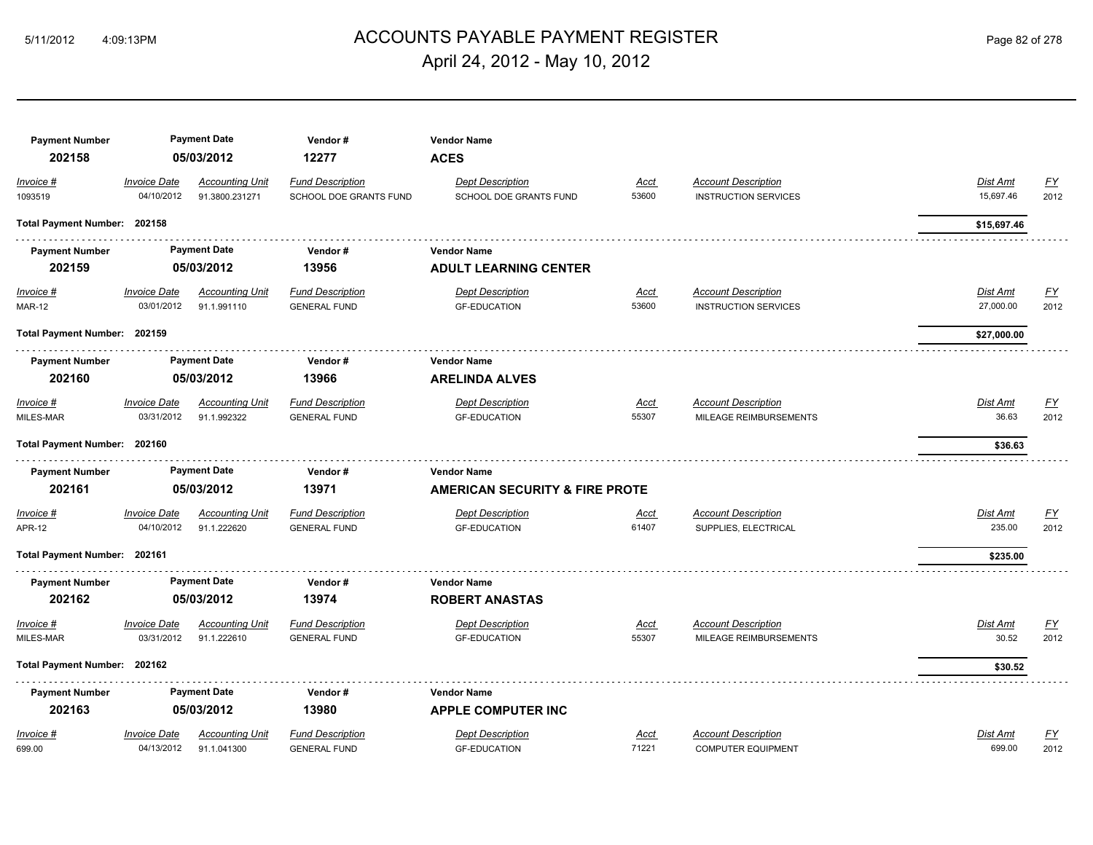# ACCOUNTS PAYABLE PAYMENT REGISTER 5/11/2012 4:09:13PM Page 82 of 278 April 24, 2012 - May 10, 2012

| <b>Payment Number</b><br>202158 |                                   | <b>Payment Date</b><br>05/03/2012        | Vendor#<br>12277                                  | <b>Vendor Name</b><br><b>ACES</b>                 |                      |                                                           |                       |                   |
|---------------------------------|-----------------------------------|------------------------------------------|---------------------------------------------------|---------------------------------------------------|----------------------|-----------------------------------------------------------|-----------------------|-------------------|
| Invoice #<br>1093519            | <b>Invoice Date</b><br>04/10/2012 | <b>Accounting Unit</b><br>91.3800.231271 | <b>Fund Description</b><br>SCHOOL DOE GRANTS FUND | <b>Dept Description</b><br>SCHOOL DOE GRANTS FUND | <b>Acct</b><br>53600 | <b>Account Description</b><br><b>INSTRUCTION SERVICES</b> | Dist Amt<br>15,697.46 | <u>FY</u><br>2012 |
| Total Payment Number: 202158    |                                   |                                          |                                                   |                                                   |                      |                                                           | \$15,697.46           |                   |
| <b>Payment Number</b>           |                                   | <b>Payment Date</b>                      | Vendor#                                           | <b>Vendor Name</b>                                |                      |                                                           |                       |                   |
| 202159                          |                                   | 05/03/2012                               | 13956                                             | <b>ADULT LEARNING CENTER</b>                      |                      |                                                           |                       |                   |
| $Invoice$ #<br><b>MAR-12</b>    | <b>Invoice Date</b><br>03/01/2012 | <b>Accounting Unit</b><br>91.1.991110    | <b>Fund Description</b><br><b>GENERAL FUND</b>    | <b>Dept Description</b><br><b>GF-EDUCATION</b>    | <u>Acct</u><br>53600 | <b>Account Description</b><br><b>INSTRUCTION SERVICES</b> | Dist Amt<br>27,000.00 | <u>FY</u><br>2012 |
| Total Payment Number: 202159    |                                   |                                          |                                                   |                                                   |                      |                                                           | \$27,000.00           |                   |
| <b>Payment Number</b>           |                                   | <b>Payment Date</b>                      | Vendor#                                           | <b>Vendor Name</b>                                |                      |                                                           |                       |                   |
| 202160                          |                                   | 05/03/2012                               | 13966                                             | <b>ARELINDA ALVES</b>                             |                      |                                                           |                       |                   |
| Invoice #                       | <b>Invoice Date</b>               | <b>Accounting Unit</b>                   | <b>Fund Description</b>                           | <b>Dept Description</b>                           | Acct                 | <b>Account Description</b>                                | Dist Amt              | <u>FY</u>         |
| MILES-MAR                       | 03/31/2012                        | 91.1.992322                              | <b>GENERAL FUND</b>                               | <b>GF-EDUCATION</b>                               | 55307                | MILEAGE REIMBURSEMENTS                                    | 36.63                 | 2012              |
| Total Payment Number: 202160    |                                   |                                          |                                                   |                                                   |                      |                                                           | \$36.63               |                   |
| <b>Payment Number</b>           |                                   | <b>Payment Date</b>                      | Vendor#                                           | <b>Vendor Name</b>                                |                      |                                                           |                       |                   |
| 202161                          |                                   | 05/03/2012                               | 13971                                             | <b>AMERICAN SECURITY &amp; FIRE PROTE</b>         |                      |                                                           |                       |                   |
| Invoice #                       | <b>Invoice Date</b>               | <b>Accounting Unit</b>                   | <b>Fund Description</b>                           | <b>Dept Description</b>                           | Acct                 | <b>Account Description</b>                                | Dist Amt              | <u>FY</u>         |
| <b>APR-12</b>                   | 04/10/2012                        | 91.1.222620                              | <b>GENERAL FUND</b>                               | <b>GF-EDUCATION</b>                               | 61407                | SUPPLIES, ELECTRICAL                                      | 235.00                | 2012              |
| Total Payment Number: 202161    |                                   |                                          |                                                   |                                                   |                      |                                                           | \$235.00              |                   |
| <b>Payment Number</b>           |                                   | <b>Payment Date</b>                      | Vendor#                                           | <b>Vendor Name</b>                                |                      |                                                           |                       |                   |
| 202162                          |                                   | 05/03/2012                               | 13974                                             | <b>ROBERT ANASTAS</b>                             |                      |                                                           |                       |                   |
| Invoice #                       | <b>Invoice Date</b>               | <b>Accounting Unit</b>                   | <b>Fund Description</b>                           | <b>Dept Description</b>                           | <b>Acct</b>          | <b>Account Description</b>                                | Dist Amt              | <u>FY</u>         |
| MILES-MAR                       | 03/31/2012                        | 91.1.222610                              | <b>GENERAL FUND</b>                               | <b>GF-EDUCATION</b>                               | 55307                | MILEAGE REIMBURSEMENTS                                    | 30.52                 | 2012              |
| Total Payment Number: 202162    |                                   |                                          |                                                   |                                                   |                      |                                                           | \$30.52               |                   |
| <b>Payment Number</b>           |                                   | <b>Payment Date</b>                      | Vendor#                                           | <b>Vendor Name</b>                                |                      |                                                           |                       |                   |
| 202163                          |                                   | 05/03/2012                               | 13980                                             | <b>APPLE COMPUTER INC</b>                         |                      |                                                           |                       |                   |
| Invoice #                       | <b>Invoice Date</b>               | <b>Accounting Unit</b>                   | <b>Fund Description</b>                           | <b>Dept Description</b>                           | <b>Acct</b>          | <b>Account Description</b>                                | Dist Amt              | $\underline{FY}$  |
| 699.00                          | 04/13/2012                        | 91.1.041300                              | <b>GENERAL FUND</b>                               | <b>GF-EDUCATION</b>                               | 71221                | <b>COMPUTER EQUIPMENT</b>                                 | 699.00                | 2012              |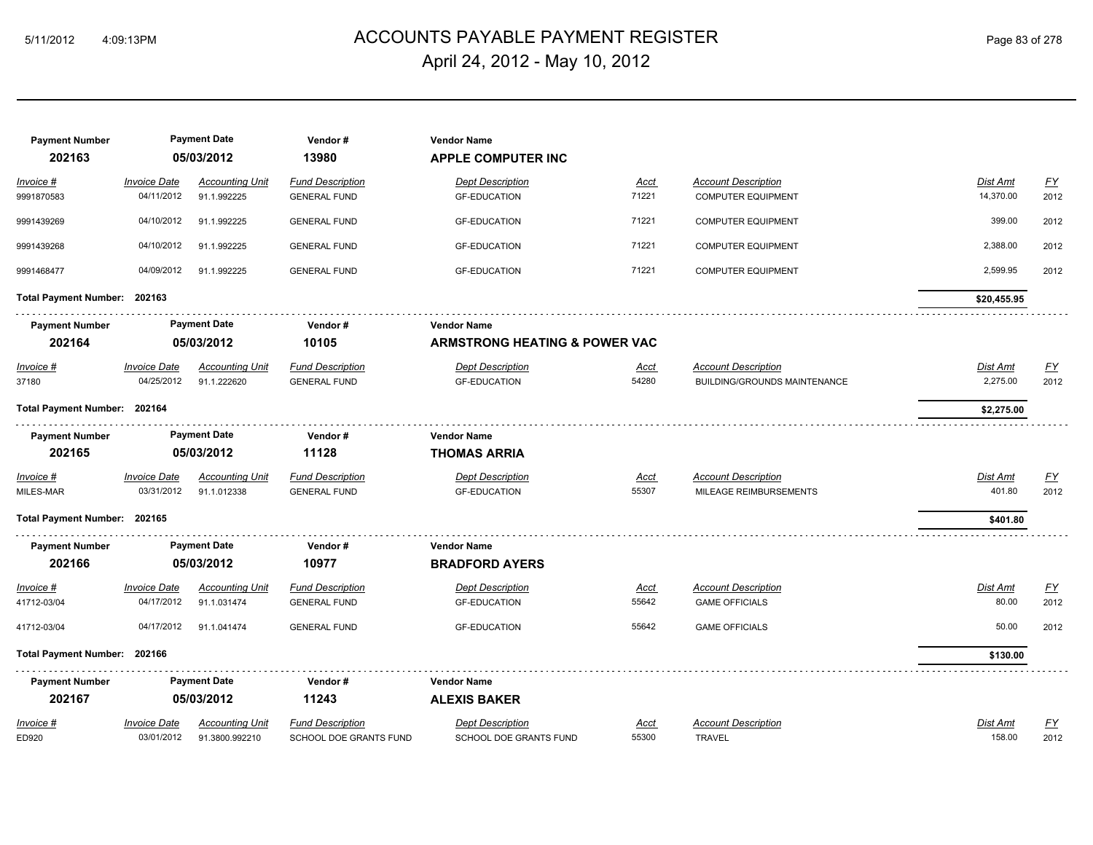# ACCOUNTS PAYABLE PAYMENT REGISTER 5/11/2012 4:09:13PM Page 83 of 278 April 24, 2012 - May 10, 2012

| <b>Payment Number</b><br>202163 |                     | <b>Payment Date</b><br>05/03/2012 | Vendor#<br>13980        | <b>Vendor Name</b><br><b>APPLE COMPUTER INC</b> |             |                              |                 |                           |
|---------------------------------|---------------------|-----------------------------------|-------------------------|-------------------------------------------------|-------------|------------------------------|-----------------|---------------------------|
| Invoice #                       | <b>Invoice Date</b> | <b>Accounting Unit</b>            | <b>Fund Description</b> | <b>Dept Description</b>                         | <u>Acct</u> | <b>Account Description</b>   | <b>Dist Amt</b> | $\underline{\mathsf{FY}}$ |
| 9991870583                      | 04/11/2012          | 91.1.992225                       | <b>GENERAL FUND</b>     | <b>GF-EDUCATION</b>                             | 71221       | <b>COMPUTER EQUIPMENT</b>    | 14,370.00       | 2012                      |
| 9991439269                      | 04/10/2012          | 91.1.992225                       | <b>GENERAL FUND</b>     | <b>GF-EDUCATION</b>                             | 71221       | <b>COMPUTER EQUIPMENT</b>    | 399.00          | 2012                      |
| 9991439268                      | 04/10/2012          | 91.1.992225                       | <b>GENERAL FUND</b>     | <b>GF-EDUCATION</b>                             | 71221       | <b>COMPUTER EQUIPMENT</b>    | 2,388.00        | 2012                      |
| 9991468477                      | 04/09/2012          | 91.1.992225                       | <b>GENERAL FUND</b>     | <b>GF-EDUCATION</b>                             | 71221       | <b>COMPUTER EQUIPMENT</b>    | 2,599.95        | 2012                      |
| Total Payment Number: 202163    |                     |                                   |                         |                                                 |             |                              | \$20,455.95     |                           |
| <b>Payment Number</b>           |                     | <b>Payment Date</b>               | Vendor#                 | <b>Vendor Name</b>                              |             |                              |                 |                           |
| 202164                          |                     | 05/03/2012                        | 10105                   | <b>ARMSTRONG HEATING &amp; POWER VAC</b>        |             |                              |                 |                           |
| Invoice #                       | <b>Invoice Date</b> | <b>Accounting Unit</b>            | <b>Fund Description</b> | <b>Dept Description</b>                         | <u>Acct</u> | <b>Account Description</b>   | <b>Dist Amt</b> | $\underline{\mathsf{FY}}$ |
| 37180                           | 04/25/2012          | 91.1.222620                       | <b>GENERAL FUND</b>     | <b>GF-EDUCATION</b>                             | 54280       | BUILDING/GROUNDS MAINTENANCE | 2,275.00        | 2012                      |
| Total Payment Number: 202164    |                     |                                   |                         |                                                 |             |                              | \$2,275.00      |                           |
| <b>Payment Number</b>           |                     | <b>Payment Date</b>               | Vendor#                 | <b>Vendor Name</b>                              |             |                              |                 |                           |
| 202165                          |                     | 05/03/2012                        | 11128                   | <b>THOMAS ARRIA</b>                             |             |                              |                 |                           |
| Invoice #                       | <b>Invoice Date</b> | <b>Accounting Unit</b>            | <b>Fund Description</b> | Dept Description                                | Acct        | <b>Account Description</b>   | Dist Amt        | EY                        |
| MILES-MAR                       | 03/31/2012          | 91.1.012338                       | <b>GENERAL FUND</b>     | <b>GF-EDUCATION</b>                             | 55307       | MILEAGE REIMBURSEMENTS       | 401.80          | 2012                      |
| Total Payment Number: 202165    |                     |                                   |                         |                                                 |             |                              | \$401.80        |                           |
| <b>Payment Number</b>           |                     | <b>Payment Date</b>               | Vendor#                 | <b>Vendor Name</b>                              |             |                              |                 |                           |
| 202166                          |                     | 05/03/2012                        | 10977                   | <b>BRADFORD AYERS</b>                           |             |                              |                 |                           |
| $Invoice$ #                     | <b>Invoice Date</b> | <b>Accounting Unit</b>            | <b>Fund Description</b> | <b>Dept Description</b>                         | <u>Acct</u> | <b>Account Description</b>   | Dist Amt        | <u>FY</u>                 |
| 41712-03/04                     | 04/17/2012          | 91.1.031474                       | <b>GENERAL FUND</b>     | <b>GF-EDUCATION</b>                             | 55642       | <b>GAME OFFICIALS</b>        | 80.00           | 2012                      |
| 41712-03/04                     | 04/17/2012          | 91.1.041474                       | <b>GENERAL FUND</b>     | <b>GF-EDUCATION</b>                             | 55642       | <b>GAME OFFICIALS</b>        | 50.00           | 2012                      |
| Total Payment Number: 202166    |                     |                                   |                         |                                                 |             |                              | \$130.00        |                           |
| <b>Payment Number</b>           |                     | <b>Payment Date</b>               | Vendor#                 | <b>Vendor Name</b>                              |             |                              |                 |                           |
| 202167                          |                     | 05/03/2012                        | 11243                   | <b>ALEXIS BAKER</b>                             |             |                              |                 |                           |
| Invoice #                       | <b>Invoice Date</b> | <b>Accounting Unit</b>            | <b>Fund Description</b> | <b>Dept Description</b>                         | Acct        | <b>Account Description</b>   | Dist Amt        | $\underline{FY}$          |
| ED920                           | 03/01/2012          | 91.3800.992210                    | SCHOOL DOE GRANTS FUND  | SCHOOL DOE GRANTS FUND                          | 55300       | <b>TRAVEL</b>                | 158.00          | 2012                      |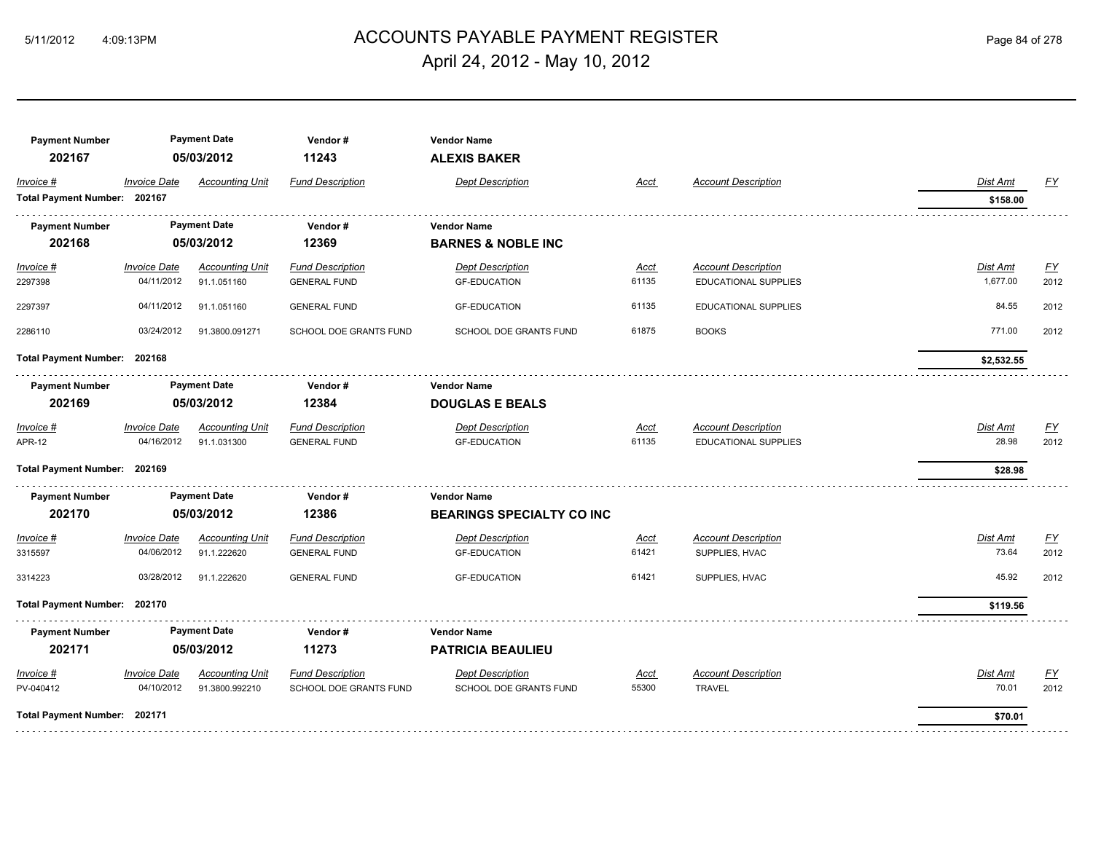# ACCOUNTS PAYABLE PAYMENT REGISTER 5/11/2012 4:09:13PM Page 84 of 278 April 24, 2012 - May 10, 2012

| <b>Payment Number</b><br>202167 |                     | <b>Payment Date</b><br>05/03/2012 | Vendor#<br>11243        | <b>Vendor Name</b><br><b>ALEXIS BAKER</b> |             |                             |                 |                  |
|---------------------------------|---------------------|-----------------------------------|-------------------------|-------------------------------------------|-------------|-----------------------------|-----------------|------------------|
| Invoice #                       | <b>Invoice Date</b> | <b>Accounting Unit</b>            | <b>Fund Description</b> | <b>Dept Description</b>                   | Acct        | <b>Account Description</b>  | Dist Amt        | <u>FY</u>        |
| Total Payment Number: 202167    |                     |                                   |                         |                                           |             |                             | \$158.00        |                  |
| <b>Payment Number</b>           |                     | <b>Payment Date</b>               | Vendor#                 | <b>Vendor Name</b>                        |             |                             |                 |                  |
| 202168                          |                     | 05/03/2012                        | 12369                   | <b>BARNES &amp; NOBLE INC</b>             |             |                             |                 |                  |
| $Invoice$ #                     | <b>Invoice Date</b> | <b>Accounting Unit</b>            | <b>Fund Description</b> | <b>Dept Description</b>                   | <u>Acct</u> | <b>Account Description</b>  | <b>Dist Amt</b> | <u>FY</u>        |
| 2297398                         | 04/11/2012          | 91.1.051160                       | <b>GENERAL FUND</b>     | <b>GF-EDUCATION</b>                       | 61135       | <b>EDUCATIONAL SUPPLIES</b> | 1,677.00        | 2012             |
| 2297397                         | 04/11/2012          | 91.1.051160                       | <b>GENERAL FUND</b>     | <b>GF-EDUCATION</b>                       | 61135       | EDUCATIONAL SUPPLIES        | 84.55           | 2012             |
| 2286110                         | 03/24/2012          | 91.3800.091271                    | SCHOOL DOE GRANTS FUND  | SCHOOL DOE GRANTS FUND                    | 61875       | <b>BOOKS</b>                | 771.00          | 2012             |
| Total Payment Number: 202168    |                     |                                   |                         |                                           |             |                             | \$2,532.55      |                  |
| <b>Payment Number</b>           |                     | <b>Payment Date</b>               | Vendor#                 | <b>Vendor Name</b>                        |             |                             |                 |                  |
| 202169                          |                     | 05/03/2012                        | 12384                   | <b>DOUGLAS E BEALS</b>                    |             |                             |                 |                  |
| Invoice #                       | <b>Invoice Date</b> | <b>Accounting Unit</b>            | <b>Fund Description</b> | <b>Dept Description</b>                   | <u>Acct</u> | <b>Account Description</b>  | Dist Amt        | <u>FY</u>        |
| <b>APR-12</b>                   | 04/16/2012          | 91.1.031300                       | <b>GENERAL FUND</b>     | <b>GF-EDUCATION</b>                       | 61135       | EDUCATIONAL SUPPLIES        | 28.98           | 2012             |
| Total Payment Number: 202169    |                     |                                   |                         |                                           |             |                             | \$28.98         |                  |
| <b>Payment Number</b>           |                     | <b>Payment Date</b>               | Vendor#                 | <b>Vendor Name</b>                        |             |                             |                 |                  |
| 202170                          |                     | 05/03/2012                        | 12386                   | <b>BEARINGS SPECIALTY CO INC</b>          |             |                             |                 |                  |
| Invoice #                       | <b>Invoice Date</b> | <b>Accounting Unit</b>            | <b>Fund Description</b> | <b>Dept Description</b>                   | <b>Acct</b> | <b>Account Description</b>  | Dist Amt        | $\underline{FY}$ |
| 3315597                         | 04/06/2012          | 91.1.222620                       | <b>GENERAL FUND</b>     | <b>GF-EDUCATION</b>                       | 61421       | SUPPLIES, HVAC              | 73.64           | 2012             |
| 3314223                         | 03/28/2012          | 91.1.222620                       | <b>GENERAL FUND</b>     | <b>GF-EDUCATION</b>                       | 61421       | SUPPLIES, HVAC              | 45.92           | 2012             |
| Total Payment Number: 202170    |                     |                                   |                         |                                           |             |                             | \$119.56        |                  |
| <b>Payment Number</b>           |                     | <b>Payment Date</b>               | Vendor#                 | <b>Vendor Name</b>                        |             |                             |                 |                  |
| 202171                          |                     | 05/03/2012                        | 11273                   | <b>PATRICIA BEAULIEU</b>                  |             |                             |                 |                  |
| Invoice #                       | <b>Invoice Date</b> | <b>Accounting Unit</b>            | <b>Fund Description</b> | <b>Dept Description</b>                   | <u>Acct</u> | <b>Account Description</b>  | Dist Amt        | <u>FY</u>        |
| PV-040412                       | 04/10/2012          | 91.3800.992210                    | SCHOOL DOE GRANTS FUND  | SCHOOL DOE GRANTS FUND                    | 55300       | <b>TRAVEL</b>               | 70.01           | 2012             |
| Total Payment Number: 202171    |                     |                                   |                         |                                           |             |                             | \$70.01         |                  |
|                                 |                     |                                   |                         |                                           |             |                             |                 |                  |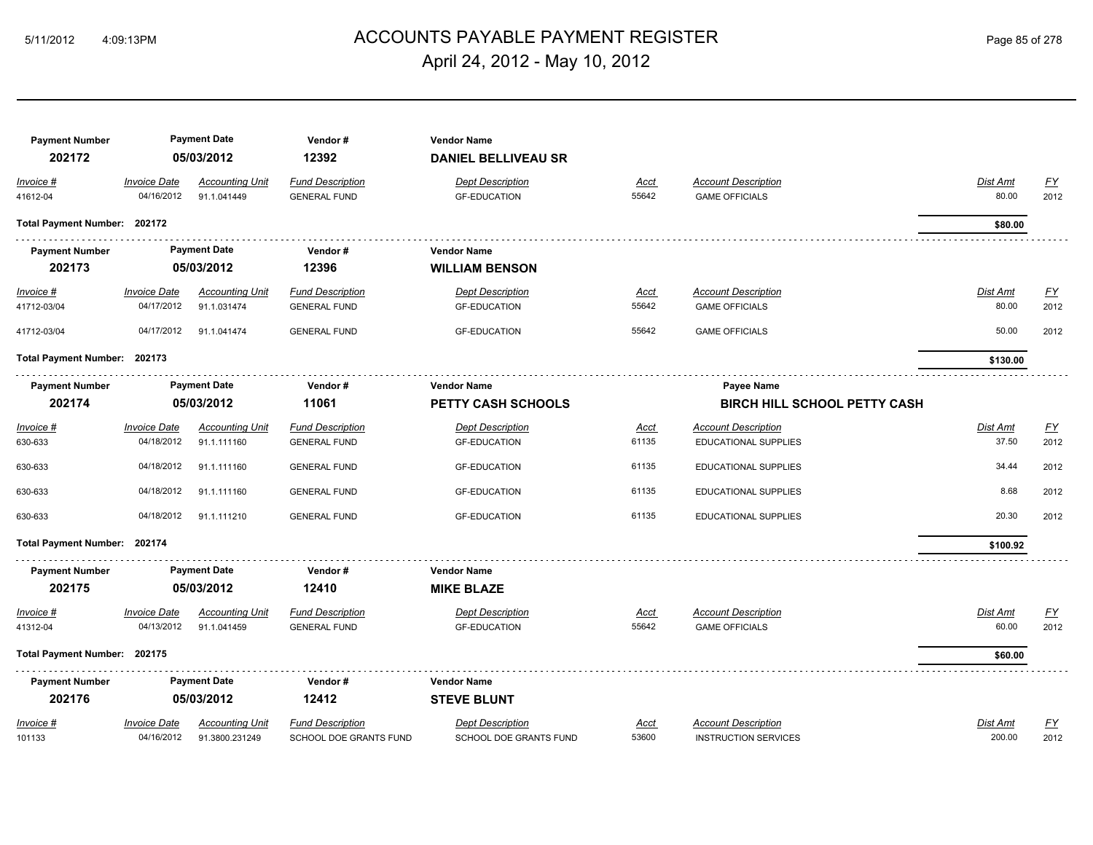# ACCOUNTS PAYABLE PAYMENT REGISTER 5/11/2012 4:09:13PM Page 85 of 278 April 24, 2012 - May 10, 2012

| <b>Payment Number</b>        |                                   | <b>Payment Date</b>                   | Vendor#                                        | <b>Vendor Name</b>                             |                      |                                                     |                          |                   |
|------------------------------|-----------------------------------|---------------------------------------|------------------------------------------------|------------------------------------------------|----------------------|-----------------------------------------------------|--------------------------|-------------------|
| 202172                       |                                   | 05/03/2012                            | 12392                                          | <b>DANIEL BELLIVEAU SR</b>                     |                      |                                                     |                          |                   |
| Invoice #<br>41612-04        | <b>Invoice Date</b><br>04/16/2012 | <b>Accounting Unit</b><br>91.1.041449 | <b>Fund Description</b><br><b>GENERAL FUND</b> | <b>Dept Description</b><br><b>GF-EDUCATION</b> | <b>Acct</b><br>55642 | <b>Account Description</b><br><b>GAME OFFICIALS</b> | Dist Amt<br>80.00        | EY<br>2012        |
| Total Payment Number: 202172 |                                   |                                       |                                                |                                                |                      |                                                     | \$80.00                  |                   |
| <b>Payment Number</b>        |                                   | <b>Payment Date</b>                   | Vendor#                                        | <b>Vendor Name</b>                             |                      |                                                     |                          |                   |
| 202173                       |                                   | 05/03/2012                            | 12396                                          | <b>WILLIAM BENSON</b>                          |                      |                                                     |                          |                   |
| $Invoice$ #                  | <b>Invoice Date</b><br>04/17/2012 | <b>Accounting Unit</b><br>91.1.031474 | <b>Fund Description</b>                        | <b>Dept Description</b>                        | <u>Acct</u><br>55642 | <b>Account Description</b><br><b>GAME OFFICIALS</b> | <b>Dist Amt</b><br>80.00 | <u>FY</u><br>2012 |
| 41712-03/04<br>41712-03/04   | 04/17/2012                        | 91.1.041474                           | <b>GENERAL FUND</b><br><b>GENERAL FUND</b>     | <b>GF-EDUCATION</b><br><b>GF-EDUCATION</b>     | 55642                | <b>GAME OFFICIALS</b>                               | 50.00                    | 2012              |
|                              |                                   |                                       |                                                |                                                |                      |                                                     |                          |                   |
| Total Payment Number: 202173 |                                   |                                       |                                                |                                                |                      |                                                     | \$130.00                 |                   |
| <b>Payment Number</b>        |                                   | <b>Payment Date</b>                   | Vendor#                                        | <b>Vendor Name</b>                             |                      | Payee Name                                          |                          |                   |
| 202174                       |                                   | 05/03/2012                            | 11061                                          | <b>PETTY CASH SCHOOLS</b>                      |                      | <b>BIRCH HILL SCHOOL PETTY CASH</b>                 |                          |                   |
| Invoice #                    | <b>Invoice Date</b>               | <b>Accounting Unit</b>                | <b>Fund Description</b>                        | <b>Dept Description</b>                        | <b>Acct</b>          | <b>Account Description</b>                          | Dist Amt                 | $\underline{FY}$  |
| 630-633                      | 04/18/2012                        | 91.1.111160                           | <b>GENERAL FUND</b>                            | <b>GF-EDUCATION</b>                            | 61135                | EDUCATIONAL SUPPLIES                                | 37.50                    | 2012              |
| 630-633                      | 04/18/2012                        | 91.1.111160                           | <b>GENERAL FUND</b>                            | <b>GF-EDUCATION</b>                            | 61135                | EDUCATIONAL SUPPLIES                                | 34.44                    | 2012              |
| 630-633                      | 04/18/2012                        | 91.1.111160                           | <b>GENERAL FUND</b>                            | <b>GF-EDUCATION</b>                            | 61135                | EDUCATIONAL SUPPLIES                                | 8.68                     | 2012              |
| 630-633                      | 04/18/2012                        | 91.1.111210                           | <b>GENERAL FUND</b>                            | <b>GF-EDUCATION</b>                            | 61135                | EDUCATIONAL SUPPLIES                                | 20.30                    | 2012              |
| Total Payment Number: 202174 |                                   |                                       |                                                |                                                |                      |                                                     | \$100.92                 |                   |
| <b>Payment Number</b>        |                                   | <b>Payment Date</b>                   | Vendor#                                        | <b>Vendor Name</b>                             |                      |                                                     |                          |                   |
| 202175                       |                                   | 05/03/2012                            | 12410                                          | <b>MIKE BLAZE</b>                              |                      |                                                     |                          |                   |
| Invoice #                    | <b>Invoice Date</b>               | <b>Accounting Unit</b>                | <b>Fund Description</b>                        | <b>Dept Description</b>                        | Acct                 | <b>Account Description</b>                          | <b>Dist Amt</b>          | EY                |
| 41312-04                     | 04/13/2012                        | 91.1.041459                           | <b>GENERAL FUND</b>                            | <b>GF-EDUCATION</b>                            | 55642                | <b>GAME OFFICIALS</b>                               | 60.00                    | 2012              |
| Total Payment Number: 202175 |                                   |                                       |                                                |                                                |                      |                                                     | \$60.00                  |                   |
| <b>Payment Number</b>        |                                   | <b>Payment Date</b>                   | Vendor#                                        | <b>Vendor Name</b>                             |                      |                                                     |                          |                   |
| 202176                       |                                   | 05/03/2012                            | 12412                                          | <b>STEVE BLUNT</b>                             |                      |                                                     |                          |                   |
| Invoice #                    | <b>Invoice Date</b>               | <b>Accounting Unit</b>                | <b>Fund Description</b>                        | <b>Dept Description</b>                        | Acct                 | <b>Account Description</b>                          | Dist Amt                 | <u>FY</u>         |
| 101133                       | 04/16/2012                        | 91.3800.231249                        | SCHOOL DOE GRANTS FUND                         | SCHOOL DOE GRANTS FUND                         | 53600                | <b>INSTRUCTION SERVICES</b>                         | 200.00                   | 2012              |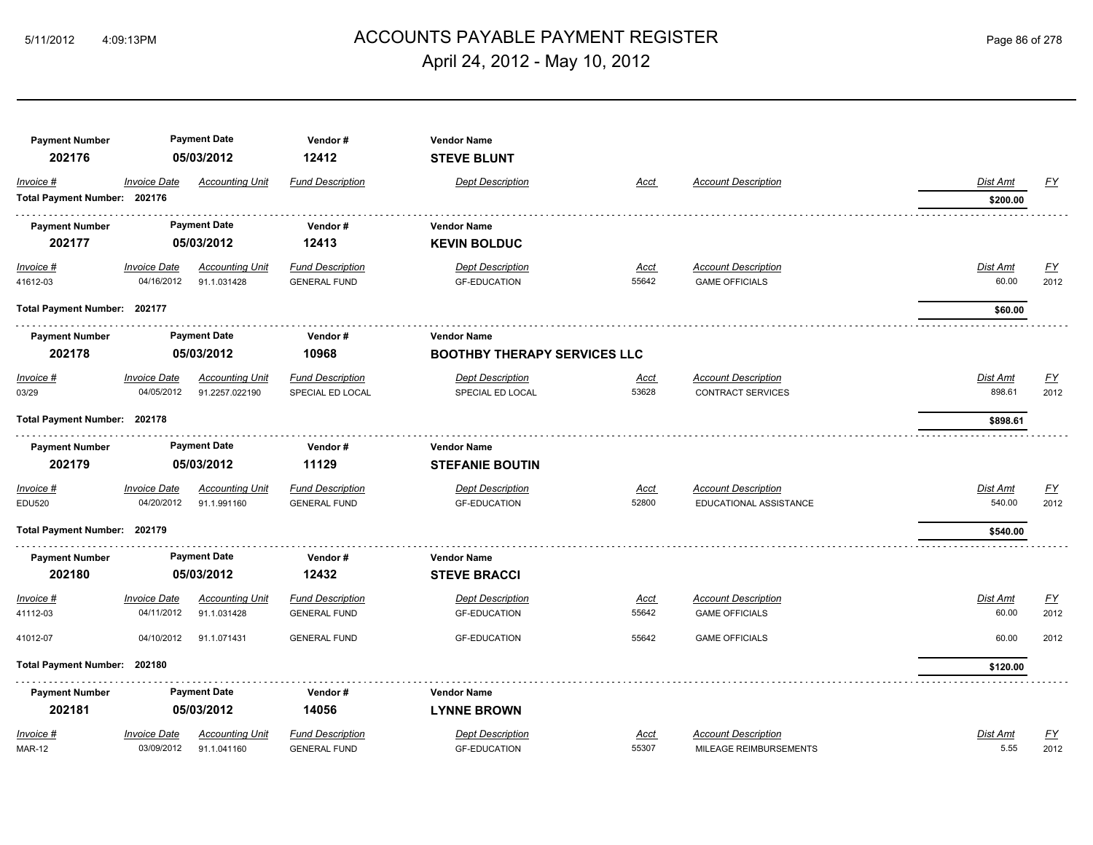# ACCOUNTS PAYABLE PAYMENT REGISTER 5/11/2012 4:09:13PM Page 86 of 278 April 24, 2012 - May 10, 2012

| <b>Payment Number</b>        |                     | <b>Payment Date</b>    | Vendor#                 | <b>Vendor Name</b>                  |             |                            |                 |                  |
|------------------------------|---------------------|------------------------|-------------------------|-------------------------------------|-------------|----------------------------|-----------------|------------------|
| 202176                       |                     | 05/03/2012             | 12412                   | <b>STEVE BLUNT</b>                  |             |                            |                 |                  |
| Invoice #                    | <b>Invoice Date</b> | <b>Accounting Unit</b> | <b>Fund Description</b> | <b>Dept Description</b>             | Acct        | <b>Account Description</b> | Dist Amt        | $\underline{FY}$ |
| Total Payment Number: 202176 |                     |                        |                         |                                     |             |                            | \$200.00        |                  |
| <b>Payment Number</b>        |                     | <b>Payment Date</b>    | Vendor#                 | <b>Vendor Name</b>                  |             |                            |                 |                  |
| 202177                       |                     | 05/03/2012             | 12413                   | <b>KEVIN BOLDUC</b>                 |             |                            |                 |                  |
| $Invoice$ #                  | <b>Invoice Date</b> | <b>Accounting Unit</b> | <b>Fund Description</b> | <b>Dept Description</b>             | <u>Acct</u> | <b>Account Description</b> | <b>Dist Amt</b> | <u>FY</u>        |
| 41612-03                     | 04/16/2012          | 91.1.031428            | <b>GENERAL FUND</b>     | <b>GF-EDUCATION</b>                 | 55642       | <b>GAME OFFICIALS</b>      | 60.00           | 2012             |
| Total Payment Number: 202177 |                     |                        |                         |                                     |             |                            | \$60.00         |                  |
| <b>Payment Number</b>        |                     | <b>Payment Date</b>    | Vendor#                 | <b>Vendor Name</b>                  |             |                            |                 |                  |
| 202178                       | 05/03/2012          |                        | 10968                   | <b>BOOTHBY THERAPY SERVICES LLC</b> |             |                            |                 |                  |
| $Invoice$ #                  | <b>Invoice Date</b> | <b>Accounting Unit</b> | <b>Fund Description</b> | <b>Dept Description</b>             | Acct        | <b>Account Description</b> | Dist Amt        | EY               |
| 03/29                        | 04/05/2012          | 91.2257.022190         | SPECIAL ED LOCAL        | SPECIAL ED LOCAL                    | 53628       | <b>CONTRACT SERVICES</b>   | 898.61          | 2012             |
| Total Payment Number: 202178 |                     |                        |                         |                                     |             |                            | \$898.61        |                  |
| <b>Payment Number</b>        |                     | <b>Payment Date</b>    | Vendor#                 | <b>Vendor Name</b>                  |             |                            |                 |                  |
| 202179                       |                     | 05/03/2012             | 11129                   | <b>STEFANIE BOUTIN</b>              |             |                            |                 |                  |
| Invoice #                    | <b>Invoice Date</b> | <b>Accounting Unit</b> | <b>Fund Description</b> | <b>Dept Description</b>             | Acct        | <b>Account Description</b> | Dist Amt        | <u>FY</u>        |
| <b>EDU520</b>                | 04/20/2012          | 91.1.991160            | <b>GENERAL FUND</b>     | <b>GF-EDUCATION</b>                 | 52800       | EDUCATIONAL ASSISTANCE     | 540.00          | 2012             |
| Total Payment Number: 202179 |                     |                        |                         |                                     |             |                            | \$540.00        |                  |
| <b>Payment Number</b>        |                     | <b>Payment Date</b>    | Vendor#                 | <b>Vendor Name</b>                  |             |                            |                 |                  |
| 202180                       |                     | 05/03/2012             | 12432                   | <b>STEVE BRACCI</b>                 |             |                            |                 |                  |
| Invoice #                    | <b>Invoice Date</b> | <b>Accounting Unit</b> | <b>Fund Description</b> | <b>Dept Description</b>             | <u>Acct</u> | <b>Account Description</b> | Dist Amt        | $\underline{FY}$ |
| 41112-03                     | 04/11/2012          | 91.1.031428            | <b>GENERAL FUND</b>     | <b>GF-EDUCATION</b>                 | 55642       | <b>GAME OFFICIALS</b>      | 60.00           | 2012             |
| 41012-07                     | 04/10/2012          | 91.1.071431            | <b>GENERAL FUND</b>     | <b>GF-EDUCATION</b>                 | 55642       | <b>GAME OFFICIALS</b>      | 60.00           | 2012             |
| Total Payment Number: 202180 |                     |                        |                         |                                     |             |                            | \$120.00        |                  |
| <b>Payment Number</b>        |                     | <b>Payment Date</b>    | Vendor#                 | <b>Vendor Name</b>                  |             |                            |                 |                  |
| 202181                       |                     | 05/03/2012             | 14056                   | <b>LYNNE BROWN</b>                  |             |                            |                 |                  |
| Invoice #                    | <b>Invoice Date</b> | <b>Accounting Unit</b> | <b>Fund Description</b> | <b>Dept Description</b>             | Acct        | <b>Account Description</b> | Dist Amt        | $FY$             |
| <b>MAR-12</b>                | 03/09/2012          | 91.1.041160            | <b>GENERAL FUND</b>     | <b>GF-EDUCATION</b>                 | 55307       | MILEAGE REIMBURSEMENTS     | 5.55            | 2012             |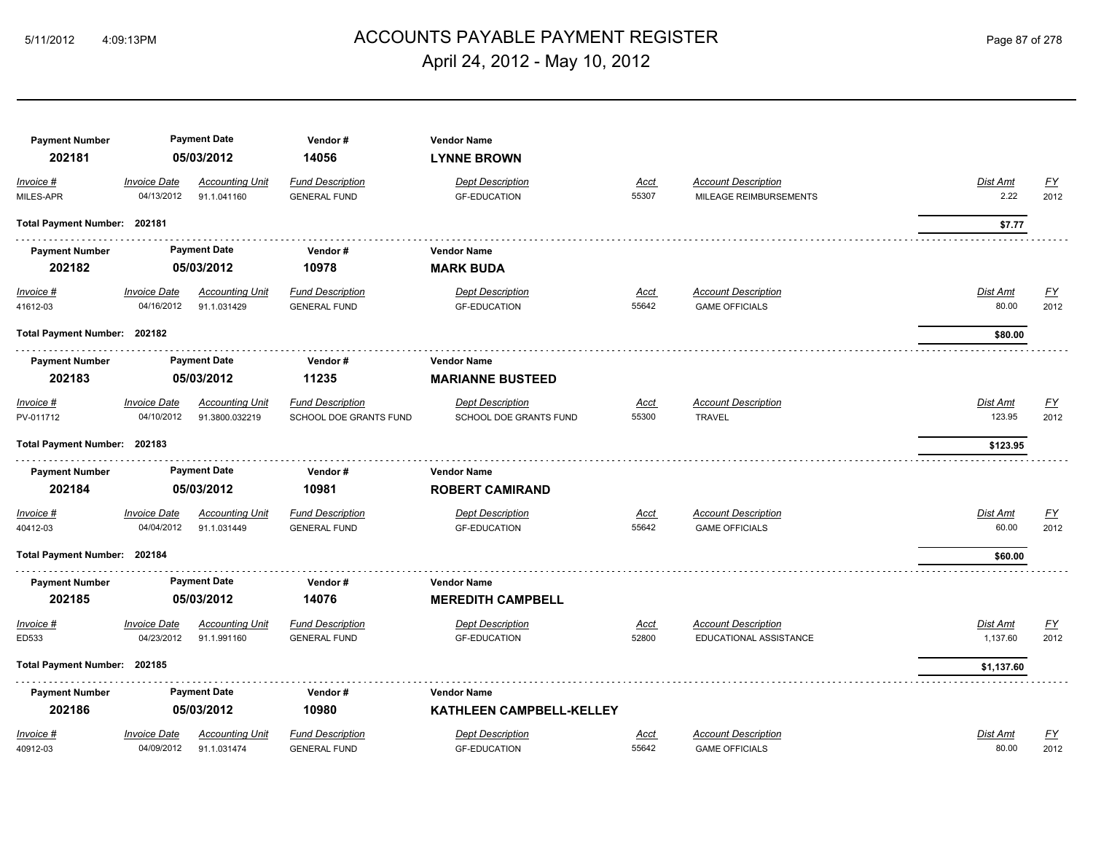# 5/11/2012 4:09:13PM ACCOUNTS PAYABLE PAYMENT REGISTER Page 87 of 278 April 24, 2012 - May 10, 2012

| <b>Payment Number</b><br>202181 |                                   | <b>Payment Date</b><br>05/03/2012     | Vendor#<br>14056                               | <b>Vendor Name</b><br><b>LYNNE BROWN</b>       |               |                                                      |                      |                   |
|---------------------------------|-----------------------------------|---------------------------------------|------------------------------------------------|------------------------------------------------|---------------|------------------------------------------------------|----------------------|-------------------|
| Invoice #                       | <b>Invoice Date</b>               | <b>Accounting Unit</b>                | <b>Fund Description</b>                        | <b>Dept Description</b>                        | Acct          | <b>Account Description</b>                           | Dist Amt             | <u>FY</u>         |
| MILES-APR                       | 04/13/2012                        | 91.1.041160                           | <b>GENERAL FUND</b>                            | <b>GF-EDUCATION</b>                            | 55307         | MILEAGE REIMBURSEMENTS                               | 2.22                 | 2012              |
| Total Payment Number: 202181    |                                   |                                       |                                                |                                                |               |                                                      | \$7.77               |                   |
| <b>Payment Number</b>           |                                   | <b>Payment Date</b>                   | Vendor#                                        | <b>Vendor Name</b>                             |               |                                                      |                      |                   |
| 202182                          |                                   | 05/03/2012                            | 10978                                          | <b>MARK BUDA</b>                               |               |                                                      |                      |                   |
| $Invoice$ #<br>41612-03         | <b>Invoice Date</b><br>04/16/2012 | Accounting Unit<br>91.1.031429        | <b>Fund Description</b><br><b>GENERAL FUND</b> | <b>Dept Description</b><br><b>GF-EDUCATION</b> | Acct<br>55642 | <b>Account Description</b><br><b>GAME OFFICIALS</b>  | Dist Amt<br>80.00    | <u>FY</u><br>2012 |
| Total Payment Number: 202182    |                                   |                                       |                                                |                                                |               |                                                      | \$80.00              |                   |
| <b>Payment Number</b>           |                                   | <b>Payment Date</b>                   | Vendor#                                        | <b>Vendor Name</b>                             |               |                                                      |                      |                   |
| 202183                          |                                   | 05/03/2012                            | 11235                                          | <b>MARIANNE BUSTEED</b>                        |               |                                                      |                      |                   |
| Invoice #                       | <b>Invoice Date</b>               | <b>Accounting Unit</b>                | <b>Fund Description</b>                        | <b>Dept Description</b>                        | Acct          | <b>Account Description</b>                           | Dist Amt             | <u>FY</u>         |
| PV-011712                       | 04/10/2012                        | 91.3800.032219                        | SCHOOL DOE GRANTS FUND                         | SCHOOL DOE GRANTS FUND                         | 55300         | <b>TRAVEL</b>                                        | 123.95               | 2012              |
| Total Payment Number: 202183    |                                   |                                       |                                                |                                                |               |                                                      | \$123.95             |                   |
| <b>Payment Number</b>           |                                   | <b>Payment Date</b>                   | Vendor#                                        | <b>Vendor Name</b>                             |               |                                                      |                      |                   |
| 202184                          |                                   | 05/03/2012                            | 10981                                          | <b>ROBERT CAMIRAND</b>                         |               |                                                      |                      |                   |
| Invoice #                       | <b>Invoice Date</b>               | <b>Accounting Unit</b>                | <b>Fund Description</b>                        | <b>Dept Description</b>                        | Acct          | <b>Account Description</b>                           | Dist Amt             | <u>FY</u>         |
| 40412-03                        | 04/04/2012                        | 91.1.031449                           | <b>GENERAL FUND</b>                            | <b>GF-EDUCATION</b>                            | 55642         | <b>GAME OFFICIALS</b>                                | 60.00                | 2012              |
| Total Payment Number: 202184    |                                   |                                       |                                                |                                                |               |                                                      | \$60.00              |                   |
| <b>Payment Number</b>           |                                   | <b>Payment Date</b>                   | Vendor#                                        | <b>Vendor Name</b>                             |               |                                                      |                      |                   |
| 202185                          |                                   | 05/03/2012                            | 14076                                          | <b>MEREDITH CAMPBELL</b>                       |               |                                                      |                      |                   |
| Invoice #<br>ED533              | <b>Invoice Date</b><br>04/23/2012 | <b>Accounting Unit</b><br>91.1.991160 | <b>Fund Description</b><br><b>GENERAL FUND</b> | <b>Dept Description</b><br><b>GF-EDUCATION</b> | Acct<br>52800 | <b>Account Description</b><br>EDUCATIONAL ASSISTANCE | Dist Amt<br>1,137.60 | EY<br>2012        |
| Total Payment Number: 202185    |                                   |                                       |                                                |                                                |               |                                                      | \$1,137.60           |                   |
| <b>Payment Number</b>           |                                   | <b>Payment Date</b>                   | Vendor#                                        | <b>Vendor Name</b>                             |               |                                                      |                      |                   |
| 202186                          |                                   | 05/03/2012                            | 10980                                          | KATHLEEN CAMPBELL-KELLEY                       |               |                                                      |                      |                   |
| Invoice #                       | <b>Invoice Date</b>               | <b>Accounting Unit</b>                | <b>Fund Description</b>                        | <b>Dept Description</b>                        | Acct          | <b>Account Description</b>                           | Dist Amt             | $\underline{FY}$  |
| 40912-03                        | 04/09/2012                        | 91.1.031474                           | <b>GENERAL FUND</b>                            | <b>GF-EDUCATION</b>                            | 55642         | <b>GAME OFFICIALS</b>                                | 80.00                | 2012              |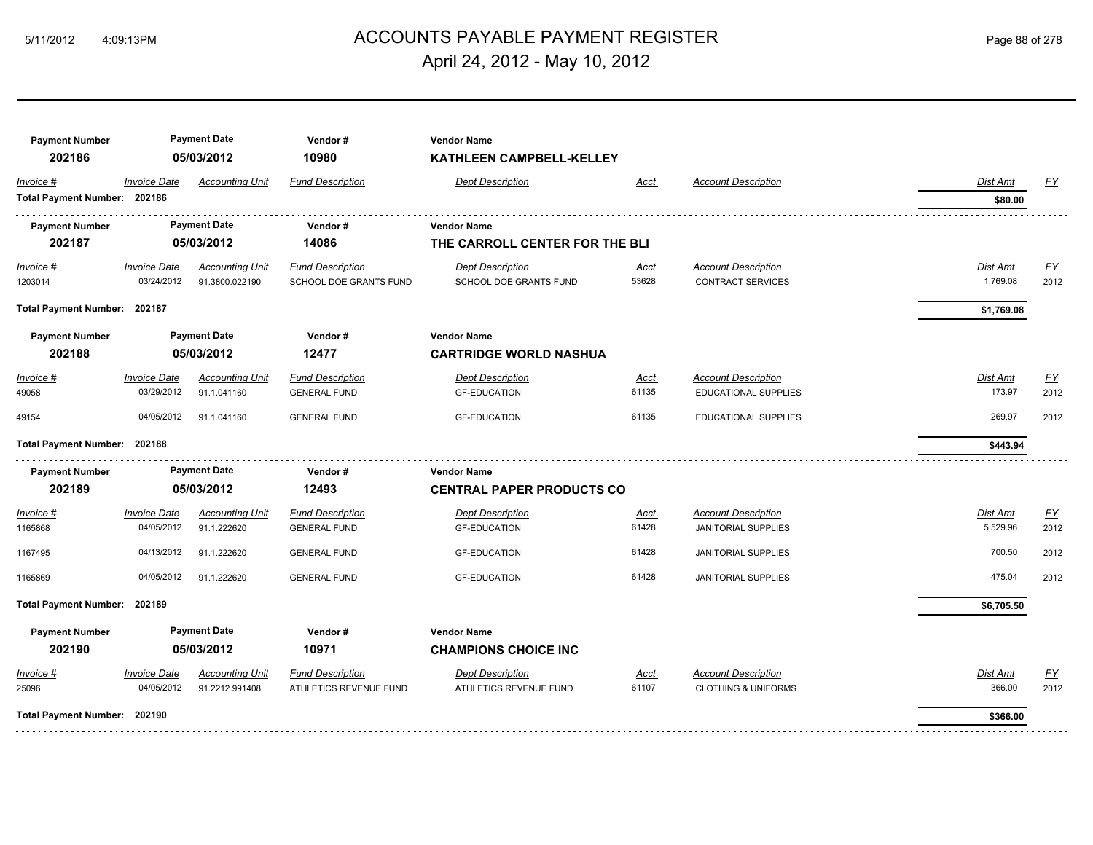# ACCOUNTS PAYABLE PAYMENT REGISTER 5/11/2012 4:09:13PM Page 88 of 278 April 24, 2012 - May 10, 2012

| <b>Payment Number</b><br>202186 | <b>Payment Date</b><br>05/03/2012 |                        | Vendor#<br>10980        | <b>Vendor Name</b><br>KATHLEEN CAMPBELL-KELLEY |             |                                |            |           |
|---------------------------------|-----------------------------------|------------------------|-------------------------|------------------------------------------------|-------------|--------------------------------|------------|-----------|
| Invoice #                       | <b>Invoice Date</b>               | <b>Accounting Unit</b> | <b>Fund Description</b> | <b>Dept Description</b>                        | Acct        | <b>Account Description</b>     | Dist Amt   | <u>FY</u> |
| Total Payment Number: 202186    |                                   |                        |                         |                                                |             |                                | \$80.00    |           |
| <b>Payment Number</b>           |                                   | <b>Payment Date</b>    | Vendor#                 | <b>Vendor Name</b>                             |             |                                |            |           |
| 202187                          |                                   | 05/03/2012             | 14086                   | THE CARROLL CENTER FOR THE BLI                 |             |                                |            |           |
| $Invoice$ #                     | <b>Invoice Date</b>               | <b>Accounting Unit</b> | <b>Fund Description</b> | <b>Dept Description</b>                        | <u>Acct</u> | <b>Account Description</b>     | Dist Amt   | <u>FY</u> |
| 1203014                         | 03/24/2012                        | 91.3800.022190         | SCHOOL DOE GRANTS FUND  | SCHOOL DOE GRANTS FUND                         | 53628       | <b>CONTRACT SERVICES</b>       | 1,769.08   | 2012      |
| Total Payment Number: 202187    |                                   |                        |                         |                                                |             |                                | \$1,769.08 |           |
| <b>Payment Number</b>           |                                   | <b>Payment Date</b>    | Vendor#                 | <b>Vendor Name</b>                             |             |                                |            |           |
| 202188                          | 05/03/2012                        |                        | 12477                   | <b>CARTRIDGE WORLD NASHUA</b>                  |             |                                |            |           |
| Invoice #                       | <b>Invoice Date</b>               | <b>Accounting Unit</b> | <b>Fund Description</b> | <b>Dept Description</b>                        | Acct        | <b>Account Description</b>     | Dist Amt   | EY        |
| 49058                           | 03/29/2012                        | 91.1.041160            | <b>GENERAL FUND</b>     | <b>GF-EDUCATION</b>                            | 61135       | EDUCATIONAL SUPPLIES           | 173.97     | 2012      |
| 49154                           | 04/05/2012                        | 91.1.041160            | <b>GENERAL FUND</b>     | <b>GF-EDUCATION</b>                            | 61135       | EDUCATIONAL SUPPLIES           | 269.97     | 2012      |
| Total Payment Number: 202188    |                                   |                        |                         |                                                |             |                                | \$443.94   |           |
| <b>Payment Number</b>           |                                   | <b>Payment Date</b>    | Vendor#                 | <b>Vendor Name</b>                             |             |                                |            |           |
| 202189                          |                                   | 05/03/2012             | 12493                   | <b>CENTRAL PAPER PRODUCTS CO</b>               |             |                                |            |           |
| Invoice #                       | <b>Invoice Date</b>               | <b>Accounting Unit</b> | <b>Fund Description</b> | <b>Dept Description</b>                        | Acct        | <b>Account Description</b>     | Dist Amt   | EY        |
| 1165868                         | 04/05/2012                        | 91.1.222620            | <b>GENERAL FUND</b>     | <b>GF-EDUCATION</b>                            | 61428       | <b>JANITORIAL SUPPLIES</b>     | 5,529.96   | 2012      |
| 1167495                         | 04/13/2012                        | 91.1.222620            | <b>GENERAL FUND</b>     | <b>GF-EDUCATION</b>                            | 61428       | <b>JANITORIAL SUPPLIES</b>     | 700.50     | 2012      |
| 1165869                         | 04/05/2012                        | 91.1.222620            | <b>GENERAL FUND</b>     | <b>GF-EDUCATION</b>                            | 61428       | <b>JANITORIAL SUPPLIES</b>     | 475.04     | 2012      |
| Total Payment Number: 202189    |                                   |                        |                         |                                                |             |                                | \$6,705.50 |           |
| <b>Payment Number</b>           |                                   | <b>Payment Date</b>    | Vendor#                 | <b>Vendor Name</b>                             |             |                                |            |           |
| 202190                          |                                   | 05/03/2012             | 10971                   | <b>CHAMPIONS CHOICE INC</b>                    |             |                                |            |           |
| Invoice #                       | <b>Invoice Date</b>               | <b>Accounting Unit</b> | <b>Fund Description</b> | <b>Dept Description</b>                        | Acct        | <b>Account Description</b>     | Dist Amt   | <u>FY</u> |
| 25096                           | 04/05/2012                        | 91.2212.991408         | ATHLETICS REVENUE FUND  | ATHLETICS REVENUE FUND                         | 61107       | <b>CLOTHING &amp; UNIFORMS</b> | 366.00     | 2012      |
| Total Payment Number: 202190    |                                   |                        |                         |                                                |             |                                | \$366.00   |           |
|                                 |                                   |                        |                         |                                                |             |                                |            |           |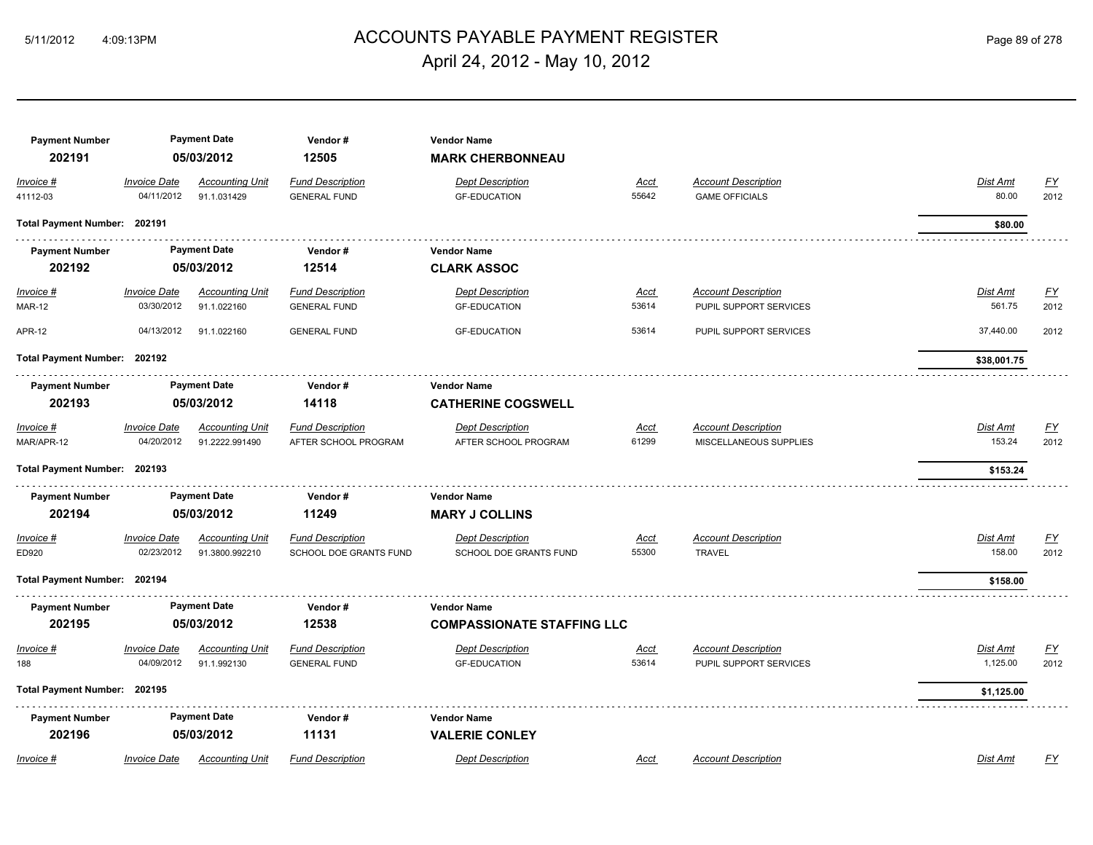#### ACCOUNTS PAYABLE PAYMENT REGISTER 5/11/2012 4:09:13PM Page 89 of 278 April 24, 2012 - May 10, 2012

| <b>Payment Number</b><br>202191 |                                   | <b>Payment Date</b><br>05/03/2012        | Vendor#<br>12505                                  | <b>Vendor Name</b><br><b>MARK CHERBONNEAU</b>     |                      |                                                      |                           |                          |
|---------------------------------|-----------------------------------|------------------------------------------|---------------------------------------------------|---------------------------------------------------|----------------------|------------------------------------------------------|---------------------------|--------------------------|
| Invoice #<br>41112-03           | <b>Invoice Date</b><br>04/11/2012 | <b>Accounting Unit</b><br>91.1.031429    | <b>Fund Description</b><br><b>GENERAL FUND</b>    | <b>Dept Description</b><br><b>GF-EDUCATION</b>    | Acct<br>55642        | <b>Account Description</b><br><b>GAME OFFICIALS</b>  | Dist Amt<br>80.00         | <b>FY</b><br>2012        |
| Total Payment Number: 202191    |                                   |                                          |                                                   |                                                   |                      |                                                      | \$80.00                   |                          |
| <b>Payment Number</b>           |                                   | <b>Payment Date</b>                      | Vendor#                                           | <b>Vendor Name</b>                                |                      |                                                      |                           |                          |
| 202192                          |                                   | 05/03/2012                               | 12514                                             | <b>CLARK ASSOC</b>                                |                      |                                                      |                           |                          |
| Invoice #<br><b>MAR-12</b>      | <b>Invoice Date</b><br>03/30/2012 | <b>Accounting Unit</b><br>91.1.022160    | <b>Fund Description</b><br><b>GENERAL FUND</b>    | <b>Dept Description</b><br><b>GF-EDUCATION</b>    | <u>Acct</u><br>53614 | <b>Account Description</b><br>PUPIL SUPPORT SERVICES | <u>Dist Amt</u><br>561.75 | <u>FY</u><br>2012        |
| <b>APR-12</b>                   | 04/13/2012                        | 91.1.022160                              | <b>GENERAL FUND</b>                               | <b>GF-EDUCATION</b>                               | 53614                | PUPIL SUPPORT SERVICES                               | 37,440.00                 | 2012                     |
| Total Payment Number: 202192    |                                   |                                          |                                                   |                                                   |                      |                                                      | \$38,001.75               |                          |
| <b>Payment Number</b>           |                                   | <b>Payment Date</b>                      | Vendor#                                           | <b>Vendor Name</b>                                |                      |                                                      |                           |                          |
| 202193                          |                                   | 05/03/2012                               | 14118                                             | <b>CATHERINE COGSWELL</b>                         |                      |                                                      |                           |                          |
| Invoice #<br>MAR/APR-12         | Invoice Date<br>04/20/2012        | <b>Accounting Unit</b><br>91.2222.991490 | <b>Fund Description</b><br>AFTER SCHOOL PROGRAM   | <b>Dept Description</b><br>AFTER SCHOOL PROGRAM   | <u>Acct</u><br>61299 | <b>Account Description</b><br>MISCELLANEOUS SUPPLIES | Dist Amt<br>153.24        | EY<br>2012               |
| Total Payment Number: 202193    |                                   |                                          |                                                   |                                                   |                      |                                                      | \$153.24                  |                          |
| <b>Payment Number</b>           |                                   | <b>Payment Date</b>                      | Vendor#                                           | <b>Vendor Name</b>                                |                      |                                                      |                           |                          |
| 202194                          |                                   | 05/03/2012                               | 11249                                             | <b>MARY J COLLINS</b>                             |                      |                                                      |                           |                          |
| Invoice #<br>ED920              | <b>Invoice Date</b><br>02/23/2012 | <b>Accounting Unit</b><br>91.3800.992210 | <b>Fund Description</b><br>SCHOOL DOE GRANTS FUND | <b>Dept Description</b><br>SCHOOL DOE GRANTS FUND | Acct<br>55300        | <b>Account Description</b><br><b>TRAVEL</b>          | Dist Amt<br>158.00        | $\underline{FY}$<br>2012 |
| Total Payment Number: 202194    |                                   |                                          |                                                   |                                                   |                      |                                                      | \$158.00                  |                          |
| <b>Payment Number</b>           |                                   | <b>Payment Date</b>                      | Vendor#                                           | <b>Vendor Name</b>                                |                      |                                                      |                           |                          |
| 202195                          |                                   | 05/03/2012                               | 12538                                             | <b>COMPASSIONATE STAFFING LLC</b>                 |                      |                                                      |                           |                          |
| Invoice #                       | <b>Invoice Date</b>               | <b>Accounting Unit</b>                   | <b>Fund Description</b>                           | <b>Dept Description</b>                           | Acct                 | <b>Account Description</b>                           | Dist Amt                  | <u>FY</u>                |
| 188                             | 04/09/2012                        | 91.1.992130                              | <b>GENERAL FUND</b>                               | <b>GF-EDUCATION</b>                               | 53614                | PUPIL SUPPORT SERVICES                               | 1,125.00                  | 2012                     |
| Total Payment Number: 202195    |                                   |                                          |                                                   |                                                   |                      |                                                      | \$1,125.00                |                          |
| <b>Payment Number</b>           |                                   | <b>Payment Date</b>                      | Vendor#                                           | <b>Vendor Name</b>                                |                      |                                                      |                           |                          |
| 202196                          |                                   | 05/03/2012                               | 11131                                             | <b>VALERIE CONLEY</b>                             |                      |                                                      |                           |                          |
| Invoice #                       | <b>Invoice Date</b>               | <b>Accounting Unit</b>                   | <b>Fund Description</b>                           | <b>Dept Description</b>                           | Acct                 | <b>Account Description</b>                           | Dist Amt                  | FY                       |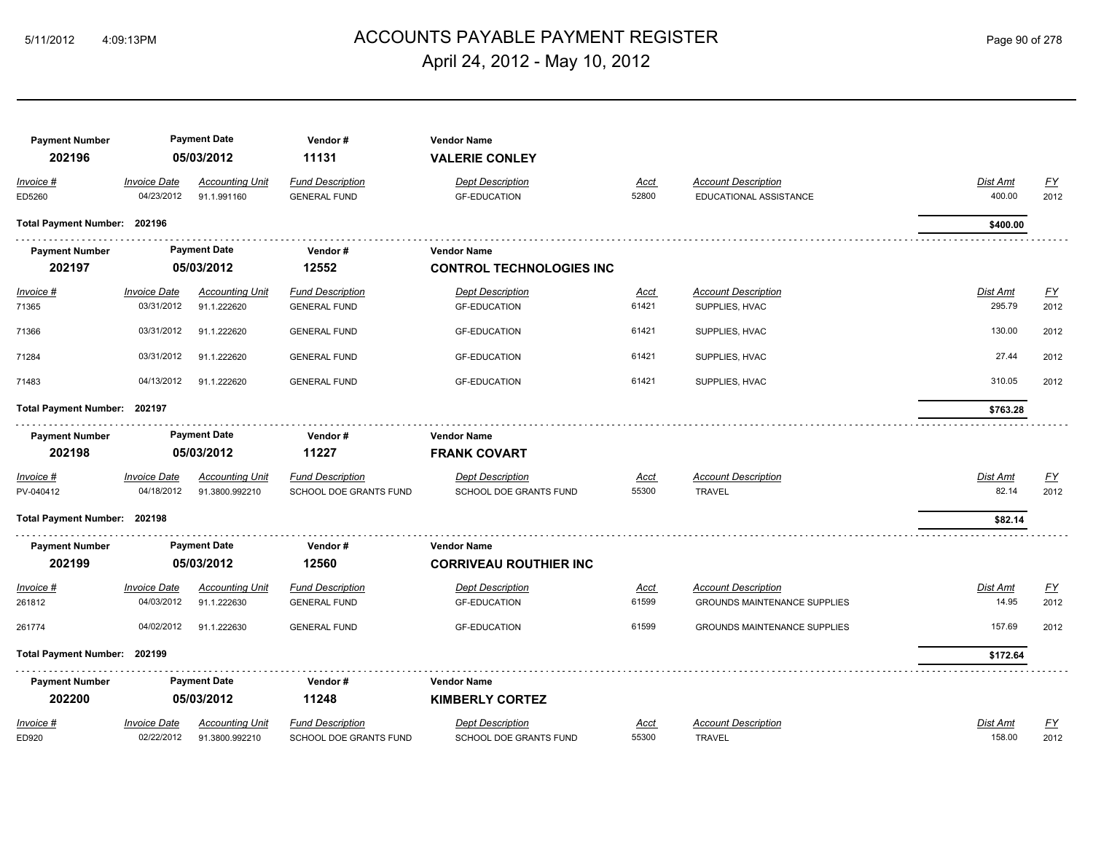# ACCOUNTS PAYABLE PAYMENT REGISTER 5/11/2012 4:09:13PM Page 90 of 278 April 24, 2012 - May 10, 2012

| <b>Payment Number</b><br>202196 |                                   | <b>Payment Date</b><br>05/03/2012     | Vendor#<br>11131                               | <b>Vendor Name</b><br><b>VALERIE CONLEY</b>    |               |                                                      |                    |                  |
|---------------------------------|-----------------------------------|---------------------------------------|------------------------------------------------|------------------------------------------------|---------------|------------------------------------------------------|--------------------|------------------|
| Invoice #<br>ED5260             | <b>Invoice Date</b><br>04/23/2012 | <b>Accounting Unit</b><br>91.1.991160 | <b>Fund Description</b><br><b>GENERAL FUND</b> | <b>Dept Description</b><br><b>GF-EDUCATION</b> | Acct<br>52800 | <b>Account Description</b><br>EDUCATIONAL ASSISTANCE | Dist Amt<br>400.00 | EY<br>2012       |
| Total Payment Number: 202196    |                                   |                                       |                                                |                                                |               |                                                      | \$400.00           |                  |
| <b>Payment Number</b>           |                                   | <b>Payment Date</b>                   | Vendor#                                        | <b>Vendor Name</b>                             |               |                                                      |                    |                  |
| 202197                          |                                   | 05/03/2012                            | 12552                                          | <b>CONTROL TECHNOLOGIES INC</b>                |               |                                                      |                    |                  |
| $Invoice$ #                     | <b>Invoice Date</b>               | <b>Accounting Unit</b>                | <b>Fund Description</b>                        | <b>Dept Description</b>                        | Acct          | <b>Account Description</b>                           | Dist Amt           | <u>FY</u>        |
| 71365                           | 03/31/2012                        | 91.1.222620                           | <b>GENERAL FUND</b>                            | <b>GF-EDUCATION</b>                            | 61421         | SUPPLIES, HVAC                                       | 295.79             | 2012             |
| 71366                           | 03/31/2012                        | 91.1.222620                           | <b>GENERAL FUND</b>                            | <b>GF-EDUCATION</b>                            | 61421         | SUPPLIES, HVAC                                       | 130.00             | 2012             |
| 71284                           | 03/31/2012                        | 91.1.222620                           | <b>GENERAL FUND</b>                            | <b>GF-EDUCATION</b>                            | 61421         | SUPPLIES, HVAC                                       | 27.44              | 2012             |
| 71483                           | 04/13/2012                        | 91.1.222620                           | <b>GENERAL FUND</b>                            | <b>GF-EDUCATION</b>                            | 61421         | SUPPLIES, HVAC                                       | 310.05             | 2012             |
| Total Payment Number: 202197    |                                   |                                       |                                                |                                                |               |                                                      | \$763.28           |                  |
| <b>Payment Number</b>           |                                   | <b>Payment Date</b>                   | Vendor#                                        | <b>Vendor Name</b>                             |               |                                                      |                    |                  |
| 202198                          |                                   | 05/03/2012                            | 11227                                          | <b>FRANK COVART</b>                            |               |                                                      |                    |                  |
| Invoice #                       | <b>Invoice Date</b>               | <b>Accounting Unit</b>                | <b>Fund Description</b>                        | <b>Dept Description</b>                        | <u>Acct</u>   | <b>Account Description</b>                           | Dist Amt           | <u>FY</u>        |
| PV-040412                       | 04/18/2012                        | 91.3800.992210                        | SCHOOL DOE GRANTS FUND                         | SCHOOL DOE GRANTS FUND                         | 55300         | <b>TRAVEL</b>                                        | 82.14              | 2012             |
| Total Payment Number: 202198    |                                   |                                       |                                                |                                                |               |                                                      | \$82.14            |                  |
| <b>Payment Number</b>           |                                   | <b>Payment Date</b>                   | Vendor#                                        | <b>Vendor Name</b>                             |               |                                                      |                    |                  |
| 202199                          |                                   | 05/03/2012                            | 12560                                          | <b>CORRIVEAU ROUTHIER INC</b>                  |               |                                                      |                    |                  |
| Invoice #                       | <b>Invoice Date</b>               | <b>Accounting Unit</b>                | <b>Fund Description</b>                        | <b>Dept Description</b>                        | <u>Acct</u>   | <b>Account Description</b>                           | Dist Amt           | <u>FY</u>        |
| 261812                          | 04/03/2012                        | 91.1.222630                           | <b>GENERAL FUND</b>                            | <b>GF-EDUCATION</b>                            | 61599         | <b>GROUNDS MAINTENANCE SUPPLIES</b>                  | 14.95              | 2012             |
| 261774                          | 04/02/2012                        | 91.1.222630                           | <b>GENERAL FUND</b>                            | <b>GF-EDUCATION</b>                            | 61599         | <b>GROUNDS MAINTENANCE SUPPLIES</b>                  | 157.69             | 2012             |
| Total Payment Number: 202199    |                                   |                                       |                                                |                                                |               |                                                      | \$172.64           |                  |
| <b>Payment Number</b>           |                                   | <b>Payment Date</b>                   | Vendor#                                        | <b>Vendor Name</b>                             |               |                                                      |                    |                  |
| 202200                          |                                   | 05/03/2012                            | 11248                                          | <b>KIMBERLY CORTEZ</b>                         |               |                                                      |                    |                  |
| Invoice #                       | <b>Invoice Date</b>               | <b>Accounting Unit</b>                | <b>Fund Description</b>                        | <b>Dept Description</b>                        | Acct          | <b>Account Description</b>                           | Dist Amt           | $\underline{FY}$ |
| ED920                           | 02/22/2012                        | 91.3800.992210                        | SCHOOL DOE GRANTS FUND                         | SCHOOL DOE GRANTS FUND                         | 55300         | <b>TRAVEL</b>                                        | 158.00             | 2012             |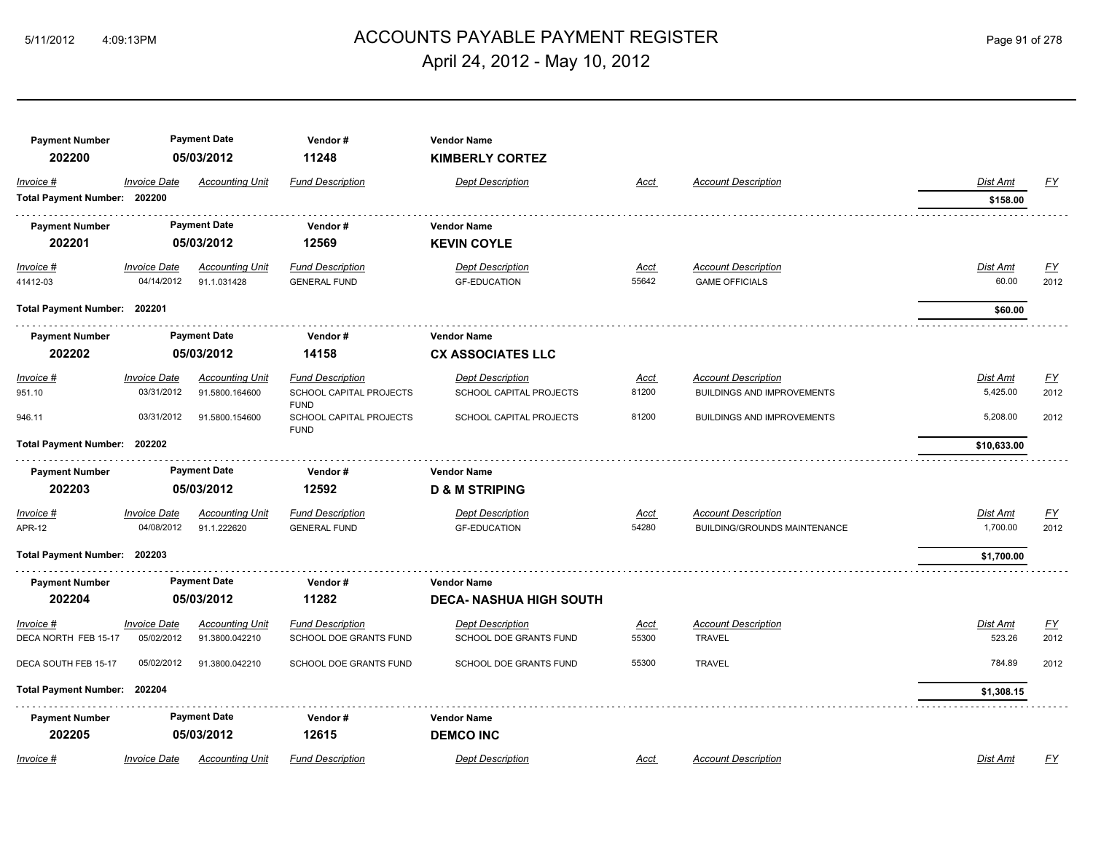# 5/11/2012 4:09:13PM ACCOUNTS PAYABLE PAYMENT REGISTER Page 91 of 278 April 24, 2012 - May 10, 2012

| <b>Payment Number</b>        |                     | <b>Payment Date</b>    | Vendor#                                | <b>Vendor Name</b>             |             |                                     |                 |                  |
|------------------------------|---------------------|------------------------|----------------------------------------|--------------------------------|-------------|-------------------------------------|-----------------|------------------|
| 202200                       |                     | 05/03/2012             | 11248                                  | <b>KIMBERLY CORTEZ</b>         |             |                                     |                 |                  |
| Invoice #                    | <b>Invoice Date</b> | <b>Accounting Unit</b> | <b>Fund Description</b>                | <b>Dept Description</b>        | Acct        | <b>Account Description</b>          | <b>Dist Amt</b> | <u>FY</u>        |
| Total Payment Number: 202200 |                     |                        |                                        |                                |             |                                     | \$158.00        |                  |
| <b>Payment Number</b>        |                     | <b>Payment Date</b>    | Vendor#                                | <b>Vendor Name</b>             |             |                                     |                 |                  |
| 202201                       |                     | 05/03/2012             | 12569                                  | <b>KEVIN COYLE</b>             |             |                                     |                 |                  |
| Invoice #                    | <b>Invoice Date</b> | <b>Accounting Unit</b> | <b>Fund Description</b>                | <b>Dept Description</b>        | Acct        | <b>Account Description</b>          | <b>Dist Amt</b> | <u>FY</u>        |
| 41412-03                     | 04/14/2012          | 91.1.031428            | <b>GENERAL FUND</b>                    | <b>GF-EDUCATION</b>            | 55642       | <b>GAME OFFICIALS</b>               | 60.00           | 2012             |
| Total Payment Number: 202201 |                     |                        |                                        |                                |             |                                     | \$60.00         |                  |
| <b>Payment Number</b>        |                     | <b>Payment Date</b>    | Vendor#                                | <b>Vendor Name</b>             |             |                                     |                 |                  |
| 202202                       |                     | 05/03/2012             | 14158                                  | <b>CX ASSOCIATES LLC</b>       |             |                                     |                 |                  |
| Invoice #                    | <b>Invoice Date</b> | <b>Accounting Unit</b> | <b>Fund Description</b>                | <b>Dept Description</b>        | <u>Acct</u> | <b>Account Description</b>          | Dist Amt        | $\underline{FY}$ |
| 951.10                       | 03/31/2012          | 91.5800.164600         | SCHOOL CAPITAL PROJECTS<br><b>FUND</b> | SCHOOL CAPITAL PROJECTS        | 81200       | <b>BUILDINGS AND IMPROVEMENTS</b>   | 5,425.00        | 2012             |
| 946.11                       | 03/31/2012          | 91.5800.154600         | SCHOOL CAPITAL PROJECTS<br><b>FUND</b> | SCHOOL CAPITAL PROJECTS        | 81200       | <b>BUILDINGS AND IMPROVEMENTS</b>   | 5,208.00        | 2012             |
| Total Payment Number: 202202 |                     |                        |                                        |                                |             |                                     | \$10,633.00     |                  |
| <b>Payment Number</b>        |                     | <b>Payment Date</b>    | Vendor#                                | <b>Vendor Name</b>             |             |                                     |                 |                  |
| 202203                       |                     | 05/03/2012             | 12592                                  | <b>D &amp; M STRIPING</b>      |             |                                     |                 |                  |
| Invoice #                    | Invoice Date        | <b>Accounting Unit</b> | <b>Fund Description</b>                | Dept Description               | Acct        | <b>Account Description</b>          | Dist Amt        | <u>FY</u>        |
| <b>APR-12</b>                | 04/08/2012          | 91.1.222620            | <b>GENERAL FUND</b>                    | <b>GF-EDUCATION</b>            | 54280       | <b>BUILDING/GROUNDS MAINTENANCE</b> | 1,700.00        | 2012             |
| Total Payment Number: 202203 |                     |                        |                                        |                                |             |                                     | \$1,700.00      |                  |
| <b>Payment Number</b>        |                     | <b>Payment Date</b>    | Vendor#                                | <b>Vendor Name</b>             |             |                                     |                 |                  |
| 202204                       |                     | 05/03/2012             | 11282                                  | <b>DECA- NASHUA HIGH SOUTH</b> |             |                                     |                 |                  |
| Invoice #                    | <b>Invoice Date</b> | <b>Accounting Unit</b> | <b>Fund Description</b>                | <b>Dept Description</b>        | Acct        | <b>Account Description</b>          | Dist Amt        | $\underline{FY}$ |
| DECA NORTH FEB 15-17         | 05/02/2012          | 91.3800.042210         | SCHOOL DOE GRANTS FUND                 | SCHOOL DOE GRANTS FUND         | 55300       | <b>TRAVEL</b>                       | 523.26          | 2012             |
| DECA SOUTH FEB 15-17         | 05/02/2012          | 91.3800.042210         | SCHOOL DOE GRANTS FUND                 | SCHOOL DOE GRANTS FUND         | 55300       | <b>TRAVEL</b>                       | 784.89          | 2012             |
| <b>Total Payment Number:</b> | 202204              |                        |                                        |                                |             |                                     | \$1,308.15      |                  |
| <b>Payment Number</b>        |                     | <b>Payment Date</b>    | Vendor#                                | <b>Vendor Name</b>             |             |                                     |                 |                  |
| 202205                       |                     | 05/03/2012             | 12615                                  | <b>DEMCO INC</b>               |             |                                     |                 |                  |
| Invoice #                    | <b>Invoice Date</b> | <b>Accounting Unit</b> | <b>Fund Description</b>                | <b>Dept Description</b>        | Acct        | <b>Account Description</b>          | Dist Amt        | FY               |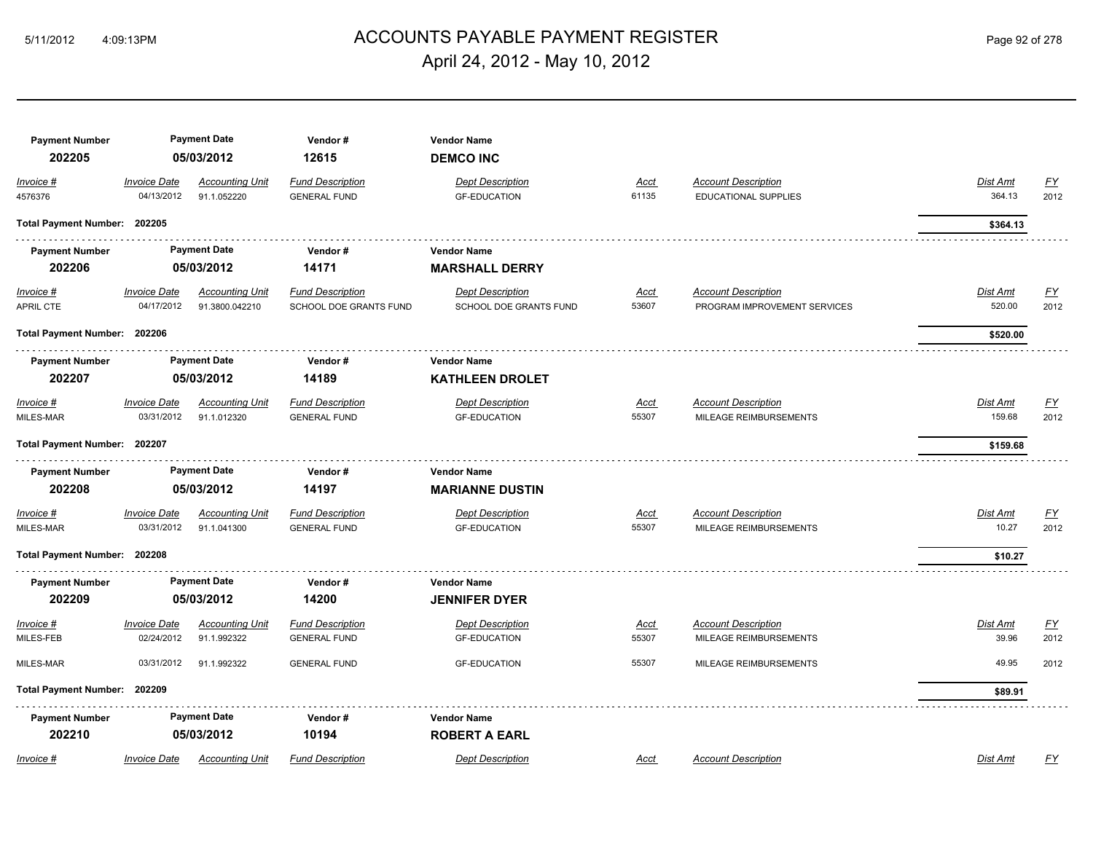# ACCOUNTS PAYABLE PAYMENT REGISTER 5/11/2012 4:09:13PM Page 92 of 278 April 24, 2012 - May 10, 2012

| <b>Payment Number</b><br>202205 |                                   | <b>Payment Date</b><br>05/03/2012        | Vendor#<br>12615                                  | <b>Vendor Name</b><br><b>DEMCO INC</b>            |                      |                                                            |                    |                   |
|---------------------------------|-----------------------------------|------------------------------------------|---------------------------------------------------|---------------------------------------------------|----------------------|------------------------------------------------------------|--------------------|-------------------|
| Invoice #                       | <b>Invoice Date</b>               | <b>Accounting Unit</b>                   | <b>Fund Description</b>                           | <b>Dept Description</b>                           | Acct                 | <b>Account Description</b>                                 | Dist Amt           | <u>FY</u>         |
| 4576376                         | 04/13/2012                        | 91.1.052220                              | <b>GENERAL FUND</b>                               | <b>GF-EDUCATION</b>                               | 61135                | <b>EDUCATIONAL SUPPLIES</b>                                | 364.13             | 2012              |
| Total Payment Number: 202205    |                                   |                                          |                                                   |                                                   |                      |                                                            | \$364.13           |                   |
| <b>Payment Number</b>           |                                   | <b>Payment Date</b>                      | Vendor#                                           | <b>Vendor Name</b>                                |                      |                                                            |                    |                   |
| 202206                          |                                   | 05/03/2012                               | 14171                                             | <b>MARSHALL DERRY</b>                             |                      |                                                            |                    |                   |
| Invoice #<br>APRIL CTE          | <b>Invoice Date</b><br>04/17/2012 | <b>Accounting Unit</b><br>91.3800.042210 | <b>Fund Description</b><br>SCHOOL DOE GRANTS FUND | <b>Dept Description</b><br>SCHOOL DOE GRANTS FUND | <u>Acct</u><br>53607 | <b>Account Description</b><br>PROGRAM IMPROVEMENT SERVICES | Dist Amt<br>520.00 | <u>FY</u><br>2012 |
| Total Payment Number: 202206    |                                   |                                          |                                                   |                                                   |                      |                                                            | \$520.00           |                   |
| <b>Payment Number</b>           |                                   | <b>Payment Date</b>                      | Vendor#                                           | <b>Vendor Name</b>                                |                      |                                                            |                    |                   |
| 202207                          |                                   | 05/03/2012                               | 14189                                             | <b>KATHLEEN DROLET</b>                            |                      |                                                            |                    |                   |
| Invoice #<br>MILES-MAR          | <b>Invoice Date</b><br>03/31/2012 | <b>Accounting Unit</b><br>91.1.012320    | <b>Fund Description</b><br><b>GENERAL FUND</b>    | <b>Dept Description</b><br><b>GF-EDUCATION</b>    | <u>Acct</u><br>55307 | <b>Account Description</b><br>MILEAGE REIMBURSEMENTS       | Dist Amt<br>159.68 | <u>FY</u><br>2012 |
| Total Payment Number: 202207    |                                   |                                          |                                                   |                                                   |                      |                                                            | \$159.68           |                   |
| <b>Payment Number</b>           |                                   | <b>Payment Date</b>                      | Vendor#                                           | <b>Vendor Name</b>                                |                      |                                                            |                    |                   |
| 202208                          |                                   | 05/03/2012                               | 14197                                             | <b>MARIANNE DUSTIN</b>                            |                      |                                                            |                    |                   |
| Invoice #                       | <b>Invoice Date</b>               | <b>Accounting Unit</b>                   | <b>Fund Description</b>                           | <b>Dept Description</b>                           | Acct                 | <b>Account Description</b>                                 | Dist Amt           | <u>FY</u>         |
| MILES-MAR                       | 03/31/2012                        | 91.1.041300                              | <b>GENERAL FUND</b>                               | <b>GF-EDUCATION</b>                               | 55307                | MILEAGE REIMBURSEMENTS                                     | 10.27              | 2012              |
| Total Payment Number: 202208    |                                   |                                          |                                                   |                                                   |                      |                                                            | \$10.27            |                   |
| <b>Payment Number</b>           |                                   | <b>Payment Date</b>                      | Vendor#                                           | <b>Vendor Name</b>                                |                      |                                                            |                    |                   |
| 202209                          |                                   | 05/03/2012                               | 14200                                             | <b>JENNIFER DYER</b>                              |                      |                                                            |                    |                   |
| Invoice #                       | <b>Invoice Date</b>               | <b>Accounting Unit</b>                   | <b>Fund Description</b>                           | <b>Dept Description</b>                           | Acct                 | <b>Account Description</b>                                 | Dist Amt           | <u>FY</u>         |
| MILES-FEB                       | 02/24/2012                        | 91.1.992322                              | <b>GENERAL FUND</b>                               | <b>GF-EDUCATION</b>                               | 55307                | MILEAGE REIMBURSEMENTS                                     | 39.96              | 2012              |
| MILES-MAR                       | 03/31/2012                        | 91.1.992322                              | <b>GENERAL FUND</b>                               | <b>GF-EDUCATION</b>                               | 55307                | MILEAGE REIMBURSEMENTS                                     | 49.95              | 2012              |
| Total Payment Number: 202209    |                                   |                                          |                                                   |                                                   |                      |                                                            | \$89.91            |                   |
| <b>Payment Number</b>           |                                   | <b>Payment Date</b>                      | Vendor#                                           | <b>Vendor Name</b>                                |                      |                                                            |                    |                   |
| 202210                          |                                   | 05/03/2012                               | 10194                                             | <b>ROBERT A EARL</b>                              |                      |                                                            |                    |                   |
| Invoice #                       | <b>Invoice Date</b>               | <b>Accounting Unit</b>                   | <b>Fund Description</b>                           | <b>Dept Description</b>                           | Acct                 | <b>Account Description</b>                                 | Dist Amt           | FY                |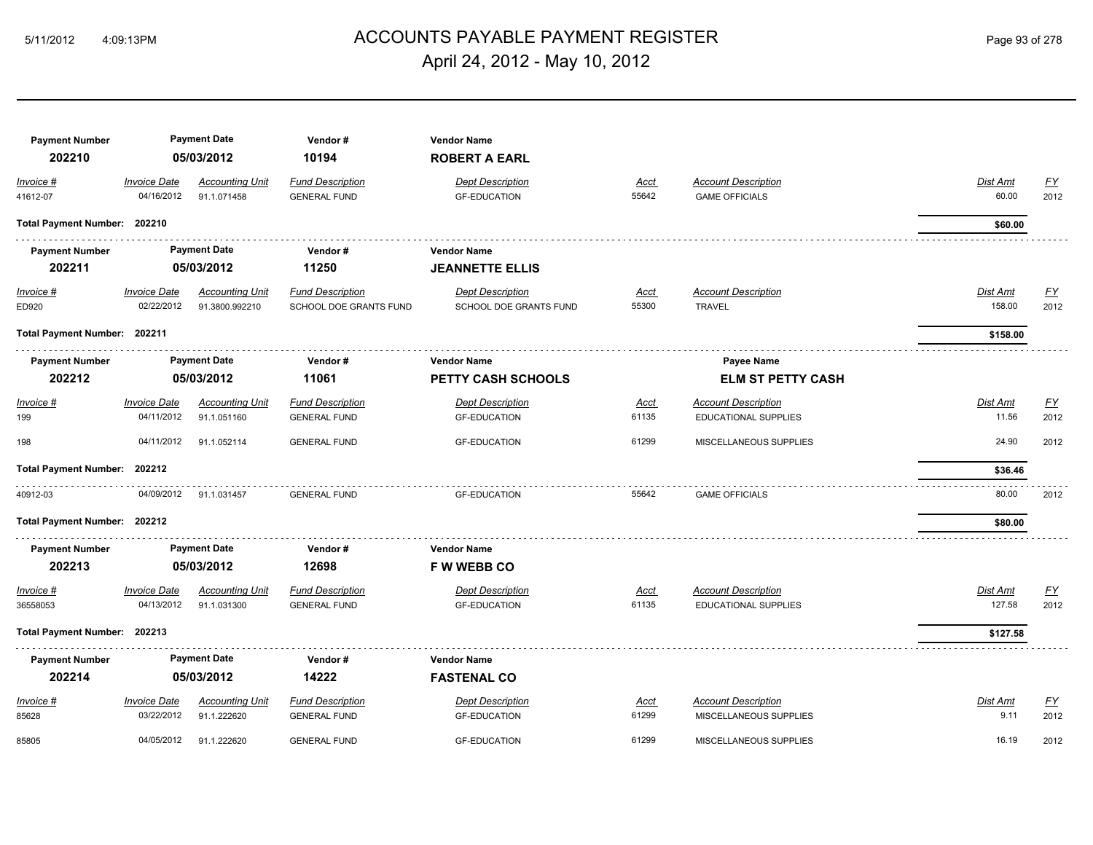# ACCOUNTS PAYABLE PAYMENT REGISTER 5/11/2012 4:09:13PM Page 93 of 278 April 24, 2012 - May 10, 2012

| <b>Payment Number</b>        |                     | <b>Payment Date</b>    | Vendor#                 | <b>Vendor Name</b>        |             |                                               |                 |                           |
|------------------------------|---------------------|------------------------|-------------------------|---------------------------|-------------|-----------------------------------------------|-----------------|---------------------------|
| 202210                       |                     | 05/03/2012             | 10194                   | <b>ROBERT A EARL</b>      |             |                                               |                 |                           |
| Invoice #                    | <b>Invoice Date</b> | <b>Accounting Unit</b> | <b>Fund Description</b> | <b>Dept Description</b>   | <u>Acct</u> | <b>Account Description</b>                    | Dist Amt        | EY                        |
| 41612-07                     | 04/16/2012          | 91.1.071458            | <b>GENERAL FUND</b>     | <b>GF-EDUCATION</b>       | 55642       | <b>GAME OFFICIALS</b>                         | 60.00           | 2012                      |
| Total Payment Number: 202210 |                     |                        |                         |                           |             |                                               | \$60.00         |                           |
| <b>Payment Number</b>        |                     | <b>Payment Date</b>    | Vendor#                 | <b>Vendor Name</b>        |             |                                               |                 |                           |
| 202211                       |                     | 05/03/2012             | 11250                   | <b>JEANNETTE ELLIS</b>    |             |                                               |                 |                           |
| Invoice #                    | <b>Invoice Date</b> | <b>Accounting Unit</b> | <b>Fund Description</b> | <b>Dept Description</b>   | <u>Acct</u> | <b>Account Description</b>                    | <b>Dist Amt</b> | $\underline{\mathsf{FY}}$ |
| ED920                        | 02/22/2012          | 91.3800.992210         | SCHOOL DOE GRANTS FUND  | SCHOOL DOE GRANTS FUND    | 55300       | <b>TRAVEL</b>                                 | 158.00          | 2012                      |
| Total Payment Number: 202211 |                     |                        |                         |                           |             |                                               | \$158.00        |                           |
| <b>Payment Number</b>        |                     | <b>Payment Date</b>    | Vendor#                 | Vendor Name               |             |                                               |                 |                           |
| 202212                       |                     | 05/03/2012             | 11061                   | <b>PETTY CASH SCHOOLS</b> |             | <b>Payee Name</b><br><b>ELM ST PETTY CASH</b> |                 |                           |
| Invoice #                    | <b>Invoice Date</b> | <b>Accounting Unit</b> | <b>Fund Description</b> | <b>Dept Description</b>   | <u>Acct</u> | <b>Account Description</b>                    | Dist Amt        | EY                        |
| 199                          | 04/11/2012          | 91.1.051160            | <b>GENERAL FUND</b>     | <b>GF-EDUCATION</b>       | 61135       | EDUCATIONAL SUPPLIES                          | 11.56           | 2012                      |
| 198                          | 04/11/2012          | 91.1.052114            | <b>GENERAL FUND</b>     | <b>GF-EDUCATION</b>       | 61299       | MISCELLANEOUS SUPPLIES                        | 24.90           | 2012                      |
| Total Payment Number: 202212 |                     |                        |                         |                           |             |                                               | \$36.46         |                           |
| 40912-03                     | 04/09/2012          | 91.1.031457            | <b>GENERAL FUND</b>     | <b>GF-EDUCATION</b>       | 55642       | <b>GAME OFFICIALS</b>                         | 80.00           | 2012                      |
| Total Payment Number: 202212 |                     |                        |                         |                           |             |                                               | \$80.00         |                           |
| <b>Payment Number</b>        |                     | <b>Payment Date</b>    | Vendor#                 | <b>Vendor Name</b>        |             |                                               |                 |                           |
| 202213                       |                     | 05/03/2012             | 12698                   | <b>F W WEBB CO</b>        |             |                                               |                 |                           |
| Invoice #                    | <b>Invoice Date</b> | <b>Accounting Unit</b> | <b>Fund Description</b> | <b>Dept Description</b>   | Acct        | <b>Account Description</b>                    | Dist Amt        | EY                        |
| 36558053                     | 04/13/2012          | 91.1.031300            | <b>GENERAL FUND</b>     | <b>GF-EDUCATION</b>       | 61135       | EDUCATIONAL SUPPLIES                          | 127.58          | 2012                      |
| Total Payment Number: 202213 |                     |                        |                         |                           |             |                                               | \$127.58        |                           |
| <b>Payment Number</b>        |                     | <b>Payment Date</b>    | Vendor#                 | <b>Vendor Name</b>        |             |                                               |                 |                           |
| 202214                       |                     | 05/03/2012             | 14222                   | <b>FASTENAL CO</b>        |             |                                               |                 |                           |
| Invoice #                    | <b>Invoice Date</b> | <b>Accounting Unit</b> | <b>Fund Description</b> | <b>Dept Description</b>   | Acct        | <b>Account Description</b>                    | Dist Amt        | FY                        |
| 85628                        | 03/22/2012          | 91.1.222620            | <b>GENERAL FUND</b>     | <b>GF-EDUCATION</b>       | 61299       | MISCELLANEOUS SUPPLIES                        | 9.11            | 2012                      |
| 85805                        | 04/05/2012          | 91.1.222620            | <b>GENERAL FUND</b>     | <b>GF-EDUCATION</b>       | 61299       | MISCELLANEOUS SUPPLIES                        | 16.19           | 2012                      |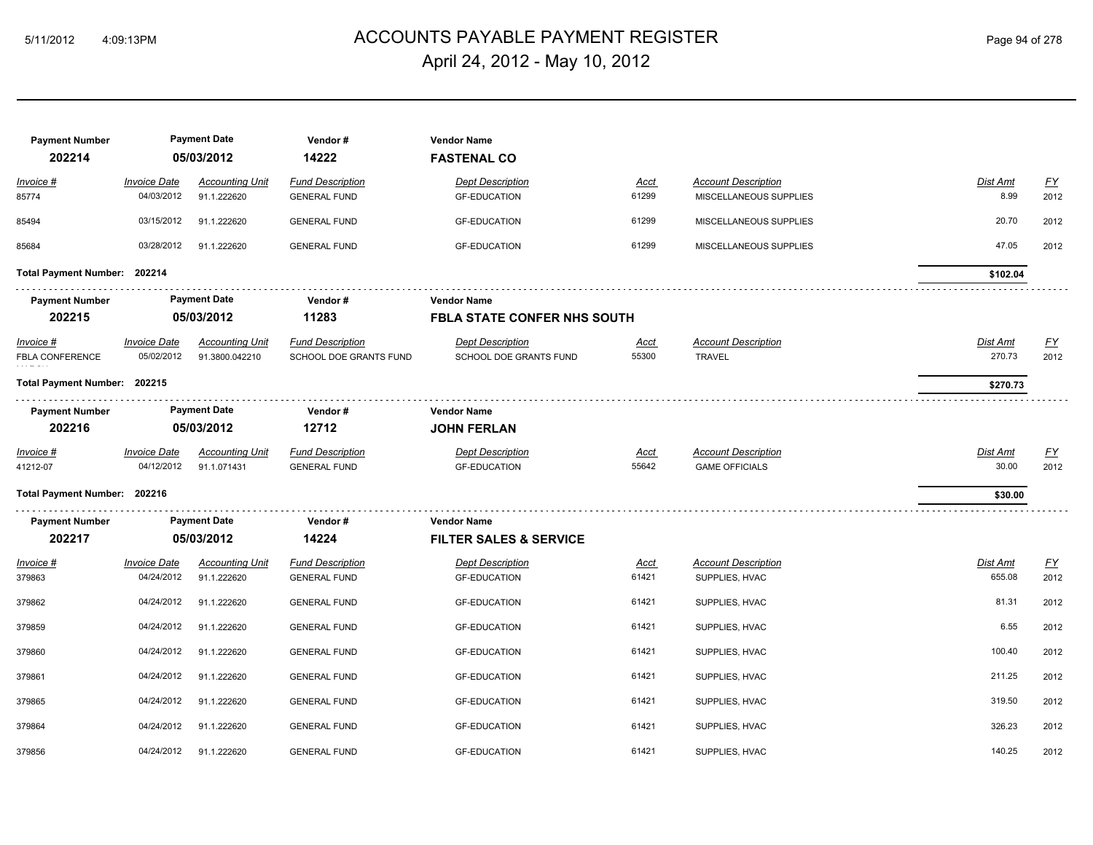# ACCOUNTS PAYABLE PAYMENT REGISTER 5/11/2012 4:09:13PM Page 94 of 278 April 24, 2012 - May 10, 2012

| <b>Payment Number</b><br>202214       |                                   | <b>Payment Date</b><br>05/03/2012        | Vendor#<br>14222                                  | <b>Vendor Name</b><br><b>FASTENAL CO</b>          |                      |                                                     |                    |                   |
|---------------------------------------|-----------------------------------|------------------------------------------|---------------------------------------------------|---------------------------------------------------|----------------------|-----------------------------------------------------|--------------------|-------------------|
| Invoice #                             | <b>Invoice Date</b>               | <b>Accounting Unit</b>                   | <b>Fund Description</b>                           | <b>Dept Description</b>                           | Acct                 | <b>Account Description</b>                          | Dist Amt           | <u>FY</u>         |
| 85774                                 | 04/03/2012                        | 91.1.222620                              | <b>GENERAL FUND</b>                               | <b>GF-EDUCATION</b>                               | 61299                | MISCELLANEOUS SUPPLIES                              | 8.99               | 2012              |
| 85494                                 | 03/15/2012                        | 91.1.222620                              | <b>GENERAL FUND</b>                               | <b>GF-EDUCATION</b>                               | 61299                | MISCELLANEOUS SUPPLIES                              | 20.70              | 2012              |
| 85684                                 | 03/28/2012                        | 91.1.222620                              | <b>GENERAL FUND</b>                               | <b>GF-EDUCATION</b>                               | 61299                | MISCELLANEOUS SUPPLIES                              | 47.05              | 2012              |
| Total Payment Number: 202214          |                                   |                                          |                                                   |                                                   |                      |                                                     | \$102.04           |                   |
| <b>Payment Number</b>                 |                                   | <b>Payment Date</b>                      | Vendor#                                           | <b>Vendor Name</b>                                |                      |                                                     |                    |                   |
| 202215                                | 05/03/2012                        |                                          | 11283                                             | <b>FBLA STATE CONFER NHS SOUTH</b>                |                      |                                                     |                    |                   |
| $Invoice$ #<br><b>FBLA CONFERENCE</b> | <b>Invoice Date</b><br>05/02/2012 | <b>Accounting Unit</b><br>91.3800.042210 | <b>Fund Description</b><br>SCHOOL DOE GRANTS FUND | <b>Dept Description</b><br>SCHOOL DOE GRANTS FUND | <u>Acct</u><br>55300 | <b>Account Description</b><br><b>TRAVEL</b>         | Dist Amt<br>270.73 | <u>FY</u><br>2012 |
| Total Payment Number: 202215          |                                   |                                          |                                                   |                                                   |                      |                                                     | \$270.73           |                   |
| <b>Payment Number</b>                 |                                   | <b>Payment Date</b>                      | Vendor#                                           | <b>Vendor Name</b>                                |                      |                                                     |                    |                   |
| 202216                                |                                   | 05/03/2012                               | 12712                                             | <b>JOHN FERLAN</b>                                |                      |                                                     |                    |                   |
| Invoice #<br>41212-07                 | <b>Invoice Date</b><br>04/12/2012 | <b>Accounting Unit</b><br>91.1.071431    | <b>Fund Description</b><br><b>GENERAL FUND</b>    | <b>Dept Description</b><br><b>GF-EDUCATION</b>    | Acct<br>55642        | <b>Account Description</b><br><b>GAME OFFICIALS</b> | Dist Amt<br>30.00  | <u>FY</u><br>2012 |
| Total Payment Number: 202216          |                                   |                                          |                                                   |                                                   |                      |                                                     | \$30.00            |                   |
| <b>Payment Number</b>                 |                                   | <b>Payment Date</b>                      | Vendor#                                           | <b>Vendor Name</b>                                |                      |                                                     |                    |                   |
| 202217                                |                                   | 05/03/2012                               | 14224                                             | <b>FILTER SALES &amp; SERVICE</b>                 |                      |                                                     |                    |                   |
| Invoice #<br>379863                   | <b>Invoice Date</b><br>04/24/2012 | <b>Accounting Unit</b><br>91.1.222620    | <b>Fund Description</b><br><b>GENERAL FUND</b>    | <b>Dept Description</b><br><b>GF-EDUCATION</b>    | Acct<br>61421        | <b>Account Description</b><br>SUPPLIES, HVAC        | Dist Amt<br>655.08 | <u>FY</u><br>2012 |
| 379862                                | 04/24/2012                        | 91.1.222620                              | <b>GENERAL FUND</b>                               | <b>GF-EDUCATION</b>                               | 61421                | SUPPLIES, HVAC                                      | 81.31              | 2012              |
| 379859                                | 04/24/2012                        | 91.1.222620                              | <b>GENERAL FUND</b>                               | <b>GF-EDUCATION</b>                               | 61421                | SUPPLIES, HVAC                                      | 6.55               | 2012              |
| 379860                                | 04/24/2012                        | 91.1.222620                              | <b>GENERAL FUND</b>                               | <b>GF-EDUCATION</b>                               | 61421                | SUPPLIES, HVAC                                      | 100.40             | 2012              |
| 379861                                | 04/24/2012                        | 91.1.222620                              | <b>GENERAL FUND</b>                               | <b>GF-EDUCATION</b>                               | 61421                | SUPPLIES, HVAC                                      | 211.25             | 2012              |
| 379865                                | 04/24/2012                        | 91.1.222620                              | <b>GENERAL FUND</b>                               | <b>GF-EDUCATION</b>                               | 61421                | SUPPLIES, HVAC                                      | 319.50             | 2012              |
| 379864                                | 04/24/2012                        | 91.1.222620                              | <b>GENERAL FUND</b>                               | <b>GF-EDUCATION</b>                               | 61421                | SUPPLIES, HVAC                                      | 326.23             | 2012              |
| 379856                                | 04/24/2012                        | 91.1.222620                              | <b>GENERAL FUND</b>                               | <b>GF-EDUCATION</b>                               | 61421                | SUPPLIES, HVAC                                      | 140.25             | 2012              |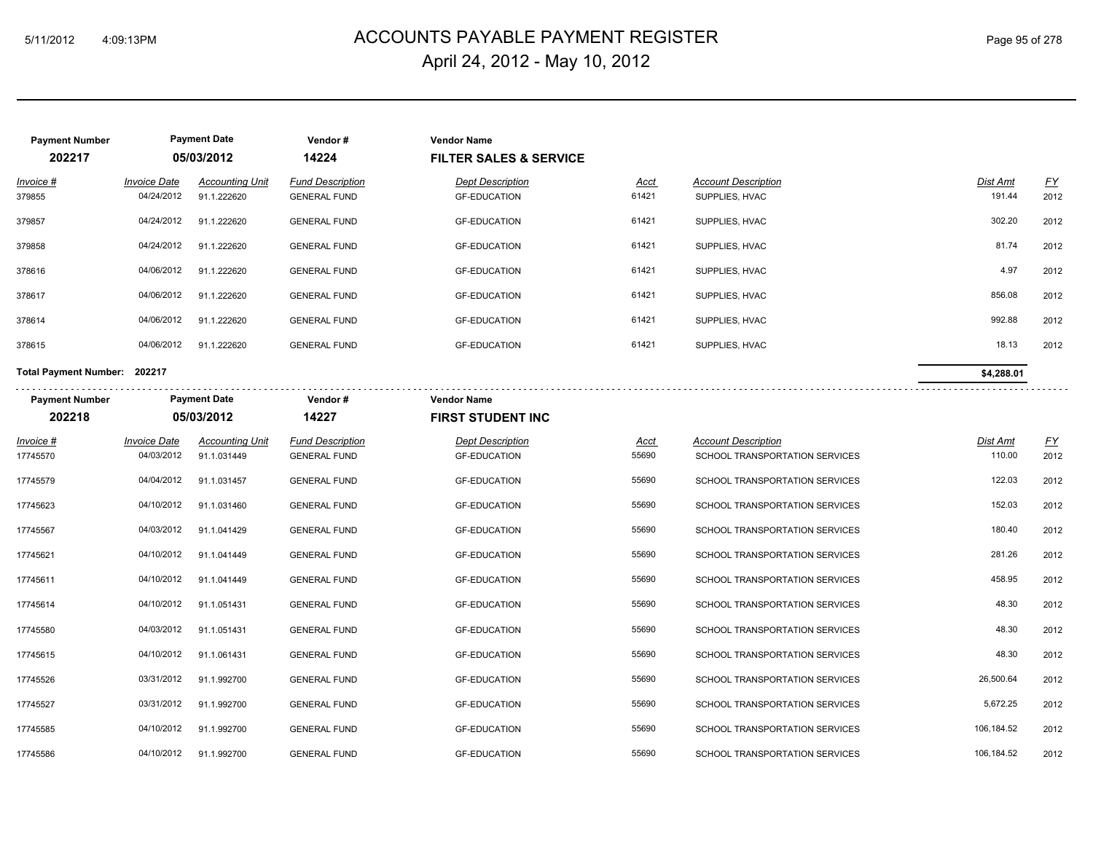# ACCOUNTS PAYABLE PAYMENT REGISTER 5/11/2012 4:09:13PM Page 95 of 278 April 24, 2012 - May 10, 2012

| <b>Payment Number</b>        | <b>Payment Date</b> |                        | Vendor#                 | <b>Vendor Name</b>                |             |                                |                 |                           |
|------------------------------|---------------------|------------------------|-------------------------|-----------------------------------|-------------|--------------------------------|-----------------|---------------------------|
| 202217                       |                     | 05/03/2012             | 14224                   | <b>FILTER SALES &amp; SERVICE</b> |             |                                |                 |                           |
| Invoice #                    | <b>Invoice Date</b> | <b>Accounting Unit</b> | <b>Fund Description</b> | <b>Dept Description</b>           | <b>Acct</b> | <b>Account Description</b>     | Dist Amt        | $\underline{\mathsf{FY}}$ |
| 379855                       | 04/24/2012          | 91.1.222620            | <b>GENERAL FUND</b>     | <b>GF-EDUCATION</b>               | 61421       | SUPPLIES, HVAC                 | 191.44          | 2012                      |
| 379857                       | 04/24/2012          | 91.1.222620            | <b>GENERAL FUND</b>     | <b>GF-EDUCATION</b>               | 61421       | SUPPLIES, HVAC                 | 302.20          | 2012                      |
| 379858                       | 04/24/2012          | 91.1.222620            | <b>GENERAL FUND</b>     | <b>GF-EDUCATION</b>               | 61421       | SUPPLIES, HVAC                 | 81.74           | 2012                      |
| 378616                       | 04/06/2012          | 91.1.222620            | <b>GENERAL FUND</b>     | <b>GF-EDUCATION</b>               | 61421       | SUPPLIES, HVAC                 | 4.97            | 2012                      |
| 378617                       | 04/06/2012          | 91.1.222620            | <b>GENERAL FUND</b>     | <b>GF-EDUCATION</b>               | 61421       | SUPPLIES, HVAC                 | 856.08          | 2012                      |
| 378614                       | 04/06/2012          | 91.1.222620            | <b>GENERAL FUND</b>     | <b>GF-EDUCATION</b>               | 61421       | SUPPLIES, HVAC                 | 992.88          | 2012                      |
| 378615                       | 04/06/2012          | 91.1.222620            | <b>GENERAL FUND</b>     | <b>GF-EDUCATION</b>               | 61421       | SUPPLIES, HVAC                 | 18.13           | 2012                      |
| Total Payment Number: 202217 |                     |                        |                         |                                   |             |                                | \$4,288.01      |                           |
| <b>Payment Number</b>        |                     | <b>Payment Date</b>    | Vendor#                 | <b>Vendor Name</b>                |             |                                |                 |                           |
| 202218                       |                     | 05/03/2012             | 14227                   | <b>FIRST STUDENT INC</b>          |             |                                |                 |                           |
| <u> Invoice #</u>            | <b>Invoice Date</b> | <b>Accounting Unit</b> | <b>Fund Description</b> | <b>Dept Description</b>           | <u>Acct</u> | <b>Account Description</b>     | <u>Dist Amt</u> | EY                        |
| 17745570                     | 04/03/2012          | 91.1.031449            | <b>GENERAL FUND</b>     | <b>GF-EDUCATION</b>               | 55690       | SCHOOL TRANSPORTATION SERVICES | 110.00          | 2012                      |
| 17745579                     | 04/04/2012          | 91.1.031457            | <b>GENERAL FUND</b>     | <b>GF-EDUCATION</b>               | 55690       | SCHOOL TRANSPORTATION SERVICES | 122.03          | 2012                      |
| 17745623                     | 04/10/2012          | 91.1.031460            | <b>GENERAL FUND</b>     | <b>GF-EDUCATION</b>               | 55690       | SCHOOL TRANSPORTATION SERVICES | 152.03          | 2012                      |
| 17745567                     | 04/03/2012          | 91.1.041429            | <b>GENERAL FUND</b>     | <b>GF-EDUCATION</b>               | 55690       | SCHOOL TRANSPORTATION SERVICES | 180.40          | 2012                      |
| 17745621                     | 04/10/2012          | 91.1.041449            | <b>GENERAL FUND</b>     | <b>GF-EDUCATION</b>               | 55690       | SCHOOL TRANSPORTATION SERVICES | 281.26          | 2012                      |
| 17745611                     | 04/10/2012          | 91.1.041449            | <b>GENERAL FUND</b>     | <b>GF-EDUCATION</b>               | 55690       | SCHOOL TRANSPORTATION SERVICES | 458.95          | 2012                      |
| 17745614                     | 04/10/2012          | 91.1.051431            | <b>GENERAL FUND</b>     | <b>GF-EDUCATION</b>               | 55690       | SCHOOL TRANSPORTATION SERVICES | 48.30           | 2012                      |
| 17745580                     | 04/03/2012          | 91.1.051431            | <b>GENERAL FUND</b>     | <b>GF-EDUCATION</b>               | 55690       | SCHOOL TRANSPORTATION SERVICES | 48.30           | 2012                      |
| 17745615                     | 04/10/2012          | 91.1.061431            | <b>GENERAL FUND</b>     | <b>GF-EDUCATION</b>               | 55690       | SCHOOL TRANSPORTATION SERVICES | 48.30           | 2012                      |
| 17745526                     | 03/31/2012          | 91.1.992700            | <b>GENERAL FUND</b>     | <b>GF-EDUCATION</b>               | 55690       | SCHOOL TRANSPORTATION SERVICES | 26,500.64       | 2012                      |
| 17745527                     | 03/31/2012          | 91.1.992700            | <b>GENERAL FUND</b>     | <b>GF-EDUCATION</b>               | 55690       | SCHOOL TRANSPORTATION SERVICES | 5,672.25        | 2012                      |
| 17745585                     | 04/10/2012          | 91.1.992700            | <b>GENERAL FUND</b>     | <b>GF-EDUCATION</b>               | 55690       | SCHOOL TRANSPORTATION SERVICES | 106,184.52      | 2012                      |
| 17745586                     | 04/10/2012          | 91.1.992700            | <b>GENERAL FUND</b>     | <b>GF-EDUCATION</b>               | 55690       | SCHOOL TRANSPORTATION SERVICES | 106,184.52      | 2012                      |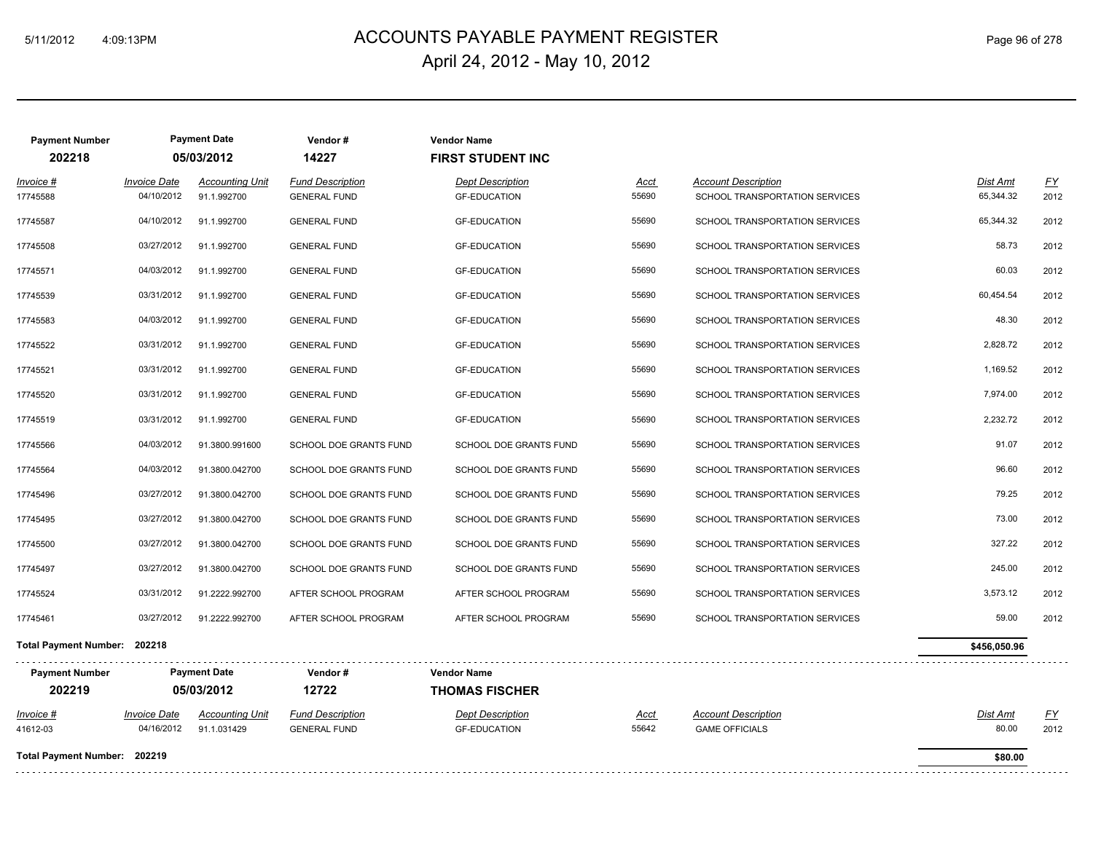# ACCOUNTS PAYABLE PAYMENT REGISTER 5/11/2012 4:09:13PM Page 96 of 278 April 24, 2012 - May 10, 2012

| <b>Payment Number</b><br>202218 |                                   | <b>Payment Date</b><br>05/03/2012     | Vendor#<br>14227                               | <b>Vendor Name</b><br><b>FIRST STUDENT INC</b> |               |                                                              |                       |            |
|---------------------------------|-----------------------------------|---------------------------------------|------------------------------------------------|------------------------------------------------|---------------|--------------------------------------------------------------|-----------------------|------------|
| Invoice #<br>17745588           | <b>Invoice Date</b><br>04/10/2012 | <b>Accounting Unit</b><br>91.1.992700 | <b>Fund Description</b><br><b>GENERAL FUND</b> | <b>Dept Description</b><br><b>GF-EDUCATION</b> | Acct<br>55690 | <b>Account Description</b><br>SCHOOL TRANSPORTATION SERVICES | Dist Amt<br>65,344.32 | EY<br>2012 |
| 17745587                        | 04/10/2012                        | 91.1.992700                           | <b>GENERAL FUND</b>                            | <b>GF-EDUCATION</b>                            | 55690         | SCHOOL TRANSPORTATION SERVICES                               | 65,344.32             | 2012       |
| 17745508                        | 03/27/2012                        | 91.1.992700                           | <b>GENERAL FUND</b>                            | <b>GF-EDUCATION</b>                            | 55690         | SCHOOL TRANSPORTATION SERVICES                               | 58.73                 | 2012       |
| 17745571                        | 04/03/2012                        | 91.1.992700                           | <b>GENERAL FUND</b>                            | <b>GF-EDUCATION</b>                            | 55690         | SCHOOL TRANSPORTATION SERVICES                               | 60.03                 | 2012       |
| 17745539                        | 03/31/2012                        | 91.1.992700                           | <b>GENERAL FUND</b>                            | <b>GF-EDUCATION</b>                            | 55690         | SCHOOL TRANSPORTATION SERVICES                               | 60.454.54             | 2012       |
| 17745583                        | 04/03/2012                        | 91.1.992700                           | <b>GENERAL FUND</b>                            | <b>GF-EDUCATION</b>                            | 55690         | SCHOOL TRANSPORTATION SERVICES                               | 48.30                 | 2012       |
| 17745522                        | 03/31/2012                        | 91.1.992700                           | <b>GENERAL FUND</b>                            | <b>GF-EDUCATION</b>                            | 55690         | SCHOOL TRANSPORTATION SERVICES                               | 2,828.72              | 2012       |
| 17745521                        | 03/31/2012                        | 91.1.992700                           | <b>GENERAL FUND</b>                            | <b>GF-EDUCATION</b>                            | 55690         | SCHOOL TRANSPORTATION SERVICES                               | 1,169.52              | 2012       |
| 17745520                        | 03/31/2012                        | 91.1.992700                           | <b>GENERAL FUND</b>                            | <b>GF-EDUCATION</b>                            | 55690         | SCHOOL TRANSPORTATION SERVICES                               | 7.974.00              | 2012       |
| 17745519                        | 03/31/2012                        | 91.1.992700                           | <b>GENERAL FUND</b>                            | <b>GF-EDUCATION</b>                            | 55690         | SCHOOL TRANSPORTATION SERVICES                               | 2,232.72              | 2012       |
| 17745566                        | 04/03/2012                        | 91.3800.991600                        | SCHOOL DOE GRANTS FUND                         | SCHOOL DOE GRANTS FUND                         | 55690         | SCHOOL TRANSPORTATION SERVICES                               | 91.07                 | 2012       |
| 17745564                        | 04/03/2012                        | 91.3800.042700                        | SCHOOL DOE GRANTS FUND                         | SCHOOL DOE GRANTS FUND                         | 55690         | SCHOOL TRANSPORTATION SERVICES                               | 96.60                 | 2012       |
| 17745496                        | 03/27/2012                        | 91.3800.042700                        | SCHOOL DOE GRANTS FUND                         | SCHOOL DOE GRANTS FUND                         | 55690         | SCHOOL TRANSPORTATION SERVICES                               | 79.25                 | 2012       |
| 17745495                        | 03/27/2012                        | 91.3800.042700                        | SCHOOL DOE GRANTS FUND                         | <b>SCHOOL DOE GRANTS FUND</b>                  | 55690         | SCHOOL TRANSPORTATION SERVICES                               | 73.00                 | 2012       |
| 17745500                        | 03/27/2012                        | 91.3800.042700                        | SCHOOL DOE GRANTS FUND                         | SCHOOL DOE GRANTS FUND                         | 55690         | SCHOOL TRANSPORTATION SERVICES                               | 327.22                | 2012       |
| 17745497                        | 03/27/2012                        | 91.3800.042700                        | SCHOOL DOE GRANTS FUND                         | SCHOOL DOE GRANTS FUND                         | 55690         | SCHOOL TRANSPORTATION SERVICES                               | 245.00                | 2012       |
| 17745524                        | 03/31/2012                        | 91.2222.992700                        | AFTER SCHOOL PROGRAM                           | AFTER SCHOOL PROGRAM                           | 55690         | SCHOOL TRANSPORTATION SERVICES                               | 3,573.12              | 2012       |
| 17745461                        | 03/27/2012                        | 91.2222.992700                        | AFTER SCHOOL PROGRAM                           | AFTER SCHOOL PROGRAM                           | 55690         | SCHOOL TRANSPORTATION SERVICES                               | 59.00                 | 2012       |
| Total Payment Number: 202218    |                                   |                                       |                                                |                                                |               |                                                              | \$456,050.96          |            |
| <b>Payment Number</b><br>202219 |                                   | <b>Payment Date</b><br>05/03/2012     | .<br>Vendor#<br>12722                          | <b>Vendor Name</b><br><b>THOMAS FISCHER</b>    |               |                                                              |                       |            |
| <u>Invoice #</u>                | <b>Invoice Date</b>               | <b>Accounting Unit</b>                | <b>Fund Description</b>                        | <b>Dept Description</b>                        | Acct          | <b>Account Description</b>                                   | <u>Dist Amt</u>       | <u>FY</u>  |
| 41612-03                        | 04/16/2012                        | 91.1.031429                           | <b>GENERAL FUND</b>                            | <b>GF-EDUCATION</b>                            | 55642         | <b>GAME OFFICIALS</b>                                        | 80.00                 | 2012       |
| Total Payment Number: 202219    |                                   |                                       |                                                |                                                |               |                                                              | \$80.00               |            |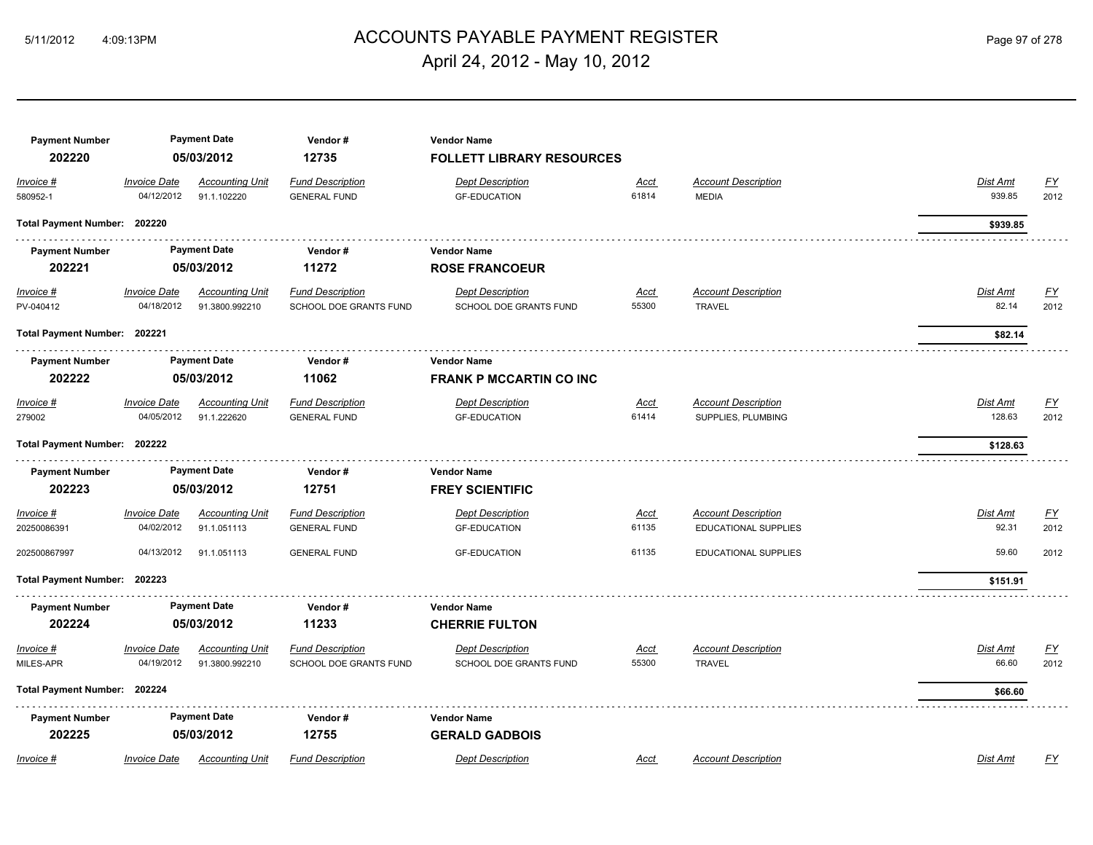# ACCOUNTS PAYABLE PAYMENT REGISTER 5/11/2012 4:09:13PM Page 97 of 278 April 24, 2012 - May 10, 2012

| <b>Payment Number</b><br>202220 |                                   | <b>Payment Date</b><br>05/03/2012        | Vendor#<br>12735                                  | <b>Vendor Name</b><br><b>FOLLETT LIBRARY RESOURCES</b> |                      |                                                           |                          |                   |
|---------------------------------|-----------------------------------|------------------------------------------|---------------------------------------------------|--------------------------------------------------------|----------------------|-----------------------------------------------------------|--------------------------|-------------------|
| Invoice #<br>580952-1           | <b>Invoice Date</b><br>04/12/2012 | <b>Accounting Unit</b><br>91.1.102220    | <b>Fund Description</b><br><b>GENERAL FUND</b>    | <b>Dept Description</b><br><b>GF-EDUCATION</b>         | Acct<br>61814        | <b>Account Description</b><br><b>MEDIA</b>                | Dist Amt<br>939.85       | <u>FY</u><br>2012 |
| Total Payment Number: 202220    |                                   |                                          |                                                   |                                                        |                      |                                                           | \$939.85                 |                   |
| <b>Payment Number</b><br>202221 |                                   | <b>Payment Date</b><br>05/03/2012        | Vendor#<br>11272                                  | <b>Vendor Name</b><br><b>ROSE FRANCOEUR</b>            |                      |                                                           |                          |                   |
| Invoice #<br>PV-040412          | <b>Invoice Date</b><br>04/18/2012 | <b>Accounting Unit</b><br>91.3800.992210 | <b>Fund Description</b><br>SCHOOL DOE GRANTS FUND | <b>Dept Description</b><br>SCHOOL DOE GRANTS FUND      | <b>Acct</b><br>55300 | <b>Account Description</b><br><b>TRAVEL</b>               | <b>Dist Amt</b><br>82.14 | <u>FY</u><br>2012 |
| Total Payment Number: 202221    |                                   |                                          |                                                   |                                                        |                      |                                                           | \$82.14                  |                   |
| <b>Payment Number</b><br>202222 |                                   | <b>Payment Date</b><br>05/03/2012        | Vendor#<br>11062                                  | <b>Vendor Name</b><br><b>FRANK P MCCARTIN CO INC</b>   |                      |                                                           |                          |                   |
| Invoice #<br>279002             | <b>Invoice Date</b><br>04/05/2012 | <b>Accounting Unit</b><br>91.1.222620    | <b>Fund Description</b><br><b>GENERAL FUND</b>    | <b>Dept Description</b><br><b>GF-EDUCATION</b>         | Acct<br>61414        | <b>Account Description</b><br>SUPPLIES, PLUMBING          | Dist Amt<br>128.63       | <u>FY</u><br>2012 |
| Total Payment Number: 202222    |                                   |                                          |                                                   |                                                        |                      |                                                           | \$128.63                 |                   |
| <b>Payment Number</b><br>202223 |                                   | <b>Payment Date</b><br>05/03/2012        | Vendor#<br>12751                                  | <b>Vendor Name</b><br><b>FREY SCIENTIFIC</b>           |                      |                                                           |                          |                   |
| <u>Invoice #</u><br>20250086391 | <b>Invoice Date</b><br>04/02/2012 | <b>Accounting Unit</b><br>91.1.051113    | <b>Fund Description</b><br><b>GENERAL FUND</b>    | <b>Dept Description</b><br><b>GF-EDUCATION</b>         | <u>Acct</u><br>61135 | <b>Account Description</b><br><b>EDUCATIONAL SUPPLIES</b> | Dist Amt<br>92.31        | <u>FY</u><br>2012 |
| 202500867997                    | 04/13/2012                        | 91.1.051113                              | <b>GENERAL FUND</b>                               | <b>GF-EDUCATION</b>                                    | 61135                | <b>EDUCATIONAL SUPPLIES</b>                               | 59.60                    | 2012              |
| Total Payment Number: 202223    |                                   |                                          |                                                   |                                                        |                      |                                                           | \$151.91                 |                   |
| <b>Payment Number</b><br>202224 |                                   | <b>Payment Date</b><br>05/03/2012        | Vendor#<br>11233                                  | <b>Vendor Name</b><br><b>CHERRIE FULTON</b>            |                      |                                                           |                          |                   |
| Invoice #<br>MILES-APR          | <b>Invoice Date</b><br>04/19/2012 | <b>Accounting Unit</b><br>91.3800.992210 | <b>Fund Description</b><br>SCHOOL DOE GRANTS FUND | <b>Dept Description</b><br>SCHOOL DOE GRANTS FUND      | <u>Acct</u><br>55300 | <b>Account Description</b><br><b>TRAVEL</b>               | Dist Amt<br>66.60        | <u>FY</u><br>2012 |
| Total Payment Number: 202224    |                                   |                                          |                                                   |                                                        |                      |                                                           | \$66.60                  |                   |
| <b>Payment Number</b><br>202225 |                                   | <b>Payment Date</b><br>05/03/2012        | Vendor#<br>12755                                  | <b>Vendor Name</b><br><b>GERALD GADBOIS</b>            |                      |                                                           |                          |                   |
| Invoice #                       | <b>Invoice Date</b>               | <b>Accounting Unit</b>                   | <b>Fund Description</b>                           | <b>Dept Description</b>                                | Acct                 | <b>Account Description</b>                                | Dist Amt                 | FY                |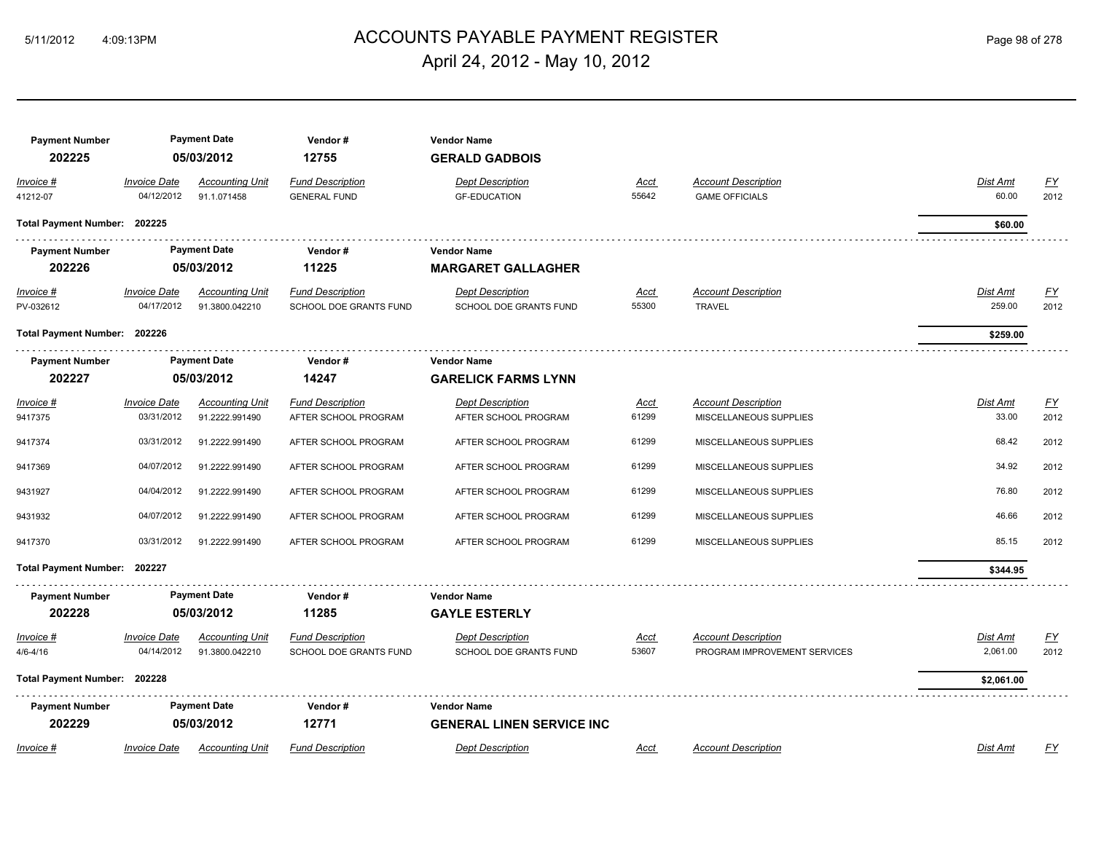# ACCOUNTS PAYABLE PAYMENT REGISTER 5/11/2012 4:09:13PM Page 98 of 278 April 24, 2012 - May 10, 2012

| <b>Payment Number</b><br>202225 |                                   | <b>Payment Date</b><br>05/03/2012        | Vendor#<br>12755                                  | <b>Vendor Name</b><br><b>GERALD GADBOIS</b>       |               |                                                     |                           |                   |
|---------------------------------|-----------------------------------|------------------------------------------|---------------------------------------------------|---------------------------------------------------|---------------|-----------------------------------------------------|---------------------------|-------------------|
| Invoice #<br>41212-07           | <b>Invoice Date</b><br>04/12/2012 | <b>Accounting Unit</b><br>91.1.071458    | <b>Fund Description</b><br><b>GENERAL FUND</b>    | <b>Dept Description</b><br><b>GF-EDUCATION</b>    | Acct<br>55642 | <b>Account Description</b><br><b>GAME OFFICIALS</b> | Dist Amt<br>60.00         | <u>FY</u><br>2012 |
| Total Payment Number: 202225    |                                   |                                          |                                                   |                                                   |               |                                                     | \$60.00                   |                   |
| <b>Payment Number</b><br>202226 |                                   | <b>Payment Date</b><br>05/03/2012        | Vendor#<br>11225                                  | <b>Vendor Name</b><br><b>MARGARET GALLAGHER</b>   |               |                                                     |                           |                   |
| $Invoice$ #<br>PV-032612        | <b>Invoice Date</b><br>04/17/2012 | <b>Accounting Unit</b><br>91.3800.042210 | <b>Fund Description</b><br>SCHOOL DOE GRANTS FUND | <b>Dept Description</b><br>SCHOOL DOE GRANTS FUND | Acct<br>55300 | <b>Account Description</b><br><b>TRAVEL</b>         | <b>Dist Amt</b><br>259.00 | EY<br>2012        |
| Total Payment Number: 202226    |                                   |                                          |                                                   |                                                   |               |                                                     | \$259.00                  |                   |
| <b>Payment Number</b>           |                                   | <b>Payment Date</b>                      | Vendor#                                           | <b>Vendor Name</b>                                |               |                                                     |                           |                   |
| 202227                          |                                   | 05/03/2012                               | 14247                                             | <b>GARELICK FARMS LYNN</b>                        |               |                                                     |                           |                   |
| Invoice #                       | <b>Invoice Date</b>               | <b>Accounting Unit</b>                   | <b>Fund Description</b>                           | <b>Dept Description</b>                           | Acct          | <b>Account Description</b>                          | Dist Amt                  | $\underline{FY}$  |
| 9417375                         | 03/31/2012                        | 91.2222.991490                           | AFTER SCHOOL PROGRAM                              | AFTER SCHOOL PROGRAM                              | 61299         | MISCELLANEOUS SUPPLIES                              | 33.00                     | 2012              |
| 9417374                         | 03/31/2012                        | 91.2222.991490                           | AFTER SCHOOL PROGRAM                              | AFTER SCHOOL PROGRAM                              | 61299         | MISCELLANEOUS SUPPLIES                              | 68.42                     | 2012              |
| 9417369                         | 04/07/2012                        | 91.2222.991490                           | AFTER SCHOOL PROGRAM                              | AFTER SCHOOL PROGRAM                              | 61299         | MISCELLANEOUS SUPPLIES                              | 34.92                     | 2012              |
| 9431927                         | 04/04/2012                        | 91.2222.991490                           | AFTER SCHOOL PROGRAM                              | AFTER SCHOOL PROGRAM                              | 61299         | MISCELLANEOUS SUPPLIES                              | 76.80                     | 2012              |
| 9431932                         | 04/07/2012                        | 91.2222.991490                           | AFTER SCHOOL PROGRAM                              | AFTER SCHOOL PROGRAM                              | 61299         | MISCELLANEOUS SUPPLIES                              | 46.66                     | 2012              |
| 9417370                         | 03/31/2012                        | 91.2222.991490                           | AFTER SCHOOL PROGRAM                              | AFTER SCHOOL PROGRAM                              | 61299         | MISCELLANEOUS SUPPLIES                              | 85.15                     | 2012              |
| Total Payment Number: 202227    |                                   |                                          |                                                   |                                                   |               |                                                     | \$344.95                  |                   |
| <b>Payment Number</b>           |                                   | <b>Payment Date</b>                      | Vendor#                                           | <b>Vendor Name</b>                                |               |                                                     |                           |                   |
| 202228                          |                                   | 05/03/2012                               | 11285                                             | <b>GAYLE ESTERLY</b>                              |               |                                                     |                           |                   |
| Invoice #                       | Invoice Date                      | <b>Accounting Unit</b>                   | <b>Fund Description</b>                           | <b>Dept Description</b>                           | <u>Acct</u>   | <b>Account Description</b>                          | Dist Amt                  | <u>FY</u>         |
| $4/6 - 4/16$                    | 04/14/2012                        | 91.3800.042210                           | SCHOOL DOE GRANTS FUND                            | SCHOOL DOE GRANTS FUND                            | 53607         | PROGRAM IMPROVEMENT SERVICES                        | 2,061.00                  | 2012              |
| Total Payment Number: 202228    |                                   |                                          |                                                   |                                                   |               |                                                     | \$2,061.00                |                   |
| <b>Payment Number</b>           |                                   | <b>Payment Date</b>                      | Vendor#                                           | <b>Vendor Name</b>                                |               |                                                     |                           |                   |
| 202229                          |                                   | 05/03/2012                               | 12771                                             | <b>GENERAL LINEN SERVICE INC</b>                  |               |                                                     |                           |                   |
| Invoice #                       | <b>Invoice Date</b>               | <b>Accounting Unit</b>                   | <b>Fund Description</b>                           | <b>Dept Description</b>                           | Acct          | <b>Account Description</b>                          | <b>Dist Amt</b>           | FY                |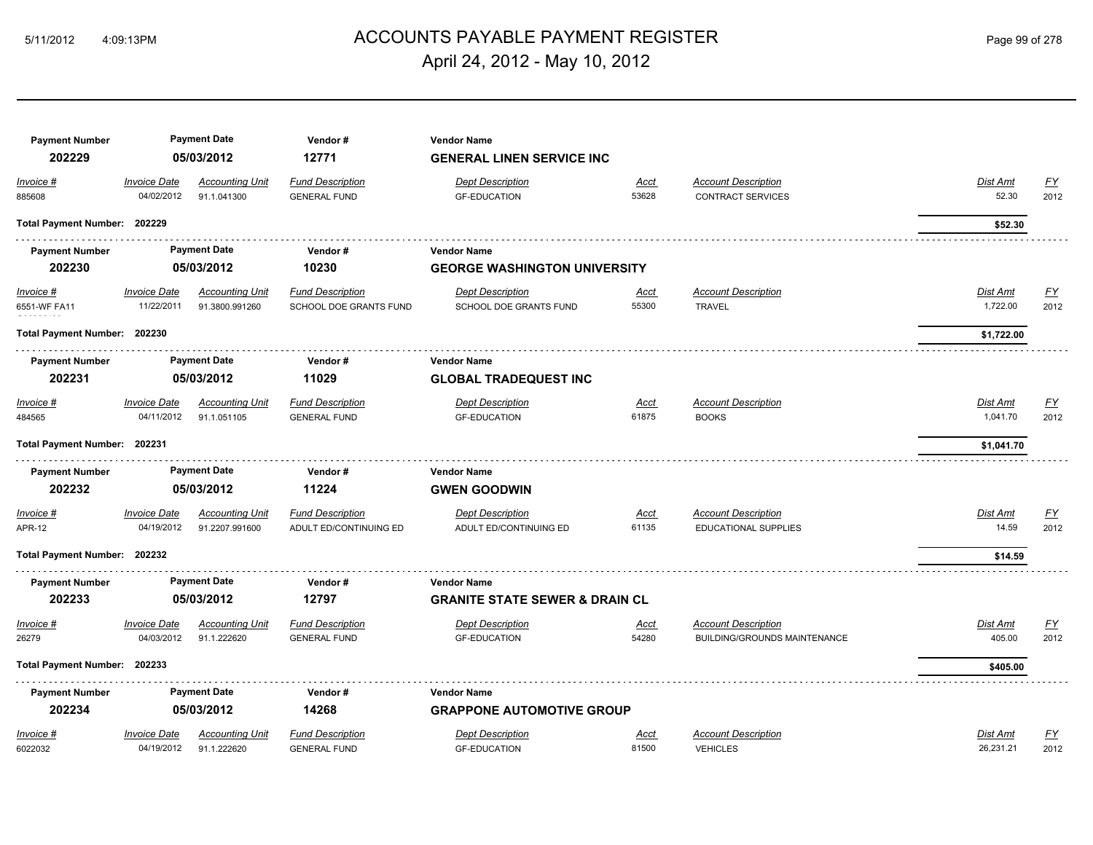# ACCOUNTS PAYABLE PAYMENT REGISTER 5/11/2012 4:09:13PM Page 99 of 278 April 24, 2012 - May 10, 2012

| <b>Payment Number</b>        |                     | <b>Payment Date</b><br>05/03/2012 | Vendor#                 | <b>Vendor Name</b>                        |             |                              |                 |                  |
|------------------------------|---------------------|-----------------------------------|-------------------------|-------------------------------------------|-------------|------------------------------|-----------------|------------------|
| 202229                       |                     |                                   | 12771                   | <b>GENERAL LINEN SERVICE INC</b>          |             |                              |                 |                  |
| Invoice #                    | <b>Invoice Date</b> | <b>Accounting Unit</b>            | <b>Fund Description</b> | <b>Dept Description</b>                   | <u>Acct</u> | <b>Account Description</b>   | Dist Amt        | $\underline{FY}$ |
| 885608                       | 04/02/2012          | 91.1.041300                       | <b>GENERAL FUND</b>     | <b>GF-EDUCATION</b>                       | 53628       | <b>CONTRACT SERVICES</b>     | 52.30           | 2012             |
| Total Payment Number: 202229 |                     |                                   |                         |                                           |             |                              | \$52.30         |                  |
| <b>Payment Number</b>        |                     | <b>Payment Date</b>               | Vendor#                 | <b>Vendor Name</b>                        |             |                              |                 |                  |
| 202230                       |                     | 05/03/2012                        | 10230                   | <b>GEORGE WASHINGTON UNIVERSITY</b>       |             |                              |                 |                  |
| $Invoice$ #                  | <b>Invoice Date</b> | <b>Accounting Unit</b>            | <b>Fund Description</b> | <b>Dept Description</b>                   | <u>Acct</u> | <b>Account Description</b>   | <u>Dist Amt</u> | <u>FY</u>        |
| 6551-WF FA11                 | 11/22/2011          | 91.3800.991260                    | SCHOOL DOE GRANTS FUND  | SCHOOL DOE GRANTS FUND                    | 55300       | <b>TRAVEL</b>                | 1,722.00        | 2012             |
| Total Payment Number: 202230 |                     |                                   |                         |                                           |             |                              |                 |                  |
|                              |                     |                                   |                         |                                           |             |                              | \$1,722.00      |                  |
| <b>Payment Number</b>        |                     | <b>Payment Date</b>               | Vendor#                 | <b>Vendor Name</b>                        |             |                              |                 |                  |
| 202231                       |                     | 05/03/2012                        | 11029                   | <b>GLOBAL TRADEQUEST INC</b>              |             |                              |                 |                  |
| Invoice #                    | <b>Invoice Date</b> | <b>Accounting Unit</b>            | <b>Fund Description</b> | <b>Dept Description</b>                   | <b>Acct</b> | <b>Account Description</b>   | Dist Amt        | $\underline{FY}$ |
| 484565                       | 04/11/2012          | 91.1.051105                       | <b>GENERAL FUND</b>     | <b>GF-EDUCATION</b>                       | 61875       | <b>BOOKS</b>                 | 1,041.70        | 2012             |
| Total Payment Number: 202231 |                     |                                   |                         |                                           |             |                              | \$1,041.70      |                  |
| <b>Payment Number</b>        |                     | <b>Payment Date</b>               | Vendor#                 | <b>Vendor Name</b>                        |             |                              |                 |                  |
| 202232                       |                     | 05/03/2012                        | 11224                   | <b>GWEN GOODWIN</b>                       |             |                              |                 |                  |
| Invoice #                    | <b>Invoice Date</b> | <b>Accounting Unit</b>            | <b>Fund Description</b> | <b>Dept Description</b>                   | <b>Acct</b> | <b>Account Description</b>   | Dist Amt        | $\underline{FY}$ |
| <b>APR-12</b>                | 04/19/2012          | 91.2207.991600                    | ADULT ED/CONTINUING ED  | ADULT ED/CONTINUING ED                    | 61135       | EDUCATIONAL SUPPLIES         | 14.59           | 2012             |
|                              |                     |                                   |                         |                                           |             |                              |                 |                  |
| Total Payment Number: 202232 |                     |                                   |                         |                                           |             |                              | \$14.59         |                  |
| <b>Payment Number</b>        |                     | <b>Payment Date</b>               | Vendor#                 | <b>Vendor Name</b>                        |             |                              |                 |                  |
| 202233                       |                     | 05/03/2012                        | 12797                   | <b>GRANITE STATE SEWER &amp; DRAIN CL</b> |             |                              |                 |                  |
| Invoice #                    | <b>Invoice Date</b> | <b>Accounting Unit</b>            | <b>Fund Description</b> | <b>Dept Description</b>                   | <b>Acct</b> | <b>Account Description</b>   | Dist Amt        | $\underline{FY}$ |
| 26279                        | 04/03/2012          | 91.1.222620                       | <b>GENERAL FUND</b>     | <b>GF-EDUCATION</b>                       | 54280       | BUILDING/GROUNDS MAINTENANCE | 405.00          | 2012             |
|                              |                     |                                   |                         |                                           |             |                              |                 |                  |
| Total Payment Number: 202233 |                     |                                   |                         |                                           |             |                              | \$405.00        |                  |
| <b>Payment Number</b>        |                     | <b>Payment Date</b>               | Vendor#                 | <b>Vendor Name</b>                        |             |                              |                 |                  |
| 202234                       |                     | 05/03/2012                        | 14268                   | <b>GRAPPONE AUTOMOTIVE GROUP</b>          |             |                              |                 |                  |
| Invoice #                    | <b>Invoice Date</b> | <b>Accounting Unit</b>            | <b>Fund Description</b> | <b>Dept Description</b>                   | <b>Acct</b> | <b>Account Description</b>   | Dist Amt        | $\underline{FY}$ |
| 6022032                      | 04/19/2012          | 91.1.222620                       | <b>GENERAL FUND</b>     | <b>GF-EDUCATION</b>                       | 81500       | <b>VEHICLES</b>              | 26,231.21       | 2012             |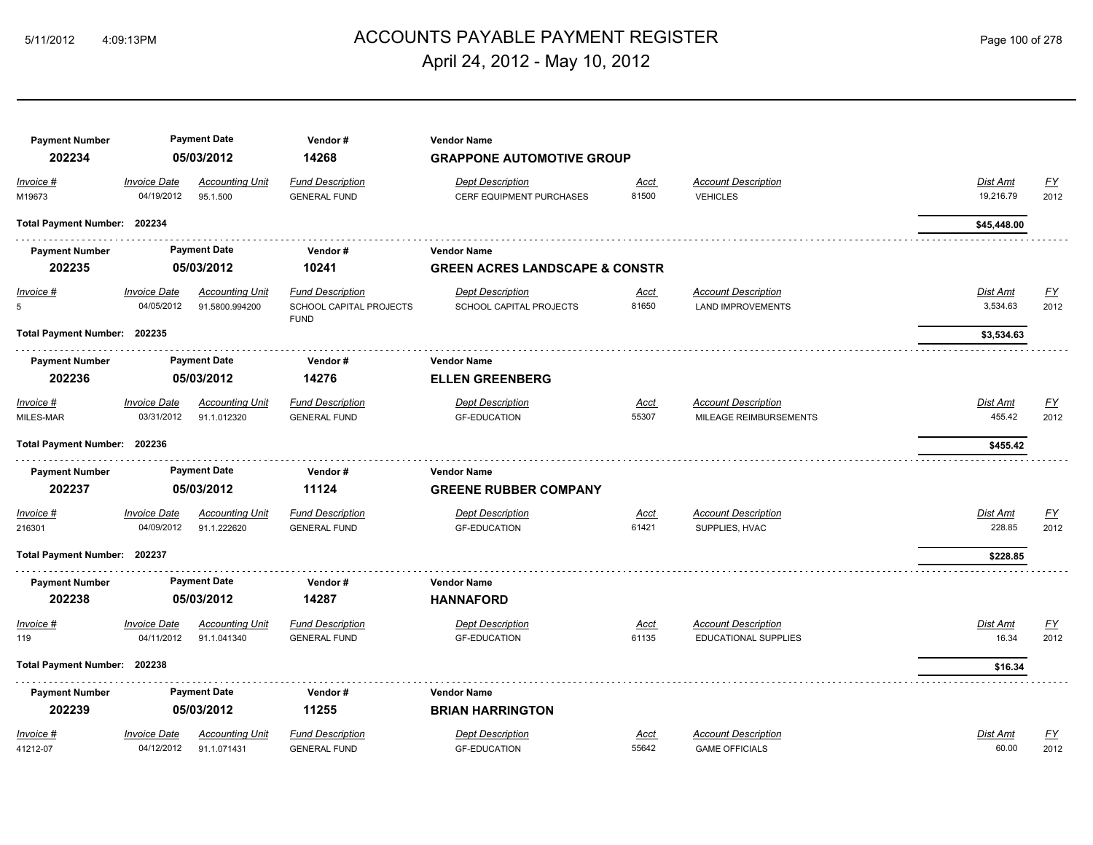# ACCOUNTS PAYABLE PAYMENT REGISTER 5/11/2012 4:09:13PM Page 100 of 278 April 24, 2012 - May 10, 2012

| <b>Payment Number</b><br>202234 |                                   | <b>Payment Date</b><br>05/03/2012        | Vendor#<br>14268                                                  | <b>Vendor Name</b><br><b>GRAPPONE AUTOMOTIVE GROUP</b>     |                      |                                                        |                       |                   |
|---------------------------------|-----------------------------------|------------------------------------------|-------------------------------------------------------------------|------------------------------------------------------------|----------------------|--------------------------------------------------------|-----------------------|-------------------|
| Invoice #<br>M19673             | <b>Invoice Date</b><br>04/19/2012 | <b>Accounting Unit</b><br>95.1.500       | <b>Fund Description</b><br><b>GENERAL FUND</b>                    | <b>Dept Description</b><br><b>CERF EQUIPMENT PURCHASES</b> | <u>Acct</u><br>81500 | <b>Account Description</b><br><b>VEHICLES</b>          | Dist Amt<br>19,216.79 | <u>FY</u><br>2012 |
| Total Payment Number: 202234    |                                   |                                          |                                                                   |                                                            |                      |                                                        | \$45,448.00           |                   |
| <b>Payment Number</b>           |                                   | <b>Payment Date</b>                      | Vendor#                                                           | <b>Vendor Name</b>                                         |                      |                                                        |                       |                   |
| 202235                          |                                   | 05/03/2012                               | 10241                                                             | <b>GREEN ACRES LANDSCAPE &amp; CONSTR</b>                  |                      |                                                        |                       |                   |
| <u>Invoice #</u><br>5           | <b>Invoice Date</b><br>04/05/2012 | <b>Accounting Unit</b><br>91.5800.994200 | <b>Fund Description</b><br>SCHOOL CAPITAL PROJECTS<br><b>FUND</b> | <b>Dept Description</b><br>SCHOOL CAPITAL PROJECTS         | <u>Acct</u><br>81650 | <b>Account Description</b><br><b>LAND IMPROVEMENTS</b> | Dist Amt<br>3,534.63  | <u>FY</u><br>2012 |
| Total Payment Number: 202235    |                                   |                                          |                                                                   |                                                            |                      |                                                        | \$3,534.63            |                   |
| <b>Payment Number</b>           |                                   | <b>Payment Date</b>                      | Vendor#                                                           | <b>Vendor Name</b>                                         |                      |                                                        |                       |                   |
| 202236                          |                                   | 05/03/2012                               | 14276                                                             | <b>ELLEN GREENBERG</b>                                     |                      |                                                        |                       |                   |
| Invoice #<br>MILES-MAR          | <b>Invoice Date</b><br>03/31/2012 | <b>Accounting Unit</b><br>91.1.012320    | <b>Fund Description</b><br><b>GENERAL FUND</b>                    | <b>Dept Description</b><br><b>GF-EDUCATION</b>             | <b>Acct</b><br>55307 | <b>Account Description</b><br>MILEAGE REIMBURSEMENTS   | Dist Amt<br>455.42    | <u>FY</u><br>2012 |
| Total Payment Number: 202236    |                                   |                                          |                                                                   |                                                            |                      |                                                        | \$455.42              |                   |
| <b>Payment Number</b><br>202237 |                                   | <b>Payment Date</b><br>05/03/2012        | Vendor#<br>11124                                                  | <b>Vendor Name</b><br><b>GREENE RUBBER COMPANY</b>         |                      |                                                        |                       |                   |
| Invoice #<br>216301             | <b>Invoice Date</b><br>04/09/2012 | <b>Accounting Unit</b><br>91.1.222620    | <b>Fund Description</b><br><b>GENERAL FUND</b>                    | <b>Dept Description</b><br><b>GF-EDUCATION</b>             | Acct<br>61421        | <b>Account Description</b><br>SUPPLIES, HVAC           | Dist Amt<br>228.85    | <u>FY</u><br>2012 |
| Total Payment Number: 202237    |                                   |                                          |                                                                   |                                                            |                      |                                                        | \$228.85              |                   |
| <b>Payment Number</b>           |                                   | <b>Payment Date</b>                      | Vendor#                                                           | <b>Vendor Name</b>                                         |                      |                                                        |                       |                   |
| 202238                          |                                   | 05/03/2012                               | 14287                                                             | <b>HANNAFORD</b>                                           |                      |                                                        |                       |                   |
| Invoice #<br>119                | <b>Invoice Date</b><br>04/11/2012 | <b>Accounting Unit</b><br>91.1.041340    | <b>Fund Description</b><br><b>GENERAL FUND</b>                    | <b>Dept Description</b><br><b>GF-EDUCATION</b>             | <u>Acct</u><br>61135 | <b>Account Description</b><br>EDUCATIONAL SUPPLIES     | Dist Amt<br>16.34     | <u>FY</u><br>2012 |
| Total Payment Number: 202238    |                                   |                                          |                                                                   |                                                            |                      |                                                        | \$16.34               |                   |
| <b>Payment Number</b>           |                                   | <b>Payment Date</b>                      | Vendor#                                                           | <b>Vendor Name</b>                                         |                      |                                                        |                       |                   |
|                                 |                                   |                                          |                                                                   |                                                            |                      |                                                        |                       |                   |
| 202239                          |                                   | 05/03/2012                               | 11255                                                             | <b>BRIAN HARRINGTON</b>                                    |                      |                                                        |                       |                   |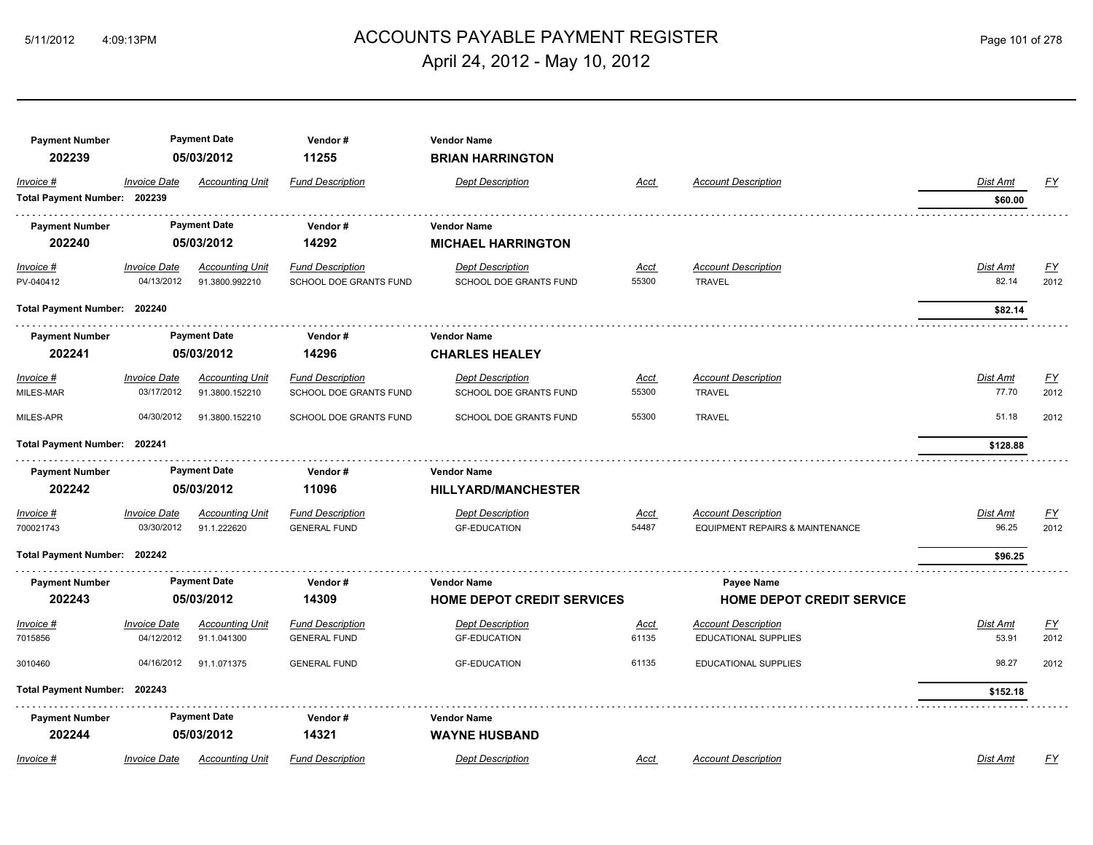# ACCOUNTS PAYABLE PAYMENT REGISTER 5/11/2012 4:09:13PM Page 101 of 278 April 24, 2012 - May 10, 2012

| <b>Payment Number</b><br>202239           |                                          | <b>Payment Date</b><br>05/03/2012        | Vendor#<br>11255                                  | <b>Vendor Name</b><br><b>BRIAN HARRINGTON</b>           |                      |                                                                          |                          |                   |
|-------------------------------------------|------------------------------------------|------------------------------------------|---------------------------------------------------|---------------------------------------------------------|----------------------|--------------------------------------------------------------------------|--------------------------|-------------------|
| Invoice #<br>Total Payment Number: 202239 | <b>Invoice Date</b>                      | <b>Accounting Unit</b>                   | <b>Fund Description</b>                           | <b>Dept Description</b>                                 | Acct                 | <b>Account Description</b>                                               | Dist Amt<br>\$60.00      | $\underline{FY}$  |
| <b>Payment Number</b><br>202240           |                                          | <b>Payment Date</b><br>05/03/2012        | Vendor#<br>14292                                  | <b>Vendor Name</b><br><b>MICHAEL HARRINGTON</b>         |                      |                                                                          |                          |                   |
| $Invoice$ #<br>PV-040412                  | <b>Invoice Date</b><br>04/13/2012        | <b>Accounting Unit</b><br>91.3800.992210 | <b>Fund Description</b><br>SCHOOL DOE GRANTS FUND | <b>Dept Description</b><br>SCHOOL DOE GRANTS FUND       | Acct<br>55300        | <b>Account Description</b><br><b>TRAVEL</b>                              | <b>Dist Amt</b><br>82.14 | EY<br>2012        |
| Total Payment Number: 202240              |                                          |                                          |                                                   |                                                         |                      |                                                                          | \$82.14                  |                   |
| <b>Payment Number</b><br>202241           |                                          | <b>Payment Date</b><br>05/03/2012        | Vendor#<br>14296                                  | Vendor Name<br><b>CHARLES HEALEY</b>                    |                      |                                                                          |                          |                   |
| Invoice #<br>MILES-MAR                    | <b>Invoice Date</b><br>03/17/2012        | <b>Accounting Unit</b><br>91.3800.152210 | <b>Fund Description</b><br>SCHOOL DOE GRANTS FUND | <b>Dept Description</b><br>SCHOOL DOE GRANTS FUND       | Acct<br>55300        | <b>Account Description</b><br><b>TRAVEL</b>                              | Dist Amt<br>77.70        | <u>FY</u><br>2012 |
| MILES-APR                                 | 04/30/2012                               | 91.3800.152210                           | SCHOOL DOE GRANTS FUND                            | SCHOOL DOE GRANTS FUND                                  | 55300                | <b>TRAVEL</b>                                                            | 51.18                    | 2012              |
| Total Payment Number: 202241              |                                          |                                          |                                                   |                                                         |                      |                                                                          | \$128.88                 |                   |
| <b>Payment Number</b><br>202242           |                                          | <b>Payment Date</b><br>05/03/2012        | Vendor#<br>11096                                  | <b>Vendor Name</b><br><b>HILLYARD/MANCHESTER</b>        |                      |                                                                          |                          |                   |
| Invoice #<br>700021743                    | <i><b>Invoice Date</b></i><br>03/30/2012 | <b>Accounting Unit</b><br>91.1.222620    | <b>Fund Description</b><br><b>GENERAL FUND</b>    | <b>Dept Description</b><br><b>GF-EDUCATION</b>          | <u>Acct</u><br>54487 | <b>Account Description</b><br><b>EQUIPMENT REPAIRS &amp; MAINTENANCE</b> | Dist Amt<br>96.25        | <u>FY</u><br>2012 |
| Total Payment Number: 202242              |                                          |                                          |                                                   |                                                         |                      |                                                                          | \$96.25                  |                   |
| <b>Payment Number</b><br>202243           |                                          | <b>Payment Date</b><br>05/03/2012        | Vendor#<br>14309                                  | <b>Vendor Name</b><br><b>HOME DEPOT CREDIT SERVICES</b> |                      | Payee Name<br><b>HOME DEPOT CREDIT SERVICE</b>                           |                          |                   |
| Invoice #                                 | <b>Invoice Date</b>                      | <b>Accounting Unit</b>                   | <b>Fund Description</b>                           | <b>Dept Description</b>                                 | Acct                 | <b>Account Description</b>                                               | Dist Amt                 | <u>FY</u>         |
| 7015856                                   | 04/12/2012                               | 91.1.041300                              | <b>GENERAL FUND</b>                               | <b>GF-EDUCATION</b>                                     | 61135                | <b>EDUCATIONAL SUPPLIES</b>                                              | 53.91                    | 2012              |
| 3010460                                   | 04/16/2012                               | 91.1.071375                              | <b>GENERAL FUND</b>                               | <b>GF-EDUCATION</b>                                     | 61135                | <b>EDUCATIONAL SUPPLIES</b>                                              | 98.27                    | 2012              |
| <b>Total Payment Number:</b>              | 202243                                   |                                          |                                                   |                                                         |                      |                                                                          | \$152.18                 |                   |
| <b>Payment Number</b>                     |                                          | <b>Payment Date</b>                      | Vendor#                                           | <b>Vendor Name</b>                                      |                      |                                                                          |                          |                   |
| 202244                                    |                                          | 05/03/2012                               | 14321                                             | <b>WAYNE HUSBAND</b>                                    |                      |                                                                          |                          |                   |
| Invoice #                                 | <b>Invoice Date</b>                      | <b>Accounting Unit</b>                   | <b>Fund Description</b>                           | <b>Dept Description</b>                                 | Acct                 | <b>Account Description</b>                                               | Dist Amt                 | <u>FY</u>         |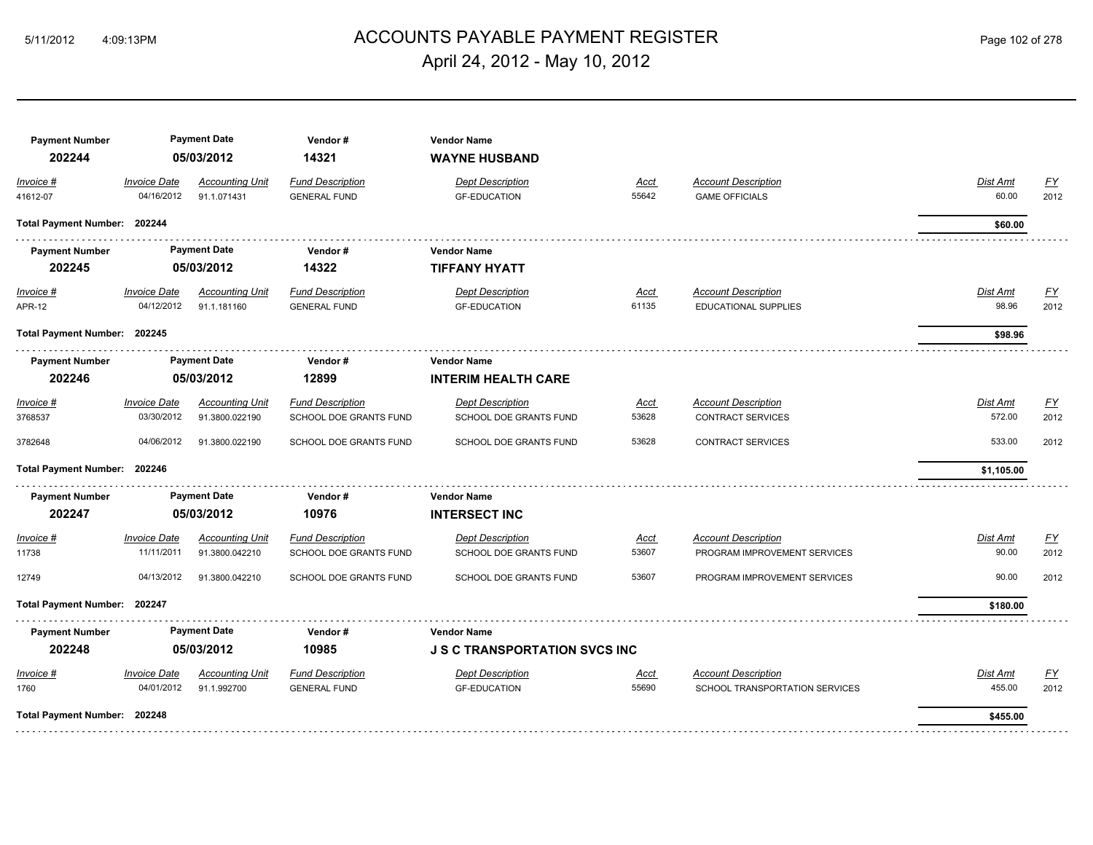# ACCOUNTS PAYABLE PAYMENT REGISTER 5/11/2012 4:09:13PM Page 102 of 278 April 24, 2012 - May 10, 2012

| <b>Payment Number</b><br>202244 | <b>Payment Date</b><br>05/03/2012        |                                          | Vendor#<br><b>Vendor Name</b><br>14321<br><b>WAYNE HUSBAND</b> |                                                   |                      |                                                            |                    |                   |  |
|---------------------------------|------------------------------------------|------------------------------------------|----------------------------------------------------------------|---------------------------------------------------|----------------------|------------------------------------------------------------|--------------------|-------------------|--|
| Invoice #<br>41612-07           | <b>Invoice Date</b><br>04/16/2012        | <b>Accounting Unit</b><br>91.1.071431    | <b>Fund Description</b><br><b>GENERAL FUND</b>                 | <b>Dept Description</b><br><b>GF-EDUCATION</b>    | <b>Acct</b><br>55642 | <b>Account Description</b><br><b>GAME OFFICIALS</b>        | Dist Amt<br>60.00  | <u>FY</u><br>2012 |  |
| Total Payment Number: 202244    |                                          |                                          |                                                                |                                                   |                      |                                                            | \$60.00            |                   |  |
| <b>Payment Number</b>           |                                          | <b>Payment Date</b>                      | Vendor#                                                        | <b>Vendor Name</b>                                |                      |                                                            |                    |                   |  |
| 202245                          |                                          | 05/03/2012                               | 14322                                                          | <b>TIFFANY HYATT</b>                              |                      |                                                            |                    |                   |  |
| <u>Invoice #</u>                | <b>Invoice Date</b>                      | <b>Accounting Unit</b>                   | <b>Fund Description</b>                                        | <b>Dept Description</b>                           | <u>Acct</u>          | <b>Account Description</b>                                 | Dist Amt           | EY                |  |
| <b>APR-12</b>                   | 04/12/2012                               | 91.1.181160                              | <b>GENERAL FUND</b>                                            | <b>GF-EDUCATION</b>                               | 61135                | <b>EDUCATIONAL SUPPLIES</b>                                | 98.96              | 2012              |  |
| Total Payment Number: 202245    |                                          |                                          |                                                                |                                                   |                      |                                                            | \$98.96            |                   |  |
| <b>Payment Number</b>           | <b>Payment Date</b>                      |                                          | Vendor#                                                        | <b>Vendor Name</b>                                |                      |                                                            |                    |                   |  |
| 202246                          | 05/03/2012                               |                                          | 12899                                                          | <b>INTERIM HEALTH CARE</b>                        |                      |                                                            |                    |                   |  |
| Invoice #<br>3768537            | <b>Invoice Date</b><br>03/30/2012        | <b>Accounting Unit</b><br>91.3800.022190 | <b>Fund Description</b><br>SCHOOL DOE GRANTS FUND              | <b>Dept Description</b><br>SCHOOL DOE GRANTS FUND | Acct<br>53628        | <b>Account Description</b><br><b>CONTRACT SERVICES</b>     | Dist Amt<br>572.00 | EY<br>2012        |  |
| 3782648                         | 04/06/2012                               | 91.3800.022190                           | SCHOOL DOE GRANTS FUND                                         | SCHOOL DOE GRANTS FUND                            | 53628                | <b>CONTRACT SERVICES</b>                                   | 533.00             | 2012              |  |
| Total Payment Number: 202246    |                                          |                                          |                                                                |                                                   |                      |                                                            | \$1,105.00         |                   |  |
| <b>Payment Number</b>           |                                          | <b>Payment Date</b>                      | Vendor#                                                        | <b>Vendor Name</b>                                |                      |                                                            |                    |                   |  |
| 202247                          |                                          | 05/03/2012                               | 10976                                                          | <b>INTERSECT INC</b>                              |                      |                                                            |                    |                   |  |
| Invoice #<br>11738              | <i><b>Invoice Date</b></i><br>11/11/2011 | <b>Accounting Unit</b><br>91.3800.042210 | <b>Fund Description</b><br>SCHOOL DOE GRANTS FUND              | <b>Dept Description</b><br>SCHOOL DOE GRANTS FUND | <u>Acct</u><br>53607 | <b>Account Description</b><br>PROGRAM IMPROVEMENT SERVICES | Dist Amt<br>90.00  | <u>FY</u><br>2012 |  |
| 12749                           | 04/13/2012                               | 91.3800.042210                           | SCHOOL DOE GRANTS FUND                                         | SCHOOL DOE GRANTS FUND                            | 53607                | PROGRAM IMPROVEMENT SERVICES                               | 90.00              | 2012              |  |
| Total Payment Number: 202247    |                                          |                                          |                                                                |                                                   |                      |                                                            | \$180.00           |                   |  |
| <b>Payment Number</b>           |                                          | <b>Payment Date</b>                      | Vendor#                                                        | <b>Vendor Name</b>                                |                      |                                                            |                    |                   |  |
| 202248                          |                                          | 05/03/2012                               | 10985                                                          | <b>J S C TRANSPORTATION SVCS INC</b>              |                      |                                                            |                    |                   |  |
| Invoice #                       | <i><b>Invoice Date</b></i>               | <b>Accounting Unit</b>                   | <b>Fund Description</b>                                        | <b>Dept Description</b>                           | Acct                 | <b>Account Description</b>                                 | Dist Amt           | <u>FY</u>         |  |
| 1760                            | 04/01/2012                               | 91.1.992700                              | <b>GENERAL FUND</b>                                            | <b>GF-EDUCATION</b>                               | 55690                | SCHOOL TRANSPORTATION SERVICES                             | 455.00             | 2012              |  |
| Total Payment Number: 202248    |                                          |                                          |                                                                |                                                   |                      |                                                            | \$455.00           |                   |  |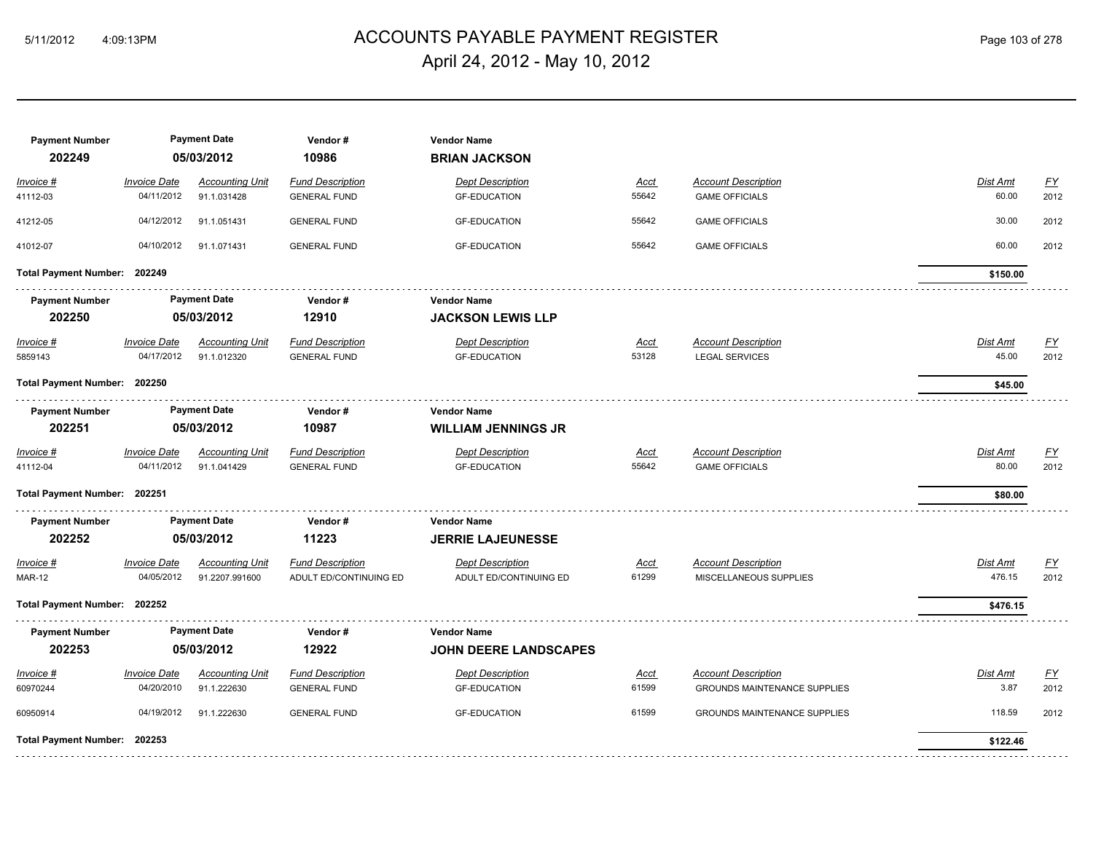# ACCOUNTS PAYABLE PAYMENT REGISTER 5/11/2012 4:09:13PM Page 103 of 278 April 24, 2012 - May 10, 2012

| <b>Payment Number</b><br>202249 |                     | <b>Payment Date</b><br>05/03/2012 | Vendor#<br>10986        | <b>Vendor Name</b><br><b>BRIAN JACKSON</b> |             |                                     |                 |                           |
|---------------------------------|---------------------|-----------------------------------|-------------------------|--------------------------------------------|-------------|-------------------------------------|-----------------|---------------------------|
| Invoice #                       | <b>Invoice Date</b> | <b>Accounting Unit</b>            | <b>Fund Description</b> | <b>Dept Description</b>                    | <u>Acct</u> | <b>Account Description</b>          | Dist Amt        | $\underline{\mathsf{FY}}$ |
| 41112-03                        | 04/11/2012          | 91.1.031428                       | <b>GENERAL FUND</b>     | <b>GF-EDUCATION</b>                        | 55642       | <b>GAME OFFICIALS</b>               | 60.00           | 2012                      |
| 41212-05                        | 04/12/2012          | 91.1.051431                       | <b>GENERAL FUND</b>     | <b>GF-EDUCATION</b>                        | 55642       | <b>GAME OFFICIALS</b>               | 30.00           | 2012                      |
| 41012-07                        | 04/10/2012          | 91.1.071431                       | <b>GENERAL FUND</b>     | <b>GF-EDUCATION</b>                        | 55642       | <b>GAME OFFICIALS</b>               | 60.00           | 2012                      |
| Total Payment Number: 202249    |                     |                                   |                         |                                            |             |                                     | \$150.00        |                           |
| <b>Payment Number</b>           |                     | <b>Payment Date</b>               | Vendor#                 | <b>Vendor Name</b>                         |             |                                     |                 |                           |
| 202250                          |                     | 05/03/2012                        | 12910                   | <b>JACKSON LEWIS LLP</b>                   |             |                                     |                 |                           |
| Invoice #                       | <b>Invoice Date</b> | <b>Accounting Unit</b>            | <b>Fund Description</b> | <b>Dept Description</b>                    | <u>Acct</u> | <b>Account Description</b>          | <b>Dist Amt</b> | <u>FY</u>                 |
| 5859143                         | 04/17/2012          | 91.1.012320                       | <b>GENERAL FUND</b>     | <b>GF-EDUCATION</b>                        | 53128       | <b>LEGAL SERVICES</b>               | 45.00           | 2012                      |
| Total Payment Number: 202250    |                     |                                   |                         |                                            |             |                                     | \$45.00         |                           |
| <b>Payment Number</b>           |                     | <b>Payment Date</b>               | Vendor#                 | <b>Vendor Name</b>                         |             |                                     |                 |                           |
| 202251                          |                     | 05/03/2012                        | 10987                   | <b>WILLIAM JENNINGS JR</b>                 |             |                                     |                 |                           |
| Invoice #                       | <b>Invoice Date</b> | <b>Accounting Unit</b>            | <b>Fund Description</b> | <b>Dept Description</b>                    | Acct        | <b>Account Description</b>          | Dist Amt        | <u>FY</u>                 |
| 41112-04                        | 04/11/2012          | 91.1.041429                       | <b>GENERAL FUND</b>     | <b>GF-EDUCATION</b>                        | 55642       | <b>GAME OFFICIALS</b>               | 80.00           | 2012                      |
| Total Payment Number: 202251    |                     |                                   |                         |                                            |             |                                     | \$80.00         |                           |
| <b>Payment Number</b>           |                     | <b>Payment Date</b>               | Vendor#                 | <b>Vendor Name</b>                         |             |                                     |                 |                           |
| 202252                          |                     | 05/03/2012                        | 11223                   | <b>JERRIE LAJEUNESSE</b>                   |             |                                     |                 |                           |
| Invoice #                       | <b>Invoice Date</b> | <b>Accounting Unit</b>            | <b>Fund Description</b> | <b>Dept Description</b>                    | Acct        | <b>Account Description</b>          | Dist Amt        | <u>FY</u>                 |
| <b>MAR-12</b>                   | 04/05/2012          | 91.2207.991600                    | ADULT ED/CONTINUING ED  | ADULT ED/CONTINUING ED                     | 61299       | MISCELLANEOUS SUPPLIES              | 476.15          | 2012                      |
| Total Payment Number: 202252    |                     |                                   |                         |                                            |             |                                     | \$476.15        |                           |
| <b>Payment Number</b>           |                     | <b>Payment Date</b>               | Vendor#                 | <b>Vendor Name</b>                         |             |                                     |                 |                           |
| 202253                          |                     | 05/03/2012                        | 12922                   | <b>JOHN DEERE LANDSCAPES</b>               |             |                                     |                 |                           |
| Invoice #                       | <b>Invoice Date</b> | <b>Accounting Unit</b>            | <b>Fund Description</b> | <b>Dept Description</b>                    | Acct        | <b>Account Description</b>          | Dist Amt        | $\underline{FY}$          |
| 60970244                        | 04/20/2010          | 91.1.222630                       | <b>GENERAL FUND</b>     | <b>GF-EDUCATION</b>                        | 61599       | <b>GROUNDS MAINTENANCE SUPPLIES</b> | 3.87            | 2012                      |
| 60950914                        | 04/19/2012          | 91.1.222630                       | <b>GENERAL FUND</b>     | <b>GF-EDUCATION</b>                        | 61599       | <b>GROUNDS MAINTENANCE SUPPLIES</b> | 118.59          | 2012                      |
| Total Payment Number: 202253    |                     |                                   |                         |                                            |             |                                     | \$122.46        |                           |
|                                 |                     |                                   |                         |                                            |             |                                     |                 |                           |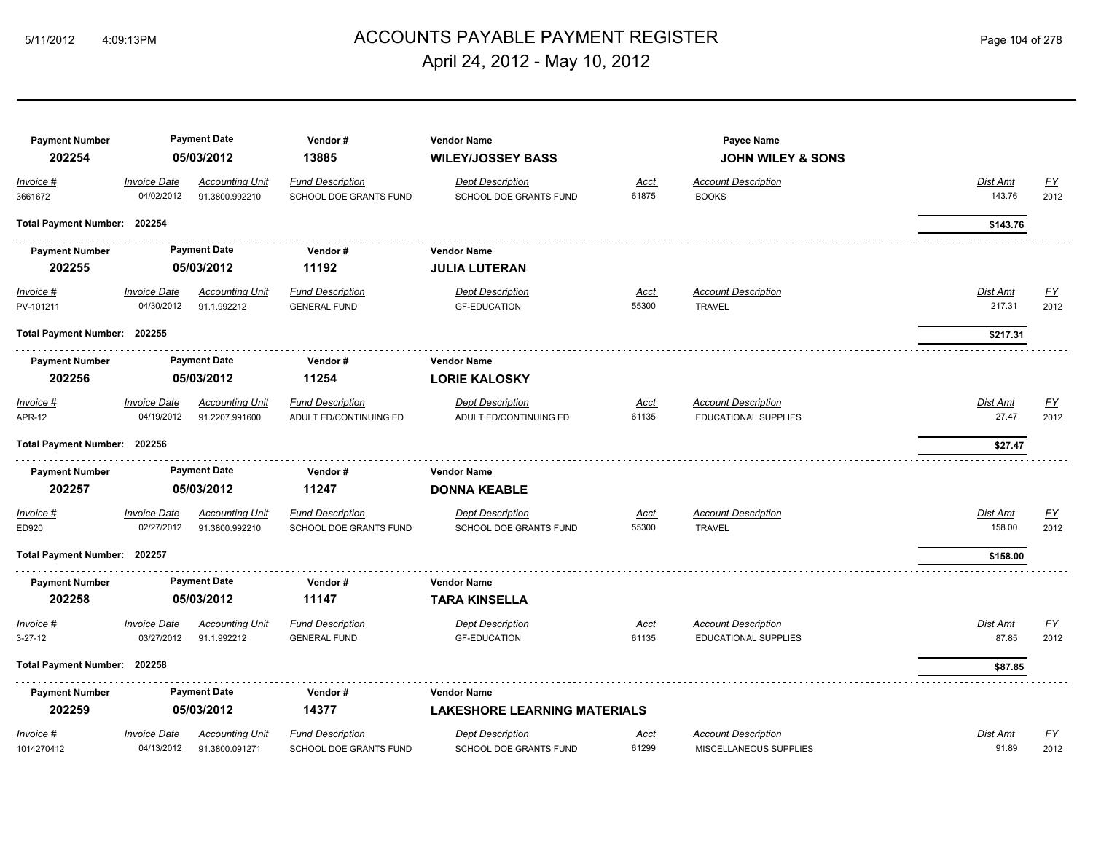# ACCOUNTS PAYABLE PAYMENT REGISTER 5/11/2012 4:09:13PM Page 104 of 278 April 24, 2012 - May 10, 2012

| <b>Payment Number</b><br>202254 |                                   | <b>Payment Date</b><br>05/03/2012        | Vendor#<br>13885                                  | <b>Vendor Name</b><br><b>WILEY/JOSSEY BASS</b>    |                      | Payee Name<br><b>JOHN WILEY &amp; SONS</b>                |                    |                   |
|---------------------------------|-----------------------------------|------------------------------------------|---------------------------------------------------|---------------------------------------------------|----------------------|-----------------------------------------------------------|--------------------|-------------------|
| Invoice #<br>3661672            | <b>Invoice Date</b><br>04/02/2012 | <b>Accounting Unit</b><br>91.3800.992210 | <b>Fund Description</b><br>SCHOOL DOE GRANTS FUND | <b>Dept Description</b><br>SCHOOL DOE GRANTS FUND | Acct<br>61875        | <b>Account Description</b><br><b>BOOKS</b>                | Dist Amt<br>143.76 | <u>FY</u><br>2012 |
| Total Payment Number: 202254    |                                   |                                          |                                                   |                                                   |                      |                                                           | \$143.76           |                   |
| <b>Payment Number</b>           |                                   | <b>Payment Date</b>                      | Vendor#                                           | <b>Vendor Name</b>                                |                      |                                                           |                    |                   |
| 202255                          |                                   | 05/03/2012                               | 11192                                             | <b>JULIA LUTERAN</b>                              |                      |                                                           |                    |                   |
| Invoice #<br>PV-101211          | <b>Invoice Date</b><br>04/30/2012 | <b>Accounting Unit</b><br>91.1.992212    | <b>Fund Description</b><br><b>GENERAL FUND</b>    | <b>Dept Description</b><br><b>GF-EDUCATION</b>    | <u>Acct</u><br>55300 | <b>Account Description</b><br><b>TRAVEL</b>               | Dist Amt<br>217.31 | <u>FY</u><br>2012 |
| Total Payment Number: 202255    |                                   |                                          |                                                   |                                                   |                      |                                                           | \$217.31           |                   |
| <b>Payment Number</b>           |                                   | <b>Payment Date</b>                      | Vendor#                                           | <b>Vendor Name</b>                                |                      |                                                           |                    |                   |
| 202256                          |                                   | 05/03/2012                               | 11254                                             | <b>LORIE KALOSKY</b>                              |                      |                                                           |                    |                   |
| Invoice #                       | <b>Invoice Date</b>               | <b>Accounting Unit</b>                   | <b>Fund Description</b>                           | <b>Dept Description</b>                           | <u>Acct</u>          | <b>Account Description</b>                                | Dist Amt           | <u>FY</u>         |
| <b>APR-12</b>                   | 04/19/2012                        | 91.2207.991600                           | ADULT ED/CONTINUING ED                            | ADULT ED/CONTINUING ED                            | 61135                | <b>EDUCATIONAL SUPPLIES</b>                               | 27.47              | 2012              |
| Total Payment Number: 202256    |                                   |                                          |                                                   |                                                   |                      |                                                           | \$27.47            |                   |
| <b>Payment Number</b><br>202257 |                                   | <b>Payment Date</b><br>05/03/2012        | Vendor#<br>11247                                  | <b>Vendor Name</b><br><b>DONNA KEABLE</b>         |                      |                                                           |                    |                   |
| Invoice #                       | <b>Invoice Date</b>               | <b>Accounting Unit</b>                   | <b>Fund Description</b>                           | <b>Dept Description</b>                           | Acct                 | <b>Account Description</b>                                | Dist Amt           | $\underline{FY}$  |
| ED920                           | 02/27/2012                        | 91.3800.992210                           | <b>SCHOOL DOE GRANTS FUND</b>                     | <b>SCHOOL DOE GRANTS FUND</b>                     | 55300                | <b>TRAVEL</b>                                             | 158.00             | 2012              |
| Total Payment Number: 202257    |                                   |                                          |                                                   |                                                   |                      |                                                           | \$158.00           |                   |
| <b>Payment Number</b>           |                                   | <b>Payment Date</b>                      | Vendor#                                           | <b>Vendor Name</b>                                |                      |                                                           |                    |                   |
| 202258                          |                                   | 05/03/2012                               | 11147                                             | <b>TARA KINSELLA</b>                              |                      |                                                           |                    |                   |
| Invoice #<br>$3 - 27 - 12$      | <b>Invoice Date</b><br>03/27/2012 | <b>Accounting Unit</b><br>91.1.992212    | <b>Fund Description</b><br><b>GENERAL FUND</b>    | <b>Dept Description</b><br><b>GF-EDUCATION</b>    | <u>Acct</u><br>61135 | <b>Account Description</b><br><b>EDUCATIONAL SUPPLIES</b> | Dist Amt<br>87.85  | <u>FY</u><br>2012 |
| Total Payment Number: 202258    |                                   |                                          |                                                   |                                                   |                      |                                                           | \$87.85            |                   |
| <b>Payment Number</b>           |                                   | <b>Payment Date</b>                      | Vendor#                                           | <b>Vendor Name</b>                                |                      |                                                           |                    |                   |
| 202259                          |                                   | 05/03/2012                               | 14377                                             | <b>LAKESHORE LEARNING MATERIALS</b>               |                      |                                                           |                    |                   |
| Invoice #                       | <b>Invoice Date</b>               | <b>Accounting Unit</b>                   | <b>Fund Description</b>                           | <b>Dept Description</b>                           | <u>Acct</u>          | <b>Account Description</b>                                | Dist Amt           | $\underline{FY}$  |
| 1014270412                      | 04/13/2012                        | 91.3800.091271                           | SCHOOL DOE GRANTS FUND                            | SCHOOL DOE GRANTS FUND                            | 61299                | MISCELLANEOUS SUPPLIES                                    | 91.89              | 2012              |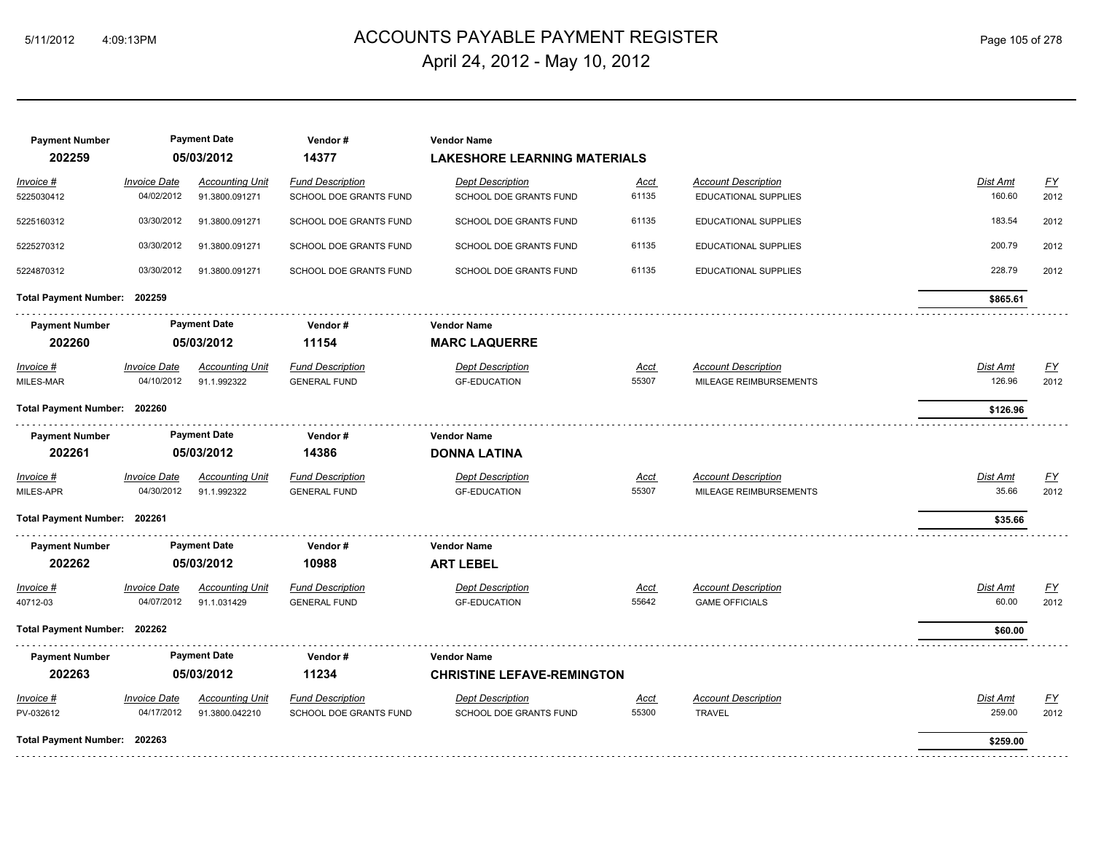# ACCOUNTS PAYABLE PAYMENT REGISTER 5/11/2012 4:09:13PM Page 105 of 278 April 24, 2012 - May 10, 2012

| <b>Payment Number</b><br>202259 |                            | <b>Payment Date</b><br>05/03/2012 | Vendor#<br>14377        | <b>Vendor Name</b><br><b>LAKESHORE LEARNING MATERIALS</b> |             |                             |                 |                           |
|---------------------------------|----------------------------|-----------------------------------|-------------------------|-----------------------------------------------------------|-------------|-----------------------------|-----------------|---------------------------|
| Invoice #                       | <b>Invoice Date</b>        | <b>Accounting Unit</b>            | <b>Fund Description</b> | <b>Dept Description</b>                                   | Acct        | <b>Account Description</b>  | Dist Amt        | EY                        |
| 5225030412                      | 04/02/2012                 | 91.3800.091271                    | SCHOOL DOE GRANTS FUND  | SCHOOL DOE GRANTS FUND                                    | 61135       | <b>EDUCATIONAL SUPPLIES</b> | 160.60          | 2012                      |
| 5225160312                      | 03/30/2012                 | 91.3800.091271                    | SCHOOL DOE GRANTS FUND  | SCHOOL DOE GRANTS FUND                                    | 61135       | <b>EDUCATIONAL SUPPLIES</b> | 183.54          | 2012                      |
| 5225270312                      | 03/30/2012                 | 91.3800.091271                    | SCHOOL DOE GRANTS FUND  | SCHOOL DOE GRANTS FUND                                    | 61135       | <b>EDUCATIONAL SUPPLIES</b> | 200.79          | 2012                      |
| 5224870312                      | 03/30/2012                 | 91.3800.091271                    | SCHOOL DOE GRANTS FUND  | SCHOOL DOE GRANTS FUND                                    | 61135       | <b>EDUCATIONAL SUPPLIES</b> | 228.79          | 2012                      |
| Total Payment Number: 202259    |                            |                                   |                         |                                                           |             |                             | \$865.61        |                           |
| <b>Payment Number</b>           |                            | <b>Payment Date</b>               | Vendor#                 | <b>Vendor Name</b>                                        |             |                             |                 |                           |
| 202260                          |                            | 05/03/2012                        | 11154                   | <b>MARC LAQUERRE</b>                                      |             |                             |                 |                           |
| <u>Invoice #</u>                | <b>Invoice Date</b>        | <b>Accounting Unit</b>            | <b>Fund Description</b> | <b>Dept Description</b>                                   | <u>Acct</u> | <b>Account Description</b>  | <b>Dist Amt</b> | $\underline{\mathsf{FY}}$ |
| MILES-MAR                       | 04/10/2012                 | 91.1.992322                       | <b>GENERAL FUND</b>     | <b>GF-EDUCATION</b>                                       | 55307       | MILEAGE REIMBURSEMENTS      | 126.96          | 2012                      |
| Total Payment Number: 202260    |                            |                                   |                         |                                                           |             |                             | \$126.96        |                           |
| <b>Payment Number</b>           |                            | <b>Payment Date</b>               | Vendor#                 | <b>Vendor Name</b>                                        |             |                             |                 |                           |
| 202261                          |                            | 05/03/2012                        | 14386                   | <b>DONNA LATINA</b>                                       |             |                             |                 |                           |
| Invoice #                       | <b>Invoice Date</b>        | <b>Accounting Unit</b>            | <b>Fund Description</b> | <b>Dept Description</b>                                   | <u>Acct</u> | <b>Account Description</b>  | Dist Amt        | $\underline{\mathsf{FY}}$ |
| MILES-APR                       | 04/30/2012                 | 91.1.992322                       | <b>GENERAL FUND</b>     | <b>GF-EDUCATION</b>                                       | 55307       | MILEAGE REIMBURSEMENTS      | 35.66           | 2012                      |
| Total Payment Number: 202261    |                            |                                   |                         |                                                           |             |                             | \$35.66         |                           |
| <b>Payment Number</b>           |                            | <b>Payment Date</b>               | Vendor#                 | <b>Vendor Name</b>                                        |             |                             |                 |                           |
| 202262                          |                            | 05/03/2012                        | 10988                   | <b>ART LEBEL</b>                                          |             |                             |                 |                           |
| Invoice #                       | <b>Invoice Date</b>        | <b>Accounting Unit</b>            | <b>Fund Description</b> | <b>Dept Description</b>                                   | Acct        | <b>Account Description</b>  | Dist Amt        | $\underline{FY}$          |
| 40712-03                        | 04/07/2012                 | 91.1.031429                       | <b>GENERAL FUND</b>     | <b>GF-EDUCATION</b>                                       | 55642       | <b>GAME OFFICIALS</b>       | 60.00           | 2012                      |
| Total Payment Number: 202262    |                            |                                   |                         |                                                           |             |                             | \$60.00         |                           |
| <b>Payment Number</b>           |                            | <b>Payment Date</b>               | Vendor#                 | <b>Vendor Name</b>                                        |             |                             |                 |                           |
| 202263                          |                            | 05/03/2012                        | 11234                   | <b>CHRISTINE LEFAVE-REMINGTON</b>                         |             |                             |                 |                           |
| Invoice #                       | <i><b>Invoice Date</b></i> | <b>Accounting Unit</b>            | <b>Fund Description</b> | <b>Dept Description</b>                                   | Acct        | <b>Account Description</b>  | Dist Amt        | <u>FY</u>                 |
| PV-032612                       | 04/17/2012                 | 91.3800.042210                    | SCHOOL DOE GRANTS FUND  | SCHOOL DOE GRANTS FUND                                    | 55300       | <b>TRAVEL</b>               | 259.00          | 2012                      |
| Total Payment Number: 202263    |                            |                                   |                         |                                                           |             |                             | \$259.00        |                           |
|                                 |                            |                                   |                         |                                                           |             |                             |                 |                           |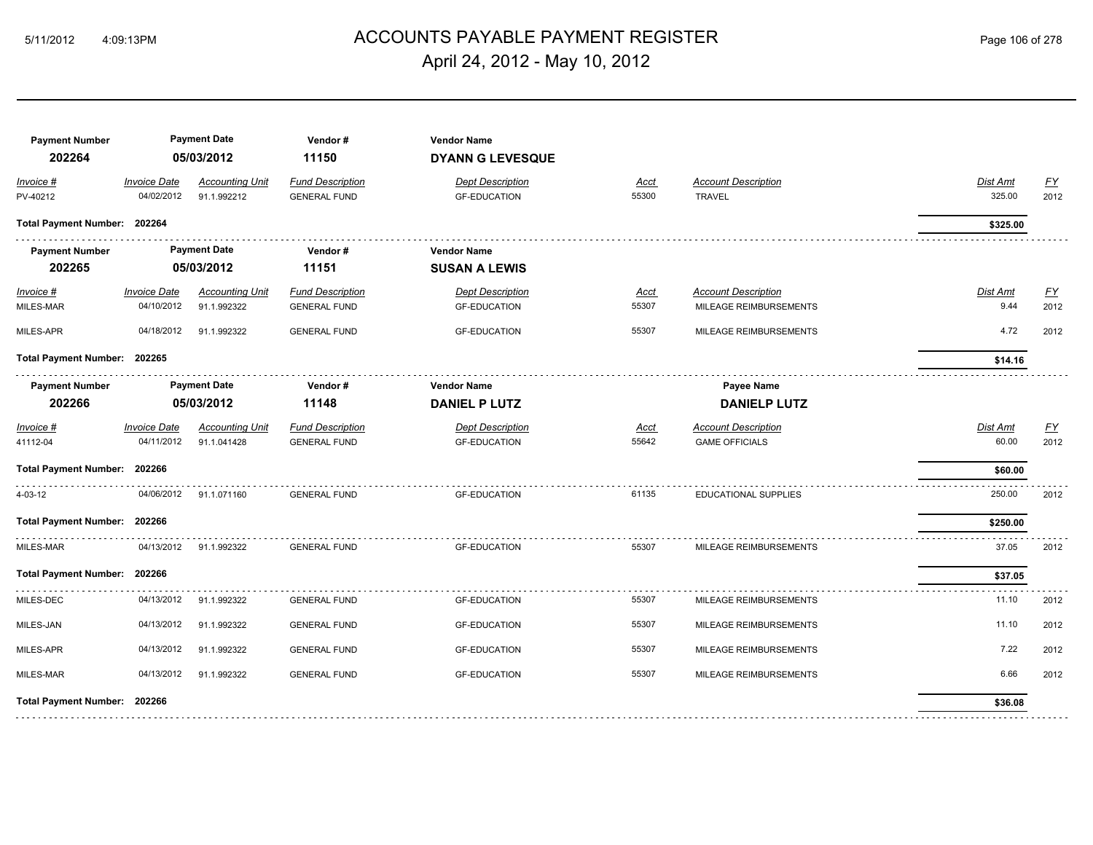# ACCOUNTS PAYABLE PAYMENT REGISTER 5/11/2012 4:09:13PM Page 106 of 278 April 24, 2012 - May 10, 2012

| <b>Payment Number</b><br>202264 |                                   | <b>Payment Date</b><br>05/03/2012     | Vendor#<br>11150                               | <b>Vendor Name</b><br><b>DYANN G LEVESQUE</b>  |               |                                                      |                         |                          |
|---------------------------------|-----------------------------------|---------------------------------------|------------------------------------------------|------------------------------------------------|---------------|------------------------------------------------------|-------------------------|--------------------------|
| Invoice #<br>PV-40212           | <b>Invoice Date</b><br>04/02/2012 | <b>Accounting Unit</b><br>91.1.992212 | <b>Fund Description</b><br><b>GENERAL FUND</b> | <b>Dept Description</b><br><b>GF-EDUCATION</b> | Acct<br>55300 | <b>Account Description</b><br><b>TRAVEL</b>          | Dist Amt<br>325.00      | <u>FY</u><br>2012        |
| Total Payment Number: 202264    |                                   |                                       |                                                |                                                |               |                                                      | \$325.00                |                          |
| <b>Payment Number</b><br>202265 |                                   | <b>Payment Date</b><br>05/03/2012     | Vendor#<br>11151                               | <b>Vendor Name</b><br><b>SUSAN A LEWIS</b>     |               |                                                      |                         |                          |
| Invoice #<br>MILES-MAR          | <b>Invoice Date</b><br>04/10/2012 | <b>Accounting Unit</b><br>91.1.992322 | <b>Fund Description</b><br><b>GENERAL FUND</b> | <b>Dept Description</b><br><b>GF-EDUCATION</b> | Acct<br>55307 | <b>Account Description</b><br>MILEAGE REIMBURSEMENTS | <b>Dist Amt</b><br>9.44 | EY<br>2012               |
| MILES-APR                       | 04/18/2012                        | 91.1.992322                           | <b>GENERAL FUND</b>                            | <b>GF-EDUCATION</b>                            | 55307         | MILEAGE REIMBURSEMENTS                               | 4.72                    | 2012                     |
| Total Payment Number: 202265    |                                   |                                       |                                                |                                                |               |                                                      | \$14.16                 |                          |
| <b>Payment Number</b><br>202266 |                                   | <b>Payment Date</b><br>05/03/2012     | Vendor#<br>11148                               | <b>Vendor Name</b><br><b>DANIEL P LUTZ</b>     |               | Payee Name<br><b>DANIELP LUTZ</b>                    |                         |                          |
| Invoice #<br>41112-04           | <b>Invoice Date</b><br>04/11/2012 | <b>Accounting Unit</b><br>91.1.041428 | <b>Fund Description</b><br><b>GENERAL FUND</b> | <b>Dept Description</b><br><b>GF-EDUCATION</b> | Acct<br>55642 | <b>Account Description</b><br><b>GAME OFFICIALS</b>  | Dist Amt<br>60.00       | $\underline{FY}$<br>2012 |
| Total Payment Number: 202266    |                                   |                                       |                                                |                                                |               |                                                      | \$60.00                 |                          |
| 4-03-12                         | 04/06/2012                        | 91.1.071160                           | <b>GENERAL FUND</b>                            | <b>GF-EDUCATION</b>                            | 61135         | EDUCATIONAL SUPPLIES                                 | 250.00                  | 2012                     |
| <b>Total Payment Number:</b>    | 202266                            |                                       |                                                |                                                |               |                                                      | \$250.00                |                          |
| MILES-MAR                       | 04/13/2012                        | 91.1.992322                           | <b>GENERAL FUND</b>                            | <b>GF-EDUCATION</b>                            | 55307         | MILEAGE REIMBURSEMENTS                               | 37.05                   | 2012                     |
| Total Payment Number: 202266    |                                   |                                       |                                                |                                                |               |                                                      | \$37.05                 |                          |
| MILES-DEC                       | 04/13/2012                        | 91.1.992322                           | <b>GENERAL FUND</b>                            | <b>GF-EDUCATION</b>                            | 55307         | MILEAGE REIMBURSEMENTS                               | 11.10                   | 2012                     |
| MILES-JAN                       | 04/13/2012                        | 91.1.992322                           | <b>GENERAL FUND</b>                            | <b>GF-EDUCATION</b>                            | 55307         | MILEAGE REIMBURSEMENTS                               | 11.10                   | 2012                     |
| MILES-APR                       | 04/13/2012                        | 91.1.992322                           | <b>GENERAL FUND</b>                            | <b>GF-EDUCATION</b>                            | 55307         | MILEAGE REIMBURSEMENTS                               | 7.22                    | 2012                     |
| MILES-MAR                       | 04/13/2012                        | 91.1.992322                           | <b>GENERAL FUND</b>                            | <b>GF-EDUCATION</b>                            | 55307         | MILEAGE REIMBURSEMENTS                               | 6.66                    | 2012                     |
| Total Payment Number: 202266    |                                   |                                       |                                                |                                                |               |                                                      | \$36.08                 |                          |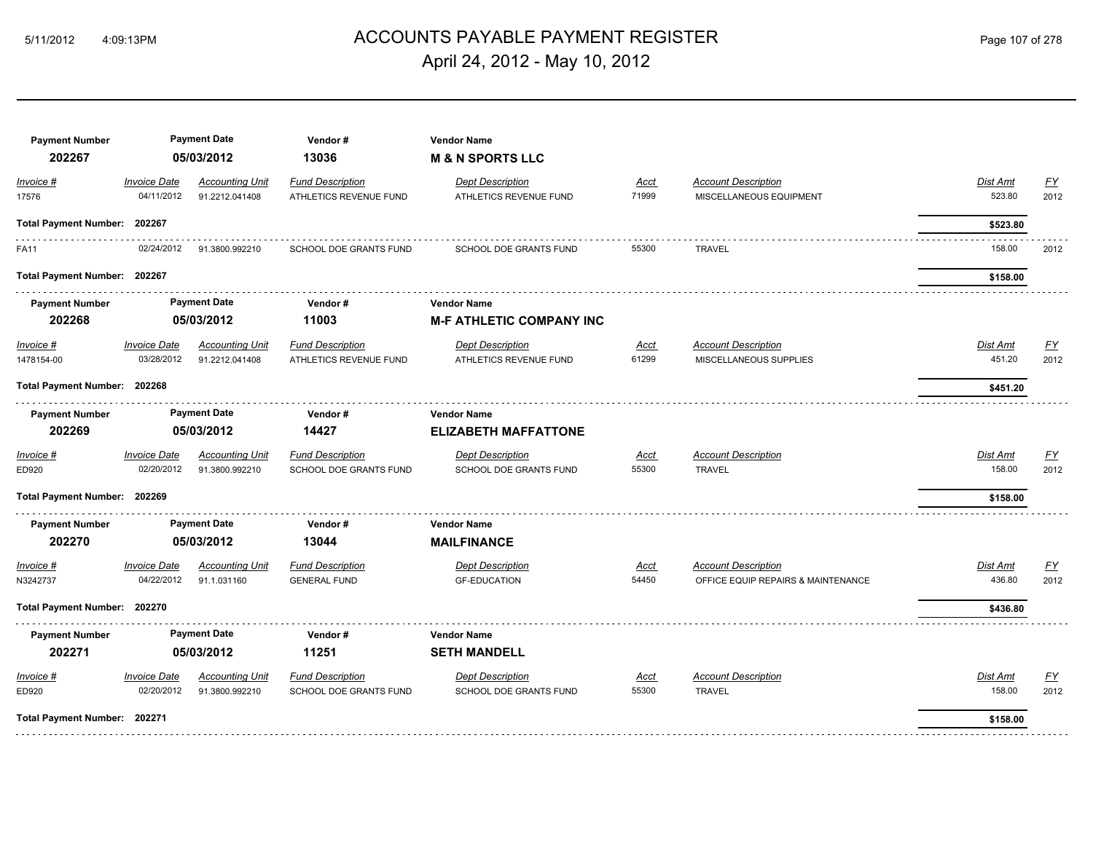# ACCOUNTS PAYABLE PAYMENT REGISTER 5/11/2012 4:09:13PM Page 107 of 278 April 24, 2012 - May 10, 2012

| <b>Payment Number</b><br>202267 |                     | <b>Payment Date</b><br>05/03/2012 | Vendor#<br>13036        | <b>Vendor Name</b><br><b>M &amp; N SPORTS LLC</b> |             |                                    |                 |                  |
|---------------------------------|---------------------|-----------------------------------|-------------------------|---------------------------------------------------|-------------|------------------------------------|-----------------|------------------|
| Invoice #                       | <b>Invoice Date</b> | <b>Accounting Unit</b>            | <b>Fund Description</b> | <b>Dept Description</b>                           | <u>Acct</u> | <b>Account Description</b>         | Dist Amt        | $\underline{FY}$ |
| 17576                           | 04/11/2012          | 91.2212.041408                    | ATHLETICS REVENUE FUND  | ATHLETICS REVENUE FUND                            | 71999       | MISCELLANEOUS EQUIPMENT            | 523.80          | 2012             |
| Total Payment Number: 202267    |                     |                                   |                         |                                                   |             |                                    | \$523.80        |                  |
| <b>FA11</b>                     | 02/24/2012          | 91.3800.992210                    | SCHOOL DOE GRANTS FUND  | SCHOOL DOE GRANTS FUND                            | 55300       | <b>TRAVEL</b>                      | 158.00          | 2012             |
| Total Payment Number: 202267    |                     |                                   |                         |                                                   |             |                                    | \$158.00        |                  |
| <b>Payment Number</b>           |                     | <b>Payment Date</b>               | Vendor#                 | <b>Vendor Name</b>                                |             |                                    |                 |                  |
| 202268                          |                     | 05/03/2012                        | 11003                   | <b>M-F ATHLETIC COMPANY INC</b>                   |             |                                    |                 |                  |
| Invoice #                       | <b>Invoice Date</b> | <b>Accounting Unit</b>            | <b>Fund Description</b> | <b>Dept Description</b>                           | <u>Acct</u> | <b>Account Description</b>         | <b>Dist Amt</b> | EY               |
| 1478154-00                      | 03/28/2012          | 91.2212.041408                    | ATHLETICS REVENUE FUND  | ATHLETICS REVENUE FUND                            | 61299       | MISCELLANEOUS SUPPLIES             | 451.20          | 2012             |
| Total Payment Number: 202268    |                     |                                   |                         |                                                   |             |                                    | \$451.20        |                  |
| <b>Payment Number</b>           |                     | <b>Payment Date</b>               | Vendor#                 | <b>Vendor Name</b>                                |             |                                    |                 |                  |
| 202269                          |                     | 05/03/2012                        | 14427                   | <b>ELIZABETH MAFFATTONE</b>                       |             |                                    |                 |                  |
| Invoice #                       | <b>Invoice Date</b> | <b>Accounting Unit</b>            | <b>Fund Description</b> | <b>Dept Description</b>                           | Acct        | <b>Account Description</b>         | Dist Amt        | $\underline{FY}$ |
| ED920                           | 02/20/2012          | 91.3800.992210                    | SCHOOL DOE GRANTS FUND  | <b>SCHOOL DOE GRANTS FUND</b>                     | 55300       | <b>TRAVEL</b>                      | 158.00          | 2012             |
| Total Payment Number: 202269    |                     |                                   |                         |                                                   |             |                                    | \$158.00        |                  |
| <b>Payment Number</b>           |                     | <b>Payment Date</b>               | Vendor#                 | <b>Vendor Name</b>                                |             |                                    |                 |                  |
| 202270                          |                     | 05/03/2012                        | 13044                   | <b>MAILFINANCE</b>                                |             |                                    |                 |                  |
| Invoice #                       | <b>Invoice Date</b> | <b>Accounting Unit</b>            | <b>Fund Description</b> | <b>Dept Description</b>                           | Acct        | <b>Account Description</b>         | Dist Amt        | EY               |
| N3242737                        | 04/22/2012          | 91.1.031160                       | <b>GENERAL FUND</b>     | <b>GF-EDUCATION</b>                               | 54450       | OFFICE EQUIP REPAIRS & MAINTENANCE | 436.80          | 2012             |
| Total Payment Number: 202270    |                     |                                   |                         |                                                   |             |                                    | \$436.80        |                  |
| <b>Payment Number</b>           |                     | <b>Payment Date</b>               | Vendor#                 | <b>Vendor Name</b>                                |             |                                    |                 |                  |
| 202271                          |                     | 05/03/2012                        | 11251                   | <b>SETH MANDELL</b>                               |             |                                    |                 |                  |
| Invoice #                       | <b>Invoice Date</b> | <b>Accounting Unit</b>            | <b>Fund Description</b> | <b>Dept Description</b>                           | Acct        | <b>Account Description</b>         | Dist Amt        | EY               |
| ED920                           | 02/20/2012          | 91.3800.992210                    | SCHOOL DOE GRANTS FUND  | SCHOOL DOE GRANTS FUND                            | 55300       | <b>TRAVEL</b>                      | 158.00          | 2012             |
| Total Payment Number: 202271    |                     |                                   |                         |                                                   |             |                                    | \$158.00        |                  |
|                                 |                     |                                   |                         |                                                   |             |                                    |                 |                  |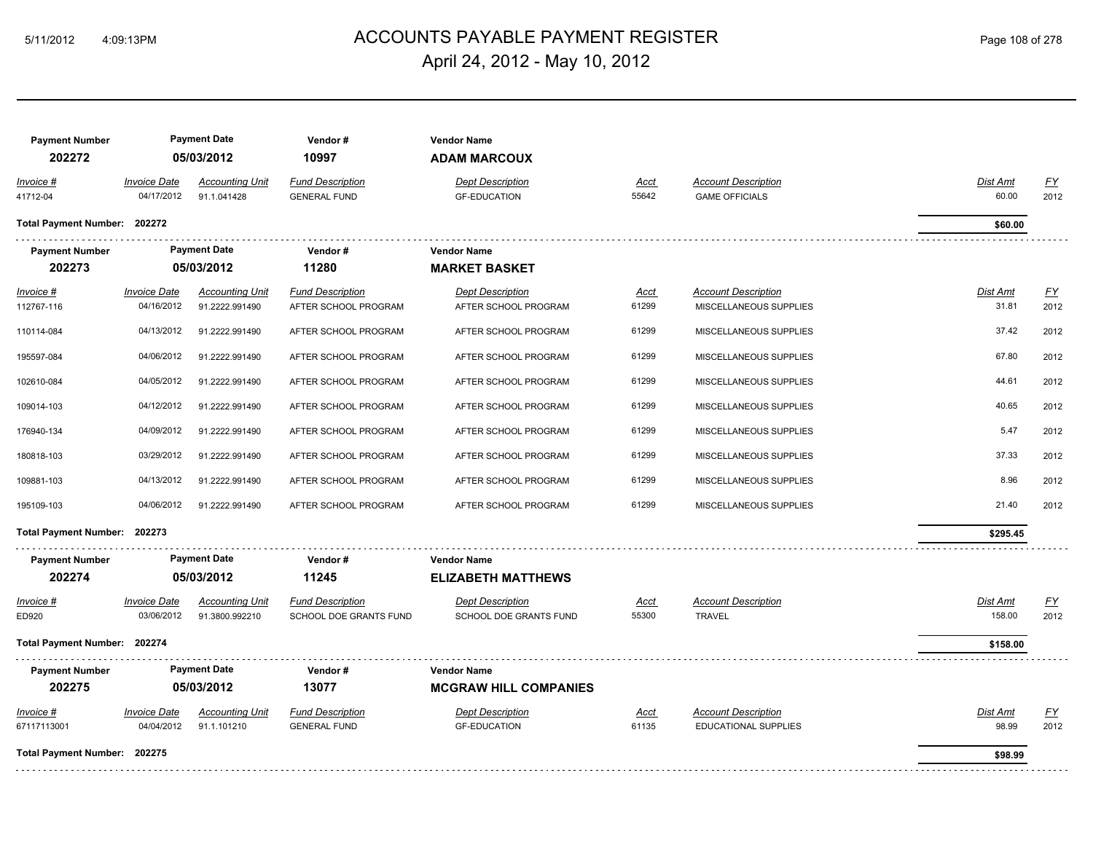# ACCOUNTS PAYABLE PAYMENT REGISTER 5/11/2012 4:09:13PM Page 108 of 278 April 24, 2012 - May 10, 2012

| <b>Payment Number</b><br>202272         |                                                 | <b>Payment Date</b><br>05/03/2012                          | Vendor#<br>10997                                                        | <b>Vendor Name</b><br><b>ADAM MARCOUX</b>                               |                               |                                                                                |                                   |                           |
|-----------------------------------------|-------------------------------------------------|------------------------------------------------------------|-------------------------------------------------------------------------|-------------------------------------------------------------------------|-------------------------------|--------------------------------------------------------------------------------|-----------------------------------|---------------------------|
| Invoice #<br>41712-04                   | <b>Invoice Date</b><br>04/17/2012               | <b>Accounting Unit</b><br>91.1.041428                      | <b>Fund Description</b><br><b>GENERAL FUND</b>                          | <b>Dept Description</b><br><b>GF-EDUCATION</b>                          | <b>Acct</b><br>55642          | <b>Account Description</b><br><b>GAME OFFICIALS</b>                            | <b>Dist Amt</b><br>60.00          | $\underline{FY}$<br>2012  |
| Total Payment Number: 202272            |                                                 |                                                            |                                                                         |                                                                         |                               |                                                                                | \$60.00                           |                           |
| <b>Payment Number</b><br>202273         |                                                 | <b>Payment Date</b><br>05/03/2012                          | Vendor#<br>11280                                                        | <b>Vendor Name</b><br><b>MARKET BASKET</b>                              |                               |                                                                                |                                   |                           |
| $Invoice$ #<br>112767-116<br>110114-084 | <b>Invoice Date</b><br>04/16/2012<br>04/13/2012 | <b>Accounting Unit</b><br>91.2222.991490<br>91.2222.991490 | <b>Fund Description</b><br>AFTER SCHOOL PROGRAM<br>AFTER SCHOOL PROGRAM | <b>Dept Description</b><br>AFTER SCHOOL PROGRAM<br>AFTER SCHOOL PROGRAM | <u>Acct</u><br>61299<br>61299 | <b>Account Description</b><br>MISCELLANEOUS SUPPLIES<br>MISCELLANEOUS SUPPLIES | <b>Dist Amt</b><br>31.81<br>37.42 | <u>FY</u><br>2012<br>2012 |
| 195597-084                              | 04/06/2012                                      | 91.2222.991490                                             | AFTER SCHOOL PROGRAM                                                    | AFTER SCHOOL PROGRAM                                                    | 61299                         | MISCELLANEOUS SUPPLIES                                                         | 67.80                             | 2012                      |
| 102610-084                              | 04/05/2012                                      | 91.2222.991490                                             | AFTER SCHOOL PROGRAM                                                    | AFTER SCHOOL PROGRAM                                                    | 61299                         | MISCELLANEOUS SUPPLIES                                                         | 44.61                             | 2012                      |
| 109014-103                              | 04/12/2012                                      | 91.2222.991490                                             | AFTER SCHOOL PROGRAM                                                    | AFTER SCHOOL PROGRAM                                                    | 61299                         | MISCELLANEOUS SUPPLIES                                                         | 40.65                             | 2012                      |
| 176940-134                              | 04/09/2012                                      | 91.2222.991490                                             | AFTER SCHOOL PROGRAM                                                    | AFTER SCHOOL PROGRAM                                                    | 61299                         | MISCELLANEOUS SUPPLIES                                                         | 5.47                              | 2012                      |
| 180818-103                              | 03/29/2012                                      | 91.2222.991490                                             | AFTER SCHOOL PROGRAM                                                    | AFTER SCHOOL PROGRAM                                                    | 61299                         | MISCELLANEOUS SUPPLIES                                                         | 37.33                             | 2012                      |
| 109881-103                              | 04/13/2012                                      | 91.2222.991490                                             | AFTER SCHOOL PROGRAM                                                    | AFTER SCHOOL PROGRAM                                                    | 61299                         | MISCELLANEOUS SUPPLIES                                                         | 8.96                              | 2012                      |
| 195109-103                              | 04/06/2012                                      | 91.2222.991490                                             | AFTER SCHOOL PROGRAM                                                    | AFTER SCHOOL PROGRAM                                                    | 61299                         | MISCELLANEOUS SUPPLIES                                                         | 21.40                             | 2012                      |
| Total Payment Number: 202273            |                                                 |                                                            |                                                                         |                                                                         |                               |                                                                                | \$295.45                          |                           |
| <b>Payment Number</b><br>202274         |                                                 | <b>Payment Date</b><br>05/03/2012                          | Vendor#<br>11245                                                        | <b>Vendor Name</b><br><b>ELIZABETH MATTHEWS</b>                         |                               |                                                                                |                                   |                           |
| Invoice #<br>ED920                      | <b>Invoice Date</b><br>03/06/2012               | <b>Accounting Unit</b><br>91.3800.992210                   | <b>Fund Description</b><br>SCHOOL DOE GRANTS FUND                       | <b>Dept Description</b><br>SCHOOL DOE GRANTS FUND                       | <u>Acct</u><br>55300          | <b>Account Description</b><br><b>TRAVEL</b>                                    | Dist Amt<br>158.00                | <u>FY</u><br>2012         |
| Total Payment Number: 202274            |                                                 |                                                            |                                                                         |                                                                         |                               |                                                                                | \$158.00                          |                           |
| <b>Payment Number</b><br>202275         |                                                 | <b>Payment Date</b><br>05/03/2012                          | Vendor#<br>13077                                                        | <b>Vendor Name</b><br><b>MCGRAW HILL COMPANIES</b>                      |                               |                                                                                |                                   |                           |
| Invoice #<br>67117113001                | <b>Invoice Date</b><br>04/04/2012               | <b>Accounting Unit</b><br>91.1.101210                      | <b>Fund Description</b><br><b>GENERAL FUND</b>                          | <b>Dept Description</b><br><b>GF-EDUCATION</b>                          | <b>Acct</b><br>61135          | <b>Account Description</b><br>EDUCATIONAL SUPPLIES                             | <b>Dist Amt</b><br>98.99          | $\underline{FY}$<br>2012  |
| Total Payment Number: 202275            |                                                 |                                                            |                                                                         |                                                                         |                               |                                                                                | \$98.99                           |                           |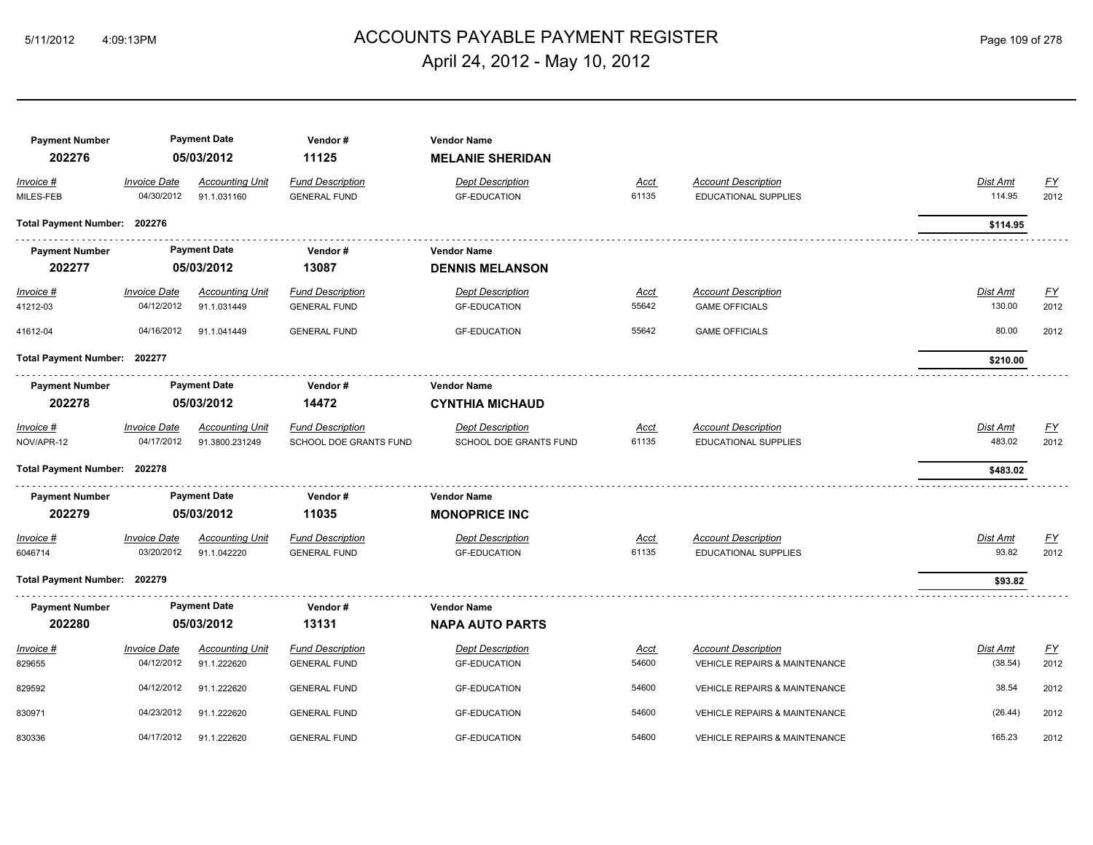# ACCOUNTS PAYABLE PAYMENT REGISTER 5/11/2012 4:09:13PM Page 109 of 278 April 24, 2012 - May 10, 2012

| <b>Payment Number</b><br>202276 |                                   | <b>Payment Date</b><br>05/03/2012     | Vendor#<br>11125                               | <b>Vendor Name</b><br><b>MELANIE SHERIDAN</b>  |                      |                                                             |                     |                           |
|---------------------------------|-----------------------------------|---------------------------------------|------------------------------------------------|------------------------------------------------|----------------------|-------------------------------------------------------------|---------------------|---------------------------|
| Invoice #<br>MILES-FEB          | <b>Invoice Date</b><br>04/30/2012 | <b>Accounting Unit</b><br>91.1.031160 | <b>Fund Description</b><br><b>GENERAL FUND</b> | <b>Dept Description</b><br><b>GF-EDUCATION</b> | <u>Acct</u><br>61135 | <b>Account Description</b><br>EDUCATIONAL SUPPLIES          | Dist Amt<br>114.95  | <u>FY</u><br>2012         |
| Total Payment Number: 202276    |                                   |                                       |                                                |                                                |                      |                                                             | \$114.95            |                           |
| <b>Payment Number</b><br>202277 |                                   | <b>Payment Date</b><br>05/03/2012     | Vendor#<br>13087                               | <b>Vendor Name</b><br><b>DENNIS MELANSON</b>   |                      |                                                             |                     |                           |
|                                 | <b>Invoice Date</b>               | <b>Accounting Unit</b>                | <b>Fund Description</b>                        | <b>Dept Description</b>                        |                      | <b>Account Description</b>                                  | <u>Dist Amt</u>     | $\underline{\mathsf{FY}}$ |
| <u>Invoice #</u><br>41212-03    | 04/12/2012                        | 91.1.031449                           | <b>GENERAL FUND</b>                            | <b>GF-EDUCATION</b>                            | <u>Acct</u><br>55642 | <b>GAME OFFICIALS</b>                                       | 130.00              | 2012                      |
| 41612-04                        | 04/16/2012                        | 91.1.041449                           | <b>GENERAL FUND</b>                            | <b>GF-EDUCATION</b>                            | 55642                | <b>GAME OFFICIALS</b>                                       | 80.00               | 2012                      |
| Total Payment Number: 202277    |                                   |                                       |                                                |                                                |                      |                                                             | \$210.00            |                           |
| <b>Payment Number</b><br>202278 |                                   | <b>Payment Date</b><br>05/03/2012     | Vendor#<br>14472                               | <b>Vendor Name</b><br><b>CYNTHIA MICHAUD</b>   |                      |                                                             |                     |                           |
| Invoice #                       | <b>Invoice Date</b>               | <b>Accounting Unit</b>                | <b>Fund Description</b>                        | <b>Dept Description</b>                        | Acct                 | <b>Account Description</b>                                  | Dist Amt            | <u>FY</u>                 |
| NOV/APR-12                      | 04/17/2012                        | 91.3800.231249                        | SCHOOL DOE GRANTS FUND                         | SCHOOL DOE GRANTS FUND                         | 61135                | <b>EDUCATIONAL SUPPLIES</b>                                 | 483.02              | 2012                      |
| Total Payment Number: 202278    |                                   |                                       |                                                |                                                |                      |                                                             | \$483.02            |                           |
| <b>Payment Number</b>           |                                   | <b>Payment Date</b>                   | Vendor#                                        | <b>Vendor Name</b>                             |                      |                                                             |                     |                           |
| 202279                          |                                   | 05/03/2012                            | 11035                                          | <b>MONOPRICE INC</b>                           |                      |                                                             |                     |                           |
| $Invoice$ #<br>6046714          | <b>Invoice Date</b><br>03/20/2012 | <b>Accounting Unit</b><br>91.1.042220 | <b>Fund Description</b><br><b>GENERAL FUND</b> | <b>Dept Description</b><br><b>GF-EDUCATION</b> | <u>Acct</u><br>61135 | <b>Account Description</b><br><b>EDUCATIONAL SUPPLIES</b>   | Dist Amt<br>93.82   | <u>FY</u><br>2012         |
| Total Payment Number: 202279    |                                   |                                       |                                                |                                                |                      |                                                             | \$93.82             |                           |
| <b>Payment Number</b>           |                                   | <b>Payment Date</b>                   | Vendor#                                        | <b>Vendor Name</b>                             |                      |                                                             |                     |                           |
| 202280                          |                                   | 05/03/2012                            | 13131                                          | <b>NAPA AUTO PARTS</b>                         |                      |                                                             |                     |                           |
| Invoice #<br>829655             | <b>Invoice Date</b><br>04/12/2012 | <b>Accounting Unit</b><br>91.1.222620 | <b>Fund Description</b><br><b>GENERAL FUND</b> | <b>Dept Description</b><br><b>GF-EDUCATION</b> | Acct<br>54600        | <b>Account Description</b><br>VEHICLE REPAIRS & MAINTENANCE | Dist Amt<br>(38.54) | EY<br>2012                |
| 829592                          | 04/12/2012                        | 91.1.222620                           | <b>GENERAL FUND</b>                            | <b>GF-EDUCATION</b>                            | 54600                | VEHICLE REPAIRS & MAINTENANCE                               | 38.54               | 2012                      |
| 830971                          | 04/23/2012                        | 91.1.222620                           | <b>GENERAL FUND</b>                            | <b>GF-EDUCATION</b>                            | 54600                | <b>VEHICLE REPAIRS &amp; MAINTENANCE</b>                    | (26.44)             | 2012                      |
| 830336                          | 04/17/2012                        | 91.1.222620                           | <b>GENERAL FUND</b>                            | <b>GF-EDUCATION</b>                            | 54600                | <b>VEHICLE REPAIRS &amp; MAINTENANCE</b>                    | 165.23              | 2012                      |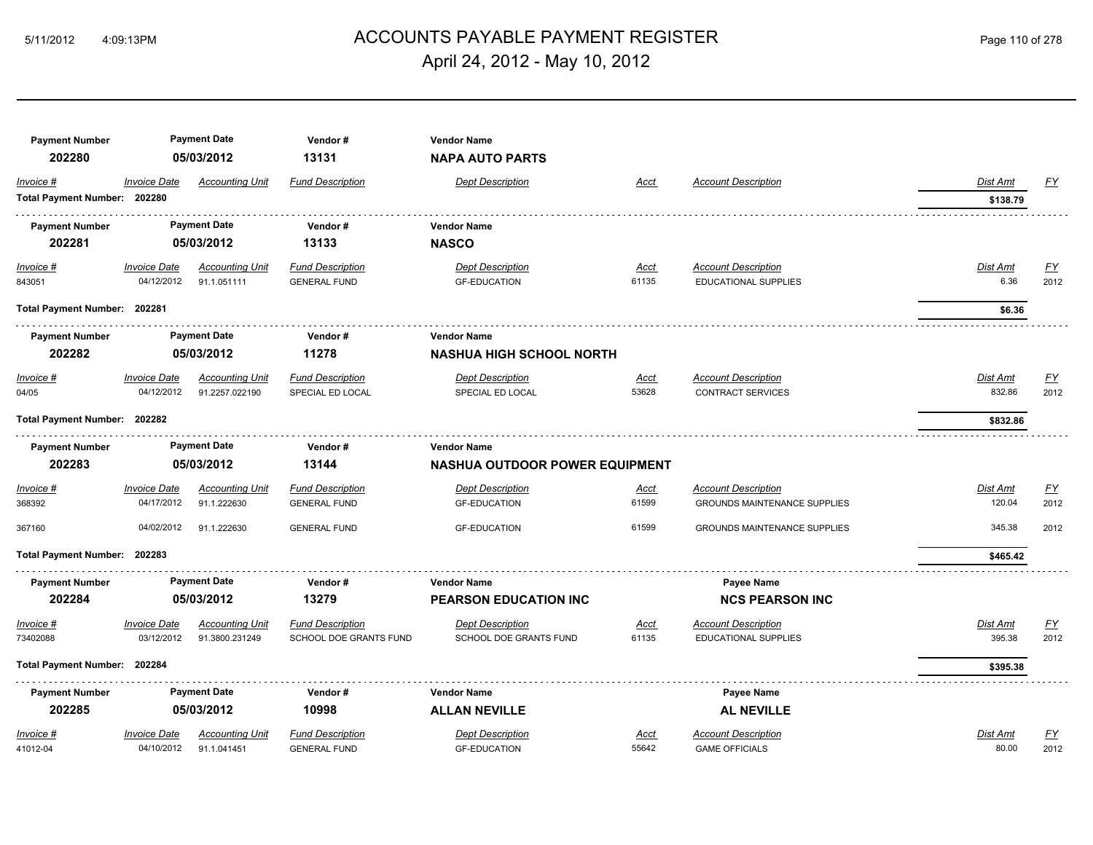# 5/11/2012 4:09:13PM ACCOUNTS PAYABLE PAYMENT REGISTER Page 110 of 278 April 24, 2012 - May 10, 2012

| <b>Payment Number</b>        |                     | <b>Payment Date</b>    | Vendor#                       | <b>Vendor Name</b>                    |             |                                     |          |                  |
|------------------------------|---------------------|------------------------|-------------------------------|---------------------------------------|-------------|-------------------------------------|----------|------------------|
| 202280                       |                     | 05/03/2012             | 13131                         | <b>NAPA AUTO PARTS</b>                |             |                                     |          |                  |
| Invoice #                    | <b>Invoice Date</b> | <b>Accounting Unit</b> | <b>Fund Description</b>       | <b>Dept Description</b>               | <b>Acct</b> | <b>Account Description</b>          | Dist Amt | EY               |
| Total Payment Number: 202280 |                     |                        |                               |                                       |             |                                     | \$138.79 |                  |
| <b>Payment Number</b>        |                     | <b>Payment Date</b>    | Vendor#                       | <b>Vendor Name</b>                    |             |                                     |          |                  |
| 202281                       |                     | 05/03/2012             | 13133                         | <b>NASCO</b>                          |             |                                     |          |                  |
| Invoice #                    | <b>Invoice Date</b> | <b>Accounting Unit</b> | <b>Fund Description</b>       | <b>Dept Description</b>               | <u>Acct</u> | <b>Account Description</b>          | Dist Amt | <u>FY</u>        |
| 843051                       | 04/12/2012          | 91.1.051111            | <b>GENERAL FUND</b>           | <b>GF-EDUCATION</b>                   | 61135       | <b>EDUCATIONAL SUPPLIES</b>         | 6.36     | 2012             |
| Total Payment Number: 202281 |                     |                        |                               |                                       |             |                                     | \$6.36   |                  |
| <b>Payment Number</b>        |                     | <b>Payment Date</b>    | Vendor#                       | <b>Vendor Name</b>                    |             |                                     |          |                  |
| 202282                       |                     | 05/03/2012             | 11278                         | <b>NASHUA HIGH SCHOOL NORTH</b>       |             |                                     |          |                  |
| Invoice #                    | <b>Invoice Date</b> | <b>Accounting Unit</b> | <b>Fund Description</b>       | <b>Dept Description</b>               | <u>Acct</u> | <b>Account Description</b>          | Dist Amt | $\underline{FY}$ |
| 04/05                        | 04/12/2012          | 91.2257.022190         | SPECIAL ED LOCAL              | SPECIAL ED LOCAL                      | 53628       | <b>CONTRACT SERVICES</b>            | 832.86   | 2012             |
| Total Payment Number: 202282 |                     |                        |                               |                                       |             |                                     | \$832.86 |                  |
| <b>Payment Number</b>        |                     | <b>Payment Date</b>    | Vendor#                       | <b>Vendor Name</b>                    |             |                                     |          |                  |
| 202283                       |                     | 05/03/2012             | 13144                         | <b>NASHUA OUTDOOR POWER EQUIPMENT</b> |             |                                     |          |                  |
| Invoice #                    | <b>Invoice Date</b> | <b>Accounting Unit</b> | <b>Fund Description</b>       | <b>Dept Description</b>               | <u>Acct</u> | <b>Account Description</b>          | Dist Amt | $\underline{FY}$ |
| 368392                       | 04/17/2012          | 91.1.222630            | <b>GENERAL FUND</b>           | <b>GF-EDUCATION</b>                   | 61599       | <b>GROUNDS MAINTENANCE SUPPLIES</b> | 120.04   | 2012             |
| 367160                       | 04/02/2012          | 91.1.222630            | <b>GENERAL FUND</b>           | <b>GF-EDUCATION</b>                   | 61599       | <b>GROUNDS MAINTENANCE SUPPLIES</b> | 345.38   | 2012             |
| Total Payment Number: 202283 |                     |                        |                               |                                       |             |                                     | \$465.42 |                  |
| <b>Payment Number</b>        |                     | <b>Payment Date</b>    | Vendor#                       | <b>Vendor Name</b>                    |             | Payee Name                          |          |                  |
| 202284                       |                     | 05/03/2012             | 13279                         | <b>PEARSON EDUCATION INC</b>          |             | <b>NCS PEARSON INC</b>              |          |                  |
| Invoice #                    | <b>Invoice Date</b> | <b>Accounting Unit</b> | <b>Fund Description</b>       | <b>Dept Description</b>               | <b>Acct</b> | <b>Account Description</b>          | Dist Amt | EY               |
| 73402088                     | 03/12/2012          | 91.3800.231249         | <b>SCHOOL DOE GRANTS FUND</b> | <b>SCHOOL DOE GRANTS FUND</b>         | 61135       | <b>EDUCATIONAL SUPPLIES</b>         | 395.38   | 2012             |
| Total Payment Number: 202284 |                     |                        |                               |                                       |             |                                     | \$395.38 |                  |
| <b>Payment Number</b>        |                     | <b>Payment Date</b>    | Vendor#                       | <b>Vendor Name</b>                    |             | Payee Name                          |          |                  |
| 202285                       |                     | 05/03/2012             | 10998                         | <b>ALLAN NEVILLE</b>                  |             | <b>AL NEVILLE</b>                   |          |                  |
| Invoice #                    | <b>Invoice Date</b> | <b>Accounting Unit</b> | <b>Fund Description</b>       | <b>Dept Description</b>               | <b>Acct</b> | <b>Account Description</b>          | Dist Amt | EY               |
| 41012-04                     | 04/10/2012          | 91.1.041451            | <b>GENERAL FUND</b>           | <b>GF-EDUCATION</b>                   | 55642       | <b>GAME OFFICIALS</b>               | 80.00    | 2012             |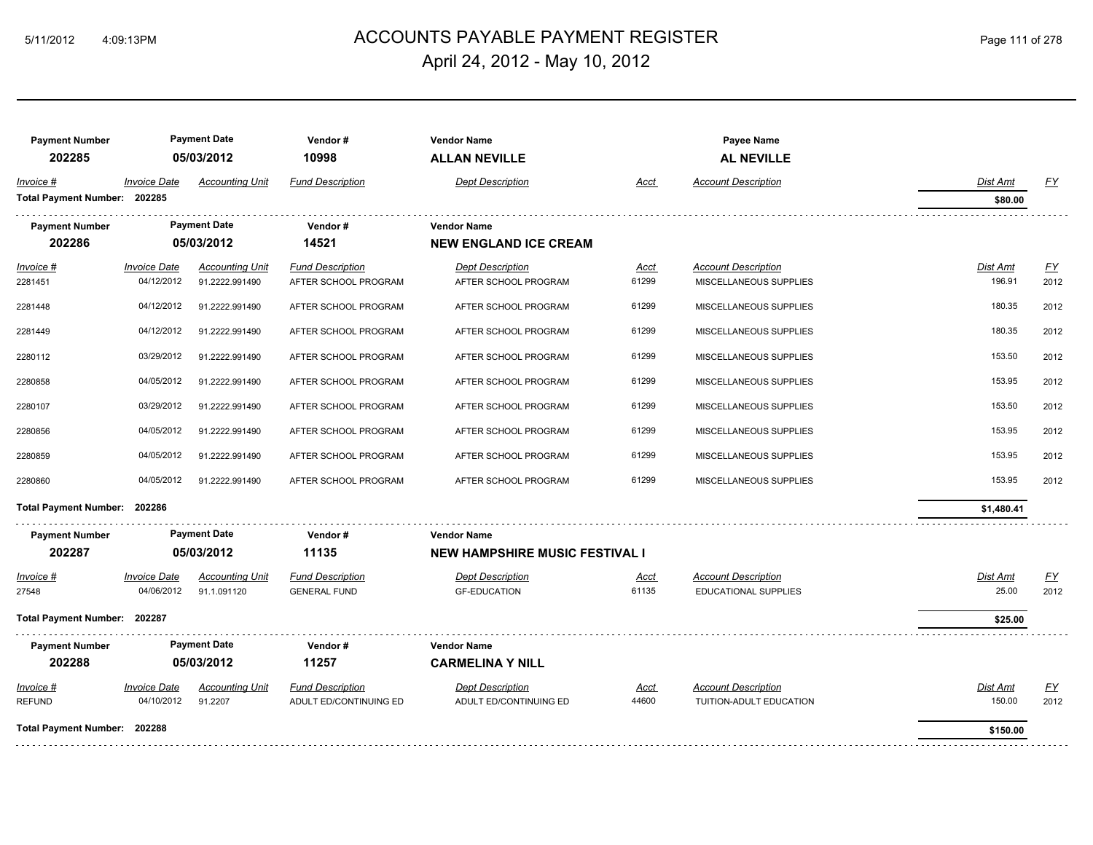#### ACCOUNTS PAYABLE PAYMENT REGISTER 5/11/2012 4:09:13PM Page 111 of 278 April 24, 2012 - May 10, 2012

**Payment Number Payment Date** *Payment Cate* **<b>Vendor # Payee Name Payee Name Payee Name Payee Name** 

| 202285                       |                            | 05/03/2012             | 10998                   | <b>ALLAN NEVILLE</b>                  |             | <b>AL NEVILLE</b>          |            |           |
|------------------------------|----------------------------|------------------------|-------------------------|---------------------------------------|-------------|----------------------------|------------|-----------|
| Invoice #                    | <b>Invoice Date</b>        | <b>Accounting Unit</b> | <b>Fund Description</b> | <b>Dept Description</b>               | Acct        | <b>Account Description</b> | Dist Amt   | EY        |
| Total Payment Number: 202285 |                            |                        |                         |                                       |             |                            | \$80.00    |           |
| <b>Payment Number</b>        |                            | <b>Payment Date</b>    | Vendor#                 | <b>Vendor Name</b>                    |             |                            |            |           |
| 202286                       |                            | 05/03/2012             | 14521                   | <b>NEW ENGLAND ICE CREAM</b>          |             |                            |            |           |
| Invoice #                    | <b>Invoice Date</b>        | <b>Accounting Unit</b> | <b>Fund Description</b> | <b>Dept Description</b>               | <u>Acct</u> | <b>Account Description</b> | Dist Amt   | EY        |
| 2281451                      | 04/12/2012                 | 91.2222.991490         | AFTER SCHOOL PROGRAM    | AFTER SCHOOL PROGRAM                  | 61299       | MISCELLANEOUS SUPPLIES     | 196.91     | 2012      |
| 2281448                      | 04/12/2012                 | 91.2222.991490         | AFTER SCHOOL PROGRAM    | AFTER SCHOOL PROGRAM                  | 61299       | MISCELLANEOUS SUPPLIES     | 180.35     | 2012      |
| 2281449                      | 04/12/2012                 | 91.2222.991490         | AFTER SCHOOL PROGRAM    | AFTER SCHOOL PROGRAM                  | 61299       | MISCELLANEOUS SUPPLIES     | 180.35     | 2012      |
| 2280112                      | 03/29/2012                 | 91.2222.991490         | AFTER SCHOOL PROGRAM    | AFTER SCHOOL PROGRAM                  | 61299       | MISCELLANEOUS SUPPLIES     | 153.50     | 2012      |
| 2280858                      | 04/05/2012                 | 91.2222.991490         | AFTER SCHOOL PROGRAM    | AFTER SCHOOL PROGRAM                  | 61299       | MISCELLANEOUS SUPPLIES     | 153.95     | 2012      |
| 2280107                      | 03/29/2012                 | 91.2222.991490         | AFTER SCHOOL PROGRAM    | AFTER SCHOOL PROGRAM                  | 61299       | MISCELLANEOUS SUPPLIES     | 153.50     | 2012      |
| 2280856                      | 04/05/2012                 | 91.2222.991490         | AFTER SCHOOL PROGRAM    | AFTER SCHOOL PROGRAM                  | 61299       | MISCELLANEOUS SUPPLIES     | 153.95     | 2012      |
| 2280859                      | 04/05/2012                 | 91.2222.991490         | AFTER SCHOOL PROGRAM    | AFTER SCHOOL PROGRAM                  | 61299       | MISCELLANEOUS SUPPLIES     | 153.95     | 2012      |
| 2280860                      | 04/05/2012                 | 91.2222.991490         | AFTER SCHOOL PROGRAM    | AFTER SCHOOL PROGRAM                  | 61299       | MISCELLANEOUS SUPPLIES     | 153.95     | 2012      |
| <b>Total Payment Number:</b> | 202286                     |                        |                         |                                       |             |                            | \$1,480.41 |           |
| <b>Payment Number</b>        |                            | <b>Payment Date</b>    | Vendor#                 | <b>Vendor Name</b>                    |             |                            |            |           |
| 202287                       |                            | 05/03/2012             | 11135                   | <b>NEW HAMPSHIRE MUSIC FESTIVAL I</b> |             |                            |            |           |
| Invoice #                    | <b>Invoice Date</b>        | <b>Accounting Unit</b> | <b>Fund Description</b> | <b>Dept Description</b>               | <u>Acct</u> | <b>Account Description</b> | Dist Amt   | <u>FY</u> |
| 27548                        | 04/06/2012                 | 91.1.091120            | <b>GENERAL FUND</b>     | <b>GF-EDUCATION</b>                   | 61135       | EDUCATIONAL SUPPLIES       | 25.00      | 2012      |
| Total Payment Number: 202287 |                            |                        |                         |                                       |             |                            | \$25.00    |           |
| <b>Payment Number</b>        |                            | <b>Payment Date</b>    | Vendor#                 | <b>Vendor Name</b>                    |             |                            |            |           |
| 202288                       |                            | 05/03/2012             | 11257                   | <b>CARMELINA Y NILL</b>               |             |                            |            |           |
| Invoice #                    | <i><b>Invoice Date</b></i> | <b>Accounting Unit</b> | <b>Fund Description</b> | <b>Dept Description</b>               | Acct        | <b>Account Description</b> | Dist Amt   | EY        |
| <b>REFUND</b>                | 04/10/2012                 | 91.2207                | ADULT ED/CONTINUING ED  | ADULT ED/CONTINUING ED                | 44600       | TUITION-ADULT EDUCATION    | 150.00     | 2012      |
| Total Payment Number: 202288 |                            |                        |                         |                                       |             |                            | \$150.00   |           |
|                              |                            |                        |                         |                                       |             |                            |            |           |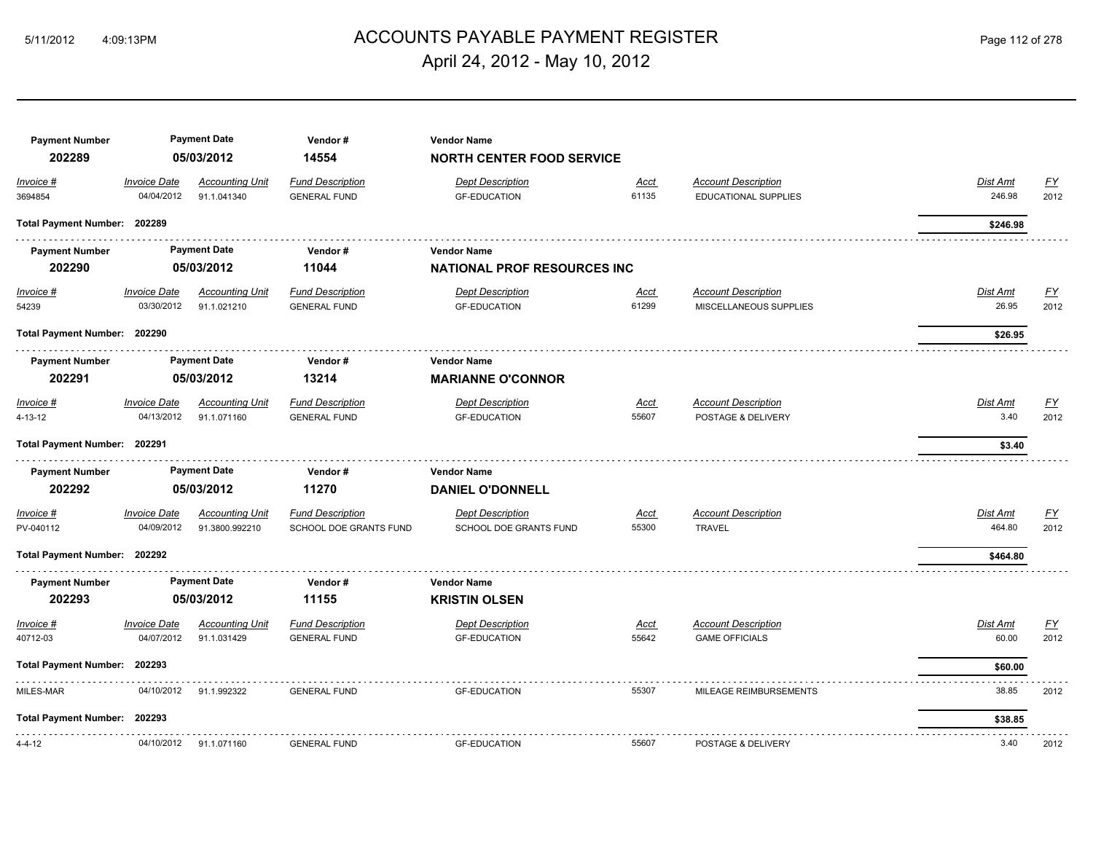# ACCOUNTS PAYABLE PAYMENT REGISTER 5/11/2012 4:09:13PM Page 112 of 278 April 24, 2012 - May 10, 2012

| <b>Payment Number</b><br>202289 |                                   | <b>Payment Date</b><br>05/03/2012     | Vendor#<br>14554                               | <b>Vendor Name</b><br><b>NORTH CENTER FOOD SERVICE</b> |                      |                                                      |                          |                   |
|---------------------------------|-----------------------------------|---------------------------------------|------------------------------------------------|--------------------------------------------------------|----------------------|------------------------------------------------------|--------------------------|-------------------|
| Invoice #                       | <b>Invoice Date</b>               | <b>Accounting Unit</b>                | <b>Fund Description</b>                        | <b>Dept Description</b>                                | Acct                 | <b>Account Description</b>                           | Dist Amt                 | $\underline{FY}$  |
| 3694854                         | 04/04/2012                        | 91.1.041340                           | <b>GENERAL FUND</b>                            | <b>GF-EDUCATION</b>                                    | 61135                | <b>EDUCATIONAL SUPPLIES</b>                          | 246.98                   | 2012              |
| Total Payment Number: 202289    |                                   |                                       |                                                |                                                        |                      |                                                      | \$246.98                 |                   |
| <b>Payment Number</b>           |                                   | <b>Payment Date</b>                   | Vendor#                                        | <b>Vendor Name</b>                                     |                      |                                                      |                          |                   |
| 202290                          |                                   | 05/03/2012                            | 11044                                          | <b>NATIONAL PROF RESOURCES INC</b>                     |                      |                                                      |                          |                   |
| <u>Invoice #</u><br>54239       | <b>Invoice Date</b><br>03/30/2012 | <b>Accounting Unit</b><br>91.1.021210 | <b>Fund Description</b><br><b>GENERAL FUND</b> | <b>Dept Description</b><br><b>GF-EDUCATION</b>         | <u>Acct</u><br>61299 | <b>Account Description</b><br>MISCELLANEOUS SUPPLIES | <b>Dist Amt</b><br>26.95 | <u>FY</u><br>2012 |
| Total Payment Number: 202290    |                                   |                                       |                                                |                                                        |                      |                                                      | \$26.95                  |                   |
| <b>Payment Number</b>           |                                   | <b>Payment Date</b>                   | Vendor#                                        | <b>Vendor Name</b>                                     |                      |                                                      |                          |                   |
| 202291                          |                                   | 05/03/2012                            | 13214                                          | <b>MARIANNE O'CONNOR</b>                               |                      |                                                      |                          |                   |
| Invoice #                       | <b>Invoice Date</b>               | <b>Accounting Unit</b>                | <b>Fund Description</b>                        | <b>Dept Description</b>                                | <u>Acct</u>          | <b>Account Description</b>                           | Dist Amt                 | $\underline{FY}$  |
| 4-13-12                         | 04/13/2012                        | 91.1.071160                           | <b>GENERAL FUND</b>                            | <b>GF-EDUCATION</b>                                    | 55607                | POSTAGE & DELIVERY                                   | 3.40                     | 2012              |
| Total Payment Number: 202291    |                                   |                                       |                                                |                                                        |                      |                                                      | \$3.40                   |                   |
| <b>Payment Number</b>           |                                   | <b>Payment Date</b>                   | Vendor#                                        | <b>Vendor Name</b>                                     |                      |                                                      |                          |                   |
| 202292                          |                                   | 05/03/2012                            | 11270                                          | <b>DANIEL O'DONNELL</b>                                |                      |                                                      |                          |                   |
| Invoice #                       | <b>Invoice Date</b>               | <b>Accounting Unit</b>                | <b>Fund Description</b>                        | <b>Dept Description</b>                                | Acct                 | <b>Account Description</b>                           | Dist Amt                 | $\underline{FY}$  |
| PV-040112                       | 04/09/2012                        | 91.3800.992210                        | SCHOOL DOE GRANTS FUND                         | SCHOOL DOE GRANTS FUND                                 | 55300                | <b>TRAVEL</b>                                        | 464.80                   | 2012              |
| Total Payment Number: 202292    |                                   |                                       |                                                |                                                        |                      |                                                      | \$464.80                 |                   |
| <b>Payment Number</b>           |                                   | <b>Payment Date</b>                   | Vendor#                                        | <b>Vendor Name</b>                                     |                      |                                                      |                          |                   |
| 202293                          |                                   | 05/03/2012                            | 11155                                          | <b>KRISTIN OLSEN</b>                                   |                      |                                                      |                          |                   |
| Invoice #                       | <b>Invoice Date</b>               | <b>Accounting Unit</b>                | <b>Fund Description</b>                        | <b>Dept Description</b>                                | <u>Acct</u>          | <b>Account Description</b>                           | Dist Amt                 | <u>FY</u>         |
| 40712-03                        | 04/07/2012                        | 91.1.031429                           | <b>GENERAL FUND</b>                            | <b>GF-EDUCATION</b>                                    | 55642                | <b>GAME OFFICIALS</b>                                | 60.00                    | 2012              |
| Total Payment Number: 202293    |                                   |                                       |                                                |                                                        |                      |                                                      | \$60.00                  |                   |
| MILES-MAR                       | 04/10/2012                        | 91.1.992322                           | <b>GENERAL FUND</b>                            | <b>GF-EDUCATION</b>                                    | 55307                | MILEAGE REIMBURSEMENTS                               | 38.85                    | 2012              |
| Total Payment Number: 202293    |                                   |                                       |                                                |                                                        |                      |                                                      | \$38.85                  |                   |
| $4 - 4 - 12$                    | 04/10/2012                        | 91.1.071160                           | <b>GENERAL FUND</b>                            | <b>GF-EDUCATION</b>                                    | 55607                | POSTAGE & DELIVERY                                   | 3.40                     | 2012              |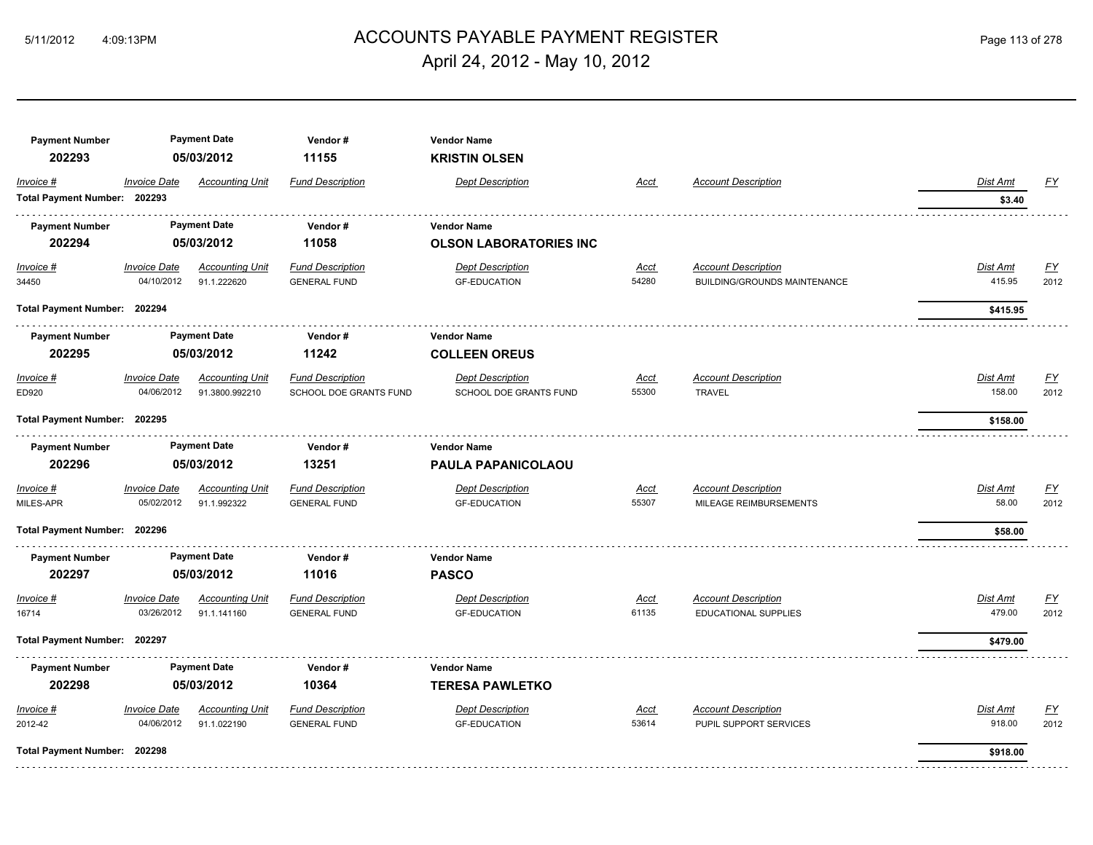# ACCOUNTS PAYABLE PAYMENT REGISTER 5/11/2012 4:09:13PM Page 113 of 278 April 24, 2012 - May 10, 2012

| <b>Payment Number</b><br>202293           |                                          | <b>Payment Date</b><br>05/03/2012        | Vendor#<br>11155                                  | <b>Vendor Name</b><br><b>KRISTIN OLSEN</b>          |                      |                                                            |                           |                          |
|-------------------------------------------|------------------------------------------|------------------------------------------|---------------------------------------------------|-----------------------------------------------------|----------------------|------------------------------------------------------------|---------------------------|--------------------------|
| Invoice #<br>Total Payment Number: 202293 | <b>Invoice Date</b>                      | <b>Accounting Unit</b>                   | <b>Fund Description</b>                           | <b>Dept Description</b>                             | Acct                 | <b>Account Description</b>                                 | <b>Dist Amt</b><br>\$3.40 | <u>FY</u>                |
| <b>Payment Number</b><br>202294           |                                          | <b>Payment Date</b><br>05/03/2012        | Vendor#<br>11058                                  | <b>Vendor Name</b><br><b>OLSON LABORATORIES INC</b> |                      |                                                            |                           |                          |
| $Invoice$ #<br>34450                      | <b>Invoice Date</b><br>04/10/2012        | <b>Accounting Unit</b><br>91.1.222620    | <b>Fund Description</b><br><b>GENERAL FUND</b>    | <b>Dept Description</b><br><b>GF-EDUCATION</b>      | Acct<br>54280        | <b>Account Description</b><br>BUILDING/GROUNDS MAINTENANCE | <b>Dist Amt</b><br>415.95 | <u>FY</u><br>2012        |
| Total Payment Number: 202294              |                                          |                                          |                                                   |                                                     |                      |                                                            | \$415.95                  |                          |
| <b>Payment Number</b><br>202295           |                                          | <b>Payment Date</b><br>05/03/2012        | Vendor#<br>11242                                  | <b>Vendor Name</b><br><b>COLLEEN OREUS</b>          |                      |                                                            |                           |                          |
| Invoice #<br>ED920                        | <b>Invoice Date</b><br>04/06/2012        | <b>Accounting Unit</b><br>91.3800.992210 | <b>Fund Description</b><br>SCHOOL DOE GRANTS FUND | <b>Dept Description</b><br>SCHOOL DOE GRANTS FUND   | <u>Acct</u><br>55300 | <b>Account Description</b><br><b>TRAVEL</b>                | Dist Amt<br>158.00        | <u>FY</u><br>2012        |
| Total Payment Number: 202295              |                                          |                                          |                                                   |                                                     |                      |                                                            | \$158.00                  |                          |
| <b>Payment Number</b>                     |                                          | <b>Payment Date</b>                      | Vendor#                                           | <b>Vendor Name</b>                                  |                      |                                                            |                           |                          |
| 202296                                    |                                          | 05/03/2012                               | 13251                                             | PAULA PAPANICOLAOU                                  |                      |                                                            |                           |                          |
| Invoice #<br>MILES-APR                    | <b>Invoice Date</b><br>05/02/2012        | <b>Accounting Unit</b><br>91.1.992322    | <b>Fund Description</b><br><b>GENERAL FUND</b>    | <b>Dept Description</b><br><b>GF-EDUCATION</b>      | Acct<br>55307        | <b>Account Description</b><br>MILEAGE REIMBURSEMENTS       | Dist Amt<br>58.00         | EY<br>2012               |
| Total Payment Number: 202296              |                                          |                                          |                                                   |                                                     |                      |                                                            | \$58.00                   |                          |
| <b>Payment Number</b><br>202297           |                                          | <b>Payment Date</b><br>05/03/2012        | Vendor#<br>11016                                  | <b>Vendor Name</b><br><b>PASCO</b>                  |                      |                                                            |                           |                          |
| Invoice #<br>16714                        | <i><b>Invoice Date</b></i><br>03/26/2012 | <b>Accounting Unit</b><br>91.1.141160    | <b>Fund Description</b><br><b>GENERAL FUND</b>    | <b>Dept Description</b><br><b>GF-EDUCATION</b>      | Acct<br>61135        | <b>Account Description</b><br>EDUCATIONAL SUPPLIES         | Dist Amt<br>479.00        | <u>FY</u><br>2012        |
| Total Payment Number: 202297              |                                          |                                          |                                                   |                                                     |                      |                                                            | \$479.00                  |                          |
| <b>Payment Number</b><br>202298           |                                          | <b>Payment Date</b><br>05/03/2012        | Vendor#<br>10364                                  | <b>Vendor Name</b><br><b>TERESA PAWLETKO</b>        |                      |                                                            |                           |                          |
| Invoice #<br>2012-42                      | <b>Invoice Date</b><br>04/06/2012        | <b>Accounting Unit</b><br>91.1.022190    | <b>Fund Description</b><br><b>GENERAL FUND</b>    | <b>Dept Description</b><br><b>GF-EDUCATION</b>      | Acct<br>53614        | <b>Account Description</b><br>PUPIL SUPPORT SERVICES       | Dist Amt<br>918.00        | $\underline{FY}$<br>2012 |
| Total Payment Number: 202298              |                                          |                                          |                                                   |                                                     |                      |                                                            | \$918.00                  |                          |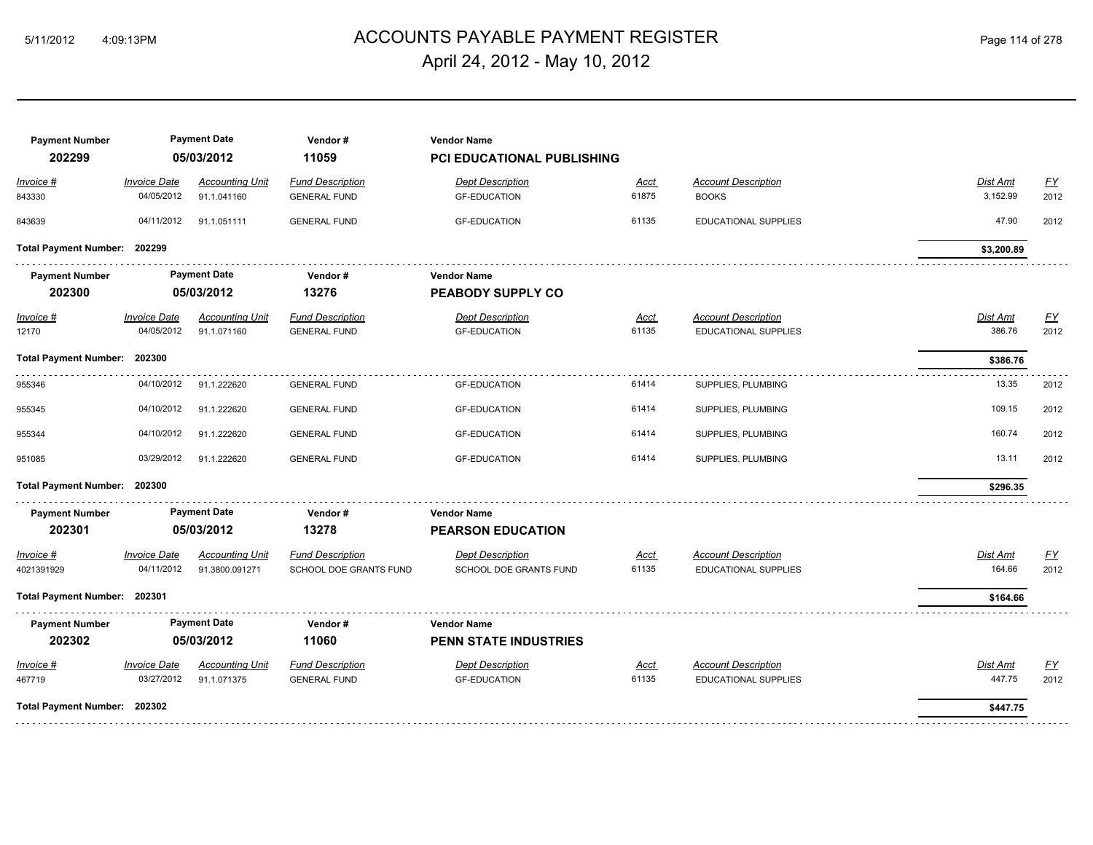# ACCOUNTS PAYABLE PAYMENT REGISTER 5/11/2012 4:09:13PM Page 114 of 278 April 24, 2012 - May 10, 2012

| <b>Fund Description</b><br><b>Dept Description</b><br><b>Account Description</b><br><u>FY</u><br><b>Invoice Date</b><br><b>Accounting Unit</b><br>Dist Amt<br>Invoice #<br>Acct<br>04/05/2012<br>61875<br>3,152.99<br><b>BOOKS</b><br>2012<br>843330<br>91.1.041160<br><b>GENERAL FUND</b><br><b>GF-EDUCATION</b><br>04/11/2012<br>61135<br>47.90<br>843639<br>91.1.051111<br><b>GENERAL FUND</b><br><b>GF-EDUCATION</b><br><b>EDUCATIONAL SUPPLIES</b><br>2012<br>Total Payment Number: 202299<br>\$3,200.89<br><b>Payment Date</b><br><b>Payment Number</b><br>Vendor#<br><b>Vendor Name</b><br>202300<br>13276<br>05/03/2012<br><b>PEABODY SUPPLY CO</b><br>$Invoice$ #<br><b>Invoice Date</b><br><b>Accounting Unit</b><br><b>Fund Description</b><br><b>Dept Description</b><br><b>Account Description</b><br>Dist Amt<br><u>FY</u><br><u>Acct</u><br>04/05/2012<br><b>GF-EDUCATION</b><br>61135<br>386.76<br>2012<br>12170<br>91.1.071160<br><b>GENERAL FUND</b><br><b>EDUCATIONAL SUPPLIES</b><br>Total Payment Number: 202300<br>\$386.76<br>955346<br>04/10/2012<br>91.1.222620<br><b>GENERAL FUND</b><br><b>GF-EDUCATION</b><br>61414<br>SUPPLIES, PLUMBING<br>13.35<br>2012<br>04/10/2012<br>61414<br>109.15<br>2012<br>955345<br>91.1.222620<br><b>GENERAL FUND</b><br><b>GF-EDUCATION</b><br>SUPPLIES, PLUMBING<br>04/10/2012<br>61414<br>SUPPLIES, PLUMBING<br>160.74<br>2012<br>955344<br>91.1.222620<br><b>GENERAL FUND</b><br><b>GF-EDUCATION</b><br>03/29/2012<br>13.11<br>2012<br>91.1.222620<br><b>GENERAL FUND</b><br><b>GF-EDUCATION</b><br>61414<br>SUPPLIES, PLUMBING<br>951085<br>Total Payment Number: 202300<br>\$296.35<br><b>Payment Date</b><br><b>Payment Number</b><br>Vendor#<br><b>Vendor Name</b><br>202301<br>05/03/2012<br>13278<br><b>PEARSON EDUCATION</b><br><b>Invoice Date</b><br><b>Fund Description</b><br><b>Dept Description</b><br><b>Account Description</b><br>$\underline{FY}$<br><b>Accounting Unit</b><br>Dist Amt<br>Invoice #<br><u>Acct</u><br>04/11/2012<br>61135<br>164.66<br>2012<br>4021391929<br>91.3800.091271<br>SCHOOL DOE GRANTS FUND<br>SCHOOL DOE GRANTS FUND<br><b>EDUCATIONAL SUPPLIES</b><br>Total Payment Number: 202301<br>\$164.66<br><b>Payment Date</b><br><b>Payment Number</b><br><b>Vendor Name</b><br>Vendor#<br>202302<br>05/03/2012<br>11060<br><b>PENN STATE INDUSTRIES</b><br><u>FY</u><br><b>Invoice Date</b><br><b>Fund Description</b><br><b>Dept Description</b><br><b>Account Description</b><br>$Invoice$ #<br><b>Accounting Unit</b><br><u>Acct</u><br>Dist Amt<br>447.75<br>03/27/2012<br>61135<br>2012<br>467719<br>91.1.071375<br><b>GENERAL FUND</b><br><b>GF-EDUCATION</b><br><b>EDUCATIONAL SUPPLIES</b><br>Total Payment Number: 202302<br>\$447.75 | <b>Payment Number</b><br>202299 | <b>Payment Date</b><br>05/03/2012 | Vendor#<br>11059 | <b>Vendor Name</b><br><b>PCI EDUCATIONAL PUBLISHING</b> |  |  |
|-----------------------------------------------------------------------------------------------------------------------------------------------------------------------------------------------------------------------------------------------------------------------------------------------------------------------------------------------------------------------------------------------------------------------------------------------------------------------------------------------------------------------------------------------------------------------------------------------------------------------------------------------------------------------------------------------------------------------------------------------------------------------------------------------------------------------------------------------------------------------------------------------------------------------------------------------------------------------------------------------------------------------------------------------------------------------------------------------------------------------------------------------------------------------------------------------------------------------------------------------------------------------------------------------------------------------------------------------------------------------------------------------------------------------------------------------------------------------------------------------------------------------------------------------------------------------------------------------------------------------------------------------------------------------------------------------------------------------------------------------------------------------------------------------------------------------------------------------------------------------------------------------------------------------------------------------------------------------------------------------------------------------------------------------------------------------------------------------------------------------------------------------------------------------------------------------------------------------------------------------------------------------------------------------------------------------------------------------------------------------------------------------------------------------------------------------------------------------------------------------------------------------------------------------------------------------------------------------------------------------------------------------------------------------------------------------------------------------------------------------------|---------------------------------|-----------------------------------|------------------|---------------------------------------------------------|--|--|
|                                                                                                                                                                                                                                                                                                                                                                                                                                                                                                                                                                                                                                                                                                                                                                                                                                                                                                                                                                                                                                                                                                                                                                                                                                                                                                                                                                                                                                                                                                                                                                                                                                                                                                                                                                                                                                                                                                                                                                                                                                                                                                                                                                                                                                                                                                                                                                                                                                                                                                                                                                                                                                                                                                                                                     |                                 |                                   |                  |                                                         |  |  |
|                                                                                                                                                                                                                                                                                                                                                                                                                                                                                                                                                                                                                                                                                                                                                                                                                                                                                                                                                                                                                                                                                                                                                                                                                                                                                                                                                                                                                                                                                                                                                                                                                                                                                                                                                                                                                                                                                                                                                                                                                                                                                                                                                                                                                                                                                                                                                                                                                                                                                                                                                                                                                                                                                                                                                     |                                 |                                   |                  |                                                         |  |  |
|                                                                                                                                                                                                                                                                                                                                                                                                                                                                                                                                                                                                                                                                                                                                                                                                                                                                                                                                                                                                                                                                                                                                                                                                                                                                                                                                                                                                                                                                                                                                                                                                                                                                                                                                                                                                                                                                                                                                                                                                                                                                                                                                                                                                                                                                                                                                                                                                                                                                                                                                                                                                                                                                                                                                                     |                                 |                                   |                  |                                                         |  |  |
|                                                                                                                                                                                                                                                                                                                                                                                                                                                                                                                                                                                                                                                                                                                                                                                                                                                                                                                                                                                                                                                                                                                                                                                                                                                                                                                                                                                                                                                                                                                                                                                                                                                                                                                                                                                                                                                                                                                                                                                                                                                                                                                                                                                                                                                                                                                                                                                                                                                                                                                                                                                                                                                                                                                                                     |                                 |                                   |                  |                                                         |  |  |
|                                                                                                                                                                                                                                                                                                                                                                                                                                                                                                                                                                                                                                                                                                                                                                                                                                                                                                                                                                                                                                                                                                                                                                                                                                                                                                                                                                                                                                                                                                                                                                                                                                                                                                                                                                                                                                                                                                                                                                                                                                                                                                                                                                                                                                                                                                                                                                                                                                                                                                                                                                                                                                                                                                                                                     |                                 |                                   |                  |                                                         |  |  |
|                                                                                                                                                                                                                                                                                                                                                                                                                                                                                                                                                                                                                                                                                                                                                                                                                                                                                                                                                                                                                                                                                                                                                                                                                                                                                                                                                                                                                                                                                                                                                                                                                                                                                                                                                                                                                                                                                                                                                                                                                                                                                                                                                                                                                                                                                                                                                                                                                                                                                                                                                                                                                                                                                                                                                     |                                 |                                   |                  |                                                         |  |  |
|                                                                                                                                                                                                                                                                                                                                                                                                                                                                                                                                                                                                                                                                                                                                                                                                                                                                                                                                                                                                                                                                                                                                                                                                                                                                                                                                                                                                                                                                                                                                                                                                                                                                                                                                                                                                                                                                                                                                                                                                                                                                                                                                                                                                                                                                                                                                                                                                                                                                                                                                                                                                                                                                                                                                                     |                                 |                                   |                  |                                                         |  |  |
|                                                                                                                                                                                                                                                                                                                                                                                                                                                                                                                                                                                                                                                                                                                                                                                                                                                                                                                                                                                                                                                                                                                                                                                                                                                                                                                                                                                                                                                                                                                                                                                                                                                                                                                                                                                                                                                                                                                                                                                                                                                                                                                                                                                                                                                                                                                                                                                                                                                                                                                                                                                                                                                                                                                                                     |                                 |                                   |                  |                                                         |  |  |
|                                                                                                                                                                                                                                                                                                                                                                                                                                                                                                                                                                                                                                                                                                                                                                                                                                                                                                                                                                                                                                                                                                                                                                                                                                                                                                                                                                                                                                                                                                                                                                                                                                                                                                                                                                                                                                                                                                                                                                                                                                                                                                                                                                                                                                                                                                                                                                                                                                                                                                                                                                                                                                                                                                                                                     |                                 |                                   |                  |                                                         |  |  |
|                                                                                                                                                                                                                                                                                                                                                                                                                                                                                                                                                                                                                                                                                                                                                                                                                                                                                                                                                                                                                                                                                                                                                                                                                                                                                                                                                                                                                                                                                                                                                                                                                                                                                                                                                                                                                                                                                                                                                                                                                                                                                                                                                                                                                                                                                                                                                                                                                                                                                                                                                                                                                                                                                                                                                     |                                 |                                   |                  |                                                         |  |  |
|                                                                                                                                                                                                                                                                                                                                                                                                                                                                                                                                                                                                                                                                                                                                                                                                                                                                                                                                                                                                                                                                                                                                                                                                                                                                                                                                                                                                                                                                                                                                                                                                                                                                                                                                                                                                                                                                                                                                                                                                                                                                                                                                                                                                                                                                                                                                                                                                                                                                                                                                                                                                                                                                                                                                                     |                                 |                                   |                  |                                                         |  |  |
|                                                                                                                                                                                                                                                                                                                                                                                                                                                                                                                                                                                                                                                                                                                                                                                                                                                                                                                                                                                                                                                                                                                                                                                                                                                                                                                                                                                                                                                                                                                                                                                                                                                                                                                                                                                                                                                                                                                                                                                                                                                                                                                                                                                                                                                                                                                                                                                                                                                                                                                                                                                                                                                                                                                                                     |                                 |                                   |                  |                                                         |  |  |
|                                                                                                                                                                                                                                                                                                                                                                                                                                                                                                                                                                                                                                                                                                                                                                                                                                                                                                                                                                                                                                                                                                                                                                                                                                                                                                                                                                                                                                                                                                                                                                                                                                                                                                                                                                                                                                                                                                                                                                                                                                                                                                                                                                                                                                                                                                                                                                                                                                                                                                                                                                                                                                                                                                                                                     |                                 |                                   |                  |                                                         |  |  |
|                                                                                                                                                                                                                                                                                                                                                                                                                                                                                                                                                                                                                                                                                                                                                                                                                                                                                                                                                                                                                                                                                                                                                                                                                                                                                                                                                                                                                                                                                                                                                                                                                                                                                                                                                                                                                                                                                                                                                                                                                                                                                                                                                                                                                                                                                                                                                                                                                                                                                                                                                                                                                                                                                                                                                     |                                 |                                   |                  |                                                         |  |  |
|                                                                                                                                                                                                                                                                                                                                                                                                                                                                                                                                                                                                                                                                                                                                                                                                                                                                                                                                                                                                                                                                                                                                                                                                                                                                                                                                                                                                                                                                                                                                                                                                                                                                                                                                                                                                                                                                                                                                                                                                                                                                                                                                                                                                                                                                                                                                                                                                                                                                                                                                                                                                                                                                                                                                                     |                                 |                                   |                  |                                                         |  |  |
|                                                                                                                                                                                                                                                                                                                                                                                                                                                                                                                                                                                                                                                                                                                                                                                                                                                                                                                                                                                                                                                                                                                                                                                                                                                                                                                                                                                                                                                                                                                                                                                                                                                                                                                                                                                                                                                                                                                                                                                                                                                                                                                                                                                                                                                                                                                                                                                                                                                                                                                                                                                                                                                                                                                                                     |                                 |                                   |                  |                                                         |  |  |
|                                                                                                                                                                                                                                                                                                                                                                                                                                                                                                                                                                                                                                                                                                                                                                                                                                                                                                                                                                                                                                                                                                                                                                                                                                                                                                                                                                                                                                                                                                                                                                                                                                                                                                                                                                                                                                                                                                                                                                                                                                                                                                                                                                                                                                                                                                                                                                                                                                                                                                                                                                                                                                                                                                                                                     |                                 |                                   |                  |                                                         |  |  |
|                                                                                                                                                                                                                                                                                                                                                                                                                                                                                                                                                                                                                                                                                                                                                                                                                                                                                                                                                                                                                                                                                                                                                                                                                                                                                                                                                                                                                                                                                                                                                                                                                                                                                                                                                                                                                                                                                                                                                                                                                                                                                                                                                                                                                                                                                                                                                                                                                                                                                                                                                                                                                                                                                                                                                     |                                 |                                   |                  |                                                         |  |  |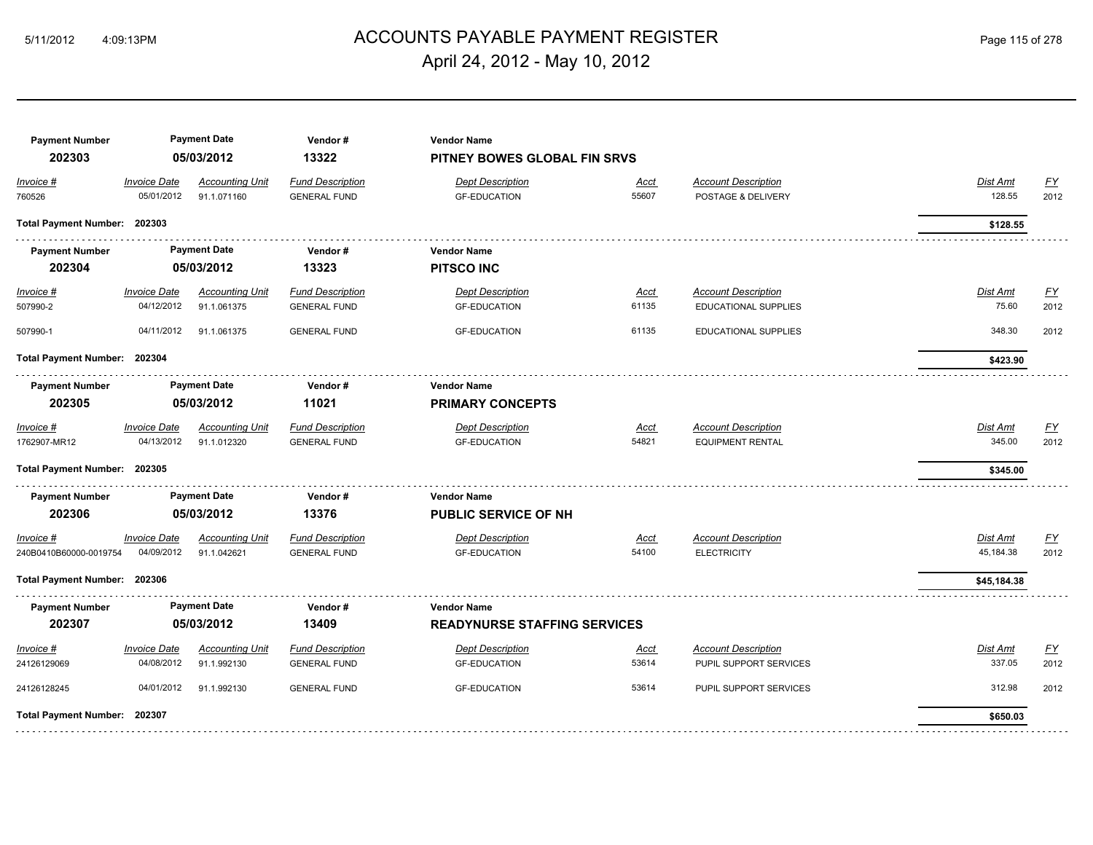# ACCOUNTS PAYABLE PAYMENT REGISTER 5/11/2012 4:09:13PM Page 115 of 278 April 24, 2012 - May 10, 2012

| <b>Payment Number</b><br>202303     |                                   | <b>Payment Date</b><br>05/03/2012<br><b>Accounting Unit</b> | Vendor#<br>13322                               | <b>Vendor Name</b><br>PITNEY BOWES GLOBAL FIN SRVS |               |                                                  |                       |                   |
|-------------------------------------|-----------------------------------|-------------------------------------------------------------|------------------------------------------------|----------------------------------------------------|---------------|--------------------------------------------------|-----------------------|-------------------|
| Invoice #<br>760526                 | <b>Invoice Date</b><br>05/01/2012 | 91.1.071160                                                 | <b>Fund Description</b><br><b>GENERAL FUND</b> | <b>Dept Description</b><br><b>GF-EDUCATION</b>     | Acct<br>55607 | <b>Account Description</b><br>POSTAGE & DELIVERY | Dist Amt<br>128.55    | <u>FY</u><br>2012 |
| Total Payment Number: 202303        |                                   |                                                             |                                                |                                                    |               |                                                  | \$128.55              |                   |
| <b>Payment Number</b>               |                                   | <b>Payment Date</b>                                         | Vendor #                                       | Vendor Name                                        |               |                                                  |                       |                   |
| 202304                              |                                   | 05/03/2012                                                  | 13323                                          | <b>PITSCO INC</b>                                  |               |                                                  |                       |                   |
| $Invoice$ #                         | <b>Invoice Date</b>               | <b>Accounting Unit</b>                                      | <b>Fund Description</b>                        | <b>Dept Description</b>                            | <u>Acct</u>   | <b>Account Description</b>                       | Dist Amt              | <u>FY</u>         |
| 507990-2                            | 04/12/2012                        | 91.1.061375                                                 | <b>GENERAL FUND</b>                            | <b>GF-EDUCATION</b>                                | 61135         | EDUCATIONAL SUPPLIES                             | 75.60                 | 2012              |
| 507990-1                            | 04/11/2012                        | 91.1.061375                                                 | <b>GENERAL FUND</b>                            | <b>GF-EDUCATION</b>                                | 61135         | EDUCATIONAL SUPPLIES                             | 348.30                | 2012              |
| Total Payment Number: 202304        |                                   |                                                             |                                                |                                                    |               |                                                  | \$423.90              |                   |
| <b>Payment Number</b><br>202305     |                                   | <b>Payment Date</b><br>05/03/2012                           | Vendor#<br>11021                               | <b>Vendor Name</b><br><b>PRIMARY CONCEPTS</b>      |               |                                                  |                       |                   |
| Invoice #                           | <b>Invoice Date</b>               | <b>Accounting Unit</b>                                      | <b>Fund Description</b>                        | <b>Dept Description</b>                            | Acct          | <b>Account Description</b>                       | Dist Amt              | <u>FY</u>         |
| 1762907-MR12                        | 04/13/2012                        | 91.1.012320                                                 | <b>GENERAL FUND</b>                            | <b>GF-EDUCATION</b>                                | 54821         | <b>EQUIPMENT RENTAL</b>                          | 345.00                | 2012              |
| Total Payment Number: 202305        |                                   |                                                             |                                                |                                                    |               |                                                  | \$345.00              |                   |
| <b>Payment Number</b>               |                                   | <b>Payment Date</b>                                         | Vendor#                                        | <b>Vendor Name</b>                                 |               |                                                  |                       |                   |
| 202306                              |                                   | 05/03/2012                                                  | 13376                                          | <b>PUBLIC SERVICE OF NH</b>                        |               |                                                  |                       |                   |
| Invoice #<br>240B0410B60000-0019754 | <b>Invoice Date</b><br>04/09/2012 | <b>Accounting Unit</b><br>91.1.042621                       | <b>Fund Description</b><br><b>GENERAL FUND</b> | <b>Dept Description</b><br><b>GF-EDUCATION</b>     | Acct<br>54100 | <b>Account Description</b><br><b>ELECTRICITY</b> | Dist Amt<br>45,184.38 | <u>FY</u><br>2012 |
| Total Payment Number: 202306        |                                   |                                                             |                                                |                                                    |               |                                                  | \$45,184.38           |                   |
| <b>Payment Number</b>               |                                   | <b>Payment Date</b>                                         | Vendor#                                        | <b>Vendor Name</b>                                 |               |                                                  |                       |                   |
| 202307                              |                                   | 05/03/2012                                                  | 13409                                          | <b>READYNURSE STAFFING SERVICES</b>                |               |                                                  |                       |                   |
| Invoice #                           | <b>Invoice Date</b>               | <b>Accounting Unit</b>                                      | <b>Fund Description</b>                        | <b>Dept Description</b>                            | Acct          | <b>Account Description</b>                       | Dist Amt              | <u>FY</u>         |
| 24126129069                         | 04/08/2012                        | 91.1.992130                                                 | <b>GENERAL FUND</b>                            | <b>GF-EDUCATION</b>                                | 53614         | PUPIL SUPPORT SERVICES                           | 337.05                | 2012              |
| 24126128245                         | 04/01/2012                        | 91.1.992130                                                 | <b>GENERAL FUND</b>                            | <b>GF-EDUCATION</b>                                | 53614         | PUPIL SUPPORT SERVICES                           | 312.98                | 2012              |
| Total Payment Number: 202307        |                                   |                                                             |                                                |                                                    |               |                                                  | \$650.03              |                   |
|                                     |                                   |                                                             |                                                |                                                    |               |                                                  |                       |                   |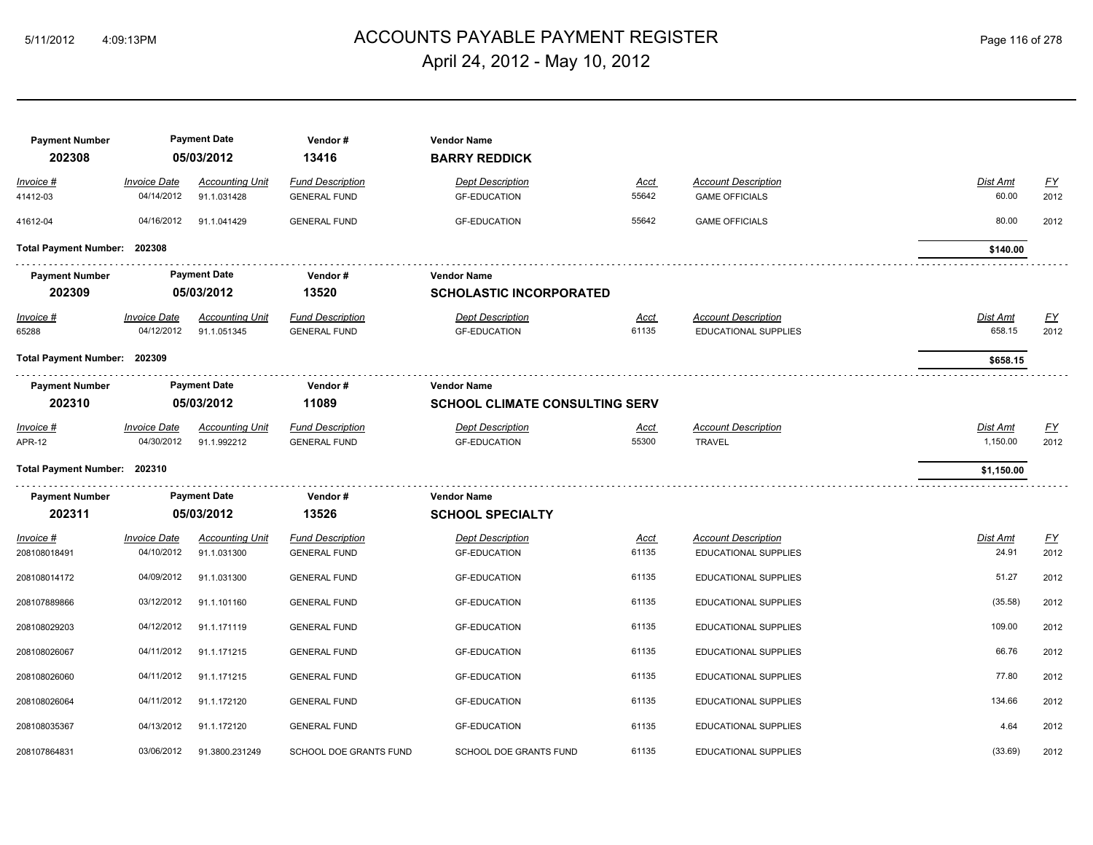# ACCOUNTS PAYABLE PAYMENT REGISTER 5/11/2012 4:09:13PM Page 116 of 278 April 24, 2012 - May 10, 2012

| <b>Payment Number</b><br>202308 |                                   | <b>Payment Date</b><br>05/03/2012     | Vendor#<br>13416                               | <b>Vendor Name</b><br><b>BARRY REDDICK</b>                  |                      |                                                           |                           |            |
|---------------------------------|-----------------------------------|---------------------------------------|------------------------------------------------|-------------------------------------------------------------|----------------------|-----------------------------------------------------------|---------------------------|------------|
| Invoice #<br>41412-03           | <b>Invoice Date</b><br>04/14/2012 | <b>Accounting Unit</b><br>91.1.031428 | <b>Fund Description</b><br><b>GENERAL FUND</b> | <b>Dept Description</b><br><b>GF-EDUCATION</b>              | <u>Acct</u><br>55642 | <b>Account Description</b><br><b>GAME OFFICIALS</b>       | Dist Amt<br>60.00         | EY<br>2012 |
| 41612-04                        | 04/16/2012                        | 91.1.041429                           | <b>GENERAL FUND</b>                            | <b>GF-EDUCATION</b>                                         | 55642                | <b>GAME OFFICIALS</b>                                     | 80.00                     | 2012       |
| Total Payment Number: 202308    |                                   |                                       |                                                |                                                             |                      |                                                           | \$140.00                  |            |
| <b>Payment Number</b><br>202309 |                                   | <b>Payment Date</b><br>05/03/2012     | Vendor#<br>13520                               | <b>Vendor Name</b><br><b>SCHOLASTIC INCORPORATED</b>        |                      |                                                           |                           |            |
| Invoice #<br>65288              | <b>Invoice Date</b><br>04/12/2012 | <b>Accounting Unit</b><br>91.1.051345 | <b>Fund Description</b><br><b>GENERAL FUND</b> | <b>Dept Description</b><br><b>GF-EDUCATION</b>              | <u>Acct</u><br>61135 | <b>Account Description</b><br><b>EDUCATIONAL SUPPLIES</b> | <b>Dist Amt</b><br>658.15 | EY<br>2012 |
| Total Payment Number: 202309    |                                   |                                       |                                                |                                                             |                      |                                                           | \$658.15                  |            |
| <b>Payment Number</b><br>202310 |                                   | <b>Payment Date</b><br>05/03/2012     | Vendor#<br>11089                               | <b>Vendor Name</b><br><b>SCHOOL CLIMATE CONSULTING SERV</b> |                      |                                                           |                           |            |
| Invoice #<br>APR-12             | <b>Invoice Date</b><br>04/30/2012 | <b>Accounting Unit</b><br>91.1.992212 | <b>Fund Description</b><br><b>GENERAL FUND</b> | <b>Dept Description</b><br><b>GF-EDUCATION</b>              | <u>Acct</u><br>55300 | <b>Account Description</b><br><b>TRAVEL</b>               | Dist Amt<br>1,150.00      | EY<br>2012 |
| Total Payment Number: 202310    |                                   |                                       |                                                |                                                             |                      |                                                           | \$1,150.00                |            |
| <b>Payment Number</b><br>202311 |                                   | <b>Payment Date</b><br>05/03/2012     | Vendor#<br>13526                               | <b>Vendor Name</b><br><b>SCHOOL SPECIALTY</b>               |                      |                                                           |                           |            |
| Invoice #<br>208108018491       | <b>Invoice Date</b><br>04/10/2012 | <b>Accounting Unit</b><br>91.1.031300 | <b>Fund Description</b><br><b>GENERAL FUND</b> | <b>Dept Description</b><br><b>GF-EDUCATION</b>              | <u>Acct</u><br>61135 | <b>Account Description</b><br><b>EDUCATIONAL SUPPLIES</b> | Dist Amt<br>24.91         | EY<br>2012 |
| 208108014172                    | 04/09/2012                        | 91.1.031300                           | <b>GENERAL FUND</b>                            | <b>GF-EDUCATION</b>                                         | 61135                | EDUCATIONAL SUPPLIES                                      | 51.27                     | 2012       |
| 208107889866                    | 03/12/2012                        | 91.1.101160                           | <b>GENERAL FUND</b>                            | <b>GF-EDUCATION</b>                                         | 61135                | <b>EDUCATIONAL SUPPLIES</b>                               | (35.58)                   | 2012       |
| 208108029203                    | 04/12/2012                        | 91.1.171119                           | <b>GENERAL FUND</b>                            | <b>GF-EDUCATION</b>                                         | 61135                | <b>EDUCATIONAL SUPPLIES</b>                               | 109.00                    | 2012       |
| 208108026067                    | 04/11/2012                        | 91.1.171215                           | <b>GENERAL FUND</b>                            | <b>GF-EDUCATION</b>                                         | 61135                | <b>EDUCATIONAL SUPPLIES</b>                               | 66.76                     | 2012       |
| 208108026060                    | 04/11/2012                        | 91.1.171215                           | <b>GENERAL FUND</b>                            | <b>GF-EDUCATION</b>                                         | 61135                | <b>EDUCATIONAL SUPPLIES</b>                               | 77.80                     | 2012       |
| 208108026064                    | 04/11/2012                        | 91.1.172120                           | <b>GENERAL FUND</b>                            | <b>GF-EDUCATION</b>                                         | 61135                | EDUCATIONAL SUPPLIES                                      | 134.66                    | 2012       |
| 208108035367                    | 04/13/2012                        | 91.1.172120                           | <b>GENERAL FUND</b>                            | <b>GF-EDUCATION</b>                                         | 61135                | EDUCATIONAL SUPPLIES                                      | 4.64                      | 2012       |
| 208107864831                    | 03/06/2012                        | 91.3800.231249                        | SCHOOL DOE GRANTS FUND                         | SCHOOL DOE GRANTS FUND                                      | 61135                | EDUCATIONAL SUPPLIES                                      | (33.69)                   | 2012       |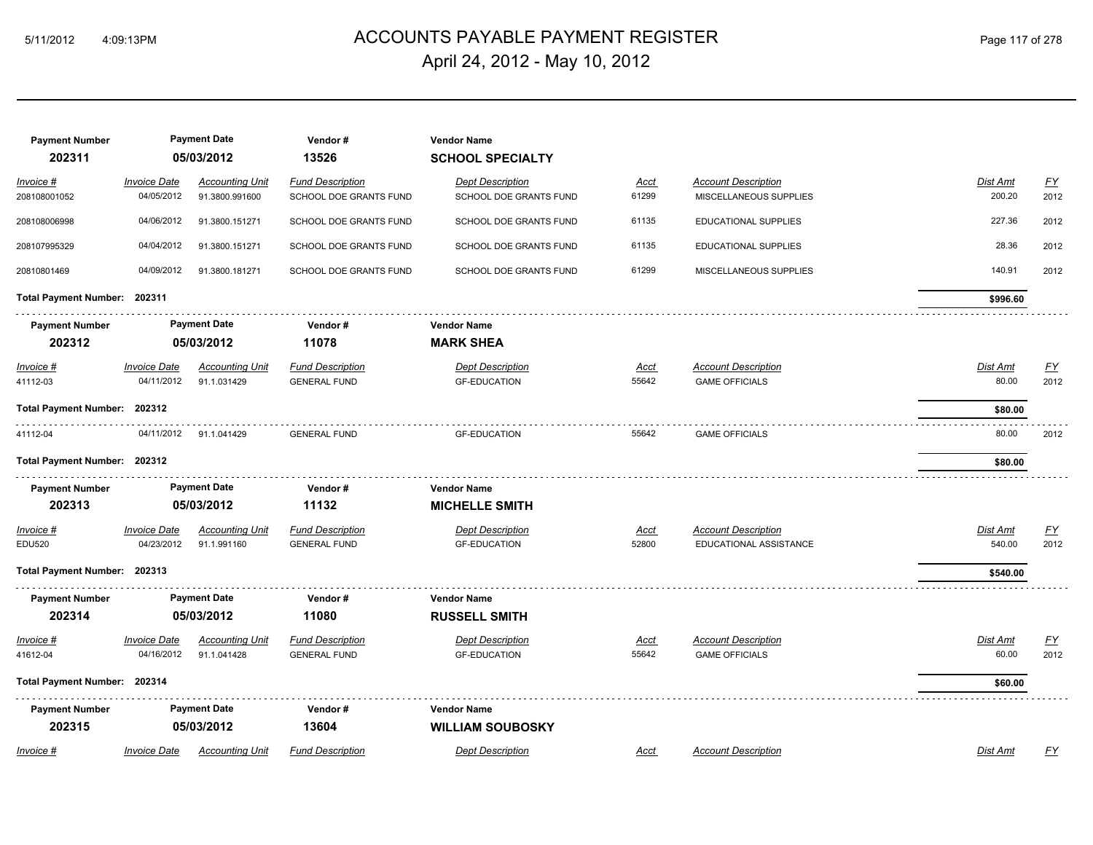# ACCOUNTS PAYABLE PAYMENT REGISTER 5/11/2012 4:09:13PM Page 117 of 278 April 24, 2012 - May 10, 2012

| <b>Payment Number</b>        |                     | <b>Payment Date</b>    | Vendor#                 | <b>Vendor Name</b>      |             |                            |                 |                  |
|------------------------------|---------------------|------------------------|-------------------------|-------------------------|-------------|----------------------------|-----------------|------------------|
| 202311                       |                     | 05/03/2012             | 13526                   | <b>SCHOOL SPECIALTY</b> |             |                            |                 |                  |
| <u> Invoice #</u>            | <b>Invoice Date</b> | <b>Accounting Unit</b> | <b>Fund Description</b> | <b>Dept Description</b> | <u>Acct</u> | <b>Account Description</b> | Dist Amt        | $\underline{FY}$ |
| 208108001052                 | 04/05/2012          | 91.3800.991600         | SCHOOL DOE GRANTS FUND  | SCHOOL DOE GRANTS FUND  | 61299       | MISCELLANEOUS SUPPLIES     | 200.20          | 2012             |
| 208108006998                 | 04/06/2012          | 91.3800.151271         | SCHOOL DOE GRANTS FUND  | SCHOOL DOE GRANTS FUND  | 61135       | EDUCATIONAL SUPPLIES       | 227.36          | 2012             |
| 208107995329                 | 04/04/2012          | 91.3800.151271         | SCHOOL DOE GRANTS FUND  | SCHOOL DOE GRANTS FUND  | 61135       | EDUCATIONAL SUPPLIES       | 28.36           | 2012             |
| 20810801469                  | 04/09/2012          | 91.3800.181271         | SCHOOL DOE GRANTS FUND  | SCHOOL DOE GRANTS FUND  | 61299       | MISCELLANEOUS SUPPLIES     | 140.91          | 2012             |
| Total Payment Number: 202311 |                     |                        |                         |                         |             |                            | \$996.60        |                  |
| <b>Payment Number</b>        |                     | <b>Payment Date</b>    | Vendor#                 | <b>Vendor Name</b>      |             |                            |                 |                  |
| 202312                       |                     | 05/03/2012             | 11078                   | <b>MARK SHEA</b>        |             |                            |                 |                  |
| $Invoice$ #                  | <b>Invoice Date</b> | <b>Accounting Unit</b> | <b>Fund Description</b> | <b>Dept Description</b> | <u>Acct</u> | <b>Account Description</b> | <b>Dist Amt</b> | EY               |
| 41112-03                     | 04/11/2012          | 91.1.031429            | <b>GENERAL FUND</b>     | <b>GF-EDUCATION</b>     | 55642       | <b>GAME OFFICIALS</b>      | 80.00           | 2012             |
| Total Payment Number: 202312 |                     |                        |                         |                         |             |                            | \$80.00         |                  |
| 41112-04                     | 04/11/2012          | 91.1.041429            | <b>GENERAL FUND</b>     | <b>GF-EDUCATION</b>     | 55642       | <b>GAME OFFICIALS</b>      | 80.00           | 2012             |
| Total Payment Number: 202312 |                     |                        |                         |                         |             |                            | \$80.00         |                  |
| <b>Payment Number</b>        |                     | <b>Payment Date</b>    | Vendor#                 | <b>Vendor Name</b>      |             |                            |                 |                  |
| 202313                       |                     | 05/03/2012             | 11132                   | <b>MICHELLE SMITH</b>   |             |                            |                 |                  |
| <u> Invoice #</u>            | <b>Invoice Date</b> | <b>Accounting Unit</b> | <b>Fund Description</b> | <b>Dept Description</b> | <u>Acct</u> | <b>Account Description</b> | Dist Amt        | <u>FY</u>        |
| <b>EDU520</b>                | 04/23/2012          | 91.1.991160            | <b>GENERAL FUND</b>     | <b>GF-EDUCATION</b>     | 52800       | EDUCATIONAL ASSISTANCE     | 540.00          | 2012             |
| Total Payment Number: 202313 |                     |                        |                         |                         |             |                            | \$540.00        |                  |
| <b>Payment Number</b>        |                     | <b>Payment Date</b>    | Vendor#                 | <b>Vendor Name</b>      |             |                            |                 |                  |
| 202314                       |                     | 05/03/2012             | 11080                   | <b>RUSSELL SMITH</b>    |             |                            |                 |                  |
| <u> Invoice #</u>            | <b>Invoice Date</b> | <b>Accounting Unit</b> | <b>Fund Description</b> | <b>Dept Description</b> | <u>Acct</u> | <b>Account Description</b> | Dist Amt        | <u>FY</u>        |
| 41612-04                     | 04/16/2012          | 91.1.041428            | <b>GENERAL FUND</b>     | <b>GF-EDUCATION</b>     | 55642       | <b>GAME OFFICIALS</b>      | 60.00           | 2012             |
| Total Payment Number: 202314 |                     |                        |                         |                         |             |                            | \$60.00         |                  |
| <b>Payment Number</b>        |                     | <b>Payment Date</b>    | Vendor#                 | <b>Vendor Name</b>      |             |                            |                 |                  |
| 202315                       |                     | 05/03/2012             | 13604                   | <b>WILLIAM SOUBOSKY</b> |             |                            |                 |                  |
| Invoice #                    | <b>Invoice Date</b> | <b>Accounting Unit</b> | <b>Fund Description</b> | <b>Dept Description</b> | Acct        | <b>Account Description</b> | Dist Amt        | FY               |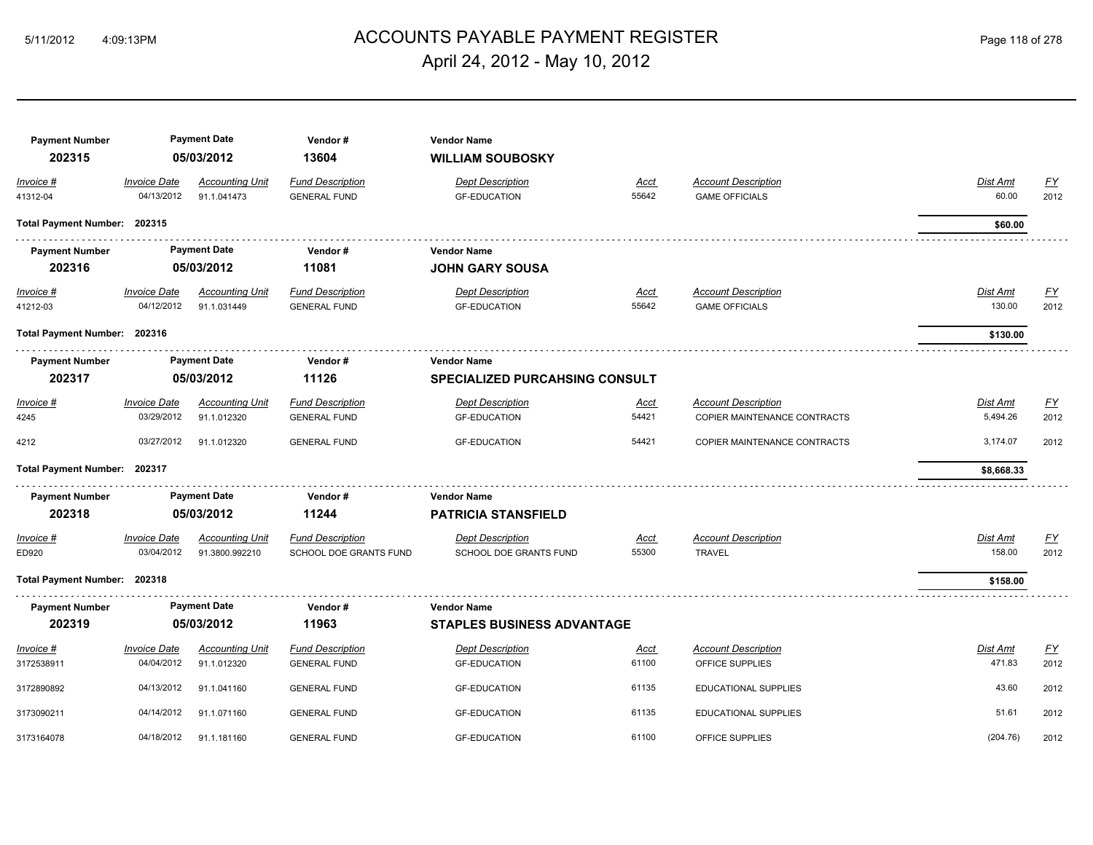# ACCOUNTS PAYABLE PAYMENT REGISTER 5/11/2012 4:09:13PM Page 118 of 278 April 24, 2012 - May 10, 2012

| <b>Payment Number</b><br>202315 |                                   | <b>Payment Date</b><br>05/03/2012        | Vendor#<br>13604                                         | <b>Vendor Name</b><br><b>WILLIAM SOUBOSKY</b>               |                      |                                                            |                           |                   |
|---------------------------------|-----------------------------------|------------------------------------------|----------------------------------------------------------|-------------------------------------------------------------|----------------------|------------------------------------------------------------|---------------------------|-------------------|
| Invoice #<br>41312-04           | <b>Invoice Date</b><br>04/13/2012 | <b>Accounting Unit</b><br>91.1.041473    | <b>Fund Description</b><br><b>GENERAL FUND</b>           | <b>Dept Description</b><br><b>GF-EDUCATION</b>              | Acct<br>55642        | <b>Account Description</b><br><b>GAME OFFICIALS</b>        | Dist Amt<br>60.00         | <u>FY</u><br>2012 |
| Total Payment Number: 202315    |                                   |                                          |                                                          |                                                             |                      |                                                            | \$60.00                   |                   |
| <b>Payment Number</b><br>202316 |                                   | <b>Payment Date</b><br>05/03/2012        | Vendor#<br>11081                                         | <b>Vendor Name</b><br><b>JOHN GARY SOUSA</b>                |                      |                                                            |                           |                   |
| <u>Invoice #</u><br>41212-03    | <b>Invoice Date</b><br>04/12/2012 | <b>Accounting Unit</b><br>91.1.031449    | <b>Fund Description</b><br><b>GENERAL FUND</b>           | <b>Dept Description</b><br><b>GF-EDUCATION</b>              | <u>Acct</u><br>55642 | <b>Account Description</b><br><b>GAME OFFICIALS</b>        | <b>Dist Amt</b><br>130.00 | <u>FY</u><br>2012 |
| Total Payment Number: 202316    |                                   |                                          |                                                          |                                                             |                      |                                                            | \$130.00                  |                   |
| <b>Payment Number</b><br>202317 |                                   | <b>Payment Date</b><br>05/03/2012        | Vendor#<br>11126                                         | <b>Vendor Name</b><br><b>SPECIALIZED PURCAHSING CONSULT</b> |                      |                                                            |                           |                   |
| Invoice #<br>4245               | <b>Invoice Date</b><br>03/29/2012 | <b>Accounting Unit</b><br>91.1.012320    | <b>Fund Description</b><br><b>GENERAL FUND</b>           | <b>Dept Description</b><br><b>GF-EDUCATION</b>              | <u>Acct</u><br>54421 | <b>Account Description</b><br>COPIER MAINTENANCE CONTRACTS | Dist Amt<br>5,494.26      | <u>FY</u><br>2012 |
| 4212                            | 03/27/2012                        | 91.1.012320                              | <b>GENERAL FUND</b>                                      | <b>GF-EDUCATION</b>                                         | 54421                | COPIER MAINTENANCE CONTRACTS                               | 3,174.07                  | 2012              |
| Total Payment Number: 202317    |                                   |                                          |                                                          |                                                             |                      |                                                            | \$8,668.33                |                   |
| <b>Payment Number</b><br>202318 |                                   | <b>Payment Date</b><br>05/03/2012        | Vendor#<br>11244                                         | <b>Vendor Name</b><br><b>PATRICIA STANSFIELD</b>            |                      |                                                            |                           |                   |
| Invoice #<br>ED920              | <b>Invoice Date</b><br>03/04/2012 | <b>Accounting Unit</b><br>91.3800.992210 | <b>Fund Description</b><br><b>SCHOOL DOE GRANTS FUND</b> | <b>Dept Description</b><br><b>SCHOOL DOE GRANTS FUND</b>    | <u>Acct</u><br>55300 | <b>Account Description</b><br><b>TRAVEL</b>                | <b>Dist Amt</b><br>158.00 | <u>FY</u><br>2012 |
| Total Payment Number: 202318    |                                   |                                          |                                                          |                                                             |                      |                                                            | \$158.00                  |                   |
| <b>Payment Number</b>           |                                   | <b>Payment Date</b>                      | Vendor#                                                  | <b>Vendor Name</b>                                          |                      |                                                            |                           |                   |
| 202319                          |                                   | 05/03/2012                               | 11963                                                    | <b>STAPLES BUSINESS ADVANTAGE</b>                           |                      |                                                            |                           |                   |
| Invoice #<br>3172538911         | <b>Invoice Date</b><br>04/04/2012 | <b>Accounting Unit</b><br>91.1.012320    | <b>Fund Description</b><br><b>GENERAL FUND</b>           | <b>Dept Description</b><br><b>GF-EDUCATION</b>              | <u>Acct</u><br>61100 | <b>Account Description</b><br>OFFICE SUPPLIES              | Dist Amt<br>471.83        | <u>FY</u><br>2012 |
| 3172890892                      | 04/13/2012                        | 91.1.041160                              | <b>GENERAL FUND</b>                                      | <b>GF-EDUCATION</b>                                         | 61135                | EDUCATIONAL SUPPLIES                                       | 43.60                     | 2012              |
| 3173090211                      | 04/14/2012                        | 91.1.071160                              | <b>GENERAL FUND</b>                                      | <b>GF-EDUCATION</b>                                         | 61135                | EDUCATIONAL SUPPLIES                                       | 51.61                     | 2012              |
| 3173164078                      | 04/18/2012                        | 91.1.181160                              | <b>GENERAL FUND</b>                                      | <b>GF-EDUCATION</b>                                         | 61100                | OFFICE SUPPLIES                                            | (204.76)                  | 2012              |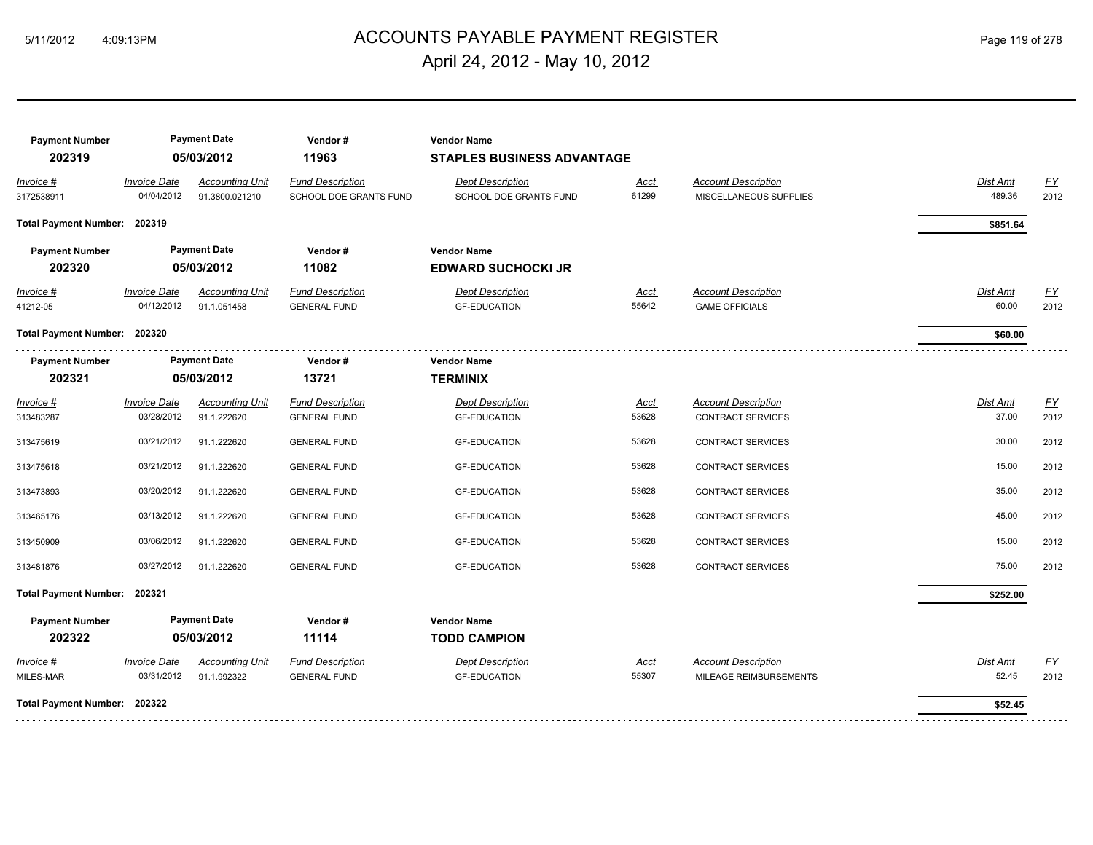# ACCOUNTS PAYABLE PAYMENT REGISTER 5/11/2012 4:09:13PM Page 119 of 278 April 24, 2012 - May 10, 2012

| <b>Payment Number</b><br>202319                              |                                          | <b>Payment Date</b><br>05/03/2012        | Vendor#<br>11963                                  | <b>Vendor Name</b><br><b>STAPLES BUSINESS ADVANTAGE</b> |                      |                                                        |                                     |                                   |
|--------------------------------------------------------------|------------------------------------------|------------------------------------------|---------------------------------------------------|---------------------------------------------------------|----------------------|--------------------------------------------------------|-------------------------------------|-----------------------------------|
| Invoice #<br>3172538911                                      | <i><b>Invoice Date</b></i><br>04/04/2012 | <b>Accounting Unit</b><br>91.3800.021210 | <b>Fund Description</b><br>SCHOOL DOE GRANTS FUND | <b>Dept Description</b><br>SCHOOL DOE GRANTS FUND       | Acct<br>61299        | <b>Account Description</b><br>MISCELLANEOUS SUPPLIES   | <b>Dist Amt</b><br>489.36           | $\underline{\mathsf{FY}}$<br>2012 |
| Total Payment Number: 202319                                 |                                          |                                          |                                                   |                                                         |                      |                                                        | \$851.64                            |                                   |
| <b>Payment Number</b><br>202320                              |                                          | <b>Payment Date</b><br>05/03/2012        | Vendor#<br>11082                                  | <b>Vendor Name</b><br><b>EDWARD SUCHOCKI JR</b>         |                      |                                                        |                                     |                                   |
| <b>Invoice #</b><br>41212-05<br>Total Payment Number: 202320 | <b>Invoice Date</b><br>04/12/2012        | <b>Accounting Unit</b><br>91.1.051458    | <b>Fund Description</b><br><b>GENERAL FUND</b>    | <b>Dept Description</b><br><b>GF-EDUCATION</b>          | <u>Acct</u><br>55642 | <b>Account Description</b><br><b>GAME OFFICIALS</b>    | <b>Dist Amt</b><br>60.00<br>\$60.00 | EY<br>2012                        |
| <b>Payment Number</b><br>202321                              | <b>Payment Date</b><br>05/03/2012        |                                          | Vendor#<br>13721                                  | <b>Vendor Name</b><br><b>TERMINIX</b>                   |                      |                                                        |                                     |                                   |
| Invoice #<br>313483287                                       | <b>Invoice Date</b><br>03/28/2012        | <b>Accounting Unit</b><br>91.1.222620    | <b>Fund Description</b><br><b>GENERAL FUND</b>    | <b>Dept Description</b><br><b>GF-EDUCATION</b>          | Acct<br>53628        | <b>Account Description</b><br><b>CONTRACT SERVICES</b> | Dist Amt<br>37.00                   | <u>FY</u><br>2012                 |
| 313475619                                                    | 03/21/2012                               | 91.1.222620                              | <b>GENERAL FUND</b>                               | <b>GF-EDUCATION</b>                                     | 53628                | <b>CONTRACT SERVICES</b>                               | 30.00                               | 2012                              |
| 313475618                                                    | 03/21/2012                               | 91.1.222620                              | <b>GENERAL FUND</b>                               | <b>GF-EDUCATION</b>                                     | 53628                | <b>CONTRACT SERVICES</b>                               | 15.00                               | 2012                              |
| 313473893                                                    | 03/20/2012                               | 91.1.222620                              | <b>GENERAL FUND</b>                               | <b>GF-EDUCATION</b>                                     | 53628                | <b>CONTRACT SERVICES</b>                               | 35.00                               | 2012                              |
| 313465176                                                    | 03/13/2012                               | 91.1.222620                              | <b>GENERAL FUND</b>                               | <b>GF-EDUCATION</b>                                     | 53628                | <b>CONTRACT SERVICES</b>                               | 45.00                               | 2012                              |
| 313450909                                                    | 03/06/2012                               | 91.1.222620                              | <b>GENERAL FUND</b>                               | <b>GF-EDUCATION</b>                                     | 53628                | CONTRACT SERVICES                                      | 15.00                               | 2012                              |
| 313481876                                                    | 03/27/2012                               | 91.1.222620                              | <b>GENERAL FUND</b>                               | <b>GF-EDUCATION</b>                                     | 53628                | CONTRACT SERVICES                                      | 75.00                               | 2012                              |
| Total Payment Number: 202321                                 |                                          |                                          |                                                   |                                                         |                      |                                                        | \$252.00                            |                                   |
| <b>Payment Number</b><br>202322                              |                                          | <b>Payment Date</b><br>05/03/2012        | Vendor#<br>11114                                  | <b>Vendor Name</b><br><b>TODD CAMPION</b>               |                      |                                                        |                                     |                                   |
| $Invoice$ #<br>MILES-MAR                                     | <b>Invoice Date</b><br>03/31/2012        | <b>Accounting Unit</b><br>91.1.992322    | <b>Fund Description</b><br><b>GENERAL FUND</b>    | <b>Dept Description</b><br><b>GF-EDUCATION</b>          | <u>Acct</u><br>55307 | <b>Account Description</b><br>MILEAGE REIMBURSEMENTS   | <b>Dist Amt</b><br>52.45            | <u>FY</u><br>2012                 |
| Total Payment Number: 202322                                 |                                          |                                          |                                                   |                                                         |                      |                                                        | \$52.45                             |                                   |
|                                                              |                                          |                                          |                                                   |                                                         |                      |                                                        |                                     |                                   |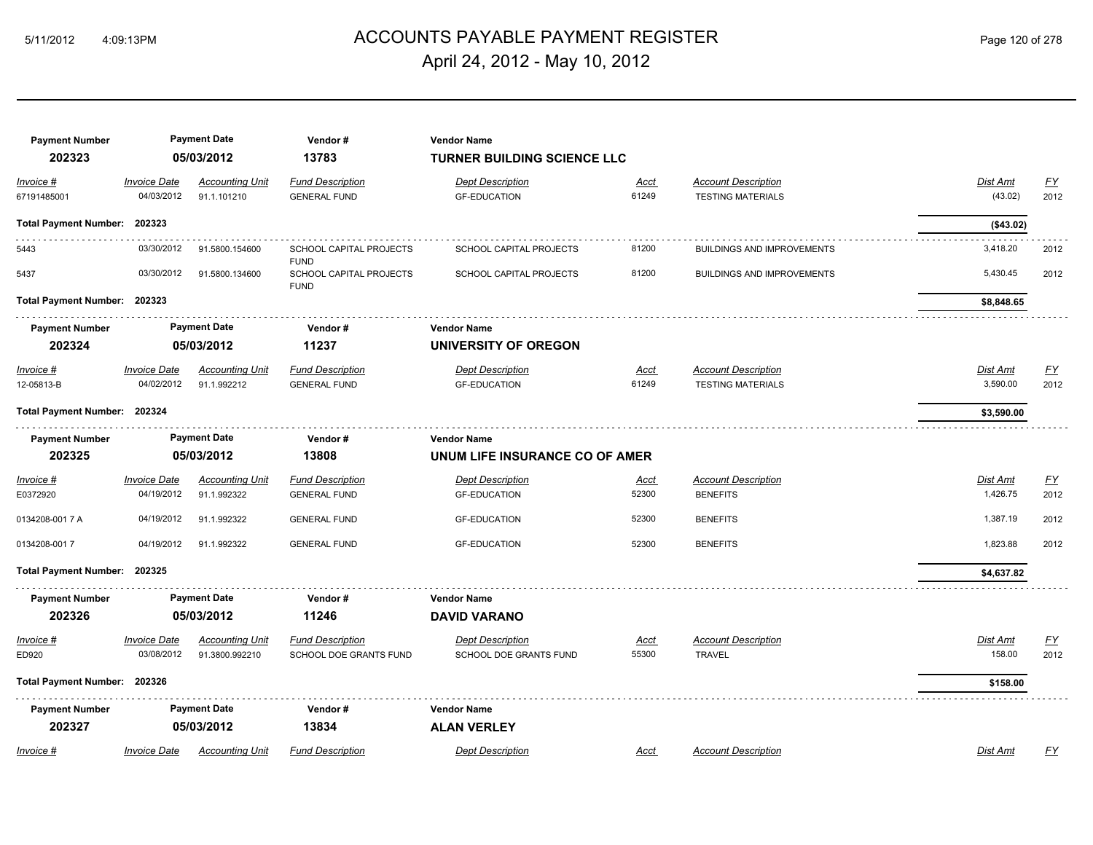# 5/11/2012 4:09:13PM ACCOUNTS PAYABLE PAYMENT REGISTER Page 120 of 278 April 24, 2012 - May 10, 2012

| <b>Payment Number</b><br>202323 |                                   | <b>Payment Date</b><br>05/03/2012        | Vendor#<br>13783                                  | <b>Vendor Name</b><br><b>TURNER BUILDING SCIENCE LLC</b> |                      |                                                        |                      |                          |
|---------------------------------|-----------------------------------|------------------------------------------|---------------------------------------------------|----------------------------------------------------------|----------------------|--------------------------------------------------------|----------------------|--------------------------|
| Invoice #                       | <b>Invoice Date</b>               | <b>Accounting Unit</b>                   | <b>Fund Description</b>                           | <b>Dept Description</b>                                  | Acct                 | <b>Account Description</b>                             | Dist Amt             | <u>FY</u>                |
| 67191485001                     | 04/03/2012                        | 91.1.101210                              | <b>GENERAL FUND</b>                               | <b>GF-EDUCATION</b>                                      | 61249                | <b>TESTING MATERIALS</b>                               | (43.02)              | 2012                     |
| <b>Total Payment Number:</b>    | 202323                            |                                          |                                                   |                                                          |                      |                                                        | (\$43.02)            |                          |
| 5443                            | 03/30/2012                        | 91.5800.154600                           | SCHOOL CAPITAL PROJECTS<br><b>FUND</b>            | SCHOOL CAPITAL PROJECTS                                  | 81200                | <b>BUILDINGS AND IMPROVEMENTS</b>                      | 3,418.20             | 2012                     |
| 5437                            | 03/30/2012                        | 91.5800.134600                           | SCHOOL CAPITAL PROJECTS<br><b>FUND</b>            | SCHOOL CAPITAL PROJECTS                                  | 81200                | <b>BUILDINGS AND IMPROVEMENTS</b>                      | 5,430.45             | 2012                     |
| Total Payment Number: 202323    |                                   |                                          |                                                   |                                                          |                      |                                                        | \$8,848.65           |                          |
| <b>Payment Number</b>           |                                   | <b>Payment Date</b>                      | Vendor#                                           | <b>Vendor Name</b>                                       |                      |                                                        |                      |                          |
| 202324                          |                                   | 05/03/2012                               | 11237                                             | UNIVERSITY OF OREGON                                     |                      |                                                        |                      |                          |
| Invoice #<br>12-05813-B         | <b>Invoice Date</b><br>04/02/2012 | <b>Accounting Unit</b><br>91.1.992212    | <b>Fund Description</b><br><b>GENERAL FUND</b>    | <b>Dept Description</b><br><b>GF-EDUCATION</b>           | Acct<br>61249        | <b>Account Description</b><br><b>TESTING MATERIALS</b> | Dist Amt<br>3,590.00 | EY<br>2012               |
| Total Payment Number: 202324    |                                   |                                          |                                                   |                                                          |                      |                                                        | \$3,590.00           |                          |
| <b>Payment Number</b>           |                                   | <b>Payment Date</b>                      | Vendor#                                           | <b>Vendor Name</b>                                       |                      |                                                        |                      |                          |
| 202325                          |                                   | 05/03/2012                               | 13808                                             | UNUM LIFE INSURANCE CO OF AMER                           |                      |                                                        |                      |                          |
| Invoice #<br>E0372920           | <b>Invoice Date</b><br>04/19/2012 | <b>Accounting Unit</b><br>91.1.992322    | <b>Fund Description</b><br><b>GENERAL FUND</b>    | <b>Dept Description</b><br><b>GF-EDUCATION</b>           | Acct<br>52300        | <b>Account Description</b><br><b>BENEFITS</b>          | Dist Amt<br>1,426.75 | $\underline{FY}$<br>2012 |
| 0134208-001 7 A                 | 04/19/2012                        | 91.1.992322                              | <b>GENERAL FUND</b>                               | <b>GF-EDUCATION</b>                                      | 52300                | <b>BENEFITS</b>                                        | 1,387.19             | 2012                     |
| 0134208-0017                    | 04/19/2012                        | 91.1.992322                              | <b>GENERAL FUND</b>                               | <b>GF-EDUCATION</b>                                      | 52300                | <b>BENEFITS</b>                                        | 1,823.88             | 2012                     |
| Total Payment Number: 202325    |                                   |                                          |                                                   |                                                          |                      |                                                        | \$4,637.82           |                          |
| <b>Payment Number</b>           |                                   | <b>Payment Date</b>                      | Vendor#                                           | <b>Vendor Name</b>                                       |                      |                                                        |                      |                          |
| 202326                          |                                   | 05/03/2012                               | 11246                                             | <b>DAVID VARANO</b>                                      |                      |                                                        |                      |                          |
| Invoice #<br>ED920              | <b>Invoice Date</b><br>03/08/2012 | <b>Accounting Unit</b><br>91.3800.992210 | <b>Fund Description</b><br>SCHOOL DOE GRANTS FUND | <b>Dept Description</b><br>SCHOOL DOE GRANTS FUND        | <u>Acct</u><br>55300 | <b>Account Description</b><br><b>TRAVEL</b>            | Dist Amt<br>158.00   | <u>FY</u><br>2012        |
| Total Payment Number: 202326    |                                   |                                          |                                                   |                                                          |                      |                                                        | \$158.00             |                          |
| <b>Payment Number</b><br>202327 |                                   | <b>Payment Date</b><br>05/03/2012        | Vendor#<br>13834                                  | <b>Vendor Name</b><br><b>ALAN VERLEY</b>                 |                      |                                                        |                      |                          |
| Invoice #                       | <b>Invoice Date</b>               | <b>Accounting Unit</b>                   | <b>Fund Description</b>                           | <b>Dept Description</b>                                  | Acct                 | <b>Account Description</b>                             | <b>Dist Amt</b>      | FY                       |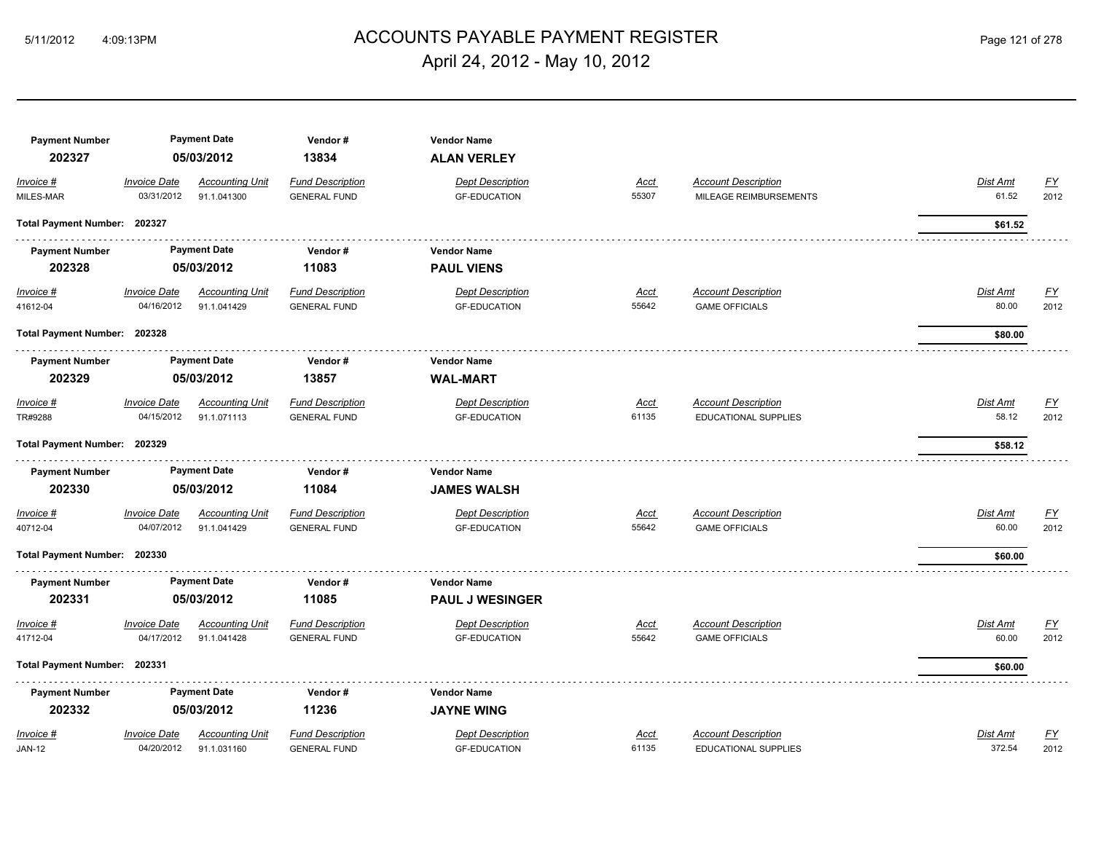# ACCOUNTS PAYABLE PAYMENT REGISTER 5/11/2012 4:09:13PM Page 121 of 278 April 24, 2012 - May 10, 2012

| <b>Payment Number</b><br>202327 |                                   | <b>Payment Date</b><br>05/03/2012     | Vendor#<br>13834                               | <b>Vendor Name</b><br><b>ALAN VERLEY</b>       |               |                                                     |                          |                           |
|---------------------------------|-----------------------------------|---------------------------------------|------------------------------------------------|------------------------------------------------|---------------|-----------------------------------------------------|--------------------------|---------------------------|
| Invoice #                       | <b>Invoice Date</b>               | <b>Accounting Unit</b>                | <b>Fund Description</b>                        | <b>Dept Description</b>                        | Acct          | <b>Account Description</b>                          | <b>Dist Amt</b>          | <u>FY</u>                 |
| MILES-MAR                       | 03/31/2012                        | 91.1.041300                           | <b>GENERAL FUND</b>                            | <b>GF-EDUCATION</b>                            | 55307         | MILEAGE REIMBURSEMENTS                              | 61.52                    | 2012                      |
| Total Payment Number: 202327    |                                   |                                       |                                                |                                                |               |                                                     | \$61.52                  |                           |
| <b>Payment Number</b>           |                                   | <b>Payment Date</b>                   | Vendor#                                        | <b>Vendor Name</b>                             |               |                                                     |                          |                           |
| 202328                          |                                   | 05/03/2012                            | 11083                                          | <b>PAUL VIENS</b>                              |               |                                                     |                          |                           |
| $Invoice$ #<br>41612-04         | <b>Invoice Date</b><br>04/16/2012 | <b>Accounting Unit</b><br>91.1.041429 | <b>Fund Description</b><br><b>GENERAL FUND</b> | <b>Dept Description</b><br><b>GF-EDUCATION</b> | Acct<br>55642 | <b>Account Description</b><br><b>GAME OFFICIALS</b> | <b>Dist Amt</b><br>80.00 | <u>FY</u><br>2012         |
| Total Payment Number: 202328    |                                   |                                       |                                                |                                                |               |                                                     | \$80.00                  |                           |
| <b>Payment Number</b>           |                                   | <b>Payment Date</b>                   | Vendor#                                        | <b>Vendor Name</b>                             |               |                                                     |                          |                           |
| 202329                          |                                   | 05/03/2012                            | 13857                                          | <b>WAL-MART</b>                                |               |                                                     |                          |                           |
| Invoice #                       | <b>Invoice Date</b>               | <b>Accounting Unit</b>                | <b>Fund Description</b>                        | <b>Dept Description</b>                        | Acct          | <b>Account Description</b>                          | Dist Amt                 | <u>FY</u>                 |
| TR#9288                         | 04/15/2012                        | 91.1.071113                           | <b>GENERAL FUND</b>                            | <b>GF-EDUCATION</b>                            | 61135         | EDUCATIONAL SUPPLIES                                | 58.12                    | 2012                      |
| Total Payment Number: 202329    |                                   |                                       |                                                |                                                |               |                                                     | \$58.12                  |                           |
| <b>Payment Number</b>           |                                   | <b>Payment Date</b>                   | Vendor#                                        | <b>Vendor Name</b>                             |               |                                                     |                          |                           |
| 202330                          |                                   | 05/03/2012                            | 11084                                          | <b>JAMES WALSH</b>                             |               |                                                     |                          |                           |
| Invoice #                       | <b>Invoice Date</b>               | <b>Accounting Unit</b>                | <b>Fund Description</b>                        | <b>Dept Description</b>                        | Acct          | <b>Account Description</b>                          | Dist Amt                 | $\underline{FY}$          |
| 40712-04                        | 04/07/2012                        | 91.1.041429                           | <b>GENERAL FUND</b>                            | <b>GF-EDUCATION</b>                            | 55642         | <b>GAME OFFICIALS</b>                               | 60.00                    | 2012                      |
| Total Payment Number: 202330    |                                   |                                       |                                                |                                                |               |                                                     | \$60.00                  |                           |
| <b>Payment Number</b>           |                                   | <b>Payment Date</b>                   | Vendor#                                        | <b>Vendor Name</b>                             |               |                                                     |                          |                           |
| 202331                          |                                   | 05/03/2012                            | 11085                                          | <b>PAUL J WESINGER</b>                         |               |                                                     |                          |                           |
| Invoice #                       | <b>Invoice Date</b>               | <b>Accounting Unit</b>                | <b>Fund Description</b>                        | <b>Dept Description</b>                        | Acct          | <b>Account Description</b>                          | Dist Amt                 | $\underline{\mathsf{FY}}$ |
| 41712-04                        | 04/17/2012                        | 91.1.041428                           | <b>GENERAL FUND</b>                            | <b>GF-EDUCATION</b>                            | 55642         | <b>GAME OFFICIALS</b>                               | 60.00                    | 2012                      |
| Total Payment Number: 202331    |                                   |                                       |                                                |                                                |               |                                                     | \$60.00                  |                           |
| <b>Payment Number</b>           |                                   | <b>Payment Date</b>                   | Vendor#                                        | <b>Vendor Name</b>                             |               |                                                     |                          |                           |
| 202332                          |                                   | 05/03/2012                            | 11236                                          | <b>JAYNE WING</b>                              |               |                                                     |                          |                           |
| Invoice #                       | <b>Invoice Date</b>               | <b>Accounting Unit</b>                | <b>Fund Description</b>                        | <b>Dept Description</b>                        | Acct          | <b>Account Description</b>                          | <b>Dist Amt</b>          | $\underline{FY}$          |
| <b>JAN-12</b>                   | 04/20/2012                        | 91.1.031160                           | <b>GENERAL FUND</b>                            | <b>GF-EDUCATION</b>                            | 61135         | EDUCATIONAL SUPPLIES                                | 372.54                   | 2012                      |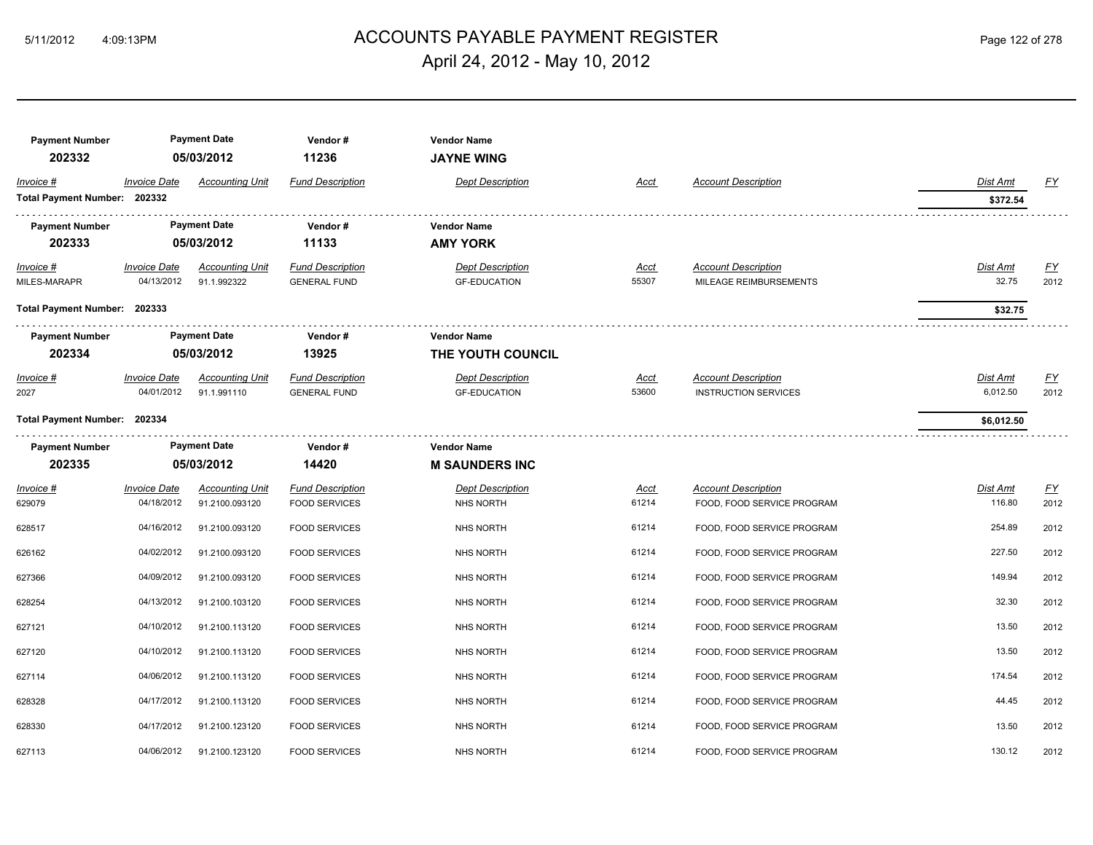# ACCOUNTS PAYABLE PAYMENT REGISTER 5/11/2012 4:09:13PM Page 122 of 278 April 24, 2012 - May 10, 2012

| <b>Payment Number</b><br>202332           |                                   | <b>Payment Date</b><br>05/03/2012        | Vendor#<br>11236                                | <b>Vendor Name</b><br><b>JAYNE WING</b>        |               |                                                           |                          |                          |
|-------------------------------------------|-----------------------------------|------------------------------------------|-------------------------------------------------|------------------------------------------------|---------------|-----------------------------------------------------------|--------------------------|--------------------------|
| Invoice #<br>Total Payment Number: 202332 | <b>Invoice Date</b>               | <b>Accounting Unit</b>                   | <b>Fund Description</b>                         | <b>Dept Description</b>                        | Acct          | <b>Account Description</b>                                | Dist Amt<br>\$372.54     | EY                       |
| <b>Payment Number</b><br>202333           |                                   | <b>Payment Date</b><br>05/03/2012        | Vendor#<br>11133                                | <b>Vendor Name</b><br><b>AMY YORK</b>          |               |                                                           |                          |                          |
| $Invoice$ #<br>MILES-MARAPR               | <b>Invoice Date</b><br>04/13/2012 | <b>Accounting Unit</b><br>91.1.992322    | <b>Fund Description</b><br><b>GENERAL FUND</b>  | <b>Dept Description</b><br><b>GF-EDUCATION</b> | Acct<br>55307 | <b>Account Description</b><br>MILEAGE REIMBURSEMENTS      | <b>Dist Amt</b><br>32.75 | <u>FY</u><br>2012        |
| Total Payment Number: 202333              |                                   |                                          |                                                 |                                                |               |                                                           | \$32.75                  |                          |
| <b>Payment Number</b><br>202334           |                                   | <b>Payment Date</b><br>05/03/2012        | Vendor#<br>13925                                | <b>Vendor Name</b><br>THE YOUTH COUNCIL        |               |                                                           |                          |                          |
| Invoice #<br>2027                         | <b>Invoice Date</b><br>04/01/2012 | <b>Accounting Unit</b><br>91.1.991110    | <b>Fund Description</b><br><b>GENERAL FUND</b>  | <b>Dept Description</b><br><b>GF-EDUCATION</b> | Acct<br>53600 | <b>Account Description</b><br><b>INSTRUCTION SERVICES</b> | Dist Amt<br>6,012.50     | EY<br>2012               |
| Total Payment Number: 202334              |                                   |                                          |                                                 |                                                |               |                                                           | \$6,012.50               |                          |
| <b>Payment Number</b><br>202335           |                                   | <b>Payment Date</b><br>05/03/2012        | Vendor#<br>14420                                | <b>Vendor Name</b><br><b>M SAUNDERS INC</b>    |               |                                                           |                          |                          |
| Invoice #<br>629079                       | <b>Invoice Date</b><br>04/18/2012 | <b>Accounting Unit</b><br>91.2100.093120 | <b>Fund Description</b><br><b>FOOD SERVICES</b> | <b>Dept Description</b><br><b>NHS NORTH</b>    | Acct<br>61214 | <b>Account Description</b><br>FOOD, FOOD SERVICE PROGRAM  | Dist Amt<br>116.80       | $\underline{FY}$<br>2012 |
| 628517                                    | 04/16/2012                        | 91.2100.093120                           | <b>FOOD SERVICES</b>                            | <b>NHS NORTH</b>                               | 61214         | FOOD, FOOD SERVICE PROGRAM                                | 254.89                   | 2012                     |
| 626162                                    | 04/02/2012                        | 91.2100.093120                           | <b>FOOD SERVICES</b>                            | NHS NORTH                                      | 61214         | FOOD, FOOD SERVICE PROGRAM                                | 227.50                   | 2012                     |
| 627366                                    | 04/09/2012                        | 91.2100.093120                           | <b>FOOD SERVICES</b>                            | <b>NHS NORTH</b>                               | 61214         | FOOD, FOOD SERVICE PROGRAM                                | 149.94                   | 2012                     |
| 628254                                    | 04/13/2012                        | 91.2100.103120                           | <b>FOOD SERVICES</b>                            | <b>NHS NORTH</b>                               | 61214         | FOOD, FOOD SERVICE PROGRAM                                | 32.30                    | 2012                     |
| 627121                                    | 04/10/2012                        | 91.2100.113120                           | <b>FOOD SERVICES</b>                            | <b>NHS NORTH</b>                               | 61214         | FOOD, FOOD SERVICE PROGRAM                                | 13.50                    | 2012                     |
| 627120                                    | 04/10/2012                        | 91.2100.113120                           | <b>FOOD SERVICES</b>                            | <b>NHS NORTH</b>                               | 61214         | FOOD, FOOD SERVICE PROGRAM                                | 13.50                    | 2012                     |
| 627114                                    | 04/06/2012                        | 91.2100.113120                           | <b>FOOD SERVICES</b>                            | <b>NHS NORTH</b>                               | 61214         | FOOD, FOOD SERVICE PROGRAM                                | 174.54                   | 2012                     |
| 628328                                    | 04/17/2012                        | 91.2100.113120                           | <b>FOOD SERVICES</b>                            | <b>NHS NORTH</b>                               | 61214         | FOOD, FOOD SERVICE PROGRAM                                | 44.45                    | 2012                     |
| 628330                                    | 04/17/2012                        | 91.2100.123120                           | <b>FOOD SERVICES</b>                            | <b>NHS NORTH</b>                               | 61214         | FOOD, FOOD SERVICE PROGRAM                                | 13.50                    | 2012                     |
| 627113                                    | 04/06/2012                        | 91.2100.123120                           | <b>FOOD SERVICES</b>                            | <b>NHS NORTH</b>                               | 61214         | FOOD, FOOD SERVICE PROGRAM                                | 130.12                   | 2012                     |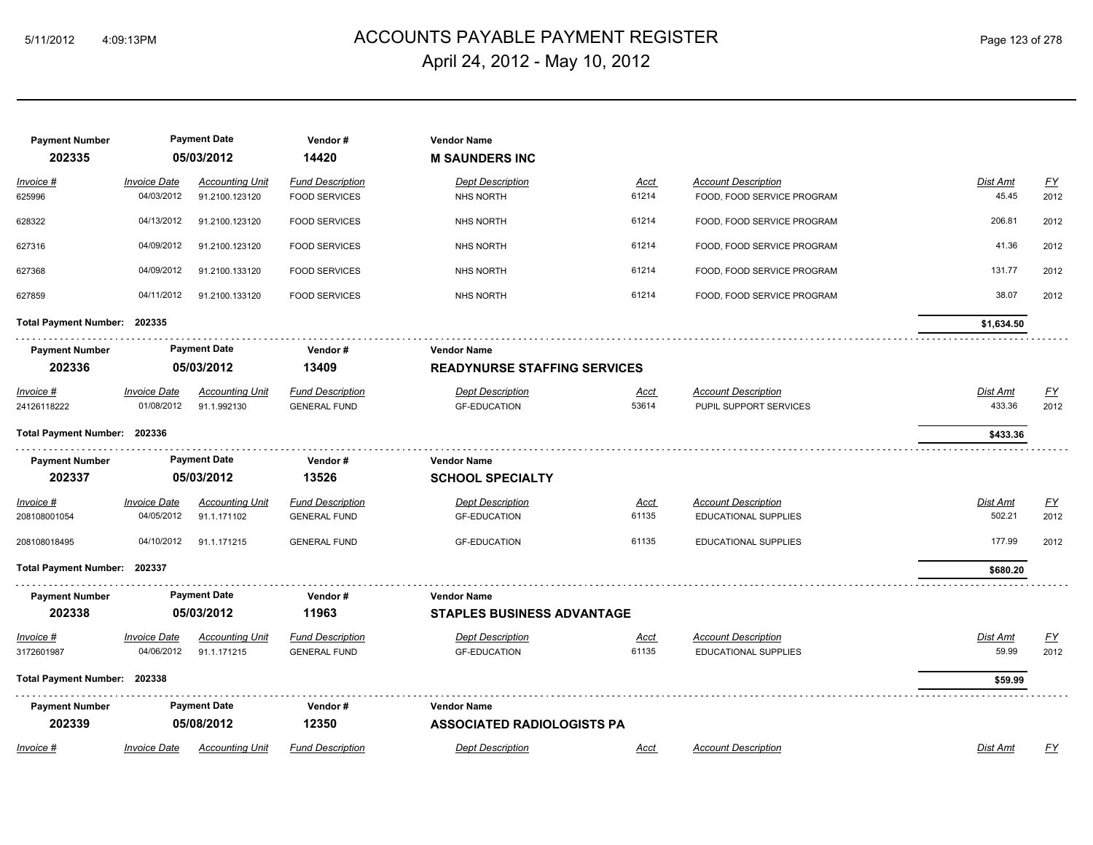# ACCOUNTS PAYABLE PAYMENT REGISTER 5/11/2012 4:09:13PM Page 123 of 278 April 24, 2012 - May 10, 2012

| <b>Payment Number</b><br>202335 |                     | <b>Payment Date</b><br>05/03/2012 | Vendor#<br>14420        | <b>Vendor Name</b><br><b>M SAUNDERS INC</b> |             |                             |                 |           |
|---------------------------------|---------------------|-----------------------------------|-------------------------|---------------------------------------------|-------------|-----------------------------|-----------------|-----------|
| Invoice #                       | <b>Invoice Date</b> | <b>Accounting Unit</b>            | <b>Fund Description</b> | <b>Dept Description</b>                     | Acct        | <b>Account Description</b>  | Dist Amt        | <u>FY</u> |
| 625996                          | 04/03/2012          | 91.2100.123120                    | <b>FOOD SERVICES</b>    | <b>NHS NORTH</b>                            | 61214       | FOOD, FOOD SERVICE PROGRAM  | 45.45           | 2012      |
| 628322                          | 04/13/2012          | 91.2100.123120                    | <b>FOOD SERVICES</b>    | <b>NHS NORTH</b>                            | 61214       | FOOD, FOOD SERVICE PROGRAM  | 206.81          | 2012      |
| 627316                          | 04/09/2012          | 91.2100.123120                    | <b>FOOD SERVICES</b>    | <b>NHS NORTH</b>                            | 61214       | FOOD, FOOD SERVICE PROGRAM  | 41.36           | 2012      |
| 627368                          | 04/09/2012          | 91.2100.133120                    | <b>FOOD SERVICES</b>    | <b>NHS NORTH</b>                            | 61214       | FOOD, FOOD SERVICE PROGRAM  | 131.77          | 2012      |
| 627859                          | 04/11/2012          | 91.2100.133120                    | <b>FOOD SERVICES</b>    | <b>NHS NORTH</b>                            | 61214       | FOOD, FOOD SERVICE PROGRAM  | 38.07           | 2012      |
| Total Payment Number: 202335    |                     |                                   |                         |                                             |             |                             | \$1,634.50      |           |
| <b>Payment Number</b>           |                     | <b>Payment Date</b>               | Vendor#                 | <b>Vendor Name</b>                          |             |                             |                 |           |
| 202336                          | 05/03/2012          |                                   | 13409                   | <b>READYNURSE STAFFING SERVICES</b>         |             |                             |                 |           |
| $Invoice$ #                     | <b>Invoice Date</b> | <b>Accounting Unit</b>            | <b>Fund Description</b> | <b>Dept Description</b>                     | <u>Acct</u> | <b>Account Description</b>  | <b>Dist Amt</b> | <u>FY</u> |
| 24126118222                     | 01/08/2012          | 91.1.992130                       | <b>GENERAL FUND</b>     | <b>GF-EDUCATION</b>                         | 53614       | PUPIL SUPPORT SERVICES      | 433.36          | 2012      |
| Total Payment Number: 202336    |                     |                                   |                         |                                             |             |                             | \$433.36        |           |
| <b>Payment Number</b>           |                     | <b>Payment Date</b>               | Vendor#                 | <b>Vendor Name</b>                          |             |                             |                 |           |
| 202337                          |                     | 05/03/2012                        | 13526                   | <b>SCHOOL SPECIALTY</b>                     |             |                             |                 |           |
| Invoice #                       | <b>Invoice Date</b> | <b>Accounting Unit</b>            | <b>Fund Description</b> | <b>Dept Description</b>                     | <u>Acct</u> | <b>Account Description</b>  | Dist Amt        | EY        |
| 208108001054                    | 04/05/2012          | 91.1.171102                       | <b>GENERAL FUND</b>     | <b>GF-EDUCATION</b>                         | 61135       | EDUCATIONAL SUPPLIES        | 502.21          | 2012      |
| 208108018495                    | 04/10/2012          | 91.1.171215                       | <b>GENERAL FUND</b>     | <b>GF-EDUCATION</b>                         | 61135       | <b>EDUCATIONAL SUPPLIES</b> | 177.99          | 2012      |
| Total Payment Number: 202337    |                     |                                   |                         |                                             |             |                             | \$680.20        |           |
| <b>Payment Number</b>           |                     | <b>Payment Date</b>               | Vendor#                 | <b>Vendor Name</b>                          |             |                             |                 |           |
| 202338                          |                     | 05/03/2012                        | 11963                   | <b>STAPLES BUSINESS ADVANTAGE</b>           |             |                             |                 |           |
| Invoice #                       | <b>Invoice Date</b> | <b>Accounting Unit</b>            | <b>Fund Description</b> | <b>Dept Description</b>                     | <u>Acct</u> | <b>Account Description</b>  | Dist Amt        | <u>FY</u> |
| 3172601987                      | 04/06/2012          | 91.1.171215                       | <b>GENERAL FUND</b>     | <b>GF-EDUCATION</b>                         | 61135       | <b>EDUCATIONAL SUPPLIES</b> | 59.99           | 2012      |
| Total Payment Number: 202338    |                     |                                   |                         |                                             |             |                             | \$59.99         |           |
| <b>Payment Number</b>           |                     | <b>Payment Date</b>               | Vendor#                 | <b>Vendor Name</b>                          |             |                             |                 |           |
| 202339                          |                     | 05/08/2012                        | 12350                   | <b>ASSOCIATED RADIOLOGISTS PA</b>           |             |                             |                 |           |
| Invoice #                       | <b>Invoice Date</b> | <b>Accounting Unit</b>            | <b>Fund Description</b> | <b>Dept Description</b>                     | Acct        | <b>Account Description</b>  | Dist Amt        | FY        |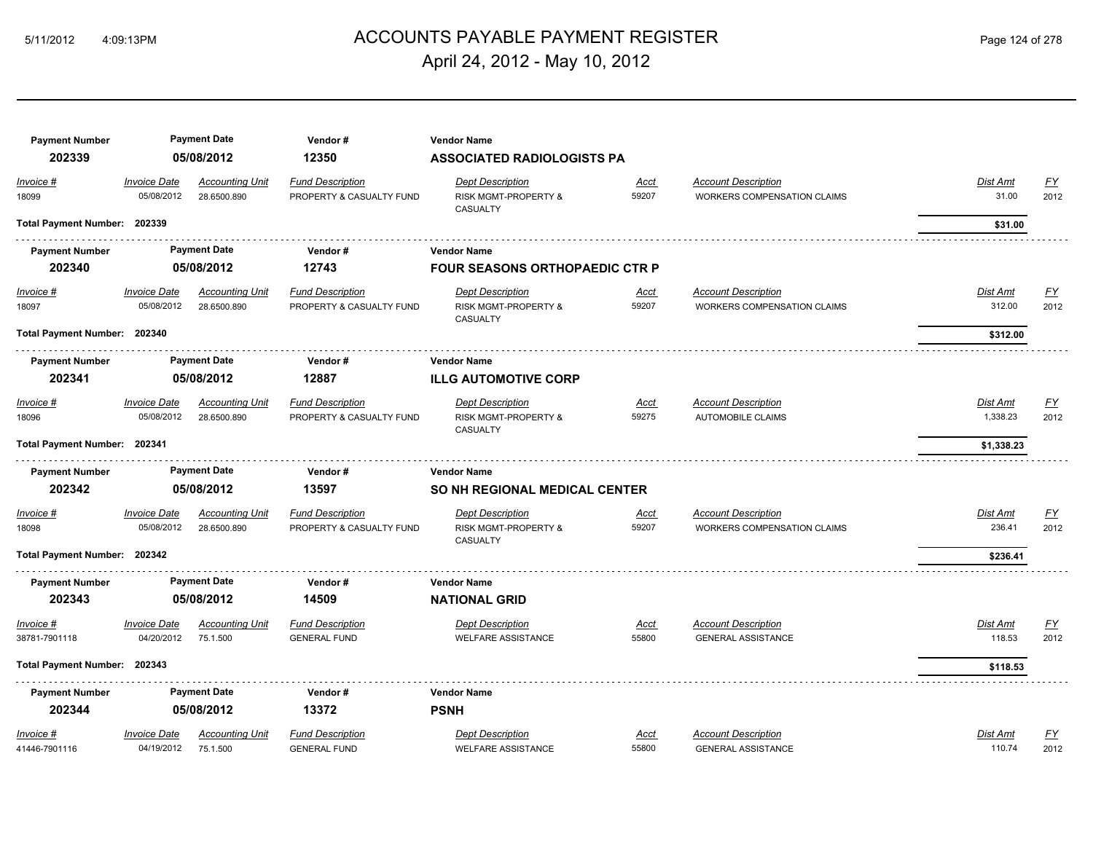# ACCOUNTS PAYABLE PAYMENT REGISTER 5/11/2012 4:09:13PM Page 124 of 278 April 24, 2012 - May 10, 2012

| <b>Payment Number</b>        |                                   | <b>Payment Date</b>                   | Vendor#                                             | <b>Vendor Name</b>                                          |                      |                                                                  |                           |                   |
|------------------------------|-----------------------------------|---------------------------------------|-----------------------------------------------------|-------------------------------------------------------------|----------------------|------------------------------------------------------------------|---------------------------|-------------------|
| 202339                       |                                   | 05/08/2012                            | 12350                                               | <b>ASSOCIATED RADIOLOGISTS PA</b>                           |                      |                                                                  |                           |                   |
| Invoice #<br>18099           | <b>Invoice Date</b><br>05/08/2012 | <b>Accounting Unit</b><br>28.6500.890 | <b>Fund Description</b><br>PROPERTY & CASUALTY FUND | <b>Dept Description</b><br>RISK MGMT-PROPERTY &<br>CASUALTY | <u>Acct</u><br>59207 | <b>Account Description</b><br><b>WORKERS COMPENSATION CLAIMS</b> | Dist Amt<br>31.00         | EY<br>2012        |
| Total Payment Number: 202339 |                                   |                                       |                                                     |                                                             |                      |                                                                  | \$31.00                   |                   |
| <b>Payment Number</b>        |                                   | <b>Payment Date</b>                   | Vendor#                                             | <b>Vendor Name</b>                                          |                      |                                                                  |                           |                   |
| 202340                       |                                   | 05/08/2012                            | 12743                                               | <b>FOUR SEASONS ORTHOPAEDIC CTR P</b>                       |                      |                                                                  |                           |                   |
| $Invoice$ #<br>18097         | <b>Invoice Date</b><br>05/08/2012 | <b>Accounting Unit</b><br>28.6500.890 | <b>Fund Description</b><br>PROPERTY & CASUALTY FUND | <b>Dept Description</b><br>RISK MGMT-PROPERTY &<br>CASUALTY | <b>Acct</b><br>59207 | <b>Account Description</b><br>WORKERS COMPENSATION CLAIMS        | <b>Dist Amt</b><br>312.00 | <u>FY</u><br>2012 |
| Total Payment Number: 202340 |                                   |                                       |                                                     |                                                             |                      |                                                                  | \$312.00                  |                   |
| <b>Payment Number</b>        |                                   | <b>Payment Date</b>                   | Vendor #                                            | <b>Vendor Name</b>                                          |                      |                                                                  |                           |                   |
| 202341                       |                                   | 05/08/2012                            | 12887                                               | <b>ILLG AUTOMOTIVE CORP</b>                                 |                      |                                                                  |                           |                   |
| Invoice #<br>18096           | <b>Invoice Date</b><br>05/08/2012 | <b>Accounting Unit</b><br>28.6500.890 | <b>Fund Description</b><br>PROPERTY & CASUALTY FUND | <b>Dept Description</b><br>RISK MGMT-PROPERTY &<br>CASUALTY | <u>Acct</u><br>59275 | <b>Account Description</b><br><b>AUTOMOBILE CLAIMS</b>           | Dist Amt<br>1,338.23      | EY<br>2012        |
| Total Payment Number: 202341 |                                   |                                       |                                                     |                                                             |                      |                                                                  | \$1,338.23                |                   |
| <b>Payment Number</b>        |                                   | <b>Payment Date</b>                   | Vendor#                                             | <b>Vendor Name</b>                                          |                      |                                                                  |                           |                   |
| 202342                       |                                   | 05/08/2012                            | 13597                                               | SO NH REGIONAL MEDICAL CENTER                               |                      |                                                                  |                           |                   |
| Invoice #<br>18098           | <b>Invoice Date</b><br>05/08/2012 | <b>Accounting Unit</b><br>28.6500.890 | <b>Fund Description</b><br>PROPERTY & CASUALTY FUND | <b>Dept Description</b><br>RISK MGMT-PROPERTY &<br>CASUALTY | <u>Acct</u><br>59207 | <b>Account Description</b><br><b>WORKERS COMPENSATION CLAIMS</b> | Dist Amt<br>236.41        | <u>FY</u><br>2012 |
| Total Payment Number: 202342 |                                   |                                       |                                                     |                                                             |                      |                                                                  | \$236.41                  |                   |
| <b>Payment Number</b>        |                                   | <b>Payment Date</b>                   | Vendor#                                             | <b>Vendor Name</b>                                          |                      |                                                                  |                           |                   |
| 202343                       |                                   | 05/08/2012                            | 14509                                               | <b>NATIONAL GRID</b>                                        |                      |                                                                  |                           |                   |
| Invoice #<br>38781-7901118   | <b>Invoice Date</b><br>04/20/2012 | <b>Accounting Unit</b><br>75.1.500    | <b>Fund Description</b><br><b>GENERAL FUND</b>      | <b>Dept Description</b><br><b>WELFARE ASSISTANCE</b>        | Acct<br>55800        | <b>Account Description</b><br><b>GENERAL ASSISTANCE</b>          | Dist Amt<br>118.53        | <u>FY</u><br>2012 |
| Total Payment Number: 202343 |                                   |                                       |                                                     |                                                             |                      |                                                                  | \$118.53                  |                   |
| <b>Payment Number</b>        |                                   | <b>Payment Date</b>                   | Vendor#                                             | <b>Vendor Name</b>                                          |                      |                                                                  |                           |                   |
| 202344                       |                                   | 05/08/2012                            | 13372                                               | <b>PSNH</b>                                                 |                      |                                                                  |                           |                   |
| Invoice #<br>41446-7901116   | <b>Invoice Date</b><br>04/19/2012 | <b>Accounting Unit</b><br>75.1.500    | <b>Fund Description</b><br><b>GENERAL FUND</b>      | <b>Dept Description</b><br><b>WELFARE ASSISTANCE</b>        | <u>Acct</u><br>55800 | <b>Account Description</b><br><b>GENERAL ASSISTANCE</b>          | Dist Amt<br>110.74        | <u>FY</u><br>2012 |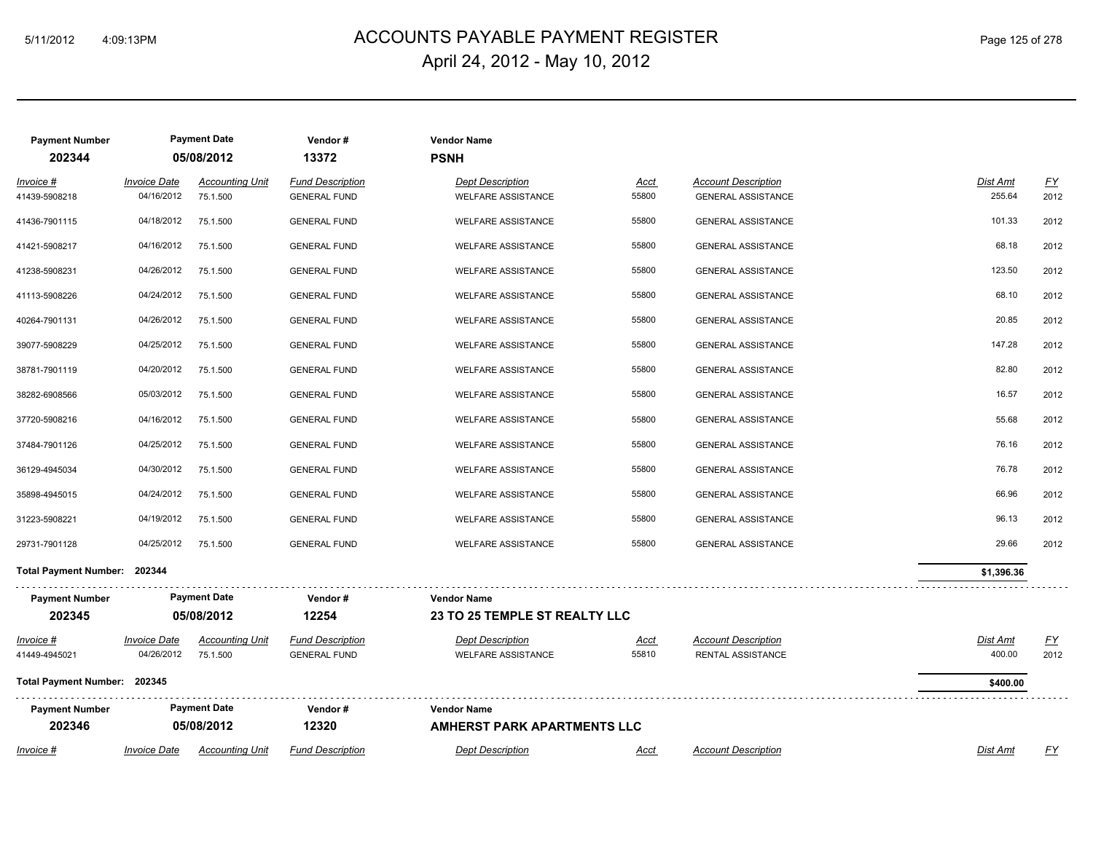# ACCOUNTS PAYABLE PAYMENT REGISTER 5/11/2012 4:09:13PM Page 125 of 278 April 24, 2012 - May 10, 2012

| <b>Payment Number</b><br>202344 |                                   | <b>Payment Date</b><br>05/08/2012  | Vendor#<br>13372                               | <b>Vendor Name</b><br><b>PSNH</b>                    |                      |                                                         |                           |                          |
|---------------------------------|-----------------------------------|------------------------------------|------------------------------------------------|------------------------------------------------------|----------------------|---------------------------------------------------------|---------------------------|--------------------------|
| Invoice #<br>41439-5908218      | <b>Invoice Date</b><br>04/16/2012 | <b>Accounting Unit</b><br>75.1.500 | <b>Fund Description</b><br><b>GENERAL FUND</b> | <b>Dept Description</b><br><b>WELFARE ASSISTANCE</b> | Acct<br>55800        | <b>Account Description</b><br><b>GENERAL ASSISTANCE</b> | Dist Amt<br>255.64        | $\underline{FY}$<br>2012 |
| 41436-7901115                   | 04/18/2012                        | 75.1.500                           | <b>GENERAL FUND</b>                            | <b>WELFARE ASSISTANCE</b>                            | 55800                | <b>GENERAL ASSISTANCE</b>                               | 101.33                    | 2012                     |
| 41421-5908217                   | 04/16/2012                        | 75.1.500                           | <b>GENERAL FUND</b>                            | <b>WELFARE ASSISTANCE</b>                            | 55800                | <b>GENERAL ASSISTANCE</b>                               | 68.18                     | 2012                     |
| 41238-5908231                   | 04/26/2012                        | 75.1.500                           | <b>GENERAL FUND</b>                            | <b>WELFARE ASSISTANCE</b>                            | 55800                | <b>GENERAL ASSISTANCE</b>                               | 123.50                    | 2012                     |
| 41113-5908226                   | 04/24/2012                        | 75.1.500                           | <b>GENERAL FUND</b>                            | WELFARE ASSISTANCE                                   | 55800                | <b>GENERAL ASSISTANCE</b>                               | 68.10                     | 2012                     |
| 40264-7901131                   | 04/26/2012                        | 75.1.500                           | <b>GENERAL FUND</b>                            | WELFARE ASSISTANCE                                   | 55800                | <b>GENERAL ASSISTANCE</b>                               | 20.85                     | 2012                     |
| 39077-5908229                   | 04/25/2012                        | 75.1.500                           | <b>GENERAL FUND</b>                            | <b>WELFARE ASSISTANCE</b>                            | 55800                | <b>GENERAL ASSISTANCE</b>                               | 147.28                    | 2012                     |
| 38781-7901119                   | 04/20/2012                        | 75.1.500                           | <b>GENERAL FUND</b>                            | <b>WELFARE ASSISTANCE</b>                            | 55800                | <b>GENERAL ASSISTANCE</b>                               | 82.80                     | 2012                     |
| 38282-6908566                   | 05/03/2012                        | 75.1.500                           | <b>GENERAL FUND</b>                            | <b>WELFARE ASSISTANCE</b>                            | 55800                | <b>GENERAL ASSISTANCE</b>                               | 16.57                     | 2012                     |
| 37720-5908216                   | 04/16/2012                        | 75.1.500                           | <b>GENERAL FUND</b>                            | <b>WELFARE ASSISTANCE</b>                            | 55800                | <b>GENERAL ASSISTANCE</b>                               | 55.68                     | 2012                     |
| 37484-7901126                   | 04/25/2012                        | 75.1.500                           | <b>GENERAL FUND</b>                            | <b>WELFARE ASSISTANCE</b>                            | 55800                | <b>GENERAL ASSISTANCE</b>                               | 76.16                     | 2012                     |
| 36129-4945034                   | 04/30/2012                        | 75.1.500                           | <b>GENERAL FUND</b>                            | <b>WELFARE ASSISTANCE</b>                            | 55800                | <b>GENERAL ASSISTANCE</b>                               | 76.78                     | 2012                     |
| 35898-4945015                   | 04/24/2012                        | 75.1.500                           | <b>GENERAL FUND</b>                            | <b>WELFARE ASSISTANCE</b>                            | 55800                | <b>GENERAL ASSISTANCE</b>                               | 66.96                     | 2012                     |
| 31223-5908221                   | 04/19/2012                        | 75.1.500                           | <b>GENERAL FUND</b>                            | <b>WELFARE ASSISTANCE</b>                            | 55800                | <b>GENERAL ASSISTANCE</b>                               | 96.13                     | 2012                     |
| 29731-7901128                   | 04/25/2012                        | 75.1.500                           | <b>GENERAL FUND</b>                            | <b>WELFARE ASSISTANCE</b>                            | 55800                | <b>GENERAL ASSISTANCE</b>                               | 29.66                     | 2012                     |
| Total Payment Number: 202344    |                                   |                                    |                                                |                                                      |                      |                                                         | \$1,396.36                |                          |
| <b>Payment Number</b>           |                                   | <b>Payment Date</b>                | Vendor#                                        | <b>Vendor Name</b>                                   |                      |                                                         |                           |                          |
| 202345                          |                                   | 05/08/2012                         | 12254                                          | 23 TO 25 TEMPLE ST REALTY LLC                        |                      |                                                         |                           |                          |
| $Invoice$ #<br>41449-4945021    | <b>Invoice Date</b><br>04/26/2012 | <b>Accounting Unit</b><br>75.1.500 | <b>Fund Description</b><br><b>GENERAL FUND</b> | <b>Dept Description</b><br><b>WELFARE ASSISTANCE</b> | <u>Acct</u><br>55810 | <b>Account Description</b><br><b>RENTAL ASSISTANCE</b>  | <b>Dist Amt</b><br>400.00 | <u>FY</u><br>2012        |
| Total Payment Number: 202345    |                                   |                                    |                                                |                                                      |                      |                                                         | \$400.00                  |                          |
| <b>Payment Number</b><br>202346 |                                   | <b>Payment Date</b><br>05/08/2012  | Vendor#<br>12320                               | <b>Vendor Name</b><br>AMHERST PARK APARTMENTS LLC    |                      |                                                         |                           |                          |
| Invoice #                       | <b>Invoice Date</b>               | <b>Accounting Unit</b>             | <b>Fund Description</b>                        | <b>Dept Description</b>                              | Acct                 | <b>Account Description</b>                              | Dist Amt                  | FY                       |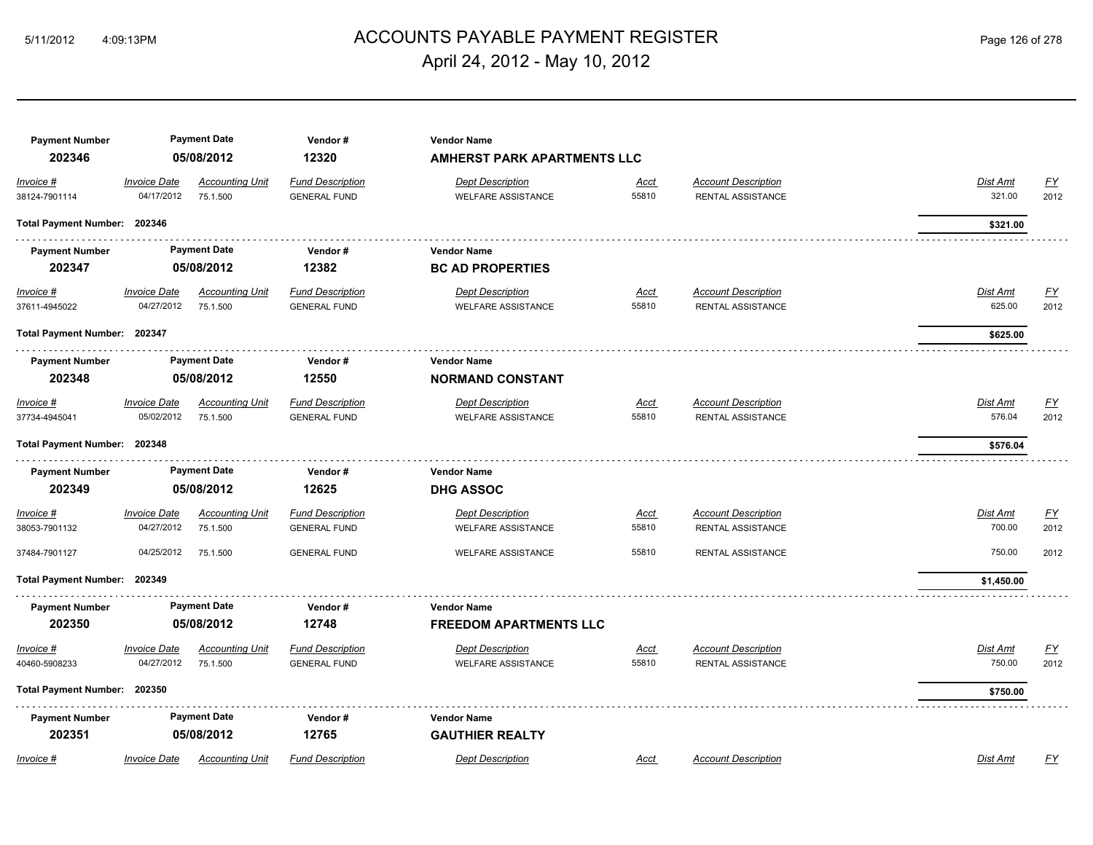# ACCOUNTS PAYABLE PAYMENT REGISTER 5/11/2012 4:09:13PM Page 126 of 278 April 24, 2012 - May 10, 2012

| <b>Payment Number</b><br>202346 |                                   | <b>Payment Date</b><br>05/08/2012  | Vendor#<br>12320                               | <b>Vendor Name</b><br><b>AMHERST PARK APARTMENTS LLC</b> |                      |                                                 |                           |                          |
|---------------------------------|-----------------------------------|------------------------------------|------------------------------------------------|----------------------------------------------------------|----------------------|-------------------------------------------------|---------------------------|--------------------------|
| Invoice #<br>38124-7901114      | <b>Invoice Date</b><br>04/17/2012 | <b>Accounting Unit</b><br>75.1.500 | <b>Fund Description</b><br><b>GENERAL FUND</b> | <b>Dept Description</b><br><b>WELFARE ASSISTANCE</b>     | <b>Acct</b><br>55810 | <b>Account Description</b><br>RENTAL ASSISTANCE | Dist Amt<br>321.00        | $\underline{FY}$<br>2012 |
| Total Payment Number: 202346    |                                   |                                    |                                                |                                                          |                      |                                                 | \$321.00                  |                          |
| <b>Payment Number</b><br>202347 |                                   | <b>Payment Date</b><br>05/08/2012  | Vendor#<br>12382                               | <b>Vendor Name</b><br><b>BC AD PROPERTIES</b>            |                      |                                                 |                           |                          |
| $Invoice$ #<br>37611-4945022    | <b>Invoice Date</b><br>04/27/2012 | <b>Accounting Unit</b><br>75.1.500 | <b>Fund Description</b><br><b>GENERAL FUND</b> | <b>Dept Description</b><br><b>WELFARE ASSISTANCE</b>     | <u>Acct</u><br>55810 | <b>Account Description</b><br>RENTAL ASSISTANCE | <b>Dist Amt</b><br>625.00 | <u>FY</u><br>2012        |
| Total Payment Number: 202347    |                                   |                                    |                                                |                                                          |                      |                                                 | \$625.00                  |                          |
| <b>Payment Number</b><br>202348 |                                   | <b>Payment Date</b><br>05/08/2012  | Vendor#<br>12550                               | <b>Vendor Name</b><br><b>NORMAND CONSTANT</b>            |                      |                                                 |                           |                          |
| Invoice #<br>37734-4945041      | <b>Invoice Date</b><br>05/02/2012 | <b>Accounting Unit</b><br>75.1.500 | <b>Fund Description</b><br><b>GENERAL FUND</b> | <b>Dept Description</b><br><b>WELFARE ASSISTANCE</b>     | <u>Acct</u><br>55810 | <b>Account Description</b><br>RENTAL ASSISTANCE | Dist Amt<br>576.04        | <u>FY</u><br>2012        |
| Total Payment Number: 202348    |                                   |                                    |                                                |                                                          |                      |                                                 | \$576.04                  |                          |
| <b>Payment Number</b><br>202349 |                                   | <b>Payment Date</b><br>05/08/2012  | Vendor#<br>12625                               | <b>Vendor Name</b><br><b>DHG ASSOC</b>                   |                      |                                                 |                           |                          |
| Invoice #<br>38053-7901132      | <b>Invoice Date</b><br>04/27/2012 | <b>Accounting Unit</b><br>75.1.500 | <b>Fund Description</b><br><b>GENERAL FUND</b> | <b>Dept Description</b><br><b>WELFARE ASSISTANCE</b>     | <b>Acct</b><br>55810 | <b>Account Description</b><br>RENTAL ASSISTANCE | Dist Amt<br>700.00        | EY<br>2012               |
| 37484-7901127                   | 04/25/2012                        | 75.1.500                           | <b>GENERAL FUND</b>                            | <b>WELFARE ASSISTANCE</b>                                | 55810                | RENTAL ASSISTANCE                               | 750.00                    | 2012                     |
| <b>Total Payment Number:</b>    | 202349                            |                                    |                                                |                                                          |                      |                                                 | \$1,450.00                |                          |
| <b>Payment Number</b><br>202350 |                                   | <b>Payment Date</b><br>05/08/2012  | Vendor#<br>12748                               | <b>Vendor Name</b><br><b>FREEDOM APARTMENTS LLC</b>      |                      |                                                 |                           |                          |
| $Invoice$ #<br>40460-5908233    | <b>Invoice Date</b><br>04/27/2012 | <b>Accounting Unit</b><br>75.1.500 | <b>Fund Description</b><br><b>GENERAL FUND</b> | <b>Dept Description</b><br><b>WELFARE ASSISTANCE</b>     | <u>Acct</u><br>55810 | <b>Account Description</b><br>RENTAL ASSISTANCE | Dist Amt<br>750.00        | EY<br>2012               |
| Total Payment Number: 202350    |                                   |                                    |                                                |                                                          |                      |                                                 | \$750.00                  |                          |
| <b>Payment Number</b><br>202351 |                                   | <b>Payment Date</b><br>05/08/2012  | Vendor#<br>12765                               | <b>Vendor Name</b><br><b>GAUTHIER REALTY</b>             |                      |                                                 |                           |                          |
| Invoice #                       | <b>Invoice Date</b>               | <b>Accounting Unit</b>             | <b>Fund Description</b>                        | <b>Dept Description</b>                                  | Acct                 | <b>Account Description</b>                      | <b>Dist Amt</b>           | FY                       |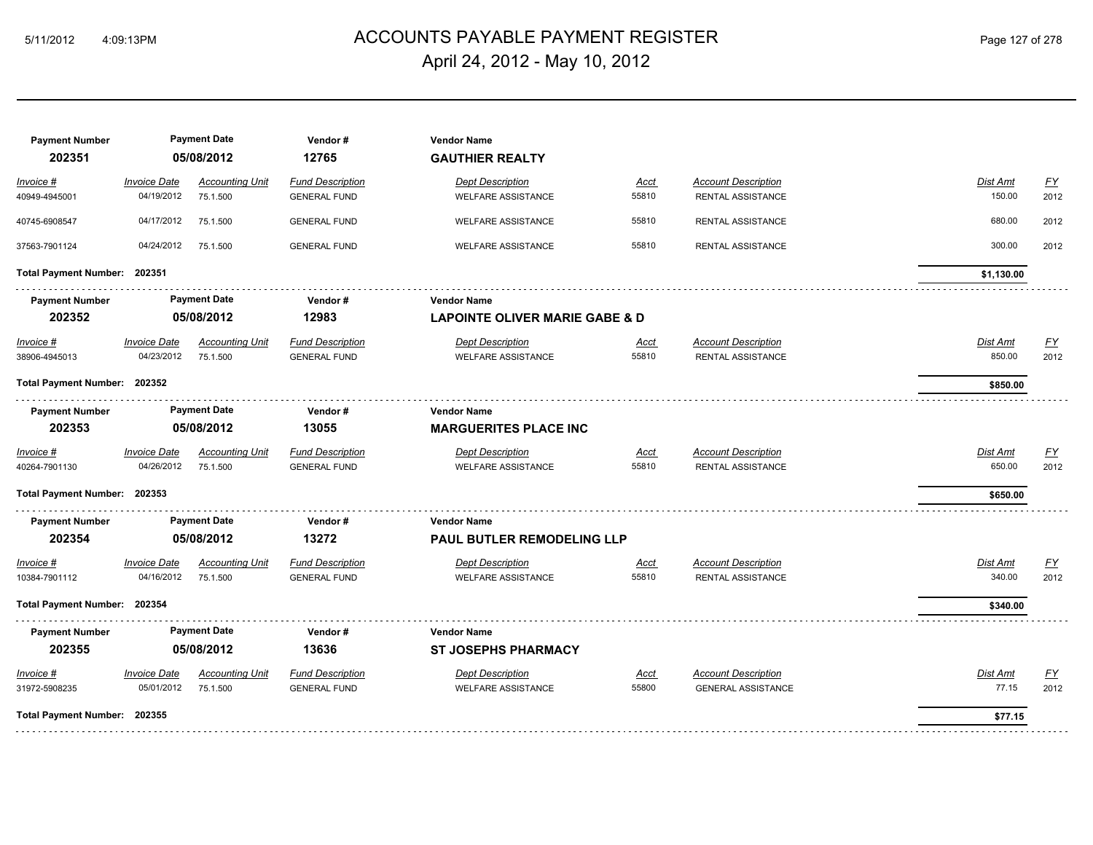# ACCOUNTS PAYABLE PAYMENT REGISTER 5/11/2012 4:09:13PM Page 127 of 278 April 24, 2012 - May 10, 2012

| <b>Payment Number</b><br>202351 |                                   | <b>Payment Date</b><br>05/08/2012  | Vendor#<br>12765                               | <b>Vendor Name</b><br><b>GAUTHIER REALTY</b>         |                      |                                                         |                    |                          |  |  |
|---------------------------------|-----------------------------------|------------------------------------|------------------------------------------------|------------------------------------------------------|----------------------|---------------------------------------------------------|--------------------|--------------------------|--|--|
| Invoice #<br>40949-4945001      | <b>Invoice Date</b><br>04/19/2012 | <b>Accounting Unit</b><br>75.1.500 | <b>Fund Description</b><br><b>GENERAL FUND</b> | <b>Dept Description</b><br><b>WELFARE ASSISTANCE</b> | <b>Acct</b><br>55810 | <b>Account Description</b><br><b>RENTAL ASSISTANCE</b>  | Dist Amt<br>150.00 | $\underline{FY}$<br>2012 |  |  |
| 40745-6908547                   | 04/17/2012                        | 75.1.500                           | <b>GENERAL FUND</b>                            | <b>WELFARE ASSISTANCE</b>                            | 55810                | RENTAL ASSISTANCE                                       | 680.00             | 2012                     |  |  |
| 37563-7901124                   | 04/24/2012                        | 75.1.500                           | <b>GENERAL FUND</b>                            | <b>WELFARE ASSISTANCE</b>                            | 55810                | RENTAL ASSISTANCE                                       | 300.00             | 2012                     |  |  |
| Total Payment Number: 202351    |                                   |                                    |                                                |                                                      |                      |                                                         | \$1,130.00         |                          |  |  |
| <b>Payment Number</b>           |                                   | <b>Payment Date</b>                | Vendor#                                        | <b>Vendor Name</b>                                   |                      |                                                         |                    |                          |  |  |
| 202352                          | 05/08/2012                        |                                    |                                                |                                                      | 12983                | <b>LAPOINTE OLIVER MARIE GABE &amp; D</b>               |                    |                          |  |  |
| $Invoice$ #                     | <b>Invoice Date</b>               | <b>Accounting Unit</b>             | <b>Fund Description</b>                        | <b>Dept Description</b>                              | <u>Acct</u>          | <b>Account Description</b>                              | <b>Dist Amt</b>    | <u>FY</u>                |  |  |
| 38906-4945013                   | 04/23/2012                        | 75.1.500                           | <b>GENERAL FUND</b>                            | <b>WELFARE ASSISTANCE</b>                            | 55810                | <b>RENTAL ASSISTANCE</b>                                | 850.00             | 2012                     |  |  |
| Total Payment Number: 202352    |                                   |                                    |                                                |                                                      |                      |                                                         | \$850.00           |                          |  |  |
| <b>Payment Number</b>           |                                   | <b>Payment Date</b>                | Vendor#                                        | <b>Vendor Name</b>                                   |                      |                                                         |                    |                          |  |  |
| 202353                          |                                   | 05/08/2012                         | 13055                                          | <b>MARGUERITES PLACE INC</b>                         |                      |                                                         |                    |                          |  |  |
| Invoice #                       | <b>Invoice Date</b>               | <b>Accounting Unit</b>             | <b>Fund Description</b>                        | <b>Dept Description</b>                              | Acct                 | <b>Account Description</b>                              | Dist Amt           | <u>FY</u>                |  |  |
| 40264-7901130                   | 04/26/2012                        | 75.1.500                           | <b>GENERAL FUND</b>                            | <b>WELFARE ASSISTANCE</b>                            | 55810                | RENTAL ASSISTANCE                                       | 650.00             | 2012                     |  |  |
| Total Payment Number: 202353    |                                   |                                    |                                                |                                                      |                      |                                                         | \$650.00           |                          |  |  |
| <b>Payment Number</b>           |                                   | <b>Payment Date</b>                | Vendor#                                        | <b>Vendor Name</b>                                   |                      |                                                         |                    |                          |  |  |
| 202354                          |                                   | 05/08/2012                         | 13272                                          | PAUL BUTLER REMODELING LLP                           |                      |                                                         |                    |                          |  |  |
| Invoice #                       | <b>Invoice Date</b>               | <b>Accounting Unit</b>             | <b>Fund Description</b>                        | <b>Dept Description</b>                              | <u>Acct</u>          | <b>Account Description</b>                              | Dist Amt           | <u>FY</u>                |  |  |
| 10384-7901112                   | 04/16/2012                        | 75.1.500                           | <b>GENERAL FUND</b>                            | <b>WELFARE ASSISTANCE</b>                            | 55810                | RENTAL ASSISTANCE                                       | 340.00             | 2012                     |  |  |
| Total Payment Number: 202354    |                                   |                                    |                                                |                                                      |                      |                                                         | \$340.00           |                          |  |  |
| <b>Payment Number</b>           |                                   | <b>Payment Date</b>                | Vendor#                                        | <b>Vendor Name</b>                                   |                      |                                                         |                    |                          |  |  |
| 202355                          |                                   | 05/08/2012                         | 13636                                          | <b>ST JOSEPHS PHARMACY</b>                           |                      |                                                         |                    |                          |  |  |
| Invoice #<br>31972-5908235      | <b>Invoice Date</b><br>05/01/2012 | <b>Accounting Unit</b><br>75.1.500 | <b>Fund Description</b><br><b>GENERAL FUND</b> | <b>Dept Description</b><br><b>WELFARE ASSISTANCE</b> | <u>Acct</u><br>55800 | <b>Account Description</b><br><b>GENERAL ASSISTANCE</b> | Dist Amt<br>77.15  | <u>FY</u><br>2012        |  |  |
| Total Payment Number: 202355    |                                   |                                    |                                                |                                                      |                      |                                                         | \$77.15            |                          |  |  |
|                                 |                                   |                                    |                                                |                                                      |                      |                                                         |                    |                          |  |  |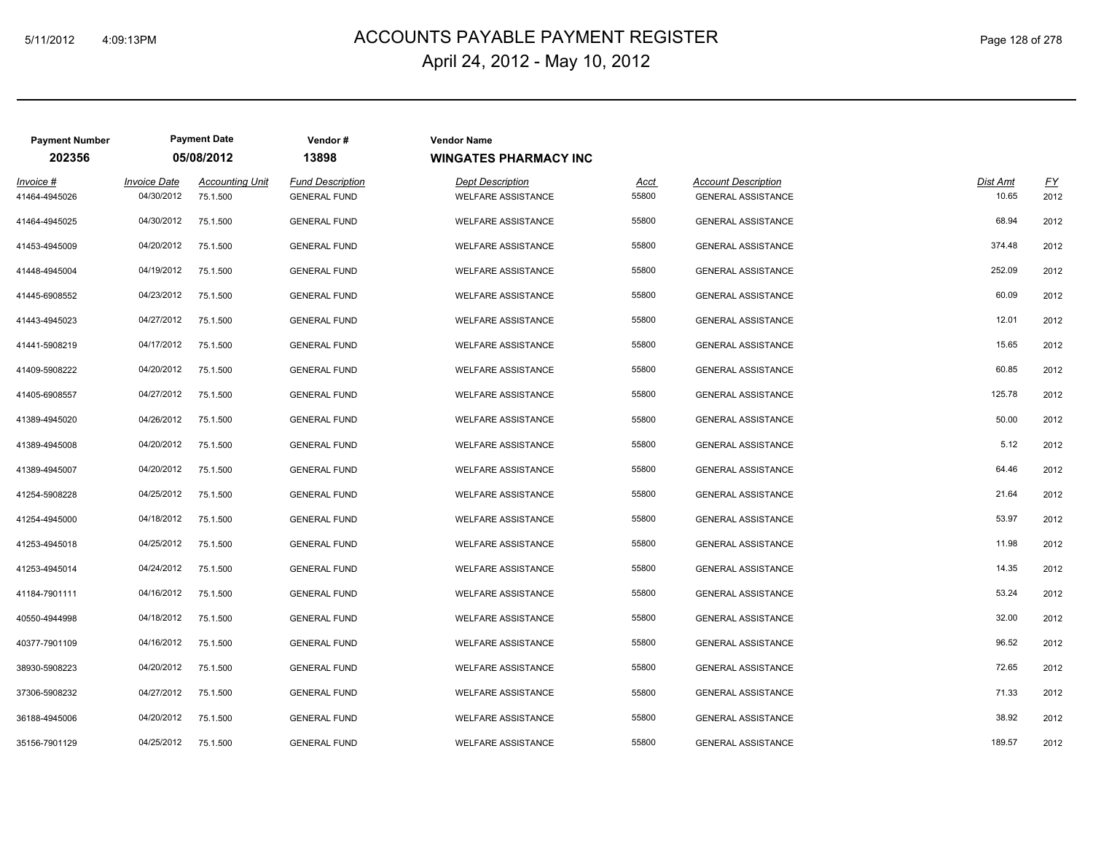# ACCOUNTS PAYABLE PAYMENT REGISTER 5/11/2012 4:09:13PM Page 128 of 278 April 24, 2012 - May 10, 2012

| <b>Payment Number</b>      |                                   | <b>Payment Date</b>                | Vendor#                                        | <b>Vendor Name</b>                                   |               |                                                         |                   |            |
|----------------------------|-----------------------------------|------------------------------------|------------------------------------------------|------------------------------------------------------|---------------|---------------------------------------------------------|-------------------|------------|
| 202356                     |                                   | 05/08/2012                         | 13898                                          | <b>WINGATES PHARMACY INC</b>                         |               |                                                         |                   |            |
| Invoice #<br>41464-4945026 | <b>Invoice Date</b><br>04/30/2012 | <b>Accounting Unit</b><br>75.1.500 | <b>Fund Description</b><br><b>GENERAL FUND</b> | <b>Dept Description</b><br><b>WELFARE ASSISTANCE</b> | Acct<br>55800 | <b>Account Description</b><br><b>GENERAL ASSISTANCE</b> | Dist Amt<br>10.65 | EY<br>2012 |
| 41464-4945025              | 04/30/2012                        | 75.1.500                           | <b>GENERAL FUND</b>                            | <b>WELFARE ASSISTANCE</b>                            | 55800         | <b>GENERAL ASSISTANCE</b>                               | 68.94             | 2012       |
| 41453-4945009              | 04/20/2012                        | 75.1.500                           | <b>GENERAL FUND</b>                            | <b>WELFARE ASSISTANCE</b>                            | 55800         | <b>GENERAL ASSISTANCE</b>                               | 374.48            | 2012       |
| 41448-4945004              | 04/19/2012                        | 75.1.500                           | <b>GENERAL FUND</b>                            | <b>WELFARE ASSISTANCE</b>                            | 55800         | <b>GENERAL ASSISTANCE</b>                               | 252.09            | 2012       |
| 41445-6908552              | 04/23/2012                        | 75.1.500                           | <b>GENERAL FUND</b>                            | <b>WELFARE ASSISTANCE</b>                            | 55800         | <b>GENERAL ASSISTANCE</b>                               | 60.09             | 2012       |
| 41443-4945023              | 04/27/2012                        | 75.1.500                           | <b>GENERAL FUND</b>                            | <b>WELFARE ASSISTANCE</b>                            | 55800         | <b>GENERAL ASSISTANCE</b>                               | 12.01             | 2012       |
| 41441-5908219              | 04/17/2012                        | 75.1.500                           | <b>GENERAL FUND</b>                            | <b>WELFARE ASSISTANCE</b>                            | 55800         | <b>GENERAL ASSISTANCE</b>                               | 15.65             | 2012       |
| 41409-5908222              | 04/20/2012                        | 75.1.500                           | <b>GENERAL FUND</b>                            | <b>WELFARE ASSISTANCE</b>                            | 55800         | <b>GENERAL ASSISTANCE</b>                               | 60.85             | 2012       |
| 41405-6908557              | 04/27/2012                        | 75.1.500                           | <b>GENERAL FUND</b>                            | <b>WELFARE ASSISTANCE</b>                            | 55800         | <b>GENERAL ASSISTANCE</b>                               | 125.78            | 2012       |
| 41389-4945020              | 04/26/2012                        | 75.1.500                           | <b>GENERAL FUND</b>                            | <b>WELFARE ASSISTANCE</b>                            | 55800         | <b>GENERAL ASSISTANCE</b>                               | 50.00             | 2012       |
| 41389-4945008              | 04/20/2012                        | 75.1.500                           | <b>GENERAL FUND</b>                            | <b>WELFARE ASSISTANCE</b>                            | 55800         | <b>GENERAL ASSISTANCE</b>                               | 5.12              | 2012       |
| 41389-4945007              | 04/20/2012                        | 75.1.500                           | <b>GENERAL FUND</b>                            | <b>WELFARE ASSISTANCE</b>                            | 55800         | <b>GENERAL ASSISTANCE</b>                               | 64.46             | 2012       |
| 41254-5908228              | 04/25/2012                        | 75.1.500                           | <b>GENERAL FUND</b>                            | <b>WELFARE ASSISTANCE</b>                            | 55800         | <b>GENERAL ASSISTANCE</b>                               | 21.64             | 2012       |
| 41254-4945000              | 04/18/2012                        | 75.1.500                           | <b>GENERAL FUND</b>                            | <b>WELFARE ASSISTANCE</b>                            | 55800         | <b>GENERAL ASSISTANCE</b>                               | 53.97             | 2012       |
| 41253-4945018              | 04/25/2012                        | 75.1.500                           | <b>GENERAL FUND</b>                            | <b>WELFARE ASSISTANCE</b>                            | 55800         | <b>GENERAL ASSISTANCE</b>                               | 11.98             | 2012       |
| 41253-4945014              | 04/24/2012                        | 75.1.500                           | <b>GENERAL FUND</b>                            | <b>WELFARE ASSISTANCE</b>                            | 55800         | <b>GENERAL ASSISTANCE</b>                               | 14.35             | 2012       |
| 41184-7901111              | 04/16/2012                        | 75.1.500                           | <b>GENERAL FUND</b>                            | <b>WELFARE ASSISTANCE</b>                            | 55800         | <b>GENERAL ASSISTANCE</b>                               | 53.24             | 2012       |
| 40550-4944998              | 04/18/2012                        | 75.1.500                           | <b>GENERAL FUND</b>                            | <b>WELFARE ASSISTANCE</b>                            | 55800         | <b>GENERAL ASSISTANCE</b>                               | 32.00             | 2012       |
| 40377-7901109              | 04/16/2012                        | 75.1.500                           | <b>GENERAL FUND</b>                            | <b>WELFARE ASSISTANCE</b>                            | 55800         | <b>GENERAL ASSISTANCE</b>                               | 96.52             | 2012       |
| 38930-5908223              | 04/20/2012                        | 75.1.500                           | <b>GENERAL FUND</b>                            | <b>WELFARE ASSISTANCE</b>                            | 55800         | <b>GENERAL ASSISTANCE</b>                               | 72.65             | 2012       |
| 37306-5908232              | 04/27/2012                        | 75.1.500                           | <b>GENERAL FUND</b>                            | <b>WELFARE ASSISTANCE</b>                            | 55800         | <b>GENERAL ASSISTANCE</b>                               | 71.33             | 2012       |
| 36188-4945006              | 04/20/2012                        | 75.1.500                           | <b>GENERAL FUND</b>                            | <b>WELFARE ASSISTANCE</b>                            | 55800         | <b>GENERAL ASSISTANCE</b>                               | 38.92             | 2012       |
| 35156-7901129              | 04/25/2012                        | 75.1.500                           | <b>GENERAL FUND</b>                            | <b>WELFARE ASSISTANCE</b>                            | 55800         | GENERAL ASSISTANCE                                      | 189.57            | 2012       |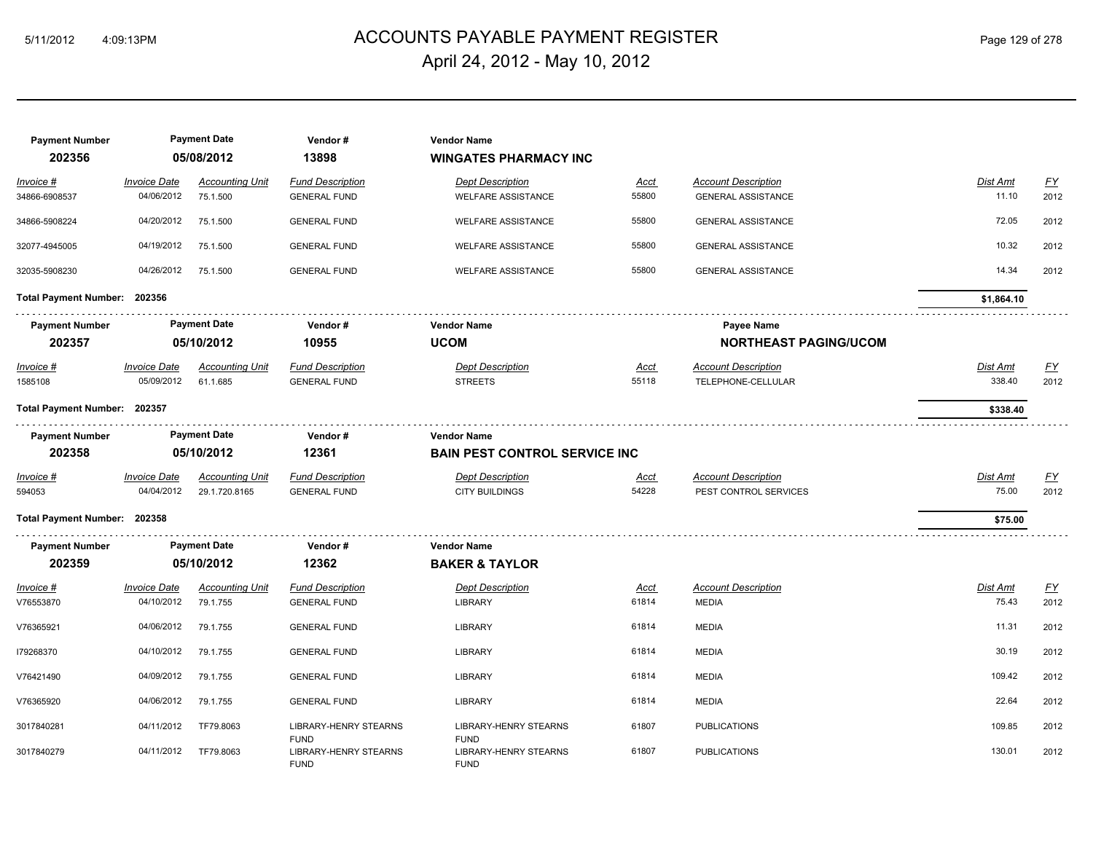# ACCOUNTS PAYABLE PAYMENT REGISTER 5/11/2012 4:09:13PM Page 129 of 278 April 24, 2012 - May 10, 2012

| <b>Payment Number</b><br>202356 |                                    | <b>Payment Date</b><br>05/08/2012  | Vendor#<br>13898                               | <b>Vendor Name</b><br><b>WINGATES PHARMACY INC</b> |               |                                            |                   |                  |
|---------------------------------|------------------------------------|------------------------------------|------------------------------------------------|----------------------------------------------------|---------------|--------------------------------------------|-------------------|------------------|
| Invoice #                       | <b>Invoice Date</b>                | <b>Accounting Unit</b>             | <b>Fund Description</b>                        | <b>Dept Description</b>                            | <b>Acct</b>   | <b>Account Description</b>                 | Dist Amt          | $\underline{FY}$ |
| 34866-6908537                   | 04/06/2012                         | 75.1.500                           | <b>GENERAL FUND</b>                            | <b>WELFARE ASSISTANCE</b>                          | 55800         | <b>GENERAL ASSISTANCE</b>                  | 11.10             | 2012             |
| 34866-5908224                   | 04/20/2012                         | 75.1.500                           | <b>GENERAL FUND</b>                            | <b>WELFARE ASSISTANCE</b>                          | 55800         | <b>GENERAL ASSISTANCE</b>                  | 72.05             | 2012             |
| 32077-4945005                   | 04/19/2012                         | 75.1.500                           | <b>GENERAL FUND</b>                            | <b>WELFARE ASSISTANCE</b>                          | 55800         | <b>GENERAL ASSISTANCE</b>                  | 10.32             | 2012             |
| 32035-5908230                   | 04/26/2012                         | 75.1.500                           | <b>GENERAL FUND</b>                            | <b>WELFARE ASSISTANCE</b>                          | 55800         | <b>GENERAL ASSISTANCE</b>                  | 14.34             | 2012             |
| Total Payment Number: 202356    |                                    |                                    |                                                |                                                    |               |                                            | \$1,864.10        |                  |
| <b>Payment Number</b>           |                                    | <b>Payment Date</b>                | Vendor#                                        | <b>Vendor Name</b>                                 |               | Payee Name                                 |                   |                  |
| 202357                          | 05/10/2012<br>10955<br><b>UCOM</b> |                                    | <b>NORTHEAST PAGING/UCOM</b>                   |                                                    |               |                                            |                   |                  |
| $Invoice$ #                     | <b>Invoice Date</b>                | <b>Accounting Unit</b>             | <b>Fund Description</b>                        | <b>Dept Description</b>                            | Acct          | <b>Account Description</b>                 | Dist Amt          | EY               |
| 1585108                         | 05/09/2012                         | 61.1.685                           | <b>GENERAL FUND</b>                            | <b>STREETS</b>                                     | 55118         | TELEPHONE-CELLULAR                         | 338.40            | 2012             |
| Total Payment Number: 202357    |                                    |                                    |                                                |                                                    |               |                                            | \$338.40          |                  |
| <b>Payment Number</b>           |                                    | <b>Payment Date</b>                | Vendor#                                        | <b>Vendor Name</b>                                 |               |                                            |                   |                  |
| 202358                          |                                    | 05/10/2012                         | 12361                                          | <b>BAIN PEST CONTROL SERVICE INC.</b>              |               |                                            |                   |                  |
| Invoice #                       | <b>Invoice Date</b>                | <b>Accounting Unit</b>             | <b>Fund Description</b>                        | <b>Dept Description</b>                            | Acct          | <b>Account Description</b>                 | Dist Amt          | EY               |
| 594053                          | 04/04/2012                         | 29.1.720.8165                      | <b>GENERAL FUND</b>                            | <b>CITY BUILDINGS</b>                              | 54228         | PEST CONTROL SERVICES                      | 75.00             | 2012             |
| Total Payment Number: 202358    |                                    |                                    |                                                |                                                    |               |                                            | \$75.00           |                  |
| <b>Payment Number</b>           |                                    | <b>Payment Date</b>                | Vendor#                                        | <b>Vendor Name</b>                                 |               |                                            |                   |                  |
| 202359                          |                                    | 05/10/2012                         | 12362                                          | <b>BAKER &amp; TAYLOR</b>                          |               |                                            |                   |                  |
| Invoice #<br>V76553870          | <b>Invoice Date</b><br>04/10/2012  | <b>Accounting Unit</b><br>79.1.755 | <b>Fund Description</b><br><b>GENERAL FUND</b> | <b>Dept Description</b><br><b>LIBRARY</b>          | Acct<br>61814 | <b>Account Description</b><br><b>MEDIA</b> | Dist Amt<br>75.43 | EY<br>2012       |
| V76365921                       | 04/06/2012                         | 79.1.755                           | <b>GENERAL FUND</b>                            | <b>LIBRARY</b>                                     | 61814         | <b>MEDIA</b>                               | 11.31             | 2012             |
| 179268370                       | 04/10/2012                         | 79.1.755                           | <b>GENERAL FUND</b>                            | <b>LIBRARY</b>                                     | 61814         | <b>MEDIA</b>                               | 30.19             | 2012             |
| V76421490                       | 04/09/2012                         | 79.1.755                           | <b>GENERAL FUND</b>                            | <b>LIBRARY</b>                                     | 61814         | <b>MEDIA</b>                               | 109.42            | 2012             |
| V76365920                       | 04/06/2012                         | 79.1.755                           | <b>GENERAL FUND</b>                            | <b>LIBRARY</b>                                     | 61814         | <b>MEDIA</b>                               | 22.64             | 2012             |
| 3017840281                      | 04/11/2012                         | TF79.8063                          | <b>LIBRARY-HENRY STEARNS</b><br><b>FUND</b>    | <b>LIBRARY-HENRY STEARNS</b><br><b>FUND</b>        | 61807         | <b>PUBLICATIONS</b>                        | 109.85            | 2012             |
| 3017840279                      | 04/11/2012                         | TF79,8063                          | <b>LIBRARY-HENRY STEARNS</b><br><b>FUND</b>    | <b>LIBRARY-HENRY STEARNS</b><br><b>FUND</b>        | 61807         | <b>PUBLICATIONS</b>                        | 130.01            | 2012             |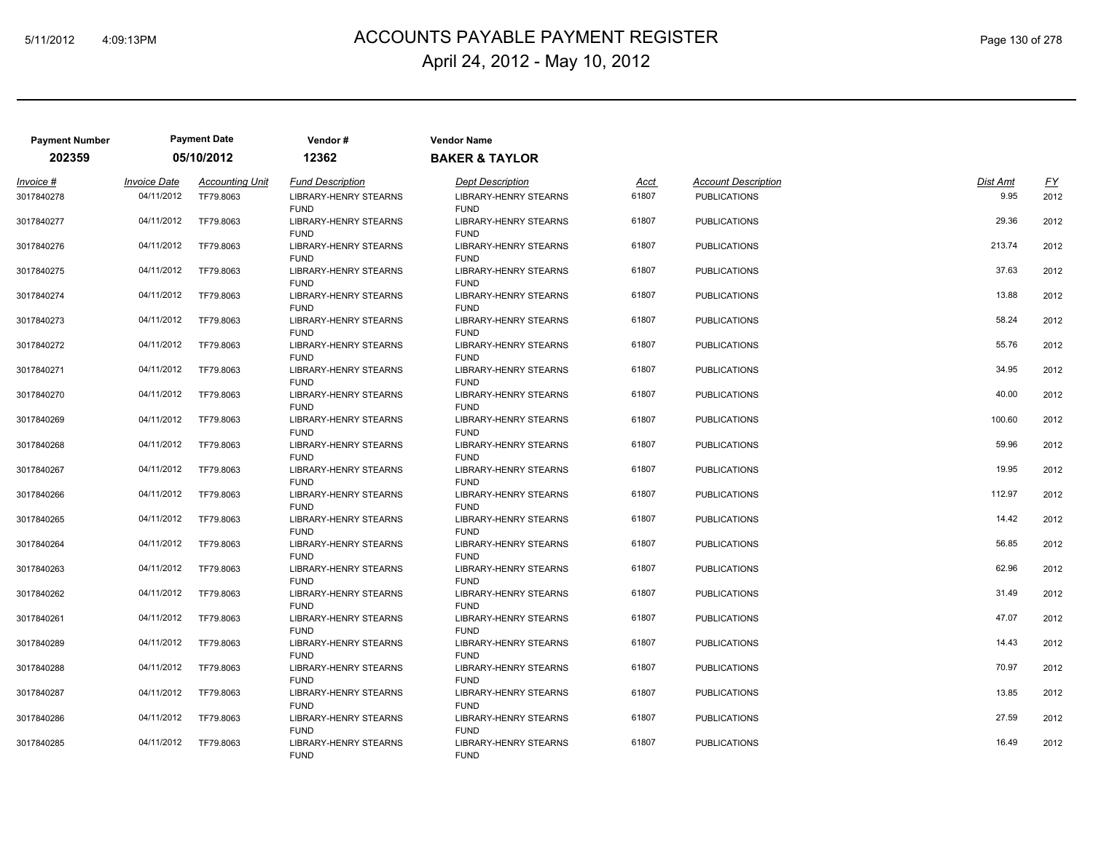# 5/11/2012 4:09:13PM ACCOUNTS PAYABLE PAYMENT REGISTER Page 130 of 278 April 24, 2012 - May 10, 2012

| <b>Payment Number</b> |                     | <b>Payment Date</b>    | Vendor#                                     | <b>Vendor Name</b>                          |       |                            |          |      |
|-----------------------|---------------------|------------------------|---------------------------------------------|---------------------------------------------|-------|----------------------------|----------|------|
| 202359                |                     | 05/10/2012             | 12362                                       | <b>BAKER &amp; TAYLOR</b>                   |       |                            |          |      |
| Invoice #             | <b>Invoice Date</b> | <b>Accounting Unit</b> | <b>Fund Description</b>                     | <b>Dept Description</b>                     | Acct  | <b>Account Description</b> | Dist Amt | EY   |
| 3017840278            | 04/11/2012          | TF79.8063              | <b>LIBRARY-HENRY STEARNS</b><br><b>FUND</b> | <b>LIBRARY-HENRY STEARNS</b><br><b>FUND</b> | 61807 | <b>PUBLICATIONS</b>        | 9.95     | 2012 |
| 3017840277            | 04/11/2012          | TF79,8063              | LIBRARY-HENRY STEARNS<br><b>FUND</b>        | <b>LIBRARY-HENRY STEARNS</b><br><b>FUND</b> | 61807 | <b>PUBLICATIONS</b>        | 29.36    | 2012 |
| 3017840276            | 04/11/2012          | TF79.8063              | LIBRARY-HENRY STEARNS<br><b>FUND</b>        | LIBRARY-HENRY STEARNS<br><b>FUND</b>        | 61807 | <b>PUBLICATIONS</b>        | 213.74   | 2012 |
| 3017840275            | 04/11/2012          | TF79.8063              | LIBRARY-HENRY STEARNS<br><b>FUND</b>        | LIBRARY-HENRY STEARNS<br><b>FUND</b>        | 61807 | <b>PUBLICATIONS</b>        | 37.63    | 2012 |
| 3017840274            | 04/11/2012          | TF79,8063              | LIBRARY-HENRY STEARNS<br><b>FUND</b>        | LIBRARY-HENRY STEARNS<br><b>FUND</b>        | 61807 | <b>PUBLICATIONS</b>        | 13.88    | 2012 |
| 3017840273            | 04/11/2012          | TF79,8063              | LIBRARY-HENRY STEARNS<br><b>FUND</b>        | <b>LIBRARY-HENRY STEARNS</b><br><b>FUND</b> | 61807 | <b>PUBLICATIONS</b>        | 58.24    | 2012 |
| 3017840272            | 04/11/2012          | TF79.8063              | LIBRARY-HENRY STEARNS<br><b>FUND</b>        | LIBRARY-HENRY STEARNS<br><b>FUND</b>        | 61807 | <b>PUBLICATIONS</b>        | 55.76    | 2012 |
| 3017840271            | 04/11/2012          | TF79.8063              | <b>LIBRARY-HENRY STEARNS</b><br><b>FUND</b> | <b>LIBRARY-HENRY STEARNS</b><br><b>FUND</b> | 61807 | <b>PUBLICATIONS</b>        | 34.95    | 2012 |
| 3017840270            | 04/11/2012          | TF79.8063              | LIBRARY-HENRY STEARNS<br><b>FUND</b>        | LIBRARY-HENRY STEARNS<br><b>FUND</b>        | 61807 | <b>PUBLICATIONS</b>        | 40.00    | 2012 |
| 3017840269            | 04/11/2012          | TF79.8063              | LIBRARY-HENRY STEARNS<br><b>FUND</b>        | LIBRARY-HENRY STEARNS<br><b>FUND</b>        | 61807 | <b>PUBLICATIONS</b>        | 100.60   | 2012 |
| 3017840268            | 04/11/2012          | TF79.8063              | LIBRARY-HENRY STEARNS<br><b>FUND</b>        | LIBRARY-HENRY STEARNS<br><b>FUND</b>        | 61807 | <b>PUBLICATIONS</b>        | 59.96    | 2012 |
| 3017840267            | 04/11/2012          | TF79.8063              | <b>LIBRARY-HENRY STEARNS</b><br><b>FUND</b> | <b>LIBRARY-HENRY STEARNS</b><br><b>FUND</b> | 61807 | <b>PUBLICATIONS</b>        | 19.95    | 2012 |
| 3017840266            | 04/11/2012          | TF79.8063              | <b>LIBRARY-HENRY STEARNS</b><br><b>FUND</b> | <b>LIBRARY-HENRY STEARNS</b><br><b>FUND</b> | 61807 | <b>PUBLICATIONS</b>        | 112.97   | 2012 |
| 3017840265            | 04/11/2012          | TF79.8063              | LIBRARY-HENRY STEARNS<br><b>FUND</b>        | LIBRARY-HENRY STEARNS<br><b>FUND</b>        | 61807 | <b>PUBLICATIONS</b>        | 14.42    | 2012 |
| 3017840264            | 04/11/2012          | TF79.8063              | <b>LIBRARY-HENRY STEARNS</b><br><b>FUND</b> | <b>LIBRARY-HENRY STEARNS</b><br><b>FUND</b> | 61807 | <b>PUBLICATIONS</b>        | 56.85    | 2012 |
| 3017840263            | 04/11/2012          | TF79.8063              | LIBRARY-HENRY STEARNS<br><b>FUND</b>        | LIBRARY-HENRY STEARNS<br><b>FUND</b>        | 61807 | <b>PUBLICATIONS</b>        | 62.96    | 2012 |
| 3017840262            | 04/11/2012          | TF79.8063              | LIBRARY-HENRY STEARNS<br><b>FUND</b>        | LIBRARY-HENRY STEARNS<br><b>FUND</b>        | 61807 | <b>PUBLICATIONS</b>        | 31.49    | 2012 |
| 3017840261            | 04/11/2012          | TF79.8063              | <b>LIBRARY-HENRY STEARNS</b><br><b>FUND</b> | <b>LIBRARY-HENRY STEARNS</b><br><b>FUND</b> | 61807 | <b>PUBLICATIONS</b>        | 47.07    | 2012 |
| 3017840289            | 04/11/2012          | TF79.8063              | <b>LIBRARY-HENRY STEARNS</b><br><b>FUND</b> | LIBRARY-HENRY STEARNS<br><b>FUND</b>        | 61807 | <b>PUBLICATIONS</b>        | 14.43    | 2012 |
| 3017840288            | 04/11/2012          | TF79.8063              | LIBRARY-HENRY STEARNS<br><b>FUND</b>        | LIBRARY-HENRY STEARNS<br><b>FUND</b>        | 61807 | <b>PUBLICATIONS</b>        | 70.97    | 2012 |
| 3017840287            | 04/11/2012          | TF79.8063              | LIBRARY-HENRY STEARNS<br><b>FUND</b>        | LIBRARY-HENRY STEARNS<br><b>FUND</b>        | 61807 | <b>PUBLICATIONS</b>        | 13.85    | 2012 |
| 3017840286            | 04/11/2012          | TF79.8063              | <b>LIBRARY-HENRY STEARNS</b><br><b>FUND</b> | <b>LIBRARY-HENRY STEARNS</b><br><b>FUND</b> | 61807 | <b>PUBLICATIONS</b>        | 27.59    | 2012 |
| 3017840285            | 04/11/2012          | TF79,8063              | LIBRARY-HENRY STEARNS<br><b>FUND</b>        | LIBRARY-HENRY STEARNS<br><b>FUND</b>        | 61807 | <b>PUBLICATIONS</b>        | 16.49    | 2012 |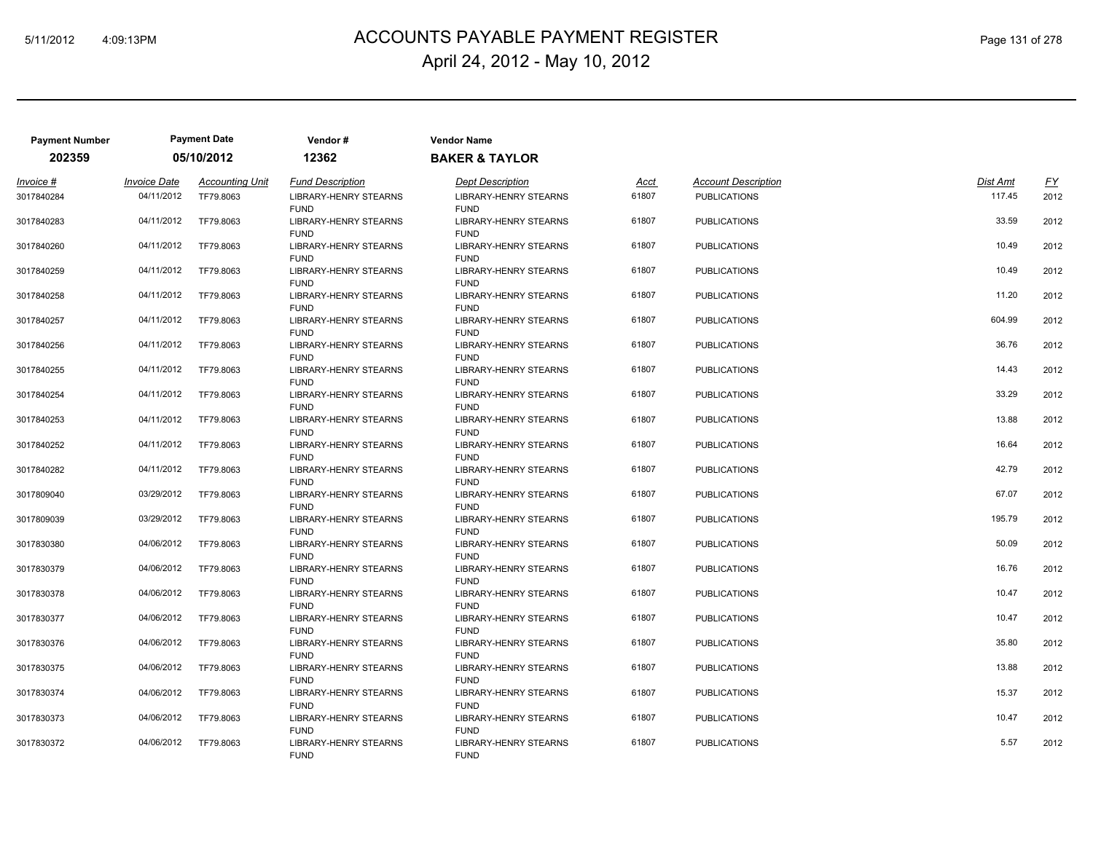# ACCOUNTS PAYABLE PAYMENT REGISTER 5/11/2012 4:09:13PM Page 131 of 278 April 24, 2012 - May 10, 2012

| <b>Payment Number</b> |                     | <b>Payment Date</b>    | Vendor#                                     | <b>Vendor Name</b>                          |       |                            |          |      |
|-----------------------|---------------------|------------------------|---------------------------------------------|---------------------------------------------|-------|----------------------------|----------|------|
| 202359                |                     | 05/10/2012             | 12362                                       | <b>BAKER &amp; TAYLOR</b>                   |       |                            |          |      |
| Invoice #             | <b>Invoice Date</b> | <b>Accounting Unit</b> | <b>Fund Description</b>                     | <b>Dept Description</b>                     | Acct  | <b>Account Description</b> | Dist Amt | EY   |
| 3017840284            | 04/11/2012          | TF79.8063              | <b>LIBRARY-HENRY STEARNS</b><br><b>FUND</b> | <b>LIBRARY-HENRY STEARNS</b><br><b>FUND</b> | 61807 | <b>PUBLICATIONS</b>        | 117.45   | 2012 |
| 3017840283            | 04/11/2012          | TF79.8063              | <b>LIBRARY-HENRY STEARNS</b><br><b>FUND</b> | <b>LIBRARY-HENRY STEARNS</b><br><b>FUND</b> | 61807 | <b>PUBLICATIONS</b>        | 33.59    | 2012 |
| 3017840260            | 04/11/2012          | TF79.8063              | LIBRARY-HENRY STEARNS<br><b>FUND</b>        | LIBRARY-HENRY STEARNS<br><b>FUND</b>        | 61807 | <b>PUBLICATIONS</b>        | 10.49    | 2012 |
| 3017840259            | 04/11/2012          | TF79.8063              | LIBRARY-HENRY STEARNS<br><b>FUND</b>        | LIBRARY-HENRY STEARNS<br><b>FUND</b>        | 61807 | <b>PUBLICATIONS</b>        | 10.49    | 2012 |
| 3017840258            | 04/11/2012          | TF79,8063              | LIBRARY-HENRY STEARNS<br><b>FUND</b>        | LIBRARY-HENRY STEARNS<br><b>FUND</b>        | 61807 | <b>PUBLICATIONS</b>        | 11.20    | 2012 |
| 3017840257            | 04/11/2012          | TF79,8063              | LIBRARY-HENRY STEARNS<br><b>FUND</b>        | <b>LIBRARY-HENRY STEARNS</b><br><b>FUND</b> | 61807 | <b>PUBLICATIONS</b>        | 604.99   | 2012 |
| 3017840256            | 04/11/2012          | TF79.8063              | LIBRARY-HENRY STEARNS<br><b>FUND</b>        | LIBRARY-HENRY STEARNS<br><b>FUND</b>        | 61807 | <b>PUBLICATIONS</b>        | 36.76    | 2012 |
| 3017840255            | 04/11/2012          | TF79.8063              | <b>LIBRARY-HENRY STEARNS</b><br><b>FUND</b> | <b>LIBRARY-HENRY STEARNS</b><br><b>FUND</b> | 61807 | <b>PUBLICATIONS</b>        | 14.43    | 2012 |
| 3017840254            | 04/11/2012          | TF79.8063              | LIBRARY-HENRY STEARNS<br><b>FUND</b>        | LIBRARY-HENRY STEARNS<br><b>FUND</b>        | 61807 | <b>PUBLICATIONS</b>        | 33.29    | 2012 |
| 3017840253            | 04/11/2012          | TF79.8063              | LIBRARY-HENRY STEARNS<br><b>FUND</b>        | LIBRARY-HENRY STEARNS<br><b>FUND</b>        | 61807 | <b>PUBLICATIONS</b>        | 13.88    | 2012 |
| 3017840252            | 04/11/2012          | TF79.8063              | LIBRARY-HENRY STEARNS<br><b>FUND</b>        | LIBRARY-HENRY STEARNS<br><b>FUND</b>        | 61807 | <b>PUBLICATIONS</b>        | 16.64    | 2012 |
| 3017840282            | 04/11/2012          | TF79.8063              | <b>LIBRARY-HENRY STEARNS</b><br><b>FUND</b> | <b>LIBRARY-HENRY STEARNS</b><br><b>FUND</b> | 61807 | <b>PUBLICATIONS</b>        | 42.79    | 2012 |
| 3017809040            | 03/29/2012          | TF79.8063              | <b>LIBRARY-HENRY STEARNS</b><br><b>FUND</b> | <b>LIBRARY-HENRY STEARNS</b><br><b>FUND</b> | 61807 | <b>PUBLICATIONS</b>        | 67.07    | 2012 |
| 3017809039            | 03/29/2012          | TF79.8063              | <b>LIBRARY-HENRY STEARNS</b><br><b>FUND</b> | LIBRARY-HENRY STEARNS<br><b>FUND</b>        | 61807 | <b>PUBLICATIONS</b>        | 195.79   | 2012 |
| 3017830380            | 04/06/2012          | TF79.8063              | <b>LIBRARY-HENRY STEARNS</b><br><b>FUND</b> | <b>LIBRARY-HENRY STEARNS</b><br><b>FUND</b> | 61807 | <b>PUBLICATIONS</b>        | 50.09    | 2012 |
| 3017830379            | 04/06/2012          | TF79.8063              | LIBRARY-HENRY STEARNS<br><b>FUND</b>        | LIBRARY-HENRY STEARNS<br><b>FUND</b>        | 61807 | <b>PUBLICATIONS</b>        | 16.76    | 2012 |
| 3017830378            | 04/06/2012          | TF79.8063              | LIBRARY-HENRY STEARNS<br><b>FUND</b>        | LIBRARY-HENRY STEARNS<br><b>FUND</b>        | 61807 | <b>PUBLICATIONS</b>        | 10.47    | 2012 |
| 3017830377            | 04/06/2012          | TF79.8063              | <b>LIBRARY-HENRY STEARNS</b><br><b>FUND</b> | <b>LIBRARY-HENRY STEARNS</b><br><b>FUND</b> | 61807 | <b>PUBLICATIONS</b>        | 10.47    | 2012 |
| 3017830376            | 04/06/2012          | TF79.8063              | <b>LIBRARY-HENRY STEARNS</b><br><b>FUND</b> | LIBRARY-HENRY STEARNS<br><b>FUND</b>        | 61807 | <b>PUBLICATIONS</b>        | 35.80    | 2012 |
| 3017830375            | 04/06/2012          | TF79.8063              | LIBRARY-HENRY STEARNS<br><b>FUND</b>        | LIBRARY-HENRY STEARNS<br><b>FUND</b>        | 61807 | <b>PUBLICATIONS</b>        | 13.88    | 2012 |
| 3017830374            | 04/06/2012          | TF79.8063              | LIBRARY-HENRY STEARNS<br><b>FUND</b>        | LIBRARY-HENRY STEARNS<br><b>FUND</b>        | 61807 | <b>PUBLICATIONS</b>        | 15.37    | 2012 |
| 3017830373            | 04/06/2012          | TF79,8063              | <b>LIBRARY-HENRY STEARNS</b><br><b>FUND</b> | <b>LIBRARY-HENRY STEARNS</b><br><b>FUND</b> | 61807 | <b>PUBLICATIONS</b>        | 10.47    | 2012 |
| 3017830372            | 04/06/2012          | TF79,8063              | LIBRARY-HENRY STEARNS<br><b>FUND</b>        | <b>LIBRARY-HENRY STEARNS</b><br><b>FUND</b> | 61807 | <b>PUBLICATIONS</b>        | 5.57     | 2012 |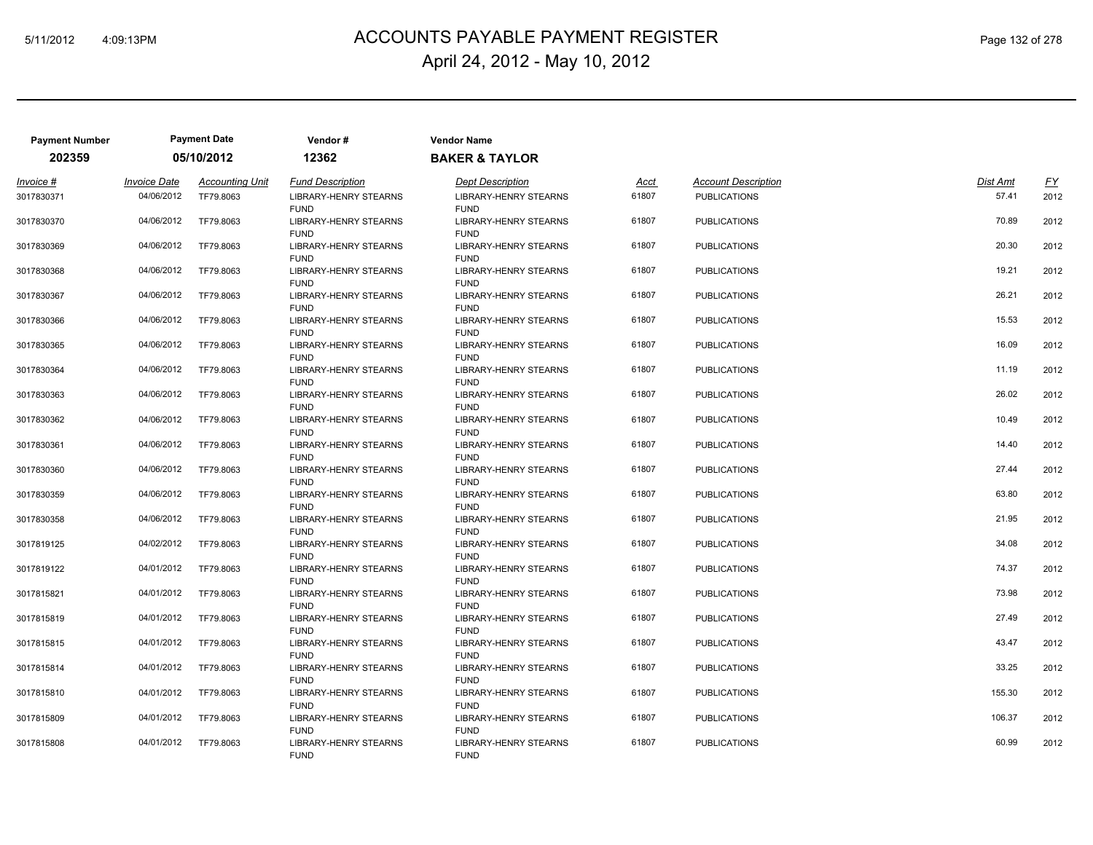# ACCOUNTS PAYABLE PAYMENT REGISTER 5/11/2012 4:09:13PM Page 132 of 278 April 24, 2012 - May 10, 2012

| <b>Payment Number</b> |                     | <b>Payment Date</b>    | Vendor#                                     | <b>Vendor Name</b>                          |       |                            |          |           |
|-----------------------|---------------------|------------------------|---------------------------------------------|---------------------------------------------|-------|----------------------------|----------|-----------|
| 202359                |                     | 05/10/2012             | 12362                                       | <b>BAKER &amp; TAYLOR</b>                   |       |                            |          |           |
| Invoice #             | <b>Invoice Date</b> | <b>Accounting Unit</b> | <b>Fund Description</b>                     | <b>Dept Description</b>                     | Acct  | <b>Account Description</b> | Dist Amt | <u>FY</u> |
| 3017830371            | 04/06/2012          | TF79.8063              | <b>LIBRARY-HENRY STEARNS</b><br><b>FUND</b> | <b>LIBRARY-HENRY STEARNS</b><br><b>FUND</b> | 61807 | <b>PUBLICATIONS</b>        | 57.41    | 2012      |
| 3017830370            | 04/06/2012          | TF79.8063              | <b>LIBRARY-HENRY STEARNS</b><br><b>FUND</b> | <b>LIBRARY-HENRY STEARNS</b><br><b>FUND</b> | 61807 | <b>PUBLICATIONS</b>        | 70.89    | 2012      |
| 3017830369            | 04/06/2012          | TF79.8063              | LIBRARY-HENRY STEARNS<br><b>FUND</b>        | <b>LIBRARY-HENRY STEARNS</b><br><b>FUND</b> | 61807 | <b>PUBLICATIONS</b>        | 20.30    | 2012      |
| 3017830368            | 04/06/2012          | TF79.8063              | LIBRARY-HENRY STEARNS<br><b>FUND</b>        | <b>LIBRARY-HENRY STEARNS</b><br><b>FUND</b> | 61807 | <b>PUBLICATIONS</b>        | 19.21    | 2012      |
| 3017830367            | 04/06/2012          | TF79.8063              | LIBRARY-HENRY STEARNS<br><b>FUND</b>        | <b>LIBRARY-HENRY STEARNS</b><br><b>FUND</b> | 61807 | <b>PUBLICATIONS</b>        | 26.21    | 2012      |
| 3017830366            | 04/06/2012          | TF79,8063              | LIBRARY-HENRY STEARNS<br><b>FUND</b>        | <b>LIBRARY-HENRY STEARNS</b><br><b>FUND</b> | 61807 | <b>PUBLICATIONS</b>        | 15.53    | 2012      |
| 3017830365            | 04/06/2012          | TF79.8063              | LIBRARY-HENRY STEARNS<br><b>FUND</b>        | <b>LIBRARY-HENRY STEARNS</b><br><b>FUND</b> | 61807 | <b>PUBLICATIONS</b>        | 16.09    | 2012      |
| 3017830364            | 04/06/2012          | TF79.8063              | <b>LIBRARY-HENRY STEARNS</b><br><b>FUND</b> | <b>LIBRARY-HENRY STEARNS</b><br><b>FUND</b> | 61807 | <b>PUBLICATIONS</b>        | 11.19    | 2012      |
| 3017830363            | 04/06/2012          | TF79.8063              | LIBRARY-HENRY STEARNS<br><b>FUND</b>        | <b>LIBRARY-HENRY STEARNS</b><br><b>FUND</b> | 61807 | <b>PUBLICATIONS</b>        | 26.02    | 2012      |
| 3017830362            | 04/06/2012          | TF79.8063              | LIBRARY-HENRY STEARNS<br><b>FUND</b>        | <b>LIBRARY-HENRY STEARNS</b><br><b>FUND</b> | 61807 | <b>PUBLICATIONS</b>        | 10.49    | 2012      |
| 3017830361            | 04/06/2012          | TF79.8063              | LIBRARY-HENRY STEARNS<br><b>FUND</b>        | <b>LIBRARY-HENRY STEARNS</b><br><b>FUND</b> | 61807 | <b>PUBLICATIONS</b>        | 14.40    | 2012      |
| 3017830360            | 04/06/2012          | TF79.8063              | <b>LIBRARY-HENRY STEARNS</b><br><b>FUND</b> | <b>LIBRARY-HENRY STEARNS</b><br><b>FUND</b> | 61807 | <b>PUBLICATIONS</b>        | 27.44    | 2012      |
| 3017830359            | 04/06/2012          | TF79.8063              | <b>LIBRARY-HENRY STEARNS</b><br><b>FUND</b> | <b>LIBRARY-HENRY STEARNS</b><br><b>FUND</b> | 61807 | <b>PUBLICATIONS</b>        | 63.80    | 2012      |
| 3017830358            | 04/06/2012          | TF79.8063              | LIBRARY-HENRY STEARNS<br><b>FUND</b>        | LIBRARY-HENRY STEARNS<br><b>FUND</b>        | 61807 | <b>PUBLICATIONS</b>        | 21.95    | 2012      |
| 3017819125            | 04/02/2012          | TF79.8063              | <b>LIBRARY-HENRY STEARNS</b><br><b>FUND</b> | <b>LIBRARY-HENRY STEARNS</b><br><b>FUND</b> | 61807 | <b>PUBLICATIONS</b>        | 34.08    | 2012      |
| 3017819122            | 04/01/2012          | TF79.8063              | LIBRARY-HENRY STEARNS<br><b>FUND</b>        | <b>LIBRARY-HENRY STEARNS</b><br><b>FUND</b> | 61807 | <b>PUBLICATIONS</b>        | 74.37    | 2012      |
| 3017815821            | 04/01/2012          | TF79.8063              | LIBRARY-HENRY STEARNS<br><b>FUND</b>        | <b>LIBRARY-HENRY STEARNS</b><br><b>FUND</b> | 61807 | <b>PUBLICATIONS</b>        | 73.98    | 2012      |
| 3017815819            | 04/01/2012          | TF79.8063              | <b>LIBRARY-HENRY STEARNS</b><br><b>FUND</b> | <b>LIBRARY-HENRY STEARNS</b><br><b>FUND</b> | 61807 | <b>PUBLICATIONS</b>        | 27.49    | 2012      |
| 3017815815            | 04/01/2012          | TF79.8063              | <b>LIBRARY-HENRY STEARNS</b><br><b>FUND</b> | <b>LIBRARY-HENRY STEARNS</b><br><b>FUND</b> | 61807 | <b>PUBLICATIONS</b>        | 43.47    | 2012      |
| 3017815814            | 04/01/2012          | TF79.8063              | LIBRARY-HENRY STEARNS<br><b>FUND</b>        | <b>LIBRARY-HENRY STEARNS</b><br><b>FUND</b> | 61807 | <b>PUBLICATIONS</b>        | 33.25    | 2012      |
| 3017815810            | 04/01/2012          | TF79.8063              | LIBRARY-HENRY STEARNS<br><b>FUND</b>        | <b>LIBRARY-HENRY STEARNS</b><br><b>FUND</b> | 61807 | <b>PUBLICATIONS</b>        | 155.30   | 2012      |
| 3017815809            | 04/01/2012          | TF79.8063              | <b>LIBRARY-HENRY STEARNS</b><br><b>FUND</b> | <b>LIBRARY-HENRY STEARNS</b><br><b>FUND</b> | 61807 | <b>PUBLICATIONS</b>        | 106.37   | 2012      |
| 3017815808            | 04/01/2012          | TF79.8063              | LIBRARY-HENRY STEARNS<br><b>FUND</b>        | <b>LIBRARY-HENRY STEARNS</b><br><b>FUND</b> | 61807 | <b>PUBLICATIONS</b>        | 60.99    | 2012      |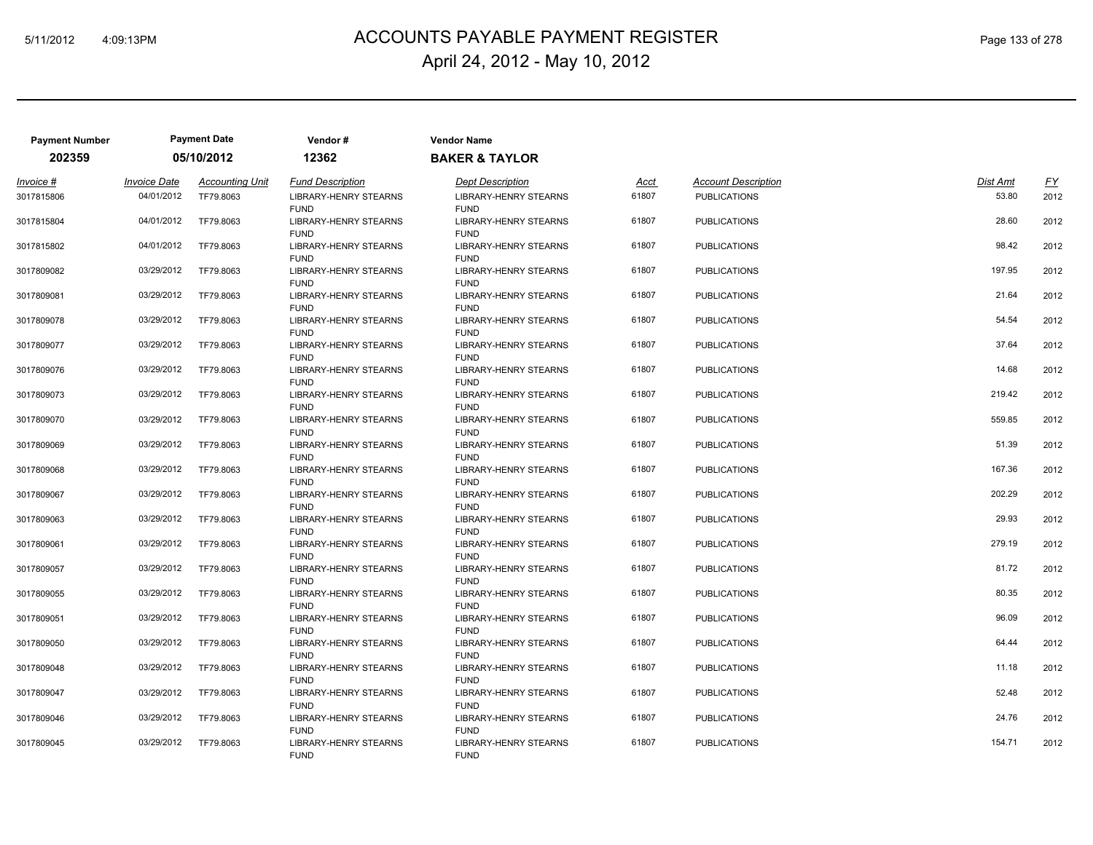# ACCOUNTS PAYABLE PAYMENT REGISTER 5/11/2012 4:09:13PM Page 133 of 278 April 24, 2012 - May 10, 2012

| <b>Payment Number</b> |                     | <b>Payment Date</b>    | Vendor#                                     | <b>Vendor Name</b>                          |       |                            |          |      |
|-----------------------|---------------------|------------------------|---------------------------------------------|---------------------------------------------|-------|----------------------------|----------|------|
| 202359                |                     | 05/10/2012             | 12362                                       | <b>BAKER &amp; TAYLOR</b>                   |       |                            |          |      |
| Invoice #             | <b>Invoice Date</b> | <b>Accounting Unit</b> | <b>Fund Description</b>                     | <b>Dept Description</b>                     | Acct  | <b>Account Description</b> | Dist Amt | EY   |
| 3017815806            | 04/01/2012          | TF79.8063              | <b>LIBRARY-HENRY STEARNS</b><br><b>FUND</b> | <b>LIBRARY-HENRY STEARNS</b><br><b>FUND</b> | 61807 | <b>PUBLICATIONS</b>        | 53.80    | 2012 |
| 3017815804            | 04/01/2012          | TF79,8063              | LIBRARY-HENRY STEARNS<br><b>FUND</b>        | <b>LIBRARY-HENRY STEARNS</b><br><b>FUND</b> | 61807 | <b>PUBLICATIONS</b>        | 28.60    | 2012 |
| 3017815802            | 04/01/2012          | TF79.8063              | LIBRARY-HENRY STEARNS<br><b>FUND</b>        | LIBRARY-HENRY STEARNS<br><b>FUND</b>        | 61807 | <b>PUBLICATIONS</b>        | 98.42    | 2012 |
| 3017809082            | 03/29/2012          | TF79.8063              | LIBRARY-HENRY STEARNS<br><b>FUND</b>        | LIBRARY-HENRY STEARNS<br><b>FUND</b>        | 61807 | <b>PUBLICATIONS</b>        | 197.95   | 2012 |
| 3017809081            | 03/29/2012          | TF79,8063              | LIBRARY-HENRY STEARNS<br><b>FUND</b>        | LIBRARY-HENRY STEARNS<br><b>FUND</b>        | 61807 | <b>PUBLICATIONS</b>        | 21.64    | 2012 |
| 3017809078            | 03/29/2012          | TF79,8063              | LIBRARY-HENRY STEARNS<br><b>FUND</b>        | <b>LIBRARY-HENRY STEARNS</b><br><b>FUND</b> | 61807 | <b>PUBLICATIONS</b>        | 54.54    | 2012 |
| 3017809077            | 03/29/2012          | TF79.8063              | LIBRARY-HENRY STEARNS<br><b>FUND</b>        | LIBRARY-HENRY STEARNS<br><b>FUND</b>        | 61807 | <b>PUBLICATIONS</b>        | 37.64    | 2012 |
| 3017809076            | 03/29/2012          | TF79.8063              | <b>LIBRARY-HENRY STEARNS</b><br><b>FUND</b> | <b>LIBRARY-HENRY STEARNS</b><br><b>FUND</b> | 61807 | <b>PUBLICATIONS</b>        | 14.68    | 2012 |
| 3017809073            | 03/29/2012          | TF79.8063              | LIBRARY-HENRY STEARNS<br><b>FUND</b>        | LIBRARY-HENRY STEARNS<br><b>FUND</b>        | 61807 | <b>PUBLICATIONS</b>        | 219.42   | 2012 |
| 3017809070            | 03/29/2012          | TF79.8063              | LIBRARY-HENRY STEARNS<br><b>FUND</b>        | LIBRARY-HENRY STEARNS<br><b>FUND</b>        | 61807 | <b>PUBLICATIONS</b>        | 559.85   | 2012 |
| 3017809069            | 03/29/2012          | TF79.8063              | <b>LIBRARY-HENRY STEARNS</b><br><b>FUND</b> | LIBRARY-HENRY STEARNS<br><b>FUND</b>        | 61807 | <b>PUBLICATIONS</b>        | 51.39    | 2012 |
| 3017809068            | 03/29/2012          | TF79.8063              | <b>LIBRARY-HENRY STEARNS</b><br><b>FUND</b> | <b>LIBRARY-HENRY STEARNS</b><br><b>FUND</b> | 61807 | <b>PUBLICATIONS</b>        | 167.36   | 2012 |
| 3017809067            | 03/29/2012          | TF79.8063              | <b>LIBRARY-HENRY STEARNS</b><br><b>FUND</b> | <b>LIBRARY-HENRY STEARNS</b><br><b>FUND</b> | 61807 | <b>PUBLICATIONS</b>        | 202.29   | 2012 |
| 3017809063            | 03/29/2012          | TF79.8063              | LIBRARY-HENRY STEARNS<br><b>FUND</b>        | LIBRARY-HENRY STEARNS<br><b>FUND</b>        | 61807 | <b>PUBLICATIONS</b>        | 29.93    | 2012 |
| 3017809061            | 03/29/2012          | TF79.8063              | <b>LIBRARY-HENRY STEARNS</b><br><b>FUND</b> | <b>LIBRARY-HENRY STEARNS</b><br><b>FUND</b> | 61807 | <b>PUBLICATIONS</b>        | 279.19   | 2012 |
| 3017809057            | 03/29/2012          | TF79.8063              | LIBRARY-HENRY STEARNS<br><b>FUND</b>        | LIBRARY-HENRY STEARNS<br><b>FUND</b>        | 61807 | <b>PUBLICATIONS</b>        | 81.72    | 2012 |
| 3017809055            | 03/29/2012          | TF79.8063              | LIBRARY-HENRY STEARNS<br><b>FUND</b>        | LIBRARY-HENRY STEARNS<br><b>FUND</b>        | 61807 | <b>PUBLICATIONS</b>        | 80.35    | 2012 |
| 3017809051            | 03/29/2012          | TF79.8063              | <b>LIBRARY-HENRY STEARNS</b><br><b>FUND</b> | <b>LIBRARY-HENRY STEARNS</b><br><b>FUND</b> | 61807 | <b>PUBLICATIONS</b>        | 96.09    | 2012 |
| 3017809050            | 03/29/2012          | TF79.8063              | <b>LIBRARY-HENRY STEARNS</b><br><b>FUND</b> | LIBRARY-HENRY STEARNS<br><b>FUND</b>        | 61807 | <b>PUBLICATIONS</b>        | 64.44    | 2012 |
| 3017809048            | 03/29/2012          | TF79.8063              | LIBRARY-HENRY STEARNS<br><b>FUND</b>        | LIBRARY-HENRY STEARNS<br><b>FUND</b>        | 61807 | <b>PUBLICATIONS</b>        | 11.18    | 2012 |
| 3017809047            | 03/29/2012          | TF79.8063              | LIBRARY-HENRY STEARNS<br><b>FUND</b>        | LIBRARY-HENRY STEARNS<br><b>FUND</b>        | 61807 | <b>PUBLICATIONS</b>        | 52.48    | 2012 |
| 3017809046            | 03/29/2012          | TF79,8063              | <b>LIBRARY-HENRY STEARNS</b><br><b>FUND</b> | <b>LIBRARY-HENRY STEARNS</b><br><b>FUND</b> | 61807 | <b>PUBLICATIONS</b>        | 24.76    | 2012 |
| 3017809045            | 03/29/2012          | TF79,8063              | LIBRARY-HENRY STEARNS<br><b>FUND</b>        | <b>LIBRARY-HENRY STEARNS</b><br><b>FUND</b> | 61807 | <b>PUBLICATIONS</b>        | 154.71   | 2012 |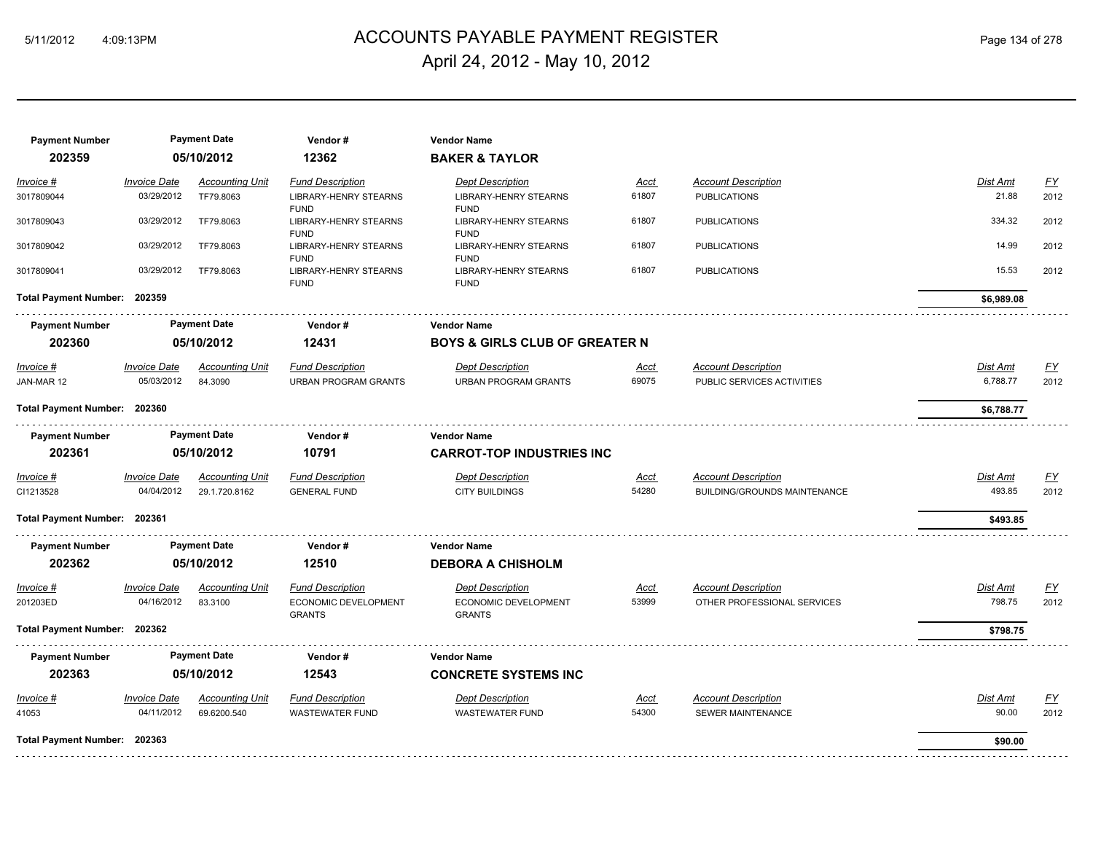# ACCOUNTS PAYABLE PAYMENT REGISTER 5/11/2012 4:09:13PM Page 134 of 278 April 24, 2012 - May 10, 2012

| <b>Payment Number</b>        |                     | <b>Payment Date</b>    | Vendor#                              | <b>Vendor Name</b>                          |             |                                     |                 |                           |
|------------------------------|---------------------|------------------------|--------------------------------------|---------------------------------------------|-------------|-------------------------------------|-----------------|---------------------------|
| 202359                       |                     | 05/10/2012             | 12362                                | <b>BAKER &amp; TAYLOR</b>                   |             |                                     |                 |                           |
| Invoice #                    | <b>Invoice Date</b> | <b>Accounting Unit</b> | <b>Fund Description</b>              | <b>Dept Description</b>                     | Acct        | <b>Account Description</b>          | Dist Amt        | $\underline{\mathsf{FY}}$ |
| 3017809044                   | 03/29/2012          | TF79.8063              | LIBRARY-HENRY STEARNS                | LIBRARY-HENRY STEARNS                       | 61807       | <b>PUBLICATIONS</b>                 | 21.88           | 2012                      |
|                              |                     |                        | <b>FUND</b>                          | <b>FUND</b>                                 |             |                                     |                 |                           |
| 3017809043                   | 03/29/2012          | TF79.8063              | <b>LIBRARY-HENRY STEARNS</b>         | <b>LIBRARY-HENRY STEARNS</b>                | 61807       | <b>PUBLICATIONS</b>                 | 334.32          | 2012                      |
| 3017809042                   | 03/29/2012          | TF79,8063              | <b>FUND</b><br>LIBRARY-HENRY STEARNS | <b>FUND</b><br><b>LIBRARY-HENRY STEARNS</b> | 61807       | <b>PUBLICATIONS</b>                 | 14.99           | 2012                      |
|                              |                     |                        | <b>FUND</b>                          | <b>FUND</b>                                 |             |                                     |                 |                           |
| 3017809041                   | 03/29/2012          | TF79.8063              | LIBRARY-HENRY STEARNS<br><b>FUND</b> | LIBRARY-HENRY STEARNS<br><b>FUND</b>        | 61807       | <b>PUBLICATIONS</b>                 | 15.53           | 2012                      |
| Total Payment Number: 202359 |                     |                        |                                      |                                             |             |                                     | \$6,989.08      |                           |
| <b>Payment Number</b>        |                     | <b>Payment Date</b>    | Vendor#                              | <b>Vendor Name</b>                          |             |                                     |                 |                           |
| 202360                       |                     | 05/10/2012             | 12431                                | <b>BOYS &amp; GIRLS CLUB OF GREATER N</b>   |             |                                     |                 |                           |
| <u> Invoice #</u>            | <b>Invoice Date</b> | <b>Accounting Unit</b> | <b>Fund Description</b>              | <b>Dept Description</b>                     | <u>Acct</u> | <b>Account Description</b>          | <b>Dist Amt</b> | EY                        |
| JAN-MAR 12                   | 05/03/2012          | 84.3090                | <b>URBAN PROGRAM GRANTS</b>          | <b>URBAN PROGRAM GRANTS</b>                 | 69075       | PUBLIC SERVICES ACTIVITIES          | 6,788.77        | 2012                      |
| Total Payment Number: 202360 |                     |                        |                                      |                                             |             |                                     | \$6,788.77      |                           |
|                              |                     |                        |                                      |                                             |             |                                     |                 |                           |
| <b>Payment Number</b>        |                     | <b>Payment Date</b>    | Vendor#                              | <b>Vendor Name</b>                          |             |                                     |                 |                           |
| 202361                       |                     | 05/10/2012             | 10791                                | <b>CARROT-TOP INDUSTRIES INC</b>            |             |                                     |                 |                           |
| Invoice #                    | <b>Invoice Date</b> | <b>Accounting Unit</b> | <b>Fund Description</b>              | <b>Dept Description</b>                     | Acct        | <b>Account Description</b>          | Dist Amt        | <u>FY</u>                 |
| CI1213528                    | 04/04/2012          | 29.1.720.8162          | <b>GENERAL FUND</b>                  | <b>CITY BUILDINGS</b>                       | 54280       | <b>BUILDING/GROUNDS MAINTENANCE</b> | 493.85          | 2012                      |
| Total Payment Number: 202361 |                     |                        |                                      |                                             |             |                                     | \$493.85        |                           |
| <b>Payment Number</b>        |                     | <b>Payment Date</b>    | Vendor#                              | <b>Vendor Name</b>                          |             |                                     |                 |                           |
| 202362                       |                     | 05/10/2012             | 12510                                | <b>DEBORA A CHISHOLM</b>                    |             |                                     |                 |                           |
| Invoice #                    | <b>Invoice Date</b> | <b>Accounting Unit</b> | <b>Fund Description</b>              | Dept Description                            | Acct        | <b>Account Description</b>          | Dist Amt        | EY                        |
| 201203ED                     | 04/16/2012          | 83.3100                | ECONOMIC DEVELOPMENT                 | ECONOMIC DEVELOPMENT                        | 53999       | OTHER PROFESSIONAL SERVICES         | 798.75          | 2012                      |
|                              |                     |                        | <b>GRANTS</b>                        | <b>GRANTS</b>                               |             |                                     |                 |                           |
| Total Payment Number: 202362 |                     |                        |                                      |                                             |             |                                     | \$798.75        |                           |
| <b>Payment Number</b>        |                     | <b>Payment Date</b>    | Vendor#                              | <b>Vendor Name</b>                          |             |                                     |                 |                           |
| 202363                       |                     | 05/10/2012             | 12543                                | <b>CONCRETE SYSTEMS INC</b>                 |             |                                     |                 |                           |
| Invoice #                    | <b>Invoice Date</b> | <b>Accounting Unit</b> | <b>Fund Description</b>              | <b>Dept Description</b>                     | <u>Acct</u> | <b>Account Description</b>          | Dist Amt        | $\underline{FY}$          |
| 41053                        | 04/11/2012          | 69.6200.540            | <b>WASTEWATER FUND</b>               | <b>WASTEWATER FUND</b>                      | 54300       | <b>SEWER MAINTENANCE</b>            | 90.00           | 2012                      |
| Total Payment Number: 202363 |                     |                        |                                      |                                             |             |                                     | \$90.00         |                           |
|                              |                     |                        |                                      |                                             |             |                                     |                 |                           |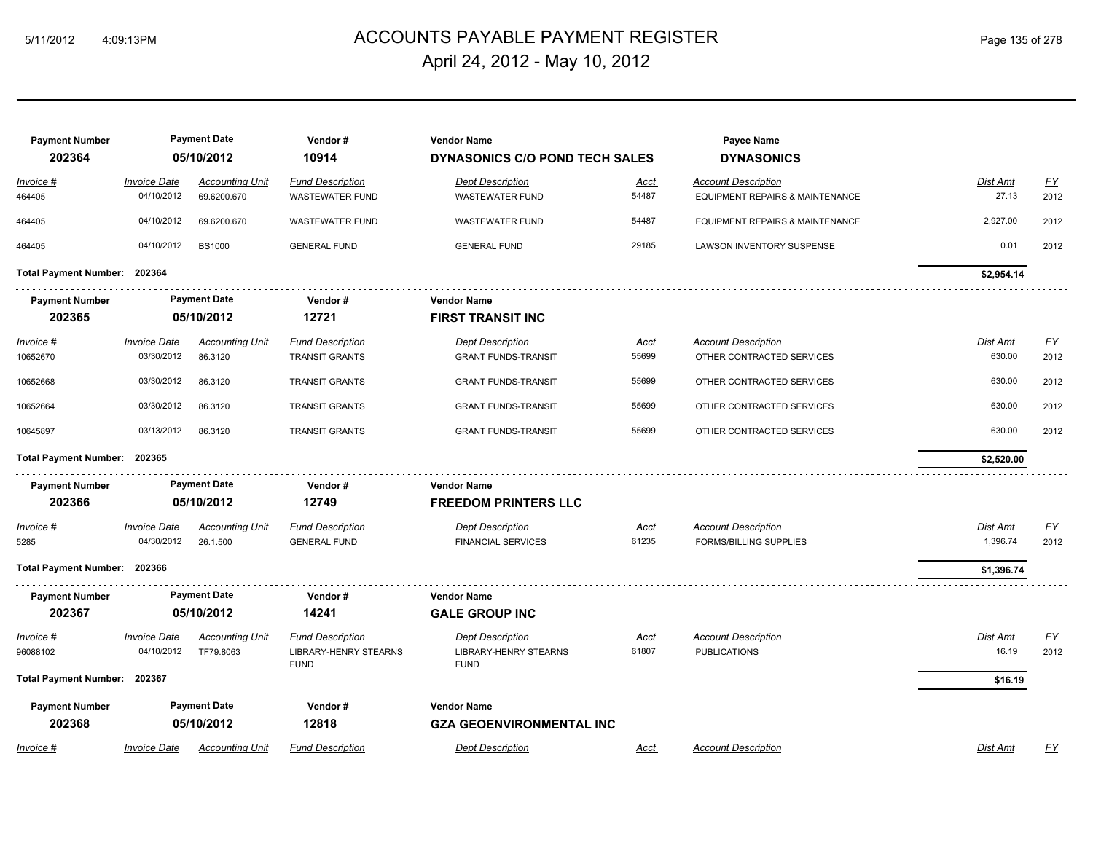# ACCOUNTS PAYABLE PAYMENT REGISTER 5/11/2012 4:09:13PM Page 135 of 278 April 24, 2012 - May 10, 2012

| <b>Payment Number</b>        |                                   | <b>Payment Date</b>                   | Vendor#                                           | <b>Vendor Name</b>                          |               | Payee Name                                                    |                   |                          |
|------------------------------|-----------------------------------|---------------------------------------|---------------------------------------------------|---------------------------------------------|---------------|---------------------------------------------------------------|-------------------|--------------------------|
| 202364                       |                                   | 05/10/2012                            | 10914                                             | DYNASONICS C/O POND TECH SALES              |               | <b>DYNASONICS</b>                                             |                   |                          |
| Invoice #<br>464405          | <b>Invoice Date</b><br>04/10/2012 | <b>Accounting Unit</b><br>69.6200.670 | <b>Fund Description</b><br><b>WASTEWATER FUND</b> | <b>Dept Description</b><br>WASTEWATER FUND  | Acct<br>54487 | <b>Account Description</b><br>EQUIPMENT REPAIRS & MAINTENANCE | Dist Amt<br>27.13 | $\underline{FY}$<br>2012 |
| 464405                       | 04/10/2012                        | 69.6200.670                           | <b>WASTEWATER FUND</b>                            | <b>WASTEWATER FUND</b>                      | 54487         | EQUIPMENT REPAIRS & MAINTENANCE                               | 2,927.00          | 2012                     |
| 464405                       | 04/10/2012                        | <b>BS1000</b>                         | <b>GENERAL FUND</b>                               | <b>GENERAL FUND</b>                         | 29185         | LAWSON INVENTORY SUSPENSE                                     | 0.01              | 2012                     |
| <b>Total Payment Number:</b> | 202364                            |                                       |                                                   |                                             |               |                                                               | \$2,954.14        |                          |
|                              |                                   | <b>Payment Date</b>                   | Vendor#                                           | <b>Vendor Name</b>                          |               |                                                               |                   |                          |
| <b>Payment Number</b>        |                                   |                                       |                                                   |                                             |               |                                                               |                   |                          |
| 202365                       |                                   | 05/10/2012                            | 12721                                             | <b>FIRST TRANSIT INC</b>                    |               |                                                               |                   |                          |
| Invoice #                    | <b>Invoice Date</b>               | <b>Accounting Unit</b>                | <b>Fund Description</b>                           | <b>Dept Description</b>                     | Acct          | <b>Account Description</b>                                    | <b>Dist Amt</b>   | <u>FY</u>                |
| 10652670                     | 03/30/2012                        | 86.3120                               | <b>TRANSIT GRANTS</b>                             | <b>GRANT FUNDS-TRANSIT</b>                  | 55699         | OTHER CONTRACTED SERVICES                                     | 630.00            | 2012                     |
| 10652668                     | 03/30/2012                        | 86.3120                               | <b>TRANSIT GRANTS</b>                             | <b>GRANT FUNDS-TRANSIT</b>                  | 55699         | OTHER CONTRACTED SERVICES                                     | 630.00            | 2012                     |
| 10652664                     | 03/30/2012                        | 86.3120                               | <b>TRANSIT GRANTS</b>                             | <b>GRANT FUNDS-TRANSIT</b>                  | 55699         | OTHER CONTRACTED SERVICES                                     | 630.00            | 2012                     |
| 10645897                     | 03/13/2012                        | 86.3120                               | <b>TRANSIT GRANTS</b>                             | <b>GRANT FUNDS-TRANSIT</b>                  | 55699         | OTHER CONTRACTED SERVICES                                     | 630.00            | 2012                     |
| Total Payment Number: 202365 |                                   |                                       |                                                   |                                             |               |                                                               | \$2,520.00        |                          |
| <b>Payment Number</b>        |                                   | <b>Payment Date</b>                   | Vendor#                                           | <b>Vendor Name</b>                          |               |                                                               |                   |                          |
| 202366                       |                                   | 05/10/2012                            | 12749                                             | <b>FREEDOM PRINTERS LLC</b>                 |               |                                                               |                   |                          |
| Invoice #                    | <b>Invoice Date</b>               | <b>Accounting Unit</b>                | <b>Fund Description</b>                           | <b>Dept Description</b>                     | <u>Acct</u>   | <b>Account Description</b>                                    | Dist Amt          | <u>FY</u>                |
| 5285                         | 04/30/2012                        | 26.1.500                              | <b>GENERAL FUND</b>                               | <b>FINANCIAL SERVICES</b>                   | 61235         | <b>FORMS/BILLING SUPPLIES</b>                                 | 1,396.74          | 2012                     |
|                              |                                   |                                       |                                                   |                                             |               |                                                               |                   |                          |
| Total Payment Number: 202366 |                                   |                                       |                                                   |                                             |               |                                                               | \$1,396.74        |                          |
| <b>Payment Number</b>        |                                   | <b>Payment Date</b>                   | Vendor #                                          | <b>Vendor Name</b>                          |               |                                                               |                   |                          |
| 202367                       |                                   | 05/10/2012                            | 14241                                             | <b>GALE GROUP INC</b>                       |               |                                                               |                   |                          |
| Invoice #                    | <b>Invoice Date</b>               | <b>Accounting Unit</b>                | <b>Fund Description</b>                           | <b>Dept Description</b>                     | <u>Acct</u>   | <b>Account Description</b>                                    | Dist Amt          | <u>FY</u>                |
| 96088102                     | 04/10/2012                        | TF79.8063                             | <b>LIBRARY-HENRY STEARNS</b><br><b>FUND</b>       | <b>LIBRARY-HENRY STEARNS</b><br><b>FUND</b> | 61807         | <b>PUBLICATIONS</b>                                           | 16.19             | 2012                     |
| Total Payment Number: 202367 |                                   |                                       |                                                   |                                             |               |                                                               | \$16.19           |                          |
| <b>Payment Number</b>        |                                   | <b>Payment Date</b>                   | Vendor#                                           | <b>Vendor Name</b>                          |               |                                                               |                   |                          |
| 202368                       |                                   | 05/10/2012                            | 12818                                             | <b>GZA GEOENVIRONMENTAL INC</b>             |               |                                                               |                   |                          |
| Invoice #                    | <b>Invoice Date</b>               | <b>Accounting Unit</b>                | <b>Fund Description</b>                           | <b>Dept Description</b>                     | Acct          | <b>Account Description</b>                                    | Dist Amt          | FY                       |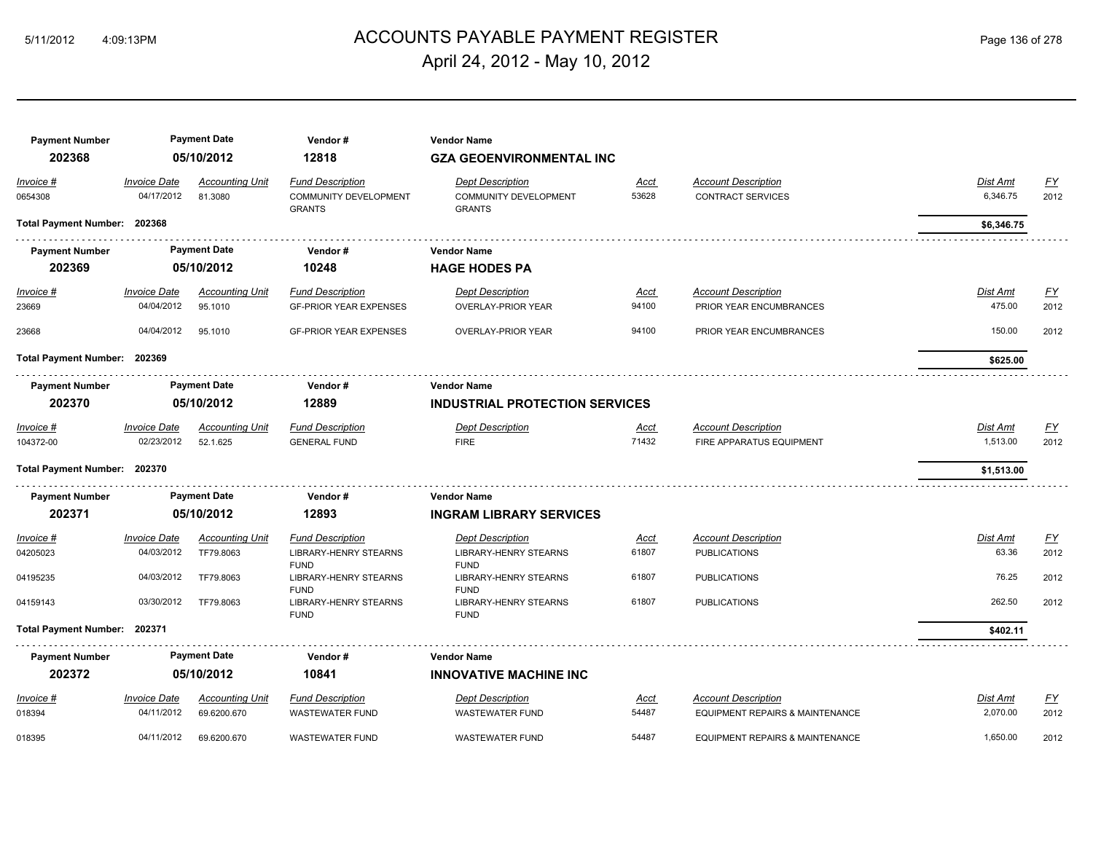# ACCOUNTS PAYABLE PAYMENT REGISTER 5/11/2012 4:09:13PM Page 136 of 278 April 24, 2012 - May 10, 2012

| <b>Payment Number</b>        |                                   | <b>Payment Date</b>                   | Vendor#                                                                | <b>Vendor Name</b>                                                       |                      |                                                               |                           |                   |
|------------------------------|-----------------------------------|---------------------------------------|------------------------------------------------------------------------|--------------------------------------------------------------------------|----------------------|---------------------------------------------------------------|---------------------------|-------------------|
| 202368                       |                                   | 05/10/2012                            | 12818                                                                  | <b>GZA GEOENVIRONMENTAL INC</b>                                          |                      |                                                               |                           |                   |
| Invoice #<br>0654308         | <b>Invoice Date</b><br>04/17/2012 | <b>Accounting Unit</b><br>81.3080     | <b>Fund Description</b><br>COMMUNITY DEVELOPMENT<br><b>GRANTS</b>      | <b>Dept Description</b><br><b>COMMUNITY DEVELOPMENT</b><br><b>GRANTS</b> | <u>Acct</u><br>53628 | <b>Account Description</b><br><b>CONTRACT SERVICES</b>        | Dist Amt<br>6,346.75      | <u>FY</u><br>2012 |
| Total Payment Number: 202368 |                                   |                                       |                                                                        |                                                                          |                      |                                                               | \$6,346.75                |                   |
| <b>Payment Number</b>        |                                   | <b>Payment Date</b>                   | Vendor#                                                                | <b>Vendor Name</b>                                                       |                      |                                                               |                           |                   |
| 202369                       |                                   | 05/10/2012                            | 10248                                                                  | <b>HAGE HODES PA</b>                                                     |                      |                                                               |                           |                   |
| $Invoice$ #<br>23669         | <b>Invoice Date</b><br>04/04/2012 | <b>Accounting Unit</b><br>95.1010     | <b>Fund Description</b><br><b>GF-PRIOR YEAR EXPENSES</b>               | <b>Dept Description</b><br><b>OVERLAY-PRIOR YEAR</b>                     | <u>Acct</u><br>94100 | <b>Account Description</b><br>PRIOR YEAR ENCUMBRANCES         | <u>Dist Amt</u><br>475.00 | <u>FY</u><br>2012 |
| 23668                        | 04/04/2012                        | 95.1010                               | <b>GF-PRIOR YEAR EXPENSES</b>                                          | <b>OVERLAY-PRIOR YEAR</b>                                                | 94100                | PRIOR YEAR ENCUMBRANCES                                       | 150.00                    | 2012              |
| Total Payment Number: 202369 |                                   |                                       |                                                                        |                                                                          |                      |                                                               | \$625.00                  |                   |
| <b>Payment Number</b>        |                                   | <b>Payment Date</b>                   | Vendor#                                                                | <b>Vendor Name</b>                                                       |                      |                                                               |                           |                   |
| 202370                       |                                   | 05/10/2012                            | 12889                                                                  | <b>INDUSTRIAL PROTECTION SERVICES</b>                                    |                      |                                                               |                           |                   |
| Invoice #<br>104372-00       | <b>Invoice Date</b><br>02/23/2012 | <b>Accounting Unit</b><br>52.1.625    | <b>Fund Description</b><br><b>GENERAL FUND</b>                         | <b>Dept Description</b><br><b>FIRE</b>                                   | <u>Acct</u><br>71432 | <b>Account Description</b><br>FIRE APPARATUS EQUIPMENT        | Dist Amt<br>1,513.00      | <u>FY</u><br>2012 |
| Total Payment Number: 202370 |                                   |                                       |                                                                        |                                                                          |                      |                                                               | \$1,513.00                |                   |
| <b>Payment Number</b>        |                                   | <b>Payment Date</b>                   | Vendor#                                                                | <b>Vendor Name</b>                                                       |                      |                                                               |                           |                   |
| 202371                       |                                   | 05/10/2012                            | 12893                                                                  | <b>INGRAM LIBRARY SERVICES</b>                                           |                      |                                                               |                           |                   |
| Invoice #<br>04205023        | <b>Invoice Date</b><br>04/03/2012 | <b>Accounting Unit</b><br>TF79.8063   | <b>Fund Description</b><br><b>LIBRARY-HENRY STEARNS</b><br><b>FUND</b> | <b>Dept Description</b><br><b>LIBRARY-HENRY STEARNS</b><br><b>FUND</b>   | <u>Acct</u><br>61807 | <b>Account Description</b><br><b>PUBLICATIONS</b>             | Dist Amt<br>63.36         | EY<br>2012        |
| 04195235                     | 04/03/2012                        | TF79,8063                             | <b>LIBRARY-HENRY STEARNS</b>                                           | <b>LIBRARY-HENRY STEARNS</b>                                             | 61807                | <b>PUBLICATIONS</b>                                           | 76.25                     | 2012              |
| 04159143                     | 03/30/2012                        | TF79.8063                             | <b>FUND</b><br>LIBRARY-HENRY STEARNS<br><b>FUND</b>                    | <b>FUND</b><br>LIBRARY-HENRY STEARNS<br><b>FUND</b>                      | 61807                | <b>PUBLICATIONS</b>                                           | 262.50                    | 2012              |
| Total Payment Number: 202371 |                                   |                                       |                                                                        |                                                                          |                      |                                                               | \$402.11                  |                   |
| <b>Payment Number</b>        |                                   | <b>Payment Date</b>                   | Vendor#                                                                | <b>Vendor Name</b>                                                       |                      |                                                               |                           |                   |
| 202372                       |                                   | 05/10/2012                            | 10841                                                                  | <b>INNOVATIVE MACHINE INC</b>                                            |                      |                                                               |                           |                   |
| Invoice #<br>018394          | <b>Invoice Date</b><br>04/11/2012 | <b>Accounting Unit</b><br>69.6200.670 | <b>Fund Description</b><br><b>WASTEWATER FUND</b>                      | <b>Dept Description</b><br><b>WASTEWATER FUND</b>                        | Acct<br>54487        | <b>Account Description</b><br>EQUIPMENT REPAIRS & MAINTENANCE | Dist Amt<br>2,070.00      | <u>FY</u><br>2012 |
| 018395                       | 04/11/2012                        | 69.6200.670                           | <b>WASTEWATER FUND</b>                                                 | <b>WASTEWATER FUND</b>                                                   | 54487                | EQUIPMENT REPAIRS & MAINTENANCE                               | 1,650.00                  | 2012              |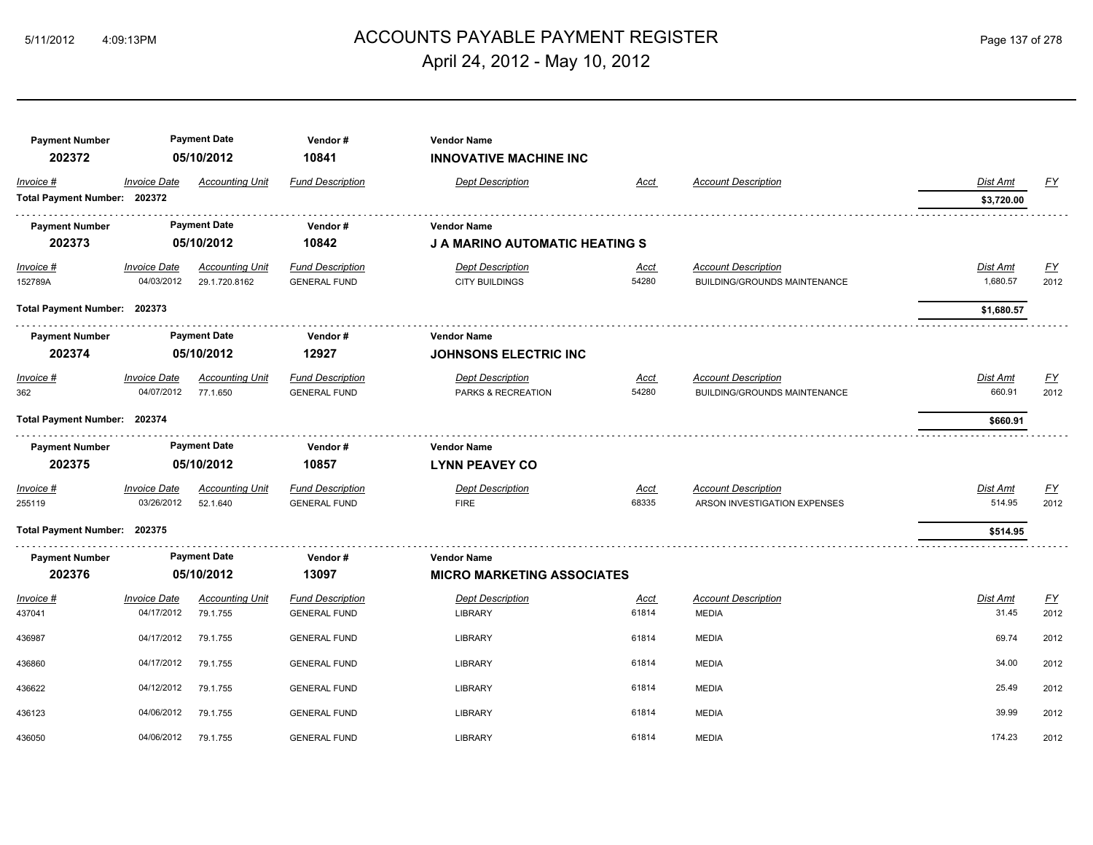# ACCOUNTS PAYABLE PAYMENT REGISTER 5/11/2012 4:09:13PM Page 137 of 278 April 24, 2012 - May 10, 2012

| <b>Payment Number</b><br>202372 |                     | <b>Payment Date</b><br>05/10/2012 | Vendor#<br>10841        | <b>Vendor Name</b><br><b>INNOVATIVE MACHINE INC</b> |             |                                     |            |           |
|---------------------------------|---------------------|-----------------------------------|-------------------------|-----------------------------------------------------|-------------|-------------------------------------|------------|-----------|
| Invoice #                       | <b>Invoice Date</b> | <b>Accounting Unit</b>            | <b>Fund Description</b> | <b>Dept Description</b>                             | Acct        | <b>Account Description</b>          | Dist Amt   | FY        |
| Total Payment Number: 202372    |                     |                                   |                         |                                                     |             |                                     | \$3,720.00 |           |
| <b>Payment Number</b>           |                     | <b>Payment Date</b>               | Vendor#                 | <b>Vendor Name</b>                                  |             |                                     |            |           |
| 202373                          |                     | 05/10/2012                        | 10842                   | <b>J A MARINO AUTOMATIC HEATING S</b>               |             |                                     |            |           |
| Invoice #                       | <b>Invoice Date</b> | <b>Accounting Unit</b>            | <b>Fund Description</b> | <b>Dept Description</b>                             | <u>Acct</u> | <b>Account Description</b>          | Dist Amt   | <u>FY</u> |
| 152789A                         | 04/03/2012          | 29.1.720.8162                     | <b>GENERAL FUND</b>     | <b>CITY BUILDINGS</b>                               | 54280       | <b>BUILDING/GROUNDS MAINTENANCE</b> | 1,680.57   | 2012      |
| Total Payment Number: 202373    |                     |                                   |                         |                                                     |             |                                     | \$1,680.57 |           |
| <b>Payment Number</b>           |                     | <b>Payment Date</b>               | Vendor#                 | <b>Vendor Name</b>                                  |             |                                     |            |           |
| 202374                          |                     | 05/10/2012                        | 12927                   | <b>JOHNSONS ELECTRIC INC</b>                        |             |                                     |            |           |
| Invoice #                       | <b>Invoice Date</b> | <b>Accounting Unit</b>            | <b>Fund Description</b> | <b>Dept Description</b>                             | Acct        | <b>Account Description</b>          | Dist Amt   | EY        |
| 362                             | 04/07/2012          | 77.1.650                          | <b>GENERAL FUND</b>     | PARKS & RECREATION                                  | 54280       | <b>BUILDING/GROUNDS MAINTENANCE</b> | 660.91     | 2012      |
| Total Payment Number: 202374    |                     |                                   |                         |                                                     |             |                                     | \$660.91   |           |
| <b>Payment Number</b>           |                     | <b>Payment Date</b>               | Vendor#                 | <b>Vendor Name</b>                                  |             |                                     |            |           |
| 202375                          |                     | 05/10/2012                        | 10857                   | <b>LYNN PEAVEY CO</b>                               |             |                                     |            |           |
| $Invoice$ #                     | <b>Invoice Date</b> | <b>Accounting Unit</b>            | <b>Fund Description</b> | <b>Dept Description</b>                             | <u>Acct</u> | <b>Account Description</b>          | Dist Amt   | EY        |
| 255119                          | 03/26/2012          | 52.1.640                          | <b>GENERAL FUND</b>     | <b>FIRE</b>                                         | 68335       | ARSON INVESTIGATION EXPENSES        | 514.95     | 2012      |
| Total Payment Number: 202375    |                     |                                   |                         |                                                     |             |                                     | \$514.95   |           |
| <b>Payment Number</b>           |                     | <b>Payment Date</b>               | Vendor#                 | <b>Vendor Name</b>                                  |             |                                     |            |           |
| 202376                          |                     | 05/10/2012                        | 13097                   | <b>MICRO MARKETING ASSOCIATES</b>                   |             |                                     |            |           |
| Invoice #                       | <b>Invoice Date</b> | <b>Accounting Unit</b>            | <b>Fund Description</b> | <b>Dept Description</b>                             | Acct        | <b>Account Description</b>          | Dist Amt   | EY        |
| 437041                          | 04/17/2012          | 79.1.755                          | <b>GENERAL FUND</b>     | <b>LIBRARY</b>                                      | 61814       | <b>MEDIA</b>                        | 31.45      | 2012      |
| 436987                          | 04/17/2012          | 79.1.755                          | <b>GENERAL FUND</b>     | <b>LIBRARY</b>                                      | 61814       | <b>MEDIA</b>                        | 69.74      | 2012      |
| 436860                          | 04/17/2012          | 79.1.755                          | <b>GENERAL FUND</b>     | <b>LIBRARY</b>                                      | 61814       | <b>MEDIA</b>                        | 34.00      | 2012      |
| 436622                          | 04/12/2012          | 79.1.755                          | <b>GENERAL FUND</b>     | <b>LIBRARY</b>                                      | 61814       | <b>MEDIA</b>                        | 25.49      | 2012      |
| 436123                          | 04/06/2012          | 79.1.755                          | <b>GENERAL FUND</b>     | <b>LIBRARY</b>                                      | 61814       | <b>MEDIA</b>                        | 39.99      | 2012      |
| 436050                          | 04/06/2012          | 79.1.755                          | <b>GENERAL FUND</b>     | <b>LIBRARY</b>                                      | 61814       | <b>MEDIA</b>                        | 174.23     | 2012      |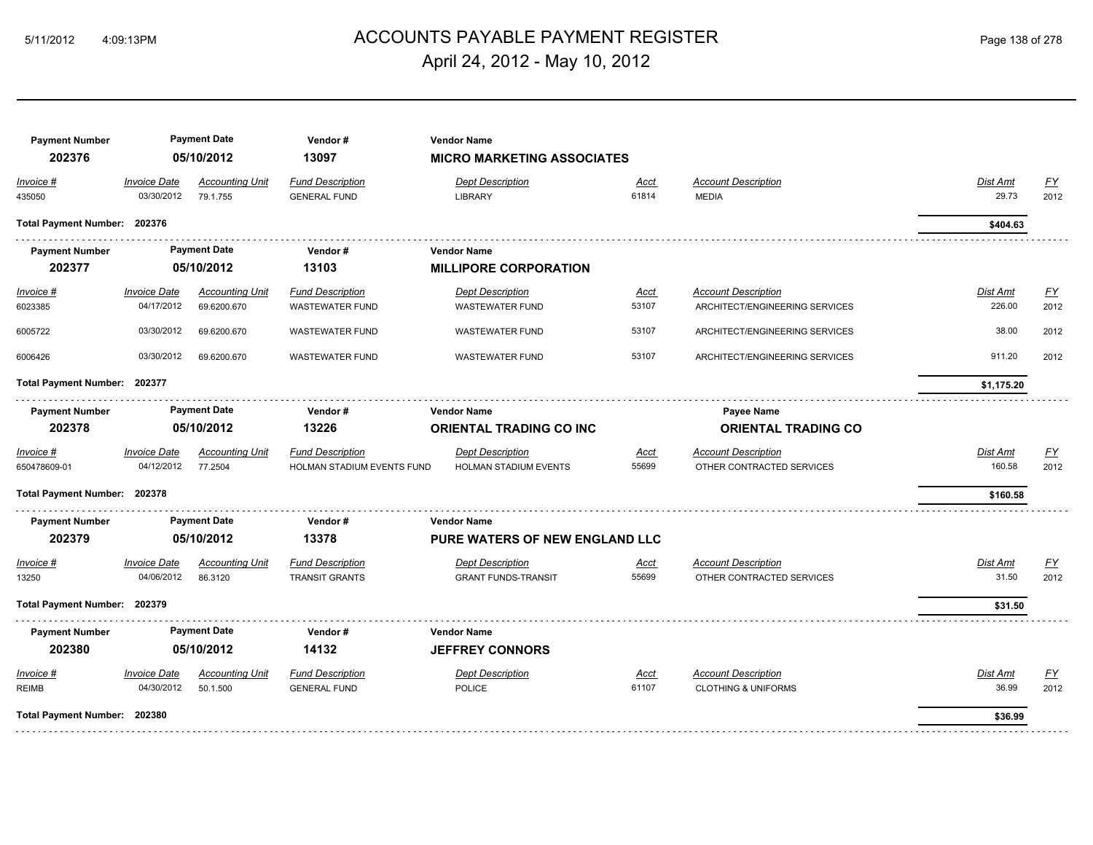# ACCOUNTS PAYABLE PAYMENT REGISTER 5/11/2012 4:09:13PM Page 138 of 278 April 24, 2012 - May 10, 2012

| <b>Payment Number</b><br>202376 |                                   | <b>Payment Date</b><br>05/10/2012  | Vendor#<br>13097                               | <b>Vendor Name</b><br><b>MICRO MARKETING ASSOCIATES</b> |               |                                            |                   |            |
|---------------------------------|-----------------------------------|------------------------------------|------------------------------------------------|---------------------------------------------------------|---------------|--------------------------------------------|-------------------|------------|
| Invoice #<br>435050             | <b>Invoice Date</b><br>03/30/2012 | <b>Accounting Unit</b><br>79.1.755 | <b>Fund Description</b><br><b>GENERAL FUND</b> | <b>Dept Description</b><br><b>LIBRARY</b>               | Acct<br>61814 | <b>Account Description</b><br><b>MEDIA</b> | Dist Amt<br>29.73 | EY<br>2012 |
| Total Payment Number: 202376    |                                   |                                    |                                                |                                                         |               |                                            | \$404.63          |            |
| <b>Payment Number</b>           |                                   | <b>Payment Date</b>                | Vendor#                                        | <b>Vendor Name</b>                                      |               |                                            |                   |            |
| 202377                          |                                   | 05/10/2012                         | 13103                                          | <b>MILLIPORE CORPORATION</b>                            |               |                                            |                   |            |
| <u>Invoice #</u>                | <b>Invoice Date</b>               | <b>Accounting Unit</b>             | <b>Fund Description</b>                        | <b>Dept Description</b>                                 | <u>Acct</u>   | <b>Account Description</b>                 | <b>Dist Amt</b>   | EY         |
| 6023385                         | 04/17/2012                        | 69.6200.670                        | <b>WASTEWATER FUND</b>                         | <b>WASTEWATER FUND</b>                                  | 53107         | ARCHITECT/ENGINEERING SERVICES             | 226.00            | 2012       |
| 6005722                         | 03/30/2012                        | 69.6200.670                        | <b>WASTEWATER FUND</b>                         | <b>WASTEWATER FUND</b>                                  | 53107         | ARCHITECT/ENGINEERING SERVICES             | 38.00             | 2012       |
| 6006426                         | 03/30/2012                        | 69.6200.670                        | <b>WASTEWATER FUND</b>                         | <b>WASTEWATER FUND</b>                                  | 53107         | ARCHITECT/ENGINEERING SERVICES             | 911.20            | 2012       |
|                                 | Total Payment Number: 202377      |                                    |                                                |                                                         |               |                                            | \$1,175.20        |            |
| <b>Payment Number</b>           |                                   | <b>Payment Date</b>                | Vendor#                                        | <b>Vendor Name</b>                                      |               | Payee Name                                 |                   |            |
| 202378                          |                                   | 05/10/2012                         | 13226                                          | <b>ORIENTAL TRADING CO INC</b>                          |               | <b>ORIENTAL TRADING CO</b>                 |                   |            |
| Invoice #                       | <b>Invoice Date</b>               | <b>Accounting Unit</b>             | <b>Fund Description</b>                        | <b>Dept Description</b>                                 | Acct          | <b>Account Description</b>                 | Dist Amt          | EY         |
| 650478609-01                    | 04/12/2012                        | 77.2504                            | HOLMAN STADIUM EVENTS FUND                     | HOLMAN STADIUM EVENTS                                   | 55699         | OTHER CONTRACTED SERVICES                  | 160.58            | 2012       |
| Total Payment Number: 202378    |                                   |                                    |                                                |                                                         |               |                                            | \$160.58          |            |
| <b>Payment Number</b>           |                                   | <b>Payment Date</b>                | Vendor#                                        | <b>Vendor Name</b>                                      |               |                                            |                   |            |
| 202379                          |                                   | 05/10/2012                         | 13378                                          | <b>PURE WATERS OF NEW ENGLAND LLC</b>                   |               |                                            |                   |            |
| Invoice #                       | <b>Invoice Date</b>               | <b>Accounting Unit</b>             | <b>Fund Description</b>                        | <b>Dept Description</b>                                 | <u>Acct</u>   | <b>Account Description</b>                 | Dist Amt          | EY         |
| 13250                           | 04/06/2012                        | 86.3120                            | <b>TRANSIT GRANTS</b>                          | <b>GRANT FUNDS-TRANSIT</b>                              | 55699         | OTHER CONTRACTED SERVICES                  | 31.50             | 2012       |
| Total Payment Number: 202379    |                                   |                                    |                                                |                                                         |               |                                            | \$31.50           |            |
| <b>Payment Number</b>           |                                   | <b>Payment Date</b>                | Vendor#                                        | <b>Vendor Name</b>                                      |               |                                            |                   |            |
| 202380                          |                                   | 05/10/2012                         | 14132                                          | <b>JEFFREY CONNORS</b>                                  |               |                                            |                   |            |
| Invoice #                       | <b>Invoice Date</b>               | <b>Accounting Unit</b>             | <b>Fund Description</b>                        | <b>Dept Description</b>                                 | <u>Acct</u>   | <b>Account Description</b>                 | Dist Amt          | <u>FY</u>  |
| <b>REIMB</b>                    | 04/30/2012                        | 50.1.500                           | <b>GENERAL FUND</b>                            | <b>POLICE</b>                                           | 61107         | <b>CLOTHING &amp; UNIFORMS</b>             | 36.99             | 2012       |
| Total Payment Number: 202380    |                                   |                                    |                                                |                                                         |               |                                            | \$36.99           |            |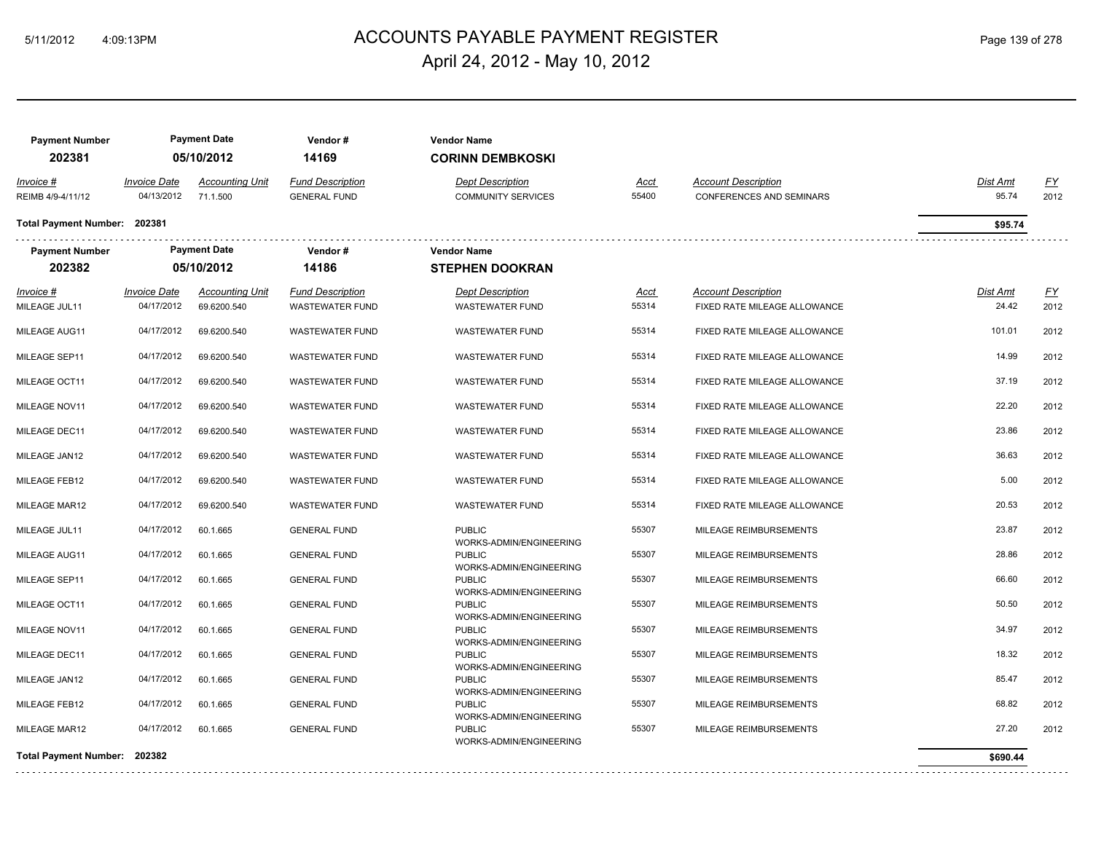# ACCOUNTS PAYABLE PAYMENT REGISTER 5/11/2012 4:09:13PM Page 139 of 278 April 24, 2012 - May 10, 2012

| <b>Payment Number</b><br>202381 |                                          | <b>Payment Date</b><br>05/10/2012     | Vendor#<br>14169                                  | <b>Vendor Name</b><br><b>CORINN DEMBKOSKI</b>        |                      |                                                               |                          |                   |
|---------------------------------|------------------------------------------|---------------------------------------|---------------------------------------------------|------------------------------------------------------|----------------------|---------------------------------------------------------------|--------------------------|-------------------|
| Invoice #<br>REIMB 4/9-4/11/12  | <i><b>Invoice Date</b></i><br>04/13/2012 | <b>Accounting Unit</b><br>71.1.500    | <b>Fund Description</b><br><b>GENERAL FUND</b>    | <b>Dept Description</b><br><b>COMMUNITY SERVICES</b> | <u>Acct</u><br>55400 | <b>Account Description</b><br><b>CONFERENCES AND SEMINARS</b> | Dist Amt<br>95.74        | EY<br>2012        |
| <b>Total Payment Number:</b>    | 202381                                   |                                       |                                                   |                                                      |                      |                                                               | \$95.74                  |                   |
| <b>Payment Number</b><br>202382 |                                          | <b>Payment Date</b><br>05/10/2012     | Vendor#<br>14186                                  | <b>Vendor Name</b><br><b>STEPHEN DOOKRAN</b>         |                      |                                                               |                          |                   |
| Invoice #<br>MILEAGE JUL11      | <b>Invoice Date</b><br>04/17/2012        | <b>Accounting Unit</b><br>69.6200.540 | <b>Fund Description</b><br><b>WASTEWATER FUND</b> | <b>Dept Description</b><br><b>WASTEWATER FUND</b>    | <u>Acct</u><br>55314 | <b>Account Description</b><br>FIXED RATE MILEAGE ALLOWANCE    | <b>Dist Amt</b><br>24.42 | <u>FY</u><br>2012 |
| MILEAGE AUG11                   | 04/17/2012                               | 69.6200.540                           | <b>WASTEWATER FUND</b>                            | <b>WASTEWATER FUND</b>                               | 55314                | FIXED RATE MILEAGE ALLOWANCE                                  | 101.01                   | 2012              |
| MILEAGE SEP11                   | 04/17/2012                               | 69.6200.540                           | <b>WASTEWATER FUND</b>                            | <b>WASTEWATER FUND</b>                               | 55314                | FIXED RATE MILEAGE ALLOWANCE                                  | 14.99                    | 2012              |
| MILEAGE OCT11                   | 04/17/2012                               | 69.6200.540                           | <b>WASTEWATER FUND</b>                            | <b>WASTEWATER FUND</b>                               | 55314                | FIXED RATE MILEAGE ALLOWANCE                                  | 37.19                    | 2012              |
| MILEAGE NOV11                   | 04/17/2012                               | 69.6200.540                           | <b>WASTEWATER FUND</b>                            | WASTEWATER FUND                                      | 55314                | FIXED RATE MILEAGE ALLOWANCE                                  | 22.20                    | 2012              |
| MILEAGE DEC11                   | 04/17/2012                               | 69.6200.540                           | <b>WASTEWATER FUND</b>                            | <b>WASTEWATER FUND</b>                               | 55314                | FIXED RATE MILEAGE ALLOWANCE                                  | 23.86                    | 2012              |
| MILEAGE JAN12                   | 04/17/2012                               | 69.6200.540                           | <b>WASTEWATER FUND</b>                            | <b>WASTEWATER FUND</b>                               | 55314                | FIXED RATE MILEAGE ALLOWANCE                                  | 36.63                    | 2012              |
| MILEAGE FEB12                   | 04/17/2012                               | 69.6200.540                           | <b>WASTEWATER FUND</b>                            | <b>WASTEWATER FUND</b>                               | 55314                | FIXED RATE MILEAGE ALLOWANCE                                  | 5.00                     | 2012              |
| MILEAGE MAR12                   | 04/17/2012                               | 69.6200.540                           | <b>WASTEWATER FUND</b>                            | <b>WASTEWATER FUND</b>                               | 55314                | FIXED RATE MILEAGE ALLOWANCE                                  | 20.53                    | 2012              |
| MILEAGE JUL11                   | 04/17/2012                               | 60.1.665                              | <b>GENERAL FUND</b>                               | <b>PUBLIC</b>                                        | 55307                | MILEAGE REIMBURSEMENTS                                        | 23.87                    | 2012              |
| MILEAGE AUG11                   | 04/17/2012                               | 60.1.665                              | <b>GENERAL FUND</b>                               | WORKS-ADMIN/ENGINEERING<br><b>PUBLIC</b>             | 55307                | MILEAGE REIMBURSEMENTS                                        | 28.86                    | 2012              |
| MILEAGE SEP11                   | 04/17/2012                               | 60.1.665                              | <b>GENERAL FUND</b>                               | WORKS-ADMIN/ENGINEERING<br><b>PUBLIC</b>             | 55307                | MILEAGE REIMBURSEMENTS                                        | 66.60                    | 2012              |
| MILEAGE OCT11                   | 04/17/2012                               | 60.1.665                              | <b>GENERAL FUND</b>                               | WORKS-ADMIN/ENGINEERING<br><b>PUBLIC</b>             | 55307                | MILEAGE REIMBURSEMENTS                                        | 50.50                    | 2012              |
| MILEAGE NOV11                   | 04/17/2012                               | 60.1.665                              | <b>GENERAL FUND</b>                               | WORKS-ADMIN/ENGINEERING<br><b>PUBLIC</b>             | 55307                | MILEAGE REIMBURSEMENTS                                        | 34.97                    | 2012              |
| MILEAGE DEC11                   | 04/17/2012                               | 60.1.665                              | <b>GENERAL FUND</b>                               | WORKS-ADMIN/ENGINEERING<br><b>PUBLIC</b>             | 55307                | MILEAGE REIMBURSEMENTS                                        | 18.32                    | 2012              |
| MILEAGE JAN12                   | 04/17/2012                               | 60.1.665                              | <b>GENERAL FUND</b>                               | WORKS-ADMIN/ENGINEERING<br><b>PUBLIC</b>             | 55307                | MILEAGE REIMBURSEMENTS                                        | 85.47                    | 2012              |
| MILEAGE FEB12                   | 04/17/2012                               | 60.1.665                              | <b>GENERAL FUND</b>                               | WORKS-ADMIN/ENGINEERING<br><b>PUBLIC</b>             | 55307                | MILEAGE REIMBURSEMENTS                                        | 68.82                    | 2012              |
| MILEAGE MAR12                   | 04/17/2012                               | 60.1.665                              | <b>GENERAL FUND</b>                               | WORKS-ADMIN/ENGINEERING<br><b>PUBLIC</b>             | 55307                | MILEAGE REIMBURSEMENTS                                        | 27.20                    | 2012              |
| Total Payment Number: 202382    |                                          |                                       |                                                   | WORKS-ADMIN/ENGINEERING                              |                      |                                                               | \$690.44                 |                   |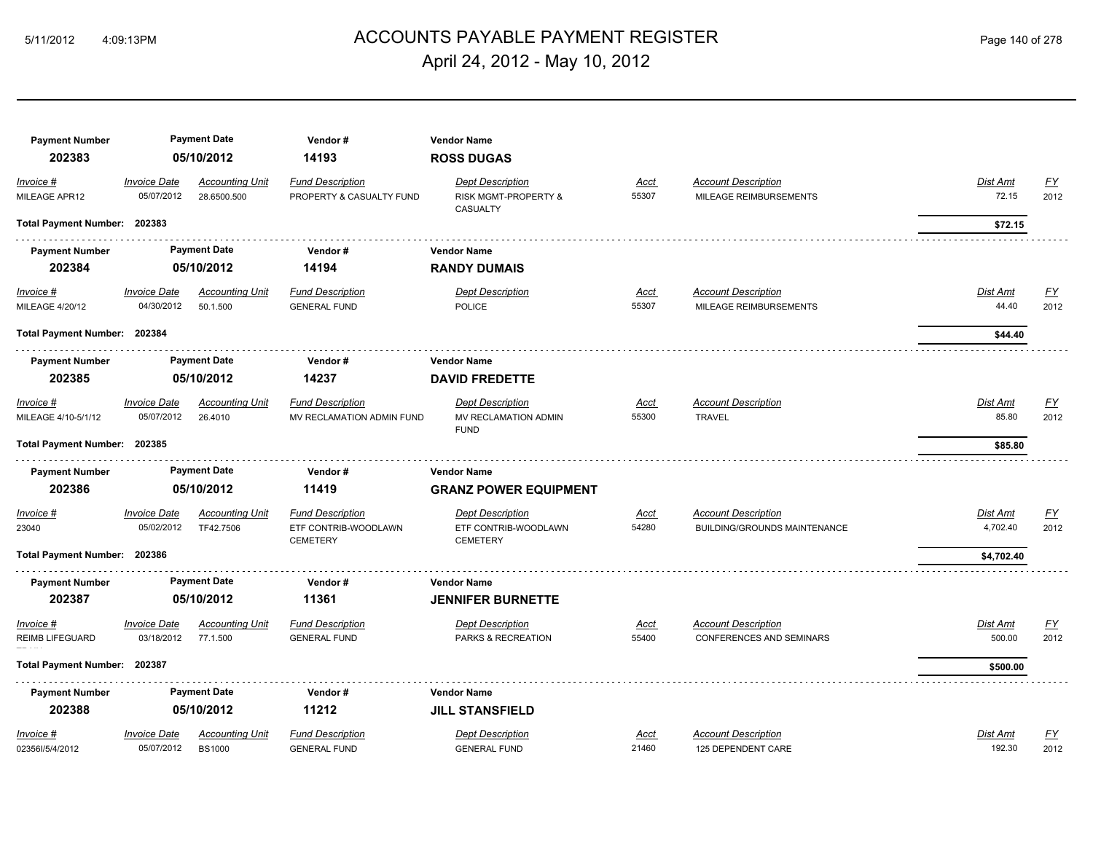# ACCOUNTS PAYABLE PAYMENT REGISTER 5/11/2012 4:09:13PM Page 140 of 278 April 24, 2012 - May 10, 2012

| <b>Payment Number</b>                      |                                   | <b>Payment Date</b>                   | Vendor#                                              | <b>Vendor Name</b>                                             |                      |                                                               |                          |                   |
|--------------------------------------------|-----------------------------------|---------------------------------------|------------------------------------------------------|----------------------------------------------------------------|----------------------|---------------------------------------------------------------|--------------------------|-------------------|
| 202383                                     |                                   | 05/10/2012                            | 14193                                                | <b>ROSS DUGAS</b>                                              |                      |                                                               |                          |                   |
| Invoice #<br>MILEAGE APR12                 | <b>Invoice Date</b><br>05/07/2012 | <b>Accounting Unit</b><br>28.6500.500 | <b>Fund Description</b><br>PROPERTY & CASUALTY FUND  | <b>Dept Description</b><br>RISK MGMT-PROPERTY &<br>CASUALTY    | Acct<br>55307        | <b>Account Description</b><br>MILEAGE REIMBURSEMENTS          | Dist Amt<br>72.15        | EY<br>2012        |
| Total Payment Number: 202383               |                                   |                                       |                                                      |                                                                |                      |                                                               | \$72.15                  |                   |
| <b>Payment Number</b>                      |                                   | <b>Payment Date</b>                   | Vendor#                                              | <b>Vendor Name</b>                                             |                      |                                                               |                          |                   |
| 202384                                     |                                   | 05/10/2012                            | 14194                                                | <b>RANDY DUMAIS</b>                                            |                      |                                                               |                          |                   |
| <b>Invoice #</b><br><b>MILEAGE 4/20/12</b> | <b>Invoice Date</b><br>04/30/2012 | <b>Accounting Unit</b><br>50.1.500    | <b>Fund Description</b><br><b>GENERAL FUND</b>       | <b>Dept Description</b><br><b>POLICE</b>                       | <u>Acct</u><br>55307 | <b>Account Description</b><br>MILEAGE REIMBURSEMENTS          | <b>Dist Amt</b><br>44.40 | <u>FY</u><br>2012 |
| Total Payment Number: 202384               |                                   |                                       |                                                      |                                                                |                      |                                                               | \$44.40                  |                   |
| <b>Payment Number</b>                      |                                   | <b>Payment Date</b>                   | Vendor#                                              | <b>Vendor Name</b>                                             |                      |                                                               |                          |                   |
| 202385                                     |                                   | 05/10/2012                            | 14237                                                | <b>DAVID FREDETTE</b>                                          |                      |                                                               |                          |                   |
| Invoice #<br>MILEAGE 4/10-5/1/12           | <b>Invoice Date</b><br>05/07/2012 | <b>Accounting Unit</b><br>26,4010     | <b>Fund Description</b><br>MV RECLAMATION ADMIN FUND | <b>Dept Description</b><br>MV RECLAMATION ADMIN<br><b>FUND</b> | <u>Acct</u><br>55300 | <b>Account Description</b><br><b>TRAVEL</b>                   | Dist Amt<br>85.80        | <u>FY</u><br>2012 |
| <b>Total Payment Number:</b>               | 202385                            |                                       |                                                      |                                                                |                      |                                                               | \$85.80                  |                   |
| <b>Payment Number</b>                      |                                   | <b>Payment Date</b>                   | Vendor#                                              | <b>Vendor Name</b>                                             |                      |                                                               |                          |                   |
| 202386                                     |                                   | 05/10/2012                            | 11419                                                | <b>GRANZ POWER EQUIPMENT</b>                                   |                      |                                                               |                          |                   |
| Invoice #<br>23040                         | <b>Invoice Date</b><br>05/02/2012 | <b>Accounting Unit</b>                | <b>Fund Description</b>                              | <b>Dept Description</b>                                        | Acct                 | <b>Account Description</b>                                    | Dist Amt                 | EY                |
|                                            |                                   | TF42.7506                             | ETF CONTRIB-WOODLAWN                                 | ETF CONTRIB-WOODLAWN                                           | 54280                | BUILDING/GROUNDS MAINTENANCE                                  | 4,702.40                 | 2012              |
| Total Payment Number: 202386               |                                   |                                       | <b>CEMETERY</b>                                      | <b>CEMETERY</b>                                                |                      |                                                               | \$4,702.40               |                   |
| <b>Payment Number</b>                      |                                   | <b>Payment Date</b>                   | Vendor#                                              | <b>Vendor Name</b>                                             |                      |                                                               |                          |                   |
| 202387                                     |                                   | 05/10/2012                            | 11361                                                | <b>JENNIFER BURNETTE</b>                                       |                      |                                                               |                          |                   |
| Invoice #<br><b>REIMB LIFEGUARD</b>        | <b>Invoice Date</b><br>03/18/2012 | <b>Accounting Unit</b><br>77.1.500    | <b>Fund Description</b><br><b>GENERAL FUND</b>       | <b>Dept Description</b><br>PARKS & RECREATION                  | Acct<br>55400        | <b>Account Description</b><br><b>CONFERENCES AND SEMINARS</b> | Dist Amt<br>500.00       | <u>FY</u><br>2012 |
| <b>Total Payment Number:</b>               | 202387                            |                                       |                                                      |                                                                |                      |                                                               | \$500.00                 |                   |
| <b>Payment Number</b>                      |                                   | <b>Payment Date</b>                   | Vendor#                                              | <b>Vendor Name</b>                                             |                      |                                                               |                          |                   |
| 202388                                     |                                   | 05/10/2012                            | 11212                                                | <b>JILL STANSFIELD</b>                                         |                      |                                                               |                          |                   |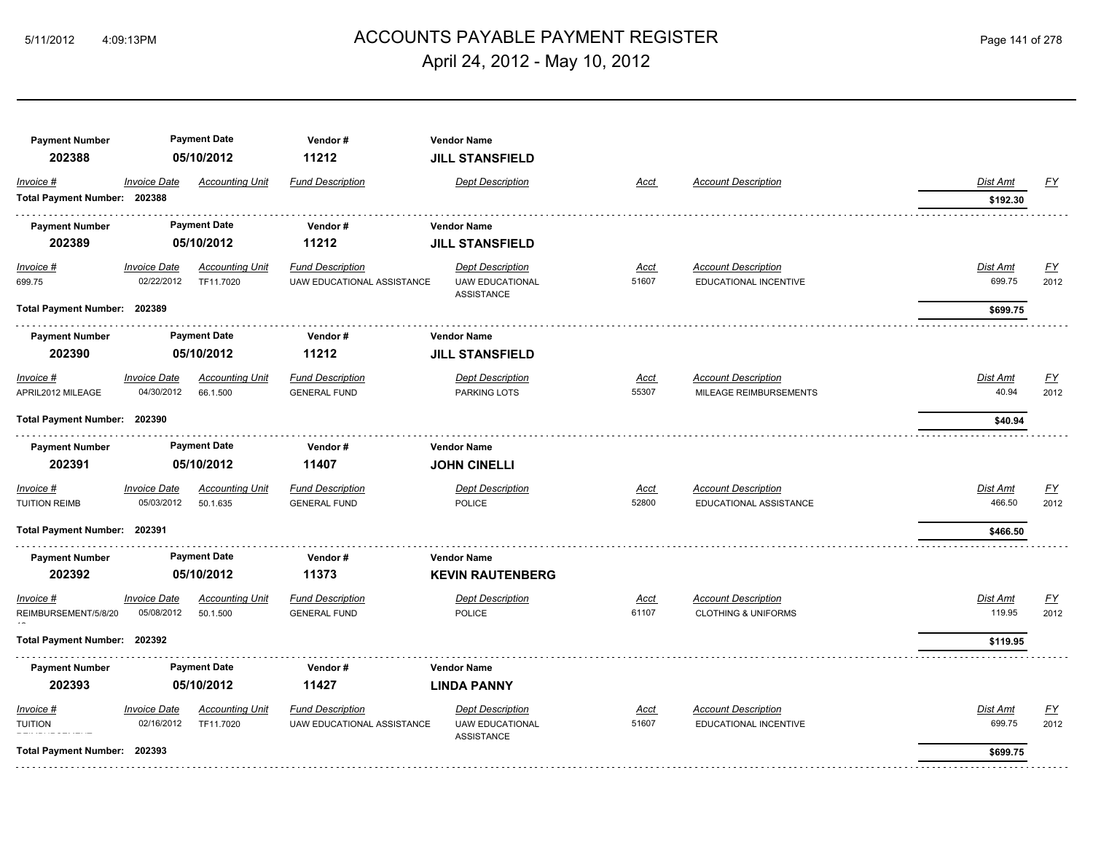# ACCOUNTS PAYABLE PAYMENT REGISTER 5/11/2012 4:09:13PM Page 141 of 278 April 24, 2012 - May 10, 2012

| <b>Payment Number</b><br>202388                             |                                   | <b>Payment Date</b><br>05/10/2012   | Vendor#<br>11212                                             | <b>Vendor Name</b><br><b>JILL STANSFIELD</b>                           |                      |                                                              |                                |                          |
|-------------------------------------------------------------|-----------------------------------|-------------------------------------|--------------------------------------------------------------|------------------------------------------------------------------------|----------------------|--------------------------------------------------------------|--------------------------------|--------------------------|
| Invoice #<br>Total Payment Number: 202388                   | <b>Invoice Date</b>               | <b>Accounting Unit</b>              | <b>Fund Description</b>                                      | <b>Dept Description</b>                                                | Acct                 | <b>Account Description</b>                                   | Dist Amt<br>\$192.30           | <u>FY</u>                |
| <b>Payment Number</b><br>202389                             |                                   | <b>Payment Date</b><br>05/10/2012   | Vendor#<br>11212                                             | <b>Vendor Name</b><br><b>JILL STANSFIELD</b>                           |                      |                                                              |                                |                          |
| $Invoice$ #<br>699.75                                       | <b>Invoice Date</b><br>02/22/2012 | <b>Accounting Unit</b><br>TF11.7020 | <b>Fund Description</b><br><b>UAW EDUCATIONAL ASSISTANCE</b> | <b>Dept Description</b><br><b>UAW EDUCATIONAL</b><br><b>ASSISTANCE</b> | Acct<br>51607        | <b>Account Description</b><br>EDUCATIONAL INCENTIVE          | <b>Dist Amt</b><br>699.75      | <u>FY</u><br>2012        |
| Total Payment Number: 202389                                |                                   |                                     |                                                              |                                                                        |                      |                                                              | \$699.75                       |                          |
| <b>Payment Number</b><br>202390                             |                                   | <b>Payment Date</b><br>05/10/2012   | Vendor#<br>11212                                             | <b>Vendor Name</b><br><b>JILL STANSFIELD</b>                           |                      |                                                              |                                |                          |
| Invoice #<br>APRIL2012 MILEAGE                              | <b>Invoice Date</b><br>04/30/2012 | <b>Accounting Unit</b><br>66.1.500  | <b>Fund Description</b><br><b>GENERAL FUND</b>               | <b>Dept Description</b><br>PARKING LOTS                                | <u>Acct</u><br>55307 | <b>Account Description</b><br>MILEAGE REIMBURSEMENTS         | Dist Amt<br>40.94              | <u>FY</u><br>2012        |
| Total Payment Number: 202390                                |                                   |                                     |                                                              |                                                                        |                      |                                                              | \$40.94                        |                          |
| <b>Payment Number</b><br>202391                             |                                   | <b>Payment Date</b><br>05/10/2012   | Vendor#<br>11407                                             | <b>Vendor Name</b><br><b>JOHN CINELLI</b>                              |                      |                                                              |                                |                          |
| Invoice #<br><b>TUITION REIMB</b>                           | <b>Invoice Date</b><br>05/03/2012 | <b>Accounting Unit</b><br>50.1.635  | <b>Fund Description</b><br><b>GENERAL FUND</b>               | <b>Dept Description</b><br><b>POLICE</b>                               | <u>Acct</u><br>52800 | <b>Account Description</b><br>EDUCATIONAL ASSISTANCE         | Dist Amt<br>466.50             | $\underline{FY}$<br>2012 |
| Total Payment Number: 202391                                |                                   |                                     |                                                              |                                                                        |                      |                                                              | \$466.50                       |                          |
| <b>Payment Number</b><br>202392                             |                                   | <b>Payment Date</b><br>05/10/2012   | Vendor#<br>11373                                             | <b>Vendor Name</b><br><b>KEVIN RAUTENBERG</b>                          |                      |                                                              |                                |                          |
| Invoice #<br>REIMBURSEMENT/5/8/20                           | <b>Invoice Date</b><br>05/08/2012 | <b>Accounting Unit</b><br>50.1.500  | <b>Fund Description</b><br><b>GENERAL FUND</b>               | <b>Dept Description</b><br><b>POLICE</b>                               | Acct<br>61107        | <b>Account Description</b><br><b>CLOTHING &amp; UNIFORMS</b> | Dist Amt<br>119.95             | <b>FY</b><br>2012        |
| Total Payment Number: 202392                                |                                   |                                     |                                                              |                                                                        |                      |                                                              | \$119.95                       |                          |
| <b>Payment Number</b><br>202393                             |                                   | <b>Payment Date</b><br>05/10/2012   | Vendor#<br>11427                                             | <b>Vendor Name</b><br><b>LINDA PANNY</b>                               |                      |                                                              |                                |                          |
| Invoice #<br><b>TUITION</b><br>Total Payment Number: 202393 | <b>Invoice Date</b><br>02/16/2012 | <b>Accounting Unit</b><br>TF11.7020 | <b>Fund Description</b><br>UAW EDUCATIONAL ASSISTANCE        | <b>Dept Description</b><br><b>UAW EDUCATIONAL</b><br><b>ASSISTANCE</b> | Acct<br>51607        | <b>Account Description</b><br>EDUCATIONAL INCENTIVE          | Dist Amt<br>699.75<br>\$699.75 | EY<br>2012               |
|                                                             |                                   |                                     |                                                              |                                                                        |                      |                                                              |                                |                          |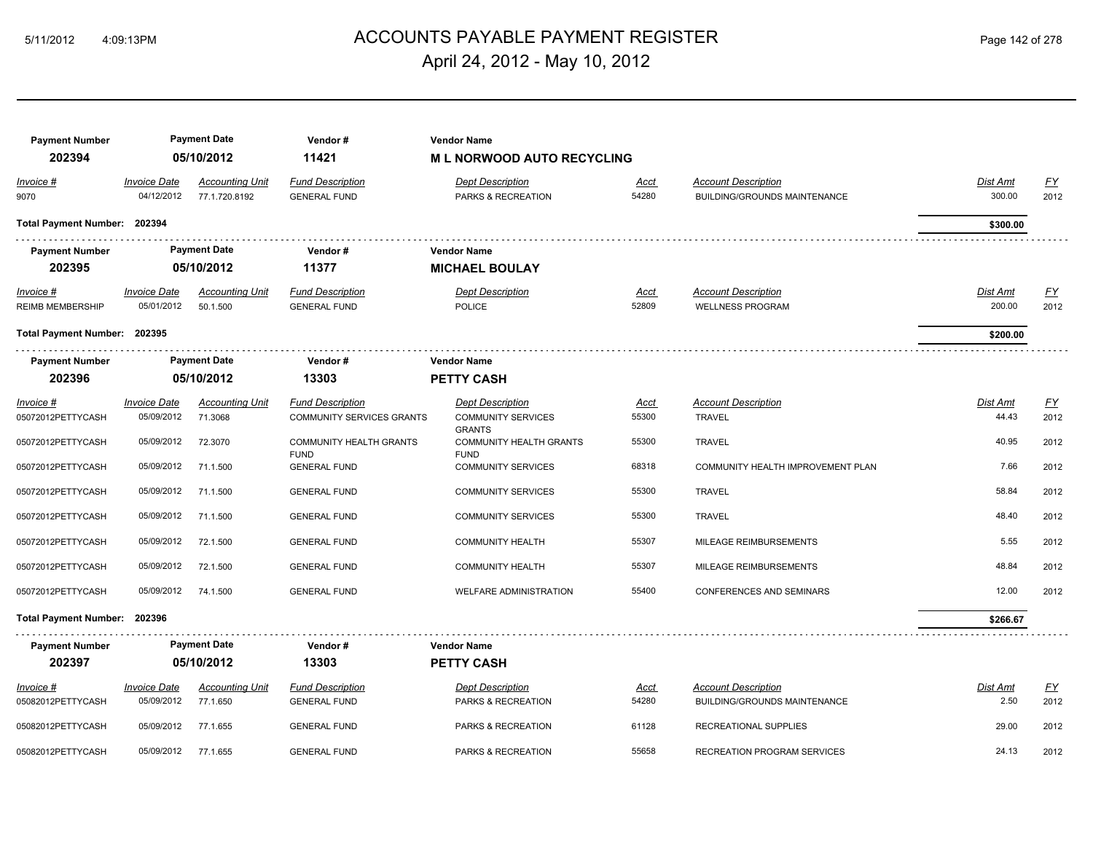# ACCOUNTS PAYABLE PAYMENT REGISTER 5/11/2012 4:09:13PM Page 142 of 278 April 24, 2012 - May 10, 2012

| Page 142 of 278 |  |  |
|-----------------|--|--|

| <b>Payment Number</b><br>202394<br>Invoice #<br>9070 | <b>Invoice Date</b><br>04/12/2012 | <b>Payment Date</b><br>05/10/2012<br><b>Accounting Unit</b><br>77.1.720.8192 | Vendor#<br>11421<br><b>Fund Description</b><br><b>GENERAL FUND</b> | <b>Vendor Name</b><br><b>ML NORWOOD AUTO RECYCLING</b><br><b>Dept Description</b><br>PARKS & RECREATION | Acct<br>54280        | <b>Account Description</b><br><b>BUILDING/GROUNDS MAINTENANCE</b> | Dist Amt<br>300.00        | <u>FY</u><br>2012 |
|------------------------------------------------------|-----------------------------------|------------------------------------------------------------------------------|--------------------------------------------------------------------|---------------------------------------------------------------------------------------------------------|----------------------|-------------------------------------------------------------------|---------------------------|-------------------|
| Total Payment Number: 202394                         |                                   |                                                                              |                                                                    |                                                                                                         |                      |                                                                   | \$300.00                  |                   |
| <b>Payment Number</b><br>202395                      |                                   | <b>Payment Date</b><br>05/10/2012                                            | Vendor#<br>11377                                                   | <b>Vendor Name</b><br><b>MICHAEL BOULAY</b>                                                             |                      |                                                                   |                           |                   |
| $Invoice$ #<br>REIMB MEMBERSHIP                      | <b>Invoice Date</b><br>05/01/2012 | <b>Accounting Unit</b><br>50.1.500                                           | <b>Fund Description</b><br><b>GENERAL FUND</b>                     | <b>Dept Description</b><br><b>POLICE</b>                                                                | <u>Acct</u><br>52809 | <b>Account Description</b><br><b>WELLNESS PROGRAM</b>             | <b>Dist Amt</b><br>200.00 | <u>FY</u><br>2012 |
| Total Payment Number: 202395                         |                                   |                                                                              |                                                                    |                                                                                                         |                      |                                                                   | \$200.00                  |                   |
| <b>Payment Number</b>                                |                                   | <b>Payment Date</b>                                                          | Vendor#                                                            | <b>Vendor Name</b>                                                                                      |                      |                                                                   |                           |                   |
| 202396                                               |                                   | 05/10/2012                                                                   | 13303                                                              | <b>PETTY CASH</b>                                                                                       |                      |                                                                   |                           |                   |
| Invoice #<br>05072012PETTYCASH                       | <b>Invoice Date</b><br>05/09/2012 | <b>Accounting Unit</b><br>71.3068                                            | <b>Fund Description</b><br><b>COMMUNITY SERVICES GRANTS</b>        | <b>Dept Description</b><br><b>COMMUNITY SERVICES</b><br><b>GRANTS</b>                                   | Acct<br>55300        | <b>Account Description</b><br><b>TRAVEL</b>                       | <b>Dist Amt</b><br>44.43  | EY<br>2012        |
| 05072012PETTYCASH                                    | 05/09/2012                        | 72.3070                                                                      | <b>COMMUNITY HEALTH GRANTS</b><br><b>FUND</b>                      | <b>COMMUNITY HEALTH GRANTS</b><br><b>FUND</b>                                                           | 55300                | <b>TRAVEL</b>                                                     | 40.95                     | 2012              |
| 05072012PETTYCASH                                    | 05/09/2012                        | 71.1.500                                                                     | <b>GENERAL FUND</b>                                                | <b>COMMUNITY SERVICES</b>                                                                               | 68318                | COMMUNITY HEALTH IMPROVEMENT PLAN                                 | 7.66                      | 2012              |
| 05072012PETTYCASH                                    | 05/09/2012                        | 71.1.500                                                                     | <b>GENERAL FUND</b>                                                | <b>COMMUNITY SERVICES</b>                                                                               | 55300                | <b>TRAVEL</b>                                                     | 58.84                     | 2012              |
| 05072012PETTYCASH                                    | 05/09/2012                        | 71.1.500                                                                     | <b>GENERAL FUND</b>                                                | <b>COMMUNITY SERVICES</b>                                                                               | 55300                | <b>TRAVEL</b>                                                     | 48.40                     | 2012              |
| 05072012PETTYCASH                                    | 05/09/2012                        | 72.1.500                                                                     | <b>GENERAL FUND</b>                                                | <b>COMMUNITY HEALTH</b>                                                                                 | 55307                | MILEAGE REIMBURSEMENTS                                            | 5.55                      | 2012              |
| 05072012PETTYCASH                                    | 05/09/2012                        | 72.1.500                                                                     | <b>GENERAL FUND</b>                                                | <b>COMMUNITY HEALTH</b>                                                                                 | 55307                | MILEAGE REIMBURSEMENTS                                            | 48.84                     | 2012              |
| 05072012PETTYCASH                                    | 05/09/2012                        | 74.1.500                                                                     | <b>GENERAL FUND</b>                                                | <b>WELFARE ADMINISTRATION</b>                                                                           | 55400                | <b>CONFERENCES AND SEMINARS</b>                                   | 12.00                     | 2012              |
| Total Payment Number: 202396                         |                                   |                                                                              |                                                                    |                                                                                                         |                      |                                                                   | \$266.67                  |                   |
| <b>Payment Number</b>                                |                                   | <b>Payment Date</b>                                                          | Vendor#                                                            | <b>Vendor Name</b>                                                                                      |                      |                                                                   |                           |                   |
| 202397                                               |                                   | 05/10/2012                                                                   | 13303                                                              | <b>PETTY CASH</b>                                                                                       |                      |                                                                   |                           |                   |
| Invoice #<br>05082012PETTYCASH                       | <b>Invoice Date</b><br>05/09/2012 | <b>Accounting Unit</b><br>77.1.650                                           | <b>Fund Description</b><br><b>GENERAL FUND</b>                     | <b>Dept Description</b><br>PARKS & RECREATION                                                           | <u>Acct</u><br>54280 | <b>Account Description</b><br><b>BUILDING/GROUNDS MAINTENANCE</b> | <b>Dist Amt</b><br>2.50   | <u>FY</u><br>2012 |
| 05082012PETTYCASH                                    | 05/09/2012                        | 77.1.655                                                                     | <b>GENERAL FUND</b>                                                | PARKS & RECREATION                                                                                      | 61128                | RECREATIONAL SUPPLIES                                             | 29.00                     | 2012              |
| 05082012PETTYCASH                                    | 05/09/2012                        | 77.1.655                                                                     | <b>GENERAL FUND</b>                                                | PARKS & RECREATION                                                                                      | 55658                | RECREATION PROGRAM SERVICES                                       | 24.13                     | 2012              |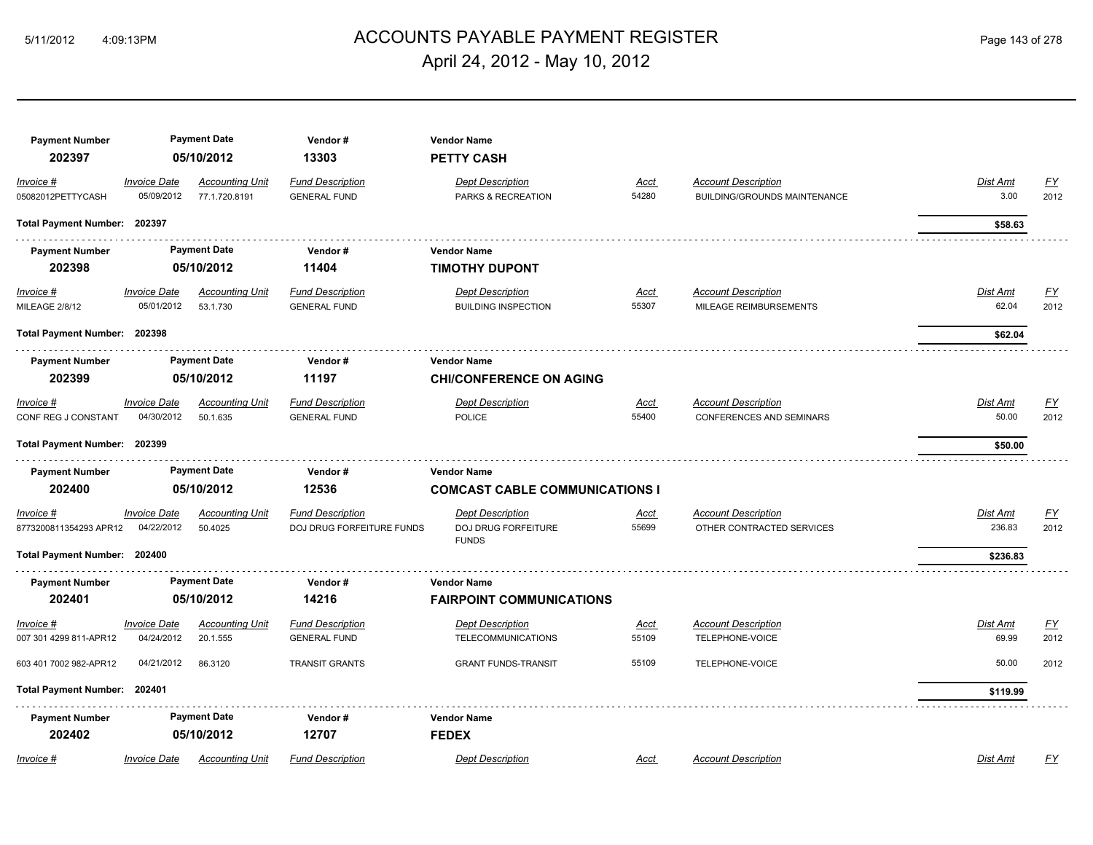#### ACCOUNTS PAYABLE PAYMENT REGISTER 5/11/2012 4:09:13PM Page 143 of 278 April 24, 2012 - May 10, 2012

| <b>Payment Number</b><br>202397     |                                   | <b>Payment Date</b><br>05/10/2012       | Vendor#<br>13303                                     | <b>Vendor Name</b><br><b>PETTY CASH</b>                        |                      |                                                               |                          |                          |
|-------------------------------------|-----------------------------------|-----------------------------------------|------------------------------------------------------|----------------------------------------------------------------|----------------------|---------------------------------------------------------------|--------------------------|--------------------------|
| Invoice #<br>05082012PETTYCASH      | <b>Invoice Date</b><br>05/09/2012 | <b>Accounting Unit</b><br>77.1.720.8191 | <b>Fund Description</b><br><b>GENERAL FUND</b>       | <b>Dept Description</b><br>PARKS & RECREATION                  | <u>Acct</u><br>54280 | <b>Account Description</b><br>BUILDING/GROUNDS MAINTENANCE    | Dist Amt<br>3.00         | <u>FY</u><br>2012        |
| Total Payment Number: 202397        |                                   |                                         |                                                      |                                                                |                      |                                                               | \$58.63                  |                          |
| <b>Payment Number</b><br>202398     |                                   | <b>Payment Date</b><br>05/10/2012       | Vendor#<br>11404                                     | <b>Vendor Name</b><br><b>TIMOTHY DUPONT</b>                    |                      |                                                               |                          |                          |
| $Invoice$ #<br>MILEAGE 2/8/12       | <b>Invoice Date</b><br>05/01/2012 | <u>Accounting Unit</u><br>53.1.730      | <b>Fund Description</b><br><b>GENERAL FUND</b>       | <b>Dept Description</b><br><b>BUILDING INSPECTION</b>          | <u>Acct</u><br>55307 | <b>Account Description</b><br>MILEAGE REIMBURSEMENTS          | <b>Dist Amt</b><br>62.04 | EY<br>2012               |
| Total Payment Number: 202398        |                                   |                                         |                                                      |                                                                |                      |                                                               | \$62.04                  |                          |
| <b>Payment Number</b><br>202399     |                                   | <b>Payment Date</b><br>05/10/2012       | Vendor#<br>11197                                     | <b>Vendor Name</b><br><b>CHI/CONFERENCE ON AGING</b>           |                      |                                                               |                          |                          |
| Invoice #<br>CONF REG J CONSTANT    | <b>Invoice Date</b><br>04/30/2012 | Accounting Unit<br>50.1.635             | <b>Fund Description</b><br><b>GENERAL FUND</b>       | <b>Dept Description</b><br><b>POLICE</b>                       | Acct<br>55400        | <b>Account Description</b><br><b>CONFERENCES AND SEMINARS</b> | Dist Amt<br>50.00        | $\underline{FY}$<br>2012 |
| Total Payment Number: 202399        |                                   |                                         |                                                      |                                                                |                      |                                                               | \$50.00                  |                          |
| <b>Payment Number</b><br>202400     |                                   | <b>Payment Date</b><br>05/10/2012       | Vendor#<br>12536                                     | <b>Vendor Name</b><br><b>COMCAST CABLE COMMUNICATIONS I</b>    |                      |                                                               |                          |                          |
| Invoice #<br>8773200811354293 APR12 | <b>Invoice Date</b><br>04/22/2012 | <b>Accounting Unit</b><br>50.4025       | <b>Fund Description</b><br>DOJ DRUG FORFEITURE FUNDS | <b>Dept Description</b><br>DOJ DRUG FORFEITURE<br><b>FUNDS</b> | <b>Acct</b><br>55699 | <b>Account Description</b><br>OTHER CONTRACTED SERVICES       | Dist Amt<br>236.83       | <u>FY</u><br>2012        |
| Total Payment Number: 202400        |                                   |                                         |                                                      |                                                                |                      |                                                               | \$236.83                 |                          |
| <b>Payment Number</b>               |                                   | <b>Payment Date</b>                     | Vendor#                                              | <b>Vendor Name</b>                                             |                      |                                                               |                          |                          |
| 202401                              |                                   | 05/10/2012                              | 14216                                                | <b>FAIRPOINT COMMUNICATIONS</b>                                |                      |                                                               |                          |                          |
| Invoice #                           | <b>Invoice Date</b>               | <b>Accounting Unit</b>                  | <b>Fund Description</b>                              | <b>Dept Description</b>                                        | Acct                 | <b>Account Description</b>                                    | Dist Amt                 | EY                       |
| 007 301 4299 811-APR12              | 04/24/2012                        | 20.1.555                                | <b>GENERAL FUND</b>                                  | <b>TELECOMMUNICATIONS</b>                                      | 55109                | TELEPHONE-VOICE                                               | 69.99                    | 2012                     |
| 603 401 7002 982-APR12              | 04/21/2012                        | 86.3120                                 | <b>TRANSIT GRANTS</b>                                | <b>GRANT FUNDS-TRANSIT</b>                                     | 55109                | TELEPHONE-VOICE                                               | 50.00                    | 2012                     |
| <b>Total Payment Number:</b>        | 202401                            |                                         |                                                      |                                                                |                      |                                                               | \$119.99                 |                          |
| <b>Payment Number</b>               |                                   | <b>Payment Date</b>                     | Vendor#                                              | <b>Vendor Name</b>                                             |                      |                                                               |                          |                          |
| 202402                              |                                   | 05/10/2012                              | 12707                                                | <b>FEDEX</b>                                                   |                      |                                                               |                          |                          |
| Invoice #                           | <b>Invoice Date</b>               | <b>Accounting Unit</b>                  | <b>Fund Description</b>                              | <b>Dept Description</b>                                        | Acct                 | <b>Account Description</b>                                    | Dist Amt                 | FY                       |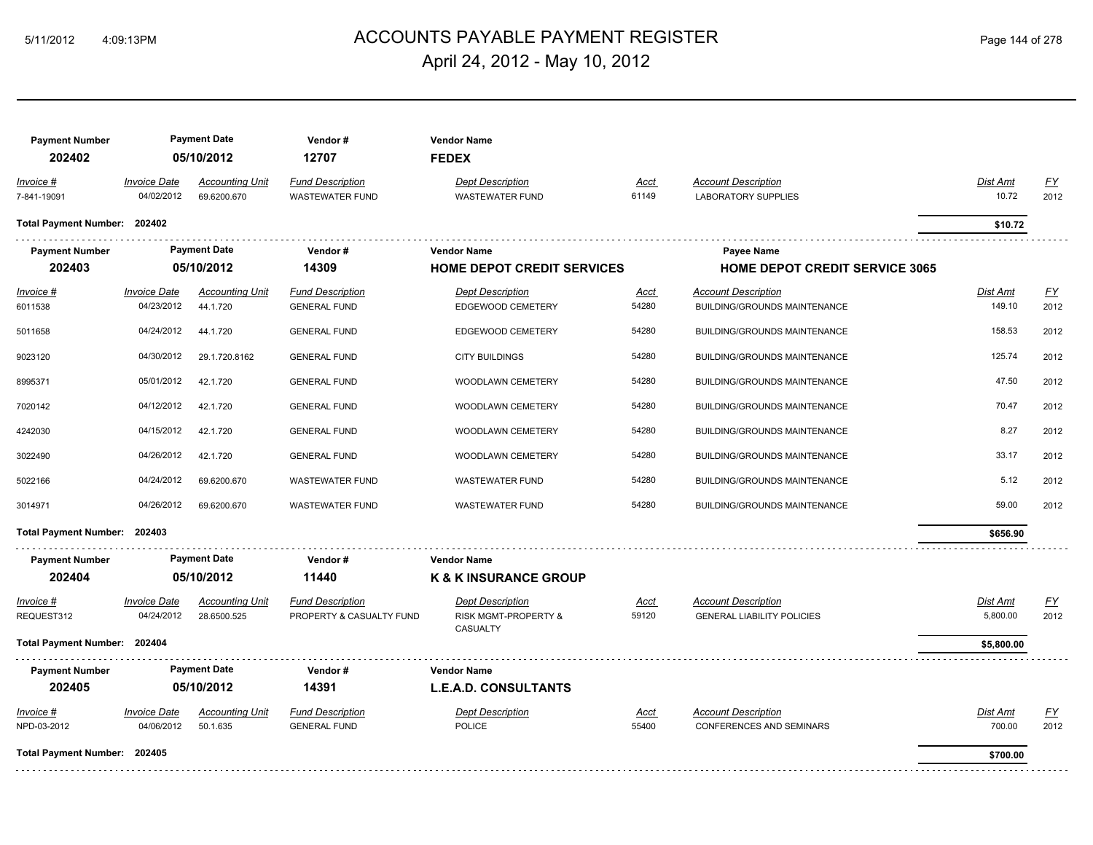#### ACCOUNTS PAYABLE PAYMENT REGISTER 5/11/2012 4:09:13PM Page 144 of 278 April 24, 2012 - May 10, 2012

**Payment Number Payment Date Vendor # Vendor Name 202402 05/10/2012 12707 FEDEX** *Invoice # Invoice Date Accounting Unit Fund Description Dept Description Acct Account Description Dist Amt FY* 7-841-19091 04/02/2012 69.6200.670 WASTEWATER FUND WASTEWATER FUND 61149 LABORATORY SUPPLIES 10.72 2012 **Total Payment Number: 202402 \$10.72 Payment Number Payment Date Vendor # Vendor Name Payee Name 202403 05/10/2012 14309 HOME DEPOT CREDIT SERVICES HOME DEPOT CREDIT SERVICE 3065** *Invoice # Invoice Date Accounting Unit Fund Description Dept Description Acct Account Description Dist Amt FY* 6011538 04/23/2012 44.1.720 GENERAL FUND EDGEWOOD CEMETERY 54280 BUILDING/GROUNDS MAINTENANCE 149.10 2012 5011658 04/24/2012 44.1.720 GENERAL FUND EDGEWOOD CEMETERY 54280 BUILDING/GROUNDS MAINTENANCE 158.53 2012 9023120 04/30/2012 29.1.720.8162 GENERAL FUND CITY BUILDINGS 54280 BUILDING/GROUNDS MAINTENANCE 125.74 2012 8995371 05/01/2012 42.1.720 GENERAL FUND WOODLAWN CEMETERY 54280 BUILDING/GROUNDS MAINTENANCE 47.50 2012 7020142 04/12/2012 42.1.720 GENERAL FUND WOODLAWN CEMETERY 54280 BUILDING/GROUNDS MAINTENANCE 70.47 2012 4242030 04/15/2012 42.1.720 GENERAL FUND WOODLAWN CEMETERY 54280 BUILDING/GROUNDS MAINTENANCE 8.27 2012 3022490 04/26/2012 42.1.720 GENERAL FUND WOODLAWN CEMETERY 54280 BUILDING/GROUNDS MAINTENANCE 33.17 2012 5022166 04/24/2012 69.6200.670 WASTEWATER FUND WASTEWATER FUND 54280 BUILDING/GROUNDS MAINTENANCE 5.12 2012 3014971 04/26/2012 69.6200.670 WASTEWATER FUND WASTEWATER FUND 54280 BUILDING/GROUNDS MAINTENANCE 59.00 2012 **Total Payment Number: 202403 \$656.90 Payment Number Payment Date Vendor # Vendor Name 202404 05/10/2012 11440 K & K INSURANCE GROUP** *Invoice # Invoice Date Accounting Unit Fund Description Dept Description Acct Account Description Dist Amt FY* REQUEST312 04/24/2012 28.6500.525 PROPERTY & CASUALTY FUND RISK MGMT-PROPERTY & 59120 GENERAL LIABILITY POLICIES 5,800.00 5,800.00 2012 **GENERAL LIABILITY POLICIES** CASUALTY **Total Payment Number: 202404 \$5,800.00 Payment Number Payment Date Vendor # Vendor Name 202405 05/10/2012 14391 L.E.A.D. CONSULTANTS** *Invoice # Invoice Date Accounting Unit Fund Description Dept Description Acct Account Description Dist Amt FY* NPD-03-2012 04/06/2012 50.1.635 GENERAL FUND POLICE POLICE 55400 CONFERENCES AND SEMINARS 700.00 2012 **Total Payment Number: 202405 \$700.00** \_\_\_\_\_\_\_\_\_\_\_\_\_\_\_\_\_\_\_\_\_\_\_\_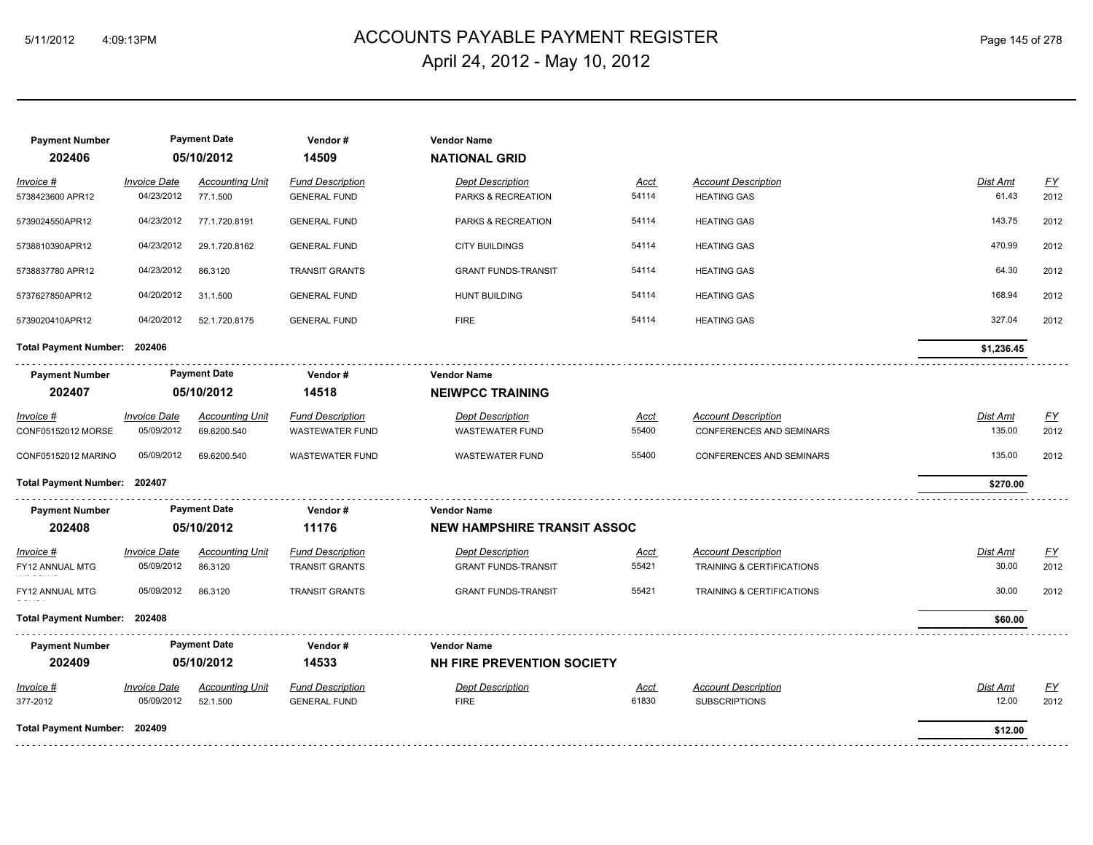# ACCOUNTS PAYABLE PAYMENT REGISTER 5/11/2012 4:09:13PM Page 145 of 278 April 24, 2012 - May 10, 2012

| <b>Payment Number</b><br>202406 |                                   | <b>Payment Date</b><br>05/10/2012     | Vendor#<br>14509                           | <b>Vendor Name</b><br><b>NATIONAL GRID</b> |                      |                                                        |                    |                   |
|---------------------------------|-----------------------------------|---------------------------------------|--------------------------------------------|--------------------------------------------|----------------------|--------------------------------------------------------|--------------------|-------------------|
| Invoice #                       | <b>Invoice Date</b>               | <b>Accounting Unit</b>                | <b>Fund Description</b>                    | <b>Dept Description</b>                    | Acct                 | <b>Account Description</b>                             | <b>Dist Amt</b>    | <u>FY</u>         |
| 5738423600 APR12                | 04/23/2012                        | 77.1.500                              | <b>GENERAL FUND</b>                        | PARKS & RECREATION                         | 54114                | <b>HEATING GAS</b>                                     | 61.43              | 2012              |
| 5739024550APR12                 | 04/23/2012                        | 77.1.720.8191                         | <b>GENERAL FUND</b>                        | PARKS & RECREATION                         | 54114                | <b>HEATING GAS</b>                                     | 143.75             | 2012              |
| 5738810390APR12                 | 04/23/2012                        | 29.1.720.8162                         | <b>GENERAL FUND</b>                        | <b>CITY BUILDINGS</b>                      | 54114                | <b>HEATING GAS</b>                                     | 470.99             | 2012              |
| 5738837780 APR12                | 04/23/2012                        | 86.3120                               | <b>TRANSIT GRANTS</b>                      | <b>GRANT FUNDS-TRANSIT</b>                 | 54114                | <b>HEATING GAS</b>                                     | 64.30              | 2012              |
| 5737627850APR12                 | 04/20/2012                        | 31.1.500                              | <b>GENERAL FUND</b>                        | <b>HUNT BUILDING</b>                       | 54114                | <b>HEATING GAS</b>                                     | 168.94             | 2012              |
| 5739020410APR12                 | 04/20/2012                        | 52.1.720.8175                         | <b>GENERAL FUND</b>                        | <b>FIRE</b>                                | 54114                | <b>HEATING GAS</b>                                     | 327.04             | 2012              |
| Total Payment Number: 202406    |                                   |                                       |                                            |                                            |                      |                                                        | \$1,236.45         |                   |
| <b>Payment Number</b>           |                                   | <b>Payment Date</b>                   | Vendor#                                    | <b>Vendor Name</b>                         |                      |                                                        |                    |                   |
| 202407                          |                                   | 05/10/2012                            | 14518                                      | <b>NEIWPCC TRAINING</b>                    |                      |                                                        |                    |                   |
| Invoice #<br>CONF05152012 MORSE | <b>Invoice Date</b><br>05/09/2012 | <b>Accounting Unit</b><br>69.6200.540 | <b>Fund Description</b><br>WASTEWATER FUND | <b>Dept Description</b><br>WASTEWATER FUND | <u>Acct</u><br>55400 | <b>Account Description</b><br>CONFERENCES AND SEMINARS | Dist Amt<br>135.00 | <u>FY</u><br>2012 |
| CONF05152012 MARINO             | 05/09/2012                        | 69.6200.540                           | <b>WASTEWATER FUND</b>                     | <b>WASTEWATER FUND</b>                     | 55400                | CONFERENCES AND SEMINARS                               | 135.00             | 2012              |
| Total Payment Number: 202407    |                                   |                                       |                                            |                                            |                      |                                                        | \$270.00           |                   |
| <b>Payment Number</b>           |                                   | <b>Payment Date</b>                   | Vendor#                                    | <b>Vendor Name</b>                         |                      |                                                        |                    |                   |
| 202408                          |                                   | 05/10/2012                            | 11176                                      | <b>NEW HAMPSHIRE TRANSIT ASSOC</b>         |                      |                                                        |                    |                   |
| Invoice #                       | <b>Invoice Date</b>               | <b>Accounting Unit</b>                | <b>Fund Description</b>                    | <b>Dept Description</b>                    | <u>Acct</u>          | <b>Account Description</b>                             | Dist Amt           | $\underline{FY}$  |
| FY12 ANNUAL MTG                 | 05/09/2012                        | 86.3120                               | <b>TRANSIT GRANTS</b>                      | <b>GRANT FUNDS-TRANSIT</b>                 | 55421                | <b>TRAINING &amp; CERTIFICATIONS</b>                   | 30.00              | 2012              |
| FY12 ANNUAL MTG                 | 05/09/2012                        | 86.3120                               | <b>TRANSIT GRANTS</b>                      | <b>GRANT FUNDS-TRANSIT</b>                 | 55421                | TRAINING & CERTIFICATIONS                              | 30.00              | 2012              |
| <b>Total Payment Number:</b>    | 202408                            |                                       |                                            |                                            |                      |                                                        | \$60.00            |                   |
| <b>Payment Number</b>           |                                   | <b>Payment Date</b>                   | Vendor#                                    | <b>Vendor Name</b>                         |                      |                                                        |                    |                   |
| 202409                          |                                   | 05/10/2012                            | 14533                                      | NH FIRE PREVENTION SOCIETY                 |                      |                                                        |                    |                   |
| Invoice #                       | Invoice Date                      | <b>Accounting Unit</b>                | <b>Fund Description</b>                    | <b>Dept Description</b>                    | <u>Acct</u>          | <b>Account Description</b>                             | Dist Amt           | $\underline{FY}$  |
| 377-2012                        | 05/09/2012                        | 52.1.500                              | <b>GENERAL FUND</b>                        | <b>FIRE</b>                                | 61830                | <b>SUBSCRIPTIONS</b>                                   | 12.00              | 2012              |
| Total Payment Number: 202409    |                                   |                                       |                                            |                                            |                      |                                                        | \$12.00            |                   |
|                                 |                                   |                                       |                                            |                                            |                      |                                                        |                    |                   |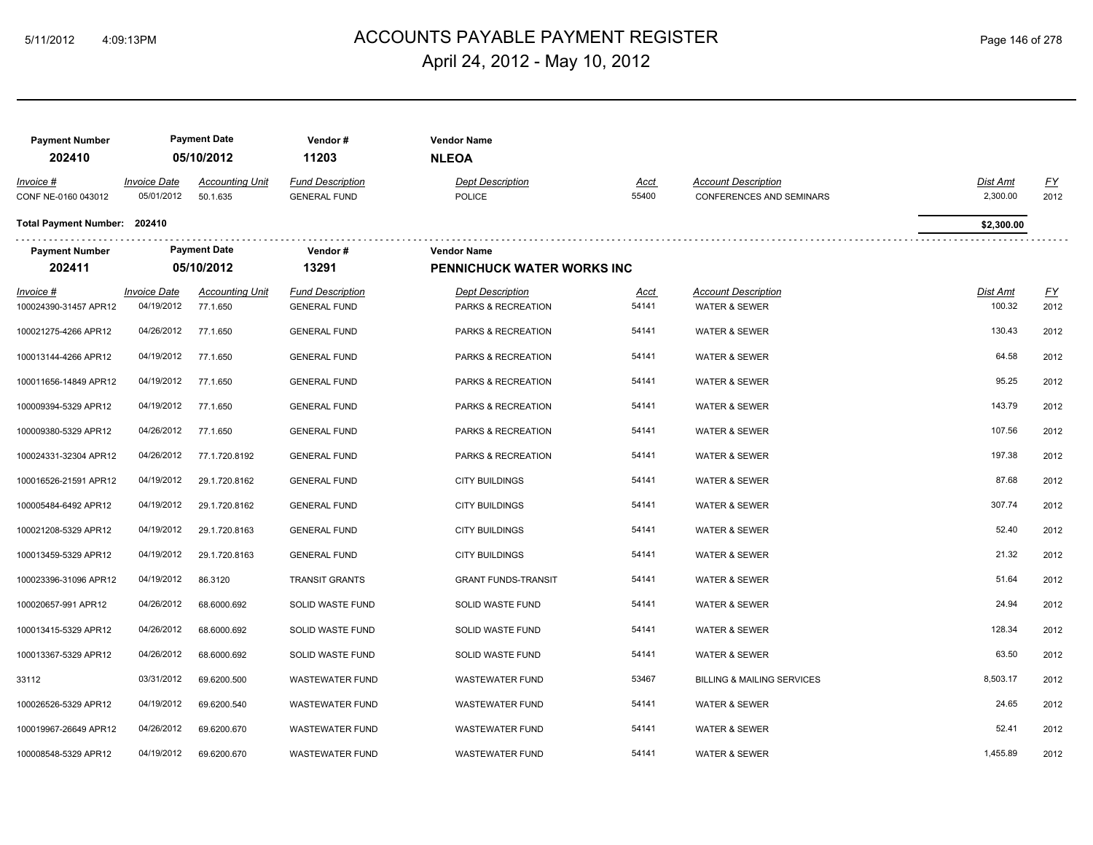# ACCOUNTS PAYABLE PAYMENT REGISTER 5/11/2012 4:09:13PM Page 146 of 278 April 24, 2012 - May 10, 2012

| Page 146 of 278 |  |  |
|-----------------|--|--|
|                 |  |  |

| <b>Payment Number</b><br>202410           |                                   | <b>Payment Date</b><br>05/10/2012  | Vendor#<br>11203                               | <b>Vendor Name</b><br><b>NLEOA</b>               |                      |                                                               |                           |                   |
|-------------------------------------------|-----------------------------------|------------------------------------|------------------------------------------------|--------------------------------------------------|----------------------|---------------------------------------------------------------|---------------------------|-------------------|
| Invoice #<br>CONF NE-0160 043012          | <b>Invoice Date</b><br>05/01/2012 | <b>Accounting Unit</b><br>50.1.635 | <b>Fund Description</b><br><b>GENERAL FUND</b> | <b>Dept Description</b><br><b>POLICE</b>         | Acct<br>55400        | <b>Account Description</b><br><b>CONFERENCES AND SEMINARS</b> | Dist Amt<br>2,300.00      | EY<br>2012        |
| Total Payment Number: 202410              |                                   |                                    |                                                |                                                  |                      |                                                               | \$2,300.00                |                   |
| <b>Payment Number</b><br>202411           |                                   | <b>Payment Date</b><br>05/10/2012  | Vendor#<br>13291                               | <b>Vendor Name</b><br>PENNICHUCK WATER WORKS INC |                      |                                                               |                           |                   |
| <b>Invoice #</b><br>100024390-31457 APR12 | <b>Invoice Date</b><br>04/19/2012 | <b>Accounting Unit</b><br>77.1.650 | <b>Fund Description</b><br><b>GENERAL FUND</b> | <b>Dept Description</b><br>PARKS & RECREATION    | <u>Acct</u><br>54141 | <b>Account Description</b><br><b>WATER &amp; SEWER</b>        | <u>Dist Amt</u><br>100.32 | <u>FY</u><br>2012 |
| 100021275-4266 APR12                      | 04/26/2012                        | 77.1.650                           | <b>GENERAL FUND</b>                            | PARKS & RECREATION                               | 54141                | <b>WATER &amp; SEWER</b>                                      | 130.43                    | 2012              |
| 100013144-4266 APR12                      | 04/19/2012                        | 77.1.650                           | <b>GENERAL FUND</b>                            | <b>PARKS &amp; RECREATION</b>                    | 54141                | <b>WATER &amp; SEWER</b>                                      | 64.58                     | 2012              |
| 100011656-14849 APR12                     | 04/19/2012                        | 77.1.650                           | <b>GENERAL FUND</b>                            | PARKS & RECREATION                               | 54141                | <b>WATER &amp; SEWER</b>                                      | 95.25                     | 2012              |
| 100009394-5329 APR12                      | 04/19/2012                        | 77.1.650                           | <b>GENERAL FUND</b>                            | PARKS & RECREATION                               | 54141                | <b>WATER &amp; SEWER</b>                                      | 143.79                    | 2012              |
| 100009380-5329 APR12                      | 04/26/2012                        | 77.1.650                           | <b>GENERAL FUND</b>                            | PARKS & RECREATION                               | 54141                | <b>WATER &amp; SEWER</b>                                      | 107.56                    | 2012              |
| 100024331-32304 APR12                     | 04/26/2012                        | 77.1.720.8192                      | <b>GENERAL FUND</b>                            | PARKS & RECREATION                               | 54141                | <b>WATER &amp; SEWER</b>                                      | 197.38                    | 2012              |
| 100016526-21591 APR12                     | 04/19/2012                        | 29.1.720.8162                      | <b>GENERAL FUND</b>                            | <b>CITY BUILDINGS</b>                            | 54141                | <b>WATER &amp; SEWER</b>                                      | 87.68                     | 2012              |
| 100005484-6492 APR12                      | 04/19/2012                        | 29.1.720.8162                      | <b>GENERAL FUND</b>                            | <b>CITY BUILDINGS</b>                            | 54141                | <b>WATER &amp; SEWER</b>                                      | 307.74                    | 2012              |
| 100021208-5329 APR12                      | 04/19/2012                        | 29.1.720.8163                      | <b>GENERAL FUND</b>                            | <b>CITY BUILDINGS</b>                            | 54141                | <b>WATER &amp; SEWER</b>                                      | 52.40                     | 2012              |
| 100013459-5329 APR12                      | 04/19/2012                        | 29.1.720.8163                      | <b>GENERAL FUND</b>                            | <b>CITY BUILDINGS</b>                            | 54141                | <b>WATER &amp; SEWER</b>                                      | 21.32                     | 2012              |
| 100023396-31096 APR12                     | 04/19/2012                        | 86.3120                            | <b>TRANSIT GRANTS</b>                          | <b>GRANT FUNDS-TRANSIT</b>                       | 54141                | <b>WATER &amp; SEWER</b>                                      | 51.64                     | 2012              |
| 100020657-991 APR12                       | 04/26/2012                        | 68.6000.692                        | SOLID WASTE FUND                               | SOLID WASTE FUND                                 | 54141                | <b>WATER &amp; SEWER</b>                                      | 24.94                     | 2012              |
| 100013415-5329 APR12                      | 04/26/2012                        | 68.6000.692                        | SOLID WASTE FUND                               | SOLID WASTE FUND                                 | 54141                | <b>WATER &amp; SEWER</b>                                      | 128.34                    | 2012              |
| 100013367-5329 APR12                      | 04/26/2012                        | 68.6000.692                        | SOLID WASTE FUND                               | SOLID WASTE FUND                                 | 54141                | <b>WATER &amp; SEWER</b>                                      | 63.50                     | 2012              |
| 33112                                     | 03/31/2012                        | 69.6200.500                        | <b>WASTEWATER FUND</b>                         | <b>WASTEWATER FUND</b>                           | 53467                | <b>BILLING &amp; MAILING SERVICES</b>                         | 8,503.17                  | 2012              |
| 100026526-5329 APR12                      | 04/19/2012                        | 69.6200.540                        | <b>WASTEWATER FUND</b>                         | <b>WASTEWATER FUND</b>                           | 54141                | <b>WATER &amp; SEWER</b>                                      | 24.65                     | 2012              |
| 100019967-26649 APR12                     | 04/26/2012                        | 69.6200.670                        | <b>WASTEWATER FUND</b>                         | <b>WASTEWATER FUND</b>                           | 54141                | <b>WATER &amp; SEWER</b>                                      | 52.41                     | 2012              |
| 100008548-5329 APR12                      | 04/19/2012                        | 69.6200.670                        | <b>WASTEWATER FUND</b>                         | <b>WASTEWATER FUND</b>                           | 54141                | <b>WATER &amp; SEWER</b>                                      | 1,455.89                  | 2012              |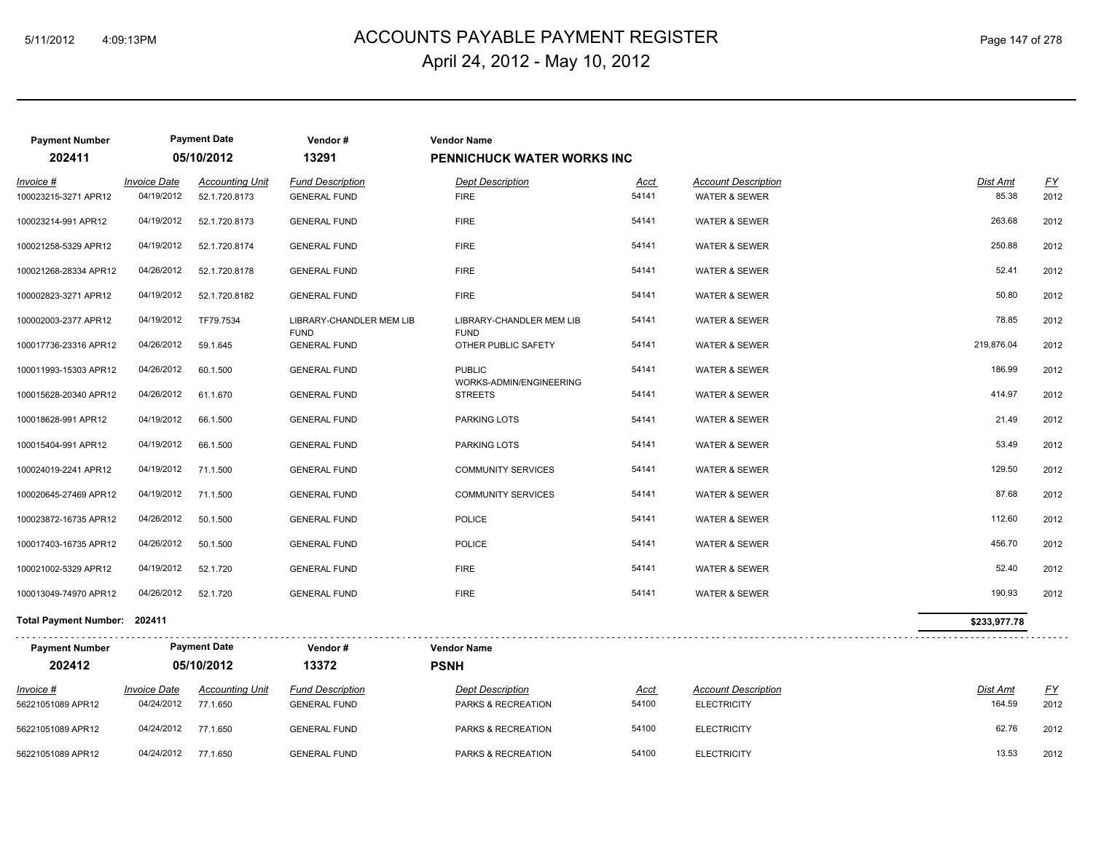# ACCOUNTS PAYABLE PAYMENT REGISTER 5/11/2012 4:09:13PM Page 147 of 278 April 24, 2012 - May 10, 2012

| <b>Payment Number</b><br>202411   |                                   | <b>Payment Date</b><br>05/10/2012       | Vendor#<br>13291                               | <b>Vendor Name</b><br><b>PENNICHUCK WATER WORKS INC</b> |               |                                                        |                   |                   |
|-----------------------------------|-----------------------------------|-----------------------------------------|------------------------------------------------|---------------------------------------------------------|---------------|--------------------------------------------------------|-------------------|-------------------|
| Invoice #<br>100023215-3271 APR12 | <b>Invoice Date</b><br>04/19/2012 | <b>Accounting Unit</b><br>52.1.720.8173 | <b>Fund Description</b><br><b>GENERAL FUND</b> | <b>Dept Description</b><br><b>FIRE</b>                  | Acct<br>54141 | <b>Account Description</b><br><b>WATER &amp; SEWER</b> | Dist Amt<br>85.38 | <u>FY</u><br>2012 |
| 100023214-991 APR12               | 04/19/2012                        | 52.1.720.8173                           | <b>GENERAL FUND</b>                            | <b>FIRE</b>                                             | 54141         | <b>WATER &amp; SEWER</b>                               | 263.68            | 2012              |
| 100021258-5329 APR12              | 04/19/2012                        | 52.1.720.8174                           | <b>GENERAL FUND</b>                            | <b>FIRE</b>                                             | 54141         | <b>WATER &amp; SEWER</b>                               | 250.88            | 2012              |
| 100021268-28334 APR12             | 04/26/2012                        | 52.1.720.8178                           | <b>GENERAL FUND</b>                            | <b>FIRE</b>                                             | 54141         | <b>WATER &amp; SEWER</b>                               | 52.41             | 2012              |
| 100002823-3271 APR12              | 04/19/2012                        | 52.1.720.8182                           | <b>GENERAL FUND</b>                            | <b>FIRE</b>                                             | 54141         | <b>WATER &amp; SEWER</b>                               | 50.80             | 2012              |
| 100002003-2377 APR12              | 04/19/2012                        | TF79.7534                               | LIBRARY-CHANDLER MEM LIB                       | LIBRARY-CHANDLER MEM LIB                                | 54141         | <b>WATER &amp; SEWER</b>                               | 78.85             | 2012              |
| 100017736-23316 APR12             | 04/26/2012                        | 59.1.645                                | <b>FUND</b><br><b>GENERAL FUND</b>             | <b>FUND</b><br>OTHER PUBLIC SAFETY                      | 54141         | <b>WATER &amp; SEWER</b>                               | 219,876.04        | 2012              |
| 100011993-15303 APR12             | 04/26/2012                        | 60.1.500                                | <b>GENERAL FUND</b>                            | <b>PUBLIC</b>                                           | 54141         | <b>WATER &amp; SEWER</b>                               | 186.99            | 2012              |
| 100015628-20340 APR12             | 04/26/2012                        | 61.1.670                                | <b>GENERAL FUND</b>                            | WORKS-ADMIN/ENGINEERING<br><b>STREETS</b>               | 54141         | <b>WATER &amp; SEWER</b>                               | 414.97            | 2012              |
| 100018628-991 APR12               | 04/19/2012                        | 66.1.500                                | <b>GENERAL FUND</b>                            | PARKING LOTS                                            | 54141         | <b>WATER &amp; SEWER</b>                               | 21.49             | 2012              |
| 100015404-991 APR12               | 04/19/2012                        | 66.1.500                                | <b>GENERAL FUND</b>                            | <b>PARKING LOTS</b>                                     | 54141         | <b>WATER &amp; SEWER</b>                               | 53.49             | 2012              |
| 100024019-2241 APR12              | 04/19/2012                        | 71.1.500                                | <b>GENERAL FUND</b>                            | <b>COMMUNITY SERVICES</b>                               | 54141         | <b>WATER &amp; SEWER</b>                               | 129.50            | 2012              |
| 100020645-27469 APR12             | 04/19/2012                        | 71.1.500                                | <b>GENERAL FUND</b>                            | <b>COMMUNITY SERVICES</b>                               | 54141         | <b>WATER &amp; SEWER</b>                               | 87.68             | 2012              |
| 100023872-16735 APR12             | 04/26/2012                        | 50.1.500                                | <b>GENERAL FUND</b>                            | <b>POLICE</b>                                           | 54141         | <b>WATER &amp; SEWER</b>                               | 112.60            | 2012              |
| 100017403-16735 APR12             | 04/26/2012                        | 50.1.500                                | <b>GENERAL FUND</b>                            | <b>POLICE</b>                                           | 54141         | <b>WATER &amp; SEWER</b>                               | 456.70            | 2012              |
| 100021002-5329 APR12              | 04/19/2012                        | 52.1.720                                | <b>GENERAL FUND</b>                            | <b>FIRE</b>                                             | 54141         | <b>WATER &amp; SEWER</b>                               | 52.40             | 2012              |
| 100013049-74970 APR12             | 04/26/2012                        | 52.1.720                                | <b>GENERAL FUND</b>                            | <b>FIRE</b>                                             | 54141         | <b>WATER &amp; SEWER</b>                               | 190.93            | 2012              |
| Total Payment Number: 202411      |                                   |                                         |                                                |                                                         |               |                                                        | \$233,977.78      |                   |
|                                   |                                   |                                         |                                                |                                                         |               |                                                        |                   |                   |
| <b>Payment Number</b>             |                                   | <b>Payment Date</b>                     | Vendor#                                        | <b>Vendor Name</b>                                      |               |                                                        |                   |                   |
| 202412                            |                                   | 05/10/2012                              | 13372                                          | <b>PSNH</b>                                             |               |                                                        |                   |                   |
| $Invoice$ #                       | <b>Invoice Date</b>               | <b>Accounting Unit</b>                  | <b>Fund Description</b>                        | <b>Dept Description</b>                                 | <u>Acct</u>   | <b>Account Description</b>                             | <b>Dist Amt</b>   | <u>FY</u>         |
| 56221051089 APR12                 | 04/24/2012                        | 77.1.650                                | <b>GENERAL FUND</b>                            | PARKS & RECREATION                                      | 54100         | <b>ELECTRICITY</b>                                     | 164.59            | 2012              |
| 56221051089 APR12                 | 04/24/2012                        | 77.1.650                                | <b>GENERAL FUND</b>                            | PARKS & RECREATION                                      | 54100         | <b>ELECTRICITY</b>                                     | 62.76             | 2012              |

56221051089 APR12 04/24/2012 77.1.650 GENERAL FUND PARKS & RECREATION 54100 ELECTRICITY 13.53 2012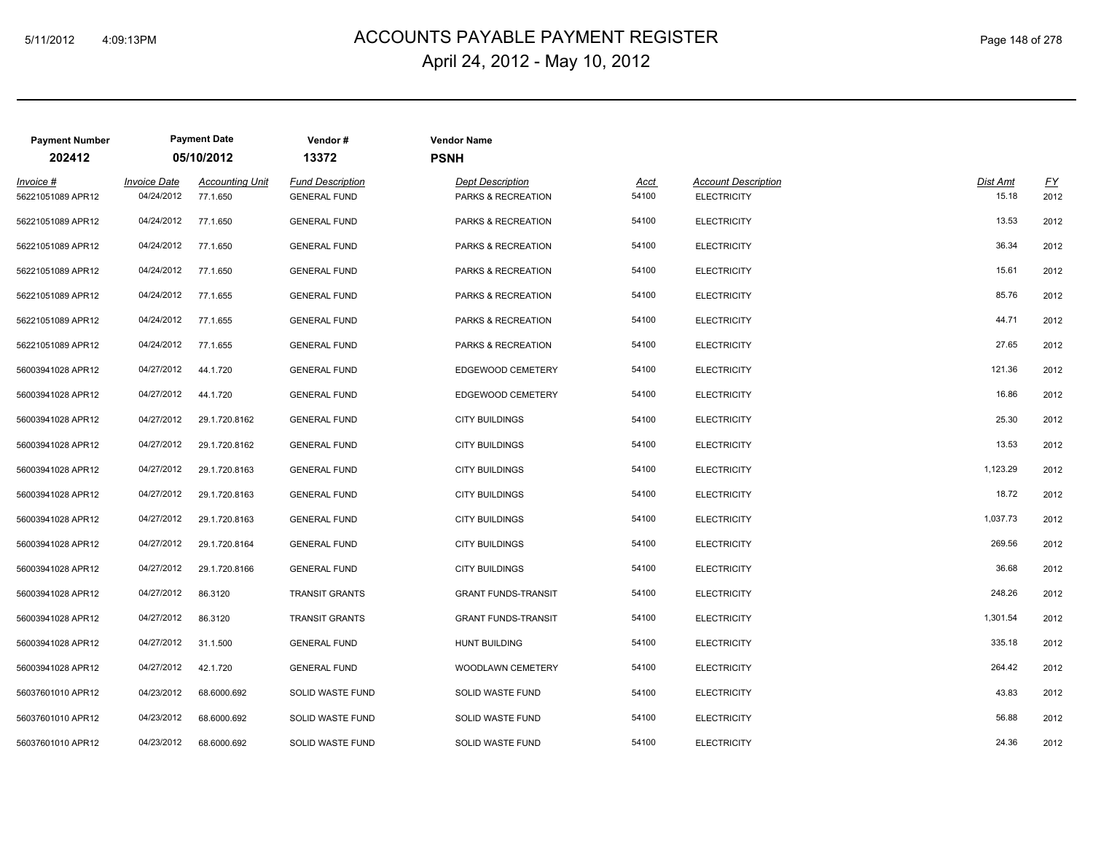# ACCOUNTS PAYABLE PAYMENT REGISTER 5/11/2012 4:09:13PM Page 148 of 278 April 24, 2012 - May 10, 2012

| <b>Payment Number</b>            |                                   | <b>Payment Date</b>                | Vendor#                                        | <b>Vendor Name</b>                            |                      |                                                  |                          |                   |
|----------------------------------|-----------------------------------|------------------------------------|------------------------------------------------|-----------------------------------------------|----------------------|--------------------------------------------------|--------------------------|-------------------|
| 202412                           |                                   | 05/10/2012                         | 13372                                          | <b>PSNH</b>                                   |                      |                                                  |                          |                   |
| $Invoice$ #<br>56221051089 APR12 | <b>Invoice Date</b><br>04/24/2012 | <b>Accounting Unit</b><br>77.1.650 | <b>Fund Description</b><br><b>GENERAL FUND</b> | <b>Dept Description</b><br>PARKS & RECREATION | <u>Acct</u><br>54100 | <b>Account Description</b><br><b>ELECTRICITY</b> | <b>Dist Amt</b><br>15.18 | <u>FY</u><br>2012 |
| 56221051089 APR12                | 04/24/2012                        | 77.1.650                           | <b>GENERAL FUND</b>                            | PARKS & RECREATION                            | 54100                | <b>ELECTRICITY</b>                               | 13.53                    | 2012              |
| 56221051089 APR12                | 04/24/2012                        | 77.1.650                           | <b>GENERAL FUND</b>                            | PARKS & RECREATION                            | 54100                | <b>ELECTRICITY</b>                               | 36.34                    | 2012              |
| 56221051089 APR12                | 04/24/2012                        | 77.1.650                           | <b>GENERAL FUND</b>                            | PARKS & RECREATION                            | 54100                | <b>ELECTRICITY</b>                               | 15.61                    | 2012              |
| 56221051089 APR12                | 04/24/2012                        | 77.1.655                           | <b>GENERAL FUND</b>                            | PARKS & RECREATION                            | 54100                | <b>ELECTRICITY</b>                               | 85.76                    | 2012              |
| 56221051089 APR12                | 04/24/2012                        | 77.1.655                           | <b>GENERAL FUND</b>                            | PARKS & RECREATION                            | 54100                | <b>ELECTRICITY</b>                               | 44.71                    | 2012              |
| 56221051089 APR12                | 04/24/2012                        | 77.1.655                           | <b>GENERAL FUND</b>                            | PARKS & RECREATION                            | 54100                | <b>ELECTRICITY</b>                               | 27.65                    | 2012              |
| 56003941028 APR12                | 04/27/2012                        | 44.1.720                           | <b>GENERAL FUND</b>                            | EDGEWOOD CEMETERY                             | 54100                | <b>ELECTRICITY</b>                               | 121.36                   | 2012              |
| 56003941028 APR12                | 04/27/2012                        | 44.1.720                           | <b>GENERAL FUND</b>                            | EDGEWOOD CEMETERY                             | 54100                | <b>ELECTRICITY</b>                               | 16.86                    | 2012              |
| 56003941028 APR12                | 04/27/2012                        | 29.1.720.8162                      | <b>GENERAL FUND</b>                            | <b>CITY BUILDINGS</b>                         | 54100                | <b>ELECTRICITY</b>                               | 25.30                    | 2012              |
| 56003941028 APR12                | 04/27/2012                        | 29.1.720.8162                      | <b>GENERAL FUND</b>                            | <b>CITY BUILDINGS</b>                         | 54100                | <b>ELECTRICITY</b>                               | 13.53                    | 2012              |
| 56003941028 APR12                | 04/27/2012                        | 29.1.720.8163                      | <b>GENERAL FUND</b>                            | <b>CITY BUILDINGS</b>                         | 54100                | <b>ELECTRICITY</b>                               | 1,123.29                 | 2012              |
| 56003941028 APR12                | 04/27/2012                        | 29.1.720.8163                      | <b>GENERAL FUND</b>                            | <b>CITY BUILDINGS</b>                         | 54100                | <b>ELECTRICITY</b>                               | 18.72                    | 2012              |
| 56003941028 APR12                | 04/27/2012                        | 29.1.720.8163                      | <b>GENERAL FUND</b>                            | <b>CITY BUILDINGS</b>                         | 54100                | <b>ELECTRICITY</b>                               | 1,037.73                 | 2012              |
| 56003941028 APR12                | 04/27/2012                        | 29.1.720.8164                      | <b>GENERAL FUND</b>                            | <b>CITY BUILDINGS</b>                         | 54100                | <b>ELECTRICITY</b>                               | 269.56                   | 2012              |
| 56003941028 APR12                | 04/27/2012                        | 29.1.720.8166                      | <b>GENERAL FUND</b>                            | <b>CITY BUILDINGS</b>                         | 54100                | <b>ELECTRICITY</b>                               | 36.68                    | 2012              |
| 56003941028 APR12                | 04/27/2012                        | 86.3120                            | TRANSIT GRANTS                                 | <b>GRANT FUNDS-TRANSIT</b>                    | 54100                | <b>ELECTRICITY</b>                               | 248.26                   | 2012              |
| 56003941028 APR12                | 04/27/2012                        | 86.3120                            | <b>TRANSIT GRANTS</b>                          | <b>GRANT FUNDS-TRANSIT</b>                    | 54100                | <b>ELECTRICITY</b>                               | 1,301.54                 | 2012              |
| 56003941028 APR12                | 04/27/2012                        | 31.1.500                           | <b>GENERAL FUND</b>                            | <b>HUNT BUILDING</b>                          | 54100                | <b>ELECTRICITY</b>                               | 335.18                   | 2012              |
| 56003941028 APR12                | 04/27/2012                        | 42.1.720                           | <b>GENERAL FUND</b>                            | WOODLAWN CEMETERY                             | 54100                | <b>ELECTRICITY</b>                               | 264.42                   | 2012              |
| 56037601010 APR12                | 04/23/2012                        | 68.6000.692                        | SOLID WASTE FUND                               | SOLID WASTE FUND                              | 54100                | <b>ELECTRICITY</b>                               | 43.83                    | 2012              |
| 56037601010 APR12                | 04/23/2012                        | 68.6000.692                        | SOLID WASTE FUND                               | SOLID WASTE FUND                              | 54100                | <b>ELECTRICITY</b>                               | 56.88                    | 2012              |
| 56037601010 APR12                | 04/23/2012                        | 68.6000.692                        | SOLID WASTE FUND                               | SOLID WASTE FUND                              | 54100                | <b>ELECTRICITY</b>                               | 24.36                    | 2012              |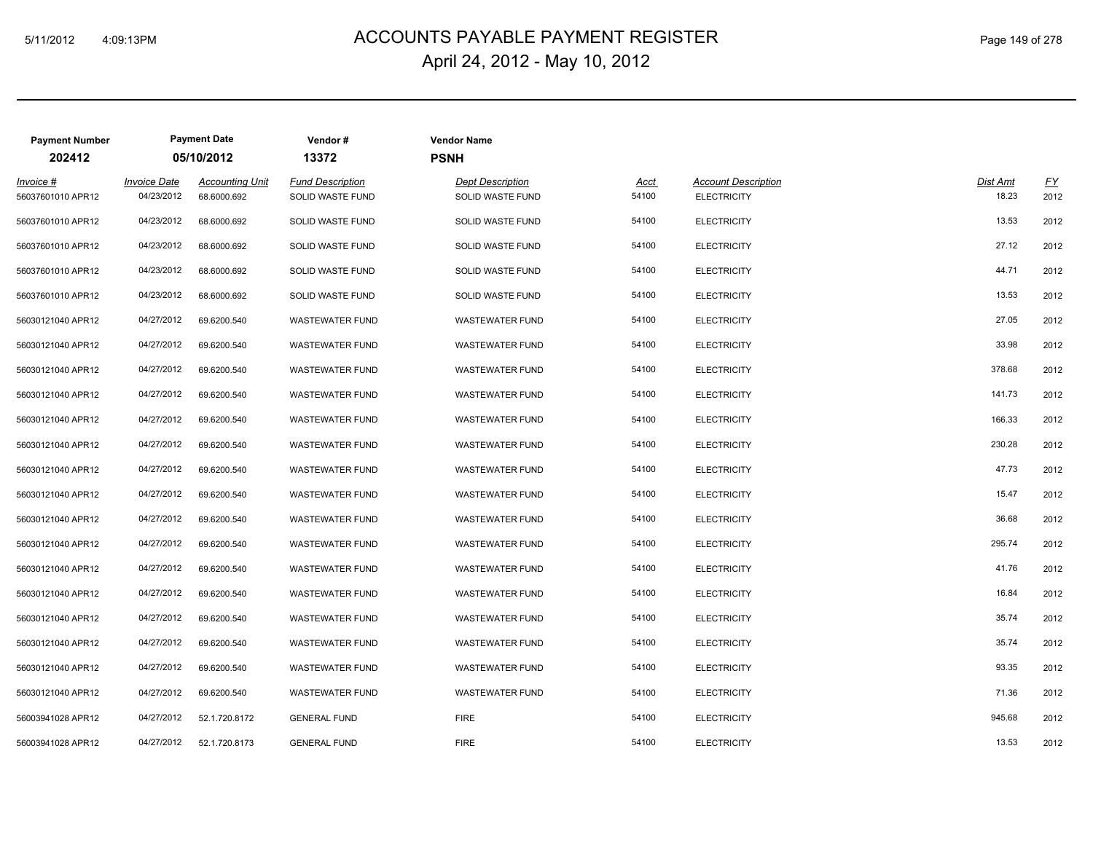# ACCOUNTS PAYABLE PAYMENT REGISTER 5/11/2012 4:09:13PM Page 149 of 278 April 24, 2012 - May 10, 2012

| <b>Payment Number</b><br>202412  |                                   | <b>Payment Date</b><br>05/10/2012     | Vendor#<br>13372                            | <b>Vendor Name</b><br><b>PSNH</b>           |                      |                                                  |                   |                          |
|----------------------------------|-----------------------------------|---------------------------------------|---------------------------------------------|---------------------------------------------|----------------------|--------------------------------------------------|-------------------|--------------------------|
| $Invoice$ #<br>56037601010 APR12 | <b>Invoice Date</b><br>04/23/2012 | <b>Accounting Unit</b><br>68.6000.692 | <b>Fund Description</b><br>SOLID WASTE FUND | <b>Dept Description</b><br>SOLID WASTE FUND | <u>Acct</u><br>54100 | <b>Account Description</b><br><b>ELECTRICITY</b> | Dist Amt<br>18.23 | $\underline{FY}$<br>2012 |
| 56037601010 APR12                | 04/23/2012                        | 68.6000.692                           | SOLID WASTE FUND                            | SOLID WASTE FUND                            | 54100                | <b>ELECTRICITY</b>                               | 13.53             | 2012                     |
| 56037601010 APR12                | 04/23/2012                        | 68.6000.692                           | SOLID WASTE FUND                            | SOLID WASTE FUND                            | 54100                | <b>ELECTRICITY</b>                               | 27.12             | 2012                     |
| 56037601010 APR12                | 04/23/2012                        | 68.6000.692                           | SOLID WASTE FUND                            | SOLID WASTE FUND                            | 54100                | <b>ELECTRICITY</b>                               | 44.71             | 2012                     |
| 56037601010 APR12                | 04/23/2012                        | 68.6000.692                           | SOLID WASTE FUND                            | SOLID WASTE FUND                            | 54100                | <b>ELECTRICITY</b>                               | 13.53             | 2012                     |
| 56030121040 APR12                | 04/27/2012                        | 69.6200.540                           | <b>WASTEWATER FUND</b>                      | <b>WASTEWATER FUND</b>                      | 54100                | <b>ELECTRICITY</b>                               | 27.05             | 2012                     |
| 56030121040 APR12                | 04/27/2012                        | 69.6200.540                           | <b>WASTEWATER FUND</b>                      | <b>WASTEWATER FUND</b>                      | 54100                | <b>ELECTRICITY</b>                               | 33.98             | 2012                     |
| 56030121040 APR12                | 04/27/2012                        | 69.6200.540                           | <b>WASTEWATER FUND</b>                      | <b>WASTEWATER FUND</b>                      | 54100                | <b>ELECTRICITY</b>                               | 378.68            | 2012                     |
| 56030121040 APR12                | 04/27/2012                        | 69.6200.540                           | <b>WASTEWATER FUND</b>                      | <b>WASTEWATER FUND</b>                      | 54100                | <b>ELECTRICITY</b>                               | 141.73            | 2012                     |
| 56030121040 APR12                | 04/27/2012                        | 69.6200.540                           | <b>WASTEWATER FUND</b>                      | <b>WASTEWATER FUND</b>                      | 54100                | <b>ELECTRICITY</b>                               | 166.33            | 2012                     |
| 56030121040 APR12                | 04/27/2012                        | 69.6200.540                           | <b>WASTEWATER FUND</b>                      | WASTEWATER FUND                             | 54100                | <b>ELECTRICITY</b>                               | 230.28            | 2012                     |
| 56030121040 APR12                | 04/27/2012                        | 69.6200.540                           | <b>WASTEWATER FUND</b>                      | WASTEWATER FUND                             | 54100                | <b>ELECTRICITY</b>                               | 47.73             | 2012                     |
| 56030121040 APR12                | 04/27/2012                        | 69.6200.540                           | <b>WASTEWATER FUND</b>                      | WASTEWATER FUND                             | 54100                | <b>ELECTRICITY</b>                               | 15.47             | 2012                     |
| 56030121040 APR12                | 04/27/2012                        | 69.6200.540                           | <b>WASTEWATER FUND</b>                      | WASTEWATER FUND                             | 54100                | <b>ELECTRICITY</b>                               | 36.68             | 2012                     |
| 56030121040 APR12                | 04/27/2012                        | 69.6200.540                           | <b>WASTEWATER FUND</b>                      | WASTEWATER FUND                             | 54100                | <b>ELECTRICITY</b>                               | 295.74            | 2012                     |
| 56030121040 APR12                | 04/27/2012                        | 69.6200.540                           | <b>WASTEWATER FUND</b>                      | <b>WASTEWATER FUND</b>                      | 54100                | <b>ELECTRICITY</b>                               | 41.76             | 2012                     |
| 56030121040 APR12                | 04/27/2012                        | 69.6200.540                           | <b>WASTEWATER FUND</b>                      | <b>WASTEWATER FUND</b>                      | 54100                | <b>ELECTRICITY</b>                               | 16.84             | 2012                     |
| 56030121040 APR12                | 04/27/2012                        | 69.6200.540                           | <b>WASTEWATER FUND</b>                      | <b>WASTEWATER FUND</b>                      | 54100                | <b>ELECTRICITY</b>                               | 35.74             | 2012                     |
| 56030121040 APR12                | 04/27/2012                        | 69.6200.540                           | <b>WASTEWATER FUND</b>                      | <b>WASTEWATER FUND</b>                      | 54100                | <b>ELECTRICITY</b>                               | 35.74             | 2012                     |
| 56030121040 APR12                | 04/27/2012                        | 69.6200.540                           | <b>WASTEWATER FUND</b>                      | <b>WASTEWATER FUND</b>                      | 54100                | <b>ELECTRICITY</b>                               | 93.35             | 2012                     |
| 56030121040 APR12                | 04/27/2012                        | 69.6200.540                           | <b>WASTEWATER FUND</b>                      | <b>WASTEWATER FUND</b>                      | 54100                | <b>ELECTRICITY</b>                               | 71.36             | 2012                     |
| 56003941028 APR12                | 04/27/2012                        | 52.1.720.8172                         | <b>GENERAL FUND</b>                         | <b>FIRE</b>                                 | 54100                | <b>ELECTRICITY</b>                               | 945.68            | 2012                     |
| 56003941028 APR12                | 04/27/2012                        | 52.1.720.8173                         | <b>GENERAL FUND</b>                         | <b>FIRE</b>                                 | 54100                | <b>ELECTRICITY</b>                               | 13.53             | 2012                     |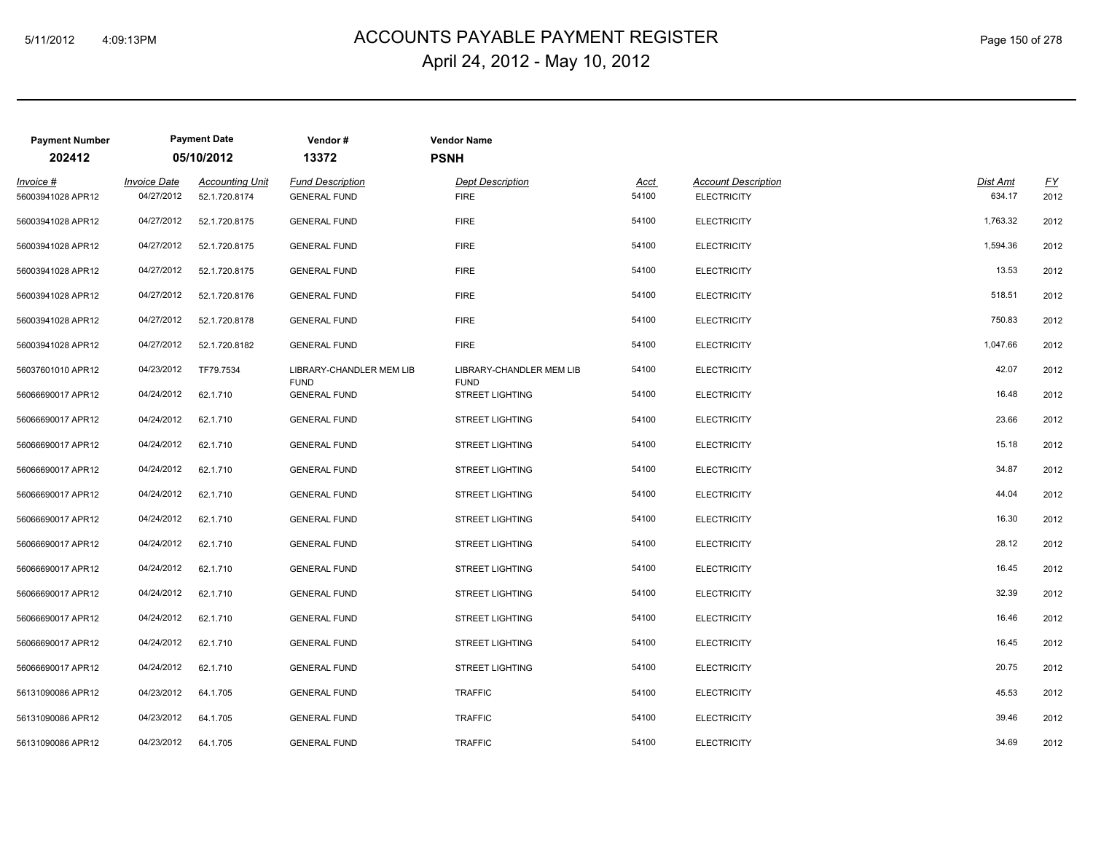# 5/11/2012 4:09:13PM ACCOUNTS PAYABLE PAYMENT REGISTER Page 150 of 278 April 24, 2012 - May 10, 2012

| <b>Payment Number</b><br>202412 |                                   | <b>Payment Date</b><br>05/10/2012       | Vendor#<br>13372                               | <b>Vendor Name</b><br><b>PSNH</b>      |                      |                                                  |                    |                          |
|---------------------------------|-----------------------------------|-----------------------------------------|------------------------------------------------|----------------------------------------|----------------------|--------------------------------------------------|--------------------|--------------------------|
| Invoice #<br>56003941028 APR12  | <b>Invoice Date</b><br>04/27/2012 | <b>Accounting Unit</b><br>52.1.720.8174 | <b>Fund Description</b><br><b>GENERAL FUND</b> | <b>Dept Description</b><br><b>FIRE</b> | <u>Acct</u><br>54100 | <b>Account Description</b><br><b>ELECTRICITY</b> | Dist Amt<br>634.17 | $\underline{FY}$<br>2012 |
| 56003941028 APR12               | 04/27/2012                        | 52.1.720.8175                           | <b>GENERAL FUND</b>                            | <b>FIRE</b>                            | 54100                | <b>ELECTRICITY</b>                               | 1,763.32           | 2012                     |
| 56003941028 APR12               | 04/27/2012                        | 52.1.720.8175                           | <b>GENERAL FUND</b>                            | <b>FIRE</b>                            | 54100                | <b>ELECTRICITY</b>                               | 1,594.36           | 2012                     |
| 56003941028 APR12               | 04/27/2012                        | 52.1.720.8175                           | <b>GENERAL FUND</b>                            | <b>FIRE</b>                            | 54100                | <b>ELECTRICITY</b>                               | 13.53              | 2012                     |
| 56003941028 APR12               | 04/27/2012                        | 52.1.720.8176                           | <b>GENERAL FUND</b>                            | <b>FIRE</b>                            | 54100                | <b>ELECTRICITY</b>                               | 518.51             | 2012                     |
| 56003941028 APR12               | 04/27/2012                        | 52.1.720.8178                           | <b>GENERAL FUND</b>                            | <b>FIRE</b>                            | 54100                | <b>ELECTRICITY</b>                               | 750.83             | 2012                     |
| 56003941028 APR12               | 04/27/2012                        | 52.1.720.8182                           | <b>GENERAL FUND</b>                            | <b>FIRE</b>                            | 54100                | <b>ELECTRICITY</b>                               | 1,047.66           | 2012                     |
| 56037601010 APR12               | 04/23/2012                        | TF79.7534                               | LIBRARY-CHANDLER MEM LIB                       | LIBRARY-CHANDLER MEM LIB               | 54100                | <b>ELECTRICITY</b>                               | 42.07              | 2012                     |
| 56066690017 APR12               | 04/24/2012                        | 62.1.710                                | <b>FUND</b><br><b>GENERAL FUND</b>             | <b>FUND</b><br><b>STREET LIGHTING</b>  | 54100                | <b>ELECTRICITY</b>                               | 16.48              | 2012                     |
| 56066690017 APR12               | 04/24/2012                        | 62.1.710                                | <b>GENERAL FUND</b>                            | <b>STREET LIGHTING</b>                 | 54100                | <b>ELECTRICITY</b>                               | 23.66              | 2012                     |
| 56066690017 APR12               | 04/24/2012                        | 62.1.710                                | <b>GENERAL FUND</b>                            | <b>STREET LIGHTING</b>                 | 54100                | <b>ELECTRICITY</b>                               | 15.18              | 2012                     |
| 56066690017 APR12               | 04/24/2012                        | 62.1.710                                | <b>GENERAL FUND</b>                            | <b>STREET LIGHTING</b>                 | 54100                | <b>ELECTRICITY</b>                               | 34.87              | 2012                     |
| 56066690017 APR12               | 04/24/2012                        | 62.1.710                                | <b>GENERAL FUND</b>                            | <b>STREET LIGHTING</b>                 | 54100                | <b>ELECTRICITY</b>                               | 44.04              | 2012                     |
| 56066690017 APR12               | 04/24/2012                        | 62.1.710                                | <b>GENERAL FUND</b>                            | <b>STREET LIGHTING</b>                 | 54100                | <b>ELECTRICITY</b>                               | 16.30              | 2012                     |
| 56066690017 APR12               | 04/24/2012                        | 62.1.710                                | <b>GENERAL FUND</b>                            | <b>STREET LIGHTING</b>                 | 54100                | <b>ELECTRICITY</b>                               | 28.12              | 2012                     |
| 56066690017 APR12               | 04/24/2012                        | 62.1.710                                | <b>GENERAL FUND</b>                            | <b>STREET LIGHTING</b>                 | 54100                | <b>ELECTRICITY</b>                               | 16.45              | 2012                     |
| 56066690017 APR12               | 04/24/2012                        | 62.1.710                                | <b>GENERAL FUND</b>                            | <b>STREET LIGHTING</b>                 | 54100                | <b>ELECTRICITY</b>                               | 32.39              | 2012                     |
| 56066690017 APR12               | 04/24/2012                        | 62.1.710                                | <b>GENERAL FUND</b>                            | <b>STREET LIGHTING</b>                 | 54100                | <b>ELECTRICITY</b>                               | 16.46              | 2012                     |
| 56066690017 APR12               | 04/24/2012                        | 62.1.710                                | <b>GENERAL FUND</b>                            | <b>STREET LIGHTING</b>                 | 54100                | <b>ELECTRICITY</b>                               | 16.45              | 2012                     |
| 56066690017 APR12               | 04/24/2012                        | 62.1.710                                | <b>GENERAL FUND</b>                            | <b>STREET LIGHTING</b>                 | 54100                | <b>ELECTRICITY</b>                               | 20.75              | 2012                     |
| 56131090086 APR12               | 04/23/2012                        | 64.1.705                                | <b>GENERAL FUND</b>                            | <b>TRAFFIC</b>                         | 54100                | <b>ELECTRICITY</b>                               | 45.53              | 2012                     |
| 56131090086 APR12               | 04/23/2012                        | 64.1.705                                | <b>GENERAL FUND</b>                            | <b>TRAFFIC</b>                         | 54100                | <b>ELECTRICITY</b>                               | 39.46              | 2012                     |
| 56131090086 APR12               | 04/23/2012                        | 64.1.705                                | <b>GENERAL FUND</b>                            | <b>TRAFFIC</b>                         | 54100                | <b>ELECTRICITY</b>                               | 34.69              | 2012                     |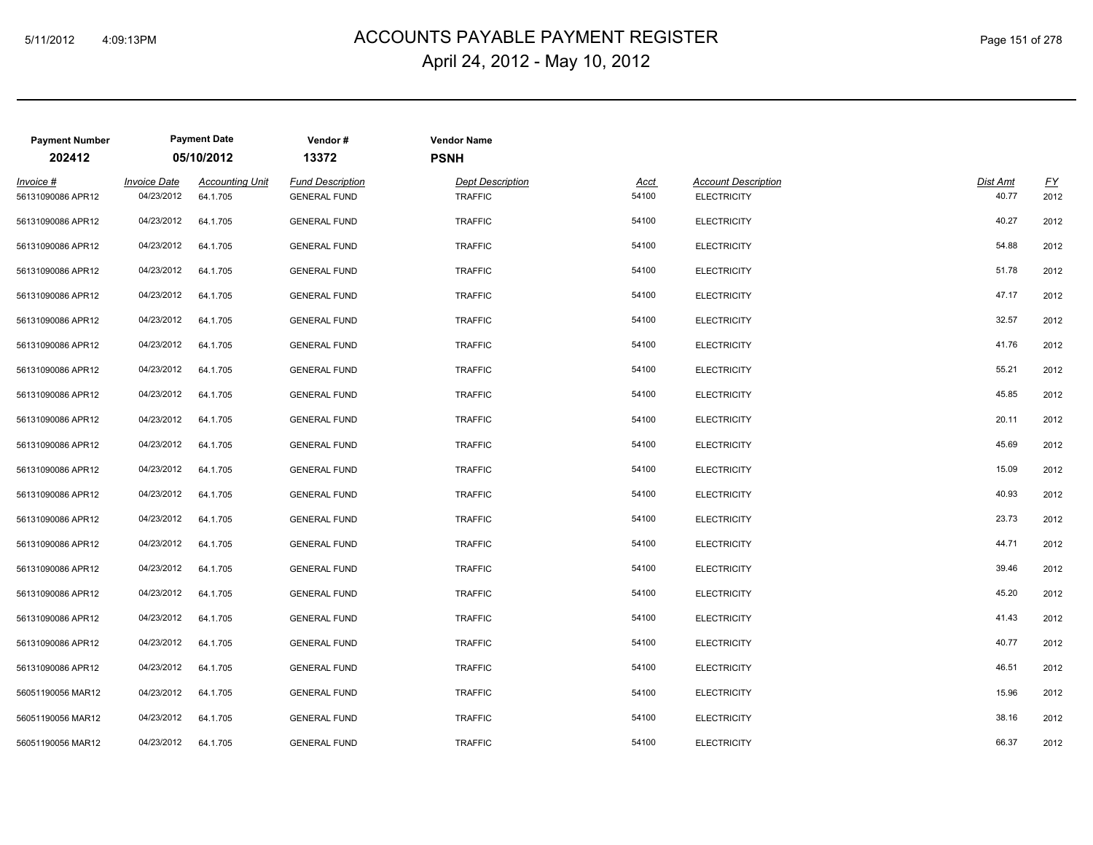# ACCOUNTS PAYABLE PAYMENT REGISTER 5/11/2012 4:09:13PM Page 151 of 278 April 24, 2012 - May 10, 2012

| <b>Payment Number</b><br>202412 |                                   | <b>Payment Date</b><br>05/10/2012  | Vendor#<br>13372                               | <b>Vendor Name</b><br><b>PSNH</b>         |               |                                                  |                   |            |
|---------------------------------|-----------------------------------|------------------------------------|------------------------------------------------|-------------------------------------------|---------------|--------------------------------------------------|-------------------|------------|
| Invoice #<br>56131090086 APR12  | <b>Invoice Date</b><br>04/23/2012 | <b>Accounting Unit</b><br>64.1.705 | <b>Fund Description</b><br><b>GENERAL FUND</b> | <b>Dept Description</b><br><b>TRAFFIC</b> | Acct<br>54100 | <b>Account Description</b><br><b>ELECTRICITY</b> | Dist Amt<br>40.77 | EY<br>2012 |
| 56131090086 APR12               | 04/23/2012                        | 64.1.705                           | <b>GENERAL FUND</b>                            | <b>TRAFFIC</b>                            | 54100         | <b>ELECTRICITY</b>                               | 40.27             | 2012       |
| 56131090086 APR12               | 04/23/2012                        | 64.1.705                           | <b>GENERAL FUND</b>                            | <b>TRAFFIC</b>                            | 54100         | <b>ELECTRICITY</b>                               | 54.88             | 2012       |
| 56131090086 APR12               | 04/23/2012                        | 64.1.705                           | <b>GENERAL FUND</b>                            | <b>TRAFFIC</b>                            | 54100         | <b>ELECTRICITY</b>                               | 51.78             | 2012       |
| 56131090086 APR12               | 04/23/2012                        | 64.1.705                           | <b>GENERAL FUND</b>                            | <b>TRAFFIC</b>                            | 54100         | <b>ELECTRICITY</b>                               | 47.17             | 2012       |
| 56131090086 APR12               | 04/23/2012                        | 64.1.705                           | <b>GENERAL FUND</b>                            | <b>TRAFFIC</b>                            | 54100         | <b>ELECTRICITY</b>                               | 32.57             | 2012       |
| 56131090086 APR12               | 04/23/2012                        | 64.1.705                           | <b>GENERAL FUND</b>                            | <b>TRAFFIC</b>                            | 54100         | <b>ELECTRICITY</b>                               | 41.76             | 2012       |
| 56131090086 APR12               | 04/23/2012                        | 64.1.705                           | <b>GENERAL FUND</b>                            | <b>TRAFFIC</b>                            | 54100         | <b>ELECTRICITY</b>                               | 55.21             | 2012       |
| 56131090086 APR12               | 04/23/2012                        | 64.1.705                           | <b>GENERAL FUND</b>                            | <b>TRAFFIC</b>                            | 54100         | <b>ELECTRICITY</b>                               | 45.85             | 2012       |
| 56131090086 APR12               | 04/23/2012                        | 64.1.705                           | <b>GENERAL FUND</b>                            | <b>TRAFFIC</b>                            | 54100         | <b>ELECTRICITY</b>                               | 20.11             | 2012       |
| 56131090086 APR12               | 04/23/2012                        | 64.1.705                           | <b>GENERAL FUND</b>                            | <b>TRAFFIC</b>                            | 54100         | <b>ELECTRICITY</b>                               | 45.69             | 2012       |
| 56131090086 APR12               | 04/23/2012                        | 64.1.705                           | <b>GENERAL FUND</b>                            | <b>TRAFFIC</b>                            | 54100         | <b>ELECTRICITY</b>                               | 15.09             | 2012       |
| 56131090086 APR12               | 04/23/2012                        | 64.1.705                           | <b>GENERAL FUND</b>                            | <b>TRAFFIC</b>                            | 54100         | <b>ELECTRICITY</b>                               | 40.93             | 2012       |
| 56131090086 APR12               | 04/23/2012                        | 64.1.705                           | <b>GENERAL FUND</b>                            | <b>TRAFFIC</b>                            | 54100         | <b>ELECTRICITY</b>                               | 23.73             | 2012       |
| 56131090086 APR12               | 04/23/2012                        | 64.1.705                           | <b>GENERAL FUND</b>                            | <b>TRAFFIC</b>                            | 54100         | <b>ELECTRICITY</b>                               | 44.71             | 2012       |
| 56131090086 APR12               | 04/23/2012                        | 64.1.705                           | <b>GENERAL FUND</b>                            | <b>TRAFFIC</b>                            | 54100         | <b>ELECTRICITY</b>                               | 39.46             | 2012       |
| 56131090086 APR12               | 04/23/2012                        | 64.1.705                           | <b>GENERAL FUND</b>                            | <b>TRAFFIC</b>                            | 54100         | <b>ELECTRICITY</b>                               | 45.20             | 2012       |
| 56131090086 APR12               | 04/23/2012                        | 64.1.705                           | <b>GENERAL FUND</b>                            | <b>TRAFFIC</b>                            | 54100         | <b>ELECTRICITY</b>                               | 41.43             | 2012       |
| 56131090086 APR12               | 04/23/2012                        | 64.1.705                           | <b>GENERAL FUND</b>                            | <b>TRAFFIC</b>                            | 54100         | <b>ELECTRICITY</b>                               | 40.77             | 2012       |
| 56131090086 APR12               | 04/23/2012                        | 64.1.705                           | <b>GENERAL FUND</b>                            | <b>TRAFFIC</b>                            | 54100         | <b>ELECTRICITY</b>                               | 46.51             | 2012       |
| 56051190056 MAR12               | 04/23/2012                        | 64.1.705                           | <b>GENERAL FUND</b>                            | <b>TRAFFIC</b>                            | 54100         | <b>ELECTRICITY</b>                               | 15.96             | 2012       |
| 56051190056 MAR12               | 04/23/2012                        | 64.1.705                           | <b>GENERAL FUND</b>                            | <b>TRAFFIC</b>                            | 54100         | <b>ELECTRICITY</b>                               | 38.16             | 2012       |
| 56051190056 MAR12               | 04/23/2012                        | 64.1.705                           | <b>GENERAL FUND</b>                            | <b>TRAFFIC</b>                            | 54100         | <b>ELECTRICITY</b>                               | 66.37             | 2012       |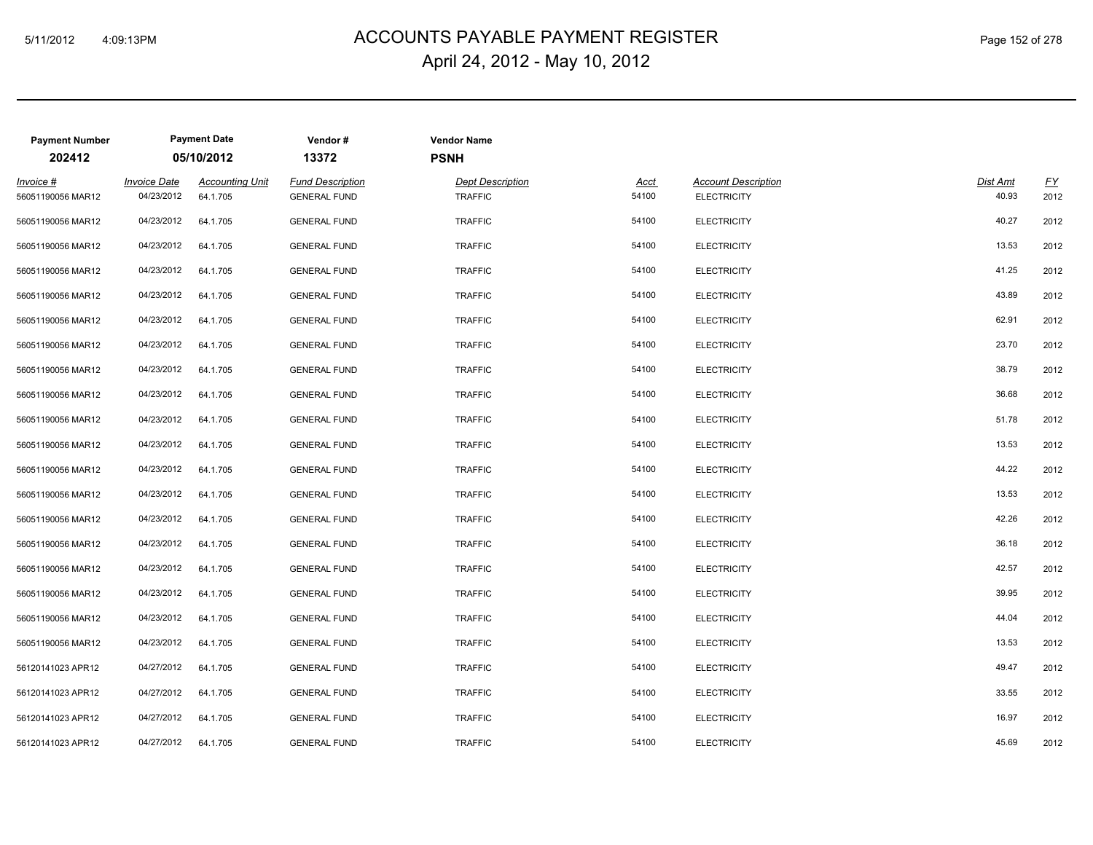# ACCOUNTS PAYABLE PAYMENT REGISTER 5/11/2012 4:09:13PM Page 152 of 278 April 24, 2012 - May 10, 2012

| <b>Payment Number</b><br>202412 |                                   | <b>Payment Date</b><br>05/10/2012  | Vendor#<br>13372                               | <b>PSNH</b> | <b>Vendor Name</b>                        |               |                                                  |                   |            |
|---------------------------------|-----------------------------------|------------------------------------|------------------------------------------------|-------------|-------------------------------------------|---------------|--------------------------------------------------|-------------------|------------|
| Invoice #<br>56051190056 MAR12  | <b>Invoice Date</b><br>04/23/2012 | <b>Accounting Unit</b><br>64.1.705 | <b>Fund Description</b><br><b>GENERAL FUND</b> |             | <b>Dept Description</b><br><b>TRAFFIC</b> | Acct<br>54100 | <b>Account Description</b><br><b>ELECTRICITY</b> | Dist Amt<br>40.93 | EY<br>2012 |
| 56051190056 MAR12               | 04/23/2012                        | 64.1.705                           | <b>GENERAL FUND</b>                            |             | <b>TRAFFIC</b>                            | 54100         | <b>ELECTRICITY</b>                               | 40.27             | 2012       |
| 56051190056 MAR12               | 04/23/2012                        | 64.1.705                           | <b>GENERAL FUND</b>                            |             | <b>TRAFFIC</b>                            | 54100         | <b>ELECTRICITY</b>                               | 13.53             | 2012       |
| 56051190056 MAR12               | 04/23/2012                        | 64.1.705                           | <b>GENERAL FUND</b>                            |             | <b>TRAFFIC</b>                            | 54100         | <b>ELECTRICITY</b>                               | 41.25             | 2012       |
| 56051190056 MAR12               | 04/23/2012                        | 64.1.705                           | <b>GENERAL FUND</b>                            |             | <b>TRAFFIC</b>                            | 54100         | <b>ELECTRICITY</b>                               | 43.89             | 2012       |
| 56051190056 MAR12               | 04/23/2012                        | 64.1.705                           | <b>GENERAL FUND</b>                            |             | <b>TRAFFIC</b>                            | 54100         | <b>ELECTRICITY</b>                               | 62.91             | 2012       |
| 56051190056 MAR12               | 04/23/2012                        | 64.1.705                           | <b>GENERAL FUND</b>                            |             | <b>TRAFFIC</b>                            | 54100         | <b>ELECTRICITY</b>                               | 23.70             | 2012       |
| 56051190056 MAR12               | 04/23/2012                        | 64.1.705                           | <b>GENERAL FUND</b>                            |             | <b>TRAFFIC</b>                            | 54100         | <b>ELECTRICITY</b>                               | 38.79             | 2012       |
| 56051190056 MAR12               | 04/23/2012                        | 64.1.705                           | <b>GENERAL FUND</b>                            |             | <b>TRAFFIC</b>                            | 54100         | <b>ELECTRICITY</b>                               | 36.68             | 2012       |
| 56051190056 MAR12               | 04/23/2012                        | 64.1.705                           | <b>GENERAL FUND</b>                            |             | <b>TRAFFIC</b>                            | 54100         | <b>ELECTRICITY</b>                               | 51.78             | 2012       |
| 56051190056 MAR12               | 04/23/2012                        | 64.1.705                           | <b>GENERAL FUND</b>                            |             | <b>TRAFFIC</b>                            | 54100         | <b>ELECTRICITY</b>                               | 13.53             | 2012       |
| 56051190056 MAR12               | 04/23/2012                        | 64.1.705                           | <b>GENERAL FUND</b>                            |             | <b>TRAFFIC</b>                            | 54100         | <b>ELECTRICITY</b>                               | 44.22             | 2012       |
| 56051190056 MAR12               | 04/23/2012                        | 64.1.705                           | <b>GENERAL FUND</b>                            |             | <b>TRAFFIC</b>                            | 54100         | <b>ELECTRICITY</b>                               | 13.53             | 2012       |
| 56051190056 MAR12               | 04/23/2012                        | 64.1.705                           | <b>GENERAL FUND</b>                            |             | <b>TRAFFIC</b>                            | 54100         | <b>ELECTRICITY</b>                               | 42.26             | 2012       |
| 56051190056 MAR12               | 04/23/2012                        | 64.1.705                           | <b>GENERAL FUND</b>                            |             | <b>TRAFFIC</b>                            | 54100         | <b>ELECTRICITY</b>                               | 36.18             | 2012       |
| 56051190056 MAR12               | 04/23/2012                        | 64.1.705                           | <b>GENERAL FUND</b>                            |             | <b>TRAFFIC</b>                            | 54100         | <b>ELECTRICITY</b>                               | 42.57             | 2012       |
| 56051190056 MAR12               | 04/23/2012                        | 64.1.705                           | <b>GENERAL FUND</b>                            |             | <b>TRAFFIC</b>                            | 54100         | <b>ELECTRICITY</b>                               | 39.95             | 2012       |
| 56051190056 MAR12               | 04/23/2012                        | 64.1.705                           | <b>GENERAL FUND</b>                            |             | <b>TRAFFIC</b>                            | 54100         | <b>ELECTRICITY</b>                               | 44.04             | 2012       |
| 56051190056 MAR12               | 04/23/2012                        | 64.1.705                           | <b>GENERAL FUND</b>                            |             | <b>TRAFFIC</b>                            | 54100         | <b>ELECTRICITY</b>                               | 13.53             | 2012       |
| 56120141023 APR12               | 04/27/2012                        | 64.1.705                           | <b>GENERAL FUND</b>                            |             | <b>TRAFFIC</b>                            | 54100         | <b>ELECTRICITY</b>                               | 49.47             | 2012       |
| 56120141023 APR12               | 04/27/2012                        | 64.1.705                           | <b>GENERAL FUND</b>                            |             | <b>TRAFFIC</b>                            | 54100         | <b>ELECTRICITY</b>                               | 33.55             | 2012       |
| 56120141023 APR12               | 04/27/2012                        | 64.1.705                           | <b>GENERAL FUND</b>                            |             | <b>TRAFFIC</b>                            | 54100         | <b>ELECTRICITY</b>                               | 16.97             | 2012       |
| 56120141023 APR12               | 04/27/2012                        | 64.1.705                           | <b>GENERAL FUND</b>                            |             | <b>TRAFFIC</b>                            | 54100         | <b>ELECTRICITY</b>                               | 45.69             | 2012       |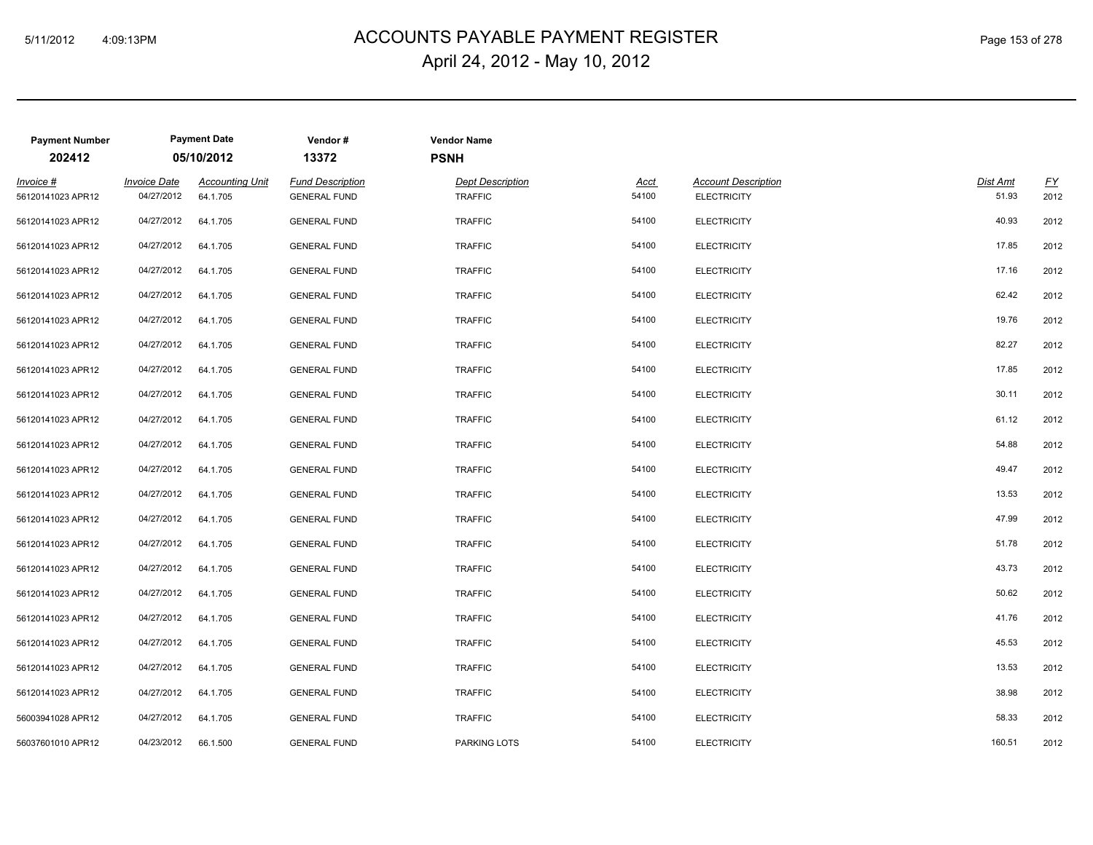# ACCOUNTS PAYABLE PAYMENT REGISTER 5/11/2012 4:09:13PM Page 153 of 278 April 24, 2012 - May 10, 2012

| <b>Payment Number</b><br>202412 |                                   | <b>Payment Date</b><br>05/10/2012  | Vendor#<br>13372                               | <b>Vendor Name</b><br><b>PSNH</b>         |                      |                                                  |                   |                          |
|---------------------------------|-----------------------------------|------------------------------------|------------------------------------------------|-------------------------------------------|----------------------|--------------------------------------------------|-------------------|--------------------------|
| Invoice #<br>56120141023 APR12  | <b>Invoice Date</b><br>04/27/2012 | <b>Accounting Unit</b><br>64.1.705 | <b>Fund Description</b><br><b>GENERAL FUND</b> | <b>Dept Description</b><br><b>TRAFFIC</b> | <u>Acct</u><br>54100 | <b>Account Description</b><br><b>ELECTRICITY</b> | Dist Amt<br>51.93 | $\underline{FY}$<br>2012 |
| 56120141023 APR12               | 04/27/2012                        | 64.1.705                           | <b>GENERAL FUND</b>                            | <b>TRAFFIC</b>                            | 54100                | <b>ELECTRICITY</b>                               | 40.93             | 2012                     |
| 56120141023 APR12               | 04/27/2012                        | 64.1.705                           | <b>GENERAL FUND</b>                            | <b>TRAFFIC</b>                            | 54100                | <b>ELECTRICITY</b>                               | 17.85             | 2012                     |
| 56120141023 APR12               | 04/27/2012                        | 64.1.705                           | <b>GENERAL FUND</b>                            | <b>TRAFFIC</b>                            | 54100                | <b>ELECTRICITY</b>                               | 17.16             | 2012                     |
| 56120141023 APR12               | 04/27/2012                        | 64.1.705                           | <b>GENERAL FUND</b>                            | <b>TRAFFIC</b>                            | 54100                | <b>ELECTRICITY</b>                               | 62.42             | 2012                     |
| 56120141023 APR12               | 04/27/2012                        | 64.1.705                           | <b>GENERAL FUND</b>                            | <b>TRAFFIC</b>                            | 54100                | <b>ELECTRICITY</b>                               | 19.76             | 2012                     |
| 56120141023 APR12               | 04/27/2012                        | 64.1.705                           | <b>GENERAL FUND</b>                            | <b>TRAFFIC</b>                            | 54100                | <b>ELECTRICITY</b>                               | 82.27             | 2012                     |
| 56120141023 APR12               | 04/27/2012                        | 64.1.705                           | <b>GENERAL FUND</b>                            | <b>TRAFFIC</b>                            | 54100                | <b>ELECTRICITY</b>                               | 17.85             | 2012                     |
| 56120141023 APR12               | 04/27/2012                        | 64.1.705                           | <b>GENERAL FUND</b>                            | <b>TRAFFIC</b>                            | 54100                | <b>ELECTRICITY</b>                               | 30.11             | 2012                     |
| 56120141023 APR12               | 04/27/2012                        | 64.1.705                           | <b>GENERAL FUND</b>                            | <b>TRAFFIC</b>                            | 54100                | <b>ELECTRICITY</b>                               | 61.12             | 2012                     |
| 56120141023 APR12               | 04/27/2012                        | 64.1.705                           | <b>GENERAL FUND</b>                            | <b>TRAFFIC</b>                            | 54100                | <b>ELECTRICITY</b>                               | 54.88             | 2012                     |
| 56120141023 APR12               | 04/27/2012                        | 64.1.705                           | <b>GENERAL FUND</b>                            | <b>TRAFFIC</b>                            | 54100                | <b>ELECTRICITY</b>                               | 49.47             | 2012                     |
| 56120141023 APR12               | 04/27/2012                        | 64.1.705                           | <b>GENERAL FUND</b>                            | <b>TRAFFIC</b>                            | 54100                | <b>ELECTRICITY</b>                               | 13.53             | 2012                     |
| 56120141023 APR12               | 04/27/2012                        | 64.1.705                           | <b>GENERAL FUND</b>                            | <b>TRAFFIC</b>                            | 54100                | <b>ELECTRICITY</b>                               | 47.99             | 2012                     |
| 56120141023 APR12               | 04/27/2012                        | 64.1.705                           | <b>GENERAL FUND</b>                            | <b>TRAFFIC</b>                            | 54100                | <b>ELECTRICITY</b>                               | 51.78             | 2012                     |
| 56120141023 APR12               | 04/27/2012                        | 64.1.705                           | <b>GENERAL FUND</b>                            | <b>TRAFFIC</b>                            | 54100                | <b>ELECTRICITY</b>                               | 43.73             | 2012                     |
| 56120141023 APR12               | 04/27/2012                        | 64.1.705                           | <b>GENERAL FUND</b>                            | <b>TRAFFIC</b>                            | 54100                | <b>ELECTRICITY</b>                               | 50.62             | 2012                     |
| 56120141023 APR12               | 04/27/2012                        | 64.1.705                           | <b>GENERAL FUND</b>                            | <b>TRAFFIC</b>                            | 54100                | <b>ELECTRICITY</b>                               | 41.76             | 2012                     |
| 56120141023 APR12               | 04/27/2012                        | 64.1.705                           | <b>GENERAL FUND</b>                            | <b>TRAFFIC</b>                            | 54100                | <b>ELECTRICITY</b>                               | 45.53             | 2012                     |
| 56120141023 APR12               | 04/27/2012                        | 64.1.705                           | <b>GENERAL FUND</b>                            | <b>TRAFFIC</b>                            | 54100                | <b>ELECTRICITY</b>                               | 13.53             | 2012                     |
| 56120141023 APR12               | 04/27/2012                        | 64.1.705                           | <b>GENERAL FUND</b>                            | <b>TRAFFIC</b>                            | 54100                | <b>ELECTRICITY</b>                               | 38.98             | 2012                     |
| 56003941028 APR12               | 04/27/2012                        | 64.1.705                           | <b>GENERAL FUND</b>                            | <b>TRAFFIC</b>                            | 54100                | <b>ELECTRICITY</b>                               | 58.33             | 2012                     |
| 56037601010 APR12               | 04/23/2012                        | 66.1.500                           | <b>GENERAL FUND</b>                            | PARKING LOTS                              | 54100                | <b>ELECTRICITY</b>                               | 160.51            | 2012                     |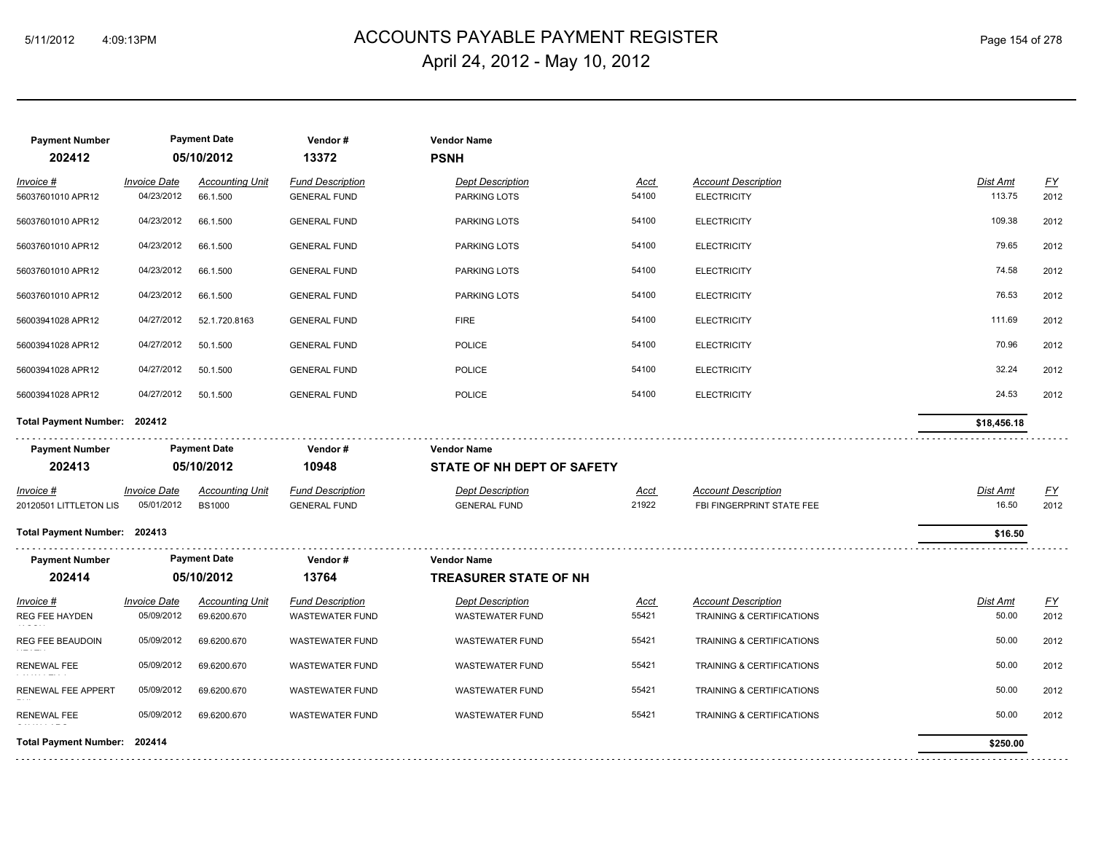# ACCOUNTS PAYABLE PAYMENT REGISTER 5/11/2012 4:09:13PM Page 154 of 278 April 24, 2012 - May 10, 2012

| <b>Payment Number</b><br>202412 |                                   | <b>Payment Date</b><br>05/10/2012  | Vendor#<br>13372                               | <b>Vendor Name</b><br><b>PSNH</b>       |                      |                                                  |                           |                          |
|---------------------------------|-----------------------------------|------------------------------------|------------------------------------------------|-----------------------------------------|----------------------|--------------------------------------------------|---------------------------|--------------------------|
| Invoice #<br>56037601010 APR12  | <b>Invoice Date</b><br>04/23/2012 | <b>Accounting Unit</b><br>66.1.500 | <b>Fund Description</b><br><b>GENERAL FUND</b> | <b>Dept Description</b><br>PARKING LOTS | <b>Acct</b><br>54100 | <b>Account Description</b><br><b>ELECTRICITY</b> | <b>Dist Amt</b><br>113.75 | $\underline{FY}$<br>2012 |
| 56037601010 APR12               | 04/23/2012                        | 66.1.500                           | <b>GENERAL FUND</b>                            | PARKING LOTS                            | 54100                | <b>ELECTRICITY</b>                               | 109.38                    | 2012                     |
| 56037601010 APR12               | 04/23/2012                        | 66.1.500                           | <b>GENERAL FUND</b>                            | PARKING LOTS                            | 54100                | <b>ELECTRICITY</b>                               | 79.65                     | 2012                     |
| 56037601010 APR12               | 04/23/2012                        | 66.1.500                           | <b>GENERAL FUND</b>                            | <b>PARKING LOTS</b>                     | 54100                | <b>ELECTRICITY</b>                               | 74.58                     | 2012                     |
| 56037601010 APR12               | 04/23/2012                        | 66.1.500                           | <b>GENERAL FUND</b>                            | PARKING LOTS                            | 54100                | <b>ELECTRICITY</b>                               | 76.53                     | 2012                     |
| 56003941028 APR12               | 04/27/2012                        | 52.1.720.8163                      | <b>GENERAL FUND</b>                            | <b>FIRE</b>                             | 54100                | <b>ELECTRICITY</b>                               | 111.69                    | 2012                     |
| 56003941028 APR12               | 04/27/2012                        | 50.1.500                           | <b>GENERAL FUND</b>                            | POLICE                                  | 54100                | <b>ELECTRICITY</b>                               | 70.96                     | 2012                     |
| 56003941028 APR12               | 04/27/2012                        | 50.1.500                           | <b>GENERAL FUND</b>                            | <b>POLICE</b>                           | 54100                | <b>ELECTRICITY</b>                               | 32.24                     | 2012                     |
| 56003941028 APR12               | 04/27/2012                        | 50.1.500                           | <b>GENERAL FUND</b>                            | POLICE                                  | 54100                | <b>ELECTRICITY</b>                               | 24.53                     | 2012                     |
| Total Payment Number: 202412    |                                   |                                    |                                                |                                         |                      |                                                  | \$18,456.18               |                          |
| <b>Payment Number</b>           |                                   | <b>Payment Date</b>                | Vendor#                                        | <b>Vendor Name</b>                      |                      |                                                  |                           |                          |
| 202413                          |                                   | 05/10/2012                         | 10948                                          | STATE OF NH DEPT OF SAFETY              |                      |                                                  |                           |                          |
| $Invoice$ #                     | <b>Invoice Date</b>               | <b>Accounting Unit</b>             | <b>Fund Description</b>                        | <b>Dept Description</b>                 | <u>Acct</u>          | <b>Account Description</b>                       | <b>Dist Amt</b>           | EY                       |
| 20120501 LITTLETON LIS          | 05/01/2012                        | <b>BS1000</b>                      | <b>GENERAL FUND</b>                            | <b>GENERAL FUND</b>                     | 21922                | FBI FINGERPRINT STATE FEE                        | 16.50                     | 2012                     |
| Total Payment Number: 202413    |                                   |                                    |                                                |                                         |                      |                                                  | \$16.50                   |                          |
| <b>Payment Number</b>           |                                   | <b>Payment Date</b>                | Vendor#                                        | <b>Vendor Name</b>                      |                      |                                                  |                           |                          |
| 202414                          |                                   | 05/10/2012                         | 13764                                          | <b>TREASURER STATE OF NH</b>            |                      |                                                  |                           |                          |
| Invoice #                       | <b>Invoice Date</b>               | <b>Accounting Unit</b>             | <b>Fund Description</b>                        | <b>Dept Description</b>                 | <b>Acct</b>          | <b>Account Description</b>                       | Dist Amt                  | $\underline{FY}$         |
| REG FEE HAYDEN                  | 05/09/2012                        | 69.6200.670                        | <b>WASTEWATER FUND</b>                         | <b>WASTEWATER FUND</b>                  | 55421                | <b>TRAINING &amp; CERTIFICATIONS</b>             | 50.00                     | 2012                     |
| REG FEE BEAUDOIN                | 05/09/2012                        | 69.6200.670                        | <b>WASTEWATER FUND</b>                         | <b>WASTEWATER FUND</b>                  | 55421                | TRAINING & CERTIFICATIONS                        | 50.00                     | 2012                     |
| <b>RENEWAL FEE</b>              | 05/09/2012                        | 69.6200.670                        | <b>WASTEWATER FUND</b>                         | <b>WASTEWATER FUND</b>                  | 55421                | TRAINING & CERTIFICATIONS                        | 50.00                     | 2012                     |
| RENEWAL FEE APPERT              | 05/09/2012                        | 69.6200.670                        | <b>WASTEWATER FUND</b>                         | <b>WASTEWATER FUND</b>                  | 55421                | TRAINING & CERTIFICATIONS                        | 50.00                     | 2012                     |
| <b>RENEWAL FEE</b>              | 05/09/2012                        | 69.6200.670                        | <b>WASTEWATER FUND</b>                         | <b>WASTEWATER FUND</b>                  | 55421                | TRAINING & CERTIFICATIONS                        | 50.00                     | 2012                     |
| Total Payment Number: 202414    |                                   |                                    |                                                |                                         |                      |                                                  | \$250.00                  |                          |
|                                 |                                   |                                    |                                                |                                         |                      |                                                  |                           |                          |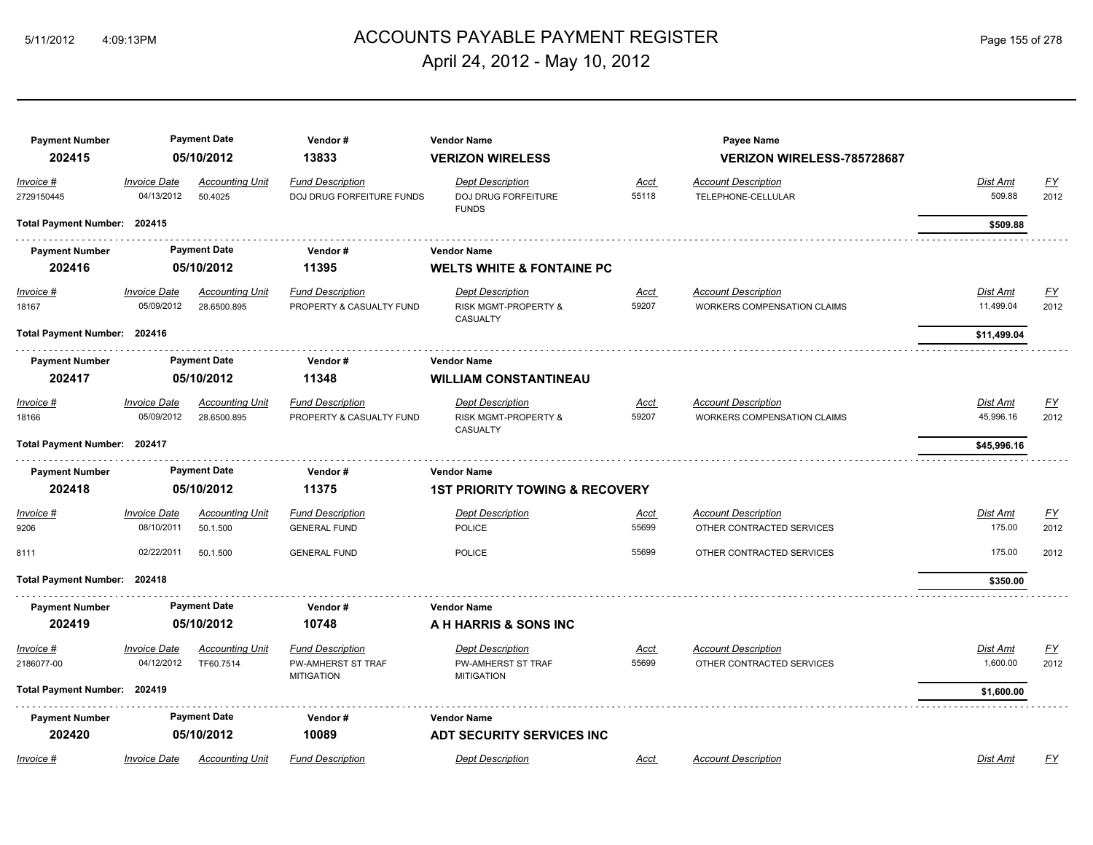# ACCOUNTS PAYABLE PAYMENT REGISTER 5/11/2012 4:09:13PM Page 155 of 278 April 24, 2012 - May 10, 2012

| <b>Payment Number</b><br>202415 |                                   | <b>Payment Date</b><br>05/10/2012     | Vendor#<br>13833                                    | <b>Vendor Name</b>                                                            |                      | Payee Name                                                       |                       |                   |
|---------------------------------|-----------------------------------|---------------------------------------|-----------------------------------------------------|-------------------------------------------------------------------------------|----------------------|------------------------------------------------------------------|-----------------------|-------------------|
| Invoice #                       | <b>Invoice Date</b>               | <b>Accounting Unit</b>                | <b>Fund Description</b>                             | <b>VERIZON WIRELESS</b><br><b>Dept Description</b>                            | <b>Acct</b>          | <b>VERIZON WIRELESS-785728687</b><br><b>Account Description</b>  | Dist Amt              | <u>FY</u>         |
| 2729150445                      | 04/13/2012                        | 50.4025                               | DOJ DRUG FORFEITURE FUNDS                           | <b>DOJ DRUG FORFEITURE</b><br><b>FUNDS</b>                                    | 55118                | TELEPHONE-CELLULAR                                               | 509.88                | 2012              |
| Total Payment Number: 202415    |                                   |                                       |                                                     |                                                                               |                      |                                                                  | \$509.88              |                   |
| <b>Payment Number</b>           |                                   | <b>Payment Date</b>                   | Vendor#                                             | Vendor Name                                                                   |                      |                                                                  |                       |                   |
| 202416                          |                                   | 05/10/2012                            | 11395                                               | <b>WELTS WHITE &amp; FONTAINE PC</b>                                          |                      |                                                                  |                       |                   |
| Invoice #<br>18167              | <b>Invoice Date</b><br>05/09/2012 | <b>Accounting Unit</b><br>28.6500.895 | <b>Fund Description</b><br>PROPERTY & CASUALTY FUND | <b>Dept Description</b><br><b>RISK MGMT-PROPERTY &amp;</b><br><b>CASUALTY</b> | <u>Acct</u><br>59207 | <b>Account Description</b><br><b>WORKERS COMPENSATION CLAIMS</b> | Dist Amt<br>11,499.04 | <u>FY</u><br>2012 |
| Total Payment Number: 202416    |                                   |                                       |                                                     |                                                                               |                      |                                                                  | \$11,499.04           |                   |
| <b>Payment Number</b>           |                                   | <b>Payment Date</b>                   | Vendor#                                             | <b>Vendor Name</b>                                                            |                      |                                                                  |                       |                   |
| 202417                          |                                   | 05/10/2012                            | 11348                                               | <b>WILLIAM CONSTANTINEAU</b>                                                  |                      |                                                                  |                       |                   |
| Invoice #<br>18166              | <b>Invoice Date</b><br>05/09/2012 | <b>Accounting Unit</b><br>28.6500.895 | <b>Fund Description</b><br>PROPERTY & CASUALTY FUND | <b>Dept Description</b><br>RISK MGMT-PROPERTY &<br>CASUALTY                   | <b>Acct</b><br>59207 | <b>Account Description</b><br><b>WORKERS COMPENSATION CLAIMS</b> | Dist Amt<br>45,996.16 | <u>FY</u><br>2012 |
| Total Payment Number: 202417    |                                   |                                       |                                                     |                                                                               |                      |                                                                  | \$45,996.16           |                   |
| <b>Payment Number</b>           |                                   | <b>Payment Date</b>                   | Vendor#                                             | <b>Vendor Name</b>                                                            |                      |                                                                  |                       |                   |
| 202418                          |                                   | 05/10/2012                            | 11375                                               | <b>1ST PRIORITY TOWING &amp; RECOVERY</b>                                     |                      |                                                                  |                       |                   |
| Invoice #                       | <b>Invoice Date</b>               | <b>Accounting Unit</b>                | <b>Fund Description</b>                             | <b>Dept Description</b>                                                       | Acct                 | <b>Account Description</b>                                       | Dist Amt              | <u>FY</u>         |
| 9206                            | 08/10/2011                        | 50.1.500                              | <b>GENERAL FUND</b>                                 | <b>POLICE</b>                                                                 | 55699                | OTHER CONTRACTED SERVICES                                        | 175.00                | 2012              |
| 8111                            | 02/22/2011                        | 50.1.500                              | <b>GENERAL FUND</b>                                 | <b>POLICE</b>                                                                 | 55699                | OTHER CONTRACTED SERVICES                                        | 175.00                | 2012              |
| Total Payment Number: 202418    |                                   |                                       |                                                     |                                                                               |                      |                                                                  | \$350.00              |                   |
| <b>Payment Number</b>           |                                   | <b>Payment Date</b>                   | Vendor#                                             | <b>Vendor Name</b>                                                            |                      |                                                                  |                       |                   |
| 202419                          |                                   | 05/10/2012                            | 10748                                               | A H HARRIS & SONS INC                                                         |                      |                                                                  |                       |                   |
| Invoice #                       | <b>Invoice Date</b>               | Accounting Unit                       | <b>Fund Description</b>                             | <b>Dept Description</b>                                                       | Acct                 | <b>Account Description</b>                                       | Dist Amt              | <u>FY</u>         |
| 2186077-00                      | 04/12/2012                        | TF60.7514                             | PW-AMHERST ST TRAF<br><b>MITIGATION</b>             | PW-AMHERST ST TRAF<br><b>MITIGATION</b>                                       | 55699                | OTHER CONTRACTED SERVICES                                        | 1,600.00              | 2012              |
| Total Payment Number: 202419    |                                   |                                       |                                                     |                                                                               |                      |                                                                  | \$1,600.00            |                   |
| <b>Payment Number</b>           |                                   | <b>Payment Date</b>                   | Vendor#                                             | <b>Vendor Name</b>                                                            |                      |                                                                  |                       |                   |
| 202420                          |                                   | 05/10/2012                            | 10089                                               | <b>ADT SECURITY SERVICES INC</b>                                              |                      |                                                                  |                       |                   |
| Invoice #                       | <i><b>Invoice Date</b></i>        | <b>Accounting Unit</b>                | <b>Fund Description</b>                             | <b>Dept Description</b>                                                       | Acct                 | <b>Account Description</b>                                       | <b>Dist Amt</b>       | FY                |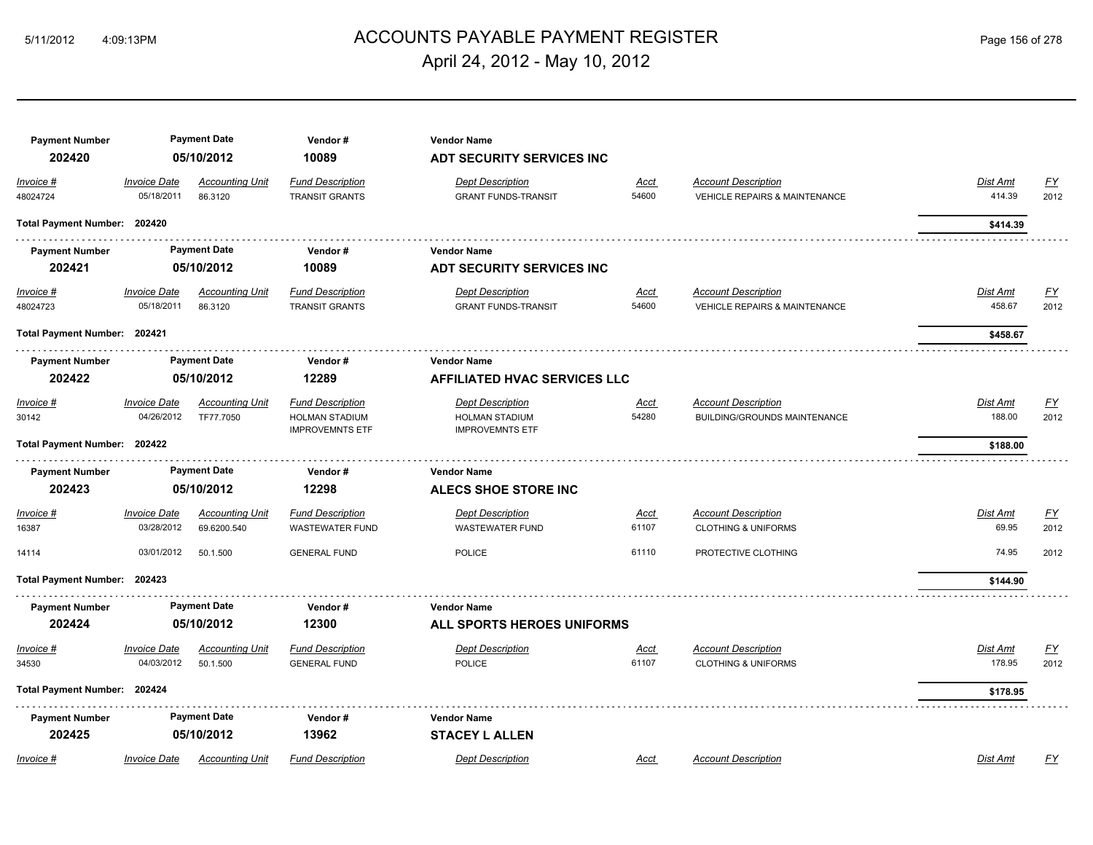## ACCOUNTS PAYABLE PAYMENT REGISTER 5/11/2012 4:09:13PM Page 156 of 278 April 24, 2012 - May 10, 2012

| <b>Payment Number</b><br>202420                    |                                   | <b>Payment Date</b><br>05/10/2012     | Vendor#<br>10089                                                           | <b>Vendor Name</b><br><b>ADT SECURITY SERVICES INC</b>                     |                      |                                                                        |                                |                          |
|----------------------------------------------------|-----------------------------------|---------------------------------------|----------------------------------------------------------------------------|----------------------------------------------------------------------------|----------------------|------------------------------------------------------------------------|--------------------------------|--------------------------|
| Invoice #<br>48024724                              | <b>Invoice Date</b><br>05/18/2011 | <b>Accounting Unit</b><br>86.3120     | <b>Fund Description</b><br><b>TRANSIT GRANTS</b>                           | <b>Dept Description</b><br><b>GRANT FUNDS-TRANSIT</b>                      | <u>Acct</u><br>54600 | <b>Account Description</b><br><b>VEHICLE REPAIRS &amp; MAINTENANCE</b> | Dist Amt<br>414.39             | EY<br>2012               |
| Total Payment Number: 202420                       |                                   |                                       |                                                                            |                                                                            |                      |                                                                        | \$414.39                       |                          |
| <b>Payment Number</b><br>202421                    |                                   | <b>Payment Date</b><br>05/10/2012     | Vendor#<br>10089                                                           | <b>Vendor Name</b><br><b>ADT SECURITY SERVICES INC</b>                     |                      |                                                                        |                                |                          |
| $Invoice$ #<br>48024723                            | <b>Invoice Date</b><br>05/18/2011 | <b>Accounting Unit</b><br>86.3120     | <b>Fund Description</b><br>TRANSIT GRANTS                                  | <b>Dept Description</b><br><b>GRANT FUNDS-TRANSIT</b>                      | <u>Acct</u><br>54600 | <b>Account Description</b><br><b>VEHICLE REPAIRS &amp; MAINTENANCE</b> | Dist Amt<br>458.67             | <u>FY</u><br>2012        |
|                                                    | Total Payment Number: 202421      |                                       |                                                                            |                                                                            |                      |                                                                        | \$458.67                       |                          |
| <b>Payment Number</b><br>202422                    | <b>Payment Date</b><br>05/10/2012 |                                       | Vendor#<br>12289                                                           | <b>Vendor Name</b><br><b>AFFILIATED HVAC SERVICES LLC</b>                  |                      |                                                                        |                                |                          |
| Invoice #<br>30142<br>Total Payment Number: 202422 | <b>Invoice Date</b><br>04/26/2012 | <b>Accounting Unit</b><br>TF77.7050   | <b>Fund Description</b><br><b>HOLMAN STADIUM</b><br><b>IMPROVEMNTS ETF</b> | <b>Dept Description</b><br><b>HOLMAN STADIUM</b><br><b>IMPROVEMNTS ETF</b> | Acct<br>54280        | <b>Account Description</b><br>BUILDING/GROUNDS MAINTENANCE             | Dist Amt<br>188.00<br>\$188.00 | $\underline{FY}$<br>2012 |
| <b>Payment Number</b>                              |                                   | <b>Payment Date</b>                   | Vendor#                                                                    | <b>Vendor Name</b>                                                         |                      |                                                                        |                                |                          |
| 202423                                             |                                   | 05/10/2012                            | 12298                                                                      | <b>ALECS SHOE STORE INC</b>                                                |                      |                                                                        |                                |                          |
| Invoice #<br>16387                                 | <b>Invoice Date</b><br>03/28/2012 | <b>Accounting Unit</b><br>69.6200.540 | <b>Fund Description</b><br><b>WASTEWATER FUND</b>                          | <b>Dept Description</b><br><b>WASTEWATER FUND</b>                          | Acct<br>61107        | <b>Account Description</b><br><b>CLOTHING &amp; UNIFORMS</b>           | Dist Amt<br>69.95              | $\underline{FY}$<br>2012 |
| 14114                                              | 03/01/2012                        | 50.1.500                              | <b>GENERAL FUND</b>                                                        | <b>POLICE</b>                                                              | 61110                | PROTECTIVE CLOTHING                                                    | 74.95                          | 2012                     |
| Total Payment Number: 202423                       |                                   |                                       |                                                                            |                                                                            |                      |                                                                        | \$144.90                       |                          |
| <b>Payment Number</b><br>202424                    |                                   | <b>Payment Date</b><br>05/10/2012     | Vendor#<br>12300                                                           | <b>Vendor Name</b><br>ALL SPORTS HEROES UNIFORMS                           |                      |                                                                        |                                |                          |
| Invoice #<br>34530                                 | <b>Invoice Date</b><br>04/03/2012 | <b>Accounting Unit</b><br>50.1.500    | <b>Fund Description</b><br><b>GENERAL FUND</b>                             | <b>Dept Description</b><br><b>POLICE</b>                                   | <u>Acct</u><br>61107 | <b>Account Description</b><br><b>CLOTHING &amp; UNIFORMS</b>           | Dist Amt<br>178.95             | <u>FY</u><br>2012        |
| Total Payment Number: 202424                       |                                   |                                       |                                                                            |                                                                            |                      |                                                                        | \$178.95                       |                          |
| <b>Payment Number</b><br>202425                    |                                   | <b>Payment Date</b><br>05/10/2012     | Vendor#<br>13962                                                           | <b>Vendor Name</b><br><b>STACEY L ALLEN</b>                                |                      |                                                                        |                                |                          |
| Invoice #                                          | <b>Invoice Date</b>               | <b>Accounting Unit</b>                | <b>Fund Description</b>                                                    | <b>Dept Description</b>                                                    | Acct                 | <b>Account Description</b>                                             | <b>Dist Amt</b>                | FY                       |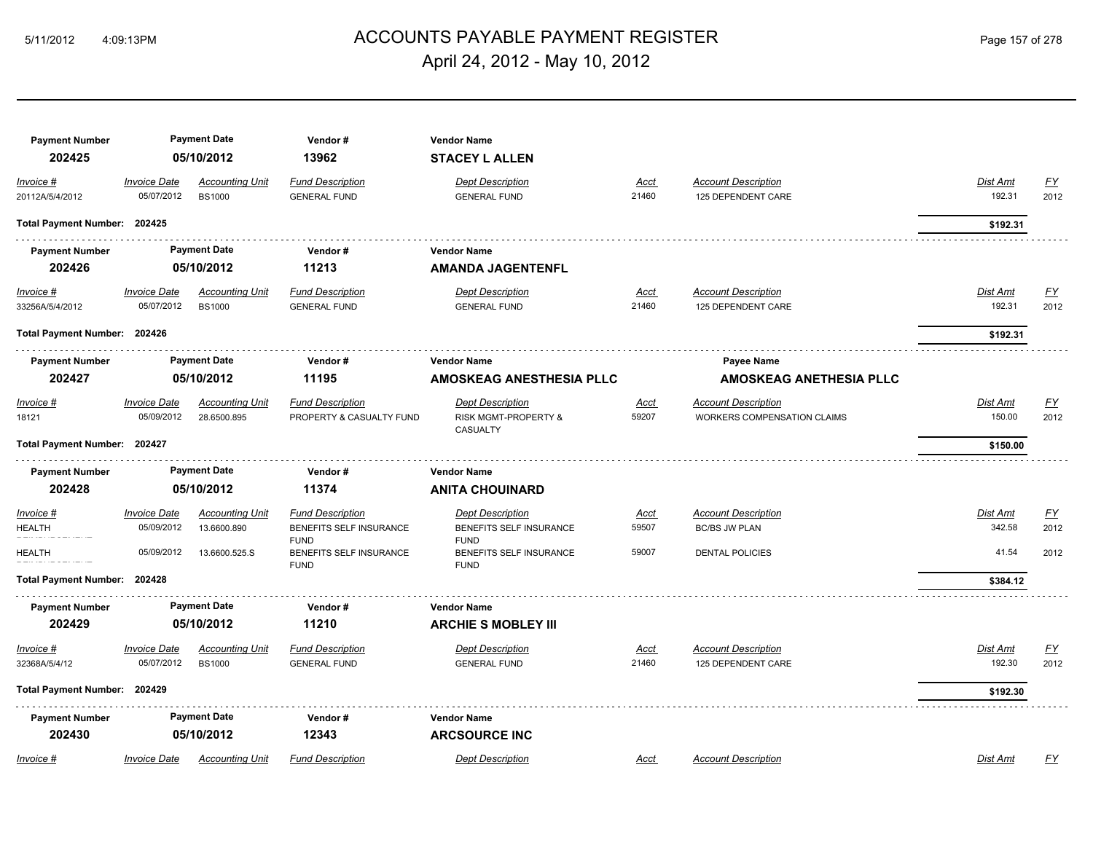## ACCOUNTS PAYABLE PAYMENT REGISTER 5/11/2012 4:09:13PM Page 157 of 278 April 24, 2012 - May 10, 2012

| <b>Payment Number</b>        |                                   | <b>Payment Date</b>                   | Vendor#                                             | <b>Vendor Name</b>                                                     |                      |                                                                  |                    |                         |  |  |
|------------------------------|-----------------------------------|---------------------------------------|-----------------------------------------------------|------------------------------------------------------------------------|----------------------|------------------------------------------------------------------|--------------------|-------------------------|--|--|
| 202425                       |                                   | 05/10/2012                            | 13962                                               | <b>STACEY L ALLEN</b>                                                  |                      |                                                                  |                    |                         |  |  |
| Invoice #<br>20112A/5/4/2012 | <b>Invoice Date</b><br>05/07/2012 | Accounting Unit<br><b>BS1000</b>      | <b>Fund Description</b><br><b>GENERAL FUND</b>      | <b>Dept Description</b><br><b>GENERAL FUND</b>                         | Acct<br>21460        | <b>Account Description</b><br>125 DEPENDENT CARE                 | Dist Amt<br>192.31 | <u>FY</u><br>2012       |  |  |
| Total Payment Number: 202425 |                                   |                                       |                                                     |                                                                        |                      |                                                                  | \$192.31           |                         |  |  |
| <b>Payment Number</b>        |                                   | <b>Payment Date</b>                   | Vendor#                                             | <b>Vendor Name</b>                                                     |                      |                                                                  |                    |                         |  |  |
| 202426                       |                                   | 05/10/2012                            | 11213                                               | <b>AMANDA JAGENTENFL</b>                                               |                      |                                                                  |                    |                         |  |  |
| Invoice #<br>33256A/5/4/2012 | <b>Invoice Date</b><br>05/07/2012 | Accounting Unit<br><b>BS1000</b>      | <b>Fund Description</b><br><b>GENERAL FUND</b>      | <b>Dept Description</b><br><b>GENERAL FUND</b>                         | <u>Acct</u><br>21460 | <u>Account Description</u><br>125 DEPENDENT CARE                 | Dist Amt<br>192.31 | <u>FY</u><br>2012       |  |  |
| Total Payment Number: 202426 |                                   |                                       |                                                     |                                                                        |                      |                                                                  | \$192.31           |                         |  |  |
| <b>Payment Number</b>        |                                   | <b>Payment Date</b>                   | Vendor #                                            | <b>Vendor Name</b>                                                     |                      | Payee Name                                                       |                    |                         |  |  |
| 202427                       | 05/10/2012                        |                                       |                                                     |                                                                        | 11195                | AMOSKEAG ANESTHESIA PLLC                                         |                    | AMOSKEAG ANETHESIA PLLC |  |  |
| Invoice #<br>18121           | <b>Invoice Date</b><br>05/09/2012 | <b>Accounting Unit</b><br>28.6500.895 | <b>Fund Description</b><br>PROPERTY & CASUALTY FUND | <b>Dept Description</b><br><b>RISK MGMT-PROPERTY &amp;</b><br>CASUALTY | <b>Acct</b><br>59207 | <b>Account Description</b><br><b>WORKERS COMPENSATION CLAIMS</b> | Dist Amt<br>150.00 | <u>FY</u><br>2012       |  |  |
| Total Payment Number: 202427 |                                   |                                       |                                                     |                                                                        |                      |                                                                  | \$150.00           |                         |  |  |
| <b>Payment Number</b>        |                                   | <b>Payment Date</b>                   | Vendor#                                             | <b>Vendor Name</b>                                                     |                      |                                                                  |                    |                         |  |  |
| 202428                       |                                   | 05/10/2012                            | 11374                                               | <b>ANITA CHOUINARD</b>                                                 |                      |                                                                  |                    |                         |  |  |
| Invoice #                    | <b>Invoice Date</b>               | <b>Accounting Unit</b>                | <b>Fund Description</b>                             | <b>Dept Description</b>                                                | Acct                 | <b>Account Description</b>                                       | Dist Amt           | $\underline{FY}$        |  |  |
| <b>HEALTH</b>                | 05/09/2012                        | 13.6600.890                           | BENEFITS SELF INSURANCE<br><b>FUND</b>              | BENEFITS SELF INSURANCE<br><b>FUND</b>                                 | 59507                | <b>BC/BS JW PLAN</b>                                             | 342.58             | 2012                    |  |  |
| <b>HEALTH</b>                | 05/09/2012                        | 13.6600.525.S                         | BENEFITS SELF INSURANCE<br><b>FUND</b>              | BENEFITS SELF INSURANCE<br><b>FUND</b>                                 | 59007                | <b>DENTAL POLICIES</b>                                           | 41.54              | 2012                    |  |  |
| Total Payment Number: 202428 |                                   |                                       |                                                     |                                                                        |                      |                                                                  | \$384.12           |                         |  |  |
| <b>Payment Number</b>        |                                   | <b>Payment Date</b>                   | Vendor#                                             | <b>Vendor Name</b>                                                     |                      |                                                                  |                    |                         |  |  |
| 202429                       |                                   | 05/10/2012                            | 11210                                               | <b>ARCHIE S MOBLEY III</b>                                             |                      |                                                                  |                    |                         |  |  |
| Invoice #                    | <b>Invoice Date</b>               | <b>Accounting Unit</b>                | <b>Fund Description</b>                             | <b>Dept Description</b>                                                | <u>Acct</u>          | <b>Account Description</b>                                       | Dist Amt           | <u>FY</u>               |  |  |
| 32368A/5/4/12                | 05/07/2012                        | <b>BS1000</b>                         | <b>GENERAL FUND</b>                                 | <b>GENERAL FUND</b>                                                    | 21460                | 125 DEPENDENT CARE                                               | 192.30             | 2012                    |  |  |
| Total Payment Number: 202429 |                                   |                                       |                                                     |                                                                        |                      |                                                                  | \$192.30           |                         |  |  |
| <b>Payment Number</b>        |                                   | <b>Payment Date</b>                   | Vendor#                                             | <b>Vendor Name</b>                                                     |                      |                                                                  |                    |                         |  |  |
| 202430                       |                                   | 05/10/2012                            | 12343                                               | <b>ARCSOURCE INC</b>                                                   |                      |                                                                  |                    |                         |  |  |
| Invoice #                    | <b>Invoice Date</b>               | <b>Accounting Unit</b>                | <b>Fund Description</b>                             | <b>Dept Description</b>                                                | Acct                 | <b>Account Description</b>                                       | Dist Amt           | EY                      |  |  |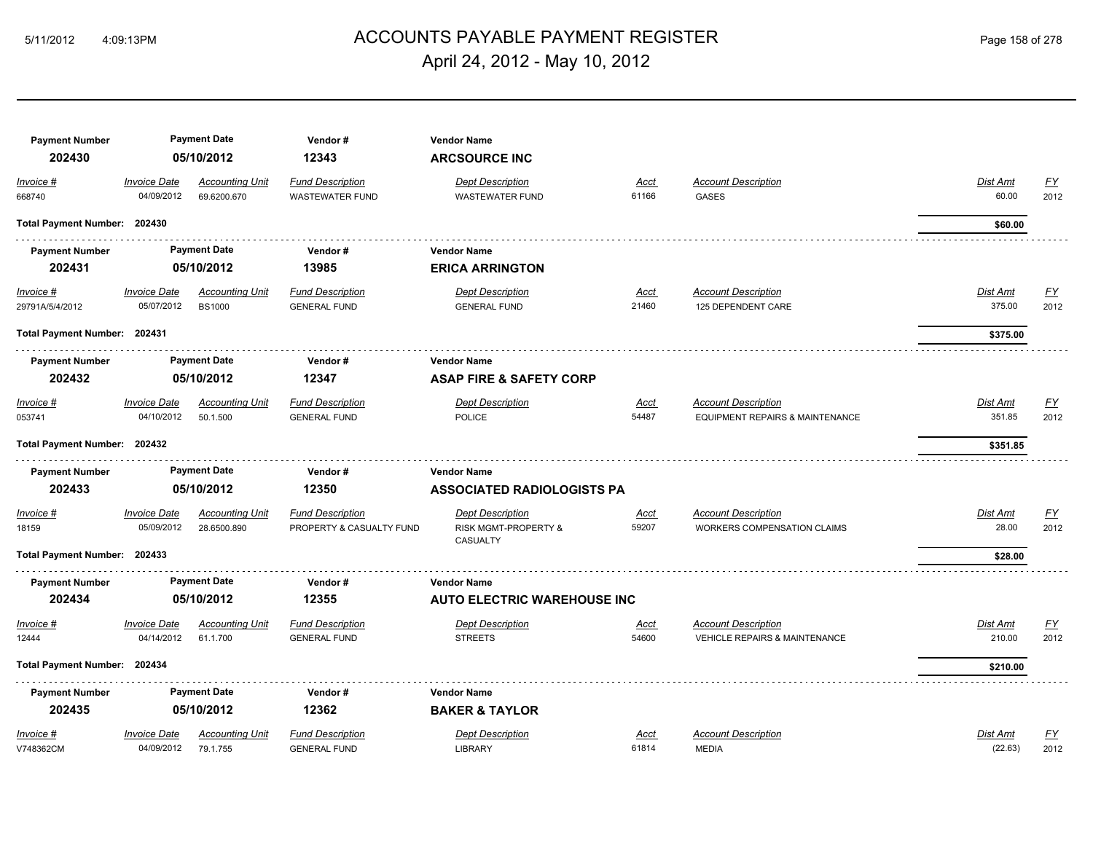# ACCOUNTS PAYABLE PAYMENT REGISTER 5/11/2012 4:09:13PM Page 158 of 278 April 24, 2012 - May 10, 2012

| <b>Payment Number</b>        |                     | <b>Payment Date</b>    | Vendor#                  | <b>Vendor Name</b>                 |             |                                            |                 |                           |
|------------------------------|---------------------|------------------------|--------------------------|------------------------------------|-------------|--------------------------------------------|-----------------|---------------------------|
| 202430                       |                     | 05/10/2012             | 12343                    | <b>ARCSOURCE INC</b>               |             |                                            |                 |                           |
| Invoice #                    | <b>Invoice Date</b> | <b>Accounting Unit</b> | <b>Fund Description</b>  | <b>Dept Description</b>            | <b>Acct</b> | <b>Account Description</b>                 | Dist Amt        | <u>FY</u>                 |
| 668740                       | 04/09/2012          | 69.6200.670            | <b>WASTEWATER FUND</b>   | <b>WASTEWATER FUND</b>             | 61166       | <b>GASES</b>                               | 60.00           | 2012                      |
| Total Payment Number: 202430 |                     |                        |                          |                                    |             |                                            | \$60.00         |                           |
| <b>Payment Number</b>        |                     | <b>Payment Date</b>    | Vendor#                  | <b>Vendor Name</b>                 |             |                                            |                 |                           |
| 202431                       |                     | 05/10/2012             | 13985                    | <b>ERICA ARRINGTON</b>             |             |                                            |                 |                           |
| Invoice #                    | <b>Invoice Date</b> | <b>Accounting Unit</b> | <b>Fund Description</b>  | <b>Dept Description</b>            | <u>Acct</u> | <b>Account Description</b>                 | <b>Dist Amt</b> | $\underline{\mathsf{FY}}$ |
| 29791A/5/4/2012              | 05/07/2012          | <b>BS1000</b>          | <b>GENERAL FUND</b>      | <b>GENERAL FUND</b>                | 21460       | 125 DEPENDENT CARE                         | 375.00          | 2012                      |
| Total Payment Number: 202431 |                     |                        |                          |                                    |             |                                            | \$375.00        |                           |
| <b>Payment Number</b>        |                     | <b>Payment Date</b>    | Vendor#                  | <b>Vendor Name</b>                 |             |                                            |                 |                           |
| 202432                       |                     | 05/10/2012             | 12347                    | <b>ASAP FIRE &amp; SAFETY CORP</b> |             |                                            |                 |                           |
| Invoice #                    | <b>Invoice Date</b> | <b>Accounting Unit</b> | <b>Fund Description</b>  | <b>Dept Description</b>            | <u>Acct</u> | <b>Account Description</b>                 | <b>Dist Amt</b> | <u>FY</u>                 |
| 053741                       | 04/10/2012          | 50.1.500               | <b>GENERAL FUND</b>      | <b>POLICE</b>                      | 54487       | <b>EQUIPMENT REPAIRS &amp; MAINTENANCE</b> | 351.85          | 2012                      |
| Total Payment Number: 202432 |                     |                        |                          |                                    |             |                                            | \$351.85        |                           |
| <b>Payment Number</b>        |                     | <b>Payment Date</b>    | Vendor#                  | <b>Vendor Name</b>                 |             |                                            |                 |                           |
| 202433                       |                     | 05/10/2012             | 12350                    | <b>ASSOCIATED RADIOLOGISTS PA</b>  |             |                                            |                 |                           |
| Invoice #                    | <b>Invoice Date</b> | <b>Accounting Unit</b> | <b>Fund Description</b>  | <b>Dept Description</b>            | <b>Acct</b> | <b>Account Description</b>                 | Dist Amt        | <u>FY</u>                 |
| 18159                        | 05/09/2012          | 28.6500.890            | PROPERTY & CASUALTY FUND | <b>RISK MGMT-PROPERTY &amp;</b>    | 59207       | <b>WORKERS COMPENSATION CLAIMS</b>         | 28.00           | 2012                      |
| Total Payment Number: 202433 |                     |                        |                          | CASUALTY                           |             |                                            | \$28.00         |                           |
| <b>Payment Number</b>        |                     | <b>Payment Date</b>    | Vendor#                  | <b>Vendor Name</b>                 |             |                                            |                 |                           |
| 202434                       |                     | 05/10/2012             | 12355                    | <b>AUTO ELECTRIC WAREHOUSE INC</b> |             |                                            |                 |                           |
| Invoice #                    | <b>Invoice Date</b> | <b>Accounting Unit</b> | <b>Fund Description</b>  | <b>Dept Description</b>            | <u>Acct</u> | <b>Account Description</b>                 | Dist Amt        | <u>FY</u>                 |
| 12444                        | 04/14/2012          | 61.1.700               | <b>GENERAL FUND</b>      | <b>STREETS</b>                     | 54600       | <b>VEHICLE REPAIRS &amp; MAINTENANCE</b>   | 210.00          | 2012                      |
| Total Payment Number: 202434 |                     |                        |                          |                                    |             |                                            | \$210.00        |                           |
| <b>Payment Number</b>        |                     | <b>Payment Date</b>    | Vendor#                  | <b>Vendor Name</b>                 |             |                                            |                 |                           |
| 202435                       |                     | 05/10/2012             | 12362                    | <b>BAKER &amp; TAYLOR</b>          |             |                                            |                 |                           |
| Invoice #                    | <b>Invoice Date</b> | <b>Accounting Unit</b> | <b>Fund Description</b>  | <b>Dept Description</b>            | <b>Acct</b> | <b>Account Description</b>                 | Dist Amt        | <u>FY</u>                 |
| V748362CM                    | 04/09/2012          | 79.1.755               | <b>GENERAL FUND</b>      | <b>LIBRARY</b>                     | 61814       | <b>MEDIA</b>                               | (22.63)         | 2012                      |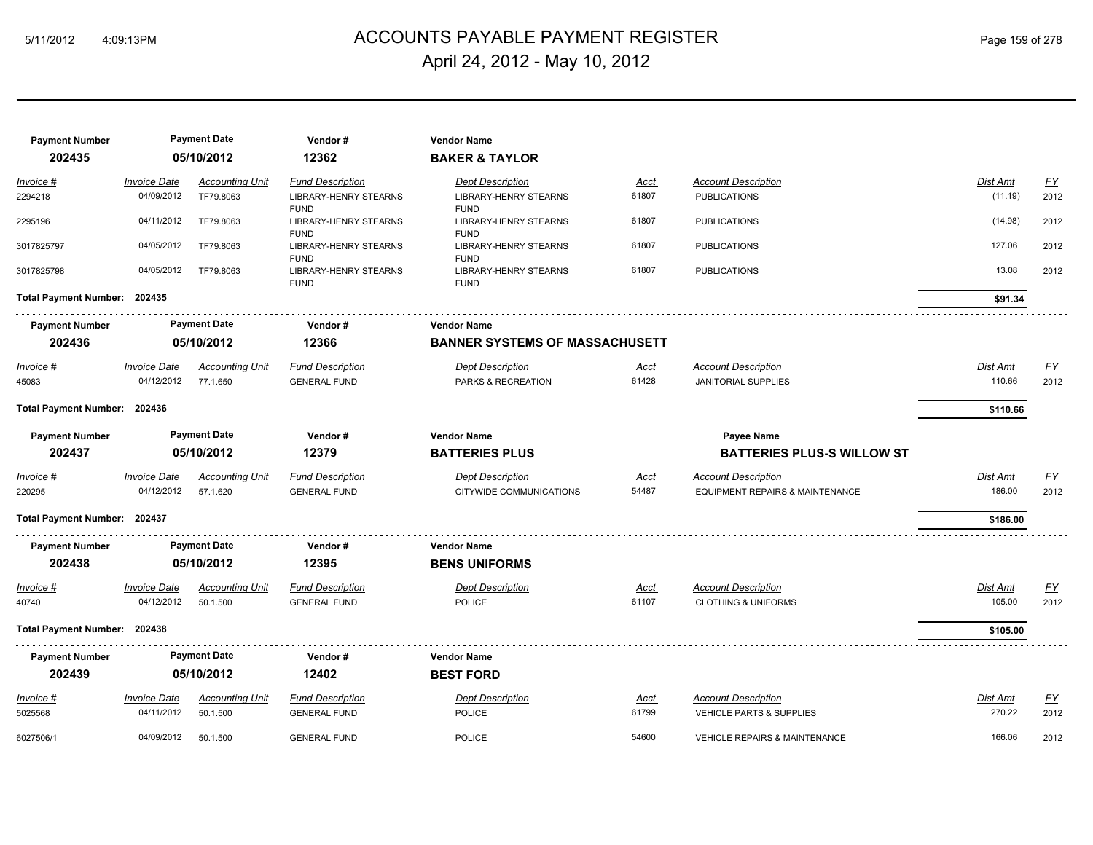# ACCOUNTS PAYABLE PAYMENT REGISTER 5/11/2012 4:09:13PM Page 159 of 278 April 24, 2012 - May 10, 2012

| <b>Payment Number</b><br>202435 |                                   | <b>Payment Date</b><br>05/10/2012  | Vendor#<br>12362                                           | <b>Vendor Name</b><br><b>BAKER &amp; TAYLOR</b>            |                      |                                                              |                           |                   |  |  |
|---------------------------------|-----------------------------------|------------------------------------|------------------------------------------------------------|------------------------------------------------------------|----------------------|--------------------------------------------------------------|---------------------------|-------------------|--|--|
| Invoice #                       | <b>Invoice Date</b>               | <b>Accounting Unit</b>             | <b>Fund Description</b>                                    | <b>Dept Description</b>                                    | <b>Acct</b>          | <b>Account Description</b>                                   | Dist Amt                  | $\underline{FY}$  |  |  |
| 2294218                         | 04/09/2012                        | TF79.8063                          | <b>LIBRARY-HENRY STEARNS</b>                               | <b>LIBRARY-HENRY STEARNS</b>                               | 61807                | <b>PUBLICATIONS</b>                                          | (11.19)                   | 2012              |  |  |
| 2295196                         | 04/11/2012                        | TF79.8063                          | <b>FUND</b><br><b>LIBRARY-HENRY STEARNS</b><br><b>FUND</b> | <b>FUND</b><br><b>LIBRARY-HENRY STEARNS</b><br><b>FUND</b> | 61807                | <b>PUBLICATIONS</b>                                          | (14.98)                   | 2012              |  |  |
| 3017825797                      | 04/05/2012                        | TF79.8063                          | LIBRARY-HENRY STEARNS<br><b>FUND</b>                       | LIBRARY-HENRY STEARNS<br><b>FUND</b>                       | 61807                | <b>PUBLICATIONS</b>                                          | 127.06                    | 2012              |  |  |
| 3017825798                      | 04/05/2012                        | TF79.8063                          | <b>LIBRARY-HENRY STEARNS</b><br><b>FUND</b>                | <b>LIBRARY-HENRY STEARNS</b><br><b>FUND</b>                | 61807                | <b>PUBLICATIONS</b>                                          | 13.08                     | 2012              |  |  |
| Total Payment Number: 202435    |                                   |                                    |                                                            |                                                            |                      |                                                              | \$91.34                   |                   |  |  |
| <b>Payment Number</b>           |                                   | <b>Payment Date</b>                | Vendor#                                                    | <b>Vendor Name</b>                                         |                      |                                                              |                           |                   |  |  |
| 202436                          | 05/10/2012                        |                                    |                                                            |                                                            | 12366                | <b>BANNER SYSTEMS OF MASSACHUSETT</b>                        |                           |                   |  |  |
| <u>Invoice #</u><br>45083       | <b>Invoice Date</b><br>04/12/2012 | <b>Accounting Unit</b><br>77.1.650 | <b>Fund Description</b><br><b>GENERAL FUND</b>             | <b>Dept Description</b><br>PARKS & RECREATION              | <u>Acct</u><br>61428 | <b>Account Description</b><br><b>JANITORIAL SUPPLIES</b>     | <b>Dist Amt</b><br>110.66 | EY<br>2012        |  |  |
|                                 | Total Payment Number: 202436      |                                    |                                                            |                                                            |                      |                                                              | \$110.66                  |                   |  |  |
| <b>Payment Number</b>           |                                   | <b>Payment Date</b>                | Vendor#                                                    | <b>Vendor Name</b>                                         |                      | Payee Name                                                   |                           |                   |  |  |
| 202437                          |                                   | 05/10/2012                         | 12379                                                      | <b>BATTERIES PLUS</b>                                      |                      | <b>BATTERIES PLUS-S WILLOW ST</b>                            |                           |                   |  |  |
| Invoice #                       | <b>Invoice Date</b>               | <b>Accounting Unit</b>             | <b>Fund Description</b>                                    | <b>Dept Description</b>                                    | <u>Acct</u>          | <b>Account Description</b>                                   | Dist Amt                  | EY                |  |  |
| 220295                          | 04/12/2012                        | 57.1.620                           | <b>GENERAL FUND</b>                                        | CITYWIDE COMMUNICATIONS                                    | 54487                | <b>EQUIPMENT REPAIRS &amp; MAINTENANCE</b>                   | 186.00                    | 2012              |  |  |
| Total Payment Number: 202437    |                                   |                                    |                                                            |                                                            |                      |                                                              | \$186.00                  |                   |  |  |
| <b>Payment Number</b>           |                                   | <b>Payment Date</b>                | Vendor#                                                    | <b>Vendor Name</b>                                         |                      |                                                              |                           |                   |  |  |
| 202438                          |                                   | 05/10/2012                         | 12395                                                      | <b>BENS UNIFORMS</b>                                       |                      |                                                              |                           |                   |  |  |
| Invoice #<br>40740              | <b>Invoice Date</b><br>04/12/2012 | <b>Accounting Unit</b><br>50.1.500 | <b>Fund Description</b><br><b>GENERAL FUND</b>             | <b>Dept Description</b><br><b>POLICE</b>                   | <b>Acct</b><br>61107 | <b>Account Description</b><br><b>CLOTHING &amp; UNIFORMS</b> | Dist Amt<br>105.00        | <u>FY</u><br>2012 |  |  |
| Total Payment Number: 202438    |                                   |                                    |                                                            |                                                            |                      |                                                              | \$105.00                  |                   |  |  |
| <b>Payment Number</b>           |                                   | <b>Payment Date</b>                | Vendor#                                                    | <b>Vendor Name</b>                                         |                      |                                                              |                           |                   |  |  |
| 202439                          |                                   | 05/10/2012                         | 12402                                                      | <b>BEST FORD</b>                                           |                      |                                                              |                           |                   |  |  |
| Invoice #                       | <b>Invoice Date</b>               | <b>Accounting Unit</b>             | <b>Fund Description</b>                                    | <b>Dept Description</b>                                    | Acct                 | <b>Account Description</b>                                   | Dist Amt                  | <u>FY</u>         |  |  |
| 5025568                         | 04/11/2012                        | 50.1.500                           | <b>GENERAL FUND</b>                                        | POLICE                                                     | 61799                | <b>VEHICLE PARTS &amp; SUPPLIES</b>                          | 270.22                    | 2012              |  |  |
| 6027506/1                       | 04/09/2012                        | 50.1.500                           | <b>GENERAL FUND</b>                                        | <b>POLICE</b>                                              | 54600                | VEHICLE REPAIRS & MAINTENANCE                                | 166.06                    | 2012              |  |  |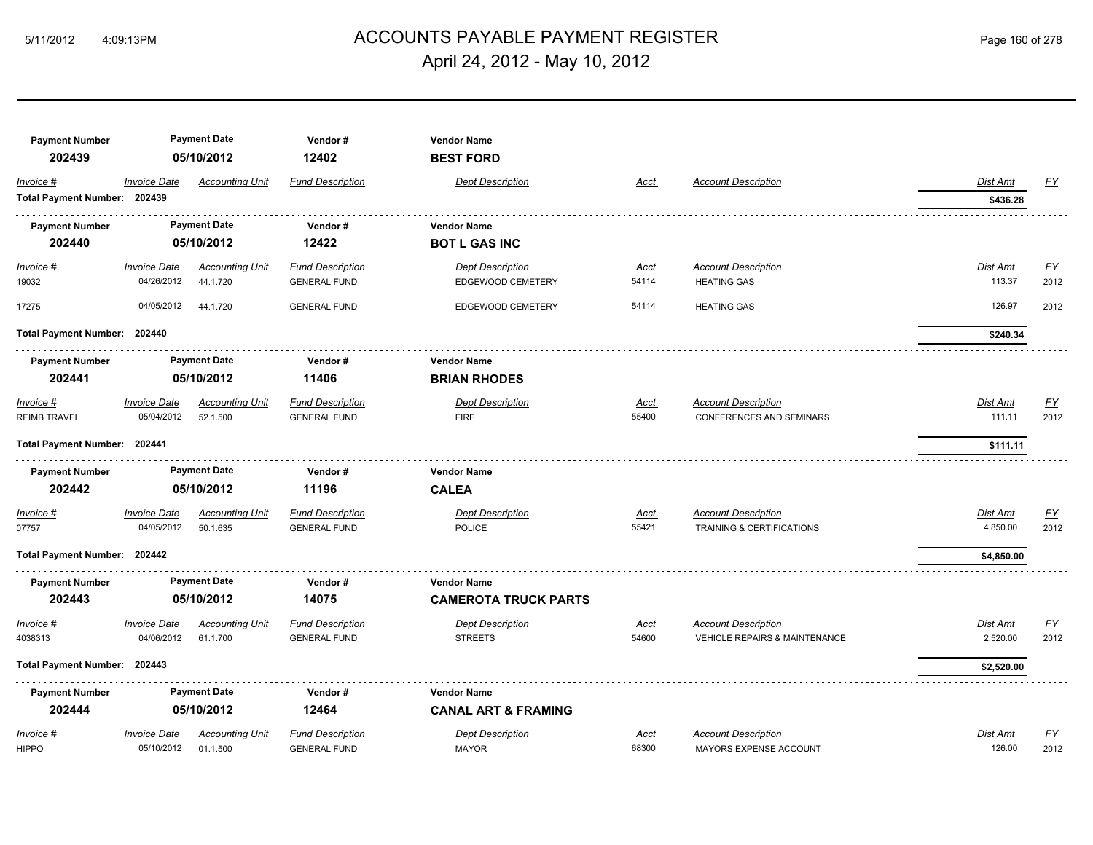# ACCOUNTS PAYABLE PAYMENT REGISTER 5/11/2012 4:09:13PM Page 160 of 278 April 24, 2012 - May 10, 2012

| <b>Payment Number</b><br>202439 |                     | <b>Payment Date</b><br>05/10/2012 | Vendor#<br>12402        | <b>Vendor Name</b><br><b>BEST FORD</b> |             |                                          |                 |                  |
|---------------------------------|---------------------|-----------------------------------|-------------------------|----------------------------------------|-------------|------------------------------------------|-----------------|------------------|
| Invoice #                       | <b>Invoice Date</b> | <b>Accounting Unit</b>            | <b>Fund Description</b> | <b>Dept Description</b>                | <b>Acct</b> | <b>Account Description</b>               | <b>Dist Amt</b> | <u>FY</u>        |
| Total Payment Number: 202439    |                     |                                   |                         |                                        |             |                                          | \$436.28        |                  |
| <b>Payment Number</b>           |                     | <b>Payment Date</b>               | Vendor#                 | <b>Vendor Name</b>                     |             |                                          |                 |                  |
| 202440                          |                     | 05/10/2012                        | 12422                   | <b>BOT L GAS INC</b>                   |             |                                          |                 |                  |
| <u>Invoice #</u>                | <b>Invoice Date</b> | <b>Accounting Unit</b>            | <b>Fund Description</b> | <b>Dept Description</b>                | <u>Acct</u> | <b>Account Description</b>               | <b>Dist Amt</b> | EY               |
| 19032                           | 04/26/2012          | 44.1.720                          | <b>GENERAL FUND</b>     | EDGEWOOD CEMETERY                      | 54114       | <b>HEATING GAS</b>                       | 113.37          | 2012             |
| 17275                           | 04/05/2012          | 44.1.720                          | <b>GENERAL FUND</b>     | EDGEWOOD CEMETERY                      | 54114       | <b>HEATING GAS</b>                       | 126.97          | 2012             |
| Total Payment Number: 202440    |                     |                                   |                         |                                        |             |                                          | \$240.34        |                  |
| <b>Payment Number</b>           |                     | <b>Payment Date</b>               | Vendor #                | <b>Vendor Name</b>                     |             |                                          |                 |                  |
| 202441                          |                     | 05/10/2012                        | 11406                   | <b>BRIAN RHODES</b>                    |             |                                          |                 |                  |
| Invoice #                       | <b>Invoice Date</b> | <b>Accounting Unit</b>            | <b>Fund Description</b> | <b>Dept Description</b>                | <u>Acct</u> | <b>Account Description</b>               | Dist Amt        | $\underline{FY}$ |
| <b>REIMB TRAVEL</b>             | 05/04/2012          | 52.1.500                          | <b>GENERAL FUND</b>     | <b>FIRE</b>                            | 55400       | CONFERENCES AND SEMINARS                 | 111.11          | 2012             |
| Total Payment Number: 202441    |                     |                                   |                         |                                        |             |                                          | \$111.11        |                  |
| <b>Payment Number</b>           |                     | <b>Payment Date</b>               | Vendor#                 | <b>Vendor Name</b>                     |             |                                          |                 |                  |
| 202442                          |                     | 05/10/2012                        | 11196                   | <b>CALEA</b>                           |             |                                          |                 |                  |
| Invoice #                       | <b>Invoice Date</b> | <b>Accounting Unit</b>            | <b>Fund Description</b> | <b>Dept Description</b>                | <u>Acct</u> | <b>Account Description</b>               | Dist Amt        | $\underline{FY}$ |
| 07757                           | 04/05/2012          | 50.1.635                          | <b>GENERAL FUND</b>     | <b>POLICE</b>                          | 55421       | <b>TRAINING &amp; CERTIFICATIONS</b>     | 4,850.00        | 2012             |
| Total Payment Number: 202442    |                     |                                   |                         |                                        |             |                                          | \$4,850.00      |                  |
| <b>Payment Number</b>           |                     | <b>Payment Date</b>               | Vendor#                 | <b>Vendor Name</b>                     |             |                                          |                 |                  |
| 202443                          |                     | 05/10/2012                        | 14075                   | <b>CAMEROTA TRUCK PARTS</b>            |             |                                          |                 |                  |
| Invoice #                       | <b>Invoice Date</b> | <b>Accounting Unit</b>            | <b>Fund Description</b> | <b>Dept Description</b>                | <u>Acct</u> | <b>Account Description</b>               | Dist Amt        | $\underline{FY}$ |
| 4038313                         | 04/06/2012          | 61.1.700                          | <b>GENERAL FUND</b>     | <b>STREETS</b>                         | 54600       | <b>VEHICLE REPAIRS &amp; MAINTENANCE</b> | 2,520.00        | 2012             |
| Total Payment Number: 202443    |                     |                                   |                         |                                        |             |                                          | \$2,520.00      |                  |
| <b>Payment Number</b>           |                     | <b>Payment Date</b>               | Vendor#                 | <b>Vendor Name</b>                     |             |                                          |                 |                  |
| 202444                          |                     | 05/10/2012                        | 12464                   | <b>CANAL ART &amp; FRAMING</b>         |             |                                          |                 |                  |
| Invoice #                       | <b>Invoice Date</b> | <b>Accounting Unit</b>            | <b>Fund Description</b> | <b>Dept Description</b>                | <b>Acct</b> | <b>Account Description</b>               | Dist Amt        | $\underline{FY}$ |
| <b>HIPPO</b>                    | 05/10/2012          | 01.1.500                          | <b>GENERAL FUND</b>     | <b>MAYOR</b>                           | 68300       | MAYORS EXPENSE ACCOUNT                   | 126.00          | 2012             |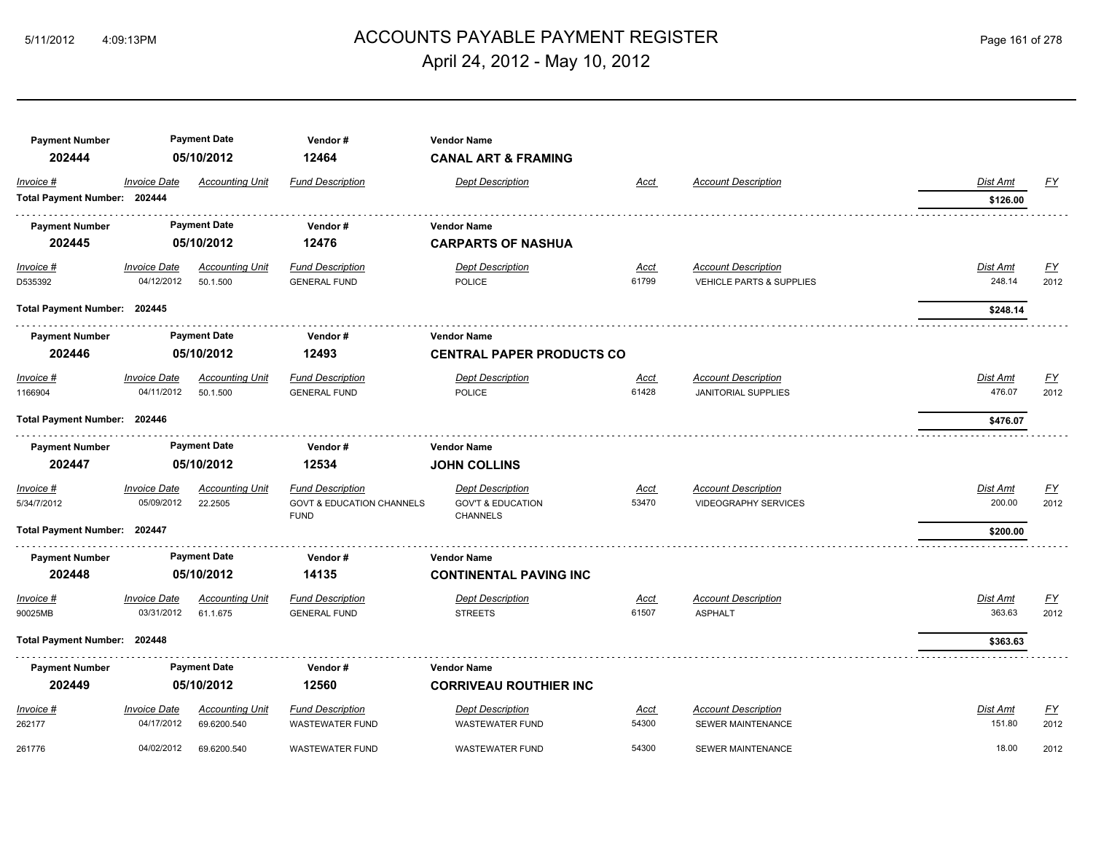# ACCOUNTS PAYABLE PAYMENT REGISTER 5/11/2012 4:09:13PM Page 161 of 278 April 24, 2012 - May 10, 2012

| <b>Payment Number</b>        |                     | <b>Payment Date</b>    | Vendor#                                             | <b>Vendor Name</b>                              |             |                             |                 |                           |
|------------------------------|---------------------|------------------------|-----------------------------------------------------|-------------------------------------------------|-------------|-----------------------------|-----------------|---------------------------|
| 202444                       |                     | 05/10/2012             | 12464                                               | <b>CANAL ART &amp; FRAMING</b>                  |             |                             |                 |                           |
| Invoice #                    | <b>Invoice Date</b> | <b>Accounting Unit</b> | <b>Fund Description</b>                             | <b>Dept Description</b>                         | Acct        | <b>Account Description</b>  | Dist Amt        | EY                        |
| Total Payment Number: 202444 |                     |                        |                                                     |                                                 |             |                             | \$126.00        |                           |
| <b>Payment Number</b>        |                     | <b>Payment Date</b>    | Vendor#                                             | <b>Vendor Name</b>                              |             |                             |                 |                           |
| 202445                       |                     | 05/10/2012             | 12476                                               | <b>CARPARTS OF NASHUA</b>                       |             |                             |                 |                           |
| $Invoice$ #                  | <b>Invoice Date</b> | <b>Accounting Unit</b> | <b>Fund Description</b>                             | <b>Dept Description</b>                         | <u>Acct</u> | <b>Account Description</b>  | <b>Dist Amt</b> | $\underline{\mathsf{FY}}$ |
| D535392                      | 04/12/2012          | 50.1.500               | <b>GENERAL FUND</b>                                 | <b>POLICE</b>                                   | 61799       | VEHICLE PARTS & SUPPLIES    | 248.14          | 2012                      |
| Total Payment Number: 202445 |                     |                        |                                                     |                                                 |             |                             | \$248.14        |                           |
| <b>Payment Number</b>        |                     | <b>Payment Date</b>    | Vendor#                                             | Vendor Name                                     |             |                             |                 |                           |
| 202446                       |                     | 05/10/2012             | 12493                                               | <b>CENTRAL PAPER PRODUCTS CO</b>                |             |                             |                 |                           |
| Invoice #                    | <b>Invoice Date</b> | <b>Accounting Unit</b> | <b>Fund Description</b>                             | <b>Dept Description</b>                         | Acct        | <b>Account Description</b>  | Dist Amt        | $\underline{FY}$          |
| 1166904                      | 04/11/2012          | 50.1.500               | <b>GENERAL FUND</b>                                 | <b>POLICE</b>                                   | 61428       | <b>JANITORIAL SUPPLIES</b>  | 476.07          | 2012                      |
| Total Payment Number: 202446 |                     |                        |                                                     |                                                 |             |                             | \$476.07        |                           |
| <b>Payment Number</b>        |                     | <b>Payment Date</b>    | Vendor#                                             | <b>Vendor Name</b>                              |             |                             |                 |                           |
| 202447                       |                     | 05/10/2012             | 12534                                               | <b>JOHN COLLINS</b>                             |             |                             |                 |                           |
| Invoice #                    | <b>Invoice Date</b> | <b>Accounting Unit</b> | <b>Fund Description</b>                             | <b>Dept Description</b>                         | Acct        | <b>Account Description</b>  | Dist Amt        | $\underline{FY}$          |
| 5/34/7/2012                  | 05/09/2012          | 22.2505                | <b>GOVT &amp; EDUCATION CHANNELS</b><br><b>FUND</b> | <b>GOV'T &amp; EDUCATION</b><br><b>CHANNELS</b> | 53470       | <b>VIDEOGRAPHY SERVICES</b> | 200.00          | 2012                      |
| Total Payment Number: 202447 |                     |                        |                                                     |                                                 |             |                             | \$200.00        |                           |
| <b>Payment Number</b>        |                     | <b>Payment Date</b>    | Vendor#                                             | <b>Vendor Name</b>                              |             |                             |                 |                           |
| 202448                       |                     | 05/10/2012             | 14135                                               | <b>CONTINENTAL PAVING INC</b>                   |             |                             |                 |                           |
| Invoice #                    | <b>Invoice Date</b> | <b>Accounting Unit</b> | <b>Fund Description</b>                             | <b>Dept Description</b>                         | <b>Acct</b> | <b>Account Description</b>  | Dist Amt        | $\underline{FY}$          |
| 90025MB                      | 03/31/2012          | 61.1.675               | <b>GENERAL FUND</b>                                 | <b>STREETS</b>                                  | 61507       | <b>ASPHALT</b>              | 363.63          | 2012                      |
| Total Payment Number: 202448 |                     |                        |                                                     |                                                 |             |                             | \$363.63        |                           |
| <b>Payment Number</b>        |                     | <b>Payment Date</b>    | Vendor#                                             | <b>Vendor Name</b>                              |             |                             |                 |                           |
| 202449                       |                     | 05/10/2012             | 12560                                               | <b>CORRIVEAU ROUTHIER INC</b>                   |             |                             |                 |                           |
| Invoice #                    | <b>Invoice Date</b> | <b>Accounting Unit</b> | <b>Fund Description</b>                             | <b>Dept Description</b>                         | Acct        | <b>Account Description</b>  | <b>Dist Amt</b> | $\underline{FY}$          |
| 262177                       | 04/17/2012          | 69.6200.540            | <b>WASTEWATER FUND</b>                              | <b>WASTEWATER FUND</b>                          | 54300       | <b>SEWER MAINTENANCE</b>    | 151.80          | 2012                      |
| 261776                       | 04/02/2012          | 69.6200.540            | <b>WASTEWATER FUND</b>                              | <b>WASTEWATER FUND</b>                          | 54300       | SEWER MAINTENANCE           | 18.00           | 2012                      |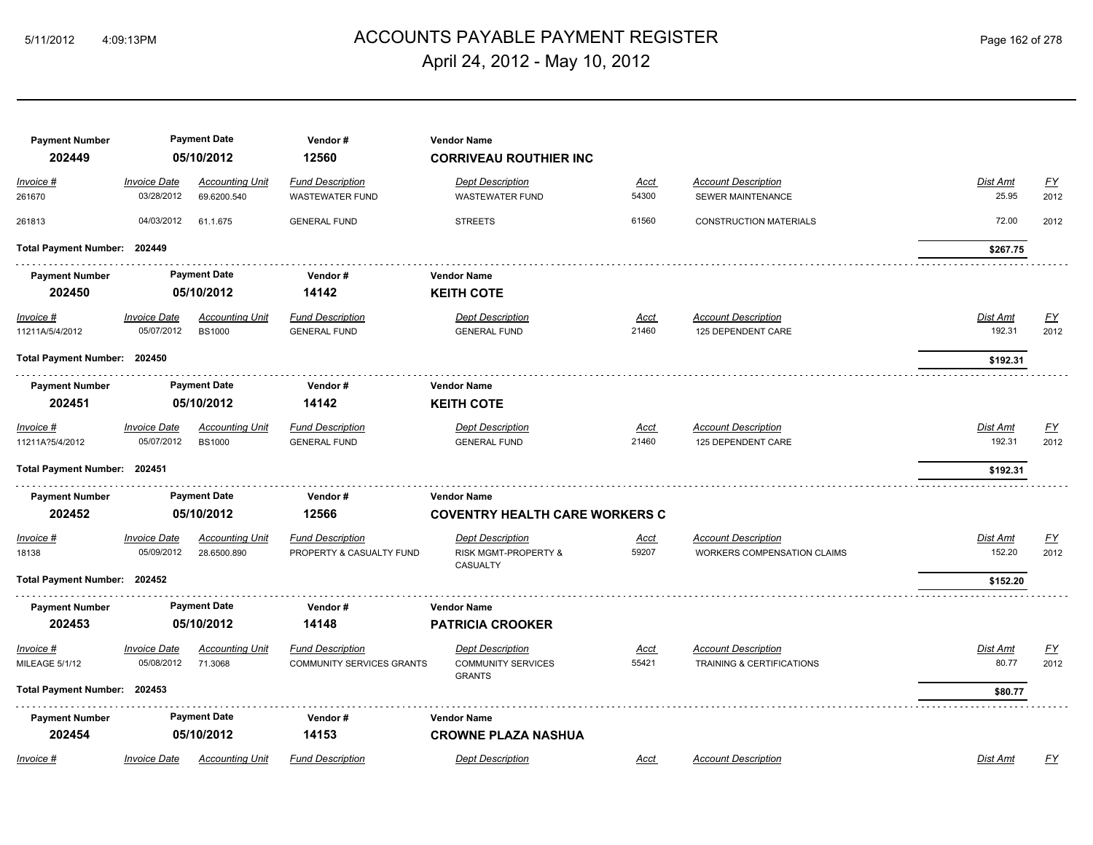## ACCOUNTS PAYABLE PAYMENT REGISTER 5/11/2012 4:09:13PM Page 162 of 278 April 24, 2012 - May 10, 2012

| <b>Payment Number</b><br>202449 |                                   | <b>Payment Date</b><br>05/10/2012       | Vendor#<br>12560                                            | <b>Vendor Name</b><br><b>CORRIVEAU ROUTHIER INC</b>                   |                      |                                                                    |                           |                   |
|---------------------------------|-----------------------------------|-----------------------------------------|-------------------------------------------------------------|-----------------------------------------------------------------------|----------------------|--------------------------------------------------------------------|---------------------------|-------------------|
| Invoice #<br>261670             | <b>Invoice Date</b><br>03/28/2012 | <b>Accounting Unit</b><br>69.6200.540   | <b>Fund Description</b><br><b>WASTEWATER FUND</b>           | <b>Dept Description</b><br><b>WASTEWATER FUND</b>                     | <u>Acct</u><br>54300 | <b>Account Description</b><br>SEWER MAINTENANCE                    | Dist Amt<br>25.95         | <u>FY</u><br>2012 |
| 261813                          | 04/03/2012                        | 61.1.675                                | <b>GENERAL FUND</b>                                         | <b>STREETS</b>                                                        | 61560                | <b>CONSTRUCTION MATERIALS</b>                                      | 72.00                     | 2012              |
| Total Payment Number: 202449    |                                   |                                         |                                                             |                                                                       |                      |                                                                    | \$267.75                  |                   |
| <b>Payment Number</b>           |                                   | <b>Payment Date</b>                     | Vendor#                                                     | <b>Vendor Name</b>                                                    |                      |                                                                    |                           |                   |
| 202450                          |                                   | 05/10/2012                              | 14142                                                       | <b>KEITH COTE</b>                                                     |                      |                                                                    |                           |                   |
| $Invoice$ #<br>11211A/5/4/2012  | <b>Invoice Date</b><br>05/07/2012 | <b>Accounting Unit</b><br><b>BS1000</b> | <b>Fund Description</b><br><b>GENERAL FUND</b>              | <b>Dept Description</b><br><b>GENERAL FUND</b>                        | Acct<br>21460        | <b>Account Description</b><br>125 DEPENDENT CARE                   | <b>Dist Amt</b><br>192.31 | <u>FY</u><br>2012 |
| Total Payment Number: 202450    |                                   |                                         |                                                             |                                                                       |                      |                                                                    | \$192.31                  |                   |
| <b>Payment Number</b><br>202451 | <b>Payment Date</b><br>05/10/2012 |                                         | Vendor#<br>14142                                            | <b>Vendor Name</b><br><b>KEITH COTE</b>                               |                      |                                                                    |                           |                   |
| $Invoice$ #<br>11211A?5/4/2012  | <b>Invoice Date</b><br>05/07/2012 | <b>Accounting Unit</b><br><b>BS1000</b> | <b>Fund Description</b><br><b>GENERAL FUND</b>              | <b>Dept Description</b><br><b>GENERAL FUND</b>                        | <u>Acct</u><br>21460 | <b>Account Description</b><br>125 DEPENDENT CARE                   | Dist Amt<br>192.31        | <u>FY</u><br>2012 |
| Total Payment Number: 202451    |                                   |                                         |                                                             |                                                                       |                      |                                                                    | \$192.31                  |                   |
| <b>Payment Number</b><br>202452 |                                   | <b>Payment Date</b><br>05/10/2012       | Vendor#<br>12566                                            | <b>Vendor Name</b><br><b>COVENTRY HEALTH CARE WORKERS C</b>           |                      |                                                                    |                           |                   |
| Invoice #<br>18138              | <b>Invoice Date</b><br>05/09/2012 | <b>Accounting Unit</b><br>28.6500.890   | <b>Fund Description</b><br>PROPERTY & CASUALTY FUND         | <b>Dept Description</b><br>RISK MGMT-PROPERTY &<br>CASUALTY           | <u>Acct</u><br>59207 | <b>Account Description</b><br><b>WORKERS COMPENSATION CLAIMS</b>   | Dist Amt<br>152.20        | <u>FY</u><br>2012 |
| Total Payment Number: 202452    |                                   |                                         |                                                             |                                                                       |                      |                                                                    | \$152.20                  |                   |
| <b>Payment Number</b><br>202453 |                                   | <b>Payment Date</b><br>05/10/2012       | Vendor#<br>14148                                            | <b>Vendor Name</b><br><b>PATRICIA CROOKER</b>                         |                      |                                                                    |                           |                   |
| Invoice #<br>MILEAGE 5/1/12     | <b>Invoice Date</b><br>05/08/2012 | <b>Accounting Unit</b><br>71.3068       | <b>Fund Description</b><br><b>COMMUNITY SERVICES GRANTS</b> | <b>Dept Description</b><br><b>COMMUNITY SERVICES</b><br><b>GRANTS</b> | Acct<br>55421        | <b>Account Description</b><br><b>TRAINING &amp; CERTIFICATIONS</b> | Dist Amt<br>80.77         | <u>FY</u><br>2012 |
| Total Payment Number: 202453    |                                   |                                         |                                                             |                                                                       |                      |                                                                    | \$80.77                   |                   |
| <b>Payment Number</b><br>202454 |                                   | <b>Payment Date</b><br>05/10/2012       | Vendor#<br>14153                                            | <b>Vendor Name</b><br><b>CROWNE PLAZA NASHUA</b>                      |                      |                                                                    |                           |                   |
| Invoice #                       | <b>Invoice Date</b>               | <b>Accounting Unit</b>                  | <b>Fund Description</b>                                     | <b>Dept Description</b>                                               | Acct                 | <b>Account Description</b>                                         | Dist Amt                  | FY                |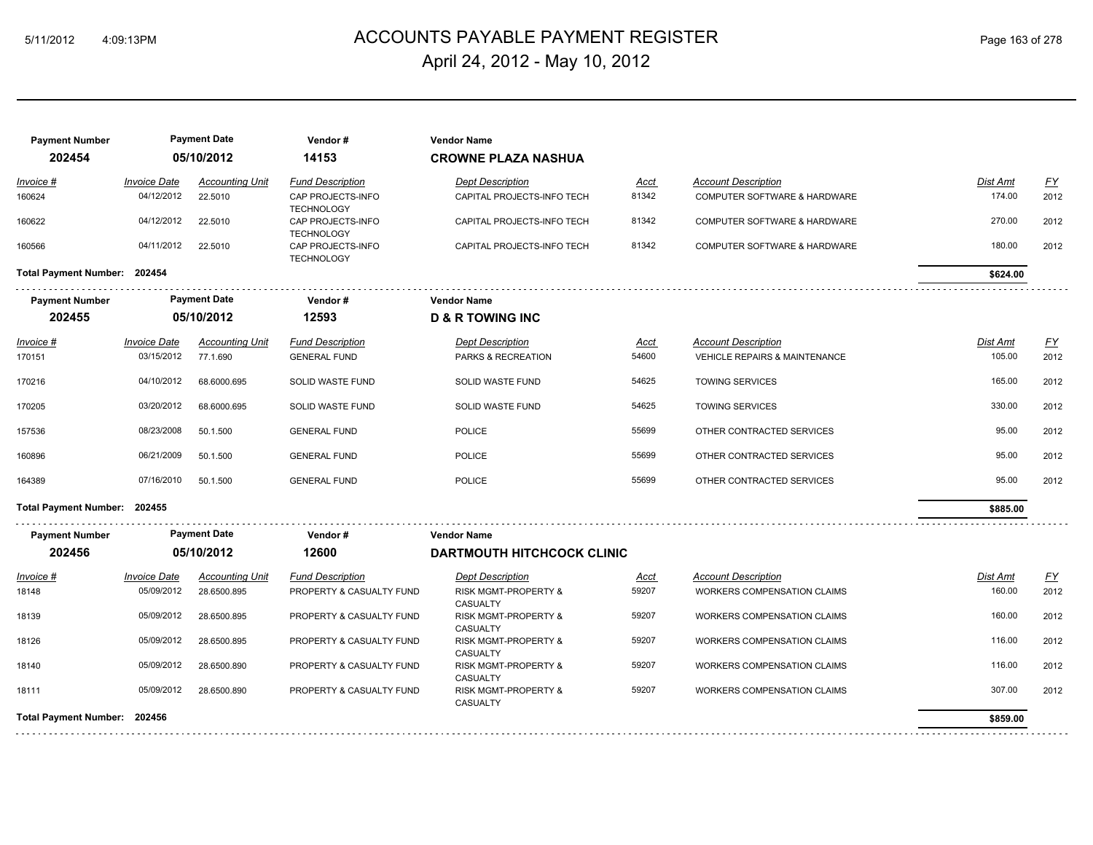# ACCOUNTS PAYABLE PAYMENT REGISTER 5/11/2012 4:09:13PM Page 163 of 278 April 24, 2012 - May 10, 2012

| <b>Payment Number</b><br>202454 |                     | <b>Payment Date</b><br>05/10/2012 | Vendor#<br>14153                       | <b>Vendor Name</b><br><b>CROWNE PLAZA NASHUA</b>   |             |                                          |                 |                  |
|---------------------------------|---------------------|-----------------------------------|----------------------------------------|----------------------------------------------------|-------------|------------------------------------------|-----------------|------------------|
| Invoice #                       | <b>Invoice Date</b> | <b>Accounting Unit</b>            | <b>Fund Description</b>                | <b>Dept Description</b>                            | <u>Acct</u> | <b>Account Description</b>               | <b>Dist Amt</b> | $\underline{FY}$ |
| 160624                          | 04/12/2012          | 22.5010                           | CAP PROJECTS-INFO<br><b>TECHNOLOGY</b> | CAPITAL PROJECTS-INFO TECH                         | 81342       | COMPUTER SOFTWARE & HARDWARE             | 174.00          | 2012             |
| 160622                          | 04/12/2012          | 22.5010                           | CAP PROJECTS-INFO<br><b>TECHNOLOGY</b> | CAPITAL PROJECTS-INFO TECH                         | 81342       | COMPUTER SOFTWARE & HARDWARE             | 270.00          | 2012             |
| 160566                          | 04/11/2012          | 22.5010                           | CAP PROJECTS-INFO<br><b>TECHNOLOGY</b> | CAPITAL PROJECTS-INFO TECH                         | 81342       | COMPUTER SOFTWARE & HARDWARE             | 180.00          | 2012             |
| Total Payment Number: 202454    |                     |                                   |                                        |                                                    |             |                                          | \$624.00        |                  |
| <b>Payment Number</b>           |                     | <b>Payment Date</b>               | Vendor#                                | <b>Vendor Name</b>                                 |             |                                          |                 |                  |
| 202455                          | 05/10/2012          |                                   | 12593                                  | <b>D &amp; R TOWING INC</b>                        |             |                                          |                 |                  |
| <u>Invoice #</u>                | <b>Invoice Date</b> | <b>Accounting Unit</b>            | <b>Fund Description</b>                | <b>Dept Description</b>                            | Acct        | <b>Account Description</b>               | <b>Dist Amt</b> | <u>FY</u>        |
| 170151                          | 03/15/2012          | 77.1.690                          | <b>GENERAL FUND</b>                    | PARKS & RECREATION                                 | 54600       | <b>VEHICLE REPAIRS &amp; MAINTENANCE</b> | 105.00          | 2012             |
| 170216                          | 04/10/2012          | 68.6000.695                       | SOLID WASTE FUND                       | SOLID WASTE FUND                                   | 54625       | <b>TOWING SERVICES</b>                   | 165.00          | 2012             |
| 170205                          | 03/20/2012          | 68.6000.695                       | SOLID WASTE FUND                       | SOLID WASTE FUND                                   | 54625       | <b>TOWING SERVICES</b>                   | 330.00          | 2012             |
| 157536                          | 08/23/2008          | 50.1.500                          | <b>GENERAL FUND</b>                    | <b>POLICE</b>                                      | 55699       | OTHER CONTRACTED SERVICES                | 95.00           | 2012             |
| 160896                          | 06/21/2009          | 50.1.500                          | <b>GENERAL FUND</b>                    | <b>POLICE</b>                                      | 55699       | OTHER CONTRACTED SERVICES                | 95.00           | 2012             |
| 164389                          | 07/16/2010          | 50.1.500                          | <b>GENERAL FUND</b>                    | <b>POLICE</b>                                      | 55699       | OTHER CONTRACTED SERVICES                | 95.00           | 2012             |
| Total Payment Number: 202455    |                     |                                   |                                        |                                                    |             |                                          | \$885.00        |                  |
| <b>Payment Number</b>           |                     | <b>Payment Date</b>               | Vendor#                                | <b>Vendor Name</b>                                 |             |                                          |                 |                  |
| 202456                          |                     | 05/10/2012                        | 12600                                  | <b>DARTMOUTH HITCHCOCK CLINIC</b>                  |             |                                          |                 |                  |
| Invoice #                       | <b>Invoice Date</b> | <b>Accounting Unit</b>            | <b>Fund Description</b>                | <b>Dept Description</b>                            | Acct        | <b>Account Description</b>               | Dist Amt        | <u>FY</u>        |
| 18148                           | 05/09/2012          | 28.6500.895                       | PROPERTY & CASUALTY FUND               | <b>RISK MGMT-PROPERTY &amp;</b><br><b>CASUALTY</b> | 59207       | <b>WORKERS COMPENSATION CLAIMS</b>       | 160.00          | 2012             |
| 18139                           | 05/09/2012          | 28.6500.895                       | PROPERTY & CASUALTY FUND               | <b>RISK MGMT-PROPERTY &amp;</b><br>CASUALTY        | 59207       | <b>WORKERS COMPENSATION CLAIMS</b>       | 160.00          | 2012             |
| 18126                           | 05/09/2012          | 28.6500.895                       | PROPERTY & CASUALTY FUND               | <b>RISK MGMT-PROPERTY &amp;</b><br>CASUALTY        | 59207       | <b>WORKERS COMPENSATION CLAIMS</b>       | 116.00          | 2012             |
| 18140                           | 05/09/2012          | 28.6500.890                       | PROPERTY & CASUALTY FUND               | RISK MGMT-PROPERTY &<br>CASUALTY                   | 59207       | <b>WORKERS COMPENSATION CLAIMS</b>       | 116.00          | 2012             |
| 18111                           | 05/09/2012          | 28.6500.890                       | PROPERTY & CASUALTY FUND               | <b>RISK MGMT-PROPERTY &amp;</b><br>CASUALTY        | 59207       | <b>WORKERS COMPENSATION CLAIMS</b>       | 307.00          | 2012             |
| Total Payment Number: 202456    |                     |                                   |                                        |                                                    |             |                                          | \$859.00        |                  |
|                                 |                     |                                   |                                        |                                                    |             |                                          |                 |                  |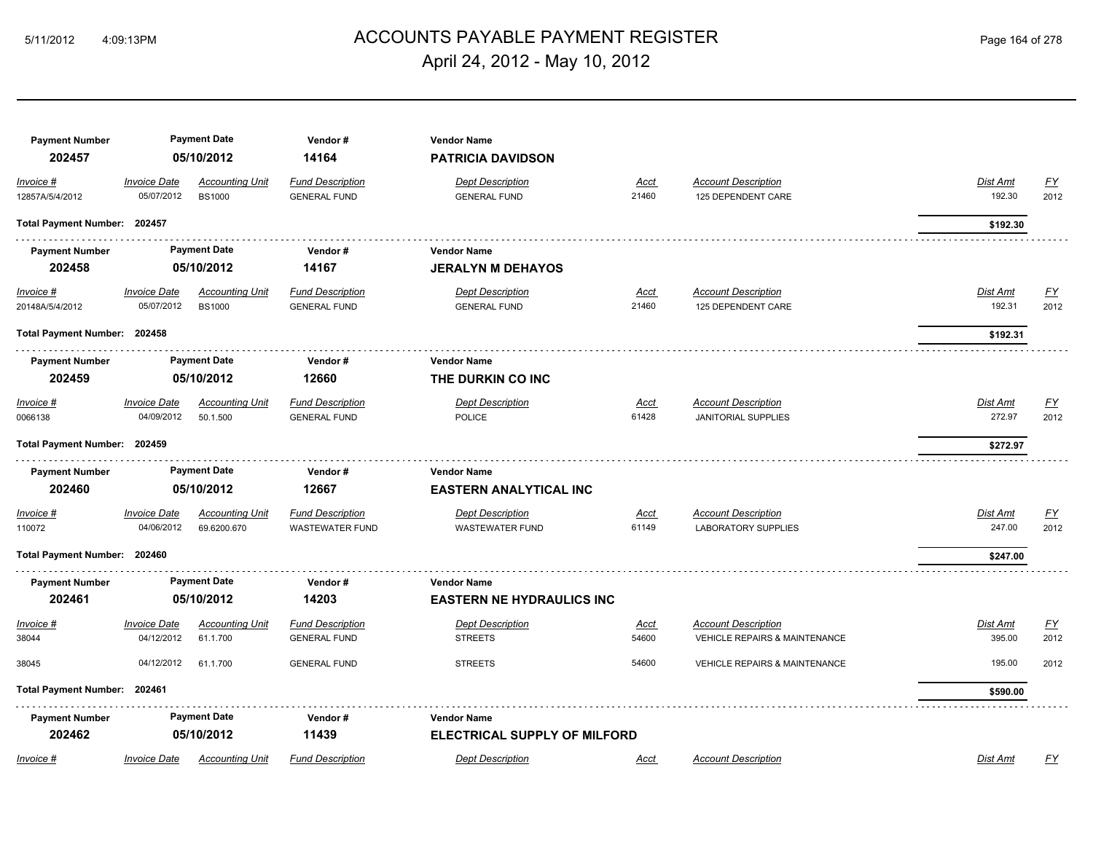# ACCOUNTS PAYABLE PAYMENT REGISTER 5/11/2012 4:09:13PM Page 164 of 278 April 24, 2012 - May 10, 2012

| <b>Payment Number</b><br>202457 |                                   | <b>Payment Date</b><br>05/10/2012       | Vendor#<br>14164                                  | <b>Vendor Name</b><br><b>PATRICIA DAVIDSON</b>            |                      |                                                                        |                    |                          |
|---------------------------------|-----------------------------------|-----------------------------------------|---------------------------------------------------|-----------------------------------------------------------|----------------------|------------------------------------------------------------------------|--------------------|--------------------------|
| Invoice #<br>12857A/5/4/2012    | <b>Invoice Date</b><br>05/07/2012 | <b>Accounting Unit</b><br><b>BS1000</b> | <b>Fund Description</b><br><b>GENERAL FUND</b>    | <b>Dept Description</b><br><b>GENERAL FUND</b>            | Acct<br>21460        | <b>Account Description</b><br>125 DEPENDENT CARE                       | Dist Amt<br>192.30 | <u>FY</u><br>2012        |
| Total Payment Number: 202457    |                                   |                                         |                                                   |                                                           |                      |                                                                        | \$192.30           |                          |
| <b>Payment Number</b><br>202458 |                                   | <b>Payment Date</b><br>05/10/2012       | Vendor#<br>14167                                  | <b>Vendor Name</b><br><b>JERALYN M DEHAYOS</b>            |                      |                                                                        |                    |                          |
| $Invoice$ #<br>20148A/5/4/2012  | <b>Invoice Date</b><br>05/07/2012 | <b>Accounting Unit</b><br><b>BS1000</b> | <b>Fund Description</b><br><b>GENERAL FUND</b>    | <b>Dept Description</b><br><b>GENERAL FUND</b>            | <u>Acct</u><br>21460 | <b>Account Description</b><br>125 DEPENDENT CARE                       | Dist Amt<br>192.31 | <u>FY</u><br>2012        |
| Total Payment Number: 202458    |                                   |                                         |                                                   |                                                           |                      |                                                                        | \$192.31           |                          |
| <b>Payment Number</b><br>202459 |                                   | <b>Payment Date</b><br>05/10/2012       | Vendor#<br>12660                                  | <b>Vendor Name</b><br>THE DURKIN CO INC                   |                      |                                                                        |                    |                          |
| Invoice #<br>0066138            | <b>Invoice Date</b><br>04/09/2012 | <b>Accounting Unit</b><br>50.1.500      | <b>Fund Description</b><br><b>GENERAL FUND</b>    | <b>Dept Description</b><br><b>POLICE</b>                  | <u>Acct</u><br>61428 | <b>Account Description</b><br><b>JANITORIAL SUPPLIES</b>               | Dist Amt<br>272.97 | EY<br>2012               |
| Total Payment Number: 202459    |                                   |                                         |                                                   |                                                           |                      |                                                                        | \$272.97           |                          |
| <b>Payment Number</b><br>202460 |                                   | <b>Payment Date</b><br>05/10/2012       | Vendor#<br>12667                                  | <b>Vendor Name</b><br><b>EASTERN ANALYTICAL INC</b>       |                      |                                                                        |                    |                          |
| Invoice #<br>110072             | <b>Invoice Date</b><br>04/06/2012 | <b>Accounting Unit</b><br>69.6200.670   | <b>Fund Description</b><br><b>WASTEWATER FUND</b> | <b>Dept Description</b><br><b>WASTEWATER FUND</b>         | Acct<br>61149        | <b>Account Description</b><br><b>LABORATORY SUPPLIES</b>               | Dist Amt<br>247.00 | $\underline{FY}$<br>2012 |
| Total Payment Number: 202460    |                                   |                                         |                                                   |                                                           |                      |                                                                        | \$247.00           |                          |
| <b>Payment Number</b><br>202461 |                                   | <b>Payment Date</b><br>05/10/2012       | Vendor#<br>14203                                  | <b>Vendor Name</b><br><b>EASTERN NE HYDRAULICS INC</b>    |                      |                                                                        |                    |                          |
| Invoice #<br>38044              | <b>Invoice Date</b><br>04/12/2012 | <b>Accounting Unit</b><br>61.1.700      | <b>Fund Description</b><br><b>GENERAL FUND</b>    | <b>Dept Description</b><br><b>STREETS</b>                 | <u>Acct</u><br>54600 | <b>Account Description</b><br><b>VEHICLE REPAIRS &amp; MAINTENANCE</b> | Dist Amt<br>395.00 | <u>FY</u><br>2012        |
| 38045                           | 04/12/2012                        | 61.1.700                                | <b>GENERAL FUND</b>                               | <b>STREETS</b>                                            | 54600                | <b>VEHICLE REPAIRS &amp; MAINTENANCE</b>                               | 195.00             | 2012                     |
| Total Payment Number: 202461    |                                   |                                         |                                                   |                                                           |                      |                                                                        | \$590.00           |                          |
| <b>Payment Number</b><br>202462 |                                   | <b>Payment Date</b><br>05/10/2012       | Vendor#<br>11439                                  | <b>Vendor Name</b><br><b>ELECTRICAL SUPPLY OF MILFORD</b> |                      |                                                                        |                    |                          |
| Invoice #                       | <b>Invoice Date</b>               | <b>Accounting Unit</b>                  | <b>Fund Description</b>                           | <b>Dept Description</b>                                   | Acct                 | <b>Account Description</b>                                             | Dist Amt           | <u>FY</u>                |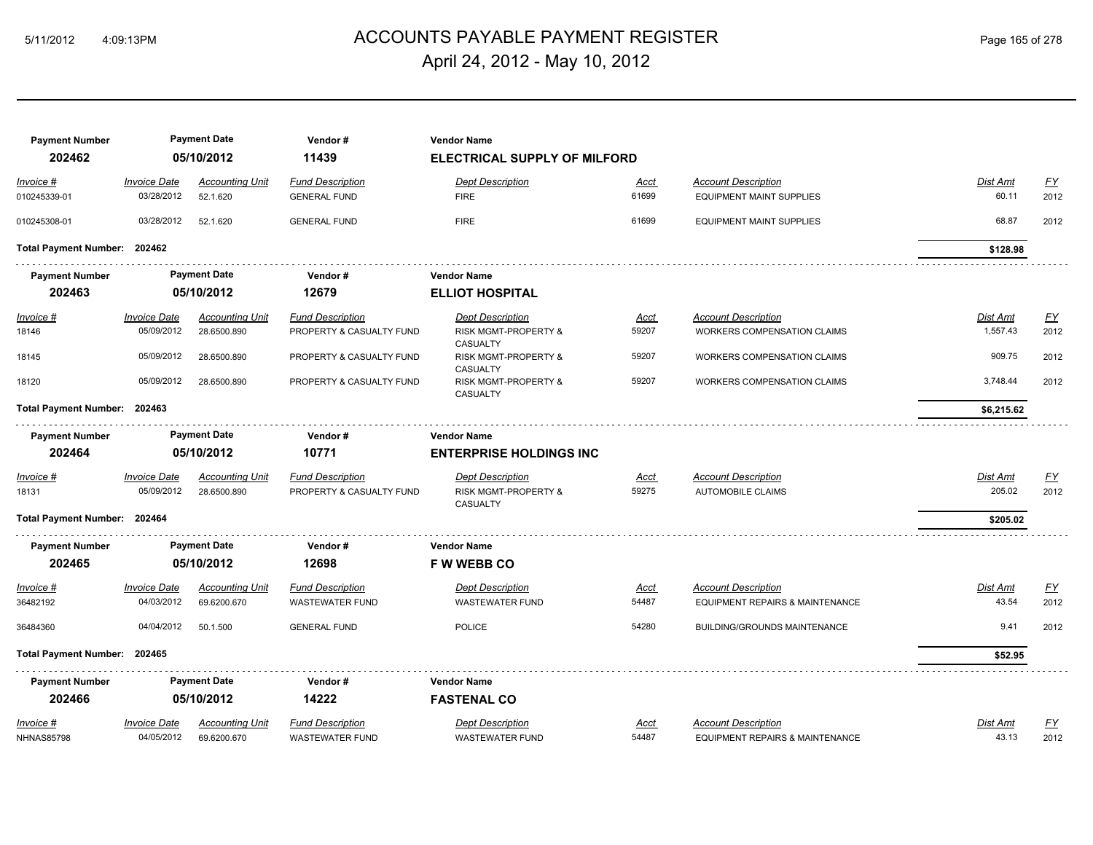# ACCOUNTS PAYABLE PAYMENT REGISTER 5/11/2012 4:09:13PM Page 165 of 278 April 24, 2012 - May 10, 2012

| <b>Payment Number</b><br>202462 |                                   | <b>Payment Date</b><br>05/10/2012  | Vendor#<br>11439         | <b>Vendor Name</b><br><b>ELECTRICAL SUPPLY OF MILFORD</b> |               |                                                               |                   |                   |
|---------------------------------|-----------------------------------|------------------------------------|--------------------------|-----------------------------------------------------------|---------------|---------------------------------------------------------------|-------------------|-------------------|
|                                 |                                   |                                    |                          |                                                           |               |                                                               |                   |                   |
| Invoice #                       | <b>Invoice Date</b><br>03/28/2012 | <b>Accounting Unit</b><br>52.1.620 | <b>Fund Description</b>  | <b>Dept Description</b>                                   | Acct<br>61699 | <b>Account Description</b><br><b>EQUIPMENT MAINT SUPPLIES</b> | Dist Amt<br>60.11 | <u>FY</u><br>2012 |
| 010245339-01                    |                                   |                                    | <b>GENERAL FUND</b>      | <b>FIRE</b>                                               |               |                                                               |                   |                   |
| 010245308-01                    | 03/28/2012                        | 52.1.620                           | <b>GENERAL FUND</b>      | <b>FIRE</b>                                               | 61699         | <b>EQUIPMENT MAINT SUPPLIES</b>                               | 68.87             | 2012              |
| Total Payment Number: 202462    |                                   |                                    |                          |                                                           |               |                                                               | \$128.98          |                   |
| <b>Payment Number</b>           |                                   | <b>Payment Date</b>                | Vendor#                  | <b>Vendor Name</b>                                        |               |                                                               |                   |                   |
| 202463                          |                                   | 05/10/2012                         | 12679                    | <b>ELLIOT HOSPITAL</b>                                    |               |                                                               |                   |                   |
| $Invoice$ #                     | <b>Invoice Date</b>               | <b>Accounting Unit</b>             | <b>Fund Description</b>  | <b>Dept Description</b>                                   | <u>Acct</u>   | <b>Account Description</b>                                    | <b>Dist Amt</b>   | <u>FY</u>         |
| 18146                           | 05/09/2012                        | 28.6500.890                        | PROPERTY & CASUALTY FUND | RISK MGMT-PROPERTY &                                      | 59207         | WORKERS COMPENSATION CLAIMS                                   | 1,557.43          | 2012              |
| 18145                           | 05/09/2012                        | 28.6500.890                        | PROPERTY & CASUALTY FUND | CASUALTY<br>RISK MGMT-PROPERTY &<br>CASUALTY              | 59207         | <b>WORKERS COMPENSATION CLAIMS</b>                            | 909.75            | 2012              |
| 18120                           | 05/09/2012                        | 28.6500.890                        | PROPERTY & CASUALTY FUND | RISK MGMT-PROPERTY &<br>CASUALTY                          | 59207         | <b>WORKERS COMPENSATION CLAIMS</b>                            | 3,748.44          | 2012              |
| Total Payment Number: 202463    |                                   |                                    |                          |                                                           |               |                                                               | \$6,215.62        |                   |
| <b>Payment Number</b>           |                                   | <b>Payment Date</b>                | Vendor#                  | <b>Vendor Name</b>                                        |               |                                                               |                   |                   |
| 202464                          |                                   | 05/10/2012                         | 10771                    | <b>ENTERPRISE HOLDINGS INC</b>                            |               |                                                               |                   |                   |
| Invoice #                       | <b>Invoice Date</b>               | <b>Accounting Unit</b>             | <b>Fund Description</b>  | Dept Description                                          | Acct          | <b>Account Description</b>                                    | <b>Dist Amt</b>   | $\underline{FY}$  |
| 18131                           | 05/09/2012                        | 28.6500.890                        | PROPERTY & CASUALTY FUND | RISK MGMT-PROPERTY &<br>CASUALTY                          | 59275         | <b>AUTOMOBILE CLAIMS</b>                                      | 205.02            | 2012              |
| Total Payment Number: 202464    |                                   |                                    |                          |                                                           |               |                                                               | \$205.02          |                   |
| <b>Payment Number</b>           |                                   | <b>Payment Date</b>                | Vendor#                  | <b>Vendor Name</b>                                        |               |                                                               |                   |                   |
| 202465                          |                                   | 05/10/2012                         | 12698                    | <b>F W WEBB CO</b>                                        |               |                                                               |                   |                   |
| Invoice #                       | <b>Invoice Date</b>               | <b>Accounting Unit</b>             | <b>Fund Description</b>  | <b>Dept Description</b>                                   | Acct          | <b>Account Description</b>                                    | Dist Amt          | EY                |
| 36482192                        | 04/03/2012                        | 69.6200.670                        | <b>WASTEWATER FUND</b>   | <b>WASTEWATER FUND</b>                                    | 54487         | EQUIPMENT REPAIRS & MAINTENANCE                               | 43.54             | 2012              |
| 36484360                        | 04/04/2012                        | 50.1.500                           | <b>GENERAL FUND</b>      | <b>POLICE</b>                                             | 54280         | <b>BUILDING/GROUNDS MAINTENANCE</b>                           | 9.41              | 2012              |
| Total Payment Number:           | 202465                            |                                    |                          |                                                           |               |                                                               | \$52.95           |                   |
| <b>Payment Number</b>           |                                   | <b>Payment Date</b>                | Vendor#                  | <b>Vendor Name</b>                                        |               |                                                               |                   |                   |
| 202466                          |                                   | 05/10/2012                         | 14222                    | <b>FASTENAL CO</b>                                        |               |                                                               |                   |                   |
| Invoice #                       | <b>Invoice Date</b>               | <b>Accounting Unit</b>             | <b>Fund Description</b>  | <b>Dept Description</b>                                   | <u>Acct</u>   | <b>Account Description</b>                                    | Dist Amt          | <u>FY</u>         |
| <b>NHNAS85798</b>               | 04/05/2012                        | 69.6200.670                        | WASTEWATER FUND          | WASTEWATER FUND                                           | 54487         | EQUIPMENT REPAIRS & MAINTENANCE                               | 43.13             | 2012              |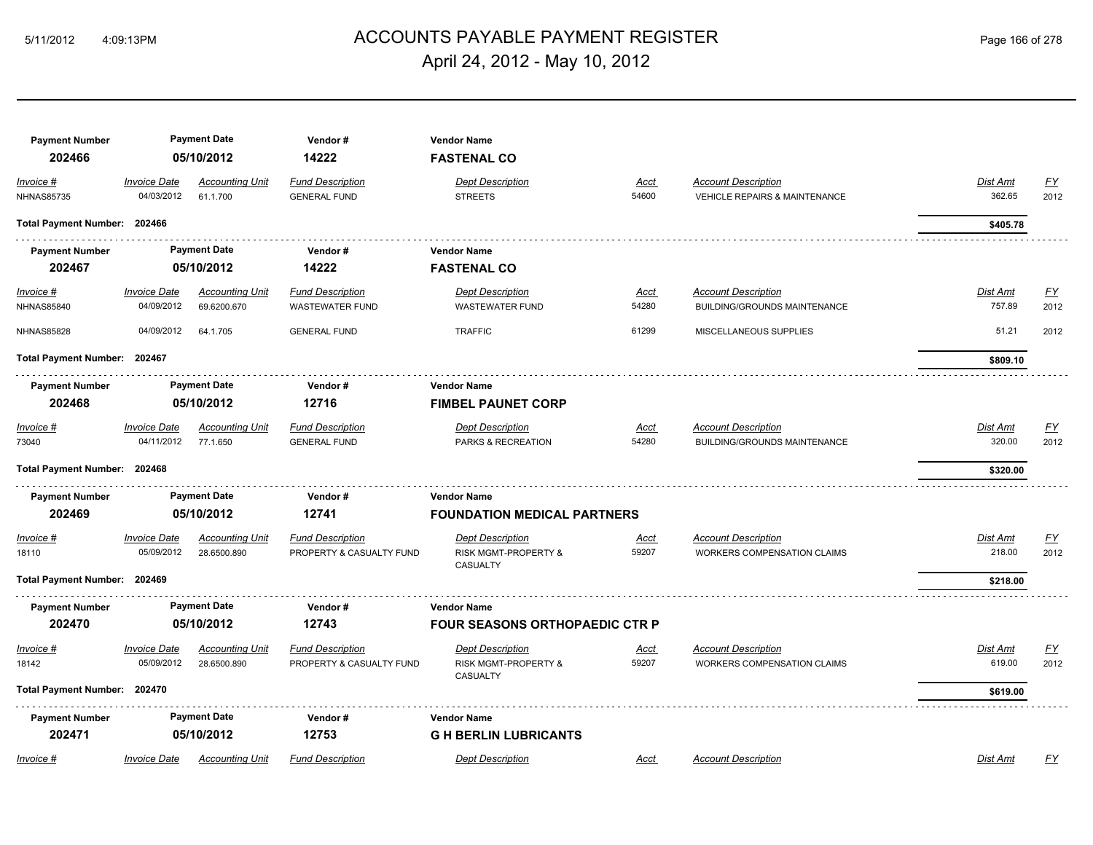## ACCOUNTS PAYABLE PAYMENT REGISTER 5/11/2012 4:09:13PM Page 166 of 278 April 24, 2012 - May 10, 2012

| <b>Payment Number</b><br>202466  |                                   | <b>Payment Date</b><br>05/10/2012     | Vendor#<br>14222                                    | <b>Vendor Name</b><br><b>FASTENAL CO</b>                    |                      |                                                                        |                           |                   |
|----------------------------------|-----------------------------------|---------------------------------------|-----------------------------------------------------|-------------------------------------------------------------|----------------------|------------------------------------------------------------------------|---------------------------|-------------------|
| Invoice #<br><b>NHNAS85735</b>   | <b>Invoice Date</b><br>04/03/2012 | <b>Accounting Unit</b><br>61.1.700    | <b>Fund Description</b><br><b>GENERAL FUND</b>      | <b>Dept Description</b><br><b>STREETS</b>                   | Acct<br>54600        | <b>Account Description</b><br><b>VEHICLE REPAIRS &amp; MAINTENANCE</b> | <b>Dist Amt</b><br>362.65 | <u>FY</u><br>2012 |
| Total Payment Number: 202466     |                                   |                                       |                                                     |                                                             |                      |                                                                        | \$405.78                  |                   |
| <b>Payment Number</b>            |                                   | <b>Payment Date</b>                   | Vendor#                                             | <b>Vendor Name</b>                                          |                      |                                                                        |                           |                   |
| 202467                           |                                   | 05/10/2012                            | 14222                                               | <b>FASTENAL CO</b>                                          |                      |                                                                        |                           |                   |
| $Invoice$ #<br><b>NHNAS85840</b> | <b>Invoice Date</b><br>04/09/2012 | <u>Accounting Unit</u><br>69.6200.670 | <b>Fund Description</b><br><b>WASTEWATER FUND</b>   | <b>Dept Description</b><br><b>WASTEWATER FUND</b>           | <u>Acct</u><br>54280 | <b>Account Description</b><br><b>BUILDING/GROUNDS MAINTENANCE</b>      | <u>Dist Amt</u><br>757.89 | <u>FY</u><br>2012 |
| <b>NHNAS85828</b>                | 04/09/2012                        | 64.1.705                              | <b>GENERAL FUND</b>                                 | <b>TRAFFIC</b>                                              | 61299                | MISCELLANEOUS SUPPLIES                                                 | 51.21                     | 2012              |
| Total Payment Number: 202467     |                                   |                                       |                                                     |                                                             |                      |                                                                        | \$809.10                  |                   |
| <b>Payment Number</b>            |                                   | <b>Payment Date</b>                   | Vendor#                                             | <b>Vendor Name</b>                                          |                      |                                                                        |                           |                   |
| 202468                           |                                   | 05/10/2012                            | 12716                                               | <b>FIMBEL PAUNET CORP</b>                                   |                      |                                                                        |                           |                   |
| Invoice #<br>73040               | <b>Invoice Date</b><br>04/11/2012 | <b>Accounting Unit</b><br>77.1.650    | <b>Fund Description</b><br><b>GENERAL FUND</b>      | <b>Dept Description</b><br>PARKS & RECREATION               | <u>Acct</u><br>54280 | <b>Account Description</b><br><b>BUILDING/GROUNDS MAINTENANCE</b>      | Dist Amt<br>320.00        | <u>FY</u><br>2012 |
| Total Payment Number: 202468     |                                   |                                       |                                                     |                                                             |                      |                                                                        | \$320.00                  |                   |
| <b>Payment Number</b>            |                                   | <b>Payment Date</b>                   | Vendor#                                             | <b>Vendor Name</b>                                          |                      |                                                                        |                           |                   |
| 202469                           |                                   | 05/10/2012                            | 12741                                               | <b>FOUNDATION MEDICAL PARTNERS</b>                          |                      |                                                                        |                           |                   |
| Invoice #<br>18110               | <b>Invoice Date</b><br>05/09/2012 | <b>Accounting Unit</b><br>28.6500.890 | <b>Fund Description</b><br>PROPERTY & CASUALTY FUND | <b>Dept Description</b><br>RISK MGMT-PROPERTY &<br>CASUALTY | Acct<br>59207        | <b>Account Description</b><br><b>WORKERS COMPENSATION CLAIMS</b>       | Dist Amt<br>218.00        | <u>FY</u><br>2012 |
| Total Payment Number: 202469     |                                   |                                       |                                                     |                                                             |                      |                                                                        | \$218.00                  |                   |
| <b>Payment Number</b>            |                                   | <b>Payment Date</b>                   | Vendor#                                             | <b>Vendor Name</b>                                          |                      |                                                                        |                           |                   |
| 202470                           |                                   | 05/10/2012                            | 12743                                               | <b>FOUR SEASONS ORTHOPAEDIC CTR P</b>                       |                      |                                                                        |                           |                   |
| Invoice #<br>18142               | <b>Invoice Date</b><br>05/09/2012 | <b>Accounting Unit</b><br>28.6500.890 | <b>Fund Description</b><br>PROPERTY & CASUALTY FUND | <b>Dept Description</b><br>RISK MGMT-PROPERTY &<br>CASUALTY | Acct<br>59207        | <b>Account Description</b><br><b>WORKERS COMPENSATION CLAIMS</b>       | Dist Amt<br>619.00        | <u>FY</u><br>2012 |
| Total Payment Number: 202470     |                                   |                                       |                                                     |                                                             |                      |                                                                        | \$619.00                  |                   |
| <b>Payment Number</b>            |                                   | <b>Payment Date</b>                   | Vendor#                                             | <b>Vendor Name</b>                                          |                      |                                                                        |                           |                   |
| 202471                           |                                   | 05/10/2012                            | 12753                                               | <b>GH BERLIN LUBRICANTS</b>                                 |                      |                                                                        |                           |                   |
| Invoice #                        | <b>Invoice Date</b>               | <b>Accounting Unit</b>                | <b>Fund Description</b>                             | <b>Dept Description</b>                                     | Acct                 | <b>Account Description</b>                                             | Dist Amt                  | FY                |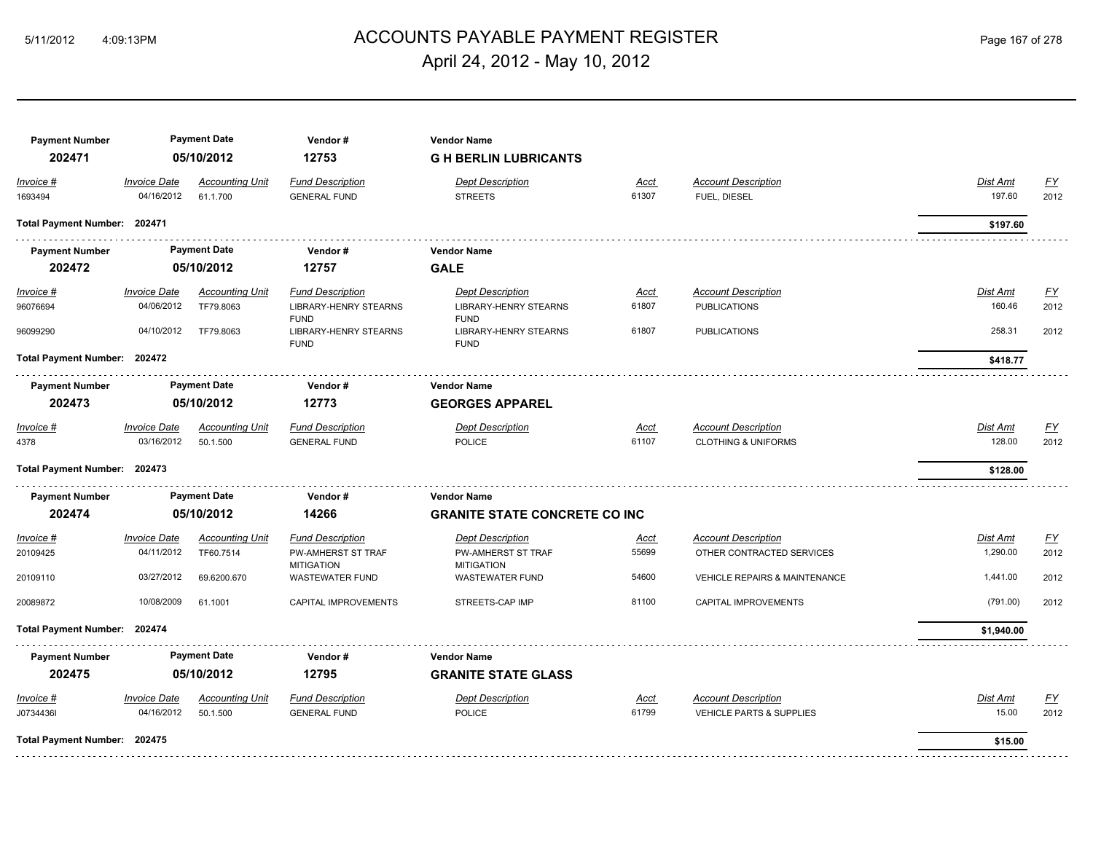# ACCOUNTS PAYABLE PAYMENT REGISTER 5/11/2012 4:09:13PM Page 167 of 278 April 24, 2012 - May 10, 2012

| <b>Payment Number</b><br>202471 |                                   | <b>Payment Date</b><br>05/10/2012   | Vendor#<br>12753                                                       | <b>Vendor Name</b><br><b>G H BERLIN LUBRICANTS</b>                     |                      |                                                              |                           |                   |
|---------------------------------|-----------------------------------|-------------------------------------|------------------------------------------------------------------------|------------------------------------------------------------------------|----------------------|--------------------------------------------------------------|---------------------------|-------------------|
| Invoice #                       | <b>Invoice Date</b>               | <b>Accounting Unit</b>              | <b>Fund Description</b>                                                | <b>Dept Description</b>                                                | Acct                 | <b>Account Description</b>                                   | <b>Dist Amt</b>           | <u>FY</u>         |
| 1693494                         | 04/16/2012                        | 61.1.700                            | <b>GENERAL FUND</b>                                                    | <b>STREETS</b>                                                         | 61307                | FUEL, DIESEL                                                 | 197.60                    | 2012              |
| Total Payment Number: 202471    |                                   |                                     |                                                                        |                                                                        |                      |                                                              | \$197.60                  |                   |
| <b>Payment Number</b>           |                                   | <b>Payment Date</b>                 | Vendor#                                                                | <b>Vendor Name</b>                                                     |                      |                                                              |                           |                   |
| 202472                          |                                   | 05/10/2012                          | 12757                                                                  | <b>GALE</b>                                                            |                      |                                                              |                           |                   |
| Invoice #<br>96076694           | <b>Invoice Date</b><br>04/06/2012 | <b>Accounting Unit</b><br>TF79.8063 | <b>Fund Description</b><br><b>LIBRARY-HENRY STEARNS</b><br><b>FUND</b> | <b>Dept Description</b><br><b>LIBRARY-HENRY STEARNS</b><br><b>FUND</b> | <u>Acct</u><br>61807 | <b>Account Description</b><br><b>PUBLICATIONS</b>            | <b>Dist Amt</b><br>160.46 | <u>FY</u><br>2012 |
| 96099290                        | 04/10/2012                        | TF79.8063                           | LIBRARY-HENRY STEARNS<br><b>FUND</b>                                   | LIBRARY-HENRY STEARNS<br><b>FUND</b>                                   | 61807                | <b>PUBLICATIONS</b>                                          | 258.31                    | 2012              |
| Total Payment Number: 202472    |                                   |                                     |                                                                        |                                                                        |                      |                                                              | \$418.77                  |                   |
| <b>Payment Number</b>           |                                   | <b>Payment Date</b>                 | Vendor#                                                                | <b>Vendor Name</b>                                                     |                      |                                                              |                           |                   |
| 202473                          | 05/10/2012<br>12773               |                                     | <b>GEORGES APPAREL</b>                                                 |                                                                        |                      |                                                              |                           |                   |
| Invoice #<br>4378               | <b>Invoice Date</b><br>03/16/2012 | <b>Accounting Unit</b><br>50.1.500  | <b>Fund Description</b><br><b>GENERAL FUND</b>                         | <b>Dept Description</b><br><b>POLICE</b>                               | Acct<br>61107        | <b>Account Description</b><br><b>CLOTHING &amp; UNIFORMS</b> | Dist Amt<br>128.00        | <u>FY</u><br>2012 |
| Total Payment Number: 202473    |                                   |                                     |                                                                        |                                                                        |                      |                                                              | \$128.00                  |                   |
| <b>Payment Number</b>           |                                   | <b>Payment Date</b>                 | Vendor#                                                                | <b>Vendor Name</b>                                                     |                      |                                                              |                           |                   |
| 202474                          |                                   | 05/10/2012                          | 14266                                                                  | <b>GRANITE STATE CONCRETE CO INC</b>                                   |                      |                                                              |                           |                   |
| Invoice #                       | <b>Invoice Date</b>               | <b>Accounting Unit</b>              | <b>Fund Description</b>                                                | <b>Dept Description</b>                                                | Acct                 | <b>Account Description</b>                                   | Dist Amt                  | $\underline{FY}$  |
| 20109425                        | 04/11/2012                        | TF60.7514                           | PW-AMHERST ST TRAF<br><b>MITIGATION</b>                                | PW-AMHERST ST TRAF<br><b>MITIGATION</b>                                | 55699                | OTHER CONTRACTED SERVICES                                    | 1,290.00                  | 2012              |
| 20109110                        | 03/27/2012                        | 69.6200.670                         | <b>WASTEWATER FUND</b>                                                 | <b>WASTEWATER FUND</b>                                                 | 54600                | <b>VEHICLE REPAIRS &amp; MAINTENANCE</b>                     | 1,441.00                  | 2012              |
| 20089872                        | 10/08/2009                        | 61.1001                             | CAPITAL IMPROVEMENTS                                                   | STREETS-CAP IMP                                                        | 81100                | CAPITAL IMPROVEMENTS                                         | (791.00)                  | 2012              |
| Total Payment Number: 202474    |                                   |                                     |                                                                        |                                                                        |                      |                                                              | \$1,940.00                |                   |
| <b>Payment Number</b>           |                                   | <b>Payment Date</b>                 | Vendor#                                                                | <b>Vendor Name</b>                                                     |                      |                                                              |                           |                   |
| 202475                          |                                   | 05/10/2012                          | 12795                                                                  | <b>GRANITE STATE GLASS</b>                                             |                      |                                                              |                           |                   |
| Invoice #                       | <b>Invoice Date</b>               | <b>Accounting Unit</b>              | <b>Fund Description</b>                                                | <b>Dept Description</b>                                                | Acct                 | <b>Account Description</b>                                   | <b>Dist Amt</b>           | EY                |
| J0734436I                       | 04/16/2012                        | 50.1.500                            | <b>GENERAL FUND</b>                                                    | <b>POLICE</b>                                                          | 61799                | <b>VEHICLE PARTS &amp; SUPPLIES</b>                          | 15.00                     | 2012              |
| Total Payment Number: 202475    |                                   |                                     |                                                                        |                                                                        |                      |                                                              | \$15.00                   |                   |
|                                 |                                   |                                     |                                                                        |                                                                        |                      |                                                              |                           |                   |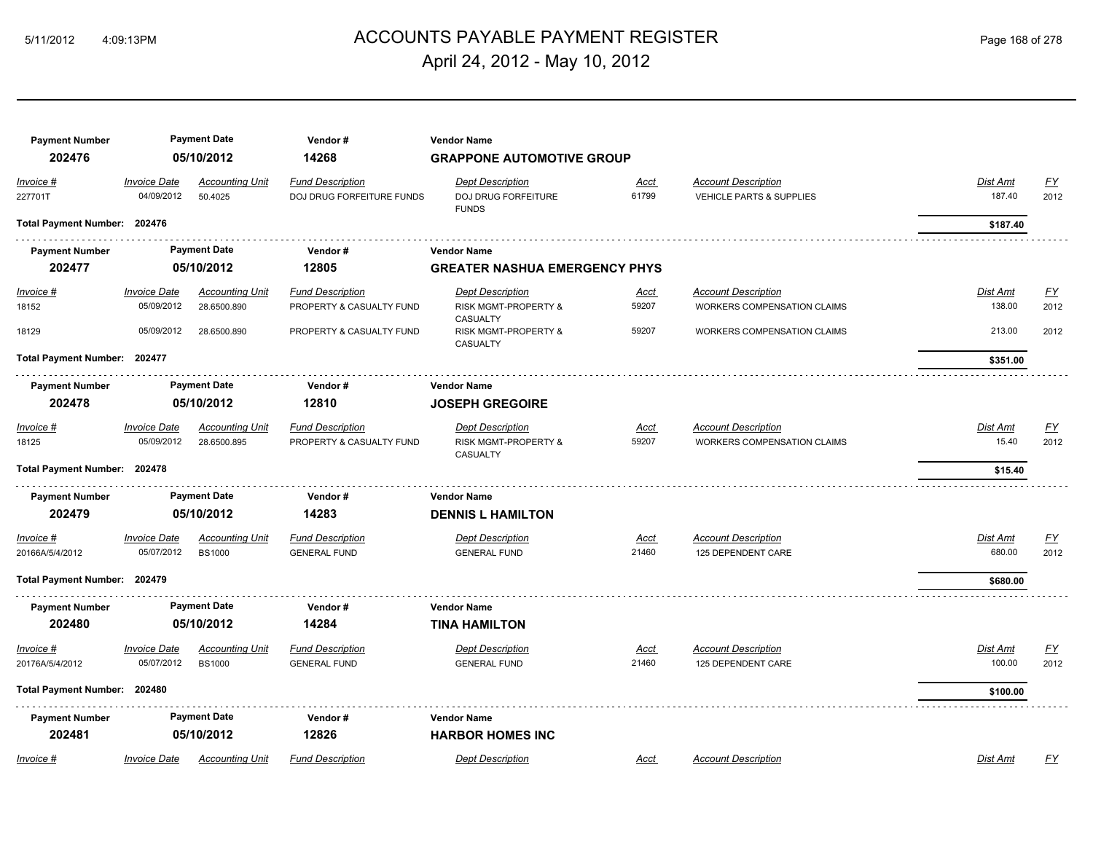## ACCOUNTS PAYABLE PAYMENT REGISTER 5/11/2012 4:09:13PM Page 168 of 278 April 24, 2012 - May 10, 2012

| <b>Payment Number</b><br>202476 |                                   | <b>Payment Date</b><br>05/10/2012       | Vendor#<br>14268                                     | <b>Vendor Name</b><br><b>GRAPPONE AUTOMOTIVE GROUP</b>         |                      |                                                                   |                    |                          |
|---------------------------------|-----------------------------------|-----------------------------------------|------------------------------------------------------|----------------------------------------------------------------|----------------------|-------------------------------------------------------------------|--------------------|--------------------------|
| Invoice #<br>227701T            | <b>Invoice Date</b><br>04/09/2012 | <b>Accounting Unit</b><br>50.4025       | <b>Fund Description</b><br>DOJ DRUG FORFEITURE FUNDS | <b>Dept Description</b><br>DOJ DRUG FORFEITURE<br><b>FUNDS</b> | Acct<br>61799        | <b>Account Description</b><br><b>VEHICLE PARTS &amp; SUPPLIES</b> | Dist Amt<br>187.40 | <u>FY</u><br>2012        |
| Total Payment Number: 202476    |                                   |                                         |                                                      |                                                                |                      |                                                                   | \$187.40           |                          |
| <b>Payment Number</b>           |                                   | <b>Payment Date</b>                     | Vendor#                                              | <b>Vendor Name</b>                                             |                      |                                                                   |                    |                          |
| 202477                          |                                   | 05/10/2012                              | 12805                                                | <b>GREATER NASHUA EMERGENCY PHYS</b>                           |                      |                                                                   |                    |                          |
| $Invoice$ #                     | <b>Invoice Date</b>               | <b>Accounting Unit</b>                  | <b>Fund Description</b>                              | <b>Dept Description</b>                                        | <u>Acct</u>          | <b>Account Description</b>                                        | <b>Dist Amt</b>    | <u>FY</u>                |
| 18152                           | 05/09/2012                        | 28.6500.890                             | PROPERTY & CASUALTY FUND                             | RISK MGMT-PROPERTY &<br>CASUALTY                               | 59207                | WORKERS COMPENSATION CLAIMS                                       | 138.00             | 2012                     |
| 18129                           | 05/09/2012                        | 28.6500.890                             | PROPERTY & CASUALTY FUND                             | <b>RISK MGMT-PROPERTY &amp;</b><br><b>CASUALTY</b>             | 59207                | <b>WORKERS COMPENSATION CLAIMS</b>                                | 213.00             | 2012                     |
| Total Payment Number: 202477    |                                   |                                         |                                                      |                                                                |                      |                                                                   | \$351.00           |                          |
| <b>Payment Number</b>           |                                   | <b>Payment Date</b>                     | Vendor#                                              | <b>Vendor Name</b>                                             |                      |                                                                   |                    |                          |
| 202478                          |                                   | 05/10/2012                              | 12810                                                | <b>JOSEPH GREGOIRE</b>                                         |                      |                                                                   |                    |                          |
| Invoice #<br>18125              | <b>Invoice Date</b><br>05/09/2012 | <b>Accounting Unit</b><br>28.6500.895   | <b>Fund Description</b><br>PROPERTY & CASUALTY FUND  | <b>Dept Description</b><br>RISK MGMT-PROPERTY &<br>CASUALTY    | <u>Acct</u><br>59207 | <b>Account Description</b><br><b>WORKERS COMPENSATION CLAIMS</b>  | Dist Amt<br>15.40  | <u>FY</u><br>2012        |
| Total Payment Number: 202478    |                                   |                                         |                                                      |                                                                |                      |                                                                   | \$15.40            |                          |
| <b>Payment Number</b>           |                                   | <b>Payment Date</b>                     | Vendor#                                              | <b>Vendor Name</b>                                             |                      |                                                                   |                    |                          |
| 202479                          |                                   | 05/10/2012                              | 14283                                                | <b>DENNIS L HAMILTON</b>                                       |                      |                                                                   |                    |                          |
| Invoice #<br>20166A/5/4/2012    | <b>Invoice Date</b><br>05/07/2012 | <b>Accounting Unit</b><br><b>BS1000</b> | <b>Fund Description</b><br><b>GENERAL FUND</b>       | <b>Dept Description</b><br><b>GENERAL FUND</b>                 | Acct<br>21460        | <b>Account Description</b><br>125 DEPENDENT CARE                  | Dist Amt<br>680.00 | <u>FY</u><br>2012        |
| Total Payment Number: 202479    |                                   |                                         |                                                      |                                                                |                      |                                                                   | \$680.00           |                          |
| <b>Payment Number</b>           |                                   | <b>Payment Date</b>                     | Vendor#                                              | <b>Vendor Name</b>                                             |                      |                                                                   |                    |                          |
| 202480                          |                                   | 05/10/2012                              | 14284                                                | <b>TINA HAMILTON</b>                                           |                      |                                                                   |                    |                          |
| $Invoice$ #<br>20176A/5/4/2012  | <b>Invoice Date</b><br>05/07/2012 | <b>Accounting Unit</b><br><b>BS1000</b> | <b>Fund Description</b><br><b>GENERAL FUND</b>       | <b>Dept Description</b><br><b>GENERAL FUND</b>                 | <u>Acct</u><br>21460 | <b>Account Description</b><br>125 DEPENDENT CARE                  | Dist Amt<br>100.00 | $\underline{FY}$<br>2012 |
| Total Payment Number: 202480    |                                   |                                         |                                                      |                                                                |                      |                                                                   | \$100.00           |                          |
| <b>Payment Number</b>           |                                   | <b>Payment Date</b>                     | Vendor#                                              | <b>Vendor Name</b>                                             |                      |                                                                   |                    |                          |
| 202481                          |                                   | 05/10/2012                              | 12826                                                | <b>HARBOR HOMES INC</b>                                        |                      |                                                                   |                    |                          |
| Invoice #                       | <b>Invoice Date</b>               | <b>Accounting Unit</b>                  | <b>Fund Description</b>                              | <b>Dept Description</b>                                        | Acct                 | <b>Account Description</b>                                        | Dist Amt           | EY                       |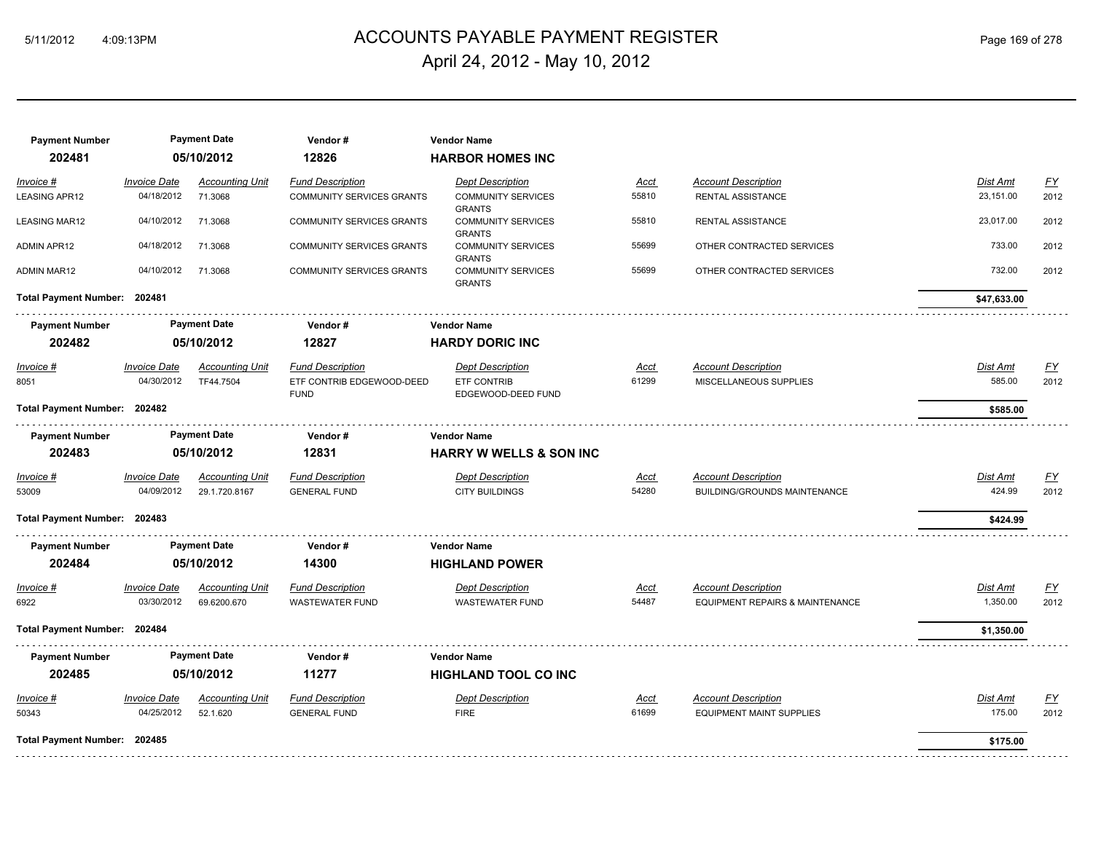# ACCOUNTS PAYABLE PAYMENT REGISTER 5/11/2012 4:09:13PM Page 169 of 278 April 24, 2012 - May 10, 2012

| <b>Payment Number</b>        |                     | <b>Payment Date</b>    | Vendor#                                  | <b>Vendor Name</b>                         |       |                                            |                 |                  |
|------------------------------|---------------------|------------------------|------------------------------------------|--------------------------------------------|-------|--------------------------------------------|-----------------|------------------|
| 202481                       |                     | 05/10/2012             | 12826                                    | <b>HARBOR HOMES INC</b>                    |       |                                            |                 |                  |
| Invoice #                    | <b>Invoice Date</b> | <b>Accounting Unit</b> | <b>Fund Description</b>                  | <b>Dept Description</b>                    | Acct  | <b>Account Description</b>                 | Dist Amt        | EY               |
| LEASING APR12                | 04/18/2012          | 71.3068                | <b>COMMUNITY SERVICES GRANTS</b>         | <b>COMMUNITY SERVICES</b><br><b>GRANTS</b> | 55810 | <b>RENTAL ASSISTANCE</b>                   | 23,151.00       | 2012             |
| <b>LEASING MAR12</b>         | 04/10/2012          | 71.3068                | COMMUNITY SERVICES GRANTS                | <b>COMMUNITY SERVICES</b><br><b>GRANTS</b> | 55810 | RENTAL ASSISTANCE                          | 23,017.00       | 2012             |
| <b>ADMIN APR12</b>           | 04/18/2012          | 71.3068                | COMMUNITY SERVICES GRANTS                | <b>COMMUNITY SERVICES</b><br><b>GRANTS</b> | 55699 | OTHER CONTRACTED SERVICES                  | 733.00          | 2012             |
| <b>ADMIN MAR12</b>           | 04/10/2012          | 71.3068                | <b>COMMUNITY SERVICES GRANTS</b>         | <b>COMMUNITY SERVICES</b><br><b>GRANTS</b> | 55699 | OTHER CONTRACTED SERVICES                  | 732.00          | 2012             |
| Total Payment Number: 202481 |                     |                        |                                          |                                            |       |                                            | \$47,633.00     |                  |
| <b>Payment Number</b>        |                     | <b>Payment Date</b>    | Vendor#                                  | <b>Vendor Name</b>                         |       |                                            |                 |                  |
| 202482                       |                     | 05/10/2012             | 12827                                    | <b>HARDY DORIC INC</b>                     |       |                                            |                 |                  |
| Invoice #                    | <b>Invoice Date</b> | <b>Accounting Unit</b> | <b>Fund Description</b>                  | <b>Dept Description</b>                    | Acct  | <b>Account Description</b>                 | <b>Dist Amt</b> | <u>FY</u>        |
| 8051                         | 04/30/2012          | TF44.7504              | ETF CONTRIB EDGEWOOD-DEED<br><b>FUND</b> | <b>ETF CONTRIB</b><br>EDGEWOOD-DEED FUND   | 61299 | MISCELLANEOUS SUPPLIES                     | 585.00          | 2012             |
| Total Payment Number: 202482 |                     |                        |                                          |                                            |       |                                            | \$585.00        |                  |
| <b>Payment Number</b>        |                     | <b>Payment Date</b>    | Vendor#                                  | <b>Vendor Name</b>                         |       |                                            |                 |                  |
| 202483                       |                     | 05/10/2012             | 12831                                    | <b>HARRY W WELLS &amp; SON INC</b>         |       |                                            |                 |                  |
| Invoice #                    | <b>Invoice Date</b> | <b>Accounting Unit</b> | <b>Fund Description</b>                  | <b>Dept Description</b>                    | Acct  | <b>Account Description</b>                 | Dist Amt        | EY               |
| 53009                        | 04/09/2012          | 29.1.720.8167          | <b>GENERAL FUND</b>                      | <b>CITY BUILDINGS</b>                      | 54280 | BUILDING/GROUNDS MAINTENANCE               | 424.99          | 2012             |
| Total Payment Number: 202483 |                     |                        |                                          |                                            |       |                                            | \$424.99        |                  |
| <b>Payment Number</b>        |                     | <b>Payment Date</b>    | Vendor#                                  | <b>Vendor Name</b>                         |       |                                            |                 |                  |
| 202484                       |                     | 05/10/2012             | 14300                                    | <b>HIGHLAND POWER</b>                      |       |                                            |                 |                  |
| Invoice #                    | <b>Invoice Date</b> | <b>Accounting Unit</b> | <b>Fund Description</b>                  | <b>Dept Description</b>                    | Acct  | <b>Account Description</b>                 | Dist Amt        | $\underline{FY}$ |
| 6922                         | 03/30/2012          | 69.6200.670            | <b>WASTEWATER FUND</b>                   | <b>WASTEWATER FUND</b>                     | 54487 | <b>EQUIPMENT REPAIRS &amp; MAINTENANCE</b> | 1,350.00        | 2012             |
| Total Payment Number: 202484 |                     |                        |                                          |                                            |       |                                            | \$1,350.00      |                  |
| <b>Payment Number</b>        |                     | <b>Payment Date</b>    | Vendor#                                  | <b>Vendor Name</b>                         |       |                                            |                 |                  |
| 202485                       |                     | 05/10/2012             | 11277                                    | <b>HIGHLAND TOOL CO INC</b>                |       |                                            |                 |                  |
| Invoice #                    | <b>Invoice Date</b> | <b>Accounting Unit</b> | <b>Fund Description</b>                  | <b>Dept Description</b>                    | Acct  | <b>Account Description</b>                 | Dist Amt        | <u>FY</u>        |
| 50343                        | 04/25/2012          | 52.1.620               | <b>GENERAL FUND</b>                      | <b>FIRE</b>                                | 61699 | <b>EQUIPMENT MAINT SUPPLIES</b>            | 175.00          | 2012             |
| Total Payment Number: 202485 |                     |                        |                                          |                                            |       |                                            | \$175.00        |                  |
|                              |                     |                        |                                          |                                            |       |                                            |                 |                  |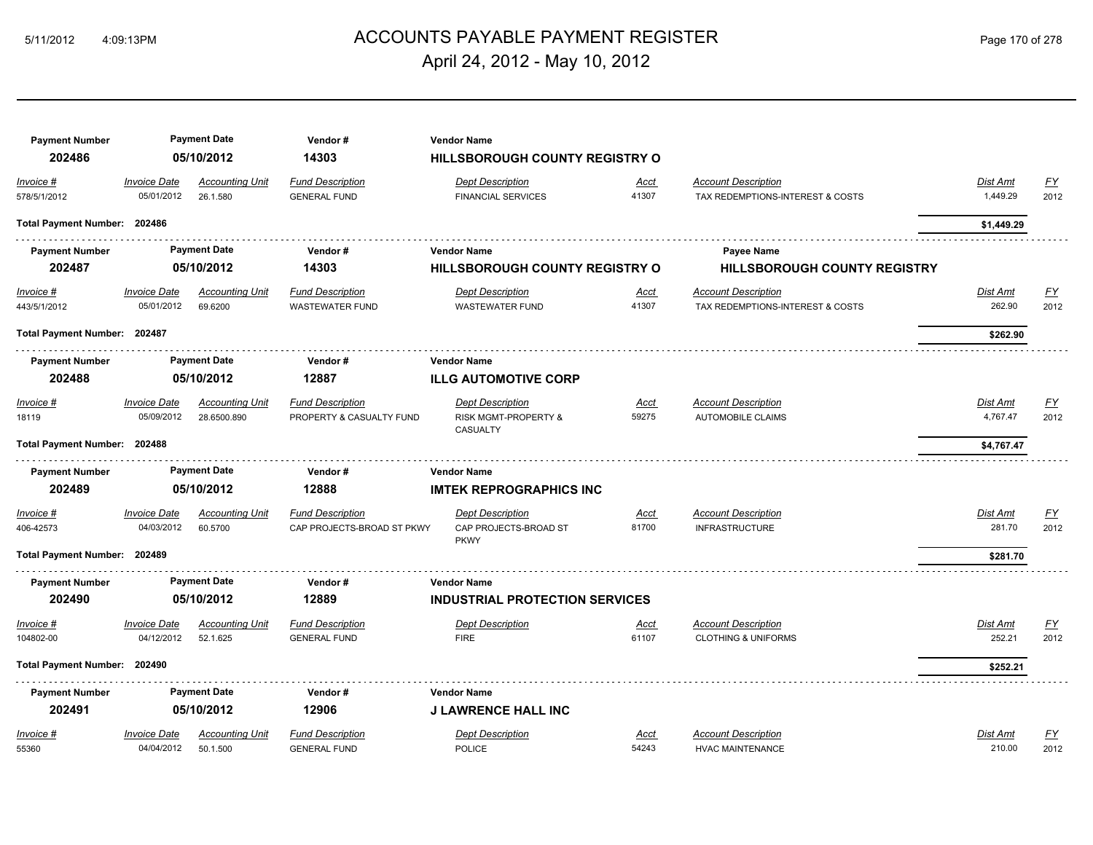# ACCOUNTS PAYABLE PAYMENT REGISTER 5/11/2012 4:09:13PM Page 170 of 278 April 24, 2012 - May 10, 2012

| <b>Payment Number</b>            |                                   | <b>Payment Date</b>                   | Vendor#                                             | <b>Vendor Name</b>                                          |                      |                                                                |                             |                          |
|----------------------------------|-----------------------------------|---------------------------------------|-----------------------------------------------------|-------------------------------------------------------------|----------------------|----------------------------------------------------------------|-----------------------------|--------------------------|
| 202486                           |                                   | 05/10/2012                            | 14303                                               | HILLSBOROUGH COUNTY REGISTRY O                              |                      |                                                                |                             |                          |
| Invoice #<br>578/5/1/2012        | <b>Invoice Date</b><br>05/01/2012 | <b>Accounting Unit</b><br>26.1.580    | <b>Fund Description</b><br><b>GENERAL FUND</b>      | <b>Dept Description</b><br><b>FINANCIAL SERVICES</b>        | Acct<br>41307        | <b>Account Description</b><br>TAX REDEMPTIONS-INTEREST & COSTS | Dist Amt<br>1,449.29        | $\underline{FY}$<br>2012 |
| Total Payment Number: 202486     |                                   |                                       |                                                     |                                                             |                      |                                                                | \$1,449.29                  |                          |
| <b>Payment Number</b>            |                                   | <b>Payment Date</b>                   | Vendor#                                             | <b>Vendor Name</b>                                          |                      | <b>Payee Name</b>                                              |                             |                          |
| 202487                           |                                   | 05/10/2012                            | 14303                                               | <b>HILLSBOROUGH COUNTY REGISTRY O</b>                       |                      | <b>HILLSBOROUGH COUNTY REGISTRY</b>                            |                             |                          |
| <u>Invoice #</u><br>443/5/1/2012 | <b>Invoice Date</b><br>05/01/2012 | <b>Accounting Unit</b><br>69.6200     | <b>Fund Description</b><br><b>WASTEWATER FUND</b>   | <b>Dept Description</b><br><b>WASTEWATER FUND</b>           | <u>Acct</u><br>41307 | <b>Account Description</b><br>TAX REDEMPTIONS-INTEREST & COSTS | <b>Dist Amt</b><br>262.90   | <u>FY</u><br>2012        |
| Total Payment Number: 202487     |                                   |                                       |                                                     |                                                             |                      |                                                                | \$262.90                    |                          |
| <b>Payment Number</b>            |                                   | <b>Payment Date</b>                   | Vendor#                                             | <b>Vendor Name</b>                                          |                      |                                                                |                             |                          |
| 202488                           |                                   | 05/10/2012                            | 12887                                               | <b>ILLG AUTOMOTIVE CORP</b>                                 |                      |                                                                |                             |                          |
| <u> Invoice #</u><br>18119       | <b>Invoice Date</b><br>05/09/2012 | <b>Accounting Unit</b><br>28.6500.890 | <b>Fund Description</b><br>PROPERTY & CASUALTY FUND | <b>Dept Description</b><br>RISK MGMT-PROPERTY &<br>CASUALTY | <u>Acct</u><br>59275 | <b>Account Description</b><br><b>AUTOMOBILE CLAIMS</b>         | <b>Dist Amt</b><br>4,767.47 | <u>FY</u><br>2012        |
| Total Payment Number: 202488     |                                   |                                       |                                                     |                                                             |                      |                                                                | \$4,767.47                  |                          |
| <b>Payment Number</b>            |                                   | <b>Payment Date</b>                   | Vendor#                                             | <b>Vendor Name</b>                                          |                      |                                                                |                             |                          |
| 202489                           |                                   | 05/10/2012                            | 12888                                               | <b>IMTEK REPROGRAPHICS INC</b>                              |                      |                                                                |                             |                          |
| <u> Invoice #</u>                | <b>Invoice Date</b>               | <b>Accounting Unit</b>                | <b>Fund Description</b>                             | <b>Dept Description</b>                                     | <u>Acct</u>          | <b>Account Description</b>                                     | Dist Amt                    | <u>FY</u>                |
| 406-42573                        | 04/03/2012                        | 60.5700                               | CAP PROJECTS-BROAD ST PKWY                          | CAP PROJECTS-BROAD ST<br><b>PKWY</b>                        | 81700                | <b>INFRASTRUCTURE</b>                                          | 281.70                      | 2012                     |
| Total Payment Number: 202489     |                                   |                                       |                                                     |                                                             |                      |                                                                | \$281.70                    |                          |
| <b>Payment Number</b>            |                                   | <b>Payment Date</b>                   | Vendor#                                             | <b>Vendor Name</b>                                          |                      |                                                                |                             |                          |
| 202490                           |                                   | 05/10/2012                            | 12889                                               | <b>INDUSTRIAL PROTECTION SERVICES</b>                       |                      |                                                                |                             |                          |
| <u> Invoice #</u>                | <b>Invoice Date</b>               | <b>Accounting Unit</b>                | <b>Fund Description</b>                             | <b>Dept Description</b>                                     | <u>Acct</u>          | <b>Account Description</b>                                     | Dist Amt                    | <u>FY</u>                |
| 104802-00                        | 04/12/2012                        | 52.1.625                              | <b>GENERAL FUND</b>                                 | <b>FIRE</b>                                                 | 61107                | <b>CLOTHING &amp; UNIFORMS</b>                                 | 252.21                      | 2012                     |
| Total Payment Number: 202490     |                                   |                                       |                                                     |                                                             |                      |                                                                | \$252.21                    |                          |
| <b>Payment Number</b>            |                                   | <b>Payment Date</b>                   | Vendor#                                             | <b>Vendor Name</b>                                          |                      |                                                                |                             |                          |
| 202491                           |                                   | 05/10/2012                            | 12906                                               | <b>J LAWRENCE HALL INC</b>                                  |                      |                                                                |                             |                          |
| Invoice #                        | <b>Invoice Date</b>               | <b>Accounting Unit</b>                | <b>Fund Description</b>                             | <b>Dept Description</b>                                     | <u>Acct</u>          | <b>Account Description</b>                                     | Dist Amt                    | <u>FY</u>                |
| 55360                            | 04/04/2012                        | 50.1.500                              | <b>GENERAL FUND</b>                                 | POLICE                                                      | 54243                | <b>HVAC MAINTENANCE</b>                                        | 210.00                      | 2012                     |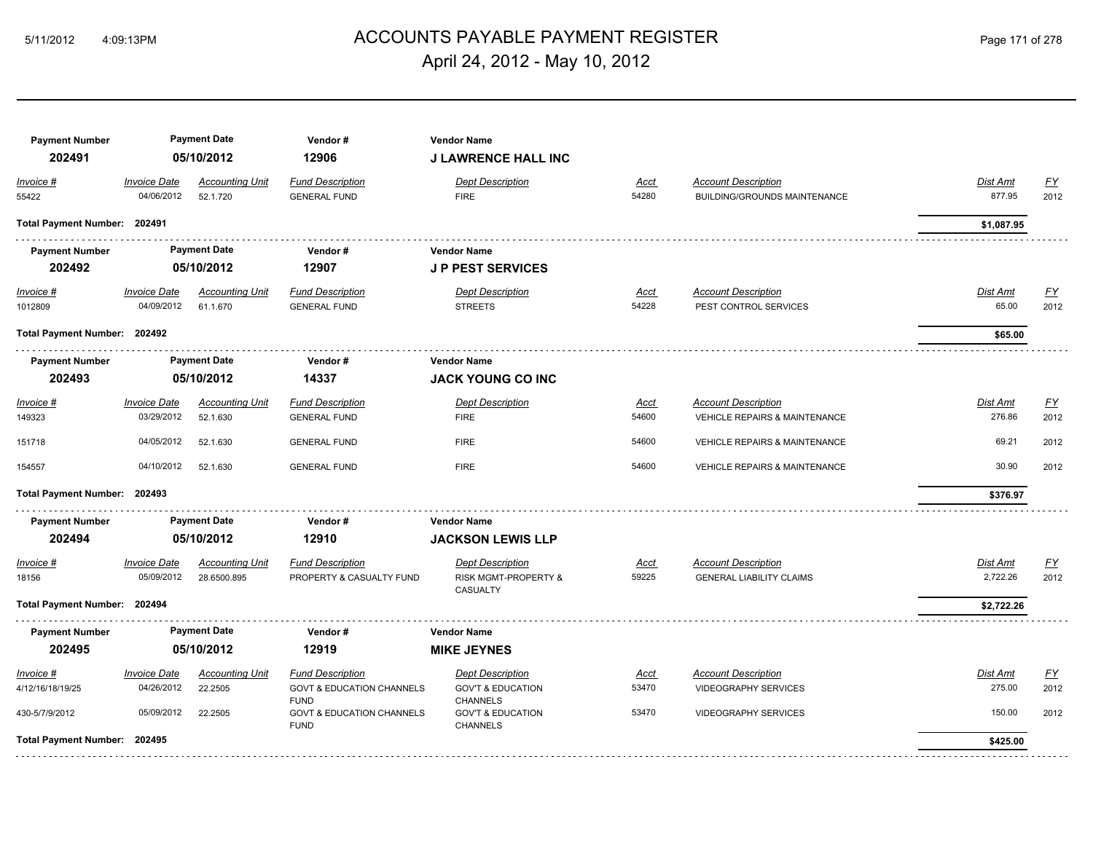# ACCOUNTS PAYABLE PAYMENT REGISTER 5/11/2012 4:09:13PM Page 171 of 278 April 24, 2012 - May 10, 2012

| <b>Payment Number</b><br>202491 |                                   | <b>Payment Date</b><br>05/10/2012  | Vendor#<br>12906                                    | <b>Vendor Name</b><br><b>J LAWRENCE HALL INC</b> |                      |                                                                   |                          |                          |
|---------------------------------|-----------------------------------|------------------------------------|-----------------------------------------------------|--------------------------------------------------|----------------------|-------------------------------------------------------------------|--------------------------|--------------------------|
| Invoice #<br>55422              | <b>Invoice Date</b><br>04/06/2012 | <b>Accounting Unit</b><br>52.1.720 | <b>Fund Description</b><br><b>GENERAL FUND</b>      | <b>Dept Description</b><br><b>FIRE</b>           | Acct<br>54280        | <b>Account Description</b><br><b>BUILDING/GROUNDS MAINTENANCE</b> | Dist Amt<br>877.95       | <u>FY</u><br>2012        |
| Total Payment Number: 202491    |                                   |                                    |                                                     |                                                  |                      |                                                                   | \$1,087.95               |                          |
| <b>Payment Number</b>           |                                   | <b>Payment Date</b>                | Vendor#                                             | <b>Vendor Name</b>                               |                      |                                                                   |                          |                          |
| 202492                          |                                   | 05/10/2012                         | 12907                                               | <b>JP PEST SERVICES</b>                          |                      |                                                                   |                          |                          |
| Invoice #<br>1012809            | <b>Invoice Date</b><br>04/09/2012 | <b>Accounting Unit</b><br>61.1.670 | <b>Fund Description</b><br><b>GENERAL FUND</b>      | <b>Dept Description</b><br><b>STREETS</b>        | <u>Acct</u><br>54228 | <b>Account Description</b><br>PEST CONTROL SERVICES               | <b>Dist Amt</b><br>65.00 | <u>FY</u><br>2012        |
| Total Payment Number: 202492    |                                   |                                    |                                                     |                                                  |                      |                                                                   | \$65.00                  |                          |
| <b>Payment Number</b><br>202493 |                                   | <b>Payment Date</b><br>05/10/2012  | Vendor#<br>14337                                    | <b>Vendor Name</b><br><b>JACK YOUNG CO INC</b>   |                      |                                                                   |                          |                          |
|                                 |                                   |                                    |                                                     |                                                  |                      |                                                                   |                          |                          |
| $Invoice$ #<br>149323           | <b>Invoice Date</b><br>03/29/2012 | <b>Accounting Unit</b><br>52.1.630 | <b>Fund Description</b><br><b>GENERAL FUND</b>      | <b>Dept Description</b><br><b>FIRE</b>           | <u>Acct</u><br>54600 | <b>Account Description</b><br>VEHICLE REPAIRS & MAINTENANCE       | Dist Amt<br>276.86       | $\underline{FY}$<br>2012 |
| 151718                          | 04/05/2012                        | 52.1.630                           | <b>GENERAL FUND</b>                                 | <b>FIRE</b>                                      | 54600                | <b>VEHICLE REPAIRS &amp; MAINTENANCE</b>                          | 69.21                    | 2012                     |
| 154557                          | 04/10/2012                        | 52.1.630                           | <b>GENERAL FUND</b>                                 | <b>FIRE</b>                                      | 54600                | <b>VEHICLE REPAIRS &amp; MAINTENANCE</b>                          | 30.90                    | 2012                     |
| Total Payment Number: 202493    |                                   |                                    |                                                     |                                                  |                      |                                                                   | \$376.97                 |                          |
| <b>Payment Number</b>           |                                   | <b>Payment Date</b>                | Vendor#                                             | <b>Vendor Name</b>                               |                      |                                                                   |                          |                          |
| 202494                          |                                   | 05/10/2012                         | 12910                                               | <b>JACKSON LEWIS LLP</b>                         |                      |                                                                   |                          |                          |
| Invoice #                       | <b>Invoice Date</b>               | <b>Accounting Unit</b>             | <b>Fund Description</b>                             | <b>Dept Description</b>                          | Acct                 | <b>Account Description</b>                                        | Dist Amt                 | EY                       |
| 18156                           | 05/09/2012                        | 28.6500.895                        | PROPERTY & CASUALTY FUND                            | RISK MGMT-PROPERTY &<br>CASUALTY                 | 59225                | <b>GENERAL LIABILITY CLAIMS</b>                                   | 2,722.26                 | 2012                     |
| Total Payment Number: 202494    |                                   |                                    |                                                     |                                                  |                      |                                                                   | \$2,722.26               |                          |
| <b>Payment Number</b>           |                                   | <b>Payment Date</b>                | Vendor#                                             | <b>Vendor Name</b>                               |                      |                                                                   |                          |                          |
| 202495                          |                                   | 05/10/2012                         | 12919                                               | <b>MIKE JEYNES</b>                               |                      |                                                                   |                          |                          |
| Invoice #                       | <b>Invoice Date</b>               | <b>Accounting Unit</b>             | <b>Fund Description</b>                             | <b>Dept Description</b>                          | Acct                 | <b>Account Description</b>                                        | Dist Amt                 | EY                       |
| 4/12/16/18/19/25                | 04/26/2012                        | 22.2505                            | <b>GOVT &amp; EDUCATION CHANNELS</b><br><b>FUND</b> | <b>GOV'T &amp; EDUCATION</b><br><b>CHANNELS</b>  | 53470                | <b>VIDEOGRAPHY SERVICES</b>                                       | 275.00                   | 2012                     |
| 430-5/7/9/2012                  | 05/09/2012                        | 22.2505                            | <b>GOVT &amp; EDUCATION CHANNELS</b><br><b>FUND</b> | <b>GOV'T &amp; EDUCATION</b><br><b>CHANNELS</b>  | 53470                | <b>VIDEOGRAPHY SERVICES</b>                                       | 150.00                   | 2012                     |
| Total Payment Number: 202495    |                                   |                                    |                                                     |                                                  |                      |                                                                   | \$425.00                 |                          |
|                                 |                                   |                                    |                                                     |                                                  |                      |                                                                   |                          |                          |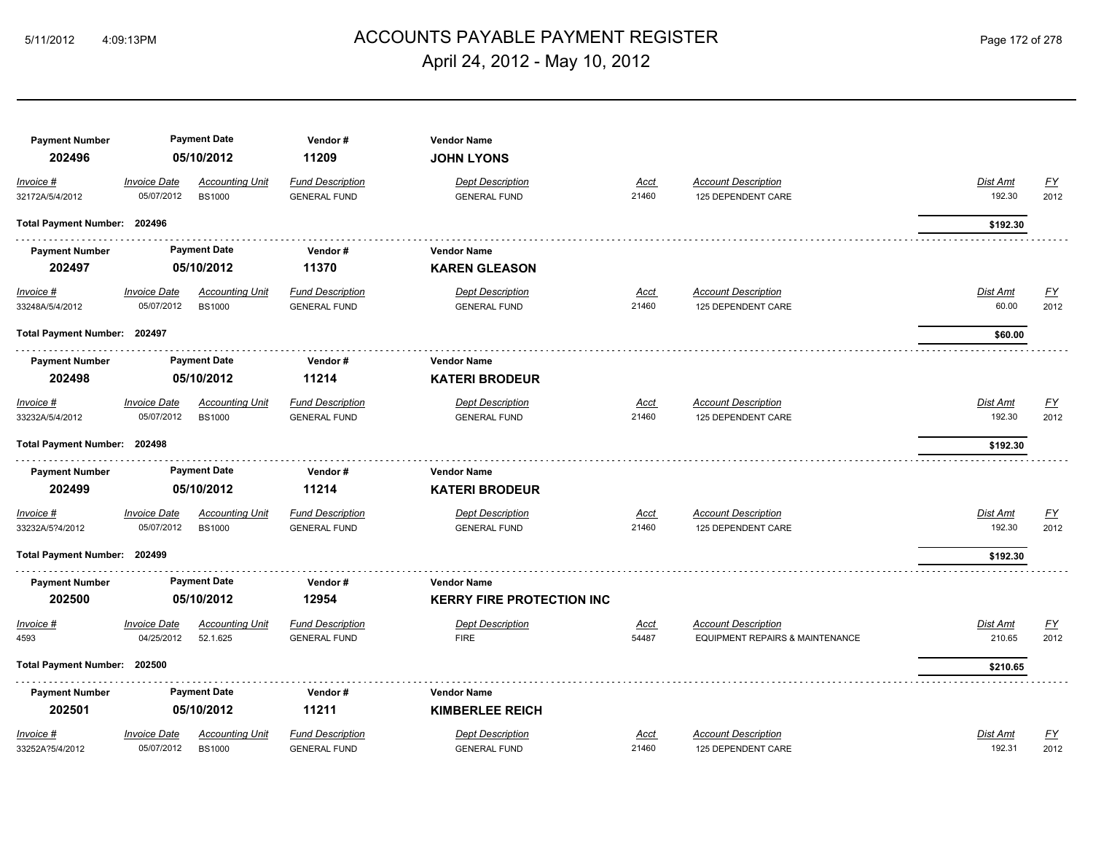# ACCOUNTS PAYABLE PAYMENT REGISTER 5/11/2012 4:09:13PM Page 172 of 278 April 24, 2012 - May 10, 2012

| <b>Payment Number</b><br>202496 |                                   | <b>Payment Date</b><br>05/10/2012       | Vendor#<br>11209                               | <b>Vendor Name</b><br><b>JOHN LYONS</b>        |                      |                                                               |                          |                           |
|---------------------------------|-----------------------------------|-----------------------------------------|------------------------------------------------|------------------------------------------------|----------------------|---------------------------------------------------------------|--------------------------|---------------------------|
| Invoice #<br>32172A/5/4/2012    | <b>Invoice Date</b><br>05/07/2012 | <b>Accounting Unit</b><br><b>BS1000</b> | <b>Fund Description</b><br><b>GENERAL FUND</b> | <b>Dept Description</b><br><b>GENERAL FUND</b> | <u>Acct</u><br>21460 | <b>Account Description</b><br>125 DEPENDENT CARE              | Dist Amt<br>192.30       | <u>FY</u><br>2012         |
| Total Payment Number: 202496    |                                   |                                         |                                                |                                                |                      |                                                               | \$192.30                 |                           |
| <b>Payment Number</b>           |                                   | <b>Payment Date</b>                     | Vendor#                                        | <b>Vendor Name</b>                             |                      |                                                               |                          |                           |
| 202497                          |                                   | 05/10/2012                              | 11370                                          | <b>KAREN GLEASON</b>                           |                      |                                                               |                          |                           |
| Invoice #<br>33248A/5/4/2012    | <b>Invoice Date</b><br>05/07/2012 | <b>Accounting Unit</b><br><b>BS1000</b> | <b>Fund Description</b><br><b>GENERAL FUND</b> | <b>Dept Description</b><br><b>GENERAL FUND</b> | <u>Acct</u><br>21460 | <b>Account Description</b><br>125 DEPENDENT CARE              | <b>Dist Amt</b><br>60.00 | <u>FY</u><br>2012         |
| Total Payment Number: 202497    |                                   |                                         |                                                |                                                |                      |                                                               | \$60.00                  |                           |
| <b>Payment Number</b>           |                                   | <b>Payment Date</b>                     | Vendor#                                        | <b>Vendor Name</b>                             |                      |                                                               |                          |                           |
| 202498                          |                                   | 05/10/2012                              | 11214                                          | <b>KATERI BRODEUR</b>                          |                      |                                                               |                          |                           |
| Invoice #                       | <b>Invoice Date</b>               | <b>Accounting Unit</b>                  | <b>Fund Description</b>                        | <b>Dept Description</b>                        | <u>Acct</u>          | <b>Account Description</b>                                    | Dist Amt                 | <u>FY</u>                 |
| 33232A/5/4/2012                 | 05/07/2012                        | <b>BS1000</b>                           | <b>GENERAL FUND</b>                            | <b>GENERAL FUND</b>                            | 21460                | 125 DEPENDENT CARE                                            | 192.30                   | 2012                      |
| Total Payment Number: 202498    |                                   |                                         |                                                |                                                |                      |                                                               | \$192.30                 |                           |
| <b>Payment Number</b><br>202499 |                                   | <b>Payment Date</b><br>05/10/2012       | Vendor#<br>11214                               | <b>Vendor Name</b><br><b>KATERI BRODEUR</b>    |                      |                                                               |                          |                           |
| Invoice #                       | <b>Invoice Date</b>               | <b>Accounting Unit</b>                  | <b>Fund Description</b>                        | <b>Dept Description</b>                        | Acct                 | <b>Account Description</b>                                    | Dist Amt                 | $\underline{\mathsf{FY}}$ |
| 33232A/5?4/2012                 | 05/07/2012                        | <b>BS1000</b>                           | <b>GENERAL FUND</b>                            | <b>GENERAL FUND</b>                            | 21460                | 125 DEPENDENT CARE                                            | 192.30                   | 2012                      |
| Total Payment Number: 202499    |                                   |                                         |                                                |                                                |                      |                                                               | \$192.30                 |                           |
| <b>Payment Number</b>           |                                   | <b>Payment Date</b>                     | Vendor#                                        | <b>Vendor Name</b>                             |                      |                                                               |                          |                           |
| 202500                          |                                   | 05/10/2012                              | 12954                                          | <b>KERRY FIRE PROTECTION INC</b>               |                      |                                                               |                          |                           |
| Invoice #<br>4593               | <b>Invoice Date</b><br>04/25/2012 | <b>Accounting Unit</b><br>52.1.625      | <b>Fund Description</b><br><b>GENERAL FUND</b> | <b>Dept Description</b><br><b>FIRE</b>         | <u>Acct</u><br>54487 | <b>Account Description</b><br>EQUIPMENT REPAIRS & MAINTENANCE | Dist Amt<br>210.65       | <u>FY</u><br>2012         |
| Total Payment Number: 202500    |                                   |                                         |                                                |                                                |                      |                                                               | \$210.65                 |                           |
| <b>Payment Number</b>           |                                   | <b>Payment Date</b>                     | Vendor#                                        | <b>Vendor Name</b>                             |                      |                                                               |                          |                           |
| 202501                          |                                   | 05/10/2012                              | 11211                                          | <b>KIMBERLEE REICH</b>                         |                      |                                                               |                          |                           |
| Invoice #                       | <b>Invoice Date</b>               | <b>Accounting Unit</b>                  | <b>Fund Description</b>                        | <b>Dept Description</b>                        | Acct                 | <b>Account Description</b>                                    | Dist Amt                 | <u>FY</u>                 |
| 33252A?5/4/2012                 | 05/07/2012                        | <b>BS1000</b>                           | <b>GENERAL FUND</b>                            | <b>GENERAL FUND</b>                            | 21460                | 125 DEPENDENT CARE                                            | 192.31                   | 2012                      |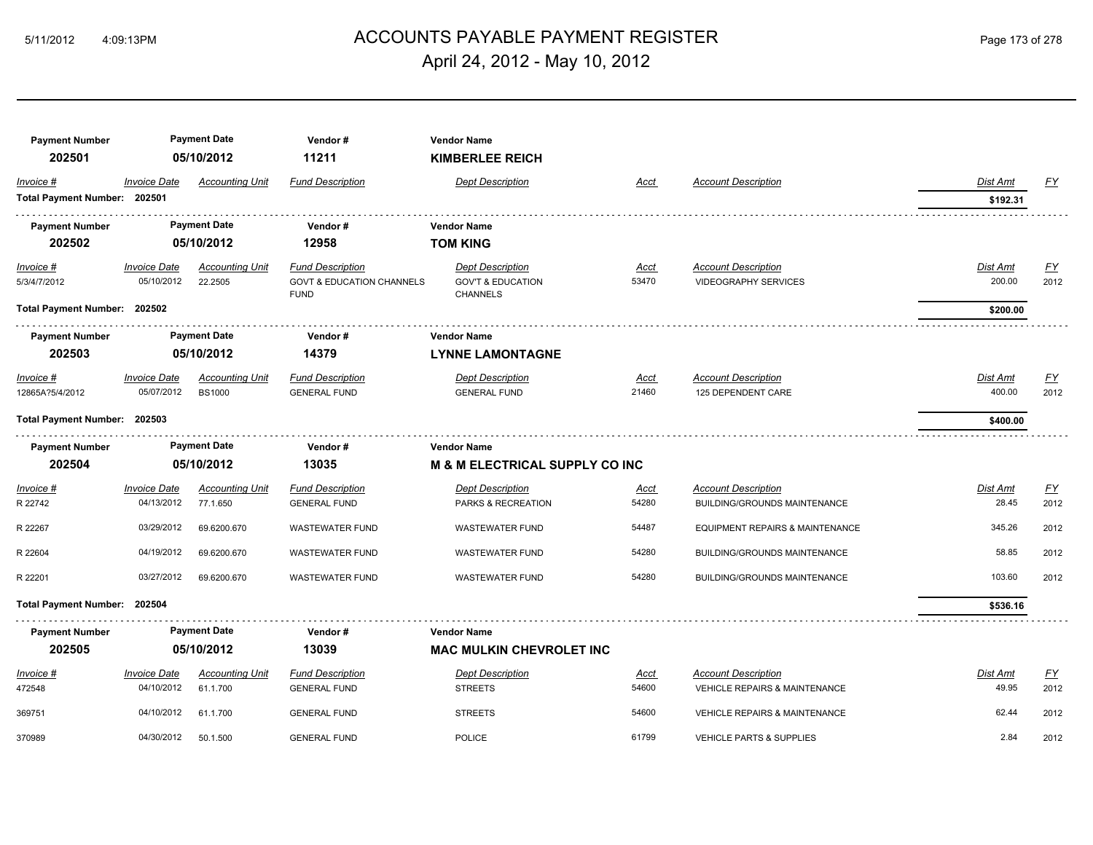# ACCOUNTS PAYABLE PAYMENT REGISTER 5/11/2012 4:09:13PM Page 173 of 278 April 24, 2012 - May 10, 2012

| <b>Payment Number</b>        |                     | <b>Payment Date</b>    | Vendor#                                             | <b>Vendor Name</b>                              |             |                                            |          |           |
|------------------------------|---------------------|------------------------|-----------------------------------------------------|-------------------------------------------------|-------------|--------------------------------------------|----------|-----------|
| 202501                       |                     | 05/10/2012             | 11211                                               | <b>KIMBERLEE REICH</b>                          |             |                                            |          |           |
| Invoice #                    | <b>Invoice Date</b> | <b>Accounting Unit</b> | <b>Fund Description</b>                             | <b>Dept Description</b>                         | Acct        | <b>Account Description</b>                 | Dist Amt | <u>FY</u> |
| Total Payment Number: 202501 |                     |                        |                                                     |                                                 |             |                                            | \$192.31 |           |
| <b>Payment Number</b>        |                     | <b>Payment Date</b>    | Vendor#                                             | <b>Vendor Name</b>                              |             |                                            |          |           |
| 202502                       |                     | 05/10/2012             | 12958                                               | <b>TOM KING</b>                                 |             |                                            |          |           |
| Invoice #                    | <b>Invoice Date</b> | <b>Accounting Unit</b> | <b>Fund Description</b>                             | <b>Dept Description</b>                         | Acct        | <b>Account Description</b>                 | Dist Amt | <u>FY</u> |
| 5/3/4/7/2012                 | 05/10/2012          | 22.2505                | <b>GOVT &amp; EDUCATION CHANNELS</b><br><b>FUND</b> | <b>GOV'T &amp; EDUCATION</b><br><b>CHANNELS</b> | 53470       | <b>VIDEOGRAPHY SERVICES</b>                | 200.00   | 2012      |
| Total Payment Number: 202502 |                     |                        |                                                     |                                                 |             |                                            | \$200.00 |           |
| <b>Payment Number</b>        |                     | <b>Payment Date</b>    | Vendor#                                             | <b>Vendor Name</b>                              |             |                                            |          |           |
| 202503                       |                     | 05/10/2012             | 14379                                               | <b>LYNNE LAMONTAGNE</b>                         |             |                                            |          |           |
| Invoice #                    | <b>Invoice Date</b> | <b>Accounting Unit</b> | <b>Fund Description</b>                             | <b>Dept Description</b>                         | <u>Acct</u> | <b>Account Description</b>                 | Dist Amt | EY        |
| 12865A?5/4/2012              | 05/07/2012          | <b>BS1000</b>          | <b>GENERAL FUND</b>                                 | <b>GENERAL FUND</b>                             | 21460       | 125 DEPENDENT CARE                         | 400.00   | 2012      |
| Total Payment Number: 202503 |                     |                        |                                                     |                                                 |             |                                            | \$400.00 |           |
| <b>Payment Number</b>        |                     | <b>Payment Date</b>    | Vendor#                                             | <b>Vendor Name</b>                              |             |                                            |          |           |
| 202504                       |                     | 05/10/2012             | 13035                                               | <b>M &amp; M ELECTRICAL SUPPLY CO INC</b>       |             |                                            |          |           |
| $Invoice$ #                  | <b>Invoice Date</b> | <b>Accounting Unit</b> | <b>Fund Description</b>                             | <b>Dept Description</b>                         | <u>Acct</u> | <b>Account Description</b>                 | Dist Amt | <u>FY</u> |
| R 22742                      | 04/13/2012          | 77.1.650               | <b>GENERAL FUND</b>                                 | PARKS & RECREATION                              | 54280       | <b>BUILDING/GROUNDS MAINTENANCE</b>        | 28.45    | 2012      |
| R 22267                      | 03/29/2012          | 69.6200.670            | <b>WASTEWATER FUND</b>                              | <b>WASTEWATER FUND</b>                          | 54487       | <b>EQUIPMENT REPAIRS &amp; MAINTENANCE</b> | 345.26   | 2012      |
| R 22604                      | 04/19/2012          | 69.6200.670            | <b>WASTEWATER FUND</b>                              | <b>WASTEWATER FUND</b>                          | 54280       | <b>BUILDING/GROUNDS MAINTENANCE</b>        | 58.85    | 2012      |
| R 22201                      | 03/27/2012          | 69.6200.670            | <b>WASTEWATER FUND</b>                              | <b>WASTEWATER FUND</b>                          | 54280       | BUILDING/GROUNDS MAINTENANCE               | 103.60   | 2012      |
| <b>Total Payment Number:</b> | 202504              |                        |                                                     |                                                 |             |                                            | \$536.16 |           |
| <b>Payment Number</b>        |                     | <b>Payment Date</b>    | Vendor#                                             | <b>Vendor Name</b>                              |             |                                            |          |           |
| 202505                       |                     | 05/10/2012             | 13039                                               | <b>MAC MULKIN CHEVROLET INC</b>                 |             |                                            |          |           |
| Invoice #                    | <b>Invoice Date</b> | <b>Accounting Unit</b> | <b>Fund Description</b>                             | <b>Dept Description</b>                         | Acct        | <b>Account Description</b>                 | Dist Amt | EY        |
| 472548                       | 04/10/2012          | 61.1.700               | <b>GENERAL FUND</b>                                 | <b>STREETS</b>                                  | 54600       | VEHICLE REPAIRS & MAINTENANCE              | 49.95    | 2012      |
| 369751                       | 04/10/2012          | 61.1.700               | <b>GENERAL FUND</b>                                 | <b>STREETS</b>                                  | 54600       | <b>VEHICLE REPAIRS &amp; MAINTENANCE</b>   | 62.44    | 2012      |
| 370989                       | 04/30/2012          | 50.1.500               | <b>GENERAL FUND</b>                                 | POLICE                                          | 61799       | <b>VEHICLE PARTS &amp; SUPPLIES</b>        | 2.84     | 2012      |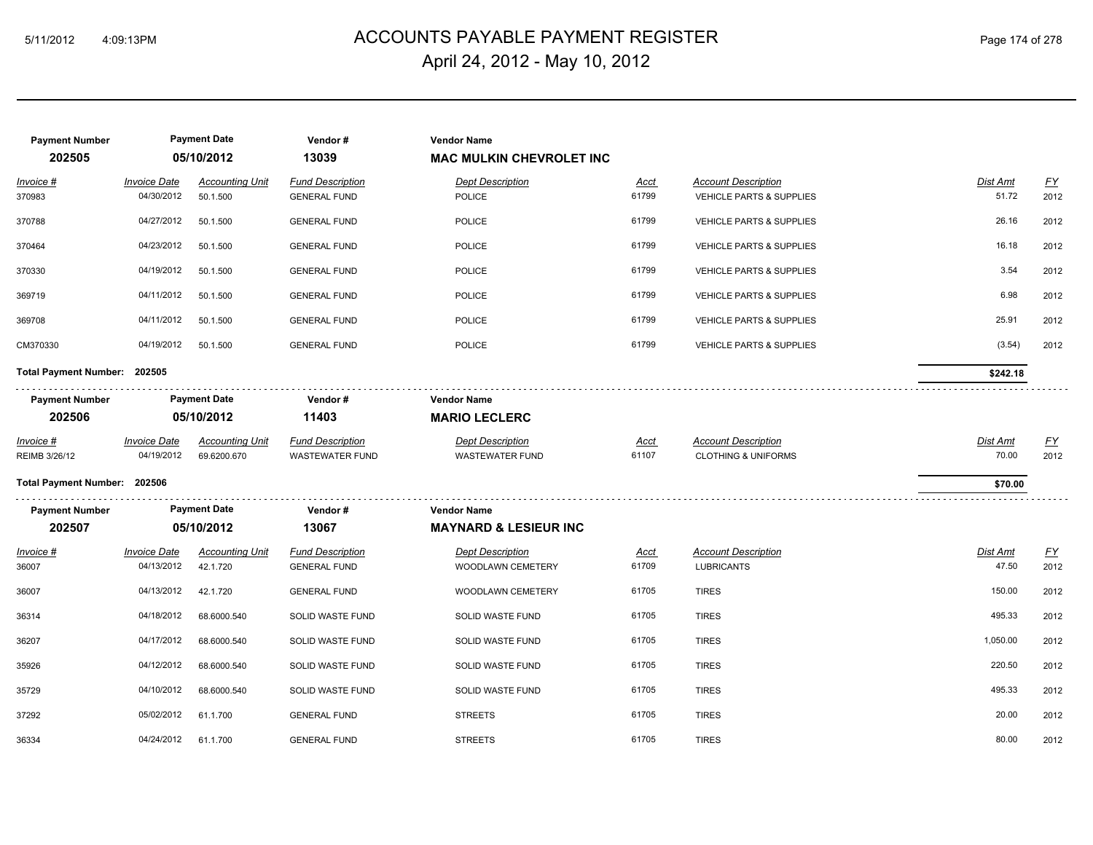# ACCOUNTS PAYABLE PAYMENT REGISTER 5/11/2012 4:09:13PM Page 174 of 278 April 24, 2012 - May 10, 2012

| <b>Payment Number</b>             |                                   | <b>Payment Date</b>                   | Vendor#                                           | <b>Vendor Name</b>                                |                      |                                                                   |                   |                   |
|-----------------------------------|-----------------------------------|---------------------------------------|---------------------------------------------------|---------------------------------------------------|----------------------|-------------------------------------------------------------------|-------------------|-------------------|
| 202505                            |                                   | 05/10/2012                            | 13039                                             | <b>MAC MULKIN CHEVROLET INC</b>                   |                      |                                                                   |                   |                   |
| Invoice #<br>370983               | <b>Invoice Date</b><br>04/30/2012 | <b>Accounting Unit</b><br>50.1.500    | <b>Fund Description</b><br><b>GENERAL FUND</b>    | <b>Dept Description</b><br>POLICE                 | <u>Acct</u><br>61799 | <b>Account Description</b><br><b>VEHICLE PARTS &amp; SUPPLIES</b> | Dist Amt<br>51.72 | EY<br>2012        |
| 370788                            | 04/27/2012                        | 50.1.500                              | <b>GENERAL FUND</b>                               | POLICE                                            | 61799                | <b>VEHICLE PARTS &amp; SUPPLIES</b>                               | 26.16             | 2012              |
| 370464                            | 04/23/2012                        | 50.1.500                              | <b>GENERAL FUND</b>                               | POLICE                                            | 61799                | <b>VEHICLE PARTS &amp; SUPPLIES</b>                               | 16.18             | 2012              |
| 370330                            | 04/19/2012                        | 50.1.500                              | <b>GENERAL FUND</b>                               | POLICE                                            | 61799                | <b>VEHICLE PARTS &amp; SUPPLIES</b>                               | 3.54              | 2012              |
| 369719                            | 04/11/2012                        | 50.1.500                              | <b>GENERAL FUND</b>                               | POLICE                                            | 61799                | <b>VEHICLE PARTS &amp; SUPPLIES</b>                               | 6.98              | 2012              |
| 369708                            | 04/11/2012                        | 50.1.500                              | <b>GENERAL FUND</b>                               | <b>POLICE</b>                                     | 61799                | <b>VEHICLE PARTS &amp; SUPPLIES</b>                               | 25.91             | 2012              |
| CM370330                          | 04/19/2012                        | 50.1.500                              | <b>GENERAL FUND</b>                               | POLICE                                            | 61799                | VEHICLE PARTS & SUPPLIES                                          | (3.54)            | 2012              |
| Total Payment Number: 202505      |                                   |                                       |                                                   |                                                   |                      |                                                                   | \$242.18          |                   |
| <b>Payment Number</b>             |                                   | <b>Payment Date</b>                   | Vendor#                                           | <b>Vendor Name</b>                                |                      |                                                                   |                   |                   |
| 202506                            |                                   | 05/10/2012                            | 11403                                             | <b>MARIO LECLERC</b>                              |                      |                                                                   |                   |                   |
| <u>Invoice #</u><br>REIMB 3/26/12 | <b>Invoice Date</b><br>04/19/2012 | <b>Accounting Unit</b><br>69.6200.670 | <b>Fund Description</b><br><b>WASTEWATER FUND</b> | <b>Dept Description</b><br><b>WASTEWATER FUND</b> | <u>Acct</u><br>61107 | <b>Account Description</b><br><b>CLOTHING &amp; UNIFORMS</b>      | Dist Amt<br>70.00 | <u>FY</u><br>2012 |
| Total Payment Number: 202506      |                                   |                                       |                                                   |                                                   |                      |                                                                   | \$70.00           |                   |
| <b>Payment Number</b>             |                                   | <b>Payment Date</b>                   | Vendor#                                           | <b>Vendor Name</b>                                |                      |                                                                   |                   |                   |
| 202507                            |                                   | 05/10/2012                            | 13067                                             | <b>MAYNARD &amp; LESIEUR INC</b>                  |                      |                                                                   |                   |                   |
| Invoice #<br>36007                | <b>Invoice Date</b><br>04/13/2012 | <b>Accounting Unit</b><br>42.1.720    | <b>Fund Description</b><br><b>GENERAL FUND</b>    | <b>Dept Description</b><br>WOODLAWN CEMETERY      | <u>Acct</u><br>61709 | <b>Account Description</b><br><b>LUBRICANTS</b>                   | Dist Amt<br>47.50 | EY<br>2012        |
| 36007                             | 04/13/2012                        | 42.1.720                              | <b>GENERAL FUND</b>                               | WOODLAWN CEMETERY                                 | 61705                | <b>TIRES</b>                                                      | 150.00            | 2012              |
| 36314                             | 04/18/2012                        | 68.6000.540                           | SOLID WASTE FUND                                  | SOLID WASTE FUND                                  | 61705                | <b>TIRES</b>                                                      | 495.33            | 2012              |
| 36207                             | 04/17/2012                        | 68.6000.540                           | SOLID WASTE FUND                                  | SOLID WASTE FUND                                  | 61705                | <b>TIRES</b>                                                      | 1,050.00          | 2012              |
| 35926                             | 04/12/2012                        | 68.6000.540                           | SOLID WASTE FUND                                  | SOLID WASTE FUND                                  | 61705                | <b>TIRES</b>                                                      | 220.50            | 2012              |
| 35729                             | 04/10/2012                        | 68.6000.540                           | SOLID WASTE FUND                                  | SOLID WASTE FUND                                  | 61705                | <b>TIRES</b>                                                      | 495.33            | 2012              |
| 37292                             | 05/02/2012                        | 61.1.700                              | <b>GENERAL FUND</b>                               | <b>STREETS</b>                                    | 61705                | <b>TIRES</b>                                                      | 20.00             | 2012              |
| 36334                             | 04/24/2012                        | 61.1.700                              | <b>GENERAL FUND</b>                               | <b>STREETS</b>                                    | 61705                | <b>TIRES</b>                                                      | 80.00             | 2012              |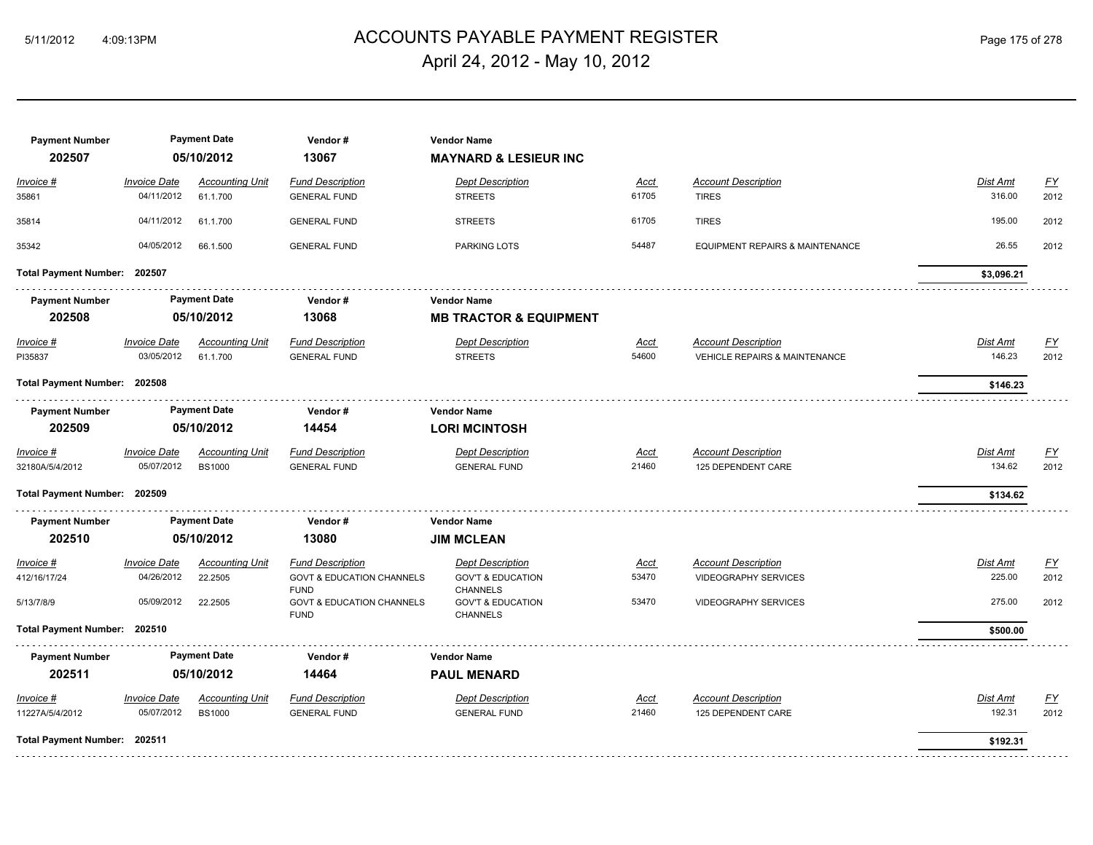# ACCOUNTS PAYABLE PAYMENT REGISTER 5/11/2012 4:09:13PM Page 175 of 278 April 24, 2012 - May 10, 2012

| <b>Payment Number</b><br>202507         |                                                 | <b>Payment Date</b><br>05/10/2012            | Vendor#<br>13067                                                                                                                      | <b>Vendor Name</b><br><b>MAYNARD &amp; LESIEUR INC</b>                                                                        |                               |                                                                                          |                              |                    |
|-----------------------------------------|-------------------------------------------------|----------------------------------------------|---------------------------------------------------------------------------------------------------------------------------------------|-------------------------------------------------------------------------------------------------------------------------------|-------------------------------|------------------------------------------------------------------------------------------|------------------------------|--------------------|
| Invoice #<br>35861                      | <b>Invoice Date</b><br>04/11/2012               | <b>Accounting Unit</b><br>61.1.700           | <b>Fund Description</b><br><b>GENERAL FUND</b>                                                                                        | <b>Dept Description</b><br><b>STREETS</b>                                                                                     | Acct<br>61705                 | <b>Account Description</b><br><b>TIRES</b>                                               | Dist Amt<br>316.00           | <b>FY</b><br>2012  |
| 35814                                   | 04/11/2012                                      | 61.1.700                                     | <b>GENERAL FUND</b>                                                                                                                   | <b>STREETS</b>                                                                                                                | 61705                         | <b>TIRES</b>                                                                             | 195.00                       | 2012               |
| 35342                                   | 04/05/2012                                      | 66.1.500                                     | <b>GENERAL FUND</b>                                                                                                                   | PARKING LOTS                                                                                                                  | 54487                         | EQUIPMENT REPAIRS & MAINTENANCE                                                          | 26.55                        | 2012               |
| Total Payment Number: 202507            |                                                 |                                              |                                                                                                                                       |                                                                                                                               |                               |                                                                                          | \$3,096.21                   |                    |
| <b>Payment Number</b><br>202508         |                                                 | <b>Payment Date</b><br>05/10/2012            | Vendor#<br>13068                                                                                                                      | <b>Vendor Name</b><br><b>MB TRACTOR &amp; EQUIPMENT</b>                                                                       |                               |                                                                                          |                              |                    |
| $Invoice$ #<br>PI35837                  | <b>Invoice Date</b><br>03/05/2012               | <b>Accounting Unit</b><br>61.1.700           | <b>Fund Description</b><br><b>GENERAL FUND</b>                                                                                        | <b>Dept Description</b><br><b>STREETS</b>                                                                                     | <u>Acct</u><br>54600          | <b>Account Description</b><br><b>VEHICLE REPAIRS &amp; MAINTENANCE</b>                   | <b>Dist Amt</b><br>146.23    | <u>FY</u><br>2012  |
| Total Payment Number: 202508            |                                                 |                                              |                                                                                                                                       |                                                                                                                               |                               |                                                                                          | \$146.23                     |                    |
| <b>Payment Number</b><br>202509         |                                                 | <b>Payment Date</b><br>05/10/2012            | Vendor#<br>14454                                                                                                                      | <b>Vendor Name</b><br><b>LORI MCINTOSH</b>                                                                                    |                               |                                                                                          |                              |                    |
| Invoice #<br>32180A/5/4/2012            | <b>Invoice Date</b><br>05/07/2012               | <b>Accounting Unit</b><br><b>BS1000</b>      | <b>Fund Description</b><br><b>GENERAL FUND</b>                                                                                        | <b>Dept Description</b><br><b>GENERAL FUND</b>                                                                                | Acct<br>21460                 | <b>Account Description</b><br>125 DEPENDENT CARE                                         | Dist Amt<br>134.62           | <u>FY</u><br>2012  |
| Total Payment Number: 202509            |                                                 |                                              |                                                                                                                                       |                                                                                                                               |                               |                                                                                          | \$134.62                     |                    |
| <b>Payment Number</b><br>202510         |                                                 | <b>Payment Date</b><br>05/10/2012            | Vendor#<br>13080                                                                                                                      | <b>Vendor Name</b><br><b>JIM MCLEAN</b>                                                                                       |                               |                                                                                          |                              |                    |
| Invoice #<br>412/16/17/24<br>5/13/7/8/9 | <b>Invoice Date</b><br>04/26/2012<br>05/09/2012 | <b>Accounting Unit</b><br>22.2505<br>22.2505 | <b>Fund Description</b><br><b>GOVT &amp; EDUCATION CHANNELS</b><br><b>FUND</b><br><b>GOVT &amp; EDUCATION CHANNELS</b><br><b>FUND</b> | <b>Dept Description</b><br><b>GOV'T &amp; EDUCATION</b><br><b>CHANNELS</b><br><b>GOV'T &amp; EDUCATION</b><br><b>CHANNELS</b> | <u>Acct</u><br>53470<br>53470 | <b>Account Description</b><br><b>VIDEOGRAPHY SERVICES</b><br><b>VIDEOGRAPHY SERVICES</b> | Dist Amt<br>225.00<br>275.00 | EY<br>2012<br>2012 |
| Total Payment Number: 202510            |                                                 |                                              |                                                                                                                                       |                                                                                                                               |                               |                                                                                          | \$500.00                     |                    |
| <b>Payment Number</b><br>202511         |                                                 | <b>Payment Date</b><br>05/10/2012            | Vendor#<br>14464                                                                                                                      | <b>Vendor Name</b><br><b>PAUL MENARD</b>                                                                                      |                               |                                                                                          |                              |                    |
| Invoice #<br>11227A/5/4/2012            | <b>Invoice Date</b><br>05/07/2012               | <b>Accounting Unit</b><br><b>BS1000</b>      | <b>Fund Description</b><br><b>GENERAL FUND</b>                                                                                        | <b>Dept Description</b><br><b>GENERAL FUND</b>                                                                                | <u>Acct</u><br>21460          | <b>Account Description</b><br>125 DEPENDENT CARE                                         | Dist Amt<br>192.31           | <u>FY</u><br>2012  |
| Total Payment Number: 202511            |                                                 |                                              |                                                                                                                                       |                                                                                                                               |                               |                                                                                          | \$192.31                     |                    |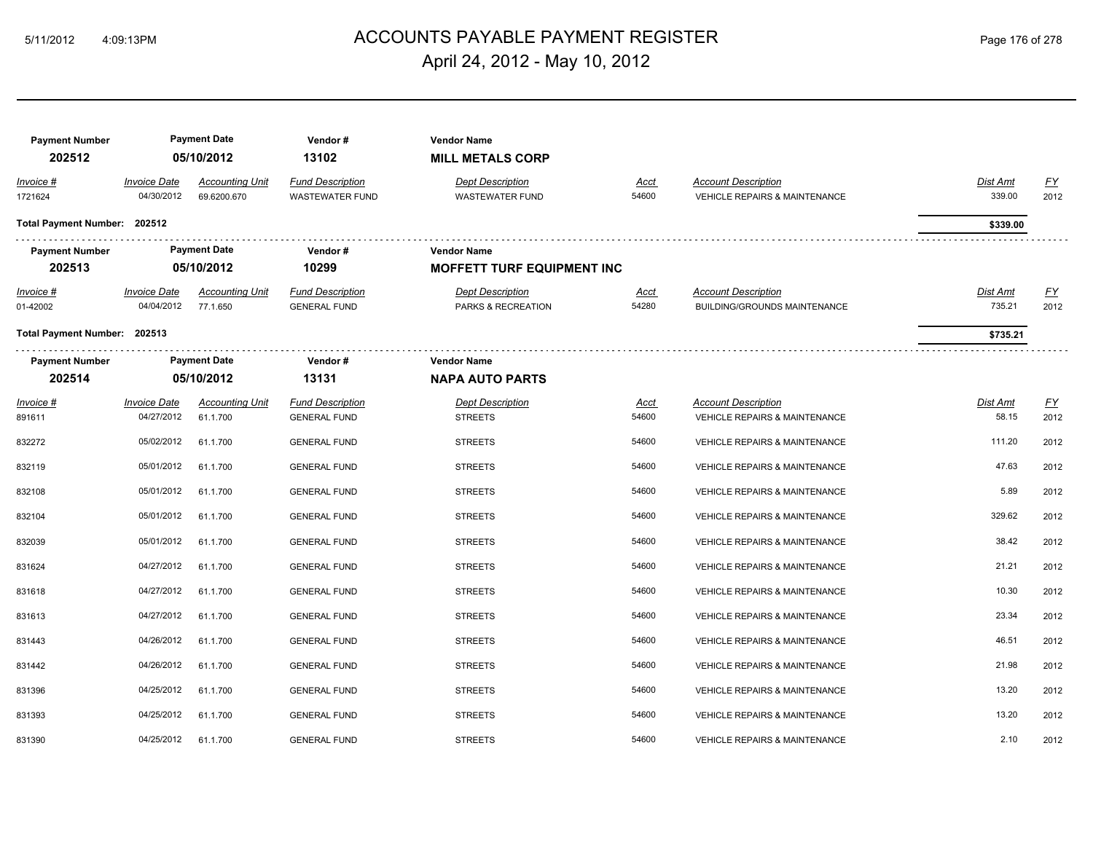# ACCOUNTS PAYABLE PAYMENT REGISTER 5/11/2012 4:09:13PM Page 176 of 278 April 24, 2012 - May 10, 2012

| <b>Payment Number</b><br>202512 |                                   | <b>Payment Date</b><br>05/10/2012     | Vendor#<br>13102                                  | <b>Vendor Name</b><br><b>MILL METALS CORP</b>     |               |                                                                        |                           |                  |
|---------------------------------|-----------------------------------|---------------------------------------|---------------------------------------------------|---------------------------------------------------|---------------|------------------------------------------------------------------------|---------------------------|------------------|
| Invoice #<br>1721624            | <b>Invoice Date</b><br>04/30/2012 | <b>Accounting Unit</b><br>69.6200.670 | <b>Fund Description</b><br><b>WASTEWATER FUND</b> | <b>Dept Description</b><br><b>WASTEWATER FUND</b> | Acct<br>54600 | <b>Account Description</b><br><b>VEHICLE REPAIRS &amp; MAINTENANCE</b> | Dist Amt<br>339.00        | EY<br>2012       |
| Total Payment Number: 202512    |                                   |                                       |                                                   |                                                   |               |                                                                        | \$339.00                  |                  |
| <b>Payment Number</b>           |                                   | <b>Payment Date</b>                   | Vendor#                                           | <b>Vendor Name</b>                                |               |                                                                        |                           |                  |
| 202513                          |                                   | 05/10/2012                            | 10299                                             | <b>MOFFETT TURF EQUIPMENT INC</b>                 |               |                                                                        |                           |                  |
| Invoice #<br>01-42002           | <b>Invoice Date</b><br>04/04/2012 | <b>Accounting Unit</b><br>77.1.650    | <b>Fund Description</b><br><b>GENERAL FUND</b>    | <b>Dept Description</b><br>PARKS & RECREATION     | Acct<br>54280 | <b>Account Description</b><br>BUILDING/GROUNDS MAINTENANCE             | <b>Dist Amt</b><br>735.21 | EY<br>2012       |
| Total Payment Number: 202513    |                                   |                                       |                                                   |                                                   |               |                                                                        | \$735.21                  |                  |
| <b>Payment Number</b>           |                                   | <b>Payment Date</b>                   | Vendor#                                           | <b>Vendor Name</b>                                |               |                                                                        |                           |                  |
| 202514                          |                                   | 05/10/2012                            | 13131                                             | <b>NAPA AUTO PARTS</b>                            |               |                                                                        |                           |                  |
| Invoice #                       | <i><b>Invoice Date</b></i>        | <b>Accounting Unit</b>                | <b>Fund Description</b>                           | <b>Dept Description</b>                           | <u>Acct</u>   | <b>Account Description</b>                                             | Dist Amt                  | $\underline{FY}$ |
| 891611                          | 04/27/2012                        | 61.1.700                              | <b>GENERAL FUND</b>                               | <b>STREETS</b>                                    | 54600         | <b>VEHICLE REPAIRS &amp; MAINTENANCE</b>                               | 58.15                     | 2012             |
| 832272                          | 05/02/2012                        | 61.1.700                              | <b>GENERAL FUND</b>                               | <b>STREETS</b>                                    | 54600         | <b>VEHICLE REPAIRS &amp; MAINTENANCE</b>                               | 111.20                    | 2012             |
| 832119                          | 05/01/2012                        | 61.1.700                              | <b>GENERAL FUND</b>                               | <b>STREETS</b>                                    | 54600         | <b>VEHICLE REPAIRS &amp; MAINTENANCE</b>                               | 47.63                     | 2012             |
| 832108                          | 05/01/2012                        | 61.1.700                              | <b>GENERAL FUND</b>                               | <b>STREETS</b>                                    | 54600         | VEHICLE REPAIRS & MAINTENANCE                                          | 5.89                      | 2012             |
| 832104                          | 05/01/2012                        | 61.1.700                              | <b>GENERAL FUND</b>                               | <b>STREETS</b>                                    | 54600         | <b>VEHICLE REPAIRS &amp; MAINTENANCE</b>                               | 329.62                    | 2012             |
| 832039                          | 05/01/2012                        | 61.1.700                              | <b>GENERAL FUND</b>                               | <b>STREETS</b>                                    | 54600         | <b>VEHICLE REPAIRS &amp; MAINTENANCE</b>                               | 38.42                     | 2012             |
| 831624                          | 04/27/2012                        | 61.1.700                              | <b>GENERAL FUND</b>                               | <b>STREETS</b>                                    | 54600         | VEHICLE REPAIRS & MAINTENANCE                                          | 21.21                     | 2012             |
| 831618                          | 04/27/2012                        | 61.1.700                              | <b>GENERAL FUND</b>                               | <b>STREETS</b>                                    | 54600         | VEHICLE REPAIRS & MAINTENANCE                                          | 10.30                     | 2012             |
| 831613                          | 04/27/2012                        | 61.1.700                              | <b>GENERAL FUND</b>                               | <b>STREETS</b>                                    | 54600         | <b>VEHICLE REPAIRS &amp; MAINTENANCE</b>                               | 23.34                     | 2012             |
| 831443                          | 04/26/2012                        | 61.1.700                              | <b>GENERAL FUND</b>                               | <b>STREETS</b>                                    | 54600         | <b>VEHICLE REPAIRS &amp; MAINTENANCE</b>                               | 46.51                     | 2012             |
| 831442                          | 04/26/2012                        | 61.1.700                              | <b>GENERAL FUND</b>                               | <b>STREETS</b>                                    | 54600         | VEHICLE REPAIRS & MAINTENANCE                                          | 21.98                     | 2012             |
| 831396                          | 04/25/2012                        | 61.1.700                              | <b>GENERAL FUND</b>                               | <b>STREETS</b>                                    | 54600         | VEHICLE REPAIRS & MAINTENANCE                                          | 13.20                     | 2012             |
| 831393                          | 04/25/2012                        | 61.1.700                              | <b>GENERAL FUND</b>                               | <b>STREETS</b>                                    | 54600         | <b>VEHICLE REPAIRS &amp; MAINTENANCE</b>                               | 13.20                     | 2012             |
| 831390                          | 04/25/2012                        | 61.1.700                              | <b>GENERAL FUND</b>                               | <b>STREETS</b>                                    | 54600         | <b>VEHICLE REPAIRS &amp; MAINTENANCE</b>                               | 2.10                      | 2012             |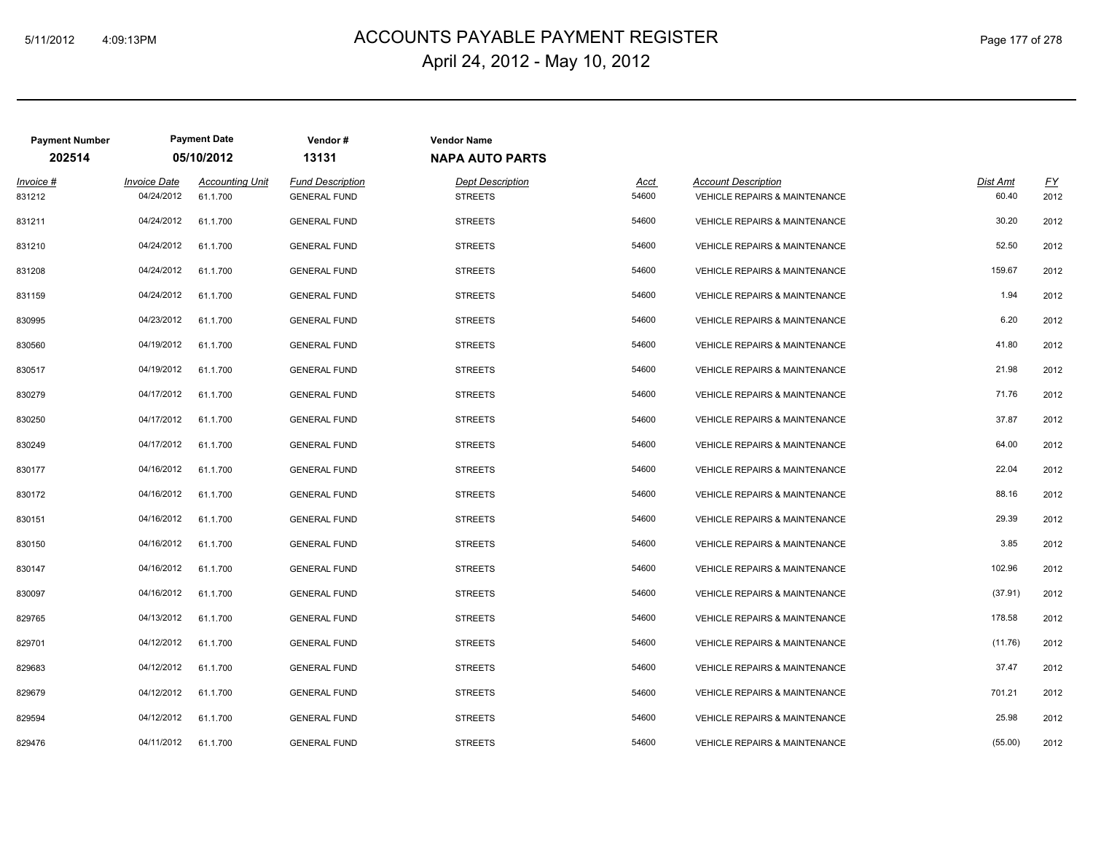# ACCOUNTS PAYABLE PAYMENT REGISTER 5/11/2012 4:09:13PM Page 177 of 278 April 24, 2012 - May 10, 2012

| <b>Payment Number</b> |                                   | <b>Payment Date</b>                | Vendor#                                        | <b>Vendor Name</b>                        |                      |                                                                        |                   |                   |  |  |  |  |
|-----------------------|-----------------------------------|------------------------------------|------------------------------------------------|-------------------------------------------|----------------------|------------------------------------------------------------------------|-------------------|-------------------|--|--|--|--|
| 202514                |                                   | 05/10/2012                         | 13131                                          | <b>NAPA AUTO PARTS</b>                    |                      |                                                                        |                   |                   |  |  |  |  |
| Invoice #<br>831212   | <b>Invoice Date</b><br>04/24/2012 | <b>Accounting Unit</b><br>61.1.700 | <b>Fund Description</b><br><b>GENERAL FUND</b> | <b>Dept Description</b><br><b>STREETS</b> | <b>Acct</b><br>54600 | <b>Account Description</b><br><b>VEHICLE REPAIRS &amp; MAINTENANCE</b> | Dist Amt<br>60.40 | <u>FY</u><br>2012 |  |  |  |  |
| 831211                | 04/24/2012                        | 61.1.700                           | <b>GENERAL FUND</b>                            | <b>STREETS</b>                            | 54600                | <b>VEHICLE REPAIRS &amp; MAINTENANCE</b>                               | 30.20             | 2012              |  |  |  |  |
| 831210                | 04/24/2012                        | 61.1.700                           | <b>GENERAL FUND</b>                            | <b>STREETS</b>                            | 54600                | VEHICLE REPAIRS & MAINTENANCE                                          | 52.50             | 2012              |  |  |  |  |
| 831208                | 04/24/2012                        | 61.1.700                           | <b>GENERAL FUND</b>                            | <b>STREETS</b>                            | 54600                | <b>VEHICLE REPAIRS &amp; MAINTENANCE</b>                               | 159.67            | 2012              |  |  |  |  |
| 831159                | 04/24/2012                        | 61.1.700                           | <b>GENERAL FUND</b>                            | <b>STREETS</b>                            | 54600                | <b>VEHICLE REPAIRS &amp; MAINTENANCE</b>                               | 1.94              | 2012              |  |  |  |  |
| 830995                | 04/23/2012                        | 61.1.700                           | <b>GENERAL FUND</b>                            | <b>STREETS</b>                            | 54600                | <b>VEHICLE REPAIRS &amp; MAINTENANCE</b>                               | 6.20              | 2012              |  |  |  |  |
| 830560                | 04/19/2012                        | 61.1.700                           | <b>GENERAL FUND</b>                            | <b>STREETS</b>                            | 54600                | <b>VEHICLE REPAIRS &amp; MAINTENANCE</b>                               | 41.80             | 2012              |  |  |  |  |
| 830517                | 04/19/2012                        | 61.1.700                           | <b>GENERAL FUND</b>                            | <b>STREETS</b>                            | 54600                | <b>VEHICLE REPAIRS &amp; MAINTENANCE</b>                               | 21.98             | 2012              |  |  |  |  |
| 830279                | 04/17/2012                        | 61.1.700                           | <b>GENERAL FUND</b>                            | <b>STREETS</b>                            | 54600                | <b>VEHICLE REPAIRS &amp; MAINTENANCE</b>                               | 71.76             | 2012              |  |  |  |  |
| 830250                | 04/17/2012                        | 61.1.700                           | <b>GENERAL FUND</b>                            | <b>STREETS</b>                            | 54600                | <b>VEHICLE REPAIRS &amp; MAINTENANCE</b>                               | 37.87             | 2012              |  |  |  |  |
| 830249                | 04/17/2012                        | 61.1.700                           | <b>GENERAL FUND</b>                            | <b>STREETS</b>                            | 54600                | <b>VEHICLE REPAIRS &amp; MAINTENANCE</b>                               | 64.00             | 2012              |  |  |  |  |
| 830177                | 04/16/2012                        | 61.1.700                           | <b>GENERAL FUND</b>                            | <b>STREETS</b>                            | 54600                | <b>VEHICLE REPAIRS &amp; MAINTENANCE</b>                               | 22.04             | 2012              |  |  |  |  |
| 830172                | 04/16/2012                        | 61.1.700                           | <b>GENERAL FUND</b>                            | <b>STREETS</b>                            | 54600                | <b>VEHICLE REPAIRS &amp; MAINTENANCE</b>                               | 88.16             | 2012              |  |  |  |  |
| 830151                | 04/16/2012                        | 61.1.700                           | <b>GENERAL FUND</b>                            | <b>STREETS</b>                            | 54600                | <b>VEHICLE REPAIRS &amp; MAINTENANCE</b>                               | 29.39             | 2012              |  |  |  |  |
| 830150                | 04/16/2012                        | 61.1.700                           | <b>GENERAL FUND</b>                            | <b>STREETS</b>                            | 54600                | <b>VEHICLE REPAIRS &amp; MAINTENANCE</b>                               | 3.85              | 2012              |  |  |  |  |
| 830147                | 04/16/2012                        | 61.1.700                           | <b>GENERAL FUND</b>                            | <b>STREETS</b>                            | 54600                | <b>VEHICLE REPAIRS &amp; MAINTENANCE</b>                               | 102.96            | 2012              |  |  |  |  |
| 830097                | 04/16/2012                        | 61.1.700                           | <b>GENERAL FUND</b>                            | <b>STREETS</b>                            | 54600                | <b>VEHICLE REPAIRS &amp; MAINTENANCE</b>                               | (37.91)           | 2012              |  |  |  |  |
| 829765                | 04/13/2012                        | 61.1.700                           | <b>GENERAL FUND</b>                            | <b>STREETS</b>                            | 54600                | <b>VEHICLE REPAIRS &amp; MAINTENANCE</b>                               | 178.58            | 2012              |  |  |  |  |
| 829701                | 04/12/2012                        | 61.1.700                           | <b>GENERAL FUND</b>                            | <b>STREETS</b>                            | 54600                | <b>VEHICLE REPAIRS &amp; MAINTENANCE</b>                               | (11.76)           | 2012              |  |  |  |  |
| 829683                | 04/12/2012                        | 61.1.700                           | <b>GENERAL FUND</b>                            | <b>STREETS</b>                            | 54600                | <b>VEHICLE REPAIRS &amp; MAINTENANCE</b>                               | 37.47             | 2012              |  |  |  |  |
| 829679                | 04/12/2012                        | 61.1.700                           | <b>GENERAL FUND</b>                            | <b>STREETS</b>                            | 54600                | VEHICLE REPAIRS & MAINTENANCE                                          | 701.21            | 2012              |  |  |  |  |
| 829594                | 04/12/2012                        | 61.1.700                           | <b>GENERAL FUND</b>                            | <b>STREETS</b>                            | 54600                | <b>VEHICLE REPAIRS &amp; MAINTENANCE</b>                               | 25.98             | 2012              |  |  |  |  |
| 829476                | 04/11/2012                        | 61.1.700                           | <b>GENERAL FUND</b>                            | <b>STREETS</b>                            | 54600                | <b>VEHICLE REPAIRS &amp; MAINTENANCE</b>                               | (55.00)           | 2012              |  |  |  |  |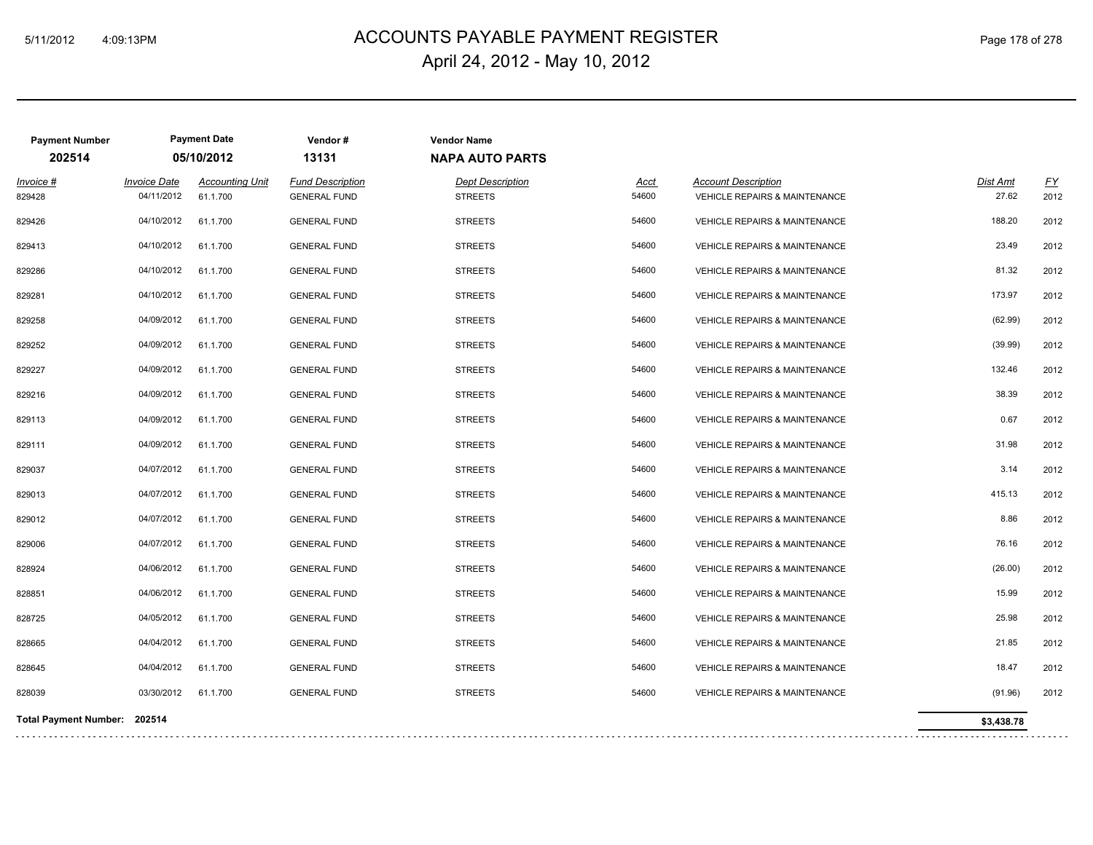## ACCOUNTS PAYABLE PAYMENT REGISTER 5/11/2012 4:09:13PM Page 178 of 278 April 24, 2012 - May 10, 2012

| <b>Payment Number</b>        |                     | <b>Payment Date</b>    | Vendor#                 | <b>Vendor Name</b>      |       |                                          |            |      |
|------------------------------|---------------------|------------------------|-------------------------|-------------------------|-------|------------------------------------------|------------|------|
| 202514                       |                     | 05/10/2012             | 13131                   | <b>NAPA AUTO PARTS</b>  |       |                                          |            |      |
| Invoice #                    | <b>Invoice Date</b> | <b>Accounting Unit</b> | <b>Fund Description</b> | <b>Dept Description</b> | Acct  | <b>Account Description</b>               | Dist Amt   | EY   |
| 829428                       | 04/11/2012          | 61.1.700               | <b>GENERAL FUND</b>     | <b>STREETS</b>          | 54600 | <b>VEHICLE REPAIRS &amp; MAINTENANCE</b> | 27.62      | 2012 |
| 829426                       | 04/10/2012          | 61.1.700               | <b>GENERAL FUND</b>     | <b>STREETS</b>          | 54600 | <b>VEHICLE REPAIRS &amp; MAINTENANCE</b> | 188.20     | 2012 |
| 829413                       | 04/10/2012          | 61.1.700               | <b>GENERAL FUND</b>     | <b>STREETS</b>          | 54600 | <b>VEHICLE REPAIRS &amp; MAINTENANCE</b> | 23.49      | 2012 |
| 829286                       | 04/10/2012          | 61.1.700               | <b>GENERAL FUND</b>     | <b>STREETS</b>          | 54600 | <b>VEHICLE REPAIRS &amp; MAINTENANCE</b> | 81.32      | 2012 |
| 829281                       | 04/10/2012          | 61.1.700               | <b>GENERAL FUND</b>     | <b>STREETS</b>          | 54600 | <b>VEHICLE REPAIRS &amp; MAINTENANCE</b> | 173.97     | 2012 |
| 829258                       | 04/09/2012          | 61.1.700               | <b>GENERAL FUND</b>     | <b>STREETS</b>          | 54600 | <b>VEHICLE REPAIRS &amp; MAINTENANCE</b> | (62.99)    | 2012 |
| 829252                       | 04/09/2012          | 61.1.700               | <b>GENERAL FUND</b>     | <b>STREETS</b>          | 54600 | <b>VEHICLE REPAIRS &amp; MAINTENANCE</b> | (39.99)    | 2012 |
| 829227                       | 04/09/2012          | 61.1.700               | <b>GENERAL FUND</b>     | <b>STREETS</b>          | 54600 | <b>VEHICLE REPAIRS &amp; MAINTENANCE</b> | 132.46     | 2012 |
| 829216                       | 04/09/2012          | 61.1.700               | <b>GENERAL FUND</b>     | <b>STREETS</b>          | 54600 | <b>VEHICLE REPAIRS &amp; MAINTENANCE</b> | 38.39      | 2012 |
| 829113                       | 04/09/2012          | 61.1.700               | <b>GENERAL FUND</b>     | <b>STREETS</b>          | 54600 | VEHICLE REPAIRS & MAINTENANCE            | 0.67       | 2012 |
| 829111                       | 04/09/2012          | 61.1.700               | <b>GENERAL FUND</b>     | <b>STREETS</b>          | 54600 | <b>VEHICLE REPAIRS &amp; MAINTENANCE</b> | 31.98      | 2012 |
| 829037                       | 04/07/2012          | 61.1.700               | <b>GENERAL FUND</b>     | <b>STREETS</b>          | 54600 | VEHICLE REPAIRS & MAINTENANCE            | 3.14       | 2012 |
| 829013                       | 04/07/2012          | 61.1.700               | <b>GENERAL FUND</b>     | <b>STREETS</b>          | 54600 | <b>VEHICLE REPAIRS &amp; MAINTENANCE</b> | 415.13     | 2012 |
| 829012                       | 04/07/2012          | 61.1.700               | <b>GENERAL FUND</b>     | <b>STREETS</b>          | 54600 | VEHICLE REPAIRS & MAINTENANCE            | 8.86       | 2012 |
| 829006                       | 04/07/2012          | 61.1.700               | <b>GENERAL FUND</b>     | <b>STREETS</b>          | 54600 | <b>VEHICLE REPAIRS &amp; MAINTENANCE</b> | 76.16      | 2012 |
| 828924                       | 04/06/2012          | 61.1.700               | <b>GENERAL FUND</b>     | <b>STREETS</b>          | 54600 | <b>VEHICLE REPAIRS &amp; MAINTENANCE</b> | (26.00)    | 2012 |
| 828851                       | 04/06/2012          | 61.1.700               | <b>GENERAL FUND</b>     | <b>STREETS</b>          | 54600 | VEHICLE REPAIRS & MAINTENANCE            | 15.99      | 2012 |
| 828725                       | 04/05/2012          | 61.1.700               | <b>GENERAL FUND</b>     | <b>STREETS</b>          | 54600 | <b>VEHICLE REPAIRS &amp; MAINTENANCE</b> | 25.98      | 2012 |
| 828665                       | 04/04/2012          | 61.1.700               | <b>GENERAL FUND</b>     | <b>STREETS</b>          | 54600 | VEHICLE REPAIRS & MAINTENANCE            | 21.85      | 2012 |
| 828645                       | 04/04/2012          | 61.1.700               | <b>GENERAL FUND</b>     | <b>STREETS</b>          | 54600 | <b>VEHICLE REPAIRS &amp; MAINTENANCE</b> | 18.47      | 2012 |
| 828039                       | 03/30/2012          | 61.1.700               | <b>GENERAL FUND</b>     | <b>STREETS</b>          | 54600 | VEHICLE REPAIRS & MAINTENANCE            | (91.96)    | 2012 |
| Total Payment Number: 202514 |                     |                        |                         |                         |       |                                          | \$3,438.78 |      |
|                              |                     |                        |                         |                         |       |                                          |            |      |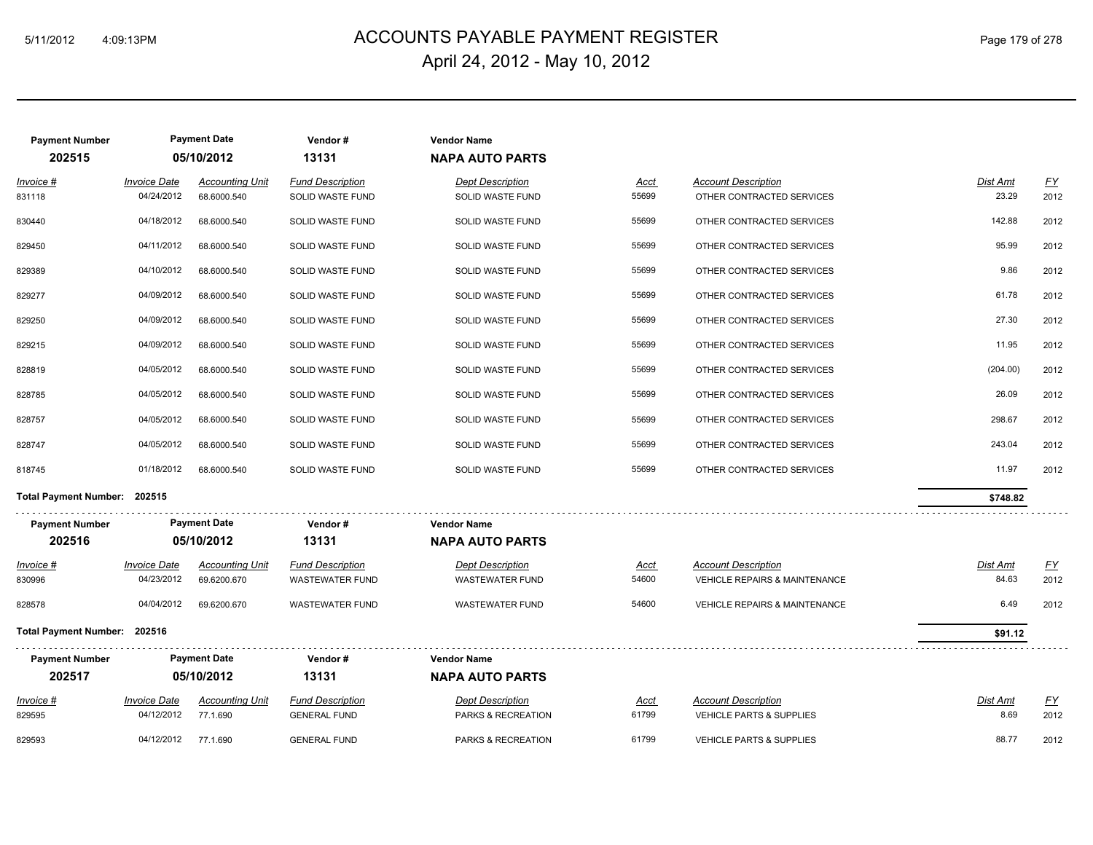## ACCOUNTS PAYABLE PAYMENT REGISTER 5/11/2012 4:09:13PM Page 179 of 278 April 24, 2012 - May 10, 2012

| <b>Payment Number</b><br>202515 | <b>Payment Date</b><br>05/10/2012            |                                       | Vendor#<br>13131                            | <b>Vendor Name</b><br><b>NAPA AUTO PARTS</b> |               |                                                         |                   |                  |
|---------------------------------|----------------------------------------------|---------------------------------------|---------------------------------------------|----------------------------------------------|---------------|---------------------------------------------------------|-------------------|------------------|
|                                 |                                              |                                       |                                             |                                              |               |                                                         |                   |                  |
| Invoice #<br>831118             | <b>Invoice Date</b><br>04/24/2012            | <b>Accounting Unit</b><br>68.6000.540 | <b>Fund Description</b><br>SOLID WASTE FUND | <b>Dept Description</b><br>SOLID WASTE FUND  | Acct<br>55699 | <b>Account Description</b><br>OTHER CONTRACTED SERVICES | Dist Amt<br>23.29 | EY<br>2012       |
|                                 |                                              |                                       |                                             |                                              |               |                                                         |                   |                  |
| 830440                          | 04/18/2012                                   | 68.6000.540                           | SOLID WASTE FUND                            | SOLID WASTE FUND                             | 55699         | OTHER CONTRACTED SERVICES                               | 142.88            | 2012             |
| 829450                          | 04/11/2012                                   | 68.6000.540                           | SOLID WASTE FUND                            | SOLID WASTE FUND                             | 55699         | OTHER CONTRACTED SERVICES                               | 95.99             | 2012             |
| 829389                          | 04/10/2012                                   | 68.6000.540                           | SOLID WASTE FUND                            | SOLID WASTE FUND                             | 55699         | OTHER CONTRACTED SERVICES                               | 9.86              | 2012             |
| 829277                          | 04/09/2012                                   | 68.6000.540                           | SOLID WASTE FUND                            | SOLID WASTE FUND                             | 55699         | OTHER CONTRACTED SERVICES                               | 61.78             | 2012             |
| 829250                          | 04/09/2012                                   | 68.6000.540                           | SOLID WASTE FUND                            | SOLID WASTE FUND                             | 55699         | OTHER CONTRACTED SERVICES                               | 27.30             | 2012             |
| 829215                          | 04/09/2012                                   | 68.6000.540                           | SOLID WASTE FUND                            | SOLID WASTE FUND                             | 55699         | OTHER CONTRACTED SERVICES                               | 11.95             | 2012             |
| 828819                          | 04/05/2012                                   | 68.6000.540                           | SOLID WASTE FUND                            | SOLID WASTE FUND                             | 55699         | OTHER CONTRACTED SERVICES                               | (204.00)          | 2012             |
| 828785                          | 04/05/2012                                   | 68.6000.540                           | SOLID WASTE FUND                            | SOLID WASTE FUND                             | 55699         | OTHER CONTRACTED SERVICES                               | 26.09             | 2012             |
| 828757                          | 04/05/2012                                   | 68.6000.540                           | SOLID WASTE FUND                            | SOLID WASTE FUND                             | 55699         | OTHER CONTRACTED SERVICES                               | 298.67            | 2012             |
| 828747                          | 04/05/2012                                   | 68.6000.540                           | SOLID WASTE FUND                            | SOLID WASTE FUND                             | 55699         | OTHER CONTRACTED SERVICES                               | 243.04            | 2012             |
| 818745                          | 01/18/2012                                   | 68.6000.540                           | SOLID WASTE FUND                            | SOLID WASTE FUND                             | 55699         | OTHER CONTRACTED SERVICES                               | 11.97             | 2012             |
| Total Payment Number: 202515    |                                              |                                       |                                             |                                              |               |                                                         | \$748.82          |                  |
| <b>Payment Number</b>           | <b>Payment Date</b>                          |                                       | Vendor#                                     | <b>Vendor Name</b>                           |               |                                                         |                   |                  |
| 202516                          | 05/10/2012                                   |                                       | 13131                                       | <b>NAPA AUTO PARTS</b>                       |               |                                                         |                   |                  |
| Invoice #                       | <b>Invoice Date</b>                          | <b>Accounting Unit</b>                | <b>Fund Description</b>                     | <b>Dept Description</b>                      | <b>Acct</b>   | <b>Account Description</b>                              | <b>Dist Amt</b>   | <u>FY</u>        |
| 830996                          | 04/23/2012                                   | 69.6200.670                           | <b>WASTEWATER FUND</b>                      | <b>WASTEWATER FUND</b>                       | 54600         | <b>VEHICLE REPAIRS &amp; MAINTENANCE</b>                | 84.63             | 2012             |
| 828578                          | 04/04/2012                                   | 69.6200.670                           | <b>WASTEWATER FUND</b>                      | <b>WASTEWATER FUND</b>                       | 54600         | <b>VEHICLE REPAIRS &amp; MAINTENANCE</b>                | 6.49              | 2012             |
| Total Payment Number: 202516    |                                              |                                       |                                             |                                              |               |                                                         | \$91.12           |                  |
|                                 | <b>Payment Date</b><br><b>Payment Number</b> |                                       | Vendor#                                     | <b>Vendor Name</b>                           |               |                                                         |                   |                  |
| 202517                          | 05/10/2012                                   |                                       | 13131                                       | <b>NAPA AUTO PARTS</b>                       |               |                                                         |                   |                  |
|                                 |                                              |                                       |                                             |                                              |               |                                                         |                   |                  |
| Invoice #                       | <b>Invoice Date</b>                          | <b>Accounting Unit</b>                | <b>Fund Description</b>                     | <b>Dept Description</b>                      | <b>Acct</b>   | <b>Account Description</b>                              | Dist Amt          | $\underline{FY}$ |
| 829595                          | 04/12/2012                                   | 77.1.690                              | <b>GENERAL FUND</b>                         | PARKS & RECREATION                           | 61799         | <b>VEHICLE PARTS &amp; SUPPLIES</b>                     | 8.69              | 2012             |
| 829593                          | 04/12/2012                                   | 77.1.690                              | <b>GENERAL FUND</b>                         | PARKS & RECREATION                           | 61799         | <b>VEHICLE PARTS &amp; SUPPLIES</b>                     | 88.77             | 2012             |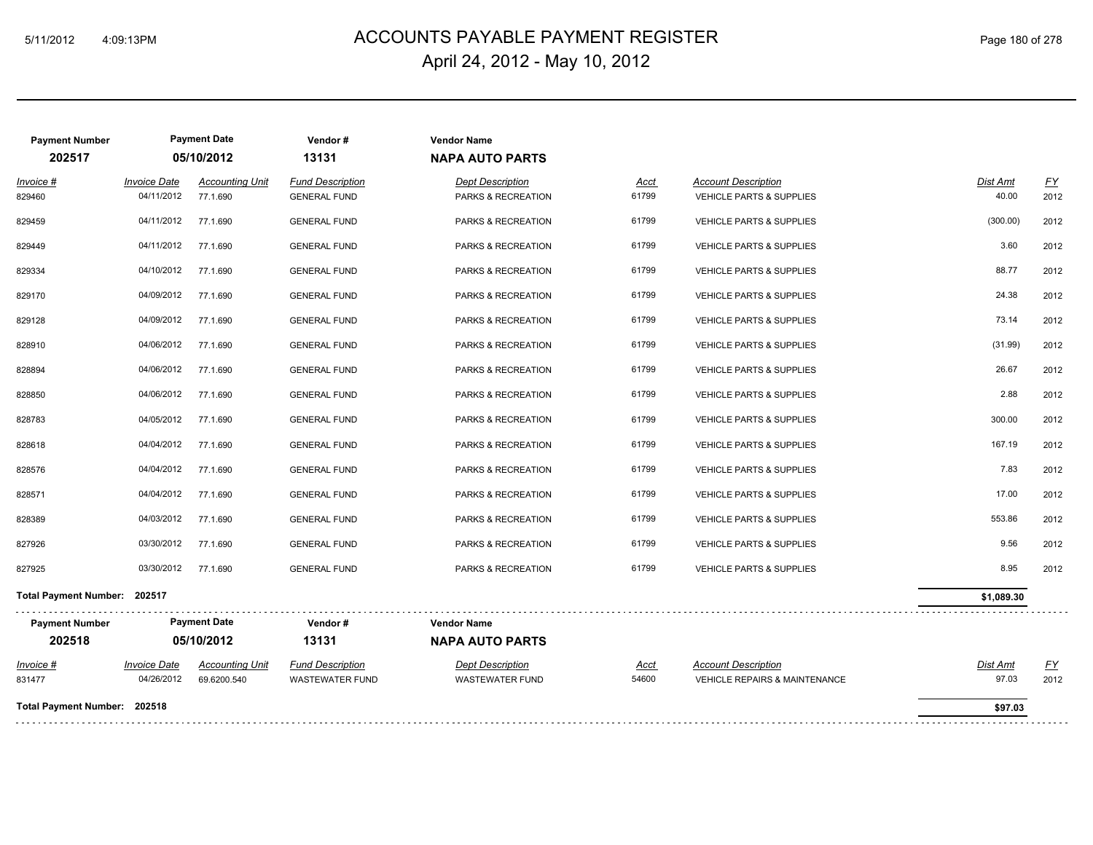# 5/11/2012 4:09:13PM ACCOUNTS PAYABLE PAYMENT REGISTER Page 180 of 278 April 24, 2012 - May 10, 2012

| <b>Payment Number</b><br>202517              | <b>Payment Date</b><br>05/10/2012 |                                       | Vendor#<br>13131                                  | <b>Vendor Name</b><br><b>NAPA AUTO PARTS</b>      |                      |                                                                   |                          |                   |
|----------------------------------------------|-----------------------------------|---------------------------------------|---------------------------------------------------|---------------------------------------------------|----------------------|-------------------------------------------------------------------|--------------------------|-------------------|
| Invoice #<br>829460                          | <b>Invoice Date</b><br>04/11/2012 | <b>Accounting Unit</b><br>77.1.690    | <b>Fund Description</b><br><b>GENERAL FUND</b>    | <b>Dept Description</b><br>PARKS & RECREATION     | Acct<br>61799        | <b>Account Description</b><br><b>VEHICLE PARTS &amp; SUPPLIES</b> | Dist Amt<br>40.00        | EY<br>2012        |
| 829459                                       | 04/11/2012                        | 77.1.690                              | <b>GENERAL FUND</b>                               | PARKS & RECREATION                                | 61799                | <b>VEHICLE PARTS &amp; SUPPLIES</b>                               | (300.00)                 | 2012              |
| 829449                                       | 04/11/2012                        | 77.1.690                              | <b>GENERAL FUND</b>                               | PARKS & RECREATION                                | 61799                | VEHICLE PARTS & SUPPLIES                                          | 3.60                     | 2012              |
| 829334                                       | 04/10/2012                        | 77.1.690                              | <b>GENERAL FUND</b>                               | PARKS & RECREATION                                | 61799                | <b>VEHICLE PARTS &amp; SUPPLIES</b>                               | 88.77                    | 2012              |
| 829170                                       | 04/09/2012                        | 77.1.690                              | <b>GENERAL FUND</b>                               | PARKS & RECREATION                                | 61799                | <b>VEHICLE PARTS &amp; SUPPLIES</b>                               | 24.38                    | 2012              |
| 829128                                       | 04/09/2012                        | 77.1.690                              | <b>GENERAL FUND</b>                               | PARKS & RECREATION                                | 61799                | <b>VEHICLE PARTS &amp; SUPPLIES</b>                               | 73.14                    | 2012              |
| 828910                                       | 04/06/2012                        | 77.1.690                              | <b>GENERAL FUND</b>                               | PARKS & RECREATION                                | 61799                | <b>VEHICLE PARTS &amp; SUPPLIES</b>                               | (31.99)                  | 2012              |
| 828894                                       | 04/06/2012                        | 77.1.690                              | <b>GENERAL FUND</b>                               | PARKS & RECREATION                                | 61799                | VEHICLE PARTS & SUPPLIES                                          | 26.67                    | 2012              |
| 828850                                       | 04/06/2012                        | 77.1.690                              | <b>GENERAL FUND</b>                               | PARKS & RECREATION                                | 61799                | <b>VEHICLE PARTS &amp; SUPPLIES</b>                               | 2.88                     | 2012              |
| 828783                                       | 04/05/2012                        | 77.1.690                              | <b>GENERAL FUND</b>                               | PARKS & RECREATION                                | 61799                | <b>VEHICLE PARTS &amp; SUPPLIES</b>                               | 300.00                   | 2012              |
| 828618                                       | 04/04/2012                        | 77.1.690                              | <b>GENERAL FUND</b>                               | PARKS & RECREATION                                | 61799                | <b>VEHICLE PARTS &amp; SUPPLIES</b>                               | 167.19                   | 2012              |
| 828576                                       | 04/04/2012                        | 77.1.690                              | <b>GENERAL FUND</b>                               | PARKS & RECREATION                                | 61799                | VEHICLE PARTS & SUPPLIES                                          | 7.83                     | 2012              |
| 828571                                       | 04/04/2012                        | 77.1.690                              | <b>GENERAL FUND</b>                               | PARKS & RECREATION                                | 61799                | <b>VEHICLE PARTS &amp; SUPPLIES</b>                               | 17.00                    | 2012              |
| 828389                                       | 04/03/2012                        | 77.1.690                              | <b>GENERAL FUND</b>                               | PARKS & RECREATION                                | 61799                | <b>VEHICLE PARTS &amp; SUPPLIES</b>                               | 553.86                   | 2012              |
| 827926                                       | 03/30/2012                        | 77.1.690                              | <b>GENERAL FUND</b>                               | PARKS & RECREATION                                | 61799                | <b>VEHICLE PARTS &amp; SUPPLIES</b>                               | 9.56                     | 2012              |
| 827925                                       | 03/30/2012                        | 77.1.690                              | <b>GENERAL FUND</b>                               | PARKS & RECREATION                                | 61799                | <b>VEHICLE PARTS &amp; SUPPLIES</b>                               | 8.95                     | 2012              |
| Total Payment Number: 202517                 |                                   |                                       |                                                   |                                                   |                      |                                                                   | \$1,089.30               |                   |
| <b>Payment Date</b><br><b>Payment Number</b> |                                   |                                       | Vendor#                                           | <b>Vendor Name</b>                                |                      |                                                                   |                          |                   |
| 202518                                       | 05/10/2012                        |                                       | 13131                                             | <b>NAPA AUTO PARTS</b>                            |                      |                                                                   |                          |                   |
| <u> Invoice #</u><br>831477                  | <b>Invoice Date</b><br>04/26/2012 | <b>Accounting Unit</b><br>69.6200.540 | <b>Fund Description</b><br><b>WASTEWATER FUND</b> | <b>Dept Description</b><br><b>WASTEWATER FUND</b> | <u>Acct</u><br>54600 | <b>Account Description</b><br>VEHICLE REPAIRS & MAINTENANCE       | <b>Dist Amt</b><br>97.03 | <u>FY</u><br>2012 |
| Total Payment Number: 202518                 |                                   |                                       |                                                   |                                                   |                      |                                                                   | \$97.03                  |                   |
|                                              |                                   |                                       |                                                   |                                                   |                      |                                                                   |                          |                   |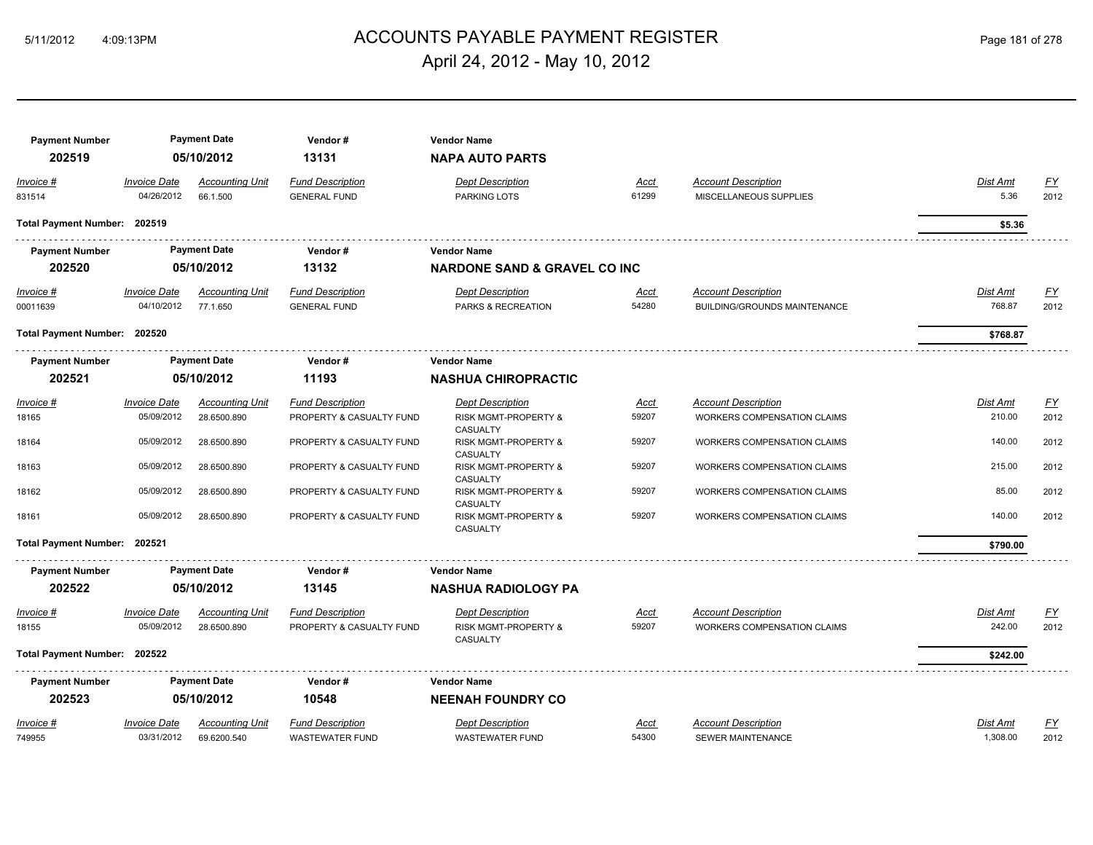## ACCOUNTS PAYABLE PAYMENT REGISTER 5/11/2012 4:09:13PM Page 181 of 278 April 24, 2012 - May 10, 2012

|                                   |                                                                                                                              | Vendor#                                                                                                                                                                               | <b>Vendor Name</b>                                |                      |                                                                   |                      |                   |
|-----------------------------------|------------------------------------------------------------------------------------------------------------------------------|---------------------------------------------------------------------------------------------------------------------------------------------------------------------------------------|---------------------------------------------------|----------------------|-------------------------------------------------------------------|----------------------|-------------------|
|                                   |                                                                                                                              | 13131                                                                                                                                                                                 | <b>NAPA AUTO PARTS</b>                            |                      |                                                                   |                      |                   |
| <b>Invoice Date</b><br>04/26/2012 | <b>Accounting Unit</b><br>66.1.500                                                                                           | <b>Fund Description</b><br><b>GENERAL FUND</b>                                                                                                                                        | <b>Dept Description</b><br>PARKING LOTS           | <u>Acct</u><br>61299 | <b>Account Description</b><br>MISCELLANEOUS SUPPLIES              | Dist Amt<br>5.36     | <u>FY</u><br>2012 |
|                                   |                                                                                                                              |                                                                                                                                                                                       |                                                   |                      |                                                                   | \$5.36               |                   |
|                                   |                                                                                                                              | Vendor#                                                                                                                                                                               | <b>Vendor Name</b>                                |                      |                                                                   |                      |                   |
|                                   |                                                                                                                              | 13132                                                                                                                                                                                 |                                                   |                      |                                                                   |                      |                   |
| <b>Invoice Date</b><br>04/10/2012 | <b>Accounting Unit</b><br>77.1.650                                                                                           | <b>Fund Description</b><br><b>GENERAL FUND</b>                                                                                                                                        | <b>Dept Description</b><br>PARKS & RECREATION     | <u>Acct</u><br>54280 | <b>Account Description</b><br><b>BUILDING/GROUNDS MAINTENANCE</b> | Dist Amt<br>768.87   | <u>FY</u><br>2012 |
|                                   |                                                                                                                              |                                                                                                                                                                                       |                                                   |                      |                                                                   | \$768.87             |                   |
|                                   |                                                                                                                              | Vendor#                                                                                                                                                                               | <b>Vendor Name</b>                                |                      |                                                                   |                      |                   |
|                                   |                                                                                                                              | 11193                                                                                                                                                                                 | <b>NASHUA CHIROPRACTIC</b>                        |                      |                                                                   |                      |                   |
| <b>Invoice Date</b>               | <b>Accounting Unit</b>                                                                                                       | <b>Fund Description</b>                                                                                                                                                               | <b>Dept Description</b>                           | <u>Acct</u>          | <b>Account Description</b>                                        | Dist Amt             | $\underline{FY}$  |
| 05/09/2012                        | 28.6500.890                                                                                                                  | PROPERTY & CASUALTY FUND                                                                                                                                                              | <b>RISK MGMT-PROPERTY &amp;</b>                   | 59207                | <b>WORKERS COMPENSATION CLAIMS</b>                                | 210.00               | 2012              |
| 05/09/2012                        | 28.6500.890                                                                                                                  | PROPERTY & CASUALTY FUND                                                                                                                                                              | RISK MGMT-PROPERTY &<br>CASUALTY                  | 59207                | WORKERS COMPENSATION CLAIMS                                       | 140.00               | 2012              |
| 05/09/2012                        | 28.6500.890                                                                                                                  | PROPERTY & CASUALTY FUND                                                                                                                                                              | RISK MGMT-PROPERTY &<br>CASUALTY                  | 59207                | <b>WORKERS COMPENSATION CLAIMS</b>                                | 215.00               | 2012              |
| 05/09/2012                        | 28.6500.890                                                                                                                  | PROPERTY & CASUALTY FUND                                                                                                                                                              | RISK MGMT-PROPERTY &<br><b>CASUALTY</b>           | 59207                | <b>WORKERS COMPENSATION CLAIMS</b>                                | 85.00                | 2012              |
| 05/09/2012                        | 28.6500.890                                                                                                                  | PROPERTY & CASUALTY FUND                                                                                                                                                              | <b>RISK MGMT-PROPERTY &amp;</b><br>CASUALTY       | 59207                | <b>WORKERS COMPENSATION CLAIMS</b>                                | 140.00               | 2012              |
|                                   |                                                                                                                              |                                                                                                                                                                                       |                                                   |                      |                                                                   | \$790.00             |                   |
|                                   |                                                                                                                              | Vendor#                                                                                                                                                                               | <b>Vendor Name</b>                                |                      |                                                                   |                      |                   |
|                                   |                                                                                                                              | 13145                                                                                                                                                                                 | <b>NASHUA RADIOLOGY PA</b>                        |                      |                                                                   |                      |                   |
| <b>Invoice Date</b>               | <b>Accounting Unit</b>                                                                                                       | <b>Fund Description</b>                                                                                                                                                               | <b>Dept Description</b>                           | Acct                 | <b>Account Description</b>                                        | Dist Amt             | <u>FY</u>         |
| 05/09/2012                        | 28.6500.890                                                                                                                  | PROPERTY & CASUALTY FUND                                                                                                                                                              | RISK MGMT-PROPERTY &<br>CASUALTY                  | 59207                | WORKERS COMPENSATION CLAIMS                                       | 242.00               | 2012              |
|                                   |                                                                                                                              |                                                                                                                                                                                       |                                                   |                      |                                                                   | \$242.00             |                   |
|                                   |                                                                                                                              | Vendor#                                                                                                                                                                               | <b>Vendor Name</b>                                |                      |                                                                   |                      |                   |
|                                   |                                                                                                                              | 10548                                                                                                                                                                                 | <b>NEENAH FOUNDRY CO</b>                          |                      |                                                                   |                      |                   |
| <b>Invoice Date</b><br>03/31/2012 | <b>Accounting Unit</b><br>69.6200.540                                                                                        | <b>Fund Description</b><br><b>WASTEWATER FUND</b>                                                                                                                                     | <b>Dept Description</b><br><b>WASTEWATER FUND</b> | Acct<br>54300        | <b>Account Description</b><br><b>SEWER MAINTENANCE</b>            | Dist Amt<br>1,308.00 | <u>FY</u><br>2012 |
|                                   | Total Payment Number: 202519<br>Total Payment Number: 202520<br>Total Payment Number: 202521<br>Total Payment Number: 202522 | <b>Payment Date</b><br>05/10/2012<br><b>Payment Date</b><br>05/10/2012<br><b>Payment Date</b><br>05/10/2012<br><b>Payment Date</b><br>05/10/2012<br><b>Payment Date</b><br>05/10/2012 |                                                   | CASUALTY             | <b>NARDONE SAND &amp; GRAVEL CO INC</b>                           |                      |                   |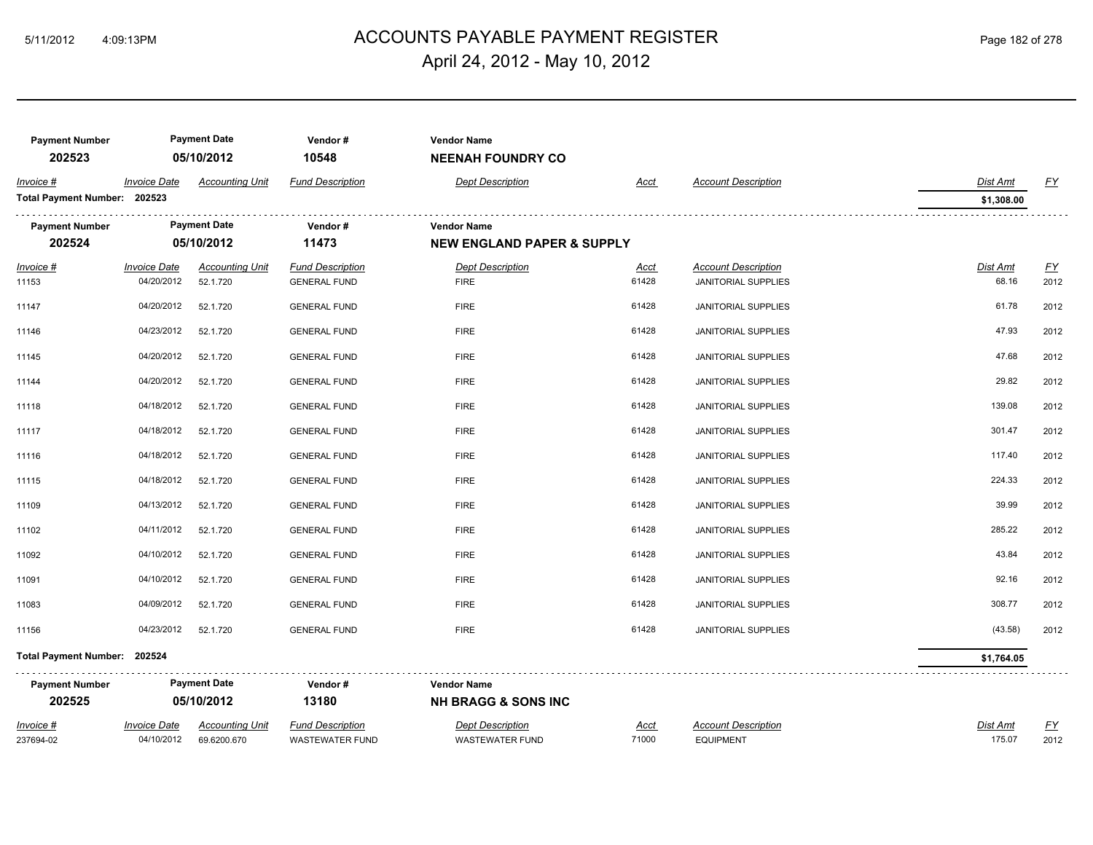## ACCOUNTS PAYABLE PAYMENT REGISTER 5/11/2012 4:09:13PM Page 182 of 278 April 24, 2012 - May 10, 2012

| <b>Payment Number</b><br>202523 |                                   | <b>Payment Date</b><br>05/10/2012     | Vendor#<br>10548                                  | <b>Vendor Name</b><br><b>NEENAH FOUNDRY CO</b>       |                      |                                                          |                          |                   |
|---------------------------------|-----------------------------------|---------------------------------------|---------------------------------------------------|------------------------------------------------------|----------------------|----------------------------------------------------------|--------------------------|-------------------|
| Invoice #                       | <b>Invoice Date</b>               | <b>Accounting Unit</b>                | <b>Fund Description</b>                           | <b>Dept Description</b>                              | Acct                 | <b>Account Description</b>                               | <b>Dist Amt</b>          | FY                |
| Total Payment Number: 202523    |                                   |                                       |                                                   |                                                      |                      |                                                          | \$1,308.00               |                   |
| <b>Payment Number</b>           |                                   | <b>Payment Date</b>                   | Vendor#                                           | <b>Vendor Name</b>                                   |                      |                                                          |                          |                   |
| 202524                          |                                   | 05/10/2012                            | 11473                                             | <b>NEW ENGLAND PAPER &amp; SUPPLY</b>                |                      |                                                          |                          |                   |
| $Invoice$ #<br>11153            | <b>Invoice Date</b><br>04/20/2012 | <b>Accounting Unit</b><br>52.1.720    | <b>Fund Description</b><br><b>GENERAL FUND</b>    | <b>Dept Description</b><br><b>FIRE</b>               | <u>Acct</u><br>61428 | <b>Account Description</b><br><b>JANITORIAL SUPPLIES</b> | <b>Dist Amt</b><br>68.16 | EY<br>2012        |
| 11147                           | 04/20/2012                        | 52.1.720                              | <b>GENERAL FUND</b>                               | <b>FIRE</b>                                          | 61428                | <b>JANITORIAL SUPPLIES</b>                               | 61.78                    | 2012              |
| 11146                           | 04/23/2012                        | 52.1.720                              | <b>GENERAL FUND</b>                               | <b>FIRE</b>                                          | 61428                | <b>JANITORIAL SUPPLIES</b>                               | 47.93                    | 2012              |
| 11145                           | 04/20/2012                        | 52.1.720                              | <b>GENERAL FUND</b>                               | <b>FIRE</b>                                          | 61428                | <b>JANITORIAL SUPPLIES</b>                               | 47.68                    | 2012              |
| 11144                           | 04/20/2012                        | 52.1.720                              | <b>GENERAL FUND</b>                               | <b>FIRE</b>                                          | 61428                | <b>JANITORIAL SUPPLIES</b>                               | 29.82                    | 2012              |
| 11118                           | 04/18/2012                        | 52.1.720                              | <b>GENERAL FUND</b>                               | <b>FIRE</b>                                          | 61428                | <b>JANITORIAL SUPPLIES</b>                               | 139.08                   | 2012              |
| 11117                           | 04/18/2012                        | 52.1.720                              | <b>GENERAL FUND</b>                               | <b>FIRE</b>                                          | 61428                | <b>JANITORIAL SUPPLIES</b>                               | 301.47                   | 2012              |
| 11116                           | 04/18/2012                        | 52.1.720                              | <b>GENERAL FUND</b>                               | <b>FIRE</b>                                          | 61428                | <b>JANITORIAL SUPPLIES</b>                               | 117.40                   | 2012              |
| 11115                           | 04/18/2012                        | 52.1.720                              | <b>GENERAL FUND</b>                               | <b>FIRE</b>                                          | 61428                | JANITORIAL SUPPLIES                                      | 224.33                   | 2012              |
| 11109                           | 04/13/2012                        | 52.1.720                              | <b>GENERAL FUND</b>                               | <b>FIRE</b>                                          | 61428                | <b>JANITORIAL SUPPLIES</b>                               | 39.99                    | 2012              |
| 11102                           | 04/11/2012                        | 52.1.720                              | <b>GENERAL FUND</b>                               | <b>FIRE</b>                                          | 61428                | <b>JANITORIAL SUPPLIES</b>                               | 285.22                   | 2012              |
| 11092                           | 04/10/2012                        | 52.1.720                              | <b>GENERAL FUND</b>                               | <b>FIRE</b>                                          | 61428                | <b>JANITORIAL SUPPLIES</b>                               | 43.84                    | 2012              |
| 11091                           | 04/10/2012                        | 52.1.720                              | <b>GENERAL FUND</b>                               | <b>FIRE</b>                                          | 61428                | <b>JANITORIAL SUPPLIES</b>                               | 92.16                    | 2012              |
| 11083                           | 04/09/2012                        | 52.1.720                              | <b>GENERAL FUND</b>                               | <b>FIRE</b>                                          | 61428                | <b>JANITORIAL SUPPLIES</b>                               | 308.77                   | 2012              |
| 11156                           | 04/23/2012                        | 52.1.720                              | <b>GENERAL FUND</b>                               | <b>FIRE</b>                                          | 61428                | <b>JANITORIAL SUPPLIES</b>                               | (43.58)                  | 2012              |
| Total Payment Number: 202524    |                                   |                                       |                                                   |                                                      |                      |                                                          | \$1,764.05               |                   |
| <b>Payment Number</b><br>202525 |                                   | <b>Payment Date</b><br>05/10/2012     | .<br>Vendor#<br>13180                             | <b>Vendor Name</b><br><b>NH BRAGG &amp; SONS INC</b> |                      |                                                          |                          |                   |
| Invoice #<br>237694-02          | <b>Invoice Date</b><br>04/10/2012 | <b>Accounting Unit</b><br>69.6200.670 | <b>Fund Description</b><br><b>WASTEWATER FUND</b> | <b>Dept Description</b><br>WASTEWATER FUND           | <u>Acct</u><br>71000 | <b>Account Description</b><br><b>EQUIPMENT</b>           | Dist Amt<br>175.07       | <u>FY</u><br>2012 |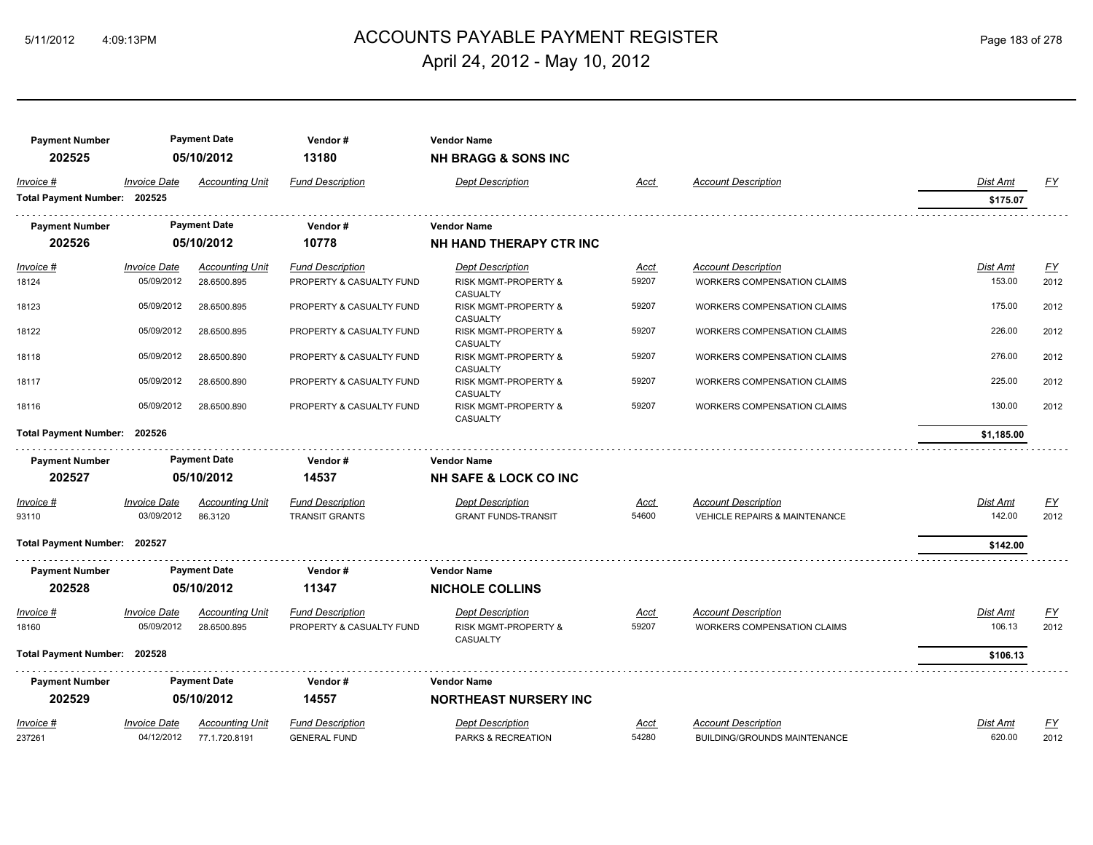## ACCOUNTS PAYABLE PAYMENT REGISTER 5/11/2012 4:09:13PM Page 183 of 278 April 24, 2012 - May 10, 2012

| <b>Payment Number</b><br>202525 |                      | <b>Payment Date</b><br>05/10/2012 | Vendor#<br>13180         | <b>Vendor Name</b><br><b>NH BRAGG &amp; SONS INC</b> |             |                                          |                 |                  |
|---------------------------------|----------------------|-----------------------------------|--------------------------|------------------------------------------------------|-------------|------------------------------------------|-----------------|------------------|
| Invoice #                       | <b>Invoice Date</b>  | <b>Accounting Unit</b>            | <b>Fund Description</b>  | <b>Dept Description</b>                              | Acct        | <b>Account Description</b>               | Dist Amt        | EY               |
| Total Payment Number: 202525    |                      |                                   |                          |                                                      |             |                                          | \$175.07        |                  |
| <b>Payment Number</b>           |                      | <b>Payment Date</b>               | Vendor#                  | <b>Vendor Name</b>                                   |             |                                          |                 |                  |
| 202526                          |                      | 05/10/2012                        | 10778                    | NH HAND THERAPY CTR INC                              |             |                                          |                 |                  |
| Invoice #                       | <u> Invoice Date</u> | <b>Accounting Unit</b>            | <b>Fund Description</b>  | <b>Dept Description</b>                              | <u>Acct</u> | <b>Account Description</b>               | <b>Dist Amt</b> | <u>FY</u>        |
| 18124                           | 05/09/2012           | 28.6500.895                       | PROPERTY & CASUALTY FUND | <b>RISK MGMT-PROPERTY &amp;</b><br>CASUALTY          | 59207       | <b>WORKERS COMPENSATION CLAIMS</b>       | 153.00          | 2012             |
| 18123                           | 05/09/2012           | 28.6500.895                       | PROPERTY & CASUALTY FUND | <b>RISK MGMT-PROPERTY &amp;</b><br>CASUALTY          | 59207       | WORKERS COMPENSATION CLAIMS              | 175.00          | 2012             |
| 18122                           | 05/09/2012           | 28.6500.895                       | PROPERTY & CASUALTY FUND | <b>RISK MGMT-PROPERTY &amp;</b><br>CASUALTY          | 59207       | <b>WORKERS COMPENSATION CLAIMS</b>       | 226.00          | 2012             |
| 18118                           | 05/09/2012           | 28.6500.890                       | PROPERTY & CASUALTY FUND | <b>RISK MGMT-PROPERTY &amp;</b><br>CASUALTY          | 59207       | <b>WORKERS COMPENSATION CLAIMS</b>       | 276.00          | 2012             |
| 18117                           | 05/09/2012           | 28.6500.890                       | PROPERTY & CASUALTY FUND | <b>RISK MGMT-PROPERTY &amp;</b><br>CASUALTY          | 59207       | WORKERS COMPENSATION CLAIMS              | 225.00          | 2012             |
| 18116                           | 05/09/2012           | 28.6500.890                       | PROPERTY & CASUALTY FUND | <b>RISK MGMT-PROPERTY &amp;</b><br>CASUALTY          | 59207       | WORKERS COMPENSATION CLAIMS              | 130.00          | 2012             |
| Total Payment Number: 202526    |                      |                                   |                          |                                                      |             |                                          | \$1,185.00      |                  |
| <b>Payment Number</b>           |                      | <b>Payment Date</b>               | Vendor#                  | <b>Vendor Name</b>                                   |             |                                          |                 |                  |
| 202527                          |                      | 05/10/2012                        | 14537                    | <b>NH SAFE &amp; LOCK CO INC</b>                     |             |                                          |                 |                  |
| Invoice #                       | <b>Invoice Date</b>  | <b>Accounting Unit</b>            | <b>Fund Description</b>  | <b>Dept Description</b>                              | <u>Acct</u> | <b>Account Description</b>               | Dist Amt        | <u>FY</u>        |
| 93110                           | 03/09/2012           | 86.3120                           | <b>TRANSIT GRANTS</b>    | <b>GRANT FUNDS-TRANSIT</b>                           | 54600       | <b>VEHICLE REPAIRS &amp; MAINTENANCE</b> | 142.00          | 2012             |
| Total Payment Number: 202527    |                      |                                   |                          |                                                      |             |                                          | \$142.00        |                  |
| <b>Payment Number</b>           |                      | <b>Payment Date</b>               | Vendor#                  | <b>Vendor Name</b>                                   |             |                                          |                 |                  |
| 202528                          |                      | 05/10/2012                        | 11347                    | <b>NICHOLE COLLINS</b>                               |             |                                          |                 |                  |
| Invoice #                       | <b>Invoice Date</b>  | <b>Accounting Unit</b>            | <b>Fund Description</b>  | <b>Dept Description</b>                              | Acct        | <b>Account Description</b>               | Dist Amt        | $\underline{FY}$ |
| 18160                           | 05/09/2012           | 28.6500.895                       | PROPERTY & CASUALTY FUND | RISK MGMT-PROPERTY &<br>CASUALTY                     | 59207       | <b>WORKERS COMPENSATION CLAIMS</b>       | 106.13          | 2012             |
| Total Payment Number: 202528    |                      |                                   |                          |                                                      |             |                                          | \$106.13        |                  |
| <b>Payment Number</b>           |                      | <b>Payment Date</b>               | Vendor#                  | <b>Vendor Name</b>                                   |             |                                          |                 |                  |
| 202529                          |                      | 05/10/2012                        | 14557                    | <b>NORTHEAST NURSERY INC</b>                         |             |                                          |                 |                  |
| Invoice #                       | <b>Invoice Date</b>  | <b>Accounting Unit</b>            | <b>Fund Description</b>  | <b>Dept Description</b>                              | Acct        | <b>Account Description</b>               | Dist Amt        | <u>FY</u>        |
| 237261                          | 04/12/2012           | 77.1.720.8191                     | <b>GENERAL FUND</b>      | PARKS & RECREATION                                   | 54280       | BUILDING/GROUNDS MAINTENANCE             | 620.00          | 2012             |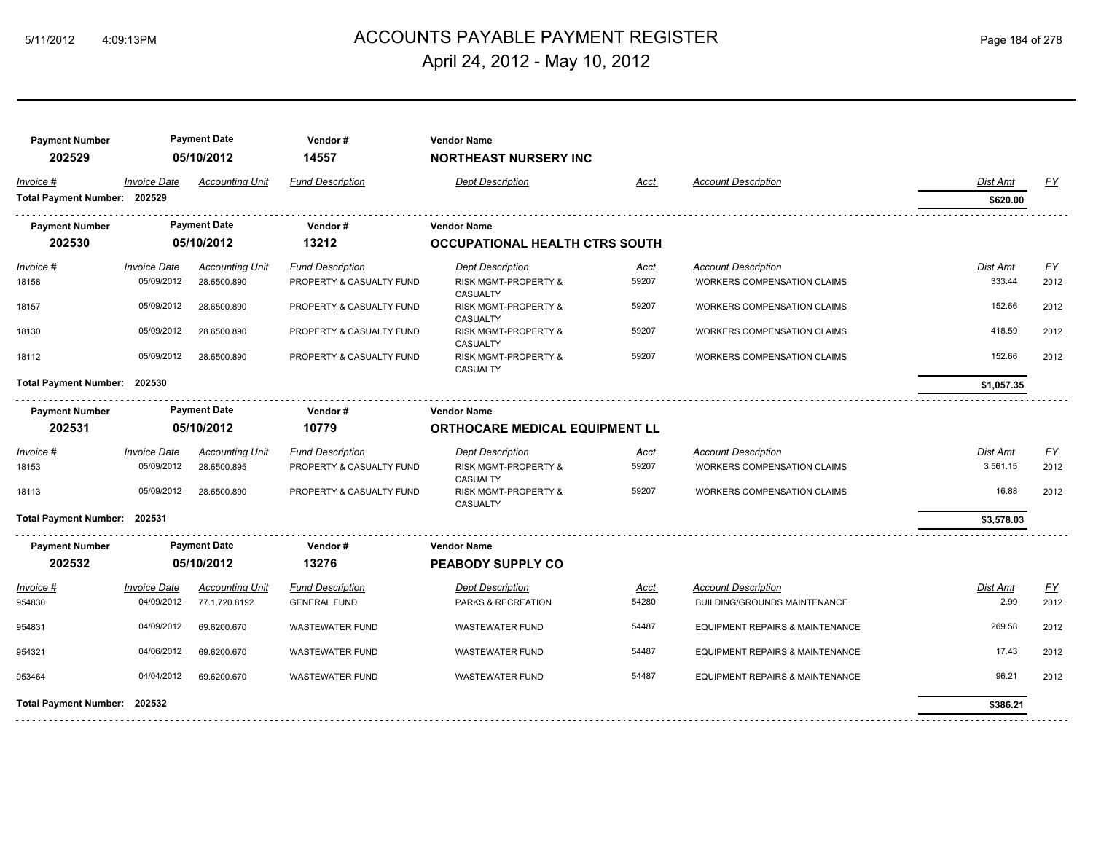## ACCOUNTS PAYABLE PAYMENT REGISTER 5/11/2012 4:09:13PM Page 184 of 278 April 24, 2012 - May 10, 2012

| <b>Payment Number</b><br>202529 |                     | <b>Payment Date</b><br>05/10/2012 | Vendor#<br>14557         | <b>Vendor Name</b><br><b>NORTHEAST NURSERY INC</b> |             |                                    |            |                  |
|---------------------------------|---------------------|-----------------------------------|--------------------------|----------------------------------------------------|-------------|------------------------------------|------------|------------------|
| Invoice #                       | <b>Invoice Date</b> | <b>Accounting Unit</b>            | <b>Fund Description</b>  | <b>Dept Description</b>                            | Acct        | <b>Account Description</b>         | Dist Amt   | <u>FY</u>        |
| Total Payment Number: 202529    |                     |                                   |                          |                                                    |             |                                    | \$620.00   |                  |
| <b>Payment Number</b>           |                     | <b>Payment Date</b>               | Vendor#                  | <b>Vendor Name</b>                                 |             |                                    |            |                  |
| 202530                          |                     | 05/10/2012                        | 13212                    | <b>OCCUPATIONAL HEALTH CTRS SOUTH</b>              |             |                                    |            |                  |
| Invoice #                       | <b>Invoice Date</b> | <b>Accounting Unit</b>            | <b>Fund Description</b>  | <b>Dept Description</b>                            | <u>Acct</u> | <b>Account Description</b>         | Dist Amt   | <u>FY</u>        |
| 18158                           | 05/09/2012          | 28.6500.890                       | PROPERTY & CASUALTY FUND | RISK MGMT-PROPERTY &<br>CASUALTY                   | 59207       | WORKERS COMPENSATION CLAIMS        | 333.44     | 2012             |
| 18157                           | 05/09/2012          | 28.6500.890                       | PROPERTY & CASUALTY FUND | <b>RISK MGMT-PROPERTY &amp;</b><br>CASUALTY        | 59207       | <b>WORKERS COMPENSATION CLAIMS</b> | 152.66     | 2012             |
| 18130                           | 05/09/2012          | 28.6500.890                       | PROPERTY & CASUALTY FUND | RISK MGMT-PROPERTY &<br><b>CASUALTY</b>            | 59207       | <b>WORKERS COMPENSATION CLAIMS</b> | 418.59     | 2012             |
| 18112                           | 05/09/2012          | 28.6500.890                       | PROPERTY & CASUALTY FUND | RISK MGMT-PROPERTY &<br><b>CASUALTY</b>            | 59207       | WORKERS COMPENSATION CLAIMS        | 152.66     | 2012             |
| Total Payment Number: 202530    |                     |                                   |                          |                                                    |             |                                    | \$1,057.35 |                  |
| <b>Payment Number</b>           |                     | <b>Payment Date</b>               | Vendor#                  | <b>Vendor Name</b>                                 |             |                                    |            |                  |
| 202531                          |                     | 05/10/2012                        | 10779                    | <b>ORTHOCARE MEDICAL EQUIPMENT LL</b>              |             |                                    |            |                  |
| Invoice #                       | <b>Invoice Date</b> | <b>Accounting Unit</b>            | <b>Fund Description</b>  | <b>Dept Description</b>                            | <b>Acct</b> | <b>Account Description</b>         | Dist Amt   | $\underline{FY}$ |
| 18153                           | 05/09/2012          | 28.6500.895                       | PROPERTY & CASUALTY FUND | <b>RISK MGMT-PROPERTY &amp;</b><br>CASUALTY        | 59207       | <b>WORKERS COMPENSATION CLAIMS</b> | 3,561.15   | 2012             |
| 18113                           | 05/09/2012          | 28.6500.890                       | PROPERTY & CASUALTY FUND | RISK MGMT-PROPERTY &<br><b>CASUALTY</b>            | 59207       | WORKERS COMPENSATION CLAIMS        | 16.88      | 2012             |
| Total Payment Number: 202531    |                     |                                   |                          |                                                    |             |                                    | \$3,578.03 |                  |
| <b>Payment Number</b>           |                     | <b>Payment Date</b>               | Vendor#                  | <b>Vendor Name</b>                                 |             |                                    |            |                  |
| 202532                          |                     | 05/10/2012                        | 13276                    | PEABODY SUPPLY CO                                  |             |                                    |            |                  |
| Invoice #                       | <b>Invoice Date</b> | <b>Accounting Unit</b>            | <b>Fund Description</b>  | <b>Dept Description</b>                            | Acct        | <b>Account Description</b>         | Dist Amt   | EY               |
| 954830                          | 04/09/2012          | 77.1.720.8192                     | <b>GENERAL FUND</b>      | PARKS & RECREATION                                 | 54280       | BUILDING/GROUNDS MAINTENANCE       | 2.99       | 2012             |
| 954831                          | 04/09/2012          | 69.6200.670                       | <b>WASTEWATER FUND</b>   | <b>WASTEWATER FUND</b>                             | 54487       | EQUIPMENT REPAIRS & MAINTENANCE    | 269.58     | 2012             |
| 954321                          | 04/06/2012          | 69.6200.670                       | <b>WASTEWATER FUND</b>   | <b>WASTEWATER FUND</b>                             | 54487       | EQUIPMENT REPAIRS & MAINTENANCE    | 17.43      | 2012             |
| 953464                          | 04/04/2012          | 69.6200.670                       | <b>WASTEWATER FUND</b>   | <b>WASTEWATER FUND</b>                             | 54487       | EQUIPMENT REPAIRS & MAINTENANCE    | 96.21      | 2012             |
| Total Payment Number: 202532    |                     |                                   |                          |                                                    |             |                                    | \$386.21   |                  |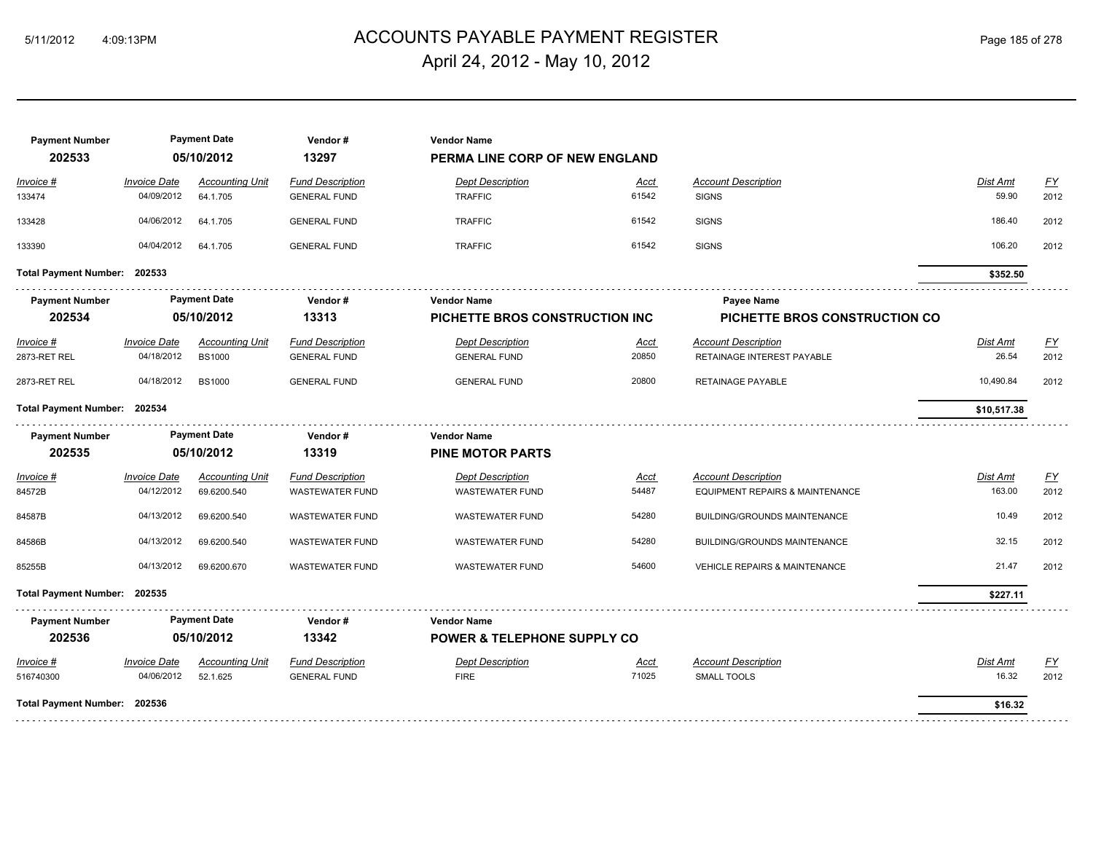## ACCOUNTS PAYABLE PAYMENT REGISTER 5/11/2012 4:09:13PM Page 185 of 278 April 24, 2012 - May 10, 2012

| <b>Payment Number</b><br>202533 |                                   | <b>Payment Date</b><br>05/10/2012       | Vendor#<br>13297                                  | <b>Vendor Name</b><br>PERMA LINE CORP OF NEW ENGLAND |                      |                                                               |                          |                                   |
|---------------------------------|-----------------------------------|-----------------------------------------|---------------------------------------------------|------------------------------------------------------|----------------------|---------------------------------------------------------------|--------------------------|-----------------------------------|
| Invoice #<br>133474             | <b>Invoice Date</b><br>04/09/2012 | <b>Accounting Unit</b><br>64.1.705      | <b>Fund Description</b><br><b>GENERAL FUND</b>    | <b>Dept Description</b><br><b>TRAFFIC</b>            | Acct<br>61542        | <b>Account Description</b><br><b>SIGNS</b>                    | Dist Amt<br>59.90        | EY<br>2012                        |
| 133428                          | 04/06/2012                        | 64.1.705                                | <b>GENERAL FUND</b>                               | <b>TRAFFIC</b>                                       | 61542                | <b>SIGNS</b>                                                  | 186.40                   | 2012                              |
| 133390                          | 04/04/2012                        | 64.1.705                                | <b>GENERAL FUND</b>                               | <b>TRAFFIC</b>                                       | 61542                | <b>SIGNS</b>                                                  | 106.20                   | 2012                              |
| Total Payment Number: 202533    |                                   |                                         |                                                   |                                                      |                      |                                                               | \$352.50                 |                                   |
| <b>Payment Number</b><br>202534 |                                   | <b>Payment Date</b><br>05/10/2012       | Vendor#<br>13313                                  | <b>Vendor Name</b><br>PICHETTE BROS CONSTRUCTION INC |                      | Payee Name<br>PICHETTE BROS CONSTRUCTION CO                   |                          |                                   |
| Invoice #<br>2873-RET REL       | <b>Invoice Date</b><br>04/18/2012 | <b>Accounting Unit</b><br><b>BS1000</b> | <b>Fund Description</b><br><b>GENERAL FUND</b>    | <b>Dept Description</b><br><b>GENERAL FUND</b>       | <b>Acct</b><br>20850 | <b>Account Description</b><br>RETAINAGE INTEREST PAYABLE      | <b>Dist Amt</b><br>26.54 | $\underline{\mathsf{FY}}$<br>2012 |
| 2873-RET REL                    | 04/18/2012                        | <b>BS1000</b>                           | <b>GENERAL FUND</b>                               | <b>GENERAL FUND</b>                                  | 20800                | RETAINAGE PAYABLE                                             | 10,490.84                | 2012                              |
| Total Payment Number: 202534    |                                   |                                         |                                                   |                                                      |                      |                                                               | \$10,517.38              |                                   |
| <b>Payment Number</b>           |                                   | <b>Payment Date</b>                     | Vendor#                                           | <b>Vendor Name</b>                                   |                      |                                                               |                          |                                   |
| 202535                          |                                   | 05/10/2012                              | 13319                                             | <b>PINE MOTOR PARTS</b>                              |                      |                                                               |                          |                                   |
| Invoice #<br>84572B             | <b>Invoice Date</b><br>04/12/2012 | <b>Accounting Unit</b><br>69.6200.540   | <b>Fund Description</b><br><b>WASTEWATER FUND</b> | <b>Dept Description</b><br><b>WASTEWATER FUND</b>    | <b>Acct</b><br>54487 | <b>Account Description</b><br>EQUIPMENT REPAIRS & MAINTENANCE | Dist Amt<br>163.00       | $\underline{\mathsf{FY}}$<br>2012 |
| 84587B                          | 04/13/2012                        | 69.6200.540                             | <b>WASTEWATER FUND</b>                            | <b>WASTEWATER FUND</b>                               | 54280                | BUILDING/GROUNDS MAINTENANCE                                  | 10.49                    | 2012                              |
| 84586B                          | 04/13/2012                        | 69.6200.540                             | <b>WASTEWATER FUND</b>                            | <b>WASTEWATER FUND</b>                               | 54280                | <b>BUILDING/GROUNDS MAINTENANCE</b>                           | 32.15                    | 2012                              |
| 85255B                          | 04/13/2012                        | 69.6200.670                             | <b>WASTEWATER FUND</b>                            | <b>WASTEWATER FUND</b>                               | 54600                | <b>VEHICLE REPAIRS &amp; MAINTENANCE</b>                      | 21.47                    | 2012                              |
| Total Payment Number: 202535    |                                   |                                         |                                                   |                                                      |                      |                                                               | \$227.11                 |                                   |
| <b>Payment Number</b>           |                                   | <b>Payment Date</b>                     | Vendor#                                           | <b>Vendor Name</b>                                   |                      |                                                               |                          |                                   |
| 202536                          |                                   | 05/10/2012                              | 13342                                             | <b>POWER &amp; TELEPHONE SUPPLY CO</b>               |                      |                                                               |                          |                                   |
| Invoice #<br>516740300          | <b>Invoice Date</b><br>04/06/2012 | <b>Accounting Unit</b><br>52.1.625      | <b>Fund Description</b><br><b>GENERAL FUND</b>    | <b>Dept Description</b><br><b>FIRE</b>               | Acct<br>71025        | <b>Account Description</b><br>SMALL TOOLS                     | Dist Amt<br>16.32        | $\underline{FY}$<br>2012          |
| Total Payment Number: 202536    |                                   |                                         |                                                   |                                                      |                      |                                                               | \$16.32                  |                                   |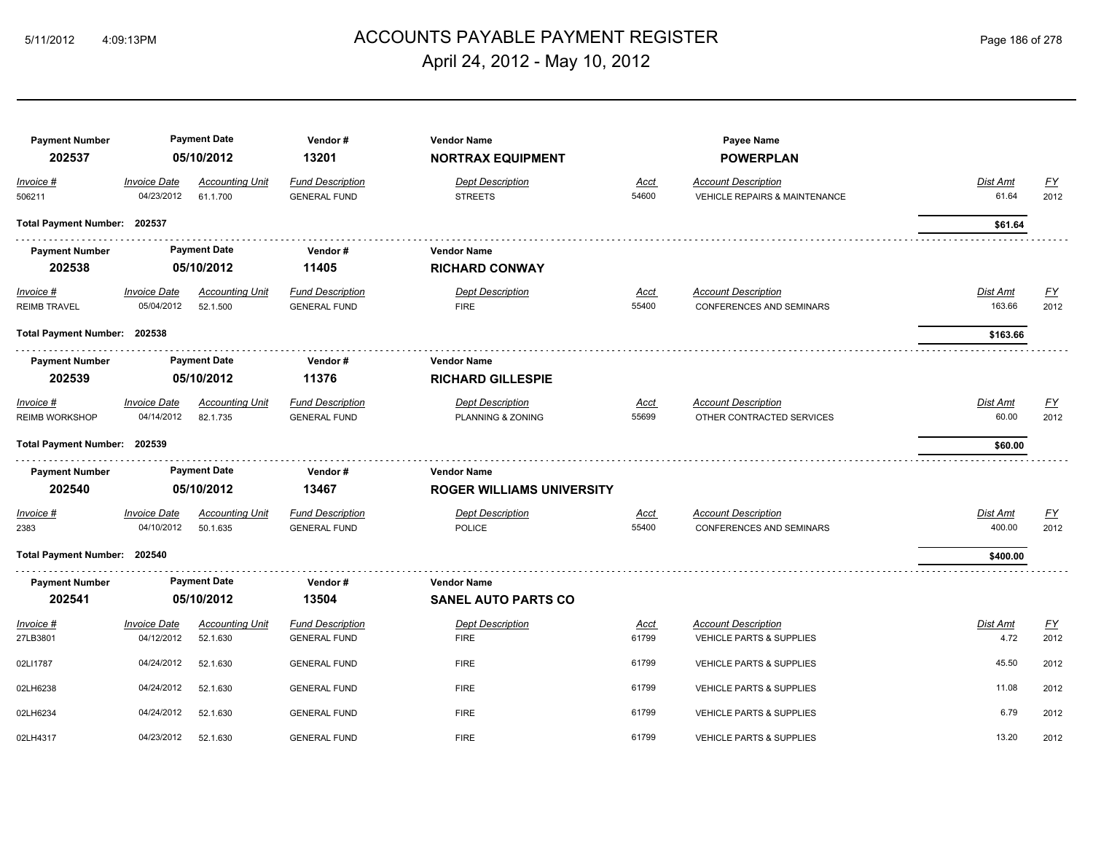#### ACCOUNTS PAYABLE PAYMENT REGISTER 5/11/2012 4:09:13PM Page 186 of 278 April 24, 2012 - May 10, 2012

**Payment Number Payment Date Vendor # Vendor Name Payee Name 202537 05/10/2012 13201 NORTRAX EQUIPMENT POWERPLAN** *Invoice # Invoice Date Accounting Unit Fund Description Dept Description Acct Account Description Dist Amt FY* 506211 04/23/2012 61.1.700 GENERAL FUND STREETS 54600 VEHICLE REPAIRS & MAINTENANCE 61.64 2012 **Total Payment Number: 202537 \$61.64 Payment Number Payment Date Vendor # Vendor Name 202538 05/10/2012 11405 RICHARD CONWAY** *Invoice # Invoice Date Accounting Unit Fund Description Dept Description Acct Account Description Dist Amt FY* REIMB TRAVEL 05/04/2012 52.1.500 GENERAL FUND FIRE FIRE 55400 CONFERENCES AND SEMINARS 163.66 2012 **Total Payment Number: 202538 \$163.66**  . . . . . . . . . . . . . . \_<del>\_\_\_\_\_\_\_\_\_\_\_\_\_\_\_\_\_\_\_\_\_</del>\_\_\_\_\_\_\_ **Payment Number Payment Date Vendor # Vendor Name 202539 05/10/2012 11376 RICHARD GILLESPIE** *Invoice # Invoice Date Accounting Unit Fund Description Dept Description Acct Account Description Dist Amt FY* REIMB WORKSHOP 04/14/2012 82.1.735 GENERAL FUND PLANNING & ZONING 55699 OTHER CONTRACTED SERVICES 60.00 2012 **Total Payment Number: 202539 \$60.00 Payment Number Payment Date Vendor # Vendor Name 202540 05/10/2012 13467 ROGER WILLIAMS UNIVERSITY** *Invoice # Invoice Date Accounting Unit Fund Description Dept Description Acct Account Description Dist Amt FY* 2383 04/10/2012 50.1.635 GENERAL FUND POLICE POLICE 55400 CONFERENCES AND SEMINARS 400.00 2012 **Total Payment Number: 202540 \$400.00 Payment Number Payment Date Vendor # Vendor Name 202541 05/10/2012 13504 SANEL AUTO PARTS CO** *Invoice # Invoice Date Accounting Unit Fund Description Dept Description Acct Account Description Dist Amt FY* 27LB3801 04/12/2012 52.1.630 GENERAL FUND 61799 VEHICLE PARTS & SUPPLIES 4.72 2012 02LI1787 04/24/2012 52.1.630 GENERAL FUND 61799 VEHICLE PARTS & SUPPLIES 45.50 2012 02LH6238 04/24/2012 52.1.630 GENERAL FUND 61799 VEHICLE PARTS & SUPPLIES 11.08 2012 02LH6234 04/24/2012 52.1.630 GENERAL FUND 61799 VEHICLE PARTS & SUPPLIES 6.79 2012 02LH4317 04/23/2012 52.1.630 GENERAL FUND 61799 VEHICLE PARTS & SUPPLIES 13.20 2012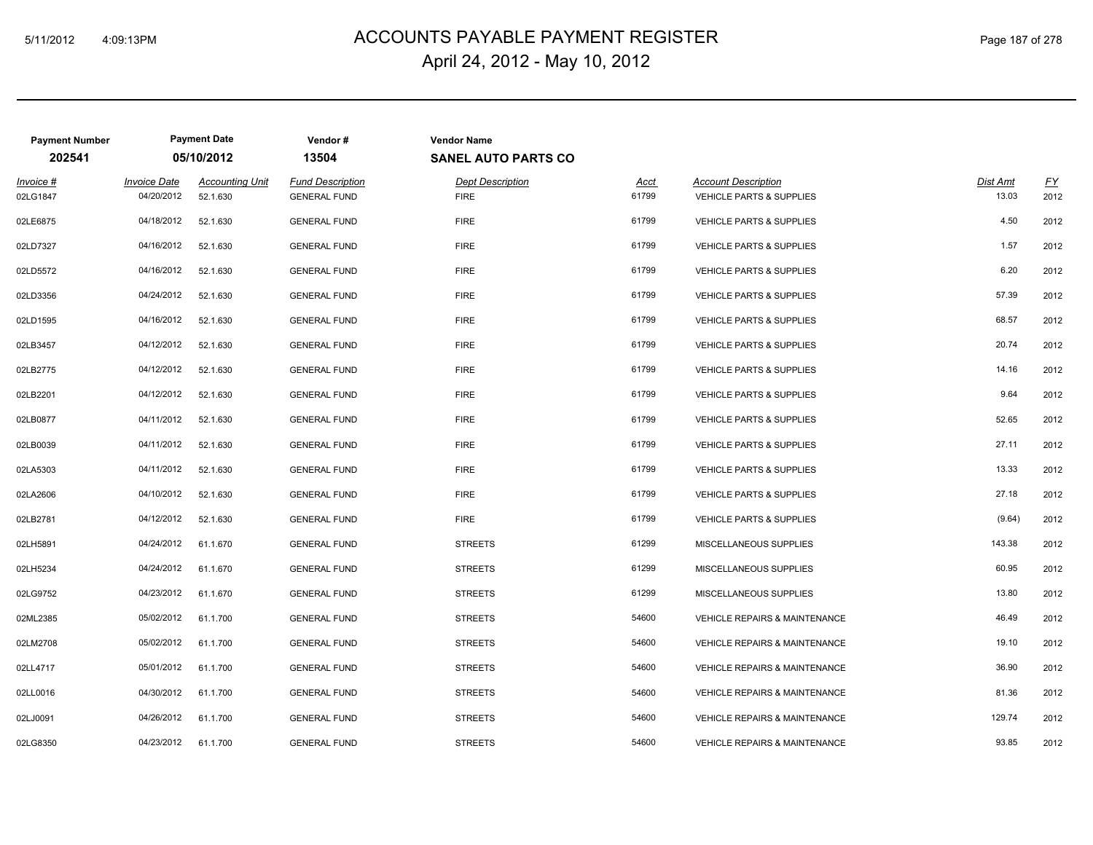## ACCOUNTS PAYABLE PAYMENT REGISTER 5/11/2012 4:09:13PM Page 187 of 278 April 24, 2012 - May 10, 2012

| <b>Payment Number</b><br>202541 |                                   | <b>Payment Date</b><br>05/10/2012  | Vendor#<br>13504                               | <b>Vendor Name</b><br><b>SANEL AUTO PARTS CO</b> |                      |                                                                   |                   |            |
|---------------------------------|-----------------------------------|------------------------------------|------------------------------------------------|--------------------------------------------------|----------------------|-------------------------------------------------------------------|-------------------|------------|
| Invoice #<br>02LG1847           | <b>Invoice Date</b><br>04/20/2012 | <b>Accounting Unit</b><br>52.1.630 | <b>Fund Description</b><br><b>GENERAL FUND</b> | <b>Dept Description</b><br><b>FIRE</b>           | <b>Acct</b><br>61799 | <b>Account Description</b><br><b>VEHICLE PARTS &amp; SUPPLIES</b> | Dist Amt<br>13.03 | EY<br>2012 |
| 02LE6875                        | 04/18/2012                        | 52.1.630                           | <b>GENERAL FUND</b>                            | <b>FIRE</b>                                      | 61799                | <b>VEHICLE PARTS &amp; SUPPLIES</b>                               | 4.50              | 2012       |
| 02LD7327                        | 04/16/2012                        | 52.1.630                           | <b>GENERAL FUND</b>                            | <b>FIRE</b>                                      | 61799                | <b>VEHICLE PARTS &amp; SUPPLIES</b>                               | 1.57              | 2012       |
| 02LD5572                        | 04/16/2012                        | 52.1.630                           | <b>GENERAL FUND</b>                            | <b>FIRE</b>                                      | 61799                | <b>VEHICLE PARTS &amp; SUPPLIES</b>                               | 6.20              | 2012       |
| 02LD3356                        | 04/24/2012                        | 52.1.630                           | <b>GENERAL FUND</b>                            | <b>FIRE</b>                                      | 61799                | <b>VEHICLE PARTS &amp; SUPPLIES</b>                               | 57.39             | 2012       |
| 02LD1595                        | 04/16/2012                        | 52.1.630                           | <b>GENERAL FUND</b>                            | <b>FIRE</b>                                      | 61799                | <b>VEHICLE PARTS &amp; SUPPLIES</b>                               | 68.57             | 2012       |
| 02LB3457                        | 04/12/2012                        | 52.1.630                           | <b>GENERAL FUND</b>                            | <b>FIRE</b>                                      | 61799                | <b>VEHICLE PARTS &amp; SUPPLIES</b>                               | 20.74             | 2012       |
| 02LB2775                        | 04/12/2012                        | 52.1.630                           | <b>GENERAL FUND</b>                            | <b>FIRE</b>                                      | 61799                | <b>VEHICLE PARTS &amp; SUPPLIES</b>                               | 14.16             | 2012       |
| 02LB2201                        | 04/12/2012                        | 52.1.630                           | <b>GENERAL FUND</b>                            | <b>FIRE</b>                                      | 61799                | VEHICLE PARTS & SUPPLIES                                          | 9.64              | 2012       |
| 02LB0877                        | 04/11/2012                        | 52.1.630                           | <b>GENERAL FUND</b>                            | <b>FIRE</b>                                      | 61799                | VEHICLE PARTS & SUPPLIES                                          | 52.65             | 2012       |
| 02LB0039                        | 04/11/2012                        | 52.1.630                           | <b>GENERAL FUND</b>                            | <b>FIRE</b>                                      | 61799                | <b>VEHICLE PARTS &amp; SUPPLIES</b>                               | 27.11             | 2012       |
| 02LA5303                        | 04/11/2012                        | 52.1.630                           | <b>GENERAL FUND</b>                            | <b>FIRE</b>                                      | 61799                | <b>VEHICLE PARTS &amp; SUPPLIES</b>                               | 13.33             | 2012       |
| 02LA2606                        | 04/10/2012                        | 52.1.630                           | <b>GENERAL FUND</b>                            | <b>FIRE</b>                                      | 61799                | <b>VEHICLE PARTS &amp; SUPPLIES</b>                               | 27.18             | 2012       |
| 02LB2781                        | 04/12/2012                        | 52.1.630                           | <b>GENERAL FUND</b>                            | <b>FIRE</b>                                      | 61799                | <b>VEHICLE PARTS &amp; SUPPLIES</b>                               | (9.64)            | 2012       |
| 02LH5891                        | 04/24/2012                        | 61.1.670                           | <b>GENERAL FUND</b>                            | <b>STREETS</b>                                   | 61299                | MISCELLANEOUS SUPPLIES                                            | 143.38            | 2012       |
| 02LH5234                        | 04/24/2012                        | 61.1.670                           | <b>GENERAL FUND</b>                            | <b>STREETS</b>                                   | 61299                | MISCELLANEOUS SUPPLIES                                            | 60.95             | 2012       |
| 02LG9752                        | 04/23/2012                        | 61.1.670                           | <b>GENERAL FUND</b>                            | <b>STREETS</b>                                   | 61299                | MISCELLANEOUS SUPPLIES                                            | 13.80             | 2012       |
| 02ML2385                        | 05/02/2012                        | 61.1.700                           | <b>GENERAL FUND</b>                            | <b>STREETS</b>                                   | 54600                | VEHICLE REPAIRS & MAINTENANCE                                     | 46.49             | 2012       |
| 02LM2708                        | 05/02/2012                        | 61.1.700                           | <b>GENERAL FUND</b>                            | <b>STREETS</b>                                   | 54600                | VEHICLE REPAIRS & MAINTENANCE                                     | 19.10             | 2012       |
| 02LL4717                        | 05/01/2012                        | 61.1.700                           | <b>GENERAL FUND</b>                            | <b>STREETS</b>                                   | 54600                | VEHICLE REPAIRS & MAINTENANCE                                     | 36.90             | 2012       |
| 02LL0016                        | 04/30/2012                        | 61.1.700                           | <b>GENERAL FUND</b>                            | <b>STREETS</b>                                   | 54600                | VEHICLE REPAIRS & MAINTENANCE                                     | 81.36             | 2012       |
| 02LJ0091                        | 04/26/2012                        | 61.1.700                           | <b>GENERAL FUND</b>                            | <b>STREETS</b>                                   | 54600                | VEHICLE REPAIRS & MAINTENANCE                                     | 129.74            | 2012       |
| 02LG8350                        | 04/23/2012                        | 61.1.700                           | <b>GENERAL FUND</b>                            | <b>STREETS</b>                                   | 54600                | <b>VEHICLE REPAIRS &amp; MAINTENANCE</b>                          | 93.85             | 2012       |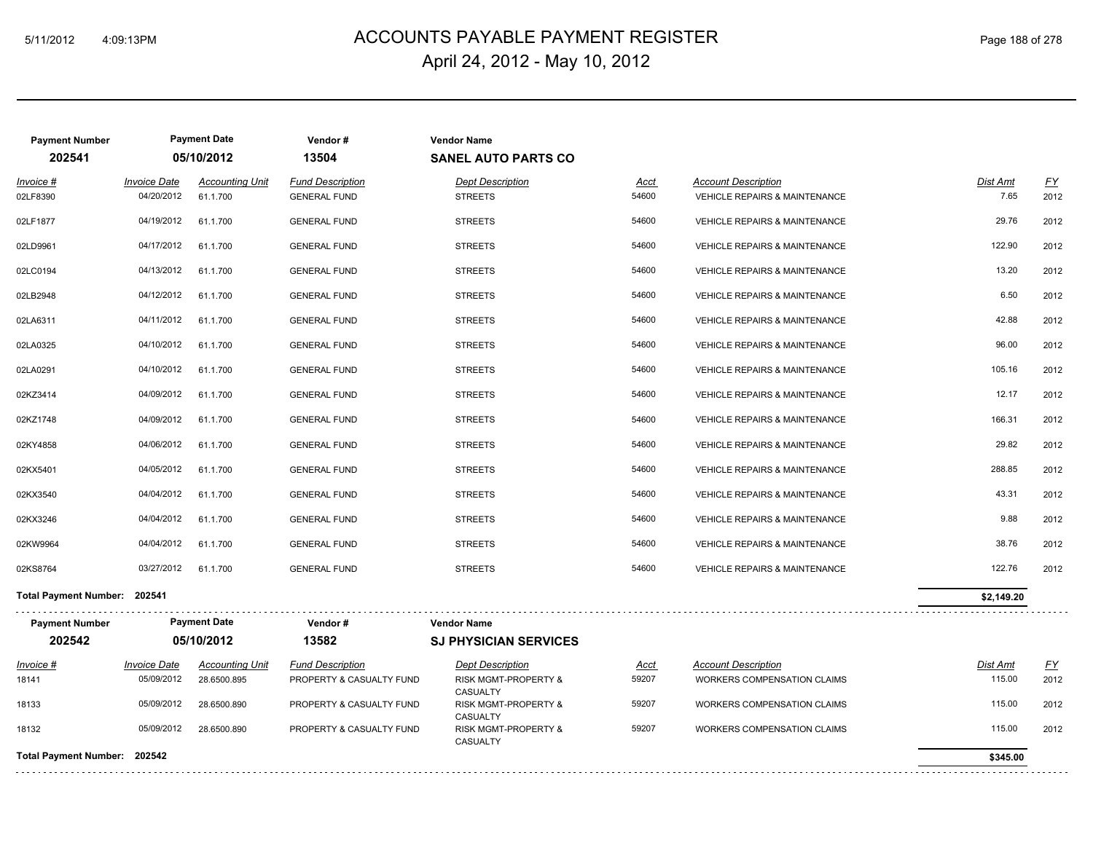## ACCOUNTS PAYABLE PAYMENT REGISTER 5/11/2012 4:09:13PM Page 188 of 278 April 24, 2012 - May 10, 2012

| <b>Payment Number</b><br>202541 |                                   | <b>Payment Date</b><br>05/10/2012  | Vendor#<br>13504                               | <b>Vendor Name</b><br><b>SANEL AUTO PARTS CO</b> |               |                                                                        |                  |            |
|---------------------------------|-----------------------------------|------------------------------------|------------------------------------------------|--------------------------------------------------|---------------|------------------------------------------------------------------------|------------------|------------|
| Invoice #<br>02LF8390           | <b>Invoice Date</b><br>04/20/2012 | <b>Accounting Unit</b><br>61.1.700 | <b>Fund Description</b><br><b>GENERAL FUND</b> | <b>Dept Description</b><br><b>STREETS</b>        | Acct<br>54600 | <b>Account Description</b><br><b>VEHICLE REPAIRS &amp; MAINTENANCE</b> | Dist Amt<br>7.65 | EY<br>2012 |
| 02LF1877                        | 04/19/2012                        | 61.1.700                           | <b>GENERAL FUND</b>                            | <b>STREETS</b>                                   | 54600         | <b>VEHICLE REPAIRS &amp; MAINTENANCE</b>                               | 29.76            | 2012       |
| 02LD9961                        | 04/17/2012                        | 61.1.700                           | <b>GENERAL FUND</b>                            | <b>STREETS</b>                                   | 54600         | <b>VEHICLE REPAIRS &amp; MAINTENANCE</b>                               | 122.90           | 2012       |
| 02LC0194                        | 04/13/2012                        | 61.1.700                           | <b>GENERAL FUND</b>                            | <b>STREETS</b>                                   | 54600         | VEHICLE REPAIRS & MAINTENANCE                                          | 13.20            | 2012       |
| 02LB2948                        | 04/12/2012                        | 61.1.700                           | <b>GENERAL FUND</b>                            | <b>STREETS</b>                                   | 54600         | <b>VEHICLE REPAIRS &amp; MAINTENANCE</b>                               | 6.50             | 2012       |
| 02LA6311                        | 04/11/2012                        | 61.1.700                           | <b>GENERAL FUND</b>                            | <b>STREETS</b>                                   | 54600         | <b>VEHICLE REPAIRS &amp; MAINTENANCE</b>                               | 42.88            | 2012       |
| 02LA0325                        | 04/10/2012                        | 61.1.700                           | <b>GENERAL FUND</b>                            | <b>STREETS</b>                                   | 54600         | <b>VEHICLE REPAIRS &amp; MAINTENANCE</b>                               | 96.00            | 2012       |
| 02LA0291                        | 04/10/2012                        | 61.1.700                           | <b>GENERAL FUND</b>                            | <b>STREETS</b>                                   | 54600         | <b>VEHICLE REPAIRS &amp; MAINTENANCE</b>                               | 105.16           | 2012       |
| 02KZ3414                        | 04/09/2012                        | 61.1.700                           | <b>GENERAL FUND</b>                            | <b>STREETS</b>                                   | 54600         | VEHICLE REPAIRS & MAINTENANCE                                          | 12.17            | 2012       |
| 02KZ1748                        | 04/09/2012                        | 61.1.700                           | <b>GENERAL FUND</b>                            | <b>STREETS</b>                                   | 54600         | VEHICLE REPAIRS & MAINTENANCE                                          | 166.31           | 2012       |
| 02KY4858                        | 04/06/2012                        | 61.1.700                           | <b>GENERAL FUND</b>                            | <b>STREETS</b>                                   | 54600         | <b>VEHICLE REPAIRS &amp; MAINTENANCE</b>                               | 29.82            | 2012       |
| 02KX5401                        | 04/05/2012                        | 61.1.700                           | <b>GENERAL FUND</b>                            | <b>STREETS</b>                                   | 54600         | <b>VEHICLE REPAIRS &amp; MAINTENANCE</b>                               | 288.85           | 2012       |
| 02KX3540                        | 04/04/2012                        | 61.1.700                           | <b>GENERAL FUND</b>                            | <b>STREETS</b>                                   | 54600         | <b>VEHICLE REPAIRS &amp; MAINTENANCE</b>                               | 43.31            | 2012       |
| 02KX3246                        | 04/04/2012                        | 61.1.700                           | <b>GENERAL FUND</b>                            | <b>STREETS</b>                                   | 54600         | <b>VEHICLE REPAIRS &amp; MAINTENANCE</b>                               | 9.88             | 2012       |
| 02KW9964                        | 04/04/2012                        | 61.1.700                           | <b>GENERAL FUND</b>                            | <b>STREETS</b>                                   | 54600         | VEHICLE REPAIRS & MAINTENANCE                                          | 38.76            | 2012       |
| 02KS8764                        | 03/27/2012                        | 61.1.700                           | <b>GENERAL FUND</b>                            | <b>STREETS</b>                                   | 54600         | <b>VEHICLE REPAIRS &amp; MAINTENANCE</b>                               | 122.76           | 2012       |
| Total Payment Number: 202541    |                                   |                                    |                                                |                                                  |               |                                                                        | \$2,149.20       |            |
| <b>Payment Number</b>           |                                   | <b>Payment Date</b>                | Vendor#                                        | <b>Vendor Name</b>                               |               |                                                                        |                  |            |
| 202542                          |                                   | 05/10/2012                         | 13582                                          | <b>SJ PHYSICIAN SERVICES</b>                     |               |                                                                        |                  |            |
| <u>Invoice #</u>                | <b>Invoice Date</b>               | <b>Accounting Unit</b>             | <b>Fund Description</b>                        | <b>Dept Description</b>                          | <u>Acct</u>   | <b>Account Description</b>                                             | <b>Dist Amt</b>  | <u>FY</u>  |
| 18141                           | 05/09/2012                        | 28.6500.895                        | PROPERTY & CASUALTY FUND                       | RISK MGMT-PROPERTY &<br>CASUALTY                 | 59207         | <b>WORKERS COMPENSATION CLAIMS</b>                                     | 115.00           | 2012       |
| 18133                           | 05/09/2012                        | 28.6500.890                        | PROPERTY & CASUALTY FUND                       | RISK MGMT-PROPERTY &<br>CASUALTY                 | 59207         | WORKERS COMPENSATION CLAIMS                                            | 115.00           | 2012       |
| 18132                           | 05/09/2012                        | 28.6500.890                        | PROPERTY & CASUALTY FUND                       | RISK MGMT-PROPERTY &<br>CASUALTY                 | 59207         | <b>WORKERS COMPENSATION CLAIMS</b>                                     | 115.00           | 2012       |
| Total Payment Number: 202542    |                                   |                                    |                                                |                                                  |               |                                                                        | \$345.00         |            |
|                                 |                                   |                                    |                                                |                                                  |               |                                                                        |                  |            |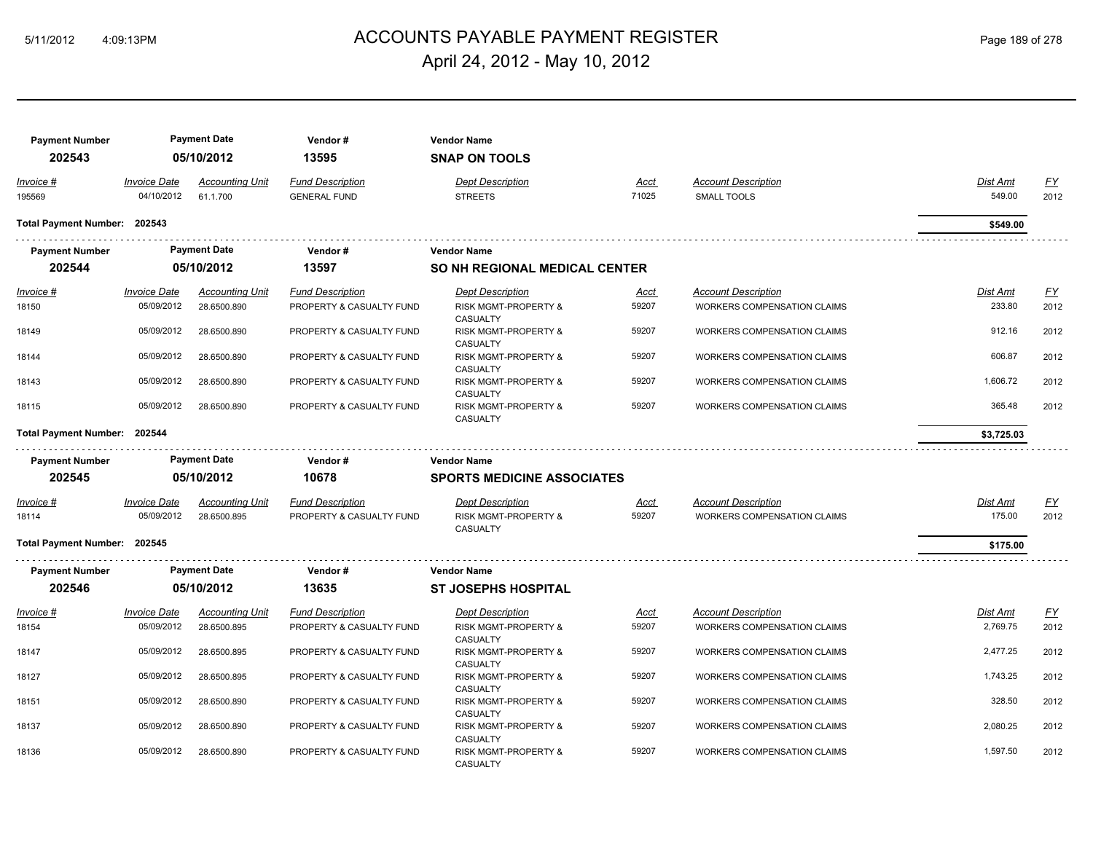## ACCOUNTS PAYABLE PAYMENT REGISTER 5/11/2012 4:09:13PM Page 189 of 278 April 24, 2012 - May 10, 2012

| <b>Payment Number</b>        |                                   | <b>Payment Date</b>                | Vendor#                                        | <b>Vendor Name</b>                                                    |               |                                                                  |                    |                   |
|------------------------------|-----------------------------------|------------------------------------|------------------------------------------------|-----------------------------------------------------------------------|---------------|------------------------------------------------------------------|--------------------|-------------------|
| 202543                       |                                   | 05/10/2012                         | 13595                                          | <b>SNAP ON TOOLS</b>                                                  |               |                                                                  |                    |                   |
| Invoice #<br>195569          | <b>Invoice Date</b><br>04/10/2012 | <b>Accounting Unit</b><br>61.1.700 | <b>Fund Description</b><br><b>GENERAL FUND</b> | <b>Dept Description</b><br><b>STREETS</b>                             | Acct<br>71025 | <b>Account Description</b><br><b>SMALL TOOLS</b>                 | Dist Amt<br>549.00 | <u>FY</u><br>2012 |
| Total Payment Number: 202543 |                                   |                                    |                                                |                                                                       |               |                                                                  | \$549.00           |                   |
| <b>Payment Number</b>        |                                   | <b>Payment Date</b>                | Vendor#                                        | <b>Vendor Name</b>                                                    |               |                                                                  |                    |                   |
| 202544                       |                                   | 05/10/2012                         | 13597                                          | <b>SO NH REGIONAL MEDICAL CENTER</b>                                  |               |                                                                  |                    |                   |
| Invoice #                    | <b>Invoice Date</b>               | <b>Accounting Unit</b>             | <b>Fund Description</b>                        | <b>Dept Description</b>                                               | <u>Acct</u>   | <b>Account Description</b>                                       | <b>Dist Amt</b>    | <u>FY</u>         |
| 18150                        | 05/09/2012                        | 28.6500.890                        | PROPERTY & CASUALTY FUND                       | RISK MGMT-PROPERTY &<br><b>CASUALTY</b>                               | 59207         | WORKERS COMPENSATION CLAIMS                                      | 233.80             | 2012              |
| 18149                        | 05/09/2012                        | 28.6500.890                        | PROPERTY & CASUALTY FUND                       | RISK MGMT-PROPERTY &<br><b>CASUALTY</b>                               | 59207         | WORKERS COMPENSATION CLAIMS                                      | 912.16             | 2012              |
| 18144                        | 05/09/2012                        | 28.6500.890                        | PROPERTY & CASUALTY FUND                       | <b>RISK MGMT-PROPERTY &amp;</b><br><b>CASUALTY</b>                    | 59207         | <b>WORKERS COMPENSATION CLAIMS</b>                               | 606.87             | 2012              |
| 18143                        | 05/09/2012                        | 28.6500.890                        | PROPERTY & CASUALTY FUND                       | <b>RISK MGMT-PROPERTY &amp;</b><br>CASUALTY                           | 59207         | <b>WORKERS COMPENSATION CLAIMS</b>                               | 1,606.72           | 2012              |
| 18115                        | 05/09/2012                        | 28.6500.890                        | PROPERTY & CASUALTY FUND                       | RISK MGMT-PROPERTY &<br>CASUALTY                                      | 59207         | <b>WORKERS COMPENSATION CLAIMS</b>                               | 365.48             | 2012              |
| Total Payment Number: 202544 |                                   |                                    |                                                |                                                                       |               |                                                                  | \$3,725.03         |                   |
| <b>Payment Number</b>        |                                   | <b>Payment Date</b>                | Vendor#                                        | <b>Vendor Name</b>                                                    |               |                                                                  |                    |                   |
| 202545                       |                                   | 05/10/2012                         | 10678                                          | <b>SPORTS MEDICINE ASSOCIATES</b>                                     |               |                                                                  |                    |                   |
| Invoice #                    |                                   |                                    |                                                | <b>Dept Description</b>                                               |               | <b>Account Description</b>                                       |                    | <u>FY</u>         |
|                              | <b>Invoice Date</b>               | <b>Accounting Unit</b>             | <b>Fund Description</b>                        |                                                                       | Acct          |                                                                  | Dist Amt           |                   |
| 18114                        | 05/09/2012                        | 28.6500.895                        | PROPERTY & CASUALTY FUND                       | RISK MGMT-PROPERTY &<br>CASUALTY                                      | 59207         | WORKERS COMPENSATION CLAIMS                                      | 175.00             | 2012              |
| Total Payment Number: 202545 |                                   |                                    |                                                |                                                                       |               |                                                                  | \$175.00           |                   |
| <b>Payment Number</b>        |                                   | <b>Payment Date</b>                | Vendor#                                        | <b>Vendor Name</b>                                                    |               |                                                                  |                    |                   |
| 202546                       |                                   | 05/10/2012                         | 13635                                          | <b>ST JOSEPHS HOSPITAL</b>                                            |               |                                                                  |                    |                   |
| Invoice #                    | <b>Invoice Date</b>               | <b>Accounting Unit</b>             | <b>Fund Description</b>                        | <b>Dept Description</b>                                               | Acct          |                                                                  | Dist Amt           |                   |
| 18154                        | 05/09/2012                        | 28.6500.895                        | PROPERTY & CASUALTY FUND                       | <b>RISK MGMT-PROPERTY &amp;</b>                                       | 59207         | <b>Account Description</b><br><b>WORKERS COMPENSATION CLAIMS</b> | 2,769.75           | EY<br>2012        |
| 18147                        | 05/09/2012                        | 28.6500.895                        | PROPERTY & CASUALTY FUND                       | <b>CASUALTY</b><br><b>RISK MGMT-PROPERTY &amp;</b><br><b>CASUALTY</b> | 59207         | WORKERS COMPENSATION CLAIMS                                      | 2,477.25           | 2012              |
| 18127                        | 05/09/2012                        | 28.6500.895                        | PROPERTY & CASUALTY FUND                       | <b>RISK MGMT-PROPERTY &amp;</b><br>CASUALTY                           | 59207         | <b>WORKERS COMPENSATION CLAIMS</b>                               | 1,743.25           | 2012              |
| 18151                        | 05/09/2012                        | 28.6500.890                        | PROPERTY & CASUALTY FUND                       | RISK MGMT-PROPERTY &<br>CASUALTY                                      | 59207         | WORKERS COMPENSATION CLAIMS                                      | 328.50             | 2012              |
| 18137                        | 05/09/2012                        | 28.6500.890                        | PROPERTY & CASUALTY FUND                       | <b>RISK MGMT-PROPERTY &amp;</b><br>CASUALTY                           | 59207         | <b>WORKERS COMPENSATION CLAIMS</b>                               | 2,080.25           | 2012              |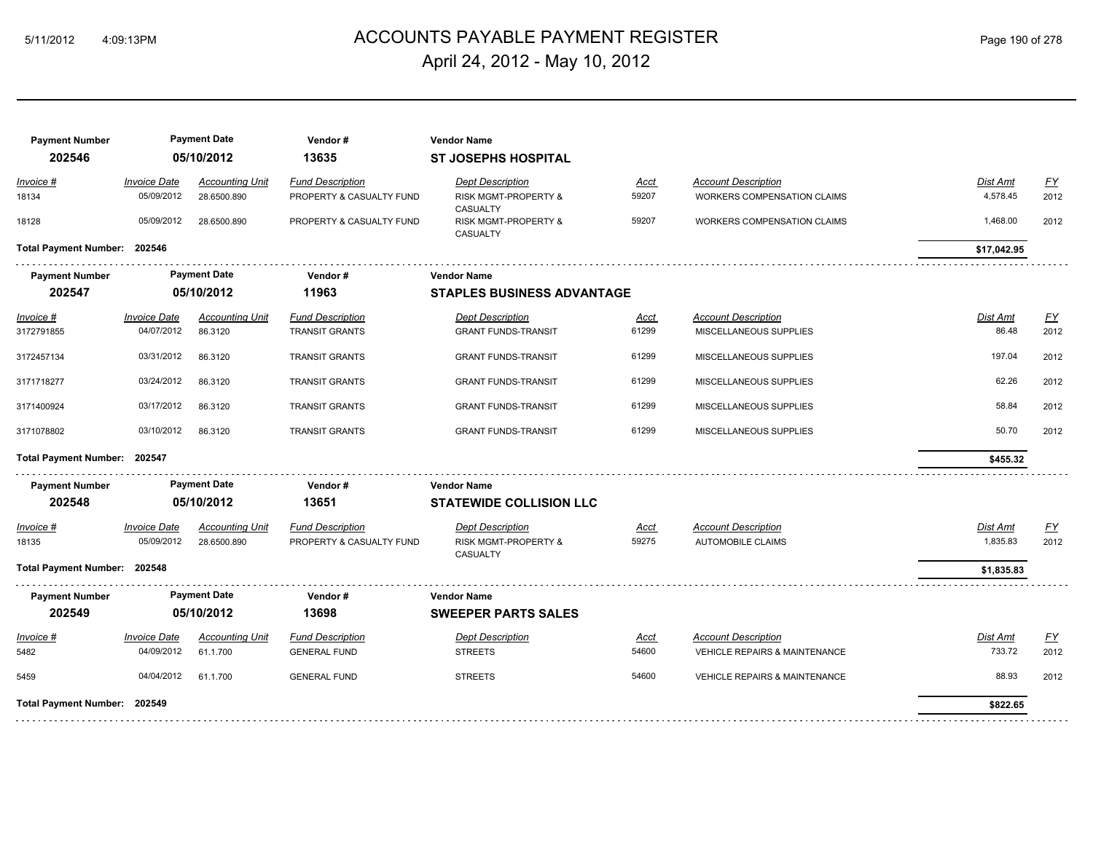## ACCOUNTS PAYABLE PAYMENT REGISTER 5/11/2012 4:09:13PM Page 190 of 278 April 24, 2012 - May 10, 2012

| <b>Payment Number</b><br>202546 |                     | <b>Payment Date</b><br>05/10/2012 | Vendor#<br>13635         | <b>Vendor Name</b><br><b>ST JOSEPHS HOSPITAL</b>        |             |                                          |             |           |
|---------------------------------|---------------------|-----------------------------------|--------------------------|---------------------------------------------------------|-------------|------------------------------------------|-------------|-----------|
| Invoice #                       | <b>Invoice Date</b> | <b>Accounting Unit</b>            | <b>Fund Description</b>  | <b>Dept Description</b>                                 | Acct        | <b>Account Description</b>               | Dist Amt    | <u>FY</u> |
| 18134                           | 05/09/2012          | 28.6500.890                       | PROPERTY & CASUALTY FUND | <b>RISK MGMT-PROPERTY &amp;</b>                         | 59207       | <b>WORKERS COMPENSATION CLAIMS</b>       | 4.578.45    | 2012      |
| 18128                           | 05/09/2012          | 28.6500.890                       | PROPERTY & CASUALTY FUND | CASUALTY<br><b>RISK MGMT-PROPERTY &amp;</b><br>CASUALTY | 59207       | WORKERS COMPENSATION CLAIMS              | 1,468.00    | 2012      |
| Total Payment Number: 202546    |                     |                                   |                          |                                                         |             |                                          | \$17,042.95 |           |
| <b>Payment Number</b>           |                     | <b>Payment Date</b>               | Vendor#                  | <b>Vendor Name</b>                                      |             |                                          |             |           |
| 202547                          |                     | 05/10/2012                        | 11963                    | <b>STAPLES BUSINESS ADVANTAGE</b>                       |             |                                          |             |           |
| $Invoice$ #                     | <b>Invoice Date</b> | <b>Accounting Unit</b>            | <b>Fund Description</b>  | <b>Dept Description</b>                                 | Acct        | <b>Account Description</b>               | Dist Amt    | <u>FY</u> |
| 3172791855                      | 04/07/2012          | 86.3120                           | <b>TRANSIT GRANTS</b>    | <b>GRANT FUNDS-TRANSIT</b>                              | 61299       | MISCELLANEOUS SUPPLIES                   | 86.48       | 2012      |
| 3172457134                      | 03/31/2012          | 86.3120                           | <b>TRANSIT GRANTS</b>    | <b>GRANT FUNDS-TRANSIT</b>                              | 61299       | MISCELLANEOUS SUPPLIES                   | 197.04      | 2012      |
| 3171718277                      | 03/24/2012          | 86.3120                           | <b>TRANSIT GRANTS</b>    | <b>GRANT FUNDS-TRANSIT</b>                              | 61299       | MISCELLANEOUS SUPPLIES                   | 62.26       | 2012      |
| 3171400924                      | 03/17/2012          | 86.3120                           | <b>TRANSIT GRANTS</b>    | <b>GRANT FUNDS-TRANSIT</b>                              | 61299       | MISCELLANEOUS SUPPLIES                   | 58.84       | 2012      |
| 3171078802                      | 03/10/2012          | 86.3120                           | <b>TRANSIT GRANTS</b>    | <b>GRANT FUNDS-TRANSIT</b>                              | 61299       | MISCELLANEOUS SUPPLIES                   | 50.70       | 2012      |
| Total Payment Number: 202547    |                     |                                   |                          |                                                         |             |                                          | \$455.32    |           |
| <b>Payment Number</b>           |                     | <b>Payment Date</b>               | Vendor#                  | <b>Vendor Name</b>                                      |             |                                          |             |           |
| 202548                          |                     | 05/10/2012                        | 13651                    | <b>STATEWIDE COLLISION LLC</b>                          |             |                                          |             |           |
| Invoice #                       | <b>Invoice Date</b> | <b>Accounting Unit</b>            | <b>Fund Description</b>  | <b>Dept Description</b>                                 | Acct        | <b>Account Description</b>               | Dist Amt    | EY        |
| 18135                           | 05/09/2012          | 28.6500.890                       | PROPERTY & CASUALTY FUND | RISK MGMT-PROPERTY &<br>CASUALTY                        | 59275       | <b>AUTOMOBILE CLAIMS</b>                 | 1,835.83    | 2012      |
| Total Payment Number: 202548    |                     |                                   |                          |                                                         |             |                                          | \$1,835.83  |           |
| <b>Payment Number</b>           |                     | <b>Payment Date</b>               | Vendor#                  | <b>Vendor Name</b>                                      |             |                                          |             |           |
| 202549                          |                     | 05/10/2012                        | 13698                    | <b>SWEEPER PARTS SALES</b>                              |             |                                          |             |           |
| Invoice #                       | <b>Invoice Date</b> | <b>Accounting Unit</b>            | <b>Fund Description</b>  | <b>Dept Description</b>                                 | <u>Acct</u> | <b>Account Description</b>               | Dist Amt    | <u>FY</u> |
| 5482                            | 04/09/2012          | 61.1.700                          | <b>GENERAL FUND</b>      | <b>STREETS</b>                                          | 54600       | VEHICLE REPAIRS & MAINTENANCE            | 733.72      | 2012      |
| 5459                            | 04/04/2012          | 61.1.700                          | <b>GENERAL FUND</b>      | <b>STREETS</b>                                          | 54600       | <b>VEHICLE REPAIRS &amp; MAINTENANCE</b> | 88.93       | 2012      |
| Total Payment Number: 202549    |                     |                                   |                          |                                                         |             |                                          | \$822.65    |           |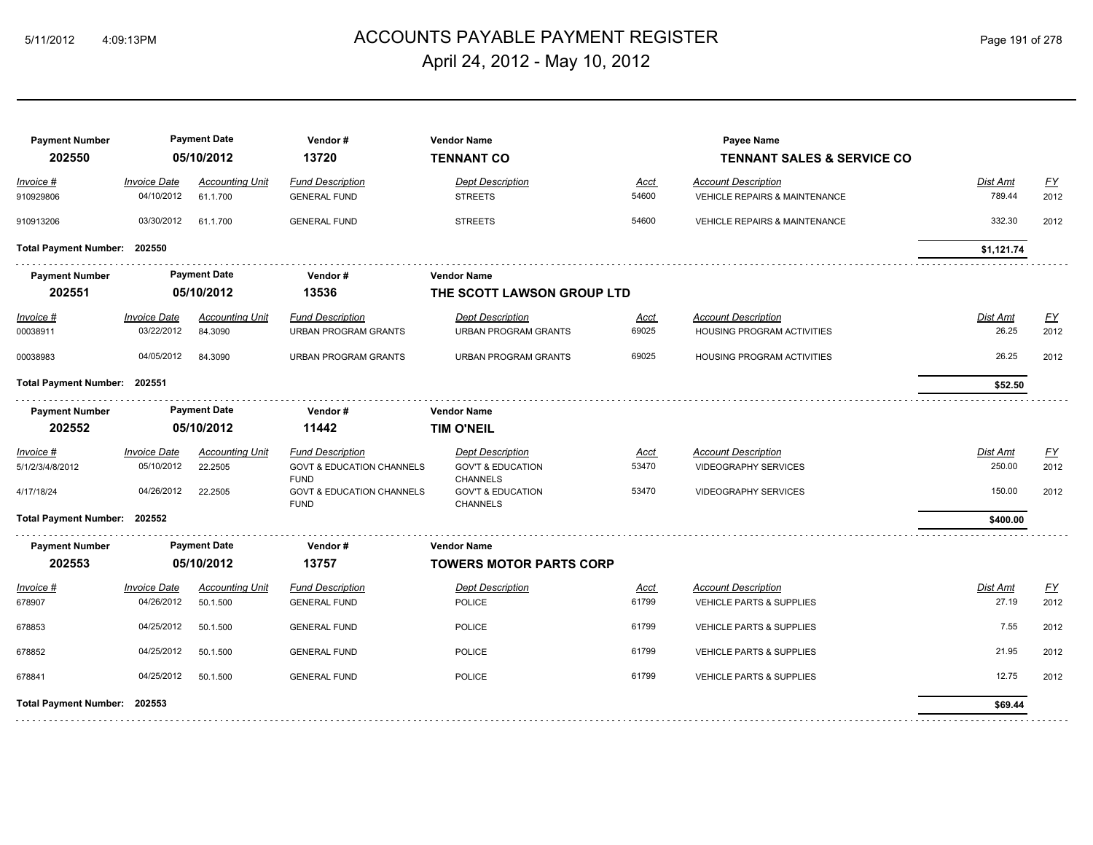## 5/11/2012 4:09:13PM ACCOUNTS PAYABLE PAYMENT REGISTER Page 191 of 278 April 24, 2012 - May 10, 2012

| <b>Invoice Date</b><br><b>Dept Description</b><br><b>Accounting Unit</b><br><b>Fund Description</b><br>Acct<br><b>Account Description</b><br>Invoice #<br>54600<br>04/10/2012<br>61.1.700<br><b>GENERAL FUND</b><br><b>STREETS</b><br><b>VEHICLE REPAIRS &amp; MAINTENANCE</b><br>910929806<br>54600<br>03/30/2012<br><b>VEHICLE REPAIRS &amp; MAINTENANCE</b><br>910913206<br>61.1.700<br><b>GENERAL FUND</b><br><b>STREETS</b><br><b>Total Payment Number:</b><br>202550<br><b>Payment Date</b><br><b>Payment Number</b><br>Vendor#<br><b>Vendor Name</b><br>202551<br>13536<br>05/10/2012<br>THE SCOTT LAWSON GROUP LTD<br><b>Invoice Date</b><br><b>Fund Description</b><br><b>Account Description</b><br><b>Accounting Unit</b><br><b>Dept Description</b><br>$Invoice$ #<br><u>Acct</u><br>03/22/2012<br>69025<br>84.3090<br><b>URBAN PROGRAM GRANTS</b><br><b>URBAN PROGRAM GRANTS</b><br>HOUSING PROGRAM ACTIVITIES<br>00038911 | Dist Amt<br>789.44<br>332.30<br>\$1,121.74<br>Dist Amt<br>26.25<br>26.25<br>\$52.50 | $\underline{FY}$<br>2012<br>2012<br><u>FY</u><br>2012<br>2012 |
|-----------------------------------------------------------------------------------------------------------------------------------------------------------------------------------------------------------------------------------------------------------------------------------------------------------------------------------------------------------------------------------------------------------------------------------------------------------------------------------------------------------------------------------------------------------------------------------------------------------------------------------------------------------------------------------------------------------------------------------------------------------------------------------------------------------------------------------------------------------------------------------------------------------------------------------------|-------------------------------------------------------------------------------------|---------------------------------------------------------------|
|                                                                                                                                                                                                                                                                                                                                                                                                                                                                                                                                                                                                                                                                                                                                                                                                                                                                                                                                         |                                                                                     |                                                               |
|                                                                                                                                                                                                                                                                                                                                                                                                                                                                                                                                                                                                                                                                                                                                                                                                                                                                                                                                         |                                                                                     |                                                               |
|                                                                                                                                                                                                                                                                                                                                                                                                                                                                                                                                                                                                                                                                                                                                                                                                                                                                                                                                         |                                                                                     |                                                               |
|                                                                                                                                                                                                                                                                                                                                                                                                                                                                                                                                                                                                                                                                                                                                                                                                                                                                                                                                         |                                                                                     |                                                               |
|                                                                                                                                                                                                                                                                                                                                                                                                                                                                                                                                                                                                                                                                                                                                                                                                                                                                                                                                         |                                                                                     |                                                               |
|                                                                                                                                                                                                                                                                                                                                                                                                                                                                                                                                                                                                                                                                                                                                                                                                                                                                                                                                         |                                                                                     |                                                               |
| 04/05/2012<br>69025<br>00038983<br>84.3090<br>URBAN PROGRAM GRANTS<br><b>URBAN PROGRAM GRANTS</b><br>HOUSING PROGRAM ACTIVITIES                                                                                                                                                                                                                                                                                                                                                                                                                                                                                                                                                                                                                                                                                                                                                                                                         |                                                                                     |                                                               |
| Total Payment Number: 202551                                                                                                                                                                                                                                                                                                                                                                                                                                                                                                                                                                                                                                                                                                                                                                                                                                                                                                            |                                                                                     |                                                               |
| <b>Payment Date</b><br><b>Payment Number</b><br>Vendor#<br><b>Vendor Name</b>                                                                                                                                                                                                                                                                                                                                                                                                                                                                                                                                                                                                                                                                                                                                                                                                                                                           |                                                                                     |                                                               |
| 202552<br>05/10/2012<br>11442<br><b>TIM O'NEIL</b>                                                                                                                                                                                                                                                                                                                                                                                                                                                                                                                                                                                                                                                                                                                                                                                                                                                                                      |                                                                                     |                                                               |
| <b>Invoice Date</b><br><b>Fund Description</b><br><b>Accounting Unit</b><br><b>Dept Description</b><br>Acct<br><b>Account Description</b><br>Invoice #                                                                                                                                                                                                                                                                                                                                                                                                                                                                                                                                                                                                                                                                                                                                                                                  | Dist Amt                                                                            | EY                                                            |
| 05/10/2012<br>53470<br>22.2505<br><b>GOVT &amp; EDUCATION CHANNELS</b><br><b>VIDEOGRAPHY SERVICES</b><br>5/1/2/3/4/8/2012<br><b>GOV'T &amp; EDUCATION</b><br><b>FUND</b><br><b>CHANNELS</b>                                                                                                                                                                                                                                                                                                                                                                                                                                                                                                                                                                                                                                                                                                                                             | 250.00                                                                              | 2012                                                          |
| 04/26/2012<br>53470<br>22.2505<br><b>GOVT &amp; EDUCATION CHANNELS</b><br><b>GOV'T &amp; EDUCATION</b><br><b>VIDEOGRAPHY SERVICES</b><br>4/17/18/24<br><b>FUND</b><br><b>CHANNELS</b>                                                                                                                                                                                                                                                                                                                                                                                                                                                                                                                                                                                                                                                                                                                                                   | 150.00                                                                              | 2012                                                          |
| Total Payment Number: 202552                                                                                                                                                                                                                                                                                                                                                                                                                                                                                                                                                                                                                                                                                                                                                                                                                                                                                                            | \$400.00                                                                            |                                                               |
| <b>Payment Date</b><br><b>Payment Number</b><br>Vendor#<br><b>Vendor Name</b>                                                                                                                                                                                                                                                                                                                                                                                                                                                                                                                                                                                                                                                                                                                                                                                                                                                           |                                                                                     |                                                               |
| 202553<br>05/10/2012<br>13757<br><b>TOWERS MOTOR PARTS CORP</b>                                                                                                                                                                                                                                                                                                                                                                                                                                                                                                                                                                                                                                                                                                                                                                                                                                                                         |                                                                                     |                                                               |
| <b>Invoice Date</b><br><b>Fund Description</b><br><b>Dept Description</b><br><b>Account Description</b><br>Invoice #<br><b>Accounting Unit</b><br><u>Acct</u>                                                                                                                                                                                                                                                                                                                                                                                                                                                                                                                                                                                                                                                                                                                                                                           | Dist Amt                                                                            | $\underline{\mathsf{FY}}$                                     |
| 04/26/2012<br>61799<br>50.1.500<br>678907<br><b>GENERAL FUND</b><br>POLICE<br>VEHICLE PARTS & SUPPLIES                                                                                                                                                                                                                                                                                                                                                                                                                                                                                                                                                                                                                                                                                                                                                                                                                                  | 27.19                                                                               | 2012                                                          |
| 61799<br>04/25/2012<br>50.1.500<br><b>GENERAL FUND</b><br><b>POLICE</b><br><b>VEHICLE PARTS &amp; SUPPLIES</b><br>678853                                                                                                                                                                                                                                                                                                                                                                                                                                                                                                                                                                                                                                                                                                                                                                                                                | 7.55                                                                                | 2012                                                          |
| 04/25/2012<br>61799<br>50.1.500<br><b>GENERAL FUND</b><br><b>POLICE</b><br><b>VEHICLE PARTS &amp; SUPPLIES</b><br>678852                                                                                                                                                                                                                                                                                                                                                                                                                                                                                                                                                                                                                                                                                                                                                                                                                | 21.95                                                                               | 2012                                                          |
| 61799<br>04/25/2012<br><b>POLICE</b><br>678841<br>50.1.500<br><b>GENERAL FUND</b><br><b>VEHICLE PARTS &amp; SUPPLIES</b>                                                                                                                                                                                                                                                                                                                                                                                                                                                                                                                                                                                                                                                                                                                                                                                                                | 12.75                                                                               | 2012                                                          |
| Total Payment Number: 202553                                                                                                                                                                                                                                                                                                                                                                                                                                                                                                                                                                                                                                                                                                                                                                                                                                                                                                            | \$69.44                                                                             |                                                               |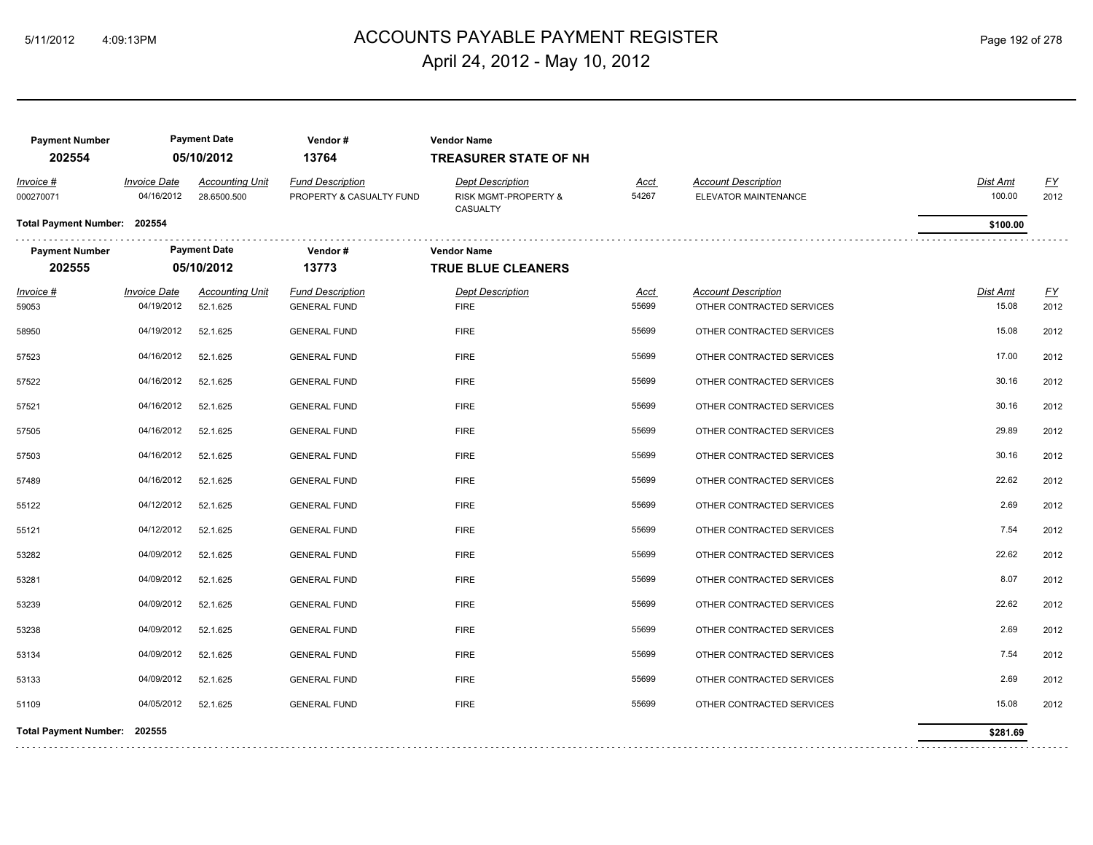## ACCOUNTS PAYABLE PAYMENT REGISTER 5/11/2012 4:09:13PM Page 192 of 278 April 24, 2012 - May 10, 2012

| <b>Payment Number</b><br>202554 |                                   | <b>Payment Date</b><br>05/10/2012     | Vendor#<br>13764                                    | <b>Vendor Name</b><br><b>TREASURER STATE OF NH</b>          |                      |                                                         |                          |                   |
|---------------------------------|-----------------------------------|---------------------------------------|-----------------------------------------------------|-------------------------------------------------------------|----------------------|---------------------------------------------------------|--------------------------|-------------------|
| Invoice #<br>000270071          | <b>Invoice Date</b><br>04/16/2012 | <b>Accounting Unit</b><br>28.6500.500 | <b>Fund Description</b><br>PROPERTY & CASUALTY FUND | <b>Dept Description</b><br>RISK MGMT-PROPERTY &<br>CASUALTY | <u>Acct</u><br>54267 | <b>Account Description</b><br>ELEVATOR MAINTENANCE      | Dist Amt<br>100.00       | <u>FY</u><br>2012 |
| Total Payment Number: 202554    |                                   |                                       |                                                     |                                                             |                      |                                                         | \$100.00                 |                   |
| <b>Payment Number</b>           |                                   | <b>Payment Date</b>                   | Vendor#                                             | <b>Vendor Name</b>                                          |                      |                                                         |                          |                   |
| 202555                          |                                   | 05/10/2012                            | 13773                                               | <b>TRUE BLUE CLEANERS</b>                                   |                      |                                                         |                          |                   |
| $Invoice$ #<br>59053            | <b>Invoice Date</b><br>04/19/2012 | <b>Accounting Unit</b><br>52.1.625    | <b>Fund Description</b><br><b>GENERAL FUND</b>      | <b>Dept Description</b><br><b>FIRE</b>                      | <u>Acct</u><br>55699 | <b>Account Description</b><br>OTHER CONTRACTED SERVICES | <b>Dist Amt</b><br>15.08 | <u>FY</u><br>2012 |
| 58950                           | 04/19/2012                        | 52.1.625                              | <b>GENERAL FUND</b>                                 | <b>FIRE</b>                                                 | 55699                | OTHER CONTRACTED SERVICES                               | 15.08                    | 2012              |
| 57523                           | 04/16/2012                        | 52.1.625                              | <b>GENERAL FUND</b>                                 | <b>FIRE</b>                                                 | 55699                | OTHER CONTRACTED SERVICES                               | 17.00                    | 2012              |
| 57522                           | 04/16/2012                        | 52.1.625                              | <b>GENERAL FUND</b>                                 | <b>FIRE</b>                                                 | 55699                | OTHER CONTRACTED SERVICES                               | 30.16                    | 2012              |
| 57521                           | 04/16/2012                        | 52.1.625                              | <b>GENERAL FUND</b>                                 | <b>FIRE</b>                                                 | 55699                | OTHER CONTRACTED SERVICES                               | 30.16                    | 2012              |
| 57505                           | 04/16/2012                        | 52.1.625                              | <b>GENERAL FUND</b>                                 | <b>FIRE</b>                                                 | 55699                | OTHER CONTRACTED SERVICES                               | 29.89                    | 2012              |
| 57503                           | 04/16/2012                        | 52.1.625                              | <b>GENERAL FUND</b>                                 | <b>FIRE</b>                                                 | 55699                | OTHER CONTRACTED SERVICES                               | 30.16                    | 2012              |
| 57489                           | 04/16/2012                        | 52.1.625                              | <b>GENERAL FUND</b>                                 | <b>FIRE</b>                                                 | 55699                | OTHER CONTRACTED SERVICES                               | 22.62                    | 2012              |
| 55122                           | 04/12/2012                        | 52.1.625                              | <b>GENERAL FUND</b>                                 | <b>FIRE</b>                                                 | 55699                | OTHER CONTRACTED SERVICES                               | 2.69                     | 2012              |
| 55121                           | 04/12/2012                        | 52.1.625                              | <b>GENERAL FUND</b>                                 | <b>FIRE</b>                                                 | 55699                | OTHER CONTRACTED SERVICES                               | 7.54                     | 2012              |
| 53282                           | 04/09/2012                        | 52.1.625                              | <b>GENERAL FUND</b>                                 | <b>FIRE</b>                                                 | 55699                | OTHER CONTRACTED SERVICES                               | 22.62                    | 2012              |
| 53281                           | 04/09/2012                        | 52.1.625                              | <b>GENERAL FUND</b>                                 | <b>FIRE</b>                                                 | 55699                | OTHER CONTRACTED SERVICES                               | 8.07                     | 2012              |
| 53239                           | 04/09/2012                        | 52.1.625                              | <b>GENERAL FUND</b>                                 | <b>FIRE</b>                                                 | 55699                | OTHER CONTRACTED SERVICES                               | 22.62                    | 2012              |
| 53238                           | 04/09/2012                        | 52.1.625                              | <b>GENERAL FUND</b>                                 | <b>FIRE</b>                                                 | 55699                | OTHER CONTRACTED SERVICES                               | 2.69                     | 2012              |
| 53134                           | 04/09/2012                        | 52.1.625                              | <b>GENERAL FUND</b>                                 | <b>FIRE</b>                                                 | 55699                | OTHER CONTRACTED SERVICES                               | 7.54                     | 2012              |
| 53133                           | 04/09/2012                        | 52.1.625                              | <b>GENERAL FUND</b>                                 | <b>FIRE</b>                                                 | 55699                | OTHER CONTRACTED SERVICES                               | 2.69                     | 2012              |
| 51109                           | 04/05/2012                        | 52.1.625                              | <b>GENERAL FUND</b>                                 | <b>FIRE</b>                                                 | 55699                | OTHER CONTRACTED SERVICES                               | 15.08                    | 2012              |
| Total Payment Number: 202555    |                                   |                                       |                                                     |                                                             |                      |                                                         | \$281.69                 |                   |
|                                 |                                   |                                       |                                                     |                                                             |                      |                                                         |                          |                   |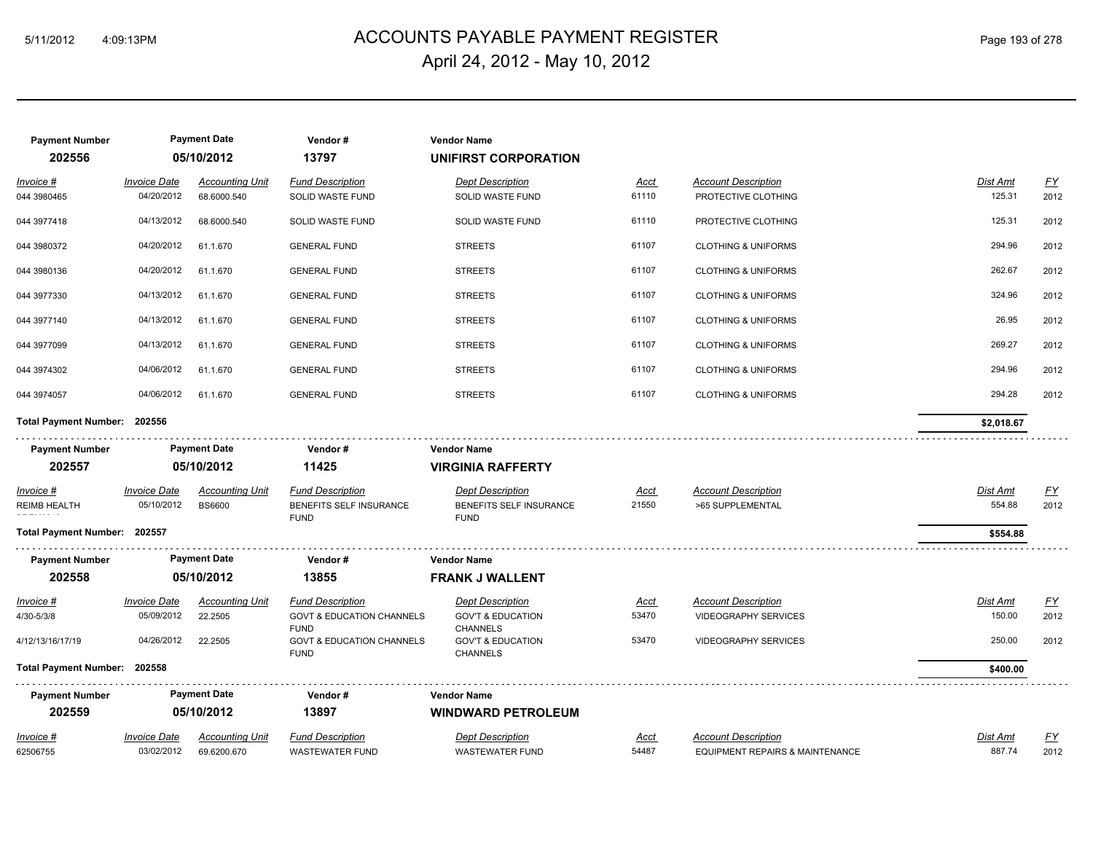## ACCOUNTS PAYABLE PAYMENT REGISTER 5/11/2012 4:09:13PM Page 193 of 278 April 24, 2012 - May 10, 2012

| <b>Payment Number</b><br>202556         |                                   | <b>Payment Date</b><br>05/10/2012 | Vendor#<br>13797                                    | <b>Vendor Name</b><br>UNIFIRST CORPORATION         |                      |                                                |                           |                          |
|-----------------------------------------|-----------------------------------|-----------------------------------|-----------------------------------------------------|----------------------------------------------------|----------------------|------------------------------------------------|---------------------------|--------------------------|
| Invoice #                               | <b>Invoice Date</b>               | <b>Accounting Unit</b>            | <b>Fund Description</b>                             | <b>Dept Description</b>                            | <u>Acct</u>          | <b>Account Description</b>                     | Dist Amt                  | EY                       |
| 044 3980465                             | 04/20/2012                        | 68.6000.540                       | SOLID WASTE FUND                                    | SOLID WASTE FUND                                   | 61110                | PROTECTIVE CLOTHING                            | 125.31                    | 2012                     |
| 044 3977418                             | 04/13/2012                        | 68.6000.540                       | SOLID WASTE FUND                                    | SOLID WASTE FUND                                   | 61110                | PROTECTIVE CLOTHING                            | 125.31                    | 2012                     |
| 044 3980372                             | 04/20/2012                        | 61.1.670                          | <b>GENERAL FUND</b>                                 | <b>STREETS</b>                                     | 61107                | <b>CLOTHING &amp; UNIFORMS</b>                 | 294.96                    | 2012                     |
| 044 3980136                             | 04/20/2012                        | 61.1.670                          | <b>GENERAL FUND</b>                                 | <b>STREETS</b>                                     | 61107                | <b>CLOTHING &amp; UNIFORMS</b>                 | 262.67                    | 2012                     |
| 044 3977330                             | 04/13/2012                        | 61.1.670                          | <b>GENERAL FUND</b>                                 | <b>STREETS</b>                                     | 61107                | <b>CLOTHING &amp; UNIFORMS</b>                 | 324.96                    | 2012                     |
| 044 3977140                             | 04/13/2012                        | 61.1.670                          | <b>GENERAL FUND</b>                                 | <b>STREETS</b>                                     | 61107                | <b>CLOTHING &amp; UNIFORMS</b>                 | 26.95                     | 2012                     |
| 044 3977099                             | 04/13/2012                        | 61.1.670                          | <b>GENERAL FUND</b>                                 | <b>STREETS</b>                                     | 61107                | <b>CLOTHING &amp; UNIFORMS</b>                 | 269.27                    | 2012                     |
| 044 3974302                             | 04/06/2012                        | 61.1.670                          | <b>GENERAL FUND</b>                                 | <b>STREETS</b>                                     | 61107                | <b>CLOTHING &amp; UNIFORMS</b>                 | 294.96                    | 2012                     |
| 044 3974057                             | 04/06/2012                        | 61.1.670                          | <b>GENERAL FUND</b>                                 | <b>STREETS</b>                                     | 61107                | <b>CLOTHING &amp; UNIFORMS</b>                 | 294.28                    | 2012                     |
| Total Payment Number: 202556            |                                   |                                   |                                                     |                                                    |                      |                                                | \$2,018.67                |                          |
| <b>Payment Number</b>                   |                                   | <b>Payment Date</b>               | Vendor#                                             | <b>Vendor Name</b>                                 |                      |                                                |                           |                          |
| 202557                                  |                                   | 05/10/2012                        | 11425                                               | <b>VIRGINIA RAFFERTY</b>                           |                      |                                                |                           |                          |
| <u>Invoice #</u><br><b>REIMB HEALTH</b> | <b>Invoice Date</b><br>05/10/2012 | <b>Accounting Unit</b>            | <b>Fund Description</b><br>BENEFITS SELF INSURANCE  | <b>Dept Description</b><br>BENEFITS SELF INSURANCE | <u>Acct</u><br>21550 | <b>Account Description</b><br>>65 SUPPLEMENTAL | <b>Dist Amt</b><br>554.88 | <u>FY</u><br>2012        |
|                                         |                                   | <b>BS6600</b>                     | <b>FUND</b>                                         | <b>FUND</b>                                        |                      |                                                |                           |                          |
| Total Payment Number: 202557            |                                   |                                   |                                                     |                                                    |                      |                                                | \$554.88                  |                          |
| <b>Payment Number</b>                   |                                   | <b>Payment Date</b>               | Vendor#                                             | <b>Vendor Name</b>                                 |                      |                                                |                           |                          |
| 202558                                  |                                   | 05/10/2012                        | 13855                                               | <b>FRANK J WALLENT</b>                             |                      |                                                |                           |                          |
| Invoice #                               | <b>Invoice Date</b>               | <b>Accounting Unit</b>            | <b>Fund Description</b>                             | <b>Dept Description</b>                            | <u>Acct</u>          | <b>Account Description</b>                     | Dist Amt                  |                          |
| 4/30-5/3/8                              | 05/09/2012                        | 22.2505                           | <b>GOVT &amp; EDUCATION CHANNELS</b>                | <b>GOV'T &amp; EDUCATION</b>                       | 53470                | VIDEOGRAPHY SERVICES                           | 150.00                    | $\underline{FY}$<br>2012 |
| 4/12/13/16/17/19                        | 04/26/2012                        | 22.2505                           | <b>FUND</b><br><b>GOVT &amp; EDUCATION CHANNELS</b> | <b>CHANNELS</b><br><b>GOV'T &amp; EDUCATION</b>    | 53470                | <b>VIDEOGRAPHY SERVICES</b>                    | 250.00                    | 2012                     |
| Total Payment Number: 202558            |                                   |                                   | <b>FUND</b>                                         | <b>CHANNELS</b>                                    |                      |                                                | \$400.00                  |                          |
| <b>Payment Number</b>                   |                                   | <b>Payment Date</b>               | Vendor#                                             | <b>Vendor Name</b>                                 |                      |                                                |                           |                          |
| 202559                                  |                                   | 05/10/2012                        | 13897                                               | <b>WINDWARD PETROLEUM</b>                          |                      |                                                |                           |                          |
| Invoice #                               | <b>Invoice Date</b>               | <b>Accounting Unit</b>            | <b>Fund Description</b>                             | <b>Dept Description</b>                            | Acct                 | <b>Account Description</b>                     | Dist Amt                  | $\underline{FY}$         |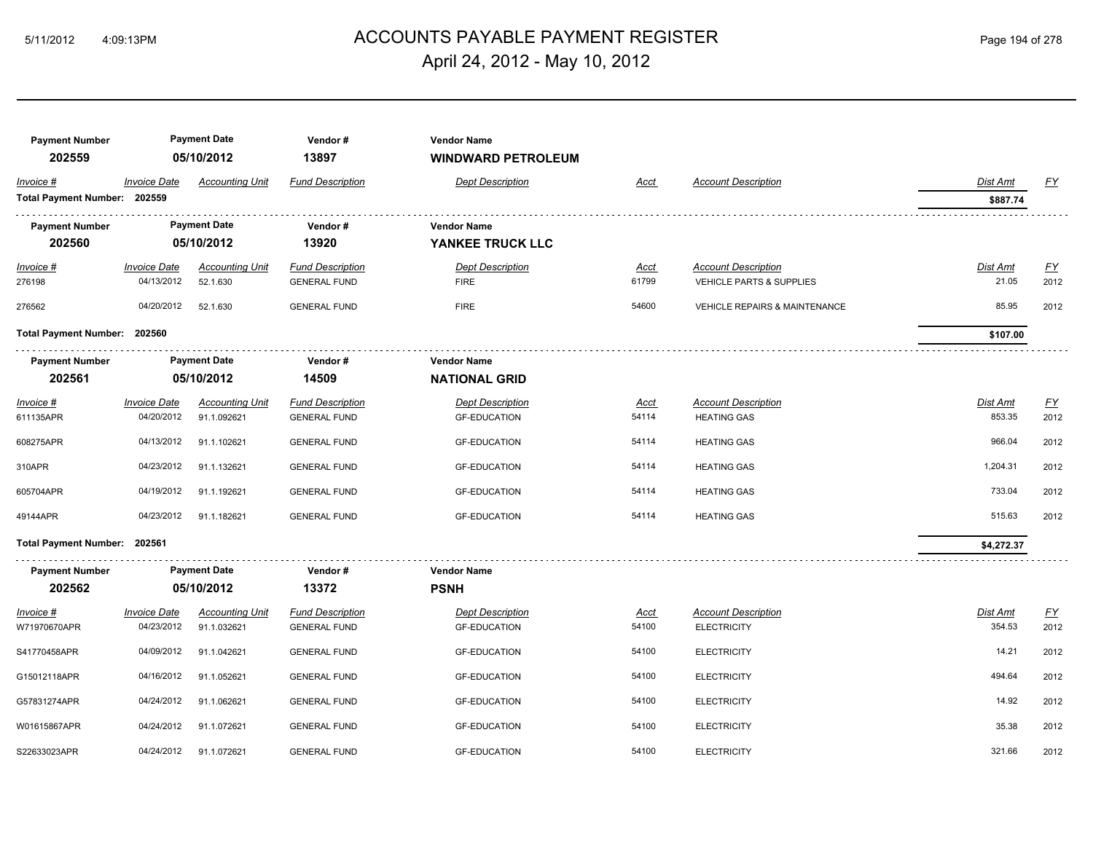## ACCOUNTS PAYABLE PAYMENT REGISTER 5/11/2012 4:09:13PM Page 194 of 278 April 24, 2012 - May 10, 2012

| <b>Payment Number</b><br>202559 |                                   | <b>Payment Date</b><br>05/10/2012     | Vendor#<br>13897                               | <b>Vendor Name</b><br><b>WINDWARD PETROLEUM</b> |                      |                                                  |                    |                                   |
|---------------------------------|-----------------------------------|---------------------------------------|------------------------------------------------|-------------------------------------------------|----------------------|--------------------------------------------------|--------------------|-----------------------------------|
| Invoice #                       | <b>Invoice Date</b>               | <b>Accounting Unit</b>                | <b>Fund Description</b>                        | <b>Dept Description</b>                         | <b>Acct</b>          | <b>Account Description</b>                       | Dist Amt           | <u>FY</u>                         |
| Total Payment Number: 202559    |                                   |                                       |                                                |                                                 |                      |                                                  | \$887.74           |                                   |
| <b>Payment Number</b>           |                                   | <b>Payment Date</b>                   | Vendor#                                        | <b>Vendor Name</b>                              |                      |                                                  |                    |                                   |
| 202560                          |                                   | 05/10/2012                            | 13920                                          | YANKEE TRUCK LLC                                |                      |                                                  |                    |                                   |
| $Invoice$ #                     | <b>Invoice Date</b>               | <b>Accounting Unit</b>                | <b>Fund Description</b>                        | <b>Dept Description</b>                         | <u>Acct</u>          | <b>Account Description</b>                       | <b>Dist Amt</b>    | <u>FY</u>                         |
| 276198                          | 04/13/2012                        | 52.1.630                              | <b>GENERAL FUND</b>                            | <b>FIRE</b>                                     | 61799                | VEHICLE PARTS & SUPPLIES                         | 21.05              | 2012                              |
| 276562                          | 04/20/2012                        | 52.1.630                              | <b>GENERAL FUND</b>                            | <b>FIRE</b>                                     | 54600                | <b>VEHICLE REPAIRS &amp; MAINTENANCE</b>         | 85.95              | 2012                              |
| Total Payment Number: 202560    |                                   |                                       |                                                |                                                 |                      |                                                  | \$107.00           |                                   |
| <b>Payment Number</b>           |                                   | <b>Payment Date</b>                   | Vendor#                                        | <b>Vendor Name</b>                              |                      |                                                  |                    |                                   |
| 202561                          |                                   | 05/10/2012                            | 14509                                          | <b>NATIONAL GRID</b>                            |                      |                                                  |                    |                                   |
| Invoice #                       | <b>Invoice Date</b>               | <b>Accounting Unit</b>                | <b>Fund Description</b>                        | <b>Dept Description</b>                         | <u>Acct</u>          | <b>Account Description</b>                       | <b>Dist Amt</b>    | $\underline{FY}$                  |
| 611135APR                       | 04/20/2012                        | 91.1.092621                           | <b>GENERAL FUND</b>                            | <b>GF-EDUCATION</b>                             | 54114                | <b>HEATING GAS</b>                               | 853.35             | 2012                              |
| 608275APR                       | 04/13/2012                        | 91.1.102621                           | <b>GENERAL FUND</b>                            | <b>GF-EDUCATION</b>                             | 54114                | <b>HEATING GAS</b>                               | 966.04             | 2012                              |
| 310APR                          | 04/23/2012                        | 91.1.132621                           | <b>GENERAL FUND</b>                            | <b>GF-EDUCATION</b>                             | 54114                | <b>HEATING GAS</b>                               | 1,204.31           | 2012                              |
| 605704APR                       | 04/19/2012                        | 91.1.192621                           | <b>GENERAL FUND</b>                            | <b>GF-EDUCATION</b>                             | 54114                | <b>HEATING GAS</b>                               | 733.04             | 2012                              |
| 49144APR                        | 04/23/2012                        | 91.1.182621                           | <b>GENERAL FUND</b>                            | <b>GF-EDUCATION</b>                             | 54114                | <b>HEATING GAS</b>                               | 515.63             | 2012                              |
| Total Payment Number: 202561    |                                   |                                       |                                                |                                                 |                      |                                                  | \$4,272.37         |                                   |
| <b>Payment Number</b>           |                                   | <b>Payment Date</b>                   | Vendor#                                        | <b>Vendor Name</b>                              |                      |                                                  |                    |                                   |
| 202562                          |                                   | 05/10/2012                            | 13372                                          | <b>PSNH</b>                                     |                      |                                                  |                    |                                   |
| Invoice #<br>W71970670APR       | <b>Invoice Date</b><br>04/23/2012 | <b>Accounting Unit</b><br>91.1.032621 | <b>Fund Description</b><br><b>GENERAL FUND</b> | <b>Dept Description</b><br><b>GF-EDUCATION</b>  | <u>Acct</u><br>54100 | <b>Account Description</b><br><b>ELECTRICITY</b> | Dist Amt<br>354.53 | $\underline{\mathsf{FY}}$<br>2012 |
| S41770458APR                    | 04/09/2012                        | 91.1.042621                           | <b>GENERAL FUND</b>                            | <b>GF-EDUCATION</b>                             | 54100                | <b>ELECTRICITY</b>                               | 14.21              | 2012                              |
| G15012118APR                    | 04/16/2012                        | 91.1.052621                           | <b>GENERAL FUND</b>                            | <b>GF-EDUCATION</b>                             | 54100                | <b>ELECTRICITY</b>                               | 494.64             | 2012                              |
| G57831274APR                    | 04/24/2012                        | 91.1.062621                           | <b>GENERAL FUND</b>                            | <b>GF-EDUCATION</b>                             | 54100                | <b>ELECTRICITY</b>                               | 14.92              | 2012                              |
| W01615867APR                    | 04/24/2012                        | 91.1.072621                           | <b>GENERAL FUND</b>                            | <b>GF-EDUCATION</b>                             | 54100                | <b>ELECTRICITY</b>                               | 35.38              | 2012                              |
| S22633023APR                    | 04/24/2012                        | 91.1.072621                           | <b>GENERAL FUND</b>                            | <b>GF-EDUCATION</b>                             | 54100                | <b>ELECTRICITY</b>                               | 321.66             | 2012                              |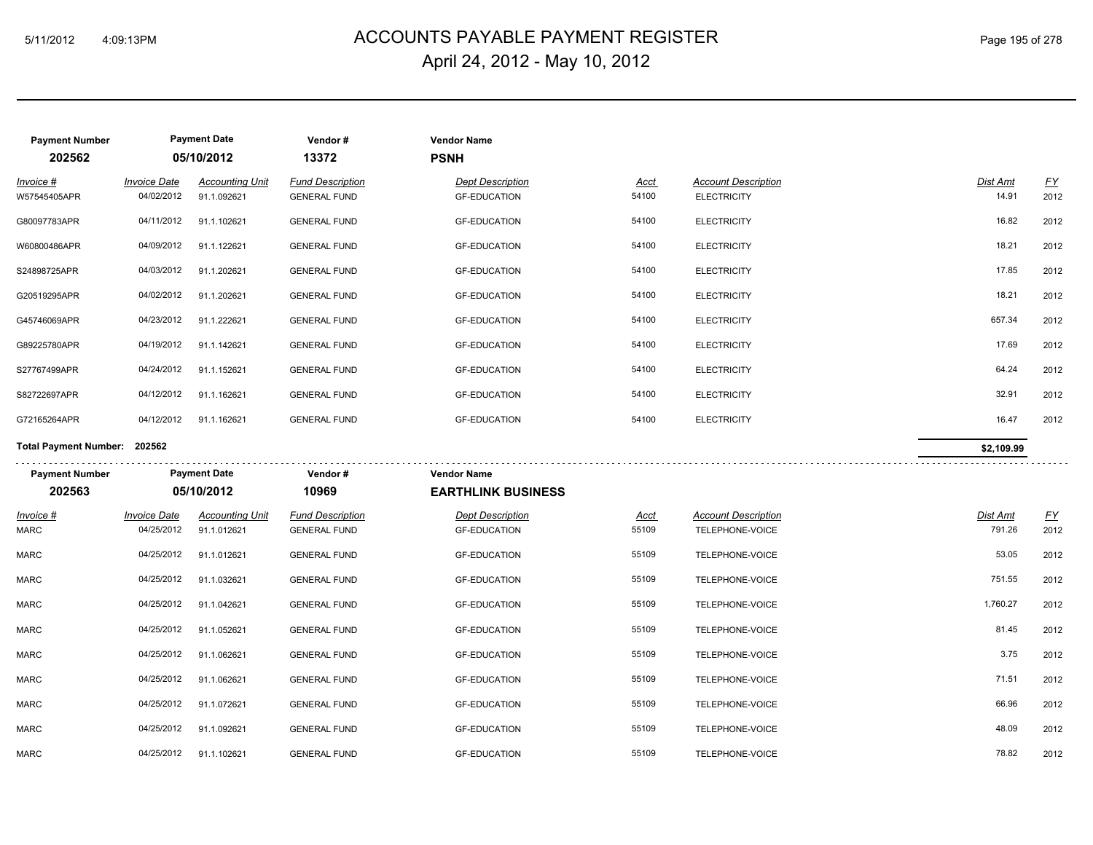## ACCOUNTS PAYABLE PAYMENT REGISTER 5/11/2012 4:09:13PM Page 195 of 278 April 24, 2012 - May 10, 2012

| <b>Payment Number</b>        |                                   | <b>Payment Date</b>                   | Vendor#                                        | <b>Vendor Name</b>                             |                      |                                                  |                          |                          |
|------------------------------|-----------------------------------|---------------------------------------|------------------------------------------------|------------------------------------------------|----------------------|--------------------------------------------------|--------------------------|--------------------------|
| 202562                       |                                   | 05/10/2012                            | 13372                                          | <b>PSNH</b>                                    |                      |                                                  |                          |                          |
| Invoice #<br>W57545405APR    | <b>Invoice Date</b><br>04/02/2012 | <b>Accounting Unit</b><br>91.1.092621 | <b>Fund Description</b><br><b>GENERAL FUND</b> | <b>Dept Description</b><br><b>GF-EDUCATION</b> | Acct<br>54100        | <b>Account Description</b><br><b>ELECTRICITY</b> | <b>Dist Amt</b><br>14.91 | $\underline{FY}$<br>2012 |
| G80097783APR                 | 04/11/2012                        | 91.1.102621                           | <b>GENERAL FUND</b>                            | <b>GF-EDUCATION</b>                            | 54100                | <b>ELECTRICITY</b>                               | 16.82                    | 2012                     |
| W60800486APR                 | 04/09/2012                        | 91.1.122621                           | <b>GENERAL FUND</b>                            | <b>GF-EDUCATION</b>                            | 54100                | <b>ELECTRICITY</b>                               | 18.21                    | 2012                     |
| S24898725APR                 | 04/03/2012                        | 91.1.202621                           | <b>GENERAL FUND</b>                            | <b>GF-EDUCATION</b>                            | 54100                | <b>ELECTRICITY</b>                               | 17.85                    | 2012                     |
| G20519295APR                 | 04/02/2012                        | 91.1.202621                           | <b>GENERAL FUND</b>                            | <b>GF-EDUCATION</b>                            | 54100                | <b>ELECTRICITY</b>                               | 18.21                    | 2012                     |
| G45746069APR                 | 04/23/2012                        | 91.1.222621                           | <b>GENERAL FUND</b>                            | <b>GF-EDUCATION</b>                            | 54100                | <b>ELECTRICITY</b>                               | 657.34                   | 2012                     |
| G89225780APR                 | 04/19/2012                        | 91.1.142621                           | <b>GENERAL FUND</b>                            | <b>GF-EDUCATION</b>                            | 54100                | <b>ELECTRICITY</b>                               | 17.69                    | 2012                     |
| S27767499APR                 | 04/24/2012                        | 91.1.152621                           | <b>GENERAL FUND</b>                            | <b>GF-EDUCATION</b>                            | 54100                | <b>ELECTRICITY</b>                               | 64.24                    | 2012                     |
| S82722697APR                 | 04/12/2012                        | 91.1.162621                           | <b>GENERAL FUND</b>                            | <b>GF-EDUCATION</b>                            | 54100                | <b>ELECTRICITY</b>                               | 32.91                    | 2012                     |
| G72165264APR                 | 04/12/2012                        | 91.1.162621                           | <b>GENERAL FUND</b>                            | <b>GF-EDUCATION</b>                            | 54100                | <b>ELECTRICITY</b>                               | 16.47                    | 2012                     |
| Total Payment Number: 202562 |                                   |                                       |                                                |                                                |                      |                                                  | \$2,109.99               |                          |
| <b>Payment Number</b>        |                                   | <b>Payment Date</b>                   | Vendor#                                        | <b>Vendor Name</b>                             |                      |                                                  |                          |                          |
| 202563                       |                                   | 05/10/2012                            | 10969                                          | <b>EARTHLINK BUSINESS</b>                      |                      |                                                  |                          |                          |
| $Invoice$ #<br><b>MARC</b>   | <b>Invoice Date</b><br>04/25/2012 | <b>Accounting Unit</b><br>91.1.012621 | <b>Fund Description</b><br><b>GENERAL FUND</b> | <b>Dept Description</b><br><b>GF-EDUCATION</b> | <u>Acct</u><br>55109 | <b>Account Description</b><br>TELEPHONE-VOICE    | Dist Amt<br>791.26       | <u>FY</u><br>2012        |
| MARC                         | 04/25/2012                        | 91.1.012621                           | <b>GENERAL FUND</b>                            | <b>GF-EDUCATION</b>                            | 55109                | TELEPHONE-VOICE                                  | 53.05                    | 2012                     |
| <b>MARC</b>                  | 04/25/2012                        | 91.1.032621                           | <b>GENERAL FUND</b>                            | <b>GF-EDUCATION</b>                            | 55109                | TELEPHONE-VOICE                                  | 751.55                   | 2012                     |
| <b>MARC</b>                  | 04/25/2012                        | 91.1.042621                           | <b>GENERAL FUND</b>                            | <b>GF-EDUCATION</b>                            | 55109                | TELEPHONE-VOICE                                  | 1,760.27                 | 2012                     |
| <b>MARC</b>                  | 04/25/2012                        | 91.1.052621                           | <b>GENERAL FUND</b>                            | <b>GF-EDUCATION</b>                            | 55109                | TELEPHONE-VOICE                                  | 81.45                    | 2012                     |
| <b>MARC</b>                  | 04/25/2012                        | 91.1.062621                           | <b>GENERAL FUND</b>                            | <b>GF-EDUCATION</b>                            | 55109                | TELEPHONE-VOICE                                  | 3.75                     | 2012                     |
| <b>MARC</b>                  | 04/25/2012                        | 91.1.062621                           | <b>GENERAL FUND</b>                            | <b>GF-EDUCATION</b>                            | 55109                | <b>TELEPHONE-VOICE</b>                           | 71.51                    | 2012                     |
|                              |                                   |                                       |                                                |                                                |                      |                                                  |                          |                          |
| <b>MARC</b>                  | 04/25/2012                        | 91.1.072621                           | <b>GENERAL FUND</b>                            | <b>GF-EDUCATION</b>                            | 55109                | TELEPHONE-VOICE                                  | 66.96                    | 2012                     |
| <b>MARC</b>                  | 04/25/2012                        | 91.1.092621                           | <b>GENERAL FUND</b>                            | <b>GF-EDUCATION</b>                            | 55109                | TELEPHONE-VOICE                                  | 48.09                    | 2012                     |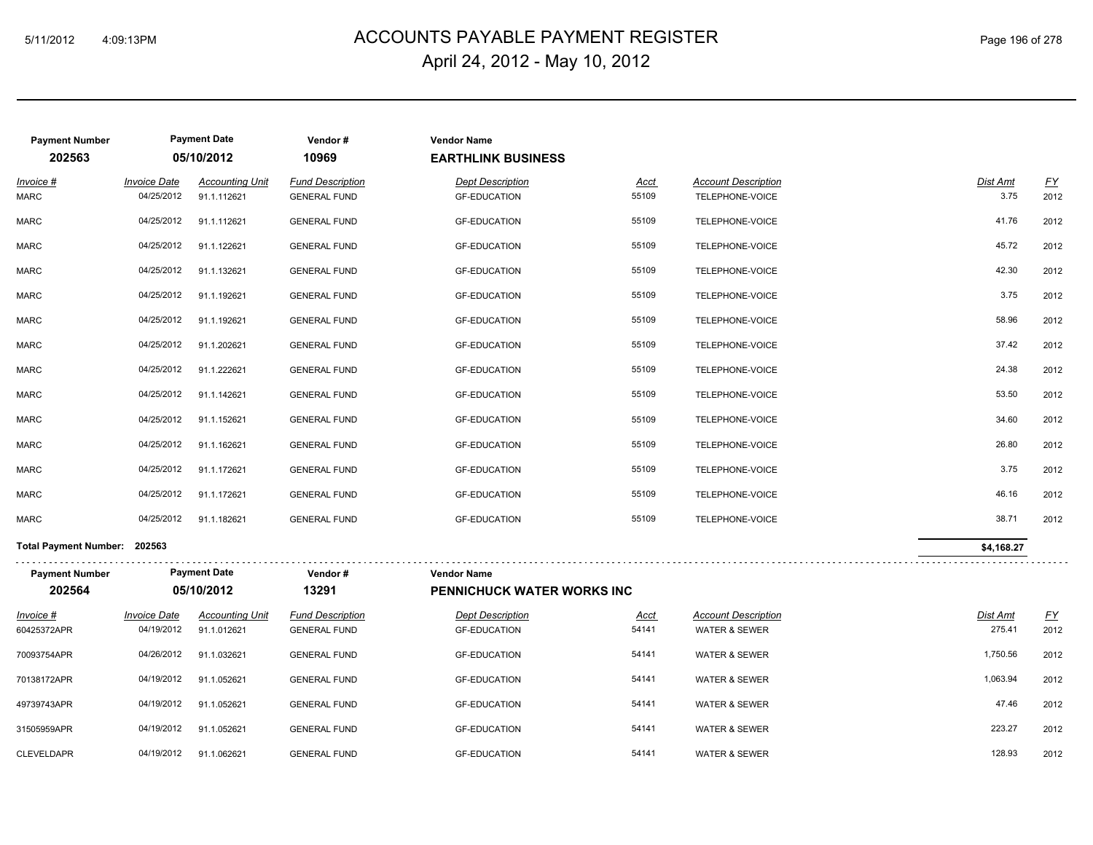## ACCOUNTS PAYABLE PAYMENT REGISTER 5/11/2012 4:09:13PM Page 196 of 278 April 24, 2012 - May 10, 2012

| <b>Payment Number</b><br>202563 |                                   | <b>Payment Date</b><br>05/10/2012     | Vendor#<br>10969                               | <b>Vendor Name</b><br><b>EARTHLINK BUSINESS</b> |                      |                                                        |                           |                   |
|---------------------------------|-----------------------------------|---------------------------------------|------------------------------------------------|-------------------------------------------------|----------------------|--------------------------------------------------------|---------------------------|-------------------|
| Invoice #<br><b>MARC</b>        | <b>Invoice Date</b><br>04/25/2012 | <b>Accounting Unit</b><br>91.1.112621 | <b>Fund Description</b><br><b>GENERAL FUND</b> | <b>Dept Description</b><br><b>GF-EDUCATION</b>  | Acct<br>55109        | <b>Account Description</b><br>TELEPHONE-VOICE          | Dist Amt<br>3.75          | <u>FY</u><br>2012 |
| <b>MARC</b>                     | 04/25/2012                        | 91.1.112621                           | <b>GENERAL FUND</b>                            | <b>GF-EDUCATION</b>                             | 55109                | TELEPHONE-VOICE                                        | 41.76                     | 2012              |
| <b>MARC</b>                     | 04/25/2012                        | 91.1.122621                           | <b>GENERAL FUND</b>                            | <b>GF-EDUCATION</b>                             | 55109                | TELEPHONE-VOICE                                        | 45.72                     | 2012              |
| MARC                            | 04/25/2012                        | 91.1.132621                           | <b>GENERAL FUND</b>                            | <b>GF-EDUCATION</b>                             | 55109                | TELEPHONE-VOICE                                        | 42.30                     | 2012              |
| MARC                            | 04/25/2012                        | 91.1.192621                           | <b>GENERAL FUND</b>                            | <b>GF-EDUCATION</b>                             | 55109                | TELEPHONE-VOICE                                        | 3.75                      | 2012              |
| MARC                            | 04/25/2012                        | 91.1.192621                           | <b>GENERAL FUND</b>                            | <b>GF-EDUCATION</b>                             | 55109                | TELEPHONE-VOICE                                        | 58.96                     | 2012              |
| <b>MARC</b>                     | 04/25/2012                        | 91.1.202621                           | <b>GENERAL FUND</b>                            | <b>GF-EDUCATION</b>                             | 55109                | TELEPHONE-VOICE                                        | 37.42                     | 2012              |
| <b>MARC</b>                     | 04/25/2012                        | 91.1.222621                           | <b>GENERAL FUND</b>                            | <b>GF-EDUCATION</b>                             | 55109                | TELEPHONE-VOICE                                        | 24.38                     | 2012              |
| <b>MARC</b>                     | 04/25/2012                        | 91.1.142621                           | <b>GENERAL FUND</b>                            | <b>GF-EDUCATION</b>                             | 55109                | TELEPHONE-VOICE                                        | 53.50                     | 2012              |
| MARC                            | 04/25/2012                        | 91.1.152621                           | <b>GENERAL FUND</b>                            | <b>GF-EDUCATION</b>                             | 55109                | TELEPHONE-VOICE                                        | 34.60                     | 2012              |
| <b>MARC</b>                     | 04/25/2012                        | 91.1.162621                           | <b>GENERAL FUND</b>                            | <b>GF-EDUCATION</b>                             | 55109                | TELEPHONE-VOICE                                        | 26.80                     | 2012              |
| <b>MARC</b>                     | 04/25/2012                        | 91.1.172621                           | <b>GENERAL FUND</b>                            | <b>GF-EDUCATION</b>                             | 55109                | TELEPHONE-VOICE                                        | 3.75                      | 2012              |
| <b>MARC</b>                     | 04/25/2012                        | 91.1.172621                           | <b>GENERAL FUND</b>                            | <b>GF-EDUCATION</b>                             | 55109                | TELEPHONE-VOICE                                        | 46.16                     | 2012              |
| <b>MARC</b>                     | 04/25/2012                        | 91.1.182621                           | <b>GENERAL FUND</b>                            | <b>GF-EDUCATION</b>                             | 55109                | TELEPHONE-VOICE                                        | 38.71                     | 2012              |
| Total Payment Number: 202563    |                                   |                                       |                                                |                                                 |                      |                                                        | \$4,168.27                |                   |
| <b>Payment Number</b>           |                                   | <b>Payment Date</b>                   | Vendor#                                        | <b>Vendor Name</b>                              |                      |                                                        |                           |                   |
| 202564                          |                                   | 05/10/2012                            | 13291                                          | <b>PENNICHUCK WATER WORKS INC</b>               |                      |                                                        |                           |                   |
| Invoice #<br>60425372APR        | <b>Invoice Date</b><br>04/19/2012 | <b>Accounting Unit</b><br>91.1.012621 | <b>Fund Description</b><br><b>GENERAL FUND</b> | <b>Dept Description</b><br><b>GF-EDUCATION</b>  | <u>Acct</u><br>54141 | <b>Account Description</b><br><b>WATER &amp; SEWER</b> | <b>Dist Amt</b><br>275.41 | EY<br>2012        |
| 70093754APR                     | 04/26/2012                        | 91.1.032621                           | <b>GENERAL FUND</b>                            | <b>GF-EDUCATION</b>                             | 54141                | <b>WATER &amp; SEWER</b>                               | 1,750.56                  | 2012              |
| 70138172APR                     | 04/19/2012                        | 91.1.052621                           | <b>GENERAL FUND</b>                            | <b>GF-EDUCATION</b>                             | 54141                | <b>WATER &amp; SEWER</b>                               | 1,063.94                  | 2012              |
| 49739743APR                     | 04/19/2012                        | 91.1.052621                           | <b>GENERAL FUND</b>                            | <b>GF-EDUCATION</b>                             | 54141                | <b>WATER &amp; SEWER</b>                               | 47.46                     | 2012              |
| 31505959APR                     | 04/19/2012                        | 91.1.052621                           | <b>GENERAL FUND</b>                            | <b>GF-EDUCATION</b>                             | 54141                | <b>WATER &amp; SEWER</b>                               | 223.27                    | 2012              |
| <b>CLEVELDAPR</b>               | 04/19/2012                        | 91.1.062621                           | <b>GENERAL FUND</b>                            | <b>GF-EDUCATION</b>                             | 54141                | <b>WATER &amp; SEWER</b>                               | 128.93                    | 2012              |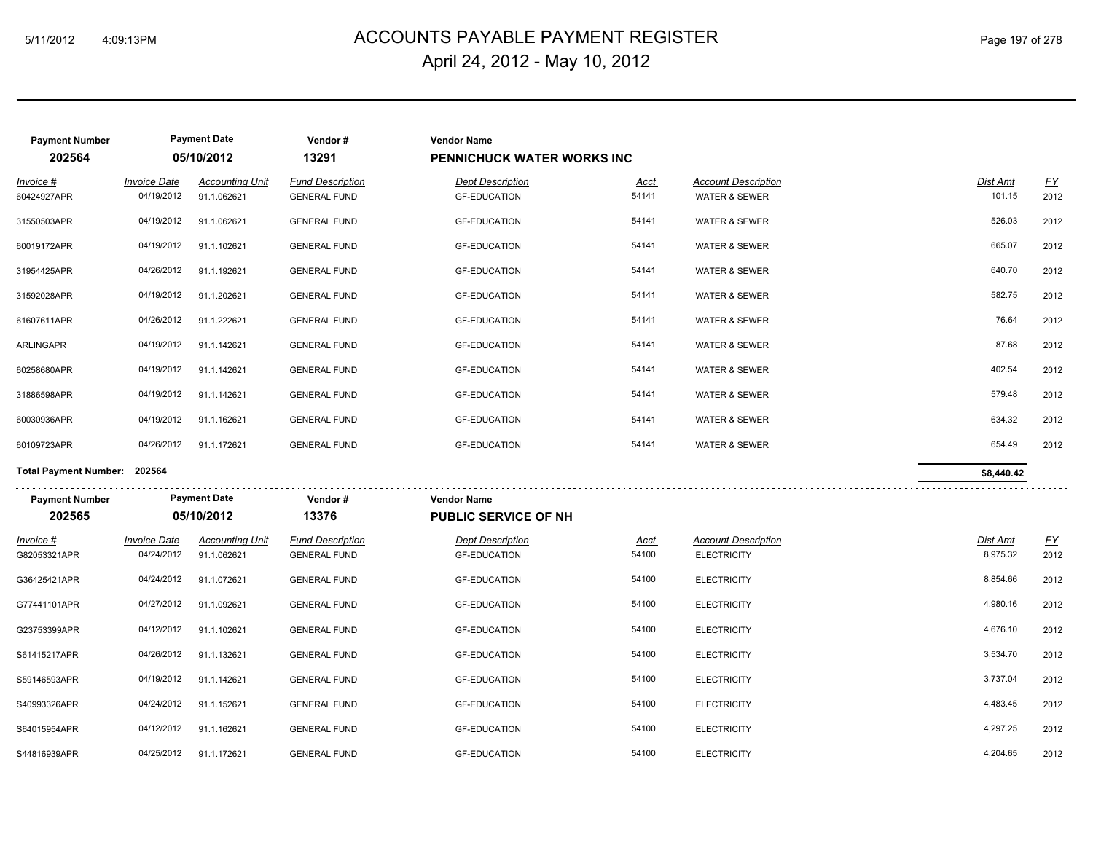## ACCOUNTS PAYABLE PAYMENT REGISTER 5/11/2012 4:09:13PM Page 197 of 278 April 24, 2012 - May 10, 2012

| <b>Payment Number</b><br>202564 |                                   | <b>Payment Date</b><br>05/10/2012     | Vendor#<br>13291                               | <b>Vendor Name</b><br><b>PENNICHUCK WATER WORKS INC</b> |                      |                                                        |                             |                                   |
|---------------------------------|-----------------------------------|---------------------------------------|------------------------------------------------|---------------------------------------------------------|----------------------|--------------------------------------------------------|-----------------------------|-----------------------------------|
| Invoice #<br>60424927APR        | <b>Invoice Date</b><br>04/19/2012 | <b>Accounting Unit</b><br>91.1.062621 | <b>Fund Description</b><br><b>GENERAL FUND</b> | <b>Dept Description</b><br><b>GF-EDUCATION</b>          | <u>Acct</u><br>54141 | <b>Account Description</b><br><b>WATER &amp; SEWER</b> | <b>Dist Amt</b><br>101.15   | $\underline{FY}$<br>2012          |
| 31550503APR                     | 04/19/2012                        | 91.1.062621                           | <b>GENERAL FUND</b>                            | <b>GF-EDUCATION</b>                                     | 54141                | WATER & SEWER                                          | 526.03                      | 2012                              |
| 60019172APR                     | 04/19/2012                        | 91.1.102621                           | <b>GENERAL FUND</b>                            | <b>GF-EDUCATION</b>                                     | 54141                | <b>WATER &amp; SEWER</b>                               | 665.07                      | 2012                              |
| 31954425APR                     | 04/26/2012                        | 91.1.192621                           | <b>GENERAL FUND</b>                            | <b>GF-EDUCATION</b>                                     | 54141                | <b>WATER &amp; SEWER</b>                               | 640.70                      | 2012                              |
| 31592028APR                     | 04/19/2012                        | 91.1.202621                           | <b>GENERAL FUND</b>                            | <b>GF-EDUCATION</b>                                     | 54141                | WATER & SEWER                                          | 582.75                      | 2012                              |
| 61607611APR                     | 04/26/2012                        | 91.1.222621                           | <b>GENERAL FUND</b>                            | <b>GF-EDUCATION</b>                                     | 54141                | WATER & SEWER                                          | 76.64                       | 2012                              |
| ARLINGAPR                       | 04/19/2012                        | 91.1.142621                           | <b>GENERAL FUND</b>                            | <b>GF-EDUCATION</b>                                     | 54141                | <b>WATER &amp; SEWER</b>                               | 87.68                       | 2012                              |
| 60258680APR                     | 04/19/2012                        | 91.1.142621                           | <b>GENERAL FUND</b>                            | <b>GF-EDUCATION</b>                                     | 54141                | <b>WATER &amp; SEWER</b>                               | 402.54                      | 2012                              |
| 31886598APR                     | 04/19/2012                        | 91.1.142621                           | <b>GENERAL FUND</b>                            | <b>GF-EDUCATION</b>                                     | 54141                | WATER & SEWER                                          | 579.48                      | 2012                              |
| 60030936APR                     | 04/19/2012                        | 91.1.162621                           | <b>GENERAL FUND</b>                            | <b>GF-EDUCATION</b>                                     | 54141                | WATER & SEWER                                          | 634.32                      | 2012                              |
| 60109723APR                     | 04/26/2012                        | 91.1.172621                           | <b>GENERAL FUND</b>                            | <b>GF-EDUCATION</b>                                     | 54141                | <b>WATER &amp; SEWER</b>                               | 654.49                      | 2012                              |
| Total Payment Number: 202564    |                                   |                                       |                                                |                                                         |                      |                                                        | \$8,440.42                  |                                   |
| <b>Payment Number</b>           |                                   | <b>Payment Date</b>                   | Vendor#                                        | <b>Vendor Name</b>                                      |                      |                                                        |                             |                                   |
| 202565                          |                                   | 05/10/2012                            | 13376                                          | <b>PUBLIC SERVICE OF NH</b>                             |                      |                                                        |                             |                                   |
| Invoice #<br>G82053321APR       | <b>Invoice Date</b><br>04/24/2012 | <b>Accounting Unit</b><br>91.1.062621 | <b>Fund Description</b><br><b>GENERAL FUND</b> | <b>Dept Description</b><br><b>GF-EDUCATION</b>          | <u>Acct</u><br>54100 | <b>Account Description</b><br><b>ELECTRICITY</b>       | <b>Dist Amt</b><br>8,975.32 | $\underline{\mathsf{FY}}$<br>2012 |
| G36425421APR                    | 04/24/2012                        | 91.1.072621                           | <b>GENERAL FUND</b>                            | <b>GF-EDUCATION</b>                                     | 54100                | <b>ELECTRICITY</b>                                     | 8,854.66                    | 2012                              |
| G77441101APR                    | 04/27/2012                        | 91.1.092621                           | <b>GENERAL FUND</b>                            | <b>GF-EDUCATION</b>                                     | 54100                | <b>ELECTRICITY</b>                                     | 4,980.16                    | 2012                              |
| G23753399APR                    | 04/12/2012                        | 91.1.102621                           | <b>GENERAL FUND</b>                            | <b>GF-EDUCATION</b>                                     | 54100                | <b>ELECTRICITY</b>                                     | 4,676.10                    | 2012                              |
| S61415217APR                    | 04/26/2012                        | 91.1.132621                           | <b>GENERAL FUND</b>                            | <b>GF-EDUCATION</b>                                     | 54100                | <b>ELECTRICITY</b>                                     | 3,534.70                    | 2012                              |
| S59146593APR                    | 04/19/2012                        |                                       | <b>GENERAL FUND</b>                            | <b>GF-EDUCATION</b>                                     | 54100                | <b>ELECTRICITY</b>                                     | 3,737.04                    | 2012                              |
|                                 |                                   | 91.1.142621                           |                                                |                                                         |                      |                                                        |                             |                                   |
| S40993326APR                    | 04/24/2012                        | 91.1.152621                           | <b>GENERAL FUND</b>                            | <b>GF-EDUCATION</b>                                     | 54100                | <b>ELECTRICITY</b>                                     | 4,483.45                    | 2012                              |
| S64015954APR                    | 04/12/2012                        | 91.1.162621                           | <b>GENERAL FUND</b>                            | <b>GF-EDUCATION</b>                                     | 54100                | <b>ELECTRICITY</b>                                     | 4,297.25                    | 2012                              |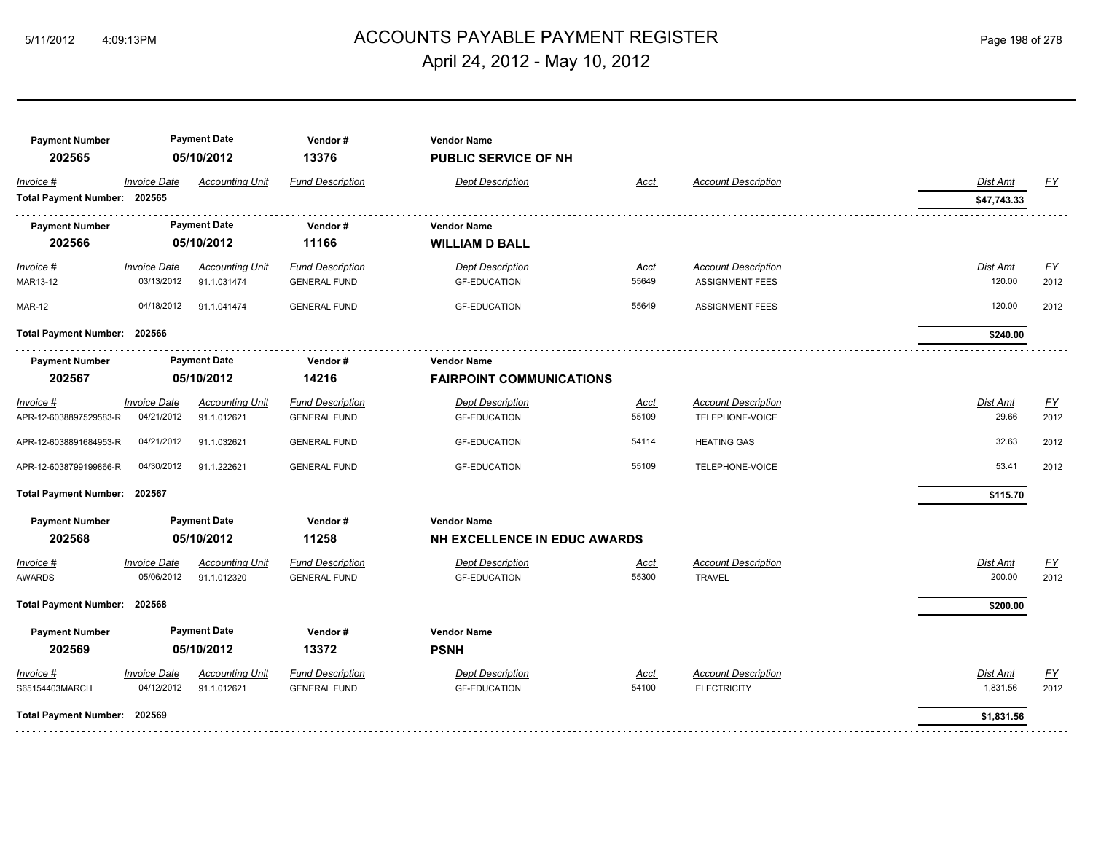## ACCOUNTS PAYABLE PAYMENT REGISTER 5/11/2012 4:09:13PM Page 198 of 278 April 24, 2012 - May 10, 2012

| <b>Payment Number</b><br>202565           |                     | <b>Payment Date</b><br>05/10/2012 | Vendor#<br>13376        | <b>Vendor Name</b><br><b>PUBLIC SERVICE OF NH</b> |       |                            |                 |           |
|-------------------------------------------|---------------------|-----------------------------------|-------------------------|---------------------------------------------------|-------|----------------------------|-----------------|-----------|
| Invoice #<br>Total Payment Number: 202565 | <b>Invoice Date</b> | <b>Accounting Unit</b>            | <b>Fund Description</b> | <b>Dept Description</b>                           | Acct  | <b>Account Description</b> | Dist Amt        | <u>FY</u> |
|                                           |                     |                                   |                         |                                                   |       |                            | \$47,743.33     |           |
| <b>Payment Number</b>                     |                     | <b>Payment Date</b>               | Vendor#                 | <b>Vendor Name</b>                                |       |                            |                 |           |
| 202566                                    |                     | 05/10/2012                        | 11166                   | <b>WILLIAM D BALL</b>                             |       |                            |                 |           |
| $Invoice$ #                               | <b>Invoice Date</b> | <b>Accounting Unit</b>            | <b>Fund Description</b> | <b>Dept Description</b>                           | Acct  | <b>Account Description</b> | <b>Dist Amt</b> | <u>FY</u> |
| MAR13-12                                  | 03/13/2012          | 91.1.031474                       | <b>GENERAL FUND</b>     | <b>GF-EDUCATION</b>                               | 55649 | <b>ASSIGNMENT FEES</b>     | 120.00          | 2012      |
| <b>MAR-12</b>                             | 04/18/2012          | 91.1.041474                       | <b>GENERAL FUND</b>     | <b>GF-EDUCATION</b>                               | 55649 | <b>ASSIGNMENT FEES</b>     | 120.00          | 2012      |
| Total Payment Number: 202566              |                     |                                   |                         |                                                   |       |                            | \$240.00        |           |
| <b>Payment Number</b>                     |                     | <b>Payment Date</b>               | Vendor#                 | <b>Vendor Name</b>                                |       |                            |                 |           |
| 202567                                    |                     | 05/10/2012                        | 14216                   | <b>FAIRPOINT COMMUNICATIONS</b>                   |       |                            |                 |           |
| Invoice #                                 | <b>Invoice Date</b> | <b>Accounting Unit</b>            | <b>Fund Description</b> | <b>Dept Description</b>                           | Acct  | <b>Account Description</b> | Dist Amt        | <u>FY</u> |
| APR-12-6038897529583-R                    | 04/21/2012          | 91.1.012621                       | <b>GENERAL FUND</b>     | <b>GF-EDUCATION</b>                               | 55109 | TELEPHONE-VOICE            | 29.66           | 2012      |
| APR-12-6038891684953-R                    | 04/21/2012          | 91.1.032621                       | <b>GENERAL FUND</b>     | <b>GF-EDUCATION</b>                               | 54114 | <b>HEATING GAS</b>         | 32.63           | 2012      |
| APR-12-6038799199866-R                    | 04/30/2012          | 91.1.222621                       | <b>GENERAL FUND</b>     | <b>GF-EDUCATION</b>                               | 55109 | TELEPHONE-VOICE            | 53.41           | 2012      |
| Total Payment Number: 202567              |                     |                                   |                         |                                                   |       |                            | \$115.70        |           |
| <b>Payment Number</b>                     |                     | <b>Payment Date</b>               | Vendor#                 | <b>Vendor Name</b>                                |       |                            |                 |           |
| 202568                                    |                     | 05/10/2012                        | 11258                   | NH EXCELLENCE IN EDUC AWARDS                      |       |                            |                 |           |
| Invoice #                                 | <b>Invoice Date</b> | <b>Accounting Unit</b>            | <b>Fund Description</b> | <b>Dept Description</b>                           | Acct  | <b>Account Description</b> | <b>Dist Amt</b> | EY        |
| <b>AWARDS</b>                             | 05/06/2012          | 91.1.012320                       | <b>GENERAL FUND</b>     | <b>GF-EDUCATION</b>                               | 55300 | <b>TRAVEL</b>              | 200.00          | 2012      |
| Total Payment Number: 202568              |                     |                                   |                         |                                                   |       |                            | \$200.00        |           |
| <b>Payment Number</b>                     |                     | <b>Payment Date</b>               | Vendor#                 | <b>Vendor Name</b>                                |       |                            |                 |           |
| 202569                                    |                     | 05/10/2012                        | 13372                   | <b>PSNH</b>                                       |       |                            |                 |           |
| Invoice #                                 | <b>Invoice Date</b> | <b>Accounting Unit</b>            | <b>Fund Description</b> | <b>Dept Description</b>                           | Acct  | <b>Account Description</b> | <b>Dist Amt</b> | <u>FY</u> |
| S65154403MARCH                            | 04/12/2012          | 91.1.012621                       | <b>GENERAL FUND</b>     | <b>GF-EDUCATION</b>                               | 54100 | <b>ELECTRICITY</b>         | 1,831.56        | 2012      |
| Total Payment Number: 202569              |                     |                                   |                         |                                                   |       |                            | \$1,831.56      |           |
|                                           |                     |                                   |                         |                                                   |       |                            |                 |           |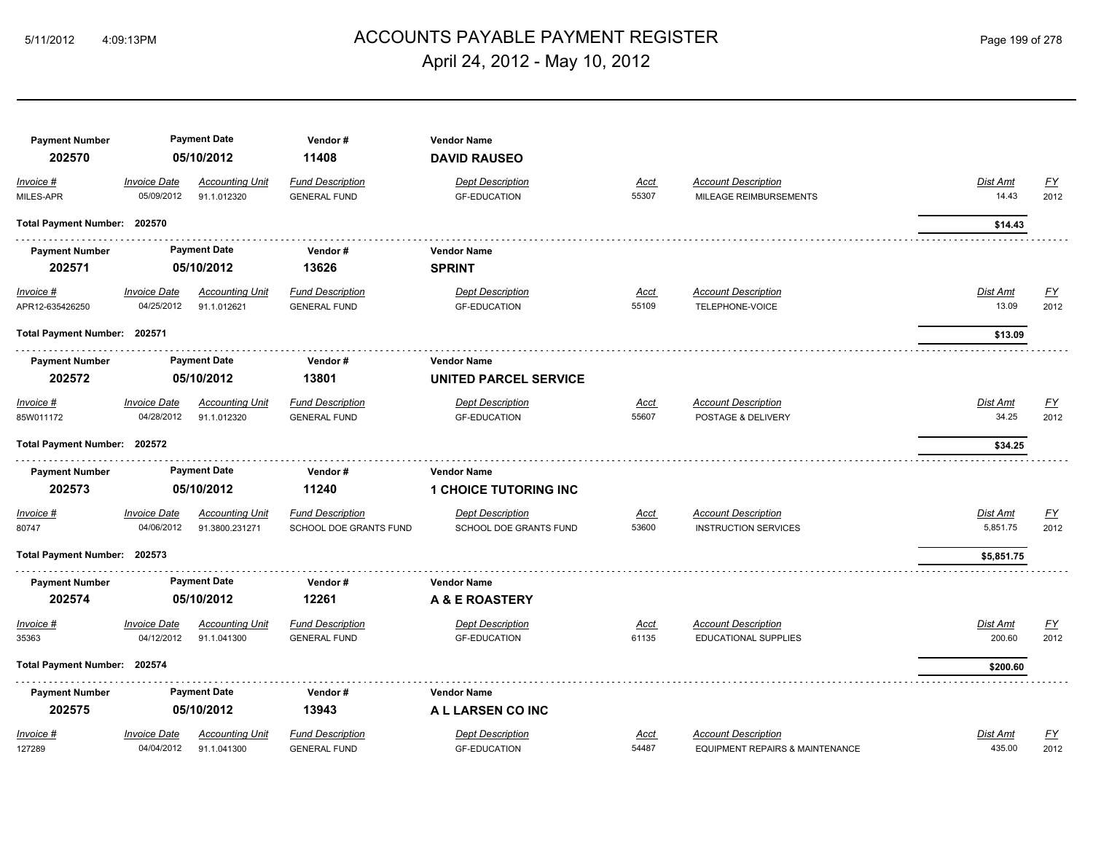## ACCOUNTS PAYABLE PAYMENT REGISTER 5/11/2012 4:09:13PM Page 199 of 278 April 24, 2012 - May 10, 2012

| <b>Payment Number</b><br>202570 |                                   | <b>Payment Date</b><br>05/10/2012        | Vendor#<br>11408                                  | <b>Vendor Name</b><br><b>DAVID RAUSEO</b>          |                      |                                                               |                      |                          |
|---------------------------------|-----------------------------------|------------------------------------------|---------------------------------------------------|----------------------------------------------------|----------------------|---------------------------------------------------------------|----------------------|--------------------------|
| Invoice #<br>MILES-APR          | <b>Invoice Date</b><br>05/09/2012 | <b>Accounting Unit</b><br>91.1.012320    | <b>Fund Description</b><br><b>GENERAL FUND</b>    | <b>Dept Description</b><br><b>GF-EDUCATION</b>     | Acct<br>55307        | <b>Account Description</b><br>MILEAGE REIMBURSEMENTS          | Dist Amt<br>14.43    | <u>FY</u><br>2012        |
| Total Payment Number: 202570    |                                   |                                          |                                                   |                                                    |                      |                                                               | \$14.43              |                          |
| <b>Payment Number</b><br>202571 |                                   | <b>Payment Date</b><br>05/10/2012        | Vendor#<br>13626                                  | <b>Vendor Name</b><br><b>SPRINT</b>                |                      |                                                               |                      |                          |
| $Invoice$ #<br>APR12-635426250  | <b>Invoice Date</b><br>04/25/2012 | <b>Accounting Unit</b><br>91.1.012621    | <b>Fund Description</b><br><b>GENERAL FUND</b>    | <b>Dept Description</b><br><b>GF-EDUCATION</b>     | <u>Acct</u><br>55109 | <b>Account Description</b><br>TELEPHONE-VOICE                 | Dist Amt<br>13.09    | <u>FY</u><br>2012        |
| Total Payment Number: 202571    |                                   |                                          |                                                   |                                                    |                      |                                                               | \$13.09              |                          |
| <b>Payment Number</b><br>202572 |                                   | <b>Payment Date</b><br>05/10/2012        | Vendor#<br>13801                                  | <b>Vendor Name</b><br><b>UNITED PARCEL SERVICE</b> |                      |                                                               |                      |                          |
| Invoice #<br>85W011172          | <b>Invoice Date</b><br>04/28/2012 | <b>Accounting Unit</b><br>91.1.012320    | <b>Fund Description</b><br><b>GENERAL FUND</b>    | <b>Dept Description</b><br><b>GF-EDUCATION</b>     | Acct<br>55607        | <b>Account Description</b><br>POSTAGE & DELIVERY              | Dist Amt<br>34.25    | EY<br>2012               |
| Total Payment Number: 202572    |                                   |                                          |                                                   |                                                    |                      |                                                               | \$34.25              |                          |
| <b>Payment Number</b><br>202573 |                                   | <b>Payment Date</b><br>05/10/2012        | Vendor#<br>11240                                  | <b>Vendor Name</b><br><b>1 CHOICE TUTORING INC</b> |                      |                                                               |                      |                          |
| Invoice #<br>80747              | <b>Invoice Date</b><br>04/06/2012 | <b>Accounting Unit</b><br>91.3800.231271 | <b>Fund Description</b><br>SCHOOL DOE GRANTS FUND | <b>Dept Description</b><br>SCHOOL DOE GRANTS FUND  | Acct<br>53600        | <b>Account Description</b><br><b>INSTRUCTION SERVICES</b>     | Dist Amt<br>5,851.75 | <u>FY</u><br>2012        |
| Total Payment Number: 202573    |                                   |                                          |                                                   |                                                    |                      |                                                               | \$5,851.75           |                          |
| <b>Payment Number</b><br>202574 |                                   | <b>Payment Date</b><br>05/10/2012        | Vendor#<br>12261                                  | <b>Vendor Name</b><br>A & E ROASTERY               |                      |                                                               |                      |                          |
| Invoice #<br>35363              | <b>Invoice Date</b><br>04/12/2012 | <b>Accounting Unit</b><br>91.1.041300    | <b>Fund Description</b><br><b>GENERAL FUND</b>    | <b>Dept Description</b><br><b>GF-EDUCATION</b>     | Acct<br>61135        | <b>Account Description</b><br><b>EDUCATIONAL SUPPLIES</b>     | Dist Amt<br>200.60   | <u>FY</u><br>2012        |
| Total Payment Number: 202574    |                                   |                                          |                                                   |                                                    |                      |                                                               | \$200.60             |                          |
| <b>Payment Number</b><br>202575 |                                   | <b>Payment Date</b><br>05/10/2012        | Vendor#<br>13943                                  | <b>Vendor Name</b><br>A L LARSEN CO INC            |                      |                                                               |                      |                          |
| Invoice #<br>127289             | <b>Invoice Date</b><br>04/04/2012 | <b>Accounting Unit</b><br>91.1.041300    | <b>Fund Description</b><br><b>GENERAL FUND</b>    | <b>Dept Description</b><br><b>GF-EDUCATION</b>     | Acct<br>54487        | <b>Account Description</b><br>EQUIPMENT REPAIRS & MAINTENANCE | Dist Amt<br>435.00   | $\underline{FY}$<br>2012 |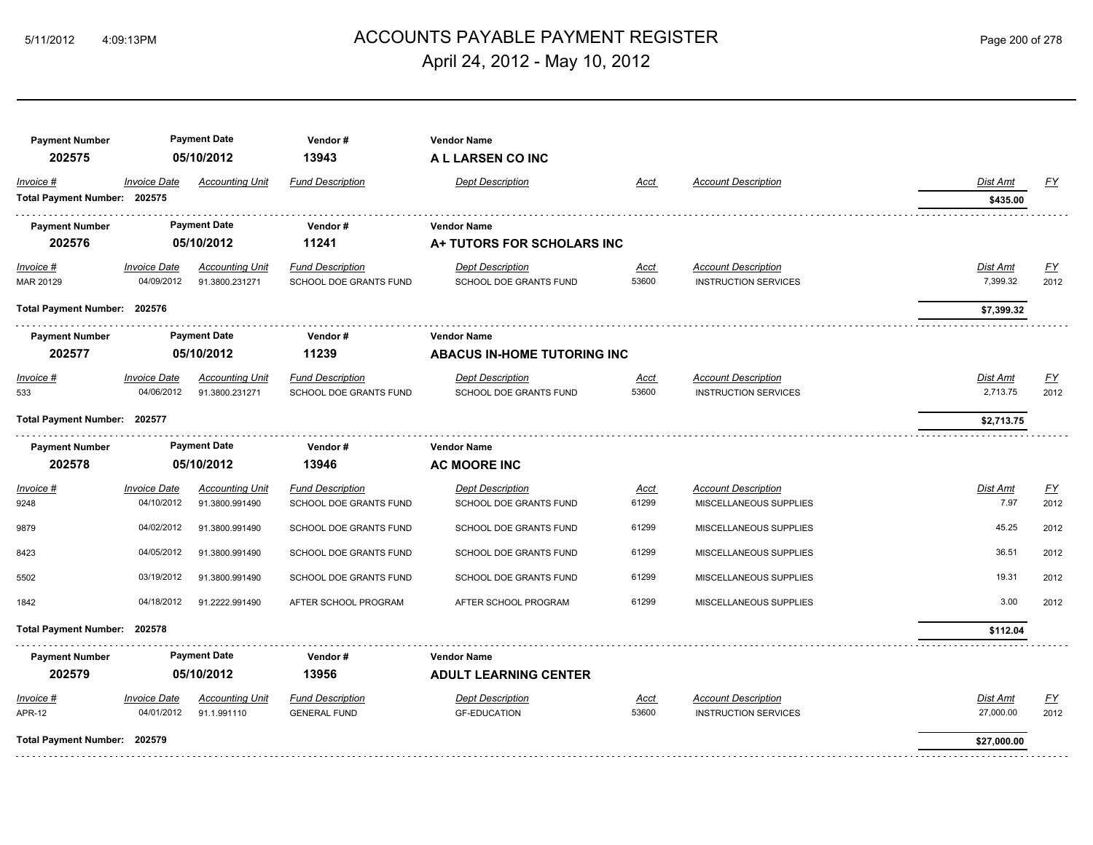# ACCOUNTS PAYABLE PAYMENT REGISTER 5/11/2012 4:09:13PM Page 200 of 278 April 24, 2012 - May 10, 2012

| <b>Payment Number</b><br>202575 |                                   | <b>Payment Date</b><br>05/10/2012     | Vendor#<br>13943        | <b>Vendor Name</b><br>A L LARSEN CO INC        |                      |                                                           |                       |            |
|---------------------------------|-----------------------------------|---------------------------------------|-------------------------|------------------------------------------------|----------------------|-----------------------------------------------------------|-----------------------|------------|
| Invoice #                       | <b>Invoice Date</b>               | <b>Accounting Unit</b>                | <b>Fund Description</b> | <b>Dept Description</b>                        | Acct                 | <b>Account Description</b>                                | Dist Amt              | EY         |
| Total Payment Number: 202575    |                                   |                                       |                         |                                                |                      |                                                           | \$435.00              |            |
| <b>Payment Number</b>           |                                   | <b>Payment Date</b>                   | Vendor#                 | <b>Vendor Name</b>                             |                      |                                                           |                       |            |
| 202576                          |                                   | 05/10/2012                            | 11241                   | A+ TUTORS FOR SCHOLARS INC                     |                      |                                                           |                       |            |
| Invoice #                       | <b>Invoice Date</b>               | <b>Accounting Unit</b>                | <b>Fund Description</b> | <b>Dept Description</b>                        | <u>Acct</u>          | <b>Account Description</b>                                | Dist Amt              | <u>FY</u>  |
| MAR 20129                       | 04/09/2012                        | 91.3800.231271                        | SCHOOL DOE GRANTS FUND  | SCHOOL DOE GRANTS FUND                         | 53600                | <b>INSTRUCTION SERVICES</b>                               | 7,399.32              | 2012       |
| Total Payment Number: 202576    |                                   |                                       |                         |                                                |                      |                                                           | \$7,399.32            |            |
| <b>Payment Number</b>           |                                   | <b>Payment Date</b>                   | Vendor#                 | <b>Vendor Name</b>                             |                      |                                                           |                       |            |
| 202577                          |                                   | 05/10/2012                            | 11239                   | ABACUS IN-HOME TUTORING INC                    |                      |                                                           |                       |            |
| Invoice #                       | <b>Invoice Date</b>               | <b>Accounting Unit</b>                | <b>Fund Description</b> | <b>Dept Description</b>                        | Acct                 | <b>Account Description</b>                                | Dist Amt              | <u>FY</u>  |
| 533                             | 04/06/2012                        | 91.3800.231271                        | SCHOOL DOE GRANTS FUND  | SCHOOL DOE GRANTS FUND                         | 53600                | <b>INSTRUCTION SERVICES</b>                               | 2,713.75              | 2012       |
| Total Payment Number: 202577    |                                   |                                       |                         |                                                |                      |                                                           | \$2,713.75            |            |
| <b>Payment Number</b>           |                                   | <b>Payment Date</b>                   | Vendor#                 | <b>Vendor Name</b>                             |                      |                                                           |                       |            |
| 202578                          |                                   | 05/10/2012                            | 13946                   | <b>AC MOORE INC</b>                            |                      |                                                           |                       |            |
| Invoice #                       | <b>Invoice Date</b>               | <b>Accounting Unit</b>                | <b>Fund Description</b> | <b>Dept Description</b>                        | Acct                 | <b>Account Description</b>                                | Dist Amt              | EY         |
| 9248                            | 04/10/2012                        | 91.3800.991490                        | SCHOOL DOE GRANTS FUND  | SCHOOL DOE GRANTS FUND                         | 61299                | MISCELLANEOUS SUPPLIES                                    | 7.97                  | 2012       |
| 9879                            | 04/02/2012                        | 91.3800.991490                        | SCHOOL DOE GRANTS FUND  | SCHOOL DOE GRANTS FUND                         | 61299                | MISCELLANEOUS SUPPLIES                                    | 45.25                 | 2012       |
| 8423                            | 04/05/2012                        | 91.3800.991490                        | SCHOOL DOE GRANTS FUND  | SCHOOL DOE GRANTS FUND                         | 61299                | MISCELLANEOUS SUPPLIES                                    | 36.51                 | 2012       |
| 5502                            | 03/19/2012                        | 91.3800.991490                        | SCHOOL DOE GRANTS FUND  | SCHOOL DOE GRANTS FUND                         | 61299                | MISCELLANEOUS SUPPLIES                                    | 19.31                 | 2012       |
| 1842                            | 04/18/2012                        | 91.2222.991490                        | AFTER SCHOOL PROGRAM    | AFTER SCHOOL PROGRAM                           | 61299                | MISCELLANEOUS SUPPLIES                                    | 3.00                  | 2012       |
|                                 |                                   |                                       |                         |                                                |                      |                                                           |                       |            |
| Total Payment Number: 202578    |                                   |                                       |                         |                                                |                      |                                                           | \$112.04              |            |
| <b>Payment Number</b>           |                                   | <b>Payment Date</b>                   | Vendor#                 | <b>Vendor Name</b>                             |                      |                                                           |                       |            |
| 202579                          |                                   | 05/10/2012                            | 13956                   | <b>ADULT LEARNING CENTER</b>                   |                      |                                                           |                       |            |
| $Invoice$ #                     | <b>Invoice Date</b><br>04/01/2012 | <b>Accounting Unit</b><br>91.1.991110 | <b>Fund Description</b> | <b>Dept Description</b><br><b>GF-EDUCATION</b> | <u>Acct</u><br>53600 | <b>Account Description</b><br><b>INSTRUCTION SERVICES</b> | Dist Amt<br>27,000.00 | EY<br>2012 |
| <b>APR-12</b>                   |                                   |                                       | <b>GENERAL FUND</b>     |                                                |                      |                                                           |                       |            |
| Total Payment Number: 202579    |                                   |                                       |                         |                                                |                      |                                                           | \$27,000.00           |            |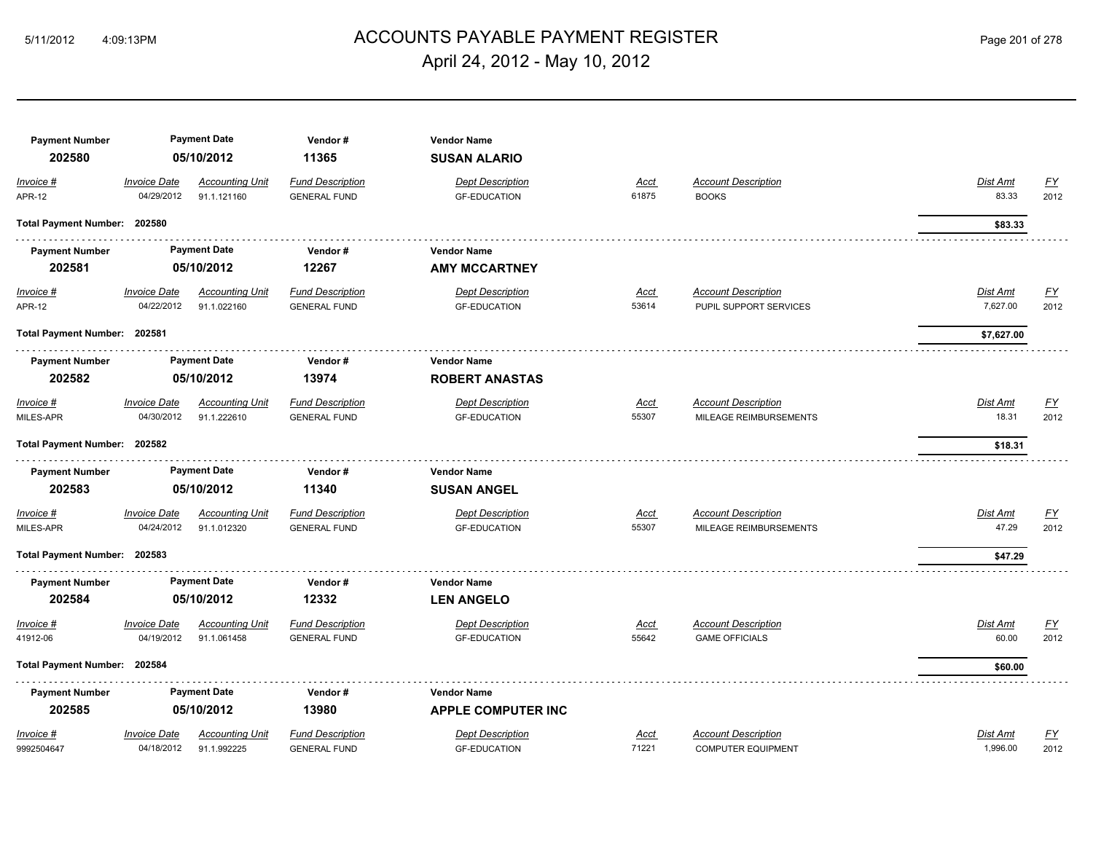## ACCOUNTS PAYABLE PAYMENT REGISTER 5/11/2012 4:09:13PM Page 201 of 278 April 24, 2012 - May 10, 2012

| <b>Payment Number</b>        |                                   | <b>Payment Date</b>                   | Vendor#                                        | <b>Vendor Name</b>                             |                      |                                                         |                                                           |
|------------------------------|-----------------------------------|---------------------------------------|------------------------------------------------|------------------------------------------------|----------------------|---------------------------------------------------------|-----------------------------------------------------------|
| 202580                       |                                   | 05/10/2012                            | 11365                                          | <b>SUSAN ALARIO</b>                            |                      |                                                         |                                                           |
| Invoice #<br><b>APR-12</b>   | <b>Invoice Date</b><br>04/29/2012 | <b>Accounting Unit</b><br>91.1.121160 | <b>Fund Description</b><br><b>GENERAL FUND</b> | <b>Dept Description</b><br><b>GF-EDUCATION</b> | <u>Acct</u><br>61875 | <b>Account Description</b><br><b>BOOKS</b>              | Dist Amt<br><u>FY</u><br>83.33<br>2012                    |
| Total Payment Number: 202580 |                                   |                                       |                                                |                                                |                      |                                                         | \$83.33                                                   |
| <b>Payment Number</b>        |                                   | <b>Payment Date</b>                   | Vendor#                                        | <b>Vendor Name</b>                             |                      |                                                         |                                                           |
| 202581                       |                                   | 05/10/2012                            | 12267                                          | <b>AMY MCCARTNEY</b>                           |                      |                                                         |                                                           |
| Invoice #<br><b>APR-12</b>   | <b>Invoice Date</b><br>04/22/2012 | <b>Accounting Unit</b><br>91.1.022160 | <b>Fund Description</b><br><b>GENERAL FUND</b> | <b>Dept Description</b><br><b>GF-EDUCATION</b> | <b>Acct</b><br>53614 | <b>Account Description</b><br>PUPIL SUPPORT SERVICES    | <u>FY</u><br>Dist Amt<br>7,627.00<br>2012                 |
| Total Payment Number: 202581 |                                   |                                       |                                                |                                                |                      |                                                         | \$7,627.00                                                |
| <b>Payment Number</b>        |                                   | <b>Payment Date</b>                   | Vendor#                                        | <b>Vendor Name</b>                             |                      |                                                         |                                                           |
| 202582                       |                                   | 05/10/2012                            | 13974                                          | <b>ROBERT ANASTAS</b>                          |                      |                                                         |                                                           |
| Invoice #                    | <b>Invoice Date</b>               | <b>Accounting Unit</b>                | <b>Fund Description</b>                        | <b>Dept Description</b>                        | <u>Acct</u>          | <b>Account Description</b>                              | Dist Amt<br><u>FY</u>                                     |
| MILES-APR                    | 04/30/2012                        | 91.1.222610                           | <b>GENERAL FUND</b>                            | <b>GF-EDUCATION</b>                            | 55307                | MILEAGE REIMBURSEMENTS                                  | 18.31<br>2012                                             |
| Total Payment Number: 202582 |                                   |                                       |                                                |                                                |                      |                                                         | \$18.31                                                   |
| <b>Payment Number</b>        |                                   | <b>Payment Date</b>                   | Vendor#                                        | <b>Vendor Name</b>                             |                      |                                                         |                                                           |
| 202583                       |                                   | 05/10/2012                            | 11340                                          | <b>SUSAN ANGEL</b>                             |                      |                                                         |                                                           |
| Invoice #<br>MILES-APR       | <b>Invoice Date</b><br>04/24/2012 | <b>Accounting Unit</b><br>91.1.012320 | <b>Fund Description</b><br><b>GENERAL FUND</b> | <b>Dept Description</b><br><b>GF-EDUCATION</b> | <u>Acct</u><br>55307 | <b>Account Description</b><br>MILEAGE REIMBURSEMENTS    | <b>Dist Amt</b><br>EY<br>47.29<br>2012                    |
| Total Payment Number: 202583 |                                   |                                       |                                                |                                                |                      |                                                         | \$47.29                                                   |
| <b>Payment Number</b>        |                                   | <b>Payment Date</b>                   | Vendor#                                        | <b>Vendor Name</b>                             |                      |                                                         |                                                           |
| 202584                       |                                   | 05/10/2012                            | 12332                                          | <b>LEN ANGELO</b>                              |                      |                                                         |                                                           |
| Invoice #<br>41912-06        | <b>Invoice Date</b><br>04/19/2012 | <b>Accounting Unit</b><br>91.1.061458 | <b>Fund Description</b><br><b>GENERAL FUND</b> | <b>Dept Description</b><br><b>GF-EDUCATION</b> | <u>Acct</u><br>55642 | <b>Account Description</b><br><b>GAME OFFICIALS</b>     | Dist Amt<br><u>FY</u><br>60.00<br>2012                    |
| Total Payment Number: 202584 |                                   |                                       |                                                |                                                |                      |                                                         | \$60.00                                                   |
| <b>Payment Number</b>        |                                   | <b>Payment Date</b>                   | Vendor#                                        | <b>Vendor Name</b>                             |                      |                                                         |                                                           |
| 202585                       |                                   | 05/10/2012                            | 13980                                          | <b>APPLE COMPUTER INC</b>                      |                      |                                                         |                                                           |
| Invoice #<br>9992504647      | <b>Invoice Date</b><br>04/18/2012 | <b>Accounting Unit</b><br>91.1.992225 | <b>Fund Description</b><br><b>GENERAL FUND</b> | <b>Dept Description</b><br><b>GF-EDUCATION</b> | <u>Acct</u><br>71221 | <b>Account Description</b><br><b>COMPUTER EQUIPMENT</b> | $\underline{\mathsf{FY}}$<br>Dist Amt<br>1,996.00<br>2012 |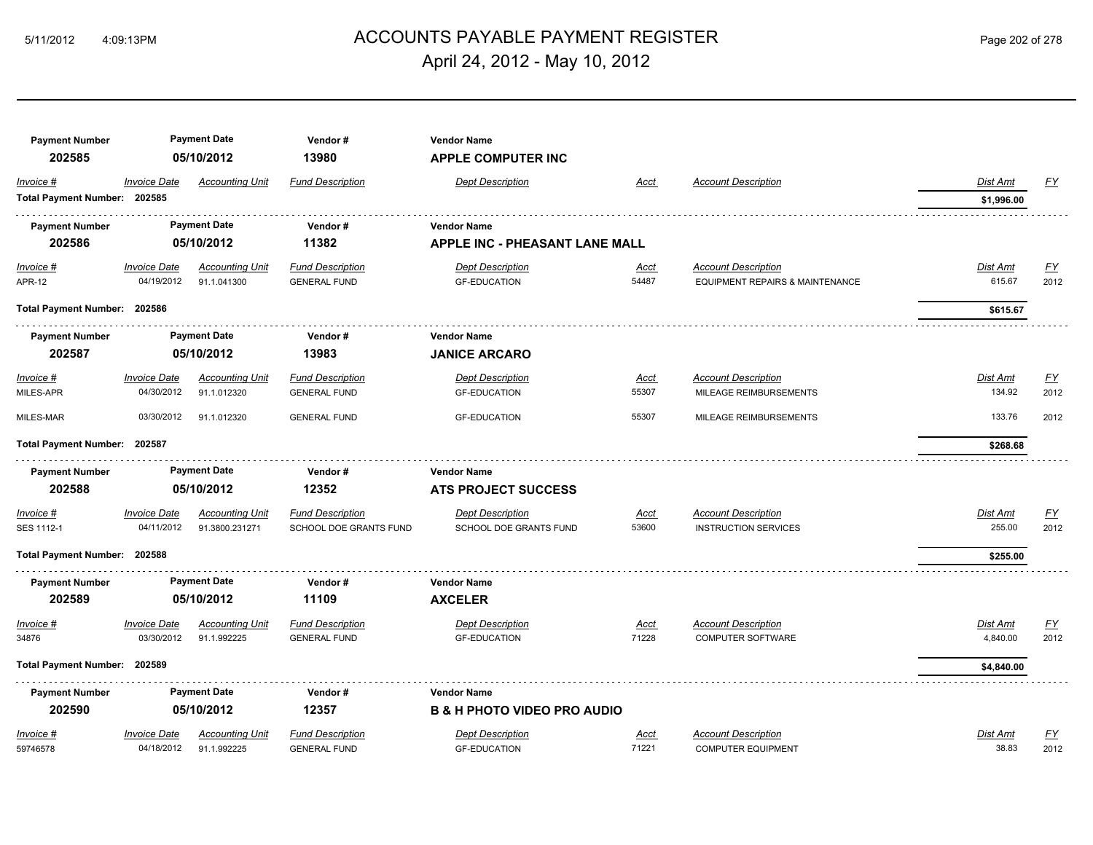## ACCOUNTS PAYABLE PAYMENT REGISTER 5/11/2012 4:09:13PM Page 202 of 278 April 24, 2012 - May 10, 2012

| <b>Payment Number</b><br>202585 |                     | <b>Payment Date</b><br>05/10/2012 | Vendor#<br>13980        | <b>Vendor Name</b><br><b>APPLE COMPUTER INC</b> |             |                                 |            |                  |
|---------------------------------|---------------------|-----------------------------------|-------------------------|-------------------------------------------------|-------------|---------------------------------|------------|------------------|
| Invoice #                       | <b>Invoice Date</b> | <b>Accounting Unit</b>            | <b>Fund Description</b> | <b>Dept Description</b>                         | Acct        | <b>Account Description</b>      | Dist Amt   | <u>FY</u>        |
| Total Payment Number: 202585    |                     |                                   |                         |                                                 |             |                                 | \$1,996.00 |                  |
| <b>Payment Number</b>           |                     | <b>Payment Date</b>               | Vendor#                 | <b>Vendor Name</b>                              |             |                                 |            |                  |
| 202586                          |                     | 05/10/2012                        | 11382                   | <b>APPLE INC - PHEASANT LANE MALL</b>           |             |                                 |            |                  |
| Invoice #                       | <b>Invoice Date</b> | <b>Accounting Unit</b>            | <b>Fund Description</b> | <b>Dept Description</b>                         | Acct        | <b>Account Description</b>      | Dist Amt   | <u>FY</u>        |
| <b>APR-12</b>                   | 04/19/2012          | 91.1.041300                       | <b>GENERAL FUND</b>     | <b>GF-EDUCATION</b>                             | 54487       | EQUIPMENT REPAIRS & MAINTENANCE | 615.67     | 2012             |
| Total Payment Number: 202586    |                     |                                   |                         |                                                 |             |                                 | \$615.67   |                  |
| <b>Payment Number</b>           |                     | <b>Payment Date</b>               | Vendor#                 | <b>Vendor Name</b>                              |             |                                 |            |                  |
| 202587                          |                     | 05/10/2012                        | 13983                   | <b>JANICE ARCARO</b>                            |             |                                 |            |                  |
| Invoice #                       | <b>Invoice Date</b> | <b>Accounting Unit</b>            | <b>Fund Description</b> | <b>Dept Description</b>                         | Acct        | <b>Account Description</b>      | Dist Amt   | $\underline{FY}$ |
| MILES-APR                       | 04/30/2012          | 91.1.012320                       | <b>GENERAL FUND</b>     | <b>GF-EDUCATION</b>                             | 55307       | MILEAGE REIMBURSEMENTS          | 134.92     | 2012             |
| MILES-MAR                       | 03/30/2012          | 91.1.012320                       | <b>GENERAL FUND</b>     | <b>GF-EDUCATION</b>                             | 55307       | MILEAGE REIMBURSEMENTS          | 133.76     | 2012             |
| <b>Total Payment Number:</b>    | 202587              |                                   |                         |                                                 |             |                                 | \$268.68   |                  |
| <b>Payment Number</b>           |                     | <b>Payment Date</b>               | Vendor#                 | <b>Vendor Name</b>                              |             |                                 |            |                  |
| 202588                          |                     | 05/10/2012                        | 12352                   | <b>ATS PROJECT SUCCESS</b>                      |             |                                 |            |                  |
| Invoice #                       | <b>Invoice Date</b> | <b>Accounting Unit</b>            | <b>Fund Description</b> | <b>Dept Description</b>                         | <u>Acct</u> | <b>Account Description</b>      | Dist Amt   | $FY$             |
| SES 1112-1                      | 04/11/2012          | 91.3800.231271                    | SCHOOL DOE GRANTS FUND  | SCHOOL DOE GRANTS FUND                          | 53600       | <b>INSTRUCTION SERVICES</b>     | 255.00     | 2012             |
| Total Payment Number: 202588    |                     |                                   |                         |                                                 |             |                                 | \$255.00   |                  |
| <b>Payment Number</b>           |                     | <b>Payment Date</b>               | Vendor#                 | <b>Vendor Name</b>                              |             |                                 |            |                  |
| 202589                          |                     | 05/10/2012                        | 11109                   | <b>AXCELER</b>                                  |             |                                 |            |                  |
| Invoice #                       | <b>Invoice Date</b> | <b>Accounting Unit</b>            | <b>Fund Description</b> | <b>Dept Description</b>                         | <u>Acct</u> | <b>Account Description</b>      | Dist Amt   | $\underline{FY}$ |
| 34876                           | 03/30/2012          | 91.1.992225                       | <b>GENERAL FUND</b>     | <b>GF-EDUCATION</b>                             | 71228       | COMPUTER SOFTWARE               | 4,840.00   | 2012             |
| Total Payment Number: 202589    |                     |                                   |                         |                                                 |             |                                 | \$4,840.00 |                  |
| <b>Payment Number</b>           |                     | <b>Payment Date</b>               | Vendor#                 | <b>Vendor Name</b>                              |             |                                 |            |                  |
| 202590                          |                     | 05/10/2012                        | 12357                   | <b>B &amp; H PHOTO VIDEO PRO AUDIO</b>          |             |                                 |            |                  |
| Invoice #                       | <b>Invoice Date</b> | <b>Accounting Unit</b>            | <b>Fund Description</b> | <b>Dept Description</b>                         | <b>Acct</b> | <b>Account Description</b>      | Dist Amt   | $\underline{FY}$ |
| 59746578                        | 04/18/2012          | 91.1.992225                       | <b>GENERAL FUND</b>     | <b>GF-EDUCATION</b>                             | 71221       | <b>COMPUTER EQUIPMENT</b>       | 38.83      | 2012             |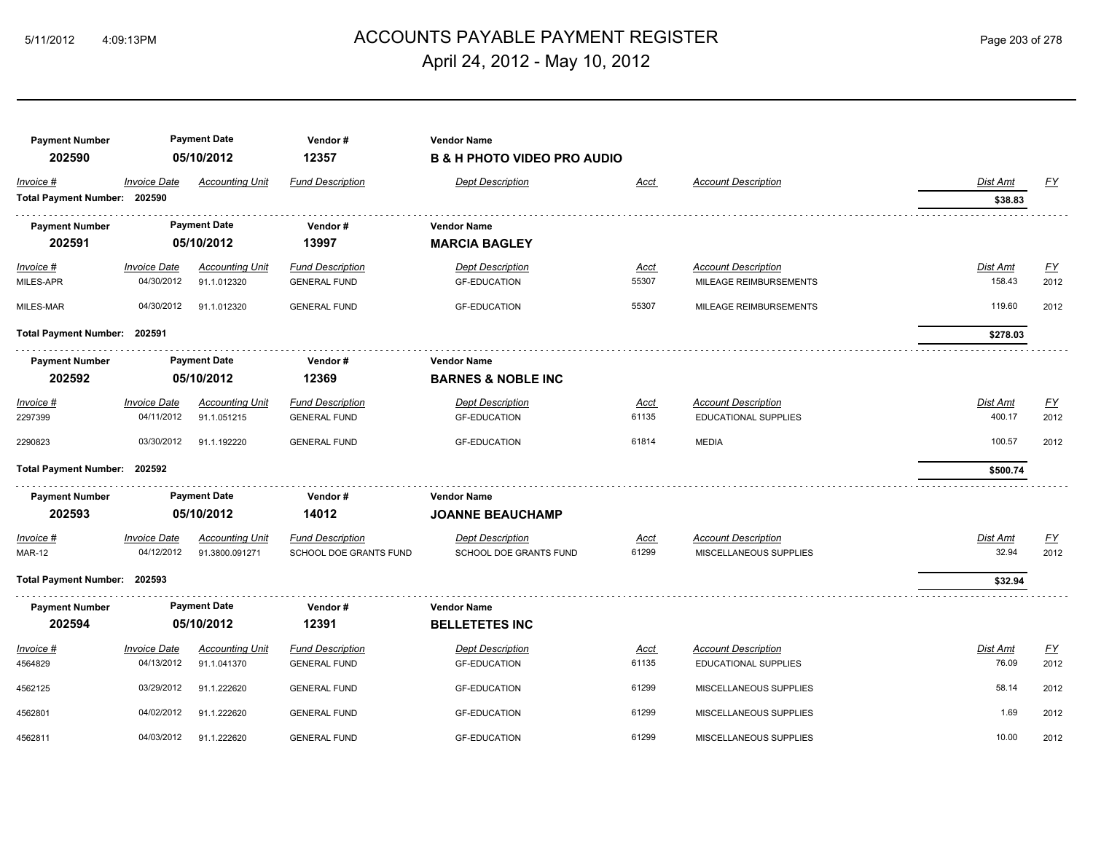## ACCOUNTS PAYABLE PAYMENT REGISTER 5/11/2012 4:09:13PM Page 203 of 278 April 24, 2012 - May 10, 2012

| <b>Payment Number</b><br>202590 |                                   | <b>Payment Date</b><br>05/10/2012        | Vendor#<br>12357                                  | <b>Vendor Name</b><br><b>B &amp; H PHOTO VIDEO PRO AUDIO</b> |               |                                                      |                   |                   |
|---------------------------------|-----------------------------------|------------------------------------------|---------------------------------------------------|--------------------------------------------------------------|---------------|------------------------------------------------------|-------------------|-------------------|
| Invoice #                       | <b>Invoice Date</b>               | Accounting Unit                          | <b>Fund Description</b>                           | <b>Dept Description</b>                                      | Acct          | <b>Account Description</b>                           | Dist Amt          | EY                |
| Total Payment Number: 202590    |                                   |                                          |                                                   |                                                              |               |                                                      | \$38.83           |                   |
| <b>Payment Number</b>           |                                   | <b>Payment Date</b>                      | Vendor#                                           | <b>Vendor Name</b>                                           |               |                                                      |                   |                   |
| 202591                          |                                   | 05/10/2012                               | 13997                                             | <b>MARCIA BAGLEY</b>                                         |               |                                                      |                   |                   |
| $Invoice$ #                     | <b>Invoice Date</b>               | <b>Accounting Unit</b>                   | <b>Fund Description</b>                           | <b>Dept Description</b>                                      | <u>Acct</u>   | <b>Account Description</b>                           | Dist Amt          | EY                |
| MILES-APR                       | 04/30/2012                        | 91.1.012320                              | <b>GENERAL FUND</b>                               | <b>GF-EDUCATION</b>                                          | 55307         | MILEAGE REIMBURSEMENTS                               | 158.43            | 2012              |
| MILES-MAR                       | 04/30/2012                        | 91.1.012320                              | <b>GENERAL FUND</b>                               | <b>GF-EDUCATION</b>                                          | 55307         | MILEAGE REIMBURSEMENTS                               | 119.60            | 2012              |
| Total Payment Number: 202591    |                                   |                                          |                                                   |                                                              |               |                                                      | \$278.03          |                   |
| <b>Payment Number</b>           |                                   | <b>Payment Date</b>                      | Vendor#                                           | <b>Vendor Name</b>                                           |               |                                                      |                   |                   |
| 202592                          |                                   | 05/10/2012                               | 12369                                             | <b>BARNES &amp; NOBLE INC</b>                                |               |                                                      |                   |                   |
| $Invoice$ #                     | <b>Invoice Date</b>               | <b>Accounting Unit</b>                   | <b>Fund Description</b>                           | <b>Dept Description</b>                                      | <u>Acct</u>   | <b>Account Description</b>                           | <b>Dist Amt</b>   | EY                |
| 2297399                         | 04/11/2012                        | 91.1.051215                              | <b>GENERAL FUND</b>                               | <b>GF-EDUCATION</b>                                          | 61135         | <b>EDUCATIONAL SUPPLIES</b>                          | 400.17            | 2012              |
| 2290823                         | 03/30/2012                        | 91.1.192220                              | <b>GENERAL FUND</b>                               | <b>GF-EDUCATION</b>                                          | 61814         | <b>MEDIA</b>                                         | 100.57            | 2012              |
| Total Payment Number: 202592    |                                   |                                          |                                                   |                                                              |               |                                                      | \$500.74          |                   |
| <b>Payment Number</b><br>202593 |                                   | <b>Payment Date</b><br>05/10/2012        | Vendor#<br>14012                                  | <b>Vendor Name</b><br><b>JOANNE BEAUCHAMP</b>                |               |                                                      |                   |                   |
|                                 |                                   |                                          |                                                   |                                                              |               |                                                      |                   |                   |
| Invoice #<br><b>MAR-12</b>      | <b>Invoice Date</b><br>04/12/2012 | <b>Accounting Unit</b><br>91.3800.091271 | <b>Fund Description</b><br>SCHOOL DOE GRANTS FUND | <b>Dept Description</b><br>SCHOOL DOE GRANTS FUND            | Acct<br>61299 | <b>Account Description</b><br>MISCELLANEOUS SUPPLIES | Dist Amt<br>32.94 | <u>FY</u><br>2012 |
| Total Payment Number: 202593    |                                   |                                          |                                                   |                                                              |               |                                                      | \$32.94           |                   |
| <b>Payment Number</b>           |                                   | <b>Payment Date</b>                      | Vendor#                                           | <b>Vendor Name</b>                                           |               |                                                      |                   |                   |
| 202594                          |                                   | 05/10/2012                               | 12391                                             | <b>BELLETETES INC</b>                                        |               |                                                      |                   |                   |
| Invoice #                       | <b>Invoice Date</b>               | <b>Accounting Unit</b>                   | <b>Fund Description</b>                           | <b>Dept Description</b>                                      | Acct          | <b>Account Description</b>                           | Dist Amt          | EY                |
| 4564829                         | 04/13/2012                        | 91.1.041370                              | <b>GENERAL FUND</b>                               | <b>GF-EDUCATION</b>                                          | 61135         | EDUCATIONAL SUPPLIES                                 | 76.09             | 2012              |
| 4562125                         | 03/29/2012                        | 91.1.222620                              | <b>GENERAL FUND</b>                               | <b>GF-EDUCATION</b>                                          | 61299         | MISCELLANEOUS SUPPLIES                               | 58.14             | 2012              |
| 4562801                         | 04/02/2012                        | 91.1.222620                              | <b>GENERAL FUND</b>                               | <b>GF-EDUCATION</b>                                          | 61299         | MISCELLANEOUS SUPPLIES                               | 1.69              | 2012              |
| 4562811                         | 04/03/2012                        | 91.1.222620                              | <b>GENERAL FUND</b>                               | <b>GF-EDUCATION</b>                                          | 61299         | MISCELLANEOUS SUPPLIES                               | 10.00             | 2012              |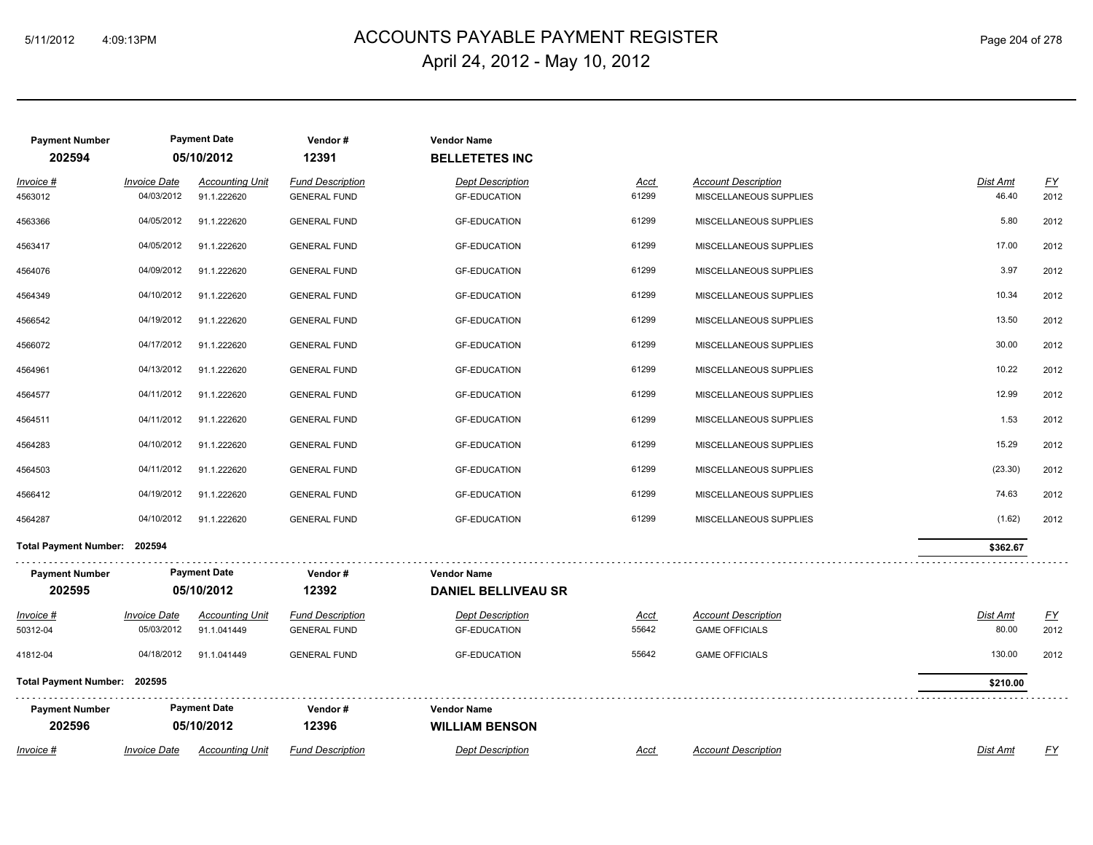## ACCOUNTS PAYABLE PAYMENT REGISTER 5/11/2012 4:09:13PM Page 204 of 278 April 24, 2012 - May 10, 2012

| <b>Payment Number</b>        |                                    | <b>Payment Date</b>                   | Vendor#                                        | <b>Vendor Name</b>                             |                      |                                                      |                          |            |
|------------------------------|------------------------------------|---------------------------------------|------------------------------------------------|------------------------------------------------|----------------------|------------------------------------------------------|--------------------------|------------|
| 202594                       |                                    | 05/10/2012                            | 12391                                          | <b>BELLETETES INC</b>                          |                      |                                                      |                          |            |
| Invoice #<br>4563012         | <b>Invoice Date</b><br>04/03/2012  | <b>Accounting Unit</b><br>91.1.222620 | <b>Fund Description</b><br><b>GENERAL FUND</b> | <b>Dept Description</b><br><b>GF-EDUCATION</b> | <u>Acct</u><br>61299 | <b>Account Description</b><br>MISCELLANEOUS SUPPLIES | Dist Amt<br>46.40        | EY<br>2012 |
| 4563366                      | 04/05/2012                         | 91.1.222620                           | <b>GENERAL FUND</b>                            | <b>GF-EDUCATION</b>                            | 61299                | MISCELLANEOUS SUPPLIES                               | 5.80                     | 2012       |
| 4563417                      | 04/05/2012                         | 91.1.222620                           | <b>GENERAL FUND</b>                            | <b>GF-EDUCATION</b>                            | 61299                | MISCELLANEOUS SUPPLIES                               | 17.00                    | 2012       |
| 4564076                      | 04/09/2012                         | 91.1.222620                           | <b>GENERAL FUND</b>                            | <b>GF-EDUCATION</b>                            | 61299                | MISCELLANEOUS SUPPLIES                               | 3.97                     | 2012       |
| 4564349                      | 04/10/2012                         | 91.1.222620                           | <b>GENERAL FUND</b>                            | <b>GF-EDUCATION</b>                            | 61299                | MISCELLANEOUS SUPPLIES                               | 10.34                    | 2012       |
| 4566542                      | 04/19/2012                         | 91.1.222620                           | <b>GENERAL FUND</b>                            | <b>GF-EDUCATION</b>                            | 61299                | MISCELLANEOUS SUPPLIES                               | 13.50                    | 2012       |
| 4566072                      | 04/17/2012                         | 91.1.222620                           | <b>GENERAL FUND</b>                            | <b>GF-EDUCATION</b>                            | 61299                | MISCELLANEOUS SUPPLIES                               | 30.00                    | 2012       |
| 4564961                      | 04/13/2012                         | 91.1.222620                           | <b>GENERAL FUND</b>                            | <b>GF-EDUCATION</b>                            | 61299                | MISCELLANEOUS SUPPLIES                               | 10.22                    | 2012       |
| 4564577                      | 04/11/2012                         | 91.1.222620                           | <b>GENERAL FUND</b>                            | <b>GF-EDUCATION</b>                            | 61299                | MISCELLANEOUS SUPPLIES                               | 12.99                    | 2012       |
| 4564511                      | 04/11/2012                         | 91.1.222620                           | <b>GENERAL FUND</b>                            | <b>GF-EDUCATION</b>                            | 61299                | MISCELLANEOUS SUPPLIES                               | 1.53                     | 2012       |
| 4564283                      | 04/10/2012                         | 91.1.222620                           | <b>GENERAL FUND</b>                            | <b>GF-EDUCATION</b>                            | 61299                | MISCELLANEOUS SUPPLIES                               | 15.29                    | 2012       |
| 4564503                      | 04/11/2012                         | 91.1.222620                           | <b>GENERAL FUND</b>                            | <b>GF-EDUCATION</b>                            | 61299                | MISCELLANEOUS SUPPLIES                               | (23.30)                  | 2012       |
| 4566412                      | 04/19/2012                         | 91.1.222620                           | <b>GENERAL FUND</b>                            | <b>GF-EDUCATION</b>                            | 61299                | MISCELLANEOUS SUPPLIES                               | 74.63                    | 2012       |
| 4564287                      | 04/10/2012                         | 91.1.222620                           | <b>GENERAL FUND</b>                            | <b>GF-EDUCATION</b>                            | 61299                | MISCELLANEOUS SUPPLIES                               | (1.62)                   | 2012       |
| Total Payment Number: 202594 |                                    |                                       |                                                |                                                |                      |                                                      | \$362.67                 |            |
| <b>Payment Number</b>        |                                    | <b>Payment Date</b>                   | Vendor#                                        | <b>Vendor Name</b>                             |                      |                                                      |                          |            |
| 202595                       |                                    | 05/10/2012                            | 12392                                          | <b>DANIEL BELLIVEAU SR</b>                     |                      |                                                      |                          |            |
| <u>Invoice #</u><br>50312-04 | <u> Invoice Date</u><br>05/03/2012 | <b>Accounting Unit</b><br>91.1.041449 | <b>Fund Description</b><br><b>GENERAL FUND</b> | <b>Dept Description</b><br><b>GF-EDUCATION</b> | <u>Acct</u><br>55642 | <b>Account Description</b><br><b>GAME OFFICIALS</b>  | <b>Dist Amt</b><br>80.00 | EY<br>2012 |
| 41812-04                     | 04/18/2012                         | 91.1.041449                           | <b>GENERAL FUND</b>                            | <b>GF-EDUCATION</b>                            | 55642                | <b>GAME OFFICIALS</b>                                | 130.00                   | 2012       |
| Total Payment Number: 202595 |                                    |                                       |                                                |                                                |                      |                                                      | \$210.00                 |            |
| <b>Payment Number</b>        |                                    | <b>Payment Date</b>                   | Vendor#                                        | <b>Vendor Name</b>                             |                      |                                                      |                          |            |
| 202596                       |                                    | 05/10/2012                            | 12396                                          | <b>WILLIAM BENSON</b>                          |                      |                                                      |                          |            |
| Invoice #                    | <b>Invoice Date</b>                | <b>Accounting Unit</b>                | <b>Fund Description</b>                        | <b>Dept Description</b>                        | <b>Acct</b>          | <b>Account Description</b>                           | Dist Amt                 | <u>FY</u>  |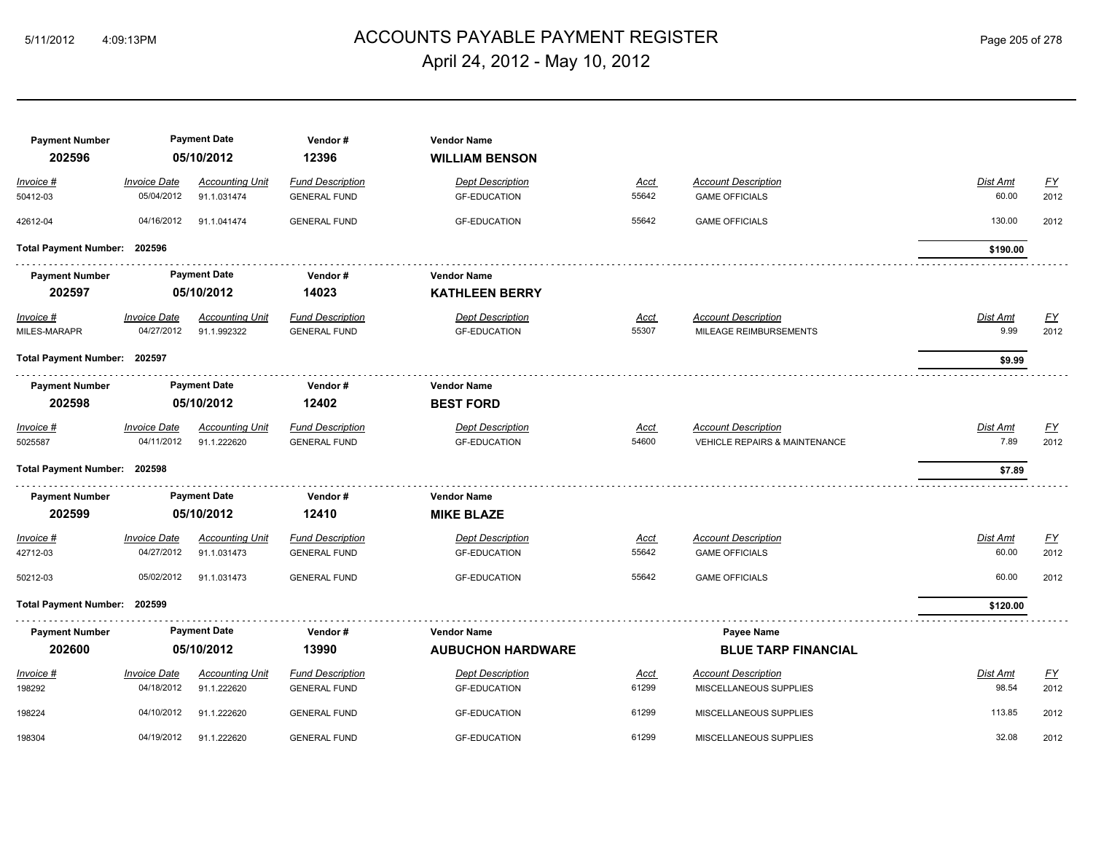## ACCOUNTS PAYABLE PAYMENT REGISTER 5/11/2012 4:09:13PM Page 205 of 278 April 24, 2012 - May 10, 2012

| <b>Payment Number</b><br>202596 |                     | <b>Payment Date</b><br>05/10/2012 | Vendor#<br>12396        | <b>Vendor Name</b><br><b>WILLIAM BENSON</b> |             |                                          |                 |           |
|---------------------------------|---------------------|-----------------------------------|-------------------------|---------------------------------------------|-------------|------------------------------------------|-----------------|-----------|
| Invoice #                       | <b>Invoice Date</b> | <b>Accounting Unit</b>            | <b>Fund Description</b> | <b>Dept Description</b>                     | Acct        | <b>Account Description</b>               | Dist Amt        | <u>FY</u> |
| 50412-03                        | 05/04/2012          | 91.1.031474                       | <b>GENERAL FUND</b>     | <b>GF-EDUCATION</b>                         | 55642       | <b>GAME OFFICIALS</b>                    | 60.00           | 2012      |
| 42612-04                        | 04/16/2012          | 91.1.041474                       | <b>GENERAL FUND</b>     | <b>GF-EDUCATION</b>                         | 55642       | <b>GAME OFFICIALS</b>                    | 130.00          | 2012      |
| Total Payment Number: 202596    |                     |                                   |                         |                                             |             |                                          | \$190.00        |           |
| <b>Payment Number</b>           |                     | <b>Payment Date</b>               | Vendor#                 | <b>Vendor Name</b>                          |             |                                          |                 |           |
| 202597                          |                     | 05/10/2012                        | 14023                   | <b>KATHLEEN BERRY</b>                       |             |                                          |                 |           |
| Invoice #                       | <b>Invoice Date</b> | <b>Accounting Unit</b>            | <b>Fund Description</b> | <b>Dept Description</b>                     | Acct        | <b>Account Description</b>               | Dist Amt        | EY        |
| MILES-MARAPR                    | 04/27/2012          | 91.1.992322                       | <b>GENERAL FUND</b>     | <b>GF-EDUCATION</b>                         | 55307       | MILEAGE REIMBURSEMENTS                   | 9.99            | 2012      |
| Total Payment Number: 202597    |                     |                                   |                         |                                             |             |                                          | \$9.99          |           |
| <b>Payment Number</b>           | <b>Payment Date</b> |                                   | Vendor#                 | <b>Vendor Name</b>                          |             |                                          |                 |           |
| 202598                          | 05/10/2012          |                                   | 12402                   | <b>BEST FORD</b>                            |             |                                          |                 |           |
| Invoice #                       | <b>Invoice Date</b> | <b>Accounting Unit</b>            | <b>Fund Description</b> | <b>Dept Description</b>                     | Acct        | <b>Account Description</b>               | Dist Amt        | EY        |
| 5025587                         | 04/11/2012          | 91.1.222620                       | <b>GENERAL FUND</b>     | <b>GF-EDUCATION</b>                         | 54600       | <b>VEHICLE REPAIRS &amp; MAINTENANCE</b> | 7.89            | 2012      |
| Total Payment Number: 202598    |                     |                                   |                         |                                             |             |                                          | \$7.89          |           |
| <b>Payment Number</b>           |                     | <b>Payment Date</b>               | Vendor#                 | <b>Vendor Name</b>                          |             |                                          |                 |           |
| 202599                          |                     | 05/10/2012                        | 12410                   | <b>MIKE BLAZE</b>                           |             |                                          |                 |           |
| Invoice #                       | <b>Invoice Date</b> | <b>Accounting Unit</b>            | <b>Fund Description</b> | <b>Dept Description</b>                     | <u>Acct</u> | <b>Account Description</b>               | <b>Dist Amt</b> | EY        |
| 42712-03                        | 04/27/2012          | 91.1.031473                       | <b>GENERAL FUND</b>     | <b>GF-EDUCATION</b>                         | 55642       | <b>GAME OFFICIALS</b>                    | 60.00           | 2012      |
| 50212-03                        | 05/02/2012          | 91.1.031473                       | <b>GENERAL FUND</b>     | <b>GF-EDUCATION</b>                         | 55642       | <b>GAME OFFICIALS</b>                    | 60.00           | 2012      |
| <b>Total Payment Number:</b>    | 202599              |                                   |                         |                                             |             |                                          | \$120.00        |           |
| <b>Payment Number</b>           |                     | <b>Payment Date</b>               | Vendor#                 | <b>Vendor Name</b>                          |             | Payee Name                               |                 |           |
| 202600                          |                     | 05/10/2012                        | 13990                   | <b>AUBUCHON HARDWARE</b>                    |             | <b>BLUE TARP FINANCIAL</b>               |                 |           |
| Invoice #                       | <b>Invoice Date</b> | <b>Accounting Unit</b>            | <b>Fund Description</b> | <b>Dept Description</b>                     | <u>Acct</u> | <b>Account Description</b>               | Dist Amt        | <u>FY</u> |
| 198292                          | 04/18/2012          | 91.1.222620                       | <b>GENERAL FUND</b>     | <b>GF-EDUCATION</b>                         | 61299       | MISCELLANEOUS SUPPLIES                   | 98.54           | 2012      |
| 198224                          | 04/10/2012          | 91.1.222620                       | <b>GENERAL FUND</b>     | <b>GF-EDUCATION</b>                         | 61299       | MISCELLANEOUS SUPPLIES                   | 113.85          | 2012      |
| 198304                          | 04/19/2012          | 91.1.222620                       | <b>GENERAL FUND</b>     | <b>GF-EDUCATION</b>                         | 61299       | MISCELLANEOUS SUPPLIES                   | 32.08           | 2012      |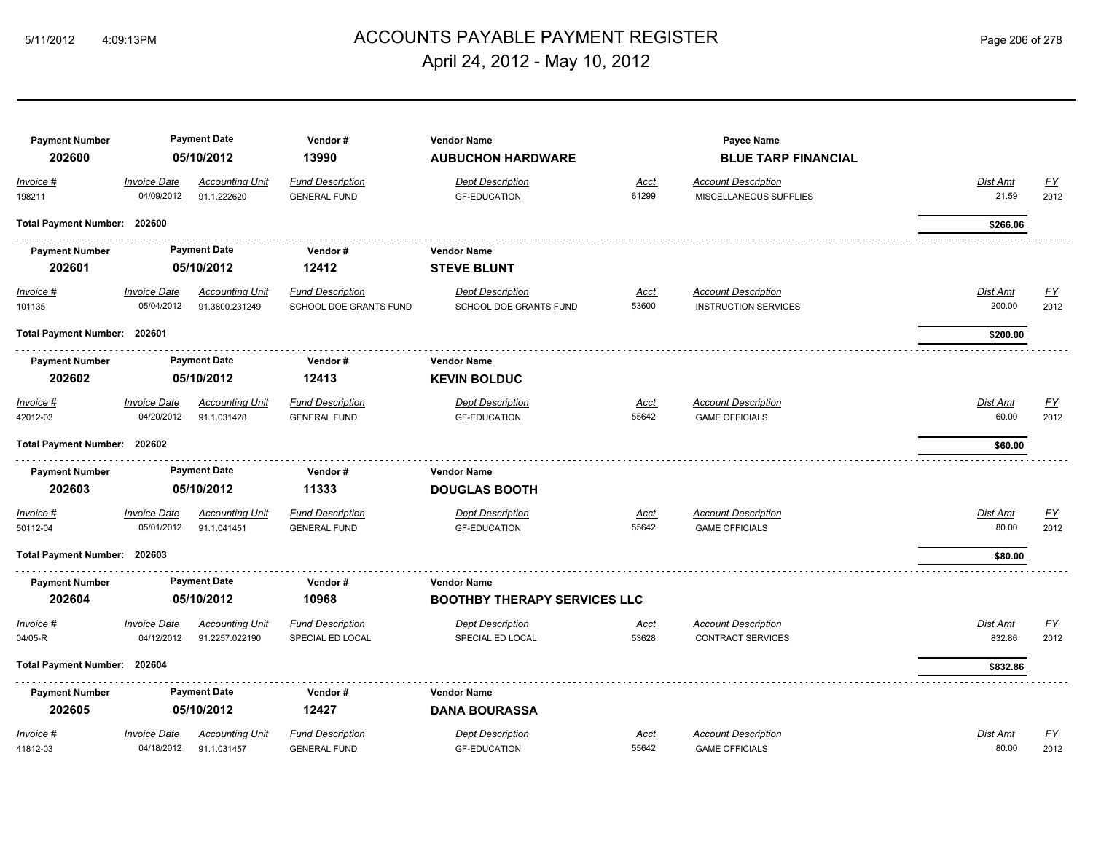## ACCOUNTS PAYABLE PAYMENT REGISTER 5/11/2012 4:09:13PM Page 206 of 278 April 24, 2012 - May 10, 2012

| <b>Payment Number</b><br>202600 |                                   | <b>Payment Date</b><br>05/10/2012        | Vendor#<br>13990                                         | <b>Vendor Name</b><br><b>AUBUCHON HARDWARE</b>           |                      | Payee Name<br><b>BLUE TARP FINANCIAL</b>                  |                    |                  |
|---------------------------------|-----------------------------------|------------------------------------------|----------------------------------------------------------|----------------------------------------------------------|----------------------|-----------------------------------------------------------|--------------------|------------------|
| Invoice #                       | <b>Invoice Date</b>               | <b>Accounting Unit</b>                   | <b>Fund Description</b>                                  | <b>Dept Description</b>                                  | Acct                 | <b>Account Description</b>                                | Dist Amt           | $\underline{FY}$ |
| 198211                          | 04/09/2012                        | 91.1.222620                              | <b>GENERAL FUND</b>                                      | <b>GF-EDUCATION</b>                                      | 61299                | MISCELLANEOUS SUPPLIES                                    | 21.59              | 2012             |
| Total Payment Number: 202600    |                                   |                                          |                                                          |                                                          |                      |                                                           | \$266.06           |                  |
| <b>Payment Number</b>           |                                   | <b>Payment Date</b>                      | Vendor#                                                  | <b>Vendor Name</b>                                       |                      |                                                           |                    |                  |
| 202601                          |                                   | 05/10/2012                               | 12412                                                    | <b>STEVE BLUNT</b>                                       |                      |                                                           |                    |                  |
| $Invoice$ #<br>101135           | <b>Invoice Date</b><br>05/04/2012 | <b>Accounting Unit</b><br>91.3800.231249 | <b>Fund Description</b><br><b>SCHOOL DOE GRANTS FUND</b> | <b>Dept Description</b><br><b>SCHOOL DOE GRANTS FUND</b> | <u>Acct</u><br>53600 | <b>Account Description</b><br><b>INSTRUCTION SERVICES</b> | Dist Amt<br>200.00 | EY<br>2012       |
| Total Payment Number: 202601    |                                   |                                          |                                                          |                                                          |                      |                                                           | \$200.00           |                  |
| <b>Payment Number</b>           |                                   | <b>Payment Date</b>                      | Vendor#                                                  | <b>Vendor Name</b>                                       |                      |                                                           |                    |                  |
| 202602                          |                                   | 05/10/2012                               | 12413                                                    | <b>KEVIN BOLDUC</b>                                      |                      |                                                           |                    |                  |
| Invoice #                       | <b>Invoice Date</b>               | <b>Accounting Unit</b>                   | <b>Fund Description</b>                                  | <b>Dept Description</b>                                  | <u>Acct</u>          | <b>Account Description</b>                                | Dist Amt           | <u>FY</u>        |
| 42012-03                        | 04/20/2012                        | 91.1.031428                              | <b>GENERAL FUND</b>                                      | <b>GF-EDUCATION</b>                                      | 55642                | <b>GAME OFFICIALS</b>                                     | 60.00              | 2012             |
| Total Payment Number: 202602    |                                   |                                          |                                                          |                                                          |                      |                                                           | \$60.00            |                  |
| <b>Payment Number</b>           |                                   | <b>Payment Date</b>                      | Vendor#                                                  | <b>Vendor Name</b>                                       |                      |                                                           |                    |                  |
| 202603                          |                                   | 05/10/2012                               | 11333                                                    | <b>DOUGLAS BOOTH</b>                                     |                      |                                                           |                    |                  |
| Invoice #                       | <b>Invoice Date</b>               | <b>Accounting Unit</b>                   | <b>Fund Description</b>                                  | <b>Dept Description</b>                                  | Acct                 | <b>Account Description</b>                                | Dist Amt           | <u>FY</u>        |
| 50112-04                        | 05/01/2012                        | 91.1.041451                              | <b>GENERAL FUND</b>                                      | <b>GF-EDUCATION</b>                                      | 55642                | <b>GAME OFFICIALS</b>                                     | 80.00              | 2012             |
| Total Payment Number: 202603    |                                   |                                          |                                                          |                                                          |                      |                                                           | \$80.00            |                  |
| <b>Payment Number</b>           |                                   | <b>Payment Date</b>                      | Vendor#                                                  | <b>Vendor Name</b>                                       |                      |                                                           |                    |                  |
| 202604                          |                                   | 05/10/2012                               | 10968                                                    | <b>BOOTHBY THERAPY SERVICES LLC</b>                      |                      |                                                           |                    |                  |
| Invoice #                       | <b>Invoice Date</b>               | <b>Accounting Unit</b>                   | <b>Fund Description</b>                                  | <b>Dept Description</b>                                  | Acct                 | <b>Account Description</b>                                | Dist Amt           | <u>FY</u>        |
| 04/05-R                         | 04/12/2012                        | 91.2257.022190                           | SPECIAL ED LOCAL                                         | SPECIAL ED LOCAL                                         | 53628                | <b>CONTRACT SERVICES</b>                                  | 832.86             | 2012             |
| Total Payment Number: 202604    |                                   |                                          |                                                          |                                                          |                      |                                                           | \$832.86           |                  |
| <b>Payment Number</b>           |                                   | <b>Payment Date</b>                      | Vendor#                                                  | <b>Vendor Name</b>                                       |                      |                                                           |                    |                  |
| 202605                          |                                   | 05/10/2012                               | 12427                                                    | <b>DANA BOURASSA</b>                                     |                      |                                                           |                    |                  |
| Invoice #                       | <b>Invoice Date</b>               | <b>Accounting Unit</b>                   | <b>Fund Description</b>                                  | <b>Dept Description</b>                                  | Acct                 | <b>Account Description</b>                                | Dist Amt           | <u>FY</u>        |
| 41812-03                        | 04/18/2012                        | 91.1.031457                              | <b>GENERAL FUND</b>                                      | <b>GF-EDUCATION</b>                                      | 55642                | <b>GAME OFFICIALS</b>                                     | 80.00              | 2012             |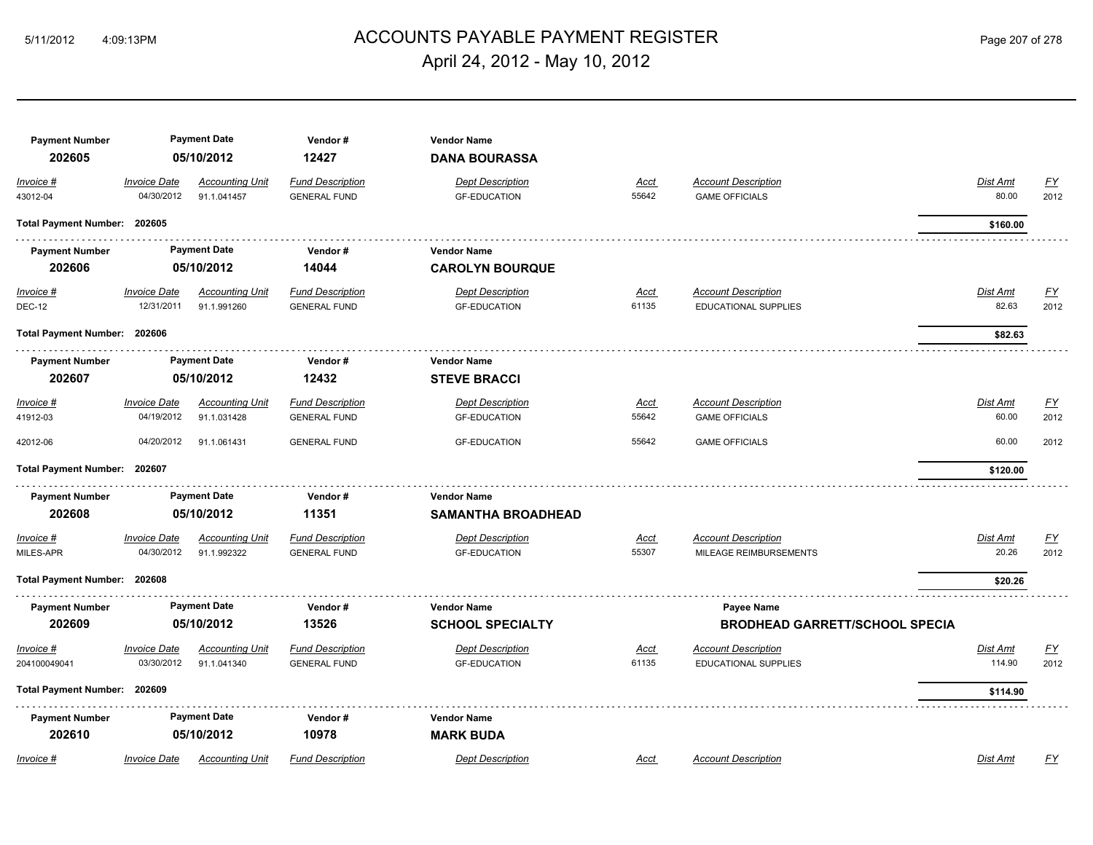## ACCOUNTS PAYABLE PAYMENT REGISTER 5/11/2012 4:09:13PM Page 207 of 278 April 24, 2012 - May 10, 2012

| <b>Payment Number</b><br>202605 |                                   | <b>Payment Date</b><br>05/10/2012     | Vendor#<br>12427                               | <b>Vendor Name</b><br><b>DANA BOURASSA</b>     |                      |                                                           |                    |                   |
|---------------------------------|-----------------------------------|---------------------------------------|------------------------------------------------|------------------------------------------------|----------------------|-----------------------------------------------------------|--------------------|-------------------|
| Invoice #<br>43012-04           | <b>Invoice Date</b><br>04/30/2012 | <b>Accounting Unit</b><br>91.1.041457 | <b>Fund Description</b><br><b>GENERAL FUND</b> | <b>Dept Description</b><br><b>GF-EDUCATION</b> | Acct<br>55642        | <b>Account Description</b><br><b>GAME OFFICIALS</b>       | Dist Amt<br>80.00  | <u>FY</u><br>2012 |
| Total Payment Number: 202605    |                                   |                                       |                                                |                                                |                      |                                                           | \$160.00           |                   |
| <b>Payment Number</b>           |                                   | <b>Payment Date</b>                   | Vendor#                                        | <b>Vendor Name</b>                             |                      |                                                           |                    |                   |
| 202606                          |                                   | 05/10/2012                            | 14044                                          | <b>CAROLYN BOURQUE</b>                         |                      |                                                           |                    |                   |
| $Invoice$ #<br><b>DEC-12</b>    | <b>Invoice Date</b><br>12/31/2011 | <b>Accounting Unit</b><br>91.1.991260 | <b>Fund Description</b><br><b>GENERAL FUND</b> | <b>Dept Description</b><br><b>GF-EDUCATION</b> | <u>Acct</u><br>61135 | <b>Account Description</b><br><b>EDUCATIONAL SUPPLIES</b> | Dist Amt<br>82.63  | <u>FY</u><br>2012 |
| Total Payment Number: 202606    |                                   |                                       |                                                |                                                |                      |                                                           | \$82.63            |                   |
| <b>Payment Number</b>           | <b>Payment Date</b>               |                                       | Vendor#                                        | <b>Vendor Name</b>                             |                      |                                                           |                    |                   |
| 202607                          | 05/10/2012                        |                                       | 12432                                          | <b>STEVE BRACCI</b>                            |                      |                                                           |                    |                   |
| Invoice #<br>41912-03           | <b>Invoice Date</b><br>04/19/2012 | <b>Accounting Unit</b><br>91.1.031428 | <b>Fund Description</b><br><b>GENERAL FUND</b> | <b>Dept Description</b><br><b>GF-EDUCATION</b> | Acct<br>55642        | <b>Account Description</b><br><b>GAME OFFICIALS</b>       | Dist Amt<br>60.00  | <b>FY</b><br>2012 |
| 42012-06                        | 04/20/2012                        | 91.1.061431                           | <b>GENERAL FUND</b>                            | <b>GF-EDUCATION</b>                            | 55642                | <b>GAME OFFICIALS</b>                                     | 60.00              | 2012              |
| <b>Total Payment Number:</b>    | 202607                            |                                       |                                                |                                                |                      |                                                           | \$120.00           |                   |
| <b>Payment Number</b>           |                                   | <b>Payment Date</b>                   | Vendor#                                        | <b>Vendor Name</b>                             |                      |                                                           |                    |                   |
| 202608                          |                                   | 05/10/2012                            | 11351                                          | <b>SAMANTHA BROADHEAD</b>                      |                      |                                                           |                    |                   |
| Invoice #<br>MILES-APR          | <b>Invoice Date</b><br>04/30/2012 | <b>Accounting Unit</b><br>91.1.992322 | <b>Fund Description</b><br><b>GENERAL FUND</b> | <b>Dept Description</b><br><b>GF-EDUCATION</b> | Acct<br>55307        | <b>Account Description</b><br>MILEAGE REIMBURSEMENTS      | Dist Amt<br>20.26  | <u>FY</u><br>2012 |
| Total Payment Number: 202608    |                                   |                                       |                                                |                                                |                      |                                                           | \$20.26            |                   |
| <b>Payment Number</b><br>202609 |                                   | <b>Payment Date</b><br>05/10/2012     | Vendor#<br>13526                               | <b>Vendor Name</b><br><b>SCHOOL SPECIALTY</b>  |                      | Payee Name<br><b>BRODHEAD GARRETT/SCHOOL SPECIA</b>       |                    |                   |
| Invoice #<br>204100049041       | Invoice Date<br>03/30/2012        | <b>Accounting Unit</b><br>91.1.041340 | <b>Fund Description</b><br><b>GENERAL FUND</b> | <b>Dept Description</b><br><b>GF-EDUCATION</b> | <u>Acct</u><br>61135 | <b>Account Description</b><br><b>EDUCATIONAL SUPPLIES</b> | Dist Amt<br>114.90 | <u>FY</u><br>2012 |
| Total Payment Number: 202609    |                                   |                                       |                                                |                                                |                      |                                                           | \$114.90           |                   |
| <b>Payment Number</b><br>202610 |                                   | <b>Payment Date</b><br>05/10/2012     | Vendor#<br>10978                               | <b>Vendor Name</b><br><b>MARK BUDA</b>         |                      |                                                           |                    |                   |
| Invoice #                       | Invoice Date                      | <b>Accounting Unit</b>                | <b>Fund Description</b>                        | <b>Dept Description</b>                        | Acct                 | <b>Account Description</b>                                | Dist Amt           | FΥ                |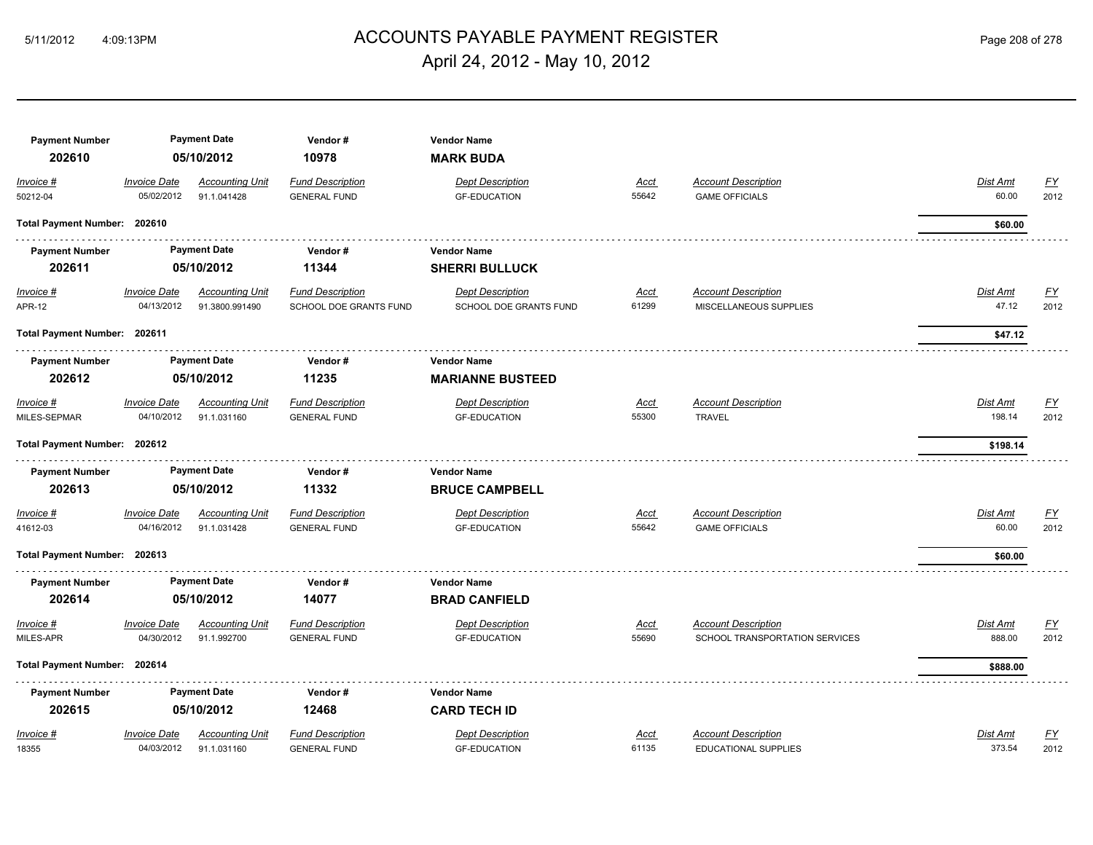## ACCOUNTS PAYABLE PAYMENT REGISTER 5/11/2012 4:09:13PM Page 208 of 278 April 24, 2012 - May 10, 2012

| <b>Payment Number</b>        |                     | <b>Payment Date</b>    | Vendor#                 | <b>Vendor Name</b>      |             |                                |                 |                  |
|------------------------------|---------------------|------------------------|-------------------------|-------------------------|-------------|--------------------------------|-----------------|------------------|
| 202610                       |                     | 05/10/2012             | 10978                   | <b>MARK BUDA</b>        |             |                                |                 |                  |
| Invoice #                    | <b>Invoice Date</b> | <b>Accounting Unit</b> | <b>Fund Description</b> | <b>Dept Description</b> | Acct        | <b>Account Description</b>     | Dist Amt        | <u>FY</u>        |
| 50212-04                     | 05/02/2012          | 91.1.041428            | <b>GENERAL FUND</b>     | <b>GF-EDUCATION</b>     | 55642       | <b>GAME OFFICIALS</b>          | 60.00           | 2012             |
| Total Payment Number: 202610 |                     |                        |                         |                         |             |                                | \$60.00         |                  |
| <b>Payment Number</b>        |                     | <b>Payment Date</b>    | Vendor#                 | <b>Vendor Name</b>      |             |                                |                 |                  |
| 202611                       |                     | 05/10/2012             | 11344                   | <b>SHERRI BULLUCK</b>   |             |                                |                 |                  |
| Invoice #                    | <b>Invoice Date</b> | <b>Accounting Unit</b> | <b>Fund Description</b> | <b>Dept Description</b> | <u>Acct</u> | <b>Account Description</b>     | Dist Amt        | EY               |
| <b>APR-12</b>                | 04/13/2012          | 91.3800.991490         | SCHOOL DOE GRANTS FUND  | SCHOOL DOE GRANTS FUND  | 61299       | MISCELLANEOUS SUPPLIES         | 47.12           | 2012             |
| Total Payment Number: 202611 |                     |                        |                         |                         |             |                                | \$47.12         |                  |
| <b>Payment Number</b>        |                     | <b>Payment Date</b>    | Vendor#                 | <b>Vendor Name</b>      |             |                                |                 |                  |
| 202612                       |                     | 05/10/2012             | 11235                   | <b>MARIANNE BUSTEED</b> |             |                                |                 |                  |
| Invoice #                    | <b>Invoice Date</b> | <b>Accounting Unit</b> | <b>Fund Description</b> | <b>Dept Description</b> | <u>Acct</u> | <b>Account Description</b>     | <b>Dist Amt</b> | <u>FY</u>        |
| MILES-SEPMAR                 | 04/10/2012          | 91.1.031160            | <b>GENERAL FUND</b>     | <b>GF-EDUCATION</b>     | 55300       | <b>TRAVEL</b>                  | 198.14          | 2012             |
| Total Payment Number: 202612 |                     |                        |                         |                         |             |                                | \$198.14        |                  |
| <b>Payment Number</b>        |                     | <b>Payment Date</b>    | Vendor#                 | <b>Vendor Name</b>      |             |                                |                 |                  |
| 202613                       |                     | 05/10/2012             | 11332                   | <b>BRUCE CAMPBELL</b>   |             |                                |                 |                  |
| Invoice #                    | <b>Invoice Date</b> | <b>Accounting Unit</b> | <b>Fund Description</b> | <b>Dept Description</b> | <u>Acct</u> | <b>Account Description</b>     | <b>Dist Amt</b> | EY               |
| 41612-03                     | 04/16/2012          | 91.1.031428            | <b>GENERAL FUND</b>     | <b>GF-EDUCATION</b>     | 55642       | <b>GAME OFFICIALS</b>          | 60.00           | 2012             |
| Total Payment Number: 202613 |                     |                        |                         |                         |             |                                | \$60.00         |                  |
| <b>Payment Number</b>        |                     | <b>Payment Date</b>    | Vendor#                 | <b>Vendor Name</b>      |             |                                |                 |                  |
| 202614                       |                     | 05/10/2012             | 14077                   | <b>BRAD CANFIELD</b>    |             |                                |                 |                  |
| Invoice #                    | <b>Invoice Date</b> | <b>Accounting Unit</b> | <b>Fund Description</b> | <b>Dept Description</b> | <u>Acct</u> | <b>Account Description</b>     | <b>Dist Amt</b> | $\underline{FY}$ |
| MILES-APR                    | 04/30/2012          | 91.1.992700            | <b>GENERAL FUND</b>     | <b>GF-EDUCATION</b>     | 55690       | SCHOOL TRANSPORTATION SERVICES | 888.00          | 2012             |
| Total Payment Number: 202614 |                     |                        |                         |                         |             |                                | \$888.00        |                  |
| <b>Payment Number</b>        |                     | <b>Payment Date</b>    | Vendor#                 | <b>Vendor Name</b>      |             |                                |                 |                  |
| 202615                       |                     | 05/10/2012             | 12468                   | <b>CARD TECH ID</b>     |             |                                |                 |                  |
| Invoice #                    | <b>Invoice Date</b> | <b>Accounting Unit</b> | <b>Fund Description</b> | <b>Dept Description</b> | Acct        | <b>Account Description</b>     | Dist Amt        | $\underline{FY}$ |
| 18355                        | 04/03/2012          | 91.1.031160            | <b>GENERAL FUND</b>     | <b>GF-EDUCATION</b>     | 61135       | EDUCATIONAL SUPPLIES           | 373.54          | 2012             |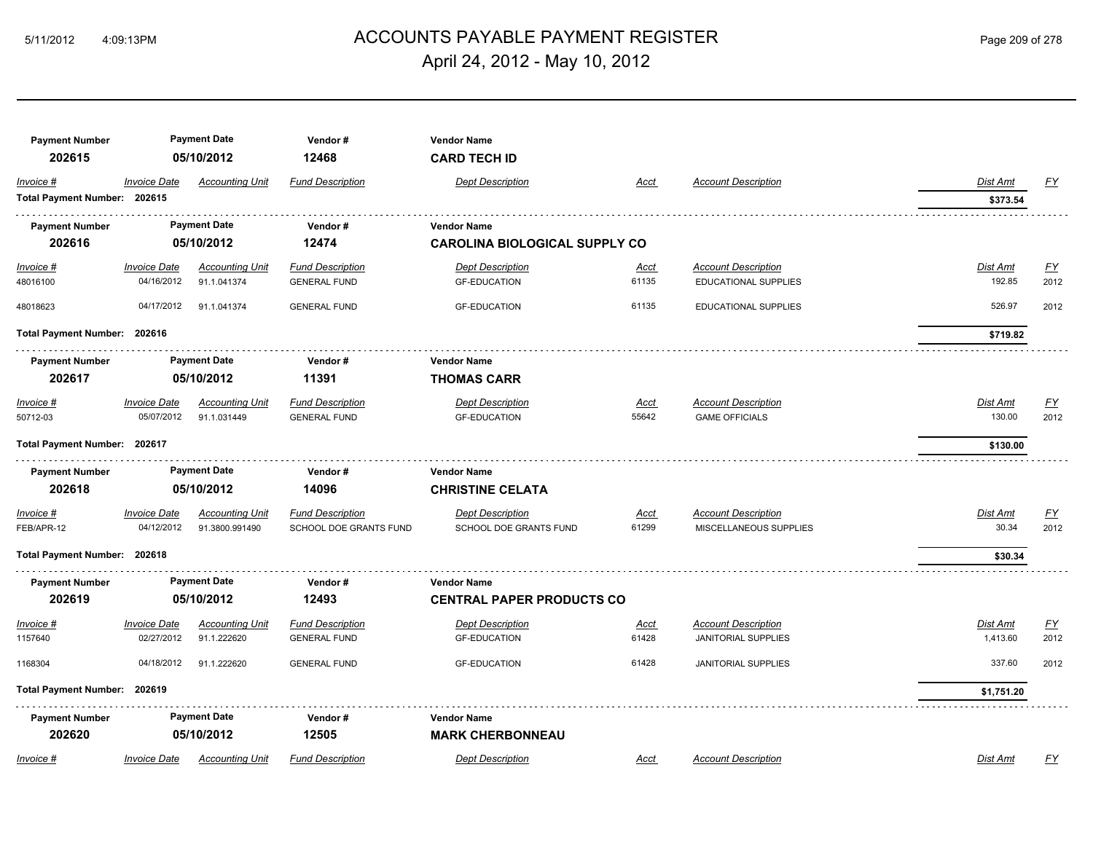## ACCOUNTS PAYABLE PAYMENT REGISTER 5/11/2012 4:09:13PM Page 209 of 278 April 24, 2012 - May 10, 2012

| <b>Payment Number</b><br>202615 |                                   | <b>Payment Date</b><br>05/10/2012     | Vendor#<br>12468                               | <b>Vendor Name</b><br><b>CARD TECH ID</b>      |                      |                                                     |                    |                          |
|---------------------------------|-----------------------------------|---------------------------------------|------------------------------------------------|------------------------------------------------|----------------------|-----------------------------------------------------|--------------------|--------------------------|
| Invoice #                       | <b>Invoice Date</b>               | <b>Accounting Unit</b>                | <b>Fund Description</b>                        | <b>Dept Description</b>                        | Acct                 | <b>Account Description</b>                          | <b>Dist Amt</b>    | <u>FY</u>                |
| Total Payment Number: 202615    |                                   |                                       |                                                |                                                |                      |                                                     | \$373.54           |                          |
| <b>Payment Number</b>           |                                   | <b>Payment Date</b>                   | Vendor#                                        | <b>Vendor Name</b>                             |                      |                                                     |                    |                          |
| 202616                          |                                   | 05/10/2012                            | 12474                                          | <b>CAROLINA BIOLOGICAL SUPPLY CO</b>           |                      |                                                     |                    |                          |
|                                 | <b>Invoice Date</b>               | <b>Accounting Unit</b>                | <b>Fund Description</b>                        | <b>Dept Description</b>                        |                      | <b>Account Description</b>                          | <b>Dist Amt</b>    | <u>FY</u>                |
| $Invoice$ #<br>48016100         | 04/16/2012                        | 91.1.041374                           | <b>GENERAL FUND</b>                            | <b>GF-EDUCATION</b>                            | <u>Acct</u><br>61135 | EDUCATIONAL SUPPLIES                                | 192.85             | 2012                     |
| 48018623                        | 04/17/2012                        | 91.1.041374                           | <b>GENERAL FUND</b>                            | <b>GF-EDUCATION</b>                            | 61135                | <b>EDUCATIONAL SUPPLIES</b>                         | 526.97             | 2012                     |
| Total Payment Number: 202616    |                                   |                                       |                                                |                                                |                      |                                                     | \$719.82           |                          |
| <b>Payment Number</b>           | <b>Payment Date</b>               |                                       | Vendor#                                        | <b>Vendor Name</b>                             |                      |                                                     |                    |                          |
| 202617                          | 05/10/2012                        |                                       | 11391                                          | <b>THOMAS CARR</b>                             |                      |                                                     |                    |                          |
| Invoice #<br>50712-03           | <b>Invoice Date</b><br>05/07/2012 | <b>Accounting Unit</b><br>91.1.031449 | <b>Fund Description</b><br><b>GENERAL FUND</b> | <b>Dept Description</b><br><b>GF-EDUCATION</b> | Acct<br>55642        | <b>Account Description</b><br><b>GAME OFFICIALS</b> | Dist Amt<br>130.00 | $\underline{FY}$<br>2012 |
| Total Payment Number: 202617    |                                   |                                       |                                                |                                                |                      |                                                     | \$130.00           |                          |
| <b>Payment Number</b>           |                                   | <b>Payment Date</b>                   | Vendor#                                        | <b>Vendor Name</b>                             |                      |                                                     |                    |                          |
| 202618                          |                                   | 05/10/2012                            | 14096                                          | <b>CHRISTINE CELATA</b>                        |                      |                                                     |                    |                          |
| Invoice #                       | <b>Invoice Date</b>               | <b>Accounting Unit</b>                | <b>Fund Description</b>                        | <b>Dept Description</b>                        | Acct                 | <b>Account Description</b>                          | Dist Amt           | $\underline{FY}$         |
| FEB/APR-12                      | 04/12/2012                        | 91.3800.991490                        | SCHOOL DOE GRANTS FUND                         | SCHOOL DOE GRANTS FUND                         | 61299                | MISCELLANEOUS SUPPLIES                              | 30.34              | 2012                     |
| Total Payment Number: 202618    |                                   |                                       |                                                |                                                |                      |                                                     | \$30.34            |                          |
| <b>Payment Number</b>           |                                   | <b>Payment Date</b>                   | Vendor#                                        | <b>Vendor Name</b>                             |                      |                                                     |                    |                          |
| 202619                          |                                   | 05/10/2012                            | 12493                                          | <b>CENTRAL PAPER PRODUCTS CO</b>               |                      |                                                     |                    |                          |
| Invoice #                       | <b>Invoice Date</b>               | <b>Accounting Unit</b>                | <b>Fund Description</b>                        | <b>Dept Description</b>                        | Acct                 | <b>Account Description</b>                          | <b>Dist Amt</b>    | EY                       |
| 1157640                         | 02/27/2012                        | 91.1.222620                           | <b>GENERAL FUND</b>                            | <b>GF-EDUCATION</b>                            | 61428                | <b>JANITORIAL SUPPLIES</b>                          | 1,413.60           | 2012                     |
| 1168304                         | 04/18/2012                        | 91.1.222620                           | <b>GENERAL FUND</b>                            | <b>GF-EDUCATION</b>                            | 61428                | <b>JANITORIAL SUPPLIES</b>                          | 337.60             | 2012                     |
| Total Payment Number: 202619    |                                   |                                       |                                                |                                                |                      |                                                     | \$1,751.20         |                          |
| <b>Payment Number</b>           |                                   | <b>Payment Date</b>                   | Vendor#                                        | <b>Vendor Name</b>                             |                      |                                                     |                    |                          |
| 202620                          |                                   | 05/10/2012                            | 12505                                          | <b>MARK CHERBONNEAU</b>                        |                      |                                                     |                    |                          |
| Invoice #                       | <b>Invoice Date</b>               | <b>Accounting Unit</b>                | <b>Fund Description</b>                        | <b>Dept Description</b>                        | Acct                 | <b>Account Description</b>                          | <b>Dist Amt</b>    | FY                       |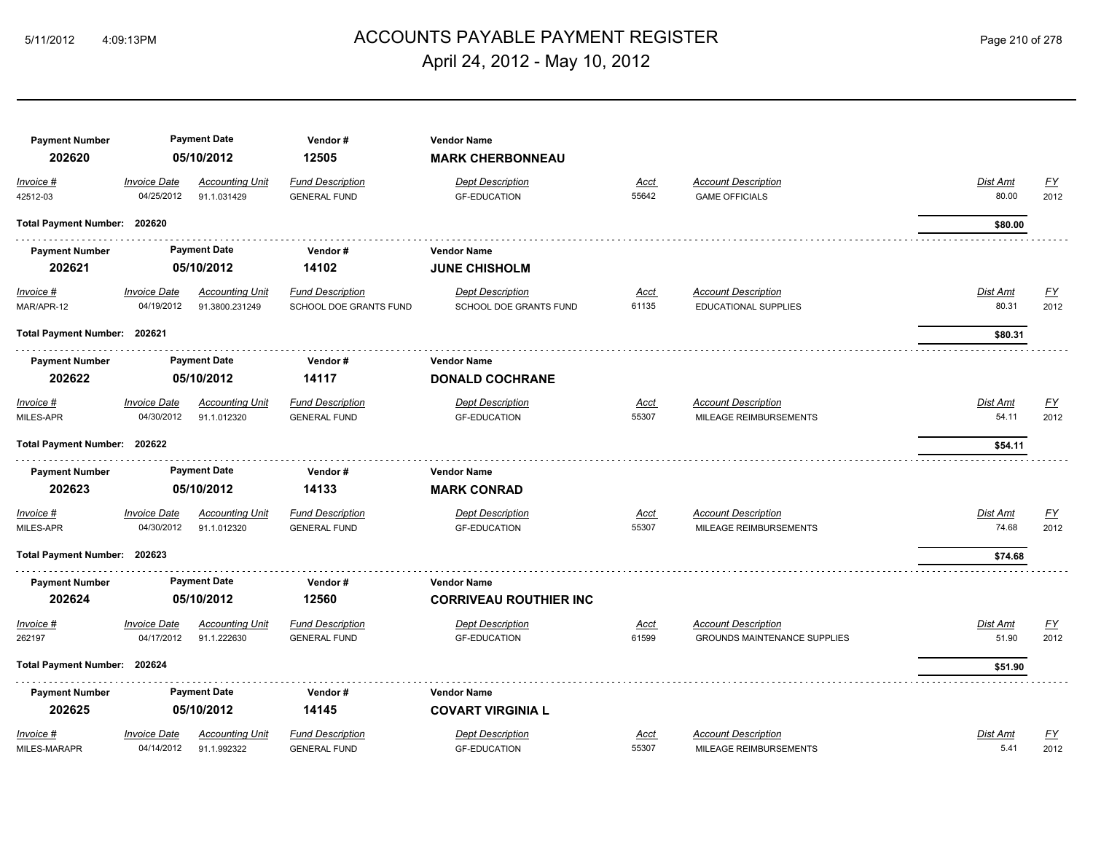## ACCOUNTS PAYABLE PAYMENT REGISTER 5/11/2012 4:09:13PM Page 210 of 278 April 24, 2012 - May 10, 2012

| <b>Payment Number</b>        | <b>Payment Date</b><br>05/10/2012 |                                          | Vendor#<br>12505                                  | <b>Vendor Name</b>                                |                      |                                                     |                   |                                   |
|------------------------------|-----------------------------------|------------------------------------------|---------------------------------------------------|---------------------------------------------------|----------------------|-----------------------------------------------------|-------------------|-----------------------------------|
| 202620                       |                                   |                                          |                                                   | <b>MARK CHERBONNEAU</b>                           |                      |                                                     |                   |                                   |
| Invoice #<br>42512-03        | <b>Invoice Date</b><br>04/25/2012 | <b>Accounting Unit</b><br>91.1.031429    | <b>Fund Description</b><br><b>GENERAL FUND</b>    | <b>Dept Description</b><br><b>GF-EDUCATION</b>    | <b>Acct</b><br>55642 | <b>Account Description</b><br><b>GAME OFFICIALS</b> | Dist Amt<br>80.00 | $\underline{FY}$<br>2012          |
| Total Payment Number: 202620 |                                   |                                          |                                                   |                                                   |                      |                                                     | \$80.00           |                                   |
| <b>Payment Number</b>        |                                   | <b>Payment Date</b>                      | Vendor#                                           | <b>Vendor Name</b>                                |                      |                                                     |                   |                                   |
| 202621                       |                                   | 05/10/2012                               | 14102                                             | <b>JUNE CHISHOLM</b>                              |                      |                                                     |                   |                                   |
| $Invoice$ #<br>MAR/APR-12    | <b>Invoice Date</b><br>04/19/2012 | <b>Accounting Unit</b><br>91.3800.231249 | <b>Fund Description</b><br>SCHOOL DOE GRANTS FUND | <b>Dept Description</b><br>SCHOOL DOE GRANTS FUND | Acct<br>61135        | <b>Account Description</b><br>EDUCATIONAL SUPPLIES  | Dist Amt<br>80.31 | $\underline{\mathsf{FY}}$<br>2012 |
| Total Payment Number: 202621 |                                   |                                          |                                                   |                                                   |                      |                                                     | \$80.31           |                                   |
| <b>Payment Number</b>        | <b>Payment Date</b>               |                                          | Vendor#                                           | <b>Vendor Name</b>                                |                      |                                                     |                   |                                   |
| 202622                       |                                   | 05/10/2012                               | 14117                                             | <b>DONALD COCHRANE</b>                            |                      |                                                     |                   |                                   |
| Invoice #                    | <b>Invoice Date</b>               | <b>Accounting Unit</b>                   | <b>Fund Description</b>                           | <b>Dept Description</b>                           | <u>Acct</u>          | <b>Account Description</b>                          | Dist Amt          | $\underline{\mathsf{FY}}$         |
| MILES-APR                    | 04/30/2012                        | 91.1.012320                              | <b>GENERAL FUND</b>                               | <b>GF-EDUCATION</b>                               | 55307                | MILEAGE REIMBURSEMENTS                              | 54.11             | 2012                              |
| Total Payment Number: 202622 |                                   |                                          |                                                   |                                                   |                      |                                                     | \$54.11           |                                   |
| <b>Payment Number</b>        |                                   | <b>Payment Date</b><br>Vendor#           |                                                   | <b>Vendor Name</b>                                |                      |                                                     |                   |                                   |
| 202623                       |                                   | 05/10/2012                               | 14133                                             | <b>MARK CONRAD</b>                                |                      |                                                     |                   |                                   |
| Invoice #                    | <b>Invoice Date</b>               | <b>Accounting Unit</b>                   | <b>Fund Description</b>                           | <b>Dept Description</b>                           | Acct                 | <b>Account Description</b>                          | Dist Amt          | $\underline{\mathsf{FY}}$         |
| MILES-APR                    | 04/30/2012                        | 91.1.012320                              | <b>GENERAL FUND</b>                               | <b>GF-EDUCATION</b>                               | 55307                | MILEAGE REIMBURSEMENTS                              | 74.68             | 2012                              |
| Total Payment Number: 202623 |                                   |                                          |                                                   |                                                   |                      |                                                     | \$74.68           |                                   |
| <b>Payment Number</b>        |                                   | <b>Payment Date</b>                      | Vendor#                                           | <b>Vendor Name</b>                                |                      |                                                     |                   |                                   |
| 202624                       |                                   | 05/10/2012                               | 12560                                             | <b>CORRIVEAU ROUTHIER INC</b>                     |                      |                                                     |                   |                                   |
| Invoice #                    | <b>Invoice Date</b>               | <b>Accounting Unit</b>                   | <b>Fund Description</b>                           | <b>Dept Description</b>                           | <u>Acct</u>          | <b>Account Description</b>                          | Dist Amt          | <u>FY</u>                         |
| 262197                       | 04/17/2012                        | 91.1.222630                              | <b>GENERAL FUND</b>                               | <b>GF-EDUCATION</b>                               | 61599                | <b>GROUNDS MAINTENANCE SUPPLIES</b>                 | 51.90             | 2012                              |
| Total Payment Number: 202624 |                                   |                                          |                                                   |                                                   |                      |                                                     | \$51.90           |                                   |
| <b>Payment Number</b>        |                                   | <b>Payment Date</b>                      | Vendor#                                           | <b>Vendor Name</b>                                |                      |                                                     |                   |                                   |
| 202625                       |                                   | 05/10/2012                               | 14145                                             | <b>COVART VIRGINIA L</b>                          |                      |                                                     |                   |                                   |
| Invoice #                    | <b>Invoice Date</b>               | <b>Accounting Unit</b>                   | <b>Fund Description</b>                           | <b>Dept Description</b>                           | <u>Acct</u>          | <b>Account Description</b>                          | Dist Amt          | $\underline{\mathsf{FY}}$         |
| MILES-MARAPR                 | 04/14/2012                        | 91.1.992322                              | <b>GENERAL FUND</b>                               | <b>GF-EDUCATION</b>                               | 55307                | MILEAGE REIMBURSEMENTS                              | 5.41              | 2012                              |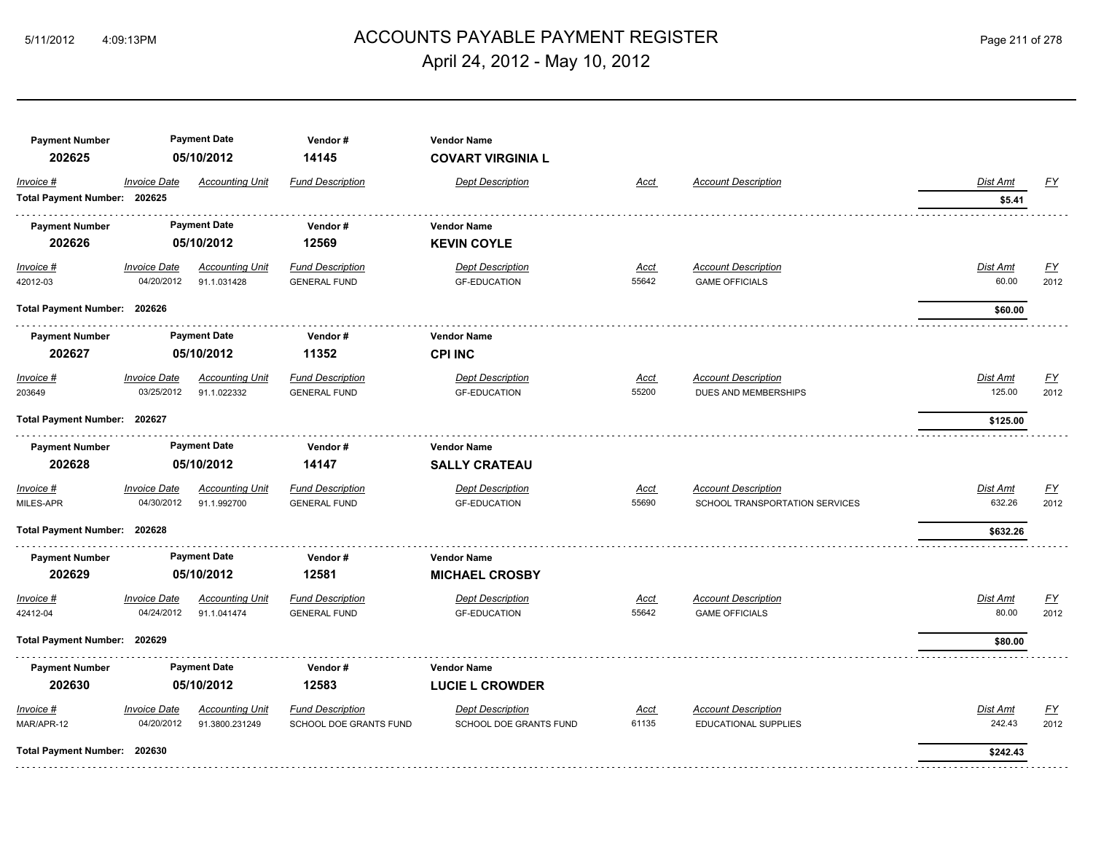## ACCOUNTS PAYABLE PAYMENT REGISTER 5/11/2012 4:09:13PM Page 211 of 278 April 24, 2012 - May 10, 2012

| <b>Payment Number</b>        |                     | <b>Payment Date</b>    | Vendor#                 | <b>Vendor Name</b>       |             |                                |                 |                  |
|------------------------------|---------------------|------------------------|-------------------------|--------------------------|-------------|--------------------------------|-----------------|------------------|
| 202625                       |                     | 05/10/2012             | 14145                   | <b>COVART VIRGINIA L</b> |             |                                |                 |                  |
| Invoice #                    | <b>Invoice Date</b> | <b>Accounting Unit</b> | <b>Fund Description</b> | <b>Dept Description</b>  | <b>Acct</b> | <b>Account Description</b>     | Dist Amt        | <u>FY</u>        |
| Total Payment Number: 202625 |                     |                        |                         |                          |             |                                | \$5.41          |                  |
| <b>Payment Number</b>        |                     | <b>Payment Date</b>    | Vendor#                 | <b>Vendor Name</b>       |             |                                |                 |                  |
| 202626                       |                     | 05/10/2012             | 12569                   | <b>KEVIN COYLE</b>       |             |                                |                 |                  |
| $Invoice$ #                  | <b>Invoice Date</b> | <b>Accounting Unit</b> | <b>Fund Description</b> | <b>Dept Description</b>  | <u>Acct</u> | <b>Account Description</b>     | <b>Dist Amt</b> | EY               |
| 42012-03                     | 04/20/2012          | 91.1.031428            | <b>GENERAL FUND</b>     | <b>GF-EDUCATION</b>      | 55642       | <b>GAME OFFICIALS</b>          | 60.00           | 2012             |
| Total Payment Number: 202626 |                     |                        |                         |                          |             |                                | \$60.00         |                  |
| <b>Payment Number</b>        |                     | <b>Payment Date</b>    | Vendor#                 | <b>Vendor Name</b>       |             |                                |                 |                  |
| 202627                       |                     | 05/10/2012             | 11352                   | <b>CPI INC</b>           |             |                                |                 |                  |
| Invoice #                    | <b>Invoice Date</b> | <b>Accounting Unit</b> | <b>Fund Description</b> | <b>Dept Description</b>  | <b>Acct</b> | <b>Account Description</b>     | Dist Amt        | EY               |
| 203649                       | 03/25/2012          | 91.1.022332            | <b>GENERAL FUND</b>     | <b>GF-EDUCATION</b>      | 55200       | DUES AND MEMBERSHIPS           | 125.00          | 2012             |
| Total Payment Number: 202627 |                     |                        |                         |                          |             | \$125.00                       |                 |                  |
| <b>Payment Number</b>        |                     | <b>Payment Date</b>    | Vendor#                 | <b>Vendor Name</b>       |             |                                |                 |                  |
| 202628                       |                     | 05/10/2012             | 14147                   | <b>SALLY CRATEAU</b>     |             |                                |                 |                  |
| Invoice #                    | <b>Invoice Date</b> | <b>Accounting Unit</b> | <b>Fund Description</b> | <b>Dept Description</b>  | <u>Acct</u> | <b>Account Description</b>     | Dist Amt        | EY               |
| MILES-APR                    | 04/30/2012          | 91.1.992700            | <b>GENERAL FUND</b>     | <b>GF-EDUCATION</b>      | 55690       | SCHOOL TRANSPORTATION SERVICES | 632.26          | 2012             |
| Total Payment Number: 202628 |                     |                        |                         |                          |             |                                | \$632.26        |                  |
| <b>Payment Number</b>        |                     | <b>Payment Date</b>    | Vendor#                 | <b>Vendor Name</b>       |             |                                |                 |                  |
| 202629                       |                     | 05/10/2012             | 12581                   | <b>MICHAEL CROSBY</b>    |             |                                |                 |                  |
| Invoice #                    | <b>Invoice Date</b> | <b>Accounting Unit</b> | <b>Fund Description</b> | <b>Dept Description</b>  | <u>Acct</u> | <b>Account Description</b>     | Dist Amt        | $\underline{FY}$ |
| 42412-04                     | 04/24/2012          | 91.1.041474            | <b>GENERAL FUND</b>     | <b>GF-EDUCATION</b>      | 55642       | <b>GAME OFFICIALS</b>          | 80.00           | 2012             |
| Total Payment Number: 202629 |                     |                        |                         |                          |             |                                | \$80.00         |                  |
| <b>Payment Number</b>        |                     | <b>Payment Date</b>    | Vendor#                 | <b>Vendor Name</b>       |             |                                |                 |                  |
| 202630                       |                     | 05/10/2012             | 12583                   | <b>LUCIE L CROWDER</b>   |             |                                |                 |                  |
| Invoice #                    | <b>Invoice Date</b> | <b>Accounting Unit</b> | <b>Fund Description</b> | <b>Dept Description</b>  | <u>Acct</u> | <b>Account Description</b>     | Dist Amt        | EY               |
| MAR/APR-12                   | 04/20/2012          | 91.3800.231249         | SCHOOL DOE GRANTS FUND  | SCHOOL DOE GRANTS FUND   | 61135       | EDUCATIONAL SUPPLIES           | 242.43          | 2012             |
| Total Payment Number: 202630 |                     |                        |                         |                          |             |                                | \$242.43        |                  |
|                              |                     |                        |                         |                          |             |                                |                 |                  |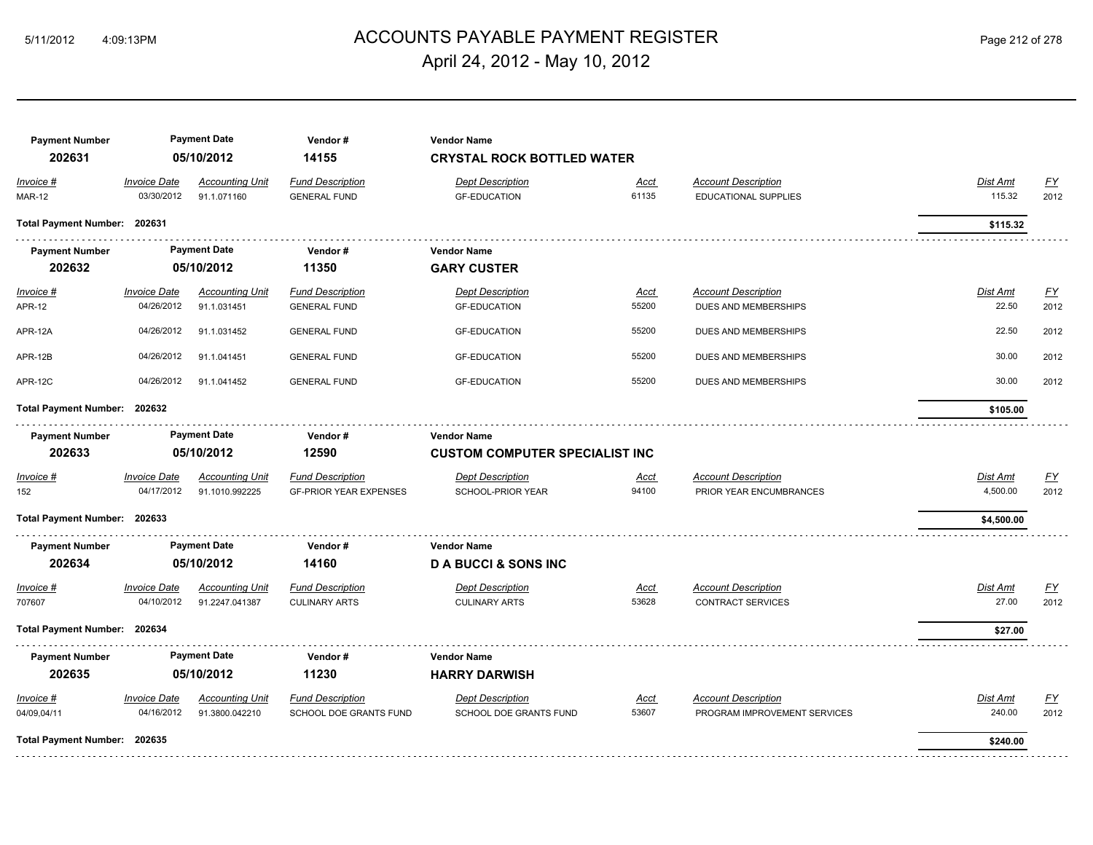## ACCOUNTS PAYABLE PAYMENT REGISTER 5/11/2012 4:09:13PM Page 212 of 278 April 24, 2012 - May 10, 2012

| <b>Payment Number</b><br>202631 | <b>Payment Date</b><br>05/10/2012 |                                          | Vendor#<br>14155                                         | <b>Vendor Name</b><br><b>CRYSTAL ROCK BOTTLED WATER</b> |                      |                                                            |                           |                          |  |
|---------------------------------|-----------------------------------|------------------------------------------|----------------------------------------------------------|---------------------------------------------------------|----------------------|------------------------------------------------------------|---------------------------|--------------------------|--|
| Invoice #<br><b>MAR-12</b>      | <b>Invoice Date</b><br>03/30/2012 | <b>Accounting Unit</b><br>91.1.071160    | <b>Fund Description</b><br><b>GENERAL FUND</b>           | <b>Dept Description</b><br><b>GF-EDUCATION</b>          | Acct<br>61135        | <b>Account Description</b><br><b>EDUCATIONAL SUPPLIES</b>  | Dist Amt<br>115.32        | <u>FY</u><br>2012        |  |
| Total Payment Number: 202631    |                                   |                                          |                                                          |                                                         |                      |                                                            | \$115.32                  |                          |  |
| <b>Payment Number</b>           |                                   | <b>Payment Date</b>                      | Vendor#                                                  | <b>Vendor Name</b>                                      |                      |                                                            |                           |                          |  |
| 202632                          |                                   | 05/10/2012                               | 11350                                                    | <b>GARY CUSTER</b>                                      |                      |                                                            |                           |                          |  |
| $Invoice$ #<br><b>APR-12</b>    | <b>Invoice Date</b><br>04/26/2012 | <b>Accounting Unit</b><br>91.1.031451    | <b>Fund Description</b><br><b>GENERAL FUND</b>           | <b>Dept Description</b><br><b>GF-EDUCATION</b>          | Acct<br>55200        | <b>Account Description</b><br>DUES AND MEMBERSHIPS         | <b>Dist Amt</b><br>22.50  | <u>FY</u><br>2012        |  |
| APR-12A                         | 04/26/2012                        | 91.1.031452                              | <b>GENERAL FUND</b>                                      | <b>GF-EDUCATION</b>                                     | 55200                | DUES AND MEMBERSHIPS                                       | 22.50                     | 2012                     |  |
| APR-12B                         | 04/26/2012                        | 91.1.041451                              | <b>GENERAL FUND</b>                                      | <b>GF-EDUCATION</b>                                     | 55200                | DUES AND MEMBERSHIPS                                       | 30.00                     | 2012                     |  |
| APR-12C                         | 04/26/2012                        | 91.1.041452                              | <b>GENERAL FUND</b>                                      | <b>GF-EDUCATION</b>                                     | 55200                | DUES AND MEMBERSHIPS                                       | 30.00                     | 2012                     |  |
| Total Payment Number: 202632    |                                   |                                          |                                                          |                                                         |                      |                                                            | \$105.00                  |                          |  |
| <b>Payment Number</b>           |                                   | <b>Payment Date</b>                      | Vendor#                                                  | <b>Vendor Name</b>                                      |                      |                                                            |                           |                          |  |
| 202633                          |                                   | 05/10/2012                               | 12590                                                    | <b>CUSTOM COMPUTER SPECIALIST INC</b>                   |                      |                                                            |                           |                          |  |
| Invoice #<br>152                | <b>Invoice Date</b><br>04/17/2012 | <b>Accounting Unit</b><br>91.1010.992225 | <b>Fund Description</b><br><b>GF-PRIOR YEAR EXPENSES</b> | <b>Dept Description</b><br>SCHOOL-PRIOR YEAR            | Acct<br>94100        | <b>Account Description</b><br>PRIOR YEAR ENCUMBRANCES      | Dist Amt<br>4,500.00      | <u>FY</u><br>2012        |  |
| Total Payment Number: 202633    |                                   |                                          |                                                          |                                                         |                      |                                                            | \$4,500.00                |                          |  |
| <b>Payment Number</b><br>202634 |                                   | <b>Payment Date</b><br>05/10/2012        | Vendor#<br>14160                                         | <b>Vendor Name</b><br><b>D A BUCCI &amp; SONS INC</b>   |                      |                                                            |                           |                          |  |
| Invoice #                       | <b>Invoice Date</b>               | <b>Accounting Unit</b>                   | <b>Fund Description</b>                                  | <b>Dept Description</b>                                 | Acct                 | <b>Account Description</b>                                 | Dist Amt                  | <u>FY</u>                |  |
| 707607                          | 04/10/2012                        | 91.2247.041387                           | <b>CULINARY ARTS</b>                                     | <b>CULINARY ARTS</b>                                    | 53628                | <b>CONTRACT SERVICES</b>                                   | 27.00                     | 2012                     |  |
| Total Payment Number: 202634    |                                   |                                          |                                                          |                                                         |                      |                                                            | \$27.00                   |                          |  |
| <b>Payment Number</b>           |                                   | <b>Payment Date</b>                      | Vendor#                                                  | <b>Vendor Name</b>                                      |                      |                                                            |                           |                          |  |
| 202635                          |                                   | 05/10/2012                               | 11230                                                    | <b>HARRY DARWISH</b>                                    |                      |                                                            |                           |                          |  |
| $Invoice$ #<br>04/09,04/11      | <b>Invoice Date</b><br>04/16/2012 | <b>Accounting Unit</b><br>91.3800.042210 | <b>Fund Description</b><br>SCHOOL DOE GRANTS FUND        | <b>Dept Description</b><br>SCHOOL DOE GRANTS FUND       | <u>Acct</u><br>53607 | <b>Account Description</b><br>PROGRAM IMPROVEMENT SERVICES | <b>Dist Amt</b><br>240.00 | $\underline{FY}$<br>2012 |  |
| Total Payment Number: 202635    |                                   |                                          |                                                          |                                                         |                      |                                                            | \$240.00                  |                          |  |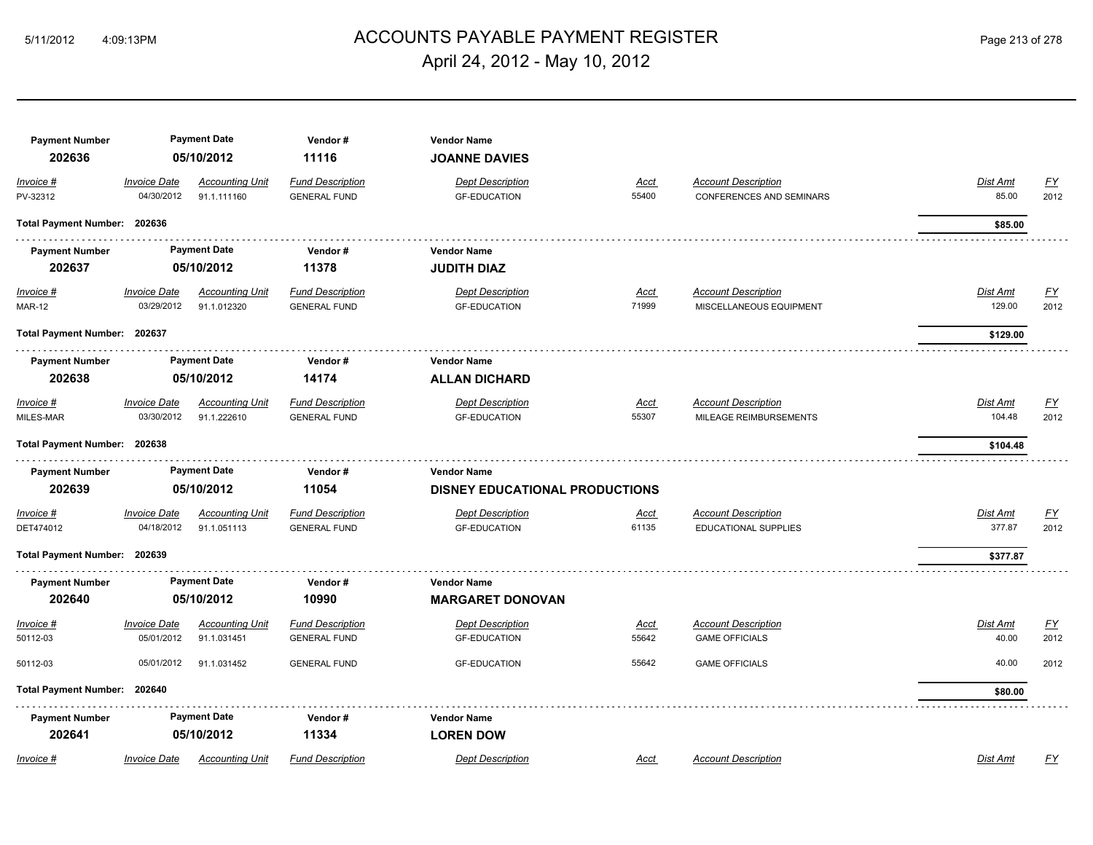#### ACCOUNTS PAYABLE PAYMENT REGISTER 5/11/2012 4:09:13PM Page 213 of 278 April 24, 2012 - May 10, 2012

| <b>Payment Number</b><br>202636 | <b>Payment Date</b><br>05/10/2012 |                                       | Vendor#<br>11116                               | <b>Vendor Name</b><br><b>JOANNE DAVIES</b>                  |                      |                                                        |                           |                          |
|---------------------------------|-----------------------------------|---------------------------------------|------------------------------------------------|-------------------------------------------------------------|----------------------|--------------------------------------------------------|---------------------------|--------------------------|
| Invoice #<br>PV-32312           | <b>Invoice Date</b><br>04/30/2012 | <b>Accounting Unit</b><br>91.1.111160 | <b>Fund Description</b><br><b>GENERAL FUND</b> | <b>Dept Description</b><br><b>GF-EDUCATION</b>              | <u>Acct</u><br>55400 | <b>Account Description</b><br>CONFERENCES AND SEMINARS | Dist Amt<br>85.00         | $\underline{FY}$<br>2012 |
| Total Payment Number: 202636    |                                   |                                       |                                                |                                                             |                      |                                                        | \$85.00                   |                          |
| <b>Payment Number</b><br>202637 |                                   | <b>Payment Date</b><br>05/10/2012     | Vendor#<br>11378                               | <b>Vendor Name</b><br><b>JUDITH DIAZ</b>                    |                      |                                                        |                           |                          |
| $Invoice$ #<br><b>MAR-12</b>    | <b>Invoice Date</b><br>03/29/2012 | <b>Accounting Unit</b><br>91.1.012320 | <b>Fund Description</b><br><b>GENERAL FUND</b> | <b>Dept Description</b><br><b>GF-EDUCATION</b>              | <u>Acct</u><br>71999 | <b>Account Description</b><br>MISCELLANEOUS EQUIPMENT  | <b>Dist Amt</b><br>129.00 | <u>FY</u><br>2012        |
| Total Payment Number: 202637    |                                   |                                       |                                                |                                                             |                      |                                                        | \$129.00                  |                          |
| <b>Payment Number</b><br>202638 | <b>Payment Date</b><br>05/10/2012 |                                       | Vendor#<br>14174                               | <b>Vendor Name</b><br><b>ALLAN DICHARD</b>                  |                      |                                                        |                           |                          |
| Invoice #<br>MILES-MAR          | <b>Invoice Date</b><br>03/30/2012 | <b>Accounting Unit</b><br>91.1.222610 | <b>Fund Description</b><br><b>GENERAL FUND</b> | <b>Dept Description</b><br><b>GF-EDUCATION</b>              | <u>Acct</u><br>55307 | <b>Account Description</b><br>MILEAGE REIMBURSEMENTS   | Dist Amt<br>104.48        | $\underline{FY}$<br>2012 |
| Total Payment Number: 202638    |                                   |                                       |                                                |                                                             |                      |                                                        | \$104.48                  |                          |
| <b>Payment Number</b><br>202639 |                                   | <b>Payment Date</b><br>05/10/2012     | Vendor#<br>11054                               | <b>Vendor Name</b><br><b>DISNEY EDUCATIONAL PRODUCTIONS</b> |                      |                                                        |                           |                          |
| Invoice #<br>DET474012          | <b>Invoice Date</b><br>04/18/2012 | <b>Accounting Unit</b><br>91.1.051113 | <b>Fund Description</b><br><b>GENERAL FUND</b> | <b>Dept Description</b><br><b>GF-EDUCATION</b>              | <u>Acct</u><br>61135 | <b>Account Description</b><br>EDUCATIONAL SUPPLIES     | Dist Amt<br>377.87        | $\underline{FY}$<br>2012 |
| Total Payment Number: 202639    |                                   |                                       |                                                |                                                             |                      |                                                        | \$377.87                  |                          |
| <b>Payment Number</b><br>202640 |                                   | <b>Payment Date</b><br>05/10/2012     | Vendor#<br>10990                               | <b>Vendor Name</b><br><b>MARGARET DONOVAN</b>               |                      |                                                        |                           |                          |
| Invoice #<br>50112-03           | <b>Invoice Date</b><br>05/01/2012 | <b>Accounting Unit</b><br>91.1.031451 | <b>Fund Description</b><br><b>GENERAL FUND</b> | <b>Dept Description</b><br><b>GF-EDUCATION</b>              | <b>Acct</b><br>55642 | <b>Account Description</b><br><b>GAME OFFICIALS</b>    | Dist Amt<br>40.00         | $\underline{FY}$<br>2012 |
| 50112-03                        | 05/01/2012                        | 91.1.031452                           | <b>GENERAL FUND</b>                            | <b>GF-EDUCATION</b>                                         | 55642                | <b>GAME OFFICIALS</b>                                  | 40.00                     | 2012                     |
| Total Payment Number: 202640    |                                   |                                       |                                                |                                                             |                      |                                                        | \$80.00                   |                          |
| <b>Payment Number</b><br>202641 |                                   | <b>Payment Date</b><br>05/10/2012     | Vendor#<br>11334                               | <b>Vendor Name</b><br><b>LOREN DOW</b>                      |                      |                                                        |                           |                          |
| Invoice #                       | <b>Invoice Date</b>               | <b>Accounting Unit</b>                | <b>Fund Description</b>                        | <b>Dept Description</b>                                     | Acct                 | <b>Account Description</b>                             | <b>Dist Amt</b>           | FY                       |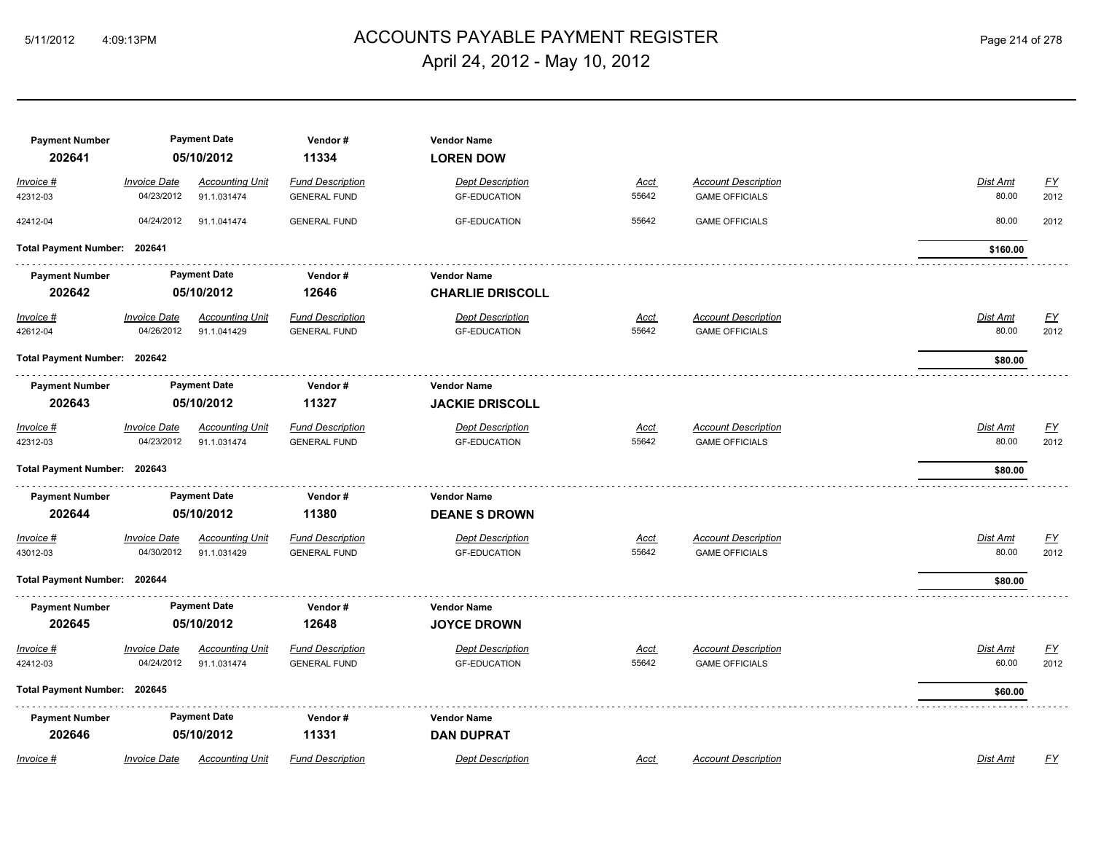## ACCOUNTS PAYABLE PAYMENT REGISTER 5/11/2012 4:09:13PM Page 214 of 278 April 24, 2012 - May 10, 2012

| <b>Payment Number</b><br>202641 | <b>Payment Date</b><br>05/10/2012 |                                       | Vendor#<br>11334                               | <b>Vendor Name</b><br><b>LOREN DOW</b>         |                      |                                                     |                                               |
|---------------------------------|-----------------------------------|---------------------------------------|------------------------------------------------|------------------------------------------------|----------------------|-----------------------------------------------------|-----------------------------------------------|
| Invoice #<br>42312-03           | <b>Invoice Date</b><br>04/23/2012 | <b>Accounting Unit</b><br>91.1.031474 | <b>Fund Description</b><br><b>GENERAL FUND</b> | <b>Dept Description</b><br><b>GF-EDUCATION</b> | <u>Acct</u><br>55642 | <b>Account Description</b><br><b>GAME OFFICIALS</b> | Dist Amt<br><u>FY</u><br>2012<br>80.00        |
| 42412-04                        | 04/24/2012                        | 91.1.041474                           | <b>GENERAL FUND</b>                            | <b>GF-EDUCATION</b>                            | 55642                | <b>GAME OFFICIALS</b>                               | 80.00<br>2012                                 |
| Total Payment Number: 202641    |                                   |                                       |                                                |                                                |                      |                                                     | \$160.00                                      |
| <b>Payment Number</b>           | <b>Payment Date</b>               |                                       | Vendor#                                        | <b>Vendor Name</b>                             |                      |                                                     |                                               |
| 202642                          |                                   | 05/10/2012                            | 12646                                          | <b>CHARLIE DRISCOLL</b>                        |                      |                                                     |                                               |
| <u>Invoice #</u><br>42612-04    | <b>Invoice Date</b><br>04/26/2012 | <b>Accounting Unit</b><br>91.1.041429 | <b>Fund Description</b><br><b>GENERAL FUND</b> | <b>Dept Description</b><br><b>GF-EDUCATION</b> | <u>Acct</u><br>55642 | <b>Account Description</b><br><b>GAME OFFICIALS</b> | <u>FY</u><br><b>Dist Amt</b><br>80.00<br>2012 |
| Total Payment Number: 202642    |                                   |                                       |                                                |                                                |                      |                                                     | \$80.00                                       |
| <b>Payment Number</b>           | <b>Payment Date</b>               |                                       | Vendor#                                        | <b>Vendor Name</b>                             |                      |                                                     |                                               |
| 202643                          |                                   | 05/10/2012                            | 11327                                          | <b>JACKIE DRISCOLL</b>                         |                      |                                                     |                                               |
| Invoice #<br>42312-03           | <b>Invoice Date</b><br>04/23/2012 | <b>Accounting Unit</b><br>91.1.031474 | <b>Fund Description</b><br><b>GENERAL FUND</b> | <b>Dept Description</b><br><b>GF-EDUCATION</b> | <u>Acct</u><br>55642 | <b>Account Description</b><br><b>GAME OFFICIALS</b> | Dist Amt<br>$\underline{FY}$<br>80.00<br>2012 |
| Total Payment Number: 202643    |                                   |                                       |                                                |                                                |                      |                                                     | \$80.00                                       |
| <b>Payment Number</b>           |                                   | <b>Payment Date</b>                   | Vendor#                                        | <b>Vendor Name</b>                             |                      |                                                     |                                               |
| 202644                          |                                   | 05/10/2012                            | 11380                                          | <b>DEANE S DROWN</b>                           |                      |                                                     |                                               |
| Invoice #<br>43012-03           | <b>Invoice Date</b><br>04/30/2012 | <b>Accounting Unit</b><br>91.1.031429 | <b>Fund Description</b><br><b>GENERAL FUND</b> | <b>Dept Description</b><br><b>GF-EDUCATION</b> | <u>Acct</u><br>55642 | <b>Account Description</b><br><b>GAME OFFICIALS</b> | EY<br>Dist Amt<br>80.00<br>2012               |
| Total Payment Number: 202644    |                                   |                                       |                                                |                                                |                      |                                                     | \$80.00                                       |
| <b>Payment Number</b>           |                                   | <b>Payment Date</b>                   | Vendor#                                        | <b>Vendor Name</b>                             |                      |                                                     |                                               |
| 202645                          |                                   | 05/10/2012                            | 12648                                          | <b>JOYCE DROWN</b>                             |                      |                                                     |                                               |
| Invoice #                       | <b>Invoice Date</b>               | <b>Accounting Unit</b>                | <b>Fund Description</b>                        | <b>Dept Description</b>                        | Acct                 | <b>Account Description</b>                          | Dist Amt<br><u>FY</u>                         |
| 42412-03                        | 04/24/2012                        | 91.1.031474                           | <b>GENERAL FUND</b>                            | <b>GF-EDUCATION</b>                            | 55642                | <b>GAME OFFICIALS</b>                               | 60.00<br>2012                                 |
| Total Payment Number: 202645    |                                   |                                       |                                                |                                                |                      |                                                     | \$60.00                                       |
| <b>Payment Number</b>           |                                   | <b>Payment Date</b>                   | Vendor#                                        | <b>Vendor Name</b>                             |                      |                                                     |                                               |
| 202646                          |                                   | 05/10/2012                            | 11331                                          | <b>DAN DUPRAT</b>                              |                      |                                                     |                                               |
| Invoice #                       | <b>Invoice Date</b>               | <b>Accounting Unit</b>                | <b>Fund Description</b>                        | <b>Dept Description</b>                        | Acct                 | <b>Account Description</b>                          | Dist Amt<br>FY                                |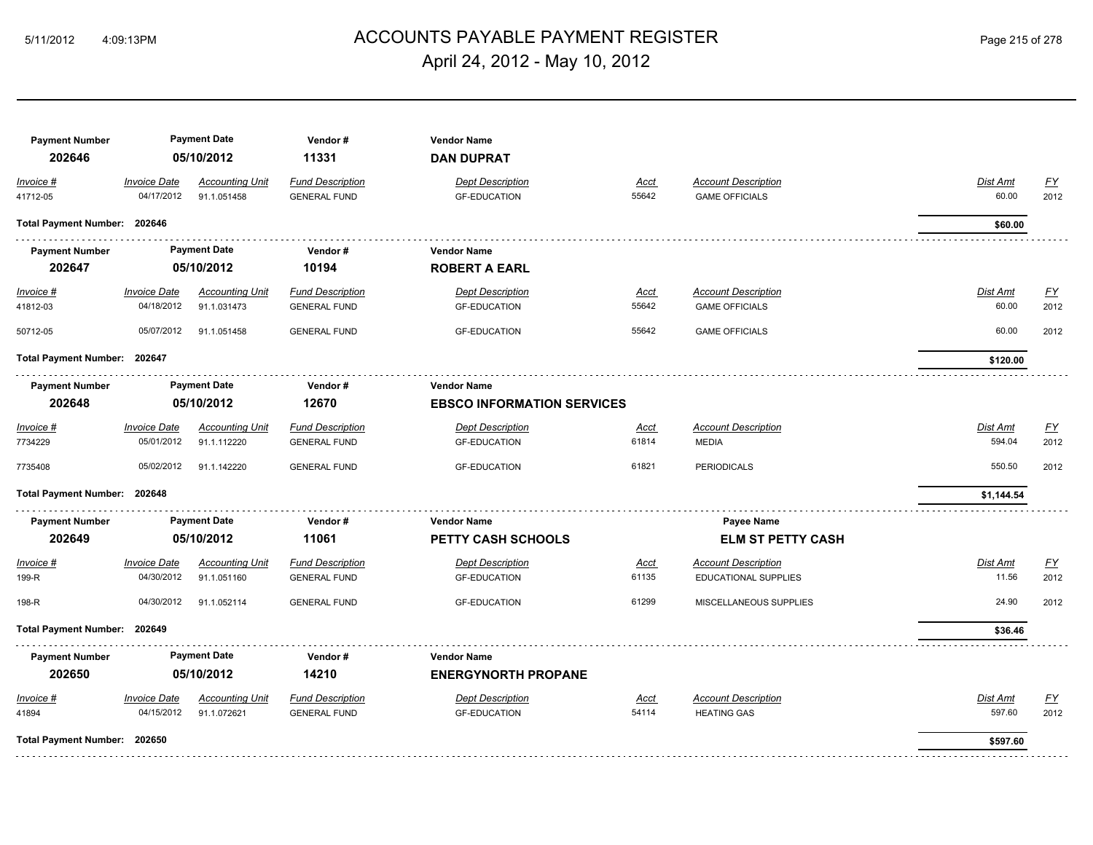## ACCOUNTS PAYABLE PAYMENT REGISTER 5/11/2012 4:09:13PM Page 215 of 278 April 24, 2012 - May 10, 2012

| <b>Payment Number</b><br>202646 |                                   | <b>Payment Date</b><br>Vendor#<br><b>Vendor Name</b><br>05/10/2012<br>11331<br><b>DAN DUPRAT</b> |                                                |                                                |                      |                                                     |                          |                          |
|---------------------------------|-----------------------------------|--------------------------------------------------------------------------------------------------|------------------------------------------------|------------------------------------------------|----------------------|-----------------------------------------------------|--------------------------|--------------------------|
| Invoice #<br>41712-05           | <b>Invoice Date</b><br>04/17/2012 | <b>Accounting Unit</b><br>91.1.051458                                                            | <b>Fund Description</b><br><b>GENERAL FUND</b> | <b>Dept Description</b><br><b>GF-EDUCATION</b> | Acct<br>55642        | <b>Account Description</b><br><b>GAME OFFICIALS</b> | Dist Amt<br>60.00        | $\underline{FY}$<br>2012 |
| Total Payment Number: 202646    |                                   |                                                                                                  |                                                |                                                |                      |                                                     | \$60.00                  |                          |
| <b>Payment Number</b>           |                                   | <b>Payment Date</b>                                                                              | Vendor#                                        | <b>Vendor Name</b>                             |                      |                                                     |                          |                          |
| 202647                          |                                   | 05/10/2012                                                                                       | 10194                                          | <b>ROBERT A EARL</b>                           |                      |                                                     |                          |                          |
| Invoice #<br>41812-03           | <b>Invoice Date</b><br>04/18/2012 | <b>Accounting Unit</b><br>91.1.031473                                                            | <b>Fund Description</b><br><b>GENERAL FUND</b> | <b>Dept Description</b><br><b>GF-EDUCATION</b> | <b>Acct</b><br>55642 | <b>Account Description</b><br><b>GAME OFFICIALS</b> | <b>Dist Amt</b><br>60.00 | <u>FY</u><br>2012        |
| 50712-05                        | 05/07/2012                        | 91.1.051458                                                                                      | <b>GENERAL FUND</b>                            | <b>GF-EDUCATION</b>                            | 55642                | <b>GAME OFFICIALS</b>                               | 60.00                    | 2012                     |
| Total Payment Number: 202647    |                                   |                                                                                                  |                                                |                                                |                      |                                                     | \$120.00                 |                          |
| <b>Payment Number</b>           | <b>Payment Date</b>               |                                                                                                  | Vendor#                                        | <b>Vendor Name</b>                             |                      |                                                     |                          |                          |
| 202648                          |                                   | 05/10/2012                                                                                       | 12670                                          | <b>EBSCO INFORMATION SERVICES</b>              |                      |                                                     |                          |                          |
| Invoice #                       | <b>Invoice Date</b>               | <b>Accounting Unit</b>                                                                           | <b>Fund Description</b>                        | <b>Dept Description</b>                        | <u>Acct</u>          | <b>Account Description</b>                          | <b>Dist Amt</b>          | $\underline{FY}$         |
| 7734229                         | 05/01/2012                        | 91.1.112220                                                                                      | <b>GENERAL FUND</b>                            | <b>GF-EDUCATION</b>                            | 61814                | <b>MEDIA</b>                                        | 594.04                   | 2012                     |
| 7735408                         | 05/02/2012                        | 91.1.142220                                                                                      | <b>GENERAL FUND</b>                            | <b>GF-EDUCATION</b>                            | 61821                | <b>PERIODICALS</b>                                  | 550.50                   | 2012                     |
| Total Payment Number: 202648    |                                   |                                                                                                  |                                                |                                                |                      |                                                     | \$1,144.54               |                          |
| <b>Payment Number</b>           |                                   | <b>Payment Date</b>                                                                              | Vendor#                                        | <b>Vendor Name</b>                             |                      | Payee Name                                          |                          |                          |
| 202649                          |                                   | 05/10/2012                                                                                       | 11061                                          | PETTY CASH SCHOOLS                             |                      | <b>ELM ST PETTY CASH</b>                            |                          |                          |
| Invoice #                       | <b>Invoice Date</b>               | <b>Accounting Unit</b>                                                                           | <b>Fund Description</b>                        | <b>Dept Description</b>                        | <b>Acct</b>          | <b>Account Description</b>                          | Dist Amt                 | EY                       |
| 199-R                           | 04/30/2012                        | 91.1.051160                                                                                      | <b>GENERAL FUND</b>                            | <b>GF-EDUCATION</b>                            | 61135                | EDUCATIONAL SUPPLIES                                | 11.56                    | 2012                     |
| 198-R                           | 04/30/2012                        | 91.1.052114                                                                                      | <b>GENERAL FUND</b>                            | <b>GF-EDUCATION</b>                            | 61299                | MISCELLANEOUS SUPPLIES                              | 24.90                    | 2012                     |
| Total Payment Number: 202649    |                                   |                                                                                                  |                                                |                                                |                      |                                                     | \$36.46                  |                          |
| <b>Payment Number</b>           |                                   | <b>Payment Date</b>                                                                              | Vendor#                                        | <b>Vendor Name</b>                             |                      |                                                     |                          |                          |
| 202650                          |                                   | 05/10/2012                                                                                       | 14210                                          | <b>ENERGYNORTH PROPANE</b>                     |                      |                                                     |                          |                          |
| Invoice #                       | <b>Invoice Date</b>               | <b>Accounting Unit</b>                                                                           | <b>Fund Description</b>                        | <b>Dept Description</b>                        | Acct                 | <b>Account Description</b>                          | Dist Amt                 | EY                       |
| 41894                           | 04/15/2012                        | 91.1.072621                                                                                      | <b>GENERAL FUND</b>                            | <b>GF-EDUCATION</b>                            | 54114                | <b>HEATING GAS</b>                                  | 597.60                   | 2012                     |
| Total Payment Number: 202650    |                                   |                                                                                                  |                                                |                                                |                      |                                                     | \$597.60                 |                          |
|                                 |                                   |                                                                                                  |                                                |                                                |                      |                                                     |                          |                          |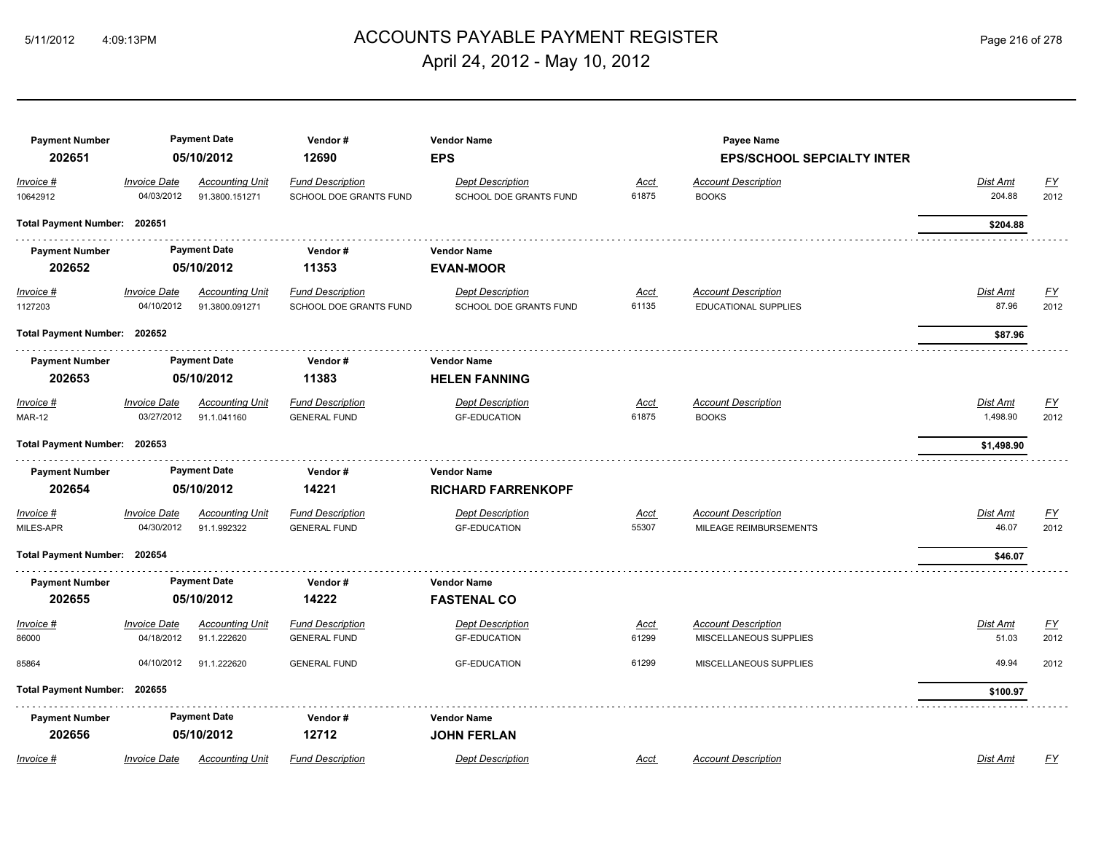#### ACCOUNTS PAYABLE PAYMENT REGISTER 5/11/2012 4:09:13PM Page 216 of 278 April 24, 2012 - May 10, 2012

#### **Payment Number Payment Date Vendor # Vendor Name Payee Name 202651 05/10/2012 12690 EPS EPS/SCHOOL SEPCIALTY INTER** *Invoice # Invoice Date Accounting Unit Fund Description Dept Description Acct Account Description Dist Amt FY* 10642912 04/03/2012 91.3800.151271 SCHOOL DOE GRANTS FUND SCHOOL DOE GRANTS FUND 61875 BOOKS 204.88 2012 **Total Payment Number: 202651 \$204.88**  a a a a an **Payment Number Payment Date Vendor # Vendor Name 202652 05/10/2012 11353 EVAN-MOOR** *Invoice # Invoice Date Accounting Unit Fund Description Dept Description Acct Account Description Dist Amt FY* 1127203 04/10/2012 91.3800.091271 SCHOOL DOE GRANTS FUND SCHOOL DOE GRANTS FUND 61135 EDUCATIONAL SUPPLIES 87.96 2012 **Total Payment Number: 202652 \$87.96**  \_<del>\_\_\_\_\_\_\_\_\_\_\_\_\_\_\_\_\_\_\_\_\_</del>\_\_\_\_\_\_\_ **Payment Number Payment Date Vendor # Vendor Name 202653 05/10/2012 11383 HELEN FANNING** *Invoice # Invoice Date Accounting Unit Fund Description Dept Description Acct Account Description Dist Amt FY* MAR-12 03/27/2012 91.1.041160 GENERAL FUND GF-EDUCATION 61875 BOOKS 1,498.90 2012 **Total Payment Number: 202653 \$1,498.90 Payment Number Payment Date Vendor # Vendor Name 202654 05/10/2012 14221 RICHARD FARRENKOPF** *Invoice # Invoice Date Accounting Unit Fund Description Dept Description Acct Account Description Dist Amt FY* MILES-APR 04/30/2012 91.1.992322 GENERAL FUND GF-EDUCATION 55307 MILEAGE REIMBURSEMENTS 46.07 2012 **Total Payment Number: 202654 \$46.07 Payment Number Payment Date Vendor # Vendor Name 202655 05/10/2012 14222 FASTENAL CO** *Invoice # Invoice Date Accounting Unit Fund Description Dept Description Acct Account Description Dist Amt FY* 86000 04/18/2012 91.1.222620 GENERAL FUND GF-EDUCATION 61299 MISCELLANEOUS SUPPLIES 51.03 2012 85864 04/10/2012 91.1.222620 GENERAL FUND GF-EDUCATION 61299 MISCELLANEOUS SUPPLIES 49.94 2012 **Total Payment Number: 202655 \$100.97**  . . . . . . . . . . . . . . . . . . . . . . . . . . . . . . . . . **Payment Number Payment Date Vendor # Vendor Name 202656 05/10/2012 12712 JOHN FERLAN** *Invoice # Invoice Date Accounting Unit Fund Description Dept Description Acct Account Description Dist Amt FY*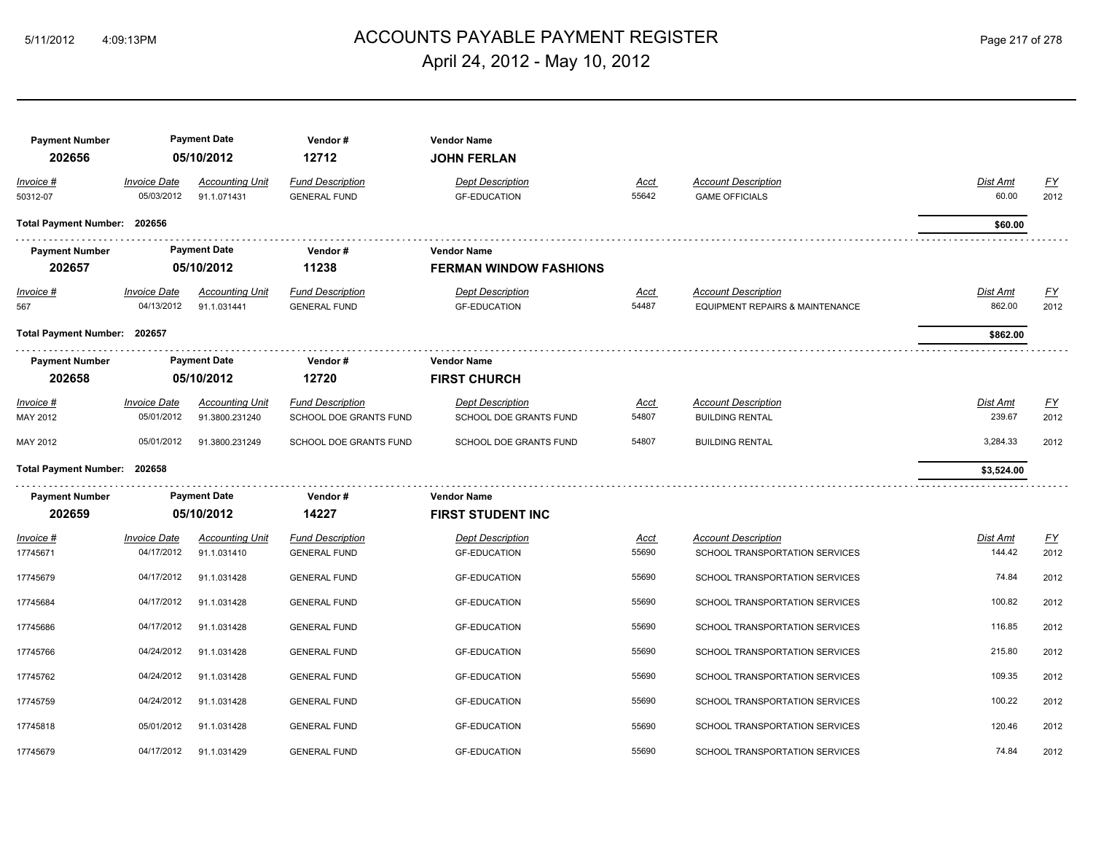## ACCOUNTS PAYABLE PAYMENT REGISTER 5/11/2012 4:09:13PM Page 217 of 278 April 24, 2012 - May 10, 2012

| <b>Payment Number</b>        |                                   | <b>Payment Date</b>                   | Vendor#                                        | <b>Vendor Name</b>                             |                      |                                                               |                           |                  |
|------------------------------|-----------------------------------|---------------------------------------|------------------------------------------------|------------------------------------------------|----------------------|---------------------------------------------------------------|---------------------------|------------------|
| 202656                       |                                   | 05/10/2012                            | 12712                                          | <b>JOHN FERLAN</b>                             |                      |                                                               |                           |                  |
| Invoice #                    | <b>Invoice Date</b>               | <b>Accounting Unit</b>                | <b>Fund Description</b>                        | <b>Dept Description</b>                        | Acct                 | <b>Account Description</b>                                    | Dist Amt                  | $\underline{FY}$ |
| 50312-07                     | 05/03/2012                        | 91.1.071431                           | <b>GENERAL FUND</b>                            | <b>GF-EDUCATION</b>                            | 55642                | <b>GAME OFFICIALS</b>                                         | 60.00                     | 2012             |
| Total Payment Number: 202656 |                                   |                                       |                                                |                                                |                      |                                                               | \$60.00                   |                  |
| <b>Payment Number</b>        |                                   | <b>Payment Date</b>                   | Vendor#                                        | <b>Vendor Name</b>                             |                      |                                                               |                           |                  |
| 202657                       |                                   | 05/10/2012                            | 11238                                          | <b>FERMAN WINDOW FASHIONS</b>                  |                      |                                                               |                           |                  |
| <u>Invoice #</u><br>567      | <b>Invoice Date</b><br>04/13/2012 | <b>Accounting Unit</b><br>91.1.031441 | <b>Fund Description</b><br><b>GENERAL FUND</b> | <b>Dept Description</b><br><b>GF-EDUCATION</b> | <u>Acct</u><br>54487 | <b>Account Description</b><br>EQUIPMENT REPAIRS & MAINTENANCE | <b>Dist Amt</b><br>862.00 | EY<br>2012       |
| Total Payment Number: 202657 |                                   |                                       |                                                |                                                |                      |                                                               | \$862.00                  |                  |
| <b>Payment Number</b>        |                                   | <b>Payment Date</b>                   | Vendor#                                        | <b>Vendor Name</b>                             |                      |                                                               |                           |                  |
| 202658                       |                                   | 05/10/2012                            | 12720                                          | <b>FIRST CHURCH</b>                            |                      |                                                               |                           |                  |
| Invoice #                    | <b>Invoice Date</b>               | <b>Accounting Unit</b>                | <b>Fund Description</b>                        | <b>Dept Description</b>                        | Acct                 | <b>Account Description</b>                                    | Dist Amt                  | EY               |
| MAY 2012                     | 05/01/2012                        | 91.3800.231240                        | SCHOOL DOE GRANTS FUND                         | SCHOOL DOE GRANTS FUND                         | 54807                | <b>BUILDING RENTAL</b>                                        | 239.67                    | 2012             |
| MAY 2012                     | 05/01/2012                        | 91.3800.231249                        | SCHOOL DOE GRANTS FUND                         | SCHOOL DOE GRANTS FUND                         | 54807                | <b>BUILDING RENTAL</b>                                        | 3,284.33                  | 2012             |
| Total Payment Number: 202658 |                                   |                                       |                                                |                                                |                      |                                                               | \$3,524.00                |                  |
| <b>Payment Number</b>        |                                   | <b>Payment Date</b>                   | Vendor#                                        | <b>Vendor Name</b>                             |                      |                                                               |                           |                  |
| 202659                       |                                   | 05/10/2012                            | 14227                                          | <b>FIRST STUDENT INC</b>                       |                      |                                                               |                           |                  |
| <u> Invoice #</u>            | <b>Invoice Date</b>               | <b>Accounting Unit</b>                | <b>Fund Description</b>                        | <b>Dept Description</b>                        | Acct                 | <b>Account Description</b>                                    | Dist Amt                  | EY               |
| 17745671                     | 04/17/2012                        | 91.1.031410                           | <b>GENERAL FUND</b>                            | <b>GF-EDUCATION</b>                            | 55690                | SCHOOL TRANSPORTATION SERVICES                                | 144.42                    | 2012             |
| 17745679                     | 04/17/2012                        | 91.1.031428                           | <b>GENERAL FUND</b>                            | <b>GF-EDUCATION</b>                            | 55690                | SCHOOL TRANSPORTATION SERVICES                                | 74.84                     | 2012             |
| 17745684                     | 04/17/2012                        | 91.1.031428                           | <b>GENERAL FUND</b>                            | <b>GF-EDUCATION</b>                            | 55690                | SCHOOL TRANSPORTATION SERVICES                                | 100.82                    | 2012             |
| 17745686                     | 04/17/2012                        | 91.1.031428                           | <b>GENERAL FUND</b>                            | <b>GF-EDUCATION</b>                            | 55690                | SCHOOL TRANSPORTATION SERVICES                                | 116.85                    | 2012             |
| 17745766                     | 04/24/2012                        | 91.1.031428                           | <b>GENERAL FUND</b>                            | <b>GF-EDUCATION</b>                            | 55690                | SCHOOL TRANSPORTATION SERVICES                                | 215.80                    | 2012             |
| 17745762                     | 04/24/2012                        | 91.1.031428                           | <b>GENERAL FUND</b>                            | <b>GF-EDUCATION</b>                            | 55690                | SCHOOL TRANSPORTATION SERVICES                                | 109.35                    | 2012             |
| 17745759                     | 04/24/2012                        | 91.1.031428                           | <b>GENERAL FUND</b>                            | <b>GF-EDUCATION</b>                            | 55690                | SCHOOL TRANSPORTATION SERVICES                                | 100.22                    | 2012             |
| 17745818                     | 05/01/2012                        | 91.1.031428                           | <b>GENERAL FUND</b>                            | <b>GF-EDUCATION</b>                            | 55690                | SCHOOL TRANSPORTATION SERVICES                                | 120.46                    | 2012             |
| 17745679                     | 04/17/2012                        | 91.1.031429                           | <b>GENERAL FUND</b>                            | <b>GF-EDUCATION</b>                            | 55690                | SCHOOL TRANSPORTATION SERVICES                                | 74.84                     | 2012             |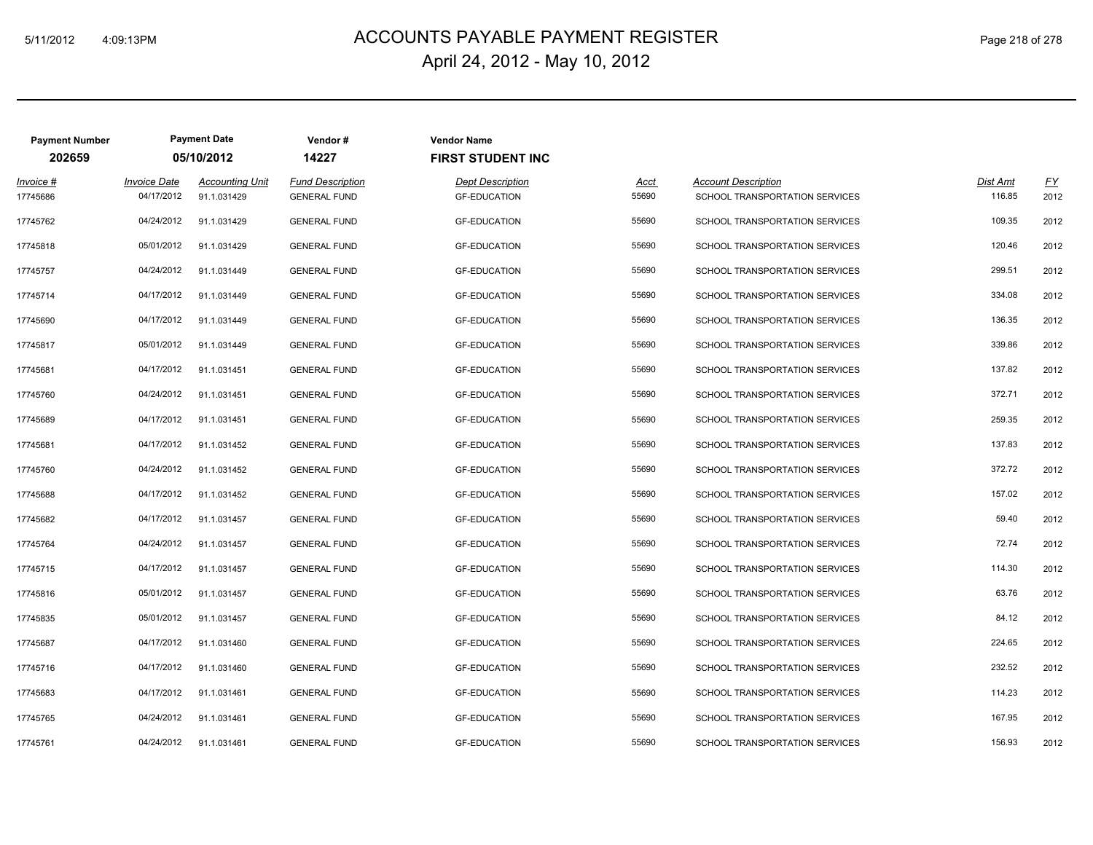## ACCOUNTS PAYABLE PAYMENT REGISTER 5/11/2012 4:09:13PM Page 218 of 278 April 24, 2012 - May 10, 2012

| Page 218 of 278 |  |  |  |
|-----------------|--|--|--|
|-----------------|--|--|--|

| <b>Payment Number</b> | <b>Payment Date</b> |                        | Vendor#                 | <b>Vendor Name</b>       |       |                                       |          |      |
|-----------------------|---------------------|------------------------|-------------------------|--------------------------|-------|---------------------------------------|----------|------|
| 202659                |                     | 05/10/2012             | 14227                   | <b>FIRST STUDENT INC</b> |       |                                       |          |      |
| Invoice #             | <b>Invoice Date</b> | <b>Accounting Unit</b> | <b>Fund Description</b> | <b>Dept Description</b>  | Acct  | <b>Account Description</b>            | Dist Amt | EY   |
| 17745686              | 04/17/2012          | 91.1.031429            | <b>GENERAL FUND</b>     | <b>GF-EDUCATION</b>      | 55690 | SCHOOL TRANSPORTATION SERVICES        | 116.85   | 2012 |
| 17745762              | 04/24/2012          | 91.1.031429            | <b>GENERAL FUND</b>     | <b>GF-EDUCATION</b>      | 55690 | SCHOOL TRANSPORTATION SERVICES        | 109.35   | 2012 |
| 17745818              | 05/01/2012          | 91.1.031429            | <b>GENERAL FUND</b>     | <b>GF-EDUCATION</b>      | 55690 | SCHOOL TRANSPORTATION SERVICES        | 120.46   | 2012 |
| 17745757              | 04/24/2012          | 91.1.031449            | <b>GENERAL FUND</b>     | <b>GF-EDUCATION</b>      | 55690 | SCHOOL TRANSPORTATION SERVICES        | 299.51   | 2012 |
| 17745714              | 04/17/2012          | 91.1.031449            | <b>GENERAL FUND</b>     | <b>GF-EDUCATION</b>      | 55690 | SCHOOL TRANSPORTATION SERVICES        | 334.08   | 2012 |
| 17745690              | 04/17/2012          | 91.1.031449            | <b>GENERAL FUND</b>     | <b>GF-EDUCATION</b>      | 55690 | SCHOOL TRANSPORTATION SERVICES        | 136.35   | 2012 |
| 17745817              | 05/01/2012          | 91.1.031449            | <b>GENERAL FUND</b>     | <b>GF-EDUCATION</b>      | 55690 | SCHOOL TRANSPORTATION SERVICES        | 339.86   | 2012 |
| 17745681              | 04/17/2012          | 91.1.031451            | <b>GENERAL FUND</b>     | <b>GF-EDUCATION</b>      | 55690 | SCHOOL TRANSPORTATION SERVICES        | 137.82   | 2012 |
| 17745760              | 04/24/2012          | 91.1.031451            | <b>GENERAL FUND</b>     | <b>GF-EDUCATION</b>      | 55690 | SCHOOL TRANSPORTATION SERVICES        | 372.71   | 2012 |
| 17745689              | 04/17/2012          | 91.1.031451            | <b>GENERAL FUND</b>     | <b>GF-EDUCATION</b>      | 55690 | SCHOOL TRANSPORTATION SERVICES        | 259.35   | 2012 |
| 17745681              | 04/17/2012          | 91.1.031452            | <b>GENERAL FUND</b>     | <b>GF-EDUCATION</b>      | 55690 | <b>SCHOOL TRANSPORTATION SERVICES</b> | 137.83   | 2012 |
| 17745760              | 04/24/2012          | 91.1.031452            | <b>GENERAL FUND</b>     | <b>GF-EDUCATION</b>      | 55690 | SCHOOL TRANSPORTATION SERVICES        | 372.72   | 2012 |
| 17745688              | 04/17/2012          | 91.1.031452            | <b>GENERAL FUND</b>     | <b>GF-EDUCATION</b>      | 55690 | SCHOOL TRANSPORTATION SERVICES        | 157.02   | 2012 |
| 17745682              | 04/17/2012          | 91.1.031457            | <b>GENERAL FUND</b>     | <b>GF-EDUCATION</b>      | 55690 | SCHOOL TRANSPORTATION SERVICES        | 59.40    | 2012 |
| 17745764              | 04/24/2012          | 91.1.031457            | <b>GENERAL FUND</b>     | <b>GF-EDUCATION</b>      | 55690 | SCHOOL TRANSPORTATION SERVICES        | 72.74    | 2012 |
| 17745715              | 04/17/2012          | 91.1.031457            | <b>GENERAL FUND</b>     | <b>GF-EDUCATION</b>      | 55690 | SCHOOL TRANSPORTATION SERVICES        | 114.30   | 2012 |
| 17745816              | 05/01/2012          | 91.1.031457            | <b>GENERAL FUND</b>     | <b>GF-EDUCATION</b>      | 55690 | SCHOOL TRANSPORTATION SERVICES        | 63.76    | 2012 |
| 17745835              | 05/01/2012          | 91.1.031457            | <b>GENERAL FUND</b>     | <b>GF-EDUCATION</b>      | 55690 | SCHOOL TRANSPORTATION SERVICES        | 84.12    | 2012 |
| 17745687              | 04/17/2012          | 91.1.031460            | <b>GENERAL FUND</b>     | <b>GF-EDUCATION</b>      | 55690 | SCHOOL TRANSPORTATION SERVICES        | 224.65   | 2012 |
| 17745716              | 04/17/2012          | 91.1.031460            | <b>GENERAL FUND</b>     | <b>GF-EDUCATION</b>      | 55690 | SCHOOL TRANSPORTATION SERVICES        | 232.52   | 2012 |
| 17745683              | 04/17/2012          | 91.1.031461            | <b>GENERAL FUND</b>     | <b>GF-EDUCATION</b>      | 55690 | SCHOOL TRANSPORTATION SERVICES        | 114.23   | 2012 |
| 17745765              | 04/24/2012          | 91.1.031461            | <b>GENERAL FUND</b>     | <b>GF-EDUCATION</b>      | 55690 | SCHOOL TRANSPORTATION SERVICES        | 167.95   | 2012 |
| 17745761              | 04/24/2012          | 91.1.031461            | <b>GENERAL FUND</b>     | <b>GF-EDUCATION</b>      | 55690 | SCHOOL TRANSPORTATION SERVICES        | 156.93   | 2012 |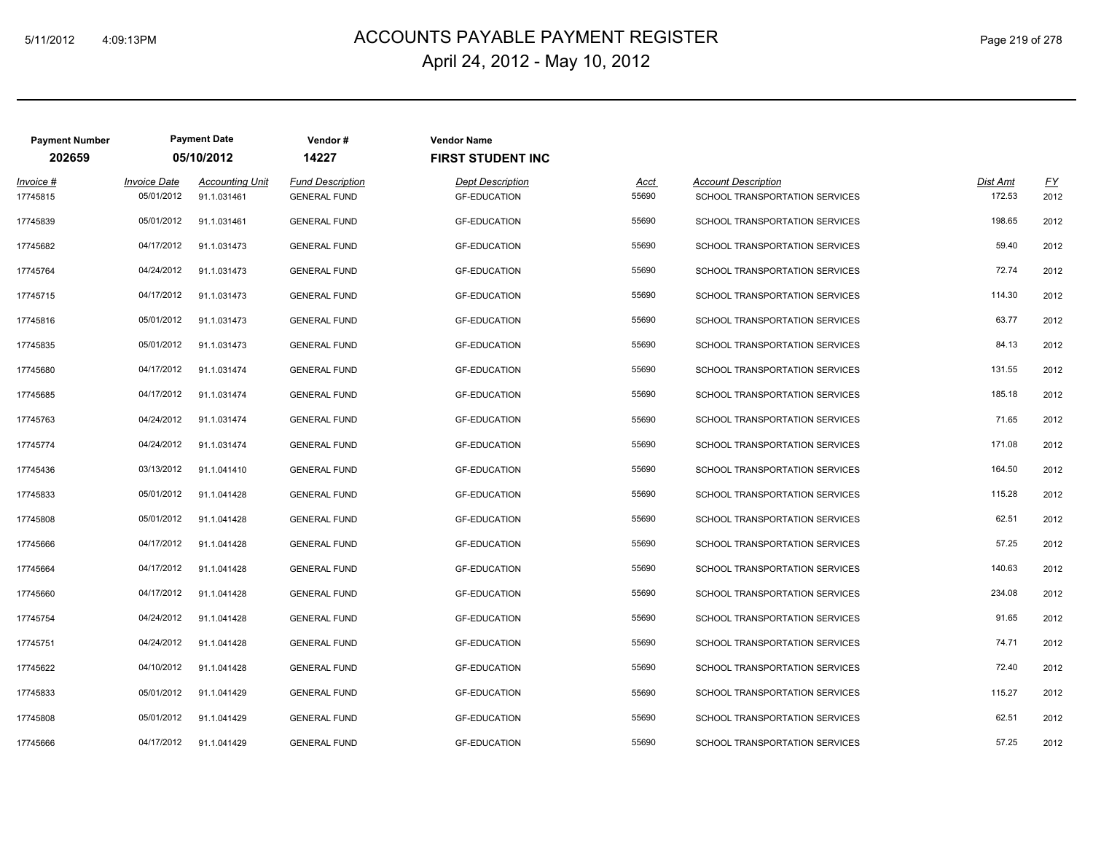## ACCOUNTS PAYABLE PAYMENT REGISTER 5/11/2012 4:09:13PM Page 219 of 278 April 24, 2012 - May 10, 2012

|  |  | Page 219 of 278 |  |
|--|--|-----------------|--|
|--|--|-----------------|--|

| <b>Payment Number</b> | <b>Payment Date</b> |                        | Vendor#                 | <b>Vendor Name</b>       |       |                                       |          |      |
|-----------------------|---------------------|------------------------|-------------------------|--------------------------|-------|---------------------------------------|----------|------|
| 202659                |                     | 05/10/2012             | 14227                   | <b>FIRST STUDENT INC</b> |       |                                       |          |      |
| Invoice #             | <b>Invoice Date</b> | <b>Accounting Unit</b> | <b>Fund Description</b> | <b>Dept Description</b>  | Acct  | <b>Account Description</b>            | Dist Amt | EY   |
| 17745815              | 05/01/2012          | 91.1.031461            | <b>GENERAL FUND</b>     | <b>GF-EDUCATION</b>      | 55690 | SCHOOL TRANSPORTATION SERVICES        | 172.53   | 2012 |
| 17745839              | 05/01/2012          | 91.1.031461            | <b>GENERAL FUND</b>     | <b>GF-EDUCATION</b>      | 55690 | SCHOOL TRANSPORTATION SERVICES        | 198.65   | 2012 |
| 17745682              | 04/17/2012          | 91.1.031473            | <b>GENERAL FUND</b>     | <b>GF-EDUCATION</b>      | 55690 | SCHOOL TRANSPORTATION SERVICES        | 59.40    | 2012 |
| 17745764              | 04/24/2012          | 91.1.031473            | <b>GENERAL FUND</b>     | <b>GF-EDUCATION</b>      | 55690 | SCHOOL TRANSPORTATION SERVICES        | 72.74    | 2012 |
| 17745715              | 04/17/2012          | 91.1.031473            | <b>GENERAL FUND</b>     | <b>GF-EDUCATION</b>      | 55690 | SCHOOL TRANSPORTATION SERVICES        | 114.30   | 2012 |
| 17745816              | 05/01/2012          | 91.1.031473            | <b>GENERAL FUND</b>     | <b>GF-EDUCATION</b>      | 55690 | SCHOOL TRANSPORTATION SERVICES        | 63.77    | 2012 |
| 17745835              | 05/01/2012          | 91.1.031473            | <b>GENERAL FUND</b>     | <b>GF-EDUCATION</b>      | 55690 | SCHOOL TRANSPORTATION SERVICES        | 84.13    | 2012 |
| 17745680              | 04/17/2012          | 91.1.031474            | <b>GENERAL FUND</b>     | <b>GF-EDUCATION</b>      | 55690 | SCHOOL TRANSPORTATION SERVICES        | 131.55   | 2012 |
| 17745685              | 04/17/2012          | 91.1.031474            | <b>GENERAL FUND</b>     | <b>GF-EDUCATION</b>      | 55690 | SCHOOL TRANSPORTATION SERVICES        | 185.18   | 2012 |
| 17745763              | 04/24/2012          | 91.1.031474            | <b>GENERAL FUND</b>     | <b>GF-EDUCATION</b>      | 55690 | SCHOOL TRANSPORTATION SERVICES        | 71.65    | 2012 |
| 17745774              | 04/24/2012          | 91.1.031474            | <b>GENERAL FUND</b>     | <b>GF-EDUCATION</b>      | 55690 | <b>SCHOOL TRANSPORTATION SERVICES</b> | 171.08   | 2012 |
| 17745436              | 03/13/2012          | 91.1.041410            | <b>GENERAL FUND</b>     | <b>GF-EDUCATION</b>      | 55690 | SCHOOL TRANSPORTATION SERVICES        | 164.50   | 2012 |
| 17745833              | 05/01/2012          | 91.1.041428            | <b>GENERAL FUND</b>     | <b>GF-EDUCATION</b>      | 55690 | SCHOOL TRANSPORTATION SERVICES        | 115.28   | 2012 |
| 17745808              | 05/01/2012          | 91.1.041428            | <b>GENERAL FUND</b>     | <b>GF-EDUCATION</b>      | 55690 | SCHOOL TRANSPORTATION SERVICES        | 62.51    | 2012 |
| 17745666              | 04/17/2012          | 91.1.041428            | <b>GENERAL FUND</b>     | <b>GF-EDUCATION</b>      | 55690 | SCHOOL TRANSPORTATION SERVICES        | 57.25    | 2012 |
| 17745664              | 04/17/2012          | 91.1.041428            | <b>GENERAL FUND</b>     | <b>GF-EDUCATION</b>      | 55690 | SCHOOL TRANSPORTATION SERVICES        | 140.63   | 2012 |
| 17745660              | 04/17/2012          | 91.1.041428            | <b>GENERAL FUND</b>     | <b>GF-EDUCATION</b>      | 55690 | SCHOOL TRANSPORTATION SERVICES        | 234.08   | 2012 |
| 17745754              | 04/24/2012          | 91.1.041428            | <b>GENERAL FUND</b>     | <b>GF-EDUCATION</b>      | 55690 | SCHOOL TRANSPORTATION SERVICES        | 91.65    | 2012 |
| 17745751              | 04/24/2012          | 91.1.041428            | <b>GENERAL FUND</b>     | <b>GF-EDUCATION</b>      | 55690 | SCHOOL TRANSPORTATION SERVICES        | 74.71    | 2012 |
| 17745622              | 04/10/2012          | 91.1.041428            | <b>GENERAL FUND</b>     | <b>GF-EDUCATION</b>      | 55690 | SCHOOL TRANSPORTATION SERVICES        | 72.40    | 2012 |
| 17745833              | 05/01/2012          | 91.1.041429            | <b>GENERAL FUND</b>     | <b>GF-EDUCATION</b>      | 55690 | SCHOOL TRANSPORTATION SERVICES        | 115.27   | 2012 |
| 17745808              | 05/01/2012          | 91.1.041429            | <b>GENERAL FUND</b>     | <b>GF-EDUCATION</b>      | 55690 | SCHOOL TRANSPORTATION SERVICES        | 62.51    | 2012 |
| 17745666              | 04/17/2012          | 91.1.041429            | <b>GENERAL FUND</b>     | <b>GF-EDUCATION</b>      | 55690 | SCHOOL TRANSPORTATION SERVICES        | 57.25    | 2012 |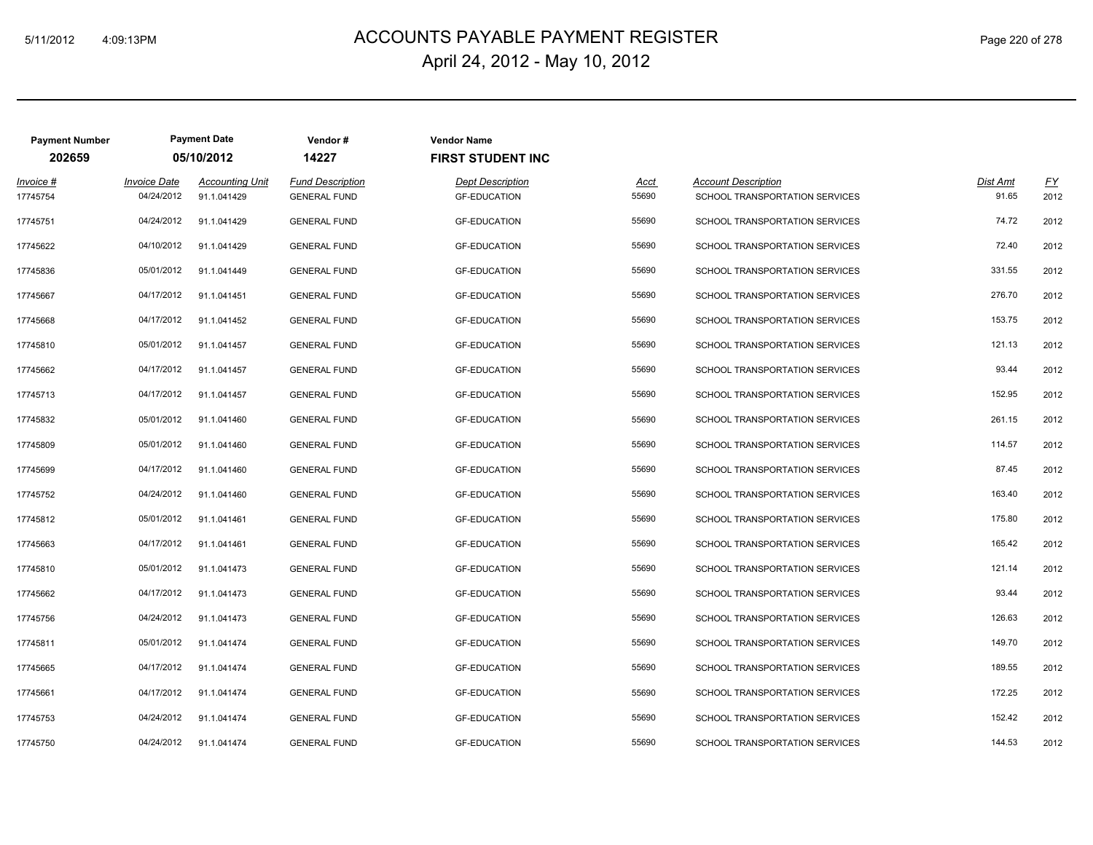## ACCOUNTS PAYABLE PAYMENT REGISTER 5/11/2012 4:09:13PM Page 220 of 278 April 24, 2012 - May 10, 2012

| Page 220 of 278 |  |  |  |  |
|-----------------|--|--|--|--|
|-----------------|--|--|--|--|

| <b>Payment Number</b> |                                   | <b>Payment Date</b>                   | Vendor#                                        | <b>Vendor Name</b>                             |               |                                                              |                   |                   |
|-----------------------|-----------------------------------|---------------------------------------|------------------------------------------------|------------------------------------------------|---------------|--------------------------------------------------------------|-------------------|-------------------|
| 202659                |                                   | 05/10/2012                            | 14227                                          | <b>FIRST STUDENT INC</b>                       |               |                                                              |                   |                   |
| Invoice #<br>17745754 | <b>Invoice Date</b><br>04/24/2012 | <b>Accounting Unit</b><br>91.1.041429 | <b>Fund Description</b><br><b>GENERAL FUND</b> | <b>Dept Description</b><br><b>GF-EDUCATION</b> | Acct<br>55690 | <b>Account Description</b><br>SCHOOL TRANSPORTATION SERVICES | Dist Amt<br>91.65 | <b>FY</b><br>2012 |
| 17745751              | 04/24/2012                        | 91.1.041429                           | <b>GENERAL FUND</b>                            | <b>GF-EDUCATION</b>                            | 55690         | SCHOOL TRANSPORTATION SERVICES                               | 74.72             | 2012              |
| 17745622              | 04/10/2012                        | 91.1.041429                           | <b>GENERAL FUND</b>                            | <b>GF-EDUCATION</b>                            | 55690         | SCHOOL TRANSPORTATION SERVICES                               | 72.40             | 2012              |
| 17745836              | 05/01/2012                        | 91.1.041449                           | <b>GENERAL FUND</b>                            | <b>GF-EDUCATION</b>                            | 55690         | SCHOOL TRANSPORTATION SERVICES                               | 331.55            | 2012              |
| 17745667              | 04/17/2012                        | 91.1.041451                           | <b>GENERAL FUND</b>                            | <b>GF-EDUCATION</b>                            | 55690         | SCHOOL TRANSPORTATION SERVICES                               | 276.70            | 2012              |
| 17745668              | 04/17/2012                        | 91.1.041452                           | <b>GENERAL FUND</b>                            | <b>GF-EDUCATION</b>                            | 55690         | SCHOOL TRANSPORTATION SERVICES                               | 153.75            | 2012              |
| 17745810              | 05/01/2012                        | 91.1.041457                           | <b>GENERAL FUND</b>                            | <b>GF-EDUCATION</b>                            | 55690         | SCHOOL TRANSPORTATION SERVICES                               | 121.13            | 2012              |
| 17745662              | 04/17/2012                        | 91.1.041457                           | <b>GENERAL FUND</b>                            | <b>GF-EDUCATION</b>                            | 55690         | SCHOOL TRANSPORTATION SERVICES                               | 93.44             | 2012              |
| 17745713              | 04/17/2012                        | 91.1.041457                           | <b>GENERAL FUND</b>                            | <b>GF-EDUCATION</b>                            | 55690         | SCHOOL TRANSPORTATION SERVICES                               | 152.95            | 2012              |
| 17745832              | 05/01/2012                        | 91.1.041460                           | <b>GENERAL FUND</b>                            | <b>GF-EDUCATION</b>                            | 55690         | SCHOOL TRANSPORTATION SERVICES                               | 261.15            | 2012              |
| 17745809              | 05/01/2012                        | 91.1.041460                           | <b>GENERAL FUND</b>                            | <b>GF-EDUCATION</b>                            | 55690         | SCHOOL TRANSPORTATION SERVICES                               | 114.57            | 2012              |
| 17745699              | 04/17/2012                        | 91.1.041460                           | <b>GENERAL FUND</b>                            | <b>GF-EDUCATION</b>                            | 55690         | SCHOOL TRANSPORTATION SERVICES                               | 87.45             | 2012              |
| 17745752              | 04/24/2012                        | 91.1.041460                           | <b>GENERAL FUND</b>                            | <b>GF-EDUCATION</b>                            | 55690         | SCHOOL TRANSPORTATION SERVICES                               | 163.40            | 2012              |
| 17745812              | 05/01/2012                        | 91.1.041461                           | <b>GENERAL FUND</b>                            | <b>GF-EDUCATION</b>                            | 55690         | SCHOOL TRANSPORTATION SERVICES                               | 175.80            | 2012              |
| 17745663              | 04/17/2012                        | 91.1.041461                           | <b>GENERAL FUND</b>                            | <b>GF-EDUCATION</b>                            | 55690         | SCHOOL TRANSPORTATION SERVICES                               | 165.42            | 2012              |
| 17745810              | 05/01/2012                        | 91.1.041473                           | <b>GENERAL FUND</b>                            | <b>GF-EDUCATION</b>                            | 55690         | SCHOOL TRANSPORTATION SERVICES                               | 121.14            | 2012              |
| 17745662              | 04/17/2012                        | 91.1.041473                           | <b>GENERAL FUND</b>                            | <b>GF-EDUCATION</b>                            | 55690         | SCHOOL TRANSPORTATION SERVICES                               | 93.44             | 2012              |
| 17745756              | 04/24/2012                        | 91.1.041473                           | <b>GENERAL FUND</b>                            | <b>GF-EDUCATION</b>                            | 55690         | SCHOOL TRANSPORTATION SERVICES                               | 126.63            | 2012              |
| 17745811              | 05/01/2012                        | 91.1.041474                           | <b>GENERAL FUND</b>                            | <b>GF-EDUCATION</b>                            | 55690         | SCHOOL TRANSPORTATION SERVICES                               | 149.70            | 2012              |
| 17745665              | 04/17/2012                        | 91.1.041474                           | <b>GENERAL FUND</b>                            | <b>GF-EDUCATION</b>                            | 55690         | SCHOOL TRANSPORTATION SERVICES                               | 189.55            | 2012              |
| 17745661              | 04/17/2012                        | 91.1.041474                           | <b>GENERAL FUND</b>                            | <b>GF-EDUCATION</b>                            | 55690         | SCHOOL TRANSPORTATION SERVICES                               | 172.25            | 2012              |
| 17745753              | 04/24/2012                        | 91.1.041474                           | <b>GENERAL FUND</b>                            | <b>GF-EDUCATION</b>                            | 55690         | SCHOOL TRANSPORTATION SERVICES                               | 152.42            | 2012              |
| 17745750              | 04/24/2012                        | 91.1.041474                           | <b>GENERAL FUND</b>                            | <b>GF-EDUCATION</b>                            | 55690         | SCHOOL TRANSPORTATION SERVICES                               | 144.53            | 2012              |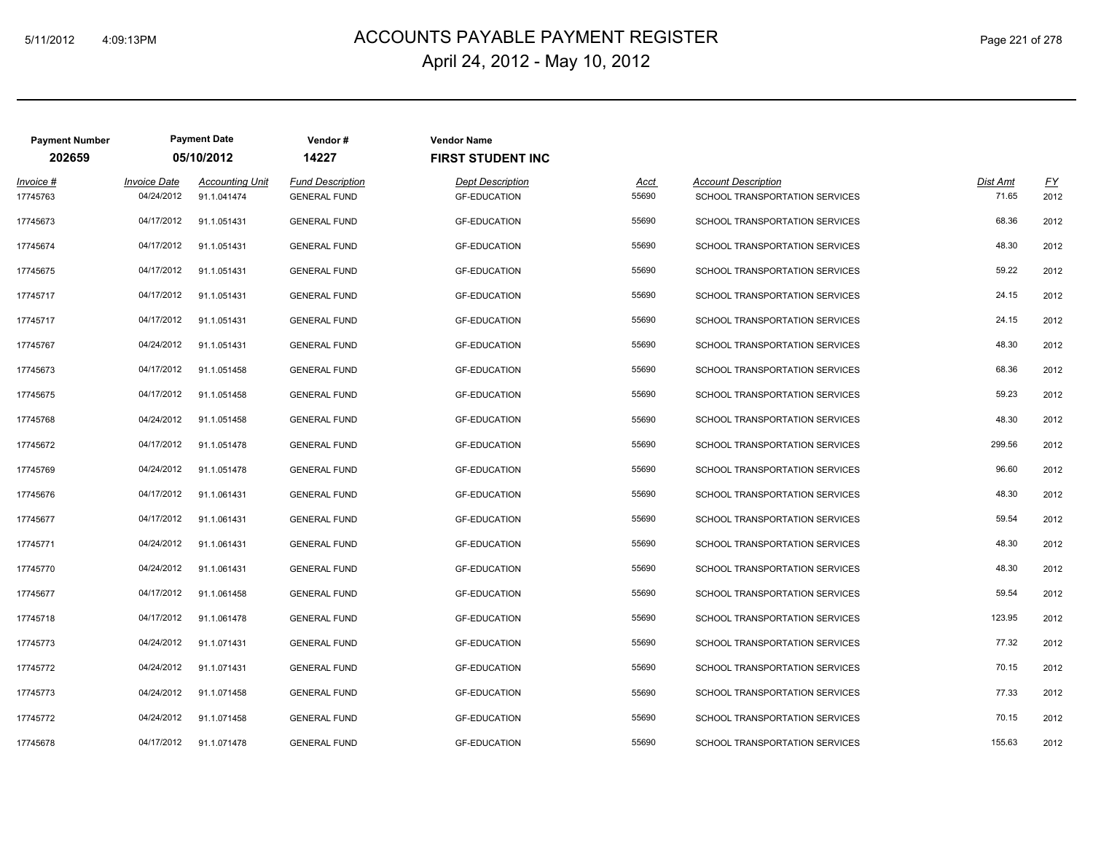**Payment Number Payment Date Vendor # Vendor Name**

#### 5/11/2012 4:09:13PM ACCOUNTS PAYABLE PAYMENT REGISTER Page 221 of 278 April 24, 2012 - May 10, 2012

|                            | 05/10/2012                             | 14227                                     | <b>FIRST STUDENT INC</b>                                          |                                                                   |                                       |                                                                                                    |                          |
|----------------------------|----------------------------------------|-------------------------------------------|-------------------------------------------------------------------|-------------------------------------------------------------------|---------------------------------------|----------------------------------------------------------------------------------------------------|--------------------------|
| <i><b>Invoice Date</b></i> | <b>Accounting Unit</b>                 | <b>Fund Description</b>                   | <b>Dept Description</b>                                           | <u>Acct</u>                                                       | <b>Account Description</b>            | Dist Amt                                                                                           | $\underline{FY}$<br>2012 |
|                            |                                        |                                           |                                                                   |                                                                   |                                       |                                                                                                    |                          |
|                            |                                        |                                           |                                                                   |                                                                   |                                       |                                                                                                    | 2012                     |
|                            |                                        |                                           |                                                                   |                                                                   |                                       |                                                                                                    | 2012                     |
| 04/17/2012                 | 91.1.051431                            | <b>GENERAL FUND</b>                       | <b>GF-EDUCATION</b>                                               | 55690                                                             | <b>SCHOOL TRANSPORTATION SERVICES</b> | 59.22                                                                                              | 2012                     |
| 04/17/2012                 | 91.1.051431                            | <b>GENERAL FUND</b>                       | <b>GF-EDUCATION</b>                                               | 55690                                                             | SCHOOL TRANSPORTATION SERVICES        | 24.15                                                                                              | 2012                     |
| 04/17/2012                 | 91.1.051431                            | <b>GENERAL FUND</b>                       | <b>GF-EDUCATION</b>                                               | 55690                                                             | SCHOOL TRANSPORTATION SERVICES        | 24.15                                                                                              | 2012                     |
| 04/24/2012                 | 91.1.051431                            | <b>GENERAL FUND</b>                       | <b>GF-EDUCATION</b>                                               | 55690                                                             | SCHOOL TRANSPORTATION SERVICES        | 48.30                                                                                              | 2012                     |
| 04/17/2012                 | 91.1.051458                            | <b>GENERAL FUND</b>                       | <b>GF-EDUCATION</b>                                               | 55690                                                             | SCHOOL TRANSPORTATION SERVICES        | 68.36                                                                                              | 2012                     |
| 04/17/2012                 | 91.1.051458                            | <b>GENERAL FUND</b>                       | <b>GF-EDUCATION</b>                                               | 55690                                                             | SCHOOL TRANSPORTATION SERVICES        | 59.23                                                                                              | 2012                     |
| 04/24/2012                 | 91.1.051458                            | <b>GENERAL FUND</b>                       | <b>GF-EDUCATION</b>                                               | 55690                                                             | <b>SCHOOL TRANSPORTATION SERVICES</b> | 48.30                                                                                              | 2012                     |
| 04/17/2012                 | 91.1.051478                            | <b>GENERAL FUND</b>                       | <b>GF-EDUCATION</b>                                               | 55690                                                             | SCHOOL TRANSPORTATION SERVICES        | 299.56                                                                                             | 2012                     |
| 04/24/2012                 | 91.1.051478                            | <b>GENERAL FUND</b>                       | <b>GF-EDUCATION</b>                                               | 55690                                                             | SCHOOL TRANSPORTATION SERVICES        | 96.60                                                                                              | 2012                     |
| 04/17/2012                 | 91.1.061431                            | <b>GENERAL FUND</b>                       | <b>GF-EDUCATION</b>                                               | 55690                                                             | SCHOOL TRANSPORTATION SERVICES        | 48.30                                                                                              | 2012                     |
| 04/17/2012                 | 91.1.061431                            | <b>GENERAL FUND</b>                       | <b>GF-EDUCATION</b>                                               | 55690                                                             | SCHOOL TRANSPORTATION SERVICES        | 59.54                                                                                              | 2012                     |
| 04/24/2012                 | 91.1.061431                            | <b>GENERAL FUND</b>                       | <b>GF-EDUCATION</b>                                               | 55690                                                             | <b>SCHOOL TRANSPORTATION SERVICES</b> | 48.30                                                                                              | 2012                     |
| 04/24/2012                 | 91.1.061431                            | <b>GENERAL FUND</b>                       | <b>GF-EDUCATION</b>                                               | 55690                                                             | SCHOOL TRANSPORTATION SERVICES        | 48.30                                                                                              | 2012                     |
| 04/17/2012                 | 91.1.061458                            | <b>GENERAL FUND</b>                       | <b>GF-EDUCATION</b>                                               | 55690                                                             | SCHOOL TRANSPORTATION SERVICES        | 59.54                                                                                              | 2012                     |
| 04/17/2012                 | 91.1.061478                            | <b>GENERAL FUND</b>                       | <b>GF-EDUCATION</b>                                               | 55690                                                             | SCHOOL TRANSPORTATION SERVICES        | 123.95                                                                                             | 2012                     |
| 04/24/2012                 | 91.1.071431                            | <b>GENERAL FUND</b>                       | <b>GF-EDUCATION</b>                                               | 55690                                                             | <b>SCHOOL TRANSPORTATION SERVICES</b> | 77.32                                                                                              | 2012                     |
| 04/24/2012                 | 91.1.071431                            | <b>GENERAL FUND</b>                       | <b>GF-EDUCATION</b>                                               | 55690                                                             | SCHOOL TRANSPORTATION SERVICES        | 70.15                                                                                              | 2012                     |
| 04/24/2012                 | 91.1.071458                            | <b>GENERAL FUND</b>                       | <b>GF-EDUCATION</b>                                               | 55690                                                             | <b>SCHOOL TRANSPORTATION SERVICES</b> | 77.33                                                                                              | 2012                     |
| 04/24/2012                 | 91.1.071458                            | <b>GENERAL FUND</b>                       | <b>GF-EDUCATION</b>                                               | 55690                                                             | SCHOOL TRANSPORTATION SERVICES        | 70.15                                                                                              | 2012                     |
| 04/17/2012                 | 91.1.071478                            | <b>GENERAL FUND</b>                       | <b>GF-EDUCATION</b>                                               | 55690                                                             | SCHOOL TRANSPORTATION SERVICES        | 155.63                                                                                             | 2012                     |
|                            | 04/24/2012<br>04/17/2012<br>04/17/2012 | 91.1.041474<br>91.1.051431<br>91.1.051431 | <b>GENERAL FUND</b><br><b>GENERAL FUND</b><br><b>GENERAL FUND</b> | <b>GF-EDUCATION</b><br><b>GF-EDUCATION</b><br><b>GF-EDUCATION</b> | 55690<br>55690<br>55690               | SCHOOL TRANSPORTATION SERVICES<br>SCHOOL TRANSPORTATION SERVICES<br>SCHOOL TRANSPORTATION SERVICES | 71.65<br>68.36<br>48.30  |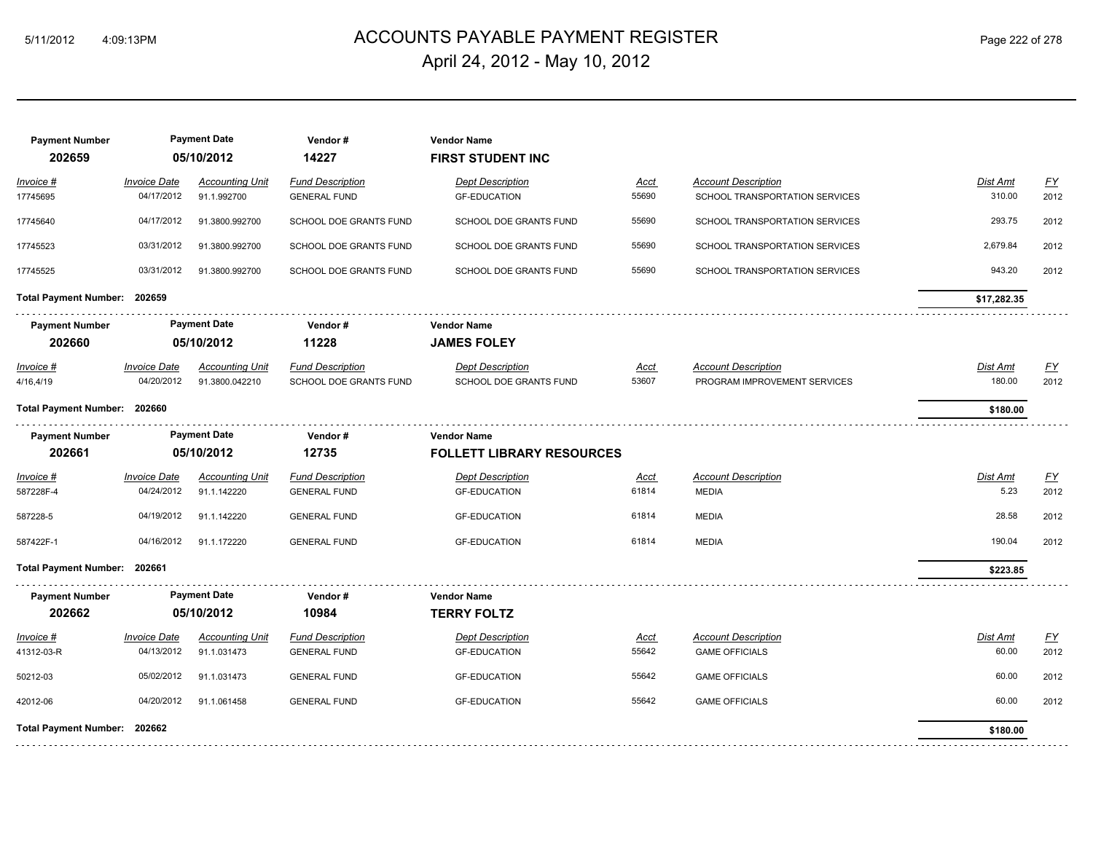## ACCOUNTS PAYABLE PAYMENT REGISTER 5/11/2012 4:09:13PM Page 222 of 278 April 24, 2012 - May 10, 2012

| <b>Payment Number</b><br>202659 |                                   | <b>Payment Date</b><br>05/10/2012     | Vendor#<br>14227                               | <b>Vendor Name</b><br><b>FIRST STUDENT INC</b> |                      |                                                              |                    |                                   |
|---------------------------------|-----------------------------------|---------------------------------------|------------------------------------------------|------------------------------------------------|----------------------|--------------------------------------------------------------|--------------------|-----------------------------------|
| <u> Invoice #</u><br>17745695   | <b>Invoice Date</b><br>04/17/2012 | <b>Accounting Unit</b><br>91.1.992700 | <b>Fund Description</b><br><b>GENERAL FUND</b> | <b>Dept Description</b><br><b>GF-EDUCATION</b> | Acct<br>55690        | <b>Account Description</b><br>SCHOOL TRANSPORTATION SERVICES | Dist Amt<br>310.00 | $\underline{\mathsf{FY}}$<br>2012 |
| 17745640                        | 04/17/2012                        | 91.3800.992700                        | SCHOOL DOE GRANTS FUND                         | SCHOOL DOE GRANTS FUND                         | 55690                | SCHOOL TRANSPORTATION SERVICES                               | 293.75             | 2012                              |
| 17745523                        | 03/31/2012                        | 91.3800.992700                        | SCHOOL DOE GRANTS FUND                         | SCHOOL DOE GRANTS FUND                         | 55690                | SCHOOL TRANSPORTATION SERVICES                               | 2,679.84           | 2012                              |
| 17745525                        | 03/31/2012                        | 91.3800.992700                        | SCHOOL DOE GRANTS FUND                         | SCHOOL DOE GRANTS FUND                         | 55690                | SCHOOL TRANSPORTATION SERVICES                               | 943.20             | 2012                              |
| Total Payment Number: 202659    |                                   |                                       |                                                |                                                |                      |                                                              | \$17,282.35        |                                   |
| <b>Payment Number</b>           |                                   | <b>Payment Date</b>                   | Vendor#                                        | <b>Vendor Name</b>                             |                      |                                                              |                    |                                   |
| 202660                          |                                   | 05/10/2012                            | 11228                                          | <b>JAMES FOLEY</b>                             |                      |                                                              |                    |                                   |
| <u> Invoice #</u>               | <b>Invoice Date</b>               | <b>Accounting Unit</b>                | <b>Fund Description</b>                        | <b>Dept Description</b>                        | <u>Acct</u>          | <b>Account Description</b>                                   | <b>Dist Amt</b>    | $\underline{\mathsf{FY}}$         |
| 4/16,4/19                       | 04/20/2012                        | 91.3800.042210                        | SCHOOL DOE GRANTS FUND                         | SCHOOL DOE GRANTS FUND                         | 53607                | PROGRAM IMPROVEMENT SERVICES                                 | 180.00             | 2012                              |
| Total Payment Number: 202660    |                                   |                                       |                                                |                                                |                      |                                                              | \$180.00           |                                   |
| <b>Payment Number</b>           |                                   | <b>Payment Date</b>                   | Vendor#                                        | <b>Vendor Name</b>                             |                      |                                                              |                    |                                   |
| 202661                          |                                   | 05/10/2012                            | 12735                                          | <b>FOLLETT LIBRARY RESOURCES</b>               |                      |                                                              |                    |                                   |
| Invoice #<br>587228F-4          | <b>Invoice Date</b><br>04/24/2012 | <b>Accounting Unit</b><br>91.1.142220 | <b>Fund Description</b><br><b>GENERAL FUND</b> | <b>Dept Description</b><br><b>GF-EDUCATION</b> | Acct<br>61814        | <b>Account Description</b><br><b>MEDIA</b>                   | Dist Amt<br>5.23   | $\underline{FY}$<br>2012          |
| 587228-5                        | 04/19/2012                        | 91.1.142220                           | <b>GENERAL FUND</b>                            | <b>GF-EDUCATION</b>                            | 61814                | <b>MEDIA</b>                                                 | 28.58              | 2012                              |
| 587422F-1                       | 04/16/2012                        | 91.1.172220                           | <b>GENERAL FUND</b>                            | <b>GF-EDUCATION</b>                            | 61814                | MEDIA                                                        | 190.04             | 2012                              |
| Total Payment Number: 202661    |                                   |                                       |                                                |                                                |                      |                                                              | \$223.85           |                                   |
| <b>Payment Number</b>           |                                   | <b>Payment Date</b>                   | Vendor#                                        | <b>Vendor Name</b>                             |                      |                                                              |                    |                                   |
| 202662                          |                                   | 05/10/2012                            | 10984                                          | <b>TERRY FOLTZ</b>                             |                      |                                                              |                    |                                   |
| <u> Invoice #</u><br>41312-03-R | <b>Invoice Date</b><br>04/13/2012 | <b>Accounting Unit</b><br>91.1.031473 | <b>Fund Description</b><br><b>GENERAL FUND</b> | <b>Dept Description</b><br><b>GF-EDUCATION</b> | <u>Acct</u><br>55642 | <b>Account Description</b><br><b>GAME OFFICIALS</b>          | Dist Amt<br>60.00  | $\underline{FY}$<br>2012          |
| 50212-03                        | 05/02/2012                        | 91.1.031473                           | <b>GENERAL FUND</b>                            | <b>GF-EDUCATION</b>                            | 55642                | <b>GAME OFFICIALS</b>                                        | 60.00              | 2012                              |
| 42012-06                        | 04/20/2012                        | 91.1.061458                           | <b>GENERAL FUND</b>                            | <b>GF-EDUCATION</b>                            | 55642                | <b>GAME OFFICIALS</b>                                        | 60.00              | 2012                              |
| Total Payment Number: 202662    |                                   |                                       |                                                |                                                |                      |                                                              | \$180.00           |                                   |
|                                 |                                   |                                       |                                                |                                                |                      |                                                              |                    |                                   |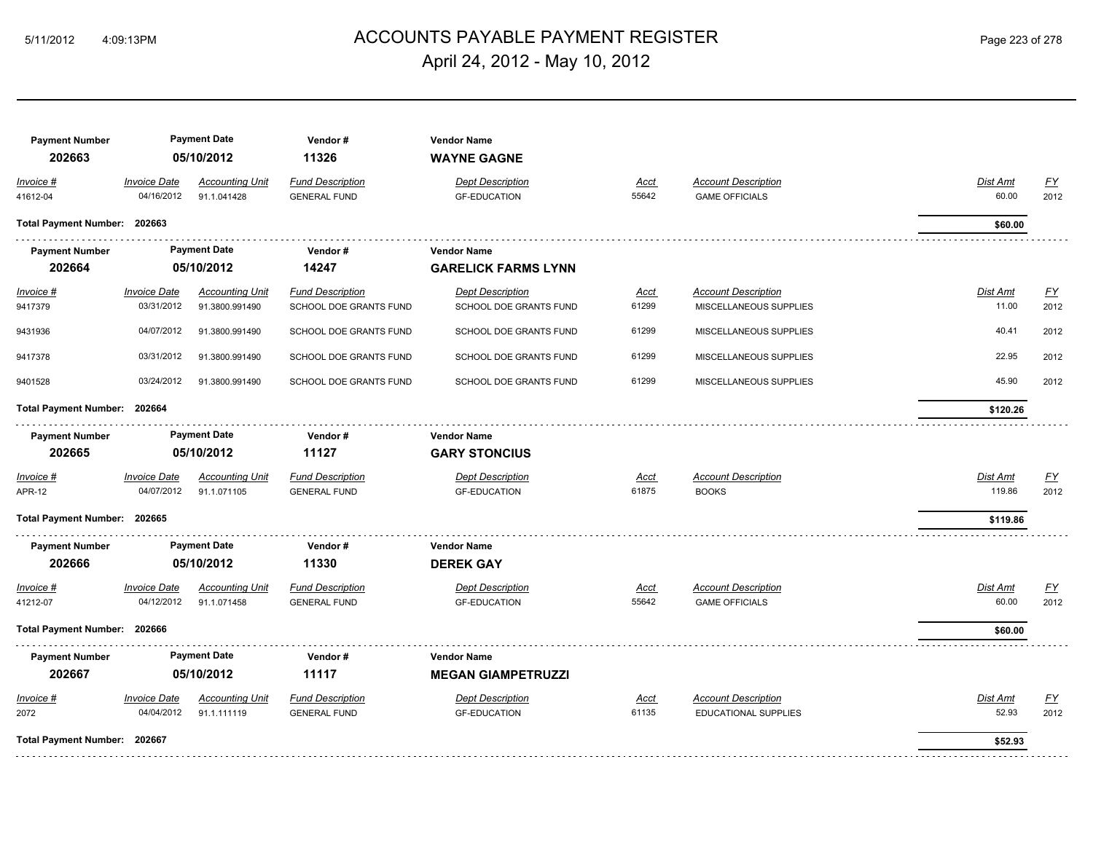## ACCOUNTS PAYABLE PAYMENT REGISTER 5/11/2012 4:09:13PM Page 223 of 278 April 24, 2012 - May 10, 2012

| <b>Payment Number</b><br>202663 | <b>Payment Date</b><br>05/10/2012 |                                          | Vendor#<br>11326                                  | <b>Vendor Name</b><br><b>WAYNE GAGNE</b>          |                      |                                                           |                          |                   |
|---------------------------------|-----------------------------------|------------------------------------------|---------------------------------------------------|---------------------------------------------------|----------------------|-----------------------------------------------------------|--------------------------|-------------------|
| Invoice #<br>41612-04           | <b>Invoice Date</b><br>04/16/2012 | <b>Accounting Unit</b><br>91.1.041428    | <b>Fund Description</b><br><b>GENERAL FUND</b>    | <b>Dept Description</b><br><b>GF-EDUCATION</b>    | Acct<br>55642        | <b>Account Description</b><br><b>GAME OFFICIALS</b>       | Dist Amt<br>60.00        | <u>FY</u><br>2012 |
| Total Payment Number: 202663    |                                   |                                          |                                                   |                                                   |                      |                                                           | \$60.00                  |                   |
| <b>Payment Number</b>           |                                   | <b>Payment Date</b>                      | Vendor#                                           | <b>Vendor Name</b>                                |                      |                                                           |                          |                   |
| 202664                          |                                   | 05/10/2012                               | 14247                                             | <b>GARELICK FARMS LYNN</b>                        |                      |                                                           |                          |                   |
| $Invoice$ #<br>9417379          | <b>Invoice Date</b><br>03/31/2012 | <b>Accounting Unit</b><br>91.3800.991490 | <b>Fund Description</b><br>SCHOOL DOE GRANTS FUND | <b>Dept Description</b><br>SCHOOL DOE GRANTS FUND | <u>Acct</u><br>61299 | <b>Account Description</b><br>MISCELLANEOUS SUPPLIES      | Dist Amt<br>11.00        | <u>FY</u><br>2012 |
| 9431936                         | 04/07/2012                        | 91.3800.991490                           | SCHOOL DOE GRANTS FUND                            | SCHOOL DOE GRANTS FUND                            | 61299                | MISCELLANEOUS SUPPLIES                                    | 40.41                    | 2012              |
| 9417378                         | 03/31/2012                        | 91.3800.991490                           | SCHOOL DOE GRANTS FUND                            | SCHOOL DOE GRANTS FUND                            | 61299                | MISCELLANEOUS SUPPLIES                                    | 22.95                    | 2012              |
| 9401528                         | 03/24/2012                        | 91.3800.991490                           | <b>SCHOOL DOE GRANTS FUND</b>                     | <b>SCHOOL DOE GRANTS FUND</b>                     | 61299                | MISCELLANEOUS SUPPLIES                                    | 45.90                    | 2012              |
| Total Payment Number: 202664    |                                   |                                          |                                                   |                                                   |                      |                                                           | \$120.26                 |                   |
| <b>Payment Number</b>           |                                   | <b>Payment Date</b>                      | Vendor#                                           | <b>Vendor Name</b>                                |                      |                                                           |                          |                   |
| 202665                          |                                   | 05/10/2012                               | 11127                                             | <b>GARY STONCIUS</b>                              |                      |                                                           |                          |                   |
| Invoice #<br>APR-12             | <b>Invoice Date</b><br>04/07/2012 | <b>Accounting Unit</b><br>91.1.071105    | <b>Fund Description</b><br><b>GENERAL FUND</b>    | <b>Dept Description</b><br><b>GF-EDUCATION</b>    | <u>Acct</u><br>61875 | <b>Account Description</b><br><b>BOOKS</b>                | Dist Amt<br>119.86       | EY<br>2012        |
| Total Payment Number: 202665    |                                   |                                          |                                                   |                                                   |                      |                                                           | \$119.86                 |                   |
| <b>Payment Number</b>           |                                   | <b>Payment Date</b>                      | Vendor#                                           | <b>Vendor Name</b>                                |                      |                                                           |                          |                   |
| 202666                          |                                   | 05/10/2012                               | 11330                                             | <b>DEREK GAY</b>                                  |                      |                                                           |                          |                   |
| Invoice #<br>41212-07           | <b>Invoice Date</b><br>04/12/2012 | <b>Accounting Unit</b><br>91.1.071458    | <b>Fund Description</b><br><b>GENERAL FUND</b>    | <b>Dept Description</b><br><b>GF-EDUCATION</b>    | <u>Acct</u><br>55642 | <b>Account Description</b><br><b>GAME OFFICIALS</b>       | <b>Dist Amt</b><br>60.00 | EY<br>2012        |
| Total Payment Number: 202666    |                                   |                                          |                                                   |                                                   |                      |                                                           | \$60.00                  |                   |
| <b>Payment Number</b>           |                                   | <b>Payment Date</b>                      | Vendor#                                           | <b>Vendor Name</b>                                |                      |                                                           |                          |                   |
| 202667                          |                                   | 05/10/2012                               | 11117                                             | <b>MEGAN GIAMPETRUZZI</b>                         |                      |                                                           |                          |                   |
| Invoice #<br>2072               | <b>Invoice Date</b><br>04/04/2012 | <b>Accounting Unit</b><br>91.1.111119    | <b>Fund Description</b><br><b>GENERAL FUND</b>    | <b>Dept Description</b><br><b>GF-EDUCATION</b>    | Acct<br>61135        | <b>Account Description</b><br><b>EDUCATIONAL SUPPLIES</b> | Dist Amt<br>52.93        | <u>FY</u><br>2012 |
| Total Payment Number: 202667    |                                   |                                          |                                                   |                                                   |                      |                                                           | \$52.93                  |                   |
|                                 |                                   |                                          |                                                   |                                                   |                      |                                                           |                          |                   |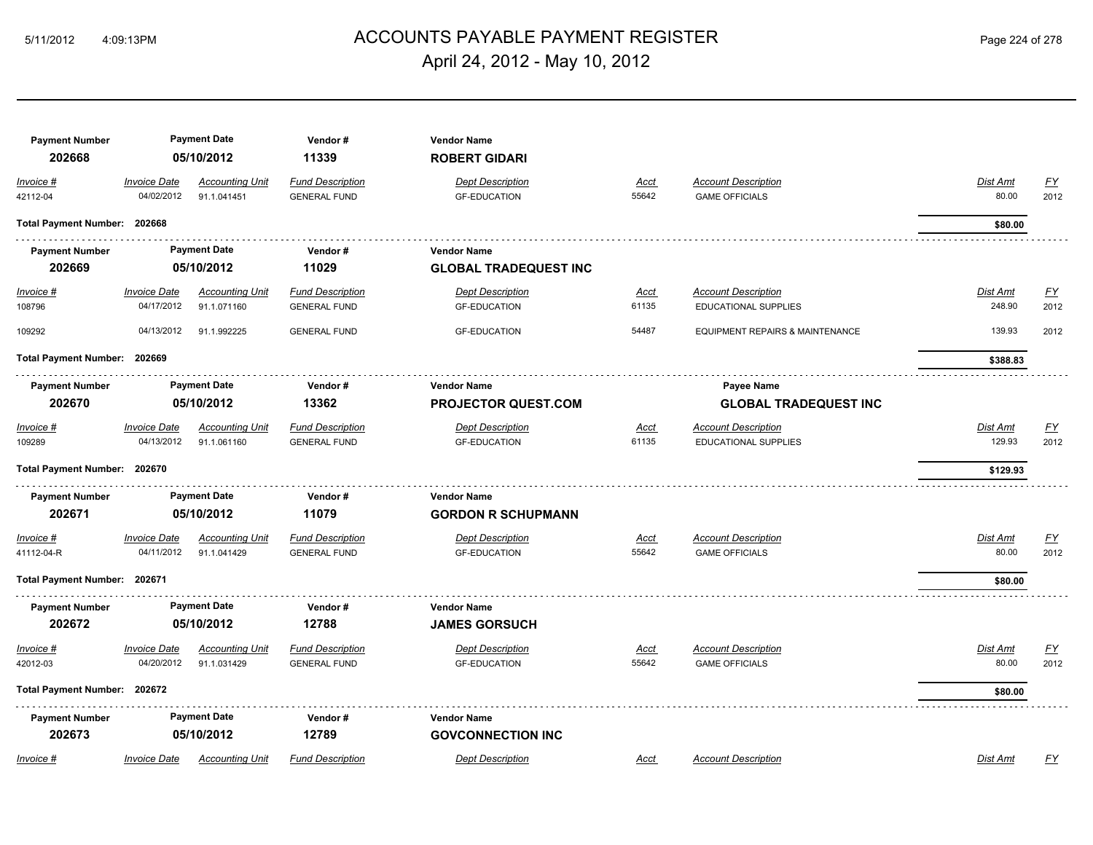#### ACCOUNTS PAYABLE PAYMENT REGISTER 5/11/2012 4:09:13PM Page 224 of 278 April 24, 2012 - May 10, 2012

| <b>Payment Number</b><br>202668 | <b>Payment Date</b><br>05/10/2012 |                                                       | Vendor#<br>11339                               | <b>Vendor Name</b><br><b>ROBERT GIDARI</b>      |                      |                                                           |                           |                   |
|---------------------------------|-----------------------------------|-------------------------------------------------------|------------------------------------------------|-------------------------------------------------|----------------------|-----------------------------------------------------------|---------------------------|-------------------|
| Invoice #<br>42112-04           | <b>Invoice Date</b><br>04/02/2012 | <b>Accounting Unit</b><br>91.1.041451                 | <b>Fund Description</b><br><b>GENERAL FUND</b> | <b>Dept Description</b><br><b>GF-EDUCATION</b>  | Acct<br>55642        | <b>Account Description</b><br><b>GAME OFFICIALS</b>       | Dist Amt<br>80.00         | <u>FY</u><br>2012 |
| Total Payment Number: 202668    |                                   |                                                       |                                                |                                                 |                      |                                                           | \$80.00                   |                   |
| <b>Payment Number</b>           |                                   | <b>Payment Date</b>                                   | Vendor#                                        | <b>Vendor Name</b>                              |                      |                                                           |                           |                   |
| 202669                          |                                   | 05/10/2012                                            | 11029                                          | <b>GLOBAL TRADEQUEST INC</b>                    |                      |                                                           |                           |                   |
| <b>Invoice #</b><br>108796      | <b>Invoice Date</b><br>04/17/2012 | <b>Accounting Unit</b><br>91.1.071160                 | <b>Fund Description</b><br><b>GENERAL FUND</b> | <b>Dept Description</b><br><b>GF-EDUCATION</b>  | <u>Acct</u><br>61135 | <b>Account Description</b><br>EDUCATIONAL SUPPLIES        | <b>Dist Amt</b><br>248.90 | <u>FY</u><br>2012 |
| 109292                          | 04/13/2012                        | 91.1.992225                                           | <b>GENERAL FUND</b>                            | <b>GF-EDUCATION</b>                             | 54487                | EQUIPMENT REPAIRS & MAINTENANCE                           | 139.93                    | 2012              |
| Total Payment Number: 202669    |                                   |                                                       |                                                |                                                 |                      |                                                           | \$388.83                  |                   |
| <b>Payment Number</b>           | <b>Payment Date</b>               |                                                       | Vendor#                                        | <b>Vendor Name</b>                              |                      | Payee Name                                                |                           |                   |
| 202670                          |                                   | 05/10/2012                                            | 13362                                          | <b>PROJECTOR QUEST.COM</b>                      |                      | <b>GLOBAL TRADEQUEST INC</b>                              |                           |                   |
| Invoice #<br>109289             | Invoice Date<br>04/13/2012        | <b>Accounting Unit</b><br>91.1.061160                 | <b>Fund Description</b><br><b>GENERAL FUND</b> | <b>Dept Description</b><br><b>GF-EDUCATION</b>  | <u>Acct</u><br>61135 | <b>Account Description</b><br><b>EDUCATIONAL SUPPLIES</b> | Dist Amt<br>129.93        | <u>FY</u><br>2012 |
| Total Payment Number: 202670    |                                   |                                                       |                                                |                                                 |                      |                                                           | \$129.93                  |                   |
| <b>Payment Number</b><br>202671 |                                   | <b>Payment Date</b><br>Vendor#<br>05/10/2012<br>11079 |                                                | <b>Vendor Name</b><br><b>GORDON R SCHUPMANN</b> |                      |                                                           |                           |                   |
| Invoice #<br>41112-04-R         | <b>Invoice Date</b><br>04/11/2012 | <b>Accounting Unit</b><br>91.1.041429                 | <b>Fund Description</b><br><b>GENERAL FUND</b> | <b>Dept Description</b><br><b>GF-EDUCATION</b>  | Acct<br>55642        | <b>Account Description</b><br><b>GAME OFFICIALS</b>       | Dist Amt<br>80.00         | <u>FY</u><br>2012 |
| Total Payment Number: 202671    |                                   |                                                       |                                                |                                                 |                      |                                                           | \$80.00                   |                   |
| <b>Payment Number</b><br>202672 |                                   | <b>Payment Date</b><br>05/10/2012                     | Vendor#<br>12788                               | <b>Vendor Name</b><br><b>JAMES GORSUCH</b>      |                      |                                                           |                           |                   |
| Invoice #<br>42012-03           | <b>Invoice Date</b><br>04/20/2012 | <b>Accounting Unit</b><br>91.1.031429                 | <b>Fund Description</b><br><b>GENERAL FUND</b> | <b>Dept Description</b><br><b>GF-EDUCATION</b>  | <u>Acct</u><br>55642 | <b>Account Description</b><br><b>GAME OFFICIALS</b>       | Dist Amt<br>80.00         | <u>FY</u><br>2012 |
| Total Payment Number: 202672    |                                   |                                                       |                                                |                                                 |                      |                                                           | \$80.00                   |                   |
| <b>Payment Number</b><br>202673 |                                   | <b>Payment Date</b><br>05/10/2012                     | Vendor#<br>12789                               | <b>Vendor Name</b><br><b>GOVCONNECTION INC</b>  |                      |                                                           |                           |                   |
| Invoice #                       | <b>Invoice Date</b>               | <b>Accounting Unit</b>                                | <b>Fund Description</b>                        | <b>Dept Description</b>                         | Acct                 | <b>Account Description</b>                                | <b>Dist Amt</b>           | FΥ                |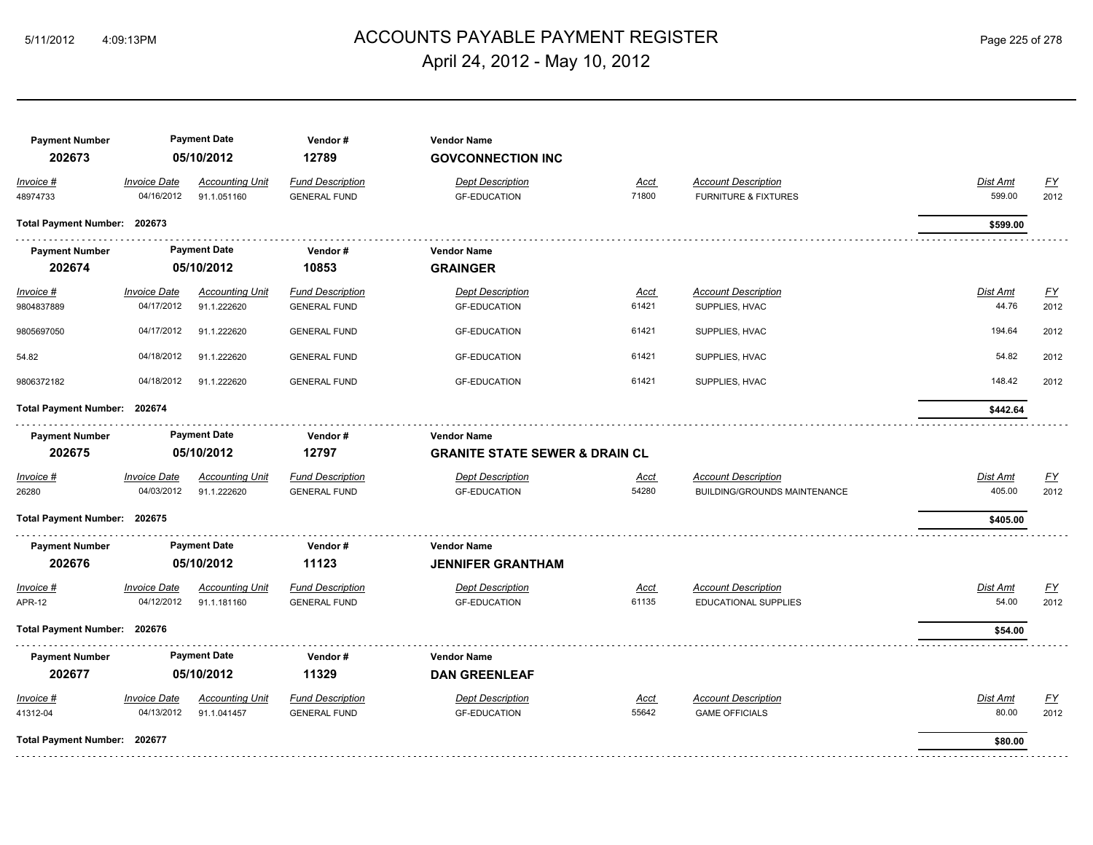## ACCOUNTS PAYABLE PAYMENT REGISTER 5/11/2012 4:09:13PM Page 225 of 278 April 24, 2012 - May 10, 2012

| <b>Payment Number</b><br>202673<br>Invoice #<br>48974733 | <b>Invoice Date</b><br>04/16/2012 | <b>Payment Date</b><br>05/10/2012<br><b>Accounting Unit</b><br>91.1.051160 | Vendor#<br>12789<br><b>Fund Description</b><br><b>GENERAL FUND</b> | <b>Vendor Name</b><br><b>GOVCONNECTION INC</b><br><b>Dept Description</b><br><b>GF-EDUCATION</b> | Acct<br>71800 | <b>Account Description</b><br><b>FURNITURE &amp; FIXTURES</b> | <b>Dist Amt</b><br>599.00 | $\underline{FY}$<br>2012 |
|----------------------------------------------------------|-----------------------------------|----------------------------------------------------------------------------|--------------------------------------------------------------------|--------------------------------------------------------------------------------------------------|---------------|---------------------------------------------------------------|---------------------------|--------------------------|
| Total Payment Number: 202673                             |                                   |                                                                            |                                                                    |                                                                                                  |               |                                                               | \$599.00                  |                          |
| <b>Payment Number</b><br>202674                          |                                   | <b>Payment Date</b><br>05/10/2012                                          | Vendor#<br>10853                                                   | <b>Vendor Name</b><br><b>GRAINGER</b>                                                            |               |                                                               |                           |                          |
| $Invoice$ #<br>9804837889                                | <b>Invoice Date</b><br>04/17/2012 | <b>Accounting Unit</b><br>91.1.222620                                      | <b>Fund Description</b><br><b>GENERAL FUND</b>                     | <b>Dept Description</b><br><b>GF-EDUCATION</b>                                                   | Acct<br>61421 | <b>Account Description</b><br>SUPPLIES, HVAC                  | Dist Amt<br>44.76         | <u>FY</u><br>2012        |
| 9805697050                                               | 04/17/2012                        | 91.1.222620                                                                | <b>GENERAL FUND</b>                                                | <b>GF-EDUCATION</b>                                                                              | 61421         | SUPPLIES, HVAC                                                | 194.64                    | 2012                     |
| 54.82                                                    | 04/18/2012                        | 91.1.222620                                                                | <b>GENERAL FUND</b>                                                | <b>GF-EDUCATION</b>                                                                              | 61421         | SUPPLIES, HVAC                                                | 54.82                     | 2012                     |
| 9806372182                                               | 04/18/2012                        | 91.1.222620                                                                | <b>GENERAL FUND</b>                                                | <b>GF-EDUCATION</b>                                                                              | 61421         | SUPPLIES, HVAC                                                | 148.42                    | 2012                     |
| Total Payment Number: 202674                             |                                   |                                                                            |                                                                    |                                                                                                  |               |                                                               | \$442.64                  |                          |
| <b>Payment Number</b>                                    |                                   | <b>Payment Date</b>                                                        | Vendor#                                                            | <b>Vendor Name</b>                                                                               |               |                                                               |                           |                          |
| 202675                                                   |                                   | 05/10/2012                                                                 | 12797                                                              | <b>GRANITE STATE SEWER &amp; DRAIN CL</b>                                                        |               |                                                               |                           |                          |
| Invoice #<br>26280                                       | <b>Invoice Date</b><br>04/03/2012 | <b>Accounting Unit</b><br>91.1.222620                                      | <b>Fund Description</b><br><b>GENERAL FUND</b>                     | <b>Dept Description</b><br><b>GF-EDUCATION</b>                                                   | Acct<br>54280 | <b>Account Description</b><br>BUILDING/GROUNDS MAINTENANCE    | Dist Amt<br>405.00        | EY<br>2012               |
| Total Payment Number: 202675                             |                                   |                                                                            |                                                                    |                                                                                                  |               |                                                               | \$405.00                  |                          |
| <b>Payment Number</b><br>202676                          |                                   | <b>Payment Date</b><br>05/10/2012                                          | Vendor#<br>11123                                                   | <b>Vendor Name</b><br><b>JENNIFER GRANTHAM</b>                                                   |               |                                                               |                           |                          |
| Invoice #<br><b>APR-12</b>                               | <b>Invoice Date</b><br>04/12/2012 | <b>Accounting Unit</b><br>91.1.181160                                      | <b>Fund Description</b><br><b>GENERAL FUND</b>                     | <b>Dept Description</b><br><b>GF-EDUCATION</b>                                                   | Acct<br>61135 | <b>Account Description</b><br><b>EDUCATIONAL SUPPLIES</b>     | <b>Dist Amt</b><br>54.00  | EY<br>2012               |
| Total Payment Number: 202676                             |                                   |                                                                            |                                                                    |                                                                                                  |               |                                                               | \$54.00                   |                          |
| <b>Payment Number</b><br>202677                          |                                   | <b>Payment Date</b><br>05/10/2012                                          | Vendor#<br>11329                                                   | <b>Vendor Name</b><br><b>DAN GREENLEAF</b>                                                       |               |                                                               |                           |                          |
| Invoice #<br>41312-04                                    | <b>Invoice Date</b><br>04/13/2012 | <b>Accounting Unit</b><br>91.1.041457                                      | <b>Fund Description</b><br><b>GENERAL FUND</b>                     | <b>Dept Description</b><br><b>GF-EDUCATION</b>                                                   | Acct<br>55642 | <b>Account Description</b><br><b>GAME OFFICIALS</b>           | Dist Amt<br>80.00         | EY<br>2012               |
| Total Payment Number: 202677                             |                                   |                                                                            |                                                                    |                                                                                                  |               |                                                               | \$80.00                   |                          |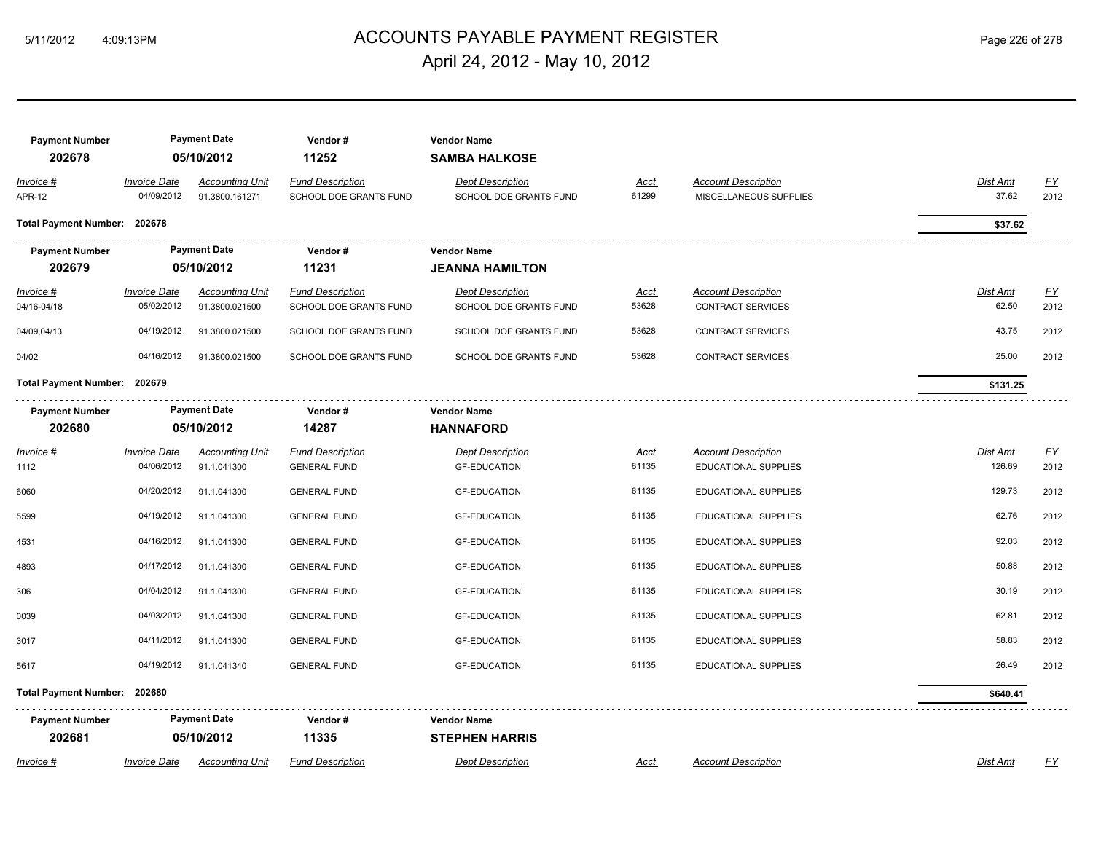## ACCOUNTS PAYABLE PAYMENT REGISTER 5/11/2012 4:09:13PM Page 226 of 278 April 24, 2012 - May 10, 2012

| <b>Payment Number</b><br>202678 |                                   | <b>Payment Date</b><br>05/10/2012        | Vendor#<br>11252                                  | <b>Vendor Name</b><br><b>SAMBA HALKOSE</b>        |                      |                                                           |                                         |  |
|---------------------------------|-----------------------------------|------------------------------------------|---------------------------------------------------|---------------------------------------------------|----------------------|-----------------------------------------------------------|-----------------------------------------|--|
| Invoice #<br><b>APR-12</b>      | <b>Invoice Date</b><br>04/09/2012 | <b>Accounting Unit</b><br>91.3800.161271 | <b>Fund Description</b><br>SCHOOL DOE GRANTS FUND | <b>Dept Description</b><br>SCHOOL DOE GRANTS FUND | <b>Acct</b><br>61299 | <b>Account Description</b><br>MISCELLANEOUS SUPPLIES      | Dist Amt<br><u>FY</u><br>37.62<br>2012  |  |
| Total Payment Number: 202678    |                                   |                                          |                                                   |                                                   |                      |                                                           | \$37.62                                 |  |
| <b>Payment Number</b><br>202679 |                                   | <b>Payment Date</b><br>05/10/2012        | Vendor#<br>11231                                  | <b>Vendor Name</b><br><b>JEANNA HAMILTON</b>      |                      |                                                           |                                         |  |
| Invoice #<br>04/16-04/18        | <b>Invoice Date</b><br>05/02/2012 | <b>Accounting Unit</b><br>91.3800.021500 | <b>Fund Description</b><br>SCHOOL DOE GRANTS FUND | <b>Dept Description</b><br>SCHOOL DOE GRANTS FUND | <b>Acct</b><br>53628 | <b>Account Description</b><br><b>CONTRACT SERVICES</b>    | EY<br><b>Dist Amt</b><br>62.50<br>2012  |  |
| 04/09,04/13                     | 04/19/2012                        | 91.3800.021500                           | SCHOOL DOE GRANTS FUND                            | SCHOOL DOE GRANTS FUND                            | 53628                | <b>CONTRACT SERVICES</b>                                  | 43.75<br>2012                           |  |
| 04/02                           | 04/16/2012                        | 91.3800.021500                           | SCHOOL DOE GRANTS FUND                            | SCHOOL DOE GRANTS FUND                            | 53628                | <b>CONTRACT SERVICES</b>                                  | 25.00<br>2012                           |  |
| Total Payment Number: 202679    |                                   |                                          |                                                   |                                                   |                      |                                                           | \$131.25                                |  |
| <b>Payment Number</b><br>202680 |                                   | <b>Payment Date</b><br>05/10/2012        | Vendor#<br>14287                                  | <b>Vendor Name</b><br><b>HANNAFORD</b>            |                      |                                                           |                                         |  |
| Invoice #<br>1112               | <b>Invoice Date</b><br>04/06/2012 | <b>Accounting Unit</b><br>91.1.041300    | <b>Fund Description</b><br><b>GENERAL FUND</b>    | <b>Dept Description</b><br><b>GF-EDUCATION</b>    | <u>Acct</u><br>61135 | <b>Account Description</b><br><b>EDUCATIONAL SUPPLIES</b> | <u>FY</u><br>Dist Amt<br>126.69<br>2012 |  |
| 6060                            | 04/20/2012                        | 91.1.041300                              | <b>GENERAL FUND</b>                               | <b>GF-EDUCATION</b>                               | 61135                | EDUCATIONAL SUPPLIES                                      | 129.73<br>2012                          |  |
| 5599                            | 04/19/2012                        | 91.1.041300                              | <b>GENERAL FUND</b>                               | <b>GF-EDUCATION</b>                               | 61135                | EDUCATIONAL SUPPLIES                                      | 62.76<br>2012                           |  |
| 4531                            | 04/16/2012                        | 91.1.041300                              | <b>GENERAL FUND</b>                               | <b>GF-EDUCATION</b>                               | 61135                | EDUCATIONAL SUPPLIES                                      | 92.03<br>2012                           |  |
| 4893                            | 04/17/2012                        | 91.1.041300                              | <b>GENERAL FUND</b>                               | <b>GF-EDUCATION</b>                               | 61135                | EDUCATIONAL SUPPLIES                                      | 50.88<br>2012                           |  |
| 306                             | 04/04/2012                        | 91.1.041300                              | <b>GENERAL FUND</b>                               | <b>GF-EDUCATION</b>                               | 61135                | EDUCATIONAL SUPPLIES                                      | 30.19<br>2012                           |  |
| 0039                            | 04/03/2012                        | 91.1.041300                              | <b>GENERAL FUND</b>                               | <b>GF-EDUCATION</b>                               | 61135                | EDUCATIONAL SUPPLIES                                      | 62.81<br>2012                           |  |
| 3017                            | 04/11/2012                        | 91.1.041300                              | <b>GENERAL FUND</b>                               | <b>GF-EDUCATION</b>                               | 61135                | EDUCATIONAL SUPPLIES                                      | 58.83<br>2012                           |  |
| 5617                            | 04/19/2012                        | 91.1.041340                              | <b>GENERAL FUND</b>                               | <b>GF-EDUCATION</b>                               | 61135                | EDUCATIONAL SUPPLIES                                      | 26.49<br>2012                           |  |
| Total Payment Number: 202680    |                                   |                                          |                                                   |                                                   |                      |                                                           | \$640.41                                |  |
| <b>Payment Number</b><br>202681 |                                   | <b>Payment Date</b><br>05/10/2012        | Vendor#<br>11335                                  | <b>Vendor Name</b><br><b>STEPHEN HARRIS</b>       |                      |                                                           |                                         |  |
| Invoice #                       | <b>Invoice Date</b>               | <b>Accounting Unit</b>                   | <b>Fund Description</b>                           | <b>Dept Description</b>                           | Acct                 | <b>Account Description</b>                                | <u>FY</u><br>Dist Amt                   |  |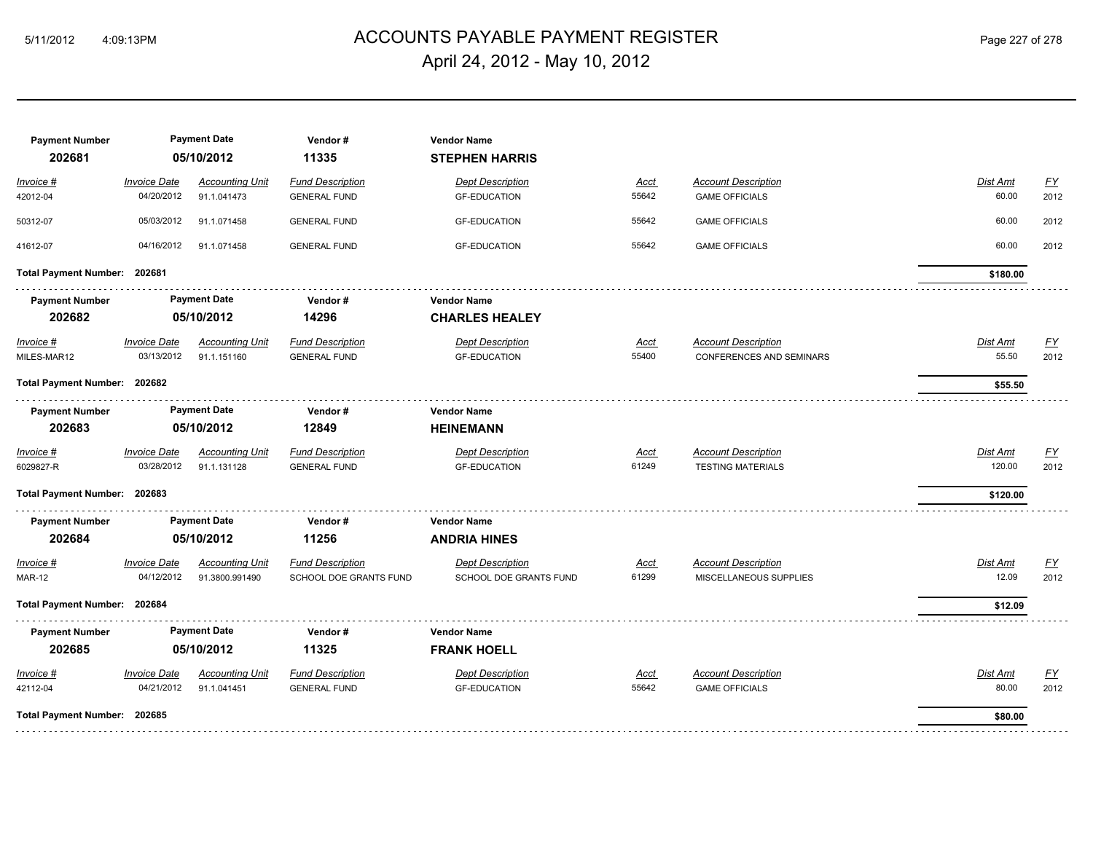## ACCOUNTS PAYABLE PAYMENT REGISTER 5/11/2012 4:09:13PM Page 227 of 278 April 24, 2012 - May 10, 2012

| <b>Payment Number</b><br>202681 |                                   | <b>Payment Date</b><br>05/10/2012        | Vendor#<br>11335                                  | <b>Vendor Name</b><br><b>STEPHEN HARRIS</b>       |                      |                                                        |                          |                          |
|---------------------------------|-----------------------------------|------------------------------------------|---------------------------------------------------|---------------------------------------------------|----------------------|--------------------------------------------------------|--------------------------|--------------------------|
| Invoice #<br>42012-04           | <b>Invoice Date</b><br>04/20/2012 | <b>Accounting Unit</b><br>91.1.041473    | <b>Fund Description</b><br><b>GENERAL FUND</b>    | <b>Dept Description</b><br><b>GF-EDUCATION</b>    | Acct<br>55642        | <b>Account Description</b><br><b>GAME OFFICIALS</b>    | <b>Dist Amt</b><br>60.00 | $\underline{FY}$<br>2012 |
| 50312-07                        | 05/03/2012                        | 91.1.071458                              | <b>GENERAL FUND</b>                               | <b>GF-EDUCATION</b>                               | 55642                | <b>GAME OFFICIALS</b>                                  | 60.00                    | 2012                     |
| 41612-07                        | 04/16/2012                        | 91.1.071458                              | <b>GENERAL FUND</b>                               | <b>GF-EDUCATION</b>                               | 55642                | <b>GAME OFFICIALS</b>                                  | 60.00                    | 2012                     |
| Total Payment Number: 202681    |                                   |                                          |                                                   |                                                   |                      |                                                        | \$180.00                 |                          |
| <b>Payment Number</b>           |                                   | <b>Payment Date</b>                      | Vendor#                                           | <b>Vendor Name</b>                                |                      |                                                        |                          |                          |
| 202682                          |                                   | 05/10/2012                               | 14296                                             | <b>CHARLES HEALEY</b>                             |                      |                                                        |                          |                          |
| $Invoice$ #<br>MILES-MAR12      | <b>Invoice Date</b><br>03/13/2012 | <b>Accounting Unit</b><br>91.1.151160    | <b>Fund Description</b><br><b>GENERAL FUND</b>    | <b>Dept Description</b><br><b>GF-EDUCATION</b>    | <u>Acct</u><br>55400 | <b>Account Description</b><br>CONFERENCES AND SEMINARS | <b>Dist Amt</b><br>55.50 | EY<br>2012               |
| Total Payment Number: 202682    |                                   |                                          |                                                   |                                                   |                      |                                                        | \$55.50                  |                          |
| <b>Payment Number</b><br>202683 |                                   | <b>Payment Date</b><br>05/10/2012        | Vendor#<br>12849                                  | <b>Vendor Name</b><br><b>HEINEMANN</b>            |                      |                                                        |                          |                          |
| Invoice #<br>6029827-R          | <b>Invoice Date</b><br>03/28/2012 | <b>Accounting Unit</b><br>91.1.131128    | <b>Fund Description</b><br><b>GENERAL FUND</b>    | <b>Dept Description</b><br><b>GF-EDUCATION</b>    | Acct<br>61249        | <b>Account Description</b><br><b>TESTING MATERIALS</b> | Dist Amt<br>120.00       | $\underline{FY}$<br>2012 |
| Total Payment Number: 202683    |                                   |                                          |                                                   |                                                   |                      |                                                        | \$120.00                 |                          |
| <b>Payment Number</b>           |                                   | <b>Payment Date</b>                      | Vendor#                                           | <b>Vendor Name</b>                                |                      |                                                        |                          |                          |
| 202684                          |                                   | 05/10/2012                               | 11256                                             | <b>ANDRIA HINES</b>                               |                      |                                                        |                          |                          |
| Invoice #<br><b>MAR-12</b>      | <b>Invoice Date</b><br>04/12/2012 | <b>Accounting Unit</b><br>91.3800.991490 | <b>Fund Description</b><br>SCHOOL DOE GRANTS FUND | <b>Dept Description</b><br>SCHOOL DOE GRANTS FUND | <b>Acct</b><br>61299 | <b>Account Description</b><br>MISCELLANEOUS SUPPLIES   | Dist Amt<br>12.09        | EY<br>2012               |
| Total Payment Number: 202684    |                                   |                                          |                                                   |                                                   |                      |                                                        | \$12.09                  |                          |
| <b>Payment Number</b>           |                                   | <b>Payment Date</b>                      | Vendor#                                           | <b>Vendor Name</b>                                |                      |                                                        |                          |                          |
| 202685                          |                                   | 05/10/2012                               | 11325                                             | <b>FRANK HOELL</b>                                |                      |                                                        |                          |                          |
| Invoice #<br>42112-04           | <b>Invoice Date</b><br>04/21/2012 | <b>Accounting Unit</b><br>91.1.041451    | <b>Fund Description</b><br><b>GENERAL FUND</b>    | <b>Dept Description</b><br><b>GF-EDUCATION</b>    | <u>Acct</u><br>55642 | <b>Account Description</b><br><b>GAME OFFICIALS</b>    | Dist Amt<br>80.00        | $\underline{FY}$<br>2012 |
| Total Payment Number: 202685    |                                   |                                          |                                                   |                                                   |                      |                                                        | \$80.00                  |                          |
|                                 |                                   |                                          |                                                   |                                                   |                      |                                                        |                          |                          |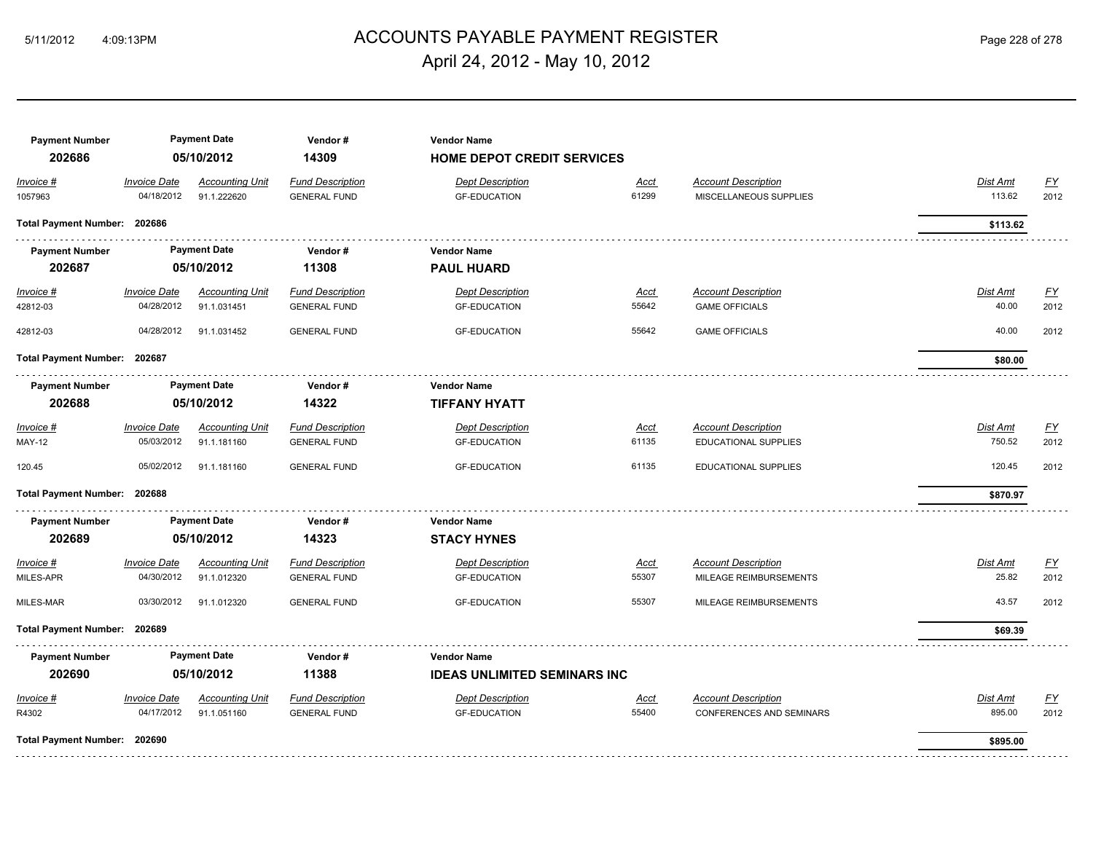## ACCOUNTS PAYABLE PAYMENT REGISTER 5/11/2012 4:09:13PM Page 228 of 278 April 24, 2012 - May 10, 2012

| <b>Payment Number</b><br>202686 |                                   | <b>Payment Date</b><br>05/10/2012     | Vendor#<br>14309                               | <b>Vendor Name</b><br>HOME DEPOT CREDIT SERVICES |                      |                                                               |                          |                   |
|---------------------------------|-----------------------------------|---------------------------------------|------------------------------------------------|--------------------------------------------------|----------------------|---------------------------------------------------------------|--------------------------|-------------------|
| Invoice #<br>1057963            | <b>Invoice Date</b><br>04/18/2012 | <b>Accounting Unit</b><br>91.1.222620 | <b>Fund Description</b><br><b>GENERAL FUND</b> | <b>Dept Description</b><br><b>GF-EDUCATION</b>   | <u>Acct</u><br>61299 | <b>Account Description</b><br>MISCELLANEOUS SUPPLIES          | Dist Amt<br>113.62       | EY<br>2012        |
| Total Payment Number: 202686    |                                   |                                       |                                                |                                                  |                      |                                                               | \$113.62                 |                   |
| <b>Payment Number</b>           |                                   | <b>Payment Date</b>                   | Vendor#                                        | <b>Vendor Name</b>                               |                      |                                                               |                          |                   |
| 202687                          |                                   | 05/10/2012                            | 11308                                          | <b>PAUL HUARD</b>                                |                      |                                                               |                          |                   |
| Invoice #<br>42812-03           | <b>Invoice Date</b><br>04/28/2012 | <b>Accounting Unit</b><br>91.1.031451 | <b>Fund Description</b><br><b>GENERAL FUND</b> | <b>Dept Description</b><br><b>GF-EDUCATION</b>   | <u>Acct</u><br>55642 | <b>Account Description</b><br><b>GAME OFFICIALS</b>           | <b>Dist Amt</b><br>40.00 | <u>FY</u><br>2012 |
| 42812-03                        | 04/28/2012                        | 91.1.031452                           | <b>GENERAL FUND</b>                            | <b>GF-EDUCATION</b>                              | 55642                | <b>GAME OFFICIALS</b>                                         | 40.00                    | 2012              |
| Total Payment Number: 202687    |                                   |                                       |                                                |                                                  |                      |                                                               | \$80.00                  |                   |
| <b>Payment Number</b>           |                                   | <b>Payment Date</b>                   | Vendor#                                        | <b>Vendor Name</b>                               |                      |                                                               |                          |                   |
| 202688                          |                                   | 05/10/2012                            | 14322                                          | <b>TIFFANY HYATT</b>                             |                      |                                                               |                          |                   |
| Invoice #<br><b>MAY-12</b>      | <b>Invoice Date</b><br>05/03/2012 | <b>Accounting Unit</b><br>91.1.181160 | <b>Fund Description</b><br><b>GENERAL FUND</b> | <b>Dept Description</b><br><b>GF-EDUCATION</b>   | <u>Acct</u><br>61135 | <b>Account Description</b><br><b>EDUCATIONAL SUPPLIES</b>     | Dist Amt<br>750.52       | EY<br>2012        |
| 120.45                          | 05/02/2012                        | 91.1.181160                           | <b>GENERAL FUND</b>                            | <b>GF-EDUCATION</b>                              | 61135                | EDUCATIONAL SUPPLIES                                          | 120.45                   | 2012              |
| Total Payment Number: 202688    |                                   |                                       |                                                |                                                  |                      |                                                               | \$870.97                 |                   |
| <b>Payment Number</b>           |                                   | <b>Payment Date</b>                   | Vendor#                                        | <b>Vendor Name</b>                               |                      |                                                               |                          |                   |
| 202689                          |                                   | 05/10/2012                            | 14323                                          | <b>STACY HYNES</b>                               |                      |                                                               |                          |                   |
| Invoice #<br>MILES-APR          | <b>Invoice Date</b><br>04/30/2012 | <b>Accounting Unit</b><br>91.1.012320 | <b>Fund Description</b><br><b>GENERAL FUND</b> | <b>Dept Description</b><br><b>GF-EDUCATION</b>   | Acct<br>55307        | <b>Account Description</b><br>MILEAGE REIMBURSEMENTS          | Dist Amt<br>25.82        | EY<br>2012        |
| MILES-MAR                       | 03/30/2012                        | 91.1.012320                           | <b>GENERAL FUND</b>                            | <b>GF-EDUCATION</b>                              | 55307                | MILEAGE REIMBURSEMENTS                                        | 43.57                    | 2012              |
| <b>Total Payment Number:</b>    | 202689                            |                                       |                                                |                                                  |                      |                                                               | \$69.39                  |                   |
| <b>Payment Number</b>           |                                   | <b>Payment Date</b>                   | Vendor#                                        | <b>Vendor Name</b>                               |                      |                                                               |                          |                   |
| 202690                          |                                   | 05/10/2012                            | 11388                                          | <b>IDEAS UNLIMITED SEMINARS INC</b>              |                      |                                                               |                          |                   |
| Invoice #<br>R4302              | <b>Invoice Date</b><br>04/17/2012 | <b>Accounting Unit</b><br>91.1.051160 | <b>Fund Description</b><br><b>GENERAL FUND</b> | <b>Dept Description</b><br><b>GF-EDUCATION</b>   | <u>Acct</u><br>55400 | <b>Account Description</b><br><b>CONFERENCES AND SEMINARS</b> | Dist Amt<br>895.00       | EY<br>2012        |
| Total Payment Number: 202690    |                                   |                                       |                                                |                                                  |                      |                                                               | \$895.00                 |                   |
|                                 |                                   |                                       |                                                |                                                  |                      |                                                               |                          |                   |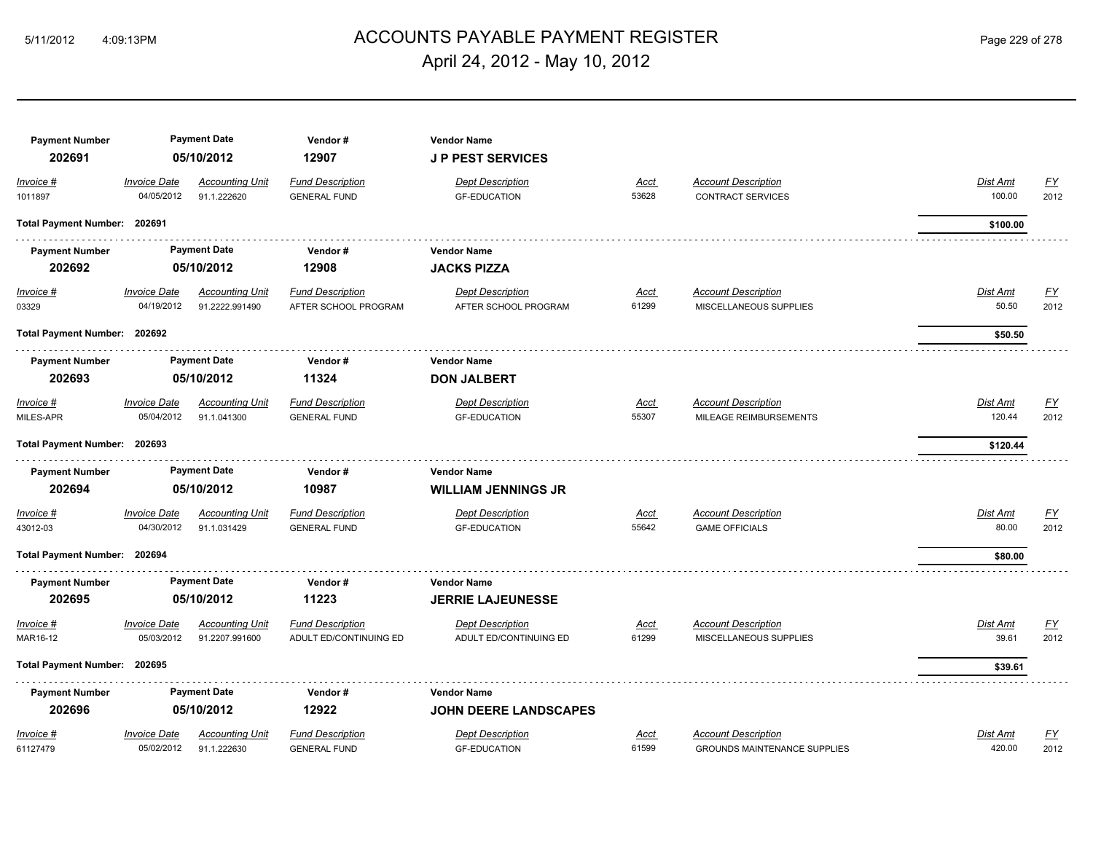## ACCOUNTS PAYABLE PAYMENT REGISTER 5/11/2012 4:09:13PM Page 229 of 278 April 24, 2012 - May 10, 2012

| <b>Payment Number</b><br>202691 |                                   | <b>Payment Date</b><br>05/10/2012        | Vendor#<br>12907                                  | <b>Vendor Name</b><br><b>JP PEST SERVICES</b>     |                      |                                                        |                          |                                   |
|---------------------------------|-----------------------------------|------------------------------------------|---------------------------------------------------|---------------------------------------------------|----------------------|--------------------------------------------------------|--------------------------|-----------------------------------|
| Invoice #<br>1011897            | <b>Invoice Date</b><br>04/05/2012 | <b>Accounting Unit</b><br>91.1.222620    | <b>Fund Description</b><br><b>GENERAL FUND</b>    | <b>Dept Description</b><br><b>GF-EDUCATION</b>    | <u>Acct</u><br>53628 | <b>Account Description</b><br><b>CONTRACT SERVICES</b> | Dist Amt<br>100.00       | <u>FY</u><br>2012                 |
| Total Payment Number: 202691    |                                   |                                          |                                                   |                                                   |                      |                                                        | \$100.00                 |                                   |
| <b>Payment Number</b>           |                                   | <b>Payment Date</b>                      | Vendor#                                           | <b>Vendor Name</b>                                |                      |                                                        |                          |                                   |
| 202692                          |                                   | 05/10/2012                               | 12908                                             | <b>JACKS PIZZA</b>                                |                      |                                                        |                          |                                   |
| $Invoice$ #<br>03329            | <b>Invoice Date</b><br>04/19/2012 | <b>Accounting Unit</b><br>91.2222.991490 | <b>Fund Description</b><br>AFTER SCHOOL PROGRAM   | <b>Dept Description</b><br>AFTER SCHOOL PROGRAM   | <u>Acct</u><br>61299 | <b>Account Description</b><br>MISCELLANEOUS SUPPLIES   | <b>Dist Amt</b><br>50.50 | $\underline{\mathsf{FY}}$<br>2012 |
| Total Payment Number: 202692    |                                   |                                          |                                                   |                                                   |                      |                                                        | \$50.50                  |                                   |
| <b>Payment Number</b>           |                                   | <b>Payment Date</b>                      | Vendor#                                           | <b>Vendor Name</b>                                |                      |                                                        |                          |                                   |
| 202693                          |                                   | 05/10/2012                               | 11324                                             | <b>DON JALBERT</b>                                |                      |                                                        |                          |                                   |
| Invoice #                       | <b>Invoice Date</b>               | <b>Accounting Unit</b>                   | <b>Fund Description</b>                           | <b>Dept Description</b>                           | <u>Acct</u>          | <b>Account Description</b>                             | Dist Amt                 | <u>FY</u>                         |
| MILES-APR                       | 05/04/2012                        | 91.1.041300                              | <b>GENERAL FUND</b>                               | <b>GF-EDUCATION</b>                               | 55307                | MILEAGE REIMBURSEMENTS                                 | 120.44                   | 2012                              |
| Total Payment Number: 202693    |                                   |                                          |                                                   |                                                   |                      |                                                        | \$120.44                 |                                   |
| <b>Payment Number</b><br>202694 |                                   | <b>Payment Date</b><br>05/10/2012        | Vendor#<br>10987                                  | <b>Vendor Name</b><br><b>WILLIAM JENNINGS JR</b>  |                      |                                                        |                          |                                   |
| Invoice #                       | <b>Invoice Date</b>               | <b>Accounting Unit</b>                   | <b>Fund Description</b>                           | <b>Dept Description</b>                           | <u>Acct</u>          | <b>Account Description</b>                             | Dist Amt                 | <u>FY</u>                         |
| 43012-03                        | 04/30/2012                        | 91.1.031429                              | <b>GENERAL FUND</b>                               | <b>GF-EDUCATION</b>                               | 55642                | <b>GAME OFFICIALS</b>                                  | 80.00                    | 2012                              |
| Total Payment Number: 202694    |                                   |                                          |                                                   |                                                   |                      |                                                        | \$80.00                  |                                   |
| <b>Payment Number</b>           |                                   | <b>Payment Date</b>                      | Vendor#                                           | <b>Vendor Name</b>                                |                      |                                                        |                          |                                   |
| 202695                          |                                   | 05/10/2012                               | 11223                                             | <b>JERRIE LAJEUNESSE</b>                          |                      |                                                        |                          |                                   |
| Invoice #<br>MAR16-12           | <b>Invoice Date</b><br>05/03/2012 | <b>Accounting Unit</b><br>91.2207.991600 | <b>Fund Description</b><br>ADULT ED/CONTINUING ED | <b>Dept Description</b><br>ADULT ED/CONTINUING ED | <u>Acct</u><br>61299 | <b>Account Description</b><br>MISCELLANEOUS SUPPLIES   | Dist Amt<br>39.61        | <b>FY</b><br>2012                 |
| Total Payment Number: 202695    |                                   |                                          |                                                   |                                                   |                      |                                                        | \$39.61                  |                                   |
| <b>Payment Number</b>           |                                   | <b>Payment Date</b>                      | Vendor#                                           | <b>Vendor Name</b>                                |                      |                                                        |                          |                                   |
| 202696                          |                                   | 05/10/2012                               | 12922                                             | <b>JOHN DEERE LANDSCAPES</b>                      |                      |                                                        |                          |                                   |
| Invoice #                       | <b>Invoice Date</b>               | <b>Accounting Unit</b>                   | <b>Fund Description</b>                           | <b>Dept Description</b>                           | Acct                 | <b>Account Description</b>                             | Dist Amt                 | $\underline{FY}$                  |
| 61127479                        | 05/02/2012                        | 91.1.222630                              | <b>GENERAL FUND</b>                               | <b>GF-EDUCATION</b>                               | 61599                | <b>GROUNDS MAINTENANCE SUPPLIES</b>                    | 420.00                   | 2012                              |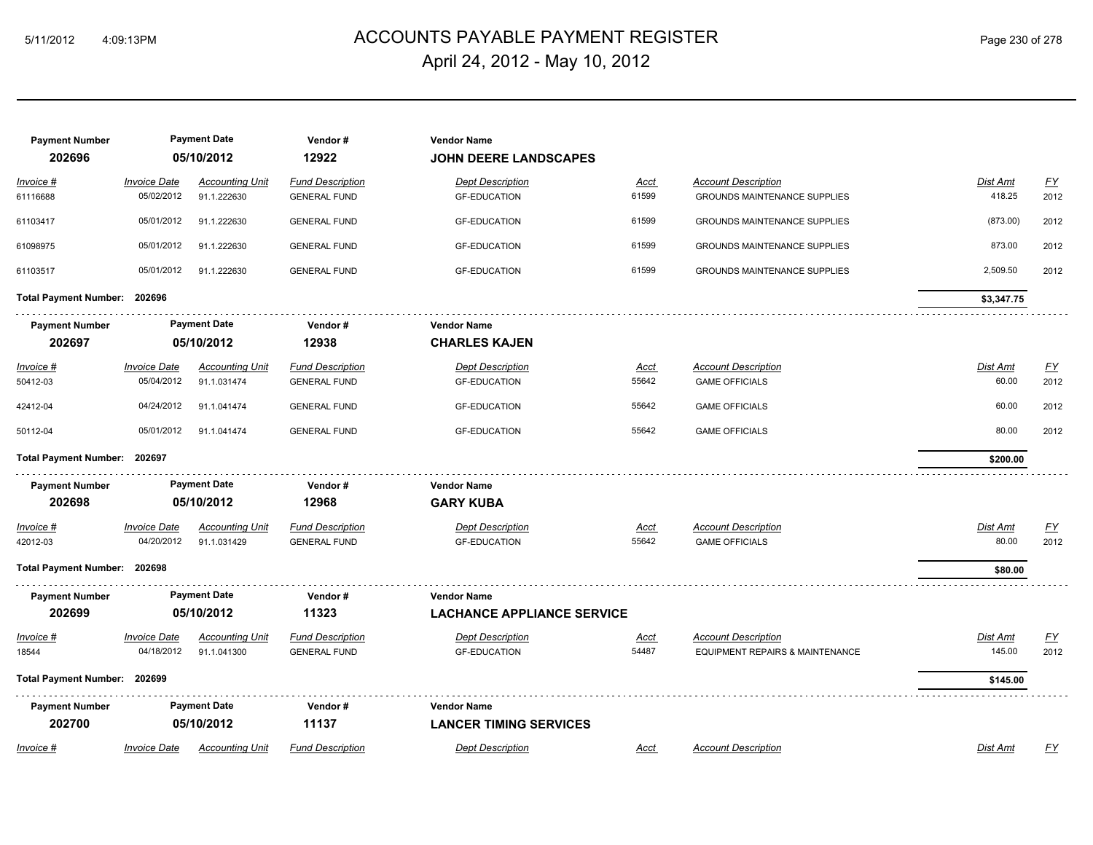## ACCOUNTS PAYABLE PAYMENT REGISTER 5/11/2012 4:09:13PM Page 230 of 278 April 24, 2012 - May 10, 2012

| <b>Payment Number</b><br>202696 |                                   | <b>Payment Date</b><br>05/10/2012     | Vendor#<br>12922                               | <b>Vendor Name</b><br><b>JOHN DEERE LANDSCAPES</b> |               |                                                                   |                    |                          |
|---------------------------------|-----------------------------------|---------------------------------------|------------------------------------------------|----------------------------------------------------|---------------|-------------------------------------------------------------------|--------------------|--------------------------|
| Invoice #<br>61116688           | <b>Invoice Date</b><br>05/02/2012 | <b>Accounting Unit</b><br>91.1.222630 | <b>Fund Description</b><br><b>GENERAL FUND</b> | <b>Dept Description</b><br><b>GF-EDUCATION</b>     | Acct<br>61599 | <b>Account Description</b><br><b>GROUNDS MAINTENANCE SUPPLIES</b> | Dist Amt<br>418.25 | $\underline{FY}$<br>2012 |
| 61103417                        | 05/01/2012                        | 91.1.222630                           | <b>GENERAL FUND</b>                            | <b>GF-EDUCATION</b>                                | 61599         | <b>GROUNDS MAINTENANCE SUPPLIES</b>                               | (873.00)           | 2012                     |
| 61098975                        | 05/01/2012                        | 91.1.222630                           | <b>GENERAL FUND</b>                            | <b>GF-EDUCATION</b>                                | 61599         | GROUNDS MAINTENANCE SUPPLIES                                      | 873.00             | 2012                     |
| 61103517                        | 05/01/2012                        | 91.1.222630                           | <b>GENERAL FUND</b>                            | <b>GF-EDUCATION</b>                                | 61599         | <b>GROUNDS MAINTENANCE SUPPLIES</b>                               | 2,509.50           | 2012                     |
| Total Payment Number: 202696    |                                   |                                       |                                                |                                                    |               |                                                                   | \$3,347.75         |                          |
| <b>Payment Number</b>           |                                   | <b>Payment Date</b>                   | Vendor#                                        | <b>Vendor Name</b>                                 |               |                                                                   |                    |                          |
| 202697                          |                                   | 05/10/2012                            | 12938                                          | <b>CHARLES KAJEN</b>                               |               |                                                                   |                    |                          |
| <b>Invoice #</b>                | <b>Invoice Date</b>               | <b>Accounting Unit</b>                | <b>Fund Description</b>                        | <b>Dept Description</b>                            | <u>Acct</u>   | <b>Account Description</b>                                        | Dist Amt           | <u>FY</u>                |
| 50412-03                        | 05/04/2012                        | 91.1.031474                           | <b>GENERAL FUND</b>                            | <b>GF-EDUCATION</b>                                | 55642         | <b>GAME OFFICIALS</b>                                             | 60.00              | 2012                     |
| 42412-04                        | 04/24/2012                        | 91.1.041474                           | <b>GENERAL FUND</b>                            | <b>GF-EDUCATION</b>                                | 55642         | <b>GAME OFFICIALS</b>                                             | 60.00              | 2012                     |
| 50112-04                        | 05/01/2012                        | 91.1.041474                           | <b>GENERAL FUND</b>                            | <b>GF-EDUCATION</b>                                | 55642         | <b>GAME OFFICIALS</b>                                             | 80.00              | 2012                     |
| Total Payment Number: 202697    |                                   |                                       |                                                |                                                    |               |                                                                   | \$200.00           |                          |
| <b>Payment Number</b>           |                                   | <b>Payment Date</b>                   | Vendor#                                        | <b>Vendor Name</b>                                 |               |                                                                   |                    |                          |
| 202698                          |                                   | 05/10/2012                            | 12968                                          | <b>GARY KUBA</b>                                   |               |                                                                   |                    |                          |
| $Invoice$ #                     | <i><b>Invoice Date</b></i>        | <b>Accounting Unit</b>                | <b>Fund Description</b>                        | <b>Dept Description</b>                            | <u>Acct</u>   | <b>Account Description</b>                                        | <b>Dist Amt</b>    | <u>FY</u>                |
| 42012-03                        | 04/20/2012                        | 91.1.031429                           | <b>GENERAL FUND</b>                            | <b>GF-EDUCATION</b>                                | 55642         | <b>GAME OFFICIALS</b>                                             | 80.00              | 2012                     |
| Total Payment Number: 202698    |                                   |                                       |                                                |                                                    |               |                                                                   | \$80.00            |                          |
| <b>Payment Number</b>           |                                   | <b>Payment Date</b>                   | Vendor#                                        | <b>Vendor Name</b>                                 |               |                                                                   |                    |                          |
| 202699                          |                                   | 05/10/2012                            | 11323                                          | <b>LACHANCE APPLIANCE SERVICE</b>                  |               |                                                                   |                    |                          |
| $Invoice$ #                     | <b>Invoice Date</b>               | <b>Accounting Unit</b>                | <b>Fund Description</b>                        | <b>Dept Description</b>                            | <u>Acct</u>   | <b>Account Description</b>                                        | Dist Amt           | $\underline{FY}$         |
| 18544                           | 04/18/2012                        | 91.1.041300                           | <b>GENERAL FUND</b>                            | <b>GF-EDUCATION</b>                                | 54487         | <b>EQUIPMENT REPAIRS &amp; MAINTENANCE</b>                        | 145.00             | 2012                     |
| Total Payment Number: 202699    |                                   |                                       |                                                |                                                    |               |                                                                   | \$145.00           |                          |
| <b>Payment Number</b>           |                                   | <b>Payment Date</b>                   | Vendor#                                        | <b>Vendor Name</b>                                 |               |                                                                   |                    |                          |
| 202700                          |                                   | 05/10/2012                            | 11137                                          | <b>LANCER TIMING SERVICES</b>                      |               |                                                                   |                    |                          |
| Invoice #                       | <b>Invoice Date</b>               | <b>Accounting Unit</b>                | <b>Fund Description</b>                        | <b>Dept Description</b>                            | Acct          | <b>Account Description</b>                                        | <b>Dist Amt</b>    | <u>FY</u>                |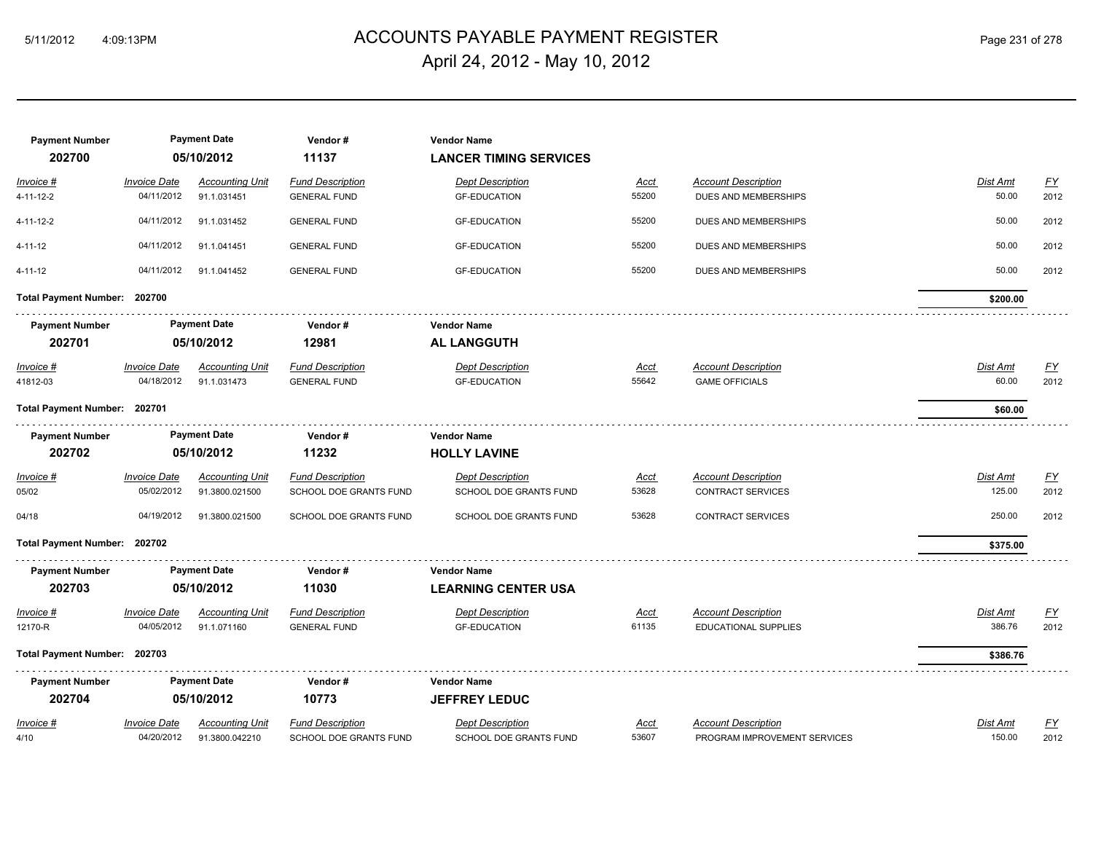## ACCOUNTS PAYABLE PAYMENT REGISTER 5/11/2012 4:09:13PM Page 231 of 278 April 24, 2012 - May 10, 2012

| <b>Payment Number</b><br>202700 |                     | <b>Payment Date</b><br>05/10/2012 | Vendor#<br>11137        | <b>Vendor Name</b><br><b>LANCER TIMING SERVICES</b> |             |                              |                 |                  |
|---------------------------------|---------------------|-----------------------------------|-------------------------|-----------------------------------------------------|-------------|------------------------------|-----------------|------------------|
| Invoice #                       | <b>Invoice Date</b> | <b>Accounting Unit</b>            | <b>Fund Description</b> | <b>Dept Description</b>                             | Acct        | <b>Account Description</b>   | Dist Amt        | EY               |
| 4-11-12-2                       | 04/11/2012          | 91.1.031451                       | <b>GENERAL FUND</b>     | <b>GF-EDUCATION</b>                                 | 55200       | DUES AND MEMBERSHIPS         | 50.00           | 2012             |
| 4-11-12-2                       | 04/11/2012          | 91.1.031452                       | <b>GENERAL FUND</b>     | <b>GF-EDUCATION</b>                                 | 55200       | DUES AND MEMBERSHIPS         | 50.00           | 2012             |
| 4-11-12                         | 04/11/2012          | 91.1.041451                       | <b>GENERAL FUND</b>     | <b>GF-EDUCATION</b>                                 | 55200       | DUES AND MEMBERSHIPS         | 50.00           | 2012             |
| 4-11-12                         | 04/11/2012          | 91.1.041452                       | <b>GENERAL FUND</b>     | <b>GF-EDUCATION</b>                                 | 55200       | DUES AND MEMBERSHIPS         | 50.00           | 2012             |
| Total Payment Number: 202700    |                     |                                   |                         |                                                     |             |                              | \$200.00        |                  |
| <b>Payment Number</b>           |                     | <b>Payment Date</b>               | Vendor#                 | <b>Vendor Name</b>                                  |             |                              |                 |                  |
| 202701                          |                     | 05/10/2012                        | 12981                   | <b>AL LANGGUTH</b>                                  |             |                              |                 |                  |
| Invoice #                       | <b>Invoice Date</b> | <b>Accounting Unit</b>            | <b>Fund Description</b> | <b>Dept Description</b>                             | Acct        | <b>Account Description</b>   | <b>Dist Amt</b> | <u>FY</u>        |
| 41812-03                        | 04/18/2012          | 91.1.031473                       | <b>GENERAL FUND</b>     | <b>GF-EDUCATION</b>                                 | 55642       | <b>GAME OFFICIALS</b>        | 60.00           | 2012             |
| Total Payment Number: 202701    |                     |                                   |                         |                                                     |             |                              | \$60.00         |                  |
| <b>Payment Number</b>           |                     | <b>Payment Date</b>               | Vendor#                 | <b>Vendor Name</b>                                  |             |                              |                 |                  |
| 202702                          |                     | 05/10/2012                        | 11232                   | <b>HOLLY LAVINE</b>                                 |             |                              |                 |                  |
| <u>Invoice #</u>                | <b>Invoice Date</b> | <b>Accounting Unit</b>            | <b>Fund Description</b> | <b>Dept Description</b>                             | <u>Acct</u> | <b>Account Description</b>   | Dist Amt        | $\underline{FY}$ |
| 05/02                           | 05/02/2012          | 91.3800.021500                    | SCHOOL DOE GRANTS FUND  | SCHOOL DOE GRANTS FUND                              | 53628       | <b>CONTRACT SERVICES</b>     | 125.00          | 2012             |
| 04/18                           | 04/19/2012          | 91.3800.021500                    | SCHOOL DOE GRANTS FUND  | SCHOOL DOE GRANTS FUND                              | 53628       | <b>CONTRACT SERVICES</b>     | 250.00          | 2012             |
| Total Payment Number: 202702    |                     |                                   |                         |                                                     |             |                              | \$375.00        |                  |
| <b>Payment Number</b>           |                     | <b>Payment Date</b>               | Vendor#                 | <b>Vendor Name</b>                                  |             |                              |                 |                  |
| 202703                          |                     | 05/10/2012                        | 11030                   | <b>LEARNING CENTER USA</b>                          |             |                              |                 |                  |
| <u>Invoice #</u>                | <b>Invoice Date</b> | <u>Accounting Unit</u>            | <b>Fund Description</b> | <b>Dept Description</b>                             | <u>Acct</u> | <b>Account Description</b>   | <u>Dist Amt</u> | $\underline{FY}$ |
| 12170-R                         | 04/05/2012          | 91.1.071160                       | <b>GENERAL FUND</b>     | <b>GF-EDUCATION</b>                                 | 61135       | EDUCATIONAL SUPPLIES         | 386.76          | 2012             |
| Total Payment Number: 202703    |                     |                                   |                         |                                                     |             |                              | \$386.76        |                  |
| <b>Payment Number</b>           |                     | <b>Payment Date</b>               | Vendor#                 | <b>Vendor Name</b>                                  |             |                              |                 |                  |
| 202704                          |                     | 05/10/2012                        | 10773                   | <b>JEFFREY LEDUC</b>                                |             |                              |                 |                  |
| Invoice #                       | <b>Invoice Date</b> | Accounting Unit                   | <b>Fund Description</b> | <b>Dept Description</b>                             | Acct        | <b>Account Description</b>   | Dist Amt        | <u>FY</u>        |
| 4/10                            | 04/20/2012          | 91.3800.042210                    | SCHOOL DOE GRANTS FUND  | SCHOOL DOE GRANTS FUND                              | 53607       | PROGRAM IMPROVEMENT SERVICES | 150.00          | 2012             |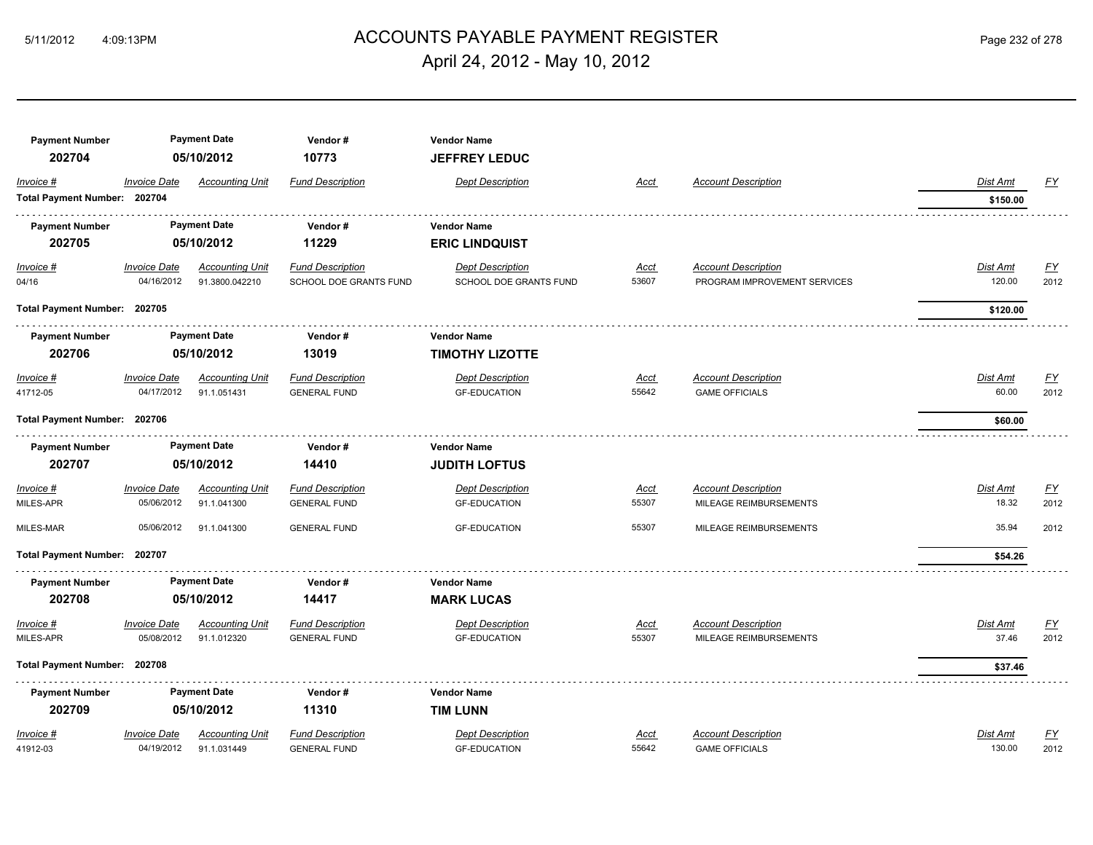## ACCOUNTS PAYABLE PAYMENT REGISTER 5/11/2012 4:09:13PM Page 232 of 278 April 24, 2012 - May 10, 2012

| <b>Payment Number</b>        |                     | <b>Payment Date</b>    | Vendor#                 | <b>Vendor Name</b>      |             |                              |                 |                  |
|------------------------------|---------------------|------------------------|-------------------------|-------------------------|-------------|------------------------------|-----------------|------------------|
| 202704                       |                     | 05/10/2012             | 10773                   | <b>JEFFREY LEDUC</b>    |             |                              |                 |                  |
| Invoice #                    | <b>Invoice Date</b> | <b>Accounting Unit</b> | <b>Fund Description</b> | <b>Dept Description</b> | Acct        | <b>Account Description</b>   | Dist Amt        | <u>FY</u>        |
| Total Payment Number: 202704 |                     |                        |                         |                         |             |                              | \$150.00        |                  |
| <b>Payment Number</b>        |                     | <b>Payment Date</b>    | Vendor#                 | <b>Vendor Name</b>      |             |                              |                 |                  |
| 202705                       |                     | 05/10/2012             | 11229                   | <b>ERIC LINDQUIST</b>   |             |                              |                 |                  |
| $Invoice$ #                  | <b>Invoice Date</b> | <b>Accounting Unit</b> | <b>Fund Description</b> | <b>Dept Description</b> | <u>Acct</u> | <b>Account Description</b>   | <b>Dist Amt</b> | EY               |
| 04/16                        | 04/16/2012          | 91.3800.042210         | SCHOOL DOE GRANTS FUND  | SCHOOL DOE GRANTS FUND  | 53607       | PROGRAM IMPROVEMENT SERVICES | 120.00          | 2012             |
| Total Payment Number: 202705 |                     |                        |                         |                         |             |                              | \$120.00        |                  |
| <b>Payment Number</b>        |                     | <b>Payment Date</b>    | Vendor#                 | <b>Vendor Name</b>      |             |                              |                 |                  |
| 202706                       |                     | 05/10/2012             | 13019                   | <b>TIMOTHY LIZOTTE</b>  |             |                              |                 |                  |
| Invoice #                    | <b>Invoice Date</b> | <b>Accounting Unit</b> | <b>Fund Description</b> | <b>Dept Description</b> | <u>Acct</u> | <b>Account Description</b>   | Dist Amt        | $\underline{FY}$ |
| 41712-05                     | 04/17/2012          | 91.1.051431            | <b>GENERAL FUND</b>     | <b>GF-EDUCATION</b>     | 55642       | <b>GAME OFFICIALS</b>        | 60.00           | 2012             |
| Total Payment Number: 202706 |                     |                        |                         |                         |             |                              | \$60.00         |                  |
| <b>Payment Number</b>        |                     | <b>Payment Date</b>    | Vendor#                 | <b>Vendor Name</b>      |             |                              |                 |                  |
| 202707                       |                     | 05/10/2012             | 14410                   | <b>JUDITH LOFTUS</b>    |             |                              |                 |                  |
| Invoice #                    | <b>Invoice Date</b> | <b>Accounting Unit</b> | <b>Fund Description</b> | <b>Dept Description</b> | <u>Acct</u> | <b>Account Description</b>   | Dist Amt        | $\underline{FY}$ |
| MILES-APR                    | 05/06/2012          | 91.1.041300            | <b>GENERAL FUND</b>     | <b>GF-EDUCATION</b>     | 55307       | MILEAGE REIMBURSEMENTS       | 18.32           | 2012             |
| MILES-MAR                    | 05/06/2012          | 91.1.041300            | <b>GENERAL FUND</b>     | <b>GF-EDUCATION</b>     | 55307       | MILEAGE REIMBURSEMENTS       | 35.94           | 2012             |
| Total Payment Number: 202707 |                     |                        |                         |                         |             |                              | \$54.26         |                  |
| <b>Payment Number</b>        |                     | <b>Payment Date</b>    | Vendor#                 | <b>Vendor Name</b>      |             |                              |                 |                  |
| 202708                       |                     | 05/10/2012             | 14417                   | <b>MARK LUCAS</b>       |             |                              |                 |                  |
| Invoice #                    | <b>Invoice Date</b> | <b>Accounting Unit</b> | <b>Fund Description</b> | <b>Dept Description</b> | Acct        | <b>Account Description</b>   | Dist Amt        | $\underline{FY}$ |
| MILES-APR                    | 05/08/2012          | 91.1.012320            | <b>GENERAL FUND</b>     | <b>GF-EDUCATION</b>     | 55307       | MILEAGE REIMBURSEMENTS       | 37.46           | 2012             |
| Total Payment Number: 202708 |                     |                        |                         |                         |             |                              | \$37.46         |                  |
| <b>Payment Number</b>        |                     | <b>Payment Date</b>    | Vendor#                 | <b>Vendor Name</b>      |             |                              |                 |                  |
| 202709                       |                     | 05/10/2012             | 11310                   | <b>TIM LUNN</b>         |             |                              |                 |                  |
| Invoice #                    | <b>Invoice Date</b> | <b>Accounting Unit</b> | <b>Fund Description</b> | <b>Dept Description</b> | Acct        | <b>Account Description</b>   | Dist Amt        | $\underline{FY}$ |
| 41912-03                     | 04/19/2012          | 91.1.031449            | <b>GENERAL FUND</b>     | <b>GF-EDUCATION</b>     | 55642       | <b>GAME OFFICIALS</b>        | 130.00          | 2012             |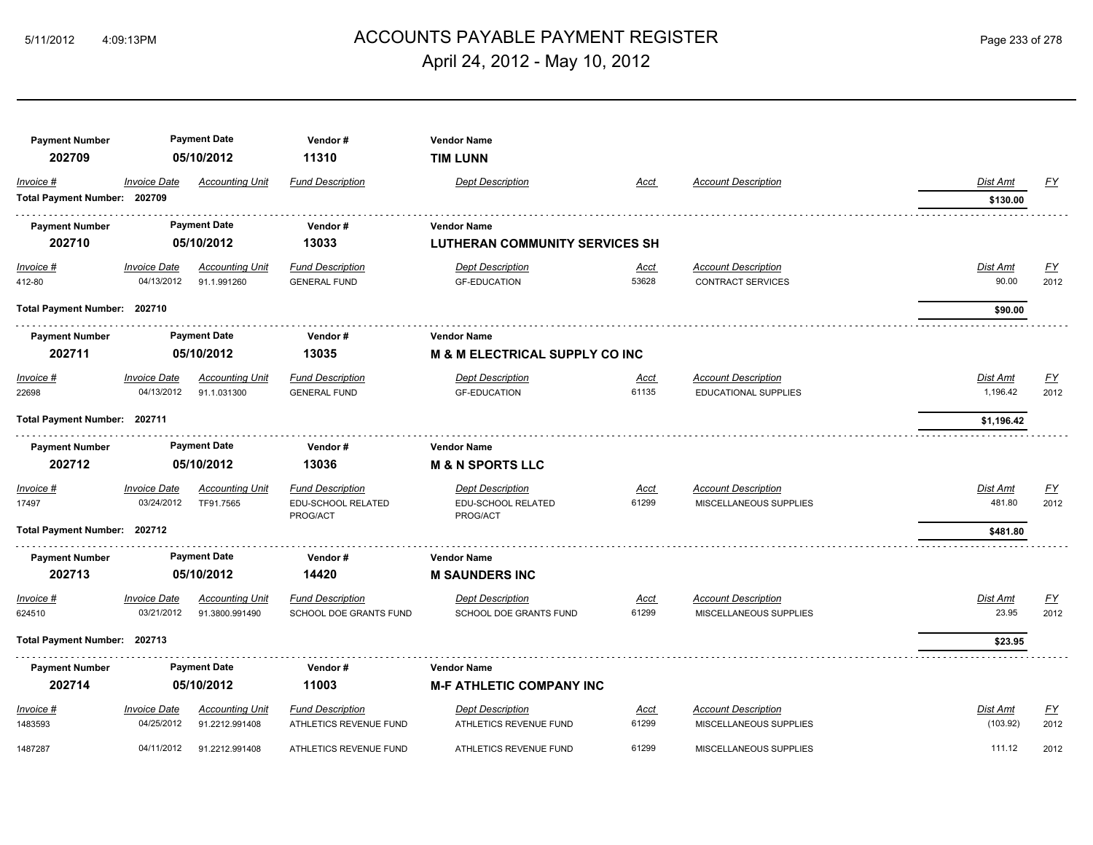## ACCOUNTS PAYABLE PAYMENT REGISTER 5/11/2012 4:09:13PM Page 233 of 278 April 24, 2012 - May 10, 2012

| <b>Payment Number</b>        |                     | <b>Payment Date</b>    | Vendor#                        | <b>Vendor Name</b>                        |             |                             |                 |                  |
|------------------------------|---------------------|------------------------|--------------------------------|-------------------------------------------|-------------|-----------------------------|-----------------|------------------|
| 202709                       |                     | 05/10/2012             | 11310                          | <b>TIM LUNN</b>                           |             |                             |                 |                  |
| Invoice #                    | <b>Invoice Date</b> | <b>Accounting Unit</b> | <b>Fund Description</b>        | <b>Dept Description</b>                   | Acct        | <b>Account Description</b>  | Dist Amt        | <u>FY</u>        |
| Total Payment Number: 202709 |                     |                        |                                |                                           |             |                             | \$130.00        |                  |
| <b>Payment Number</b>        |                     | <b>Payment Date</b>    | Vendor#                        | <b>Vendor Name</b>                        |             |                             |                 |                  |
| 202710                       |                     | 05/10/2012             | 13033                          | <b>LUTHERAN COMMUNITY SERVICES SH</b>     |             |                             |                 |                  |
| $Invoice$ #                  | <b>Invoice Date</b> | <b>Accounting Unit</b> | <b>Fund Description</b>        | <b>Dept Description</b>                   | <u>Acct</u> | <b>Account Description</b>  | <b>Dist Amt</b> | EY               |
| 412-80                       | 04/13/2012          | 91.1.991260            | <b>GENERAL FUND</b>            | <b>GF-EDUCATION</b>                       | 53628       | <b>CONTRACT SERVICES</b>    | 90.00           | 2012             |
| Total Payment Number: 202710 |                     |                        |                                |                                           |             |                             | \$90.00         |                  |
| <b>Payment Number</b>        |                     | <b>Payment Date</b>    | Vendor#                        | <b>Vendor Name</b>                        |             |                             |                 |                  |
| 202711                       |                     | 05/10/2012             | 13035                          | <b>M &amp; M ELECTRICAL SUPPLY CO INC</b> |             |                             |                 |                  |
| Invoice #                    | <b>Invoice Date</b> | <b>Accounting Unit</b> | <b>Fund Description</b>        | <b>Dept Description</b>                   | Acct        | <b>Account Description</b>  | Dist Amt        | $\underline{FY}$ |
| 22698                        | 04/13/2012          | 91.1.031300            | <b>GENERAL FUND</b>            | <b>GF-EDUCATION</b>                       | 61135       | <b>EDUCATIONAL SUPPLIES</b> | 1,196.42        | 2012             |
| Total Payment Number: 202711 |                     |                        |                                |                                           |             |                             | \$1,196.42      |                  |
| <b>Payment Number</b>        |                     | <b>Payment Date</b>    | Vendor#                        | <b>Vendor Name</b>                        |             |                             |                 |                  |
| 202712                       |                     | 05/10/2012             | 13036                          | <b>M &amp; N SPORTS LLC</b>               |             |                             |                 |                  |
| Invoice #                    | <b>Invoice Date</b> | <b>Accounting Unit</b> | <b>Fund Description</b>        | <b>Dept Description</b>                   | <u>Acct</u> | <b>Account Description</b>  | Dist Amt        | $\underline{FY}$ |
| 17497                        | 03/24/2012          | TF91.7565              | EDU-SCHOOL RELATED<br>PROG/ACT | EDU-SCHOOL RELATED<br>PROG/ACT            | 61299       | MISCELLANEOUS SUPPLIES      | 481.80          | 2012             |
| Total Payment Number: 202712 |                     |                        |                                |                                           |             |                             | \$481.80        |                  |
| <b>Payment Number</b>        |                     | <b>Payment Date</b>    | Vendor#                        | <b>Vendor Name</b>                        |             |                             |                 |                  |
| 202713                       |                     | 05/10/2012             | 14420                          | <b>M SAUNDERS INC</b>                     |             |                             |                 |                  |
| Invoice #                    | <b>Invoice Date</b> | <b>Accounting Unit</b> | <b>Fund Description</b>        | <b>Dept Description</b>                   | Acct        | <b>Account Description</b>  | Dist Amt        | $\underline{FY}$ |
| 624510                       | 03/21/2012          | 91.3800.991490         | <b>SCHOOL DOE GRANTS FUND</b>  | <b>SCHOOL DOE GRANTS FUND</b>             | 61299       | MISCELLANEOUS SUPPLIES      | 23.95           | 2012             |
| Total Payment Number: 202713 |                     |                        |                                |                                           |             |                             | \$23.95         |                  |
| <b>Payment Number</b>        |                     | <b>Payment Date</b>    | Vendor#                        | <b>Vendor Name</b>                        |             |                             |                 |                  |
| 202714                       |                     | 05/10/2012             | 11003                          | <b>M-F ATHLETIC COMPANY INC</b>           |             |                             |                 |                  |
| Invoice #                    | <b>Invoice Date</b> | <b>Accounting Unit</b> | <b>Fund Description</b>        | <b>Dept Description</b>                   | Acct        | <b>Account Description</b>  | <b>Dist Amt</b> | $\underline{FY}$ |
| 1483593                      | 04/25/2012          | 91.2212.991408         | ATHLETICS REVENUE FUND         | ATHLETICS REVENUE FUND                    | 61299       | MISCELLANEOUS SUPPLIES      | (103.92)        | 2012             |
| 1487287                      | 04/11/2012          | 91.2212.991408         | ATHLETICS REVENUE FUND         | ATHLETICS REVENUE FUND                    | 61299       | MISCELLANEOUS SUPPLIES      | 111.12          | 2012             |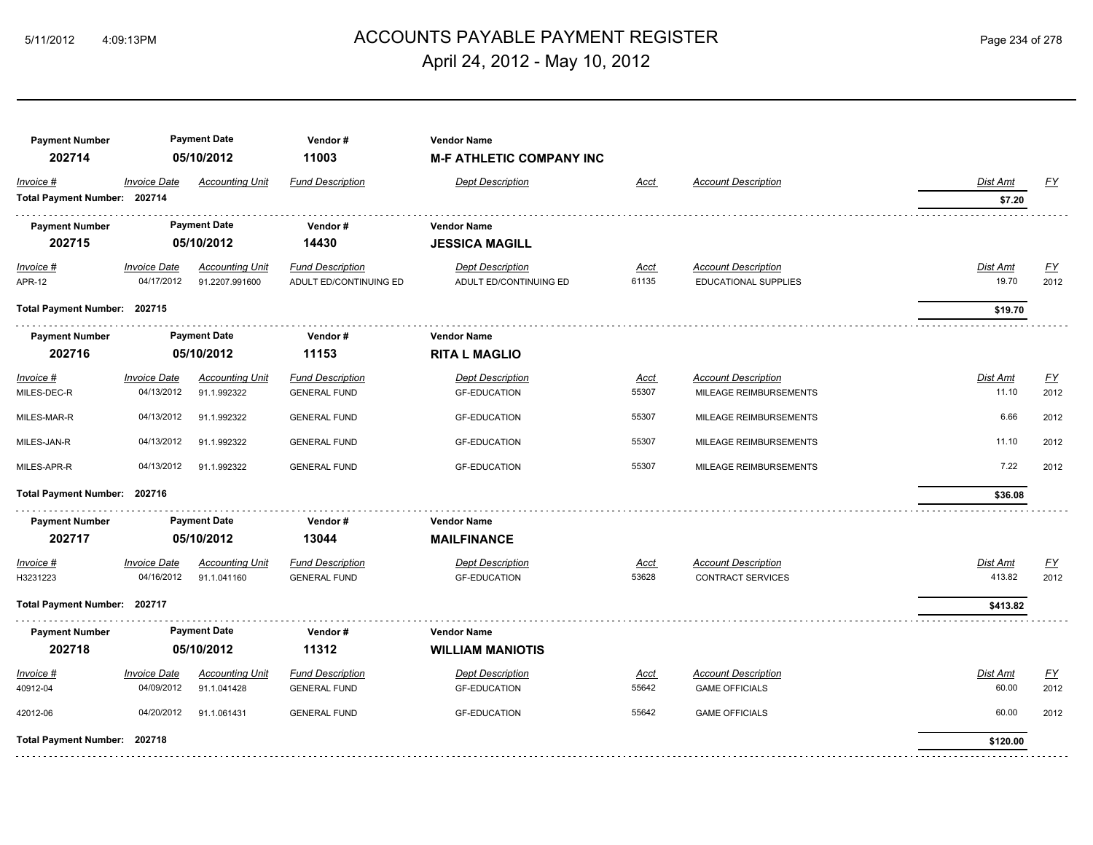## ACCOUNTS PAYABLE PAYMENT REGISTER 5/11/2012 4:09:13PM Page 234 of 278 April 24, 2012 - May 10, 2012

| <b>Payment Number</b><br>202714           |                                   | <b>Payment Date</b><br>05/10/2012        | Vendor#<br>11003                                  | <b>Vendor Name</b><br><b>M-F ATHLETIC COMPANY INC</b> |                      |                                                        |                          |                          |
|-------------------------------------------|-----------------------------------|------------------------------------------|---------------------------------------------------|-------------------------------------------------------|----------------------|--------------------------------------------------------|--------------------------|--------------------------|
| Invoice #<br>Total Payment Number: 202714 | <b>Invoice Date</b>               | <b>Accounting Unit</b>                   | <b>Fund Description</b>                           | <b>Dept Description</b>                               | Acct                 | <b>Account Description</b>                             | Dist Amt<br>\$7.20       | EY                       |
| <b>Payment Number</b><br>202715           |                                   | <b>Payment Date</b><br>05/10/2012        | Vendor#<br>14430                                  | <b>Vendor Name</b><br><b>JESSICA MAGILL</b>           |                      |                                                        |                          |                          |
| $Invoice$ #<br><b>APR-12</b>              | <b>Invoice Date</b><br>04/17/2012 | <b>Accounting Unit</b><br>91.2207.991600 | <b>Fund Description</b><br>ADULT ED/CONTINUING ED | <b>Dept Description</b><br>ADULT ED/CONTINUING ED     | <u>Acct</u><br>61135 | <b>Account Description</b><br>EDUCATIONAL SUPPLIES     | <b>Dist Amt</b><br>19.70 | <u>FY</u><br>2012        |
| Total Payment Number: 202715              |                                   |                                          |                                                   |                                                       |                      |                                                        | \$19.70                  |                          |
| <b>Payment Number</b><br>202716           |                                   | <b>Payment Date</b><br>05/10/2012        | Vendor#<br>11153                                  | <b>Vendor Name</b><br><b>RITA L MAGLIO</b>            |                      |                                                        |                          |                          |
| Invoice #<br>MILES-DEC-R                  | <b>Invoice Date</b><br>04/13/2012 | <b>Accounting Unit</b><br>91.1.992322    | <b>Fund Description</b><br><b>GENERAL FUND</b>    | <b>Dept Description</b><br><b>GF-EDUCATION</b>        | Acct<br>55307        | <b>Account Description</b><br>MILEAGE REIMBURSEMENTS   | Dist Amt<br>11.10        | <u>FY</u><br>2012        |
| MILES-MAR-R                               | 04/13/2012                        | 91.1.992322                              | <b>GENERAL FUND</b>                               | <b>GF-EDUCATION</b>                                   | 55307                | MILEAGE REIMBURSEMENTS                                 | 6.66                     | 2012                     |
| MILES-JAN-R                               | 04/13/2012                        | 91.1.992322                              | <b>GENERAL FUND</b>                               | <b>GF-EDUCATION</b>                                   | 55307                | MILEAGE REIMBURSEMENTS                                 | 11.10                    | 2012                     |
| MILES-APR-R                               | 04/13/2012                        | 91.1.992322                              | <b>GENERAL FUND</b>                               | <b>GF-EDUCATION</b>                                   | 55307                | MILEAGE REIMBURSEMENTS                                 | 7.22                     | 2012                     |
| Total Payment Number: 202716              |                                   |                                          |                                                   |                                                       |                      |                                                        | \$36.08                  |                          |
| <b>Payment Number</b><br>202717           |                                   | <b>Payment Date</b><br>05/10/2012        | Vendor#<br>13044                                  | <b>Vendor Name</b><br><b>MAILFINANCE</b>              |                      |                                                        |                          |                          |
| Invoice #<br>H3231223                     | <b>Invoice Date</b><br>04/16/2012 | <b>Accounting Unit</b><br>91.1.041160    | <b>Fund Description</b><br><b>GENERAL FUND</b>    | <b>Dept Description</b><br><b>GF-EDUCATION</b>        | <b>Acct</b><br>53628 | <b>Account Description</b><br><b>CONTRACT SERVICES</b> | Dist Amt<br>413.82       | $\underline{FY}$<br>2012 |
| Total Payment Number: 202717              |                                   |                                          |                                                   |                                                       |                      |                                                        | \$413.82                 |                          |
| <b>Payment Number</b><br>202718           |                                   | <b>Payment Date</b><br>05/10/2012        | Vendor#<br>11312                                  | <b>Vendor Name</b><br><b>WILLIAM MANIOTIS</b>         |                      |                                                        |                          |                          |
| Invoice #<br>40912-04                     | <b>Invoice Date</b><br>04/09/2012 | <b>Accounting Unit</b><br>91.1.041428    | <b>Fund Description</b><br><b>GENERAL FUND</b>    | <b>Dept Description</b><br><b>GF-EDUCATION</b>        | Acct<br>55642        | <b>Account Description</b><br><b>GAME OFFICIALS</b>    | Dist Amt<br>60.00        | EY<br>2012               |
| 42012-06                                  | 04/20/2012                        | 91.1.061431                              | <b>GENERAL FUND</b>                               | <b>GF-EDUCATION</b>                                   | 55642                | <b>GAME OFFICIALS</b>                                  | 60.00                    | 2012                     |
| Total Payment Number: 202718              |                                   |                                          |                                                   |                                                       |                      |                                                        | \$120.00                 |                          |
|                                           |                                   |                                          |                                                   |                                                       |                      |                                                        |                          |                          |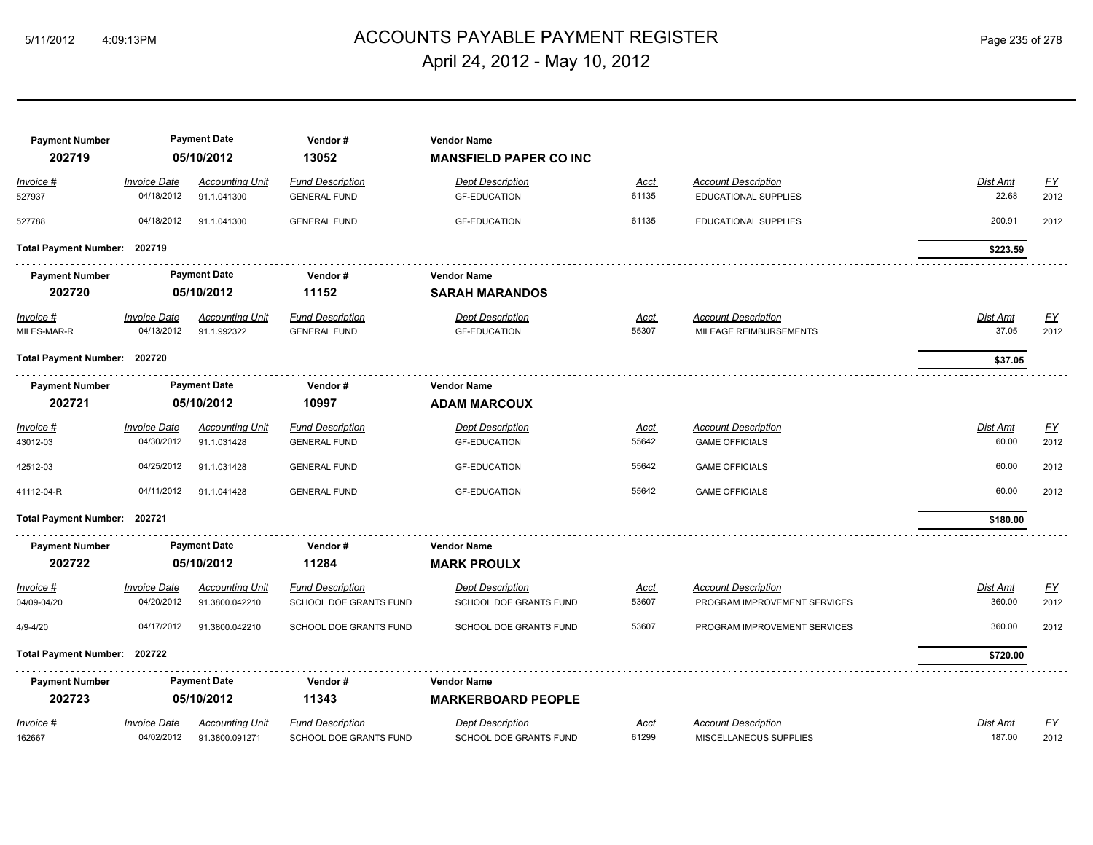## ACCOUNTS PAYABLE PAYMENT REGISTER 5/11/2012 4:09:13PM Page 235 of 278 April 24, 2012 - May 10, 2012

| <b>Payment Number</b><br>202719 |                     | <b>Payment Date</b><br>05/10/2012 | Vendor#<br>13052        | <b>Vendor Name</b><br><b>MANSFIELD PAPER CO INC</b> |             |                              |          |                  |
|---------------------------------|---------------------|-----------------------------------|-------------------------|-----------------------------------------------------|-------------|------------------------------|----------|------------------|
| Invoice #                       | <b>Invoice Date</b> | <b>Accounting Unit</b>            | <b>Fund Description</b> | <b>Dept Description</b>                             | Acct        | <b>Account Description</b>   | Dist Amt | <u>FY</u>        |
| 527937                          | 04/18/2012          | 91.1.041300                       | <b>GENERAL FUND</b>     | <b>GF-EDUCATION</b>                                 | 61135       | EDUCATIONAL SUPPLIES         | 22.68    | 2012             |
| 527788                          | 04/18/2012          | 91.1.041300                       | <b>GENERAL FUND</b>     | <b>GF-EDUCATION</b>                                 | 61135       | EDUCATIONAL SUPPLIES         | 200.91   | 2012             |
| Total Payment Number: 202719    |                     |                                   |                         |                                                     |             |                              | \$223.59 |                  |
| <b>Payment Number</b>           |                     | <b>Payment Date</b>               | Vendor#                 | <b>Vendor Name</b>                                  |             |                              |          |                  |
| 202720                          |                     | 05/10/2012                        | 11152                   | <b>SARAH MARANDOS</b>                               |             |                              |          |                  |
| Invoice #                       | <b>Invoice Date</b> | <b>Accounting Unit</b>            | <b>Fund Description</b> | <b>Dept Description</b>                             | Acct        | <b>Account Description</b>   | Dist Amt | <u>FY</u>        |
| MILES-MAR-R                     | 04/13/2012          | 91.1.992322                       | <b>GENERAL FUND</b>     | <b>GF-EDUCATION</b>                                 | 55307       | MILEAGE REIMBURSEMENTS       | 37.05    | 2012             |
| Total Payment Number: 202720    |                     |                                   |                         |                                                     |             |                              | \$37.05  |                  |
| <b>Payment Number</b>           |                     | <b>Payment Date</b>               | Vendor#                 | <b>Vendor Name</b>                                  |             |                              |          |                  |
| 202721                          |                     | 05/10/2012                        | 10997                   | <b>ADAM MARCOUX</b>                                 |             |                              |          |                  |
| Invoice #                       | <b>Invoice Date</b> | <b>Accounting Unit</b>            | <b>Fund Description</b> | <b>Dept Description</b>                             | <b>Acct</b> | <b>Account Description</b>   | Dist Amt | $\underline{FY}$ |
| 43012-03                        | 04/30/2012          | 91.1.031428                       | <b>GENERAL FUND</b>     | <b>GF-EDUCATION</b>                                 | 55642       | <b>GAME OFFICIALS</b>        | 60.00    | 2012             |
| 42512-03                        | 04/25/2012          | 91.1.031428                       | <b>GENERAL FUND</b>     | <b>GF-EDUCATION</b>                                 | 55642       | <b>GAME OFFICIALS</b>        | 60.00    | 2012             |
| 41112-04-R                      | 04/11/2012          | 91.1.041428                       | <b>GENERAL FUND</b>     | <b>GF-EDUCATION</b>                                 | 55642       | <b>GAME OFFICIALS</b>        | 60.00    | 2012             |
| Total Payment Number: 202721    |                     |                                   |                         |                                                     |             |                              | \$180.00 |                  |
| <b>Payment Number</b><br>202722 |                     | <b>Payment Date</b><br>05/10/2012 | Vendor#<br>11284        | <b>Vendor Name</b><br><b>MARK PROULX</b>            |             |                              |          |                  |
| Invoice #                       | <b>Invoice Date</b> | <b>Accounting Unit</b>            | <b>Fund Description</b> | <b>Dept Description</b>                             | <u>Acct</u> | <b>Account Description</b>   | Dist Amt | <u>FY</u>        |
| 04/09-04/20                     | 04/20/2012          | 91.3800.042210                    | SCHOOL DOE GRANTS FUND  | SCHOOL DOE GRANTS FUND                              | 53607       | PROGRAM IMPROVEMENT SERVICES | 360.00   | 2012             |
| $4/9 - 4/20$                    | 04/17/2012          | 91.3800.042210                    | SCHOOL DOE GRANTS FUND  | SCHOOL DOE GRANTS FUND                              | 53607       | PROGRAM IMPROVEMENT SERVICES | 360.00   | 2012             |
| Total Payment Number: 202722    |                     |                                   |                         |                                                     |             |                              | \$720.00 |                  |
| <b>Payment Number</b>           |                     | <b>Payment Date</b>               | Vendor#                 | <b>Vendor Name</b>                                  |             |                              |          |                  |
| 202723                          |                     | 05/10/2012                        | 11343                   | <b>MARKERBOARD PEOPLE</b>                           |             |                              |          |                  |
| Invoice #                       | <b>Invoice Date</b> | <b>Accounting Unit</b>            | <b>Fund Description</b> | <b>Dept Description</b>                             | Acct        | <b>Account Description</b>   | Dist Amt | <u>FY</u>        |
| 162667                          | 04/02/2012          | 91.3800.091271                    | SCHOOL DOE GRANTS FUND  | SCHOOL DOE GRANTS FUND                              | 61299       | MISCELLANEOUS SUPPLIES       | 187.00   | 2012             |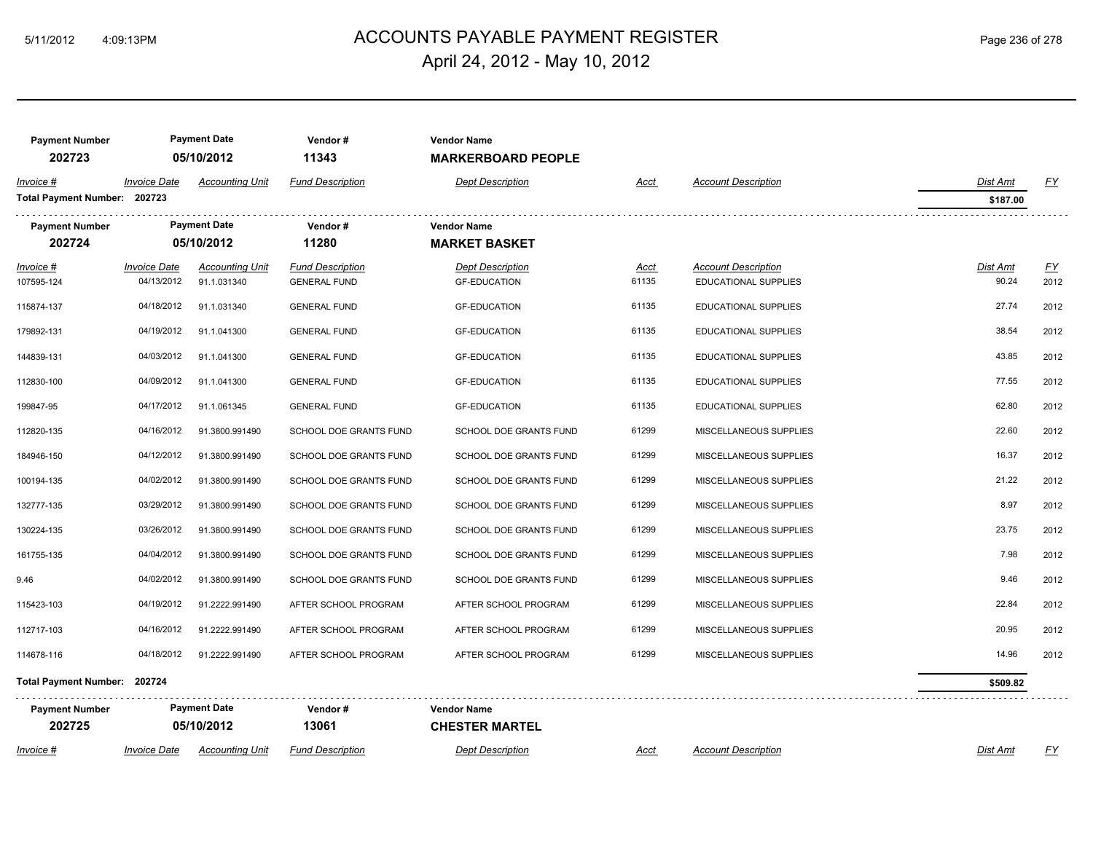## ACCOUNTS PAYABLE PAYMENT REGISTER 5/11/2012 4:09:13PM Page 236 of 278 April 24, 2012 - May 10, 2012

| <b>Payment Number</b><br>202723           |                                   | <b>Payment Date</b><br>05/10/2012     | Vendor#<br>11343                               | <b>Vendor Name</b><br><b>MARKERBOARD PEOPLE</b> |                      |                                                    |                          |            |
|-------------------------------------------|-----------------------------------|---------------------------------------|------------------------------------------------|-------------------------------------------------|----------------------|----------------------------------------------------|--------------------------|------------|
| Invoice #<br>Total Payment Number: 202723 | <b>Invoice Date</b>               | <b>Accounting Unit</b>                | <b>Fund Description</b>                        | <b>Dept Description</b>                         | <u>Acct</u>          | <b>Account Description</b>                         | Dist Amt<br>\$187.00     | EY         |
| <b>Payment Number</b><br>202724           |                                   | <b>Payment Date</b><br>05/10/2012     | Vendor#<br>11280                               | <b>Vendor Name</b><br><b>MARKET BASKET</b>      |                      |                                                    |                          |            |
| Invoice #<br>107595-124                   | <b>Invoice Date</b><br>04/13/2012 | <b>Accounting Unit</b><br>91.1.031340 | <b>Fund Description</b><br><b>GENERAL FUND</b> | <b>Dept Description</b><br><b>GF-EDUCATION</b>  | <u>Acct</u><br>61135 | <b>Account Description</b><br>EDUCATIONAL SUPPLIES | <b>Dist Amt</b><br>90.24 | EY<br>2012 |
| 115874-137                                | 04/18/2012                        | 91.1.031340                           | <b>GENERAL FUND</b>                            | <b>GF-EDUCATION</b>                             | 61135                | EDUCATIONAL SUPPLIES                               | 27.74                    | 2012       |
| 179892-131                                | 04/19/2012                        | 91.1.041300                           | <b>GENERAL FUND</b>                            | <b>GF-EDUCATION</b>                             | 61135                | EDUCATIONAL SUPPLIES                               | 38.54                    | 2012       |
| 144839-131                                | 04/03/2012                        | 91.1.041300                           | <b>GENERAL FUND</b>                            | <b>GF-EDUCATION</b>                             | 61135                | <b>EDUCATIONAL SUPPLIES</b>                        | 43.85                    | 2012       |
| 112830-100                                | 04/09/2012                        | 91.1.041300                           | <b>GENERAL FUND</b>                            | <b>GF-EDUCATION</b>                             | 61135                | EDUCATIONAL SUPPLIES                               | 77.55                    | 2012       |
| 199847-95                                 | 04/17/2012                        | 91.1.061345                           | <b>GENERAL FUND</b>                            | <b>GF-EDUCATION</b>                             | 61135                | <b>EDUCATIONAL SUPPLIES</b>                        | 62.80                    | 2012       |
| 112820-135                                | 04/16/2012                        | 91.3800.991490                        | SCHOOL DOE GRANTS FUND                         | SCHOOL DOE GRANTS FUND                          | 61299                | MISCELLANEOUS SUPPLIES                             | 22.60                    | 2012       |
| 184946-150                                | 04/12/2012                        | 91.3800.991490                        | SCHOOL DOE GRANTS FUND                         | SCHOOL DOE GRANTS FUND                          | 61299                | MISCELLANEOUS SUPPLIES                             | 16.37                    | 2012       |
| 100194-135                                | 04/02/2012                        | 91.3800.991490                        | SCHOOL DOE GRANTS FUND                         | SCHOOL DOE GRANTS FUND                          | 61299                | MISCELLANEOUS SUPPLIES                             | 21.22                    | 2012       |
| 132777-135                                | 03/29/2012                        | 91.3800.991490                        | SCHOOL DOE GRANTS FUND                         | SCHOOL DOE GRANTS FUND                          | 61299                | MISCELLANEOUS SUPPLIES                             | 8.97                     | 2012       |
| 130224-135                                | 03/26/2012                        | 91.3800.991490                        | SCHOOL DOE GRANTS FUND                         | SCHOOL DOE GRANTS FUND                          | 61299                | MISCELLANEOUS SUPPLIES                             | 23.75                    | 2012       |
| 161755-135                                | 04/04/2012                        | 91.3800.991490                        | SCHOOL DOE GRANTS FUND                         | SCHOOL DOE GRANTS FUND                          | 61299                | MISCELLANEOUS SUPPLIES                             | 7.98                     | 2012       |
| 9.46                                      | 04/02/2012                        | 91.3800.991490                        | SCHOOL DOE GRANTS FUND                         | SCHOOL DOE GRANTS FUND                          | 61299                | MISCELLANEOUS SUPPLIES                             | 9.46                     | 2012       |
| 115423-103                                | 04/19/2012                        | 91.2222.991490                        | AFTER SCHOOL PROGRAM                           | AFTER SCHOOL PROGRAM                            | 61299                | MISCELLANEOUS SUPPLIES                             | 22.84                    | 2012       |
| 112717-103                                | 04/16/2012                        | 91.2222.991490                        | AFTER SCHOOL PROGRAM                           | AFTER SCHOOL PROGRAM                            | 61299                | MISCELLANEOUS SUPPLIES                             | 20.95                    | 2012       |
| 114678-116                                | 04/18/2012                        | 91.2222.991490                        | AFTER SCHOOL PROGRAM                           | AFTER SCHOOL PROGRAM                            | 61299                | MISCELLANEOUS SUPPLIES                             | 14.96                    | 2012       |
| Total Payment Number: 202724              |                                   |                                       |                                                |                                                 |                      |                                                    | \$509.82                 |            |
| <b>Payment Number</b><br>202725           |                                   | <b>Payment Date</b><br>05/10/2012     | Vendor#<br>13061                               | <b>Vendor Name</b><br><b>CHESTER MARTEL</b>     |                      |                                                    |                          |            |
| Invoice #                                 | <b>Invoice Date</b>               | <b>Accounting Unit</b>                | <b>Fund Description</b>                        | <b>Dept Description</b>                         | Acct                 | <b>Account Description</b>                         | Dist Amt                 | <u>FY</u>  |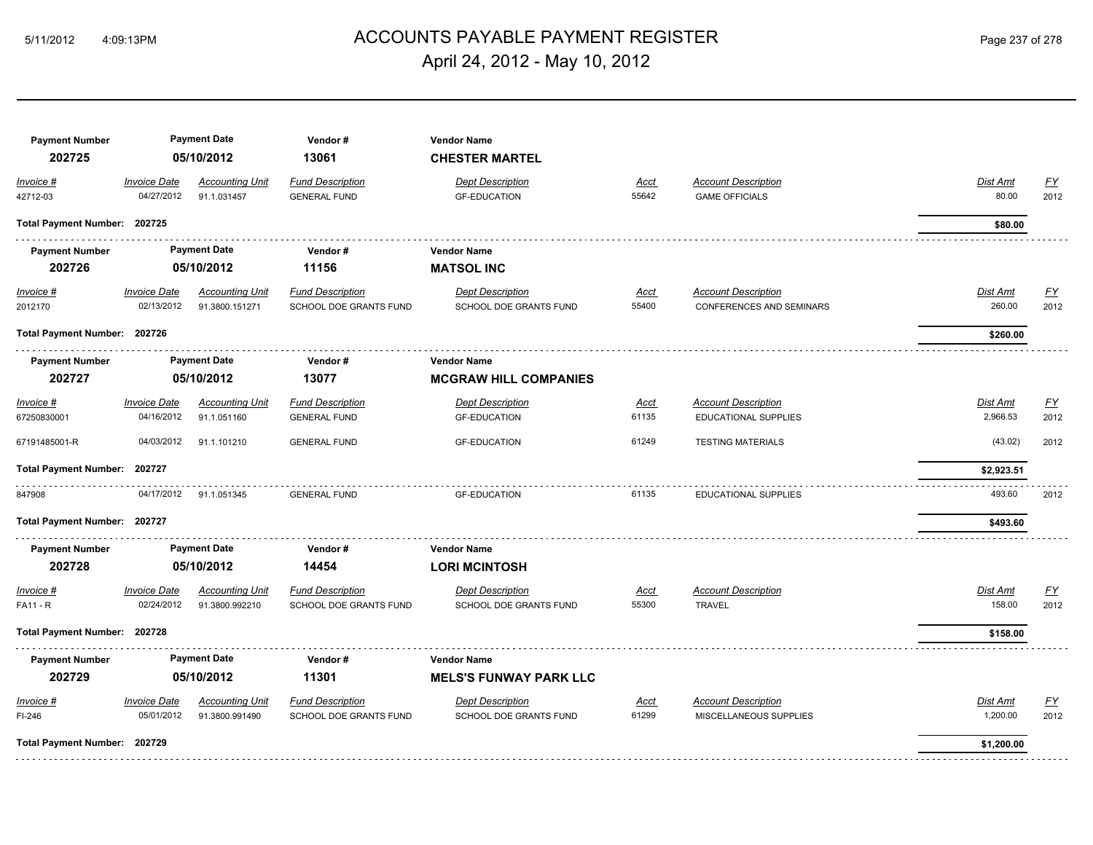## ACCOUNTS PAYABLE PAYMENT REGISTER 5/11/2012 4:09:13PM Page 237 of 278 April 24, 2012 - May 10, 2012

| <b>Payment Number</b><br>202725     |                                   | <b>Payment Date</b><br>05/10/2012        | Vendor#<br>13061                                  | <b>Vendor Name</b><br><b>CHESTER MARTEL</b>         |                      |                                                               |                           |                   |
|-------------------------------------|-----------------------------------|------------------------------------------|---------------------------------------------------|-----------------------------------------------------|----------------------|---------------------------------------------------------------|---------------------------|-------------------|
| Invoice #<br>42712-03               | <b>Invoice Date</b><br>04/27/2012 | <b>Accounting Unit</b><br>91.1.031457    | <b>Fund Description</b><br><b>GENERAL FUND</b>    | <b>Dept Description</b><br><b>GF-EDUCATION</b>      | <u>Acct</u><br>55642 | <b>Account Description</b><br><b>GAME OFFICIALS</b>           | Dist Amt<br>80.00         | EY<br>2012        |
| Total Payment Number: 202725        |                                   |                                          |                                                   |                                                     |                      |                                                               | \$80.00                   |                   |
| <b>Payment Number</b><br>202726     |                                   | <b>Payment Date</b><br>05/10/2012        | Vendor#<br>11156                                  | <b>Vendor Name</b><br><b>MATSOL INC</b>             |                      |                                                               |                           |                   |
| $Invoice$ #<br>2012170              | <b>Invoice Date</b><br>02/13/2012 | <b>Accounting Unit</b><br>91.3800.151271 | <b>Fund Description</b><br>SCHOOL DOE GRANTS FUND | <b>Dept Description</b><br>SCHOOL DOE GRANTS FUND   | Acct<br>55400        | <b>Account Description</b><br><b>CONFERENCES AND SEMINARS</b> | <b>Dist Amt</b><br>260.00 | <u>FY</u><br>2012 |
| Total Payment Number: 202726        |                                   |                                          |                                                   |                                                     |                      |                                                               | \$260.00                  |                   |
| <b>Payment Number</b><br>202727     |                                   | <b>Payment Date</b><br>05/10/2012        | Vendor#<br>13077                                  | <b>Vendor Name</b><br><b>MCGRAW HILL COMPANIES</b>  |                      |                                                               |                           |                   |
| Invoice #<br>67250830001            | <b>Invoice Date</b><br>04/16/2012 | <b>Accounting Unit</b><br>91.1.051160    | <b>Fund Description</b><br><b>GENERAL FUND</b>    | <b>Dept Description</b><br><b>GF-EDUCATION</b>      | Acct<br>61135        | <b>Account Description</b><br><b>EDUCATIONAL SUPPLIES</b>     | Dist Amt<br>2,966.53      | <u>FY</u><br>2012 |
| 67191485001-R                       | 04/03/2012                        | 91.1.101210                              | <b>GENERAL FUND</b>                               | <b>GF-EDUCATION</b>                                 | 61249                | <b>TESTING MATERIALS</b>                                      | (43.02)                   | 2012              |
| Total Payment Number: 202727        |                                   |                                          |                                                   |                                                     |                      |                                                               | \$2,923.51                |                   |
| 847908                              | 04/17/2012                        | 91.1.051345                              | <b>GENERAL FUND</b>                               | <b>GF-EDUCATION</b>                                 | 61135                | EDUCATIONAL SUPPLIES                                          | 493.60                    | 2012              |
| Total Payment Number: 202727        |                                   |                                          |                                                   |                                                     |                      |                                                               | \$493.60                  |                   |
| <b>Payment Number</b><br>202728     |                                   | <b>Payment Date</b><br>05/10/2012        | Vendor#<br>14454                                  | <b>Vendor Name</b><br><b>LORI MCINTOSH</b>          |                      |                                                               |                           |                   |
| <i>Invoice</i> #<br><b>FA11 - R</b> | <b>Invoice Date</b><br>02/24/2012 | <b>Accounting Unit</b><br>91.3800.992210 | <b>Fund Description</b><br>SCHOOL DOE GRANTS FUND | <b>Dept Description</b><br>SCHOOL DOE GRANTS FUND   | <u>Acct</u><br>55300 | <b>Account Description</b><br><b>TRAVEL</b>                   | <b>Dist Amt</b><br>158.00 | EY<br>2012        |
| Total Payment Number: 202728        |                                   |                                          |                                                   |                                                     |                      |                                                               | \$158.00                  |                   |
| <b>Payment Number</b><br>202729     |                                   | <b>Payment Date</b><br>05/10/2012        | Vendor#<br>11301                                  | <b>Vendor Name</b><br><b>MELS'S FUNWAY PARK LLC</b> |                      |                                                               |                           |                   |
| Invoice #<br>FI-246                 | <b>Invoice Date</b><br>05/01/2012 | <b>Accounting Unit</b><br>91.3800.991490 | <b>Fund Description</b><br>SCHOOL DOE GRANTS FUND | <b>Dept Description</b><br>SCHOOL DOE GRANTS FUND   | <u>Acct</u><br>61299 | <b>Account Description</b><br>MISCELLANEOUS SUPPLIES          | Dist Amt<br>1,200.00      | <u>FY</u><br>2012 |
| Total Payment Number: 202729        |                                   |                                          |                                                   |                                                     |                      |                                                               | \$1,200.00                |                   |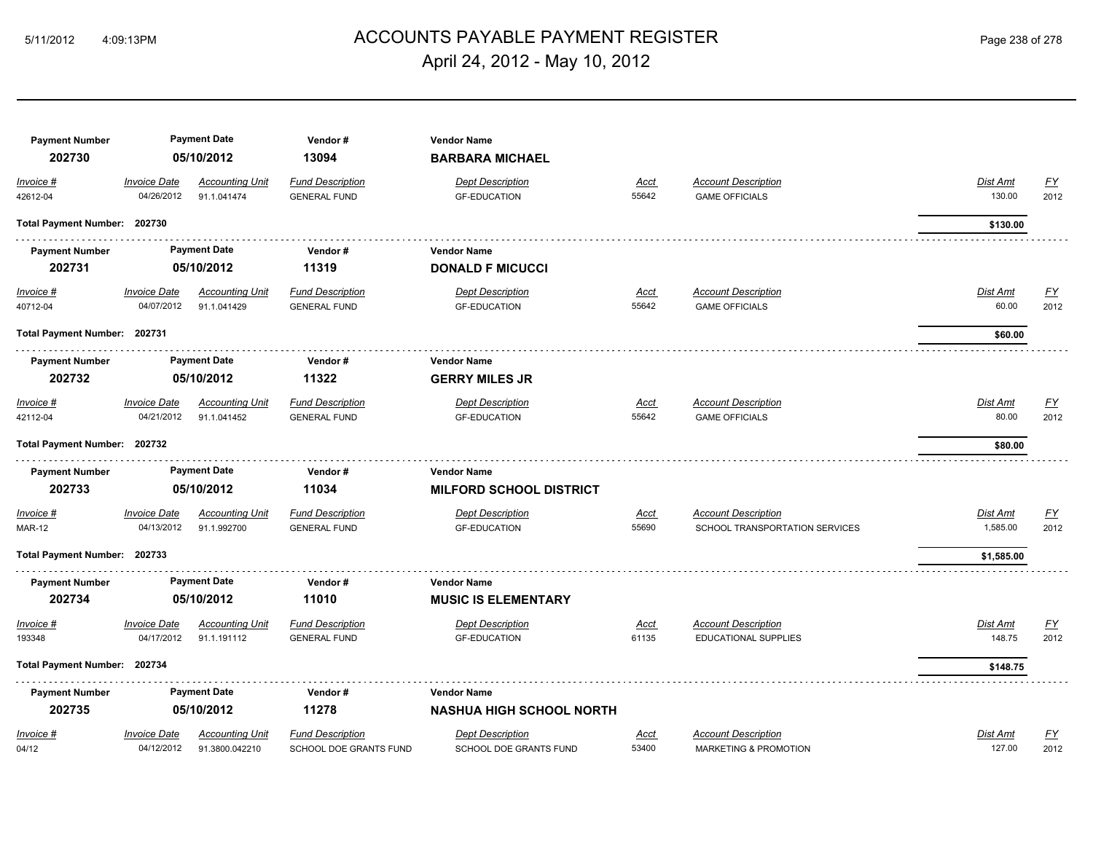## ACCOUNTS PAYABLE PAYMENT REGISTER 5/11/2012 4:09:13PM Page 238 of 278 April 24, 2012 - May 10, 2012

| <b>Payment Number</b><br>202730 |                                   | <b>Payment Date</b><br>05/10/2012        | Vendor#<br>13094                                         | <b>Vendor Name</b><br><b>BARBARA MICHAEL</b>             |                      |                                                                |                                                         |  |
|---------------------------------|-----------------------------------|------------------------------------------|----------------------------------------------------------|----------------------------------------------------------|----------------------|----------------------------------------------------------------|---------------------------------------------------------|--|
| Invoice #<br>42612-04           | <b>Invoice Date</b><br>04/26/2012 | <b>Accounting Unit</b><br>91.1.041474    | <b>Fund Description</b><br><b>GENERAL FUND</b>           | <b>Dept Description</b><br><b>GF-EDUCATION</b>           | <u>Acct</u><br>55642 | <b>Account Description</b><br><b>GAME OFFICIALS</b>            | $\underline{FY}$<br>Dist Amt<br>130.00<br>2012          |  |
| Total Payment Number: 202730    |                                   |                                          |                                                          |                                                          |                      |                                                                | \$130.00                                                |  |
| <b>Payment Number</b><br>202731 |                                   | <b>Payment Date</b><br>05/10/2012        | Vendor#<br>11319                                         | <b>Vendor Name</b><br><b>DONALD F MICUCCI</b>            |                      |                                                                |                                                         |  |
| $Invoice$ #<br>40712-04         | <b>Invoice Date</b><br>04/07/2012 | <b>Accounting Unit</b><br>91.1.041429    | <b>Fund Description</b><br><b>GENERAL FUND</b>           | <b>Dept Description</b><br><b>GF-EDUCATION</b>           | <u>Acct</u><br>55642 | <b>Account Description</b><br><b>GAME OFFICIALS</b>            | <u>FY</u><br><u>Dist Amt</u><br>60.00<br>2012           |  |
| Total Payment Number: 202731    |                                   |                                          |                                                          |                                                          |                      |                                                                | \$60.00                                                 |  |
| <b>Payment Number</b><br>202732 |                                   | <b>Payment Date</b><br>05/10/2012        | Vendor#<br>11322                                         | <b>Vendor Name</b><br><b>GERRY MILES JR</b>              |                      |                                                                |                                                         |  |
| Invoice #<br>42112-04           | <b>Invoice Date</b><br>04/21/2012 | <b>Accounting Unit</b><br>91.1.041452    | <b>Fund Description</b><br><b>GENERAL FUND</b>           | <b>Dept Description</b><br><b>GF-EDUCATION</b>           | <u>Acct</u><br>55642 | <b>Account Description</b><br><b>GAME OFFICIALS</b>            | Dist Amt<br>$\underline{FY}$<br>80.00<br>2012           |  |
| Total Payment Number: 202732    |                                   |                                          |                                                          |                                                          |                      |                                                                | \$80.00                                                 |  |
| <b>Payment Number</b><br>202733 |                                   | <b>Payment Date</b><br>05/10/2012        | Vendor#<br>11034                                         | <b>Vendor Name</b><br><b>MILFORD SCHOOL DISTRICT</b>     |                      |                                                                |                                                         |  |
| Invoice #<br><b>MAR-12</b>      | Invoice Date<br>04/13/2012        | <b>Accounting Unit</b><br>91.1.992700    | <b>Fund Description</b><br><b>GENERAL FUND</b>           | <b>Dept Description</b><br><b>GF-EDUCATION</b>           | <u>Acct</u><br>55690 | <b>Account Description</b><br>SCHOOL TRANSPORTATION SERVICES   | $\underline{FY}$<br>Dist Amt<br>1,585.00<br>2012        |  |
| Total Payment Number: 202733    |                                   |                                          |                                                          |                                                          |                      |                                                                | \$1,585.00                                              |  |
| <b>Payment Number</b><br>202734 |                                   | <b>Payment Date</b><br>05/10/2012        | Vendor#<br>11010                                         | <b>Vendor Name</b><br><b>MUSIC IS ELEMENTARY</b>         |                      |                                                                |                                                         |  |
| Invoice #<br>193348             | <b>Invoice Date</b><br>04/17/2012 | <b>Accounting Unit</b><br>91.1.191112    | <b>Fund Description</b><br><b>GENERAL FUND</b>           | <b>Dept Description</b><br><b>GF-EDUCATION</b>           | <u>Acct</u><br>61135 | <b>Account Description</b><br><b>EDUCATIONAL SUPPLIES</b>      | <u>FY</u><br>Dist Amt<br>148.75<br>2012                 |  |
| Total Payment Number: 202734    |                                   |                                          |                                                          |                                                          |                      |                                                                | \$148.75                                                |  |
| <b>Payment Number</b><br>202735 |                                   | <b>Payment Date</b><br>05/10/2012        | Vendor#<br>11278                                         | <b>Vendor Name</b><br><b>NASHUA HIGH SCHOOL NORTH</b>    |                      |                                                                |                                                         |  |
| Invoice #<br>04/12              | <b>Invoice Date</b><br>04/12/2012 | <b>Accounting Unit</b><br>91.3800.042210 | <b>Fund Description</b><br><b>SCHOOL DOE GRANTS FUND</b> | <b>Dept Description</b><br><b>SCHOOL DOE GRANTS FUND</b> | <b>Acct</b><br>53400 | <b>Account Description</b><br><b>MARKETING &amp; PROMOTION</b> | $\underline{\mathsf{FY}}$<br>Dist Amt<br>127.00<br>2012 |  |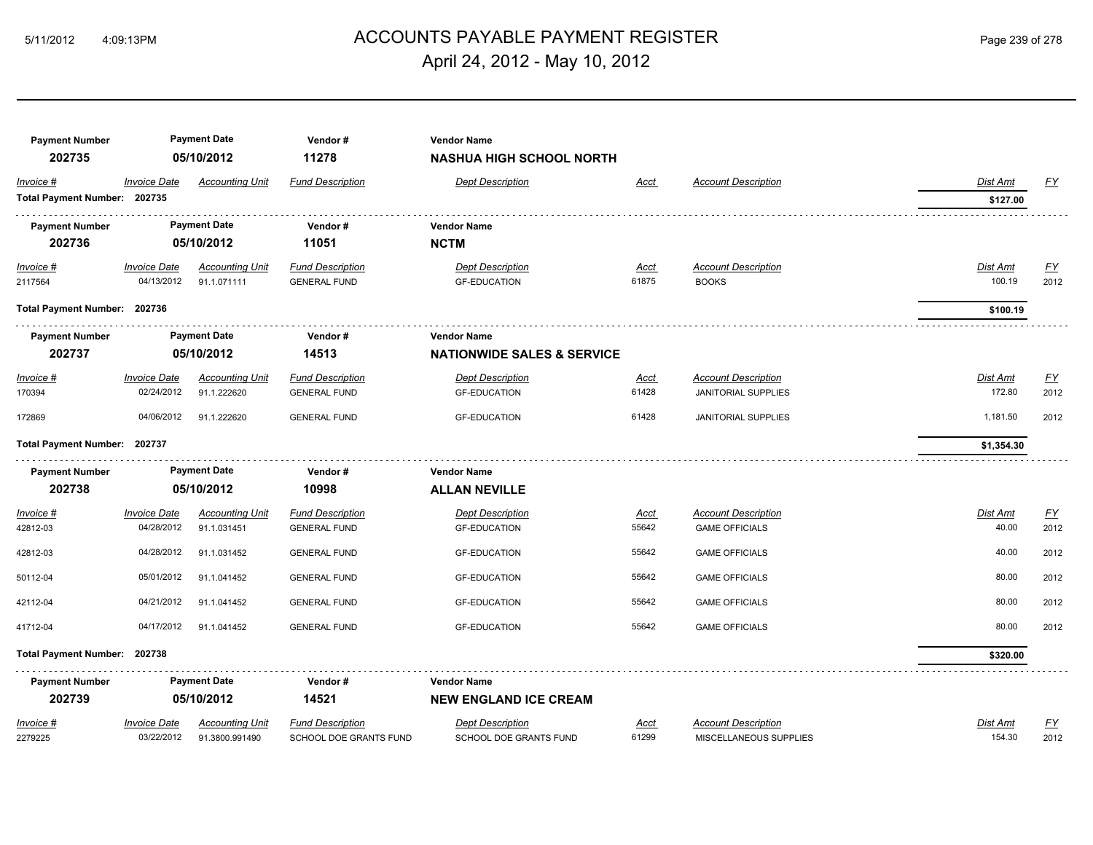## ACCOUNTS PAYABLE PAYMENT REGISTER 5/11/2012 4:09:13PM Page 239 of 278 April 24, 2012 - May 10, 2012

| <b>Payment Number</b><br>202735           |                     | <b>Payment Date</b><br>05/10/2012 | Vendor#<br>11278        | <b>Vendor Name</b><br><b>NASHUA HIGH SCHOOL NORTH</b> |             |                                       |                      |                  |  |  |
|-------------------------------------------|---------------------|-----------------------------------|-------------------------|-------------------------------------------------------|-------------|---------------------------------------|----------------------|------------------|--|--|
| Invoice #<br>Total Payment Number: 202735 | <b>Invoice Date</b> | <b>Accounting Unit</b>            | <b>Fund Description</b> | <b>Dept Description</b>                               | Acct        | <b>Account Description</b>            | Dist Amt<br>\$127.00 | EY               |  |  |
| <b>Payment Number</b>                     |                     | <b>Payment Date</b>               | Vendor#                 | <b>Vendor Name</b>                                    |             |                                       |                      |                  |  |  |
| 202736                                    |                     | 05/10/2012                        | 11051                   | <b>NCTM</b>                                           |             |                                       |                      |                  |  |  |
| $Invoice$ #                               | <b>Invoice Date</b> | <b>Accounting Unit</b>            | <b>Fund Description</b> | <b>Dept Description</b>                               | <u>Acct</u> | <b>Account Description</b>            | <b>Dist Amt</b>      | <u>FY</u>        |  |  |
| 2117564                                   | 04/13/2012          | 91.1.071111                       | <b>GENERAL FUND</b>     | <b>GF-EDUCATION</b>                                   | 61875       | <b>BOOKS</b>                          | 100.19               | 2012             |  |  |
| Total Payment Number: 202736              |                     |                                   |                         |                                                       |             |                                       | \$100.19             |                  |  |  |
| <b>Payment Number</b>                     | <b>Payment Date</b> |                                   | Vendor#                 | <b>Vendor Name</b>                                    |             |                                       |                      |                  |  |  |
| 202737                                    | 05/10/2012          |                                   |                         |                                                       | 14513       | <b>NATIONWIDE SALES &amp; SERVICE</b> |                      |                  |  |  |
| Invoice #                                 | <b>Invoice Date</b> | <b>Accounting Unit</b>            | <b>Fund Description</b> | <b>Dept Description</b>                               | <u>Acct</u> | <b>Account Description</b>            | Dist Amt             | $\underline{FY}$ |  |  |
| 170394                                    | 02/24/2012          | 91.1.222620                       | <b>GENERAL FUND</b>     | <b>GF-EDUCATION</b>                                   | 61428       | <b>JANITORIAL SUPPLIES</b>            | 172.80               | 2012             |  |  |
| 172869                                    | 04/06/2012          | 91.1.222620                       | <b>GENERAL FUND</b>     | <b>GF-EDUCATION</b>                                   | 61428       | <b>JANITORIAL SUPPLIES</b>            | 1,181.50             | 2012             |  |  |
| Total Payment Number: 202737              |                     |                                   |                         |                                                       |             |                                       | \$1,354.30           |                  |  |  |
| <b>Payment Number</b>                     |                     | <b>Payment Date</b>               | Vendor#                 | <b>Vendor Name</b>                                    |             |                                       |                      |                  |  |  |
| 202738                                    |                     | 05/10/2012                        | 10998                   | <b>ALLAN NEVILLE</b>                                  |             |                                       |                      |                  |  |  |
| Invoice #                                 | <b>Invoice Date</b> | <b>Accounting Unit</b>            | <b>Fund Description</b> | <b>Dept Description</b>                               | <u>Acct</u> | <b>Account Description</b>            | Dist Amt             | $\underline{FY}$ |  |  |
| 42812-03                                  | 04/28/2012          | 91.1.031451                       | <b>GENERAL FUND</b>     | <b>GF-EDUCATION</b>                                   | 55642       | <b>GAME OFFICIALS</b>                 | 40.00                | 2012             |  |  |
| 42812-03                                  | 04/28/2012          | 91.1.031452                       | <b>GENERAL FUND</b>     | <b>GF-EDUCATION</b>                                   | 55642       | <b>GAME OFFICIALS</b>                 | 40.00                | 2012             |  |  |
| 50112-04                                  | 05/01/2012          | 91.1.041452                       | <b>GENERAL FUND</b>     | <b>GF-EDUCATION</b>                                   | 55642       | <b>GAME OFFICIALS</b>                 | 80.00                | 2012             |  |  |
| 42112-04                                  | 04/21/2012          | 91.1.041452                       | <b>GENERAL FUND</b>     | <b>GF-EDUCATION</b>                                   | 55642       | <b>GAME OFFICIALS</b>                 | 80.00                | 2012             |  |  |
| 41712-04                                  | 04/17/2012          | 91.1.041452                       | <b>GENERAL FUND</b>     | <b>GF-EDUCATION</b>                                   | 55642       | <b>GAME OFFICIALS</b>                 | 80.00                | 2012             |  |  |
| Total Payment Number: 202738              |                     |                                   |                         |                                                       |             |                                       | \$320.00             |                  |  |  |
| <b>Payment Number</b>                     |                     | <b>Payment Date</b>               | Vendor#                 | <b>Vendor Name</b>                                    |             |                                       |                      |                  |  |  |
| 202739                                    |                     | 05/10/2012                        | 14521                   | <b>NEW ENGLAND ICE CREAM</b>                          |             |                                       |                      |                  |  |  |
| Invoice #                                 | <b>Invoice Date</b> | <b>Accounting Unit</b>            | <b>Fund Description</b> | <b>Dept Description</b>                               | Acct        | <b>Account Description</b>            | Dist Amt             | $\underline{FY}$ |  |  |
| 2279225                                   | 03/22/2012          | 91.3800.991490                    | SCHOOL DOE GRANTS FUND  | SCHOOL DOE GRANTS FUND                                | 61299       | MISCELLANEOUS SUPPLIES                | 154.30               | 2012             |  |  |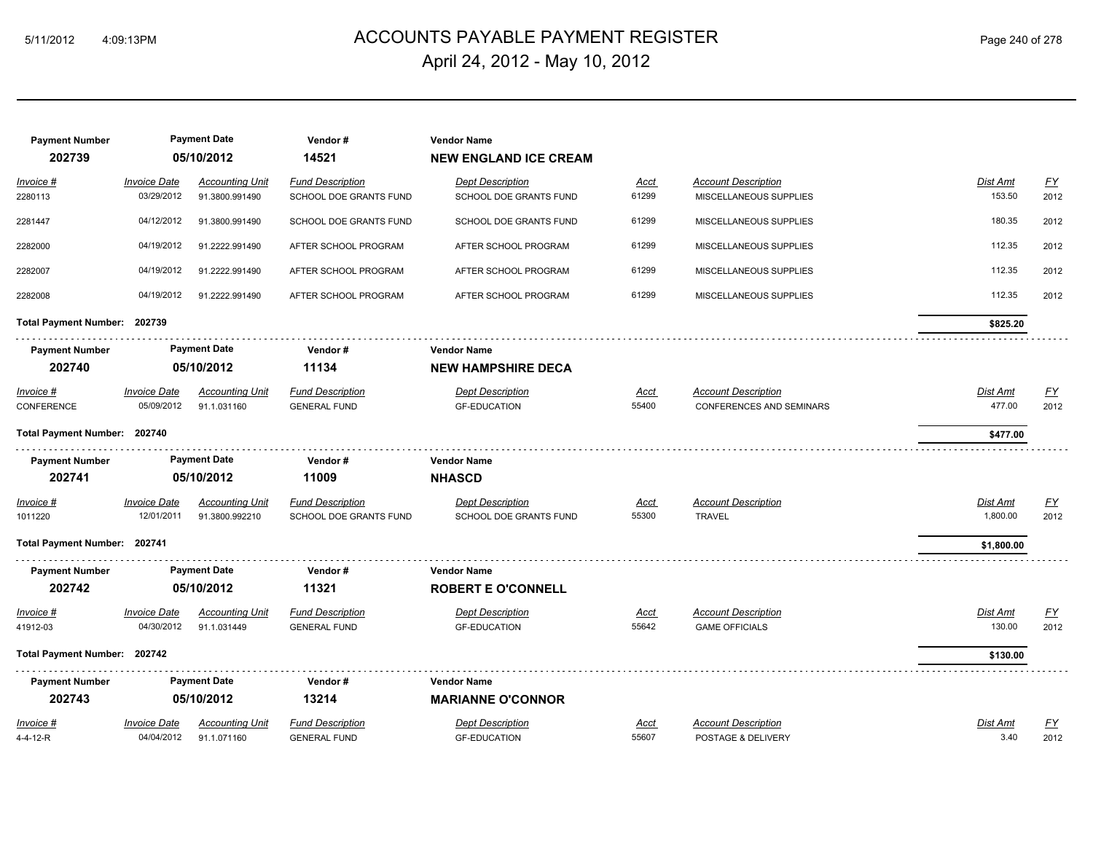## ACCOUNTS PAYABLE PAYMENT REGISTER 5/11/2012 4:09:13PM Page 240 of 278 April 24, 2012 - May 10, 2012

| <b>Payment Number</b><br>202739 |                                   | <b>Payment Date</b><br>05/10/2012        | Vendor#<br>14521                                  | <b>Vendor Name</b><br><b>NEW ENGLAND ICE CREAM</b> |                      |                                                               |                           |                          |
|---------------------------------|-----------------------------------|------------------------------------------|---------------------------------------------------|----------------------------------------------------|----------------------|---------------------------------------------------------------|---------------------------|--------------------------|
| <u>Invoice #</u><br>2280113     | <b>Invoice Date</b><br>03/29/2012 | <b>Accounting Unit</b><br>91.3800.991490 | <b>Fund Description</b><br>SCHOOL DOE GRANTS FUND | <b>Dept Description</b><br>SCHOOL DOE GRANTS FUND  | <u>Acct</u><br>61299 | <b>Account Description</b><br>MISCELLANEOUS SUPPLIES          | Dist Amt<br>153.50        | $\underline{FY}$<br>2012 |
| 2281447                         | 04/12/2012                        | 91.3800.991490                           | SCHOOL DOE GRANTS FUND                            | SCHOOL DOE GRANTS FUND                             | 61299                | MISCELLANEOUS SUPPLIES                                        | 180.35                    | 2012                     |
| 2282000                         | 04/19/2012                        | 91.2222.991490                           | AFTER SCHOOL PROGRAM                              | AFTER SCHOOL PROGRAM                               | 61299                | MISCELLANEOUS SUPPLIES                                        | 112.35                    | 2012                     |
| 2282007                         | 04/19/2012                        | 91.2222.991490                           | AFTER SCHOOL PROGRAM                              | AFTER SCHOOL PROGRAM                               | 61299                | MISCELLANEOUS SUPPLIES                                        | 112.35                    | 2012                     |
| 2282008                         | 04/19/2012                        | 91.2222.991490                           | AFTER SCHOOL PROGRAM                              | AFTER SCHOOL PROGRAM                               | 61299                | MISCELLANEOUS SUPPLIES                                        | 112.35                    | 2012                     |
| Total Payment Number: 202739    |                                   |                                          |                                                   |                                                    |                      |                                                               | \$825.20                  |                          |
| <b>Payment Number</b>           |                                   | <b>Payment Date</b>                      | Vendor#                                           | <b>Vendor Name</b>                                 |                      |                                                               |                           |                          |
| 202740                          |                                   | 05/10/2012                               | 11134                                             | <b>NEW HAMPSHIRE DECA</b>                          |                      |                                                               |                           |                          |
| <u>Invoice #</u><br>CONFERENCE  | <b>Invoice Date</b><br>05/09/2012 | <b>Accounting Unit</b><br>91.1.031160    | <b>Fund Description</b><br><b>GENERAL FUND</b>    | <b>Dept Description</b><br><b>GF-EDUCATION</b>     | <u>Acct</u><br>55400 | <b>Account Description</b><br><b>CONFERENCES AND SEMINARS</b> | <b>Dist Amt</b><br>477.00 | <u>FY</u><br>2012        |
| Total Payment Number: 202740    |                                   |                                          |                                                   |                                                    |                      |                                                               | \$477.00                  |                          |
| <b>Payment Number</b>           |                                   | <b>Payment Date</b>                      | Vendor#                                           | <b>Vendor Name</b>                                 |                      |                                                               |                           |                          |
| 202741                          |                                   | 05/10/2012                               | 11009                                             | <b>NHASCD</b>                                      |                      |                                                               |                           |                          |
| <u>Invoice #</u><br>1011220     | <b>Invoice Date</b><br>12/01/2011 | <b>Accounting Unit</b><br>91.3800.992210 | <b>Fund Description</b><br>SCHOOL DOE GRANTS FUND | <b>Dept Description</b><br>SCHOOL DOE GRANTS FUND  | <u>Acct</u><br>55300 | <b>Account Description</b><br><b>TRAVEL</b>                   | Dist Amt<br>1,800.00      | $\underline{FY}$<br>2012 |
| Total Payment Number: 202741    |                                   |                                          |                                                   |                                                    |                      |                                                               | \$1,800.00                |                          |
| <b>Payment Number</b><br>202742 |                                   | <b>Payment Date</b><br>05/10/2012        | Vendor#<br>11321                                  | <b>Vendor Name</b><br><b>ROBERT E O'CONNELL</b>    |                      |                                                               |                           |                          |
| <u>Invoice #</u>                | <b>Invoice Date</b>               | <b>Accounting Unit</b>                   | <b>Fund Description</b>                           | Dept Description                                   | <u>Acct</u>          | <b>Account Description</b>                                    | Dist Amt                  | <u>FY</u>                |
| 41912-03                        | 04/30/2012                        | 91.1.031449                              | <b>GENERAL FUND</b>                               | <b>GF-EDUCATION</b>                                | 55642                | <b>GAME OFFICIALS</b>                                         | 130.00                    | 2012                     |
| Total Payment Number: 202742    |                                   |                                          |                                                   |                                                    |                      |                                                               | \$130.00                  |                          |
| <b>Payment Number</b>           |                                   | <b>Payment Date</b>                      | Vendor#                                           | <b>Vendor Name</b>                                 |                      |                                                               |                           |                          |
| 202743                          |                                   | 05/10/2012                               | 13214                                             | <b>MARIANNE O'CONNOR</b>                           |                      |                                                               |                           |                          |
| Invoice #<br>4-4-12-R           | <b>Invoice Date</b><br>04/04/2012 | <b>Accounting Unit</b><br>91.1.071160    | <b>Fund Description</b><br><b>GENERAL FUND</b>    | Dept Description<br><b>GF-EDUCATION</b>            | Acct<br>55607        | <b>Account Description</b><br>POSTAGE & DELIVERY              | Dist Amt<br>3.40          | <u>FY</u><br>2012        |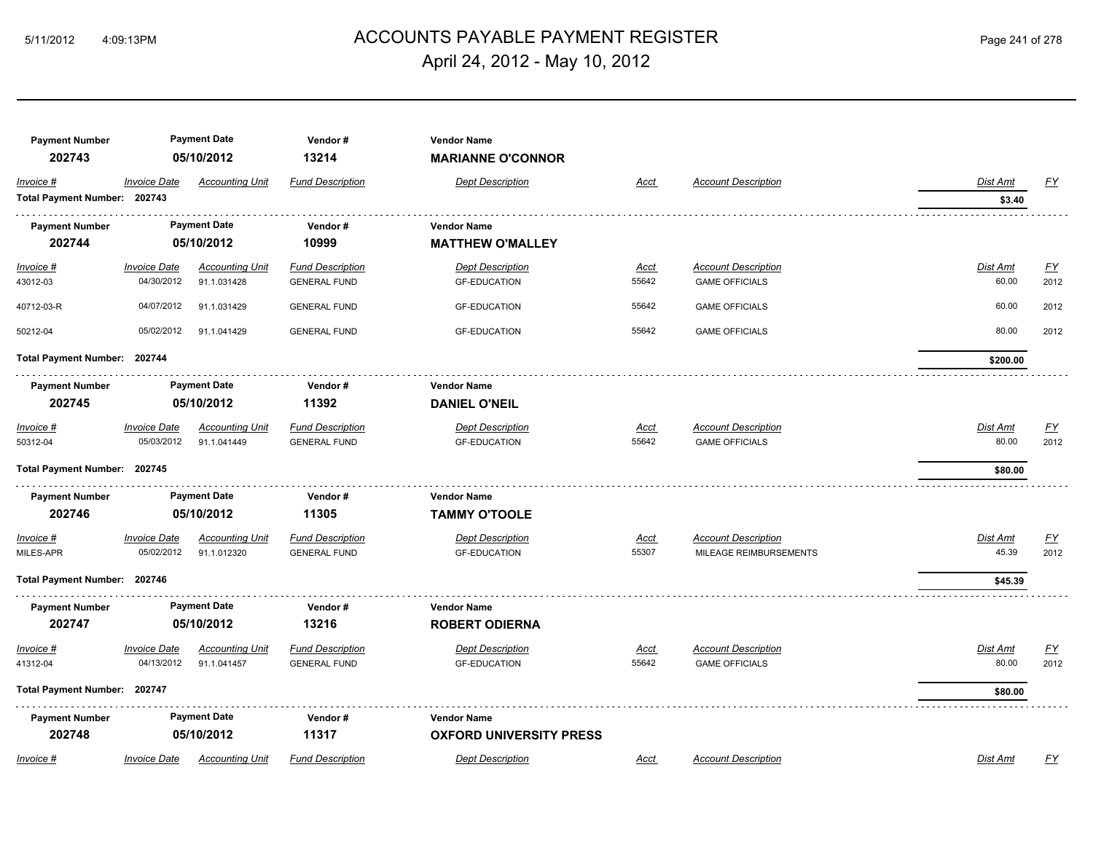## ACCOUNTS PAYABLE PAYMENT REGISTER 5/11/2012 4:09:13PM Page 241 of 278 April 24, 2012 - May 10, 2012

| <b>Payment Number</b><br>202743           |                            | <b>Payment Date</b><br>05/10/2012 | Vendor#<br>13214        | <b>Vendor Name</b><br><b>MARIANNE O'CONNOR</b> |             |                            |                           |                  |
|-------------------------------------------|----------------------------|-----------------------------------|-------------------------|------------------------------------------------|-------------|----------------------------|---------------------------|------------------|
| Invoice #<br>Total Payment Number: 202743 | <i><b>Invoice Date</b></i> | <b>Accounting Unit</b>            | <b>Fund Description</b> | <b>Dept Description</b>                        | <u>Acct</u> | <b>Account Description</b> | <b>Dist Amt</b><br>\$3.40 | $\underline{FY}$ |
|                                           |                            |                                   |                         |                                                |             |                            |                           |                  |
| <b>Payment Number</b>                     |                            | <b>Payment Date</b>               | Vendor#                 | <b>Vendor Name</b>                             |             |                            |                           |                  |
| 202744                                    |                            | 05/10/2012                        | 10999                   | <b>MATTHEW O'MALLEY</b>                        |             |                            |                           |                  |
| Invoice #                                 | <b>Invoice Date</b>        | <b>Accounting Unit</b>            | <b>Fund Description</b> | <b>Dept Description</b>                        | <b>Acct</b> | <b>Account Description</b> | <b>Dist Amt</b>           | EY               |
| 43012-03                                  | 04/30/2012                 | 91.1.031428                       | <b>GENERAL FUND</b>     | <b>GF-EDUCATION</b>                            | 55642       | <b>GAME OFFICIALS</b>      | 60.00                     | 2012             |
| 40712-03-R                                | 04/07/2012                 | 91.1.031429                       | <b>GENERAL FUND</b>     | <b>GF-EDUCATION</b>                            | 55642       | <b>GAME OFFICIALS</b>      | 60.00                     | 2012             |
| 50212-04                                  | 05/02/2012                 | 91.1.041429                       | <b>GENERAL FUND</b>     | <b>GF-EDUCATION</b>                            | 55642       | <b>GAME OFFICIALS</b>      | 80.00                     | 2012             |
| Total Payment Number: 202744              |                            |                                   |                         |                                                |             |                            | \$200.00                  |                  |
| <b>Payment Number</b>                     |                            | <b>Payment Date</b>               | Vendor#                 | <b>Vendor Name</b>                             |             |                            |                           |                  |
| 202745                                    |                            | 05/10/2012                        | 11392                   | <b>DANIEL O'NEIL</b>                           |             |                            |                           |                  |
| Invoice #                                 | <i><b>Invoice Date</b></i> | <b>Accounting Unit</b>            | <b>Fund Description</b> | <b>Dept Description</b>                        | <b>Acct</b> | <b>Account Description</b> | Dist Amt                  | $\underline{FY}$ |
| 50312-04                                  | 05/03/2012                 | 91.1.041449                       | <b>GENERAL FUND</b>     | <b>GF-EDUCATION</b>                            | 55642       | <b>GAME OFFICIALS</b>      | 80.00                     | 2012             |
| Total Payment Number: 202745              |                            |                                   |                         |                                                |             |                            | \$80.00                   |                  |
| <b>Payment Number</b>                     |                            | <b>Payment Date</b>               | Vendor#                 | <b>Vendor Name</b>                             |             |                            |                           |                  |
| 202746                                    |                            | 05/10/2012                        | 11305                   | <b>TAMMY O'TOOLE</b>                           |             |                            |                           |                  |
| Invoice #                                 | <b>Invoice Date</b>        | <b>Accounting Unit</b>            | <b>Fund Description</b> | <b>Dept Description</b>                        | <u>Acct</u> | <b>Account Description</b> | Dist Amt                  | $\underline{FY}$ |
| MILES-APR                                 | 05/02/2012                 | 91.1.012320                       | <b>GENERAL FUND</b>     | <b>GF-EDUCATION</b>                            | 55307       | MILEAGE REIMBURSEMENTS     | 45.39                     | 2012             |
| Total Payment Number: 202746              |                            |                                   |                         |                                                |             |                            | \$45.39                   |                  |
| <b>Payment Number</b>                     |                            | <b>Payment Date</b>               | Vendor#                 | <b>Vendor Name</b>                             |             |                            |                           |                  |
| 202747                                    |                            | 05/10/2012                        | 13216                   | <b>ROBERT ODIERNA</b>                          |             |                            |                           |                  |
| Invoice #                                 | <b>Invoice Date</b>        | <b>Accounting Unit</b>            | <b>Fund Description</b> | <b>Dept Description</b>                        | Acct        | <b>Account Description</b> | Dist Amt                  | <u>FY</u>        |
| 41312-04                                  | 04/13/2012                 | 91.1.041457                       | <b>GENERAL FUND</b>     | <b>GF-EDUCATION</b>                            | 55642       | <b>GAME OFFICIALS</b>      | 80.00                     | 2012             |
| Total Payment Number: 202747              |                            |                                   |                         |                                                |             |                            | \$80.00                   |                  |
| <b>Payment Number</b>                     |                            | <b>Payment Date</b>               | Vendor#                 | <b>Vendor Name</b>                             |             |                            |                           |                  |
| 202748                                    |                            | 05/10/2012                        | 11317                   | <b>OXFORD UNIVERSITY PRESS</b>                 |             |                            |                           |                  |
| Invoice #                                 | <b>Invoice Date</b>        | <b>Accounting Unit</b>            | <b>Fund Description</b> | <b>Dept Description</b>                        | Acct        | <b>Account Description</b> | Dist Amt                  | FY               |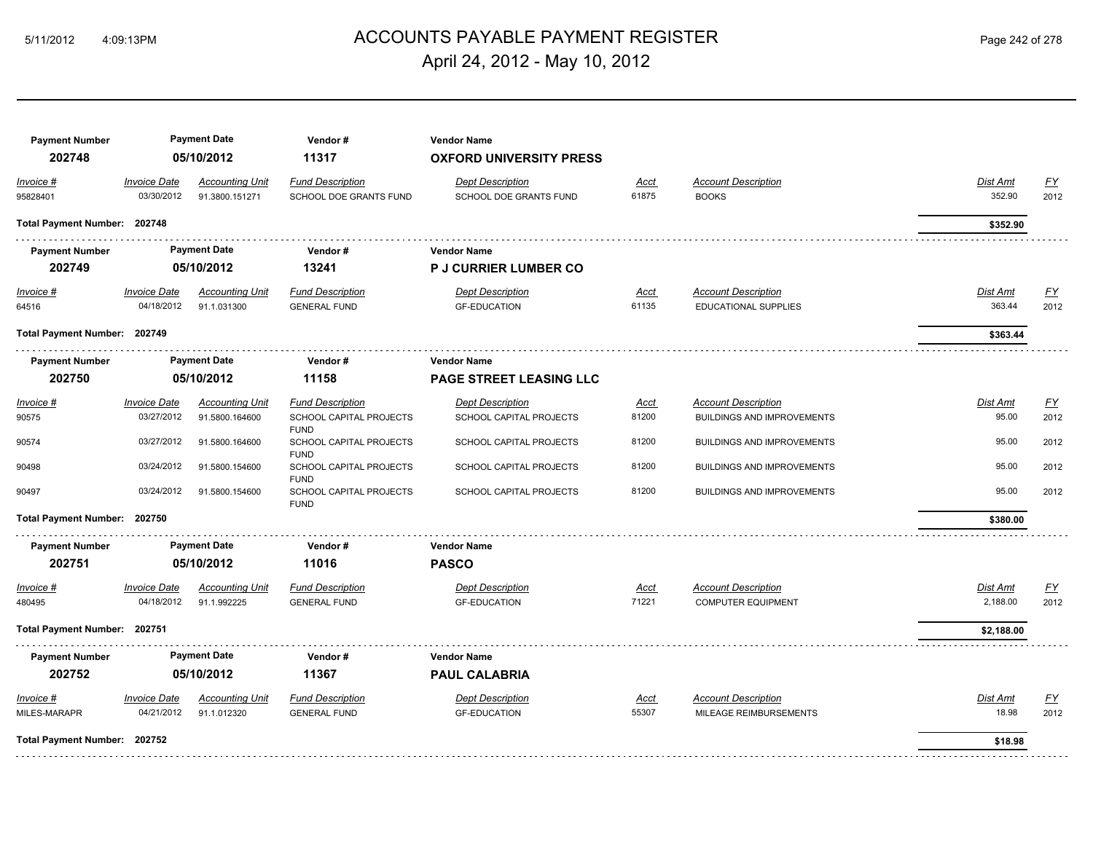## ACCOUNTS PAYABLE PAYMENT REGISTER 5/11/2012 4:09:13PM Page 242 of 278 April 24, 2012 - May 10, 2012

| <b>Payment Number</b><br>202748 |                                   | <b>Payment Date</b><br>05/10/2012        | Vendor#<br>11317                                         | <b>Vendor Name</b><br><b>OXFORD UNIVERSITY PRESS</b> |               |                                            |                    |                                |  |  |  |  |
|---------------------------------|-----------------------------------|------------------------------------------|----------------------------------------------------------|------------------------------------------------------|---------------|--------------------------------------------|--------------------|--------------------------------|--|--|--|--|
| Invoice #<br>95828401           | <b>Invoice Date</b><br>03/30/2012 | <b>Accounting Unit</b><br>91.3800.151271 | <b>Fund Description</b><br><b>SCHOOL DOE GRANTS FUND</b> | <b>Dept Description</b><br>SCHOOL DOE GRANTS FUND    | Acct<br>61875 | <b>Account Description</b><br><b>BOOKS</b> | Dist Amt<br>352.90 | EY<br>2012                     |  |  |  |  |
| Total Payment Number: 202748    |                                   |                                          |                                                          |                                                      |               |                                            | \$352.90           |                                |  |  |  |  |
| <b>Payment Number</b>           |                                   | <b>Payment Date</b>                      | Vendor#                                                  | <b>Vendor Name</b>                                   |               |                                            |                    |                                |  |  |  |  |
| 202749                          |                                   | 05/10/2012                               | 13241                                                    | <b>P J CURRIER LUMBER CO</b>                         |               |                                            |                    |                                |  |  |  |  |
| $Invoice$ #                     | <b>Invoice Date</b>               | <b>Accounting Unit</b>                   | <b>Fund Description</b>                                  | <b>Dept Description</b>                              | <u>Acct</u>   | <b>Account Description</b>                 | Dist Amt           | <u>FY</u>                      |  |  |  |  |
| 64516                           | 04/18/2012                        | 91.1.031300                              | <b>GENERAL FUND</b>                                      | <b>GF-EDUCATION</b>                                  | 61135         | <b>EDUCATIONAL SUPPLIES</b>                | 363.44             | 2012                           |  |  |  |  |
| Total Payment Number: 202749    |                                   |                                          |                                                          |                                                      |               |                                            | \$363.44           |                                |  |  |  |  |
| <b>Payment Number</b>           | <b>Payment Date</b>               |                                          |                                                          |                                                      | Vendor#       | <b>Vendor Name</b>                         |                    |                                |  |  |  |  |
| 202750                          | 05/10/2012                        |                                          |                                                          |                                                      |               |                                            | 11158              | <b>PAGE STREET LEASING LLC</b> |  |  |  |  |
| Invoice #                       | <b>Invoice Date</b>               | <b>Accounting Unit</b>                   | <b>Fund Description</b>                                  | <b>Dept Description</b>                              | Acct          | <b>Account Description</b>                 | Dist Amt           | EY                             |  |  |  |  |
| 90575                           | 03/27/2012                        | 91.5800.164600                           | SCHOOL CAPITAL PROJECTS<br><b>FUND</b>                   | SCHOOL CAPITAL PROJECTS                              | 81200         | <b>BUILDINGS AND IMPROVEMENTS</b>          | 95.00              | 2012                           |  |  |  |  |
| 90574                           | 03/27/2012                        | 91.5800.164600                           | SCHOOL CAPITAL PROJECTS<br><b>FUND</b>                   | SCHOOL CAPITAL PROJECTS                              | 81200         | <b>BUILDINGS AND IMPROVEMENTS</b>          | 95.00              | 2012                           |  |  |  |  |
| 90498                           | 03/24/2012                        | 91.5800.154600                           | SCHOOL CAPITAL PROJECTS<br><b>FUND</b>                   | SCHOOL CAPITAL PROJECTS                              | 81200         | <b>BUILDINGS AND IMPROVEMENTS</b>          | 95.00              | 2012                           |  |  |  |  |
| 90497                           | 03/24/2012                        | 91.5800.154600                           | SCHOOL CAPITAL PROJECTS<br><b>FUND</b>                   | SCHOOL CAPITAL PROJECTS                              | 81200         | <b>BUILDINGS AND IMPROVEMENTS</b>          | 95.00              | 2012                           |  |  |  |  |
| Total Payment Number: 202750    |                                   |                                          |                                                          |                                                      |               |                                            | \$380.00           |                                |  |  |  |  |
| <b>Payment Number</b>           |                                   | <b>Payment Date</b>                      | Vendor#                                                  | <b>Vendor Name</b>                                   |               |                                            |                    |                                |  |  |  |  |
| 202751                          |                                   | 05/10/2012                               | 11016                                                    | <b>PASCO</b>                                         |               |                                            |                    |                                |  |  |  |  |
| Invoice #                       | <b>Invoice Date</b>               | <b>Accounting Unit</b>                   | <b>Fund Description</b>                                  | <b>Dept Description</b>                              | Acct          | <b>Account Description</b>                 | Dist Amt           | EY                             |  |  |  |  |
| 480495                          | 04/18/2012                        | 91.1.992225                              | <b>GENERAL FUND</b>                                      | <b>GF-EDUCATION</b>                                  | 71221         | <b>COMPUTER EQUIPMENT</b>                  | 2,188.00           | 2012                           |  |  |  |  |
| Total Payment Number: 202751    |                                   |                                          |                                                          |                                                      |               |                                            | \$2,188.00         |                                |  |  |  |  |
| <b>Payment Number</b>           |                                   | <b>Payment Date</b>                      | Vendor#                                                  | <b>Vendor Name</b>                                   |               |                                            |                    |                                |  |  |  |  |
| 202752                          |                                   | 05/10/2012                               | 11367                                                    | <b>PAUL CALABRIA</b>                                 |               |                                            |                    |                                |  |  |  |  |
| Invoice #                       | <b>Invoice Date</b>               | <b>Accounting Unit</b>                   | <b>Fund Description</b>                                  | <b>Dept Description</b>                              | Acct          | <b>Account Description</b>                 | Dist Amt           | EY                             |  |  |  |  |
| MILES-MARAPR                    | 04/21/2012                        | 91.1.012320                              | <b>GENERAL FUND</b>                                      | <b>GF-EDUCATION</b>                                  | 55307         | MILEAGE REIMBURSEMENTS                     | 18.98              | 2012                           |  |  |  |  |
| Total Payment Number: 202752    |                                   |                                          |                                                          |                                                      |               |                                            | \$18.98            |                                |  |  |  |  |
|                                 |                                   |                                          |                                                          |                                                      |               |                                            |                    |                                |  |  |  |  |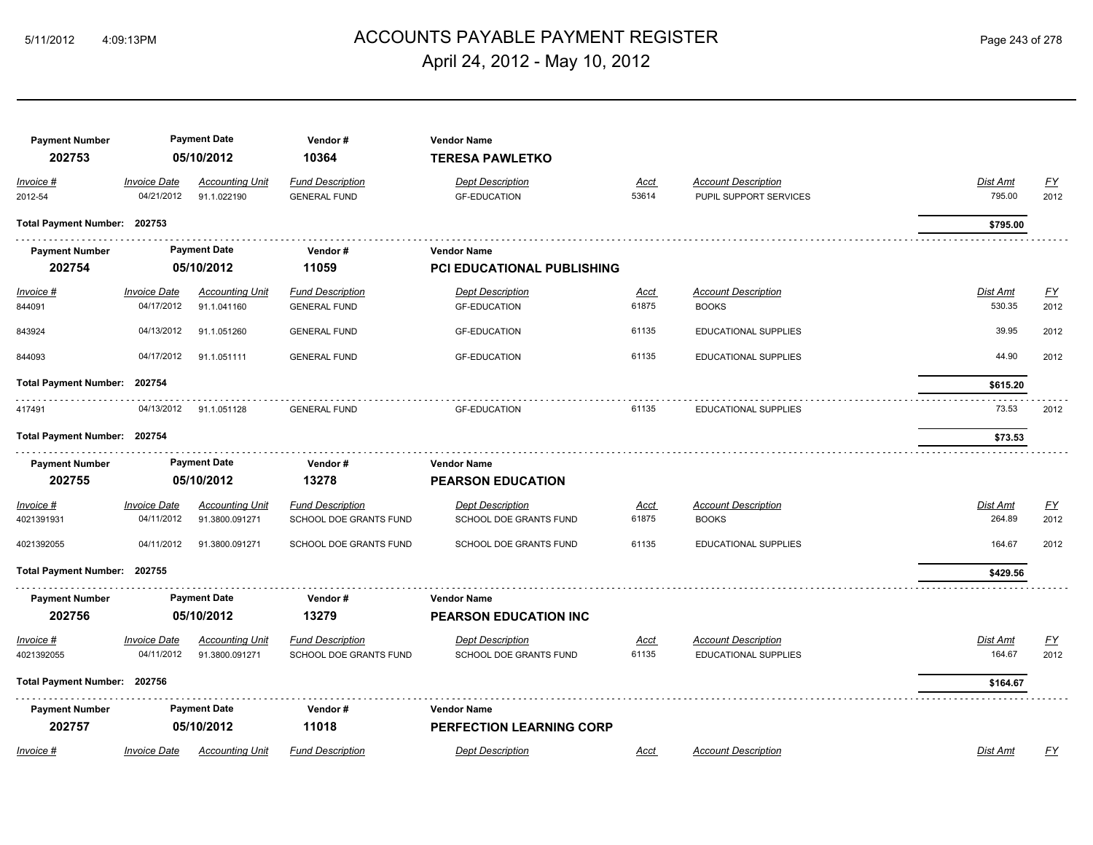#### ACCOUNTS PAYABLE PAYMENT REGISTER 5/11/2012 4:09:13PM Page 243 of 278 April 24, 2012 - May 10, 2012

| <b>Payment Number</b><br>202753 |                                          | <b>Payment Date</b><br>05/10/2012        | Vendor#<br>10364                                  | <b>Vendor Name</b><br><b>TERESA PAWLETKO</b>      |                      |                                                      |                           |                                   |
|---------------------------------|------------------------------------------|------------------------------------------|---------------------------------------------------|---------------------------------------------------|----------------------|------------------------------------------------------|---------------------------|-----------------------------------|
| Invoice #<br>2012-54            | <b>Invoice Date</b><br>04/21/2012        | <b>Accounting Unit</b><br>91.1.022190    | <b>Fund Description</b><br><b>GENERAL FUND</b>    | <b>Dept Description</b><br><b>GF-EDUCATION</b>    | Acct<br>53614        | <b>Account Description</b><br>PUPIL SUPPORT SERVICES | Dist Amt<br>795.00        | <b>FY</b><br>2012                 |
| Total Payment Number: 202753    |                                          |                                          |                                                   |                                                   |                      |                                                      | \$795.00                  |                                   |
| <b>Payment Number</b>           |                                          | <b>Payment Date</b>                      | Vendor#                                           | <b>Vendor Name</b>                                |                      |                                                      |                           |                                   |
| 202754                          |                                          | 05/10/2012                               | 11059                                             | <b>PCI EDUCATIONAL PUBLISHING</b>                 |                      |                                                      |                           |                                   |
| Invoice #<br>844091             | <b>Invoice Date</b><br>04/17/2012        | <b>Accounting Unit</b><br>91.1.041160    | <b>Fund Description</b><br><b>GENERAL FUND</b>    | <b>Dept Description</b><br><b>GF-EDUCATION</b>    | <u>Acct</u><br>61875 | <b>Account Description</b><br><b>BOOKS</b>           | <u>Dist Amt</u><br>530.35 | EY<br>2012                        |
| 843924                          | 04/13/2012                               | 91.1.051260                              | <b>GENERAL FUND</b>                               | <b>GF-EDUCATION</b>                               | 61135                | EDUCATIONAL SUPPLIES                                 | 39.95                     | 2012                              |
| 844093                          | 04/17/2012                               | 91.1.051111                              | <b>GENERAL FUND</b>                               | <b>GF-EDUCATION</b>                               | 61135                | EDUCATIONAL SUPPLIES                                 | 44.90                     | 2012                              |
| <b>Total Payment Number:</b>    | 202754                                   |                                          |                                                   |                                                   |                      |                                                      | \$615.20                  |                                   |
| 417491                          | 04/13/2012                               | 91.1.051128                              | <b>GENERAL FUND</b>                               | <b>GF-EDUCATION</b>                               | 61135                | EDUCATIONAL SUPPLIES                                 | 73.53                     | 2012                              |
| Total Payment Number: 202754    |                                          |                                          |                                                   |                                                   |                      |                                                      | \$73.53                   |                                   |
| <b>Payment Number</b>           |                                          | <b>Payment Date</b>                      | Vendor#                                           | <b>Vendor Name</b>                                |                      |                                                      |                           |                                   |
| 202755                          |                                          | 05/10/2012                               | 13278                                             | <b>PEARSON EDUCATION</b>                          |                      |                                                      |                           |                                   |
| $Invoice$ #<br>4021391931       | <b>Invoice Date</b><br>04/11/2012        | <b>Accounting Unit</b><br>91.3800.091271 | <b>Fund Description</b><br>SCHOOL DOE GRANTS FUND | <b>Dept Description</b><br>SCHOOL DOE GRANTS FUND | <u>Acct</u><br>61875 | <b>Account Description</b><br><b>BOOKS</b>           | <b>Dist Amt</b><br>264.89 | $\underline{\mathsf{FY}}$<br>2012 |
| 4021392055                      | 04/11/2012                               | 91.3800.091271                           | SCHOOL DOE GRANTS FUND                            | SCHOOL DOE GRANTS FUND                            | 61135                | EDUCATIONAL SUPPLIES                                 | 164.67                    | 2012                              |
| Total Payment Number: 202755    |                                          |                                          |                                                   |                                                   |                      |                                                      | \$429.56                  |                                   |
| <b>Payment Number</b>           |                                          | <b>Payment Date</b>                      | Vendor#                                           | <b>Vendor Name</b>                                |                      |                                                      |                           |                                   |
| 202756                          |                                          | 05/10/2012                               | 13279                                             | <b>PEARSON EDUCATION INC</b>                      |                      |                                                      |                           |                                   |
| Invoice #<br>4021392055         | <i><b>Invoice Date</b></i><br>04/11/2012 | <b>Accounting Unit</b><br>91.3800.091271 | <b>Fund Description</b><br>SCHOOL DOE GRANTS FUND | <b>Dept Description</b><br>SCHOOL DOE GRANTS FUND | <u>Acct</u><br>61135 | <b>Account Description</b><br>EDUCATIONAL SUPPLIES   | Dist Amt<br>164.67        | <u>FY</u><br>2012                 |
| Total Payment Number: 202756    |                                          |                                          |                                                   |                                                   |                      |                                                      | \$164.67                  |                                   |
| <b>Payment Number</b>           |                                          | <b>Payment Date</b>                      | Vendor#                                           | <b>Vendor Name</b>                                |                      |                                                      |                           |                                   |
| 202757                          |                                          | 05/10/2012                               | 11018                                             | <b>PERFECTION LEARNING CORP</b>                   |                      |                                                      |                           |                                   |
| Invoice #                       | <b>Invoice Date</b>                      | <b>Accounting Unit</b>                   | <b>Fund Description</b>                           | <b>Dept Description</b>                           | Acct                 | <b>Account Description</b>                           | Dist Amt                  | EY                                |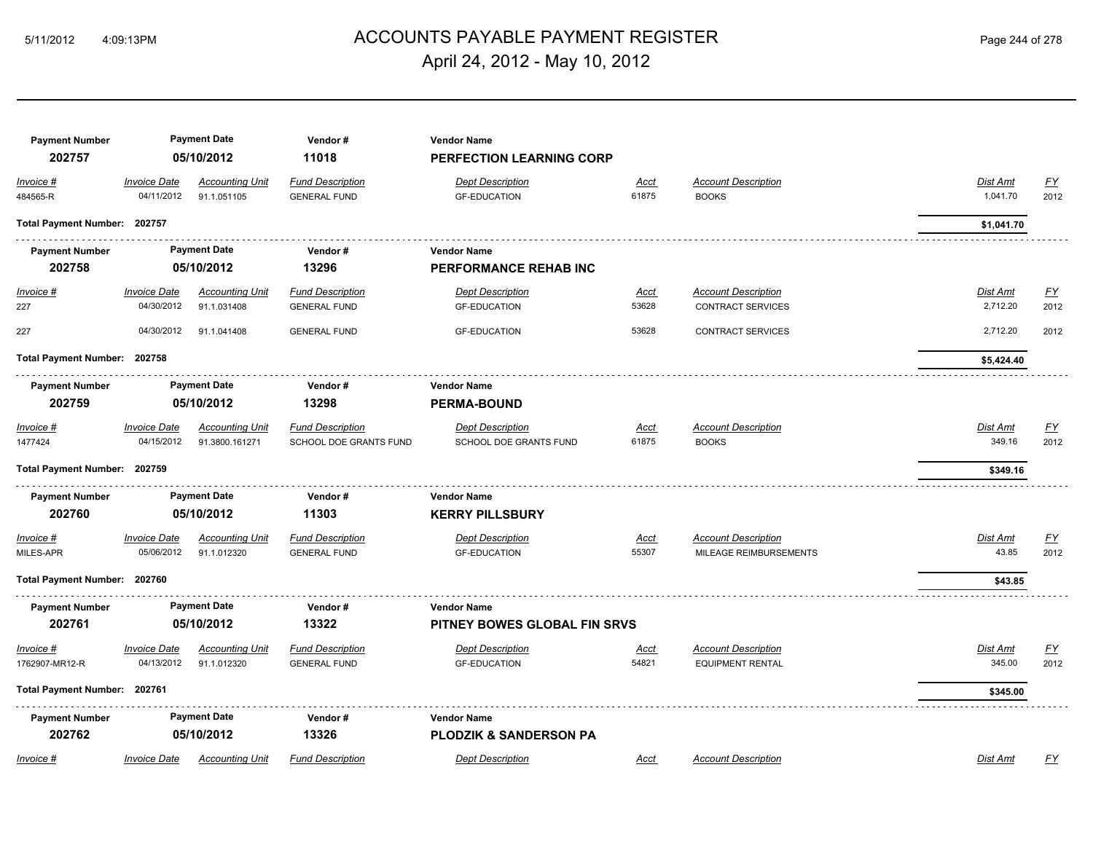## ACCOUNTS PAYABLE PAYMENT REGISTER 5/11/2012 4:09:13PM Page 244 of 278 April 24, 2012 - May 10, 2012

| <b>Payment Number</b><br>202757 |                                   | <b>Payment Date</b><br>05/10/2012        | Vendor#<br>11018                                  | <b>Vendor Name</b><br><b>PERFECTION LEARNING CORP</b>   |                      |                                                        |                          |                   |
|---------------------------------|-----------------------------------|------------------------------------------|---------------------------------------------------|---------------------------------------------------------|----------------------|--------------------------------------------------------|--------------------------|-------------------|
| Invoice #<br>484565-R           | <b>Invoice Date</b><br>04/11/2012 | <b>Accounting Unit</b><br>91.1.051105    | <b>Fund Description</b><br><b>GENERAL FUND</b>    | <b>Dept Description</b><br><b>GF-EDUCATION</b>          | <u>Acct</u><br>61875 | <b>Account Description</b><br><b>BOOKS</b>             | Dist Amt<br>1,041.70     | EY<br>2012        |
| Total Payment Number: 202757    |                                   |                                          |                                                   |                                                         |                      |                                                        | \$1,041.70               |                   |
| <b>Payment Number</b><br>202758 |                                   | <b>Payment Date</b><br>05/10/2012        | Vendor#<br>13296                                  | <b>Vendor Name</b><br><b>PERFORMANCE REHAB INC</b>      |                      |                                                        |                          |                   |
| Invoice #<br>227                | <b>Invoice Date</b><br>04/30/2012 | <b>Accounting Unit</b><br>91.1.031408    | <b>Fund Description</b><br><b>GENERAL FUND</b>    | <b>Dept Description</b><br><b>GF-EDUCATION</b>          | <u>Acct</u><br>53628 | <b>Account Description</b><br><b>CONTRACT SERVICES</b> | Dist Amt<br>2,712.20     | <u>FY</u><br>2012 |
| 227                             | 04/30/2012                        | 91.1.041408                              | <b>GENERAL FUND</b>                               | <b>GF-EDUCATION</b>                                     | 53628                | <b>CONTRACT SERVICES</b>                               | 2,712.20                 | 2012              |
|                                 | Total Payment Number: 202758      |                                          |                                                   |                                                         |                      |                                                        | \$5,424.40               |                   |
| <b>Payment Number</b><br>202759 | <b>Payment Date</b><br>05/10/2012 |                                          | Vendor#<br>13298                                  | <b>Vendor Name</b><br><b>PERMA-BOUND</b>                |                      |                                                        |                          |                   |
| Invoice #<br>1477424            | <b>Invoice Date</b><br>04/15/2012 | <b>Accounting Unit</b><br>91.3800.161271 | <b>Fund Description</b><br>SCHOOL DOE GRANTS FUND | <b>Dept Description</b><br>SCHOOL DOE GRANTS FUND       | <u>Acct</u><br>61875 | <b>Account Description</b><br><b>BOOKS</b>             | Dist Amt<br>349.16       | EY<br>2012        |
| Total Payment Number: 202759    |                                   |                                          |                                                   |                                                         |                      |                                                        | \$349.16                 |                   |
| <b>Payment Number</b><br>202760 |                                   | <b>Payment Date</b><br>05/10/2012        | Vendor#<br>11303                                  | <b>Vendor Name</b><br><b>KERRY PILLSBURY</b>            |                      |                                                        |                          |                   |
| Invoice #<br>MILES-APR          | <b>Invoice Date</b><br>05/06/2012 | <b>Accounting Unit</b><br>91.1.012320    | <b>Fund Description</b><br><b>GENERAL FUND</b>    | <b>Dept Description</b><br><b>GF-EDUCATION</b>          | Acct<br>55307        | <b>Account Description</b><br>MILEAGE REIMBURSEMENTS   | <b>Dist Amt</b><br>43.85 | <u>FY</u><br>2012 |
| Total Payment Number: 202760    |                                   |                                          |                                                   |                                                         |                      |                                                        | \$43.85                  |                   |
| <b>Payment Number</b><br>202761 |                                   | <b>Payment Date</b><br>05/10/2012        | Vendor#<br>13322                                  | <b>Vendor Name</b><br>PITNEY BOWES GLOBAL FIN SRVS      |                      |                                                        |                          |                   |
| Invoice #<br>1762907-MR12-R     | <b>Invoice Date</b><br>04/13/2012 | <b>Accounting Unit</b><br>91.1.012320    | <b>Fund Description</b><br><b>GENERAL FUND</b>    | <b>Dept Description</b><br><b>GF-EDUCATION</b>          | <u>Acct</u><br>54821 | <b>Account Description</b><br><b>EQUIPMENT RENTAL</b>  | Dist Amt<br>345.00       | <u>FY</u><br>2012 |
| Total Payment Number: 202761    |                                   |                                          |                                                   |                                                         |                      |                                                        | \$345.00                 |                   |
| <b>Payment Number</b><br>202762 |                                   | <b>Payment Date</b><br>05/10/2012        | Vendor#<br>13326                                  | <b>Vendor Name</b><br><b>PLODZIK &amp; SANDERSON PA</b> |                      |                                                        |                          |                   |
| Invoice #                       | <b>Invoice Date</b>               | <b>Accounting Unit</b>                   | <b>Fund Description</b>                           | <b>Dept Description</b>                                 | Acct                 | <b>Account Description</b>                             | Dist Amt                 | FΥ                |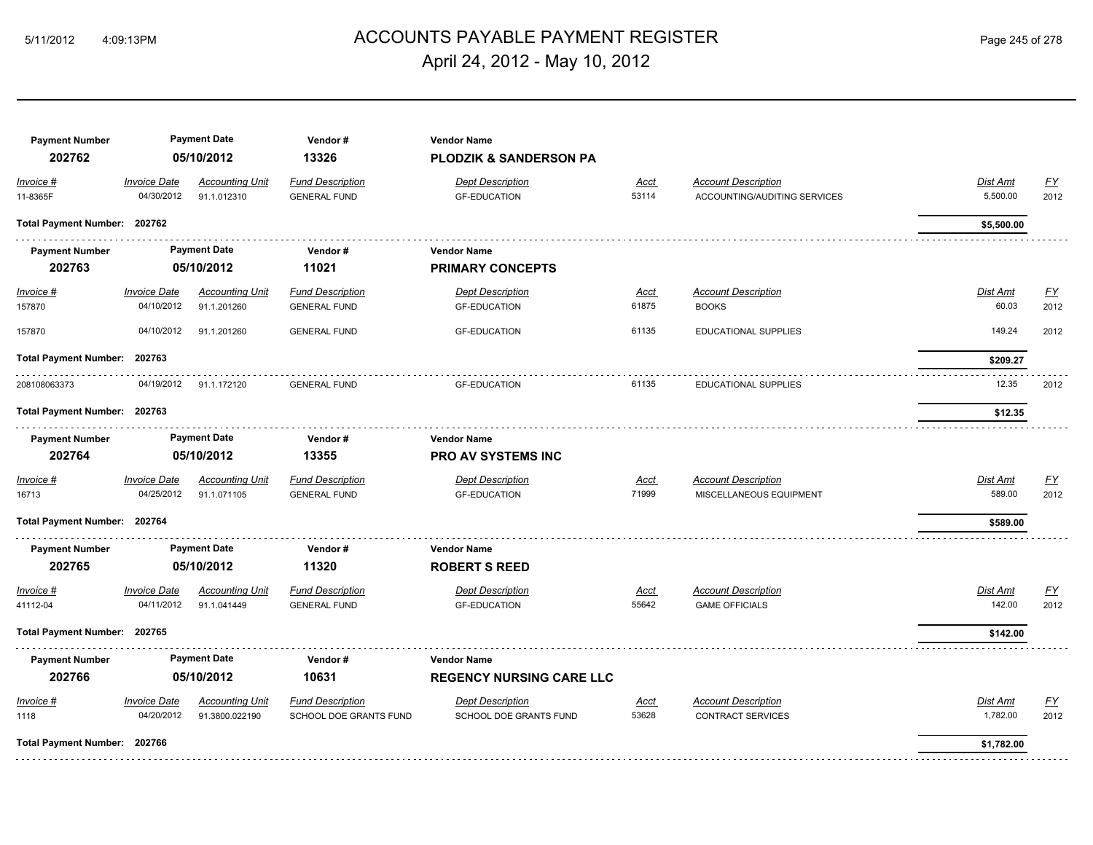## ACCOUNTS PAYABLE PAYMENT REGISTER 5/11/2012 4:09:13PM Page 245 of 278 April 24, 2012 - May 10, 2012

| <b>Payment Number</b><br>202762 |                                   | <b>Payment Date</b><br>05/10/2012     | Vendor#<br>13326                               | <b>Vendor Name</b><br>PLODZIK & SANDERSON PA   |                      |                                                            |                          |                   |
|---------------------------------|-----------------------------------|---------------------------------------|------------------------------------------------|------------------------------------------------|----------------------|------------------------------------------------------------|--------------------------|-------------------|
| Invoice #<br>11-8365F           | <b>Invoice Date</b><br>04/30/2012 | <b>Accounting Unit</b><br>91.1.012310 | <b>Fund Description</b><br><b>GENERAL FUND</b> | <b>Dept Description</b><br><b>GF-EDUCATION</b> | <b>Acct</b><br>53114 | <b>Account Description</b><br>ACCOUNTING/AUDITING SERVICES | Dist Amt<br>5,500.00     | EY<br>2012        |
| Total Payment Number: 202762    |                                   |                                       |                                                |                                                |                      |                                                            | \$5,500.00               |                   |
| <b>Payment Number</b>           |                                   | <b>Payment Date</b>                   | Vendor #                                       | <b>Vendor Name</b>                             |                      |                                                            |                          |                   |
| 202763                          |                                   | 05/10/2012                            | 11021                                          | <b>PRIMARY CONCEPTS</b>                        |                      |                                                            |                          |                   |
| $Invoice$ #<br>157870           | <b>Invoice Date</b><br>04/10/2012 | <b>Accounting Unit</b><br>91.1.201260 | <b>Fund Description</b><br><b>GENERAL FUND</b> | <b>Dept Description</b><br><b>GF-EDUCATION</b> | <b>Acct</b><br>61875 | <b>Account Description</b><br><b>BOOKS</b>                 | <b>Dist Amt</b><br>60.03 | EY<br>2012        |
| 157870                          | 04/10/2012                        | 91.1.201260                           | <b>GENERAL FUND</b>                            | <b>GF-EDUCATION</b>                            | 61135                | EDUCATIONAL SUPPLIES                                       | 149.24                   | 2012              |
| <b>Total Payment Number:</b>    | 202763                            |                                       |                                                |                                                |                      |                                                            | \$209.27                 |                   |
| 208108063373                    | 04/19/2012                        | 91.1.172120                           | <b>GENERAL FUND</b>                            | <b>GF-EDUCATION</b>                            | 61135                | <b>EDUCATIONAL SUPPLIES</b>                                | 12.35                    | 2012              |
| Total Payment Number: 202763    |                                   |                                       |                                                |                                                |                      |                                                            | \$12.35                  |                   |
| <b>Payment Number</b>           |                                   | <b>Payment Date</b>                   | Vendor#                                        | <b>Vendor Name</b>                             |                      |                                                            |                          |                   |
| 202764                          |                                   | 05/10/2012                            | 13355                                          | <b>PRO AV SYSTEMS INC</b>                      |                      |                                                            |                          |                   |
| Invoice #<br>16713              | <b>Invoice Date</b><br>04/25/2012 | <b>Accounting Unit</b><br>91.1.071105 | <b>Fund Description</b><br><b>GENERAL FUND</b> | <b>Dept Description</b><br><b>GF-EDUCATION</b> | <u>Acct</u><br>71999 | <b>Account Description</b><br>MISCELLANEOUS EQUIPMENT      | Dist Amt<br>589.00       | <u>FY</u><br>2012 |
| Total Payment Number: 202764    |                                   |                                       |                                                |                                                |                      |                                                            | \$589.00                 |                   |
| <b>Payment Number</b><br>202765 |                                   | <b>Payment Date</b><br>05/10/2012     | Vendor#<br>11320                               | <b>Vendor Name</b><br><b>ROBERT S REED</b>     |                      |                                                            |                          |                   |
| Invoice #                       | <b>Invoice Date</b>               | <b>Accounting Unit</b>                | <b>Fund Description</b>                        | <b>Dept Description</b>                        | <u>Acct</u>          | <b>Account Description</b>                                 | Dist Amt                 | EY                |
| 41112-04                        | 04/11/2012                        | 91.1.041449                           | <b>GENERAL FUND</b>                            | <b>GF-EDUCATION</b>                            | 55642                | <b>GAME OFFICIALS</b>                                      | 142.00                   | 2012              |
| Total Payment Number: 202765    |                                   |                                       |                                                |                                                |                      |                                                            | \$142.00                 |                   |
| <b>Payment Number</b>           |                                   | <b>Payment Date</b>                   | Vendor#                                        | <b>Vendor Name</b>                             |                      |                                                            |                          |                   |
| 202766                          |                                   | 05/10/2012                            | 10631                                          | <b>REGENCY NURSING CARE LLC</b>                |                      |                                                            |                          |                   |
| Invoice #                       | <b>Invoice Date</b>               | <b>Accounting Unit</b>                | <b>Fund Description</b>                        | <b>Dept Description</b>                        | <u>Acct</u>          | <b>Account Description</b>                                 | Dist Amt                 | <u>FY</u>         |
| 1118                            | 04/20/2012                        | 91.3800.022190                        | SCHOOL DOE GRANTS FUND                         | SCHOOL DOE GRANTS FUND                         | 53628                | <b>CONTRACT SERVICES</b>                                   | 1,782.00                 | 2012              |
| Total Payment Number: 202766    |                                   |                                       |                                                |                                                |                      |                                                            | \$1,782.00               |                   |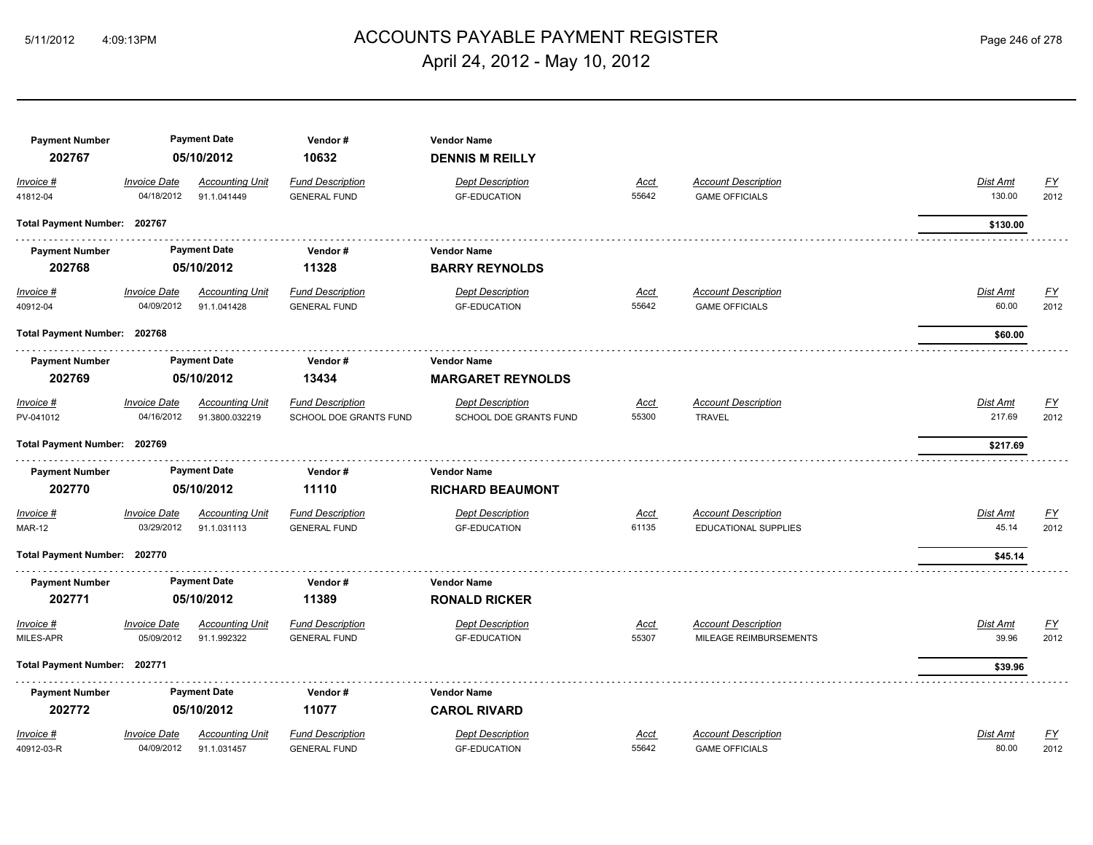## ACCOUNTS PAYABLE PAYMENT REGISTER 5/11/2012 4:09:13PM Page 246 of 278 April 24, 2012 - May 10, 2012

| <b>Payment Number</b><br>202767 |                                   | <b>Payment Date</b><br>05/10/2012        | Vendor#<br>10632                               | <b>Vendor Name</b><br><b>DENNIS M REILLY</b>      |                      |                                                     |                          |                                   |
|---------------------------------|-----------------------------------|------------------------------------------|------------------------------------------------|---------------------------------------------------|----------------------|-----------------------------------------------------|--------------------------|-----------------------------------|
| Invoice #<br>41812-04           | <b>Invoice Date</b><br>04/18/2012 | <b>Accounting Unit</b><br>91.1.041449    | <b>Fund Description</b><br><b>GENERAL FUND</b> | <b>Dept Description</b><br><b>GF-EDUCATION</b>    | <u>Acct</u><br>55642 | <b>Account Description</b><br><b>GAME OFFICIALS</b> | Dist Amt<br>130.00       | <u>FY</u><br>2012                 |
|                                 |                                   |                                          |                                                |                                                   |                      |                                                     |                          |                                   |
| Total Payment Number: 202767    |                                   |                                          |                                                |                                                   |                      |                                                     | \$130.00                 |                                   |
| <b>Payment Number</b>           |                                   | <b>Payment Date</b>                      | Vendor#                                        | <b>Vendor Name</b>                                |                      |                                                     |                          |                                   |
| 202768                          |                                   | 05/10/2012                               | 11328                                          | <b>BARRY REYNOLDS</b>                             |                      |                                                     |                          |                                   |
| $Invoice$ #<br>40912-04         | <b>Invoice Date</b><br>04/09/2012 | <b>Accounting Unit</b><br>91.1.041428    | <b>Fund Description</b><br><b>GENERAL FUND</b> | <b>Dept Description</b><br><b>GF-EDUCATION</b>    | <b>Acct</b><br>55642 | <b>Account Description</b><br><b>GAME OFFICIALS</b> | <b>Dist Amt</b><br>60.00 | $\underline{\mathsf{FY}}$<br>2012 |
| Total Payment Number: 202768    |                                   |                                          |                                                |                                                   |                      |                                                     | \$60.00                  |                                   |
| <b>Payment Number</b>           |                                   | <b>Payment Date</b>                      | Vendor#                                        | <b>Vendor Name</b>                                |                      |                                                     |                          |                                   |
| 202769                          |                                   | 05/10/2012                               | 13434                                          | <b>MARGARET REYNOLDS</b>                          |                      |                                                     |                          |                                   |
| Invoice #                       | <b>Invoice Date</b><br>04/16/2012 | <b>Accounting Unit</b><br>91.3800.032219 | <b>Fund Description</b>                        | <b>Dept Description</b><br>SCHOOL DOE GRANTS FUND | <b>Acct</b><br>55300 | <b>Account Description</b><br><b>TRAVEL</b>         | Dist Amt<br>217.69       | <u>FY</u><br>2012                 |
| PV-041012                       |                                   |                                          | SCHOOL DOE GRANTS FUND                         |                                                   |                      |                                                     |                          |                                   |
| Total Payment Number: 202769    |                                   |                                          |                                                |                                                   |                      |                                                     | \$217.69                 |                                   |
| <b>Payment Number</b><br>202770 |                                   | <b>Payment Date</b><br>05/10/2012        | Vendor#<br>11110                               | <b>Vendor Name</b><br><b>RICHARD BEAUMONT</b>     |                      |                                                     |                          |                                   |
| Invoice #                       | <b>Invoice Date</b>               | <b>Accounting Unit</b>                   | <b>Fund Description</b>                        | <b>Dept Description</b>                           | <b>Acct</b>          | <b>Account Description</b>                          | Dist Amt                 | <u>FY</u>                         |
| <b>MAR-12</b>                   | 03/29/2012                        | 91.1.031113                              | <b>GENERAL FUND</b>                            | <b>GF-EDUCATION</b>                               | 61135                | <b>EDUCATIONAL SUPPLIES</b>                         | 45.14                    | 2012                              |
| Total Payment Number: 202770    |                                   |                                          |                                                |                                                   |                      |                                                     | \$45.14                  |                                   |
| <b>Payment Number</b>           |                                   | <b>Payment Date</b>                      | Vendor#                                        | <b>Vendor Name</b>                                |                      |                                                     |                          |                                   |
| 202771                          |                                   | 05/10/2012                               | 11389                                          | <b>RONALD RICKER</b>                              |                      |                                                     |                          |                                   |
| Invoice #                       | <b>Invoice Date</b>               | <b>Accounting Unit</b>                   | <b>Fund Description</b>                        | <b>Dept Description</b>                           | <u>Acct</u>          | <b>Account Description</b>                          | Dist Amt                 | <u>FY</u>                         |
| MILES-APR                       | 05/09/2012                        | 91.1.992322                              | <b>GENERAL FUND</b>                            | <b>GF-EDUCATION</b>                               | 55307                | MILEAGE REIMBURSEMENTS                              | 39.96                    | 2012                              |
| Total Payment Number: 202771    |                                   |                                          |                                                |                                                   |                      |                                                     | \$39.96                  |                                   |
| <b>Payment Number</b>           |                                   | <b>Payment Date</b>                      | Vendor#                                        | <b>Vendor Name</b>                                |                      |                                                     |                          |                                   |
| 202772                          |                                   | 05/10/2012                               | 11077                                          | <b>CAROL RIVARD</b>                               |                      |                                                     |                          |                                   |
| Invoice #                       | <b>Invoice Date</b>               | <b>Accounting Unit</b>                   | <b>Fund Description</b>                        | <b>Dept Description</b>                           | <b>Acct</b>          | <b>Account Description</b>                          | Dist Amt                 | <u>FY</u>                         |
| 40912-03-R                      | 04/09/2012                        | 91.1.031457                              | <b>GENERAL FUND</b>                            | <b>GF-EDUCATION</b>                               | 55642                | <b>GAME OFFICIALS</b>                               | 80.00                    | 2012                              |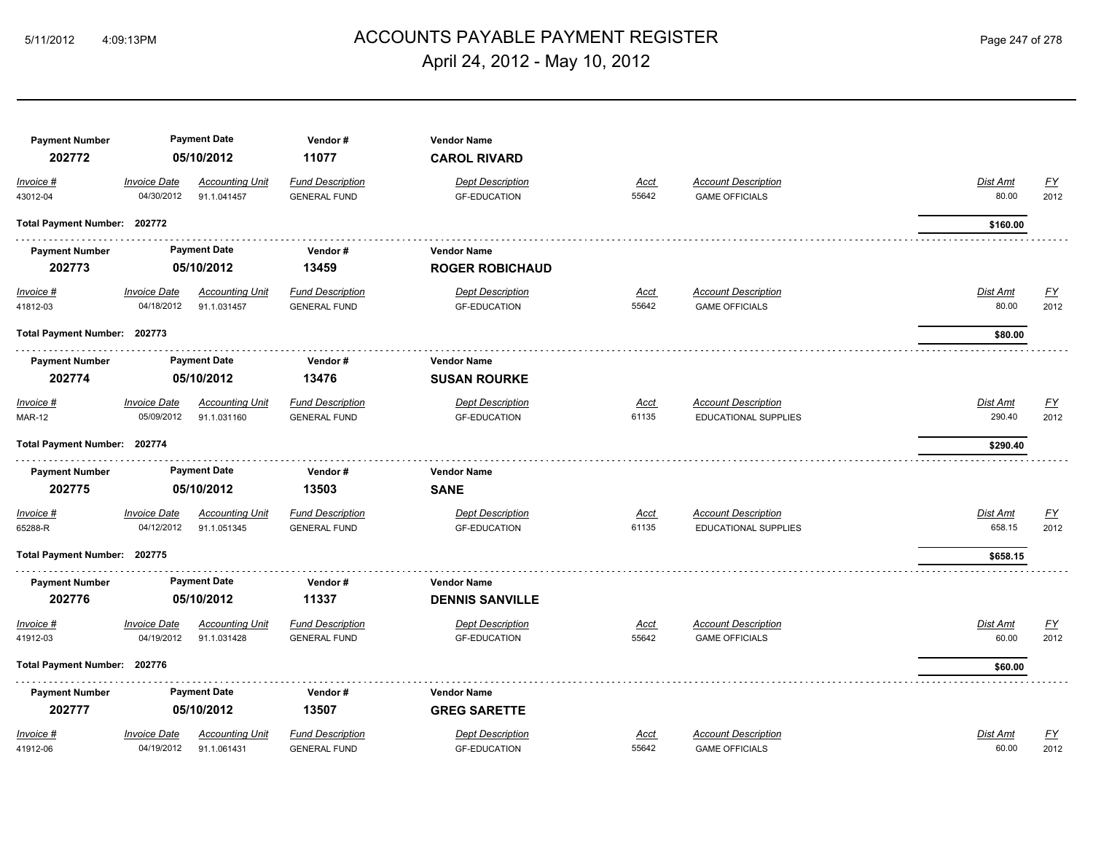## ACCOUNTS PAYABLE PAYMENT REGISTER 5/11/2012 4:09:13PM Page 247 of 278 April 24, 2012 - May 10, 2012

| <b>Payment Number</b>        |                     | <b>Payment Date</b>    | Vendor#                 | <b>Vendor Name</b>      |             |                             |                                       |
|------------------------------|---------------------|------------------------|-------------------------|-------------------------|-------------|-----------------------------|---------------------------------------|
| 202772                       |                     | 05/10/2012             | 11077                   | <b>CAROL RIVARD</b>     |             |                             |                                       |
| Invoice #                    | Invoice Date        | <b>Accounting Unit</b> | <b>Fund Description</b> | <b>Dept Description</b> | Acct        | <b>Account Description</b>  | $\underline{\mathsf{FY}}$<br>Dist Amt |
| 43012-04                     | 04/30/2012          | 91.1.041457            | <b>GENERAL FUND</b>     | <b>GF-EDUCATION</b>     | 55642       | <b>GAME OFFICIALS</b>       | 80.00<br>2012                         |
| Total Payment Number: 202772 |                     |                        |                         |                         |             |                             | \$160.00                              |
| <b>Payment Number</b>        |                     | <b>Payment Date</b>    | Vendor#                 | <b>Vendor Name</b>      |             |                             |                                       |
| 202773                       |                     | 05/10/2012             | 13459                   | <b>ROGER ROBICHAUD</b>  |             |                             |                                       |
| $Invoice$ #                  | <b>Invoice Date</b> | <b>Accounting Unit</b> | <b>Fund Description</b> | <b>Dept Description</b> | <u>Acct</u> | <b>Account Description</b>  | <u>FY</u><br><b>Dist Amt</b>          |
| 41812-03                     | 04/18/2012          | 91.1.031457            | <b>GENERAL FUND</b>     | <b>GF-EDUCATION</b>     | 55642       | <b>GAME OFFICIALS</b>       | 80.00<br>2012                         |
| Total Payment Number: 202773 |                     |                        |                         |                         |             |                             | \$80.00                               |
| <b>Payment Number</b>        |                     | <b>Payment Date</b>    | Vendor#                 | <b>Vendor Name</b>      |             |                             |                                       |
| 202774                       |                     | 05/10/2012             | 13476                   | <b>SUSAN ROURKE</b>     |             |                             |                                       |
| Invoice #                    | Invoice Date        | <b>Accounting Unit</b> | <b>Fund Description</b> | <b>Dept Description</b> | <u>Acct</u> | <b>Account Description</b>  | Dist Amt<br><u>FY</u>                 |
| <b>MAR-12</b>                | 05/09/2012          | 91.1.031160            | <b>GENERAL FUND</b>     | <b>GF-EDUCATION</b>     | 61135       | <b>EDUCATIONAL SUPPLIES</b> | 290.40<br>2012                        |
| Total Payment Number: 202774 |                     |                        |                         |                         |             |                             | \$290.40                              |
| <b>Payment Number</b>        |                     | <b>Payment Date</b>    | Vendor#                 | <b>Vendor Name</b>      |             |                             |                                       |
| 202775                       |                     | 05/10/2012             | 13503                   | <b>SANE</b>             |             |                             |                                       |
| Invoice #                    | <b>Invoice Date</b> | <b>Accounting Unit</b> | <b>Fund Description</b> | <b>Dept Description</b> | <u>Acct</u> | <b>Account Description</b>  | $\underline{\mathsf{FY}}$<br>Dist Amt |
| 65288-R                      | 04/12/2012          | 91.1.051345            | <b>GENERAL FUND</b>     | <b>GF-EDUCATION</b>     | 61135       | <b>EDUCATIONAL SUPPLIES</b> | 658.15<br>2012                        |
| Total Payment Number: 202775 |                     |                        |                         |                         |             |                             | \$658.15                              |
| <b>Payment Number</b>        |                     | <b>Payment Date</b>    | Vendor#                 | <b>Vendor Name</b>      |             |                             |                                       |
| 202776                       |                     | 05/10/2012             | 11337                   | <b>DENNIS SANVILLE</b>  |             |                             |                                       |
| Invoice #                    | <b>Invoice Date</b> | <b>Accounting Unit</b> | <b>Fund Description</b> | <b>Dept Description</b> | Acct        | <b>Account Description</b>  | Dist Amt<br><u>FY</u>                 |
| 41912-03                     | 04/19/2012          | 91.1.031428            | <b>GENERAL FUND</b>     | <b>GF-EDUCATION</b>     | 55642       | <b>GAME OFFICIALS</b>       | 2012<br>60.00                         |
| Total Payment Number: 202776 |                     |                        |                         |                         |             |                             | \$60.00                               |
| <b>Payment Number</b>        |                     | <b>Payment Date</b>    | Vendor#                 | <b>Vendor Name</b>      |             |                             |                                       |
| 202777                       |                     | 05/10/2012             | 13507                   | <b>GREG SARETTE</b>     |             |                             |                                       |
| Invoice #                    | <b>Invoice Date</b> | <b>Accounting Unit</b> | <b>Fund Description</b> | <b>Dept Description</b> | Acct        | <b>Account Description</b>  | Dist Amt<br><u>FY</u>                 |
| 41912-06                     | 04/19/2012          | 91.1.061431            | <b>GENERAL FUND</b>     | <b>GF-EDUCATION</b>     | 55642       | <b>GAME OFFICIALS</b>       | 60.00<br>2012                         |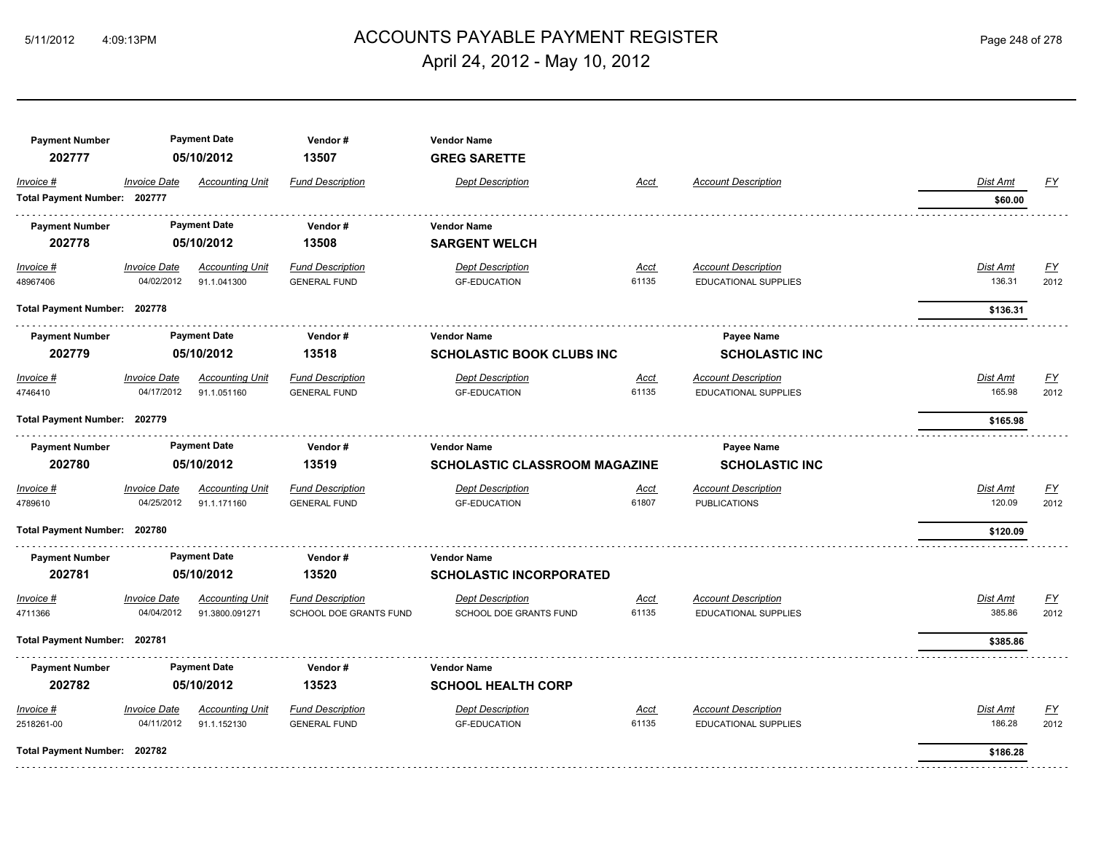## ACCOUNTS PAYABLE PAYMENT REGISTER 5/11/2012 4:09:13PM Page 248 of 278 April 24, 2012 - May 10, 2012

| <b>Payment Number</b><br>202777 |                              | <b>Payment Date</b><br>05/10/2012 | Vendor#<br>13507        | <b>Vendor Name</b><br><b>GREG SARETTE</b> |             |                             |          |                  |
|---------------------------------|------------------------------|-----------------------------------|-------------------------|-------------------------------------------|-------------|-----------------------------|----------|------------------|
| Invoice #                       | <b>Invoice Date</b>          | <b>Accounting Unit</b>            | <b>Fund Description</b> | <b>Dept Description</b>                   | Acct        | <b>Account Description</b>  | Dist Amt | EY               |
| Total Payment Number: 202777    |                              |                                   |                         |                                           |             |                             | \$60.00  |                  |
| <b>Payment Number</b>           |                              | <b>Payment Date</b>               | Vendor#                 | <b>Vendor Name</b>                        |             |                             |          |                  |
| 202778                          |                              | 05/10/2012                        | 13508                   | <b>SARGENT WELCH</b>                      |             |                             |          |                  |
| $Invoice$ #                     | <b>Invoice Date</b>          | <b>Accounting Unit</b>            | <b>Fund Description</b> | <b>Dept Description</b>                   | Acct        | <b>Account Description</b>  | Dist Amt | <u>FY</u>        |
| 48967406                        | 04/02/2012                   | 91.1.041300                       | <b>GENERAL FUND</b>     | <b>GF-EDUCATION</b>                       | 61135       | <b>EDUCATIONAL SUPPLIES</b> | 136.31   | 2012             |
| Total Payment Number: 202778    |                              |                                   |                         |                                           |             |                             | \$136.31 |                  |
| <b>Payment Number</b>           | <b>Payment Date</b>          |                                   | Vendor#                 | <b>Vendor Name</b>                        |             | Payee Name                  |          |                  |
| 202779                          |                              | 05/10/2012                        | 13518                   | <b>SCHOLASTIC BOOK CLUBS INC</b>          |             | <b>SCHOLASTIC INC</b>       |          |                  |
| Invoice #                       | <b>Invoice Date</b>          | <b>Accounting Unit</b>            | <b>Fund Description</b> | <b>Dept Description</b>                   | Acct        | <b>Account Description</b>  | Dist Amt | EY               |
| 4746410                         | 04/17/2012                   | 91.1.051160                       | <b>GENERAL FUND</b>     | <b>GF-EDUCATION</b>                       | 61135       | EDUCATIONAL SUPPLIES        | 165.98   | 2012             |
|                                 | Total Payment Number: 202779 |                                   |                         |                                           |             |                             | \$165.98 |                  |
| <b>Payment Number</b>           |                              | <b>Payment Date</b>               | Vendor#                 | <b>Vendor Name</b>                        |             | Payee Name                  |          |                  |
| 202780                          |                              | 05/10/2012                        | 13519                   | <b>SCHOLASTIC CLASSROOM MAGAZINE</b>      |             | <b>SCHOLASTIC INC</b>       |          |                  |
| Invoice #                       | <b>Invoice Date</b>          | <b>Accounting Unit</b>            | <b>Fund Description</b> | <b>Dept Description</b>                   | <u>Acct</u> | <b>Account Description</b>  | Dist Amt | $\underline{FY}$ |
| 4789610                         | 04/25/2012                   | 91.1.171160                       | <b>GENERAL FUND</b>     | <b>GF-EDUCATION</b>                       | 61807       | <b>PUBLICATIONS</b>         | 120.09   | 2012             |
| Total Payment Number: 202780    |                              |                                   |                         |                                           |             |                             | \$120.09 |                  |
| <b>Payment Number</b>           |                              | <b>Payment Date</b>               | Vendor#                 | <b>Vendor Name</b>                        |             |                             |          |                  |
| 202781                          |                              | 05/10/2012                        | 13520                   | <b>SCHOLASTIC INCORPORATED</b>            |             |                             |          |                  |
| Invoice #                       | <b>Invoice Date</b>          | <b>Accounting Unit</b>            | <b>Fund Description</b> | <b>Dept Description</b>                   | <u>Acct</u> | <b>Account Description</b>  | Dist Amt | <u>FY</u>        |
| 4711366                         | 04/04/2012                   | 91.3800.091271                    | SCHOOL DOE GRANTS FUND  | <b>SCHOOL DOE GRANTS FUND</b>             | 61135       | <b>EDUCATIONAL SUPPLIES</b> | 385.86   | 2012             |
| Total Payment Number: 202781    |                              |                                   |                         |                                           |             |                             | \$385.86 |                  |
| <b>Payment Number</b>           |                              | <b>Payment Date</b>               | Vendor#                 | <b>Vendor Name</b>                        |             |                             |          |                  |
| 202782                          |                              | 05/10/2012                        | 13523                   | <b>SCHOOL HEALTH CORP</b>                 |             |                             |          |                  |
| Invoice #                       | <b>Invoice Date</b>          | <b>Accounting Unit</b>            | <b>Fund Description</b> | <b>Dept Description</b>                   | Acct        | <b>Account Description</b>  | Dist Amt | EY               |
| 2518261-00                      | 04/11/2012                   | 91.1.152130                       | <b>GENERAL FUND</b>     | <b>GF-EDUCATION</b>                       | 61135       | <b>EDUCATIONAL SUPPLIES</b> | 186.28   | 2012             |
| Total Payment Number: 202782    |                              |                                   |                         |                                           |             |                             | \$186.28 |                  |
|                                 |                              |                                   |                         |                                           |             |                             |          |                  |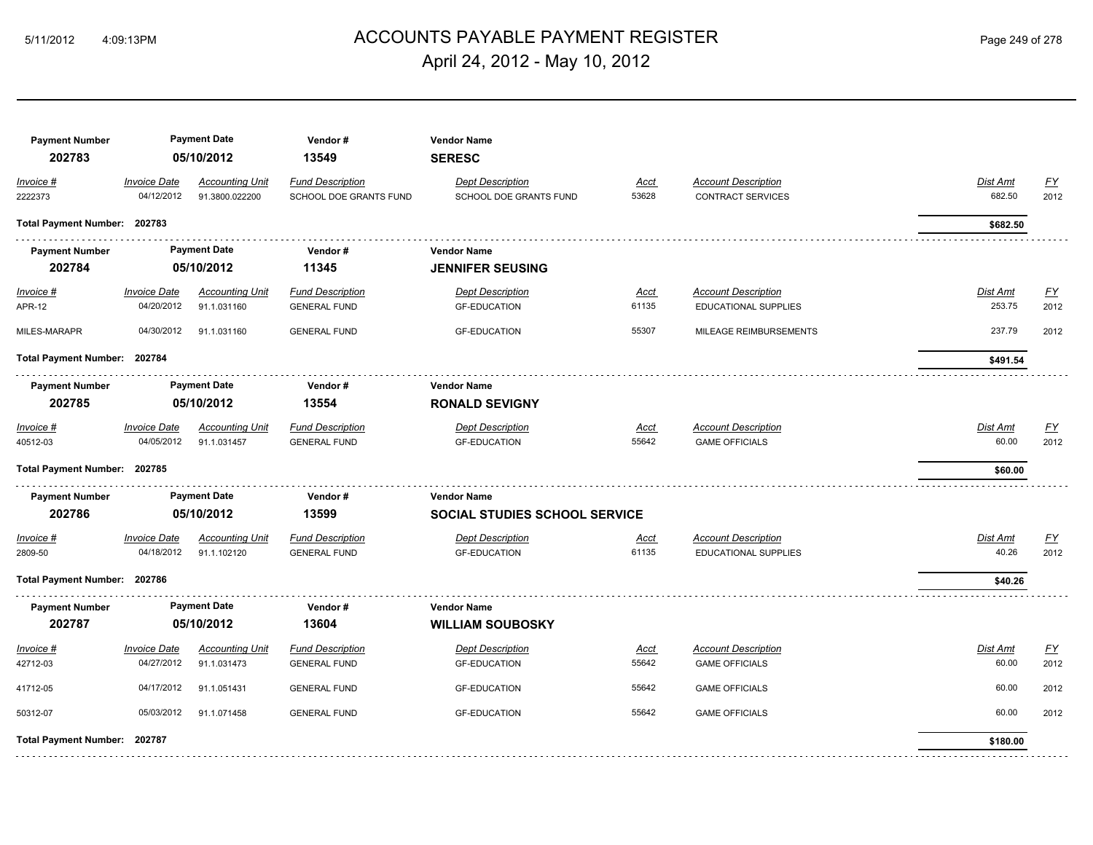# ACCOUNTS PAYABLE PAYMENT REGISTER 5/11/2012 4:09:13PM Page 249 of 278 April 24, 2012 - May 10, 2012

| <b>Payment Number</b><br>202783 |                                   | <b>Payment Date</b><br>05/10/2012        | Vendor#<br>13549                                  | <b>Vendor Name</b><br><b>SERESC</b>                        |                      |                                                           |                    |                          |
|---------------------------------|-----------------------------------|------------------------------------------|---------------------------------------------------|------------------------------------------------------------|----------------------|-----------------------------------------------------------|--------------------|--------------------------|
| Invoice #<br>2222373            | <b>Invoice Date</b><br>04/12/2012 | <b>Accounting Unit</b><br>91.3800.022200 | <b>Fund Description</b><br>SCHOOL DOE GRANTS FUND | <b>Dept Description</b><br>SCHOOL DOE GRANTS FUND          | Acct<br>53628        | <b>Account Description</b><br><b>CONTRACT SERVICES</b>    | Dist Amt<br>682.50 | <u>FY</u><br>2012        |
| Total Payment Number: 202783    |                                   |                                          |                                                   |                                                            |                      |                                                           | \$682.50           |                          |
| <b>Payment Number</b><br>202784 |                                   | <b>Payment Date</b><br>05/10/2012        | Vendor#<br>11345                                  | <b>Vendor Name</b><br><b>JENNIFER SEUSING</b>              |                      |                                                           |                    |                          |
| $Invoice$ #<br><b>APR-12</b>    | <b>Invoice Date</b><br>04/20/2012 | <b>Accounting Unit</b><br>91.1.031160    | <b>Fund Description</b><br><b>GENERAL FUND</b>    | <b>Dept Description</b><br><b>GF-EDUCATION</b>             | <u>Acct</u><br>61135 | <b>Account Description</b><br>EDUCATIONAL SUPPLIES        | Dist Amt<br>253.75 | EY<br>2012               |
| MILES-MARAPR                    | 04/30/2012                        | 91.1.031160                              | <b>GENERAL FUND</b>                               | <b>GF-EDUCATION</b>                                        | 55307                | MILEAGE REIMBURSEMENTS                                    | 237.79             | 2012                     |
| Total Payment Number: 202784    |                                   |                                          |                                                   |                                                            |                      |                                                           | \$491.54           |                          |
| <b>Payment Number</b><br>202785 |                                   | <b>Payment Date</b><br>05/10/2012        | Vendor#<br>13554                                  | <b>Vendor Name</b><br><b>RONALD SEVIGNY</b>                |                      |                                                           |                    |                          |
| Invoice #<br>40512-03           | <b>Invoice Date</b><br>04/05/2012 | <b>Accounting Unit</b><br>91.1.031457    | <b>Fund Description</b><br><b>GENERAL FUND</b>    | <b>Dept Description</b><br><b>GF-EDUCATION</b>             | Acct<br>55642        | <b>Account Description</b><br><b>GAME OFFICIALS</b>       | Dist Amt<br>60.00  | <u>FY</u><br>2012        |
| Total Payment Number: 202785    |                                   |                                          |                                                   |                                                            |                      |                                                           | \$60.00            |                          |
| <b>Payment Number</b><br>202786 |                                   | <b>Payment Date</b><br>05/10/2012        | Vendor#<br>13599                                  | <b>Vendor Name</b><br><b>SOCIAL STUDIES SCHOOL SERVICE</b> |                      |                                                           |                    |                          |
| Invoice #<br>2809-50            | <b>Invoice Date</b><br>04/18/2012 | <b>Accounting Unit</b><br>91.1.102120    | <b>Fund Description</b><br><b>GENERAL FUND</b>    | <b>Dept Description</b><br><b>GF-EDUCATION</b>             | <u>Acct</u><br>61135 | <b>Account Description</b><br><b>EDUCATIONAL SUPPLIES</b> | Dist Amt<br>40.26  | $\underline{FY}$<br>2012 |
| Total Payment Number: 202786    |                                   |                                          |                                                   |                                                            |                      |                                                           | \$40.26            |                          |
| <b>Payment Number</b><br>202787 |                                   | <b>Payment Date</b><br>05/10/2012        | Vendor#<br>13604                                  | <b>Vendor Name</b><br><b>WILLIAM SOUBOSKY</b>              |                      |                                                           |                    |                          |
| Invoice #<br>42712-03           | <b>Invoice Date</b><br>04/27/2012 | <b>Accounting Unit</b><br>91.1.031473    | <b>Fund Description</b><br><b>GENERAL FUND</b>    | <b>Dept Description</b><br><b>GF-EDUCATION</b>             | Acct<br>55642        | <b>Account Description</b><br><b>GAME OFFICIALS</b>       | Dist Amt<br>60.00  | EY<br>2012               |
| 41712-05                        | 04/17/2012                        | 91.1.051431                              | <b>GENERAL FUND</b>                               | <b>GF-EDUCATION</b>                                        | 55642                | <b>GAME OFFICIALS</b>                                     | 60.00              | 2012                     |
| 50312-07                        | 05/03/2012                        | 91.1.071458                              | <b>GENERAL FUND</b>                               | <b>GF-EDUCATION</b>                                        | 55642                | <b>GAME OFFICIALS</b>                                     | 60.00              | 2012                     |
| Total Payment Number: 202787    |                                   |                                          |                                                   |                                                            |                      |                                                           | \$180.00           |                          |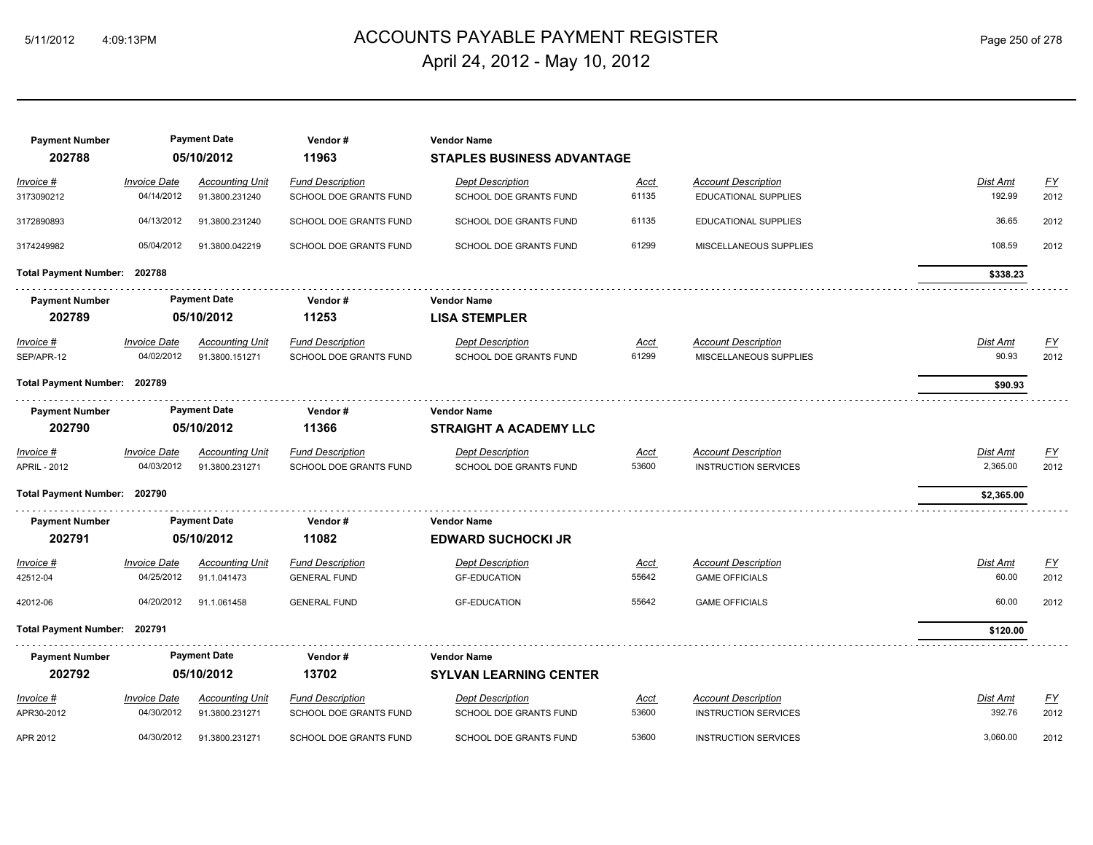## ACCOUNTS PAYABLE PAYMENT REGISTER 5/11/2012 4:09:13PM Page 250 of 278 April 24, 2012 - May 10, 2012

| <b>Payment Number</b><br>202788  |                                   | <b>Payment Date</b><br>05/10/2012        | Vendor#<br>11963                                         | <b>Vendor Name</b><br><b>STAPLES BUSINESS ADVANTAGE</b>  |                      |                                                           |                           |                          |  |
|----------------------------------|-----------------------------------|------------------------------------------|----------------------------------------------------------|----------------------------------------------------------|----------------------|-----------------------------------------------------------|---------------------------|--------------------------|--|
| Invoice #<br>3173090212          | <b>Invoice Date</b><br>04/14/2012 | <b>Accounting Unit</b><br>91.3800.231240 | <b>Fund Description</b><br>SCHOOL DOE GRANTS FUND        | <b>Dept Description</b><br>SCHOOL DOE GRANTS FUND        | Acct<br>61135        | <b>Account Description</b><br>EDUCATIONAL SUPPLIES        | <b>Dist Amt</b><br>192.99 | $\underline{FY}$<br>2012 |  |
| 3172890893                       | 04/13/2012                        | 91.3800.231240                           | SCHOOL DOE GRANTS FUND                                   | SCHOOL DOE GRANTS FUND                                   | 61135                | EDUCATIONAL SUPPLIES                                      | 36.65                     | 2012                     |  |
| 3174249982                       | 05/04/2012                        | 91.3800.042219                           | SCHOOL DOE GRANTS FUND                                   | SCHOOL DOE GRANTS FUND                                   | 61299                | MISCELLANEOUS SUPPLIES                                    | 108.59                    | 2012                     |  |
| Total Payment Number: 202788     |                                   |                                          |                                                          |                                                          |                      |                                                           | \$338.23                  |                          |  |
| <b>Payment Number</b>            | <b>Payment Date</b>               |                                          | Vendor #                                                 | <b>Vendor Name</b>                                       |                      |                                                           |                           |                          |  |
| 202789                           | 05/10/2012                        |                                          | 11253                                                    | <b>LISA STEMPLER</b>                                     |                      |                                                           |                           |                          |  |
| <u>Invoice #</u><br>SEP/APR-12   | <b>Invoice Date</b><br>04/02/2012 | <b>Accounting Unit</b><br>91.3800.151271 | <b>Fund Description</b><br><b>SCHOOL DOE GRANTS FUND</b> | <b>Dept Description</b><br><b>SCHOOL DOE GRANTS FUND</b> | <u>Acct</u><br>61299 | <b>Account Description</b><br>MISCELLANEOUS SUPPLIES      | Dist Amt<br>90.93         | EY<br>2012               |  |
| Total Payment Number: 202789     |                                   |                                          |                                                          |                                                          |                      |                                                           | \$90.93                   |                          |  |
| <b>Payment Number</b>            | <b>Payment Date</b>               |                                          | Vendor#                                                  | <b>Vendor Name</b>                                       |                      |                                                           |                           |                          |  |
| 202790                           | 05/10/2012                        |                                          | 11366                                                    | <b>STRAIGHT A ACADEMY LLC</b>                            |                      |                                                           |                           |                          |  |
| Invoice #<br><b>APRIL - 2012</b> | <b>Invoice Date</b><br>04/03/2012 | <b>Accounting Unit</b><br>91.3800.231271 | <b>Fund Description</b><br>SCHOOL DOE GRANTS FUND        | <b>Dept Description</b><br>SCHOOL DOE GRANTS FUND        | <u>Acct</u><br>53600 | <b>Account Description</b><br><b>INSTRUCTION SERVICES</b> | Dist Amt<br>2,365.00      | EY<br>2012               |  |
| Total Payment Number: 202790     |                                   |                                          |                                                          |                                                          |                      |                                                           | \$2,365.00                |                          |  |
| <b>Payment Number</b><br>202791  | <b>Payment Date</b><br>05/10/2012 |                                          | Vendor#<br>11082                                         | <b>Vendor Name</b><br><b>EDWARD SUCHOCKI JR</b>          |                      |                                                           |                           |                          |  |
| $Invoice$ #<br>42512-04          | <b>Invoice Date</b><br>04/25/2012 | <b>Accounting Unit</b><br>91.1.041473    | <b>Fund Description</b><br><b>GENERAL FUND</b>           | <b>Dept Description</b><br><b>GF-EDUCATION</b>           | <u>Acct</u><br>55642 | <b>Account Description</b><br><b>GAME OFFICIALS</b>       | Dist Amt<br>60.00         | <u>FY</u><br>2012        |  |
| 42012-06                         | 04/20/2012                        | 91.1.061458                              | <b>GENERAL FUND</b>                                      | <b>GF-EDUCATION</b>                                      | 55642                | <b>GAME OFFICIALS</b>                                     | 60.00                     | 2012                     |  |
| Total Payment Number: 202791     |                                   |                                          |                                                          |                                                          |                      |                                                           | \$120.00                  |                          |  |
| <b>Payment Number</b>            | <b>Payment Date</b>               |                                          | Vendor#                                                  | <b>Vendor Name</b>                                       |                      |                                                           |                           |                          |  |
| 202792                           | 05/10/2012                        |                                          | 13702                                                    | <b>SYLVAN LEARNING CENTER</b>                            |                      |                                                           |                           |                          |  |
| Invoice #<br>APR30-2012          | <b>Invoice Date</b><br>04/30/2012 | <b>Accounting Unit</b><br>91.3800.231271 | <b>Fund Description</b><br>SCHOOL DOE GRANTS FUND        | <b>Dept Description</b><br>SCHOOL DOE GRANTS FUND        | <u>Acct</u><br>53600 | <b>Account Description</b><br><b>INSTRUCTION SERVICES</b> | <b>Dist Amt</b><br>392.76 | <u>FY</u><br>2012        |  |
| APR 2012                         | 04/30/2012                        | 91.3800.231271                           | SCHOOL DOE GRANTS FUND                                   | SCHOOL DOE GRANTS FUND                                   | 53600                | <b>INSTRUCTION SERVICES</b>                               | 3,060.00                  | 2012                     |  |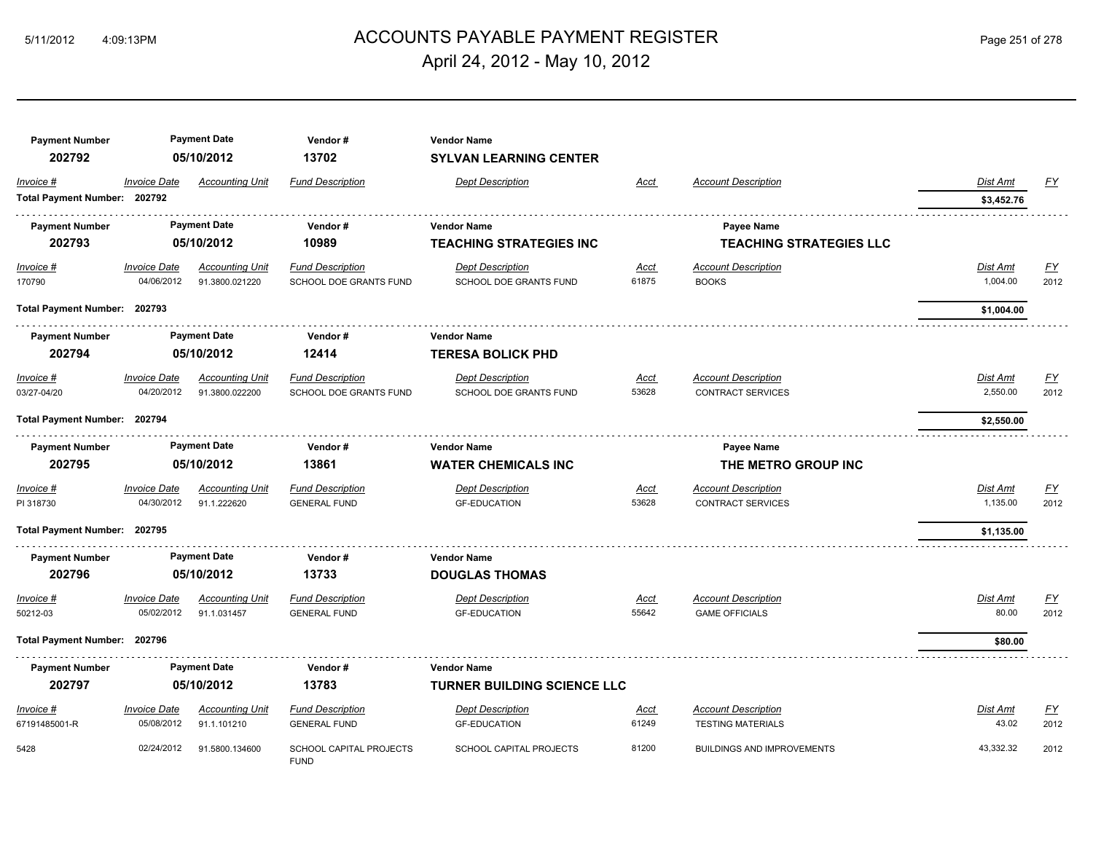## ACCOUNTS PAYABLE PAYMENT REGISTER 5/11/2012 4:09:13PM Page 251 of 278 April 24, 2012 - May 10, 2012

| <b>Payment Number</b>        | <b>Payment Date</b><br>05/10/2012 |                        | Vendor#                                       | <b>Vendor Name</b>                 |             |                                   |                 |           |  |  |
|------------------------------|-----------------------------------|------------------------|-----------------------------------------------|------------------------------------|-------------|-----------------------------------|-----------------|-----------|--|--|
| 202792                       |                                   |                        | 13702                                         | <b>SYLVAN LEARNING CENTER</b>      |             |                                   |                 |           |  |  |
| Invoice #                    | <b>Invoice Date</b>               | <b>Accounting Unit</b> | <b>Fund Description</b>                       | <b>Dept Description</b>            | Acct        | <b>Account Description</b>        | Dist Amt        | FY        |  |  |
| Total Payment Number: 202792 |                                   |                        |                                               |                                    |             |                                   | \$3,452.76      |           |  |  |
| <b>Payment Number</b>        | <b>Payment Date</b><br>05/10/2012 |                        | Vendor#                                       | <b>Vendor Name</b>                 |             | <b>Payee Name</b>                 |                 |           |  |  |
| 202793                       |                                   |                        | 10989                                         | <b>TEACHING STRATEGIES INC</b>     |             | <b>TEACHING STRATEGIES LLC</b>    |                 |           |  |  |
| Invoice #                    | <b>Invoice Date</b>               | <b>Accounting Unit</b> | <b>Fund Description</b>                       | <b>Dept Description</b>            | <u>Acct</u> | <b>Account Description</b>        | <b>Dist Amt</b> | <u>FY</u> |  |  |
| 170790                       | 04/06/2012                        | 91.3800.021220         | SCHOOL DOE GRANTS FUND                        | SCHOOL DOE GRANTS FUND             | 61875       | <b>BOOKS</b>                      | 1,004.00        | 2012      |  |  |
| Total Payment Number: 202793 |                                   |                        |                                               |                                    |             |                                   | \$1,004.00      |           |  |  |
| <b>Payment Number</b>        |                                   | <b>Payment Date</b>    | Vendor#                                       | <b>Vendor Name</b>                 |             |                                   |                 |           |  |  |
| 202794                       | 05/10/2012                        |                        | 12414                                         | <b>TERESA BOLICK PHD</b>           |             |                                   |                 |           |  |  |
| Invoice #                    | <b>Invoice Date</b>               | <b>Accounting Unit</b> | <b>Fund Description</b>                       | <b>Dept Description</b>            | <b>Acct</b> | <b>Account Description</b>        | Dist Amt        | <u>FY</u> |  |  |
| 03/27-04/20                  | 04/20/2012                        | 91.3800.022200         | <b>SCHOOL DOE GRANTS FUND</b>                 | <b>SCHOOL DOE GRANTS FUND</b>      | 53628       | <b>CONTRACT SERVICES</b>          | 2,550.00        | 2012      |  |  |
| Total Payment Number: 202794 |                                   |                        |                                               |                                    |             | \$2,550.00                        |                 |           |  |  |
| <b>Payment Number</b>        |                                   | <b>Payment Date</b>    | Vendor#                                       | <b>Vendor Name</b>                 |             | <b>Payee Name</b>                 |                 |           |  |  |
| 202795                       | 05/10/2012                        |                        | 13861                                         | <b>WATER CHEMICALS INC</b>         |             | THE METRO GROUP INC               |                 |           |  |  |
| Invoice #                    | <b>Invoice Date</b>               | <b>Accounting Unit</b> | <b>Fund Description</b>                       | <b>Dept Description</b>            | Acct        | <b>Account Description</b>        | Dist Amt        | <u>FY</u> |  |  |
| PI 318730                    | 04/30/2012                        | 91.1.222620            | <b>GENERAL FUND</b>                           | <b>GF-EDUCATION</b>                | 53628       | <b>CONTRACT SERVICES</b>          | 1,135.00        | 2012      |  |  |
| Total Payment Number: 202795 |                                   |                        |                                               |                                    |             |                                   | \$1,135.00      |           |  |  |
| <b>Payment Number</b>        | <b>Payment Date</b>               |                        | Vendor#                                       |                                    |             |                                   |                 |           |  |  |
| 202796                       | 05/10/2012                        |                        | 13733                                         | <b>DOUGLAS THOMAS</b>              |             |                                   |                 |           |  |  |
| Invoice #                    | <b>Invoice Date</b>               | <b>Accounting Unit</b> | <b>Fund Description</b>                       | <b>Dept Description</b>            | Acct        | <b>Account Description</b>        | Dist Amt        | <u>FY</u> |  |  |
| 50212-03                     | 05/02/2012                        | 91.1.031457            | <b>GENERAL FUND</b>                           | <b>GF-EDUCATION</b>                | 55642       | <b>GAME OFFICIALS</b>             | 80.00           | 2012      |  |  |
| Total Payment Number: 202796 |                                   |                        |                                               |                                    |             |                                   | \$80.00         |           |  |  |
| <b>Payment Number</b>        | <b>Payment Date</b>               |                        | Vendor#                                       | <b>Vendor Name</b>                 |             |                                   |                 |           |  |  |
| 202797                       | 05/10/2012                        |                        | 13783                                         | <b>TURNER BUILDING SCIENCE LLC</b> |             |                                   |                 |           |  |  |
| Invoice #                    | <b>Invoice Date</b>               | <b>Accounting Unit</b> | <b>Fund Description</b>                       | <b>Dept Description</b>            | <u>Acct</u> | <b>Account Description</b>        | Dist Amt        | <u>FY</u> |  |  |
| 67191485001-R                | 05/08/2012                        | 91.1.101210            | <b>GENERAL FUND</b>                           | <b>GF-EDUCATION</b>                | 61249       | <b>TESTING MATERIALS</b>          | 43.02           | 2012      |  |  |
| 5428                         | 02/24/2012                        | 91.5800.134600         | <b>SCHOOL CAPITAL PROJECTS</b><br><b>FUND</b> | <b>SCHOOL CAPITAL PROJECTS</b>     | 81200       | <b>BUILDINGS AND IMPROVEMENTS</b> | 43,332.32       | 2012      |  |  |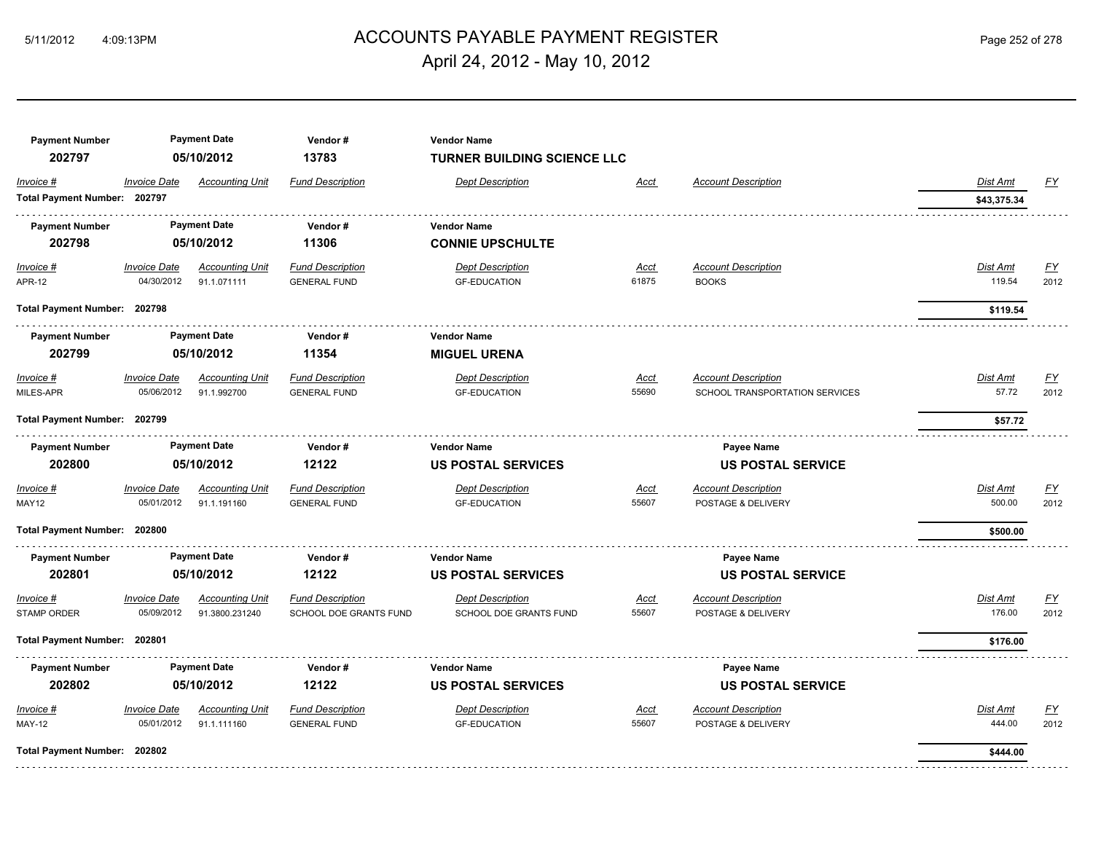## ACCOUNTS PAYABLE PAYMENT REGISTER 5/11/2012 4:09:13PM Page 252 of 278 April 24, 2012 - May 10, 2012

| <b>Payment Number</b><br>202797 | <b>Payment Date</b><br>05/10/2012 |                                       | Vendor#<br>13783                               | <b>Vendor Name</b><br><b>TURNER BUILDING SCIENCE LLC</b> |                          |                                            |                    |                           |
|---------------------------------|-----------------------------------|---------------------------------------|------------------------------------------------|----------------------------------------------------------|--------------------------|--------------------------------------------|--------------------|---------------------------|
| Invoice #                       | <b>Invoice Date</b>               | <b>Accounting Unit</b>                | <b>Fund Description</b>                        | <b>Dept Description</b>                                  | Acct                     | <b>Account Description</b>                 | Dist Amt           | <u>FY</u>                 |
| Total Payment Number: 202797    |                                   |                                       |                                                |                                                          |                          |                                            | \$43,375.34        |                           |
| <b>Payment Number</b>           | <b>Payment Date</b><br>05/10/2012 |                                       | Vendor#                                        | <b>Vendor Name</b>                                       |                          |                                            |                    |                           |
| 202798                          |                                   |                                       | 11306                                          | <b>CONNIE UPSCHULTE</b>                                  |                          |                                            |                    |                           |
| $Invoice$ #<br><b>APR-12</b>    | <b>Invoice Date</b><br>04/30/2012 | <b>Accounting Unit</b><br>91.1.071111 | <b>Fund Description</b><br><b>GENERAL FUND</b> | <b>Dept Description</b><br><b>GF-EDUCATION</b>           | <u>Acct</u><br>61875     | <b>Account Description</b><br><b>BOOKS</b> | Dist Amt<br>119.54 | <u>FY</u><br>2012         |
| Total Payment Number: 202798    |                                   |                                       |                                                |                                                          |                          |                                            | \$119.54           |                           |
| <b>Payment Number</b>           |                                   | <b>Payment Date</b>                   | Vendor#                                        | Vendor Name                                              |                          |                                            |                    |                           |
| 202799                          |                                   | 05/10/2012                            | 11354                                          | <b>MIGUEL URENA</b>                                      |                          |                                            |                    |                           |
| Invoice #                       | <b>Invoice Date</b>               | <b>Accounting Unit</b>                | <b>Fund Description</b>                        | <b>Dept Description</b>                                  | <u>Acct</u>              | <b>Account Description</b>                 | Dist Amt           | <u>FY</u>                 |
| MILES-APR                       | 05/06/2012                        | 91.1.992700                           | <b>GENERAL FUND</b>                            | <b>GF-EDUCATION</b>                                      | 55690                    | SCHOOL TRANSPORTATION SERVICES             | 57.72              | 2012                      |
| Total Payment Number: 202799    |                                   |                                       |                                                |                                                          |                          |                                            | \$57.72            |                           |
| <b>Payment Number</b>           |                                   | <b>Payment Date</b>                   | Vendor#                                        | <b>Vendor Name</b>                                       |                          | Payee Name                                 |                    |                           |
| 202800                          |                                   | 12122<br>05/10/2012                   |                                                | <b>US POSTAL SERVICES</b>                                |                          | <b>US POSTAL SERVICE</b>                   |                    |                           |
| Invoice #                       | <b>Invoice Date</b>               | <b>Accounting Unit</b>                | <b>Fund Description</b>                        | <b>Dept Description</b>                                  | <b>Acct</b>              | <b>Account Description</b>                 | Dist Amt           | $\underline{\mathsf{FY}}$ |
| MAY12                           | 05/01/2012                        | 91.1.191160                           | <b>GENERAL FUND</b>                            | <b>GF-EDUCATION</b>                                      | 55607                    | POSTAGE & DELIVERY                         | 500.00             | 2012                      |
| Total Payment Number: 202800    |                                   |                                       |                                                |                                                          |                          |                                            | \$500.00           |                           |
| <b>Payment Number</b>           |                                   | <b>Payment Date</b>                   | Vendor#                                        | <b>Vendor Name</b>                                       | <b>Payee Name</b>        |                                            |                    |                           |
| 202801                          | 05/10/2012                        |                                       | 12122                                          | <b>US POSTAL SERVICES</b>                                |                          | <b>US POSTAL SERVICE</b>                   |                    |                           |
| Invoice #                       | <b>Invoice Date</b>               | <b>Accounting Unit</b>                | <b>Fund Description</b>                        | <b>Dept Description</b>                                  | <b>Acct</b>              | <b>Account Description</b>                 | Dist Amt           | <u>FY</u>                 |
| <b>STAMP ORDER</b>              | 05/09/2012                        | 91.3800.231240                        | SCHOOL DOE GRANTS FUND                         | SCHOOL DOE GRANTS FUND                                   | 55607                    | POSTAGE & DELIVERY                         | 176.00             | 2012                      |
| Total Payment Number: 202801    |                                   |                                       |                                                |                                                          |                          |                                            | \$176.00           |                           |
| <b>Payment Number</b>           | <b>Payment Date</b>               |                                       | Vendor#                                        | <b>Vendor Name</b>                                       | <b>Payee Name</b>        |                                            |                    |                           |
| 202802                          |                                   | 05/10/2012                            | 12122                                          | <b>US POSTAL SERVICES</b>                                | <b>US POSTAL SERVICE</b> |                                            |                    |                           |
| Invoice #                       | <b>Invoice Date</b>               | <b>Accounting Unit</b>                | <b>Fund Description</b>                        | <b>Dept Description</b>                                  | <u>Acct</u>              | <b>Account Description</b>                 | Dist Amt           | <u>FY</u>                 |
| <b>MAY-12</b>                   | 05/01/2012                        | 91.1.111160                           | <b>GENERAL FUND</b>                            | <b>GF-EDUCATION</b>                                      | 55607                    | POSTAGE & DELIVERY                         | 444.00             | 2012                      |
| Total Payment Number: 202802    |                                   |                                       |                                                |                                                          |                          |                                            | \$444.00           |                           |
|                                 |                                   |                                       |                                                |                                                          |                          |                                            |                    |                           |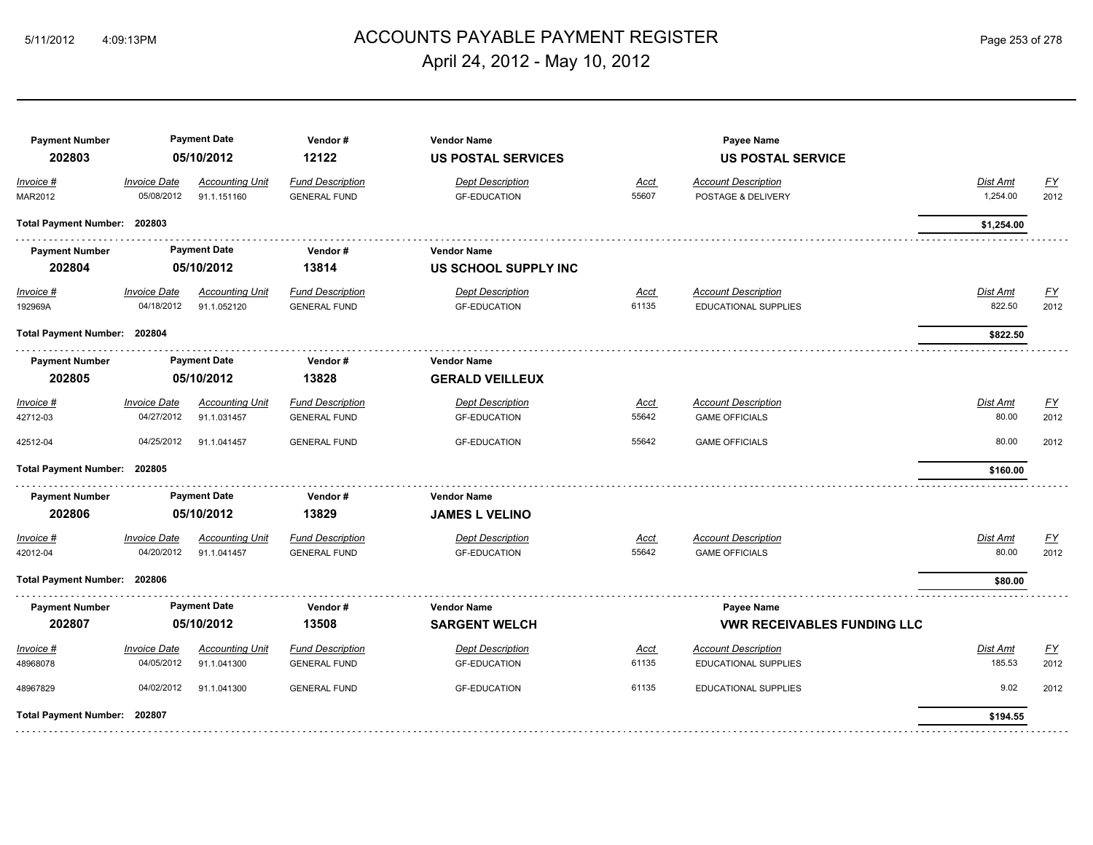### ACCOUNTS PAYABLE PAYMENT REGISTER 5/11/2012 4:09:13PM Page 253 of 278 April 24, 2012 - May 10, 2012

#### **Payment Number Payment Date Vendor # Vendor Name Payee Name 202803 05/10/2012 12122 US POSTAL SERVICES US POSTAL SERVICE** *Invoice # Invoice Date Accounting Unit Fund Description Dept Description Acct Account Description Dist Amt FY* MAR2012 05/08/2012 91.1.151160 GENERAL FUND GF-EDUCATION 55607 POSTAGE & DELIVERY 1,254.00 2012 **Total Payment Number: 202803 \$1,254.00**  s sistema **Payment Number Payment Date Vendor # Vendor Name 202804 05/10/2012 13814 US SCHOOL SUPPLY INC** *Invoice # Invoice Date Accounting Unit Fund Description Dept Description Acct Account Description Dist Amt FY* 192969A 04/18/2012 91.1.052120 GENERAL FUND GF-EDUCATION 61135 EDUCATIONAL SUPPLIES 822.50 2012 **Total Payment Number: 202804 \$822.50 Payment Number Payment Date Vendor # Vendor Name 202805 05/10/2012 13828 GERALD VEILLEUX** *Invoice # Invoice Date Accounting Unit Fund Description Dept Description Acct Account Description Dist Amt FY* 42712-03 04/27/2012 91.1.031457 GENERAL FUND GF-EDUCATION 55642 GAME OFFICIALS 80.00 2012 42512-04 04/25/2012 91.1.041457 GENERAL FUND GF-EDUCATION 55642 GAME OFFICIALS 80.00 2012 **Total Payment Number: 202805 \$160.00 Payment Number Payment Date Vendor # Vendor Name 202806 05/10/2012 13829 JAMES L VELINO** *Invoice # Invoice Date Accounting Unit Fund Description Dept Description Acct Account Description Dist Amt FY* 42012-04 04/20/2012 91.1.041457 GENERAL FUND GF-EDUCATION 55642 GAME OFFICIALS 80.00 2012 **Total Payment Number: 202806 \$80.00 Payment Number Payment Date Vendor # Vendor Name Payee Name 202807 05/10/2012 13508 SARGENT WELCH VWR RECEIVABLES FUNDING LLC** *Invoice # Invoice Date Accounting Unit Fund Description Dept Description Acct Account Description Dist Amt FY* 48968078 04/05/2012 91.1.041300 GENERAL FUND GF-EDUCATION 61135 EDUCATIONAL SUPPLIES 185.53 2012 48967829 04/02/2012 91.1.041300 GENERAL FUND GF-EDUCATION 61135 EDUCATIONAL SUPPLIES 9.02 2012 **Total Payment Number: 202807 \$194.55**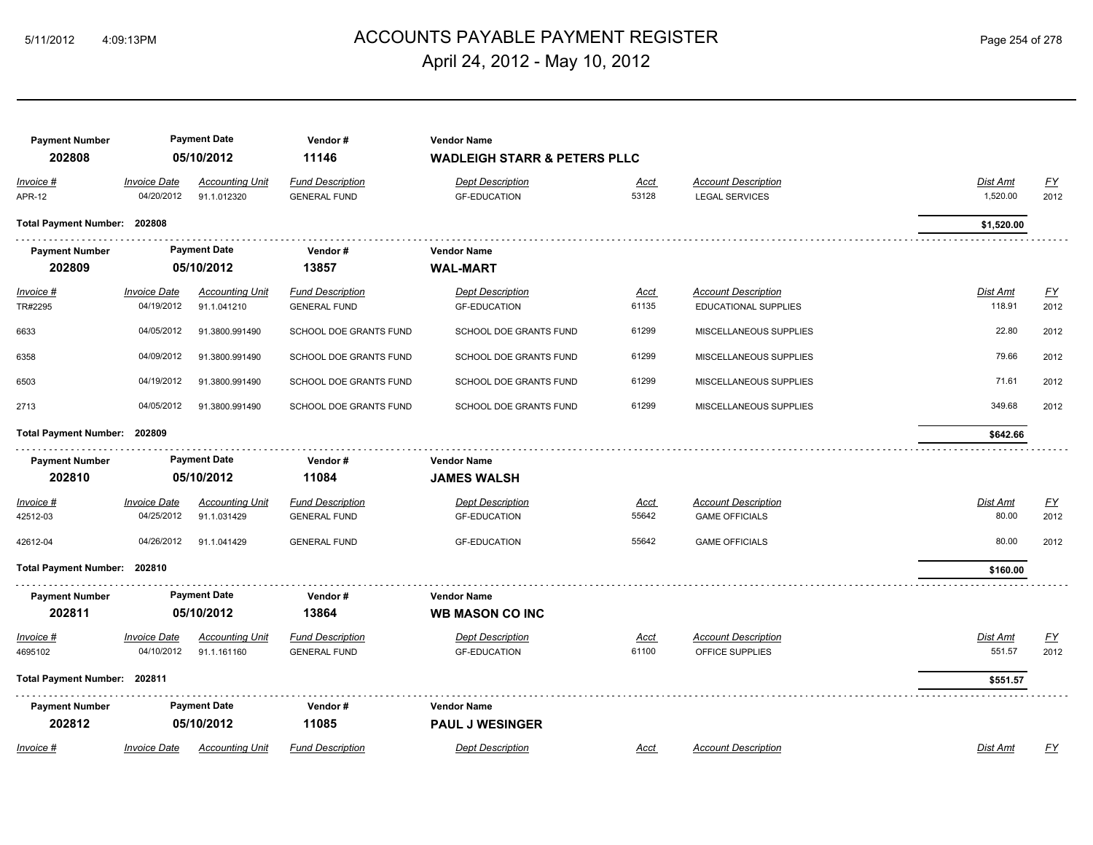# ACCOUNTS PAYABLE PAYMENT REGISTER 5/11/2012 4:09:13PM Page 254 of 278 April 24, 2012 - May 10, 2012

| <b>Payment Number</b>        | <b>Payment Date</b>               |                                       | Vendor#                                        |                                                |                      |                                                     |                           |                          |
|------------------------------|-----------------------------------|---------------------------------------|------------------------------------------------|------------------------------------------------|----------------------|-----------------------------------------------------|---------------------------|--------------------------|
| 202808                       |                                   | 05/10/2012                            | 11146                                          | <b>WADLEIGH STARR &amp; PETERS PLLC</b>        |                      |                                                     |                           |                          |
| Invoice #<br><b>APR-12</b>   | <b>Invoice Date</b><br>04/20/2012 | <b>Accounting Unit</b><br>91.1.012320 | <b>Fund Description</b><br><b>GENERAL FUND</b> | <b>Dept Description</b><br><b>GF-EDUCATION</b> | <u>Acct</u><br>53128 | <b>Account Description</b><br><b>LEGAL SERVICES</b> | Dist Amt<br>1,520.00      | $\underline{FY}$<br>2012 |
| Total Payment Number: 202808 |                                   |                                       |                                                |                                                |                      |                                                     | \$1,520.00                |                          |
| <b>Payment Number</b>        |                                   | <b>Payment Date</b>                   | Vendor#                                        | <b>Vendor Name</b>                             |                      |                                                     |                           |                          |
| 202809                       |                                   | 05/10/2012                            | 13857                                          | <b>WAL-MART</b>                                |                      |                                                     |                           |                          |
|                              |                                   |                                       |                                                |                                                |                      |                                                     |                           |                          |
| Invoice #                    | <b>Invoice Date</b><br>04/19/2012 | <b>Accounting Unit</b>                | <b>Fund Description</b>                        | <b>Dept Description</b>                        | <u>Acct</u><br>61135 | <b>Account Description</b>                          | <u>Dist Amt</u><br>118.91 | <u>FY</u>                |
| TR#2295                      |                                   | 91.1.041210                           | <b>GENERAL FUND</b>                            | <b>GF-EDUCATION</b>                            |                      | EDUCATIONAL SUPPLIES                                |                           | 2012                     |
| 6633                         | 04/05/2012                        | 91.3800.991490                        | SCHOOL DOE GRANTS FUND                         | SCHOOL DOE GRANTS FUND                         | 61299                | MISCELLANEOUS SUPPLIES                              | 22.80                     | 2012                     |
| 6358                         | 04/09/2012                        | 91.3800.991490                        | SCHOOL DOE GRANTS FUND                         | SCHOOL DOE GRANTS FUND                         | 61299                | MISCELLANEOUS SUPPLIES                              | 79.66                     | 2012                     |
| 6503                         | 04/19/2012                        | 91.3800.991490                        | SCHOOL DOE GRANTS FUND                         | SCHOOL DOE GRANTS FUND                         | 61299                | MISCELLANEOUS SUPPLIES                              | 71.61                     | 2012                     |
| 2713                         | 04/05/2012                        | 91.3800.991490                        | SCHOOL DOE GRANTS FUND                         | SCHOOL DOE GRANTS FUND                         | 61299                | MISCELLANEOUS SUPPLIES                              | 349.68                    | 2012                     |
| Total Payment Number: 202809 |                                   |                                       |                                                |                                                |                      |                                                     | \$642.66                  |                          |
| <b>Payment Number</b>        |                                   | <b>Payment Date</b>                   | Vendor#                                        | <b>Vendor Name</b>                             |                      |                                                     |                           |                          |
| 202810                       |                                   | 05/10/2012                            | 11084                                          | <b>JAMES WALSH</b>                             |                      |                                                     |                           |                          |
|                              |                                   |                                       |                                                |                                                |                      |                                                     |                           |                          |
| <i>Invoice</i> #<br>42512-03 | <b>Invoice Date</b><br>04/25/2012 | <b>Accounting Unit</b><br>91.1.031429 | <b>Fund Description</b><br><b>GENERAL FUND</b> | <b>Dept Description</b><br><b>GF-EDUCATION</b> | <u>Acct</u><br>55642 | <b>Account Description</b><br><b>GAME OFFICIALS</b> | <b>Dist Amt</b><br>80.00  | EY<br>2012               |
|                              |                                   |                                       |                                                |                                                |                      |                                                     |                           |                          |
| 42612-04                     | 04/26/2012                        | 91.1.041429                           | <b>GENERAL FUND</b>                            | <b>GF-EDUCATION</b>                            | 55642                | <b>GAME OFFICIALS</b>                               | 80.00                     | 2012                     |
| Total Payment Number: 202810 |                                   |                                       |                                                |                                                |                      |                                                     | \$160.00                  |                          |
| <b>Payment Number</b>        |                                   | <b>Payment Date</b>                   | Vendor#                                        | <b>Vendor Name</b>                             |                      |                                                     |                           |                          |
| 202811                       |                                   | 05/10/2012                            | 13864                                          | <b>WB MASON CO INC</b>                         |                      |                                                     |                           |                          |
| Invoice #                    | <b>Invoice Date</b>               | <b>Accounting Unit</b>                | <b>Fund Description</b>                        | <b>Dept Description</b>                        | Acct                 | <b>Account Description</b>                          | Dist Amt                  | $\underline{FY}$         |
| 4695102                      | 04/10/2012                        | 91.1.161160                           | <b>GENERAL FUND</b>                            | <b>GF-EDUCATION</b>                            | 61100                | OFFICE SUPPLIES                                     | 551.57                    | 2012                     |
|                              |                                   |                                       |                                                |                                                |                      |                                                     |                           |                          |
| Total Payment Number: 202811 |                                   |                                       |                                                |                                                |                      |                                                     | \$551.57                  |                          |
| <b>Payment Number</b>        |                                   | <b>Payment Date</b>                   | Vendor#                                        | <b>Vendor Name</b>                             |                      |                                                     |                           |                          |
| 202812                       |                                   | 05/10/2012                            | 11085                                          | <b>PAUL J WESINGER</b>                         |                      |                                                     |                           |                          |
| Invoice #                    | <b>Invoice Date</b>               | <b>Accounting Unit</b>                | <b>Fund Description</b>                        | <b>Dept Description</b>                        | Acct                 | <b>Account Description</b>                          | Dist Amt                  | FY                       |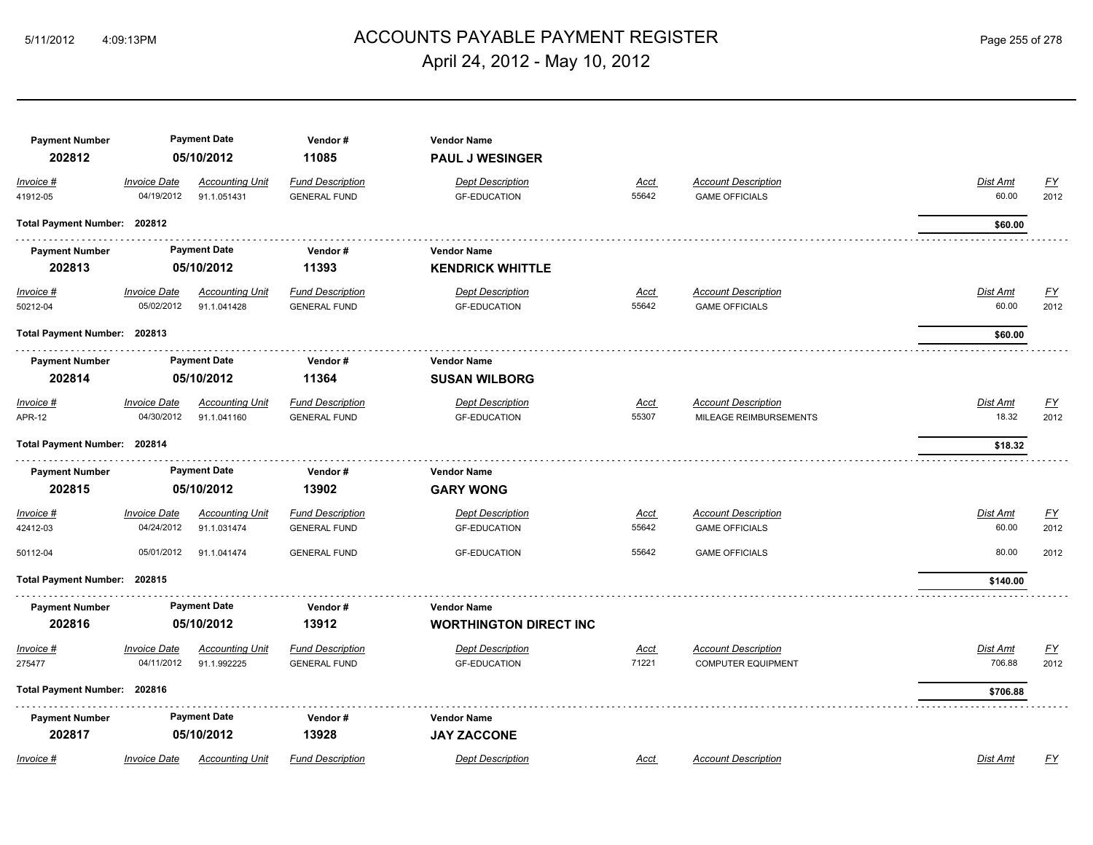### ACCOUNTS PAYABLE PAYMENT REGISTER 5/11/2012 4:09:13PM Page 255 of 278 April 24, 2012 - May 10, 2012

| <b>Payment Number</b><br>202812 | <b>Payment Date</b><br>05/10/2012 |                                       | Vendor#<br>11085                               | <b>Vendor Name</b><br><b>PAUL J WESINGER</b>        |                      |                                                         |                           |                   |  |  |
|---------------------------------|-----------------------------------|---------------------------------------|------------------------------------------------|-----------------------------------------------------|----------------------|---------------------------------------------------------|---------------------------|-------------------|--|--|
| Invoice #<br>41912-05           | <b>Invoice Date</b><br>04/19/2012 | <b>Accounting Unit</b><br>91.1.051431 | <b>Fund Description</b><br><b>GENERAL FUND</b> | <b>Dept Description</b><br><b>GF-EDUCATION</b>      | Acct<br>55642        | <b>Account Description</b><br><b>GAME OFFICIALS</b>     | Dist Amt<br>60.00         | <u>FY</u><br>2012 |  |  |
| Total Payment Number: 202812    |                                   |                                       |                                                |                                                     |                      |                                                         | \$60.00                   |                   |  |  |
| <b>Payment Number</b><br>202813 | <b>Payment Date</b><br>05/10/2012 |                                       | Vendor#<br>11393                               | <b>Vendor Name</b><br><b>KENDRICK WHITTLE</b>       |                      |                                                         |                           |                   |  |  |
| Invoice #<br>50212-04           | <b>Invoice Date</b><br>05/02/2012 | <b>Accounting Unit</b><br>91.1.041428 | <b>Fund Description</b><br><b>GENERAL FUND</b> | <b>Dept Description</b><br><b>GF-EDUCATION</b>      | <u>Acct</u><br>55642 | <b>Account Description</b><br><b>GAME OFFICIALS</b>     | <b>Dist Amt</b><br>60.00  | <u>FY</u><br>2012 |  |  |
| Total Payment Number: 202813    |                                   |                                       |                                                |                                                     |                      |                                                         | \$60.00                   |                   |  |  |
| <b>Payment Number</b><br>202814 | <b>Payment Date</b><br>05/10/2012 |                                       | Vendor#<br>11364                               | <b>Vendor Name</b><br><b>SUSAN WILBORG</b>          |                      |                                                         |                           |                   |  |  |
| Invoice #<br><b>APR-12</b>      | <b>Invoice Date</b><br>04/30/2012 | <b>Accounting Unit</b><br>91.1.041160 | <b>Fund Description</b><br><b>GENERAL FUND</b> | <b>Dept Description</b><br><b>GF-EDUCATION</b>      | Acct<br>55307        | <b>Account Description</b><br>MILEAGE REIMBURSEMENTS    | <b>Dist Amt</b><br>18.32  | <u>FY</u><br>2012 |  |  |
| Total Payment Number: 202814    |                                   |                                       |                                                |                                                     |                      |                                                         | \$18.32                   |                   |  |  |
| <b>Payment Number</b><br>202815 |                                   | <b>Payment Date</b><br>05/10/2012     | Vendor#<br>13902                               | <b>Vendor Name</b><br><b>GARY WONG</b>              |                      |                                                         |                           |                   |  |  |
| Invoice #<br>42412-03           | <b>Invoice Date</b><br>04/24/2012 | <b>Accounting Unit</b><br>91.1.031474 | <b>Fund Description</b><br><b>GENERAL FUND</b> | <b>Dept Description</b><br><b>GF-EDUCATION</b>      | <u>Acct</u><br>55642 | <b>Account Description</b><br><b>GAME OFFICIALS</b>     | Dist Amt<br>60.00         | <u>FY</u><br>2012 |  |  |
| 50112-04                        | 05/01/2012                        | 91.1.041474                           | <b>GENERAL FUND</b>                            | <b>GF-EDUCATION</b>                                 | 55642                | <b>GAME OFFICIALS</b>                                   | 80.00                     | 2012              |  |  |
| Total Payment Number: 202815    |                                   |                                       |                                                |                                                     |                      |                                                         | \$140.00                  |                   |  |  |
| <b>Payment Number</b><br>202816 |                                   | <b>Payment Date</b><br>05/10/2012     | Vendor#<br>13912                               | <b>Vendor Name</b><br><b>WORTHINGTON DIRECT INC</b> |                      |                                                         |                           |                   |  |  |
| Invoice #<br>275477             | <b>Invoice Date</b><br>04/11/2012 | <b>Accounting Unit</b><br>91.1.992225 | <b>Fund Description</b><br><b>GENERAL FUND</b> | <b>Dept Description</b><br><b>GF-EDUCATION</b>      | Acct<br>71221        | <b>Account Description</b><br><b>COMPUTER EQUIPMENT</b> | <b>Dist Amt</b><br>706.88 | <u>FY</u><br>2012 |  |  |
| Total Payment Number: 202816    |                                   |                                       |                                                |                                                     |                      |                                                         | \$706.88                  |                   |  |  |
| <b>Payment Number</b><br>202817 |                                   | <b>Payment Date</b><br>05/10/2012     | Vendor#<br>13928                               | <b>Vendor Name</b><br><b>JAY ZACCONE</b>            |                      |                                                         |                           |                   |  |  |
| Invoice #                       | Invoice Date                      | <b>Accounting Unit</b>                | <b>Fund Description</b>                        | <b>Dept Description</b>                             | Acct                 | <b>Account Description</b>                              | Dist Amt                  | FΥ                |  |  |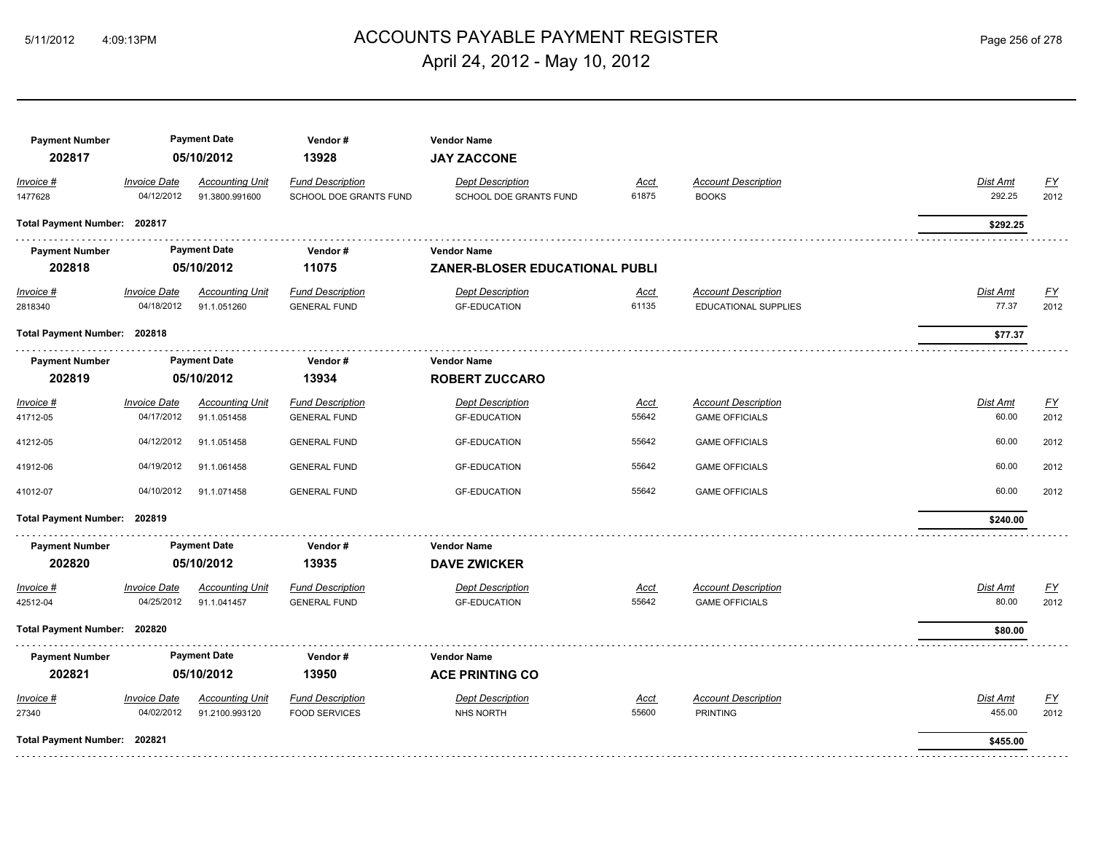# ACCOUNTS PAYABLE PAYMENT REGISTER 5/11/2012 4:09:13PM Page 256 of 278 April 24, 2012 - May 10, 2012

| <b>Payment Number</b><br>202817 |                                   | <b>Payment Date</b><br>05/10/2012        | Vendor#<br>13928                                  | <b>Vendor Name</b><br><b>JAY ZACCONE</b>          |                      |                                                     |                           |                   |
|---------------------------------|-----------------------------------|------------------------------------------|---------------------------------------------------|---------------------------------------------------|----------------------|-----------------------------------------------------|---------------------------|-------------------|
| Invoice #<br>1477628            | <b>Invoice Date</b><br>04/12/2012 | <b>Accounting Unit</b><br>91.3800.991600 | <b>Fund Description</b><br>SCHOOL DOE GRANTS FUND | <b>Dept Description</b><br>SCHOOL DOE GRANTS FUND | <u>Acct</u><br>61875 | <b>Account Description</b><br><b>BOOKS</b>          | <b>Dist Amt</b><br>292.25 | EY<br>2012        |
| Total Payment Number: 202817    |                                   |                                          |                                                   |                                                   |                      |                                                     | \$292.25                  |                   |
| <b>Payment Number</b>           |                                   | <b>Payment Date</b>                      | Vendor#                                           | <b>Vendor Name</b>                                |                      |                                                     |                           |                   |
| 202818                          | 05/10/2012                        |                                          | 11075                                             | <b>ZANER-BLOSER EDUCATIONAL PUBLI</b>             |                      |                                                     |                           |                   |
| $Invoice$ #<br>2818340          | <b>Invoice Date</b><br>04/18/2012 | <b>Accounting Unit</b><br>91.1.051260    | <b>Fund Description</b><br><b>GENERAL FUND</b>    | <b>Dept Description</b><br><b>GF-EDUCATION</b>    | <u>Acct</u><br>61135 | <b>Account Description</b><br>EDUCATIONAL SUPPLIES  | Dist Amt<br>77.37         | <u>FY</u><br>2012 |
| Total Payment Number: 202818    |                                   |                                          |                                                   |                                                   |                      |                                                     | \$77.37                   |                   |
| <b>Payment Number</b>           | <b>Payment Date</b>               |                                          | Vendor#                                           | <b>Vendor Name</b>                                |                      |                                                     |                           |                   |
| 202819                          |                                   | 05/10/2012                               | 13934                                             | <b>ROBERT ZUCCARO</b>                             |                      |                                                     |                           |                   |
| Invoice #<br>41712-05           | <b>Invoice Date</b><br>04/17/2012 | <b>Accounting Unit</b><br>91.1.051458    | <b>Fund Description</b><br><b>GENERAL FUND</b>    | <b>Dept Description</b><br><b>GF-EDUCATION</b>    | <u>Acct</u><br>55642 | <b>Account Description</b><br><b>GAME OFFICIALS</b> | <b>Dist Amt</b><br>60.00  | EY<br>2012        |
| 41212-05                        | 04/12/2012                        | 91.1.051458                              | <b>GENERAL FUND</b>                               | <b>GF-EDUCATION</b>                               | 55642                | <b>GAME OFFICIALS</b>                               | 60.00                     | 2012              |
| 41912-06                        | 04/19/2012                        | 91.1.061458                              | <b>GENERAL FUND</b>                               | <b>GF-EDUCATION</b>                               | 55642                | <b>GAME OFFICIALS</b>                               | 60.00                     | 2012              |
| 41012-07                        | 04/10/2012                        | 91.1.071458                              | <b>GENERAL FUND</b>                               | <b>GF-EDUCATION</b>                               | 55642                | <b>GAME OFFICIALS</b>                               | 60.00                     | 2012              |
| Total Payment Number: 202819    |                                   |                                          |                                                   |                                                   |                      |                                                     | \$240.00                  |                   |
| <b>Payment Number</b>           |                                   | <b>Payment Date</b>                      | Vendor#                                           | <b>Vendor Name</b>                                |                      |                                                     |                           |                   |
| 202820                          |                                   | 05/10/2012                               | 13935                                             | <b>DAVE ZWICKER</b>                               |                      |                                                     |                           |                   |
| Invoice #<br>42512-04           | <b>Invoice Date</b><br>04/25/2012 | <b>Accounting Unit</b><br>91.1.041457    | <b>Fund Description</b><br><b>GENERAL FUND</b>    | <b>Dept Description</b><br><b>GF-EDUCATION</b>    | <u>Acct</u><br>55642 | <b>Account Description</b><br><b>GAME OFFICIALS</b> | Dist Amt<br>80.00         | EY<br>2012        |
| Total Payment Number: 202820    |                                   |                                          |                                                   |                                                   |                      |                                                     | \$80.00                   |                   |
| <b>Payment Number</b>           |                                   | <b>Payment Date</b>                      | Vendor#                                           | <b>Vendor Name</b>                                |                      |                                                     |                           |                   |
| 202821                          |                                   | 05/10/2012                               | 13950                                             | <b>ACE PRINTING CO</b>                            |                      |                                                     |                           |                   |
| Invoice #<br>27340              | <b>Invoice Date</b><br>04/02/2012 | <b>Accounting Unit</b><br>91.2100.993120 | <b>Fund Description</b><br><b>FOOD SERVICES</b>   | <b>Dept Description</b><br><b>NHS NORTH</b>       | Acct<br>55600        | <b>Account Description</b><br><b>PRINTING</b>       | Dist Amt<br>455.00        | EY<br>2012        |
| Total Payment Number: 202821    |                                   |                                          |                                                   |                                                   |                      |                                                     | \$455.00                  |                   |
|                                 |                                   |                                          |                                                   |                                                   |                      |                                                     |                           |                   |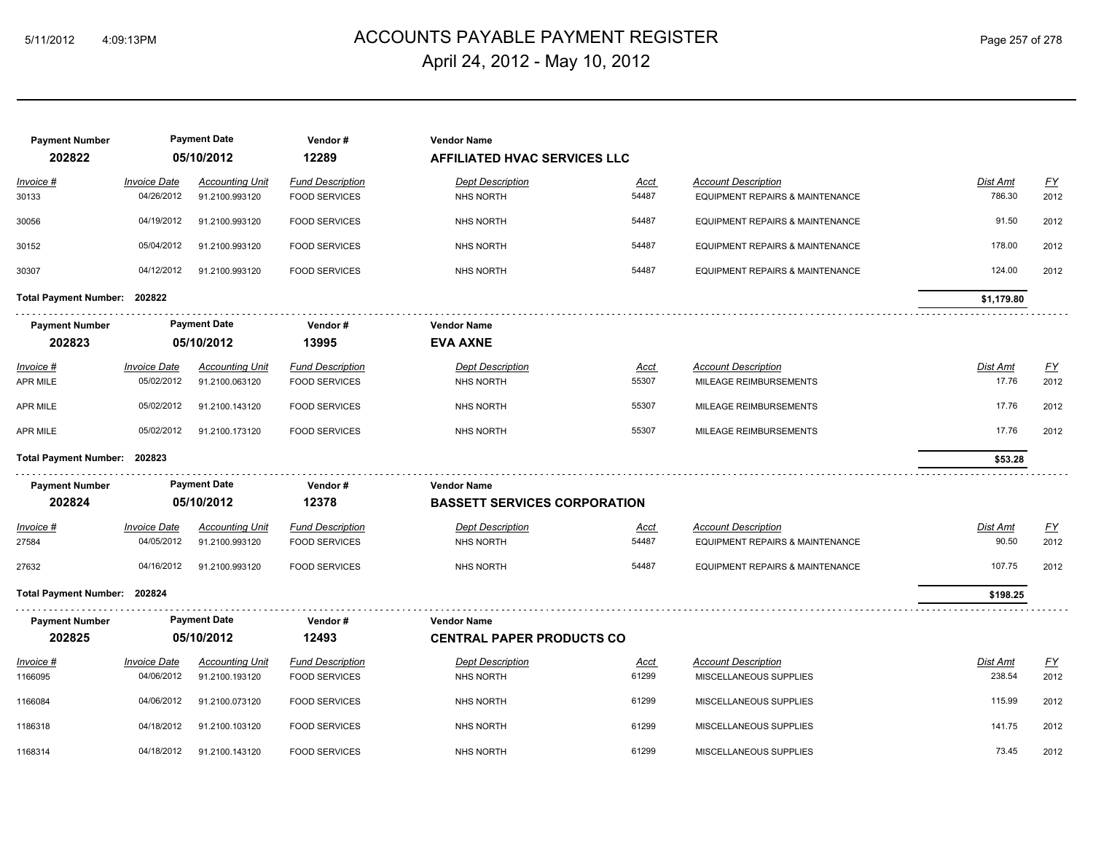# ACCOUNTS PAYABLE PAYMENT REGISTER 5/11/2012 4:09:13PM Page 257 of 278 April 24, 2012 - May 10, 2012

| <b>Payment Number</b><br>202822 |                                   | <b>Payment Date</b><br>05/10/2012        | Vendor#<br>12289                                | <b>Vendor Name</b><br><b>AFFILIATED HVAC SERVICES LLC</b> |                      |                                                               |                          |                   |
|---------------------------------|-----------------------------------|------------------------------------------|-------------------------------------------------|-----------------------------------------------------------|----------------------|---------------------------------------------------------------|--------------------------|-------------------|
| <u> Invoice #</u><br>30133      | <b>Invoice Date</b><br>04/26/2012 | <b>Accounting Unit</b><br>91.2100.993120 | <b>Fund Description</b><br><b>FOOD SERVICES</b> | <b>Dept Description</b><br><b>NHS NORTH</b>               | <u>Acct</u><br>54487 | <b>Account Description</b><br>EQUIPMENT REPAIRS & MAINTENANCE | Dist Amt<br>786.30       | <u>FY</u><br>2012 |
| 30056                           | 04/19/2012                        | 91.2100.993120                           | <b>FOOD SERVICES</b>                            | <b>NHS NORTH</b>                                          | 54487                | <b>EQUIPMENT REPAIRS &amp; MAINTENANCE</b>                    | 91.50                    | 2012              |
| 30152                           | 05/04/2012                        | 91.2100.993120                           | <b>FOOD SERVICES</b>                            | <b>NHS NORTH</b>                                          | 54487                | <b>EQUIPMENT REPAIRS &amp; MAINTENANCE</b>                    | 178.00                   | 2012              |
| 30307                           | 04/12/2012                        | 91.2100.993120                           | <b>FOOD SERVICES</b>                            | <b>NHS NORTH</b>                                          | 54487                | <b>EQUIPMENT REPAIRS &amp; MAINTENANCE</b>                    | 124.00                   | 2012              |
| Total Payment Number: 202822    |                                   |                                          |                                                 |                                                           |                      |                                                               | \$1,179.80               |                   |
| <b>Payment Number</b><br>202823 |                                   | <b>Payment Date</b><br>05/10/2012        | Vendor#<br>13995                                | <b>Vendor Name</b><br><b>EVA AXNE</b>                     |                      |                                                               |                          |                   |
| <u> Invoice #</u><br>APR MILE   | <b>Invoice Date</b><br>05/02/2012 | <b>Accounting Unit</b><br>91.2100.063120 | <b>Fund Description</b><br><b>FOOD SERVICES</b> | <b>Dept Description</b><br>NHS NORTH                      | Acct<br>55307        | <b>Account Description</b><br>MILEAGE REIMBURSEMENTS          | <b>Dist Amt</b><br>17.76 | <u>FY</u><br>2012 |
| APR MILE                        | 05/02/2012                        | 91.2100.143120                           | <b>FOOD SERVICES</b>                            | <b>NHS NORTH</b>                                          | 55307                | MILEAGE REIMBURSEMENTS                                        | 17.76                    | 2012              |
| APR MILE                        | 05/02/2012                        | 91.2100.173120                           | <b>FOOD SERVICES</b>                            | <b>NHS NORTH</b>                                          | 55307                | MILEAGE REIMBURSEMENTS                                        | 17.76                    | 2012              |
| Total Payment Number: 202823    |                                   |                                          |                                                 |                                                           |                      |                                                               | \$53.28                  |                   |
| <b>Payment Number</b>           |                                   | <b>Payment Date</b>                      | Vendor#                                         | <b>Vendor Name</b>                                        |                      |                                                               |                          |                   |
| 202824                          |                                   | 05/10/2012                               | 12378                                           | <b>BASSETT SERVICES CORPORATION</b>                       |                      |                                                               |                          |                   |
| Invoice #                       | <b>Invoice Date</b>               | <b>Accounting Unit</b>                   | <b>Fund Description</b>                         | <b>Dept Description</b>                                   | Acct                 | <b>Account Description</b>                                    | Dist Amt                 | $\underline{FY}$  |
| 27584                           | 04/05/2012                        | 91.2100.993120                           | <b>FOOD SERVICES</b>                            | <b>NHS NORTH</b>                                          | 54487                | <b>EQUIPMENT REPAIRS &amp; MAINTENANCE</b>                    | 90.50                    | 2012              |
| 27632                           | 04/16/2012                        | 91.2100.993120                           | <b>FOOD SERVICES</b>                            | <b>NHS NORTH</b>                                          | 54487                | EQUIPMENT REPAIRS & MAINTENANCE                               | 107.75                   | 2012              |
| Total Payment Number: 202824    |                                   |                                          |                                                 |                                                           |                      |                                                               | \$198.25                 |                   |
| <b>Payment Number</b>           |                                   | <b>Payment Date</b>                      | Vendor#                                         | <b>Vendor Name</b>                                        |                      |                                                               |                          |                   |
| 202825                          |                                   | 05/10/2012                               | 12493                                           | <b>CENTRAL PAPER PRODUCTS CO</b>                          |                      |                                                               |                          |                   |
| Invoice #                       | <b>Invoice Date</b>               | <b>Accounting Unit</b>                   | <b>Fund Description</b>                         | <b>Dept Description</b>                                   | <b>Acct</b>          | <b>Account Description</b>                                    | Dist Amt                 | $\underline{FY}$  |
| 1166095                         | 04/06/2012                        | 91.2100.193120                           | <b>FOOD SERVICES</b>                            | <b>NHS NORTH</b>                                          | 61299                | MISCELLANEOUS SUPPLIES                                        | 238.54                   | 2012              |
| 1166084                         | 04/06/2012                        | 91.2100.073120                           | <b>FOOD SERVICES</b>                            | NHS NORTH                                                 | 61299                | MISCELLANEOUS SUPPLIES                                        | 115.99                   | 2012              |
| 1186318                         | 04/18/2012                        | 91.2100.103120                           | <b>FOOD SERVICES</b>                            | <b>NHS NORTH</b>                                          | 61299                | MISCELLANEOUS SUPPLIES                                        | 141.75                   | 2012              |
| 1168314                         | 04/18/2012                        | 91.2100.143120                           | <b>FOOD SERVICES</b>                            | <b>NHS NORTH</b>                                          | 61299                | MISCELLANEOUS SUPPLIES                                        | 73.45                    | 2012              |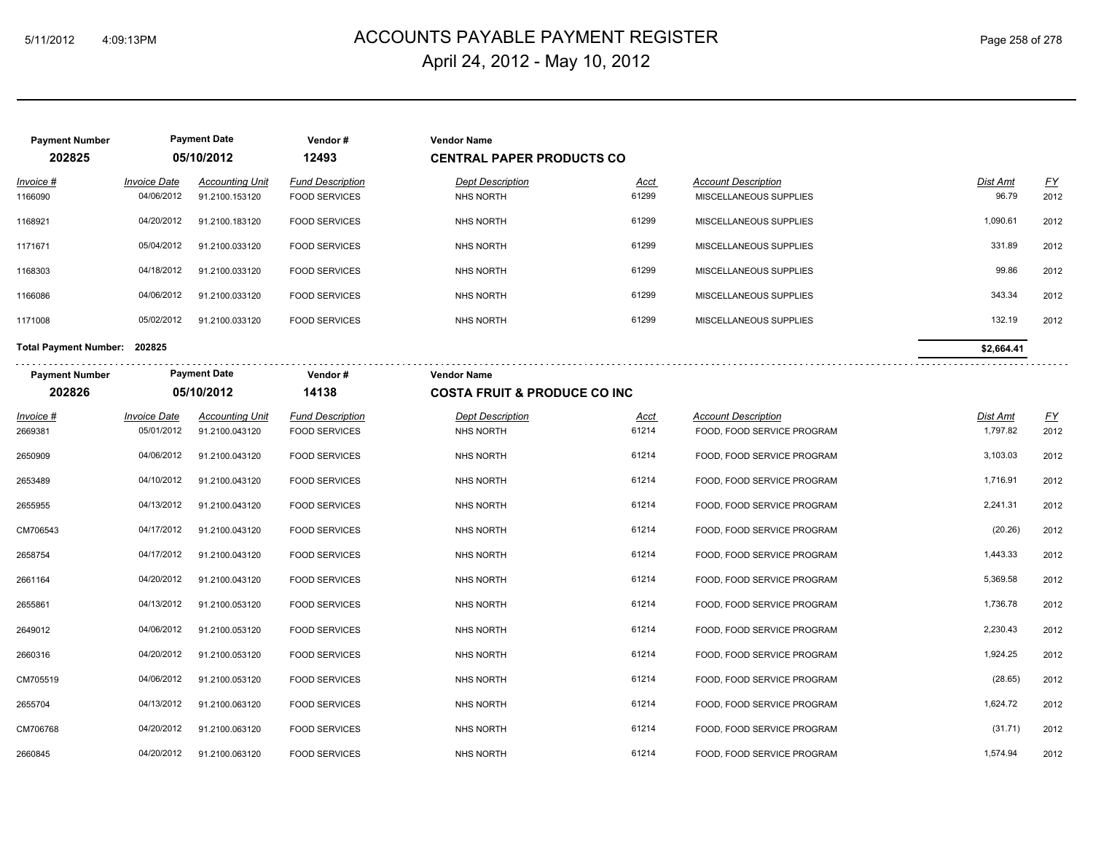**Payment Number Payment Date Vendor # Vendor Name**

# ACCOUNTS PAYABLE PAYMENT REGISTER 5/11/2012 4:09:13PM Page 258 of 278 April 24, 2012 - May 10, 2012

| 202825                       |                                   | 05/10/2012                               | 12493                                           | <b>CENTRAL PAPER PRODUCTS CO</b>            |                      |                                                          |                      |                   |
|------------------------------|-----------------------------------|------------------------------------------|-------------------------------------------------|---------------------------------------------|----------------------|----------------------------------------------------------|----------------------|-------------------|
| Invoice #<br>1166090         | <b>Invoice Date</b><br>04/06/2012 | <b>Accounting Unit</b><br>91.2100.153120 | <b>Fund Description</b><br><b>FOOD SERVICES</b> | <b>Dept Description</b><br><b>NHS NORTH</b> | <u>Acct</u><br>61299 | <b>Account Description</b><br>MISCELLANEOUS SUPPLIES     | Dist Amt<br>96.79    | <u>FY</u><br>2012 |
| 1168921                      | 04/20/2012                        | 91.2100.183120                           | <b>FOOD SERVICES</b>                            | <b>NHS NORTH</b>                            | 61299                | MISCELLANEOUS SUPPLIES                                   | 1,090.61             | 2012              |
| 1171671                      | 05/04/2012                        | 91.2100.033120                           | <b>FOOD SERVICES</b>                            | <b>NHS NORTH</b>                            | 61299                | MISCELLANEOUS SUPPLIES                                   | 331.89               | 2012              |
| 1168303                      | 04/18/2012                        | 91.2100.033120                           | <b>FOOD SERVICES</b>                            | <b>NHS NORTH</b>                            | 61299                | MISCELLANEOUS SUPPLIES                                   | 99.86                | 2012              |
| 1166086                      | 04/06/2012                        | 91.2100.033120                           | <b>FOOD SERVICES</b>                            | <b>NHS NORTH</b>                            | 61299                | MISCELLANEOUS SUPPLIES                                   | 343.34               | 2012              |
| 1171008                      | 05/02/2012                        | 91.2100.033120                           | <b>FOOD SERVICES</b>                            | <b>NHS NORTH</b>                            | 61299                | MISCELLANEOUS SUPPLIES                                   | 132.19               | 2012              |
| Total Payment Number: 202825 |                                   |                                          |                                                 |                                             |                      |                                                          | \$2,664.41           |                   |
| <b>Payment Number</b>        |                                   | <b>Payment Date</b>                      | Vendor#                                         | <b>Vendor Name</b>                          |                      |                                                          |                      |                   |
| 202826                       |                                   | 05/10/2012                               | 14138                                           | <b>COSTA FRUIT &amp; PRODUCE CO INC</b>     |                      |                                                          |                      |                   |
| <u>Invoice #</u><br>2669381  | <b>Invoice Date</b><br>05/01/2012 | <b>Accounting Unit</b><br>91.2100.043120 | <b>Fund Description</b><br><b>FOOD SERVICES</b> | <b>Dept Description</b><br><b>NHS NORTH</b> | <u>Acct</u><br>61214 | <b>Account Description</b><br>FOOD, FOOD SERVICE PROGRAM | Dist Amt<br>1,797.82 | <u>FY</u><br>2012 |
| 2650909                      | 04/06/2012                        | 91.2100.043120                           | <b>FOOD SERVICES</b>                            | <b>NHS NORTH</b>                            | 61214                | FOOD, FOOD SERVICE PROGRAM                               | 3,103.03             | 2012              |
| 2653489                      | 04/10/2012                        | 91.2100.043120                           | <b>FOOD SERVICES</b>                            | <b>NHS NORTH</b>                            | 61214                | FOOD, FOOD SERVICE PROGRAM                               | 1,716.91             | 2012              |
| 2655955                      | 04/13/2012                        | 91.2100.043120                           | <b>FOOD SERVICES</b>                            | <b>NHS NORTH</b>                            | 61214                | FOOD, FOOD SERVICE PROGRAM                               | 2,241.31             | 2012              |
| CM706543                     | 04/17/2012                        | 91.2100.043120                           | <b>FOOD SERVICES</b>                            | <b>NHS NORTH</b>                            | 61214                | FOOD, FOOD SERVICE PROGRAM                               | (20.26)              | 2012              |
| 2658754                      | 04/17/2012                        | 91.2100.043120                           | <b>FOOD SERVICES</b>                            | <b>NHS NORTH</b>                            | 61214                | FOOD, FOOD SERVICE PROGRAM                               | 1,443.33             | 2012              |
| 2661164                      | 04/20/2012                        | 91.2100.043120                           | <b>FOOD SERVICES</b>                            | <b>NHS NORTH</b>                            | 61214                | FOOD, FOOD SERVICE PROGRAM                               | 5,369.58             | 2012              |
| 2655861                      | 04/13/2012                        | 91.2100.053120                           | <b>FOOD SERVICES</b>                            | <b>NHS NORTH</b>                            | 61214                | FOOD, FOOD SERVICE PROGRAM                               | 1,736.78             | 2012              |
| 2649012                      | 04/06/2012                        | 91.2100.053120                           | <b>FOOD SERVICES</b>                            | <b>NHS NORTH</b>                            | 61214                | FOOD, FOOD SERVICE PROGRAM                               | 2,230.43             | 2012              |
| 2660316                      | 04/20/2012                        | 91.2100.053120                           | <b>FOOD SERVICES</b>                            | <b>NHS NORTH</b>                            | 61214                | FOOD, FOOD SERVICE PROGRAM                               | 1,924.25             | 2012              |
| CM705519                     | 04/06/2012                        | 91.2100.053120                           | <b>FOOD SERVICES</b>                            | <b>NHS NORTH</b>                            | 61214                | FOOD, FOOD SERVICE PROGRAM                               | (28.65)              | 2012              |
| 2655704                      | 04/13/2012                        | 91.2100.063120                           | <b>FOOD SERVICES</b>                            | NHS NORTH                                   | 61214                | FOOD, FOOD SERVICE PROGRAM                               | 1,624.72             | 2012              |
| CM706768                     | 04/20/2012                        | 91.2100.063120                           | <b>FOOD SERVICES</b>                            | <b>NHS NORTH</b>                            | 61214                | FOOD, FOOD SERVICE PROGRAM                               | (31.71)              | 2012              |
| 2660845                      | 04/20/2012                        | 91.2100.063120                           | <b>FOOD SERVICES</b>                            | NHS NORTH                                   | 61214                | FOOD, FOOD SERVICE PROGRAM                               | 1,574.94             | 2012              |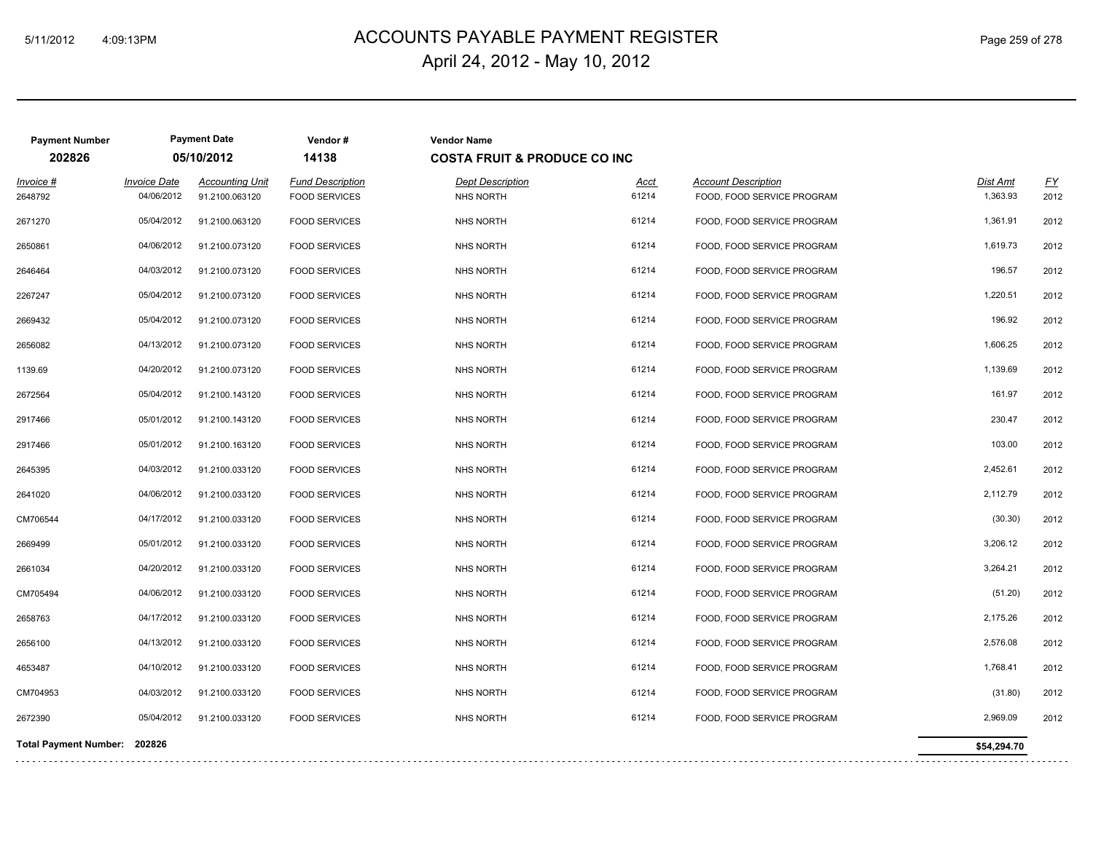# ACCOUNTS PAYABLE PAYMENT REGISTER 5/11/2012 4:09:13PM Page 259 of 278 April 24, 2012 - May 10, 2012

| <b>Payment Number</b>        |                     | <b>Payment Date</b>    | Vendor#                 | <b>Vendor Name</b>                      |             |                            |             |                           |
|------------------------------|---------------------|------------------------|-------------------------|-----------------------------------------|-------------|----------------------------|-------------|---------------------------|
| 202826                       |                     | 05/10/2012             | 14138                   | <b>COSTA FRUIT &amp; PRODUCE CO INC</b> |             |                            |             |                           |
| Invoice #                    | <b>Invoice Date</b> | <b>Accounting Unit</b> | <b>Fund Description</b> | <b>Dept Description</b>                 | <b>Acct</b> | <b>Account Description</b> | Dist Amt    | $\underline{\mathsf{FY}}$ |
| 2648792                      | 04/06/2012          | 91.2100.063120         | <b>FOOD SERVICES</b>    | <b>NHS NORTH</b>                        | 61214       | FOOD, FOOD SERVICE PROGRAM | 1,363.93    | 2012                      |
| 2671270                      | 05/04/2012          | 91.2100.063120         | <b>FOOD SERVICES</b>    | NHS NORTH                               | 61214       | FOOD, FOOD SERVICE PROGRAM | 1,361.91    | 2012                      |
| 2650861                      | 04/06/2012          | 91.2100.073120         | <b>FOOD SERVICES</b>    | NHS NORTH                               | 61214       | FOOD, FOOD SERVICE PROGRAM | 1,619.73    | 2012                      |
| 2646464                      | 04/03/2012          | 91.2100.073120         | <b>FOOD SERVICES</b>    | <b>NHS NORTH</b>                        | 61214       | FOOD, FOOD SERVICE PROGRAM | 196.57      | 2012                      |
| 2267247                      | 05/04/2012          | 91.2100.073120         | <b>FOOD SERVICES</b>    | <b>NHS NORTH</b>                        | 61214       | FOOD, FOOD SERVICE PROGRAM | 1,220.51    | 2012                      |
| 2669432                      | 05/04/2012          | 91.2100.073120         | <b>FOOD SERVICES</b>    | NHS NORTH                               | 61214       | FOOD, FOOD SERVICE PROGRAM | 196.92      | 2012                      |
| 2656082                      | 04/13/2012          | 91.2100.073120         | <b>FOOD SERVICES</b>    | <b>NHS NORTH</b>                        | 61214       | FOOD, FOOD SERVICE PROGRAM | 1,606.25    | 2012                      |
| 1139.69                      | 04/20/2012          | 91.2100.073120         | <b>FOOD SERVICES</b>    | <b>NHS NORTH</b>                        | 61214       | FOOD, FOOD SERVICE PROGRAM | 1,139.69    | 2012                      |
| 2672564                      | 05/04/2012          | 91.2100.143120         | <b>FOOD SERVICES</b>    | <b>NHS NORTH</b>                        | 61214       | FOOD, FOOD SERVICE PROGRAM | 161.97      | 2012                      |
| 2917466                      | 05/01/2012          | 91.2100.143120         | <b>FOOD SERVICES</b>    | <b>NHS NORTH</b>                        | 61214       | FOOD, FOOD SERVICE PROGRAM | 230.47      | 2012                      |
| 2917466                      | 05/01/2012          | 91.2100.163120         | <b>FOOD SERVICES</b>    | <b>NHS NORTH</b>                        | 61214       | FOOD, FOOD SERVICE PROGRAM | 103.00      | 2012                      |
| 2645395                      | 04/03/2012          | 91.2100.033120         | <b>FOOD SERVICES</b>    | <b>NHS NORTH</b>                        | 61214       | FOOD, FOOD SERVICE PROGRAM | 2,452.61    | 2012                      |
| 2641020                      | 04/06/2012          | 91.2100.033120         | <b>FOOD SERVICES</b>    | <b>NHS NORTH</b>                        | 61214       | FOOD, FOOD SERVICE PROGRAM | 2,112.79    | 2012                      |
| CM706544                     | 04/17/2012          | 91.2100.033120         | <b>FOOD SERVICES</b>    | <b>NHS NORTH</b>                        | 61214       | FOOD, FOOD SERVICE PROGRAM | (30.30)     | 2012                      |
| 2669499                      | 05/01/2012          | 91.2100.033120         | <b>FOOD SERVICES</b>    | <b>NHS NORTH</b>                        | 61214       | FOOD, FOOD SERVICE PROGRAM | 3,206.12    | 2012                      |
| 2661034                      | 04/20/2012          | 91.2100.033120         | <b>FOOD SERVICES</b>    | <b>NHS NORTH</b>                        | 61214       | FOOD, FOOD SERVICE PROGRAM | 3,264.21    | 2012                      |
| CM705494                     | 04/06/2012          | 91.2100.033120         | <b>FOOD SERVICES</b>    | <b>NHS NORTH</b>                        | 61214       | FOOD, FOOD SERVICE PROGRAM | (51.20)     | 2012                      |
| 2658763                      | 04/17/2012          | 91.2100.033120         | <b>FOOD SERVICES</b>    | <b>NHS NORTH</b>                        | 61214       | FOOD, FOOD SERVICE PROGRAM | 2,175.26    | 2012                      |
| 2656100                      | 04/13/2012          | 91.2100.033120         | <b>FOOD SERVICES</b>    | <b>NHS NORTH</b>                        | 61214       | FOOD, FOOD SERVICE PROGRAM | 2,576.08    | 2012                      |
| 4653487                      | 04/10/2012          | 91.2100.033120         | <b>FOOD SERVICES</b>    | NHS NORTH                               | 61214       | FOOD, FOOD SERVICE PROGRAM | 1,768.41    | 2012                      |
| CM704953                     | 04/03/2012          | 91.2100.033120         | <b>FOOD SERVICES</b>    | <b>NHS NORTH</b>                        | 61214       | FOOD, FOOD SERVICE PROGRAM | (31.80)     | 2012                      |
| 2672390                      | 05/04/2012          | 91.2100.033120         | <b>FOOD SERVICES</b>    | NHS NORTH                               | 61214       | FOOD, FOOD SERVICE PROGRAM | 2,969.09    | 2012                      |
| Total Payment Number: 202826 |                     |                        |                         |                                         |             |                            | \$54,294.70 |                           |
|                              |                     |                        |                         |                                         |             |                            |             |                           |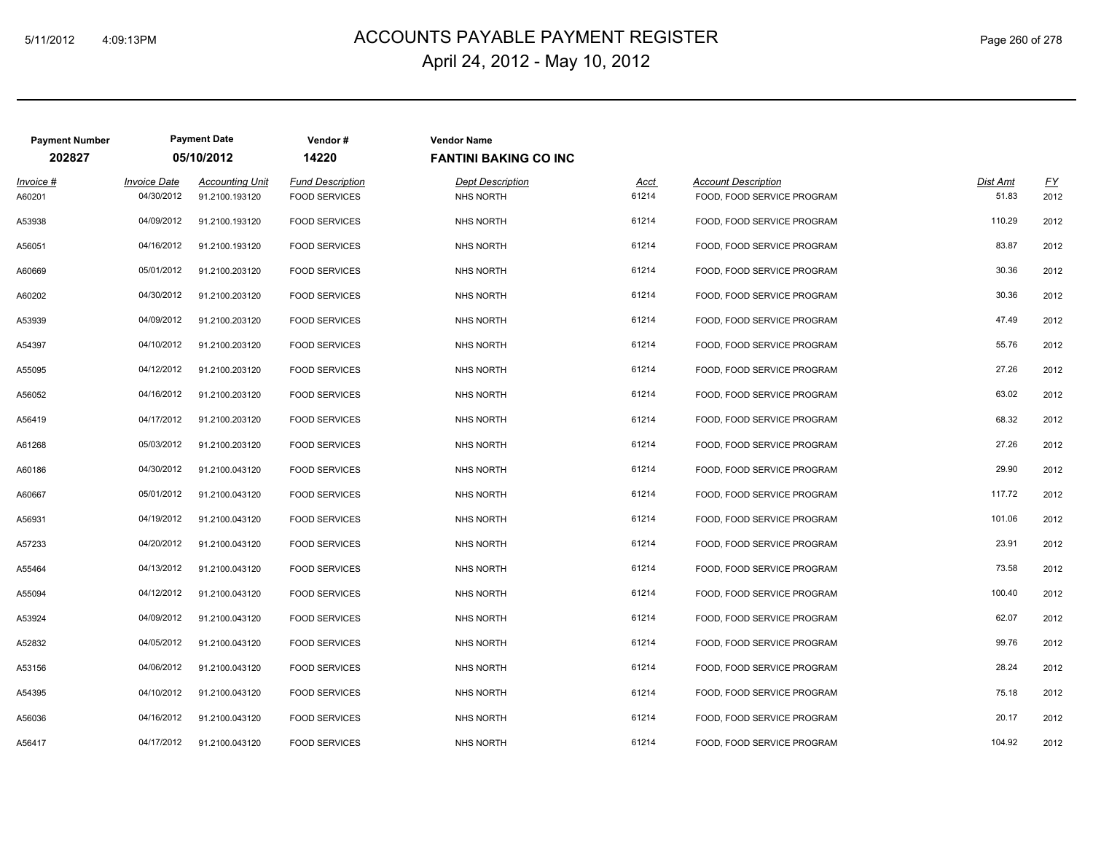# ACCOUNTS PAYABLE PAYMENT REGISTER 5/11/2012 4:09:13PM Page 260 of 278 April 24, 2012 - May 10, 2012

| <b>Payment Number</b> |                                   | <b>Payment Date</b>                      | Vendor#                                         | <b>Vendor Name</b>                          |                      |                                                          |                   |                   |
|-----------------------|-----------------------------------|------------------------------------------|-------------------------------------------------|---------------------------------------------|----------------------|----------------------------------------------------------|-------------------|-------------------|
| 202827                |                                   | 05/10/2012                               | 14220                                           | <b>FANTINI BAKING CO INC</b>                |                      |                                                          |                   |                   |
| Invoice #<br>A60201   | <b>Invoice Date</b><br>04/30/2012 | <b>Accounting Unit</b><br>91.2100.193120 | <b>Fund Description</b><br><b>FOOD SERVICES</b> | <b>Dept Description</b><br><b>NHS NORTH</b> | <u>Acct</u><br>61214 | <b>Account Description</b><br>FOOD, FOOD SERVICE PROGRAM | Dist Amt<br>51.83 | <u>FY</u><br>2012 |
| A53938                | 04/09/2012                        | 91.2100.193120                           | <b>FOOD SERVICES</b>                            | <b>NHS NORTH</b>                            | 61214                | FOOD, FOOD SERVICE PROGRAM                               | 110.29            | 2012              |
| A56051                | 04/16/2012                        | 91.2100.193120                           | <b>FOOD SERVICES</b>                            | NHS NORTH                                   | 61214                | FOOD, FOOD SERVICE PROGRAM                               | 83.87             | 2012              |
| A60669                | 05/01/2012                        | 91.2100.203120                           | <b>FOOD SERVICES</b>                            | <b>NHS NORTH</b>                            | 61214                | FOOD, FOOD SERVICE PROGRAM                               | 30.36             | 2012              |
| A60202                | 04/30/2012                        | 91.2100.203120                           | <b>FOOD SERVICES</b>                            | <b>NHS NORTH</b>                            | 61214                | FOOD, FOOD SERVICE PROGRAM                               | 30.36             | 2012              |
| A53939                | 04/09/2012                        | 91.2100.203120                           | <b>FOOD SERVICES</b>                            | <b>NHS NORTH</b>                            | 61214                | FOOD, FOOD SERVICE PROGRAM                               | 47.49             | 2012              |
| A54397                | 04/10/2012                        | 91.2100.203120                           | <b>FOOD SERVICES</b>                            | <b>NHS NORTH</b>                            | 61214                | FOOD, FOOD SERVICE PROGRAM                               | 55.76             | 2012              |
| A55095                | 04/12/2012                        | 91.2100.203120                           | <b>FOOD SERVICES</b>                            | <b>NHS NORTH</b>                            | 61214                | FOOD, FOOD SERVICE PROGRAM                               | 27.26             | 2012              |
| A56052                | 04/16/2012                        | 91.2100.203120                           | <b>FOOD SERVICES</b>                            | <b>NHS NORTH</b>                            | 61214                | FOOD, FOOD SERVICE PROGRAM                               | 63.02             | 2012              |
| A56419                | 04/17/2012                        | 91.2100.203120                           | <b>FOOD SERVICES</b>                            | <b>NHS NORTH</b>                            | 61214                | FOOD, FOOD SERVICE PROGRAM                               | 68.32             | 2012              |
| A61268                | 05/03/2012                        | 91.2100.203120                           | <b>FOOD SERVICES</b>                            | NHS NORTH                                   | 61214                | FOOD, FOOD SERVICE PROGRAM                               | 27.26             | 2012              |
| A60186                | 04/30/2012                        | 91.2100.043120                           | <b>FOOD SERVICES</b>                            | NHS NORTH                                   | 61214                | FOOD, FOOD SERVICE PROGRAM                               | 29.90             | 2012              |
| A60667                | 05/01/2012                        | 91.2100.043120                           | <b>FOOD SERVICES</b>                            | <b>NHS NORTH</b>                            | 61214                | FOOD, FOOD SERVICE PROGRAM                               | 117.72            | 2012              |
| A56931                | 04/19/2012                        | 91.2100.043120                           | <b>FOOD SERVICES</b>                            | <b>NHS NORTH</b>                            | 61214                | FOOD, FOOD SERVICE PROGRAM                               | 101.06            | 2012              |
| A57233                | 04/20/2012                        | 91.2100.043120                           | <b>FOOD SERVICES</b>                            | <b>NHS NORTH</b>                            | 61214                | FOOD, FOOD SERVICE PROGRAM                               | 23.91             | 2012              |
| A55464                | 04/13/2012                        | 91.2100.043120                           | <b>FOOD SERVICES</b>                            | <b>NHS NORTH</b>                            | 61214                | FOOD, FOOD SERVICE PROGRAM                               | 73.58             | 2012              |
| A55094                | 04/12/2012                        | 91.2100.043120                           | <b>FOOD SERVICES</b>                            | NHS NORTH                                   | 61214                | FOOD, FOOD SERVICE PROGRAM                               | 100.40            | 2012              |
| A53924                | 04/09/2012                        | 91.2100.043120                           | <b>FOOD SERVICES</b>                            | <b>NHS NORTH</b>                            | 61214                | FOOD, FOOD SERVICE PROGRAM                               | 62.07             | 2012              |
| A52832                | 04/05/2012                        | 91.2100.043120                           | <b>FOOD SERVICES</b>                            | <b>NHS NORTH</b>                            | 61214                | FOOD, FOOD SERVICE PROGRAM                               | 99.76             | 2012              |
| A53156                | 04/06/2012                        | 91.2100.043120                           | <b>FOOD SERVICES</b>                            | <b>NHS NORTH</b>                            | 61214                | FOOD, FOOD SERVICE PROGRAM                               | 28.24             | 2012              |
| A54395                | 04/10/2012                        | 91.2100.043120                           | <b>FOOD SERVICES</b>                            | <b>NHS NORTH</b>                            | 61214                | FOOD, FOOD SERVICE PROGRAM                               | 75.18             | 2012              |
| A56036                | 04/16/2012                        | 91.2100.043120                           | <b>FOOD SERVICES</b>                            | <b>NHS NORTH</b>                            | 61214                | FOOD, FOOD SERVICE PROGRAM                               | 20.17             | 2012              |
| A56417                | 04/17/2012                        | 91.2100.043120                           | <b>FOOD SERVICES</b>                            | <b>NHS NORTH</b>                            | 61214                | FOOD, FOOD SERVICE PROGRAM                               | 104.92            | 2012              |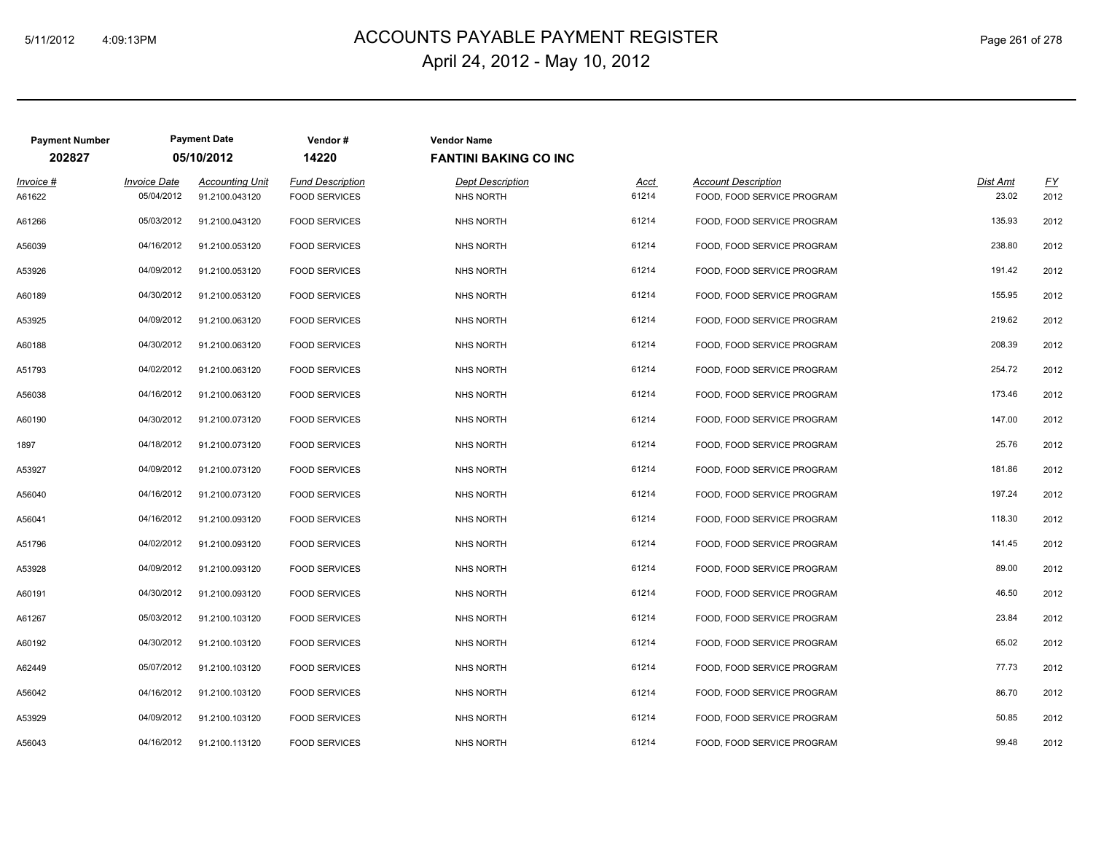# ACCOUNTS PAYABLE PAYMENT REGISTER 5/11/2012 4:09:13PM Page 261 of 278 April 24, 2012 - May 10, 2012

| <b>Payment Number</b><br>202827 |                                   | <b>Payment Date</b><br>05/10/2012        | Vendor#<br>14220                                | <b>Vendor Name</b><br><b>FANTINI BAKING CO INC</b> |                      |                                                          |                   |            |
|---------------------------------|-----------------------------------|------------------------------------------|-------------------------------------------------|----------------------------------------------------|----------------------|----------------------------------------------------------|-------------------|------------|
| Invoice #<br>A61622             | <b>Invoice Date</b><br>05/04/2012 | <b>Accounting Unit</b><br>91.2100.043120 | <b>Fund Description</b><br><b>FOOD SERVICES</b> | <b>Dept Description</b><br><b>NHS NORTH</b>        | <u>Acct</u><br>61214 | <b>Account Description</b><br>FOOD, FOOD SERVICE PROGRAM | Dist Amt<br>23.02 | EY<br>2012 |
| A61266                          | 05/03/2012                        | 91.2100.043120                           | <b>FOOD SERVICES</b>                            | NHS NORTH                                          | 61214                | FOOD, FOOD SERVICE PROGRAM                               | 135.93            | 2012       |
| A56039                          | 04/16/2012                        | 91.2100.053120                           | <b>FOOD SERVICES</b>                            | <b>NHS NORTH</b>                                   | 61214                | FOOD, FOOD SERVICE PROGRAM                               | 238.80            | 2012       |
| A53926                          | 04/09/2012                        | 91.2100.053120                           | <b>FOOD SERVICES</b>                            | NHS NORTH                                          | 61214                | FOOD, FOOD SERVICE PROGRAM                               | 191.42            | 2012       |
| A60189                          | 04/30/2012                        | 91.2100.053120                           | <b>FOOD SERVICES</b>                            | <b>NHS NORTH</b>                                   | 61214                | FOOD, FOOD SERVICE PROGRAM                               | 155.95            | 2012       |
| A53925                          | 04/09/2012                        | 91.2100.063120                           | <b>FOOD SERVICES</b>                            | <b>NHS NORTH</b>                                   | 61214                | FOOD, FOOD SERVICE PROGRAM                               | 219.62            | 2012       |
| A60188                          | 04/30/2012                        | 91.2100.063120                           | <b>FOOD SERVICES</b>                            | <b>NHS NORTH</b>                                   | 61214                | FOOD, FOOD SERVICE PROGRAM                               | 208.39            | 2012       |
| A51793                          | 04/02/2012                        | 91.2100.063120                           | <b>FOOD SERVICES</b>                            | <b>NHS NORTH</b>                                   | 61214                | FOOD, FOOD SERVICE PROGRAM                               | 254.72            | 2012       |
| A56038                          | 04/16/2012                        | 91.2100.063120                           | <b>FOOD SERVICES</b>                            | <b>NHS NORTH</b>                                   | 61214                | FOOD, FOOD SERVICE PROGRAM                               | 173.46            | 2012       |
| A60190                          | 04/30/2012                        | 91.2100.073120                           | <b>FOOD SERVICES</b>                            | <b>NHS NORTH</b>                                   | 61214                | FOOD, FOOD SERVICE PROGRAM                               | 147.00            | 2012       |
| 1897                            | 04/18/2012                        | 91.2100.073120                           | <b>FOOD SERVICES</b>                            | <b>NHS NORTH</b>                                   | 61214                | FOOD, FOOD SERVICE PROGRAM                               | 25.76             | 2012       |
| A53927                          | 04/09/2012                        | 91.2100.073120                           | <b>FOOD SERVICES</b>                            | <b>NHS NORTH</b>                                   | 61214                | FOOD, FOOD SERVICE PROGRAM                               | 181.86            | 2012       |
| A56040                          | 04/16/2012                        | 91.2100.073120                           | <b>FOOD SERVICES</b>                            | <b>NHS NORTH</b>                                   | 61214                | FOOD, FOOD SERVICE PROGRAM                               | 197.24            | 2012       |
| A56041                          | 04/16/2012                        | 91.2100.093120                           | <b>FOOD SERVICES</b>                            | <b>NHS NORTH</b>                                   | 61214                | FOOD, FOOD SERVICE PROGRAM                               | 118.30            | 2012       |
| A51796                          | 04/02/2012                        | 91.2100.093120                           | <b>FOOD SERVICES</b>                            | <b>NHS NORTH</b>                                   | 61214                | FOOD, FOOD SERVICE PROGRAM                               | 141.45            | 2012       |
| A53928                          | 04/09/2012                        | 91.2100.093120                           | <b>FOOD SERVICES</b>                            | <b>NHS NORTH</b>                                   | 61214                | FOOD, FOOD SERVICE PROGRAM                               | 89.00             | 2012       |
| A60191                          | 04/30/2012                        | 91.2100.093120                           | <b>FOOD SERVICES</b>                            | <b>NHS NORTH</b>                                   | 61214                | FOOD, FOOD SERVICE PROGRAM                               | 46.50             | 2012       |
| A61267                          | 05/03/2012                        | 91.2100.103120                           | <b>FOOD SERVICES</b>                            | <b>NHS NORTH</b>                                   | 61214                | FOOD, FOOD SERVICE PROGRAM                               | 23.84             | 2012       |
| A60192                          | 04/30/2012                        | 91.2100.103120                           | <b>FOOD SERVICES</b>                            | <b>NHS NORTH</b>                                   | 61214                | FOOD, FOOD SERVICE PROGRAM                               | 65.02             | 2012       |
| A62449                          | 05/07/2012                        | 91.2100.103120                           | <b>FOOD SERVICES</b>                            | <b>NHS NORTH</b>                                   | 61214                | FOOD, FOOD SERVICE PROGRAM                               | 77.73             | 2012       |
| A56042                          | 04/16/2012                        | 91.2100.103120                           | <b>FOOD SERVICES</b>                            | <b>NHS NORTH</b>                                   | 61214                | FOOD, FOOD SERVICE PROGRAM                               | 86.70             | 2012       |
| A53929                          | 04/09/2012                        | 91.2100.103120                           | <b>FOOD SERVICES</b>                            | <b>NHS NORTH</b>                                   | 61214                | FOOD, FOOD SERVICE PROGRAM                               | 50.85             | 2012       |
| A56043                          | 04/16/2012                        | 91.2100.113120                           | <b>FOOD SERVICES</b>                            | <b>NHS NORTH</b>                                   | 61214                | FOOD, FOOD SERVICE PROGRAM                               | 99.48             | 2012       |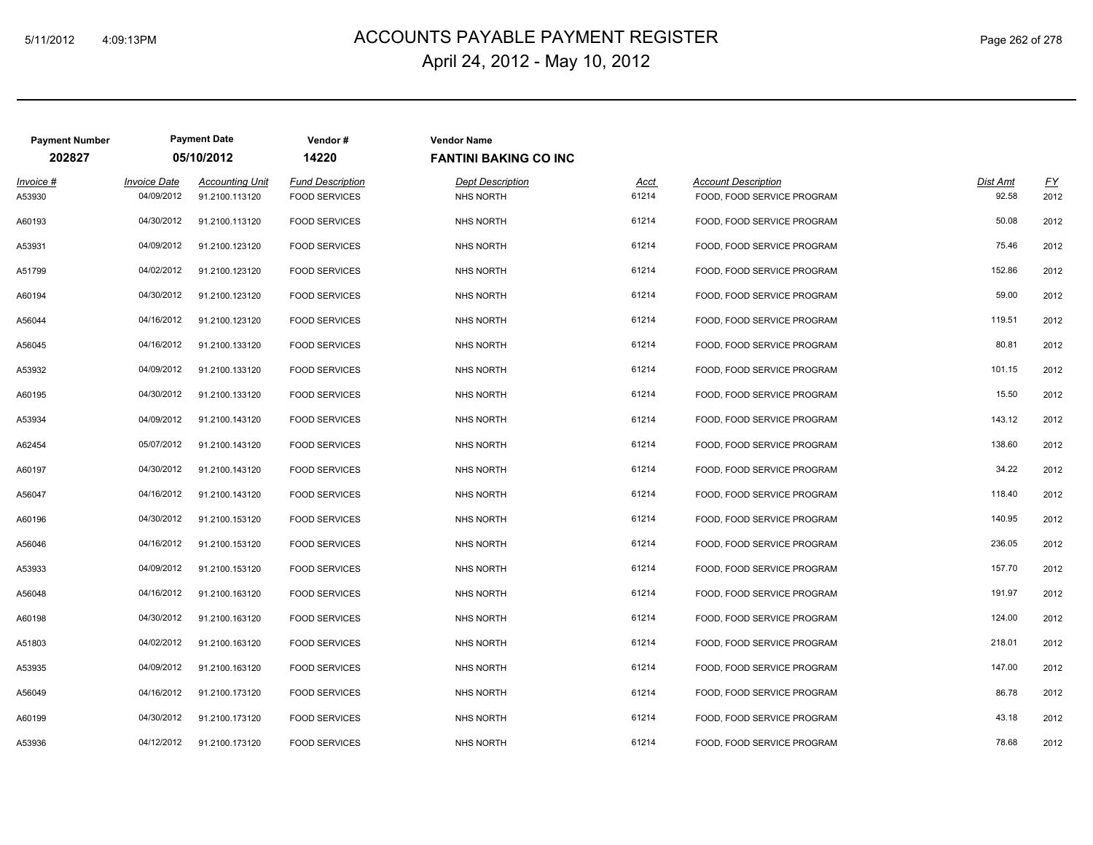# ACCOUNTS PAYABLE PAYMENT REGISTER 5/11/2012 4:09:13PM Page 262 of 278 April 24, 2012 - May 10, 2012

| <b>Payment Number</b> |                                   | <b>Payment Date</b>                      | Vendor#                                         | <b>Vendor Name</b>                   |                      |                                                          |                   |            |
|-----------------------|-----------------------------------|------------------------------------------|-------------------------------------------------|--------------------------------------|----------------------|----------------------------------------------------------|-------------------|------------|
| 202827                |                                   | 05/10/2012                               | 14220                                           | <b>FANTINI BAKING CO INC</b>         |                      |                                                          |                   |            |
| Invoice #<br>A53930   | <b>Invoice Date</b><br>04/09/2012 | <b>Accounting Unit</b><br>91.2100.113120 | <b>Fund Description</b><br><b>FOOD SERVICES</b> | <b>Dept Description</b><br>NHS NORTH | <u>Acct</u><br>61214 | <b>Account Description</b><br>FOOD, FOOD SERVICE PROGRAM | Dist Amt<br>92.58 | EY<br>2012 |
| A60193                | 04/30/2012                        | 91.2100.113120                           | <b>FOOD SERVICES</b>                            | NHS NORTH                            | 61214                | FOOD, FOOD SERVICE PROGRAM                               | 50.08             | 2012       |
| A53931                | 04/09/2012                        | 91.2100.123120                           | <b>FOOD SERVICES</b>                            | <b>NHS NORTH</b>                     | 61214                | FOOD, FOOD SERVICE PROGRAM                               | 75.46             | 2012       |
| A51799                | 04/02/2012                        | 91.2100.123120                           | <b>FOOD SERVICES</b>                            | <b>NHS NORTH</b>                     | 61214                | FOOD, FOOD SERVICE PROGRAM                               | 152.86            | 2012       |
| A60194                | 04/30/2012                        | 91.2100.123120                           | <b>FOOD SERVICES</b>                            | <b>NHS NORTH</b>                     | 61214                | FOOD, FOOD SERVICE PROGRAM                               | 59.00             | 2012       |
| A56044                | 04/16/2012                        | 91.2100.123120                           | <b>FOOD SERVICES</b>                            | <b>NHS NORTH</b>                     | 61214                | FOOD, FOOD SERVICE PROGRAM                               | 119.51            | 2012       |
| A56045                | 04/16/2012                        | 91.2100.133120                           | <b>FOOD SERVICES</b>                            | <b>NHS NORTH</b>                     | 61214                | FOOD, FOOD SERVICE PROGRAM                               | 80.81             | 2012       |
| A53932                | 04/09/2012                        | 91.2100.133120                           | <b>FOOD SERVICES</b>                            | <b>NHS NORTH</b>                     | 61214                | FOOD, FOOD SERVICE PROGRAM                               | 101.15            | 2012       |
| A60195                | 04/30/2012                        | 91.2100.133120                           | <b>FOOD SERVICES</b>                            | <b>NHS NORTH</b>                     | 61214                | FOOD, FOOD SERVICE PROGRAM                               | 15.50             | 2012       |
| A53934                | 04/09/2012                        | 91.2100.143120                           | <b>FOOD SERVICES</b>                            | <b>NHS NORTH</b>                     | 61214                | FOOD, FOOD SERVICE PROGRAM                               | 143.12            | 2012       |
| A62454                | 05/07/2012                        | 91.2100.143120                           | <b>FOOD SERVICES</b>                            | <b>NHS NORTH</b>                     | 61214                | FOOD, FOOD SERVICE PROGRAM                               | 138.60            | 2012       |
| A60197                | 04/30/2012                        | 91.2100.143120                           | <b>FOOD SERVICES</b>                            | <b>NHS NORTH</b>                     | 61214                | FOOD, FOOD SERVICE PROGRAM                               | 34.22             | 2012       |
| A56047                | 04/16/2012                        | 91.2100.143120                           | <b>FOOD SERVICES</b>                            | <b>NHS NORTH</b>                     | 61214                | FOOD, FOOD SERVICE PROGRAM                               | 118.40            | 2012       |
| A60196                | 04/30/2012                        | 91.2100.153120                           | <b>FOOD SERVICES</b>                            | <b>NHS NORTH</b>                     | 61214                | FOOD, FOOD SERVICE PROGRAM                               | 140.95            | 2012       |
| A56046                | 04/16/2012                        | 91.2100.153120                           | <b>FOOD SERVICES</b>                            | <b>NHS NORTH</b>                     | 61214                | FOOD, FOOD SERVICE PROGRAM                               | 236.05            | 2012       |
| A53933                | 04/09/2012                        | 91.2100.153120                           | <b>FOOD SERVICES</b>                            | <b>NHS NORTH</b>                     | 61214                | FOOD, FOOD SERVICE PROGRAM                               | 157.70            | 2012       |
| A56048                | 04/16/2012                        | 91.2100.163120                           | <b>FOOD SERVICES</b>                            | <b>NHS NORTH</b>                     | 61214                | FOOD, FOOD SERVICE PROGRAM                               | 191.97            | 2012       |
| A60198                | 04/30/2012                        | 91.2100.163120                           | <b>FOOD SERVICES</b>                            | NHS NORTH                            | 61214                | FOOD, FOOD SERVICE PROGRAM                               | 124.00            | 2012       |
| A51803                | 04/02/2012                        | 91.2100.163120                           | <b>FOOD SERVICES</b>                            | <b>NHS NORTH</b>                     | 61214                | FOOD, FOOD SERVICE PROGRAM                               | 218.01            | 2012       |
| A53935                | 04/09/2012                        | 91.2100.163120                           | <b>FOOD SERVICES</b>                            | <b>NHS NORTH</b>                     | 61214                | FOOD, FOOD SERVICE PROGRAM                               | 147.00            | 2012       |
| A56049                | 04/16/2012                        | 91.2100.173120                           | <b>FOOD SERVICES</b>                            | <b>NHS NORTH</b>                     | 61214                | FOOD, FOOD SERVICE PROGRAM                               | 86.78             | 2012       |
| A60199                | 04/30/2012                        | 91.2100.173120                           | <b>FOOD SERVICES</b>                            | <b>NHS NORTH</b>                     | 61214                | FOOD, FOOD SERVICE PROGRAM                               | 43.18             | 2012       |
| A53936                | 04/12/2012                        | 91.2100.173120                           | <b>FOOD SERVICES</b>                            | <b>NHS NORTH</b>                     | 61214                | FOOD, FOOD SERVICE PROGRAM                               | 78.68             | 2012       |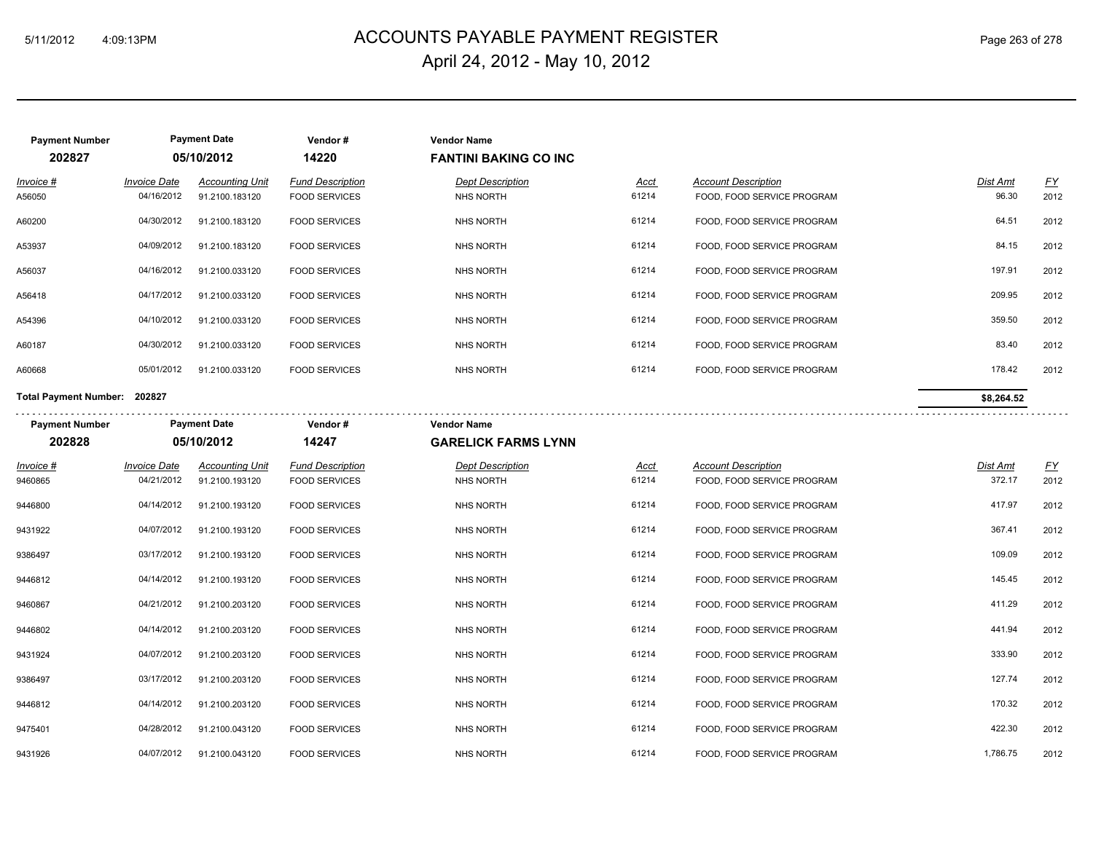# ACCOUNTS PAYABLE PAYMENT REGISTER 5/11/2012 4:09:13PM Page 263 of 278 April 24, 2012 - May 10, 2012

| <b>Payment Number</b>           |                                   | <b>Payment Date</b>                      | Vendor#                                         | <b>Vendor Name</b>                               |               |                                                          |                   |                          |
|---------------------------------|-----------------------------------|------------------------------------------|-------------------------------------------------|--------------------------------------------------|---------------|----------------------------------------------------------|-------------------|--------------------------|
| 202827                          |                                   | 05/10/2012                               | 14220                                           | <b>FANTINI BAKING CO INC</b>                     |               |                                                          |                   |                          |
| Invoice #<br>A56050             | <b>Invoice Date</b><br>04/16/2012 | <b>Accounting Unit</b><br>91.2100.183120 | <b>Fund Description</b><br><b>FOOD SERVICES</b> | <b>Dept Description</b><br><b>NHS NORTH</b>      | Acct<br>61214 | <b>Account Description</b><br>FOOD, FOOD SERVICE PROGRAM | Dist Amt<br>96.30 | $\underline{FY}$<br>2012 |
| A60200                          | 04/30/2012                        | 91.2100.183120                           | <b>FOOD SERVICES</b>                            | <b>NHS NORTH</b>                                 | 61214         | FOOD, FOOD SERVICE PROGRAM                               | 64.51             | 2012                     |
| A53937                          | 04/09/2012                        | 91.2100.183120                           | <b>FOOD SERVICES</b>                            | <b>NHS NORTH</b>                                 | 61214         | FOOD, FOOD SERVICE PROGRAM                               | 84.15             | 2012                     |
| A56037                          | 04/16/2012                        | 91.2100.033120                           | <b>FOOD SERVICES</b>                            | <b>NHS NORTH</b>                                 | 61214         | FOOD, FOOD SERVICE PROGRAM                               | 197.91            | 2012                     |
| A56418                          | 04/17/2012                        | 91.2100.033120                           | <b>FOOD SERVICES</b>                            | <b>NHS NORTH</b>                                 | 61214         | FOOD, FOOD SERVICE PROGRAM                               | 209.95            | 2012                     |
| A54396                          | 04/10/2012                        | 91.2100.033120                           | <b>FOOD SERVICES</b>                            | <b>NHS NORTH</b>                                 | 61214         | FOOD, FOOD SERVICE PROGRAM                               | 359.50            | 2012                     |
| A60187                          | 04/30/2012                        | 91.2100.033120                           | <b>FOOD SERVICES</b>                            | NHS NORTH                                        | 61214         | FOOD, FOOD SERVICE PROGRAM                               | 83.40             | 2012                     |
| A60668                          | 05/01/2012                        | 91.2100.033120                           | <b>FOOD SERVICES</b>                            | <b>NHS NORTH</b>                                 | 61214         | FOOD, FOOD SERVICE PROGRAM                               | 178.42            | 2012                     |
| Total Payment Number: 202827    |                                   |                                          |                                                 |                                                  |               |                                                          | \$8,264.52        |                          |
| <b>Payment Number</b><br>202828 |                                   | <b>Payment Date</b><br>05/10/2012        | Vendor#<br>14247                                | <b>Vendor Name</b><br><b>GARELICK FARMS LYNN</b> |               |                                                          |                   |                          |
| Invoice #                       | <b>Invoice Date</b>               | <b>Accounting Unit</b>                   | <b>Fund Description</b>                         | <b>Dept Description</b>                          | <u>Acct</u>   | <b>Account Description</b>                               | <u>Dist Amt</u>   | EY                       |
| 9460865                         | 04/21/2012                        | 91.2100.193120                           | <b>FOOD SERVICES</b>                            | <b>NHS NORTH</b>                                 | 61214         | FOOD, FOOD SERVICE PROGRAM                               | 372.17            | 2012                     |
| 9446800                         | 04/14/2012                        | 91.2100.193120                           | <b>FOOD SERVICES</b>                            | <b>NHS NORTH</b>                                 | 61214         | FOOD, FOOD SERVICE PROGRAM                               | 417.97            | 2012                     |
| 9431922                         | 04/07/2012                        | 91.2100.193120                           | <b>FOOD SERVICES</b>                            | <b>NHS NORTH</b>                                 | 61214         | FOOD, FOOD SERVICE PROGRAM                               | 367.41            | 2012                     |
| 9386497                         | 03/17/2012                        | 91.2100.193120                           | <b>FOOD SERVICES</b>                            | <b>NHS NORTH</b>                                 | 61214         | FOOD, FOOD SERVICE PROGRAM                               | 109.09            | 2012                     |
| 9446812                         | 04/14/2012                        | 91.2100.193120                           | <b>FOOD SERVICES</b>                            | <b>NHS NORTH</b>                                 | 61214         | FOOD, FOOD SERVICE PROGRAM                               | 145.45            | 2012                     |
| 9460867                         | 04/21/2012                        | 91.2100.203120                           | <b>FOOD SERVICES</b>                            | <b>NHS NORTH</b>                                 | 61214         | FOOD, FOOD SERVICE PROGRAM                               | 411.29            | 2012                     |
| 9446802                         | 04/14/2012                        | 91.2100.203120                           | <b>FOOD SERVICES</b>                            | <b>NHS NORTH</b>                                 | 61214         | FOOD, FOOD SERVICE PROGRAM                               | 441.94            | 2012                     |
| 9431924                         | 04/07/2012                        | 91.2100.203120                           | <b>FOOD SERVICES</b>                            | NHS NORTH                                        | 61214         | FOOD, FOOD SERVICE PROGRAM                               | 333.90            | 2012                     |
| 9386497                         | 03/17/2012                        | 91.2100.203120                           | <b>FOOD SERVICES</b>                            | <b>NHS NORTH</b>                                 | 61214         | FOOD, FOOD SERVICE PROGRAM                               | 127.74            | 2012                     |
| 9446812                         | 04/14/2012                        | 91.2100.203120                           | <b>FOOD SERVICES</b>                            | <b>NHS NORTH</b>                                 | 61214         | FOOD, FOOD SERVICE PROGRAM                               | 170.32            | 2012                     |
| 9475401                         | 04/28/2012                        | 91.2100.043120                           | <b>FOOD SERVICES</b>                            | <b>NHS NORTH</b>                                 | 61214         | FOOD, FOOD SERVICE PROGRAM                               | 422.30            | 2012                     |
| 9431926                         | 04/07/2012                        | 91.2100.043120                           | <b>FOOD SERVICES</b>                            | <b>NHS NORTH</b>                                 | 61214         | FOOD, FOOD SERVICE PROGRAM                               | 1,786.75          | 2012                     |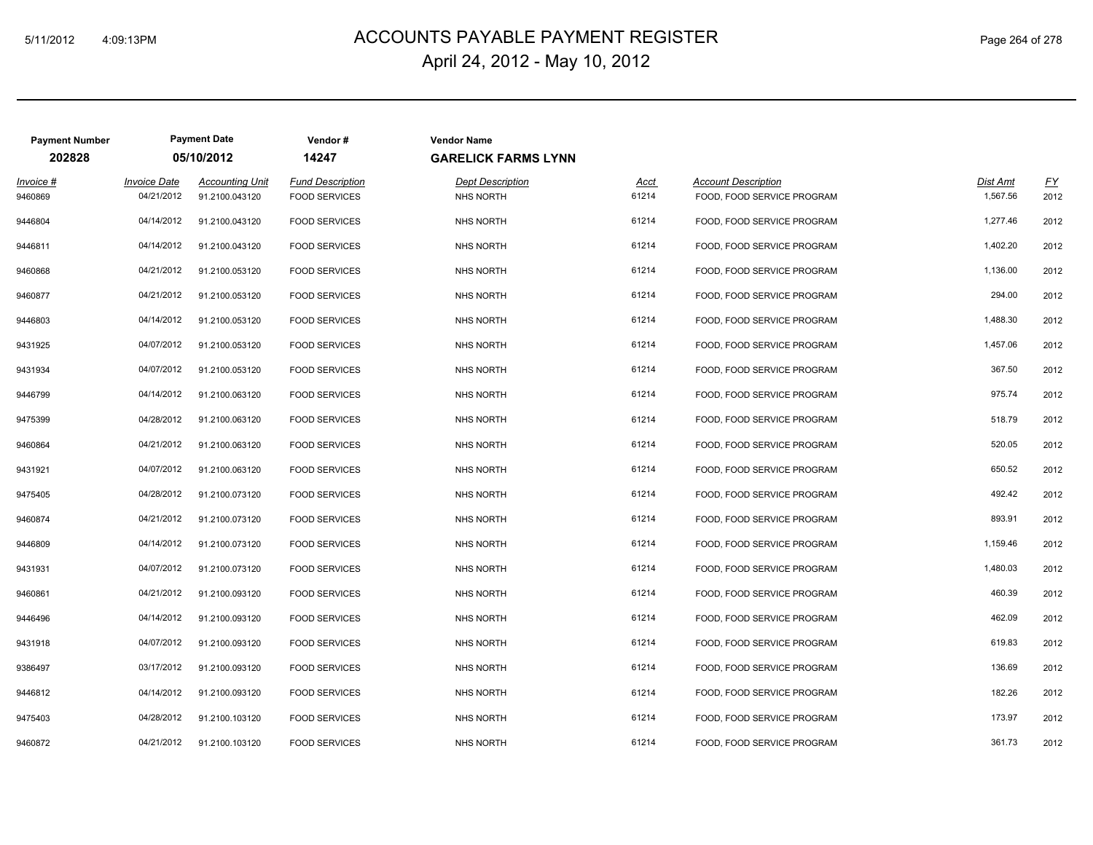# ACCOUNTS PAYABLE PAYMENT REGISTER 5/11/2012 4:09:13PM Page 264 of 278 April 24, 2012 - May 10, 2012

| <b>Payment Number</b><br>202828 |                                   | <b>Payment Date</b><br>05/10/2012        | Vendor#<br>14247                         | <b>Vendor Name</b><br><b>GARELICK FARMS LYNN</b> |                      |                                                          |                      |            |
|---------------------------------|-----------------------------------|------------------------------------------|------------------------------------------|--------------------------------------------------|----------------------|----------------------------------------------------------|----------------------|------------|
| Invoice #<br>9460869            | <b>Invoice Date</b><br>04/21/2012 | <b>Accounting Unit</b><br>91.2100.043120 | Fund Description<br><b>FOOD SERVICES</b> | <b>Dept Description</b><br><b>NHS NORTH</b>      | <u>Acct</u><br>61214 | <b>Account Description</b><br>FOOD, FOOD SERVICE PROGRAM | Dist Amt<br>1,567.56 | EY<br>2012 |
| 9446804                         | 04/14/2012                        | 91.2100.043120                           | <b>FOOD SERVICES</b>                     | <b>NHS NORTH</b>                                 | 61214                | FOOD, FOOD SERVICE PROGRAM                               | 1,277.46             | 2012       |
| 9446811                         | 04/14/2012                        | 91.2100.043120                           | <b>FOOD SERVICES</b>                     | <b>NHS NORTH</b>                                 | 61214                | FOOD, FOOD SERVICE PROGRAM                               | 1,402.20             | 2012       |
| 9460868                         | 04/21/2012                        | 91.2100.053120                           | <b>FOOD SERVICES</b>                     | <b>NHS NORTH</b>                                 | 61214                | FOOD, FOOD SERVICE PROGRAM                               | 1,136.00             | 2012       |
| 9460877                         | 04/21/2012                        | 91.2100.053120                           | <b>FOOD SERVICES</b>                     | <b>NHS NORTH</b>                                 | 61214                | FOOD, FOOD SERVICE PROGRAM                               | 294.00               | 2012       |
| 9446803                         | 04/14/2012                        | 91.2100.053120                           | <b>FOOD SERVICES</b>                     | <b>NHS NORTH</b>                                 | 61214                | FOOD, FOOD SERVICE PROGRAM                               | 1,488.30             | 2012       |
| 9431925                         | 04/07/2012                        | 91.2100.053120                           | <b>FOOD SERVICES</b>                     | <b>NHS NORTH</b>                                 | 61214                | FOOD, FOOD SERVICE PROGRAM                               | 1,457.06             | 2012       |
| 9431934                         | 04/07/2012                        | 91.2100.053120                           | <b>FOOD SERVICES</b>                     | <b>NHS NORTH</b>                                 | 61214                | FOOD, FOOD SERVICE PROGRAM                               | 367.50               | 2012       |
| 9446799                         | 04/14/2012                        | 91.2100.063120                           | <b>FOOD SERVICES</b>                     | <b>NHS NORTH</b>                                 | 61214                | FOOD, FOOD SERVICE PROGRAM                               | 975.74               | 2012       |
| 9475399                         | 04/28/2012                        | 91.2100.063120                           | <b>FOOD SERVICES</b>                     | <b>NHS NORTH</b>                                 | 61214                | FOOD, FOOD SERVICE PROGRAM                               | 518.79               | 2012       |
| 9460864                         | 04/21/2012                        | 91.2100.063120                           | <b>FOOD SERVICES</b>                     | <b>NHS NORTH</b>                                 | 61214                | FOOD, FOOD SERVICE PROGRAM                               | 520.05               | 2012       |
| 9431921                         | 04/07/2012                        | 91.2100.063120                           | <b>FOOD SERVICES</b>                     | <b>NHS NORTH</b>                                 | 61214                | FOOD, FOOD SERVICE PROGRAM                               | 650.52               | 2012       |
| 9475405                         | 04/28/2012                        | 91.2100.073120                           | <b>FOOD SERVICES</b>                     | <b>NHS NORTH</b>                                 | 61214                | FOOD, FOOD SERVICE PROGRAM                               | 492.42               | 2012       |
| 9460874                         | 04/21/2012                        | 91.2100.073120                           | <b>FOOD SERVICES</b>                     | <b>NHS NORTH</b>                                 | 61214                | FOOD, FOOD SERVICE PROGRAM                               | 893.91               | 2012       |
| 9446809                         | 04/14/2012                        | 91.2100.073120                           | <b>FOOD SERVICES</b>                     | NHS NORTH                                        | 61214                | FOOD, FOOD SERVICE PROGRAM                               | 1,159.46             | 2012       |
| 9431931                         | 04/07/2012                        | 91.2100.073120                           | <b>FOOD SERVICES</b>                     | <b>NHS NORTH</b>                                 | 61214                | FOOD, FOOD SERVICE PROGRAM                               | 1,480.03             | 2012       |
| 9460861                         | 04/21/2012                        | 91.2100.093120                           | <b>FOOD SERVICES</b>                     | <b>NHS NORTH</b>                                 | 61214                | FOOD, FOOD SERVICE PROGRAM                               | 460.39               | 2012       |
| 9446496                         | 04/14/2012                        | 91.2100.093120                           | <b>FOOD SERVICES</b>                     | <b>NHS NORTH</b>                                 | 61214                | FOOD, FOOD SERVICE PROGRAM                               | 462.09               | 2012       |
| 9431918                         | 04/07/2012                        | 91.2100.093120                           | <b>FOOD SERVICES</b>                     | <b>NHS NORTH</b>                                 | 61214                | FOOD, FOOD SERVICE PROGRAM                               | 619.83               | 2012       |
| 9386497                         | 03/17/2012                        | 91.2100.093120                           | <b>FOOD SERVICES</b>                     | <b>NHS NORTH</b>                                 | 61214                | FOOD, FOOD SERVICE PROGRAM                               | 136.69               | 2012       |
| 9446812                         | 04/14/2012                        | 91.2100.093120                           | <b>FOOD SERVICES</b>                     | <b>NHS NORTH</b>                                 | 61214                | FOOD, FOOD SERVICE PROGRAM                               | 182.26               | 2012       |
| 9475403                         | 04/28/2012                        | 91.2100.103120                           | <b>FOOD SERVICES</b>                     | <b>NHS NORTH</b>                                 | 61214                | FOOD, FOOD SERVICE PROGRAM                               | 173.97               | 2012       |
| 9460872                         | 04/21/2012                        | 91.2100.103120                           | <b>FOOD SERVICES</b>                     | <b>NHS NORTH</b>                                 | 61214                | FOOD. FOOD SERVICE PROGRAM                               | 361.73               | 2012       |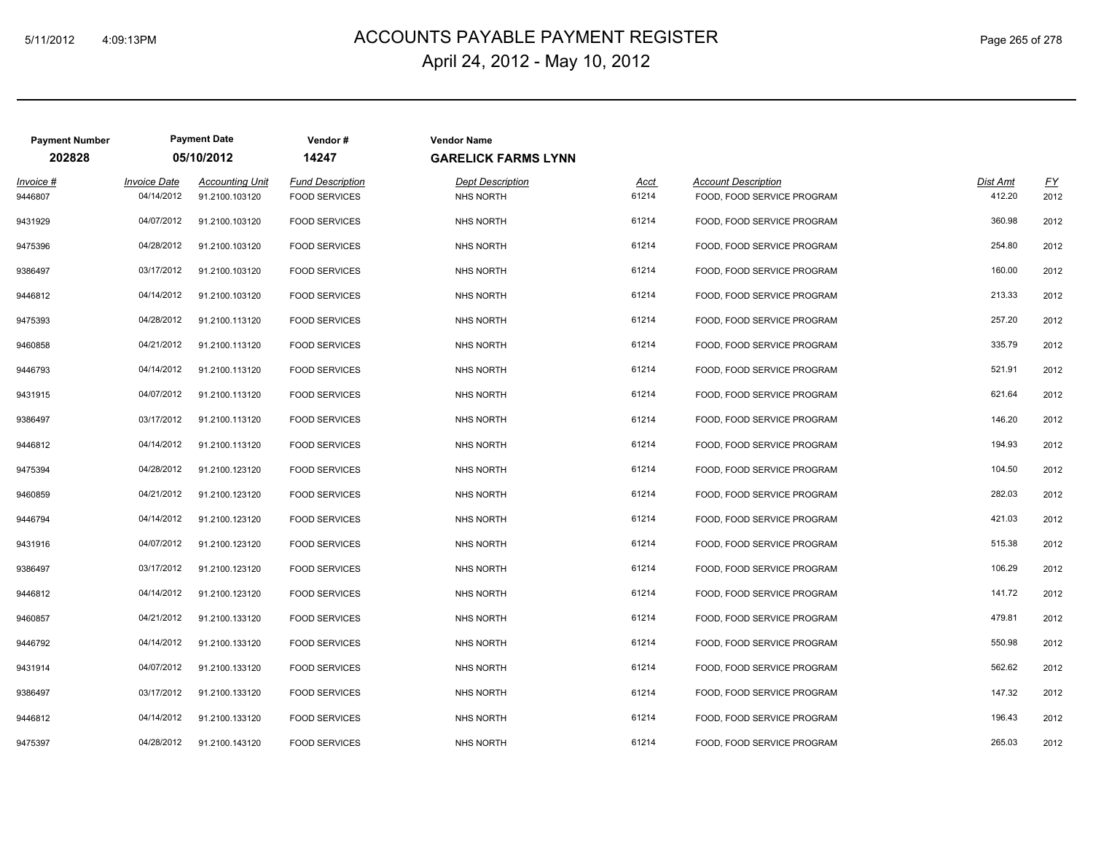### ACCOUNTS PAYABLE PAYMENT REGISTER 5/11/2012 4:09:13PM Page 265 of 278 April 24, 2012 - May 10, 2012

| <b>Payment Number</b> |                     | <b>Payment Date</b>    | Vendor#                 | <b>Vendor Name</b>         |       |                            |          |           |
|-----------------------|---------------------|------------------------|-------------------------|----------------------------|-------|----------------------------|----------|-----------|
| 202828                |                     | 05/10/2012             | 14247                   | <b>GARELICK FARMS LYNN</b> |       |                            |          |           |
| Invoice #             | <b>Invoice Date</b> | <b>Accounting Unit</b> | <b>Fund Description</b> | <b>Dept Description</b>    | Acct  | <b>Account Description</b> | Dist Amt | <u>FY</u> |
| 9446807               | 04/14/2012          | 91.2100.103120         | <b>FOOD SERVICES</b>    | <b>NHS NORTH</b>           | 61214 | FOOD, FOOD SERVICE PROGRAM | 412.20   | 2012      |
| 9431929               | 04/07/2012          | 91.2100.103120         | <b>FOOD SERVICES</b>    | <b>NHS NORTH</b>           | 61214 | FOOD, FOOD SERVICE PROGRAM | 360.98   | 2012      |
| 9475396               | 04/28/2012          | 91.2100.103120         | <b>FOOD SERVICES</b>    | <b>NHS NORTH</b>           | 61214 | FOOD, FOOD SERVICE PROGRAM | 254.80   | 2012      |
| 9386497               | 03/17/2012          | 91.2100.103120         | <b>FOOD SERVICES</b>    | <b>NHS NORTH</b>           | 61214 | FOOD, FOOD SERVICE PROGRAM | 160.00   | 2012      |
| 9446812               | 04/14/2012          | 91.2100.103120         | <b>FOOD SERVICES</b>    | <b>NHS NORTH</b>           | 61214 | FOOD, FOOD SERVICE PROGRAM | 213.33   | 2012      |
| 9475393               | 04/28/2012          | 91.2100.113120         | <b>FOOD SERVICES</b>    | <b>NHS NORTH</b>           | 61214 | FOOD, FOOD SERVICE PROGRAM | 257.20   | 2012      |
| 9460858               | 04/21/2012          | 91.2100.113120         | <b>FOOD SERVICES</b>    | <b>NHS NORTH</b>           | 61214 | FOOD, FOOD SERVICE PROGRAM | 335.79   | 2012      |
| 9446793               | 04/14/2012          | 91.2100.113120         | <b>FOOD SERVICES</b>    | <b>NHS NORTH</b>           | 61214 | FOOD, FOOD SERVICE PROGRAM | 521.91   | 2012      |
| 9431915               | 04/07/2012          | 91.2100.113120         | <b>FOOD SERVICES</b>    | <b>NHS NORTH</b>           | 61214 | FOOD, FOOD SERVICE PROGRAM | 621.64   | 2012      |
| 9386497               | 03/17/2012          | 91.2100.113120         | <b>FOOD SERVICES</b>    | <b>NHS NORTH</b>           | 61214 | FOOD, FOOD SERVICE PROGRAM | 146.20   | 2012      |
| 9446812               | 04/14/2012          | 91.2100.113120         | <b>FOOD SERVICES</b>    | <b>NHS NORTH</b>           | 61214 | FOOD, FOOD SERVICE PROGRAM | 194.93   | 2012      |
| 9475394               | 04/28/2012          | 91.2100.123120         | <b>FOOD SERVICES</b>    | <b>NHS NORTH</b>           | 61214 | FOOD, FOOD SERVICE PROGRAM | 104.50   | 2012      |
| 9460859               | 04/21/2012          | 91.2100.123120         | <b>FOOD SERVICES</b>    | <b>NHS NORTH</b>           | 61214 | FOOD, FOOD SERVICE PROGRAM | 282.03   | 2012      |
| 9446794               | 04/14/2012          | 91.2100.123120         | <b>FOOD SERVICES</b>    | <b>NHS NORTH</b>           | 61214 | FOOD, FOOD SERVICE PROGRAM | 421.03   | 2012      |
| 9431916               | 04/07/2012          | 91.2100.123120         | <b>FOOD SERVICES</b>    | <b>NHS NORTH</b>           | 61214 | FOOD, FOOD SERVICE PROGRAM | 515.38   | 2012      |
| 9386497               | 03/17/2012          | 91.2100.123120         | <b>FOOD SERVICES</b>    | <b>NHS NORTH</b>           | 61214 | FOOD. FOOD SERVICE PROGRAM | 106.29   | 2012      |
| 9446812               | 04/14/2012          | 91.2100.123120         | <b>FOOD SERVICES</b>    | <b>NHS NORTH</b>           | 61214 | FOOD, FOOD SERVICE PROGRAM | 141.72   | 2012      |
| 9460857               | 04/21/2012          | 91.2100.133120         | <b>FOOD SERVICES</b>    | NHS NORTH                  | 61214 | FOOD, FOOD SERVICE PROGRAM | 479.81   | 2012      |
| 9446792               | 04/14/2012          | 91.2100.133120         | <b>FOOD SERVICES</b>    | <b>NHS NORTH</b>           | 61214 | FOOD, FOOD SERVICE PROGRAM | 550.98   | 2012      |
| 9431914               | 04/07/2012          | 91.2100.133120         | <b>FOOD SERVICES</b>    | <b>NHS NORTH</b>           | 61214 | FOOD, FOOD SERVICE PROGRAM | 562.62   | 2012      |
| 9386497               | 03/17/2012          | 91.2100.133120         | <b>FOOD SERVICES</b>    | <b>NHS NORTH</b>           | 61214 | FOOD, FOOD SERVICE PROGRAM | 147.32   | 2012      |
| 9446812               | 04/14/2012          | 91.2100.133120         | <b>FOOD SERVICES</b>    | <b>NHS NORTH</b>           | 61214 | FOOD, FOOD SERVICE PROGRAM | 196.43   | 2012      |
| 9475397               | 04/28/2012          | 91.2100.143120         | <b>FOOD SERVICES</b>    | <b>NHS NORTH</b>           | 61214 | FOOD, FOOD SERVICE PROGRAM | 265.03   | 2012      |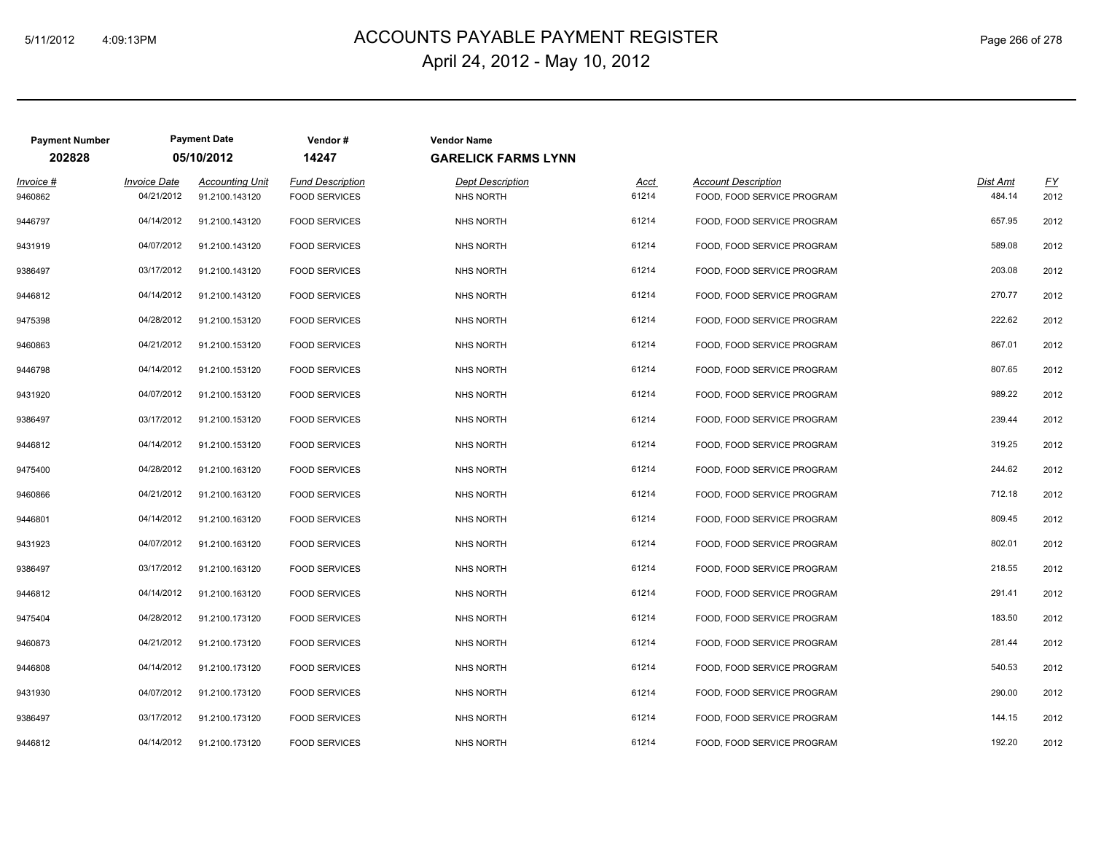### ACCOUNTS PAYABLE PAYMENT REGISTER 5/11/2012 4:09:13PM Page 266 of 278 April 24, 2012 - May 10, 2012

| <b>Payment Number</b> |                     | <b>Payment Date</b>    | Vendor#                 | <b>Vendor Name</b>         |             |                            |          |                  |
|-----------------------|---------------------|------------------------|-------------------------|----------------------------|-------------|----------------------------|----------|------------------|
| 202828                |                     | 05/10/2012             | 14247                   | <b>GARELICK FARMS LYNN</b> |             |                            |          |                  |
| Invoice #             | <b>Invoice Date</b> | <b>Accounting Unit</b> | <b>Fund Description</b> | <b>Dept Description</b>    | <u>Acct</u> | <b>Account Description</b> | Dist Amt | $\underline{FY}$ |
| 9460862               | 04/21/2012          | 91.2100.143120         | <b>FOOD SERVICES</b>    | <b>NHS NORTH</b>           | 61214       | FOOD, FOOD SERVICE PROGRAM | 484.14   | 2012             |
| 9446797               | 04/14/2012          | 91.2100.143120         | <b>FOOD SERVICES</b>    | <b>NHS NORTH</b>           | 61214       | FOOD, FOOD SERVICE PROGRAM | 657.95   | 2012             |
| 9431919               | 04/07/2012          | 91.2100.143120         | <b>FOOD SERVICES</b>    | <b>NHS NORTH</b>           | 61214       | FOOD, FOOD SERVICE PROGRAM | 589.08   | 2012             |
| 9386497               | 03/17/2012          | 91.2100.143120         | <b>FOOD SERVICES</b>    | <b>NHS NORTH</b>           | 61214       | FOOD, FOOD SERVICE PROGRAM | 203.08   | 2012             |
| 9446812               | 04/14/2012          | 91.2100.143120         | <b>FOOD SERVICES</b>    | <b>NHS NORTH</b>           | 61214       | FOOD, FOOD SERVICE PROGRAM | 270.77   | 2012             |
| 9475398               | 04/28/2012          | 91.2100.153120         | <b>FOOD SERVICES</b>    | <b>NHS NORTH</b>           | 61214       | FOOD, FOOD SERVICE PROGRAM | 222.62   | 2012             |
| 9460863               | 04/21/2012          | 91.2100.153120         | <b>FOOD SERVICES</b>    | <b>NHS NORTH</b>           | 61214       | FOOD, FOOD SERVICE PROGRAM | 867.01   | 2012             |
| 9446798               | 04/14/2012          | 91.2100.153120         | <b>FOOD SERVICES</b>    | <b>NHS NORTH</b>           | 61214       | FOOD, FOOD SERVICE PROGRAM | 807.65   | 2012             |
| 9431920               | 04/07/2012          | 91.2100.153120         | <b>FOOD SERVICES</b>    | <b>NHS NORTH</b>           | 61214       | FOOD, FOOD SERVICE PROGRAM | 989.22   | 2012             |
| 9386497               | 03/17/2012          | 91.2100.153120         | <b>FOOD SERVICES</b>    | <b>NHS NORTH</b>           | 61214       | FOOD, FOOD SERVICE PROGRAM | 239.44   | 2012             |
| 9446812               | 04/14/2012          | 91.2100.153120         | <b>FOOD SERVICES</b>    | <b>NHS NORTH</b>           | 61214       | FOOD, FOOD SERVICE PROGRAM | 319.25   | 2012             |
| 9475400               | 04/28/2012          | 91.2100.163120         | <b>FOOD SERVICES</b>    | <b>NHS NORTH</b>           | 61214       | FOOD, FOOD SERVICE PROGRAM | 244.62   | 2012             |
| 9460866               | 04/21/2012          | 91.2100.163120         | <b>FOOD SERVICES</b>    | <b>NHS NORTH</b>           | 61214       | FOOD, FOOD SERVICE PROGRAM | 712.18   | 2012             |
| 9446801               | 04/14/2012          | 91.2100.163120         | <b>FOOD SERVICES</b>    | <b>NHS NORTH</b>           | 61214       | FOOD, FOOD SERVICE PROGRAM | 809.45   | 2012             |
| 9431923               | 04/07/2012          | 91.2100.163120         | <b>FOOD SERVICES</b>    | <b>NHS NORTH</b>           | 61214       | FOOD, FOOD SERVICE PROGRAM | 802.01   | 2012             |
| 9386497               | 03/17/2012          | 91.2100.163120         | <b>FOOD SERVICES</b>    | <b>NHS NORTH</b>           | 61214       | FOOD, FOOD SERVICE PROGRAM | 218.55   | 2012             |
| 9446812               | 04/14/2012          | 91.2100.163120         | <b>FOOD SERVICES</b>    | <b>NHS NORTH</b>           | 61214       | FOOD, FOOD SERVICE PROGRAM | 291.41   | 2012             |
| 9475404               | 04/28/2012          | 91.2100.173120         | <b>FOOD SERVICES</b>    | <b>NHS NORTH</b>           | 61214       | FOOD, FOOD SERVICE PROGRAM | 183.50   | 2012             |
| 9460873               | 04/21/2012          | 91.2100.173120         | <b>FOOD SERVICES</b>    | <b>NHS NORTH</b>           | 61214       | FOOD, FOOD SERVICE PROGRAM | 281.44   | 2012             |
| 9446808               | 04/14/2012          | 91.2100.173120         | <b>FOOD SERVICES</b>    | <b>NHS NORTH</b>           | 61214       | FOOD, FOOD SERVICE PROGRAM | 540.53   | 2012             |
| 9431930               | 04/07/2012          | 91.2100.173120         | <b>FOOD SERVICES</b>    | <b>NHS NORTH</b>           | 61214       | FOOD, FOOD SERVICE PROGRAM | 290.00   | 2012             |
| 9386497               | 03/17/2012          | 91.2100.173120         | <b>FOOD SERVICES</b>    | <b>NHS NORTH</b>           | 61214       | FOOD, FOOD SERVICE PROGRAM | 144.15   | 2012             |
| 9446812               | 04/14/2012          | 91.2100.173120         | <b>FOOD SERVICES</b>    | <b>NHS NORTH</b>           | 61214       | FOOD, FOOD SERVICE PROGRAM | 192.20   | 2012             |
|                       |                     |                        |                         |                            |             |                            |          |                  |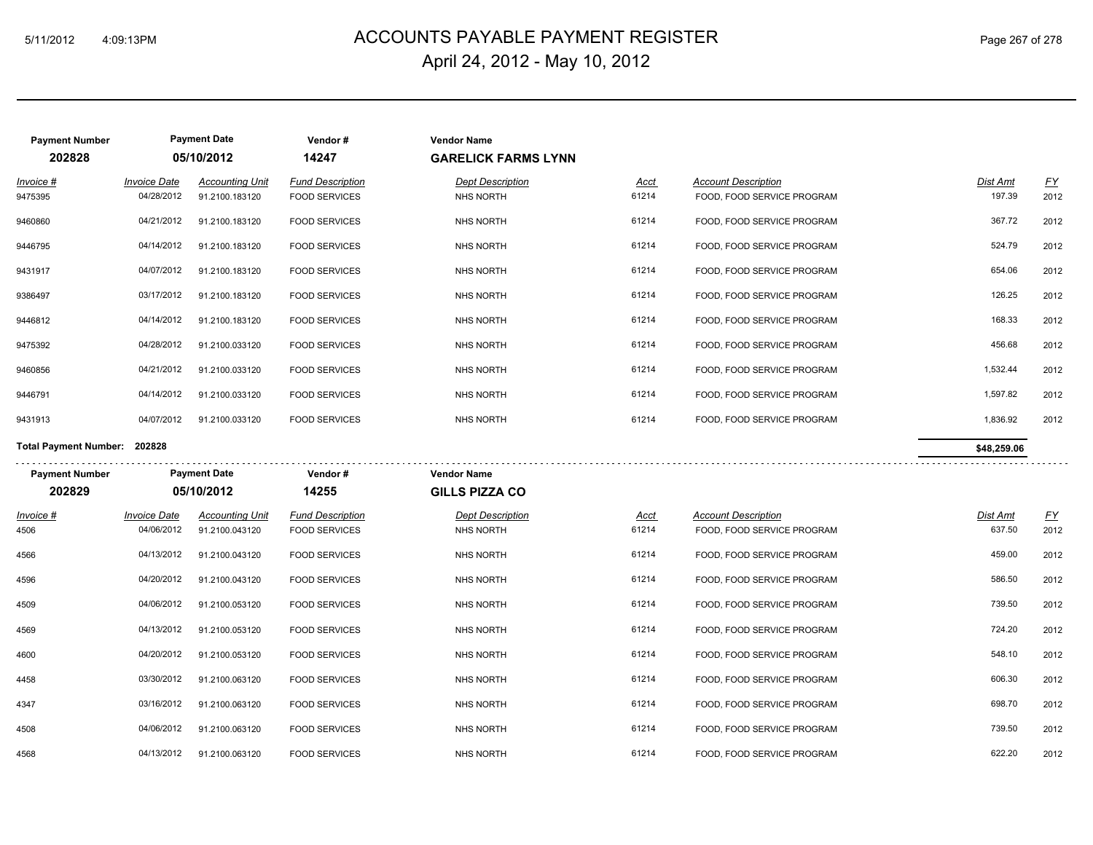# ACCOUNTS PAYABLE PAYMENT REGISTER 5/11/2012 4:09:13PM Page 267 of 278 April 24, 2012 - May 10, 2012

| <b>Payment Number</b><br>202828 |                                   | <b>Payment Date</b><br>05/10/2012        | Vendor#<br>14247                                | <b>Vendor Name</b><br><b>GARELICK FARMS LYNN</b> |                      |                                                          |                    |            |
|---------------------------------|-----------------------------------|------------------------------------------|-------------------------------------------------|--------------------------------------------------|----------------------|----------------------------------------------------------|--------------------|------------|
| Invoice #<br>9475395            | <b>Invoice Date</b><br>04/28/2012 | <b>Accounting Unit</b><br>91.2100.183120 | <b>Fund Description</b><br><b>FOOD SERVICES</b> | <b>Dept Description</b><br>NHS NORTH             | <u>Acct</u><br>61214 | <b>Account Description</b><br>FOOD, FOOD SERVICE PROGRAM | Dist Amt<br>197.39 | EY<br>2012 |
| 9460860                         | 04/21/2012                        | 91.2100.183120                           | <b>FOOD SERVICES</b>                            | NHS NORTH                                        | 61214                | FOOD, FOOD SERVICE PROGRAM                               | 367.72             | 2012       |
| 9446795                         | 04/14/2012                        | 91.2100.183120                           | <b>FOOD SERVICES</b>                            | <b>NHS NORTH</b>                                 | 61214                | FOOD, FOOD SERVICE PROGRAM                               | 524.79             | 2012       |
| 9431917                         | 04/07/2012                        | 91.2100.183120                           | <b>FOOD SERVICES</b>                            | <b>NHS NORTH</b>                                 | 61214                | FOOD, FOOD SERVICE PROGRAM                               | 654.06             | 2012       |
| 9386497                         | 03/17/2012                        | 91.2100.183120                           | <b>FOOD SERVICES</b>                            | <b>NHS NORTH</b>                                 | 61214                | FOOD, FOOD SERVICE PROGRAM                               | 126.25             | 2012       |
| 9446812                         | 04/14/2012                        | 91.2100.183120                           | <b>FOOD SERVICES</b>                            | <b>NHS NORTH</b>                                 | 61214                | FOOD, FOOD SERVICE PROGRAM                               | 168.33             | 2012       |
| 9475392                         | 04/28/2012                        | 91.2100.033120                           | <b>FOOD SERVICES</b>                            | NHS NORTH                                        | 61214                | FOOD, FOOD SERVICE PROGRAM                               | 456.68             | 2012       |
| 9460856                         | 04/21/2012                        | 91.2100.033120                           | <b>FOOD SERVICES</b>                            | <b>NHS NORTH</b>                                 | 61214                | FOOD, FOOD SERVICE PROGRAM                               | 1,532.44           | 2012       |
| 9446791                         | 04/14/2012                        | 91.2100.033120                           | <b>FOOD SERVICES</b>                            | <b>NHS NORTH</b>                                 | 61214                | FOOD, FOOD SERVICE PROGRAM                               | 1,597.82           | 2012       |
| 9431913                         | 04/07/2012                        | 91.2100.033120                           | <b>FOOD SERVICES</b>                            | <b>NHS NORTH</b>                                 | 61214                | FOOD, FOOD SERVICE PROGRAM                               | 1,836.92           | 2012       |
| Total Payment Number: 202828    |                                   |                                          |                                                 |                                                  |                      |                                                          | \$48,259.06        |            |
|                                 |                                   |                                          |                                                 |                                                  |                      |                                                          |                    |            |
| <b>Payment Number</b>           |                                   | <b>Payment Date</b>                      | Vendor#                                         | <b>Vendor Name</b>                               |                      |                                                          |                    |            |
| 202829                          |                                   | 05/10/2012                               | 14255                                           | <b>GILLS PIZZA CO</b>                            |                      |                                                          |                    |            |
| <u>Invoice #</u>                | <b>Invoice Date</b>               | <b>Accounting Unit</b>                   | <b>Fund Description</b>                         | <b>Dept Description</b>                          | <u>Acct</u>          | <b>Account Description</b>                               | Dist Amt           | <u>FY</u>  |
| 4506                            | 04/06/2012                        | 91.2100.043120                           | <b>FOOD SERVICES</b>                            | NHS NORTH                                        | 61214                | FOOD, FOOD SERVICE PROGRAM                               | 637.50             | 2012       |
| 4566                            | 04/13/2012                        | 91.2100.043120                           | <b>FOOD SERVICES</b>                            | <b>NHS NORTH</b>                                 | 61214                | FOOD, FOOD SERVICE PROGRAM                               | 459.00             | 2012       |
| 4596                            | 04/20/2012                        | 91.2100.043120                           | <b>FOOD SERVICES</b>                            | <b>NHS NORTH</b>                                 | 61214                | FOOD, FOOD SERVICE PROGRAM                               | 586.50             | 2012       |
| 4509                            | 04/06/2012                        | 91.2100.053120                           | <b>FOOD SERVICES</b>                            | <b>NHS NORTH</b>                                 | 61214                | FOOD, FOOD SERVICE PROGRAM                               | 739.50             | 2012       |
| 4569                            | 04/13/2012                        | 91.2100.053120                           | <b>FOOD SERVICES</b>                            | <b>NHS NORTH</b>                                 | 61214                | FOOD, FOOD SERVICE PROGRAM                               | 724.20             | 2012       |
| 4600                            | 04/20/2012                        | 91.2100.053120                           | <b>FOOD SERVICES</b>                            | <b>NHS NORTH</b>                                 | 61214                | FOOD, FOOD SERVICE PROGRAM                               | 548.10             | 2012       |
| 4458                            | 03/30/2012                        | 91.2100.063120                           | <b>FOOD SERVICES</b>                            | <b>NHS NORTH</b>                                 | 61214                | FOOD, FOOD SERVICE PROGRAM                               | 606.30             | 2012       |
| 4347                            | 03/16/2012                        | 91.2100.063120                           | <b>FOOD SERVICES</b>                            | NHS NORTH                                        | 61214                | FOOD, FOOD SERVICE PROGRAM                               | 698.70             | 2012       |
| 4508                            | 04/06/2012                        | 91.2100.063120                           | <b>FOOD SERVICES</b>                            | <b>NHS NORTH</b>                                 | 61214                | FOOD, FOOD SERVICE PROGRAM                               | 739.50             | 2012       |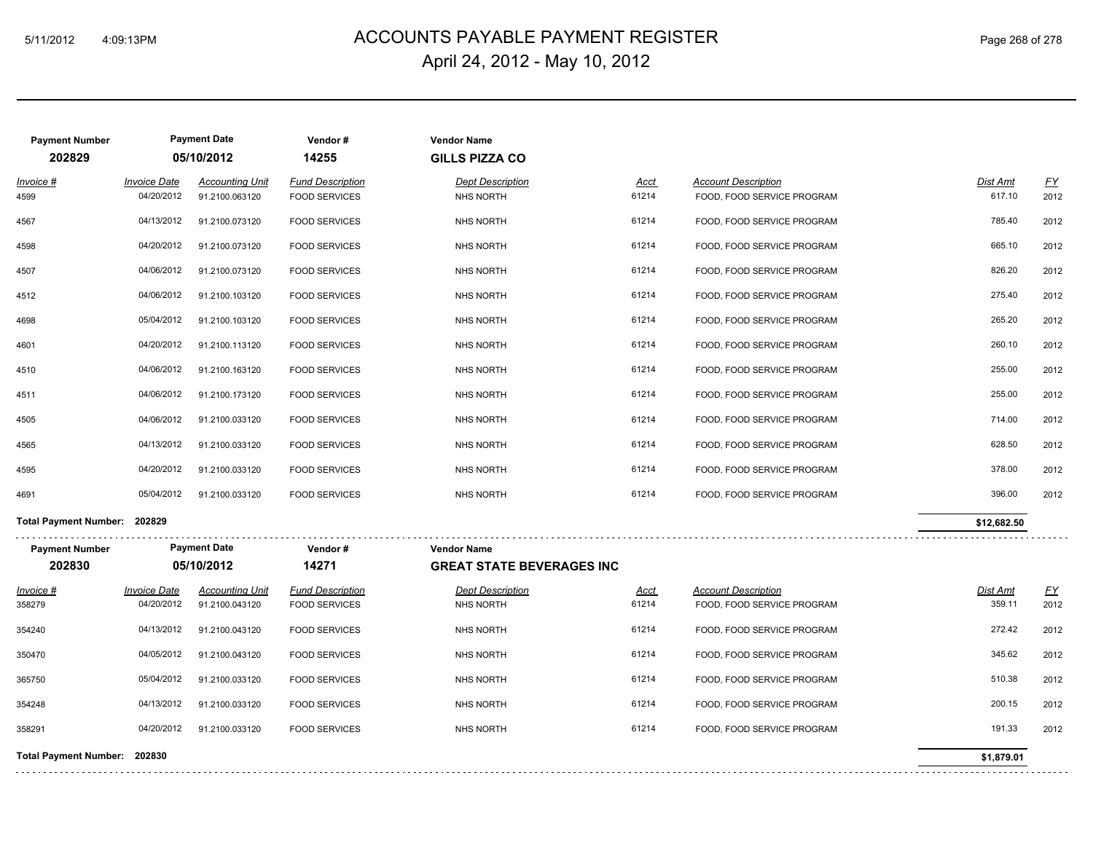# ACCOUNTS PAYABLE PAYMENT REGISTER 5/11/2012 4:09:13PM Page 268 of 278 April 24, 2012 - May 10, 2012

| <b>Payment Number</b><br>202829 |                                   | <b>Payment Date</b><br>05/10/2012        | Vendor#<br>14255                                | <b>Vendor Name</b><br><b>GILLS PIZZA CO</b>            |               |                                                          |                    |                   |
|---------------------------------|-----------------------------------|------------------------------------------|-------------------------------------------------|--------------------------------------------------------|---------------|----------------------------------------------------------|--------------------|-------------------|
| Invoice #<br>4599               | <b>Invoice Date</b><br>04/20/2012 | <b>Accounting Unit</b><br>91.2100.063120 | <b>Fund Description</b><br><b>FOOD SERVICES</b> | <b>Dept Description</b><br>NHS NORTH                   | Acct<br>61214 | <b>Account Description</b><br>FOOD, FOOD SERVICE PROGRAM | Dist Amt<br>617.10 | <u>FY</u><br>2012 |
| 4567                            | 04/13/2012                        | 91.2100.073120                           | <b>FOOD SERVICES</b>                            | NHS NORTH                                              | 61214         | FOOD, FOOD SERVICE PROGRAM                               | 785.40             | 2012              |
| 4598                            | 04/20/2012                        | 91.2100.073120                           | <b>FOOD SERVICES</b>                            | NHS NORTH                                              | 61214         | FOOD, FOOD SERVICE PROGRAM                               | 665.10             | 2012              |
| 4507                            | 04/06/2012                        | 91.2100.073120                           | <b>FOOD SERVICES</b>                            | NHS NORTH                                              | 61214         | FOOD, FOOD SERVICE PROGRAM                               | 826.20             | 2012              |
| 4512                            | 04/06/2012                        | 91.2100.103120                           | <b>FOOD SERVICES</b>                            | NHS NORTH                                              | 61214         | FOOD, FOOD SERVICE PROGRAM                               | 275.40             | 2012              |
| 4698                            | 05/04/2012                        | 91.2100.103120                           | <b>FOOD SERVICES</b>                            | NHS NORTH                                              | 61214         | FOOD, FOOD SERVICE PROGRAM                               | 265.20             | 2012              |
| 4601                            | 04/20/2012                        | 91.2100.113120                           | <b>FOOD SERVICES</b>                            | <b>NHS NORTH</b>                                       | 61214         | FOOD, FOOD SERVICE PROGRAM                               | 260.10             | 2012              |
| 4510                            | 04/06/2012                        | 91.2100.163120                           | <b>FOOD SERVICES</b>                            | <b>NHS NORTH</b>                                       | 61214         | FOOD, FOOD SERVICE PROGRAM                               | 255.00             | 2012              |
| 4511                            | 04/06/2012                        | 91.2100.173120                           | <b>FOOD SERVICES</b>                            | <b>NHS NORTH</b>                                       | 61214         | FOOD, FOOD SERVICE PROGRAM                               | 255.00             | 2012              |
| 4505                            | 04/06/2012                        | 91.2100.033120                           | <b>FOOD SERVICES</b>                            | <b>NHS NORTH</b>                                       | 61214         | FOOD, FOOD SERVICE PROGRAM                               | 714.00             | 2012              |
| 4565                            | 04/13/2012                        | 91.2100.033120                           | <b>FOOD SERVICES</b>                            | NHS NORTH                                              | 61214         | FOOD, FOOD SERVICE PROGRAM                               | 628.50             | 2012              |
| 4595                            | 04/20/2012                        | 91.2100.033120                           | <b>FOOD SERVICES</b>                            | <b>NHS NORTH</b>                                       | 61214         | FOOD, FOOD SERVICE PROGRAM                               | 378.00             | 2012              |
| 4691                            | 05/04/2012                        | 91.2100.033120                           | <b>FOOD SERVICES</b>                            | <b>NHS NORTH</b>                                       | 61214         | FOOD, FOOD SERVICE PROGRAM                               | 396.00             | 2012              |
| <b>Total Payment Number:</b>    | 202829                            |                                          |                                                 |                                                        |               |                                                          | \$12,682.50        |                   |
| <b>Payment Number</b><br>202830 |                                   | <b>Payment Date</b><br>05/10/2012        | Vendor#<br>14271                                | <b>Vendor Name</b><br><b>GREAT STATE BEVERAGES INC</b> |               |                                                          |                    |                   |
| $Involca$ $#$                   |                                   | Invoice Date Accounting Unit             | <b>Eund Description</b>                         | Dent Description                                       | $A \sim t$    | Account Description                                      | Dicht Amt          | EV                |

| Invoice #                    | <b>Invoice Date</b> | <b>Accounting Unit</b> | <b>Fund Description</b> | <b>Dept Description</b> | <u>Acct</u> | <b>Account Description</b> | <b>Dist Amt</b> | <u>FY</u> |
|------------------------------|---------------------|------------------------|-------------------------|-------------------------|-------------|----------------------------|-----------------|-----------|
| 358279                       | 04/20/2012          | 91.2100.043120         | <b>FOOD SERVICES</b>    | NHS NORTH               | 61214       | FOOD, FOOD SERVICE PROGRAM | 359.11          | 2012      |
| 354240                       | 04/13/2012          | 91.2100.043120         | <b>FOOD SERVICES</b>    | NHS NORTH               | 61214       | FOOD, FOOD SERVICE PROGRAM | 272.42          | 2012      |
| 350470                       | 04/05/2012          | 91.2100.043120         | <b>FOOD SERVICES</b>    | NHS NORTH               | 61214       | FOOD, FOOD SERVICE PROGRAM | 345.62          | 2012      |
| 365750                       | 05/04/2012          | 91.2100.033120         | <b>FOOD SERVICES</b>    | NHS NORTH               | 61214       | FOOD, FOOD SERVICE PROGRAM | 510.38          | 2012      |
| 354248                       | 04/13/2012          | 91.2100.033120         | <b>FOOD SERVICES</b>    | NHS NORTH               | 61214       | FOOD, FOOD SERVICE PROGRAM | 200.15          | 2012      |
| 358291                       | 04/20/2012          | 91.2100.033120         | <b>FOOD SERVICES</b>    | NHS NORTH               | 61214       | FOOD, FOOD SERVICE PROGRAM | 191.33          | 2012      |
| Total Payment Number: 202830 |                     |                        |                         |                         |             |                            | \$1,879.01      |           |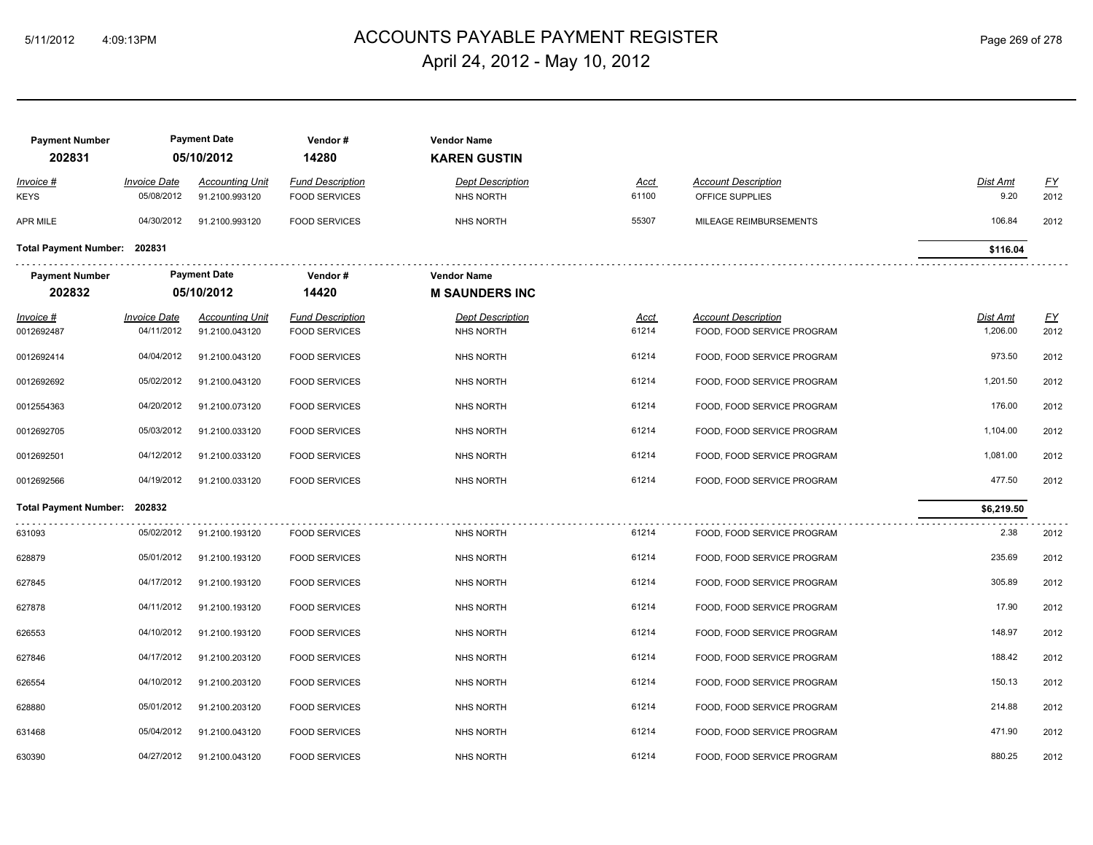# ACCOUNTS PAYABLE PAYMENT REGISTER 5/11/2012 4:09:13PM Page 269 of 278 April 24, 2012 - May 10, 2012

| <b>Payment Number</b><br>202831 |                                   | <b>Payment Date</b><br>05/10/2012        | Vendor#<br>14280                                | <b>Vendor Name</b><br><b>KAREN GUSTIN</b>   |                      |                                                          |                             |                   |
|---------------------------------|-----------------------------------|------------------------------------------|-------------------------------------------------|---------------------------------------------|----------------------|----------------------------------------------------------|-----------------------------|-------------------|
| Invoice #<br><b>KEYS</b>        | <b>Invoice Date</b><br>05/08/2012 | <b>Accounting Unit</b><br>91.2100.993120 | <b>Fund Description</b><br><b>FOOD SERVICES</b> | <b>Dept Description</b><br><b>NHS NORTH</b> | Acct<br>61100        | <b>Account Description</b><br>OFFICE SUPPLIES            | Dist Amt<br>9.20            | EY<br>2012        |
| APR MILE                        | 04/30/2012                        | 91.2100.993120                           | <b>FOOD SERVICES</b>                            | <b>NHS NORTH</b>                            | 55307                | MILEAGE REIMBURSEMENTS                                   | 106.84                      | 2012              |
| Total Payment Number: 202831    |                                   |                                          |                                                 |                                             |                      |                                                          | \$116.04                    |                   |
| <b>Payment Number</b>           |                                   | <b>Payment Date</b>                      | Vendor#                                         | <b>Vendor Name</b>                          |                      |                                                          |                             |                   |
| 202832                          |                                   | 05/10/2012                               | 14420                                           | <b>M SAUNDERS INC</b>                       |                      |                                                          |                             |                   |
| $Invoice$ #<br>0012692487       | <b>Invoice Date</b><br>04/11/2012 | <b>Accounting Unit</b><br>91.2100.043120 | <b>Fund Description</b><br><b>FOOD SERVICES</b> | <b>Dept Description</b><br>NHS NORTH        | <u>Acct</u><br>61214 | <b>Account Description</b><br>FOOD, FOOD SERVICE PROGRAM | <u>Dist Amt</u><br>1,206.00 | <u>FY</u><br>2012 |
| 0012692414                      | 04/04/2012                        | 91.2100.043120                           | <b>FOOD SERVICES</b>                            | <b>NHS NORTH</b>                            | 61214                | FOOD, FOOD SERVICE PROGRAM                               | 973.50                      | 2012              |
| 0012692692                      | 05/02/2012                        | 91.2100.043120                           | <b>FOOD SERVICES</b>                            | <b>NHS NORTH</b>                            | 61214                | FOOD, FOOD SERVICE PROGRAM                               | 1,201.50                    | 2012              |
| 0012554363                      | 04/20/2012                        | 91.2100.073120                           | <b>FOOD SERVICES</b>                            | <b>NHS NORTH</b>                            | 61214                | FOOD, FOOD SERVICE PROGRAM                               | 176.00                      | 2012              |
| 0012692705                      | 05/03/2012                        | 91.2100.033120                           | <b>FOOD SERVICES</b>                            | <b>NHS NORTH</b>                            | 61214                | FOOD, FOOD SERVICE PROGRAM                               | 1,104.00                    | 2012              |
| 0012692501                      | 04/12/2012                        | 91.2100.033120                           | <b>FOOD SERVICES</b>                            | <b>NHS NORTH</b>                            | 61214                | FOOD, FOOD SERVICE PROGRAM                               | 1,081.00                    | 2012              |
| 0012692566                      | 04/19/2012                        | 91.2100.033120                           | <b>FOOD SERVICES</b>                            | <b>NHS NORTH</b>                            | 61214                | FOOD, FOOD SERVICE PROGRAM                               | 477.50                      | 2012              |
| <b>Total Payment Number:</b>    | 202832                            |                                          |                                                 |                                             |                      |                                                          | \$6,219.50                  |                   |
| 631093                          | 05/02/2012                        | 91.2100.193120                           | <b>FOOD SERVICES</b>                            | <b>NHS NORTH</b>                            | 61214                | FOOD, FOOD SERVICE PROGRAM                               | 2.38                        | 2012              |
| 628879                          | 05/01/2012                        | 91.2100.193120                           | <b>FOOD SERVICES</b>                            | NHS NORTH                                   | 61214                | FOOD, FOOD SERVICE PROGRAM                               | 235.69                      | 2012              |
| 627845                          | 04/17/2012                        | 91.2100.193120                           | <b>FOOD SERVICES</b>                            | NHS NORTH                                   | 61214                | FOOD, FOOD SERVICE PROGRAM                               | 305.89                      | 2012              |
| 627878                          | 04/11/2012                        | 91.2100.193120                           | <b>FOOD SERVICES</b>                            | <b>NHS NORTH</b>                            | 61214                | FOOD, FOOD SERVICE PROGRAM                               | 17.90                       | 2012              |
| 626553                          | 04/10/2012                        | 91.2100.193120                           | <b>FOOD SERVICES</b>                            | <b>NHS NORTH</b>                            | 61214                | FOOD, FOOD SERVICE PROGRAM                               | 148.97                      | 2012              |
| 627846                          | 04/17/2012                        | 91.2100.203120                           | <b>FOOD SERVICES</b>                            | <b>NHS NORTH</b>                            | 61214                | FOOD, FOOD SERVICE PROGRAM                               | 188.42                      | 2012              |
| 626554                          | 04/10/2012                        | 91.2100.203120                           | <b>FOOD SERVICES</b>                            | <b>NHS NORTH</b>                            | 61214                | FOOD, FOOD SERVICE PROGRAM                               | 150.13                      | 2012              |
| 628880                          | 05/01/2012                        | 91.2100.203120                           | <b>FOOD SERVICES</b>                            | NHS NORTH                                   | 61214                | FOOD, FOOD SERVICE PROGRAM                               | 214.88                      | 2012              |
| 631468                          | 05/04/2012                        | 91.2100.043120                           | <b>FOOD SERVICES</b>                            | <b>NHS NORTH</b>                            | 61214                | FOOD, FOOD SERVICE PROGRAM                               | 471.90                      | 2012              |
| 630390                          | 04/27/2012                        | 91.2100.043120                           | <b>FOOD SERVICES</b>                            | NHS NORTH                                   | 61214                | FOOD, FOOD SERVICE PROGRAM                               | 880.25                      | 2012              |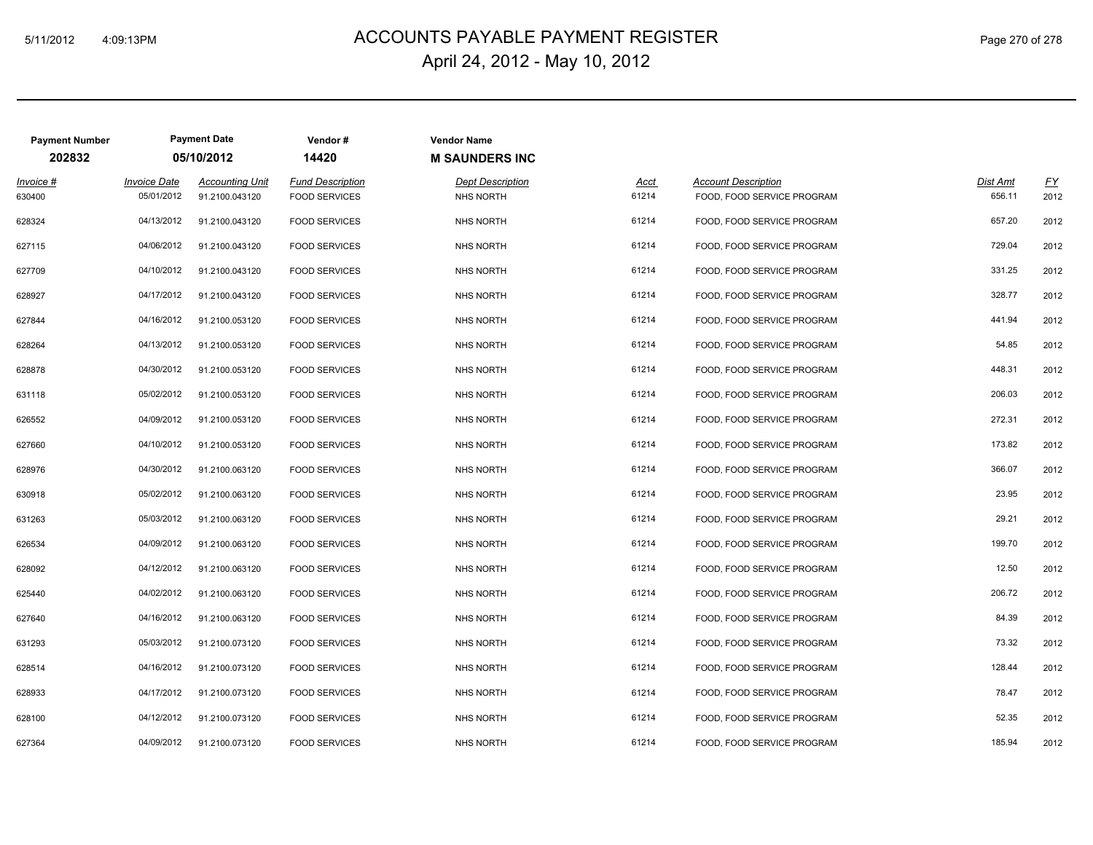# ACCOUNTS PAYABLE PAYMENT REGISTER 5/11/2012 4:09:13PM Page 270 of 278 April 24, 2012 - May 10, 2012

| <b>Payment Number</b> |                                   | <b>Payment Date</b>                      | Vendor#                                         | <b>Vendor Name</b>                          |               |                                                          |                    |            |  |  |  |  |
|-----------------------|-----------------------------------|------------------------------------------|-------------------------------------------------|---------------------------------------------|---------------|----------------------------------------------------------|--------------------|------------|--|--|--|--|
| 202832                |                                   | 05/10/2012                               | 14420                                           | <b>M SAUNDERS INC</b>                       |               |                                                          |                    |            |  |  |  |  |
| Invoice #<br>630400   | <b>Invoice Date</b><br>05/01/2012 | <b>Accounting Unit</b><br>91.2100.043120 | <b>Fund Description</b><br><b>FOOD SERVICES</b> | <b>Dept Description</b><br><b>NHS NORTH</b> | Acct<br>61214 | <b>Account Description</b><br>FOOD, FOOD SERVICE PROGRAM | Dist Amt<br>656.11 | EY<br>2012 |  |  |  |  |
| 628324                | 04/13/2012                        | 91.2100.043120                           | <b>FOOD SERVICES</b>                            | <b>NHS NORTH</b>                            | 61214         | FOOD, FOOD SERVICE PROGRAM                               | 657.20             | 2012       |  |  |  |  |
| 627115                | 04/06/2012                        | 91.2100.043120                           | <b>FOOD SERVICES</b>                            | <b>NHS NORTH</b>                            | 61214         | FOOD, FOOD SERVICE PROGRAM                               | 729.04             | 2012       |  |  |  |  |
| 627709                | 04/10/2012                        | 91.2100.043120                           | <b>FOOD SERVICES</b>                            | <b>NHS NORTH</b>                            | 61214         | FOOD, FOOD SERVICE PROGRAM                               | 331.25             | 2012       |  |  |  |  |
| 628927                | 04/17/2012                        | 91.2100.043120                           | <b>FOOD SERVICES</b>                            | <b>NHS NORTH</b>                            | 61214         | FOOD, FOOD SERVICE PROGRAM                               | 328.77             | 2012       |  |  |  |  |
| 627844                | 04/16/2012                        | 91.2100.053120                           | <b>FOOD SERVICES</b>                            | <b>NHS NORTH</b>                            | 61214         | FOOD, FOOD SERVICE PROGRAM                               | 441.94             | 2012       |  |  |  |  |
| 628264                | 04/13/2012                        | 91.2100.053120                           | <b>FOOD SERVICES</b>                            | <b>NHS NORTH</b>                            | 61214         | FOOD, FOOD SERVICE PROGRAM                               | 54.85              | 2012       |  |  |  |  |
| 628878                | 04/30/2012                        | 91.2100.053120                           | <b>FOOD SERVICES</b>                            | <b>NHS NORTH</b>                            | 61214         | FOOD, FOOD SERVICE PROGRAM                               | 448.31             | 2012       |  |  |  |  |
| 631118                | 05/02/2012                        | 91.2100.053120                           | <b>FOOD SERVICES</b>                            | <b>NHS NORTH</b>                            | 61214         | FOOD, FOOD SERVICE PROGRAM                               | 206.03             | 2012       |  |  |  |  |
| 626552                | 04/09/2012                        | 91.2100.053120                           | <b>FOOD SERVICES</b>                            | <b>NHS NORTH</b>                            | 61214         | FOOD, FOOD SERVICE PROGRAM                               | 272.31             | 2012       |  |  |  |  |
| 627660                | 04/10/2012                        | 91.2100.053120                           | <b>FOOD SERVICES</b>                            | <b>NHS NORTH</b>                            | 61214         | FOOD, FOOD SERVICE PROGRAM                               | 173.82             | 2012       |  |  |  |  |
| 628976                | 04/30/2012                        | 91.2100.063120                           | <b>FOOD SERVICES</b>                            | <b>NHS NORTH</b>                            | 61214         | FOOD, FOOD SERVICE PROGRAM                               | 366.07             | 2012       |  |  |  |  |
| 630918                | 05/02/2012                        | 91.2100.063120                           | <b>FOOD SERVICES</b>                            | <b>NHS NORTH</b>                            | 61214         | FOOD, FOOD SERVICE PROGRAM                               | 23.95              | 2012       |  |  |  |  |
| 631263                | 05/03/2012                        | 91.2100.063120                           | <b>FOOD SERVICES</b>                            | <b>NHS NORTH</b>                            | 61214         | FOOD, FOOD SERVICE PROGRAM                               | 29.21              | 2012       |  |  |  |  |
| 626534                | 04/09/2012                        | 91.2100.063120                           | <b>FOOD SERVICES</b>                            | <b>NHS NORTH</b>                            | 61214         | FOOD, FOOD SERVICE PROGRAM                               | 199.70             | 2012       |  |  |  |  |
| 628092                | 04/12/2012                        | 91.2100.063120                           | <b>FOOD SERVICES</b>                            | <b>NHS NORTH</b>                            | 61214         | FOOD, FOOD SERVICE PROGRAM                               | 12.50              | 2012       |  |  |  |  |
| 625440                | 04/02/2012                        | 91.2100.063120                           | <b>FOOD SERVICES</b>                            | <b>NHS NORTH</b>                            | 61214         | FOOD, FOOD SERVICE PROGRAM                               | 206.72             | 2012       |  |  |  |  |
| 627640                | 04/16/2012                        | 91.2100.063120                           | <b>FOOD SERVICES</b>                            | <b>NHS NORTH</b>                            | 61214         | FOOD, FOOD SERVICE PROGRAM                               | 84.39              | 2012       |  |  |  |  |
| 631293                | 05/03/2012                        | 91.2100.073120                           | <b>FOOD SERVICES</b>                            | NHS NORTH                                   | 61214         | FOOD, FOOD SERVICE PROGRAM                               | 73.32              | 2012       |  |  |  |  |
| 628514                | 04/16/2012                        | 91.2100.073120                           | <b>FOOD SERVICES</b>                            | <b>NHS NORTH</b>                            | 61214         | FOOD, FOOD SERVICE PROGRAM                               | 128.44             | 2012       |  |  |  |  |
| 628933                | 04/17/2012                        | 91.2100.073120                           | <b>FOOD SERVICES</b>                            | <b>NHS NORTH</b>                            | 61214         | FOOD, FOOD SERVICE PROGRAM                               | 78.47              | 2012       |  |  |  |  |
| 628100                | 04/12/2012                        | 91.2100.073120                           | <b>FOOD SERVICES</b>                            | <b>NHS NORTH</b>                            | 61214         | FOOD, FOOD SERVICE PROGRAM                               | 52.35              | 2012       |  |  |  |  |
| 627364                | 04/09/2012                        | 91.2100.073120                           | <b>FOOD SERVICES</b>                            | <b>NHS NORTH</b>                            | 61214         | FOOD, FOOD SERVICE PROGRAM                               | 185.94             | 2012       |  |  |  |  |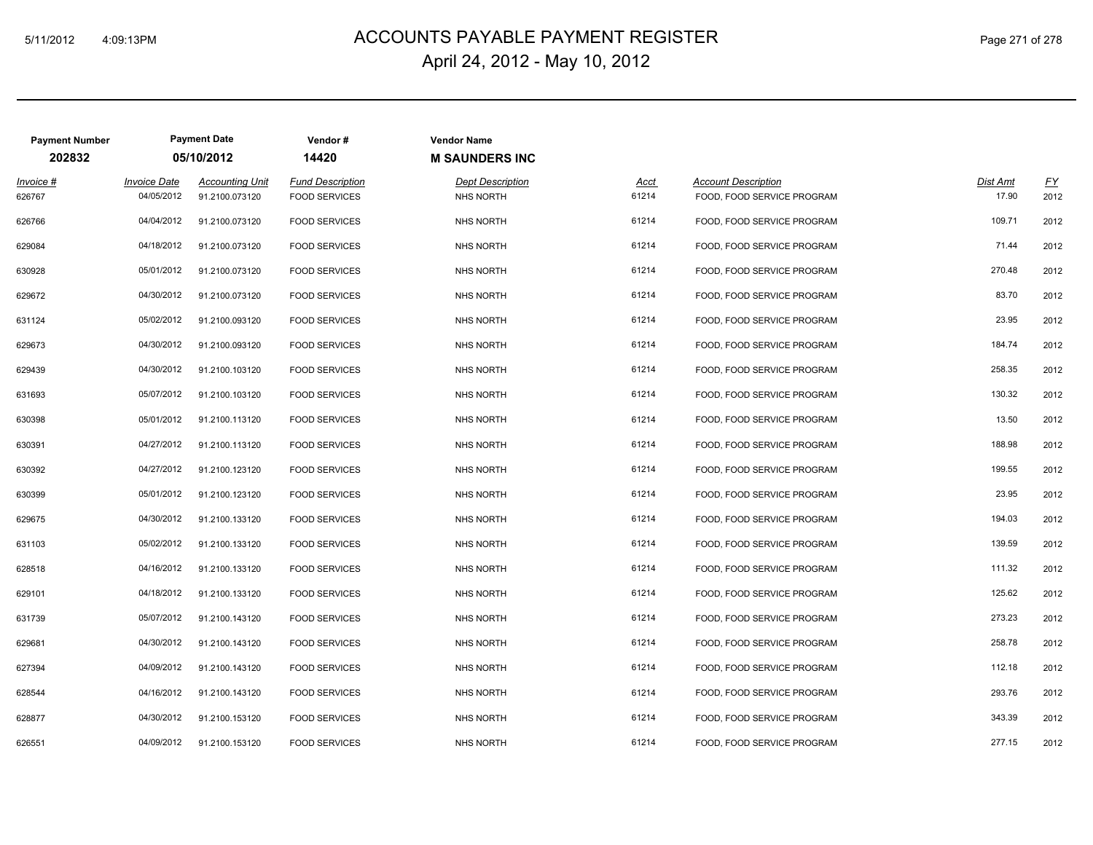# ACCOUNTS PAYABLE PAYMENT REGISTER 5/11/2012 4:09:13PM Page 271 of 278 April 24, 2012 - May 10, 2012

| <b>Payment Number</b> |                                   | <b>Payment Date</b>                      | Vendor#                                         | <b>Vendor Name</b>                          |               |                                                          |                                               |
|-----------------------|-----------------------------------|------------------------------------------|-------------------------------------------------|---------------------------------------------|---------------|----------------------------------------------------------|-----------------------------------------------|
| 202832                |                                   | 05/10/2012                               | 14420                                           | <b>M SAUNDERS INC</b>                       |               |                                                          |                                               |
| Invoice #<br>626767   | <b>Invoice Date</b><br>04/05/2012 | <b>Accounting Unit</b><br>91.2100.073120 | <b>Fund Description</b><br><b>FOOD SERVICES</b> | <b>Dept Description</b><br><b>NHS NORTH</b> | Acct<br>61214 | <b>Account Description</b><br>FOOD, FOOD SERVICE PROGRAM | <b>Dist Amt</b><br><u>FY</u><br>17.90<br>2012 |
| 626766                | 04/04/2012                        | 91.2100.073120                           | <b>FOOD SERVICES</b>                            | <b>NHS NORTH</b>                            | 61214         | FOOD, FOOD SERVICE PROGRAM                               | 109.71<br>2012                                |
| 629084                | 04/18/2012                        | 91.2100.073120                           | <b>FOOD SERVICES</b>                            | <b>NHS NORTH</b>                            | 61214         | FOOD, FOOD SERVICE PROGRAM                               | 71.44<br>2012                                 |
| 630928                | 05/01/2012                        | 91.2100.073120                           | <b>FOOD SERVICES</b>                            | <b>NHS NORTH</b>                            | 61214         | FOOD, FOOD SERVICE PROGRAM                               | 270.48<br>2012                                |
| 629672                | 04/30/2012                        | 91.2100.073120                           | <b>FOOD SERVICES</b>                            | <b>NHS NORTH</b>                            | 61214         | FOOD, FOOD SERVICE PROGRAM                               | 83.70<br>2012                                 |
| 631124                | 05/02/2012                        | 91.2100.093120                           | <b>FOOD SERVICES</b>                            | <b>NHS NORTH</b>                            | 61214         | FOOD, FOOD SERVICE PROGRAM                               | 23.95<br>2012                                 |
| 629673                | 04/30/2012                        | 91.2100.093120                           | <b>FOOD SERVICES</b>                            | <b>NHS NORTH</b>                            | 61214         | FOOD, FOOD SERVICE PROGRAM                               | 184.74<br>2012                                |
| 629439                | 04/30/2012                        | 91.2100.103120                           | <b>FOOD SERVICES</b>                            | <b>NHS NORTH</b>                            | 61214         | FOOD, FOOD SERVICE PROGRAM                               | 258.35<br>2012                                |
| 631693                | 05/07/2012                        | 91.2100.103120                           | <b>FOOD SERVICES</b>                            | NHS NORTH                                   | 61214         | FOOD, FOOD SERVICE PROGRAM                               | 130.32<br>2012                                |
| 630398                | 05/01/2012                        | 91.2100.113120                           | <b>FOOD SERVICES</b>                            | <b>NHS NORTH</b>                            | 61214         | FOOD, FOOD SERVICE PROGRAM                               | 13.50<br>2012                                 |
| 630391                | 04/27/2012                        | 91.2100.113120                           | <b>FOOD SERVICES</b>                            | <b>NHS NORTH</b>                            | 61214         | FOOD, FOOD SERVICE PROGRAM                               | 188.98<br>2012                                |
| 630392                | 04/27/2012                        | 91.2100.123120                           | <b>FOOD SERVICES</b>                            | <b>NHS NORTH</b>                            | 61214         | FOOD, FOOD SERVICE PROGRAM                               | 199.55<br>2012                                |
| 630399                | 05/01/2012                        | 91.2100.123120                           | <b>FOOD SERVICES</b>                            | <b>NHS NORTH</b>                            | 61214         | FOOD, FOOD SERVICE PROGRAM                               | 23.95<br>2012                                 |
| 629675                | 04/30/2012                        | 91.2100.133120                           | <b>FOOD SERVICES</b>                            | <b>NHS NORTH</b>                            | 61214         | FOOD, FOOD SERVICE PROGRAM                               | 194.03<br>2012                                |
| 631103                | 05/02/2012                        | 91.2100.133120                           | <b>FOOD SERVICES</b>                            | <b>NHS NORTH</b>                            | 61214         | FOOD, FOOD SERVICE PROGRAM                               | 139.59<br>2012                                |
| 628518                | 04/16/2012                        | 91.2100.133120                           | <b>FOOD SERVICES</b>                            | <b>NHS NORTH</b>                            | 61214         | FOOD, FOOD SERVICE PROGRAM                               | 111.32<br>2012                                |
| 629101                | 04/18/2012                        | 91.2100.133120                           | <b>FOOD SERVICES</b>                            | <b>NHS NORTH</b>                            | 61214         | FOOD, FOOD SERVICE PROGRAM                               | 125.62<br>2012                                |
| 631739                | 05/07/2012                        | 91.2100.143120                           | <b>FOOD SERVICES</b>                            | NHS NORTH                                   | 61214         | FOOD, FOOD SERVICE PROGRAM                               | 273.23<br>2012                                |
| 629681                | 04/30/2012                        | 91.2100.143120                           | <b>FOOD SERVICES</b>                            | <b>NHS NORTH</b>                            | 61214         | FOOD, FOOD SERVICE PROGRAM                               | 258.78<br>2012                                |
| 627394                | 04/09/2012                        | 91.2100.143120                           | <b>FOOD SERVICES</b>                            | <b>NHS NORTH</b>                            | 61214         | FOOD, FOOD SERVICE PROGRAM                               | 112.18<br>2012                                |
| 628544                | 04/16/2012                        | 91.2100.143120                           | <b>FOOD SERVICES</b>                            | <b>NHS NORTH</b>                            | 61214         | FOOD, FOOD SERVICE PROGRAM                               | 293.76<br>2012                                |
| 628877                | 04/30/2012                        | 91.2100.153120                           | <b>FOOD SERVICES</b>                            | <b>NHS NORTH</b>                            | 61214         | FOOD, FOOD SERVICE PROGRAM                               | 343.39<br>2012                                |
| 626551                | 04/09/2012                        | 91.2100.153120                           | <b>FOOD SERVICES</b>                            | NHS NORTH                                   | 61214         | FOOD, FOOD SERVICE PROGRAM                               | 277.15<br>2012                                |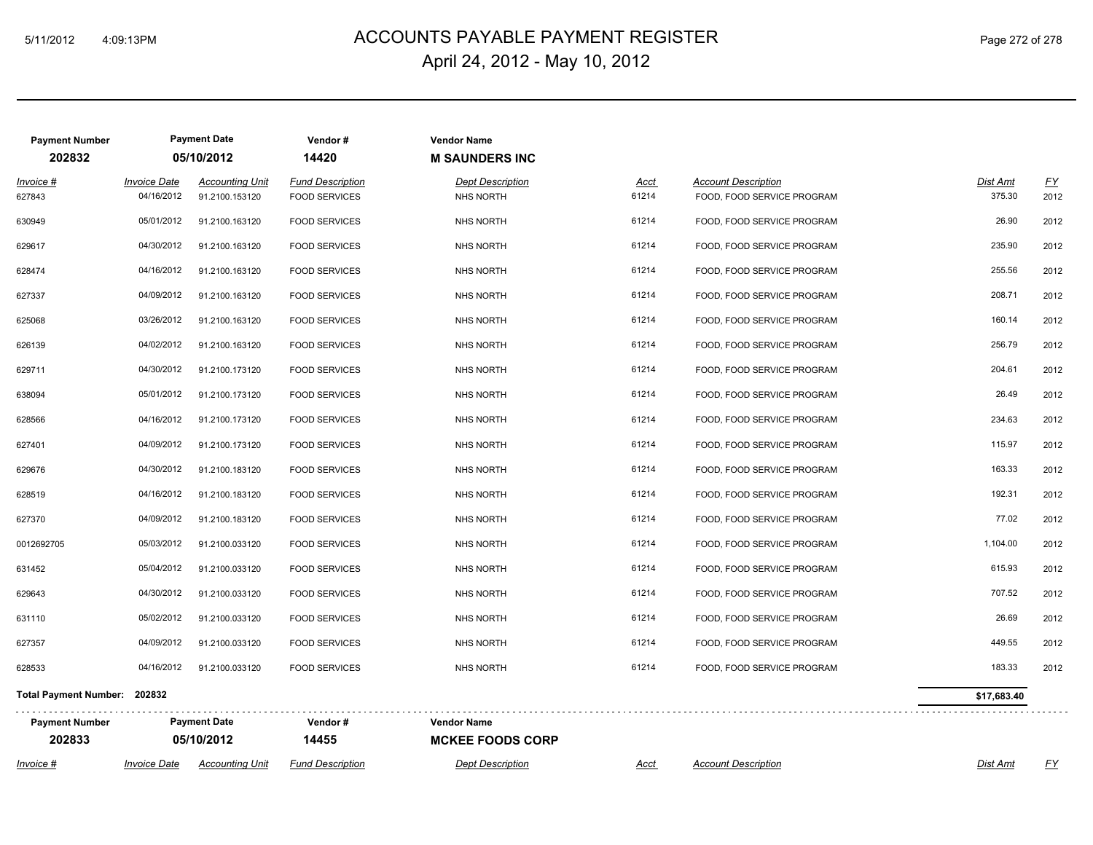### ACCOUNTS PAYABLE PAYMENT REGISTER 5/11/2012 4:09:13PM Page 272 of 278 April 24, 2012 - May 10, 2012

| <b>Payment Number</b>        |                     | <b>Payment Date</b>    | Vendor#                 | <b>Vendor Name</b>      |             |                            |             |           |
|------------------------------|---------------------|------------------------|-------------------------|-------------------------|-------------|----------------------------|-------------|-----------|
| 202832                       |                     | 05/10/2012             | 14420                   | <b>M SAUNDERS INC</b>   |             |                            |             |           |
| Invoice #                    | <b>Invoice Date</b> | <b>Accounting Unit</b> | <b>Fund Description</b> | <b>Dept Description</b> | Acct        | <b>Account Description</b> | Dist Amt    | <u>FY</u> |
| 627843                       | 04/16/2012          | 91.2100.153120         | <b>FOOD SERVICES</b>    | <b>NHS NORTH</b>        | 61214       | FOOD, FOOD SERVICE PROGRAM | 375.30      | 2012      |
| 630949                       | 05/01/2012          | 91.2100.163120         | <b>FOOD SERVICES</b>    | <b>NHS NORTH</b>        | 61214       | FOOD, FOOD SERVICE PROGRAM | 26.90       | 2012      |
| 629617                       | 04/30/2012          | 91.2100.163120         | <b>FOOD SERVICES</b>    | <b>NHS NORTH</b>        | 61214       | FOOD, FOOD SERVICE PROGRAM | 235.90      | 2012      |
| 628474                       | 04/16/2012          | 91.2100.163120         | <b>FOOD SERVICES</b>    | <b>NHS NORTH</b>        | 61214       | FOOD, FOOD SERVICE PROGRAM | 255.56      | 2012      |
| 627337                       | 04/09/2012          | 91.2100.163120         | <b>FOOD SERVICES</b>    | <b>NHS NORTH</b>        | 61214       | FOOD, FOOD SERVICE PROGRAM | 208.71      | 2012      |
| 625068                       | 03/26/2012          | 91.2100.163120         | <b>FOOD SERVICES</b>    | <b>NHS NORTH</b>        | 61214       | FOOD, FOOD SERVICE PROGRAM | 160.14      | 2012      |
| 626139                       | 04/02/2012          | 91.2100.163120         | <b>FOOD SERVICES</b>    | <b>NHS NORTH</b>        | 61214       | FOOD, FOOD SERVICE PROGRAM | 256.79      | 2012      |
| 629711                       | 04/30/2012          | 91.2100.173120         | <b>FOOD SERVICES</b>    | <b>NHS NORTH</b>        | 61214       | FOOD, FOOD SERVICE PROGRAM | 204.61      | 2012      |
| 638094                       | 05/01/2012          | 91.2100.173120         | <b>FOOD SERVICES</b>    | <b>NHS NORTH</b>        | 61214       | FOOD, FOOD SERVICE PROGRAM | 26.49       | 2012      |
| 628566                       | 04/16/2012          | 91.2100.173120         | <b>FOOD SERVICES</b>    | <b>NHS NORTH</b>        | 61214       | FOOD, FOOD SERVICE PROGRAM | 234.63      | 2012      |
| 627401                       | 04/09/2012          | 91.2100.173120         | <b>FOOD SERVICES</b>    | <b>NHS NORTH</b>        | 61214       | FOOD, FOOD SERVICE PROGRAM | 115.97      | 2012      |
| 629676                       | 04/30/2012          | 91.2100.183120         | <b>FOOD SERVICES</b>    | <b>NHS NORTH</b>        | 61214       | FOOD, FOOD SERVICE PROGRAM | 163.33      | 2012      |
| 628519                       | 04/16/2012          | 91.2100.183120         | <b>FOOD SERVICES</b>    | NHS NORTH               | 61214       | FOOD, FOOD SERVICE PROGRAM | 192.31      | 2012      |
| 627370                       | 04/09/2012          | 91.2100.183120         | <b>FOOD SERVICES</b>    | <b>NHS NORTH</b>        | 61214       | FOOD, FOOD SERVICE PROGRAM | 77.02       | 2012      |
| 0012692705                   | 05/03/2012          | 91.2100.033120         | <b>FOOD SERVICES</b>    | <b>NHS NORTH</b>        | 61214       | FOOD, FOOD SERVICE PROGRAM | 1,104.00    | 2012      |
| 631452                       | 05/04/2012          | 91.2100.033120         | <b>FOOD SERVICES</b>    | NHS NORTH               | 61214       | FOOD, FOOD SERVICE PROGRAM | 615.93      | 2012      |
| 629643                       | 04/30/2012          | 91.2100.033120         | <b>FOOD SERVICES</b>    | <b>NHS NORTH</b>        | 61214       | FOOD, FOOD SERVICE PROGRAM | 707.52      | 2012      |
| 631110                       | 05/02/2012          | 91.2100.033120         | <b>FOOD SERVICES</b>    | <b>NHS NORTH</b>        | 61214       | FOOD, FOOD SERVICE PROGRAM | 26.69       | 2012      |
| 627357                       | 04/09/2012          | 91.2100.033120         | <b>FOOD SERVICES</b>    | <b>NHS NORTH</b>        | 61214       | FOOD, FOOD SERVICE PROGRAM | 449.55      | 2012      |
| 628533                       | 04/16/2012          | 91.2100.033120         | <b>FOOD SERVICES</b>    | <b>NHS NORTH</b>        | 61214       | FOOD, FOOD SERVICE PROGRAM | 183.33      | 2012      |
| Total Payment Number: 202832 |                     |                        |                         |                         |             |                            | \$17,683.40 |           |
| <b>Payment Number</b>        |                     | <b>Payment Date</b>    | Vendor#                 | <b>Vendor Name</b>      |             |                            |             |           |
| 202833                       |                     | 05/10/2012             | 14455                   | <b>MCKEE FOODS CORP</b> |             |                            |             |           |
| Invoice #                    | <b>Invoice Date</b> | <b>Accounting Unit</b> | <b>Fund Description</b> | <b>Dept Description</b> | <u>Acct</u> | <b>Account Description</b> | Dist Amt    | <u>FY</u> |

 $\cdot$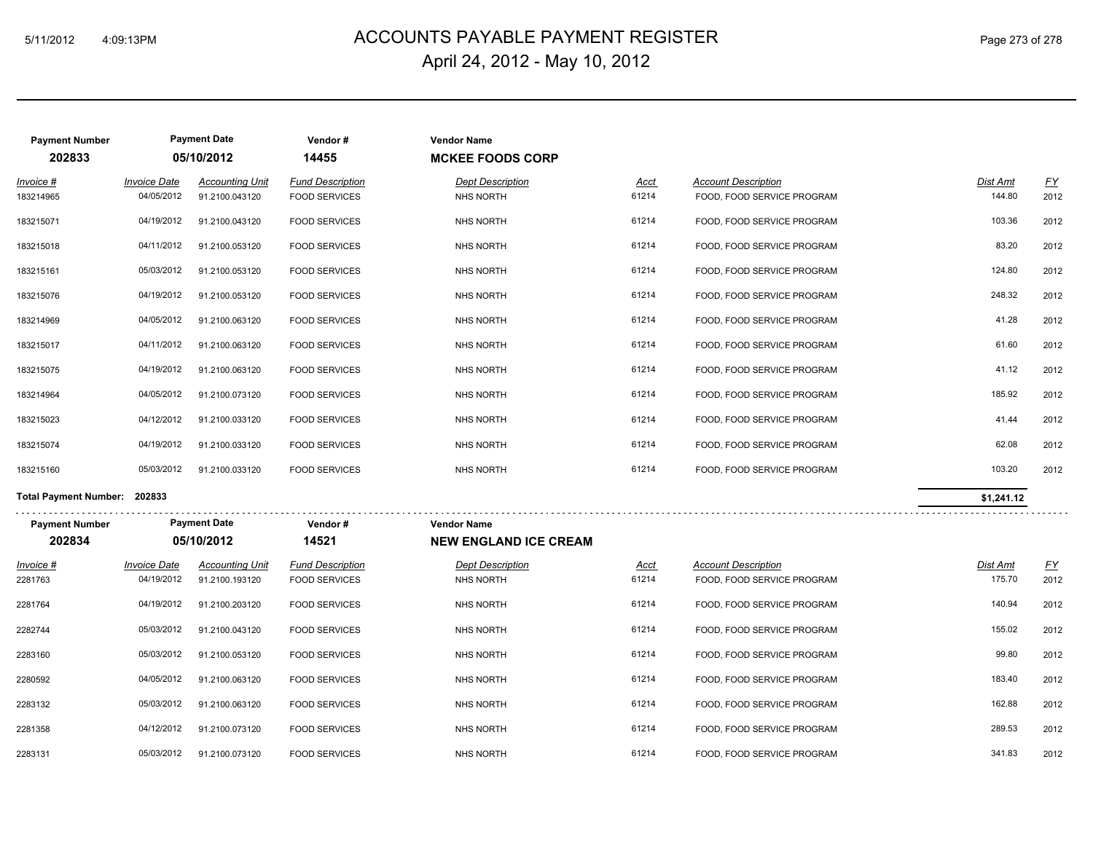# ACCOUNTS PAYABLE PAYMENT REGISTER 5/11/2012 4:09:13PM Page 273 of 278 April 24, 2012 - May 10, 2012

| <b>Payment Number</b><br>202833 |                     | <b>Payment Date</b><br>05/10/2012 | Vendor#<br>14455        | <b>Vendor Name</b><br><b>MCKEE FOODS CORP</b> |       |                            |            |           |
|---------------------------------|---------------------|-----------------------------------|-------------------------|-----------------------------------------------|-------|----------------------------|------------|-----------|
| Invoice #                       | <b>Invoice Date</b> | <b>Accounting Unit</b>            | <b>Fund Description</b> | <b>Dept Description</b>                       | Acct  | <b>Account Description</b> | Dist Amt   | <u>FY</u> |
| 183214965                       | 04/05/2012          | 91.2100.043120                    | <b>FOOD SERVICES</b>    | NHS NORTH                                     | 61214 | FOOD, FOOD SERVICE PROGRAM | 144.80     | 2012      |
| 183215071                       | 04/19/2012          | 91.2100.043120                    | <b>FOOD SERVICES</b>    | <b>NHS NORTH</b>                              | 61214 | FOOD, FOOD SERVICE PROGRAM | 103.36     | 2012      |
| 183215018                       | 04/11/2012          | 91.2100.053120                    | <b>FOOD SERVICES</b>    | <b>NHS NORTH</b>                              | 61214 | FOOD, FOOD SERVICE PROGRAM | 83.20      | 2012      |
| 183215161                       | 05/03/2012          | 91.2100.053120                    | <b>FOOD SERVICES</b>    | NHS NORTH                                     | 61214 | FOOD, FOOD SERVICE PROGRAM | 124.80     | 2012      |
| 183215076                       | 04/19/2012          | 91.2100.053120                    | <b>FOOD SERVICES</b>    | <b>NHS NORTH</b>                              | 61214 | FOOD, FOOD SERVICE PROGRAM | 248.32     | 2012      |
| 183214969                       | 04/05/2012          | 91.2100.063120                    | <b>FOOD SERVICES</b>    | NHS NORTH                                     | 61214 | FOOD, FOOD SERVICE PROGRAM | 41.28      | 2012      |
| 183215017                       | 04/11/2012          | 91.2100.063120                    | <b>FOOD SERVICES</b>    | NHS NORTH                                     | 61214 | FOOD, FOOD SERVICE PROGRAM | 61.60      | 2012      |
| 183215075                       | 04/19/2012          | 91.2100.063120                    | <b>FOOD SERVICES</b>    | NHS NORTH                                     | 61214 | FOOD, FOOD SERVICE PROGRAM | 41.12      | 2012      |
| 183214964                       | 04/05/2012          | 91.2100.073120                    | <b>FOOD SERVICES</b>    | NHS NORTH                                     | 61214 | FOOD, FOOD SERVICE PROGRAM | 185.92     | 2012      |
| 183215023                       | 04/12/2012          | 91.2100.033120                    | <b>FOOD SERVICES</b>    | NHS NORTH                                     | 61214 | FOOD, FOOD SERVICE PROGRAM | 41.44      | 2012      |
| 183215074                       | 04/19/2012          | 91.2100.033120                    | <b>FOOD SERVICES</b>    | NHS NORTH                                     | 61214 | FOOD, FOOD SERVICE PROGRAM | 62.08      | 2012      |
| 183215160                       | 05/03/2012          | 91.2100.033120                    | <b>FOOD SERVICES</b>    | <b>NHS NORTH</b>                              | 61214 | FOOD, FOOD SERVICE PROGRAM | 103.20     | 2012      |
| <b>Total Payment Number:</b>    | 202833              |                                   |                         |                                               |       |                            | \$1,241.12 |           |

| <b>Payment Number</b><br>202834 | <b>Payment Date</b><br>05/10/2012 |                                          | Vendor#<br>14521                                | <b>Vendor Name</b><br><b>NEW ENGLAND ICE CREAM</b> |                      |                                                          |                           |                   |
|---------------------------------|-----------------------------------|------------------------------------------|-------------------------------------------------|----------------------------------------------------|----------------------|----------------------------------------------------------|---------------------------|-------------------|
| $Invoice$ #<br>2281763          | <b>Invoice Date</b><br>04/19/2012 | <b>Accounting Unit</b><br>91.2100.193120 | <b>Fund Description</b><br><b>FOOD SERVICES</b> | <b>Dept Description</b><br>NHS NORTH               | <u>Acct</u><br>61214 | <b>Account Description</b><br>FOOD, FOOD SERVICE PROGRAM | <b>Dist Amt</b><br>175.70 | <u>FY</u><br>2012 |
| 2281764                         | 04/19/2012                        | 91.2100.203120                           | <b>FOOD SERVICES</b>                            | NHS NORTH                                          | 61214                | FOOD, FOOD SERVICE PROGRAM                               | 140.94                    | 2012              |
| 2282744                         | 05/03/2012                        | 91.2100.043120                           | <b>FOOD SERVICES</b>                            | NHS NORTH                                          | 61214                | FOOD, FOOD SERVICE PROGRAM                               | 155.02                    | 2012              |
| 2283160                         | 05/03/2012                        | 91.2100.053120                           | <b>FOOD SERVICES</b>                            | <b>NHS NORTH</b>                                   | 61214                | FOOD, FOOD SERVICE PROGRAM                               | 99.80                     | 2012              |
| 2280592                         | 04/05/2012                        | 91.2100.063120                           | <b>FOOD SERVICES</b>                            | NHS NORTH                                          | 61214                | FOOD, FOOD SERVICE PROGRAM                               | 183.40                    | 2012              |
| 2283132                         | 05/03/2012                        | 91.2100.063120                           | <b>FOOD SERVICES</b>                            | NHS NORTH                                          | 61214                | FOOD, FOOD SERVICE PROGRAM                               | 162.88                    | 2012              |
| 2281358                         | 04/12/2012                        | 91.2100.073120                           | <b>FOOD SERVICES</b>                            | NHS NORTH                                          | 61214                | FOOD, FOOD SERVICE PROGRAM                               | 289.53                    | 2012              |
| 2283131                         | 05/03/2012                        | 91.2100.073120                           | <b>FOOD SERVICES</b>                            | <b>NHS NORTH</b>                                   | 61214                | FOOD, FOOD SERVICE PROGRAM                               | 341.83                    | 2012              |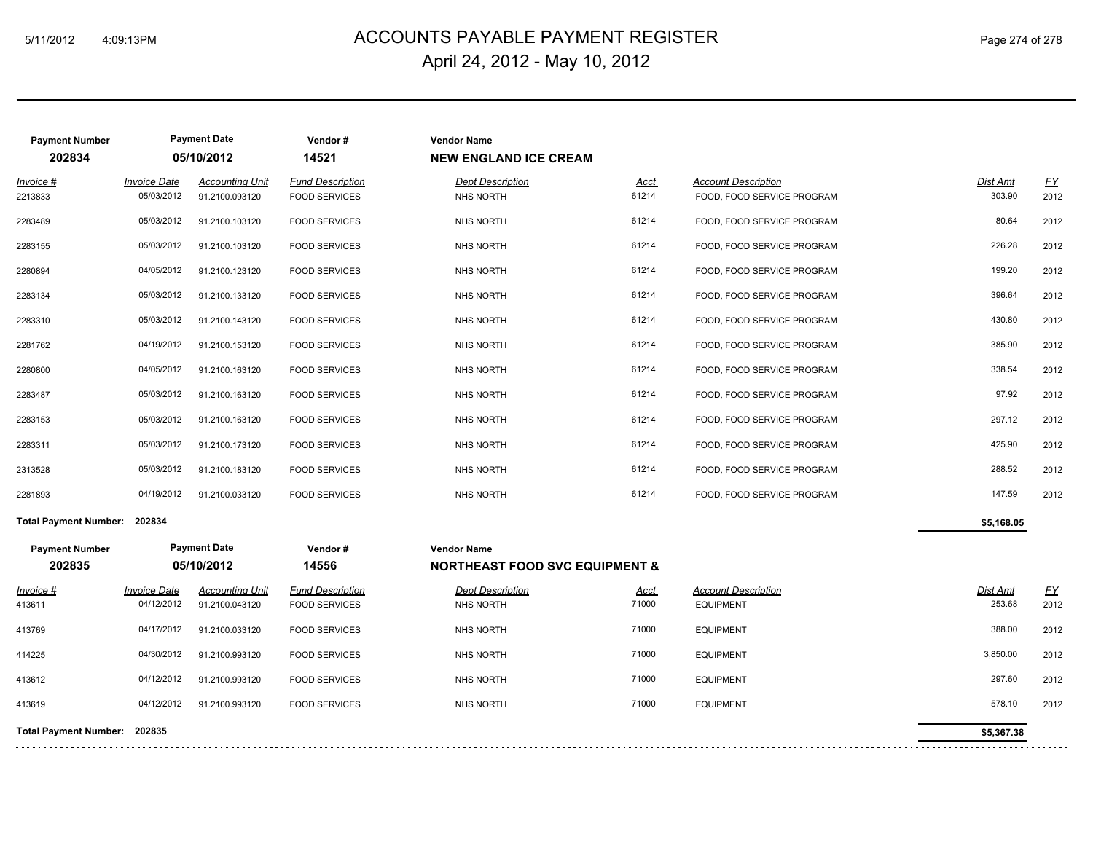# ACCOUNTS PAYABLE PAYMENT REGISTER 5/11/2012 4:09:13PM Page 274 of 278 April 24, 2012 - May 10, 2012

| <b>Payment Number</b><br>202834 |                                   | <b>Payment Date</b><br>05/10/2012        | Vendor#<br>14521                                | <b>Vendor Name</b><br><b>NEW ENGLAND ICE CREAM</b>              |                      |                                                          |                           |                          |
|---------------------------------|-----------------------------------|------------------------------------------|-------------------------------------------------|-----------------------------------------------------------------|----------------------|----------------------------------------------------------|---------------------------|--------------------------|
| Invoice #<br>2213833            | <b>Invoice Date</b><br>05/03/2012 | <b>Accounting Unit</b><br>91.2100.093120 | <b>Fund Description</b><br><b>FOOD SERVICES</b> | <b>Dept Description</b><br><b>NHS NORTH</b>                     | Acct<br>61214        | <b>Account Description</b><br>FOOD, FOOD SERVICE PROGRAM | Dist Amt<br>303.90        | $\underline{FY}$<br>2012 |
| 2283489                         | 05/03/2012                        | 91.2100.103120                           | <b>FOOD SERVICES</b>                            | NHS NORTH                                                       | 61214                | FOOD, FOOD SERVICE PROGRAM                               | 80.64                     | 2012                     |
| 2283155                         | 05/03/2012                        | 91.2100.103120                           | <b>FOOD SERVICES</b>                            | <b>NHS NORTH</b>                                                | 61214                | FOOD, FOOD SERVICE PROGRAM                               | 226.28                    | 2012                     |
| 2280894                         | 04/05/2012                        | 91.2100.123120                           | <b>FOOD SERVICES</b>                            | <b>NHS NORTH</b>                                                | 61214                | FOOD, FOOD SERVICE PROGRAM                               | 199.20                    | 2012                     |
| 2283134                         | 05/03/2012                        | 91.2100.133120                           | <b>FOOD SERVICES</b>                            | <b>NHS NORTH</b>                                                | 61214                | FOOD, FOOD SERVICE PROGRAM                               | 396.64                    | 2012                     |
| 2283310                         | 05/03/2012                        | 91.2100.143120                           | <b>FOOD SERVICES</b>                            | <b>NHS NORTH</b>                                                | 61214                | FOOD, FOOD SERVICE PROGRAM                               | 430.80                    | 2012                     |
| 2281762                         | 04/19/2012                        | 91.2100.153120                           | <b>FOOD SERVICES</b>                            | <b>NHS NORTH</b>                                                | 61214                | FOOD, FOOD SERVICE PROGRAM                               | 385.90                    | 2012                     |
| 2280800                         | 04/05/2012                        | 91.2100.163120                           | <b>FOOD SERVICES</b>                            | <b>NHS NORTH</b>                                                | 61214                | FOOD, FOOD SERVICE PROGRAM                               | 338.54                    | 2012                     |
| 2283487                         | 05/03/2012                        | 91.2100.163120                           | <b>FOOD SERVICES</b>                            | <b>NHS NORTH</b>                                                | 61214                | FOOD, FOOD SERVICE PROGRAM                               | 97.92                     | 2012                     |
| 2283153                         | 05/03/2012                        | 91.2100.163120                           | <b>FOOD SERVICES</b>                            | <b>NHS NORTH</b>                                                | 61214                | FOOD, FOOD SERVICE PROGRAM                               | 297.12                    | 2012                     |
| 2283311                         | 05/03/2012                        | 91.2100.173120                           | <b>FOOD SERVICES</b>                            | <b>NHS NORTH</b>                                                | 61214                | FOOD, FOOD SERVICE PROGRAM                               | 425.90                    | 2012                     |
| 2313528                         | 05/03/2012                        | 91.2100.183120                           | <b>FOOD SERVICES</b>                            | <b>NHS NORTH</b>                                                | 61214                | FOOD, FOOD SERVICE PROGRAM                               | 288.52                    | 2012                     |
| 2281893                         | 04/19/2012                        | 91.2100.033120                           | <b>FOOD SERVICES</b>                            | <b>NHS NORTH</b>                                                | 61214                | FOOD, FOOD SERVICE PROGRAM                               | 147.59                    | 2012                     |
| Total Payment Number: 202834    |                                   |                                          |                                                 |                                                                 |                      |                                                          | \$5,168.05                |                          |
| <b>Payment Number</b><br>202835 |                                   | <b>Payment Date</b><br>05/10/2012        | Vendor#<br>14556                                | <b>Vendor Name</b><br><b>NORTHEAST FOOD SVC EQUIPMENT &amp;</b> |                      |                                                          |                           |                          |
| $Invoice$ #                     | <b>Invoice Date</b><br>04/12/2012 | <b>Accounting Unit</b>                   | <b>Fund Description</b>                         | <b>Dept Description</b>                                         | <u>Acct</u><br>71000 | <b>Account Description</b>                               | <b>Dist Amt</b><br>253.68 | <u>FY</u>                |
| 413611                          |                                   | 91.2100.043120                           | <b>FOOD SERVICES</b>                            | <b>NHS NORTH</b>                                                |                      | <b>EQUIPMENT</b>                                         |                           | 2012                     |
| 413769                          | 04/17/2012                        | 91.2100.033120                           | <b>FOOD SERVICES</b>                            | <b>NHS NORTH</b>                                                | 71000                | <b>EQUIPMENT</b>                                         | 388.00                    | 2012                     |
| 414225                          | 04/30/2012                        | 91.2100.993120                           | <b>FOOD SERVICES</b>                            | <b>NHS NORTH</b>                                                | 71000                | <b>EQUIPMENT</b>                                         | 3,850.00                  | 2012                     |
| 413612                          | 04/12/2012                        | 91.2100.993120                           | <b>FOOD SERVICES</b>                            | <b>NHS NORTH</b>                                                | 71000                | <b>EQUIPMENT</b>                                         | 297.60                    | 2012                     |
| 413619                          | 04/12/2012                        | 91.2100.993120                           | <b>FOOD SERVICES</b>                            | <b>NHS NORTH</b>                                                | 71000                | <b>EQUIPMENT</b>                                         | 578.10                    | 2012                     |
| Total Payment Number: 202835    |                                   |                                          |                                                 |                                                                 |                      |                                                          | \$5,367.38                |                          |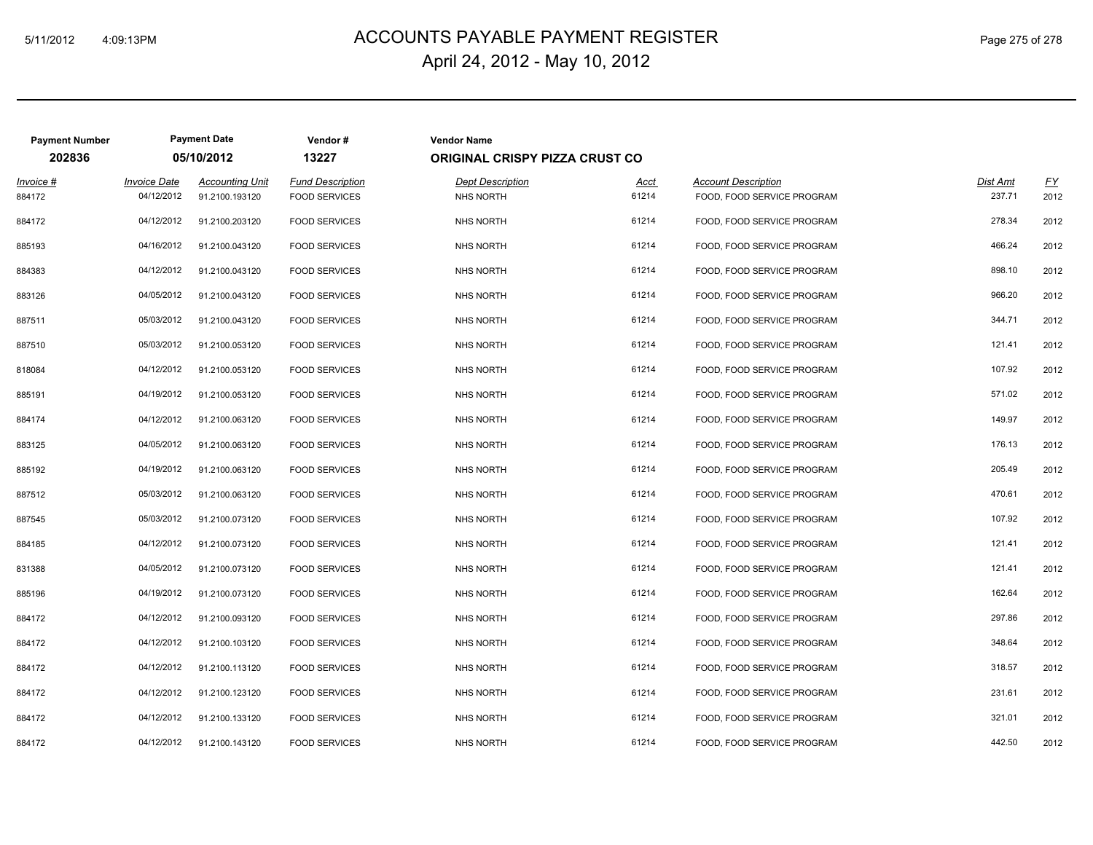# ACCOUNTS PAYABLE PAYMENT REGISTER 5/11/2012 4:09:13PM Page 275 of 278 April 24, 2012 - May 10, 2012

| <b>Payment Number</b> |                                   | <b>Payment Date</b>                      | Vendor#                                         | <b>Vendor Name</b>                   |                      |                                                          |                    |                          |  |  |
|-----------------------|-----------------------------------|------------------------------------------|-------------------------------------------------|--------------------------------------|----------------------|----------------------------------------------------------|--------------------|--------------------------|--|--|
| 202836                | 05/10/2012                        |                                          | 13227                                           | ORIGINAL CRISPY PIZZA CRUST CO       |                      |                                                          |                    |                          |  |  |
| $Invoice$ #<br>884172 | <b>Invoice Date</b><br>04/12/2012 | <b>Accounting Unit</b><br>91.2100.193120 | <b>Fund Description</b><br><b>FOOD SERVICES</b> | <b>Dept Description</b><br>NHS NORTH | <u>Acct</u><br>61214 | <b>Account Description</b><br>FOOD, FOOD SERVICE PROGRAM | Dist Amt<br>237.71 | $\underline{FY}$<br>2012 |  |  |
| 884172                | 04/12/2012                        | 91.2100.203120                           | <b>FOOD SERVICES</b>                            | NHS NORTH                            | 61214                | FOOD, FOOD SERVICE PROGRAM                               | 278.34             | 2012                     |  |  |
| 885193                | 04/16/2012                        | 91.2100.043120                           | <b>FOOD SERVICES</b>                            | NHS NORTH                            | 61214                | FOOD, FOOD SERVICE PROGRAM                               | 466.24             | 2012                     |  |  |
| 884383                | 04/12/2012                        | 91.2100.043120                           | <b>FOOD SERVICES</b>                            | NHS NORTH                            | 61214                | FOOD, FOOD SERVICE PROGRAM                               | 898.10             | 2012                     |  |  |
| 883126                | 04/05/2012                        | 91.2100.043120                           | <b>FOOD SERVICES</b>                            | NHS NORTH                            | 61214                | FOOD, FOOD SERVICE PROGRAM                               | 966.20             | 2012                     |  |  |
| 887511                | 05/03/2012                        | 91.2100.043120                           | <b>FOOD SERVICES</b>                            | NHS NORTH                            | 61214                | FOOD, FOOD SERVICE PROGRAM                               | 344.71             | 2012                     |  |  |
| 887510                | 05/03/2012                        | 91.2100.053120                           | <b>FOOD SERVICES</b>                            | NHS NORTH                            | 61214                | FOOD, FOOD SERVICE PROGRAM                               | 121.41             | 2012                     |  |  |
| 818084                | 04/12/2012                        | 91.2100.053120                           | <b>FOOD SERVICES</b>                            | NHS NORTH                            | 61214                | FOOD, FOOD SERVICE PROGRAM                               | 107.92             | 2012                     |  |  |
| 885191                | 04/19/2012                        | 91.2100.053120                           | <b>FOOD SERVICES</b>                            | NHS NORTH                            | 61214                | FOOD, FOOD SERVICE PROGRAM                               | 571.02             | 2012                     |  |  |
| 884174                | 04/12/2012                        | 91.2100.063120                           | <b>FOOD SERVICES</b>                            | NHS NORTH                            | 61214                | FOOD, FOOD SERVICE PROGRAM                               | 149.97             | 2012                     |  |  |
| 883125                | 04/05/2012                        | 91.2100.063120                           | <b>FOOD SERVICES</b>                            | NHS NORTH                            | 61214                | FOOD, FOOD SERVICE PROGRAM                               | 176.13             | 2012                     |  |  |
| 885192                | 04/19/2012                        | 91.2100.063120                           | <b>FOOD SERVICES</b>                            | NHS NORTH                            | 61214                | FOOD, FOOD SERVICE PROGRAM                               | 205.49             | 2012                     |  |  |
| 887512                | 05/03/2012                        | 91.2100.063120                           | <b>FOOD SERVICES</b>                            | NHS NORTH                            | 61214                | FOOD, FOOD SERVICE PROGRAM                               | 470.61             | 2012                     |  |  |
| 887545                | 05/03/2012                        | 91.2100.073120                           | <b>FOOD SERVICES</b>                            | NHS NORTH                            | 61214                | FOOD, FOOD SERVICE PROGRAM                               | 107.92             | 2012                     |  |  |
| 884185                | 04/12/2012                        | 91.2100.073120                           | <b>FOOD SERVICES</b>                            | NHS NORTH                            | 61214                | FOOD, FOOD SERVICE PROGRAM                               | 121.41             | 2012                     |  |  |
| 831388                | 04/05/2012                        | 91.2100.073120                           | <b>FOOD SERVICES</b>                            | NHS NORTH                            | 61214                | FOOD, FOOD SERVICE PROGRAM                               | 121.41             | 2012                     |  |  |
| 885196                | 04/19/2012                        | 91.2100.073120                           | <b>FOOD SERVICES</b>                            | NHS NORTH                            | 61214                | FOOD, FOOD SERVICE PROGRAM                               | 162.64             | 2012                     |  |  |
| 884172                | 04/12/2012                        | 91.2100.093120                           | <b>FOOD SERVICES</b>                            | NHS NORTH                            | 61214                | FOOD, FOOD SERVICE PROGRAM                               | 297.86             | 2012                     |  |  |
| 884172                | 04/12/2012                        | 91.2100.103120                           | <b>FOOD SERVICES</b>                            | NHS NORTH                            | 61214                | FOOD, FOOD SERVICE PROGRAM                               | 348.64             | 2012                     |  |  |
| 884172                | 04/12/2012                        | 91.2100.113120                           | <b>FOOD SERVICES</b>                            | NHS NORTH                            | 61214                | FOOD, FOOD SERVICE PROGRAM                               | 318.57             | 2012                     |  |  |
| 884172                | 04/12/2012                        | 91.2100.123120                           | <b>FOOD SERVICES</b>                            | NHS NORTH                            | 61214                | FOOD, FOOD SERVICE PROGRAM                               | 231.61             | 2012                     |  |  |
| 884172                | 04/12/2012                        | 91.2100.133120                           | <b>FOOD SERVICES</b>                            | NHS NORTH                            | 61214                | FOOD, FOOD SERVICE PROGRAM                               | 321.01             | 2012                     |  |  |
| 884172                | 04/12/2012                        | 91.2100.143120                           | <b>FOOD SERVICES</b>                            | NHS NORTH                            | 61214                | FOOD, FOOD SERVICE PROGRAM                               | 442.50             | 2012                     |  |  |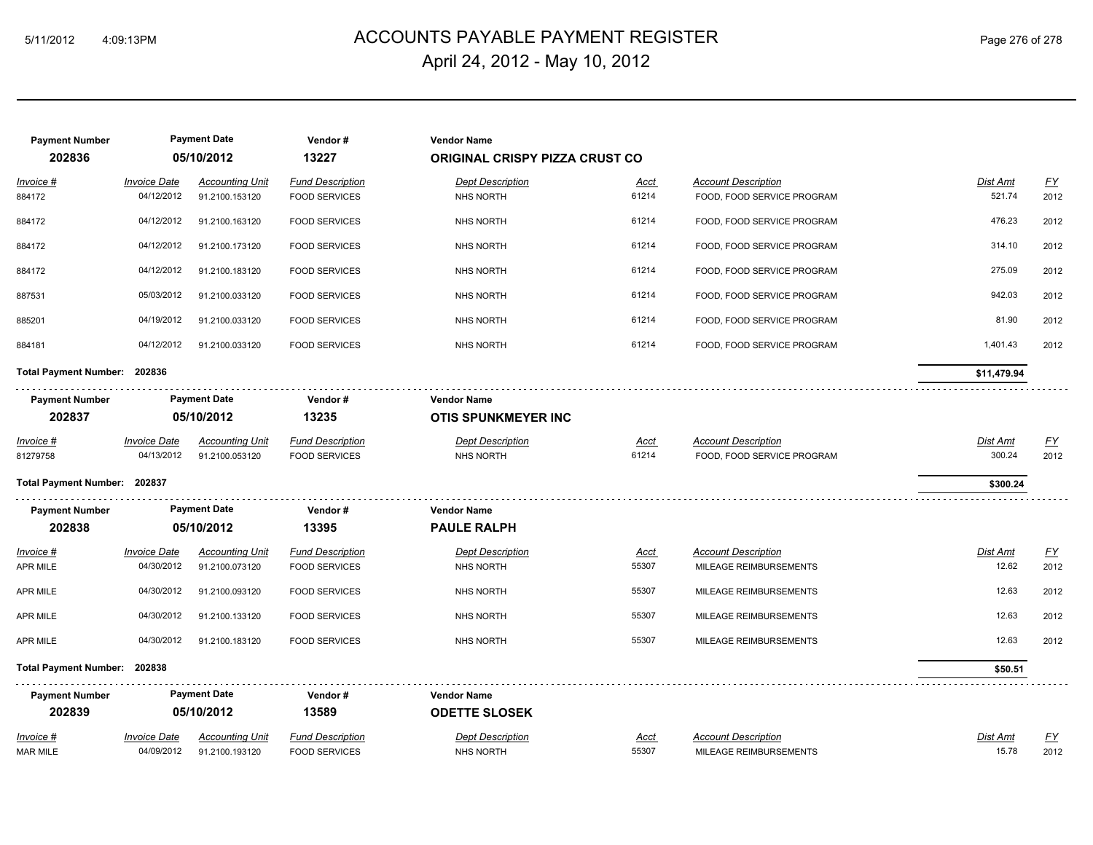# ACCOUNTS PAYABLE PAYMENT REGISTER 5/11/2012 4:09:13PM Page 276 of 278 April 24, 2012 - May 10, 2012

| <b>Payment Number</b>           | <b>Payment Date</b>               |                                          | Vendor#                                         | <b>Vendor Name</b>                               |                                       |                                                          |                           |                   |  |
|---------------------------------|-----------------------------------|------------------------------------------|-------------------------------------------------|--------------------------------------------------|---------------------------------------|----------------------------------------------------------|---------------------------|-------------------|--|
| 202836                          | 05/10/2012                        |                                          | 13227                                           |                                                  | <b>ORIGINAL CRISPY PIZZA CRUST CO</b> |                                                          |                           |                   |  |
| Invoice #<br>884172             | <b>Invoice Date</b><br>04/12/2012 | <b>Accounting Unit</b><br>91.2100.153120 | <b>Fund Description</b><br><b>FOOD SERVICES</b> | <b>Dept Description</b><br><b>NHS NORTH</b>      | <b>Acct</b><br>61214                  | <b>Account Description</b><br>FOOD, FOOD SERVICE PROGRAM | Dist Amt<br>521.74        | <u>FY</u><br>2012 |  |
| 884172                          | 04/12/2012                        | 91.2100.163120                           | <b>FOOD SERVICES</b>                            | <b>NHS NORTH</b>                                 | 61214                                 | FOOD, FOOD SERVICE PROGRAM                               | 476.23                    | 2012              |  |
| 884172                          | 04/12/2012                        | 91.2100.173120                           | <b>FOOD SERVICES</b>                            | <b>NHS NORTH</b>                                 | 61214                                 | FOOD, FOOD SERVICE PROGRAM                               | 314.10                    | 2012              |  |
| 884172                          | 04/12/2012                        | 91.2100.183120                           | <b>FOOD SERVICES</b>                            | <b>NHS NORTH</b>                                 | 61214                                 | FOOD, FOOD SERVICE PROGRAM                               | 275.09                    | 2012              |  |
| 887531                          | 05/03/2012                        | 91.2100.033120                           | <b>FOOD SERVICES</b>                            | <b>NHS NORTH</b>                                 | 61214                                 | FOOD, FOOD SERVICE PROGRAM                               | 942.03                    | 2012              |  |
| 885201                          | 04/19/2012                        | 91.2100.033120                           | <b>FOOD SERVICES</b>                            | <b>NHS NORTH</b>                                 | 61214                                 | FOOD, FOOD SERVICE PROGRAM                               | 81.90                     | 2012              |  |
| 884181                          | 04/12/2012                        | 91.2100.033120                           | <b>FOOD SERVICES</b>                            | <b>NHS NORTH</b>                                 | 61214                                 | FOOD, FOOD SERVICE PROGRAM                               | 1,401.43                  | 2012              |  |
| Total Payment Number: 202836    |                                   |                                          |                                                 |                                                  |                                       |                                                          | \$11,479.94               |                   |  |
| <b>Payment Number</b><br>202837 |                                   | <b>Payment Date</b><br>05/10/2012        | Vendor#<br>13235                                | <b>Vendor Name</b><br><b>OTIS SPUNKMEYER INC</b> |                                       |                                                          |                           |                   |  |
| $Invoice$ #<br>81279758         | <b>Invoice Date</b><br>04/13/2012 | <b>Accounting Unit</b><br>91.2100.053120 | <b>Fund Description</b><br><b>FOOD SERVICES</b> | <b>Dept Description</b><br><b>NHS NORTH</b>      | <u>Acct</u><br>61214                  | <b>Account Description</b><br>FOOD, FOOD SERVICE PROGRAM | <u>Dist Amt</u><br>300.24 | <u>FY</u><br>2012 |  |
| Total Payment Number: 202837    |                                   |                                          |                                                 |                                                  |                                       |                                                          | \$300.24                  |                   |  |
| <b>Payment Number</b>           |                                   | <b>Payment Date</b>                      | Vendor#                                         | <b>Vendor Name</b>                               |                                       |                                                          |                           |                   |  |
| 202838                          |                                   | 05/10/2012                               | 13395                                           | <b>PAULE RALPH</b>                               |                                       |                                                          |                           |                   |  |
| $Invoice$ #<br><b>APR MILE</b>  | <b>Invoice Date</b><br>04/30/2012 | <b>Accounting Unit</b><br>91.2100.073120 | <b>Fund Description</b><br><b>FOOD SERVICES</b> | <b>Dept Description</b><br><b>NHS NORTH</b>      | <u>Acct</u><br>55307                  | <b>Account Description</b><br>MILEAGE REIMBURSEMENTS     | Dist Amt<br>12.62         | <u>FY</u><br>2012 |  |
| <b>APR MILE</b>                 | 04/30/2012                        | 91.2100.093120                           | <b>FOOD SERVICES</b>                            | <b>NHS NORTH</b>                                 | 55307                                 | MILEAGE REIMBURSEMENTS                                   | 12.63                     | 2012              |  |
| APR MILE                        | 04/30/2012                        | 91.2100.133120                           | <b>FOOD SERVICES</b>                            | <b>NHS NORTH</b>                                 | 55307                                 | MILEAGE REIMBURSEMENTS                                   | 12.63                     | 2012              |  |
| APR MILE                        | 04/30/2012                        | 91.2100.183120                           | <b>FOOD SERVICES</b>                            | <b>NHS NORTH</b>                                 | 55307                                 | MILEAGE REIMBURSEMENTS                                   | 12.63                     | 2012              |  |
| Total Payment Number: 202838    |                                   |                                          |                                                 |                                                  |                                       |                                                          | \$50.51                   |                   |  |
| <b>Payment Number</b>           | <b>Payment Date</b>               |                                          | Vendor#                                         | <b>Vendor Name</b>                               |                                       |                                                          |                           |                   |  |
| 202839                          |                                   | 05/10/2012                               | 13589                                           | <b>ODETTE SLOSEK</b>                             |                                       |                                                          |                           |                   |  |
| Invoice #<br><b>MAR MILE</b>    | <b>Invoice Date</b><br>04/09/2012 | <b>Accounting Unit</b><br>91.2100.193120 | <b>Fund Description</b><br><b>FOOD SERVICES</b> | <b>Dept Description</b><br><b>NHS NORTH</b>      | <u>Acct</u><br>55307                  | <b>Account Description</b><br>MILEAGE REIMBURSEMENTS     | <b>Dist Amt</b><br>15.78  | <u>FY</u><br>2012 |  |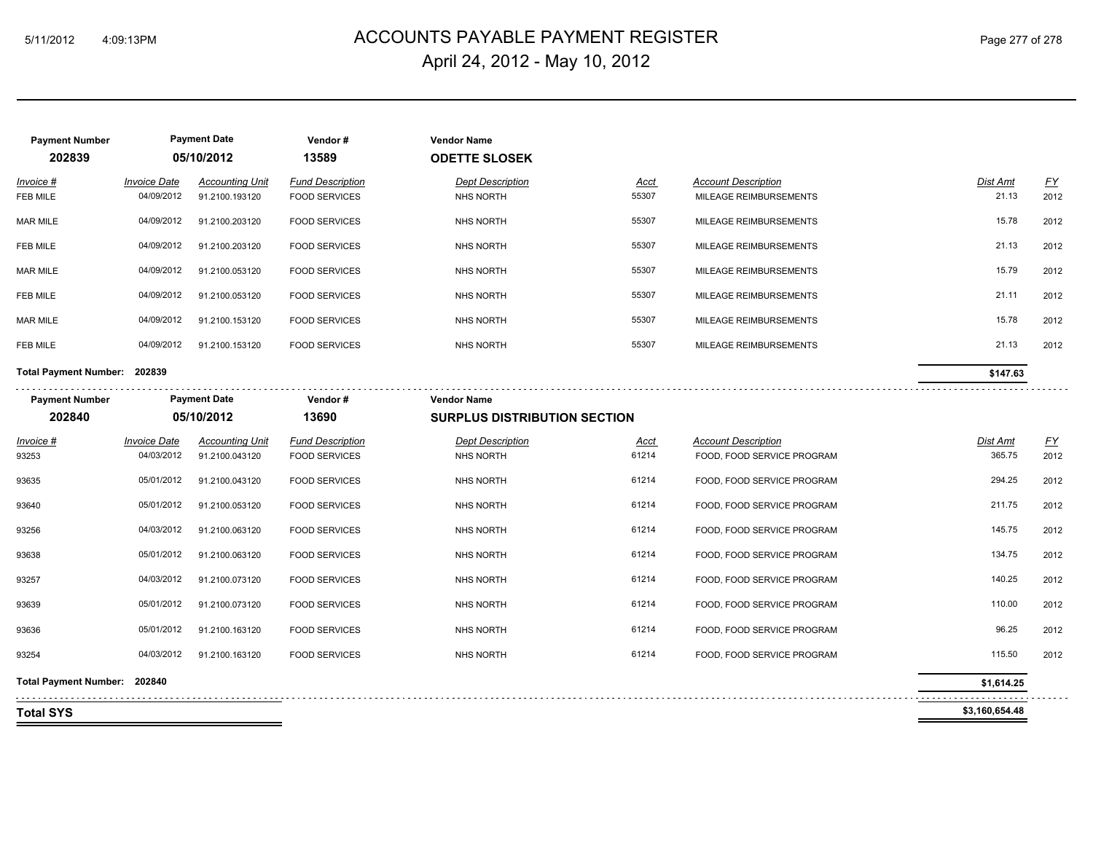# ACCOUNTS PAYABLE PAYMENT REGISTER 5/11/2012 4:09:13PM Page 277 of 278 April 24, 2012 - May 10, 2012

| <b>Payment Number</b><br>202839 |                                   | <b>Payment Date</b><br>05/10/2012        | Vendor#<br>13589                                | <b>Vendor Name</b><br><b>ODETTE SLOSEK</b> |               |                                                      |                     |                          |
|---------------------------------|-----------------------------------|------------------------------------------|-------------------------------------------------|--------------------------------------------|---------------|------------------------------------------------------|---------------------|--------------------------|
| Invoice #<br>FEB MILE           | <b>Invoice Date</b><br>04/09/2012 | <b>Accounting Unit</b><br>91.2100.193120 | <b>Fund Description</b><br><b>FOOD SERVICES</b> | <b>Dept Description</b><br>NHS NORTH       | Acct<br>55307 | <b>Account Description</b><br>MILEAGE REIMBURSEMENTS | Dist Amt<br>21.13   | $\underline{FY}$<br>2012 |
| MAR MILE                        | 04/09/2012                        | 91.2100.203120                           | <b>FOOD SERVICES</b>                            | <b>NHS NORTH</b>                           | 55307         | MILEAGE REIMBURSEMENTS                               | 15.78               | 2012                     |
| FEB MILE                        | 04/09/2012                        | 91.2100.203120                           | <b>FOOD SERVICES</b>                            | <b>NHS NORTH</b>                           | 55307         | MILEAGE REIMBURSEMENTS                               | 21.13               | 2012                     |
| MAR MILE                        | 04/09/2012                        | 91.2100.053120                           | <b>FOOD SERVICES</b>                            | <b>NHS NORTH</b>                           | 55307         | MILEAGE REIMBURSEMENTS                               | 15.79               | 2012                     |
| FEB MILE                        | 04/09/2012                        | 91.2100.053120                           | <b>FOOD SERVICES</b>                            | <b>NHS NORTH</b>                           | 55307         | MILEAGE REIMBURSEMENTS                               | 21.11               | 2012                     |
| <b>MAR MILE</b>                 | 04/09/2012                        | 91.2100.153120                           | <b>FOOD SERVICES</b>                            | <b>NHS NORTH</b>                           | 55307         | MILEAGE REIMBURSEMENTS                               | 15.78               | 2012                     |
| FEB MILE                        | 04/09/2012                        | 91.2100.153120                           | <b>FOOD SERVICES</b>                            | <b>NHS NORTH</b>                           | 55307         | MILEAGE REIMBURSEMENTS                               | 21.13               | 2012                     |
| Total Payment Number: 202839    |                                   |                                          |                                                 |                                            |               |                                                      | \$147.63            |                          |
| <b>Payment Number</b>           |                                   | <b>Payment Date</b>                      | Vendor#                                         | <b>Vendor Name</b>                         |               |                                                      |                     |                          |
| 202840                          |                                   | 05/10/2012                               | 13690                                           | <b>SURPLUS DISTRIBUTION SECTION</b>        |               |                                                      |                     |                          |
| Invoice #                       | <b>Invoice Date</b>               | <b>Accounting Unit</b>                   | <b>Fund Description</b>                         | <b>Dept Description</b>                    | <u>Acct</u>   | <b>Account Description</b>                           | Dist Amt            | <u>FY</u>                |
| 93253                           | 04/03/2012                        | 91.2100.043120                           | <b>FOOD SERVICES</b>                            | NHS NORTH                                  | 61214         | FOOD, FOOD SERVICE PROGRAM                           | 365.75              | 2012                     |
| 93635                           | 05/01/2012                        | 91.2100.043120                           | <b>FOOD SERVICES</b>                            | <b>NHS NORTH</b>                           | 61214         | FOOD, FOOD SERVICE PROGRAM                           | 294.25              | 2012                     |
| 93640                           | 05/01/2012                        | 91.2100.053120                           | <b>FOOD SERVICES</b>                            | <b>NHS NORTH</b>                           | 61214         | FOOD, FOOD SERVICE PROGRAM                           | 211.75              | 2012                     |
| 93256                           | 04/03/2012                        | 91.2100.063120                           | <b>FOOD SERVICES</b>                            | NHS NORTH                                  | 61214         | FOOD, FOOD SERVICE PROGRAM                           | 145.75              | 2012                     |
| 93638                           | 05/01/2012                        | 91.2100.063120                           | <b>FOOD SERVICES</b>                            | <b>NHS NORTH</b>                           | 61214         | FOOD, FOOD SERVICE PROGRAM                           | 134.75              | 2012                     |
| 93257                           | 04/03/2012                        | 91.2100.073120                           | <b>FOOD SERVICES</b>                            | <b>NHS NORTH</b>                           | 61214         | FOOD, FOOD SERVICE PROGRAM                           | 140.25              | 2012                     |
| 93639                           | 05/01/2012                        | 91.2100.073120                           | <b>FOOD SERVICES</b>                            | <b>NHS NORTH</b>                           | 61214         | FOOD, FOOD SERVICE PROGRAM                           | 110.00              | 2012                     |
| 93636                           | 05/01/2012                        | 91.2100.163120                           | <b>FOOD SERVICES</b>                            | <b>NHS NORTH</b>                           | 61214         | FOOD, FOOD SERVICE PROGRAM                           | 96.25               | 2012                     |
| 93254                           | 04/03/2012                        | 91.2100.163120                           | <b>FOOD SERVICES</b>                            | <b>NHS NORTH</b>                           | 61214         | FOOD, FOOD SERVICE PROGRAM                           | 115.50              | 2012                     |
| Total Payment Number: 202840    |                                   |                                          |                                                 |                                            |               |                                                      | \$1,614.25          |                          |
|                                 |                                   |                                          |                                                 |                                            |               |                                                      | .<br>\$3,160,654.48 |                          |
| <b>Total SYS</b>                |                                   |                                          |                                                 |                                            |               |                                                      |                     |                          |